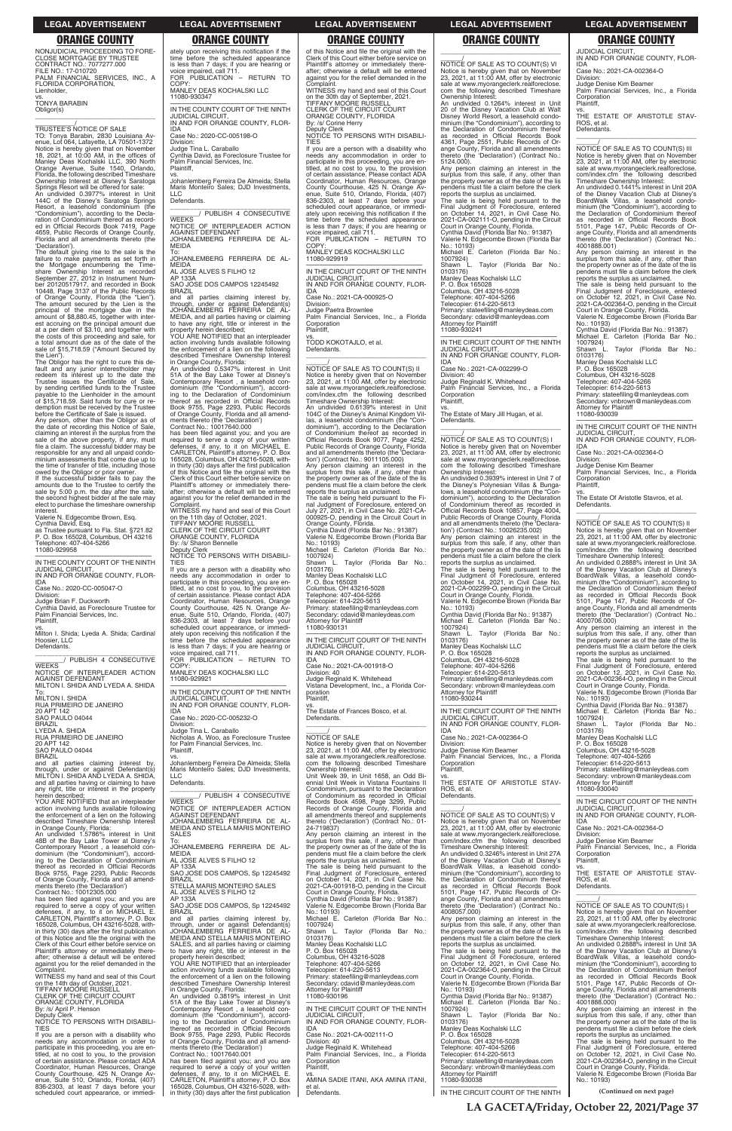NONJUDICIAL PROCEEDING TO FORE-CLOSE MORTGAGE BY TRUSTEE CONTRACT NO.: 7077277.000 FILE NO.: 17-010720 PALM FINANCIAL SERVICES, INC., A FLORIDA CORPORATION, Lienholder,

vs. TONYA BARABIN Obligor(s)

\_\_\_\_\_\_\_\_\_\_\_\_\_\_\_\_\_\_\_\_\_\_\_\_\_\_\_\_\_\_\_\_\_ \_\_\_\_\_\_\_\_\_\_\_/ TRUSTEE'S NOTICE OF SALE TO: Tonya Barabin, 2830 Louisiana Av-

enue, Lot 064, Lafayette, LA 70501-1372 Notice is hereby given that on November 18, 2021, at 10:00 AM, in the offices of Manley Deas Kochalski LLC, 390 North Orange Avenue, Suite 1540, Orlando, Florida, the following described Timeshare Ownership Interest at Disney's Saratoga Springs Resort will be offered for sale: An undivided 0.3977% interest in Unit 144C of the Disney's Saratoga Springs Resort, a leasehold condominium (the "Condominium"), according to the Declaration of Condominium thereof as recorded in Official Records Book 7419, Page 4659, Public Records of Orange County, Florida and all amendments thereto (the

'Declaration'). The default giving rise to the sale is the failure to make payments as set forth in<br>the Mortgage encumbering the Time-<br>share Ownership Interest as recorded<br>September 27, 2012 in Instrument Num-<br>ber 20120517917, and recorded in Book<br>10448, Page 3137 of the Public Re of Orange County, Florida (the "Lien"). The amount secured by the Lien is the principal of the mortgage due in the amount of \$8,880.45, together with interest accruing on the principal amount due at a per diem of \$3.10, and together with the costs of this proceeding and sale, for a total amount due as of the date of the sale of \$15,718.59 ("Amount Secured by the Lien").

\_\_\_\_\_\_\_\_\_\_\_\_\_\_\_\_\_\_\_\_\_\_\_\_\_\_\_\_\_\_\_ \_\_\_\_\_\_\_\_/ PUBLISH 4 CONSECUTIVE **WEEKS** 

NOTICE OF INTERPLEADER ACTION AGAINST DEFENDANT MILTON I. SHIDA AND LYEDA A. SHIDA

SAO PAULO 04044 BRAZIL

The Obligor has the right to cure this de-fault and any junior interestholder may redeem its interest up to the date the<br>Trustee issues the Certificate of Sale, Trustee issues the Certificate of Sale, by sending certified funds to the Trustee payable to the Lienholder in the amount of \$15,718.59. Said funds for cure or re-demption must be received by the Trustee before the Certificate of Sale is issued. Any person, other than the Obligor as of the date of recording this Notice of Sale, claiming an interest in the surplus from the sale of the above property, if any, must file a claim. The successful bidder may be responsible for any and all unpaid condo-minium assessments that come due up to the time of transfer of title, including those

owed by the Obligor or prior owner. If the successful bidder fails to pay the amounts due to the Trustee to certify the sale by 5:00 p.m. the day after the sale, the second highest bidder at the sale may elect to purchase the timeshare ownership interest.

Valerie N. Edgecombe Brown, Esq. Cynthia David, Esq.

as Trustee pursuant to Fla. Stat. §721.82 P. O. Box 165028, Columbus, OH 43216 Telephone: 407-404-5266 11080-929958

—————————————————— IN THE COUNTY COURT OF THE NINTH JUDICIAL CIRCUIT, IN AND FOR ORANGE COUNTY, FLOR-

IDA Case No.: 2020-CC-005047-O

Division: Judge Brian F. Duckworth

\_\_\_\_\_\_\_\_\_\_\_\_\_\_\_\_\_\_\_\_\_\_\_\_\_\_\_\_\_\_\_ \_\_\_\_\_\_\_\_/ PUBLISH 4 CONSECUTIVE **WEEKS** 

Cynthia David, as Foreclosure Trustee for

Palm Financial Services, Inc. Plaintiff,

vs. Milton I. Shida; Lyeda A. Shida; Cardinal Hoosier, LLC Defendants.

SAO JOSE DOS CAMPOS 12245492 **BRAZIL** 

YOU ARE NOTIFIED that an interpleader action involving funds available following the enforcement of a lien on the following described Timeshare Ownership Interest

To: MILTON I. SHIDA RUA PRIMEIRO DE JANEIRO 20 APT 142 SAO PAULO 04044 BRAZIL LYEDA A. SHIDA

RUA PRIMEIRO DE JANEIRO 20 APT 142

and all parties claiming interest by, through, under or against Defendant(s) MILTON I. SHIDA AND LYEDA A. SHIDA, and all parties having or claiming to have any right, title or interest in the property herein described;

YOU ARE NOTIFIED that an interpleader action involving funds available following the enforcement of a lien on the following described Timeshare Ownership Interest in Orange County, Florida:

WITNESS my hand and seal of this Court on the 30th day of September, 2021. TIFFANY MOORE RUSSELL CLERK OF THE CIRCUIT COURT ORANGE COUNTY, FLORIDA By: /s/ Corine Herry

COPY: MANLEY DEAS KOCHALSKI LLC 11080-930347

—————————————————— IN THE COUNTY COURT OF THE NINTH JUDICIAL CIRCUIT, IN AND FOR ORANGE COUNTY, FLOR-IDA

Case No.: 2020-CC-005198-O Division: Judge Tina L. Caraballo Cynthia David, as Foreclosure Trustee for

Palm Financial Services, Inc. Plaintiff,

vs. Johanlemberg Ferreira De Almeida; Stella Maris Monteiro Sales; DJD Investments, LLC

Defendants.

NOTICE OF INTERPLEADER ACTION AGAINST DEFENDANT JOHANLEMBERG FERREIRA DE AL-MEIDA

To: JOHANLEMBERG FERREIRA DE AL-MEIDA

AL JOSE ALVES S FILHO 12 AP 133A

and all parties claiming interest by, through, under or against Defendant(s) JOHANLEMBERG FERREIRA DE AL-MEIDA, and all parties having or claiming to have any right, title or interest in the property herein described;

in Orange County, Florida: An undivided 0.5347% interest in Unit 51A of the Bay Lake Tower at Disney's Contemporary Resort , a leasehold con-dominium (the "Condominium"), accord-ing to the Declaration of Condominium thereof as recorded in Official Records Book 9755, Page 2293, Public Records of Orange County, Florida and all amend-ments thereto (the 'Declaration') Contract No.: 10017640.000

has been filed against you; and you are required to serve a copy of your written defenses, if any, to it on MICHAEL E. CARLETON, Plaintiff's attorney, P. O. Box 165028, Columbus, OH 43216-5028, with-in thirty (30) days after the first publication of this Notice and file the original with the Clerk of this Court either before service on Plaintiff's attorney or immediately thereafter; otherwise a default will be entered against you for the relief demanded in the Complaint.

WITNESS my hand and seal of this Court on the 11th day of October, 2021. TIFFANY MOORE RUSSELL

\_\_\_\_\_\_/<br>NOTICE OF SALE AS TO COUNT(S) VI Notice is hereby given that on November 23, 2021, at 11:00 AM, offer by electronic sale at www.myorangeclerk.realforeclose. com the following described Timeshare Ownership Interest:

CLERK OF THE CIRCUIT COURT ORANGE COUNTY, FLORIDA By: /s/ Sharon Bennelle Deputy Clerk NOTICE TO PERSONS WITH DISABILI-

TIES If you are a person with a disability who

needs any accommodation in order to participate in this proceeding, you are entitled, at no cost to you, to the provision of certain assistance. Please contact ADA Coordinator, Human Resources, Orange County Courthouse, 425 N. Orange Avenue, Suite 510, Orlando, Florida, (407) 836-2303, at least 7 days before your scheduled court appearance, or immediately upon receiving this notification if the ately upon receiving this notification if the time before the scheduled appearance is less than 7 days; if you are hearing or voice impaired, call 711. FOR PUBLICATION – RETURN TO

COPY: MANLEY DEAS KOCHALSKI LLC 11080-929921

**Corporation** Plaintiff,

—————————————————— IN THE COUNTY COURT OF THE NINTH JUDICIAL CIRCUIT, IN AND FOR ORANGE COUNTY, FLOR-IDA

Case No.: 2020-CC-005232-O Division:

Judge Tina L. Caraballo Nicholas A. Woo, as Foreclosure Trustee for Palm Financial Services, Inc. Plaintiff,

vs. Johanlemberg Ferreira De Almeida; Stella Maris Monteiro Sales; DJD Investments, LLC

Defendants.

### \_\_\_\_\_\_\_\_\_\_\_\_\_\_\_\_\_\_\_\_\_\_\_\_\_\_\_\_\_\_\_ \_\_\_\_\_\_\_\_/ PUBLISH 4 CONSECUTIVE **WEEKS** NOTICE OF INTERPLEADER ACTION

AGAINST DEFENDANT JOHANLEMBERG FERREIRA DE AL-MEIDA AND STELLA MARIS MONTEIRO SALES

vs. THE ESTATE OF ARISTOTLE STAV-ROS, et al. Defendants.  $\overline{a_1}$  ,  $\overline{a_2}$  ,  $\overline{a_3}$  ,  $\overline{a_4}$  ,  $\overline{a_5}$  ,  $\overline{a_6}$  ,  $\overline{a_7}$  ,  $\overline{a_8}$  ,  $\overline{a_9}$  ,  $\overline{a_9}$  ,  $\overline{a_9}$  ,  $\overline{a_9}$  ,  $\overline{a_9}$  ,  $\overline{a_9}$  ,  $\overline{a_9}$  ,  $\overline{a_9}$  ,  $\overline{a_9}$  ,

vs. THE ESTATE OF ARISTOTLE STAV-ROS, et al. **Defendants**  $\overline{\phantom{a}}$  , and the set of the set of the set of the set of the set of the set of the set of the set of the set of the set of the set of the set of the set of the set of the set of the set of the set of the set of the s

of this Notice and file the original with the Clerk of this Court either before service on Plaintiff's attorney or immediately there-<br>after: otherwise a default will be entered after: otherwise a default will be against you for the relief demanded in the Complaint.

Deputy Clerk NOTICE TO PERSONS WITH DISABILI-TIES

you are a person with a disability who needs any accommodation in order participate in this proceeding, you are en-titled, at no cost to you, to the provision of certain assistance. Please contact ADA Coordinator, Human Resources, Orange County Courthouse, 425 N. Orange Av-enue, Suite 510, Orlando, Florida, (407) 836-2303, at least 7 days before your scheduled court appearance, or immedi-ately upon receiving this notification if the time before the scheduled appearance is less than 7 days; if you are hearing or voice impaired, call 711. FOR PUBLICATION – RETURN TO

COPY: MANLEY DEAS KOCHALSKI LLC 11080-929919

—————————————————— IN THE CIRCUIT COURT OF THE NINTH JUDICIAL CIRCUIT, IN AND FOR ORANGE COUNTY, FLOR-

IDA Case No.: 2021-CA-000925-O Division: Judge Paetra Brownlee

Palm Financial Services, Inc., a Florida Corporation Plaintiff,

vs. TODD KOKOTAJLO, et al. Defendants. \_\_\_\_\_\_\_\_\_\_\_\_\_\_\_\_\_\_\_\_\_\_\_\_\_\_\_\_\_\_\_\_\_

\_\_\_\_\_\_/ NOTICE OF SALE AS TO COUNT(S) II Notice is hereby given that on November 23, 2021, at 11:00 AM, offer by electronic sale at www.myorangeclerk.realforeclose. com/index.cfm the following described Timeshare Ownership Interest: An undivided 0.6139% interest in Unit 104C of the Disney's Animal Kingdom Villas, a leasehold condominium (the "Condominium"), according to the Declaration of Condominium thereof as recorded in Official Records Book 9077, Page 4252, Public Records of Orange County, Florida and all amendments thereto (the 'Declaration') (Contract No.: 9011105.000) Any person claiming an interest in the surplus from this sale, if any, other than the property owner as of the date of the lis pendens must file a claim before the clerk reports the surplus as unclaimed. The sale is being held pursuant to the Fi-nal Judgment of Foreclosure, entered on July 27, 2021, in Civil Case No. 2021-CA-000925-O, pending in the Circuit Court in Orange County, Florida. Cynthia David (Florida Bar No.: 91387) Valerie N. Edgecombe Brown (Florida Bar No.: 10193) Michael E. Carleton (Florida Bar No.: 1007924) Shawn L. Taylor (Florida Bar No.: 0103176) Manley Deas Kochalski LLC P. O. Box 165028 Columbus, OH 43216-5028 Telephone: 407-404-5266 Telecopier: 614-220-5613 Primary: stateefiling@manleydeas.com Secondary: cdavid@manleydeas.com Attorney for Plaintiff 11080-930131 —————————————————— IN THE CIRCUIT COURT OF THE NINTH JUDICIAL CIRCUIT, IN AND FOR ORANGE COUNTY, FLOR-IDA Case No.: 2021-CA-001918-O Division: 40 Judge Reginald K. Whitehead Vistana Development, Inc., a Florida Corporation laintiff, vs. The Estate of Frances Bosco, et al. Defendants. \_\_\_\_\_\_\_\_\_\_\_\_\_\_\_\_\_\_\_\_\_\_\_\_\_\_\_\_\_\_\_\_\_  $\frac{\gamma}{\text{NOTICE}}$  OF SALE Notice is hereby given that on November 23, 2021, at 11:00 AM, offer by electronic sale at www.myorangeclerk.realforeclose. com the following described Timeshare Ownership Interest: Unit Week 39, in Unit 1658, an Odd Biennial Unit Week in Vistana Fountains II

Condominium, pursuant to the Declaration of Condominium as recorded in Official Records Book 4598, Page 3299, Public Records of Orange County, Florida and all amendments thereof and supplements thereto ('Declaration') (Contract No.: 01- 24-719837)

# $\overline{\phantom{a}}$  ,  $\overline{\phantom{a}}$  ,  $\overline{\phantom{a}}$  ,  $\overline{\phantom{a}}$  ,  $\overline{\phantom{a}}$  ,  $\overline{\phantom{a}}$  ,  $\overline{\phantom{a}}$  ,  $\overline{\phantom{a}}$  ,  $\overline{\phantom{a}}$  ,  $\overline{\phantom{a}}$  ,  $\overline{\phantom{a}}$  ,  $\overline{\phantom{a}}$  ,  $\overline{\phantom{a}}$  ,  $\overline{\phantom{a}}$  ,  $\overline{\phantom{a}}$  ,  $\overline{\phantom{a}}$

| An undivided 1.5786% interest in Unit<br>48B of the Bay Lake Tower at Disney's<br>Contemporary Resort, a leasehold con- | <b>SALES</b><br>To:<br>JOHANLEMBERG FERREIRA DE AL-                               | Any person claiming an interest in the<br>surplus from this sale, if any, other than<br>the property owner as of the date of the lis | sale at www.myorangeclerk.realforeclose.<br>com/index.cfm the following described<br>Timeshare Ownership Interest: | Division:<br>Judge Denise Kim Beamer<br>Palm Financial Services, Inc., a Florida     |
|-------------------------------------------------------------------------------------------------------------------------|-----------------------------------------------------------------------------------|--------------------------------------------------------------------------------------------------------------------------------------|--------------------------------------------------------------------------------------------------------------------|--------------------------------------------------------------------------------------|
| dominium (the "Condominium"), accord-<br>ing to the Declaration of Condominium                                          | <b>MEIDA</b><br>AL JOSE ALVES S FILHO 12                                          | pendens must file a claim before the clerk<br>reports the surplus as unclaimed.                                                      | An undivided 0.3246% interest in Unit 27A<br>of the Disney Vacation Club at Disney's                               | Corporation<br>Plaintiff.                                                            |
| thereof as recorded in Official Records                                                                                 | AP 133A                                                                           | The sale is being held pursuant to the                                                                                               | BoardWalk Villas, a leasehold condo-                                                                               | VS.                                                                                  |
| Book 9755, Page 2293, Public Records                                                                                    | SAO JOSE DOS CAMPOS, Sp 12245492                                                  | Final Judgment of Foreclosure, entered                                                                                               | minium (the "Condominium"), according to                                                                           | THE ESTATE OF ARISTOTLE STAV-                                                        |
| of Orange County, Florida and all amend-                                                                                | <b>BRAZIL</b>                                                                     | on October 14, 2021, in Civil Case No.                                                                                               | the Declaration of Condominium thereof                                                                             | ROS. et al.                                                                          |
| ments thereto (the 'Declaration')                                                                                       | STELLA MARIS MONTEIRO SALES                                                       | 2021-CA-001918-O, pending in the Circuit                                                                                             | as recorded in Official Records Book                                                                               | Defendants.                                                                          |
| Contract No.: 10012305.000                                                                                              | AL JOSE ALVES S FILHO 12                                                          | Court in Orange County, Florida.                                                                                                     | 5101, Page 147, Public Records of Or-                                                                              |                                                                                      |
| has been filed against you; and you are<br>required to serve a copy of your written                                     | AP 133A<br>SAO JOSE DOS CAMPOS, Sp 12245492                                       | Cynthia David (Florida Bar No.: 91387)<br>Valerie N. Edgecombe Brown (Florida Bar                                                    | ange County, Florida and all amendments<br>thereto (the 'Declaration') (Contract No.:                              | NOTICE OF SALE AS TO COUNT(S) I                                                      |
| defenses, if any, to it on MICHAEL E.                                                                                   | <b>BRAZIL</b>                                                                     | No.: 10193)                                                                                                                          | 4008057.000)                                                                                                       | Notice is hereby given that on November                                              |
| CARLETON, Plaintiff's attorney, P. O. Box                                                                               | and all parties claiming interest by,                                             | Michael E.<br>Carleton (Florida Bar No.:                                                                                             | Any person claiming an interest in the                                                                             | 23, 2021, at 11:00 AM, offer by electronic                                           |
| 165028, Columbus, OH 43216-5028, with-                                                                                  | through, under or against Defendant(s)                                            | 1007924)                                                                                                                             | surplus from this sale, if any, other than                                                                         | sale at www.myorangeclerk.realforeclose.                                             |
| in thirty (30) days after the first publication                                                                         | JOHANLEMBERG FERREIRA DE AL-                                                      | Shawn L.<br>Taylor (Florida Bar No.:                                                                                                 | the property owner as of the date of the lis                                                                       | com/index.cfm the following described                                                |
| of this Notice and file the original with the                                                                           | MEIDA AND STELLA MARIS MONTEIRO                                                   | 0103176)                                                                                                                             | pendens must file a claim before the clerk                                                                         | Timeshare Ownership Interest:                                                        |
| Clerk of this Court either before service on                                                                            | SALES, and all parties having or claiming                                         | Manley Deas Kochalski LLC                                                                                                            | reports the surplus as unclaimed.                                                                                  | An undivided 0.2888% interest in Unit 3A                                             |
| Plaintiff's attorney or immediately there-                                                                              | to have any right, title or interest in the                                       | P. O. Box 165028                                                                                                                     | The sale is being held pursuant to the                                                                             | of the Disney Vacation Club at Disney's<br>BoardWalk Villas, a leasehold condo-      |
| after; otherwise a default will be entered<br>against you for the relief demanded in the                                | property herein described:<br>YOU ARE NOTIFIED that an interpleader               | Columbus, OH 43216-5028<br>Telephone: 407-404-5266                                                                                   | Final Judgment of Foreclosure, entered<br>on October 12, 2021, in Civil Case No.                                   | minium (the "Condominium"), according to                                             |
| Complaint.                                                                                                              | action involving funds available following                                        | Telecopier: 614-220-5613                                                                                                             | 2021-CA-002364-O, pending in the Circuit                                                                           | the Declaration of Condominium thereof                                               |
| WITNESS my hand and seal of this Court                                                                                  | the enforcement of a lien on the following                                        | Primary: stateefiling@manleydeas.com                                                                                                 | Court in Orange County, Florida.                                                                                   | as recorded in Official Records Book                                                 |
| on the 14th day of October, 2021.                                                                                       | described Timeshare Ownership Interest                                            | Secondary: cdavid@manleydeas.com                                                                                                     | Valerie N. Edgecombe Brown (Florida Bar                                                                            | 5101, Page 147, Public Records of Or-                                                |
| <b>TIFFANY MOORE RUSSELL</b>                                                                                            | in Orange County, Florida:                                                        | <b>Attorney for Plaintiff</b>                                                                                                        | No.: 10193)                                                                                                        | ange County, Florida and all amendments                                              |
| <b>CLERK OF THE CIRCUIT COURT</b>                                                                                       | An undivided 0.3819% interest in Unit                                             | 11080-930196                                                                                                                         | Cynthia David (Florida Bar No.: 91387)                                                                             | thereto (the 'Declaration') (Contract No.:                                           |
| ORANGE COUNTY, FLORIDA                                                                                                  | 51A of the Bay Lake Tower at Disney's                                             |                                                                                                                                      | Michael E. Carleton (Florida Bar No.:                                                                              | 4001888.000)                                                                         |
| By: /s/ April P. Henson<br>Deputy Clerk                                                                                 | Contemporary Resort, a leasehold con-<br>dominium (the "Condominium"), accord-    | IN THE CIRCUIT COURT OF THE NINTH<br><b>JUDICIAL CIRCUIT.</b>                                                                        | 1007924)<br>Shawn L.<br>Taylor (Florida Bar No.:                                                                   | Any person claiming an interest in the<br>surplus from this sale, if any, other than |
| NOTICE TO PERSONS WITH DISABILI-                                                                                        | ing to the Declaration of Condominium                                             | IN AND FOR ORANGE COUNTY, FLOR-                                                                                                      | 0103176)                                                                                                           | the property owner as of the date of the lis                                         |
| <b>TIES</b>                                                                                                             | thereof as recorded in Official Records                                           | <b>IDA</b>                                                                                                                           | Manley Deas Kochalski LLC                                                                                          | pendens must file a claim before the clerk                                           |
| If you are a person with a disability who                                                                               | Book 9755, Page 2293, Public Records                                              | Case No.: 2021-CA-002111-O                                                                                                           | P. O. Box 165028                                                                                                   | reports the surplus as unclaimed.                                                    |
| needs any accommodation in order to                                                                                     | of Orange County, Florida and all amend-                                          | Division: 40                                                                                                                         | Columbus, OH 43216-5028                                                                                            | The sale is being held pursuant to the                                               |
| participate in this proceeding, you are en-                                                                             | ments thereto (the 'Declaration')                                                 | Judge Reginald K. Whitehead                                                                                                          | Telephone: 407-404-5266                                                                                            | Final Judgment of Foreclosure, entered                                               |
| titled, at no cost to you, to the provision                                                                             | Contract No.: 10017640.001                                                        | Palm Financial Services, Inc., a Florida                                                                                             | Telecopier: 614-220-5613                                                                                           | on October 12, 2021, in Civil Case No.                                               |
| of certain assistance. Please contact ADA                                                                               | has been filed against you; and you are                                           | Corporation                                                                                                                          | Primary: stateefiling@manleydeas.com                                                                               | 2021-CA-002364-O, pending in the Circuit                                             |
| Coordinator, Human Resources, Orange<br>County Courthouse, 425 N. Orange Av-                                            | required to serve a copy of your written<br>defenses, if any, to it on MICHAEL E. | Plaintiff.                                                                                                                           | Secondary: vnbrown@manleydeas.com<br>Attorney for Plaintiff                                                        | Court in Orange County, Florida.<br>Valerie N. Edgecombe Brown (Florida Bar          |
| enue, Suite 510, Orlando, Florida, (407)                                                                                | CARLETON, Plaintiff's attorney, P.O. Box                                          | VS.<br>AMINA SADIE ITANI. AKA AMINA ITANI.                                                                                           | 11080-930038                                                                                                       | No.: 10193)                                                                          |
| 836-2303, at least 7 days before your                                                                                   | 165028, Columbus, OH 43216-5028, with-                                            | et al.                                                                                                                               |                                                                                                                    |                                                                                      |
| scheduled court appearance, or immedi-                                                                                  | in thirty (30) days after the first publication                                   | Defendants.                                                                                                                          | IN THE CIRCUIT COURT OF THE NINTH                                                                                  | (Continued on next page)                                                             |

ately upon receiving this notification if the time before the scheduled appearance is less than 7 days; if you are hearing or voice impaired, call 711. FOR PUBLICATION – RETURN TO **ORANGE COUNTY ORANGE COUNTY ORANGE COUNTY ORANGE COUNTY ORANGE COUNTY**

> An undivided 0.1264% interest in Unit 20 of the Disney Vacation Club at Walt Disney World Resort, a leasehold condominium (the "Condominium"), according to the Declaration of Condominium thereof as recorded in Official Records Book 4361, Page 2551, Public Records of Orange County, Florida and all amendments thereto (the 'Declaration') (Contract No.: 5124.000).

> Any person claiming an interest in the surplus from this sale, if any, other than the property owner as of the date of the lis pendens must file a claim before the clerk reports the surplus as unclaimed.

The sale is being held pursuant to the Final Judgment of Foreclosure, entered on October 14, 2021, in Civil Case No. 2021-CA-002111-O, pending in the Circuit Court in Orange County, Florida. Cynthia David (Florida Bar No.: 91387)

Valerie N. Edgecombe Brown (Florida Bar No.: 10193) Michael E. Carleton (Florida Bar No.:

1007924) Shawn L. Taylor (Florida Bar No.: 0103176)

Manley Deas Kochalski LLC P. O. Box 165028 Columbus, OH 43216-5028 Telephone: 407-404-5266

Telecopier: 614-220-5613 Primary: stateefiling@manleydeas.com Secondary: cdavid@manleydeas.com Attorney for Plaintiff 11080-930241

—————————————————— IN THE CIRCUIT COURT OF THE NINTH JUDICIAL CIRCUIT, IN AND FOR ORANGE COUNTY, FLOR-

IDA Case No.: 2021-CA-002299-O Division: 40 Judge Reginald K. Whitehead Palm Financial Services, Inc., a Florida

vs. The Estate of Mary Jill Hugan, et al. Defendants. \_\_\_\_\_\_\_\_\_\_\_\_\_\_\_\_\_\_\_\_\_\_\_\_\_\_\_\_\_\_\_\_\_

\_\_\_\_\_\_/ NOTICE OF SALE AS TO COUNT(S) I Notice is hereby given that on November 23, 2021, at 11:00 AM, offer by electronic sale at www.myorangeclerk.realforeclose. com the following described Timeshare Ownership Interest:

An undivided 0.3939% interest in Unit 7 of the Disney's Polynesian Villas & Bungalows, a leasehold condominium (the "Condominium"), according to the Declaration of Condominium thereof as recorded in Official Records Book 10857, Page 4004, Public Records of Orange County, Florida and all amendments thereto (the 'Declaration') (Contract No.: 10026235.002)

Any person claiming an interest in the surplus from this sale, if any, other than the property owner as of the date of the lis pendens must file a claim before the clerk reports the surplus as unclaimed.

The sale is being held pursuant to the<br>Final Judgment of Foreclosure, entered<br>on October 14, 2021, in Civil Case No.<br>2021-CA-002299-O, pending in the Circuit<br>Court in Orange County, Florida.<br>Valerie N. Edgecombe Brown (Flo

No.: 10193) Cynthia David (Florida Bar No.: 91387) Michael E. Carleton (Florida Bar No.: 1007924)

L. Taylor (Florida Bar No.: Shawn L<br>0103176)

Manley Deas Kochalski LLC

P. O. Box 165028 Columbus, OH 43216-5028 Telephone: 407-404-5266 Telecopier: 614-220-5613 Primary: stateefiling@manleydeas.com Secondary: vnbrown@manleydeas.com Attorney for Plaintiff

11080-930244

—————————————————— IN THE CIRCUIT COURT OF THE NINTH JUDICIAL CIRCUIT, IN AND FOR ORANGE COUNTY, FLOR-IDA

Case No.: 2021-CA-002364-O Division:

Judge Denise Kim Beamer Palm Financial Services, Inc., a Florida Corporation Plaintiff,

\_\_\_\_\_\_/ NOTICE OF SALE AS TO COUNT(S) V Notice is hereby given that on November 23, 2021, at 11:00 AM, offer by electronic sale at www.myorangeclerk.realforeclose.

JUDICIAL CIRCUIT, IN AND FOR ORANGE COUNTY, FLOR-IDA

Case No.: 2021-CA-002364-O Division:

Judge Denise Kim Beamer Palm Financial Services, Inc., a Florida Corporation

Plaintiff,

\_\_\_\_\_\_/ NOTICE OF SALE AS TO COUNT(S) III Notice is hereby given that on November 23, 2021, at 11:00 AM, offer by electronic sale at www.myorangeclerk.realforeclose. com/index.cfm the following described Timeshare Ownership Interest: An undivided 0.1441% interest in Unit 20A

of the Disney Vacation Club at Disney's BoardWalk Villas, a leasehold condo-minium (the "Condominium"), according to the Declaration of Condominium thereof

as recorded in Official Records Book 5101, Page 147, Public Records of Or-ange County, Florida and all amendments thereto (the 'Declaration') (Contract No.: 4001888.001) Any person claiming an interest in the surplus from this sale, if any, other than the property owner as of the date of the lis pendens must file a claim before the clerk

reports the surplus as unclaimed.

The sale is being held pursuant to the Final Judgment of Foreclosure, entered on October 12, 2021, in Civil Case No. 2021-CA-002364-O, pending in the Circuit Court in Orange County, Florida. Valerie N. Edgecombe Brown (Florida Bar No.: 10193) Cynthia David (Florida Bar No.: 91387) Michael E. Carleton (Florida Bar No.: 1007924) Shawn L. Taylor (Florida Bar No.: 0103176)

Manley Deas Kochalski LLC P. O. Box 165028 Columbus, OH 43216-5028 Telephone: 407-404-5266 Telecopier: 614-220-5613

Primary: stateefiling@manleydeas.com Secondary: vnbrown@manleydeas.com Attorney for Plaintiff

11080-930039

—————————————————— IN THE CIRCUIT COURT OF THE NINTH JUDICIAL CIRCUIT, IN AND FOR ORANGE COUNTY, FLOR-

IDA

Case No.: 2021-CA-002364-O

Division:

Judge Denise Kim Beamer

Palm Financial Services, Inc., a Florida

Corporation Plaintiff,

Defendants.

No.: 10193)

vs. The Estate Of Aristotle Stavros, et al.

\_\_\_\_\_\_\_\_\_\_\_\_\_\_\_\_\_\_\_\_\_\_\_\_\_\_\_\_\_\_\_\_\_ \_\_\_\_\_\_/ NOTICE OF SALE AS TO COUNT(S) II Notice is hereby given that on November 23, 2021, at 11:00 AM, offer by electronic sale at www.myorangeclerk.realforeclose.

com/index.cfm the following described Timeshare Ownership Interest: An undivided 0.2888% interest in Unit 3A

of the Disney Vacation Club at Disney's BoardWalk Villas, a leasehold condo-minium (the "Condominium"), according to the Declaration of Condominium thereof as recorded in Official Records Book 5101, Page 147, Public Records of Orange County, Florida and all amendments thereto (the 'Declaration') (Contract No.:

4000706.000) Any person claiming an interest in the surplus from this sale, if any, other than the property owner as of the date of the lis pendens must file a claim before the clerk reports the surplus as unclaimed. The sale is being held pursuant to the Final Judgment of Foreclosure, entered on October 12, 2021, in Civil Case No. 2021-CA-002364-O, pending in the Circuit Court in Orange County, Florida. Valerie N. Edgecombe Brown (Florida Bar

Cynthia David (Florida Bar No.: 91387) Michael E. Carleton (Florida Bar No.: 1007924) Shawn L. Taylor (Florida Bar No.:

0103176)

Manley Deas Kochalski LLC P. O. Box 165028 Columbus, OH 43216-5028 Telephone: 407-404-5266 Telecopier: 614-220-5613

Primary: stateefiling@manleydeas.com Secondary: vnbrown@manleydeas.com

————————————————————<br>IN THE CIRCUIT COURT OF THE NINTH

Attorney for Plaintiff 11080-930040

JUDICIAL CIRCUIT,

IN AND FOR ORANGE COUNTY, FLOR-

IDA

Case No.: 2021-CA-002364-O

### **LEGAL ADVERTISEMENT LEGAL ADVERTISEMENT LEGAL ADVERTISEMENT LEGAL ADVERTISEMENT LEGAL ADVERTISEMENT**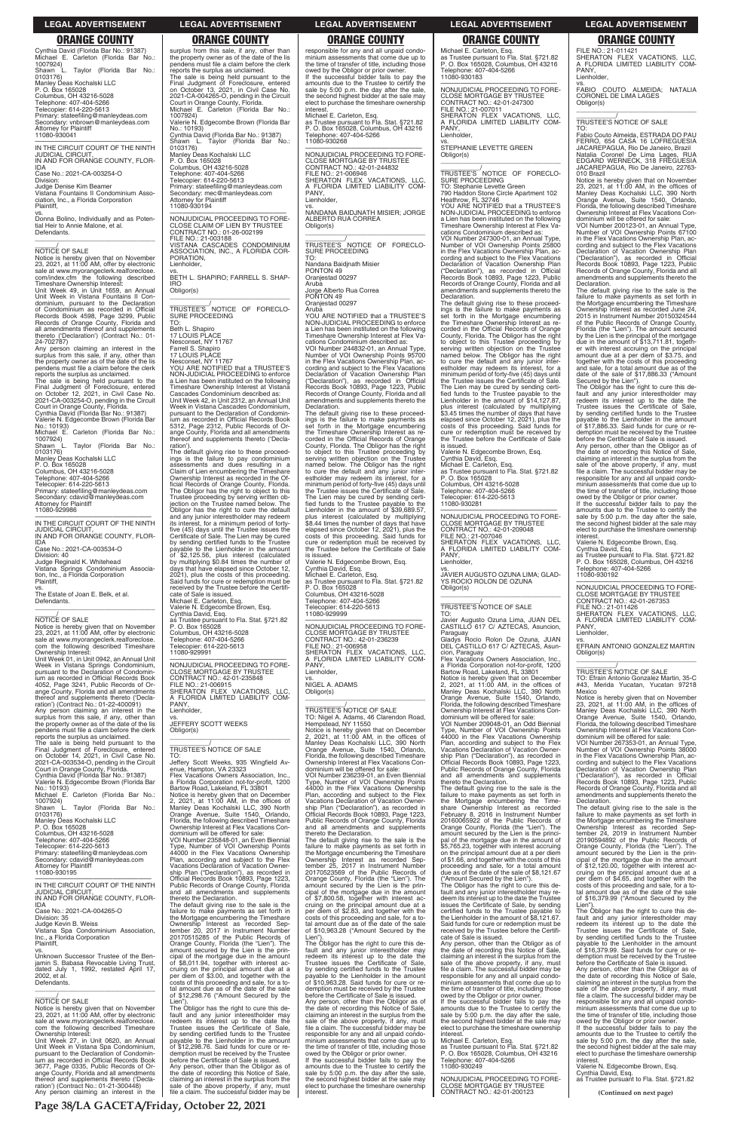responsible for any and all unpaid condominium assessments that come due up to the time of transfer of title, including those owed by the Obligor or prior owner. If the successful bidder fails to pay the amounts due to the Trustee to certify the sale by 5:00 p.m. the day after the sale, the second highest bidder at the sale may elect to purchase the timeshare ownership interest.

Michael E. Carleton, Esq. as Trustee pursuant to Fla. Stat. §721.82 P. O. Box 165028, Columbus, OH 43216 Telephone: 407-404-5266 11080-930268

Aruba YOU ARE NOTIFIED that a TRUSTEE'S NON-JUDICIAL PROCEEDING to enforce a Lien has been instituted on the following Timeshare Ownership Interest at Flex Vacations Condominium described as: VOI Number 244832-01, an Annual Type, Number of VOI Ownership Points 95700 in the Flex Vacations Ownership Plan, according and subject to the Flex Vacations Declaration of Vacation Ownership Plan ("Declaration"), as recorded in Official Records Book 10893, Page 1223, Public Records of Orange County, Florida and all amendments and supplements thereto the **Declaration** 

—————————————————— NONJUDICIAL PROCEEDING TO FORE-CLOSE MORTGAGE BY TRUSTEE CONTRACT NO.: 42-01-244832 FILE NO.: 21-006946 SHERATON FLEX VACATIONS, LLC, A FLORIDA LIMITED LIABILITY COM-PANY, Lienholder,

vs. NANDANA BAIDJNATH MISIER; JORGE ALBERTO RUA CORREA Obligor(s) \_\_\_\_\_\_\_\_\_\_\_\_\_\_\_\_\_\_\_\_\_\_\_\_\_\_\_\_\_\_\_\_\_

\_\_\_\_\_\_\_\_\_\_\_/ TRUSTEE'S NOTICE OF FORECLO-SURE PROCEEDING TO:

Nandana Baidjnath Misier PONTON 49 Oranjestad 00297 Aruba

Jorge Alberto Rua Correa PONTON 49 Oranjestad 00297

—————————————————— NONJUDICIAL PROCEEDING TO FORE-CLOSE MORTGAGE BY TRUSTEE CONTRACT NO.: 42-01-236239<br>FILE NO.: 21-006958<br>SHERATON FLEX VACATIONS, LLC,<br>A FLORIDA LIMITED LIABILITY COM-

The default giving rise to these proceed-ings is the failure to make payments as set forth in the Mortgage encumbering the Timeshare Ownership Interest as re-corded in the Official Records of Orange County, Florida. The Obligor has the right to object to this Trustee proceeding by serving written objection on the Trustee<br>named below. The Obligor has the right<br>to cure the default and any junior inter-<br>estholder may redeem its interest, for a<br>minimum period of forty-five (45) days until the Trustee issues the Certificate of Sale. The Lien may be cured by sending certified funds to the Trustee payable Lienholder in the amount of \$39,689.57, plus interest (calculated by multiplying \$8.44 times the number of days that have elapsed since October 12, 2021), plus the costs of this proceeding. Said funds for cure or redemption must be received by the Trustee before the Certificate of Sale

The default giving rise to the sale is the failure to make payments as set forth in the Mortgage encumbering the Timeshare Ownership Interest as recorded September 25, 2017 in Instrument Number 20170523569 of the Public Records of Orange County, Florida (the "Lien"). The amount secured by the Lien is the principal of the mortgage due in the amount of \$7,800.58, together with interest accruing on the principal amount due at a per diem of \$2.83, and together with the costs of this proceeding and sale, for a to-tal amount due as of the date of the sale of \$10,963.28 ("Amount Secured by the

is issued. Valerie N. Edgecombe Brown, Esq. Cynthia David, Esq. Michael E. Carleton, Esq. as Trustee pursuant to Fla. Stat. §721.82 P. O. Box 165028 Columbus, OH 43216-5028 Telephone: 407-404-5266 Telecopier: 614-220-5613 11080-929999

\_\_\_\_\_\_\_\_\_\_\_/ TRUSTEE'S NOTICE OF SALE TO: Nigel A. Adams, 46 Clarendon Road, Hempstead, NY 11550 Notice is hereby given that on December<br>2, 2021, at 11:00 AM, in the offices of<br>Manley Deas Kochalski LLC, 390 North<br>Orange Avenue, Suite 1540, Orlando,<br>Florida, the following described Timeshare Ownership Interest at Flex Vacations Condominium will be offered for sale: VOI Number 236239-01, an Even Biennial

Type, Number of VOI Ownership Points 44000 in the Flex Vacations Ownership Plan, according and subject to the Flex Vacations Declaration of Vacation Ownership Plan ("Declaration"), as recorded in Official Records Book 10893, Page 1223, Public Records of Orange County, Florida

0103176) Manley Deas Kochalski LLC

and all amendments and supplements thereto the Declaration.

Lien"). The Obligor has the right to cure this de-fault and any junior interestholder may redeem its interest up to the date the Trustee issues the Certificate of Sale, by sending certified funds to the Trustee payable to the Lienholder in the amount of \$10,963.28. Said funds for cure or redemption must be received by the Trustee before the Certificate of Sale is issued. Any person, other than the Obligor as of the date of recording this Notice of Sale, claiming an interest in the surplus from the sale of the above property, if any, must file a claim. The successful bidder may be responsible for any and all unpaid condominium assessments that come due up to the time of transfer of title, including those owed by the Obligor or prior owner. If the successful bidder fails to pay the amounts due to the Trustee to certify the sale by 5:00 p.m. the day after the sale,

the second highest bidder at the sale may elect to purchase the timeshare ownership

Cynthia David (Florida Bar No.: 91387) Shawn L. Taylor (Florida Bar No.:

Manley Deas Kochalski LLC P. O. Box 165028 Columbus, OH 43216-5028 Telephone: 407-404-5266 Telecopier: 614-220-5613

Cynthia David (Florida Bar No.: 91387) Michael E. Carleton (Florida Bar No.: 1007924) Shawn L. Taylor (Florida Bar No.: 0103176) Manley Deas Kochalski LLC P. O. Box 165028 Columbus, OH 43216-5028 Telephone: 407-404-5266 Telecopier: 614-220-5613 Primary: stateefiling@manleydeas.com Secondary: vnbrown@manleydeas.com Attorney for Plaintiff 11080-930041

—————————————————— IN THE CIRCUIT COURT OF THE NINTH JUDICIAL CIRCUIT, IN AND FOR ORANGE COUNTY, FLOR-IDA

Case No.: 2021-CA-003254-O Division:

Judge Denise Kim Beamer

Vistana Fountains II Condominium Asso-ciation, Inc., a Florida Corporation Plaintiff,

vs. Donna Bolino, Individually and as Potential Heir to Annie Malone, et al. Defendants. \_\_\_\_\_\_\_\_\_\_\_\_\_\_\_\_\_\_\_\_\_\_\_\_\_\_\_\_\_\_\_\_\_

# $\frac{\gamma}{\text{NOTICE}}$  OF SALE

Notice is hereby given that on November 23, 2021, at 11:00 AM, offer by electronic sale at www.myorangeclerk.realforeclose. com/index.cfm the following described Timeshare Ownership Interest:

Unit Week 49, in Unit 1659, an Annual Unit Week in Vistana Fountains II Condominium, pursuant to the Declaration of Condominium as recorded in Official Records Book 4598, Page 3299, Public Records of Orange County, Florida and all amendments thereof and supplements thereto ('Declaration') (Contract No.: 01- 24-702787)

> \_\_\_\_\_\_\_\_\_\_\_\_\_\_\_\_\_\_\_\_\_\_\_\_\_\_\_\_\_\_\_\_\_ Jeffery Scott Weeks, 935 Wingfield Av-enue, Hampton, VA 23323 Flex Vacations Owners Association, Inc.

Any person claiming an interest in the surplus from this sale, if any, other than the property owner as of the date of the lis pendens must file a claim before the clerk reports the surplus as unclaimed.

The sale is being held pursuant to the<br>Final Judgment of Foreclosure, entered<br>on October 12, 2021, in Civil Case No.<br>2021-CA-003254-O, pending in the Circuit<br>Court in Orange County, Florida.<br>Cynthia David (Florida Bar No.:

Valerie N. Edgecombe Brown (Florida Bar No.: 10193)

Michael E. Carleton (Florida Bar No.: 1007924) Shawn L. Taylor (Florida Bar No.:

P. O. Box 165028 Columbus, OH 43216-5028

Telephone: 407-404-5266 Telecopier: 614-220-5613

Primary: stateefiling@manleydeas.com Secondary: cdavid@manleydeas.com Attorney for Plaintiff 11080-929986

—————————————————— IN THE CIRCUIT COURT OF THE NINTH JUDICIAL CIRCUIT, IN AND FOR ORANGE COUNTY, FLOR-

IDA Case No.: 2021-CA-003534-O Division: 40 Judge Reginald K. Whitehead Vistana Springs Condominium Associa-tion, Inc., a Florida Corporation Plaintiff,

vs. The Estate of Joan E. Belk, et al. Defendants.

# $\frac{\gamma}{\text{NOTICE}}$  OF SALE

—————————————————— NONJUDICIAL PROCEEDING TO FORE-CLOSE MORTGAGE BY TRUSTEE CONTRACT NO.: 42-01-247300 FILE NO.: 21-007011 SHERATON FLEX VACATIONS, LLC, A FLORIDA LIMITED LIABILITY COM-A FLC<br>PANY. Lienholder

\_\_\_\_\_\_\_\_\_\_\_\_\_\_\_\_\_\_\_\_\_\_\_\_\_\_\_\_\_\_\_\_\_

Notice is hereby given that on November 23, 2021, at 11:00 AM, offer by electronic sale at www.myorangeclerk.realforeclose. com the following described Timeshare Ownership Interest:

PANY, Lienholder, vs. NIGEL A. ADAMS Obligor(s) \_\_\_\_\_\_\_\_\_\_\_\_\_\_\_\_\_\_\_\_\_\_\_\_\_\_\_\_\_\_\_\_\_ FILE NO.: 21-006915 SHERATON FLEX VACATIONS, LLC, A FLORIDA LIMITED LIABILITY COM-

Unit Week 01, in Unit 0942, an Annual Unit Week in Vistana Springs Condominium, pursuant to the Declaration of Condominium as recorded in Official Records Book 4052, Page 3241, Public Records of Orange County, Florida and all amendments thereof and supplements thereto ('Decla-ration') (Contract No.: 01-22-400091)

The default giving rise to these proceed-ings is the failure to make payments as set forth in the Mortgage encumbering the Timeshare Ownership Interest as re-corded in the Official Records of Orange County, Florida. The Obligor has the right to object to this Trustee proceeding by serving written objection on the Trustee named below. The Obligor has the right to cure the default and any junior inter-estholder may redeem its interest, for a minimum period of forty-five (45) days until the Trustee issues the Certificate of Sale. The Lien may be cured by sending certi-fied funds to the Trustee payable to the Lienholder in the amount of \$14,127.87, plus interest (calculated by multiplying \$3.45 times the number of days that have elapsed since October 12, 2021), plus the costs of this proceeding. Said funds for cure or redemption must be received by the Trustee before the Certificate of Sale<br>is issued

Any person claiming an interest in the surplus from this sale, if any, other than the property owner as of the date of the lis pendens must file a claim before the clerk reports the surplus as unclaimed.

The sale is being held pursuant to the Final Judgment of Foreclosure, entered on October 14, 2021, in Civil Case No. 2021-CA-003534-O, pending in the Circuit Court in Orange County, Florida. Cynthia David (Florida Bar No.: 91387)

Valerie N. Edgecombe Brown (Florida Bar No.: 10193) Michael E. Carleton (Florida Bar No.: CLOSE MORTGAGE BY TRUSTEE CONTRACT NO.: 42-01-209048<br>FILE NO.: 21-007046<br>SHERATON FLEX VACATIONS, LLC,<br>A FLORIDA LIMITED LIABILITY COM-

1007924) Shawn L. Taylor (Florida Bar No.: 0103176)

A FLC<br>PANY, Lienholder,

vs. JAVIER AUGUSTO OZUNA LIMA; GLAD-YS ROCIO ROLON DE OZUNA Obligor(s)  $\overline{\phantom{a}}$  , and the set of the set of the set of the set of the set of the set of the set of the set of the set of the set of the set of the set of the set of the set of the set of the set of the set of the set of the s

Manley Deas Kochalski LLC P. O. Box 165028

Columbus, OH 43216-5028

Telephone: 407-404-5266 Telecopier: 614-220-5613 Primary: stateefiling@manleydeas.com Secondary: cdavid@manleydeas.com Attorney for Plaintiff 11080-930195

Notice is hereby given that on December<br>2, 2021, at 11:00 AM, in the offices of<br>Manley Deas Kochalski LLC, 390 North<br>Orange Avenue, Suite 1540, Orlando,<br>Florida, the following described Timeshare Ownership Interest at Flex Vacations Con-

—————————————————— IN THE CIRCUIT COURT OF THE NINTH JUDICIAL CIRCUIT, IN AND FOR ORANGE COUNTY, FLOR-IDA Case No.: 2021-CA-004265-O Division: 35 Judge Kevin B. Weiss Vistana Spa Condominium Association, Inc., a Florida Corporation Plaintiff, vs. Unknown Successor Trustee of the Ben-

jamin S. Babasa Revocable Living Trust, dated July 1, 1992, restated April 17, 2002, et al. Defendants.

 $\overline{\phantom{a}}$  , and the set of the set of the set of the set of the set of the set of the set of the set of the set of the set of the set of the set of the set of the set of the set of the set of the set of the set of the s

 $\frac{\gamma}{\text{NOTICE}}$  OF SALE

Notice is hereby given that on November 23, 2021, at 11:00 AM, offer by electronic sale at www.myorangeclerk.realforeclose. com the following described Timeshare Ownership Interest: Unit Week 27, in Unit 0620, an Annual

Unit Week in Vistana Spa Condominium, pursuant to the Declaration of Condominium as recorded in Official Records Book 3677, Page 0335, Public Records of Orange County, Florida and all amendments thereof and supplements thereto ('Decla-ration') (Contract No.: 01-21-300448) Any person claiming an interest in the surplus from this sale, if any, other than the property owner as of the date of the lis pendens must file a claim before the clerk reports the surplus as unclaimed. The sale is being held pursuant to the Final Judgment of Foreclosure, entered on October 13, 2021, in Civil Case No. 2021-CA-004265-O, pending in the Circuit Court in Orange County, Florida. Michael E. Carleton (Florida Bar No.:

vs. FABIO COUTO ALMEIDA; NATALIA CORONEL DE LIMA LAGES Obligor(s)  $\overline{\phantom{a}}$  , and the set of the set of the set of the set of the set of the set of the set of the set of the set of the set of the set of the set of the set of the set of the set of the set of the set of the set of the s

1007924)

Valerie N. Edgecombe Brown (Florida Bar

No.: 10193)

0103176)

010 Brazil<br>Notice is hereby given that on November<br>23, 2021, at 11:00 AM, in the offices of<br>Manley Deas Kochalski LLC, 390 North<br>Orange Avenue, Suite 1540, Orlando,<br>Florida, the following described Timeshare<br>Ownership Inte dominium will be offered for sale:

Primary: stateefiling@manleydeas.com Secondary: mec@manleydeas.com Attorney for Plaintiff 11080-930194

—————————————————— NONJUDICIAL PROCEEDING TO FORE-CLOSE CLAIM OF LIEN BY TRUSTEE

CONTRACT NO.: 01-26-002199 FILE NO.: 21-003188

VISTANA CASCADES CONDOMINIUM ASSOCIATION, INC., A FLORIDA COR-

PORATION, Lienholder,

SURE PROCEEDING

vs. BETH L. SHAPIRO; FARRELL S. SHAP-

IRO Obligor(s)

\_\_\_\_\_\_\_\_\_\_\_\_\_\_\_\_\_\_\_\_\_\_\_\_\_\_\_\_\_\_\_\_\_ \_\_\_\_\_\_\_\_\_\_\_/ TRUSTEE'S NOTICE OF FORECLO-

TO: Beth L. Shaniro 17 LOUIS PLACE Nesconset, NY 11767 Farrell S. Shapiro 17 LOUIS PLACE

> responsible for any and all unpaid condo-minium assessments that come due up to the time of transfer of title, including those owed by the Obligor or prior owner

Nesconset, NY 11767 YOU ARE NOTIFIED that a TRUSTEE'S NON-JUDICIAL PROCEEDING to enforce a Lien has been instituted on the following Timeshare Ownership Interest at Vistana Cascades Condominium described as: Unit Week 42, in Unit 2312, an Annual Unit Week in Vistana Cascades Condominium, pursuant to the Declaration of Condominium as recorded in Official Records Book 5312, Page 2312, Public Records of Orange County, Florida and all amendments thereof and supplements thereto ('Decla-

> If the successful bidder fails to pay the amounts due to the Trustee to certify the sale by 5:00 p.m. the day after the sale, the second highest bidder at the sale may elect to purchase the timeshare ownership **interest**

ration').

Notice is hereby given that on November 23, 2021, at 11:00 AM, in the offices of Manley Deas Kochalski LLC, 390 North Orange Avenue, Suite 1540, Orlando, Florida, the following described Timeshare Ownership Interest at Flex Vacations Con-<br>dominium will be offered for sale:

The default giving rise to these proceed-ings is the failure to pay condominium assessments and dues resulting in a Claim of Lien encumbering the Timeshare Ownership Interest as recorded in the Official Records of Orange County, Florida. The Obligor has the right to object to this Trustee proceeding by serving written ob-jection on the Trustee named below. The Obligor has the right to cure the default and any junior interestholder may redeem its interest, for a minimum period of fortyfive (45) days until the Trustee issues the Certificate of Sale. The Lien may be cured by sending certified funds to the Trustee payable to the Lienholder in the amount of \$2,125.56, plus interest (calculated by multiplying \$0.84 times the number of days that have elapsed since October 12, 2021), plus the costs of this proceeding. Said funds for cure or redemption must be received by the Trustee before the Certifi-

cate of Sale is issued. Michael E. Carleton, Esq.

Valerie N. Edgecombe Brown, Esq. Cynthia David, Esq.

as Trustee pursuant to Fla. Stat. §721.82 P. O. Box 165028 Columbus, OH 43216-5028 —————————————————— NONJUDICIAL PROCEEDING TO FORE-

Telephone: 407-404-5266 Telecopier: 614-220-5613 11080-929991

> interest. **(Continued on next page)** CLOSE MORTGAGE BY TRUSTEE CONTRACT NO.: 42-01-200123 —————————————————— NONJUDICIAL PROCEEDING TO FORE-

CLOSE MORTGAGE BY TRUSTEE CONTRACT NO.: 42-01-235848

vs. JEFFERY SCOTT WEEKS

Obligor(s)

\_\_\_\_\_\_\_\_\_\_\_/ TRUSTEE'S NOTICE OF SALE

PANY Lienholder.

TO:

a Florida Corporation not-for-profit, 1200 Bartow Road, Lakeland, FL 33801 Notice is hereby given that on December 2, 2021, at 11:00 AM, in the offices of Manley Deas Kochalski LLC, 390 North Orange Avenue, Suite 1540, Orlando, Florida, the following described Timeshare Ownership Interest at Flex Vacations Con-

dominium will be offered for sale: VOI Number 235848-01, an Even Biennial Type, Number of VOI Ownership Points 44000 in the Flex Vacations Ownership Plan, according and subject to the Flex Vacations Declaration of Vacation Ownership Plan ("Declaration"), as recorded in Official Records Book 10893, Page 1223, Public Records of Orange County, Florida and all amendments and supplements thereto the Declaration.

The default giving rise to the sale is the failure to make payments as set forth in the Mortgage encumbering the Timeshare Ownership Interest as recorded Sep-tember 20, 2017 in Instrument Number 20170515285 of the Public Records of Orange County, Florida (the "Lien"). The amount secured by the Lien is the principal of the mortgage due in the amount of \$8,011.94, together with interest ac-cruing on the principal amount due at a per diem of \$3.00, and together with the costs of this proceeding and sale, for a to-tal amount due as of the date of the sale of \$12,298.76 ("Amount Secured by the

Lien"). The Obligor has the right to cure this default and any junior interestholder may redeem its interest up to the date the Trustee issues the Certificate of Sale, by sending certified funds to the Trustee payable to the Lienholder in the amount of \$12,298.76. Said funds for cure or redemption must be received by the Trustee before the Certificate of Sale is issued. Any person, other than the Obligor as of the date of recording this Notice of Sale, claiming an interest in the surplus from the sale of the above property, if any, must file a claim. The successful bidder may be

Michael E. Carleton, Esq. as Trustee pursuant to Fla. Stat. §721.82 P. O. Box 165028, Columbus, OH 43216 Telephone: 407-404-5266 11080-930183

vs. STEPHANIE LEVETTE GREEN Obligor(s) \_\_\_\_\_\_\_\_\_\_\_\_\_\_\_\_\_\_\_\_\_\_\_\_\_\_\_\_\_\_\_\_\_

\_\_\_\_\_\_\_\_\_\_\_/ TRUSTEE'S NOTICE OF FORECLO-SURE PROCEEDING TO: Stephanie Levette Green

790 Haddon Stone Circle Apartment 102 Heathrow, FL 32746 YOU ARE NOTIFIED that a TRUSTEE'S NON-JUDICIAL PROCEEDING to enforce a Lien has been instituted on the following Timeshare Ownership Interest at Flex Va-

cations Condominium described as: VOI Number 247300-01, an Annual Type, Number of VOI Ownership Points 25800 in the Flex Vacations Ownership Plan, ac-cording and subject to the Flex Vacations Declaration of Vacation Ownership Plan ("Declaration"), as recorded in Official Records Book 10893, Page 1223, Public Records of Orange County, Florida and all amendments and supplements thereto the Declaration.

is issued. Valerie N. Edgecombe Brown, Esq. Cynthia David, Esq. Michael E. Carleton, Esq. as Trustee pursuant to Fla. Stat. §721.82 P. O. Box 165028

Columbus, OH 43216-5028 Telephone: 407-404-5266 Telecopier: 614-220-5613

11080-930281 —————————————————— NONJUDICIAL PROCEEDING TO FORE-

# \_\_\_\_\_\_\_\_\_\_\_/ TRUSTEE'S NOTICE OF SALE

TO: Javier Augusto Ozuna Lima, JUAN DEL CASTILLO 617 C/ AZTECAS, Asuncion,

Paraguay Gladys Rocio Rolon De Ozuna, JUAN DEL CASTILLO 617 C/ AZTECAS, Asuncion, Paraguay

Flex Vacations Owners Association, Inc., a Florida Corporation not-for-profit, 1200 Bartow Road, Lakeland, FL 33801

dominium will be offered for sale: VOI Number 209048-01, an Odd Biennial Type, Number of VOI Ownership Points 44000 in the Flex Vacations Ownership Plan, according and subject to the Flex Vacations Declaration of Vacation Ownership Plan ("Declaration"), as recorded in Official Records Book 10893, Page 1223, Public Records of Orange County, Florida and all amendments and supplements thereto the Declaration.

The default giving rise to the sale is the failure to make payments as set forth in the Mortgage encumbering the Timeshare Ownership Interest as recorded February 8, 2016 in Instrument Number 20160065922 of the Public Records of Orange County, Florida (the "Lien"). The amount secured by the Lien is the princi-

pal of the mortgage due in the amount of \$5,765.23, together with interest accruing on the principal amount due at a per diem of \$1.66, and together with the costs of this proceeding and sale, for a total amount due as of the date of the sale of \$8,121.67 ("Amount Secured by the Lien").

The Obligor has the right to cure this default and any junior interestholder may redeem its interest up to the date the Trustee issues the Certificate of Sale, by sending certified funds to the Trustee payable to the Lienholder in the amount of \$8,121.67. Said funds for cure or redemption must be received by the Trustee before the Certificate of Sale is issued.

Any person, other than the Obligor as of the date of recording this Notice of Sale, claiming an interest in the surplus from the sale of the above property, if any, must file a claim. The successful bidder may be responsible for any and all unpaid condominium assessments that come due up to the time of transfer of title, including those owed by the Obligor or prior owner. If the successful bidder fails to pay the amounts due to the Trustee to certify the sale by 5:00 p.m. the day after the sale, the second highest bidder at the sale may elect to purchase the timeshare ownership interest.

Michael E. Carleton, Esq. as Trustee pursuant to Fla. Stat. §721.82 P. O. Box 165028, Columbus, OH 43216 Telephone: 407-404-5266 11080-930249

FILE NO.: 21-011421 SHERATON FLEX VACATIONS, LLC, A FLORIDA LIMITED LIABILITY COM-PANY, Lienholder,

\_\_\_\_\_\_\_\_\_\_\_/ TRUSTEE'S NOTICE OF SALE

TO: Fabio Couto Almeida, ESTRADA DO PAU FERRO, 654 CASA 16 LOFREGUESIA JACAREPAGUA, Rio De Janeiro, Brazil Natalia Coronel De Lima Lages, RUA EDGARD WERNECK, 318 FREGUESIA JACAREPAGUA, Rio De Janeiro, 22763-

VOI Number 200123-01, an Annual Type, Number of VOI Ownership Points 67100 in the Flex Vacations Ownership Plan, according and subject to the Flex Vacations Declaration of Vacation Ownership Plan ("Declaration"), as recorded in Official Records Book 10893, Page 1223, Public Records of Orange County, Florida and all amendments and supplements thereto the Declaration.

The default giving rise to the sale is the failure to make payments as set forth in the Mortgage encumbering the Timeshare Ownership Interest as recorded June 24, 2015 in Instrument Number 20150324544 of the Public Records of Orange County, Florida (the "Lien"). The amount secured by the Lien is the principal of the mortgage due in the amount of \$13,711.81, together with interest accruing on the principal amount due at a per diem of \$3.75, and together with the costs of this proceeding and sale, for a total amount due as of the date of the sale of \$17,886.33 ("Amount

Secured by the Lien"). The Obligor has the right to cure this de-fault and any junior interestholder may redeem its interest up to the date the Trustee issues the Certificate of Sale, by sending certified funds to the Trustee payable to the Lienholder in the amount of \$17,886.33. Said funds for cure or redemption must be received by the Trustee before the Certificate of Sale is issued. Any person, other than the Obligor as of the date of recording this Notice of Sale, claiming an interest in the surplus from the sale of the above property, if any, must file a claim. The successful bidder may be

Valerie N. Edgecombe Brown, Esq.

Cynthia David, Esq. as Trustee pursuant to Fla. Stat. §721.82 P. O. Box 165028, Columbus, OH 43216 Telephone: 407-404-5266 11080-930192

—————————————————— NONJUDICIAL PROCEEDING TO FORE-CLOSE MORTGAGE BY TRUSTEE CONTRACT NO.: 42-01-267353 FILE NO.: 21-011426 SHERATON FLEX VACATIONS, LLC, A FLORIDA LIMITED LIABILITY COM-

PANY, Lienholder,

vs. EFRAIN ANTONIO GONZALEZ MARTIN Obligor(s) \_\_\_\_\_\_\_\_\_\_\_\_\_\_\_\_\_\_\_\_\_\_\_\_\_\_\_\_\_\_\_\_\_

# \_\_\_\_\_\_\_\_\_\_\_/ TRUSTEE'S NOTICE OF SALE

TO: Efrain Antonio Gonzalez Martin, 35-C #43, Merida Yucatan, Yucatan 97218 Mexico

dominium will be offered for sale: VOI Number 267353-01, an Annual Type, Number of VOI Ownership Points 38000 in the Flex Vacations Ownership Plan, according and subject to the Flex Vacations Declaration of Vacation Ownership Plan ("Declaration"), as recorded in Official Records Book 10893, Page 1223, Public Records of Orange County, Florida and all amendments and supplements thereto the Declaration.

The default giving rise to the sale is the failure to make payments as set forth in the Mortgage encumbering the Timeshare Ownership Interest as recorded Sep-tember 24, 2019 in Instrument Number 20190594892 of the Public Records of Orange County, Florida (the "Lien"). The amount secured by the Lien is the principal of the mortgage due in the amount of \$12,120.00, together with interest accruing on the principal amount due at a per diem of \$4.65, and together with the costs of this proceeding and sale, for a to-tal amount due as of the date of the sale of \$16,379.99 ("Amount Secured by the Lien") The Obligor has the right to cure this de-fault and any junior interestholder may redeem its interest up to the date the Trustee issues the Certificate of Sale, by sending certified funds to the Trustee payable to the Lienholder in the amount of \$16,379.99. Said funds for cure or redemption must be received by the Trustee before the Certificate of Sale is issued. Any person, other than the Obligor as of the date of recording this Notice of Sale, claiming an interest in the surplus from the sale of the above property, if any, must file a claim. The successful bidder may be responsible for any and all unpaid condominium assessments that come due up to the time of transfer of title, including those owed by the Obligor or prior owner. If the successful bidder fails to pay the amounts due to the Trustee to certify the sale by 5:00 p.m. the day after the sale, the second highest bidder at the sale may elect to purchase the timeshare ownership interest. Valerie N. Edgecombe Brown, Esq. Cynthia David, Esq. as Trustee pursuant to Fla. Stat. §721.82

**LEGAL ADVERTISEMENT LEGAL ADVERTISEMENT LEGAL ADVERTISEMENT LEGAL ADVERTISEMENT LEGAL ADVERTISEMENT**

### **ORANGE COUNTY ORANGE COUNTY ORANGE COUNTY ORANGE COUNTY ORANGE COUNTY**

**Page 38/LA GACETA/Friday, October 22, 2021**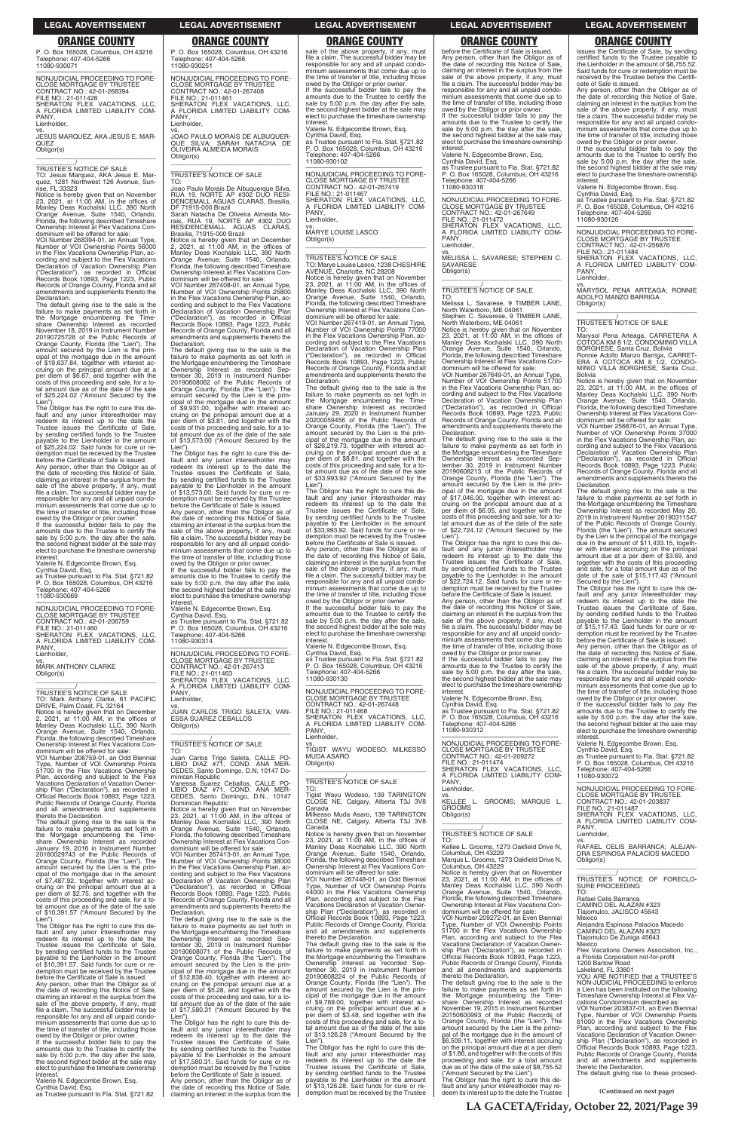**(Continued on next page)**

P. O. Box 165028, Columbus, OH 43216

Telephone: 407-404-5266 11080-930251

PANY **Lienholder** 

—————————————————— NONJUDICIAL PROCEEDING TO FORE-CLOSE MORTGAGE BY TRUSTEE CONTRACT NO.: 42-01-267408

FILE NO.: 21-011461 SHERATON FLEX VACATIONS, LLC, A FLORIDA LIMITED LIABILITY COM-

vs. JOAO PAULO MORAIS DE ALBUQUER-QUE SILVA; SARAH NATACHA DE OLIVEIRA ALMEIDA MORAIS

Obligor(s)

\_\_\_\_\_\_\_\_\_\_\_\_\_\_\_\_\_\_\_\_\_\_\_\_\_\_\_\_\_\_\_\_\_ \_\_\_\_\_\_\_\_\_\_\_/ TRUSTEE'S NOTICE OF SALE

TO:

Joao Paulo Morais De Albuquerque Silva, RUA 19, NORTE AP #302 DUO RESI-DENCEMALL AGUAS CLARAS, Brasilia, DF 71915-000 Brazil Sarah Natacha De Oliveira Almeida Morais, RUA 19, NORTE AP #302 DUO RESIDENCEMALL AGUAS CLARAS, Brasilia, 71915-000 Brazil

Notice is hereby given that on December<br>2, 2021, at 11:00 AM, in the offices of<br>Manley Deas Kochalski LLC, 390 North<br>Orange Avenue, Suite 1540, Orlando,<br>Florida, the following described Timeshare

payable to the Lienholder in the amount of \$13,573.00. Said funds for cure or re-demption must be received by the Trustee before the Certificate of Sale is issued. Any person, other than the Obligor as of the date of recording this Notice of Sale, claiming an interest in the surplus from the sale of the above property, if any, must file a claim. The successful bidder may be responsible for any and all unpaid condominium assessments that come due up to the time of transfer of title, including those owed by the Obligor or prior owner. If the successful bidder fails to pay the amounts due to the Trustee to certify the sale by 5:00 p.m. the day after the sale

Ownership Interest at Flex Vacations Condominium will be offered for sale: VOI Number 267408-01, an Annual Type, Number of VOI Ownership Points 25800 in the Flex Vacations Ownership Plan, ac-cording and subject to the Flex Vacations Declaration of Vacation Ownership Plan<br>("Declaration"), as recorded in Official ("Declaration"), as recorded in Official Records Book 10893, Page 1223, Public Records of Orange County, Florida and all amendments and supplements thereto the

Declaration.

The default giving rise to the sale is the failure to make payments as set forth in the Mortgage encumbering the Timeshare Ownership Interest as recorded Sep-tember 30, 2019 in Instrument Number 20190608062 of the Public Records of Orange County, Florida (the "Lien"). The amount secured by the Lien is the prin-cipal of the mortgage due in the amount

of \$9,931.00, together with interest ac-cruing on the principal amount due at a per diem of \$3.81, and together with the

costs of this proceeding and sale, for a to-tal amount due as of the date of the sale of \$13,573.00 ("Amount Secured by the

Lien"). The Obligor has the right to cure this de-fault and any junior interestholder may

redeem its interest up to the date the Trustee issues the Certificate of Sale, by sending certified funds to the Trustee

the second highest bidder at the sale may elect to purchase the timeshare ownership interest. Valerie N. Edgecombe Brown, Esq. Cynthia David, Esq. as Trustee pursuant to Fla. Stat. §721.82 P. O. Box 165028, Columbus, OH 43216 Telephone: 407-404-5266 11080-930314 —————————————————— NONJUDICIAL PROCEEDING TO FORE-

VOI Number 268394-01, an Annual Type, Number of VOI Ownership Points 56000 in the Flex Vacations Ownership Plan, according and subject to the Flex Vacations Declaration of Vacation Ownership Plan ("Declaration"), as recorded in Official Records Book 10893, Page 1223, Public Records of Orange County, Florida and all amendments and supplements thereto the **Declaration** 

> CLOSE MORTGAGE BY TRUSTEE CONTRACT NO.: 42-01-267413 FILE NO.: 21-011463 SHERATON FLEX VACATIONS, LLC, A FLORIDA LIMITED LIABILITY COM-PANY Lienholder,

vs. JUAN CARLOS TRIGO SALETA; VAN-ESSA SUAREZ CEBALLOS Obligor(s)

\_\_\_\_\_\_\_\_\_\_\_\_\_\_\_\_\_\_\_\_\_\_\_\_\_\_\_\_\_\_\_\_\_

\_\_\_\_\_\_\_\_\_\_\_/ TRUSTEE'S NOTICE OF SALE TO:

Juan Carlos Trigo Saleta, CALLE PO-LIBIO DIAZ #71, COND. ANA MER-CEDES, Santo Domingo, D.N, 10147 Do-

minican Republic Vanessa Suarez Ceballos, CALLE PO-LIBIO DIAZ #71, COND. ANA MER-CEDES, Santo Domingo, D.N., 10147

If the successful bidder fails to pay the amounts due to the Trustee to certify the sale by 5:00 p.m. the day after the sale, the second highest bidder at the sale may elect to purchase the timeshare ownership interes

—————————————————— NONJUDICIAL PROCEEDING TO FORE-CLOSE MORTGAGE BY CONTRACT NO.: 42-01-206759 FILE NO.: 21-011460 SHERATON FLEX VACATIONS, LLC, A FLORIDA LIMITED LIABILITY COM-PANY

> Dominican Republic Notice is hereby given that on November 23, 2021, at 11:00 AM, in the offices of Manley Deas Kochalski LLC, 390 North Orange Avenue, Suite 1540, Orlando, Florida, the following described Timeshare Ownership Interest at Flex Vacations Con-dominium will be offered for sale: VOI Number 267413-01, an Annual Type, Number of VOI Ownership Points 38000 in the Flex Vacations Ownership Plan, according and subject to the Flex Vacations Declaration of Vacation Ownership Plan ("Declaration"), as recorded in Official Records Book 10893, Page 1223, Public Records of Orange County, Florida and all amendments and supplements thereto the Declaration. The default giving rise to the sale is the failure to make payments as set forth in the Mortgage encumbering the Timeshare Ownership Interest as recorded Sep-tember 30, 2019 in Instrument Number 20190608071 of the Public Records of Orange County Florida (the "Lien") The Orange County, Florida (the "Lien"). The amount secured by the Lien is the principal of the mortgage due in the amount of \$12,838.40, together with interest ac-cruing on the principal amount due at a per diem of \$5.28, and together with the costs of this proceeding and sale, for a to-tal amount due as of the date of the sale of \$17,580.31 ("Amount Secured by the Lien"). The Obligor has the right to cure this default and any junior interestholder may redeem its interest up to the date the Trustee issues the Certificate of Sale, by sending certified funds to the Trustee payable to the Lienholder in the amount of \$17,580.31. Said funds for cure or redemption must be received by the Trustee before the Certificate of Sale is issued. Any person, other than the Obligor as of the date of recording this Notice of Sale, claiming an interest in the surplus from the

owed by the Obligor or prior owner. If the successful bidder fails to pay the amounts due to the Trustee to certify the sale by 5:00 p.m. the day after the sale, the second highest bidder at the sale may elect to purchase the timeshare ownership interes

P. O. Box 165028, Columbus, OH 43216 Telephone: 407-404-5266 11080-930071

### —————————————————— NONJUDICIAL PROCEEDING TO FORE-CLOSE MORTGAGE BY TRUSTEE CONTRACT NO.: 42-01-268394 FILE NO.: 21-011428 SHERATON FLEX VACATIONS, LLC, A FLORIDA LIMITED LIABILITY COM-PANY,

Lienholder

Valerie N. Edgecombe Brown, Esq. Cynthia David, Esq. as Trustee pursuant to Fla. Stat. §721.82 P. O. Box 165028, Columbus, OH 43216 Telephone: 407-404-5266 Telephone: 407<br>11080-930102

vs. JESUS MARQUEZ, AKA JESUS E. MAR-OLIEZ Obligor(s) \_\_\_\_\_\_\_\_\_\_\_\_\_\_\_\_\_\_\_\_\_\_\_\_\_\_\_\_\_\_\_\_\_

# \_\_\_\_\_\_\_\_\_\_\_/ TRUSTEE'S NOTICE OF SALE

TO: Jesus Marquez, AKA Jesus E. Mar-1281 Northwest 126 Avenue, Sunrise, FL 33323

Notice is hereby given that on November 23, 2021, at 11:00 AM, in the offices of Manley Deas Kochalski LLC, 390 North Orange Avenue, Suite 1540, Orlando, Florida, the following described Timeshare Ownership Interest at Flex Vacations Condominium will be offered for sale:

The default giving rise to the sale is the failure to make payments as set forth in the Mortgage encumbering the Time-share Ownership Interest as recorded November 18, 2019 in Instrument Number 20190725728 of the Public Records of Orange County, Florida (the "Lien"). The amount secured by the Lien is the principal of the mortgage due in the amount of \$19,637.84, together with interest accruing on the principal amount due at a per diem of \$6.67, and together with the costs of this proceeding and sale, for a total amount due as of the date of the sale of \$25,224.02 ("Amount Secured by the Lien").

> amounts due to the Trustee to certify the sale by 5:00 p.m. the day after the sale, the second highest bidder at the sale may elect to purchase the timeshare ownership

> TIGIST WAYU WODESO; MILKESSO MUDA ASARO Obligor(s) \_\_\_\_\_\_\_\_\_\_\_\_\_\_\_\_\_\_\_\_\_\_\_\_\_\_\_\_\_\_\_\_\_

The Obligor has the right to cure this default and any junior interestholder may redeem its interest up to the date the Trustee issues the Certificate of Sale, by sending certified funds to the Trustee payable to the Lienholder in the amount of \$25,224.02. Said funds for cure or redemption must be received by the Trustee before the Certificate of Sale is issued.

Any person, other than the Obligor as of the date of recording this Notice of Sale, claiming an interest in the surplus from the sale of the above property, if any, must file a claim. The successful bidder may be responsible for any and all unpaid condominium assessments that come due up to the time of transfer of title, including those owed by the Obligor or prior owner.

Valerie N. Edgecombe Brown, Esq. Cynthia David, Esq. as Trustee pursuant to Fla. Stat. §721.82 P. O. Box 165028, Columbus, OH 43216 Telephone: 407-404-5266 11080-930069

Lienholder,

vs. MARK ANTHONY CLARKE Obligor(s) \_\_\_\_\_\_\_\_\_\_\_\_\_\_\_\_\_\_\_\_\_\_\_\_\_\_\_\_\_\_\_\_\_

\_\_\_\_\_\_\_\_\_\_\_/ TRUSTEE'S NOTICE OF SALE TO: Mark Anthony Clarke, 61 PACIFIC DRIVE, Palm Coast, FL 32164 Notice is hereby given that on December 2, 2021, at 11:00 AM, in the offices of Manley Deas Kochalski LLC, 390 North Orange Avenue, Suite 1540, Orlando, Florida, the following described Timeshare Ownership Interest at Flex Vacations Con-dominium will be offered for sale:

Notice is hereby given that on November<br>23, 2021, at 11:00 AM, in the offices of<br>Manley Deas Kochalski LLC, 390 North<br>Orange Avenue, Suite 1540, Orlando,<br>Florida, the following described Timeshare Ownership Interest at Flex Vacations Con-

VOI Number 206759-01, an Odd Biennial Type, Number of VOI Ownership Points 51700 in the Flex Vacations Ownership Plan, according and subject to the Flex Vacations Declaration of Vacation Owner-ship Plan ("Declaration"), as recorded in Official Records Book 10893, Page 1223, Public Records of Orange County, Florida and all amendments and supplements thereto the Declaration.

The default giving rise to the sale is the failure to make payments as set forth in the Mortgage encumbering the Timeshare Ownership Interest as recorded September 30, 2019 in Instrument Number 20190608213 of the Public Records of Orange County, Florida (the "Lien"). The amount secured by the Lien is the principal of the mortgage due in the amount of \$17,046.00, together with interest accruing on the principal amount due at a per diem of \$6.05, and together with the costs of this proceeding and sale, for a total amount due as of the date of the sale of \$22,724.12 ("Amount Secured by the Lien")

The default giving rise to the sale is the failure to make payments as set forth in

the Mortgage encumbering the Time-share Ownership Interest as recorded January 19, 2016 in Instrument Number 20160029743 of the Public Records of Orange County, Florida (the "Lien"). The amount secured by the Lien is the principal of the mortgage due in the amount of \$7,487.92, together with interest ac-cruing on the principal amount due at a per diem of \$2.75, and together with the costs of this proceeding and sale, for a to-tal amount due as of the date of the sale of \$10,391.57 ("Amount Secured by the Lien"). The Obligor has the right to cure this de-

fault and any junior interestholder may redeem its interest up to the date the Trustee issues the Certificate of Sale, by sending certified funds to the Trustee payable to the Lienholder in the amount of \$10,391.57. Said funds for cure or redemption must be received by the Trustee

FLORIDA LIMITED LIABILITY COM-A FLC<br>PANY, Lienholder,

before the Certificate of Sale is issued. Any person, other than the Obligor as of the date of recording this Notice of Sale, claiming an interest in the surplus from the sale of the above property, if any, must file a claim. The successful bidder may be responsible for any and all unpaid condo-minium assessments that come due up to the time of transfer of title, including those

Valerie N. Edgecombe Brown, Esq. Cynthia David, Esq. as Trustee pursuant to Fla. Stat. §721.82

sale of the above property, if any, must file a claim. The successful bidder may be responsible for any and all unpaid condominium assessments that come due up to the time of transfer of title, including those owed by the Obligor or prior owner. If the successful bidder fails to pay the amounts due to the Trustee to certify the sale by 5:00 p.m. the day after the sale, the second highest bidder at the sale may elect to purchase the timeshare ownership interest.

> Valerie N. Edgecombe Brown, Esq. Cynthia David, Esq. as Trustee pursuant to Fla. Stat. §721.82 P. O. Box 165028, Columbus, OH 43216 Telephone: 407-404-5266 Telephone: 407<br>11080-930126

—————————————————— NONJUDICIAL PROCEEDING TO FORE-CLOSE MORTGAGE BY TRUSTEE CONTRACT NO.: 42-01-267419 FILE NO.: 21-011467 SHERATON FLEX VACATIONS, LLC, A FLORIDA LIMITED LIABILITY COM-PANY, Lienholder,

vs. MARYE LOUISE LASCO Obligor(s) \_\_\_\_\_\_\_\_\_\_\_\_\_\_\_\_\_\_\_\_\_\_\_\_\_\_\_\_\_\_\_\_\_

\_\_\_\_\_\_\_\_\_\_\_/ TRUSTEE'S NOTICE OF SALE TO: Marye Louise Lasco, 1238 CHESHIRE AVENUE, Charlotte, NC 28208 Notice is hereby given that on November 23, 2021, at 11:00 AM, in the offices of Manley Deas Kochalski LLC, 390 North Orange Avenue, Suite 1540, Orlando, Florida, the following described Timeshare Ownership Interest at Flex Vacations Con-dominium will be offered for sale:

VOI Number 267419-01, an Annual Type, Number of VOI Ownership Points 77000 in the Flex Vacations Ownership Plan, according and subject to the Flex Vacations<br>Declaration of Vacation Ownership Plan<br>("Declaration"), as recorded in Official<br>Records Book 10893, Page 1223, Public<br>Records of Orange County, Florida and all<br>amendments and suppl Declaration.

The default giving rise to the sale is the failure to make payments as set forth in the Mortgage encumbering the Time-share Ownership Interest as recorded January 29, 2020 in Instrument Number 20200059456 of the Public Records of Orange County, Florida (the "Lien"). The amount secured by the Lien is the principal of the mortgage due in the amount of \$26,219.73, together with interest ac-cruing on the principal amount due at a per diem of \$8.81, and together with the costs of this proceeding and sale, for a to-tal amount due as of the date of the sale of \$33,993.92 ("Amount Secured by the

Lien"). The Obligor has the right to cure this default and any junior interestholder may redeem its interest up to the date the Trustee issues the Certificate of Sale, by sending certified funds to the Trustee payable to the Lienholder in the amount of \$33,993.92. Said funds for cure or redemption must be received by the Trustee before the Certificate of Sale is issued. Any person, other than the Obligor as of the date of recording this Notice of Sale, claiming an interest in the surplus from the sale of the above property, if any, must file a claim. The successful bidder may be responsible for any and all unpaid condominium assessments that come due up to the time of transfer of title, including those owed by the Obligor or prior owner. If the successful bidder fails to pay the

interest. Valerie N. Edgecombe Brown, Esq.

Cynthia David, Esq. as Trustee pursuant to Fla. Stat. §721.82 P. O. Box 165028, Columbus, OH 43216 Telephone: 407-404-5266 11080-930130

—————————————————— NONJUDICIAL PROCEEDING TO FORE-CLOSE MORTGAGE BY TRUSTEE CONTRACT NO.: 42-01-267448 FILE NO.: 21-011468 SHERATON FLEX VACATIONS, LLC, A FLORIDA LIMITED LIABILITY COM-

PANY, Lienholder, vs.

# \_\_\_\_\_\_\_\_\_\_\_/ TRUSTEE'S NOTICE OF SALE

TO: Canada

Tigist Wayu Wodeso, 139 TARINGTON CLOSE NE, Calgary, Alberta T3J 3V8 Milkesso Muda Asaro, 139 TARINGTON CLOSE NE, Calgary, Alberta T3J 3V8

Canada Notice is hereby given that on November 23, 2021, at 11:00 AM, in the offices of Manley Deas Kochalski LLC, 390 North Orange Avenue, Suite 1540, Orlando, Florida, the following described Timeshare Ownership Interest at Flex Vacations Condominium will be offered for sale: VOI Number 267448-01, an Odd Biennial Type, Number of VOI Ownership Points 44000 in the Flex Vacations Ownership Plan, according and subject to the Flex Vacations Declaration of Vacation Owner-ship Plan ("Declaration"), as recorded in Official Records Book 10893, Page 1223, Public Records of Orange County, Florida and all amendments and supplements thereto the Declaration. The default giving rise to the sale is the failure to make payments as set forth in the Mortgage encumbering the Timeshare Ownership Interest as recorded Sep-tember 30, 2019 in Instrument Number 20190608224 of the Public Records of Orange County, Florida (the "Lien"). The amount secured by the Lien is the prin-cipal of the mortgage due in the amount of \$9,769.00, together with interest ac-cruing on the principal amount due at a per diem of \$3.48, and together with the costs of this proceeding and sale, for a to-tal amount due as of the date of the sale of \$13,126.28 ("Amount Secured by the Lien") Obligor has the right to cure this default and any junior interestholder may redeem its interest up to the date the Trustee issues the Certificate of Sale, by sending certified funds to the Trustee before the Certificate of Sale is issued. Any person, other than the Obligor as of the date of recording this Notice of Sale, claiming an interest in the surplus from the sale of the above property, if any, must file a claim. The successful bidder may be responsible for any and all unpaid condominium assessments that come due up to the time of transfer of title, including those owed by the Obligor or prior owner.

If the successful bidder fails to pay the amounts due to the Trustee to certify the sale by 5:00 p.m. the day after the sale. the second highest bidder at the sale may elect to purchase the timeshare ownership interest.

Valerie N. Edgecombe Brown, Esq. Cynthia David, Esq. as Trustee pursuant to Fla. Stat. §721.82

P. O. Box 165028, Columbus, OH 43216 Telephone: 407-404-5266 11080-930318

—————————————————— NONJUDICIAL PROCEEDING TO FORE-CLOSE MORTGAGE BY TRUSTEE CONTRACT NO.: 42-01-267649 FILE NO.: 21-011472 SHERATON FLEX VACATIONS, LLC, FLORIDA LIMITED LIABILITY COM-A FLC<br>PANY, Lienholder,

vs. MELISSA L. SAVARESE; STEPHEN C. SAVARESE Obligor(s) \_\_\_\_\_\_\_\_\_\_\_\_\_\_\_\_\_\_\_\_\_\_\_\_\_\_\_\_\_\_\_\_\_

# \_\_\_\_\_\_\_\_\_\_\_/ TRUSTEE'S NOTICE OF SALE

TO: Melissa L. Savarese, 9 TIMBER LANE, North Waterboro, ME 04061 Stephen C. Savarese, 9 TIMBER LANE, North Waterboro, ME 04061

dominium will be offered for sale: VOI Number 267649-01, an Annual Type, Number of VOI Ownership Points 51700 in the Flex Vacations Ownership Plan, according and subject to the Flex Vacations Declaration of Vacation Ownership Plan ("Declaration"), as recorded in Official Records Book 10893, Page 1223, Public Records of Orange County, Florida and all amendments and supplements thereto the Declaration.

payable to the Lienholder in the amount of \$13,126.28. Said funds for cure or re-demption must be received by the Trustee fault and any junior interestholder may re-deem its interest up to the date the Trustee

The Obligor has the right to cure this default and any junior interestholder may redeem its interest up to the date the Trustee issues the Certificate of Sale, by sending certified funds to the Trustee payable to the Lienholder in the amount of \$22,724.12. Said funds for cure or re-demption must be received by the Trustee before the Certificate of Sale is issued.

Any person, other than the Obligor as of the date of recording this Notice of Sale, claiming an interest in the surplus from the sale of the above property, if any, must file a claim. The successful bidder may be responsible for any and all unpaid condominium assessments that come due up to the time of transfer of title, including those owed by the Obligor or prior owner.

If the successful bidder fails to pay the amounts due to the Trustee to certify the sale by 5:00 p.m. the day after the sale the second highest bidder at the sale may elect to purchase the timeshare ownership interest.

Valerie N. Edgecombe Brown, Esq. Cynthia David, Esq. as Trustee pursuant to Fla. Stat. §721.82 P. O. Box 165028, Columbus, OH 43216 Telephone: 407-404-5266 11080-930312

—————————————————— NONJUDICIAL PROCEEDING TO FORE-CLOSE MORTGAGE BY TRUSTEE CONTRACT NO.: 42-01-209272 FILE NO.: 21-011474 SHERATON FLEX VACATIONS, LLC,

vs. KELLEE L. GROOMS; MARQUS L. GROOMS

Obligor(s)

TO:

issues the Certificate of Sale, by sending certified funds to the Trustee payable to the Lienholder in the amount of \$8,755.52. Said funds for cure or redemption must be received by the Trustee before the Certificate of Sale is issued.

Any person, other than the Obligor as of the date of recording this Notice of Sale, claiming an interest in the surplus from the sale of the above property, if any, must file a claim. The successful bidder may be responsible for any and all unpaid condominium assessments that come due up to the time of transfer of title, including those owed by the Obligor or prior owner.

If the successful bidder fails to pay the amounts due to the Trustee to certify the sale by 5:00 p.m. the day after the sale, the second highest bidder at the sale may elect to purchase the timeshare ownership interest.

—————————————————— NONJUDICIAL PROCEEDING TO FORE-CLOSE MORTGAGE BY TRUSTEE CONTRACT NO.: 42-01-256876 FILE NO.: 21-011484 SHERATON FLEX VACATIONS, LLC, A FLORIDA LIMITED LIABILITY COM-PANY, Lienholder,

vs. MARYSOL PENA ARTEAGA; RONNIE ADOLFO MANZO BARRIGA Obligor(s) \_\_\_\_\_\_\_\_\_\_\_\_\_\_\_\_\_\_\_\_\_\_\_\_\_\_\_\_\_\_\_\_\_

# \_\_\_\_\_\_\_\_\_\_\_/ TRUSTEE'S NOTICE OF SALE

TO: Marysol Pena Arteaga, CARRETERA A COTOCA KM 8 1/2, CONDOMINIO VILLA BORGHESE, Santa Cruz, Bolivia Ronnie Adolfo Manzo Barriga, CARRET-ERA A COTOCA KM 8 1/2, CONDO-MINIO VILLA BORGHESE, Santa Cruz, Bolivia

Notice is hereby given that on November 23, 2021, at 11:00 AM, in the offices of Manley Deas Kochalski LLC, 390 North Orange Avenue, Suite 1540, Orlando, Florida, the following described Timeshare Ownership Interest at Flex Vacations Con-

\_\_\_\_\_\_\_\_\_\_\_\_\_\_\_\_\_\_\_\_\_\_\_\_\_\_\_\_\_\_\_\_\_ \_\_\_\_\_\_\_\_\_\_\_/ TRUSTEE'S NOTICE OF SALE Kellee L. Grooms, 1273 Oakfield Drive N, Columbus, OH 43229 Marqus L. Grooms, 1273 Oakfield Drive N, Columbus, OH 43229 Notice is hereby given that on November 23, 2021, at 11:00 AM, in the offices of Manley Deas Kochalski LLC, 390 North Orange Avenue, Suite 1540, Orlando, Florida, the following described Timeshare Ownership Interest at Flex Vacations Condominium will be offered for sale: VOI Number 209272-01, an Even Biennial Type, Number of VOI Ownership Points For National Controllering Profits<br>1700 in the Flex Vacations Ownership Plan, according and subject to the Flex Vacations Declaration of Vacation Ownership Plan ("Declaration"), as recorded in Official Records Book 10893, Page 1223, Public Records of Orange County, Florida and all amendments and supplements thereto the Declaration. The default giving rise to the sale is the failure to make payments as set forth in the Mortgage encumbering the Timeshare Ownership Interest as recorded November 19, 2015 in Instrument Number 20150600993 of the Public Records of Orange County, Florida (the "Lien"). The amount secured by the Lien is the principal of the mortgage due in the amount of \$6,509.11, together with interest accruing on the principal amount due at a per diem of \$1.86, and together with the costs of this proceeding and sale, for a total amount due as of the date of the sale of \$8,755.52 ("Amount Secured by the Lien"). The Obligor has the right to cure this de-FILE NO.: 21-011487 SHERATON FLEX VACATIONS, LLC, A FLORIDA LIMITED LIABILITY COM-PANY, Lienholder, vs. RAFAEL CELIS BARRANCA; ALEJAN-EL OLLIO BARRINGON, ALLESA Obligor(s) \_\_\_\_\_\_\_\_\_\_\_\_\_\_\_\_\_\_\_\_\_\_\_\_\_\_\_\_\_\_\_\_\_ \_\_\_\_\_\_\_\_\_\_\_/ TRUSTEE'S NOTICE OF FORECLO-SURE PROCEEDING TO: Rafael Celis Barranca CAMINO DEL ALAZAN #323 Tlajomulco, JALISCO 45643 Mexico Alejandra Espinosa Palacios Macedo CAMINO DEL ALAZAN #323 Tlajomulco De Zuniga 45643 Mexico Flex Vacations Owners Association, Inc., a Florida Corporation not-for-profit 1200 Bartow Road Lakeland, FL 33801 YOU ARE NOTIFIED that a TRUSTEE'S NON-JUDICIAL PROCEEDING to enforce a Lien has been instituted on the following NON-JODICIAL PROCEEDING to emotion<br>a Lien has been instituted on the following<br>Timeshare Ownership Interest at Flex Vacations Condominium described as: VOI Number 203837-01, an Even Biennial Type, Number of VOI Ownership Points 81000 in the Flex Vacations Ownership Plan, according and subject to the Flex Vacations Declaration of Vacation Ownership Plan ("Declaration"), as recorded in Official Records Book 10893, Page 1223, Public Records of Orange County, Florida and all amendments and supplements thereto the Declaration. The default giving rise to these proceed-

dominium will be offered for sale: VOI Number 256876-01, an Annual Type, Number of VOI Ownership Points 37000 in the Flex Vacations Ownership Plan, ac-cording and subject to the Flex Vacations Declaration of Vacation Ownership Plan ("Declaration"), as recorded in Official Records Book 10893, Page 1223, Public Records of Orange County, Florida and all amendments and supplements thereto the

Declaration. The default giving rise to the sale is the failure to make payments as set forth in the Mortgage encumbering the Timeshare Ownership Interest as recorded May 20, 2019 in Instrument Number 20190311547 of the Public Records of Orange County, Florida (the "Lien"). The amount secured by the Lien is the principal of the mortgage due in the amount of \$11,433.15, together with interest accruing on the principal amount due at a per diem of \$3.69, and together with the costs of this proceeding and sale, for a total amount due as of the

date of the sale of \$15,117.43 ("Amount Secured by the Lien"). The Obligor has the right to cure this de-

fault and any junior interestholder may redeem its interest up to the date the Trustee issues the Certificate of Sale, by sending certified funds to the Trustee payable to the Lienholder in the amount of \$15,117.43. Said funds for cure or redemption must be received by the Trustee before the Certificate of Sale is issued. Any person, other than the Obligor as of

the date of recording this Notice of Sale, claiming an interest in the surplus from the sale of the above property, if any, must file a claim. The successful bidder may be responsible for any and all unpaid condominium assessments that come due up to the time of transfer of title, including those owed by the Obligor or prior owner. If the successful bidder fails to pay the

amounts due to the Trustee to certify the sale by 5:00 p.m. the day after the sale, the second highest bidder at the sale may elect to purchase the timeshare ownership interest. Valerie N. Edgecombe Brown, Esq.

Cynthia David, Esq. as Trustee pursuant to Fla. Stat. §721.82 P. O. Box 165028, Columbus, OH 43216 Telephone: 407-404-5266 11080-930072

—————————————————— NONJUDICIAL PROCEEDING TO FORE-CLOSE MORTGAGE BY TRUSTEE CONTRACT NO.: 42-01-203837

### **LEGAL ADVERTISEMENT LEGAL ADVERTISEMENT LEGAL ADVERTISEMENT LEGAL ADVERTISEMENT LEGAL ADVERTISEMENT**

**LA GACETA/Friday, October 22, 2021/Page 39**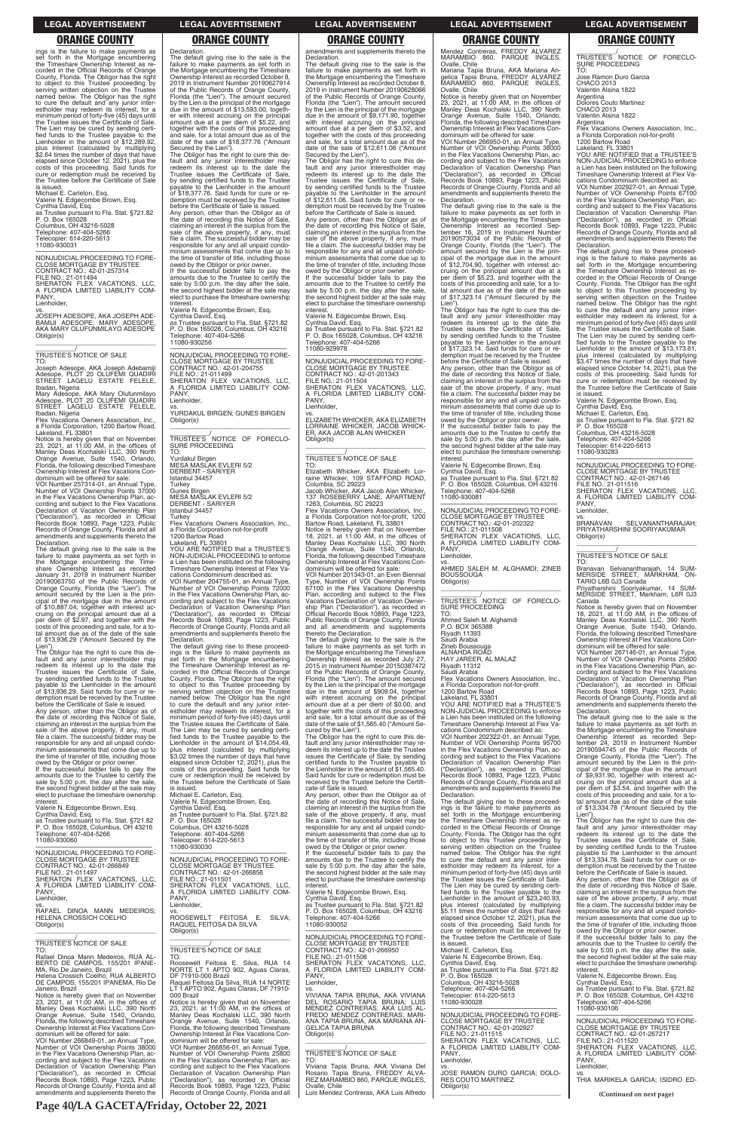ings is the failure to make payments as set forth in the Mortgage encumbering the Timeshare Ownership Interest as recorded in the Official Records of Orange County, Florida. The Obligor has the right to object to this Trustee proceeding by serving written objection on the Trustee named below. The Obligor has the right to cure the default and any junior inter-estholder may redeem its interest, for a minimum period of forty-five (45) days until the Trustee issues the Certificate of Sale. The Lien may be cured by sending certified funds to the Trustee payable to the<br>Lienholder in the amount of \$12,289.92, plus interest (calculated by multiplying<br>\$2.64 times the number of days that have<br>elapsed since October 12, 2021), plus the<br>costs of this proceeding. Said funds for<br>cure or redemption must be received by<br>the Trustee before is issued.

Michael E. Carleton, Esq. Valerie N. Edgecombe Brown, Esq. Cynthia David, Esq. as Trustee pursuant to Fla. Stat. §721.82 P. O. Box 165028 Columbus, OH 43216-5028 Telephone: 407-404-5266 Telecopier: 614-220-5613 11080-930031

—————————————————— NONJUDICIAL PROCEEDING TO FORE-CLOSE MORTGAGE BY TRUSTEE CONTRACT NO.: 42-01-257314 FILE NO.: 21-011494 SHERATON FLEX VACATIONS, LLC, **FLORIDA LIMITED LIABILITY COM-**A FLC<br>PANY, Lienholder,

vs. JOSEPH ADESOPE, AKA JOSEPH ADE-BAMIJI ADESOPE; MARY ADESOPE, AKA MARY OLUFUNMILAYO ADESOPE Obligor(s) \_\_\_\_\_\_\_\_\_\_\_\_\_\_\_\_\_\_\_\_\_\_\_\_\_\_\_\_\_\_\_\_\_

\_\_\_\_\_\_\_\_\_\_\_/ TRUSTEE'S NOTICE OF SALE TO:

Joseph Adesope, AKA Joseph Adebamiji Adesope, PLOT 20 OLUFEMI QUADIRI STREET LAGELU ESTATE FELELE, Ibadan, Nigeria

Mary Adesope, AKA Mary Olufunmilayo Adesope, PLOT 20 OLUFEMI QUADIRI STREET LAGELU ESTATE FELELE, Ibadan, Nigeria Flex Vacations Owners Association, Inc.,

a Florida Corporation, 1200 Bartow Road, Lakeland, FL 33801

Notice is hereby given that on November 23, 2021, at 11:00 AM, in the offices of Manley Deas Kochalski LLC, 390 North Orange Avenue, Suite 1540, Orlando, Florida, the following described Timeshare Ownership Interest at Flex Vacations Condominium will be offered for sale:

VOI Number 257314-01, an Annual Type, Number of VOI Ownership Points 37000 in the Flex Vacations Ownership Plan, according and subject to the Flex Vacations Declaration of Vacation Ownership Plan ("Declaration"), as recorded in Official Records Book 10893, Page 1223, Public Records of Orange County, Florida and all amendments and supplements thereto the Declaration.

The default giving rise to the sale is the failure to make payments as set forth in the Mortgage encumbering the Time-share Ownership Interest as recorded January 31, 2019 in Instrument Number 20190063750 of the Public Records of Orange County, Florida (the "Lien"). The amount secured by the Lien is the prin-cipal of the mortgage due in the amount of \$10,887.04, together with interest accruing on the principal amount due at a per diem of \$2.97, and together with the costs of this proceeding and sale, for a to-tal amount due as of the date of the sale of \$13,936.29 ("Amount Secured by the

**Declaration** The default giving rise to the sale is the failure to make payments as set forth in the Mortgage encumbering the Timeshare Ownership Interest as recorded October 8, 2019 in Instrument Number 20190627914 of the Public Records of Orange County, Florida (the "Lien"). The amount secured by the Lien is the principal of the mortgage due in the amount of \$13,593.00, together with interest accruing on the principal amount due at a per diem of \$5.22, and together with the costs of this proceeding and sale, for a total amount due as of the date of the sale of \$18,377.76 ("Amount Secured by the Lien"). The Obligor has the right to cure this de-

If the successful bidder fails to pay the amounts due to the Trustee to certify the sale by 5:00 p.m. the day after the sale, the second highest bidder at the sale may elect to purchase the timeshare ownership **interest** 

Lien"). The Obligor has the right to cure this default and any junior interestholder may redeem its interest up to the date the Trustee issues the Certificate of Sale, by sending certified funds to the Trustee payable to the Lienholder in the amount of \$13,936.29. Said funds for cure or redemption must be received by the Trustee before the Certificate of Sale is issued. Any person, other than the Obligor as of the date of recording this Notice of Sale, claiming an interest in the surplus from the sale of the above property, if any, must file a claim. The successful bidder may be responsible for any and all unpaid condo**Turkey** Flex Vacations Owners Association, Inc., a Florida Corporation not-for-profit 1200 Bartow Road

minium assessments that come due up to the time of transfer of title, including those owed by the Obligor or prior owner. If the successful bidder fails to pay the amounts due to the Trustee to certify the sale by 5:00 p.m. the day after the sale, the second highest bidder at the sale may elect to purchase the timeshare ownership

interest. Valerie N. Edgecombe Brown, Esq.

Cynthia David, Esq. as Trustee pursuant to Fla. Stat. §721.82 P. O. Box 165028, Columbus, OH 43216 Telephone: 407-404-5266

amendments and supplements thereto the Declaration.

—————————————————— NONJUDICIAL PROCEEDING TO FORE-CLOSE MORTGAGE BY TRUSTEE CONTRACT NO.: 42-01-201343 FILE NO.: 21-011504 SHERATON FLEX VACATIONS, LLC, A FLORIDA LIMITED LIABILITY COM-A FLU<br>PANY, Lienholder,

fault and any junior interestholder may redeem its interest up to the date the Trustee issues the Certificate of Sale, by sending certified funds to the Trustee payable to the Lienholder in the amount \$18,377.76. Said funds for cure demption must be received by the Trustee before the Certificate of Sale is issued. Any person, other than the Obligor as of the date of recording this Notice of Sale, claiming an interest in the surplus from the sale of the above property, if any, must file a claim. The successful bidder may be responsible for any and all unpaid condominium assessments that come due up to the time of transfer of title, including those owed by the Obligor or prior owner.

Valerie N. Edgecombe Brown, Esq. Cynthia David, Esq. as Trustee pursuant to Fla. Stat. §721.82 P. O. Box 165028, Columbus, OH 43216 Telephone: 407-404-5266 11080-930256

—————————————————— NONJUDICIAL PROCEEDING TO FORE-CLOSE MORTGAGE BY TRUSTEE CONTRACT NO.: 42-01-204755 FILE NO.: 21-011499 SHERATON FLEX VACATIONS, LLC, FLORIDA LIMITED LIABILITY COM-A FL(<br>PANY Lienholder,

vs. YURDAKUL BIRGEN; GUNES BIRGEN Obligor(s) \_\_\_\_\_\_\_\_\_\_\_\_\_\_\_\_\_\_\_\_\_\_\_\_\_\_\_\_\_\_\_\_\_

\_\_\_\_\_\_\_\_\_\_\_/ TRUSTEE'S NOTICE OF FORECLO-SURE PROCEEDING TO:

Yurdakul Birgen MESA MASLAK EVLERI 5/2 DERBENT - SARIYER Istanbul 34457

Turkey Gunes Birgen MESA MASLAK EVLERI 5/2 DERBENT - SARIYER Istanbul 34457

Lakeland, FL 33801 YOU ARE NOTIFIED that a TRUSTEE'S NON-JUDICIAL PROCEEDING to enforce

a Lien has been instituted on the following Timeshare Ownership Interest at Flex Vacations Condominium described as: VOI Number 204755-01, an Annual Type, Number of VOI Ownership Points 72000 in the Flex Vacations Ownership Plan, according and subject to the Flex Vacations<br>Declaration of Vacation Ownership Plan<br>("Declaration"), as recorded in Official<br>Records Book 10893, Page 1223, Public<br>Records of Orange County, Florida and all amendments and supplements thereto the

The default giving rise to the sale is the failure to make payments as set forth in the Mortgage encumbering the Timeshare Ownership Interest as recorded September 16, 2019 in Instrument Number 20190573034 of the Public Records of Orange County, Florida (the "Lien"). The amount secured by the Lien is the principal of the mortgage due in the amount of \$12,704.90, together with interest accruing on the principal amount due at a per diem of \$5.23, and together with the costs of this proceeding and sale, for a to-tal amount due as of the date of the sale of \$17,323.14 ("Amount Secured by the Lien")

Declaration. The default giving rise to these proceedings is the failure to make payments as set forth in the Mortgage encumbering the Timeshare Ownership Interest as re-corded in the Official Records of Orange County, Florida. The Obligor has the right to object to this Trustee proceeding by serving written objection on the Trustee named below. The Obligor has the right to cure the default and any junior inter-estholder may redeem its interest, for a minimum period of forty-five (45) days until the Trustee issues the Certificate of Sale. The Lien may be cured by sending certified funds to the Trustee payable to the<br>Lienholder in the amount of \$14,054.49, plus interest (calculated by multiplying \$3.02 times the number of days that have elapsed since October 12, 2021), plus the costs of this proceeding. Said funds for cure or redemption must be received by the Trustee before the Certificate of Sale is issued.

Michael E. Carleton, Esq. Valerie N. Edgecombe Brown, Esq. Cynthia David, Esq. as Trustee pursuant to Fla. Stat. §721.82 P. O. Box 165028

\_\_\_\_\_\_\_\_\_\_\_/<br>TRUSTEE'S NOTICE OF FORECLO-<br>SURE PROCEEDING TO:

cations Condominium described as: VOI Number 202322-01, an Annual Type, Number of VOI Ownership Points 95700 in the Flex Vacations Ownership Plan, according and subject to the Flex Vacations Declaration of Vacation Ownership Plan ("Declaration"), as recorded in Official Records Book 10893, Page 1223, Public Records of Orange County, Florida and all amendments and supplements thereto the Declaration.

\_\_\_\_\_\_\_\_\_\_\_/<br>TRUSTEE'S NOTICE OF FORECLO-<br>SURE PROCEEDING TO:

VOI Number 202927-01, an Annual Type, Number of VOI Ownership Points 67100 in the Flex Vacations Ownership Plan, according and subject to the Flex Vacations Declaration of Vacation Ownership Plan ("Declaration"), as recorded in Official Records Book 10893, Page 1223, Public Records of Orange County, Florida and all amendments and supplements thereto the **Declaration** 

The default giving rise to the sale is the failure to make payments as set forth in the Mortgage encumbering the Timeshare Ownership Interest as recorded October 8, 2019 in Instrument Number 20190628066 of the Public Records of Orange County, Florida (the "Lien"). The amount secured by the Lien is the principal of the mortgage due in the amount of \$9,171.90, together with interest accruing on the principal amount due at a per diem of \$3.52, and together with the costs of this proceeding and sale, for a total amount due as of the date of the sale of \$12,611.06 ("Amount Secured by the Lien"). The Obligor has the right to cure this de-

fault and any junior interestholder may redeem its interest up to the date the Trustee issues the Certificate of Sale, by sending certified funds to the Trustee payable to the Lienholder in the amount of \$12,611.06. Said funds for cure or redemption must be received by the Trustee before the Certificate of Sale is issued. Any person, other than the Obligor as of the date of recording this Notice of Sale, claiming an interest in the surplus from the sale of the above property, if any, must file a claim. The successful bidder may be responsible for any and all unpaid condominium assessments that come due up to the time of transfer of title, including those owed by the Obligor or prior owner.

> Priyatharshini Sooriyakumar, 14 SUM-MERSIDE STREET, Markham, L6R 0J3 Canada Notice is hereby given that on November<br>18, 2021, at 11:00 AM, in the offices of<br>Manley Deas Kochalski LLC, 390 North<br>Orange Avenue, Suite 1540, Orlando,<br>Florida, the following described Timeshare

If the successful bidder fails to pay the amounts due to the Trustee to certify the sale by 5:00 p.m. the day after the sale the second highest bidder at the sale may elect to purchase the timeshare ownership interest.

Valerie N. Edgecombe Brown, Esq. Cynthia David, Esq. as Trustee pursuant to Fla. Stat. §721.82 P. O. Box 165028, Columbus, OH 43216 Telephone: 407-404-5266 11080-929978

vs. ELIZABETH WHICKER, AKA ELIZABETH LORRAINE WHICKER; JACOB WHICK-ER, AKA JACOB ALAN WHICKER Obligor(s) \_\_\_\_\_\_\_\_\_\_\_\_\_\_\_\_\_\_\_\_\_\_\_\_\_\_\_\_\_\_\_\_\_

# \_\_\_\_\_\_\_\_\_\_\_/ TRUSTEE'S NOTICE OF SALE

TO:<br>Elizabeth Whicker, AKA Elizabeth Lor-<br>Faine Whicker, 109 STAFFORD ROAD,<br>Columbia, SC 29223<br>Jacob Whicker, AKA Jacob Alan Whicker,<br>137 ROSEBERRY LANE, APARTMENT

1263, Columbia, SC 29223 Flex Vacations Owners Association, Inc., a Florida Corporation not-for-profit, 1200

Bartow Road, Lakeland, FL 33801 Notice is hereby given that on November 18, 2021, at 11:00 AM, in the offices of Manley Deas Kochalski LLC, 390 North Orange Avenue, Suite 1540, Orlando, Florida, the following described Timeshare

| P. O. Box 165028. Columbus. OH 43216<br>Telephone: 407-404-5266<br>11080-930060<br>NONJUDICIAL PROCEEDING TO FORE-<br><b>CLOSE MORTGAGE BY TRUSTEE</b><br>CONTRACT NO.: 42-01-266849<br>FILE NO.: 21-011497<br>SHERATON FLEX VACATIONS. LLC.<br>A FLORIDA LIMITED LIABILITY COM-<br>PANY.<br>Lienholder.<br>VS.<br>RAFAEL DINOA MANN MEDEIROS:<br>HELENA CROSSICH COELHO<br>Obligor(s)                                                                                                                                         | Columbus, OH 43216-5028<br>Telephone: 407-404-5266<br>Telecopier: 614-220-5613<br>11080-930030<br>NONJUDICIAL PROCEEDING TO FORE-<br><b>CLOSE MORTGAGE BY TRUSTEE</b><br>CONTRACT NO.: 42-01-266856<br>FILE NO.: 21-011501<br>SHERATON FLEX VACATIONS. LLC.<br>A FLORIDA LIMITED LIABILITY COM-<br>PANY.<br>Lienholder,<br>vs.<br>ROOSEWELT FEITOSA E.<br>SILVA:<br>RAQUEL FEITOSA DA SILVA<br>Obligor(s)                                                                                                                   | responsible for any and all unpaid condo-<br>minium assessments that come due up to<br>the time of transfer of title, including those<br>owed by the Obligor or prior owner.<br>If the successful bidder fails to pay the<br>amounts due to the Trustee to certify the<br>sale by 5:00 p.m. the day after the sale,<br>the second highest bidder at the sale may<br>elect to purchase the timeshare ownership<br>interest.<br>Valerie N. Edgecombe Brown, Esq.<br>Cynthia David, Esq.<br>as Trustee pursuant to Fla. Stat. §721.82<br>P. O. Box 165028, Columbus, OH 43216<br>Telephone: 407-404-5266<br>11080-930052 | corded in the Official Records of Orange<br>County, Florida. The Obligor has the right<br>to object to this Trustee proceeding by<br>serving written objection on the Trustee<br>named below. The Obligor has the right<br>to cure the default and any junior inter-<br>estholder may redeem its interest, for a<br>minimum period of forty-five (45) days until<br>the Trustee issues the Certificate of Sale.<br>The Lien may be cured by sending certi-<br>fied funds to the Trustee payable to the<br>Lienholder in the amount of \$23,240.93.<br>plus interest (calculated by multiplying<br>\$5.11 times the number of days that have<br>elapsed since October 12, 2021), plus the<br>costs of this proceeding. Said funds for<br>cure or redemption must be received by | fault and any junior interestholder may<br>redeem its interest up to the date the<br>Trustee issues the Certificate of Sale,<br>by sending certified funds to the Trustee<br>payable to the Lienholder in the amount<br>of \$13,334,78. Said funds for cure or re-<br>demption must be received by the Trustee<br>before the Certificate of Sale is issued.<br>Any person, other than the Obligor as of<br>the date of recording this Notice of Sale,<br>claiming an interest in the surplus from the<br>sale of the above property, if any, must<br>file a claim. The successful bidder may be<br>responsible for any and all unpaid condo-<br>minium assessments that come due up to<br>the time of transfer of title, including those<br>owed by the Obligor or prior owner. |
|--------------------------------------------------------------------------------------------------------------------------------------------------------------------------------------------------------------------------------------------------------------------------------------------------------------------------------------------------------------------------------------------------------------------------------------------------------------------------------------------------------------------------------|-----------------------------------------------------------------------------------------------------------------------------------------------------------------------------------------------------------------------------------------------------------------------------------------------------------------------------------------------------------------------------------------------------------------------------------------------------------------------------------------------------------------------------|-----------------------------------------------------------------------------------------------------------------------------------------------------------------------------------------------------------------------------------------------------------------------------------------------------------------------------------------------------------------------------------------------------------------------------------------------------------------------------------------------------------------------------------------------------------------------------------------------------------------------|--------------------------------------------------------------------------------------------------------------------------------------------------------------------------------------------------------------------------------------------------------------------------------------------------------------------------------------------------------------------------------------------------------------------------------------------------------------------------------------------------------------------------------------------------------------------------------------------------------------------------------------------------------------------------------------------------------------------------------------------------------------------------------|---------------------------------------------------------------------------------------------------------------------------------------------------------------------------------------------------------------------------------------------------------------------------------------------------------------------------------------------------------------------------------------------------------------------------------------------------------------------------------------------------------------------------------------------------------------------------------------------------------------------------------------------------------------------------------------------------------------------------------------------------------------------------------|
| TRUSTEE'S NOTICE OF SALE<br>TO:<br>Rafael Dinoa Mann Medeiros, RUA AL-<br>BERTO DE CAMPOS, 155/201 IPANE-<br>MA, Rio De Janeiro, Brazil<br>Helena Crossich Coelho, RUA ALBERTO<br>DE CAMPOS, 155/201 IPANEMA, Rio De<br>Janeiro, Brazil<br>Notice is hereby given that on November<br>23, 2021, at 11:00 AM, in the offices of<br>Manley Deas Kochalski LLC, 390 North<br>Orange Avenue, Suite 1540, Orlando,                                                                                                                  | <b>TRUSTEE'S NOTICE OF SALE</b><br>TO:<br>Roosewelt Feitosa E. Silva, RUA 14<br>NORTE LT 1 APTO 902, Aguas Claras,<br>DF 71910-000 Brazil<br>Raquel Feitosa Da Silva, RUA 14 NORTE<br>LT 1 APTO 902, Aguas Claras, DF 71910-<br>000 Brazil<br>Notice is hereby given that on November<br>23. 2021. at $11:00$ AM. in the offices of<br>Manley Deas Kochalski LLC, 390 North                                                                                                                                                 | NONJUDICIAL PROCEEDING TO FORE-<br><b>CLOSE MORTGAGE BY TRUSTEE</b><br>CONTRACT NO.: 42-01-266950<br>FILE NO.: 21-011506<br>SHERATON FLEX VACATIONS, LLC,<br>A FLORIDA LIMITED LIABILITY COM-<br>PANY.<br>Lienholder.<br>VS.<br>VIVIANA TAPIA BRUNA. AKA VIVIANA<br>DEL ROSARIO TAPIA BRUNA: LUIS<br>MENDEZ CONTRERAS, AKA LUIS AL-<br>FREDO MENDEZ CONTRERAS: MARI-                                                                                                                                                                                                                                                  | the Trustee before the Certificate of Sale<br>is issued.<br>Michael E. Carleton, Esg.<br>Valerie N. Edgecombe Brown, Esg.<br>Cynthia David, Esg.<br>as Trustee pursuant to Fla. Stat. §721.82<br>P. O. Box 165028<br>Columbus, OH 43216-5028<br>Telephone: 407-404-5266<br>Telecopier: 614-220-5613<br>11080-930028<br>NONJUDICIAL PROCEEDING TO FORE-                                                                                                                                                                                                                                                                                                                                                                                                                         | If the successful bidder fails to pay the<br>amounts due to the Trustee to certify the<br>sale by 5:00 p.m. the day after the sale,<br>the second highest bidder at the sale may<br>elect to purchase the timeshare ownership<br>interest.<br>Valerie N. Edgecombe Brown, Esg.<br>Cynthia David, Esg.<br>as Trustee pursuant to Fla. Stat. §721.82<br>P. O. Box 165028, Columbus, OH 43216<br>Telephone: 407-404-5266<br>11080-930106                                                                                                                                                                                                                                                                                                                                           |
| Florida, the following described Timeshare<br>Ownership Interest at Flex Vacations Con-<br>dominium will be offered for sale:<br>VOI Number 266849-01, an Annual Type,<br>Number of VOI Ownership Points 38000<br>in the Flex Vacations Ownership Plan, ac-<br>cording and subject to the Flex Vacations<br>Declaration of Vacation Ownership Plan<br>("Declaration"), as recorded in Official<br>Records Book 10893, Page 1223, Public<br>Records of Orange County, Florida and all<br>amendments and supplements thereto the | Orange Avenue, Suite 1540, Orlando,<br>Florida, the following described Timeshare<br>Ownership Interest at Flex Vacations Con-<br>dominium will be offered for sale:<br>VOI Number 266856-01, an Annual Type,<br>Number of VOI Ownership Points 25800<br>in the Flex Vacations Ownership Plan, ac-<br>cording and subject to the Flex Vacations<br>Declaration of Vacation Ownership Plan<br>("Declaration"), as recorded in Official<br>Records Book 10893, Page 1223, Public<br>Records of Orange County, Florida and all | ANA TAPIA BRUNA, AKA MARIANA AN-<br><b>GELICA TAPIA BRUNA</b><br>Obligor(s)<br>TRUSTEE'S NOTICE OF SALE<br>TO:<br>Viviana Tapia Bruna, AKA Viviana Del<br>Rosario Tapia Bruna, FREDDY ALVA-<br>REZ MARAMBIO 860, PARQUE INGLES,<br>Ovalle, Chile<br>Luis Mendez Contreras, AKA Luis Alfredo                                                                                                                                                                                                                                                                                                                           | <b>CLOSE MORTGAGE BY TRUSTEE</b><br>CONTRACT NO.: 42-01-202927<br>FILE NO.: 21-011515<br>SHERATON FLEX VACATIONS. LLC.<br>A FLORIDA LIMITED LIABILITY COM-<br>PANY.<br>Lienholder.<br>VS.<br>JOSE RAMON DURO GARCIA: DOLO-<br><b>RES COUTO MARTINEZ</b><br>Obligor(s)                                                                                                                                                                                                                                                                                                                                                                                                                                                                                                          | NONJUDICIAL PROCEEDING TO FORE-<br><b>CLOSE MORTGAGE BY TRUSTEE</b><br>CONTRACT NO.: 42-01-267217<br>FILE NO.: 21-011520<br>SHERATON FLEX VACATIONS. LLC.<br>A FLORIDA LIMITED LIABILITY COM-<br>PANY.<br>Lienholder,<br>VS.<br>THIA MARIKELA GARCIA: ISIDRO ED-<br>(Continued on next page)                                                                                                                                                                                                                                                                                                                                                                                                                                                                                    |

Ownership Interest at Flex Vacations Con-dominium will be offered for sale: VOI Number 201343-01, an Even Biennial Type, Number of VOI Ownership Points 67100 in the Flex Vacations Ownership Plan, according and subject to the Flex Vacations Declaration of Vacation Owner-ship Plan ("Declaration"), as recorded in Official Records Book 10893, Page 1223, Public Records of Orange County, Florida and all amendments and supplements thereto the Declaration.

The default giving rise to the sale is the failure to make payments as set forth in the Mortgage encumbering the Timeshare Ownership Interest as recorded July 27, 2015 in Instrument Number 20150387472 of the Public Records of Orange County, Florida (the "Lien"). The amount secured by the Lien is the principal of the mortgage due in the amount of \$909.04, together with interest accruing on the principal amount due at a per diem of \$0.00, and together with the costs of this proceeding and sale, for a total amount due as of the date of the sale of \$1,565.40 ("Amount Secured by the Lien").

The Obligor has the right to cure this default and any junior interestholder may redeem its interest up to the date the Trustee issues the Certificate of Sale, by sending certified funds to the Trustee payable to the Lienholder in the amount of \$1,565.40. Said funds for cure or redemption must be received by the Trustee before the Certifi-cate of Sale is issued.

Any person, other than the Obligor as of the date of recording this Notice of Sale, claiming an interest in the surplus from the sale of the above property, if any, must file a claim. The successful bidder may be responsible for any and all unpaid condo-minium assessments that come due up to

Mendez Contreras, FREDDY ALVAREZ MARAMBIO 860, PARQUE INGLES, Ovalle, Chile Mariana Tapia Bruna, AKA Mariana An-

gelica Tapia Bruna, FREDDY ALVAREZ MARAMBIO 860, PARQUE INGLES, Ovalle, Chile

Notice is hereby given that on November<br>23, 2021, at 11:00 AM, in the offices of<br>Manley Deas Kochalski LLC, 390 North<br>Orange Avenue, Suite 1540, Orlando,<br>Florida, the following described Timeshare<br>Ownership Interest at Fle

dominium will be offered for sale: VOI Number 266950-01, an Annual Type, Number of VOI Ownership Points 38000 in the Flex Vacations Ownership Plan, according and subject to the Flex Vacations Declaration of Vacation Ownership Plan ("Declaration"), as recorded in Official Records Book 10893, Page 1223, Public Records of Orange County, Florida and all amendments and supplements thereto the Declaration.

The Obligor has the right to cure this de-fault and any junior interestholder may redeem its interest up to the date the Trustee issues the Certificate of Sale, by sending certified funds to the Trustee payable to the Lienholder in the amount of  $$17,323.14$ . Said funds for cure demption must be received by the Trustee before the Certificate of Sale is issued.

Any person, other than the Obligor as of the date of recording this Notice of Sale, claiming an interest in the surplus from the sale of the above property, if any, must file a claim. The successful bidder may be responsible for any and all unpaid condominium assessments that come due up to the time of transfer of title, including those owed by the Obligor or prior owner. If the successful bidder fails to pay the

amounts due to the Trustee to certify the sale by 5:00 p.m. the day after the sale, the second highest bidder at the sale may elect to purchase the timeshare ownership interest.

Valerie N. Edgecombe Brown, Esq. Cynthia David, Esq. as Trustee pursuant to Fla. Stat. §721.82

P. O. Box 165028, Columbus, OH 43216 Telephone: 407-404-5266 11080-930081

—————————————————— NONJUDICIAL PROCEEDING TO FORE-CLOSE MORTGAGE BY TRUSTEE CONTRACT NO.: 42-01-202322 FILE NO.: 21-011508 SHERATON FLEX VACATIONS, LLC, A FLORIDA LIMITED LIABILITY COM-PANY,

Lienholder,

vs. AHMED SALEH M. ALGHAMDI; ZINEB BOUSSOUGA Obligor(s) \_\_\_\_\_\_\_\_\_\_\_\_\_\_\_\_\_\_\_\_\_\_\_\_\_\_\_\_\_\_\_\_\_

Ahmed Saleh M. Alghamdi P.O. BOX 365388 Riyadh 11393

Saudi Arabia

Zineb Boussouga ALNAHDA ROAD

HAY JAREER, AL MALAZ Riyadh 11312

Saudi Arabia

Flex Vacations Owners Association, Inc., a Florida Corporation not-for-profit 1200 Bartow Road

Lakeland, FL 33801 YOU ARE NOTIFIED that a TRUSTEE'S NON-JUDICIAL PROCEEDING to enforce a Lien has been instituted on the following Timeshare Ownership Interest at Flex Va-

The default giving rise to these proceed-ings is the failure to make payments as set forth in the Mortgage encumbering the Timeshare Ownership Interest as re-corded in the Official Records of Orange County, Florida. The Obligor has the right

Jose Ramon Duro Garcia CHACO 2013 Valentin Alsina 1822

Argentina Dolores Couto Martinez CHACO 2013

Valentin Alsina 1822 Argentina

Flex Vacations Owners Association, Inc., a Florida Corporation not-for-profit 1200 Bartow Road Lakeland, FL 33801

YOU ARE NOTIFIED that a TRUSTEE'S NON-JUDICIAL PROCEEDING to enforce a Lien has been instituted on the following Timeshare Ownership Interest at Flex Vacations Condominium described as:

The default giving rise to these proceed-ings is the failure to make payments as set forth in the Mortgage encumbering the Timeshare Ownership Interest as re-corded in the Official Records of Orange County, Florida. The Obligor has the right to object to this Trustee proceeding by serving written objection on the Trustee named below. The Obligor has the right to cure the default and any junior inter-estholder may redeem its interest, for a minimum period of forty-five (45) days until the Trustee issues the Certificate of Sale. The Lien may be cured by sending certi-fied funds to the Trustee payable to the Lienholder in the amount of \$13,173.61, interest (calculated by multiplying \$3.47 times the number of days that have elapsed since October 14, 2021), plus the costs of this proceeding. Said funds for cure or redemption must be received by the Trustee before the Certificate of Sale

is issued. Valerie N. Edgecombe Brown, Esq.

Cynthia David, Esq. Michael E. Carleton, Esq. as Trustee pursuant to Fla. Stat. §721.82

P. O. Box 165028 Columbus, OH 43216-5028 Telephone: 407-404-5266

Telecopier: 614-220-5613 11080-930283

—————————————————— NONJUDICIAL PROCEEDING TO FORE-CLOSE MORTGAGE BY TRUSTEE CONTRACT NO.: 42-01-267146

FILE NO.: 21-011516 SHERATON FLEX VACATIONS, LLC, A FLORIDA LIMITED LIABILITY COM-PANY Lienholder, vs.

BRANAVAN SELVANANTHARAJAH; PRIYATHARSHINI SOORIYAKUMAR Obligor(s) \_\_\_\_\_\_\_\_\_\_\_\_\_\_\_\_\_\_\_\_\_\_\_\_\_\_\_\_\_\_\_\_\_

\_\_\_\_\_\_\_\_\_\_\_/ TRUSTEE'S NOTICE OF SALE TO:

Branavan Selvanantharajah, 14 SUM-MERSIDE STREET, MARKHAM, ON-TARIO L6B 0J3 Canada

Ownership Interest at Flex Vacations Con-dominium will be offered for sale: VOI Number 267146-01, an Annual Type, Number of VOI Ownership Points 25800 in the Flex Vacations Ownership Plan, according and subject to the Flex Vacations Declaration of Vacation Ownership Plan ("Declaration"), as recorded in Official ("Declaration"), as recorded in Official<br>Records Book 10893, Page 1223, Public Records of Orange County, Florida and all amendments and supplements thereto the

Declaration.

The default giving rise to the sale is the failure to make payments as set forth in the Mortgage encumbering the Timeshare Ownership Interest as recorded September 24, 2019 in Instrument Number 20190594745 of the Public Records of Orange County, Florida (the "Lien"). The amount secured by the Lien is the prin-

cipal of the mortgage due in the amount of \$9,931.90, together with interest ac-cruing on the principal amount due at a per diem of \$3.54, and together with the

costs of this proceeding and sale, for a to-tal amount due as of the date of the sale of \$13,334.78 ("Amount Secured by the Lien"). The Obligor has the right to cure this de-

### **LEGAL ADVERTISEMENT LEGAL ADVERTISEMENT LEGAL ADVERTISEMENT LEGAL ADVERTISEMENT LEGAL ADVERTISEMENT**

### **ORANGE COUNTY ORANGE COUNTY ORANGE COUNTY ORANGE COUNTY ORANGE COUNTY**

**Page 40/LA GACETA/Friday, October 22, 2021**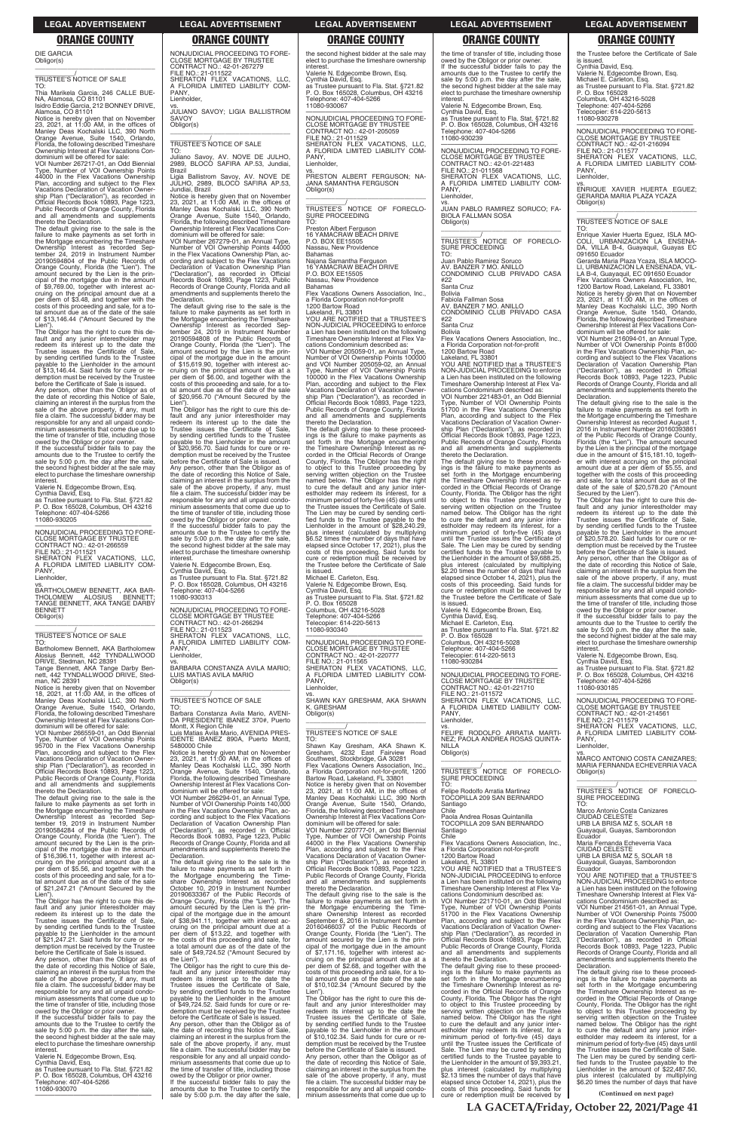**(Continued on next page)**

DIE GARCIA Obligor(s)

\_\_\_\_\_\_\_\_\_\_\_\_\_\_\_\_\_\_\_\_\_\_\_\_\_\_\_\_\_\_\_\_\_

# \_\_\_\_\_\_\_\_\_\_\_/ TRUSTEE'S NOTICE OF SALE

TO: Thia Marikela Garcia, 246 CALLE BUE-NA, Alamosa, CO 81101 Isidro Eddie Garcia, 212 BONNEY DRIVE, Alamosa, CO 81101

Notice is hereby given that on November<br>23, 2021, at 11:00 AM, in the offices of<br>Manley Deas Kochalski LLC, 390 North<br>Orange Avenue, Suite 1540, Orlando,<br>Florida, the following described Timeshare Ownership Interest at Flex Vacations Con-

dominium will be offered for sale:<br>VOI Number 267217-01, an Odd Biennial<br>Type, Number of VOI Ownership Points<br>44000 in the Flex Vacations Ownership<br>Plan, according and subject to the Flex<br>Vacations Declaration of Vacation ship Plan ("Declaration"), as recorded in Official Records Book 10893, Page 1223, Public Records of Orange County, Florida and all amendments and supplements thereto the Declaration.

The default giving rise to the sale is the failure to make payments as set forth in the Mortgage encumbering the Timeshare Ownership Interest as recorded Sep-tember 24, 2019 in Instrument Number 20190594804 of the Public Records of Orange County, Florida (the "Lien"). The amount secured by the Lien is the principal of the mortgage due in the amount of \$9,769.00, together with interest ac-cruing on the principal amount due at a per diem of \$3.48, and together with the costs of this proceeding and sale, for a to-tal amount due as of the date of the sale of \$13,146.44 ("Amount Secured by the Lien")

before the Certificate of Sale is issued.<br>Any person, other than the Obligor as of<br>the date of recording this Notice of Sale,<br>claiming an interest in the surplus from the<br>sale of the above property, if any, must<br>file a cla responsible for any and all unpaid condo-minium assessments that come due up to the time of transfer of title, including those owed by the Obligor or prior owner. If the successful bidder fails to pay the

amounts due to the Trustee to certify the sale by 5:00 p.m. the day after the sale, the second highest bidder at the sale may elect to purchase the timeshare ownership **interest** 

# vs.<br>BARTHOLOMEW BENNETT, AKA BAR-<br>THOLOMEW ALOSIUS BENNETT;<br>TANGE BENNETT, AKA TANGE DARBY BENNETT Obligor(s)

Bartholomew Bennett, AKA Bartholomew Alosius Bennett, 442 TYNDALLWOOD<br>DRIVE, Stedman, NC 28391<br>Tange Bennett, AKA Tange Darby Ben-<br>nett, 442 TYNDALLWOOD DRIVE, Sted-

The Obligor has the right to cure this default and any junior interestholder may redeem its interest up to the date the Trustee issues the Certificate of Sale, by sending certified funds to the Trustee payable to the Lienholder in the amount of \$13,146.44. Said funds for cure or redemption must be received by the Trustee

Valerie N. Edgecombe Brown, Esq.

Cynthia David, Esq. as Trustee pursuant to Fla. Stat. §721.82 P. O. Box 165028, Columbus, OH 43216 Telephone: 407-404-5266 11080-930205

—————————————————— NONJUDICIAL PROCEEDING TO FORE-CLOSE MORTGAGE BY TRUSTEE CONTRACT NO.: 42-01-266559 FILE NO.: 21-011521 SHERATON FLEX VACATIONS, LLC, A FLORIDA LIMITED LIABILITY COM-PANY, Lienholder,

**SAVOY** Obligor(s)

\_\_\_\_\_\_\_\_\_\_\_\_\_\_\_\_\_\_\_\_\_\_\_\_\_\_\_\_\_\_\_\_\_

### \_\_\_\_\_\_\_\_\_\_\_/ TRUSTEE'S NOTICE OF SALE TO:

man, NC 28391

Notice is hereby given that on November 18, 2021, at 11:00 AM, in the offices of Manley Deas Kochalski LLC, 390 North Orange Avenue, Suite 1540, Orlando, Florida, the following described Timeshare Ownership Interest at Flex Vacations Con-dominium will be offered for sale:

VOI Number 266559-01, an Odd Biennial Type, Number of VOI Ownership Points 95700 in the Flex Vacations Ownership Plan, according and subject to the Flex Vacations Declaration of Vacation Owner-ship Plan ("Declaration"), as recorded in Official Records Book 10893, Page 1223, Public Records of Orange County, Florida and all amendments and supplements thereto the Declaration.

The default giving rise to the sale is the failure to make payments as set forth in the Mortgage encumbering the Timeshare Ownership Interest as recorded Sep-tember 19, 2019 in Instrument Number 20190584284 of the Public Records of Orange County, Florida (the "Lien"). The amount secured by the Lien is the principal of the mortgage due in the amount of \$16,396.11, together with interest accruing on the principal amount due at a per diem of \$5.56, and together with the costs of this proceeding and sale, for a to-tal amount due as of the date of the sale of \$21,247.21 ("Amount Secured by the Lien"). The Obligor has the right to cure this default and any junior interestholder may<br>redeem its interest up to the date the<br>Trustee issues the Certificate of Sale,<br>by sending certified funds to the Trustee<br>payable to the Lienholder in the amount<br>of \$21,247.21. Said f demption must be received by the Trustee before the Certificate of Sale is issued. Any person, other than the Obligor as of the date of recording this Notice of Sale, claiming an interest in the surplus from the sale of the above property, if any, must file a claim. The successful bidder may be responsible for any and all unpaid condominium assessments that come due up to the time of transfer of title, including those

Notice is hereby given that on November<br>23, 2021, at 11:00 AM, in the offices of<br>Manley Deas Kochalski LLC, 390 North<br>Orange Avenue, Suite 1540, Orlando,<br>Florida, the following described Timeshare Ownership Interest at Flex Vacations Condominium will be offered for sale: VOI Number 266294-01, an Annual Type,

Number of VOI Ownership Points 140,000 in the Flex Vacations Ownership Plan, according and subject to the Flex Vacations Declaration of Vacation Ownership Plan (eclaration"), as recorded in Records Book 10893, Page 1223, Public Records of Orange County, Florida and all amendments and supplements thereto the **Declaration** The default giving rise to the sale is the failure to make payments as set forth in<br>the Mortgage encumbering the Time-<br>share Ownership Interest as recorded<br>October 10, 2019 in Instrument Number<br>20190633367 of the Public Records of<br>Orange County, Florida (the "Lien" cipal of the mortgage due in the amount of \$38,941.11, together with interest accruing on the principal amount due at a per diem of \$13.22, and together with the costs of this proceeding and sale, for a total amount due as of the date of the sale of \$49,724.52 ("Amount Secured by the Lien"). The Obligor has the right to cure this default and any junior interestholder may redeem its interest up to the date the Trustee issues the Certificate of Sale, by sending certified funds to the Trustee payable to the Lienholder in the amount of \$49,724.52. Said funds for cure or redemption must be received by the Trustee before the Certificate of Sale is issued. Any person, other than the Obligor as of the date of recording this Notice of Sale, claiming an interest in the surplus from the sale of the above property, if any, must file a claim. The successful bidder may be responsible for any and all unpaid condominium assessments that come due up to the time of transfer of title, including those owed by the Obligor or prior owner. If the successful bidder fails to pay the amounts due to the Trustee to certify the sale by 5:00 p.m. the day after the sale,

owed by the Obligor or prior owner. If the successful bidder fails to pay the amounts due to the Trustee to certify the sale by 5:00 p.m. the day after the sale, the second highest bidder at the sale may elect to purchase the timeshare ownership interest.

Valerie N. Edgecombe Brown, Esq. Cynthia David, Esq. as Trustee pursuant to Fla. Stat. §721.82 P. O. Box 165028, Columbus, OH 43216 Telephone: 407-404-5266 11080-930070 ——————————————————

NONJUDICIAL PROCEEDING TO FORE-CLOSE MORTGAGE BY TRUSTEE CONTRACT NO.: 42-01-267279 FILE NO.: 21-011522

SHERATON FLEX VACATIONS, LLC,<br>A FLORIDA LIMITED LIABILITY COM-<br>PANY,

—————————————————— NONJUDICIAL PROCEEDING TO FORE-CLOSE MORTGAGE BY TRUSTEE CONTRACT NO.: 42-01-205059 FILE NO.: 21-011529 SHERATON FLEX VACATIONS, LLC, A FLORIDA LIMITED LIABILITY COM-PANY, Lienholder,

Lienholder,

vs. JULIANO SAVOY; LIGIA BALLISTROM

\_\_\_\_\_\_\_\_\_\_\_\_\_\_\_\_\_\_\_\_\_\_\_\_\_\_\_\_\_\_\_\_\_ \_\_\_\_\_\_\_\_\_\_\_/ TRUSTEE'S NOTICE OF SALE

Juliano Savoy, AV. NOVE DE JULHO,<br>2989, BLOCO SAFIRA AP.53, Jundiai,

TO:

Brazil

Ligia Ballistrom Savoy, AV. NOVE DE JULHO, 2989, BLOCO SAFIRA AP.53,

Jundiai, Brazil

Notice is hereby given that on November 23, 2021, at 11:00 AM, in the offices of Manley Deas Kochalski LLC, 390 North Orange Avenue, Suite 1540, Orlando, Florida, the following described Timeshare

Ownership Interest at Flex Vacations Con-dominium will be offered for sale: VOI Number 267279-01, an Annual Type, Number of VOI Ownership Points 44000 in the Flex Vacations Ownership Plan, ac-

cording and subject to the Flex Vacations Declaration of Vacation Ownership Plan ("Declaration"), as recorded in Official Records Book 10893, Page 1223, Public Records of Orange County, Florida and all amendments and supplements thereto the

Declaration.

The default giving rise to the sale is the failure to make payments as set forth in the Mortgage encumbering the Timeshare Ownership Interest as recorded Sep-tember 24, 2019 in Instrument Number 20190594808 of the Public Records of Orange County, Florida (the "Lien"). The amount secured by the Lien is the principal of the mortgage due in the amount of \$15,619.90, together with interest ac-cruing on the principal amount due at a per diem of \$6.00, and together with the costs of this proceeding and sale, for a to-tal amount due as of the date of the sale of \$20,956.70 ("Amount Secured by the Lien"). The Obligor has the right to cure this de-

fault and any junior interestholder may redeem its interest up to the date the Trustee issues the Certificate of Sale, by sending certified funds to the Trustee payable to the Lienholder in the amount of \$20,956.70. Said funds for cure or redemption must be received by the Trustee before the Certificate of Sale is issued. Any person, other than the Obligor as of the date of recording this Notice of Sale, claiming an interest in the surplus from the sale of the above property, if any, must file a claim. The successful bidder may be responsible for any and all unpaid condo-minium assessments that come due up to the time of transfer of title, including those owed by the Obligor or prior owner. If the successful bidder fails to pay the amounts due to the Trustee to certify the

sale by 5:00 p.m. the day after the sale, the second highest bidder at the sale may elect to purchase the timeshare ownership **interest** Valerie N. Edgecombe Brown, Esq. Cynthia David, Esq. as Trustee pursuant to Fla. Stat. §721.82 P. O. Box 165028, Columbus, OH 43216 Telephone: 407-404-5266 11080-930313

\_\_\_\_\_\_\_\_\_\_\_\_/<br>TRUSTEE'S NOTICE OF FORECLO-<br>SURE PROCEEDING TO:

—————————————————— NONJUDICIAL PROCEEDING TO FORE-CLOSE MORTGAGE BY TRUSTEE CONTRACT NO.: 42-01-266294 FILE NO.: 21-011523 SHERATON FLEX VACATIONS, LLC, A FLORIDA LIMITED LIABILITY COM-PANY, Lienholder,

vs. BARBARA CONSTANZA AVILA MARIO; LUIS MATIAS AVILA MARIO Obligor(s)

\_\_\_\_\_\_\_\_\_\_\_/ TRUSTEE'S NOTICE OF SALE

cations Condominium described as: VOI Number 221483-01, an Odd Biennial Type, Number of VOI Ownership Points 51700 in the Flex Vacations Ownership Plan, according and subject to the Flex Vacations Declaration of Vacation Ownership Plan ("Declaration"), as recorded in Official Records Book 10893, Page 1223, Public Records of Orange County, Florida and all amendments and supplements and an amendments<br>thereto the Declaration.

TO: Barbara Constanza Avila Mario, AVENI-DA PRESIDENTE IBANEZ 370#, Puerto Montt, X Region Chile Luis Matias Avila Mario, AVENIDA PRES-

5480000 Chile

the second highest bidder at the sale may elect to purchase the timeshare ownership

interest. Valerie N. Edgecombe Brown, Esq. Cynthia David, Esq. as Trustee pursuant to Fla. Stat. §721.82 P. O. Box 165028, Columbus, OH 43216 Telephone: 407-404-5266 11080-930067

\_\_\_\_\_\_\_\_\_\_\_\_\_\_\_\_\_\_\_\_\_\_\_\_\_\_\_\_\_\_\_\_\_ IDENTE IBANEZ 890A, Puerto Montt, Telephone: 407-404-5266 Telecopier: 614-220-5613 11080-930340 FILE NO.: 21-011565 PANY, Lienholder, K. GRESHAM Obligor(s) \_\_\_\_\_\_\_\_\_\_\_\_\_\_\_\_\_\_\_\_\_\_\_\_\_\_\_\_\_\_\_\_\_ \_\_\_\_\_\_\_\_\_\_\_/ TRUSTEE'S NOTICE OF SALE TO:

vs. PRESTON ALBERT FERGUSON; NA-JANA SAMANTHA FERGUSON Obligor(s) \_\_\_\_\_\_\_\_\_\_\_\_\_\_\_\_\_\_\_\_\_\_\_\_\_\_\_\_\_\_\_\_\_

\_\_\_\_\_\_\_\_\_\_\_/ TRUSTEE'S NOTICE OF FORECLO-SURE PROCEEDING TO:

Preston Albert Ferguson 16 YAMACRAW BEACH DRIVE

P.O. BOX EE15505 Nassau, New Providence

Bahamas Najana Samantha Ferguson 16 YAMACRAW BEACH DRIVE

Secured by the Lien").<br>The Obligor has the right to cure this de-<br>fault and any junior interestholder may<br>redeem its interest up to the date the<br>Trustee issues the Certificate of Sale, by sending certified funds to the Trustee payable to the Lienholder in the amount of \$20,578.20. Said funds for cure or redemption must be received by the Trustee before the Certificate of Sale is issued.

P.O. BOX EE15505

Nassau, New Providence Bahamas

Flex Vacations Owners Association, Inc., a Florida Corporation not-for-profit 1200 Bartow Road Lakeland, FL 33801

YOU ARE NOTIFIED that a TRUSTEE'S NON-JUDICIAL PROCEEDING to enforce a Lien has been instituted on the following Timeshare Ownership Interest at Flex Vacations Condominium described as: VOI Number 205059-01, an Annual Type, Number of VOI Ownership Points 100000 and VOI Number 205059-02, an Annual Type, Number of VOI Ownership Points 100000 in the Flex Vacations Ownership Plan, according and subject to the Flex Vacations Declaration of Vacation Ownership Plan ("Declaration"), as recorded in Official Records Book 10893, Page 1223, Public Records of Orange County, Florida and all amendments and supplements

thereto the Declaration. The default giving rise to these proceed-ings is the failure to make payments as set forth in the Mortgage encumbering the Timeshare Ownership Interest as re-corded in the Official Records of Orange County, Florida. The Obligor has the right to object to this Trustee proceeding by serving written objection on the Trustee named below. The Obligor has the right to cure the default and any junior inter-estholder may redeem its interest, for a minimum period of forty-five (45) days until the Trustee issues the Certificate of Sale. The Lien may be cured by sending certified funds to the Trustee payable to the<br>Lienholder in the amount of \$28,240.29, plus interest (calculated by multiplying \$6.52 times the number of days that have elapsed since October 17, 2021), plus the costs of this proceeding. Said funds for cure or redemption must be received by the Trustee before the Certificate of Sale

is issued. Michael E. Carleton, Esq. Valerie N. Edgecombe Brown, Esq. Cynthia David, Esq. as Trustee pursuant to Fla. Stat. §721.82 P. O. Box 165028 Columbus, OH 43216-5028

—————————————————— NONJUDICIAL PROCEEDING TO FORE-CLOSE MORTGAGE BY TRUSTEE CONTRACT NO.: 42-01-220777 SHERATON FLEX VACATIONS, LLC, A FLORIDA LIMITED LIABILITY COM-

vs. SHAWN KAY GRESHAM, AKA SHAWN

Shawn Kay Gresham, AKA Shawn K. Gresham, 4232 East Fairview Road Southwest, Stockbridge, GA 30281 Flex Vacations Owners Association, Inc., a Florida Corporation not-for-profit, 1200 Bartow Road, Lakeland, FL 33801 Notice is hereby given that on November<br>23, 2021, at 11:00 AM, in the offices of<br>Manley Deas Kochalski LLC, 390 North<br>Orange Avenue, Suite 1540, Orlando,<br>Florida, the following described Timeshare<br>Ownership Interest at Fle dominium will be offered for sale:<br>VOL Number 220777-01, an Odd VOI Number 220777-01, an Odd Biennial Type, Number of VOI Ownership Points 44000 in the Flex Vacations Ownership Plan, according and subject to the Flex Vacations Declaration of Vacation Ownership Plan ("Declaration"), as recorded in Official Records Book 10893, Page 1223, Public Records of Orange County, Florida and all amendments and supplements thereto the Declaration. The default giving rise to the sale is the failure to make payments as set forth in the Mortgage encumbering the Time-<br>share Ownership Interest as recorded<br>September 6, 2016 in Instrument Number<br>20160466037 of the Public Records of<br>Orange County, Florida (the "Lien"). The<br>amount secured by the Lien is the cipal of the mortgage due in the amount<br>of \$7,171.16, together with interest ac-<br>cruing on the principal amount due at a<br>per diem of \$2.68, and together with the<br>costs of this proceeding and sale, for a to-<br>tal amount due of \$10,102.34 ("Amount Secured by the  $\mathsf{Lipn}$ The Obligor has the right to cure this default and any junior interestholder may redeem its interest up to the date the Trustee issues the Certificate of Sale, by sending certified funds to the Trustee payable to the Lienholder in the amount of \$10,102.34. Said funds for cure or redemption must be received by the Trustee before the Certificate of Sale is issued. Any person, other than the Obligor as of the date of recording this Notice of Sale, claiming an interest in the surplus from the sale of the above property, if any, must file a claim. The successful bidder may be responsible for any and all unpaid condominium assessments that come due up to

the time of transfer of title, including those owed by the Obligor or prior owner. If the successful bidder fails to pay the amounts due to the Trustee to certify the sale by 5:00 p.m. the day after the sale, the second highest bidder at the sale may elect to purchase the timeshare ownership interest.

Valerie N. Edgecombe Brown, Esq.

Cynthia David, Esq. as Trustee pursuant to Fla. Stat. §721.82 P. O. Box 165028, Columbus, OH 43216 Telephone: 407-404-5266 11080-930239

—————————————————— NONJUDICIAL PROCEEDING TO FORE-CLOSE MORTGAGE BY TRUSTEE CONTRACT NO.: 42-01-221483 FILE NO.: 21-011568 SHERATON FLEX VACATIONS, LLC, FLORIDA LIMITED LIABILITY COM-A FLC<br>PANY, Lienholder,

vs. JUAN PABLO RAMIREZ SORUCO; FA-BIOLA FALLMAN SOSA Obligor(s) \_\_\_\_\_\_\_\_\_\_\_\_\_\_\_\_\_\_\_\_\_\_\_\_\_\_\_\_\_\_\_\_\_

Juan Pablo Ramirez Soruco AV. BANZER 7 MO. ANILLO

CONDOMINIO CLUB PRIVADO CASA #22

Santa Cruz Bolivia

Fabiola Fallman Sosa AV. BANZER 7 MO. ANILLO CONDOMINIO CLUB PRIVADO CASA

#22

Santa Cruz

Bolivia Flex Vacations Owners Association, Inc., a Florida Corporation not-for-profit 1200 Bartow Road Lakeland, FL 33801 YOU ARE NOTIFIED that a TRUSTEE'S

NON-JUDICIAL PROCEEDING to enforce a Lien has been instituted on the following Timeshare Ownership Interest at Flex Va-

The default giving rise to these proceed-ings is the failure to make payments as set forth in the Mortgage encumbering the Timeshare Ownership Interest as re-corded in the Official Records of Orange County, Florida. The Obligor has the right to object to this Trustee proceeding by serving written objection on the Trustee named below. The Obligor has the right to cure the default and any junior inter-estholder may redeem its interest, for a minimum period of forty-five (45) days until the Trustee issues the Certificate of Sale. The Lien may be cured by sending certified funds to the Trustee payable to the Lienholder in the amount of \$9,688.25, plus interest (calculated by multiplying \$2.20 times the number of days that have elapsed since October 14, 2021), plus the costs of this proceeding. Said funds for cure or redemption must be received by the Trustee before the Certificate of Sale

is issued. Valerie N. Edgecombe Brown, Esq. Cynthia David, Esq. Michael E. Carleton, Esq. as Trustee pursuant to Fla. Stat. §721.82 P. O. Box 165028 Columbus, OH 43216-5028 Telephone: 407-404-5266 Telecopier: 614-220-5613 11080-930284

—————————————————— NONJUDICIAL PROCEEDING TO FORE-CLOSE MORTGAGE BY TRUSTEE CONTRACT NO.: 42-01-221710 FILE NO.: 21-011572 SHERATON FLEX VACATIONS, LLC,<br>A FLORIDA LIMITED LIABILITY COM-<br>PANY, Lienholder,

vs. FELIPE RODOLFO ARRATIA MARTI-NEZ; PAOLA ANDREA ROSAS QUINTA-**NILLA** Obligor(s)

\_\_\_\_\_\_\_\_\_\_\_\_\_\_\_\_\_\_\_\_\_\_\_\_\_\_\_\_\_\_\_\_\_ \_\_\_\_\_\_\_\_\_\_\_/ TRUSTEE'S NOTICE OF FORECLO-SURE PROCEEDING TO:

Felipe Rodolfo Arratia Martinez TOCOPILLA 209 SAN BERNARDO Santiago Chile

Paola Andrea Rosas Quintanilla TOCOPILLA 209 SAN BERNARDO antiago Chile Flex Vacations Owners Association, Inc., a Florida Corporation not-for-profit 1200 Bartow Road Lakeland, FL 33801 YOU ARE NOTIFIED that a TRUSTEE'S NON-JUDICIAL PROCEEDING to enforce a Lien has been instituted on the following Timeshare Ownership Interest at Flex Vacations Condominium described as: VOI Number 221710-01, an Odd Biennial Type, Number of VOI Ownership Points 51700 in the Flex Vacations Ownership Plan, according and subject to the Flex Vacations Declaration of Vacation Ownership Plan ("Declaration"), as recorded in Official Records Book 10893, Page 1223, Public Records of Orange County, Florida and all amendments and supplements thereto the Declaration. The default giving rise to these proceed-ings is the failure to make payments as set forth in the Mortgage encumbering the Timeshare Ownership Interest as recorded in the Official Records of Orange County, Florida. The Obligor has the right to object to this Trustee proceeding by serving written objection on the Trustee named below. The Obligor has the right to cure the default and any junior inter-estholder may redeem its interest, for a minimum period of forty-five (45) days until the Trustee issues the Certificate of Sale. The Lien may be cured by sending certified funds to the Trustee payable to the Lienholder in the amount of \$9,393.21, plus interest (calculated by multiplying \$2.13 times the number of days that have elapsed since October 14, 2021), plus the costs of this proceeding. Said funds for cure or redemption must be received by the Trustee before the Certificate of Sale is issued. Cynthia David, Esq.

Valerie N. Edgecombe Brown, Esq. Michael E. Carleton, Esq. as Trustee pursuant to Fla. Stat. §721.82 P. O. Box 165028 Columbus, OH 43216-5028 Telephone: 407-404-5266 Telecopier: 614-220-5613 11080-930278

—————————————————— NONJUDICIAL PROCEEDING TO FORE-CLOSE MORTGAGE BY TRUSTEE CONTRACT NO.: 42-01-216094 FILE NO.: 21-011577<br>SHERATON FLEX VACATIONS LLC SHERATON FLEX VACATIONS, LLC,<br>A FLORIDA LIMITED LIABILITY COM-<br>PANY, Lienholder,

vs. ENRIQUE XAVIER HUERTA EGUEZ; GERARDA MARIA PLAZA YCAZA Obligor(s) \_\_\_\_\_\_\_\_\_\_\_\_\_\_\_\_\_\_\_\_\_\_\_\_\_\_\_\_\_\_\_\_\_

# \_\_\_\_\_\_\_\_\_\_\_/ TRUSTEE'S NOTICE OF SALE

TO: Enrique Xavier Huerta Eguez, ISLA MO-COLI, URBANIZACION LA ENSENA-DA, VILLA B-4, Guayaquil, Guayas EC 091650 Ecuador

Gerarda Maria Plaza Ycaza, ISLA MOCO-LI, URBANIZACION LA ENSENADA, VIL-LA B-4, Guayaquil, EC 091650 Ecuador Flex Vacations Owners Association, Inc,

1200 Bartow Road, Lakeland, FL 33801 Notice is hereby given that on November 23, 2021, at 11:00 AM, in the offices of Manley Deas Kochalski LLC, 390 North Orange Avenue, Suite 1540, Orlando, Florida, the following described Timeshare Ownership Interest at Flex Vacations Condominium will be offered for sale:

VOI Number 216094-01, an Annual Type, Number of VOI Ownership Points 81000 in the Flex Vacations Ownership Plan, ac-cording and subject to the Flex Vacations Declaration of Vacation Ownership Plan ("Declaration"), as recorded in Official Records Book 10893, Page 1223, Public Records of Orange County, Florida and all amendments and supplements thereto the Declaration.

The default giving rise to the sale is the failure to make payments as set forth in the Mortgage encumbering the Timeshare Ownership Interest as recorded August 1, 2016 in Instrument Number 20160393861 2016 in Instrument Number 20160393861 of the Public Records of Orange County, Florida (the "Lien"). The amount secured by the Lien is the principal of the mortgage due in the amount of \$15,181.10, together with interest accruing on the principal amount due at a per diem of \$5.55, and together with the costs of this proceeding and sale, for a total amount due as of the date of the sale of \$20,578.20 ("Amount

Any person, other than the Obligor as of the date of recording this Notice of Sale, claiming an interest in the surplus from the sale of the above property, if any, must file a claim. The successful bidder may be responsible for any and all unpaid condominium assessments that come due up to the time of transfer of title, including those owed by the Obligor or prior owner.

If the successful bidder fails to pay the amounts due to the Trustee to certify the sale by 5:00 p.m. the day after the sale, the second highest bidder at the sale may elect to purchase the timeshare ownership

interest. Valerie N. Edgecombe Brown, Esq.

Cynthia David, Esq. as Trustee pursuant to Fla. Stat. §721.82 P. O. Box 165028, Columbus, OH 43216 Telephone: 407-404-5266 11080-930185

—————————————————— NONJUDICIAL PROCEEDING TO FORE-CLOSE MORTGAGE BY TRUSTEE CONTRACT NO.: 42-01-214561 FILE NO.: 21-011579 SHERATON FLEX VACATIONS, LLC, A FLORIDA LIMITED LIABILITY COM-PANY, Lienholder,

vs. MARCO ANTONIO COSTA CANIZARES; MARIA FERNANDA ECHEVERRIA VACA Obligor(s)

\_\_\_\_\_\_\_\_\_\_\_\_\_\_\_\_\_\_\_\_\_\_\_\_\_\_\_\_\_\_\_\_\_ \_\_\_\_\_\_\_\_\_\_\_/ TRUSTEE'S NOTICE OF FORECLO-SURE PROCEEDING

TO: Marco Antonio Costa Canizares CIUDAD CELESTE URB LA BRISA MZ 5, SOLAR 18 Guayaquil, Guayas Ecuador Maria Fernanda Echeverria Vaca CIUDAD CELESTE URB LA BRISA MZ 5, SOLAR 18 Guayaquil, Guayas, Samborondon Ecuador YOU ARE NOTIFIED that a TRUSTEE'S NON-JUDICIAL PROCEEDING to enforce a Lien has been instituted on the following Timeshare Ownership Interest at Flex Va-cations Condominium described as: VOI Number 214561-01, an Annual Type, Number of VOI Ownership Points 75000 in the Flex Vacations Ownership Plan, according and subject to the Flex Vacations<br>Declaration of Vacation Ownership Plan<br>("Declaration"), as recorded in Official<br>Records Book 10893, Page 1223, Public<br>Records of Orange County, Florida and all<br>amendments and suppl Declaration. The default giving rise to these proceedings is the failure to make payments as set forth in the Mortgage encumbering the Timeshare Ownership Interest as re-corded in the Official Records of Orange County, Florida. The Obligor has the right to object to this Trustee proceeding by serving written objection on the Trustee named below. The Obligor has the right to cure the default and any junior inter-estholder may redeem its interest, for a minimum period of forty-five (45) days until the Trustee issues the Certificate of Sale. The Lien may be cured by sending certified funds to the Trustee payable to the<br>Lienholder in the amount of \$22,487.50, plus interest (calculated by multiplying \$6.20 times the number of days that have

**LA GACETA/Friday, October 22, 2021/Page 41**

## **LEGAL ADVERTISEMENT LEGAL ADVERTISEMENT LEGAL ADVERTISEMENT LEGAL ADVERTISEMENT LEGAL ADVERTISEMENT**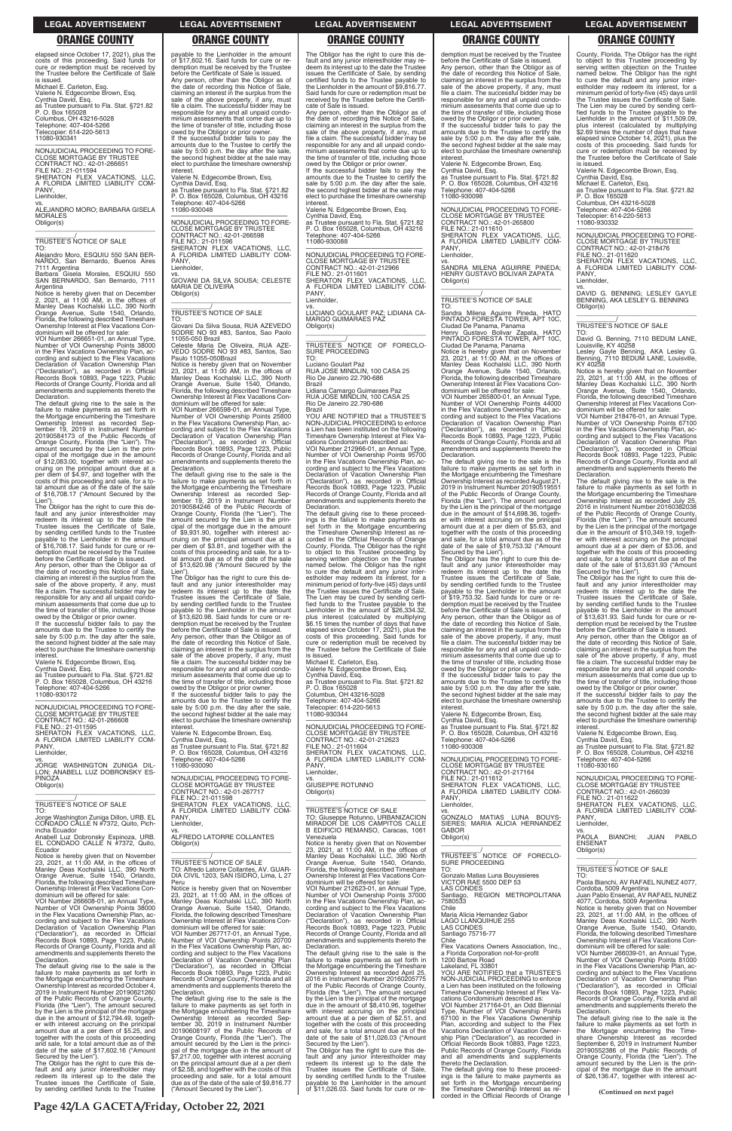County, Florida. The Obligor has the right to object to this Trustee proceeding by serving written objection on the Trustee named below. The Obligor has the right to cure the default and any junior inter-estholder may redeem its interest, for a minimum period of forty-five (45) days until the Trustee issues the Certificate of Sale. The Lien may be cured by sending certified funds to the Trustee payable to the Lienholder in the amount of \$11,509.09, plus interest (calculated by multiplying \$2.69 times the number of days that have elapsed since October 14, 2021), plus the costs of this proceeding. Said funds for cure or redemption must be received by the Trustee before the Certificate of Sale

Obligor(s)  $\overline{\phantom{a}}$  , and the set of the set of the set of the set of the set of the set of the set of the set of the set of the set of the set of the set of the set of the set of the set of the set of the set of the set of the s

is issued. Valerie N. Edgecombe Brown, Esq. Cynthia David, Esq. Michael E. Carleton, Esq.

as Trustee pursuant to Fla. Stat. §721.82 P. O. Box 165028 Columbus, OH 43216-5028

Telephone: 407-404-5266 Telecopier: 614-220-5613 11080-930332

—————————————————— NONJUDICIAL PROCEEDING TO FORE-CLOSE MORTGAGE BY TRUSTEE CONTRACT NO.: 42-01-218476 FILE NO.: 21-011620 SHERATON FLEX VACATIONS, LLC, A FLORIDA LIMITED LIABILITY COM-PANY, Lienholder,

vs. DAVID G. BENNING; LESLEY GAYLE BENNING, AKA LESLEY G. BENNING

\_\_\_\_\_\_\_\_\_\_\_/ TRUSTEE'S NOTICE OF SALE

TO: David G. Benning, 7110 BEDUM LANE,

Louisville, KY 40258 Lesley Gayle Benning, AKA Lesley G. Benning, 7110 BEDUM LANE, Louisville, KY 40258

Notice is hereby given that on November 23, 2021, at 11:00 AM, in the offices of Manley Deas Kochalski LLC, 390 North Orange Avenue, Suite 1540, Orlando, Florida, the following described Timeshare Ownership Interest at Flex Vacations Con-

dominium will be offered for sale: VOI Number 218476-01, an Annual Type, Number of VOI Ownership Points 67100 in the Flex Vacations Ownership Plan, ac-cording and subject to the Flex Vacations Declaration of Vacation Ownership Plan ("Declaration"), as recorded in Official Records Book 10893, Page 1223, Public Records of Orange County, Florida and all amendments and supplements thereto the Declaration. The default giving rise to the sale is the failure to make payments as set forth in the Mortgage encumbering the Timeshare

Ownership Interest as recorded July 25, 2016 in Instrument Number 20160382038 of the Public Records of Orange County,

Florida (the "Lien"). The amount secured by the Lien is the principal of the mortgage due in the amount of \$10,349.19, togeth-

er with interest accruing on the principal amount due at a per diem of \$3.06, and together with the costs of this proceeding

and sale, for a total amount due as of the date of the sale of \$13,631.93 ("Amount Secured by the Lien").

The Obligor has the right to cure this de-fault and any junior interestholder may redeem its interest up to the date the

7111 Argentina Barbara Gisela Morales, ESQUIU 550 SAN BERNARDO, San Bernardo, 7111 Argentina<br>Notice is h

> Trustee issues the Certificate of Sale, by sending certified funds to the Trustee payable to the Lienholder in the amount of \$13,631.93. Said funds for cure or redemption must be received by the Trustee before the Certificate of Sale is issued. Any person, other than the Obligor as of the date of recording this Notice of Sale, claiming an interest in the surplus from the sale of the above property, if any, must file a claim. The successful bidder may be responsible for any and all unpaid condominium assessments that come due up to the time of transfer of title, including those owed by the Obligor or prior owner. If the successful bidder fails to pay the amounts due to the Trustee to certify the sale by 5:00 p.m. the day after the sale, the second highest bidder at the sale may elect to purchase the timeshare ownership

interest.

Valerie N. Edgecombe Brown, Esq. Cynthia David, Esq. as Trustee pursuant to Fla. Stat. §721.82 P. O. Box 165028, Columbus, OH 43216

Telephone: 407-404-5266 11080-930160

—————————————————— NONJUDICIAL PROCEEDING TO FORE-CLOSE MORTGAGE BY TRUSTEE

CONTRACT NO.: 42-01-266039 FILE NO.: 21-011622 SHERATON FLEX VACATIONS, LLC, A FLORIDA LIMITED LIABILITY COM-

PANY, Lienholder,

elapsed since October 17, 2021), plus the costs of this proceeding. Said funds for cure or redemption must be received by the Trustee before the Certificate of Sale

> sale by 5:00 p.m. the day after the sale, the second highest bidder at the sale may elect to purchase the timeshare ownership **interest**

is issued. Michael E. Carleton, Esq. Valerie N. Edgecombe Brown, Esq. Cynthia David, Esq. as Trustee pursuant to Fla. Stat. §721.82 P. O. Box 165028 Columbus, OH 43216-5028 Telephone: 407-404-5266 Telecopier: 614-220-5613 11080-930341

—————————————————— NONJUDICIAL PROCEEDING TO FORE-CLOSE MORTGAGE BY TRUSTEE CONTRACT NO.: 42-01-266651 FILE NO.: 21-011594 SHERATON FLEX VACATIONS, LLC, A FLORIDA LIMITED LIABILITY COM-PANY, Lienholder,

vs. ALEJANDRO MORO; BARBARA GISELA MORALES Obligor(s) \_\_\_\_\_\_\_\_\_\_\_\_\_\_\_\_\_\_\_\_\_\_\_\_\_\_\_\_\_\_\_\_\_

\_\_\_\_\_\_\_\_\_\_\_/ TRUSTEE'S NOTICE OF SALE

TO: Alejandro Moro, ESQUIU 550 SAN BER-NARDO, San Bernardo, Buenos Aires

Notice is hereby given that on December 2, 2021, at 11:00 AM, in the offices of Manley Deas Kochalski LLC, 390 North Orange Avenue, Suite 1540, Orlando, Florida, the following described Timeshare Ownership Interest at Flex Vacations Con-

> failure to make payments as set forth in the Mortgage encumbering the Timeshare Ownership Interest as recorded September 19, 2019 in Instrument Number 20190584246 of the Public Records of Orange County, Florida (the "Lien"). The amount secured by the Lien is the prin-cipal of the mortgage due in the amount of \$9,931.90, together with interest accruing on the principal amount due at a per diem of \$3.81, and together with the costs of this proceeding and sale, for a total amount due as of the date of the sale of \$13,620.98 ("Amount Secured by the Lien")

dominium will be offered for sale: VOI Number 266651-01, an Annual Type, Number of VOI Ownership Points 38000 in the Flex Vacations Ownership Plan, ac-cording and subject to the Flex Vacations Declaration of Vacation Ownership Plan ("Declaration"), as recorded in Official Records Book 10893, Page 1223, Public Records of Orange County, Florida and all amendments and supplements thereto the Declaration.

> If the successful bidder fails to pay the amounts due to the Trustee to certify the sale by 5:00 p.m. the day after the sale, the second highest bidder at the sale may elect to purchase the timeshare ownership **interest**

The default giving rise to the sale is the failure to make payments as set forth in the Mortgage encumbering the Timeshare Ownership Interest as recorded Sep-tember 19, 2019 in Instrument Number 20190584173 of the Public Records of Orange County, Florida (the "Lien"). The amount secured by the Lien is the principal of the mortgage due in the amount of \$12,083.00, together with interest ac-cruing on the principal amount due at a per diem of \$4.97, and together with the costs of this proceeding and sale, for a to-tal amount due as of the date of the sale of \$16,708.17 ("Amount Secured by the

Lien"). The Obligor has the right to cure this de-fault and any junior interestholder may redeem its interest up to the date the Trustee issues the Certificate of Sale, by sending certified funds to the Trustee payable to the Lienholder in the amount of \$16,708.17. Said funds for cure or redemption must be received by the Trustee before the Certificate of Sale is issued.

Any person, other than the Obligor as of the date of recording this Notice of Sale, claiming an interest in the surplus from the sale of the above property, if any, must file a claim. The successful bidder may be responsible for any and all unpaid condo-minium assessments that come due up to the time of transfer of title, including those

owed by the Obligor or prior owner. If the successful bidder fails to pay the amounts due to the Trustee to certify the sale by 5:00 p.m. the day after the sale, the second highest bidder at the sale may elect to purchase the timeshare ownership interest.

If the successful bidder fails to pay the amounts due to the Trustee to certify the sale by 5:00 p.m. the day after the sale, the second highest bidder at the sale may elect to purchase the timeshare ownership **interest** 

Valerie N. Edgecombe Brown, Esq. Cynthia David, Esq.

as Trustee pursuant to Fla. Stat. §721.82 P. O. Box 165028, Columbus, OH 43216 Telephone: 407-404-5266 11080-930172

P. O. Box 165028, Columbus, OH 43216 Telephone: 407-404-5266 Telephone: 407<br>11080-930088

—————————————————— NONJUDICIAL PROCEEDING TO FORE-CLOSE MORTGAGE BY TRUSTEE CONTRACT NO.: 42-01-266608 FILE NO.: 21-011595

 $\overline{\phantom{a}}$  , and the set of the set of the set of the set of the set of the set of the set of the set of the set of the set of the set of the set of the set of the set of the set of the set of the set of the set of the s \_\_\_\_\_\_\_\_\_\_\_/ TRUSTEE'S NOTICE OF FORECLO-SURE PROCEEDING TO:

SHERATON FLEX VACATIONS, LLC, A FLORIDA LIMITED LIABILITY COM-A FLO<br>PANY, Lienholder,

vs. JORGE WASHINGTON ZUNIGA DIL-LON; ANABELL LUZ DOBRONSKY ES-PINO<sub>7</sub> Obligor(s)

\_\_\_\_\_\_\_\_\_\_\_\_\_\_\_\_\_\_\_\_\_\_\_\_\_\_\_\_\_\_\_\_\_

\_\_\_\_\_\_\_\_\_\_\_/ TRUSTEE'S NOTICE OF SALE

TO: Jorge Washington Zuniga Dillon, URB. EL CONDADO CALLE N #7372, Quito, Pich $\overline{\phantom{a}}$  , and the set of the set of the set of the set of the set of the set of the set of the set of the set of the set of the set of the set of the set of the set of the set of the set of the set of the set of the s \_\_\_\_\_\_\_\_\_\_\_/ TRUSTEE'S NOTICE OF SALE

TO: Giuseppe Rotunno, URBANIZACION MIRADOR DE LOS CAMPITOS CALLE B EDIFICIO REMANSO, Caraca

demption must be received by the Trustee before the Certificate of Sale is issued. Any person, other than the Obligor as of the date of recording this Notice of Sale, claiming an interest in the surplus from the sale of the above property, if any, must file a claim. The successful bidder may be responsible for any and all unpaid condominium assessments that come due up to the time of transfer of title, including those

payable to the Lienholder in the amount of \$17,602.16. Said funds for cure or re-demption must be received by the Trustee before the Certificate of Sale is issued. Any person, other than the Obligor as of the date of recording this Notice of Sale, claiming an interest in the surplus from the<br>sale of the above property if any must sale of the above property, if any, must file a claim. The successful bidder may be responsible for any and all unpaid condo-minium assessments that come due up to the time of transfer of title, including those owed by the Obligor or prior owner. If the successful bidder fails to pay the amounts due to the Trustee to certify the

Valerie N. Edgecombe Brown, Esq. Cynthia David, Esq. as Trustee pursuant to Fla. Stat. §721.82 P. O. Box 165028, Columbus, OH 43216 Telephone: 407-404-5266

11080-930048

—————————————————— NONJUDICIAL PROCEEDING TO FORE-CLOSE MORTGAGE BY TRUSTEE CONTRACT NO.: 42-01-266598 FILE NO.: 21-011596 SHERATON FLEX VACATIONS, LLC, A FLORIDA LIMITED LIABILITY COM-PANY, Lienholder,

vs. GIOVANI DA SILVA SOUSA; CELESTE MARIA DE OLIVEIRA Obligor(s)

\_\_\_\_\_\_\_\_\_\_\_\_\_\_\_\_\_\_\_\_\_\_\_\_\_\_\_\_\_\_\_\_\_ \_\_\_\_\_\_\_\_\_\_\_/ TRUSTEE'S NOTICE OF SALE

TO: Giovani Da Silva Sousa, RUA AZEVEDO SODRE NO 93 #83, Santos, Sao Paolo 11055-050 Brazil

Celeste Maria De Oliveira, RUA AZE-VEDO SODRE NO 93 #83, Santos, Sao Paulo 11055-050Brazil

Notice is hereby given that on November 23, 2021, at 11:00 AM, in the offices of Manley Deas Kochalski LLC, 390 North Orange Avenue, Suite 1540, Orlando, Florida, the following described Timeshare Ownership Interest at Flex Vacations Con-

> If the successful bidder fails to pay the amounts due to the Trustee to certify the sale by 5:00 p.m. the day after the sale, the second highest bidder at the sale may elect to purchase the timeshare ownership **interest**

dominium will be offered for sale: VOI Number 266598-01, an Annual Type, Number of VOI Ownership Points 25800 in the Flex Vacations Ownership Plan, ac-cording and subject to the Flex Vacations Declaration of Vacation Ownership Plan ("Declaration"), as recorded in Official Records Book 10893, Page 1223, Public Records of Orange County, Florida and all amendments and supplements thereto the Declaration. The default giving rise to the sale is the

| incha Ecuador                                                                       |                                                                                 | B EDIFICIO REMANSO, Caracas, 1061                                                   | <b>GABOR</b>                                                                        |                                                                             |
|-------------------------------------------------------------------------------------|---------------------------------------------------------------------------------|-------------------------------------------------------------------------------------|-------------------------------------------------------------------------------------|-----------------------------------------------------------------------------|
| Anabell Luz Dobronsky Espinoza, URB.                                                | ALFREDO LATORRE COLLANTES                                                       | Venezuela                                                                           | Obligor(s)                                                                          | <b>PABLO</b><br>PAOLA<br><b>BIANCHI:</b><br>JUAN                            |
| EL CONDADO CALLE N #7372, Quito,                                                    | Obligor(s)                                                                      | Notice is hereby given that on November                                             |                                                                                     | <b>ENSENAT</b>                                                              |
| Ecuador                                                                             |                                                                                 | 23, 2021, at $11:00$ AM, in the offices of                                          |                                                                                     | Obligor(s)                                                                  |
| Notice is hereby given that on November                                             |                                                                                 | Manley Deas Kochalski LLC, 390 North                                                | TRUSTEE'S NOTICE OF FORECLO-                                                        |                                                                             |
| 23, 2021, at 11:00 AM, in the offices of                                            | TRUSTEE'S NOTICE OF SALE                                                        | Orange Avenue, Suite 1540, Orlando,                                                 | SURE PROCEEDING                                                                     |                                                                             |
| Manley Deas Kochalski LLC, 390 North                                                | TO: Alfredo Latorre Collantes, AV. GUAR-                                        | Florida, the following described Timeshare                                          | TO:                                                                                 | TRUSTEE'S NOTICE OF SALE                                                    |
| Orange Avenue, Suite 1540, Orlando,                                                 | DIA CIVIL 1203, SAN ISIDRO, Lima, L 27                                          | Ownership Interest at Flex Vacations Con-                                           | Gonzalo Matias Luna Bouyssieres                                                     | TO:                                                                         |
| Florida, the following described Timeshare                                          | Peru                                                                            | dominium will be offered for sale:                                                  | VICTOR RAE 5500 DEP 53                                                              | Paola Bianchi, AV RAFAEL NUNEZ 4077.                                        |
| Ownership Interest at Flex Vacations Con-                                           | Notice is hereby given that on November                                         | VOI Number 212623-01, an Annual Type,                                               | <b>LAS CONDES</b>                                                                   | Cordoba, 5009 Argentina                                                     |
| dominium will be offered for sale:                                                  | 23, 2021, at 11:00 AM, in the offices of                                        | Number of VOI Ownership Points 37000                                                | Santiago, REGION METROPOLITANA                                                      | Juan Pablo Ensenat, AV RAFAEL NUNEZ                                         |
| VOI Number 266608-01, an Annual Type,                                               | Manley Deas Kochalski LLC, 390 North                                            | in the Flex Vacations Ownership Plan, ac-                                           | 7580533                                                                             | 4077, Cordoba, 5009 Argentina                                               |
| Number of VOI Ownership Points 38000                                                | Orange Avenue, Suite 1540, Orlando,                                             | cording and subject to the Flex Vacations                                           | Chile                                                                               | Notice is hereby given that on November                                     |
| in the Flex Vacations Ownership Plan, ac-                                           | Florida, the following described Timeshare                                      | Declaration of Vacation Ownership Plan                                              | Maria Alicia Hernandez Gabor                                                        | 23, 2021, at 11:00 AM, in the offices of                                    |
| cording and subject to the Flex Vacations<br>Declaration of Vacation Ownership Plan | Ownership Interest at Flex Vacations Con-<br>dominium will be offered for sale: | ("Declaration"), as recorded in Official<br>Records Book 10893, Page 1223, Public   | LAGO LLANQUIHUE 255<br><b>LAS CONDES</b>                                            | Manley Deas Kochalski LLC, 390 North<br>Orange Avenue, Suite 1540, Orlando, |
| ("Declaration"), as recorded in Official                                            | VOI Number 267717-01, an Annual Type,                                           |                                                                                     |                                                                                     | Florida, the following described Timeshare                                  |
| Records Book 10893, Page 1223, Public                                               | Number of VOI Ownership Points 20700                                            | Records of Orange County, Florida and all<br>amendments and supplements thereto the | Santiago 75716-77<br>Chile                                                          | Ownership Interest at Flex Vacations Con-                                   |
| Records of Orange County, Florida and all                                           | in the Flex Vacations Ownership Plan, ac-                                       | Declaration.                                                                        | Flex Vacations Owners Association. Inc                                              | dominium will be offered for sale:                                          |
| amendments and supplements thereto the                                              | cording and subject to the Flex Vacations                                       | The default giving rise to the sale is the                                          | a Florida Corporation not-for-profit                                                | VOI Number 266039-01, an Annual Type,                                       |
| Declaration.                                                                        | Declaration of Vacation Ownership Plan                                          | failure to make payments as set forth in                                            | 1200 Bartow Road                                                                    | Number of VOI Ownership Points 81000                                        |
| The default giving rise to the sale is the                                          | ("Declaration"), as recorded in Official                                        | the Mortgage encumbering the Timeshare                                              | Lakeland, FL 33801                                                                  | in the Flex Vacations Ownership Plan, ac-                                   |
| failure to make payments as set forth in                                            | Records Book 10893, Page 1223, Public                                           | Ownership Interest as recorded April 25,                                            | YOU ARE NOTIFIED that a TRUSTEE'S                                                   | cording and subject to the Flex Vacations                                   |
| the Mortgage encumbering the Timeshare                                              | Records of Orange County, Florida and all                                       | 2016 in Instrument Number 20160205775                                               | NON-JUDICIAL PROCEEDING to enforce                                                  | Declaration of Vacation Ownership Plan                                      |
| Ownership Interest as recorded October 4,                                           | amendments and supplements thereto the                                          | of the Public Records of Orange County,                                             | a Lien has been instituted on the following                                         | ("Declaration"), as recorded in Official                                    |
| 2019 in Instrument Number 20190621260                                               | Declaration.                                                                    | Florida (the "Lien"). The amount secured                                            | Timeshare Ownership Interest at Flex Va-                                            | Records Book 10893, Page 1223, Public                                       |
| of the Public Records of Orange County,                                             | The default giving rise to the sale is the                                      | by the Lien is the principal of the mortgage                                        | cations Condominium described as:                                                   | Records of Orange County, Florida and all                                   |
| Florida (the "Lien"). The amount secured                                            | failure to make payments as set forth in                                        | due in the amount of \$8,410.96, together                                           | VOI Number 217164-01, an Odd Biennial                                               | amendments and supplements thereto the                                      |
| by the Lien is the principal of the mortgage                                        | the Mortgage encumbering the Timeshare                                          | with interest accruing on the principal                                             | Type, Number of VOI Ownership Points                                                | Declaration.                                                                |
| due in the amount of \$12,794.49, togeth-                                           | Ownership Interest as recorded Sep-                                             | amount due at a per diem of \$2.51, and                                             | 67100 in the Flex Vacations Ownership                                               | The default giving rise to the sale is the                                  |
| er with interest accruing on the principal                                          | tember 30, 2019 in Instrument Number                                            | together with the costs of this proceeding                                          | Plan, according and subject to the Flex                                             | failure to make payments as set forth in                                    |
| amount due at a per diem of \$5.25, and                                             | 20190608197 of the Public Records of                                            | and sale, for a total amount due as of the                                          | Vacations Declaration of Vacation Owner-                                            | the Mortgage encumbering the Time-                                          |
| together with the costs of this proceeding                                          | Orange County, Florida (the "Lien"). The                                        | date of the sale of \$11,026.03 ("Amount                                            | ship Plan ("Declaration"), as recorded in                                           | share Ownership Interest as recorded                                        |
| and sale, for a total amount due as of the                                          | amount secured by the Lien is the princi-                                       | Secured by the Lien").                                                              | Official Records Book 10893, Page 1223,                                             | September 6, 2019 in Instrument Number                                      |
| date of the sale of \$17,602.16 ("Amount                                            | pal of the mortgage due in the amount of                                        | The Obligor has the right to cure this de-                                          | Public Records of Orange County, Florida                                            | 20190552386 of the Public Records of                                        |
| Secured by the Lien").                                                              | \$7,217.00, together with interest accruing                                     | fault and any junior interestholder may                                             | and all amendments and supplements                                                  | Orange County, Florida (the "Lien"). The                                    |
| The Obligor has the right to cure this de-                                          | on the principal amount due at a per diem                                       | redeem its interest up to the date the                                              | thereto the Declaration.                                                            | amount secured by the Lien is the prin-                                     |
| fault and any junior interestholder may                                             | of \$2.58, and together with the costs of this                                  | Trustee issues the Certificate of Sale,                                             | The default giving rise to these proceed-                                           | cipal of the mortgage due in the amount                                     |
| redeem its interest up to the date the                                              | proceeding and sale, for a total amount                                         | by sending certified funds to the Trustee                                           | ings is the failure to make payments as                                             | of \$26,136.47, together with interest ac-                                  |
| Trustee issues the Certificate of Sale,                                             | due as of the date of the sale of \$9,816.77                                    | payable to the Lienholder in the amount                                             | set forth in the Mortgage encumbering                                               |                                                                             |
| by sending certified funds to the Trustee                                           | ("Amount Secured by the Lien").                                                 | of \$11,026.03. Said funds for cure or re-                                          | the Timeshare Ownership Interest as re-<br>corded in the Official Records of Orange | (Continued on next page)                                                    |
|                                                                                     |                                                                                 |                                                                                     |                                                                                     |                                                                             |
| Page 42/LA GACETA/Friday, October 22, 2021                                          |                                                                                 |                                                                                     |                                                                                     |                                                                             |
|                                                                                     |                                                                                 |                                                                                     |                                                                                     |                                                                             |

The Obligor has the right to cure this de-fault and any junior interestholder may redeem its interest up to the date the Trustee issues the Certificate of Sale, by sending certified funds to the Trustee payable to the Lienholder in the amount of \$13,620.98. Said funds for cure or redemption must be received by the Trustee before the Certificate of Sale is issued. Any person, other than the Obligor as of the date of recording this Notice of Sale, claiming an interest in the surplus from the sale of the above property, if any, must file a claim. The successful bidder may be

responsible for any and all unpaid condominium assessments that come due up to the time of transfer of title, including those owed by the Obligor or prior owner.

Valerie N. Edgecombe Brown, Esq. Cynthia David, Esq. as Trustee pursuant to Fla. Stat. §721.82

P. O. Box 165028, Columbus, OH 43216 Telephone: 407-404-5266 11080-930090

—————————————————— NONJUDICIAL PROCEEDING TO FORE-CLOSE MORTGAGE BY TRUSTEE CONTRACT NO.: 42-01-267717 FILE NO.: 21-011598 SHERATON FLEX VACATIONS, LLC, A FLORIDA LIMITED LIABILITY COM-PANY, Lienholder,

The Obligor has the right to cure this de-fault and any junior interestholder may re-deem its interest up to the date the Trustee issues the Certificate of Sale, by sending certified funds to the Trustee payable to the Lienholder in the amount of \$9,816.77. Said funds for cure or redemption must be received by the Trustee before the Certifi-cate of Sale is issued.

Any person, other than the Obligor as of the date of recording this Notice of Sale, claiming an interest in the surplus from the sale of the above property, if any, must file a claim. The successful bidder may be responsible for any and all unpaid condominium assessments that come due up to the time of transfer of title, including those owed by the Obligor or prior owner.

Valerie N. Edgecombe Brown, Esq. Cynthia David, Esq. as Trustee pursuant to Fla. Stat. §721.82

—————————————————— NONJUDICIAL PROCEEDING TO FORE-CLOSE MORTGAGE BY TRUSTEE CONTRACT NO.: 42-01-212966 FILE NO.: 21-011601 SHERATON FLEX VACATIONS, LLC, A FLORIDA LIMITED LIABILITY COM-PANY, Lienholder,

vs. LUCIANO GOULART PAZ; LIDIANA CA-MARGO GUIMARAES PAZ Obligor(s)

Luciano Goulart Paz RUA JOSE MINDLIN, 100 CASA 25 Rio De Janeiro 22.790-686 Brazil

Lidiana Camargo Guimaraes Paz RUA JOSE MINDLIN, 100 CASA 25 Rio De Janeiro 22.790-686

Brazil YOU ARE NOTIFIED that a TRUSTEE'S NON-JUDICIAL PROCEEDING to enforce a Lien has been instituted on the following Timeshare Ownership Interest at Flex Vacations Condominium described as:

VOI Number 212966-01, an Annual Type, Number of VOI Ownership Points 95700 in the Flex Vacations Ownership Plan, ac-cording and subject to the Flex Vacations Declaration of Vacation Ownership Plan ("Declaration"), as recorded in Official Records Book 10893, Page 1223, Public Records of Orange County, Florida and all amendments and supplements thereto the

Declaration. The default giving rise to these proceedings is the failure to make payments as set forth in the Mortgage encumbering the Timeshare Ownership Interest as recorded in the Official Records of Orange County, Florida. The Obligor has the right to object to this Trustee proceeding by serving written objection on the Trustee named below. The Obligor has the right to cure the default and any junior interestholder may redeem its interest, for a minimum period of forty-five (45) days until the Trustee issues the Certificate of Sale. The Lien may be cured by sending certi-fied funds to the Trustee payable to the Lienholder in the amount of \$26,334.32, plus interest (calculated by multiplying \$6.15 times the number of days that have elapsed since October 17, 2021), plus the costs of this proceeding. Said funds for cure or redemption must be received by the Trustee before the Certificate of Sale is issued.

Michael E. Carleton, Esq. Valerie N. Edgecombe Brown, Esq.

Cynthia David, Esq. as Trustee pursuant to Fla. Stat. §721.82 P. O. Box 165028 Columbus, OH 43216-5028 Telephone: 407-404-5266 Telecopier: 614-220-5613 11080-930344

—————————————————— NONJUDICIAL PROCEEDING TO FORE-CLOSE MORTGAGE BY TRUSTEE CONTRACT NO.: 42-01-212623 FILE NO.: 21-011604 SHERATON FLEX VACATIONS, LLC,<br>A FLORIDA LIMITED LIABILITY COM-<br>PANY, Lienholder,

vs. GIUSEPPE ROTUNNO Obligor(s)

owed by the Obligor or prior owner. If the successful bidder fails to pay the amounts due to the Trustee to certify the sale by 5:00 p.m. the day after the sale, the second highest bidder at the sale may elect to purchase the timeshare ownership

interest. Valerie N. Edgecombe Brown, Esq.

Cynthia David, Esq. as Trustee pursuant to Fla. Stat. §721.82 P. O. Box 165028, Columbus, OH 43216 Telephone: 407-404-5266 11080-930098

—————————————————— NONJUDICIAL PROCEEDING TO FORE-CLOSE MORTGAGE BY TRUSTEE CONTRACT NO.: 42-01-265800

FILE NO.: 21-011610 SHERATON FLEX VACATIONS, LLC, A FLORIDA LIMITED LIABILITY COM-

PANY,

Lienholder,

vs. SANDRA MILENA AGUIRRE PINEDA; HENRY GUSTAVO BOLIVAR ZAPATA Obligor(s) \_\_\_\_\_\_\_\_\_\_\_\_\_\_\_\_\_\_\_\_\_\_\_\_\_\_\_\_\_\_\_\_\_

\_\_\_\_\_\_\_\_\_\_\_/ TRUSTEE'S NOTICE OF SALE

TO: Sandra Milena Aguirre Pineda, HATO PINTADO FORESTA TOWER, APT 10C, Ciudad De Panama, Panama Henry Gustavo Bolivar Zapata, HATO PINTADO FORESTA TOWER, APT 10C,

Ciudad De Panama, Panama Notice is hereby given that on November 23, 2021, at 11:00 AM, in the offices of Manley Deas Kochalski LLC, 390 North Orange Avenue, Suite 1540, Orlando, Florida, the following described Timeshare Ownership Interest at Flex Vacations Con-dominium will be offered for sale: VOI Number 265800-01, an Annual Type,

Number of VOI Ownership Points 44000 in the Flex Vacations Ownership Plan, ac-cording and subject to the Flex Vacations Declaration of Vacation Ownership Plan ("Declaration"), as recorded in Official Peclaration of vacation Ownership Flam<br>("Declaration"), as recorded in Official<br>Records Book 10893, Page 1223, Public Records of Orange County, Florida and all amendments and supplements thereto the Declaration.

The default giving rise to the sale is the failure to make payments as set forth in the Mortgage encumbering the Timeshare Ownership Interest as recorded August 21, 2019 in Instrument Number 20190519551 of the Public Records of Orange County, Florida (the "Lien"). The amount secured by the Lien is the principal of the mortgage due in the amount of \$14,698.36, together with interest accruing on the principal amount due at a per diem of \$5.63, and together with the costs of this proceeding and sale, for a total amount due as of the date of the sale of \$19,753.32 ("Amount Secured by the Lien").

The Obligor has the right to cure this de-fault and any junior interestholder may redeem its interest up to the date the Trustee issues the Certificate of Sale, by sending certified funds to the Trustee payable to the Lienholder in the amount of \$19,753.32. Said funds for cure or redemption must be received by the Trustee before the Certificate of Sale is issued.

Any person, other than the Obligor as of the date of recording this Notice of Sale, claiming an interest in the surplus from the sale of the above property, if any, must file a claim. The successful bidder may be responsible for any and all unpaid condominium assessments that come due up to the time of transfer of title, including those owed by the Obligor or prior owner.

Valerie N. Edgecombe Brown, Esq. Cynthia David, Esq. as Trustee pursuant to Fla. Stat. §721.82 P. O. Box 165028, Columbus, OH 43216 Telephone: 407-404-5266 11080-930308

—————————————————— NONJUDICIAL PROCEEDING TO FORE-CLOSE MORTGAGE BY TRUSTEE CONTRACT NO.: 42-01-217164 FILE NO.: 21-011612 SHERATON FLEX VACATIONS, LLC, A FLORIDA LIMITED LIABILITY COM-PANY,

Lienholder,

vs.<br>GONZALO MATIAS LUNA BOUYS-<br>SIERES; MARIA ALICIA HERNANDEZ<br>GABOR

### **LEGAL ADVERTISEMENT LEGAL ADVERTISEMENT LEGAL ADVERTISEMENT LEGAL ADVERTISEMENT LEGAL ADVERTISEMENT**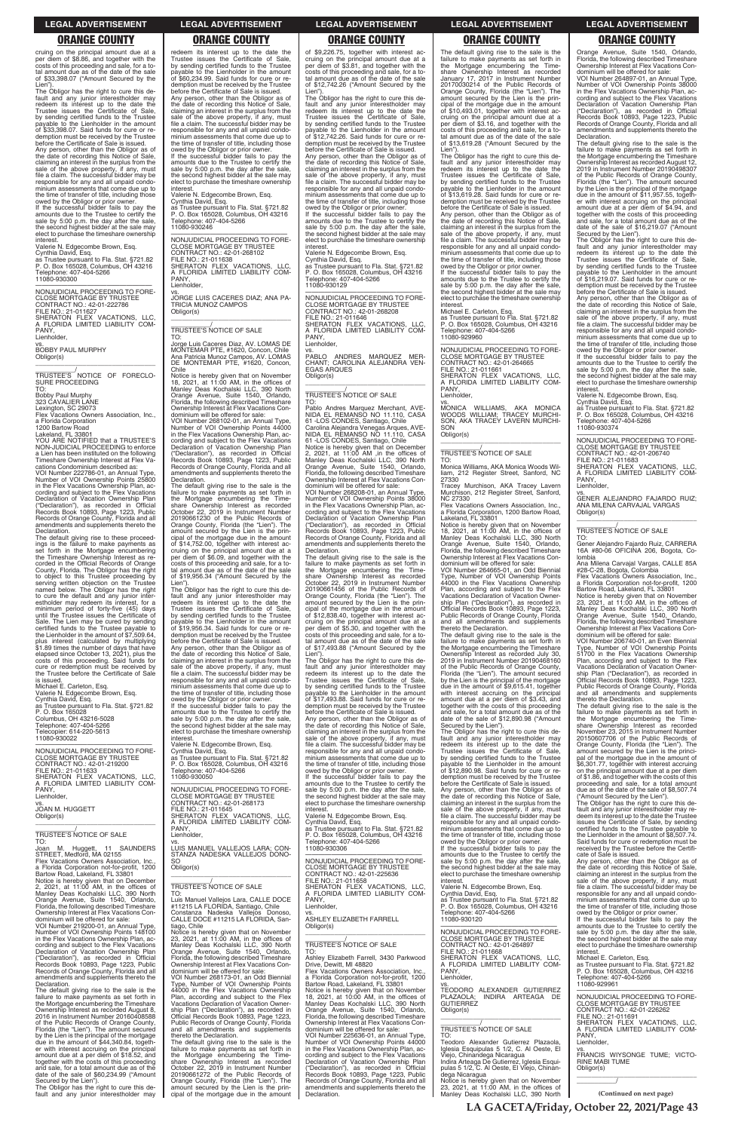cruing on the principal amount due at a per diem of \$8.86, and together with the costs of this proceeding and sale, for a to-tal amount due as of the date of the sale of \$33,398.07 ("Amount Secured by the

Lien"). The Obligor has the right to cure this default and any junior interestholder may redeem its interest up to the date the Trustee issues the Certificate of Sale, by sending certified funds to the Trustee payable to the Lienholder in the amount of \$33,398.07. Said funds for cure or redemption must be received by the Trustee before the Certificate of Sale is issued. Any person, other than the Obligor as of the date of recording this Notice of Sale, claiming an interest in the surplus from the sale of the above property, if any, must file a claim. The successful bidder may be responsible for any and all unpaid condo-minium assessments that come due up to the time of transfer of title, including those

owed by the Obligor or prior owner. If the successful bidder fails to pay the amounts due to the Trustee to certify the sale by 5:00 p.m. the day after the sale, the second highest bidder at the sale may elect to purchase the timeshare ownership interest.

Valerie N. Edgecombe Brown, Esq. Cynthia David, Esq. as Trustee pursuant to Fla. Stat. §721.82 P. O. Box 165028, Columbus, OH 43216

Telephone: 407-404-5266 11080-930300

—————————————————— NONJUDICIAL PROCEEDING TO FORE-CLOSE MORTGAGE BY TRUSTEE CONTRACT NO.: 42-01-222786<br>FILE NO.: 21-011627<br>SHERATON FLEX VACATIONS, LLC,<br>A FLORIDA LIMITED LIABILITY COM-PANY,

Lienholder,

vs. BOBBY PAUL MURPHY Obligor(s) \_\_\_\_\_\_\_\_\_\_\_\_\_\_\_\_\_\_\_\_\_\_\_\_\_\_\_\_\_\_\_\_\_

\_\_\_\_\_\_\_\_\_\_\_/ TRUSTEE'S NOTICE OF FORECLO-SURE PROCEEDING TO:

Bobby Paul Murphy 323 CAVALIER LANE

Lexington, SC 29073 Flex Vacations Owners Association, Inc., a Florida Corporation

1200 Bartow Road

Lakeland, FL 33801 YOU ARE NOTIFIED that a TRUSTEE'S NON-JUDICIAL PROCEEDING to enforce a Lien has been instituted on the following Timeshare Ownership Interest at Flex Vacations Condominium described as:

VOI Number 222786-01, an Annual Type, Number of VOI Ownership Points 25800 in the Flex Vacations Ownership Plan, according and subject to the Flex Vacations Declaration of Vacation Ownership Plan ("Declaration"), as recorded in Official Records Book 10893, Page 1223, Public Records of Orange County, Florida and all amendments and supplements thereto the Declaration.

The default giving rise to these proceedings is the failure to make payments as set forth in the Mortgage encumbering the Timeshare Ownership Interest as recorded in the Official Records of Orange County, Florida. The Obligor has the right to object to this Trustee proceeding by serving written objection on the Trustee named below. The Obligor has the right to cure the default and any junior interestholder may redeem its interest, for a minimum period of forty-five (45) days until the Trustee issues the Certificate of Sale. The Lien may be cured by sending certified funds to the Trustee payable to the Lienholder in the amount of \$7,509.64, plus interest (calculated by multiplying \$1.89 times the number of days that have elapsed since October 13, 2021), plus the costs of this proceeding. Said funds for cure or redemption must be received by the Trustee before the Certificate of Sale

amounts due to the Trustee to certify the sale by 5:00 p.m. the day after the sale, the second highest bidder at the sale may elect to purchase the timeshare ownership nterest

vs. JORGE LUIS CACERES DIAZ; ANA PA-TRICIA MUNOZ CAMPOS Obligor(s)  $\overline{\phantom{a}}$  ,  $\overline{\phantom{a}}$  ,  $\overline{\phantom{a}}$  ,  $\overline{\phantom{a}}$  ,  $\overline{\phantom{a}}$  ,  $\overline{\phantom{a}}$  ,  $\overline{\phantom{a}}$  ,  $\overline{\phantom{a}}$  ,  $\overline{\phantom{a}}$  ,  $\overline{\phantom{a}}$  ,  $\overline{\phantom{a}}$  ,  $\overline{\phantom{a}}$  ,  $\overline{\phantom{a}}$  ,  $\overline{\phantom{a}}$  ,  $\overline{\phantom{a}}$  ,  $\overline{\phantom{a}}$ 

is issued. Michael E. Carleton, Esq. Valerie N. Edgecombe Brown, Esq. Cynthia David, Esq. as Trustee pursuant to Fla. Stat. §721.82 P. O. Box 165028 Columbus, OH 43216-5028 Telephone: 407-404-5266 Telecopier: 614-220-5613

11080-930022

—————————————————— NONJUDICIAL PROCEEDING TO FORE-CLOSE MORTGAGE BY TRUSTEE CONTRACT NO.: 42-01-219200 FILE NO.: 21-011633 SHERATON FLEX VACATIONS, LLC,<br>A FLORIDA LIMITED LIABILITY COM-<br>PANY, Lienholder, vs. JOAN M. HUGGETT

 $\overline{\phantom{a}}$  , and the set of the set of the set of the set of the set of the set of the set of the set of the set of the set of the set of the set of the set of the set of the set of the set of the set of the set of the s

Obligor(s)

—————————————————— NONJUDICIAL PROCEEDING TO FORE-CLOSE MORTGAGE BY TRUSTEE CONTRACT NO.: 42-01-268173 FILE NO.: 21-011645 SHERATON FLEX VACATIONS, LLC, FLORIDA LIMITED LIABILITY COM-A FL

redeem its interest up to the date the Trustee issues the Certificate of Sale, by sending certified funds to the Trustee payable to the Lienholder in the amount of \$60,234.99. Said funds for cure or redemption must be received by the Trustee before the Certificate of Sale is issued. Any person, other than the Obligor as of the date of recording this Notice of Sale, claiming an interest in the surplus from the sale of the above property, if any, must file a claim. The successful bidder may be responsible for any and all unpaid condominium assessments that come due up to the time of transfer of title, including those owed by the Obligor or prior owner. If the successful bidder fails to pay the

Valerie N. Edgecombe Brown, Esq. Cynthia David, Esq. as Trustee pursuant to Fla. Stat. §721.82 P. O. Box 165028, Columbus, OH 43216 hone: 407-404-5266 11080-930246

> VOI Number 268208-01, an Annual Type, Number of VOI Ownership Points 38000 in the Flex Vacations Ownership Plan, according and subject to the Flex Vacations Declaration of Vacation Ownership Plan ("Declaration"), as recorded in Official Records Book 10893, Page 1223, Public Records of Orange County, Florida and all amendments and supplements thereto the **Declaration**

—————————————————— NONJUDICIAL PROCEEDING TO FORE-CLOSE MORTGAGE BY TRUSTEE CONTRACT NO.: 42-01-268102<br>FILE NO.: 21-011638<br>SHERATON FLEX VACATIONS, LLC,<br>A FLORIDA LIMITED LIABILITY COM-PANY Lienholder,

\_\_\_\_\_\_\_\_\_\_\_/ TRUSTEE'S NOTICE OF SALE

TO: Jorge Luis Caceres Diaz, AV. LOMAS DE MONTEMAR PTE, #1620, Concon, Chile Ana Patricia Munoz Campos, AV. LOMAS DE MONTEMAR PTE, #1620, Concon, Chile

Notice is hereby given that on November 18, 2021, at 11:00 AM, in the offices of Manley Deas Kochalski LLC, 390 North Orange Avenue, Suite 1540, Orlando, Florida, the following described Timeshare Ownership Interest at Flex Vacations Condominium will be offered for sale: VOI Number 268102-01, an Annual Type, Number of VOI Ownership Points 44000

in the Flex Vacations Ownership Plan, ac-cording and subject to the Flex Vacations Declaration of Vacation Ownership Plan<br>("Declaration") as recorded in Official ("Declaration"), as recorded in Official Records Book 10893, Page 1223, Public Records of Orange County, Florida and all amendments and supplements thereto the Declaration. The default giving rise to the sale is the

failure to make payments as set forth in the Mortgage encumbering the Timeshare Ownership Interest as recorded October 22, 2019 in Instrument Number 20190661230 of the Public Records of Orange County, Florida (the "Lien"). The amount secured by the Lien is the prin-cipal of the mortgage due in the amount of \$14,752.00, together with interest ac-cruing on the principal amount due at a per diem of \$6.09, and together with the costs of this proceeding and sale, for a to-tal amount due as of the date of the sale of \$19,956.34 ("Amount Secured by the

Lien"). The Obligor has the right to cure this de-fault and any junior interestholder may redeem its interest up to the date the Trustee issues the Certificate of Sale, by sending certified funds to the Trustee payable to the Lienholder in the amount of \$19,956.34. Said funds for cure or re-demption must be received by the Trustee

before the Certificate of Sale is issued. Any person, other than the Obligor as of the date of recording this Notice of Sale, claiming an interest in the surplus from the sale of the above property, if any, must file a claim. The successful bidder may be responsible for any and all unpaid condo-minium assessments that come due up to the time of transfer of title, including those

owed by the Obligor or prior owner. If the successful bidder fails to pay the amounts due to the Trustee to certify the sale by 5:00 p.m. the day after the sale. the second highest bidder at the sale may elect to purchase the timeshare ownership

vs.<br>MONICA WILLIAMS, AKA MONICA<br>WOODS WILLIAM; TRACEY MURCHI-<br>SON, AKA TRACEY LAVERN MURCHI-SON Obligor(s)

TO: Monica Williams, AKA Monica Woods Wil-212 Register Street, Sanford, NC liam, 2<br>27330

interest. Valerie N. Edgecombe Brown, Esq. Cynthia David, Esq. as Trustee pursuant to Fla. Stat. §721.82 P. O. Box 165028, Columbus, OH 43216 Telephone: 407-404-5266 11080-930050

Flex Vacations Owners Association, Inc. a Florida Corporation, 1200 Bartow Road, Lakeland, FL 33801

Notice is hereby given that on November<br>18, 2021, at 11:00 AM, in the offices of<br>Manley Deas Kochalski LLC, 390 North<br>Orange Avenue, Suite 1540, Orlando,<br>Florida, the following described Timeshare<br>Ownership Interest at Fle dominium will be offered for sale:

of \$9,226.75, together with interest accruing on the principal amount due at a per diem of \$3.81, and together with the costs of this proceeding and sale, for a total amount due as of the date of the sale of \$12,742.26 ("Amount Secured by the Lien"). The Obligor has the right to cure this de-

fault and any junior interestholder may redeem its interest up to the date the Trustee issues the Certificate of Sale, by sending certified funds to the Trustee payable to the Lienholder in the amount of \$12,742.26. Said funds for cure or redemption must be received by the Trustee before the Certificate of Sale is issued.

Any person, other than the Obligor as of the date of recording this Notice of Sale, claiming an interest in the surplus from the sale of the above property, if any, must file a claim. The successful bidder may be responsible for any and all unpaid condominium assessments that come due up to the time of transfer of title, including those owed by the Obligor or prior owner.

If the successful bidder fails to pay the amounts due to the Trustee to certify the sale by 5:00 p.m. the day after the sale, the second highest bidder at the sale may elect to purchase the timeshare ownership

> —————————————————— NONJUDICIAL PROCEEDING TO FORE-CLOSE MORTGAGE BY TRUSTEE CONTRACT NO.: 42-01-206740 FILE NO.: 21-011683 SHERATON FLEX VACATIONS, LLC,

interest. Valerie N. Edgecombe Brown, Esq. Cynthia David, Esq. as Trustee pursuant to Fla. Stat. §721.82 P. O. Box 165028, Columbus, OH 43216 Telephone: 407-404-5266 11080-930129

—————————————————— NONJUDICIAL PROCEEDING TO FORE-CLOSE MORTGAGE BY TRUSTEE CONTRACT NO.: 42-01-268208 FILE NO.: 21-011646 SHERATON FLEX VACATIONS, LLC, A FLORIDA LIMITED LIABILITY COM-PANY Lienholder,

> a Florida Corporation not-for-profit, 1200<br>Bartow Road, Lakeland, FL 33801<br>Notice is hereby given that on November<br>23, 2021, at 11:00 AM, in the offices of<br>Manley Deas Kochalski LLC, 390 North<br>Orange Avenue, Suite 1540, Or Florida, the following described Timeshare Ownership Interest at Flex Vacations Con-dominium will be offered for sale:

vs. PABLO ANDRES MARQUEZ MER-CHANT; CAROLINA ALEJANDRA VEN-EGAS ARQUES Obligor(s)

\_\_\_\_\_\_\_\_\_\_\_\_\_\_\_\_\_\_\_\_\_\_\_\_\_\_\_\_\_\_\_\_\_

\_\_\_\_\_\_\_\_\_\_\_/ TRUSTEE'S NOTICE OF SALE

TO: Pablo Andres Marquez Merchant, AVE-NIDA EL REMANSO NO 11.110, CASA 61 -LOS CONDES, Santiago, Chile Carolina Alejandra Venegas Arques, AVE-NIDA EL REMANSO NO 11.110, CASA 61 -LOS CONDES, Santiago, Chile Notice is hereby given that on December 2, 2021, at 11:00 AM ,in the offices of Manley Deas Kochalski LLC, 390 North

Orange Avenue, Suite 1540, Orlando, Florida, the following described Timeshare Ownership Interest at Flex Vacations Condominium will be offered for sale:

| <b>TRUSTEE'S NOTICE OF SALE</b><br>TO:<br>Joan M. Huggett, 11 SAUNDERS<br>STREET, Medford, MA 02155<br>Flex Vacations Owners Association, Inc.,<br>a Florida Corporation not-for-profit, 1200<br>Bartow Road, Lakeland, FL 33801<br>Notice is hereby given that on December<br>2, 2021, at $11:00$ AM, in the offices of<br>Manley Deas Kochalski LLC, 390 North<br>Orange Avenue, Suite 1540, Orlando,<br>Florida, the following described Timeshare<br>Ownership Interest at Flex Vacations Con-<br>dominium will be offered for sale:<br>VOI Number 219200-01, an Annual Type,<br>Number of VOI Ownership Points 148100<br>in the Flex Vacations Ownership Plan, ac-<br>cording and subject to the Flex Vacations<br>Declaration of Vacation Ownership Plan<br>("Declaration"), as recorded in Official<br>Records Book 10893, Page 1223, Public<br>Records of Orange County, Florida and all<br>amendments and supplements thereto the<br>Declaration.<br>The default giving rise to the sale is the<br>failure to make payments as set forth in<br>the Mortgage encumbering the Timeshare<br>Ownership Interest as recorded August 8,<br>2016 in Instrument Number 20160408588<br>of the Public Records of Orange County,<br>Florida (the "Lien"). The amount secured<br>by the Lien is the principal of the mortgage<br>due in the amount of \$44,340.84, togeth-<br>er with interest accruing on the principal<br>amount due at a per diem of \$18.52, and | PANY.<br>Lienholder.<br>VS.<br>LUIS MANUEL VALLEJOS LARA: CON-<br>STANZA NADESKA VALLEJOS DONO-<br>SO.<br>Obligor(s)<br>TRUSTEE'S NOTICE OF SALE<br>TO:<br>Luis Manuel Vallejos Lara, CALLE DOCE<br>#11215 LA FLORIDA, Santiago, Chile<br>Constanza Nadeska Vallejos Donoso,<br>CALLE DOCE #11215 LA FLORIDA, San-<br>tiago, Chile<br>Notice is hereby given that on November<br>23, 2021, at 11:00 AM, in the offices of<br>Manley Deas Kochalski LLC, 390 North<br>Orange Avenue, Suite 1540, Orlando,<br>Florida, the following described Timeshare<br>Ownership Interest at Flex Vacations Con-<br>dominium will be offered for sale:<br>VOI Number 268173-01, an Odd Biennial<br>Type, Number of VOI Ownership Points<br>44000 in the Flex Vacations Ownership<br>Plan, according and subject to the Flex<br>Vacations Declaration of Vacation Owner-<br>ship Plan ("Declaration"), as recorded in<br>Official Records Book 10893, Page 1223,<br>Public Records of Orange County, Florida<br>and all amendments and supplements<br>thereto the Declaration.<br>The default giving rise to the sale is the<br>failure to make payments as set forth in<br>the Mortgage encumbering the Time- | as Trustee pursuant to Fla. Stat. §721.82<br>P. O. Box 165028, Columbus, OH 43216<br>Telephone: 407-404-5266<br>11080-930306<br>NONJUDICIAL PROCEEDING TO FORE-<br><b>CLOSE MORTGAGE BY TRUSTEE</b><br>CONTRACT NO.: 42-01-225636<br>FILE NO.: 21-011658<br>SHERATON FLEX VACATIONS. LLC.<br>A FLORIDA LIMITED LIABILITY COM-<br>PANY.<br>Lienholder.<br>VS.<br>ASHLEY ELIZABETH FARRELL<br>Obligor(s)<br>TRUSTEE'S NOTICE OF SALE<br>TO:<br>Ashley Elizabeth Farrell, 3430 Parkwood<br>Drive. Dewitt. MI 48820<br>Flex Vacations Owners Association. Inc<br>a Florida Corporation not-for-profit, 1200<br>Bartow Road, Lakeland, FL 33801<br>Notice is hereby given that on November<br>18, 2021, at 10:00 AM, in the offices of<br>Manley Deas Kochalski LLC, 390 North<br>Orange Avenue, Suite 1540, Orlando,<br>Florida, the following described Timeshare<br>Ownership Interest at Flex Vacations Con-<br>dominium will be offered for sale:<br>VOI Number 225636-01, an Annual Type,<br>Number of VOI Ownership Points 44000<br>in the Flex Vacations Ownership Plan, ac-<br>cording and subject to the Flex Vacations | minium assessments that come due up to<br>the time of transfer of title, including those<br>owed by the Obligor or prior owner.<br>If the successful bidder fails to pay the<br>amounts due to the Trustee to certify the<br>sale by 5:00 p.m. the day after the sale,<br>the second highest bidder at the sale may<br>elect to purchase the timeshare ownership<br>interest.<br>Valerie N. Edgecombe Brown, Esg.<br>Cynthia David, Esg.<br>as Trustee pursuant to Fla. Stat. §721.82<br>P. O. Box 165028, Columbus, OH 43216<br>Telephone: 407-404-5266<br>11080-930120<br>NONJUDICIAL PROCEEDING TO FORE-<br><b>CLOSE MORTGAGE BY TRUSTEE</b><br>CONTRACT NO.: 42-01-264897<br>FILE NO.: 21-011668<br>SHERATON FLEX VACATIONS. LLC.<br>A FLORIDA LIMITED LIABILITY COM-<br>PANY.<br>Lienholder,<br>VS.<br>TEODORO ALEXANDER GUTIERREZ<br>PLAZAOLA:<br>INDIRA ARTEAGA DE<br><b>GUTIERREZ</b><br>Obligor(s)<br><b>TRUSTEE'S NOTICE OF SALE</b><br>TO:<br>Teodoro Alexander Gutierrez Plazaola,<br>Iglesia Esquipulas 5 1/2, C. Al Oeste, El<br>Viejo, Chinandega Nicaragua | certified funds to the Trustee payable to<br>the Lienholder in the amount of \$8,507.74.<br>Said funds for cure or redemption must be<br>received by the Trustee before the Certifi-<br>cate of Sale is issued.<br>Any person, other than the Obligor as of<br>the date of recording this Notice of Sale,<br>claiming an interest in the surplus from the<br>sale of the above property, if any, must<br>file a claim. The successful bidder may be<br>responsible for any and all unpaid condo-<br>minium assessments that come due up to<br>the time of transfer of title, including those<br>owed by the Obligor or prior owner.<br>If the successful bidder fails to pay the<br>amounts due to the Trustee to certify the<br>sale by 5:00 p.m. the day after the sale,<br>the second highest bidder at the sale may<br>elect to purchase the timeshare ownership<br>interest.<br>Michael E. Carleton, Esg.<br>as Trustee pursuant to Fla. Stat. §721.82<br>P. O. Box 165028, Columbus, OH 43216<br>Telephone: 407-404-5266<br>11080-929961<br>NONJUDICIAL PROCEEDING TO FORE-<br><b>CLOSE MORTGAGE BY TRUSTEE</b><br>CONTRACT NO.: 42-01-226262<br>FILE NO.: 21-011691<br>SHERATON FLEX VACATIONS. LLC.<br>A FLORIDA LIMITED LIABILITY COM-<br>PANY.<br>Lienholder,<br>VS.<br>FRANCIS WIYSONGE TUME: VICTO- |
|-------------------------------------------------------------------------------------------------------------------------------------------------------------------------------------------------------------------------------------------------------------------------------------------------------------------------------------------------------------------------------------------------------------------------------------------------------------------------------------------------------------------------------------------------------------------------------------------------------------------------------------------------------------------------------------------------------------------------------------------------------------------------------------------------------------------------------------------------------------------------------------------------------------------------------------------------------------------------------------------------------------------------------------------------------------------------------------------------------------------------------------------------------------------------------------------------------------------------------------------------------------------------------------------------------------------------------------------------------------------------------------------------------------------------------------------------------------------|--------------------------------------------------------------------------------------------------------------------------------------------------------------------------------------------------------------------------------------------------------------------------------------------------------------------------------------------------------------------------------------------------------------------------------------------------------------------------------------------------------------------------------------------------------------------------------------------------------------------------------------------------------------------------------------------------------------------------------------------------------------------------------------------------------------------------------------------------------------------------------------------------------------------------------------------------------------------------------------------------------------------------------------------------------------------------------------------------------------------------------------------------------------------------------------------------|------------------------------------------------------------------------------------------------------------------------------------------------------------------------------------------------------------------------------------------------------------------------------------------------------------------------------------------------------------------------------------------------------------------------------------------------------------------------------------------------------------------------------------------------------------------------------------------------------------------------------------------------------------------------------------------------------------------------------------------------------------------------------------------------------------------------------------------------------------------------------------------------------------------------------------------------------------------------------------------------------------------------------------------------------------------------------------------------------------------------------|----------------------------------------------------------------------------------------------------------------------------------------------------------------------------------------------------------------------------------------------------------------------------------------------------------------------------------------------------------------------------------------------------------------------------------------------------------------------------------------------------------------------------------------------------------------------------------------------------------------------------------------------------------------------------------------------------------------------------------------------------------------------------------------------------------------------------------------------------------------------------------------------------------------------------------------------------------------------------------------------------------------------------------------------------------------------------|-----------------------------------------------------------------------------------------------------------------------------------------------------------------------------------------------------------------------------------------------------------------------------------------------------------------------------------------------------------------------------------------------------------------------------------------------------------------------------------------------------------------------------------------------------------------------------------------------------------------------------------------------------------------------------------------------------------------------------------------------------------------------------------------------------------------------------------------------------------------------------------------------------------------------------------------------------------------------------------------------------------------------------------------------------------------------------------------------------------------------------------------------------------------------------------------------------------------------------------------------------------------------------------------------------------------|
| together with the costs of this proceeding<br>and sale, for a total amount due as of the<br>date of the sale of \$60,234.99 ("Amount<br>Secured by the Lien").<br>The Obligor has the right to cure this de-                                                                                                                                                                                                                                                                                                                                                                                                                                                                                                                                                                                                                                                                                                                                                                                                                                                                                                                                                                                                                                                                                                                                                                                                                                                      | share Ownership Interest as recorded<br>October 22, 2019 in Instrument Number<br>20190661272 of the Public Records of<br>Orange County, Florida (the "Lien"). The<br>amount secured by the Lien is the prin-                                                                                                                                                                                                                                                                                                                                                                                                                                                                                                                                                                                                                                                                                                                                                                                                                                                                                                                                                                                     | Declaration of Vacation Ownership Plan<br>("Declaration"), as recorded in Official<br>Records Book 10893, Page 1223, Public<br>Records of Orange County, Florida and all<br>amendments and supplements thereto the                                                                                                                                                                                                                                                                                                                                                                                                                                                                                                                                                                                                                                                                                                                                                                                                                                                                                                           | Indira Arteaga De Gutierrez, Iglesia Esqui-<br>pulas 5 1/2, C. Al Oeste, El Viejo, Chinan-<br>dega Nicaragua<br>Notice is hereby given that on November<br>23, 2021, at $11:00$ AM, in the offices of                                                                                                                                                                                                                                                                                                                                                                                                                                                                                                                                                                                                                                                                                                                                                                                                                                                                      | <b>RINE MABI TUME</b><br>Obligor(s)                                                                                                                                                                                                                                                                                                                                                                                                                                                                                                                                                                                                                                                                                                                                                                                                                                                                                                                                                                                                                                                                                                                                                                                                                                                                             |
| fault and any junior interestholder may                                                                                                                                                                                                                                                                                                                                                                                                                                                                                                                                                                                                                                                                                                                                                                                                                                                                                                                                                                                                                                                                                                                                                                                                                                                                                                                                                                                                                           | cipal of the mortgage due in the amount                                                                                                                                                                                                                                                                                                                                                                                                                                                                                                                                                                                                                                                                                                                                                                                                                                                                                                                                                                                                                                                                                                                                                          | Declaration.                                                                                                                                                                                                                                                                                                                                                                                                                                                                                                                                                                                                                                                                                                                                                                                                                                                                                                                                                                                                                                                                                                                 | Manley Deas Kochalski LLC, 390 North                                                                                                                                                                                                                                                                                                                                                                                                                                                                                                                                                                                                                                                                                                                                                                                                                                                                                                                                                                                                                                       | (Continued on next page)                                                                                                                                                                                                                                                                                                                                                                                                                                                                                                                                                                                                                                                                                                                                                                                                                                                                                                                                                                                                                                                                                                                                                                                                                                                                                        |

The default giving rise to the sale is the failure to make payments as set forth in the Mortgage encumbering the Time-share Ownership Interest as recorded October 22, 2019 in Instrument Number 20190661456 of the Public Records of Orange County, Florida (the "Lien"). The amount secured by the Lien is the principal of the mortgage due in the amount of \$12,838.40, together with interest accruing on the principal amount due at a per diem of \$5.30, and together with the costs of this proceeding and sale, for a total amount due as of the date of the sale of \$17,493.88 ("Amount Secured by the

Lien"). The Obligor has the right to cure this default and any junior interestholder may redeem its interest up to the date the Trustee issues the Certificate of Sale, by sending certified funds to the Trustee payable to the Lienholder in the amount of \$17,493.88. Said funds for cure or redemption must be received by the Trustee before the Certificate of Sale is issued. Any person, other than the Obligor as of the date of recording this Notice of Sale, claiming an interest in the surplus from the

sale of the above property, if any, must file a claim. The successful bidder may be responsible for any and all unpaid condominium assessments that come due up to the time of transfer of title, including those owed by the Obligor or prior owner.

If the successful bidder fails to pay the amounts due to the Trustee to certify the sale by 5:00 p.m. the day after the sale, the second highest bidder at the sale may elect to purchase the timeshare ownership

interest. Valerie N. Edgecombe Brown, Esq. Cynthia David, Esq. as Trustee pursuant to Fla. Stat. §721.82 P. O. Box 165028, Columbus, OH 43216

The default giving rise to the sale is the failure to make payments as set forth in the Mortgage encumbering the Time-share Ownership Interest as recorded January 17, 2017 in Instrument Number 20170030214 of the Public Records of Orange County, Florida (the "Lien"). The amount secured by the Lien is the principal of the mortgage due in the amount of \$10,493.01, together with interest accruing on the principal amount due at a per diem of \$3.16, and together with the costs of this proceeding and sale, for a total amount due as of the date of the sale of \$13,619.28 ("Amount Secured by the

Lien"). The Obligor has the right to cure this de-fault and any junior interestholder may redeem its interest up to the date the Trustee issues the Certificate of Sale, by sending certified funds to the Trustee payable to the Lienholder in the amount of \$13,619.28. Said funds for cure or redemption must be received by the Trustee before the Certificate of Sale is issued.

Any person, other than the Obligor as of the date of recording this Notice of Sale, claiming an interest in the surplus from the sale of the above property, if any, must file a claim. The successful bidder may be responsible for any and all unpaid condominium assessments that come due up to the time of transfer of title, including those owed by the Obligor or prior owner.

If the successful bidder fails to pay the amounts due to the Trustee to certify the sale by 5:00 p.m. the day after the sale, the second highest bidder at the sale may elect to purchase the timeshare ownership interest.

Michael E. Carleton, Esq. as Trustee pursuant to Fla. Stat. §721.82 P. O. Box 165028, Columbus, OH 43216 Telephone: 407-404-5266 11080-929960

—————————————————— NONJUDICIAL PROCEEDING TO FORE-CLOSE MORTGAGE BY TRUSTEE CONTRACT NO.: 42-01-264665

FILE NO.: 21-011661 SHERATON FLEX VACATIONS, LLC, A FLORIDA LIMITED LIABILITY COM-PANY,

Lienholder,

\_\_\_\_\_\_\_\_\_\_\_\_\_\_\_\_\_\_\_\_\_\_\_\_\_\_\_\_\_\_\_\_\_

# \_\_\_\_\_\_\_\_\_\_\_/ TRUSTEE'S NOTICE OF SALE

Tracey Murchison, AKA Tracey Lavern Murchison, 212 Register Street, Sanford, NC 27330

VOI Number 264665-01, an Odd Biennial Type, Number of VOI Ownership Points 44000 in the Flex Vacations Ownership Plan, according and subject to the Flex Vacations Declaration of Vacation Ownership Plan ("Declaration"), as recorded in Official Records Book 10893, Page 1223, Public Records of Orange County, Florida and all amendments and supplements thereto the Declaration.

The default giving rise to the sale is the failure to make payments as set forth in the Mortgage encumbering the Timeshare Ownership Interest as recorded July 30, 2019 in Instrument Number 20190468160 of the Public Records of Orange County, Florida (the "Lien"). The amount secured by the Lien is the principal of the mortgage due in the amount of \$9,615.41, together with interest accruing on the principal amount due at a per diem of \$3.43, and together with the costs of this proceeding and sale, for a total amount due as of the date of the sale of \$12,890.98 ("Amount

Secured by the Lien"). The Obligor has the right to cure this default and any junior interestholder may redeem its interest up to the date the Trustee issues the Certificate of Sale, by sending certified funds to the Trustee payable to the Lienholder in the amount of \$12,890.98. Said funds for cure or redemption must be received by the Trustee

before the Certificate of Sale is issued. Any person, other than the Obligor as of the date of recording this Notice of Sale, claiming an interest in the surplus from the sale of the above property, if any, must file a claim. The successful bidder may be responsible for any and all unpaid condo-minium assessments that come due up to

Orange Avenue, Suite 1540, Orlando, Florida, the following described Timeshare Ownership Interest at Flex Vacations Condominium will be offered for sale:

VOI Number 264897-01, an Annual Type, Number of VOI Ownership Points 38000 in the Flex Vacations Ownership Plan, according and subject to the Flex Vacations Declaration of Vacation Ownership Plan ("Declaration"), as recorded in Official Records Book 10893, Page 1223, Public Records of Orange County, Florida and all amendments and supplements thereto the Declaration.

The default giving rise to the sale is the failure to make payments as set forth in the Mortgage encumbering the Timeshare Ownership Interest as recorded August 12, 2019 in Instrument Number 20190498307 of the Public Records of Orange County, Florida (the "Lien"). The amount secured by the Lien is the principal of the mortgage due in the amount of \$11,957.55, together with interest accruing on the principal amount due at a per diem of \$4.94, and together with the costs of this proceeding and sale, for a total amount due as of the date of the sale of \$16,219.07 ("Amount

Secured by the Lien"). The Obligor has the right to cure this de-fault and any junior interestholder may redeem its interest up to the date the Trustee issues the Certificate of Sale, by sending certified funds to the Trustee payable to the Lienholder in the amount of \$16,219.07. Said funds for cure or re-demption must be received by the Trustee before the Certificate of Sale is issued.

Any person, other than the Obligor as of the date of recording this Notice of Sale, claiming an interest in the surplus from the sale of the above property, if any, must file a claim. The successful bidder may be responsible for any and all unpaid condominium assessments that come due up to the time of transfer of title, including those owed by the Obligor or prior owner.

If the successful bidder fails to pay the amounts due to the Trustee to certify the sale by 5:00 p.m. the day after the sale, the second highest bidder at the sale may elect to purchase the timeshare ownership interest.

Valerie N. Edgecombe Brown, Esq. Cynthia David, Esq. as Trustee pursuant to Fla. Stat. §721.82 P. O. Box 165028, Columbus, OH 43216 Telephone: 407-404-5266

11080-930374

A FLORIDA LIMITED LIABILITY COM-PANY Lienholder,

vs. GENER ALEJANDRO FAJARDO RUIZ; ANA MILENA CARVAJAL VARGAS Obligor(s) \_\_\_\_\_\_\_\_\_\_\_\_\_\_\_\_\_\_\_\_\_\_\_\_\_\_\_\_\_\_\_\_\_

### \_\_\_\_\_\_\_\_\_\_\_/ TRUSTEE'S NOTICE OF SALE TO:

Gener Alejandro Fajardo Ruiz, CARRERA 16A #80-06 OFICINA 206, Bogota, Colombia

Ana Milena Carvajal Vargas, CALLE 85A #28-C-28, Bogota, Colombia Flex Vacations Owners Association, Inc.,

VOI Number 206740-01, an Even Biennial Type, Number of VOI Ownership Points 51700 in the Flex Vacations Ownership Plan, according and subject to the Flex Vacations Declaration of Vacation Owner-ship Plan ("Declaration"), as recorded in Official Records Book 10893, Page 1223, Public Records of Orange County, Florida and all amendments and supplements

thereto the Declaration. The default giving rise to the sale is the failure to make payments as set forth in the Mortgage encumbering the Time-share Ownership Interest as recorded November 23, 2015 in Instrument Number 20150607706 of the Public Records of Orange County, Florida (the "Lien"). The amount secured by the Lien is the principal of the mortgage due in the amount of \$6,301.77, together with interest accruing on the principal amount due at a per diem of \$1.86, and together with the costs of this proceeding and sale, for a total amount due as of the date of the sale of \$8,507.74 ("Amount Secured by the Lien").

The Obligor has the right to cure this de-fault and any junior interestholder may redeem its interest up to the date the Trustee issues the Certificate of Sale, by sending certified funds to the Trustee payable to

### **LEGAL ADVERTISEMENT LEGAL ADVERTISEMENT LEGAL ADVERTISEMENT LEGAL ADVERTISEMENT LEGAL ADVERTISEMENT**

# **ORANGE COUNTY ORANGE COUNTY ORANGE COUNTY ORANGE COUNTY ORANGE COUNTY**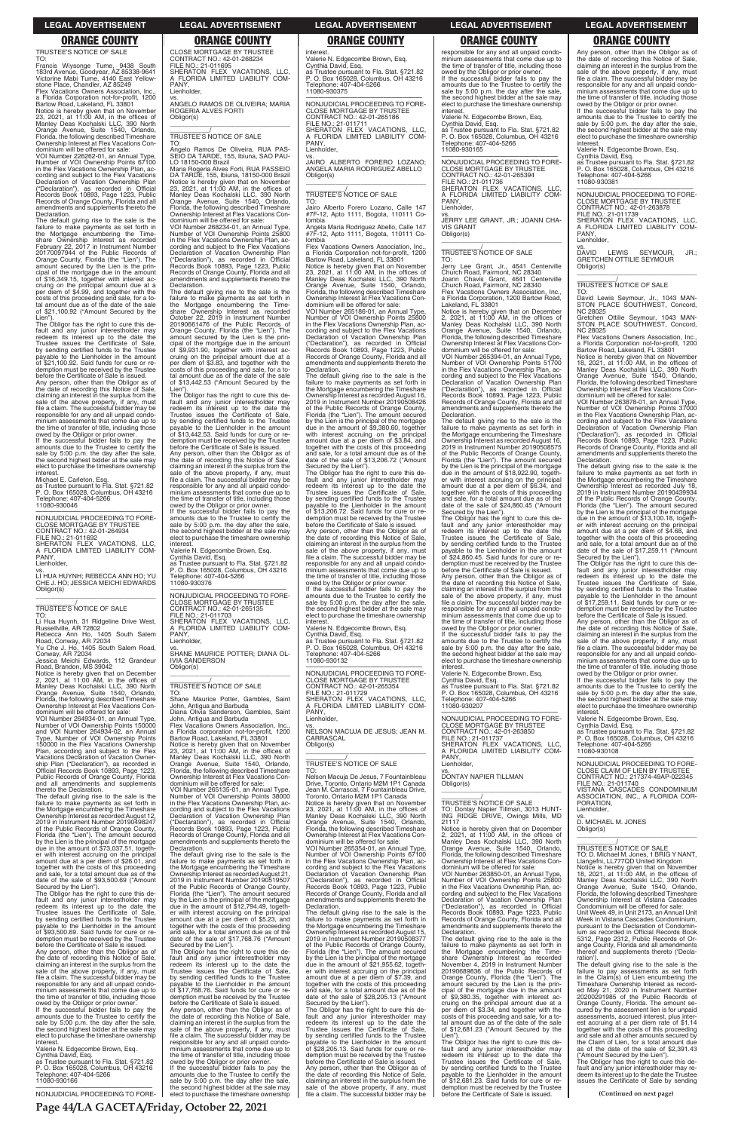TRUSTEE'S NOTICE OF SALE

TO: Francis Wiysonge Tume, 9438 South 183rd Avenue, Goodyear, AZ 85338-9641 Victorine Mabi Tume, 4140 East Yellowstone Place, Chandler, AZ 85249 Flex Vacations Owners Association, Inc., a Florida Corporation not-for-profit, 1200

Bartow Road, Lakeland, FL 33801 Notice is hereby given that on November 23, 2021, at 11:00 AM, in the offices of Manley Deas Kochalski LLC, 390 North Orange Avenue, Suite 1540, Orlando, Florida, the following described Timeshare Ownership Interest at Flex Vacations Con-dominium will be offered for sale:

VOI Number 226262-01, an Annual Type, Number of VOI Ownership Points 67100 in the Flex Vacations Ownership Plan, according and subject to the Flex Vacations<br>Declaration of Vacation Ownership Plan<br>("Declaration"), as recorded in Official<br>Records Book 10893, Page 1223, Public<br>Records of Orange County, Florida and all<br>amendments and suppl Declaration.

amounts due to the Trustee to certify the sale by 5:00 p.m. the day after the sale, the second highest bidder at the sale may elect to purchase the timeshare ownership interes

The default giving rise to the sale is the failure to make payments as set forth in the Mortgage encumbering the Time-share Ownership Interest as recorded February 22, 2017 in Instrument Number 20170097944 of the Public Records of Orange County, Florida (the "Lien"). The amount secured by the Lien is the principal of the mortgage due in the amount of \$16,349.15, together with interest ac-cruing on the principal amount due at a per diem of \$4.99, and together with the costs of this proceeding and sale, for a to-tal amount due as of the date of the sale of \$21,100.92 ("Amount Secured by the

Russellville, AR 72802 Rebecca Ann Ho, 1405 South Salem Road, Conway, AR 72034 Yu Che J. Ho, 1405 South Salem Road, Yu Che J. Ho, 1405<br>Conway, AR 72034

Lien"). The Obligor has the right to cure this default and any junior interestholder may redeem its interest up to the date the Trustee issues the Certificate of Sale, by sending certified funds to the Trustee payable to the Lienholder in the amount of \$21,100.92. Said funds for cure or redemption must be received by the Trustee

before the Certificate of Sale is issued. Any person, other than the Obligor as of the date of recording this Notice of Sale, claiming an interest in the surplus from the sale of the above property, if any, must file a claim. The successful bidder may be responsible for any and all unpaid condo-minium assessments that come due up to the time of transfer of title, including those owed by the Obligor or prior owner. If the successful bidder fails to pay the

Michael E. Carleton, Esq.

as Trustee pursuant to Fla. Stat. §721.82 P. O. Box 165028, Columbus, OH 43216 Telephone: 407-404-5266 11080-930046

—————————————————— NONJUDICIAL PROCEEDING TO FORE-CLOSE MORTGAGE BY TRUSTEE CONTRACT NO.: 42-01-264934 FILE NO.: 21-011692 SHERATON FLEX VACATIONS, LLC, A FLORIDA LIMITED LIABILITY COM-PANY,

Lienholder,

CLOSE MORTGAGE BY TRUSTEE CONTRACT NO.: 42-01-268234 FILE NO.: 21-011695 SHERATON FLEX VACATIONS, LLC, A FLORIDA LIMITED LIABILITY COM-PANY

vs. LI HUA HUYNH; REBECCA ANN HO; YU CHE J. HO; JESSICA MEICHI EDWARDS Obligor(s) \_\_\_\_\_\_\_\_\_\_\_\_\_\_\_\_\_\_\_\_\_\_\_\_\_\_\_\_\_\_\_\_\_

# \_\_\_\_\_\_\_\_\_\_\_/ TRUSTEE'S NOTICE OF SALE

TO: Li Hua Huynh, 31 Ridgeline Drive West,

Jessica Meichi Edwards, 112 Grandeur

Rogeria Alves Forti, RUA PASSEIO DA TARDE, 155, Ibiuna, 18150-000 Brazil Notice is hereby given that on November 23, 2021, at 11:00 AM, in the offices of Manley Deas Kochalski LLC, 390 North Orange Avenue, Suite 1540, Orlando, Florida, the following described Timeshare Ownership Interest at Flex Vacations Con-

Road, Brandon, MS 39042 Notice is hereby given that on December 2, 2021, at 11:00 AM, in the offices of Manley Deas Kochalski LLC, 390 North Orange Avenue, Suite 1540, Orlando, Florida, the following described Timeshare Ownership Interest at Flex Vacations Con-dominium will be offered for sale:

VOI Number 264934-01, an Annual Type, Number of VOI Ownership Points 150000 and VOI Number 264934-02, an Annual Type, Number of VOI Ownership Points 150000 in the Flex Vacations Ownership Plan, according and subject to the Flex Vacations Declaration of Vacation Ownership Plan ("Declaration"), as recorded in Official Records Book 10893, Page 1223, Public Records of Orange County, Florida and all amendments and supplements thereto the Declaration.

The default giving rise to the sale is the failure to make payments as set forth in the Mortgage encumbering the Timeshare Ownership Interest as recorded August 12, 2019 in Instrument Number 20190498247 of the Public Records of Orange County,

Florida (the "Lien"). The amount secured by the Lien is the principal of the mortgage due in the amount of \$73,037.51, together with interest accruing on the principal amount due at a per diem of \$26.01, and together with the costs of this proceeding and sale, for a total amount due as of the date of the sale of \$93,500.69 ("Amount Secured by the Lien").

The Obligor has the right to cure this de-fault and any junior interestholder may redeem its interest up to the date the Trustee issues the Certificate of Sale, by sending certified funds to the Trustee payable to the Lienholder in the amount of \$93,500.69. Said funds for cure or redemption must be received by the Trustee before the Certificate of Sale is issued.

Any person, other than the Obligor as of the date of recording this Notice of Sale, claiming an interest in the surplus from the sale of the above property, if any, must file a claim. The successful bidder may be responsible for any and all unpaid condominium assessments that come due up to the time of transfer of title, including those owed by the Obligor or prior owner.

If the successful bidder fails to pay the amounts due to the Trustee to certify the sale by 5:00 p.m. the day after the sale, the second highest bidder at the sale may elect to purchase the timeshare ownership interest.

Valerie N. Edgecombe Brown, Esq. Cynthia David, Esq. as Trustee pursuant to Fla. Stat. §721.82 P. O. Box 165028, Columbus, OH 43216 one: 407-404-5266 11080-930166

—————————————————— NONJUDICIAL PROCEEDING TO FORE-

interest Valerie N. Edgecombe Brown, Esq. Cynthia David, Esq. as Trustee pursuant to Fla. Stat. §721.82 P. O. Box 165028, Columbus, OH 43216 Telephone: 407-404-5266 11080-930375

Lienholder,

vs. ANGELO RAMOS DE OLIVEIRA; MARIA ROGERIA ALVES FORTI Obligor(s) \_\_\_\_\_\_\_\_\_\_\_\_\_\_\_\_\_\_\_\_\_\_\_\_\_\_\_\_\_\_\_\_\_

\_\_\_\_\_\_\_\_\_\_\_/ TRUSTEE'S NOTICE OF SALE

TO: Angelo Ramos De Oliveira, RUA PAS-SEIO DA TARDE, 155, Ibiuna, SAO PAU-LO 18150-000 Brazil

dominium will be offered for sale: VOI Number 268234-01, an Annual Type, Number of VOI Ownership Points 25800 in the Flex Vacations Ownership Plan, ac-cording and subject to the Flex Vacations Declaration of Vacation Ownership Plan ("Declaration"), as recorded in Official Records Book 10893, Page 1223, Public Records of Orange County, Florida and all amendments and supplements thereto the Declaration.

The default giving rise to the sale is the failure to make payments as set forth in the Mortgage encumbering the Timeshare Ownership Interest as recorded October 22, 2019 in Instrument Number 20190661476 of the Public Records of Orange County, Florida (the "Lien"). The amount secured by the Lien is the prin-cipal of the mortgage due in the amount of \$9,931.90, together with interest ac-cruing on the principal amount due at a per diem of \$3.83, and together with the costs of this proceeding and sale, for a to-tal amount due as of the date of the sale of \$13,442.53 ("Amount Secured by the

Lien"). The Obligor has the right to cure this de-fault and any junior interestholder may redeem its interest up to the date the Trustee issues the Certificate of Sale, by sending certified funds to the Trustee payable to the Lienholder in the amount of \$13,442.53. Said funds for cure or re-demption must be received by the Trustee before the Certificate of Sale is issued. Any person, other than the Obligor as of the date of recording this Notice of Sale, claiming an interest in the surplus from the sale of the above property, if any, must file a claim. The successful bidder may be

responsible for any and all unpaid condominium assessments that come due up to the time of transfer of title, including those owed by the Obligor or prior owner. If the successful bidder fails to pay the amounts due to the Trustee to certify the sale by 5:00 p.m. the day after the sale the second highest bidder at the sale may the second highest bidder at the sale may elect to purchase the timeshare ownership

interest.

responsible for any and all unpaid condominium assessments that come due up to the time of transfer of title, including those owed by the Obligor or prior owner. If the successful bidder fails to pay the amounts due to the Trustee to certify the sale by 5:00 p.m. the day after the sale, the second highest bidder at the sale may elect to purchase the timeshare ownership<br>interest.

Valerie N. Edgecombe Brown, Esq. Cynthia David, Esq. as Trustee pursuant to Fla. Stat. §721.82 P. O. Box 165028, Columbus, OH 43216 Telephone: 407-404-5266 11080-930376

—————————————————— NONJUDICIAL PROCEEDING TO FORE-CLOSE MORTGAGE BY TRUSTEE CONTRACT NO.: 42-01-265135 FILE NO.: 21-011703 SHERATON FLEX VACATIONS, LLC, A FLORIDA LIMITED LIABILITY COM-PANY, Lienholder, vs. SHANE MAURICE POTTER; DIANA OL-

IVIA SANDERSON Obligor(s) \_\_\_\_\_\_\_\_\_\_\_\_\_\_\_\_\_\_\_\_\_\_\_\_\_\_\_\_\_\_\_\_\_

\_\_\_\_\_\_\_\_\_\_\_/ TRUSTEE'S NOTICE OF SALE

TO: Shane Maurice Potter, Gambles, Saint John, Antigua and Barbuda Diana Olivia Sanderson, Gambles, Saint

John, Antigua and Barbuda Flex Vacations Owners Association, Inc., a Florida corporation not-for-profit, 1200

VOI Number 265394-01, an Annual Type, Number of VOI Ownership Points 51700 in the Flex Vacations Ownership Plan, according and subject to the Flex Vacations Declaration of Vacation Ownership Plan ("Declaration"), as recorded in Official Records Book 10893, Page 1223, Public Records of Orange County, Florida and all amendments and supplements thereto the **Declaration** 

Bartow Road, Lakeland, FL 33801 Notice is hereby given that on November<br>23, 2021, at 11:00 AM, in the offices of<br>Manley Deas Kochalski LLC, 390 North<br>Orange Avenue, Suite 1540, Orlando,<br>Florida, the following described Timeshare Ownership Interest at Flex Vacations Con-

dominium will be offered for sale: VOI Number 265135-01, an Annual Type, Number of VOI Ownership Points 38000 in the Flex Vacations Ownership Plan, according and subject to the Flex Vacations Declaration of Vacation Ownership Plan ("Declaration"), as recorded in Official Records Book 10893, Page 1223, Public Records of Orange County, Florida and all amendments and supplements thereto the nonamon.<br>eclaration The default giving rise to the sale is the failure to make payments as set forth in the Mortgage encumbering the Timeshare Ownership Interest as recorded August 21, 2019 in Instrument Number 20190519507 of the Public Records of Orange County, Florida (the "Lien"). The amount secured by the Lien is the principal of the mortgage due in the amount of \$12,794.49, together with interest accruing on the principal amount due at a per diem of \$5.23, and together with the costs of this proceeding and sale, for a total amount due as of the date of the sale of \$17,768.76 ("Amount Secured by the Lien"). The Obligor has the right to cure this default and any junior interestholder may redeem its interest up to the date the Trustee issues the Certificate of Sale, by sending certified funds to the Trustee payable to the Lienholder in the amount of \$17,768.76. Said funds for cure or redemption must be received by the Trustee before the Certificate of Sale is issued. Any person, other than the Obligor as of the date of recording this Notice of Sale, claiming an interest in the surplus from the sale of the above property, if any, must file a claim. The successful bidder may be responsible for any and all unpaid condominium assessments that come due up to the time of transfer of title, including those owed by the Obligor or prior owner. If the successful bidder fails to pay the amounts due to the Trustee to certify the sale by 5:00 p.m. the day after the sale, the second highest bidder at the sale may elect to purchase the timeshare ownership

\$12,681.23. Said funds for cure or redemption must be received by the Trustee before the Certificate of Sale is issued.

amounts due to the Trustee to certify the sale by 5:00 p.m. the day after the sale, the second highest bidder at the sale may elect to purchase the timeshare ownership interest

—————————————————— NONJUDICIAL PROCEEDING TO FORE-CROSSIGNET HOOLLDING TOT CONTRACT NO.: 42-01-265186 FILE NO.: 21-011711 SHERATON FLEX VACATIONS, LLC, A FLORIDA LIMITED LIABILITY COM-PANY, Lienholder,

> DAVID DAVID LEWIS SEYMOUR, JR.; GRETCHEN OTTILIE SEYMOUR Obligor(s) \_\_\_\_\_\_\_\_\_\_\_\_\_\_\_\_\_\_\_\_\_\_\_\_\_\_\_\_\_\_\_\_\_

vs. JAIRO ALBERTO FORERO LOZANO; ANGELA MARIA RODRIGUEZ ABELLO Obligor(s) \_\_\_\_\_\_\_\_\_\_\_\_\_\_\_\_\_\_\_\_\_\_\_\_\_\_\_\_\_\_\_\_\_

# \_\_\_\_\_\_\_\_\_\_\_/ TRUSTEE'S NOTICE OF SALE

Flex Vacations Owners Association, Inc. a Florida Corporation not-for-profit, 1200 Bartow Road, Lakeland, FL 33801

TO: Jairo Alberto Forero Lozano, Calle 147 #7F-12, Apto 1111, Bogota, 110111 Colombia

> dominium will be offered for sale: VOI Number 263878-01, an Annual Type, Number of VOI Ownership Points 37000 in the Flex Vacations Ownership Plan, ac-cording and subject to the Flex Vacations Declaration of Vacation Ownership Plan ("Declaration"), as recorded in Official Records Book 10893, Page 1223, Public Records of Orange County, Florida and all amendments and supplements thereto the eclaration

Angela Maria Rodriguez Abello, Calle 147 #7F-12, Apto 1111, Bogota, 110111 Co-

lombia Flex Vacations Owners Association, Inc., a Florida Corporation not-for-profit, 1200 Bartow Road, Lakeland, FL 33801 Notice is hereby given that on November 23, 2021, at 11:00 AM, in the offices of Manley Deas Kochalski LLC, 390 North Orange Avenue, Suite 1540, Orlando, Florida, the following described Timeshare Ownership Interest at Flex Vacations Condominium will be offered for sale:

VOI Number 265186-01, an Annual Type, Number of VOI Ownership Points 25800 in the Flex Vacations Ownership Plan, according and subject to the Flex Vacations Declaration of Vacation Ownership Plan ("Declaration"), as recorded in Official Records Book 10893, Page 1223, Public Records of Orange County, Florida and all amendments and supplements thereto the Declaration.

The default giving rise to the sale is the failure to make payments as set forth in the Mortgage encumbering the Timeshare Ownership Interest as recorded August 16, 2019 in Instrument Number 20190508426 of the Public Records of Orange County, Florida (the "Lien"). The amount secured by the Lien is the principal of the mortgage due in the amount of \$9,380.60, together with interest accruing on the principal amount due at a per diem of \$3.84, and together with the costs of this proceeding and sale, for a total amount due as of the date of the sale of \$13,206.72 ("Amount

Secured by the Lien"). The Obligor has the right to cure this de-fault and any junior interestholder may redeem its interest up to the date the Trustee issues the Certificate of Sale, by sending certified funds to the Trustee payable to the Lienholder in the amount of \$13,206.72. Said funds for cure or re-demption must be received by the Trustee before the Certificate of Sale is issued. Any person, other than the Obligor as of the date of recording this Notice of Sale, claiming an interest in the surplus from the sale of the above property, if any, must file a claim. The successful bidder may be responsible for any and all unpaid condominium assessments that come due up to the time of transfer of title, including those

owed by the Obligor or prior owner. If the successful bidder fails to pay the amounts due to the Trustee to certify the sale by 5:00 p.m. the day after the sale the second highest bidder at the sale may elect to purchase the timeshare ownership interest.

Valerie N. Edgecombe Brown, Esq. Cynthia David, Esq. as Trustee pursuant to Fla. Stat. §721.82 P. O. Box 165028, Columbus, OH 43216

Telephone: 407-404-5266 11080-930132

—————————————————— NONJUDICIAL PROCEEDING TO FORE-CLOSE MORTGAGE BY TRUSTEE CONTRACT NO.: 42-01-265354 FILE NO.: 21-011729 SHERATON FLEX VACATIONS, LLC, A FLORIDA LIMITED LIABILITY COM-PANY Lienholder,

vs. NELSON MACUJA DE JESUS; JEAN M. CARRASCAL Obligor(s) \_\_\_\_\_\_\_\_\_\_\_\_\_\_\_\_\_\_\_\_\_\_\_\_\_\_\_\_\_\_\_\_\_

\_\_\_\_\_\_\_\_\_\_\_/ TRUSTEE'S NOTICE OF SALE

TO: Nelson Macuja De Jesus, 7 Fountainbleau Drive, Toronto, Ontario M2M 1P1 Canada Jean M. Carrascal, 7 Fountainbleau Drive, Toronto, Ontario M2M 1P1 Canada Notice is hereby given that on November 23, 2021, at 11:00 AM, in the offices of Manley Deas Kochalski LLC, 390 North Orange Avenue, Suite 1540, Orlando, Florida, the following described Timeshare Ownership Interest at Flex Vacations Condominium will be offered for sale: VOI Number 265354-01, an Annual Type, Number of VOI Ownership Points 67100 in the Flex Vacations Ownership Plan, ac-cording and subject to the Flex Vacations Declaration of Vacation Ownership Plan ("Declaration"), as recorded in Official Records Book 10893, Page 1223, Public Records of Orange County, Florida and all amendments and supplements thereto the Declaration. The default giving rise to the sale is the failure to make payments as set forth in the Mortgage encumbering the Timeshare Ownership Interest as recorded August 15, 2019 in Instrument Number 20190508377 of the Public Records of Orange County, Florida (the "Lien"). The amount secured by the Lien is the principal of the mortgage due in the amount of \$21,955.62, together with interest accruing on the principal amount due at a per diem of \$7.39, and together with the costs of this proceeding and sale, for a total amount due as of the date of the sale of \$28,205.13 ("Amount Secured by the Lien"). The Obligor has the right to cure this default and any junior interestholder may redeem its interest up to the date the Trustee issues the Certificate of Sale, by sending certified funds to the Trustee payable to the Lienholder in the amount of \$28,205.13. Said funds for cure or redemption must be received by the Trustee before the Certificate of Sale is issued. Any person, other than the Obligor as of the date of recording this Notice of Sale, claiming an interest in the surplus from the sale of the above property, if any, must file a claim. The successful bidder may be interest. Valerie N. Edgecombe Brown, Esq. Cynthia David, Esq. as Trustee pursuant to Fla. Stat. §721.82 P. O. Box 165028, Columbus, OH 43216 Telephone: 407-404-5266 11080-930165

—————————————————— NONJUDICIAL PROCEEDING TO FORE-CLOSE MORTGAGE BY TRUSTEE CONTRACT NO.: 42-01-265394 FILE NO.: 21-011736 SHERATON FLEX VACATIONS, LLC, A FLORIDA LIMITED LIABILITY COM-PANY,

Lienholder,

vs. JERRY LEE GRANT, JR.; JOANN CHA-VIS GRANT Obligor(s) \_\_\_\_\_\_\_\_\_\_\_\_\_\_\_\_\_\_\_\_\_\_\_\_\_\_\_\_\_\_\_\_\_

# \_\_\_\_\_\_\_\_\_\_\_/ TRUSTEE'S NOTICE OF SALE

TO: Jerry Lee Grant, Jr., 4641 Centerville Church Road, Fairmont, NC 28340

Joann Chavis Grant, 4641 Centerville Church Road, Fairmont, NC 28340

Flex Vacations Owners Association, Inc., a Florida Corporation, 1200 Bartow Road, Lakeland, FL 33801

Notice is hereby given that on December 2, 2021, at 11:00 AM, in the offices of Manley Deas Kochalski LLC, 390 North Orange Avenue, Suite 1540, Orlando, Florida, the following described Timeshare Ownership Interest at Flex Vacations Condominium will be offered for sale:

The default giving rise to the sale is the failure to make payments as set forth in the Mortgage encumbering the Timeshare Ownership Interest as recorded August 16, 2019 in Instrument Number 20190508575 of the Public Records of Orange County, Florida (the "Lien"). The amount secured by the Lien is the principal of the mortgage due in the amount of \$18,922.90, togeth-er with interest accruing on the principal amount due at a per diem of \$6.34, and together with the costs of this proceeding and sale, for a total amount due as of the date of the sale of \$24,860.45 ("Amount

Secured by the Lien"). The Obligor has the right to cure this default and any junior interestholder may redeem its interest up to the date the Trustee issues the Certificate of Sale, by sending certified funds to the Trustee payable to the Lienholder in the amount of \$24,860.45. Said funds for cure or redemption must be received by the Trustee

before the Certificate of Sale is issued. Any person, other than the Obligor as of the date of recording this Notice of Sale, claiming an interest in the surplus from the sale of the above property, if any, must file a claim. The successful bidder may be responsible for any and all unpaid condo-minium assessments that come due up to the time of transfer of title, including those owed by the Obligor or prior owner. If the successful bidder fails to pay the

amounts due to the Trustee to certify the sale by 5:00 p.m. the day after the sale, the second highest bidder at the sale may elect to purchase the timeshare ownership interest.

Valerie N. Edgecombe Brown, Esq.

Cynthia David, Esq. as Trustee pursuant to Fla. Stat. §721.82 P. O. Box 165028, Columbus, OH 43216 Telephone: 407-404-5266 11080-930207

—————————————————— NONJUDICIAL PROCEEDING TO FORE-CLOSE MORTGAGE BY TRUSTEE CONTRACT NO.: 42-01-263850 FILE NO.: 21-011737 SHERATON FLEX VACATIONS, LLC, A FLORIDA LIMITED LIABILITY COM-PANY,

Lienholder,

vs. DONTAY NAPIER TILLMAN Obligor(s) \_\_\_\_\_\_\_\_\_\_\_\_\_\_\_\_\_\_\_\_\_\_\_\_\_\_\_\_\_\_\_\_\_

\_\_\_\_\_\_\_\_\_\_\_/ TRUSTEE'S NOTICE OF SALE TO: Dontay Napier Tillman, 3013 HUNT-ING RIDGE DRIVE, Owings Mills, MD

Any person, other than the Obligor as of the date of recording this Notice of Sale, claiming an interest in the surplus from the sale of the above property, if any, must file a claim. The successful bidder may be responsible for any and all unpaid condo-minium assessments that come due up to the time of transfer of title, including those owed by the Obligor or prior owner. If the successful bidder fails to pay the

Valerie N. Edgecombe Brown, Esq.

Cynthia David, Esq. as Trustee pursuant to Fla. Stat. §721.82 P. O. Box 165028, Columbus, OH 43216 Telephone: 407-404-5266 11080-930381

—————————————————— NONJUDICIAL PROCEEDING TO FORE-CLOSE MORTGAGE BY TRUSTEE CONTRACT NO.: 42-01-263878 FILE NO.: 21-011739

SHERATON FLEX VACATIONS, LLC, A FLORIDA LIMITED LIABILITY COM-PANY, Lienholder,

\_\_\_\_\_\_\_\_\_\_\_/ TRUSTEE'S NOTICE OF SALE

TO: David Lewis Seymour, Jr., 1043 MAN-STON PLACE SOUTHWEST, Concord, NC 28025

Gretchen Ottilie Seymour, 1043 MAN-STON PLACE SOUTHWEST, Concord, NC 28025

Notice is hereby given that on November 18, 2021, at 11:00 AM, in the offices of Manley Deas Kochalski LLC, 390 North Orange Avenue, Suite 1540, Orlando, Florida, the following described Timeshare Ownership Interest at Flex Vacations Con-

21117 Notice is hereby given that on December  $2021$ , at  $11:00$  AM, in the offices of Manley Deas Kochalski LLC, 390 North Orange Avenue, Suite 1540, Orlando, Florida, the following described Timeshare Ownership Interest at Flex Vacations Con-dominium will be offered for sale: VOI Number 263850-01, an Annual Type, Number of VOI Ownership Points 25800 in the Flex Vacations Ownership Plan, according and subject to the Flex Vacations Declaration of Vacation Ownership Plan ("Declaration"), as recorded in Official Records Book 10893, Page 1223, Public Records of Orange County, Florida and all amendments and supplements thereto the Declaration. The default giving rise to the sale is the failure to make payments as set forth in the Mortgage encumbering the Time-<br>share Ownership Interest as recorded share Ownership Interest as recorded November 4, 2019 in Instrument Number 20190689836 of the Public Records of Crange County Florida (the "Lien"). The Orange County, Florida (the "Lien"). The amount secured by the Lien is the principal of the mortgage due in the amount of \$9,380.35, together with interest ac-cruing on the principal amount due at a per diem of \$3.34, and together with the costs of this proceeding and sale, for a to-tal amount due as of the date of the sale of \$12,681.23 ("Amount Secured by the Lien"). The Obligor has the right to cure this default and any junior interestholder may redeem its interest up to the date the Trustee issues the Certificate of Sale, by sending certified funds to the Trustee<br>payable to the Lienholder in the amount  $h_{\text{th}}$  the Lienholder in the amount ration').

The default giving rise to the sale is the failure to make payments as set forth in the Mortgage encumbering the Timeshare Ownership Interest as recorded July 18, 2019 in Instrument Number 20190439934 of the Public Records of Orange County, Florida (the "Lien"). The amount secured by the Lien is the principal of the mortgage due in the amount of \$13,100.18, together with interest accruing on the principal amount due at a per diem of \$4.68, and together with the costs of this proceeding and sale, for a total amount due as of the date of the sale of \$17,259.11 ("Amount Secured by the Lien").

The Obligor has the right to cure this de-fault and any junior interestholder may redeem its interest up to the date the Trustee issues the Certificate of Sale, by sending certified funds to the Trustee payable to the Lienholder in the amount of \$17,259.11. Said funds for cure or redemption must be received by the Trustee before the Certificate of Sale is issued. Any person, other than the Obligor as of the date of recording this Notice of Sale, claiming an interest in the surplus from the

sale of the above property, if any, must file a claim. The successful bidder may be responsible for any and all unpaid condominium assessments that come due up to the time of transfer of title, including those owed by the Obligor or prior owner. If the successful bidder fails to pay the amounts due to the Trustee to certify the sale by 5:00 p.m. the day after the sale, the second highest bidder at the sale may elect to purchase the timeshare ownership

Valerie N. Edgecombe Brown, Esq. Cynthia David, Esq. as Trustee pursuant to Fla. Stat. §721.82 P. O. Box 165028, Columbus, OH 43216

Telephone: 407-404-5266 11080-930108

nteres

—————————————————— NONJUDICIAL PROCEEDING TO FORE-CLOSE CLAIM OF LIEN BY TRUSTEE CONTRACT NO.: 217374-49AP-022345 FILE NO.: 21-011740 VISTANA CASCADES CONDOMINIUM ASSOCIATION, INC., A FLORIDA COR-

PORATION,

Lienholder, vs. D. MICHAEL M. JONES Obligor(s) \_\_\_\_\_\_\_\_\_\_\_\_\_\_\_\_\_\_\_\_\_\_\_\_\_\_\_\_\_\_\_\_\_ \_\_\_\_\_\_\_\_\_\_\_/ TRUSTEE'S NOTICE OF SALE TO: D. Michael M. Jones, 1 BRIG Y NANT,<br>Llangefni, LL777QD United Kingdom<br>Notice is hereby given that on November<br>18, 2021, at 11:00 AM, in the offices of<br>Manley Deas Kochalski LLC, 390 North<br>Orange Avenue, Suite 1540, Orl Florida, the following described Timeshare Ownership Interest at Vistana Cascades Condominium will be offered for sale: Unit Week 49, in Unit 2173, an Annual Unit Week in Vistana Cascades Condominium, pursuant to the Declaration of Condominium as recorded in Official Records Book 5312, Page 2312, Public Records of Or-ange County, Florida and all amendments thereof and supplements thereto ('Decla-The default giving rise to the sale is the

failure to pay assessments as set forth in the Claim(s) of Lien encumbering the Timeshare Ownership Interest as recorded May 21, 2020 in Instrument Number 20200291985 of the Public Records of Orange County, Florida. The amount secured by the assessment lien is for unpaid assessments, accrued interest, plus inter-est accruing at a per diem rate of \$1.14 together with the costs of this proceeding and sale and all other amounts secured by the Claim of Lien, for a total amount due as of the date of the sale of \$2,391.43 ("Amount Secured by the Lien"). The Obligor has the right to cure this de-

fault and any junior interestholder may re-deem its interest up to the date the Trustee issues the Certificate of Sale by sending

**(Continued on next page)**

# **Page 44/LA GACETA/Friday, October 22, 2021**

### **LEGAL ADVERTISEMENT LEGAL ADVERTISEMENT LEGAL ADVERTISEMENT LEGAL ADVERTISEMENT LEGAL ADVERTISEMENT**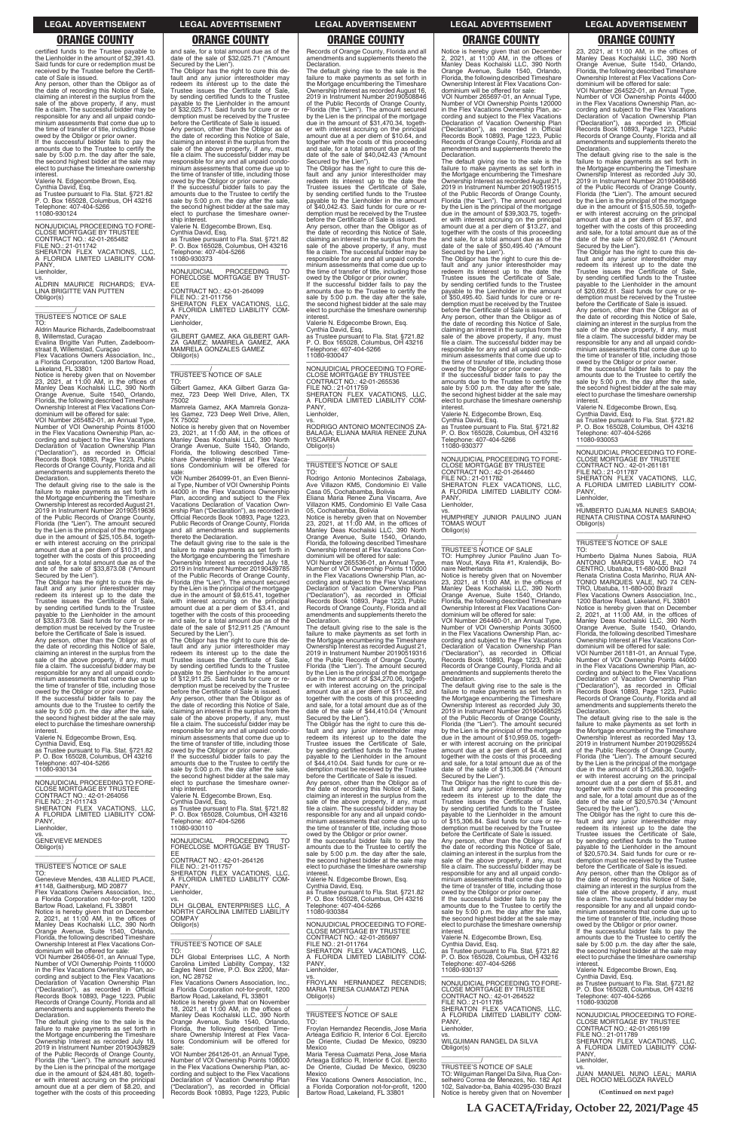certified funds to the Trustee payable to the Lienholder in the amount of \$2,391.43. Said funds for cure or redemption must be received by the Trustee before the Certificate of Sale is issued.

If the successful bidder fails to pay the amounts due to the Trustee to certify the sale by 5:00 p.m. the day after the sale, the second highest bidder at the sale may elect to purchase the timeshare ownership interest

Any person, other than the Obligor as of the date of recording this Notice of Sale, claiming an interest in the surplus from the sale of the above property, if any, must file a claim. The successful bidder may be responsible for any and all unpaid condominium assessments that come due up to the time of transfer of title, including those owed by the Obligor or prior owner.

8, Willemstad, Curaçao Evalina Brigitte Van Putten, Zadelboom-straat 8, Willemstad, Curaçao Flex Vacations Owners Association, Inc.

Valerie N. Edgecombe Brown, Esq. Cynthia David, Esq. as Trustee pursuant to Fla. Stat. §721.82 P. O. Box 165028, Columbus, OH 43216 Telephone: 407-404-5266 11080-930124

VOI Number 265482-01, an Annual Type, Number of VOI Ownership Points 81000 in the Flex Vacations Ownership Plan, according and subject to the Flex Vacations Declaration of Vacation Ownership Plan ("Declaration"), as recorded in Official Records Book 10893, Page 1223, Public Records of Orange County, Florida and all amendments and supplements thereto the **Declaration** 

—————————————————— NONJUDICIAL PROCEEDING TO FORE-CLOSE MORTGAGE BY TRUSTEE CONTRACT NO.: 42-01-265482 FILE NO.: 21-011742 SHERATON FLEX VACATIONS, LLC,

A FLORIDA LIMITED LIABILITY COM-PANY, Lienholder,

vs. ALDRIN MAURICE RICHARDS; EVA-LINA BRIGITTE VAN PUTTEN Obligor(s) \_\_\_\_\_\_\_\_\_\_\_\_\_\_\_\_\_\_\_\_\_\_\_\_\_\_\_\_\_\_\_\_\_

### \_\_\_\_\_\_\_\_\_\_\_/ TRUSTEE'S NOTICE OF SALE TO:

Aldrin Maurice Richards, Zadelboomstraat

a Florida Corporation, 1200 Bartow Road, Lakeland, FL 33801

Notice is hereby given that on November 23, 2021, at 11:00 AM, in the offices of Manley Deas Kochalski LLC, 390 North Orange Avenue, Suite 1540, Orlando, Florida, the following described Timeshare Ownership Interest at Flex Vacations Condominium will be offered for sale:

owed by the Obligor or prior owner. If the successful bidder fails to pay the amounts due to the Trustee to certify the sale by 5:00 p.m. the day after the sale, the second highest bidder at the sale may elect to purchase the timeshare ownership interest

The default giving rise to the sale is the failure to make payments as set forth in the Mortgage encumbering the Timeshare Ownership Interest as recorded August 21, 2019 in Instrument Number 20190519636 of the Public Records of Orange County, Florida (the "Lien"). The amount secured by the Lien is the principal of the mortgage due in the amount of \$25,105.84, togeth-er with interest accruing on the principal amount due at a per diem of \$10.31, and together with the costs of this proceeding and sale, for a total amount due as of the date of the sale of \$33,873.08 ("Amount

Secured by the Lien"). The Obligor has the right to cure this default and any junior interestholder may redeem its interest up to the date the Trustee issues the Certificate of Sale, by sending certified funds to the Trustee payable to the Lienholder in the amount of \$33,873.08. Said funds for cure or redemption must be received by the Trustee before the Certificate of Sale is issued. Any person, other than the Obligor as of

the date of recording this Notice of Sale, claiming an interest in the surplus from the sale of the above property, if any, must file a claim. The successful bidder may be responsible for any and all unpaid condo-minium assessments that come due up to the time of transfer of title, including those

vs. GILBERT GAMEZ, AKA GILBERT GAR-GAMEZ: MAMRELA GAMEZ, AKA

Valerie N. Edgecombe Brown, Esq.

Cynthia David, Esq. as Trustee pursuant to Fla. Stat. §721.82 P. O. Box 165028, Columbus, OH 43216 Telephone: 407-404-5266 11080-930134

—————————————————— NONJUDICIAL PROCEEDING TO FORE-CLOSE MORTGAGE BY TRUSTEE CONTRACT NO.: 42-01-264056 FILE NO.: 21-011743 SHERATON FLEX VACATIONS, LLC, A FLORIDA LIMITED LIABILITY COM-PANY,

redeem its interest up to the date the Trustee issues the Certificate of Sale, by sending certified funds to the Trustee payable to the Lienholder in the amount<br>of \$32.025.71. Soid funder in the amount of \$32,025.71. Said funds for cure or re-demption must be received by the Trustee before the Certificate of Sale is issued. Any person, other than the Obligor as of the date of recording this Notice of Sale, claiming an interest in the surplus from the sale of the above property, if any, must file a claim. The successful bidder may be responsible for any and all unpaid condo-minium assessments that come due up to the time of transfer of title, including those owed by the Obligor or prior owner. If the successful bidder fails to pay the amounts due to the Trustee to certify sale by 5:00 p.m. the day after the sale, the second highest bidder at the sale may elect to purchase the timeshare owner-

> elephone: 407-404-5266 11080-930047

ship interest.

Valerie N. Edgecombe Brown, Esq. Cynthia David, Esq. as Trustee pursuant to Fla. Stat. §721.82 P. O. Box 165028, Columbus, OH 43216 Telephone: 407-404-5266

11080-930373

**PANY** Lienholder

> Number of VOI Ownership Points 110000 in the Flex Vacations Ownership Plan, ac-cording and subject to the Flex Vacations Declaration of Vacation Ownership Plan ("Declaration"), as recorded in Official Records Book 10893, Page 1223, Public Records of Orange County, Florida and all amendments and supplements thereto the Declaration.

—————————————————— NONJUDICIAL PROCEEDING TO FORECLOSE MORTGAGE BY TRUST-EE CONTRACT NO.: 42-01-264099

FILE NO.: 21-011756 SHERATON FLEX VACATIONS, LLC, A FLORIDA LIMITED LIABILITY COM-

Obligor(s)

75002

\_\_\_\_\_\_\_\_\_\_\_\_\_\_\_\_\_\_\_\_\_\_\_\_\_\_\_\_\_\_\_\_\_ \_\_\_\_\_\_\_\_\_\_\_/ TRUSTEE'S NOTICE OF SALE

TO: Gilbert Gamez, AKA Gilbert Garza Gamez, 723 Deep Well Drive, Allen, TX

Mamrela Gamez, AKA Mamrela Gonzales Gamez, 723 Deep Well Drive, Allen, TX 75002 Notice is hereby given that on November 23, 2021, at 11:00 AM, in the offices of Manley Deas Kochalski LLC, 390 North Orange Avenue, Suite 1540, Orlando,

Florida, the following described Time-share Ownership Interest at Flex Vaca-tions Condominium will be offered for

sale: VOI Number 264099-01, an Even Bienni-al Type, Number of VOI Ownership Points 44000 in the Flex Vacations Ownership Plan, according and subject to the Flex Vacations Declaration of Vacation Ownership Plan ("Declaration"), as recorded in Official Records Book 10893, Page 1223, Public Records of Orange County, Florida and all amendments and supplements

thereto the Declaration.

MAMRELA GONZALES GAMEZ

and sale, for a total amount due as of the date of the sale of \$32,025.71 ("Amount Secured by the Lien"). The Obligor has the right to cure this de-fault and any junior interestholder may Records of Orange County, Florida and all amendments and supplements thereto the Declaration.

Notice is hereby given that on December<br>2, 2021, at 11:00 AM, in the offices of<br>Manley Deas Kochalski LLC, 390 North<br>Orange Avenue, Suite 1540, Orlando,<br>Florida, the following described Timeshare Ownership Interest at Flex Vacations Condominium will be offered for sale: VOI Number 265697-01, an Annual Type,

Number of VOI Ownership Points 120000 in the Flex Vacations Ownership Plan, ac-cording and subject to the Flex Vacations Declaration of Vacation Ownership Plan ("Declaration"), as recorded in Official Records Book 10893, Page 1223, Public Records of Orange County, Florida and all amendments and supplements thereto the **Declaration.** 

The default giving rise to the sale is the failure to make payments as set forth in the Mortgage encumbering the Timeshare Ownership Interest as recorded July 18, 2019 in Instrument Number 20190439785 of the Public Records of Orange County, Florida (the "Lien"). The amount secured by the Lien is the principal of the mortgage due in the amount of \$9,615.41, together with interest accruing on the principal amount due at a per diem of \$3.41, and together with the costs of this proceeding and sale, for a total amount due as of the date of the sale of \$12,911.25 ("Amount Secured by the Lien"). The Obligor has the right to cure this default and any junior interestholder may redeem its interest up to the date the Trustee issues the Certificate of Sale,

by sending certified funds to the Trustee payable to the Lienholder in the amount of \$12,911.25. Said funds for cure or redemption must be received by the Trustee before the Certificate of Sale is issued. Any person, other than the Obligor as of the date of recording this Notice of Sale, claiming an interest in the surplus from the sale of the above property, if any, must file a claim. The successful bidder may be responsible for any and all unpaid condo-minium assessments that come due up to the time of transfer of title, including those owed by the Obligor or prior owner. If the successful bidder fails to pay the amounts due to the Trustee to certify the sale by 5:00 p.m. the day after the sale, the second highest bidder at the sale may elect to purchase the timeshare ownership interest. Valerie N. Edgecombe Brown, Esq. Cynthia David, Esq. as Trustee pursuant to Fla. Stat. §721.82 P. O. Box 165028, Columbus, OH 43216

Telephone: 407-404-5266

dominium will be offered for sale: VOI Number 264460-01, an Annual Type, Number of VOI Ownership Points 30500 in the Flex Vacations Ownership Plan, ac-cording and subject to the Flex Vacations Declaration of Vacation Ownership Plan ("Declaration"), as recorded in Official Records Book 10893, Page 1223, Public Records of Orange County, Florida and all amendments and supplements thereto the **Declaration.** 

The Obligor has the right to cure this default and any junior interestholder may<br>redeem its interest up to the date the<br>Trustee issues the Certificate of Sale, by sending certified funds to the Trustee payable to the Lienholder in the amount of \$15,306.84. Said funds for cure or re-

VOI Number 264522-01, an Annual Type, Number of VOI Ownership Points 44000 in the Flex Vacations Ownership Plan, according and subject to the Flex Vacations Declaration of Vacation Ownership Plan ("Declaration"), as recorded in Official Records Book 10893, Page 1223, Public Records of Orange County, Florida and all amendments and supplements thereto the **Declaration** 

The default giving rise to the sale is the failure to make payments as set forth in the Mortgage encumbering the Timeshare Ownership Interest as recorded August 16, 2019 in Instrument Number 20190508846 of the Public Records of Orange County, Florida (the "Lien"). The amount secured by the Lien is the principal of the mortgage due in the amount of \$31,470.34, together with interest accruing on the principal amount due at a per diem of \$10.64, and together with the costs of this proceeding and sale, for a total amount due as of the date of the sale of \$40,042.43 ("Amount Secured by the Lien").

The Obligor has the right to cure this de-fault and any junior interestholder may redeem its interest up to the date the Trustee issues the Certificate of Sale, by sending certified funds to the Trustee payable to the Lienholder in the amount of \$40,042.43. Said funds for cure or re-demption must be received by the Trustee before the Certificate of Sale is issued.

> amounts due to the Trustee to certify the sale by 5:00 p.m. the day after the sale, the second highest bidder at the sale may elect to purchase the timeshare ownership interest

Any person, other than the Obligor as of the date of recording this Notice of Sale, claiming an interest in the surplus from the sale of the above property, if any, must file a claim. The successful bidder may be responsible for any and all unpaid condominium assessments that come due up to the time of transfer of title, including those

owed by the Obligor or prior owner. If the successful bidder fails to pay the amounts due to the Trustee to certify the sale by 5:00 p.m. the day after the sale, the second highest bidder at the sale may elect to purchase the timeshare ownership interest.

Valerie N. Edgecombe Brown, Esq. Cynthia David, Esq. as Trustee pursuant to Fla. Stat. §721.82 P. O. Box 165028, Columbus, OH 43216

—————————————————— NONJUDICIAL PROCEEDING TO FORE-CLOSE MORTGAGE BY TRUSTEE CONTRACT NO.: 42-01-265536 FILE NO.: 21-011759 SHERATON FLEX VACATIONS, LLC, A FLORIDA LIMITED LIABILITY COM-PANY, Lienholder,

vs. RODRIGO ANTONIO MONTECINOS ZA-BALAGA; ELIANA MARIA RENEE ZUNA VISCARRA

Obligor(s)

\_\_\_\_\_\_\_\_\_\_\_\_\_\_\_\_\_\_\_\_\_\_\_\_\_\_\_\_\_\_\_\_\_

# \_\_\_\_\_\_\_\_\_\_\_/ TRUSTEE'S NOTICE OF SALE

TO: Rodrigo Antonio Montecinos Zabalaga, Ave Villazon KM5, Condominio El Valle Casa 05, Cochabamba, Bolivia Eliana Maria Renee Zuna Viscarra, Ave Villazon KM5, Condominio El Valle Casa

05, Cochabamba, Bolivia Notice is hereby given that on November 23, 2021, at 11:00 AM, in the offices of Manley Deas Kochalski LLC, 390 North Orange Avenue, Suite 1540, Orlando, Florida, the following described Timeshare Ownership Interest at Flex Vacations Condominium will be offered for sale: VOI Number 265536-01, an Annual Type,

The default giving rise to the sale is the failure to make payments as set forth in the Mortgage encumbering the Timeshare Ownership Interest as recorded August 21, 2019 in Instrument Number 20190519316 of the Public Records of Orange County, Florida (the "Lien"). The amount secured by the Lien is the principal of the mortgage due in the amount of \$34,270.06, together with interest accruing on the principal amount due at a per diem of \$11.52, and together with the costs of this proceeding and sale, for a total amount due as of the date of the sale of \$44,410.04 ("Amount Secured by the Lien").

The Obligor has the right to cure this de-fault and any junior interestholder may redeem its interest up to the date the Trustee issues the Certificate of Sale, by sending certified funds to the Trustee payable to the Lienholder in the amount of \$44,410.04. Said funds for cure or redemption must be received by the Trustee before the Certificate of Sale is issued.

Any person, other than the Obligor as of the date of recording this Notice of Sale, claiming an interest in the surplus from the sale of the above property, if any, must file a claim. The successful bidder may be responsible for any and all unpaid condominium assessments that come due up to

| Lienholder,                                                                                                                                                                                                                                                                                                                                                                                                                                                                                                                                                                                                                                                                                                                                                                                                                                                                                                                                                                                                                                                                                                                                      | 11080-930110                                                                                                                                                                                                                                                                                                                                                                                                                                                                                                                                                                                                                                                                                                                                                                                                                                                                                                         | the time of transfer of title, including those                                                                                                                                                                                                                                                                                                                                                                                                                                                                                                                                                                                                                                                                                                                                                                                                                                                                              | demption must be received by the Trustee                                                                                                                                                                                                                                                                                                                                                                                                                                                                                                                                                                                                                                                                                                                                                                                                                                                                                                                                                                                                                                                                                               | redeem its interest up to the date the                                                                                                                                                                                                                                                                                                                                                                                                                                                                                                                                                                                                                                                                                                                                                                                                                                                                                                                                                                                                                                                                                                                                                                                                                          |
|--------------------------------------------------------------------------------------------------------------------------------------------------------------------------------------------------------------------------------------------------------------------------------------------------------------------------------------------------------------------------------------------------------------------------------------------------------------------------------------------------------------------------------------------------------------------------------------------------------------------------------------------------------------------------------------------------------------------------------------------------------------------------------------------------------------------------------------------------------------------------------------------------------------------------------------------------------------------------------------------------------------------------------------------------------------------------------------------------------------------------------------------------|----------------------------------------------------------------------------------------------------------------------------------------------------------------------------------------------------------------------------------------------------------------------------------------------------------------------------------------------------------------------------------------------------------------------------------------------------------------------------------------------------------------------------------------------------------------------------------------------------------------------------------------------------------------------------------------------------------------------------------------------------------------------------------------------------------------------------------------------------------------------------------------------------------------------|-----------------------------------------------------------------------------------------------------------------------------------------------------------------------------------------------------------------------------------------------------------------------------------------------------------------------------------------------------------------------------------------------------------------------------------------------------------------------------------------------------------------------------------------------------------------------------------------------------------------------------------------------------------------------------------------------------------------------------------------------------------------------------------------------------------------------------------------------------------------------------------------------------------------------------|----------------------------------------------------------------------------------------------------------------------------------------------------------------------------------------------------------------------------------------------------------------------------------------------------------------------------------------------------------------------------------------------------------------------------------------------------------------------------------------------------------------------------------------------------------------------------------------------------------------------------------------------------------------------------------------------------------------------------------------------------------------------------------------------------------------------------------------------------------------------------------------------------------------------------------------------------------------------------------------------------------------------------------------------------------------------------------------------------------------------------------------|-----------------------------------------------------------------------------------------------------------------------------------------------------------------------------------------------------------------------------------------------------------------------------------------------------------------------------------------------------------------------------------------------------------------------------------------------------------------------------------------------------------------------------------------------------------------------------------------------------------------------------------------------------------------------------------------------------------------------------------------------------------------------------------------------------------------------------------------------------------------------------------------------------------------------------------------------------------------------------------------------------------------------------------------------------------------------------------------------------------------------------------------------------------------------------------------------------------------------------------------------------------------|
| VS.<br><b>GENEVIEVE MENDES</b><br>Obligor(s)<br>TRUSTEE'S NOTICE OF SALE<br>TO:<br>Genevieve Mendes, 438 ALLIED PLACE,<br>#1148, Gaithersburg, MD 20877<br>Flex Vacations Owners Association, Inc.,<br>a Florida Corporation not-for-profit, 1200<br>Bartow Road, Lakeland, FL 33801<br>Notice is hereby given that on December<br>2, 2021, at 11:00 AM, in the offices of<br>Manley Deas Kochalski LLC, 390 North<br>Orange Avenue, Suite 1540, Orlando,<br>Florida, the following described Timeshare<br>Ownership Interest at Flex Vacations Con-<br>dominium will be offered for sale:<br>VOI Number 264056-01, an Annual Type,<br>Number of VOI Ownership Points 110000<br>in the Flex Vacations Ownership Plan, ac-<br>cording and subject to the Flex Vacations<br>Declaration of Vacation Ownership Plan<br>("Declaration"), as recorded in Official<br>Records Book 10893, Page 1223, Public<br>Records of Orange County, Florida and all<br>amendments and supplements thereto the<br>Declaration.<br>The default giving rise to the sale is the<br>failure to make payments as set forth in<br>the Mortgage encumbering the Timeshare | <b>PROCEEDING</b><br><b>NONJUDICIAL</b><br>TO<br>FORECLOSE MORTGAGE BY TRUST-<br>EE<br>CONTRACT NO.: 42-01-264126<br>FILE NO.: 21-011757<br>SHERATON FLEX VACATIONS, LLC,<br>A FLORIDA LIMITED LIABILITY COM-<br>PANY.<br>Lienholder.<br>VS.<br>DLH GLOBAL ENTERPRISES LLC. A<br>NORTH CAROLINA LIMITED LIABILITY<br><b>COMPAY</b><br>Obligor(s)<br>TRUSTEE'S NOTICE OF SALE<br>TO:<br>DLH Global Enterprises LLC. A North<br>Carolina Limited Liability Compay, 132<br>Eagles Nest Drive, P.O. Box 2200, Mar-<br>ion. NC 28752<br>Flex Vacations Owners Association. Inc<br>a Florida Corporation not-for-profit, 1200<br>Bartow Road, Lakeland, FL 33801<br>Notice is hereby given that on November<br>18, 2021, at 11:00 AM, in the offices of<br>Manley Deas Kochalski LLC, 390 North<br>Orange Avenue, Suite 1540, Orlando,<br>Florida, the following described Time-<br>share Ownership Interest at Flex Vaca- | owed by the Obligor or prior owner.<br>If the successful bidder fails to pay the<br>amounts due to the Trustee to certify the<br>sale by 5:00 p.m. the day after the sale,<br>the second highest bidder at the sale may<br>elect to purchase the timeshare ownership<br>interest.<br>Valerie N. Edgecombe Brown, Esg.<br>Cynthia David, Esq.<br>as Trustee pursuant to Fla. Stat. §721.82<br>P. O. Box 165028, Columbus, OH 43216<br>Telephone: 407-404-5266<br>11080-930384<br>NONJUDICIAL PROCEEDING TO FORE-<br><b>CLOSE MORTGAGE BY TRUSTEE</b><br>CONTRACT NO.: 42-01-265697<br>FILE NO.: 21-011764<br>SHERATON FLEX VACATIONS, LLC.<br>A FLORIDA LIMITED LIABILITY COM-<br>PANY.<br>Lienholder.<br>VS.<br>FROYLAN HERNANDEZ RECENDIS:<br>MARIA TERESA CUAMATZI PENA<br>Obligor(s)<br><b>TRUSTEE'S NOTICE OF SALE</b><br>TO:<br>Froylan Hernandez Recendis, Jose Maria<br>Arteaga Edificio R, Interior 6 Col. Ejercito | before the Certificate of Sale is issued.<br>Any person, other than the Obligor as of<br>the date of recording this Notice of Sale,<br>claiming an interest in the surplus from the<br>sale of the above property, if any, must<br>file a claim. The successful bidder may be<br>responsible for any and all unpaid condo-<br>minium assessments that come due up to<br>the time of transfer of title, including those<br>owed by the Obligor or prior owner.<br>If the successful bidder fails to pay the<br>amounts due to the Trustee to certify the<br>sale by 5:00 p.m. the day after the sale,<br>the second highest bidder at the sale may<br>elect to purchase the timeshare ownership<br>interest.<br>Valerie N. Edgecombe Brown, Esq.<br>Cynthia David, Esq.<br>as Trustee pursuant to Fla. Stat. §721.82<br>P. O. Box 165028, Columbus, OH 43216<br>Telephone: 407-404-5266<br>11080-930137<br>NONJUDICIAL PROCEEDING TO FORE-<br><b>CLOSE MORTGAGE BY TRUSTEE</b><br>CONTRACT NO.: 42-01-264522<br>FILE NO.: 21-011785<br>SHERATON FLEX VACATIONS. LLC.<br>A FLORIDA LIMITED LIABILITY COM-<br>PANY.<br>Lienholder.<br>VS. | Trustee issues the Certificate of Sale,<br>by sending certified funds to the Trustee<br>payable to the Lienholder in the amount<br>of \$20,570,34. Said funds for cure or re-<br>demption must be received by the Trustee<br>before the Certificate of Sale is issued.<br>Any person, other than the Obligor as of<br>the date of recording this Notice of Sale.<br>claiming an interest in the surplus from the<br>sale of the above property, if any, must<br>file a claim. The successful bidder may be<br>responsible for any and all unpaid condo-<br>minium assessments that come due up to<br>the time of transfer of title, including those<br>owed by the Obligor or prior owner.<br>If the successful bidder fails to pay the<br>amounts due to the Trustee to certify the<br>sale by 5:00 p.m. the day after the sale,<br>the second highest bidder at the sale may<br>elect to purchase the timeshare ownership<br>interest.<br>Valerie N. Edgecombe Brown, Esq.<br>Cynthia David, Esq.<br>as Trustee pursuant to Fla. Stat. §721.82<br>P. O. Box 165028, Columbus, OH 43216<br>Telephone: 407-404-5266<br>11080-930208<br>NONJUDICIAL PROCEEDING TO FORE-<br><b>CLOSE MORTGAGE BY TRUSTEE</b><br>CONTRACT NO.: 42-01-265199<br>FILE NO.: 21-011789 |
| Ownership Interest as recorded July 18,<br>2019 in Instrument Number 20190439829<br>of the Public Records of Orange County,                                                                                                                                                                                                                                                                                                                                                                                                                                                                                                                                                                                                                                                                                                                                                                                                                                                                                                                                                                                                                      | tions Condominium will be offered for<br>sale:<br>VOI Number 264126-01, an Annual Type,                                                                                                                                                                                                                                                                                                                                                                                                                                                                                                                                                                                                                                                                                                                                                                                                                              | De Oriente, Ciudad De Mexico, 09230<br>Mexico<br>Maria Teresa Cuamatzi Pena, Jose Maria                                                                                                                                                                                                                                                                                                                                                                                                                                                                                                                                                                                                                                                                                                                                                                                                                                     | WILGUIMAN RANGEL DA SILVA<br>Obligor(s)                                                                                                                                                                                                                                                                                                                                                                                                                                                                                                                                                                                                                                                                                                                                                                                                                                                                                                                                                                                                                                                                                                | SHERATON FLEX VACATIONS. LLC.<br>A FLORIDA LIMITED LIABILITY COM-<br>PANY.                                                                                                                                                                                                                                                                                                                                                                                                                                                                                                                                                                                                                                                                                                                                                                                                                                                                                                                                                                                                                                                                                                                                                                                      |
| Florida (the "Lien"). The amount secured<br>by the Lien is the principal of the mortgage<br>due in the amount of \$24,481.80, togeth-<br>er with interest accruing on the principal                                                                                                                                                                                                                                                                                                                                                                                                                                                                                                                                                                                                                                                                                                                                                                                                                                                                                                                                                              | Number of VOI Ownership Points 108000<br>in the Flex Vacations Ownership Plan, ac-<br>cording and subject to the Flex Vacations<br>Declaration of Vacation Ownership Plan                                                                                                                                                                                                                                                                                                                                                                                                                                                                                                                                                                                                                                                                                                                                            | Arteaga Edificio R, Interior 6 Col. Ejercito<br>De Oriente, Ciudad De Mexico, 09230<br>Mexico<br>Flex Vacations Owners Association, Inc.,                                                                                                                                                                                                                                                                                                                                                                                                                                                                                                                                                                                                                                                                                                                                                                                   | <b>TRUSTEE'S NOTICE OF SALE</b><br>TO: Wilguiman Rangel Da Silva, Rua Con-<br>selheiro Correa de Menezes, No. 182 Apt                                                                                                                                                                                                                                                                                                                                                                                                                                                                                                                                                                                                                                                                                                                                                                                                                                                                                                                                                                                                                  | Lienholder.<br>VS.<br>JUAN MANUEL NUNO LEAL: MARIA<br>DEL ROCIO MELGOZA RAVELO                                                                                                                                                                                                                                                                                                                                                                                                                                                                                                                                                                                                                                                                                                                                                                                                                                                                                                                                                                                                                                                                                                                                                                                  |
| amount due at a per diem of \$8.20, and<br>together with the costs of this proceeding                                                                                                                                                                                                                                                                                                                                                                                                                                                                                                                                                                                                                                                                                                                                                                                                                                                                                                                                                                                                                                                            | ("Declaration"), as recorded in Official<br>Records Book 10893, Page 1223, Public                                                                                                                                                                                                                                                                                                                                                                                                                                                                                                                                                                                                                                                                                                                                                                                                                                    | a Florida Corporation not-for-profit, 1200<br>Bartow Road, Lakeland, FL 33801                                                                                                                                                                                                                                                                                                                                                                                                                                                                                                                                                                                                                                                                                                                                                                                                                                               | 102. Salvador-ba. Bahia 40295-030 Brazil<br>Notice is hereby given that on November                                                                                                                                                                                                                                                                                                                                                                                                                                                                                                                                                                                                                                                                                                                                                                                                                                                                                                                                                                                                                                                    | (Continued on next page)                                                                                                                                                                                                                                                                                                                                                                                                                                                                                                                                                                                                                                                                                                                                                                                                                                                                                                                                                                                                                                                                                                                                                                                                                                        |

The default giving rise to the sale is the failure to make payments as set forth in the Mortgage encumbering the Timeshare Ownership Interest as recorded August 21, 2019 in Instrument Number 20190519515 of the Public Records of Orange County, Florida (the "Lien"). The amount secured by the Lien is the principal of the mortgage due in the amount of \$39,303.75, together with interest accruing on the principal amount due at a per diem of \$13.27, and together with the costs of this proceeding and sale, for a total amount due as of the date of the sale of \$50,495.40 ("Amount Secured by the Lien").

The Obligor has the right to cure this de-fault and any junior interestholder may redeem its interest up to the date the Trustee issues the Certificate of Sale, by sending certified funds to the Trustee payable to the Lienholder in the amount of \$50,495.40. Said funds for cure or redemption must be received by the Trustee before the Certificate of Sale is issued.

Any person, other than the Obligor as of the date of recording this Notice of Sale, claiming an interest in the surplus from the sale of the above property, if any, must file a claim. The successful bidder may be responsible for any and all unpaid condominium assessments that come due up to the time of transfer of title, including those owed by the Obligor or prior owner.

If the successful bidder fails to pay the amounts due to the Trustee to certify the sale by 5:00 p.m. the day after the sale, the second highest bidder at the sale may elect to purchase the timeshare ownership

interest. Valerie N. Edgecombe Brown, Esq. Cynthia David, Esq. as Trustee pursuant to Fla. Stat. §721.82 P. O. Box 165028, Columbus, OH 43216 Telephone: 407-404-5266 11080-930377

—————————————————— NONJUDICIAL PROCEEDING TO FORE-CLOSE MORTGAGE BY CONTRACT NO.: 42-01-264460 FILE NO.: 21-011782 SHERATON FLEX VACATIONS, LLC, A FLORIDA LIMITED LIABILITY COM-PANY,

Lienholder,

vs. HUMPHREY JUNIOR PAULINO JUAN TOMAS WOUT Obligor(s)

\_\_\_\_\_\_\_\_\_\_\_\_\_\_\_\_\_\_\_\_\_\_\_\_\_\_\_\_\_\_\_\_\_ \_\_\_\_\_\_\_\_\_\_\_/ TRUSTEE'S NOTICE OF SALE TO: Humphrey Junior Paulino Juan To-mas Wout, Kaya Rita #1, Kralendijk, Bo-

naire Netherlands Notice is hereby given that on November<br>23, 2021, at 11:00 AM, in the offices of<br>Manley Deas Kochalski LLC, 390 North<br>Orange Avenue, Suite 1540, Orlando,<br>Florida, the following described Timeshare Ownership Interest at Flex Vacations Con-

The default giving rise to the sale is the failure to make payments as set forth in the Mortgage encumbering the Timeshare Ownership Interest as recorded July 30, 2019 in Instrument Number 20190468525 of the Public Records of Orange County, Florida (the "Lien"). The amount secured by the Lien is the principal of the mortgage due in the amount of \$10,959.05, together with interest accruing on the principal amount due at a per diem of \$4.48, and together with the costs of this proceeding and sale, for a total amount due as of the date of the sale of \$15,306.84 ("Amount Secured by the Lien").

23, 2021, at 11:00 AM, in the offices of Manley Deas Kochalski LLC, 390 North Orange Avenue, Suite 1540, Orlando, Florida, the following described Timeshare Ownership Interest at Flex Vacations Condominium will be offered for sale:

The default giving rise to the sale is the failure to make payments as set forth in the Mortgage encumbering the Timeshare Ownership Interest as recorded July 30, 2019 in Instrument Number 20190468466 of the Public Records of Orange County, Florida (the "Lien"). The amount secured by the Lien is the principal of the mortgage due in the amount of \$15,505.59, togeth-er with interest accruing on the principal amount due at a per diem of \$5.97, and together with the costs of this proceeding and sale, for a total amount due as of the date of the sale of \$20,692.61 ("Amount Secured by the Lien"). The Obligor has the right to cure this de-

fault and any junior interestholder may redeem its interest up to the date the Trustee issues the Certificate of Sale, by sending certified funds to the Trustee payable to the Lienholder in the amount of \$20,692.61. Said funds for cure or redemption must be received by the Trustee before the Certificate of Sale is issued.

Any person, other than the Obligor as of the date of recording this Notice of Sale, claiming an interest in the surplus from the sale of the above property, if any, must file a claim. The successful bidder may be responsible for any and all unpaid condo-minium assessments that come due up to the time of transfer of title, including those owed by the Obligor or prior owner. If the successful bidder fails to pay the

Valerie N. Edgecombe Brown, Esq.

Cynthia David, Esq. as Trustee pursuant to Fla. Stat. §721.82 P. O. Box 165028, Columbus, OH 43216 Telephone: 407-404-5266 11080-930053

—————————————————— NONJUDICIAL PROCEEDING TO FORE-CLOSE MORTGAGE BY TRUSTEE CONTRACT NO.: 42-01-261181

FILE NO.: 21-011787

SHERATON FLEX VACATIONS, LLC, A FLORIDA LIMITED LIABILITY COM-PANY, Lienholder, vs. HUMBERTO DJALMA NUNES SABOIA;

RENATA CRISTINA COSTA MARINHO Obligor(s) \_\_\_\_\_\_\_\_\_\_\_\_\_\_\_\_\_\_\_\_\_\_\_\_\_\_\_\_\_\_\_\_\_

# \_\_\_\_\_\_\_\_\_\_\_/ TRUSTEE'S NOTICE OF SALE

TO: Humberto Djalma Nunes Saboia, RUA ANTONIO MARQUES VALE, NO 74 CENTRO, Ubatuba, 11-680-000 Brazil Renata Cristina Costa Marinho, RUA AN-TONIO MARQUES VALE, NO 74 CEN-TRO, Ubatuba, 11-680-000 Brazil Flex Vacations Owners Association, Inc., 1200 Bartow Road, Lakeland, FL 33801

Notice is hereby given that on December 2, 2021, at 11:00 AM, in the offices of Manley Deas Kochalski LLC, 390 North Orange Avenue, Suite 1540, Orlando, Florida, the following described Timeshare Ownership Interest at Flex Vacations Condominium will be offered for sale:

VOI Number 261181-01, an Annual Type, Number of VOI Ownership Points 44000 in the Flex Vacations Ownership Plan, according and subject to the Flex Vacations Declaration of Vacation Ownership Plan ("Declaration"), as recorded in Official Records Book 10893, Page 1223, Public Records of Orange County, Florida and all amendments and supplements thereto the Declaration. The default giving rise to the sale is the

failure to make payments as set forth in the Mortgage encumbering the Timeshare Ownership Interest as recorded May 13, 2019 in Instrument Number 20190295524 of the Public Records of Orange County, Florida (the "Lien"). The amount secured by the Lien is the principal of the mortgage due in the amount of \$15,268.30, togeth-er with interest accruing on the principal amount due at a per diem of \$5.81, and together with the costs of this proceeding and sale, for a total amount due as of the date of the sale of \$20,570.34 ("Amount Secured by the Lien"). The Obligor has the right to cure this de-

fault and any junior interestholder may redeem its interest up to the date the Trustee issues the Certificate of Sale,

**LA GACETA/Friday, October 22, 2021/Page 45**

### **LEGAL ADVERTISEMENT LEGAL ADVERTISEMENT LEGAL ADVERTISEMENT LEGAL ADVERTISEMENT LEGAL ADVERTISEMENT**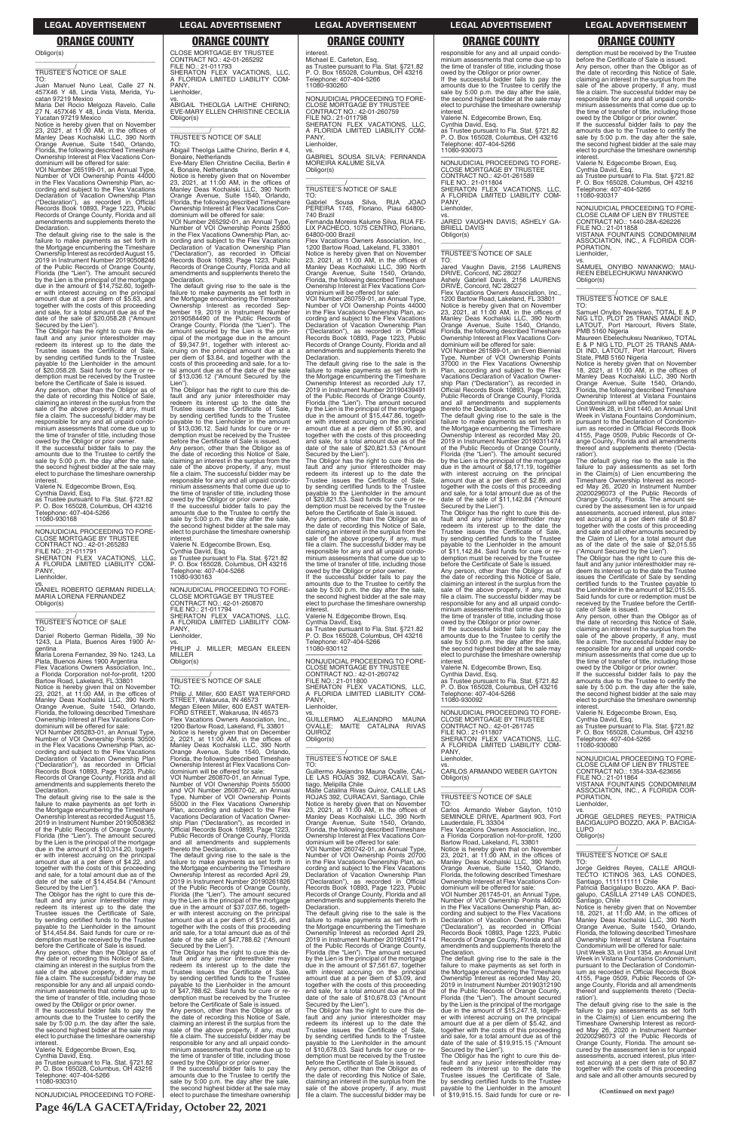### Obligor(s) \_\_\_\_\_\_\_\_\_\_\_\_\_\_\_\_\_\_\_\_\_\_\_\_\_\_\_\_\_\_\_\_\_

\_\_\_\_\_\_\_\_\_\_\_/ TRUSTEE'S NOTICE OF SALE

TO: Juan Manuel Nuno Leal, Calle 27 N. 457X46 Y 48, Linda Vista, Merida, Yu-

catan 97219 Mexico Maria Del Rocio Melgoza Ravelo, Calle 27 N. 457X46 Y 48, Linda Vista, Merida, Yucatan 97219 Mexico

Notice is hereby given that on November 23, 2021, at 11:00 AM, in the offices of Manley Deas Kochalski LLC, 390 North Orange Avenue, Suite 1540, Orlando, Florida, the following described Timeshare Ownership Interest at Flex Vacations Con-dominium will be offered for sale: VOI Number 265199-01, an Annual Type,

Number of VOI Ownership Points 44000 in the Flex Vacations Ownership Plan, ac-cording and subject to the Flex Vacations Declaration of Vacation Ownership Plan ("Declaration"), as recorded in Official Records Book 10893, Page 1223, Public Records of Orange County, Florida and all amendments and supplements thereto the Declaration.

The default giving rise to the sale is the failure to make payments as set forth in the Mortgage encumbering the Timeshare Ownership Interest as recorded August 15, 2019 in Instrument Number 20190508246 of the Public Records of Orange County, Florida (the "Lien"). The amount secured by the Lien is the principal of the mortgage due in the amount of \$14,752.60, together with interest accruing on the principal amount due at a per diem of \$5.63, and together with the costs of this proceeding and sale, for a total amount due as of the date of the sale of \$20,058.28 ("Amount Secured by the Lien").

Valerie N. Edgecombe Brown, Esq. Cynthia David, Esq. as Trustee pursuant to Fla. Stat. §721.82 P. O. Box 165028, Columbus, OH 43216 Telephone: 407-404-5266 Telephone: 407<br>11080-930168

The Obligor has the right to cure this de-fault and any junior interestholder may redeem its interest up to the date the Trustee issues the Certificate of Sale, by sending certified funds to the Trustee payable to the Lienholder in the amount of \$20,058.28. Said funds for cure or re-demption must be received by the Trustee before the Certificate of Sale is issued.

Any person, other than the Obligor as of the date of recording this Notice of Sale, claiming an interest in the surplus from the sale of the above property, if any, must file a claim. The successful bidder may be responsible for any and all unpaid condominium assessments that come due up to the time of transfer of title, including those owed by the Obligor or prior owner.

If the successful bidder fails to pay the amounts due to the Trustee to certify the sale by 5:00 p.m. the day after the sale, the second highest bidder at the sale may elect to purchase the timeshare ownership interest.

If the successful bidder fails to pay the amounts due to the Trustee to certify the sale by 5:00 p.m. the day after the sale, the second highest bidder at the sale may elect to purchase the timeshare ownership **interest** 

—————————————————— NONJUDICIAL PROCEEDING TO FORE-CLOSE MORTGAGE BY TRUSTEE CONTRACT NO.: 42-01-265283 FILE NO.: 21-011791 SHERATON FLEX VACATIONS, LLC, A FLORIDA LIMITED LIABILITY COM-PANY Lienholder,

vs. DANIEL ROBERTO GERMAN RIDELLA; MARIA LORENA FERNANDEZ Obligor(s) \_\_\_\_\_\_\_\_\_\_\_\_\_\_\_\_\_\_\_\_\_\_\_\_\_\_\_\_\_\_\_\_\_

# \_\_\_\_\_\_\_\_\_\_\_/ TRUSTEE'S NOTICE OF SALE

TO: Daniel Roberto German Ridella, 39 No 1243, La Plata, Buenos Aires 1900 Ar-

gentina Maria Lorena Fernandez, 39 No. 1243, La Plata, Buenos Aires 1900 Argentina Flex Vacations Owners Association, Inc., a Florida Corporation not-for-profit, 1200

Bartow Road, Lakeland, FL 33801 Notice is hereby given that on November 23, 2021, at 11:00 AM, in the offices of Manley Deas Kochalski LLC, 390 North Orange Avenue, Suite 1540, Orlando, Florida, the following described Timeshare Ownership Interest at Flex Vacations Con-

dominium will be offered for sale: VOI Number 265283-01, an Annual Type, Number of VOI Ownership Points 30500 in the Flex Vacations Ownership Plan, ac-cording and subject to the Flex Vacations Declaration of Vacation Ownership Plan ("Declaration"), as recorded in Official Records Book 10893, Page 1223, Public Records of Orange County, Florida and all amendments and supplements thereto the Declaration.

The default giving rise to the sale is the failure to make payments as set forth in the Mortgage encumbering the Timeshare Ownership Interest as recorded August 15, 2019 in Instrument Number 20190508362 of the Public Records of Orange County,

Florida (the "Lien"). The amount secured by the Lien is the principal of the mortgage due in the amount of \$10,314.20, together with interest accruing on the principal amount due at a per diem of \$4.22, and together with the costs of this proceeding and sale, for a total amount due as of the date of the sale of \$14,454.84 ("Amount Secured by the Lien"). MILLER Obligor(s)

\_\_\_\_\_\_\_\_\_\_\_\_\_\_\_\_\_\_\_\_\_\_\_\_\_\_\_\_\_\_\_\_\_ \_\_\_\_\_\_\_\_\_\_\_/ TRUSTEE'S NOTICE OF SALE TO: Philip J. Miller, 600 EAST WATERFORD STREET, Wakarusa, IN 46573 Megan Eileen Miller, 600 EAST WATER-FORD STREET, Wakarusa, IN 46573 PANY, Lienholder.

Lienholder.

Flex Vacations Owners Association, Inc., 1200 Bartow Road, Lakeland, FL 33801<br>Notice is hereby given that on December<br>2, 2021, at 11:00 AM, in the offices of<br>Manley Deas Kochalski LLC, 390 North<br>Orange Avenue, Suite 1540, Florida, the following described Timeshare Ownership Interest at Flex Vacations Con-dominium will be offered for sale:

The Obligor has the right to cure this de-fault and any junior interestholder may redeem its interest up to the date the Trustee issues the Certificate of Sale, by sending certified funds to the Trustee payable to the Lienholder in the amount of \$14,454.84. Said funds for cure or re-demption must be received by the Trustee before the Certificate of Sale is issued.

Any person, other than the Obligor as of the date of recording this Notice of Sale, claiming an interest in the surplus from the sale of the above property, if any, must file a claim. The successful bidder may be responsible for any and all unpaid condominium assessments that come due up to the time of transfer of title, including those owed by the Obligor or prior owner.

Valerie N. Edgecombe Brown, Esq. Cynthia David, Esq. as Trustee pursuant to Fla. Stat. §721.82 P. O. Box 165028, Columbus, OH 43216 Telephone: 407-404-5266 11080-930310

—————————————————— NONJUDICIAL PROCEEDING TO FORE-

CLOSE MORTGAGE BY TRUSTEE CONTRACT NO.: 42-01-265292 FILE NO.: 21-011793 SHERATON FLEX VACATIONS, LLC,

# A FLORIDA LIMITED LIABILITY COM-PANY,

vs. ABIGAIL THEOLGA LAITHE CHIRINO; EVE-MARY ELLEN CHRISTINE CECILIA

Obligor(s)

\_\_\_\_\_\_\_\_\_\_\_\_\_\_\_\_\_\_\_\_\_\_\_\_\_\_\_\_\_\_\_\_\_ \_\_\_\_\_\_\_\_\_\_\_/ TRUSTEE'S NOTICE OF SALE

TO: Abigail Theolga Laithe Chirino, Berlin # 4, Bonaire, Netherlands Eve-Mary Ellen Christine Cecilia, Berlin # 4, Bonaire, Netherlands

Notice is hereby given that on November 23, 2021, at 11:00 AM, in the offices of Manley Deas Kochalski LLC, 390 North

Orange Avenue, Suite 1540, Orlando, Florida, the following described Timeshare Ownership Interest at Flex Vacations Con-

dominium will be offered for sale: VOI Number 265292-01, an Annual Type, Number of VOI Ownership Points 25800

in the Flex Vacations Ownership Plan, ac-cording and subject to the Flex Vacations Declaration of Vacation Ownership Plan

("Declaration"), as recorded in Official Records Book 10893, Page 1223, Public Records of Orange County, Florida and all amendments and supplements thereto the Declaration. The default giving rise to the sale is the failure to make payments as set forth in the Mortgage encumbering the Timeshare Ownership Interest as recorded Sep-

tember 19, 2019 in Instrument Number 20190584490 of the Public Records of Orange County, Florida (the "Lien"). The

amount secured by the Lien is the prin-cipal of the mortgage due in the amount of \$9,347.91, together with interest ac-

cruing on the principal amount due at a per diem of \$3.84, and together with the costs of this proceeding and sale, for a total amount due as of the date of the sale of \$13,036.12 ("Amount Secured by the

> $G[III]$  FRMO GUILLERMO ALEJANDRO MAUNA OVALLE; MAITE CATALINA RIVAS OVALLE; Obligor(s)

The Obligor has the right to cure this de-fault and any junior interestholder may redeem its interest up to the date the

Trustee issues the Certificate of Sale, by sending certified funds to the Trustee payable to the Lienholder in the amount

of \$13,036.12. Said funds for cure or re-demption must be received by the Trustee before the Certificate of Sale is issued.

Any person, other than the Obligor as of the date of recording this Notice of Sale, claiming an interest in the surplus from the

sale of the above property, if any, must file a claim. The successful bidder may be responsible for any and all unpaid condominium assessments that come due up to the time of transfer of title, including those owed by the Obligor or prior owner. If the successful bidder fails to pay the amounts due to the Trustee to certify the sale by 5:00 p.m. the day after the sale, the second highest bidder at the sale may elect to purchase the timeshare ownership

interest.

Valerie N. Edgecombe Brown, Esq. Cynthia David, Esq. as Trustee pursuant to Fla. Stat. §721.82

P. O. Box 165028, Columbus, OH 43216 Telephone: 407-404-5266 11080-930163

—————————————————— NONJUDICIAL PROCEEDING TO FORE-CLOSE MORTGAGE BY TRUSTEE

CONTRACT NO.: 42-01-260870 FILE NO.: 21-011794 SHERATON FLEX VACATIONS, LLC, A FLORIDA LIMITED LIABILITY COM-PANY,

Lienholder,

vs. PHILIP J. MILLER; MEGAN EILEEN

Lien")

Flex Vacations Owners Association, Inc., 1200 Bartow Road, Lakeland, FL 33801<br>Notice is hereby given that on November<br>23, 2021, at 11:00 AM, in the offices of<br>Manley Deas Kochalski LLC, 390 North<br>Orange Avenue, Suite 1540, Florida, the following described Timeshare Ownership Interest at Flex Vacations Con-dominium will be offered for sale:

—————————————————— NONJUDICIAL PROCEEDING TO FORE-CLOSE MORTGAGE BY TRUSTEE CONTRACT NO.: 42-01-261745 FILE NO.: 21-011807 SHERATON FLEX VACATIONS, LLC, A FLORIDA LIMITED LIABILITY COM-A FLO<br>PANY,

VOI Number 260870-01, an Annual Type, Number of VOI Ownership Points 55000 and VOI Number 260870-02, an Annual Type, Number of VOI Ownership Points 55000 in the Flex Vacations Ownership Plan, according and subject to the Flex Vacations Declaration of Vacation Owner-ship Plan ("Declaration"), as recorded in Official Records Book 10893, Page 1223, Public Records of Orange County, Florida and all amendments and supplements thereto the Declaration. The default giving rise to the sale is the failure to make payments as set forth in the Mortgage encumbering the Timeshare Ownership Interest as recorded April 29, 2019 in Instrument Number 20190261826 of the Public Records of Orange County, Florida (the "Lien"). The amount secured by the Lien is the principal of the mortgage due in the amount of \$37,037.66, together with interest accruing on the principal amount due at a per diem of \$12.45, and together with the costs of this proceeding and sale, for a total amount due as of the date of the sale of \$47,788.62 ("Amount Secured by the Lien"). The Obligor has the right to cure this de-fault and any junior interestholder may redeem its interest up to the date the Trustee issues the Certificate of Sale, by sending certified funds to the Trustee payable to the Lienholder in the amount of \$47,788.62. Said funds for cure or redemption must be received by the Trustee before the Certificate of Sale is issued. Any person, other than the Obligor as of the date of recording this Notice of Sale, claiming an interest in the surplus from the sale of the above property, if any, must file a claim. The successful bidder may be responsible for any and all unpaid condominium assessments that come due up to the time of transfer of title, including those owed by the Obligor or prior owner. If the successful bidder fails to pay the amounts due to the Trustee to certify the sale by 5:00 p.m. the day after the sale, the second highest bidder at the sale may elect to purchase the timeshare ownership

# interest.

Michael E. Carleton, Esq. as Trustee pursuant to Fla. Stat. §721.82 P. O. Box 165028, Columbus, OH 43216 Telephone: 407-404-5266 11080-930260

—————————————————— NONJUDICIAL PROCEEDING TO FORE-CLOSE MORTGAGE BY TRUSTEE CONTRACT NO.: 42-01-260759 FILE NO.: 21-011798 SHERATON FLEX VACATIONS, LLC, A FLORIDA LIMITED LIABILITY COM-PANY,

Lienholder,

vs. GABRIEL SOUSA SILVA; FERNANDA MOREIRA KALUME SILVA Obligor(s) \_\_\_\_\_\_\_\_\_\_\_\_\_\_\_\_\_\_\_\_\_\_\_\_\_\_\_\_\_\_\_\_\_

# \_\_\_\_\_\_\_\_\_\_\_/ TRUSTEE'S NOTICE OF SALE

TO: Gabriel Sousa Silva, RUA JOAO PEREIRA 1745, Floriano, Piaui 64800- 740 Brazil

Fernanda Moreira Kalume Silva, RUA FE-LIX PACHECO, 1075 CENTRO, Floriano,

64800-000 Brazil Flex Vacations Owners Association, Inc., 1200 Bartow Road, Lakeland, FL 33801 Notice is hereby given that on November 23, 2021, at 11:00 AM, in the offices of Manley Deas Kochalski LLC, 390 North Orange Avenue, Suite 1540, Orlando, Florida, the following described Timeshare Ownership Interest at Flex Vacations Con-

dominium will be offered for sale: VOI Number 260759-01, an Annual Type, Number of VOI Ownership Points 44000 in the Flex Vacations Ownership Plan, ac-cording and subject to the Flex Vacations Declaration of Vacation Ownership Plan ("Declaration"), as recorded in Official Records Book 10893, Page 1223, Public Records of Orange County, Florida and all amendments and supplements thereto the

Declaration. The default giving rise to the sale is the failure to make payments as set forth in the Mortgage encumbering the Timeshare Ownership Interest as recorded July 17, 2019 in Instrument Number 20190439491 of the Public Records of Orange County, Florida (the "Lien"). The amount secured by the Lien is the principal of the mortgage due in the amount of \$15,447.86, togeth-er with interest accruing on the principal amount due at a per diem of \$5.90, and together with the costs of this proceeding and sale, for a total amount due as of the date of the sale of \$20,821.53 ("Amount Secured by the Lien"). The Obligor has the right to cure this de-

fault and any junior interestholder may redeem its interest up to the date the Trustee issues the Certificate of Sale, by sending certified funds to the Trustee payable to the Lienholder in the amount of \$20,821.53. Said funds for cure or redemption must be received by the Trustee before the Certificate of Sale is issued. Any person, other than the Obligor as of

the date of recording this Notice of Sale, claiming an interest in the surplus from the sale of the above property, if any, must file a claim. The successful bidder may be responsible for any and all unpaid condominium assessments that come due up to the time of transfer of title, including those owed by the Obligor or prior owner. If the successful bidder fails to pay the

amounts due to the Trustee to certify the sale by 5:00 p.m. the day after the sale, the second highest bidder at the sale may elect to purchase the timeshare ownership interest. Valerie N. Edgecombe Brown, Esq.

Cynthia David, Esq. as Trustee pursuant to Fla. Stat. §721.82 P. O. Box 165028, Columbus, OH 43216 Telephone: 407-404-5266 11080-930112

—————————————————— NONJUDICIAL PROCEEDING TO FORE-CLOSE MORTGAGE BY TRUSTEE CONTRACT NO.: 42-01-260742 FILE NO.: 21-011800 SHERATON FLEX VACATIONS, LLC, A FLORIDA LIMITED LIABILITY COM-

\_\_\_\_\_\_\_\_\_\_\_\_\_\_\_\_\_\_\_\_\_\_\_\_\_\_\_\_\_\_\_\_\_

# \_\_\_\_\_\_\_\_\_\_\_/ TRUSTEE'S NOTICE OF SALE

TO: Guillermo Alejandro Mauna Ovalle, CAL-LE LAS ROJAS 392, CURACAVI, San-tiago, Melipilla Chile Maite Catalina Rivas Quiroz, CALLE LAS

ROJAS 392, CURACAVI, Santiago, Chile Notice is hereby given that on November 23, 2021, at 11:00 AM, in the offices of Manley Deas Kochalski LLC, 390 North Orange Avenue, Suite 1540, Orlando, Florida, the following described Timeshare Ownership Interest at Flex Vacations Condominium will be offered for sale: VOI Number 260742-01, an Annual Type, Number of VOI Ownership Points 20700 in the Flex Vacations Ownership Plan, ac-cording and subject to the Flex Vacations Declaration of Vacation Ownership Plan<br>("Declaration"), as recorded in Official ("Declaration"), as recorded in Official Records Book 10893, Page 1223, Public Records of Orange County, Florida and all amendments and supplements thereto the Declaration. The default giving rise to the sale is the failure to make payments as set forth in the Mortgage encumbering the Timeshare Ownership Interest as recorded April 29, 2019 in Instrument Number 20190261714 of the Public Records of Orange County, Florida (the "Lien"). The amount secured by the Lien is the principal of the mortgage due in the amount of \$7,561.67, together with interest accruing on the principal amount due at a per diem of \$3.09, and together with the costs of this proceeding and sale, for a total amount due as of the date of the sale of \$10,678.03 ("Amount Secured by the Lien"). The Obligor has the right to cure this de-fault and any junior interestholder may redeem its interest up to the date the Trustee issues the Certificate of Sale, by sending certified funds to the Trustee payable to the Lienholder in the amount of \$10,678.03. Said funds for cure or re-demption must be received by the Trustee before the Certificate of Sale is issued. Any person, other than the Obligor as of the date of recording this Notice of Sale, claiming an interest in the surplus from the sale of the above property, if any, must file a claim. The successful bidder may be

responsible for any and all unpaid condominium assessments that come due up to the time of transfer of title, including those owed by the Obligor or prior owner. If the successful bidder fails to pay the amounts due to the Trustee to certify the sale by 5:00 p.m. the day after the sale, the second highest bidder at the sale may elect to purchase the timeshare ownership interest.

Valerie N. Edgecombe Brown, Esq. Cynthia David, Esq. as Trustee pursuant to Fla. Stat. §721.82 P. O. Box 165028, Columbus, OH 43216 Telephone: 407-404-5266 11080-930073

—————————————————— NONJUDICIAL PROCEEDING TO FORE-CLOSE MORTGAGE BY TRUSTEE CONTRACT NO.: 42-01-261589 FILE NO.: 21-011804 SHERATON FLEX VACATIONS, LLC, A FLORIDA LIMITED LIABILITY COM-PANY, Lienholder,

vs. JARED VAUGHN DAVIS; ASHELY GA-BRIELL DAVIS Obligor(s) \_\_\_\_\_\_\_\_\_\_\_\_\_\_\_\_\_\_\_\_\_\_\_\_\_\_\_\_\_\_\_\_\_

# \_\_\_\_\_\_\_\_\_\_\_/ TRUSTEE'S NOTICE OF SALE

TO: Jared Vaughn Davis, 2156 LAURENS

DRIVE, Concord, NC 28027 Ashely Gabriell Davis, 2156 LAURENS DRIVE, Concord, NC 28027

VOI Number 261589-01, an Even Biennial Type, Number of VOI Ownership Points 37000 in the Flex Vacations Ownership Plan, according and subject to the Flex Vacations Declaration of Vacation Owner-ship Plan ("Declaration"), as recorded in Official Records Book 10893, Page 1223, Public Records of Orange County, Florida and all amendments and supplements

thereto the Declaration. The default giving rise to the sale is the failure to make payments as set forth in the Mortgage encumbering the Timeshare Ownership Interest as recorded May 20, 2019 in Instrument Number 20190311474 of the Public Records of Orange County, Florida (the "Lien"). The amount secured by the Lien is the principal of the mortgage due in the amount of \$8,171.19, together with interest accruing on the principal amount due at a per diem of \$2.89, and together with the costs of this proceeding and sale, for a total amount due as of the date of the sale of \$11,142.84 ("Amount

Secured by the Lien"). The Obligor has the right to cure this de-fault and any junior interestholder may redeem its interest up to the date the Trustee issues the Certificate of Sale, by sending certified funds to the Trustee payable to the Lienholder in the amount of \$11,142.84. Said funds for cure or re-demption must be received by the Trustee

before the Certificate of Sale is issued. Any person, other than the Obligor as of the date of recording this Notice of Sale, claiming an interest in the surplus from the sale of the above property, if any, must file a claim. The successful bidder may be responsible for any and all unpaid condo-minium assessments that come due up to the time of transfer of title, including those

owed by the Obligor or prior owner. If the successful bidder fails to pay the amounts due to the Trustee to certify the sale by 5:00 p.m. the day after the sale, the second highest bidder at the sale may elect to purchase the timeshare ownership interest.

Valerie N. Edgecombe Brown, Esq. Cynthia David, Esq.

as Trustee pursuant to Fla. Stat. §721.82 P. O. Box 165028, Columbus, OH 43216 Telephone: 407-404-5266 11080-930092

Lienholder,

vs. CARLOS ARMANDO WEBER GAYTON Obligor(s) \_\_\_\_\_\_\_\_\_\_\_\_\_\_\_\_\_\_\_\_\_\_\_\_\_\_\_\_\_\_\_\_\_

# \_\_\_\_\_\_\_\_\_\_\_/ TRUSTEE'S NOTICE OF SALE

TO: Carlos Armando Weber Gayton, 1010 SEMINOLE DRIVE, Apartment 903, Fort Lauderdale, FL 33304 Flex Vacations Owners Association, Inc.,<br>a Florida Corporation not-for-profit, 1200<br>Bartow Road, Lakeland, FL 33801<br>Notice is hereby given that on November<br>23, 2021, at 11:00 AM, in the offices of<br>Manley Deas Kochalski LLC Florida, the following described Timeshare Ownership Interest at Flex Vacations Con-dominium will be offered for sale: VOI Number 261745-01, an Annual Type, Number of VOI Ownership Points 44000 in the Flex Vacations Ownership Plan, according and subject to the Flex Vacations<br>Declaration of Vacation Ownership Plan<br>("Declaration"), as recorded in Official<br>Records Book 10893, Page 1223, Public<br>Records of Orange County, Florida and all<br>amendments and suppl Declaration. The default giving rise to the sale is the failure to make payments as set forth in the Mortgage encumbering the Timeshare Ownership Interest as recorded May 20, 2019 in Instrument Number 20190312190 of the Public Records of Orange County, Florida (the "Lien"). The amount secured by the Lien is the principal of the mortgage due in the amount of \$15,247.18, together with interest accruing on the principal amount due at a per diem of \$5.42, and together with the costs of this proceeding and sale, for a total amount due as of the date of the sale of \$19,915.15 ("Amount Secured by the Lien"). The Obligor has the right to cure this de-fault and any junior interestholder may redeem its interest up to the date the Trustee issues the Certificate of Sale, by sending certified funds to the Trustee payable to the Lienholder in the amount of \$19,915.15. Said funds for cure or redemption must be received by the Trustee before the Certificate of Sale is issued. Any person, other than the Obligor as of the date of recording this Notice of Sale, claiming an interest in the surplus from the sale of the above property, if any, must file a claim. The successful bidder may be responsible for any and all unpaid condo-minium assessments that come due up to the time of transfer of title, including those

owed by the Obligor or prior owner. If the successful bidder fails to pay the amounts due to the Trustee to certify the sale by 5:00 p.m. the day after the sale, the second highest bidder at the sale may elect to purchase the timeshare ownership interest.

Valerie N. Edgecombe Brown, Esq. Cynthia David, Esq.

as Trustee pursuant to Fla. Stat. §721.82 P. O. Box 165028, Columbus, OH 43216 Telephone: 407-404-5266 11080-930317

—————————————————— NONJUDICIAL PROCEEDING TO FORE-CLOSE CLAIM OF LIEN BY TRUSTEE CONTRACT NO.: 1440-28A-626226 FILE NO.: 21-011858

VISTANA FOUNTAINS CONDOMINIUM ASSOCIATION, INC., A FLORIDA COR-PORATION, Lienholder,

vs. SAMUEL ONYIBO NWANKWO; MAU-REEN EBELECHUKWU NWANKWO Obligor(s) \_\_\_\_\_\_\_\_\_\_\_\_\_\_\_\_\_\_\_\_\_\_\_\_\_\_\_\_\_\_\_\_\_

\_\_\_\_\_\_\_\_\_\_\_/ TRUSTEE'S NOTICE OF SALE

TO: Samuel Onyibo Nwankwo, TOTAL E & P NIG LTD, PLOT 25 TRANS AMADI IND, LATOUT, Port Harcourt, Rivers State,

PMB 5160 Nigeria Maureen Ebelechukwu Nwankwo, TOTAL E & P NIG LTD, PLOT 25 TRANS AMA-DI IND, LATOUT, Port Harcourt, Rivers State, PMB 5160 Nigeria Notice is hereby given that on November

18, 2021, at 11:00 AM, in the offices of Manley Deas Kochalski LLC, 390 North Orange Avenue, Suite 1540, Orlando, Florida, the following described Timeshare Ownership Interest at Vistana Fountains Condominium will be offered for sale:

Unit Week 28, in Unit 1440, an Annual Unit Week in Vistana Fountains Condominium, pursuant to the Declaration of Condominium as recorded in Official Records Book 4155, Page 0509, Public Records of Or-ange County, Florida and all amendments thereof and supplements thereto ('Decla-

ration'). The default giving rise to the sale is the failure to pay assessments as set forth in the Claim(s) of Lien encumbering the Timeshare Ownership Interest as recorded May 26, 2020 in Instrument Number 20200296073 of the Public Records of Orange County, Florida. The amount secured by the assessment lien is for unpaid assessments, accrued interest, plus inter-est accruing at a per diem rate of \$0.87 together with the costs of this proceeding and sale and all other amounts secured by the Claim of Lien, for a total amount due as of the date of the sale of \$2,015.55 ("Amount Secured by the Lien").

The Obligor has the right to cure this default and any junior interestholder may re-deem its interest up to the date the Trustee issues the Certificate of Sale by sending certified funds to the Trustee payable to the Lienholder in the amount of \$2,015.55. Said funds for cure or redemption must be received by the Trustee before the Certifi-

cate of Sale is issued. Any person, other than the Obligor as of the date of recording this Notice of Sale, claiming an interest in the surplus from the sale of the above property, if any, must file a claim. The successful bidder may be responsible for any and all unpaid condo-minium assessments that come due up to the time of transfer of title, including those owed by the Obligor or prior owner. If the successful bidder fails to pay the

amounts due to the Trustee to certify the sale by 5:00 p.m. the day after the sale, the second highest bidder at the sale may elect to purchase the timeshare ownership

interest. Valerie N. Edgecombe Brown, Esq.

Cynthia David, Esq. as Trustee pursuant to Fla. Stat. §721.82 P. O. Box 165028, Columbus, OH 43216 Telephone: 407-404-5266 11080-930080

—————————————————— NONJUDICIAL PROCEEDING TO FORE-CLOSE CLAIM OF LIEN BY TRUSTEE CONTRACT NO.: 1354-33A-623656 FILE NO.: 21-011864 VISTANA FOUNTAINS CONDOMINIUM ASSOCIATION, INC., A FLORIDA COR-PORATION, Lienholder, vs. JORGE GELDRES REYES; PATRICIA BACIGALUPO BOZZO, AKA P. BACIGA-LUPO Obligor(s) \_\_\_\_\_\_\_\_\_\_\_\_\_\_\_\_\_\_\_\_\_\_\_\_\_\_\_\_\_\_\_\_\_ \_\_\_\_\_\_\_\_\_\_\_/ TRUSTEE'S NOTICE OF SALE TO: Jorge Geldres Reyes, CALLE ARQUI-TECTO ICTINOS 363, LAS CONDES, Santiago, 1111111111 Chile Patricia Bacigalupo Bozzo, AKA P. Bacigalupo, CASILLA 27149 LAS CONDES, Santiago, Chile Notice is hereby given that on November 18, 2021, at 11:00 AM, in the offices of Manley Deas Kochalski LLC, 390 North Orange Avenue, Suite 1540, Orlando, Florida, the following described Timeshare Ownership Interest at Vistana Fountains Condominium will be offered for sale: Unit Week 33, in Unit 1354, an Annual Unit Week in Vistana Fountains Condominium, pursuant to the Declaration of Condominium as recorded in Official Records Book 4155, Page 0509, Public Records of Or-ange County, Florida and all amendments thereof and supplements thereto ('Declaration'). The default giving rise to the sale is the failure to pay assessments as set forth in the Claim(s) of Lien encumbering the Timeshare Ownership Interest as recorded May 26, 2020 in Instrument Number 20200296073 of the Public Records of Orange County, Florida. The amount secured by the assessment lien is for unpaid assessments, accrued interest, plus inter-est accruing at a per diem rate of \$0.87 together with the costs of this proceeding and sale and all other amounts secured by

**Page 46/LA GACETA/Friday, October 22, 2021**

### **LEGAL ADVERTISEMENT LEGAL ADVERTISEMENT LEGAL ADVERTISEMENT LEGAL ADVERTISEMENT LEGAL ADVERTISEMENT**

# **ORANGE COUNTY ORANGE COUNTY ORANGE COUNTY ORANGE COUNTY ORANGE COUNTY**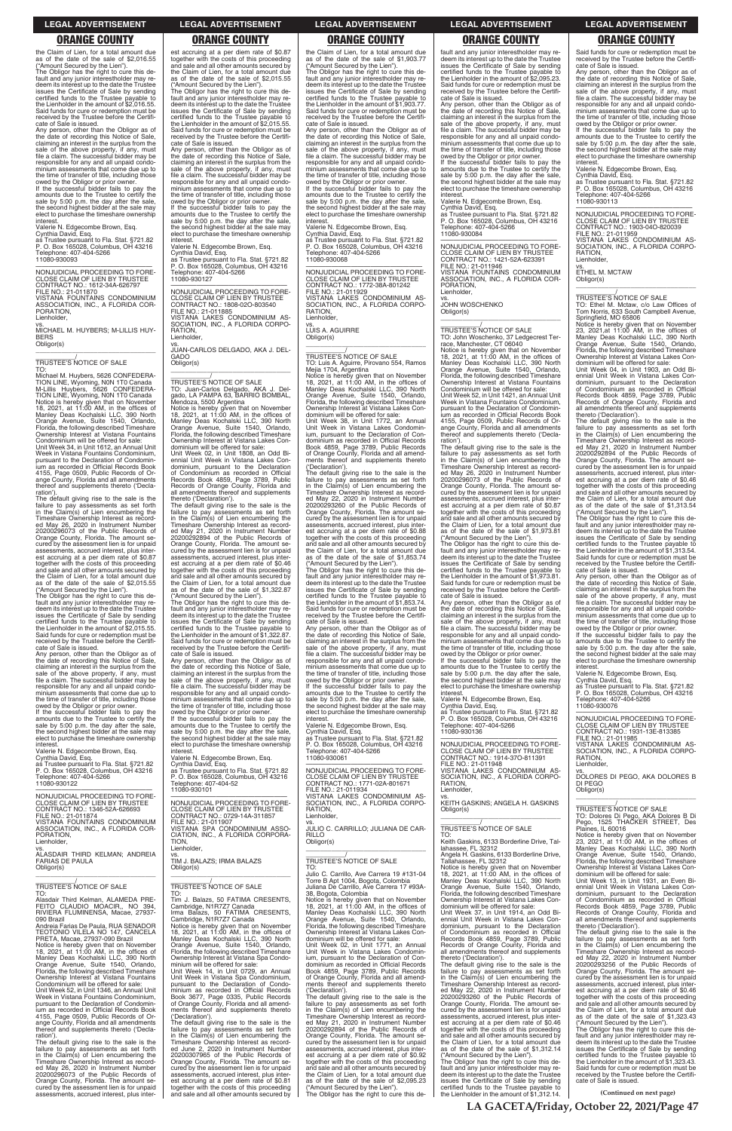the Claim of Lien, for a total amount due as of the date of the sale of \$2,016.55

("Amount Secured by the Lien"). The Obligor has the right to cure this default and any junior interestholder may re-deem its interest up to the date the Trustee issues the Certificate of Sale by sending certified funds to the Trustee payable to the Lienholder in the amount of \$2,016.55. Said funds for cure or redemption must be received by the Trustee before the Certifi-cate of Sale is issued. Any person, other than the Obligor as of

amounts due to the Trustee to certify the sale by 5:00 p.m. the day after the sale, the second highest bidder at the sale may elect to purchase the timeshare ownership interest

the date of recording this Notice of Sale, claiming an interest in the surplus from the sale of the above property, if any, must file a claim. The successful bidder may be responsible for any and all unpaid condo-minium assessments that come due up to the time of transfer of title, including those owed by the Obligor or prior owner. If the successful bidder fails to pay the

Valerie N. Edgecombe Brown, Esq.

Cynthia David, Esq. as Trustee pursuant to Fla. Stat. §721.82 P. O. Box 165028, Columbus, OH 43216 Telephone: 407-404-5266 11080-930093

—————————————————— NONJUDICIAL PROCEEDING TO FORE-CLOSE CLAIM OF LIEN BY TRUSTEE CONTRACT NO.: 1612-34A-626797 FILE NO.: 21-011870 VISTANA FOUNTAINS CONDOMINIUM ASSOCIATION, INC., A FLORIDA COR-PORATION, Lienholder,

vs. MICHAEL M. HUYBERS; M-LILLIS HUY-**BERS** Obligor(s) \_\_\_\_\_\_\_\_\_\_\_\_\_\_\_\_\_\_\_\_\_\_\_\_\_\_\_\_\_\_\_\_\_

\_\_\_\_\_\_\_\_\_\_\_/ TRUSTEE'S NOTICE OF SALE

TO: Michael M. Huybers, 5626 CONFEDERA-TION LINE, Wyoming, N0N 1T0 Canada M-Lillis Huybers, 5626 CONFEDERA-<br>TION LINE, Wyoming, NON 1T0 Canada<br>Notice is hereby given that on November<br>18, 2021, at 11:00 AM, in the offices of<br>Manley Deas Kochalski LLC, 390 North<br>Orange Avenue, Suite 1540, Orlando, Florida, the following described Timeshare Ownership Interest at Vistana Fountains Condominium will be offered for sale:

owed by the Obligor or prior owner. If the successful bidder fails to pay the amounts due to the Trustee to certify the sale by 5:00 p.m. the day after the sale, the second highest bidder at the sale may elect to purchase the timeshare ownership interest

Unit Week 34, in Unit 1612, an Annual Unit Week in Vistana Fountains Condominium, pursuant to the Declaration of Condominium as recorded in Official Records Book 4155, Page 0509, Public Records of Or-ange County, Florida and all amendments thereof and supplements thereto ('Declaration').

The default giving rise to the sale is the failure to pay assessments as set forth in the Claim(s) of Lien encumbering the Timeshare Ownership Interest as recorded May 26, 2020 in Instrument Number 20200296073 of the Public Records of Orange County, Florida. The amount secured by the assessment lien is for unpaid assessments, accrued interest, plus inter-est accruing at a per diem rate of \$0.87 together with the costs of this proceeding and sale and all other amounts secured by the Claim of Lien, for a total amount due as of the date of the sale of \$2,015.55

("Amount Secured by the Lien"). The Obligor has the right to cure this default and any junior interestholder may re-deem its interest up to the date the Trustee issues the Certificate of Sale by sending certified funds to the Trustee payable to the Lienholder in the amount of \$2,015.55. Said funds for cure or redemption must be received by the Trustee before the Certifi-

the date of recording this Notice of Sale,<br>claiming an interest in the surplus from the<br>sale of the above property, if any, must<br>file a claim. The successful bidder may be responsible for any and all unpaid condo-minium assessments that come due up to the time of transfer of title, including those

cate of Sale is issued. Any person, other than the Obligor as of the date of recording this Notice of Sale, claiming an interest in the surplus from the sale of the above property, if any, must file a claim. The successful bidder may be responsible for any and all unpaid condo-minium assessments that come due up to the time of transfer of title, including those

—————————————————— NONJUDICIAL PROCEEDING TO FORE-CLOSE CLAIM OF LIEN BY TRUSTEE CONTRACT NO.: 1808-02O-803540 FILE NO.: 21-011885 VISTANA LAKES CONDOMINIUM AS-SOCIATION, INC., A FLORIDA CORPO-RATION, Lienholder

Valerie N. Edgecombe Brown, Esq. Cynthia David, Esq. as Trustee pursuant to Fla. Stat. §721.82 P. O. Box 165028, Columbus, OH 43216 Telephone: 407-404-5266

11080-930122 —————————————————— NONJUDICIAL PROCEEDING TO FORE-

CLOSE CLAIM OF LIEN BY TRUSTEE CONTRACT NO.: 1346-52A-626693 FILE NO.: 21-011874 VISTANA FOUNTAINS CONDOMINIUM ASSOCIATION, INC., A FLORIDA COR-

est accruing at a per diem rate of \$0.87 together with the costs of this proceeding and sale and all other amounts secured by the Claim of Lien, for a total amount as of the date of the sale of \$2,015.55 ("Amount Secured by the Lien"). The Obligor has the right to cure this de-

fault and any junior interestholder may redeem its interest up to the date the Trustee issues the Certificate of Sale by sending certified funds to the Trustee payable to the Lienholder in the amount of \$2,015.55. Said funds for cure or redemption must be received by the Trustee before the Certificate of Sale is issued. Any person, other than the Obligor as of

> amounts due to the Trustee to certify the sale by 5:00 p.m. the day after the sale, the second highest bidder at the sale may elect to purchase the timeshare ownership interest

VISTANA LAKES CONDOMINIUM AS-SOCIATION, INC., A FLORIDA CORPO-RATION, Lienholder

owed by the Obligor or prior owner. If the successful bidder fails to pay the amounts due to the Trustee to certify the sale by 5:00 p.m. the day after the sale, the second highest bidder at the sale may elect to purchase the timeshare ownership interest.

Valerie N. Edgecombe Brown, Esq. Cynthia David, Esq. as Trustee pursuant to Fla. Stat. §721.82 P. O. Box 165028, Columbus, OH 43216 Telephone: 407-404-5266 11080-930127

vs. JUAN-CARLOS DELGADO, AKA J. DEL-GADO Obligor(s) \_\_\_\_\_\_\_\_\_\_\_\_\_\_\_\_\_\_\_\_\_\_\_\_\_\_\_\_\_\_\_\_\_

# \_\_\_\_\_\_\_\_\_\_\_/ TRUSTEE'S NOTICE OF SALE TO: Juan-Carlos Delgado, AKA J. Del-gado, LA PAMPA 63, BARRIO BOMBAL, Mendoza, 5500 Argentina

Notice is hereby given that on November 18, 2021, at 11:00 AM, in the offices of Manley Deas Kochalski LLC, 390 North Orange Avenue, Suite 1540, Orlando, Florida, the following described Timeshare Ownership Interest at Vistana Lakes Condominium will be offered for sale:

> —————————————————— NONJUDICIAL PROCEEDING TO FORE-CLOSE CLAIM OF LIEN BY TRUSTEE CONTRACT NO.: 1771-02A-801671 FILE NO.: 21-011934 VISTANA LAKES CONDOMINIUM AS-SOCIATION, INC., A FLORIDA CORPO-**RATION**

Unit Week 02, in Unit 1808, an Odd Bi-ennial Unit Week in Vistana Lakes Condominium, pursuant to the Declaration of Condominium as recorded in Official Records Book 4859, Page 3789, Public Records of Orange County, Florida and all amendments thereof and supplements thereto ('Declaration').

The default giving rise to the sale is the failure to pay assessments as set forth in the Claim(s) of Lien encumbering the Timeshare Ownership Interest as recorded May 21, 2020 in Instrument Number 20200292894 of the Public Records of Orange County, Florida. The amount se-cured by the assessment lien is for unpaid assessments, accrued interest, plus interest accruing at a per diem rate of \$0.46 together with the costs of this proceeding and sale and all other amounts secured by the Claim of Lien, for a total amount due as of the date of the sale of \$1,322.87 ("Amount Secured by the Lien").

fault and any junior interestholder may redeem its interest up to the date the Trustee issues the Certificate of Sale by sending certified funds to the Trustee payable to the Lienholder in the amount of \$2,095.23. Said funds for cure or redemption must be received by the Trustee before the Certificate of Sale is issued.

The Obligor has the right to cure this de-fault and any junior interestholder may re-deem its interest up to the date the Trustee issues the Certificate of Sale by sending certified funds to the Trustee payable to the Lienholder in the amount of \$1,322.87. Said funds for cure or redemption must be received by the Trustee before the Certificate of Sale is issued.

Any person, other than the Obligor as of the date of recording this Notice of Sale, claiming an interest in the surplus from the sale of the above property, if any, must file a claim. The successful bidder may be responsible for any and all unpaid condominium assessments that come due up to the time of transfer of title, including those owed by the Obligor or prior owner. If the successful bidder fails to pay the

amounts due to the Trustee to certify the sale by 5:00 p.m. the day after the sale, the second highest bidder at the sale may elect to purchase the timeshare ownership interest. Valerie N. Edgecombe Brown, Esq.

Cynthia David, Esq. as Trustee pursuant to Fla. Stat. §721.82 P. O. Box 165028, Columbus, OH 43216 Telephone: 407-404-52 11080-930101

—————————————————— NONJUDICIAL PROCEEDING TO FORE-CLAIM OF LIEN BY CONTRACT NO.: 0729-14A-311857 FILE NO.: 21-011907 VISTANA SPA CONDOMINIUM ASSO-

VISTANA LAKES CONDOMINIUM AS-SOCIATION, INC., A FLORIDA CORPO-**RATION Lienholder** 

the Claim of Lien, for a total amount due as of the date of the sale of \$1,903.77 ("Amount Secured by the Lien"). The Obligor has the right to cure this de-

> owed by the Obligor or prior owner. If the successful bidder fails to pay the amounts due to the Trustee to certify the sale by 5:00 p.m. the day after the sale, the second highest bidder at the sale may elect to purchase the timeshare ownership **interest**

fault and any junior interestholder may re-deem its interest up to the date the Trustee issues the Certificate of Sale by sending certified funds to the Trustee payable to the Lienholder in the amount of \$1,903.77. Said funds for cure or redemption must be received by the Trustee before the Certifi-cate of Sale is issued. Any person, other than the Obligor as of

> —————————————————— NONJUDICIAL PROCEEDING TO FORE-CLOSE CLAIM OF LIEN BY TRUSTEE CONTRACT NO.: 1903-04O-820039 FILE NO.: 21-011959 VISTANA LAKES CONDOMINIUM AS-SOCIATION, INC., A FLORIDA CORPO-RATION, Lienholder

the date of recording this Notice of Sale, claiming an interest in the surplus from the sale of the above property, if any, must file a claim. The successful bidder may be responsible for any and all unpaid condo-minium assessments that come due up to the time of transfer of title, including those owed by the Obligor or prior owner. If the successful bidder fails to pay the

Valerie N. Edgecombe Brown, Esq.

Cynthia David, Esq. as Trustee pursuant to Fla. Stat. §721.82 P. O. Box 165028, Columbus, OH 43216 Telephone: 407-404-5266 11080-930068

—————————————————— NONJUDICIAL PROCEEDING TO FORE-CLOSE CLAIM OF LIEN BY TRUSTEE CONTRACT NO.: 1772-38A-801242 FILE NO.: 21-011929

vs. LUIS A. AGUIRRE Obligor(s)

\_\_\_\_\_\_\_\_\_\_\_\_\_\_\_\_\_\_\_\_\_\_\_\_\_\_\_\_\_\_\_\_\_ \_\_\_\_\_\_\_\_\_\_\_/ TRUSTEE'S NOTICE OF SALE

TO: Luis A. Aguirre, Pirovano 554, Ramos Mejia 1704, Argentina Notice is hereby given that on November 18, 2021, at 11:00 AM, in the offices of Manley Deas Kochalski LLC, 390 North Orange Avenue, Suite 1540, Orlando, Florida, the following described Timeshare Ownership Interest at Vistana Lakes Condominium will be offered for sale: Unit Week 38, in Unit 1772, an Annual Unit Week in Vistana Lakes Condominium, pursuant to the Declaration of Con-dominium as recorded in Official Records Book 4859, Page 3789, Public Records of Orange County, Florida and all amend-ments thereof and supplements thereto

> RATION, Lienholder.

('Declaration'). The default giving rise to the sale is the failure to pay assessments as set forth in the Claim(s) of Lien encumbering the Timeshare Ownership Interest as record-ed May 22, 2020 in Instrument Number 20200293260 of the Public Records of Orange County, Florida. The amount se-cured by the assessment lien is for unpaid assessments, accrued interest, plus interest accruing at a per diem rate of \$0.88 together with the costs of this proceeding and sale and all other amounts secured by the Claim of Lien, for a total amount due as of the date of the sale of \$1,853.74

("Amount Secured by the Lien"). The Obligor has the right to cure this de-fault and any junior interestholder may redeem its interest up to the date the Trustee issues the Certificate of Sale by sending certified funds to the Trustee payable to the Lienholder in the amount of \$1,853.74. Said funds for cure or redemption must be received by the Trustee before the Certificate of Sale is issued.

Any person, other than the Obligor as of the date of recording this Notice of Sale, claiming an interest in the surplus from the sale of the above property, if any, must file a claim. The successful bidder may be responsible for any and all unpaid condo-minium assessments that come due up to the time of transfer of title, including those

owed by the Obligor or prior owner. If the successful bidder fails to pay the amounts due to the Trustee to certify the sale by 5:00 p.m. the day after the sale, the second highest bidder at the sale may elect to purchase the timeshare ownership interest.

Valerie N. Edgecombe Brown, Esq. Cynthia David, Esq.

as Trustee pursuant to Fla. Stat. §721.82 P. O. Box 165028, Columbus, OH 43216 Telephone: 407-404-5266 11080-930061

| FILE NO.: 21-011874                                                                 | CONTRACT NO.: 0729-14A-311857                                                          | Lienholder,                                                                             |                                                                                       | TO: Dolores Di Pego, AKA Dolores B Di                                                  |
|-------------------------------------------------------------------------------------|----------------------------------------------------------------------------------------|-----------------------------------------------------------------------------------------|---------------------------------------------------------------------------------------|----------------------------------------------------------------------------------------|
| VISTANA FOUNTAINS CONDOMINIUM                                                       | FILE NO.: 21-011907                                                                    | VS.                                                                                     |                                                                                       | Pego, 1525 THACKER STREET, Des                                                         |
| ASSOCIATION, INC., A FLORIDA COR-                                                   | VISTANA SPA CONDOMINIUM ASSO-                                                          | JULIO C. CARRILLO; JULIANA DE CAR-                                                      | TRUSTEE'S NOTICE OF SALE                                                              | Plaines. IL 60016                                                                      |
| PORATION.                                                                           | CIATION, INC., A FLORIDA CORPORA-                                                      | <b>RILLO</b>                                                                            | TO:                                                                                   | Notice is hereby given that on November                                                |
| Lienholder,                                                                         | TION,<br>Lienholder,                                                                   | Obligor(s)                                                                              | Keith Gaskins, 6133 Borderline Drive, Tal-<br>lahassee. FL 32312                      | 23, 2021, at 11:00 AM, in the offices of<br>Manley Deas Kochalski LLC, 390 North       |
| VS.<br>ALASDAIR THIRD KELMAN; ANDREIA                                               |                                                                                        |                                                                                         | Angela H. Gaskins, 6133 Borderline Drive,                                             | Orange Avenue, Suite 1540, Orlando,                                                    |
| <b>FARIAS DE PAULA</b>                                                              | TIM J. BALAZS: IRMA BALAZS                                                             | <b>TRUSTEE'S NOTICE OF SALE</b>                                                         | Tallahassee, FL 32312                                                                 | Florida, the following described Timeshare                                             |
| Obligor(s)                                                                          | Obligor(s)                                                                             | TO:                                                                                     | Notice is hereby given that on November                                               | Ownership Interest at Vistana Lakes Con-                                               |
|                                                                                     |                                                                                        | Julio C. Carrillo, Ave Carrera 19 #131-04                                               | 18, 2021, at $11:00$ AM, in the offices of                                            | dominium will be offered for sale:                                                     |
|                                                                                     |                                                                                        | Torre B Apt 1004, Bogota, Colombia                                                      | Manley Deas Kochalski LLC, 390 North                                                  | Unit Week 13, in Unit 1931, an Even Bi-                                                |
| TRUSTEE'S NOTICE OF SALE                                                            | TRUSTEE'S NOTICE OF SALE                                                               | Juliana De Carrillo, Ave Carrera 17 #93A-                                               | Orange Avenue, Suite 1540, Orlando,                                                   | ennial Unit Week in Vistana Lakes Con-                                                 |
| TO:                                                                                 | TO:                                                                                    | 38, Bogota, Colombia                                                                    | Florida, the following described Timeshare                                            | dominium, pursuant to the Declaration                                                  |
| Alasdair Third Kelman, ALAMEDA PRE-                                                 | Tim J. Balazs, 50 FATIMA CRESENTS.                                                     | Notice is hereby given that on November                                                 | Ownership Interest at Vistana Lakes Con-                                              | of Condominium as recorded in Official                                                 |
| FEITO CLAUDIO MOACIR, NO 394.                                                       | Cambridge, N1R7Z7 Canada                                                               | 18, 2021, at 11:00 AM, in the offices of                                                | dominium will be offered for sale:                                                    | Records Book 4859, Page 3789, Public                                                   |
| RIVIERA FLUMINENSA, Macae, 27937-                                                   | Irma Balazs, 50 FATIMA CRESENTS,                                                       | Manley Deas Kochalski LLC, 390 North                                                    | Unit Week 37, in Unit 1914, an Odd Bi-                                                | Records of Orange County, Florida and                                                  |
| 090 Brazil                                                                          | Cambridge, N1R7Z7 Canada                                                               | Orange Avenue, Suite 1540, Orlando,                                                     | ennial Unit Week in Vistana Lakes Con-                                                | all amendments thereof and supplements                                                 |
| Andreia Farias De Paula, RUA SENADOR                                                | Notice is hereby given that on November                                                | Florida, the following described Timeshare                                              | dominium, pursuant to the Declaration                                                 | thereto ('Declaration').                                                               |
| TEOTONIO VILELA NO 147, CANCELA                                                     | 18, 2021, at $11:00$ AM, in the offices of                                             | Ownership Interest at Vistana Lakes Con-                                                | of Condominium as recorded in Official                                                | The default giving rise to the sale is the                                             |
| PRETA, Macae, 27937-090 Brazil                                                      | Manley Deas Kochalski LLC, 390 North                                                   | dominium will be offered for sale:                                                      | Records Book 4859, Page 3789, Public                                                  | failure to pay assessments as set forth                                                |
| Notice is hereby given that on November<br>18, 2021, at 11:00 AM, in the offices of | Orange Avenue, Suite 1540, Orlando,                                                    | Unit Week 02. in Unit 1771, an Annual<br>Unit Week in Vistana Lakes Condomin-           | Records of Orange County, Florida and                                                 | in the Claim(s) of Lien encumbering the<br>Timeshare Ownership Interest as record-     |
| Manley Deas Kochalski LLC, 390 North                                                | Florida, the following described Timeshare<br>Ownership Interest at Vistana Spa Condo- | ium, pursuant to the Declaration of Con-                                                | all amendments thereof and supplements<br>thereto ('Declaration').                    | ed May 22, 2020 in Instrument Number                                                   |
| Orange Avenue, Suite 1540, Orlando,                                                 | minium will be offered for sale:                                                       | dominium as recorded in Official Records                                                | The default giving rise to the sale is the                                            | 20200293256 of the Public Records of                                                   |
| Florida, the following described Timeshare                                          | Unit Week 14, in Unit 0729, an Annual                                                  | Book 4859, Page 3789, Public Records                                                    | failure to pay assessments as set forth                                               | Orange County, Florida. The amount se-                                                 |
| Ownership Interest at Vistana Fountains                                             | Unit Week in Vistana Spa Condominium,                                                  | of Orange County, Florida and all amend-                                                | in the Claim(s) of Lien encumbering the                                               | cured by the assessment lien is for unpaid                                             |
| Condominium will be offered for sale:                                               | pursuant to the Declaration of Condo-                                                  | ments thereof and supplements thereto                                                   | Timeshare Ownership Interest as record-                                               | assessments, accrued interest, plus inter-                                             |
| Unit Week 52, in Unit 1346, an Annual Unit                                          | minium as recorded in Official Records                                                 | ('Declaration').                                                                        | ed May 22, 2020 in Instrument Number                                                  | est accruing at a per diem rate of \$0.46                                              |
| Week in Vistana Fountains Condominium,                                              | Book 3677, Page 0335, Public Records                                                   | The default giving rise to the sale is the                                              | 20200293260 of the Public Records of                                                  | together with the costs of this proceeding                                             |
| pursuant to the Declaration of Condomin-                                            | of Orange County, Florida and all amend-                                               | failure to pay assessments as set forth                                                 | Orange County, Florida. The amount se-                                                | and sale and all other amounts secured by                                              |
| ium as recorded in Official Records Book                                            | ments thereof and supplements thereto                                                  | in the Claim(s) of Lien encumbering the                                                 | cured by the assessment lien is for unpaid                                            | the Claim of Lien, for a total amount due                                              |
| 4155, Page 0509, Public Records of Or-                                              | ('Declaration').                                                                       | Timeshare Ownership Interest as record-                                                 | assessments, accrued interest, plus inter-                                            | as of the date of the sale of \$1,323.43                                               |
| ange County, Florida and all amendments                                             | The default giving rise to the sale is the                                             | ed May 21, 2020 in Instrument Number                                                    | est accruing at a per diem rate of \$0.46                                             | ("Amount Secured by the Lien").                                                        |
| thereof and supplements thereto ('Decla-                                            | failure to pay assessments as set forth                                                | 20200292894 of the Public Records of                                                    | together with the costs of this proceeding                                            | The Obligor has the right to cure this de-                                             |
| ration').                                                                           | in the Claim(s) of Lien encumbering the                                                | Orange County, Florida. The amount se-                                                  | and sale and all other amounts secured by                                             | fault and any junior interestholder may re-                                            |
| The default giving rise to the sale is the                                          | Timeshare Ownership Interest as record-<br>ed June 2, 2020 in Instrument Number        | cured by the assessment lien is for unpaid                                              | the Claim of Lien, for a total amount due<br>as of the date of the sale of \$1,312.14 | deem its interest up to the date the Trustee                                           |
| failure to pay assessments as set forth<br>in the Claim(s) of Lien encumbering the  | 20200307965 of the Public Records of                                                   | assessments, accrued interest, plus inter-<br>est accruing at a per diem rate of \$0.92 | ("Amount Secured by the Lien").                                                       | issues the Certificate of Sale by sending<br>certified funds to the Trustee payable to |
| Timeshare Ownership Interest as record-                                             | Orange County, Florida. The amount se-                                                 | together with the costs of this proceeding                                              | The Obligor has the right to cure this de-                                            | the Lienholder in the amount of \$1,323.43.                                            |
| ed May 26, 2020 in Instrument Number                                                | cured by the assessment lien is for unpaid                                             | and sale and all other amounts secured by                                               | fault and any junior interestholder may re-                                           | Said funds for cure or redemption must be                                              |
| 20200296073 of the Public Records of                                                | assessments, accrued interest, plus inter-                                             | the Claim of Lien, for a total amount due                                               | deem its interest up to the date the Trustee                                          | received by the Trustee before the Certifi-                                            |
| Orange County, Florida. The amount se-                                              | est accruing at a per diem rate of \$0.81                                              | as of the date of the sale of \$2,095.23                                                | issues the Certificate of Sale by sending                                             | cate of Sale is issued.                                                                |
| cured by the assessment lien is for unpaid                                          | together with the costs of this proceeding                                             | ("Amount Secured by the Lien").                                                         | certified funds to the Trustee payable to                                             |                                                                                        |
| assessments, accrued interest, plus inter-                                          | and sale and all other amounts secured by                                              | The Obligor has the right to cure this de-                                              | the Lienholder in the amount of \$1,312.14.                                           | (Continued on next page)                                                               |
|                                                                                     |                                                                                        |                                                                                         |                                                                                       | $T A. C A C F T A F. 1. Q. 1.1. Q. 20.24 B. 1.45$                                      |
|                                                                                     |                                                                                        |                                                                                         |                                                                                       |                                                                                        |

Any person, other than the Obligor as of the date of recording this Notice of Sale, claiming an interest in the surplus from the sale of the above property, if any, must file a claim. The successful bidder may be responsible for any and all unpaid condo-minium assessments that come due up to the time of transfer of title, including those

owed by the Obligor or prior owner. If the successful bidder fails to pay the amounts due to the Trustee to certify the sale by 5:00 p.m. the day after the sale, the second highest bidder at the sale may elect to purchase the timeshare ownership

**interest** 

Valerie N. Edgecombe Brown, Esq. Cynthia David, Esq.

as Trustee pursuant to Fla. Stat. §721.82 P. O. Box 165028, Columbus, OH 43216 elephone: 407-404-5266 11080-930084

—————————————————— NONJUDICIAL PROCEEDING TO FORE-CLOSE CLAIM OF LIEN BY TRUSTEE CONTRACT NO.: 1421-52A-623391 FILE NO.: 21-011946 VISTANA FOUNTAINS CONDOMINIUM ASSOCIATION, INC., A FLORIDA COR-PORATION,

Lienholder,

vs. JOHN WOSCHENKO Obligor(s)

\_\_\_\_\_\_\_\_\_\_\_/ TRUSTEE'S NOTICE OF SALE TO: John Woschenko, 37 Ledgecrest Ter-race, Manchester, CT 06040 Notice is hereby given that on November 18, 2021, at 11:00 AM, in the offices of Manley Deas Kochalski LLC, 390 North

 $\overline{\phantom{a}}$  , and the set of the set of the set of the set of the set of the set of the set of the set of the set of the set of the set of the set of the set of the set of the set of the set of the set of the set of the s

Orange Avenue, Suite 1540, Orlando, Florida, the following described Timeshare Ownership Interest at Vistana Fountains Condominium will be offered for sale: Unit Week 52, in Unit 1421, an Annual Unit Week in Vistana Fountains Condominium, pursuant to the Declaration of Condomin-

ium as recorded in Official Records Book 4155, Page 0509, Public Records of Orange County, Florida and all amendments thereof and supplements thereto ('Decla-

ration'). The default giving rise to the sale is the failure to pay assessments as set forth in the Claim(s) of Lien encumbering the Timeshare Ownership Interest as record-ed May 26, 2020 in Instrument Number 20200296073 of the Public Records of Orange County, Florida. The amount secured by the assessment lien is for unpaid assessments, accrued interest, plus interest accruing at a per diem rate of \$0.87 together with the costs of this proceeding and sale and all other amounts secured by the Claim of Lien, for a total amount due as of the date of the sale of \$1,973.81 ("Amount Secured by the Lien").

The Obligor has the right to cure this de-fault and any junior interestholder may re-deem its interest up to the date the Trustee issues the Certificate of Sale by sending certified funds to the Trustee payable to the Lienholder in the amount of \$1,973.81. Said funds for cure or redemption must be received by the Trustee before the Certifi-cate of Sale is issued.

Any person, other than the Obligor as of the date of recording this Notice of Sale, claiming an interest in the surplus from the sale of the above property, if any, must file a claim. The successful bidder may be responsible for any and all unpaid condominium assessments that come due up to the time of transfer of title, including those owed by the Obligor or prior owner.

If the successful bidder fails to pay the amounts due to the Trustee to certify the sale by 5:00 p.m. the day after the sale, the second highest bidder at the sale may elect to purchase the timeshare ownership interest.

Valerie N. Edgecombe Brown, Esq. Cynthia David, Esq. as Trustee pursuant to Fla. Stat. §721.82

P. O. Box 165028, Columbus, OH 43216 Telephone: 407-404-5266 11080-930136

—————————————————— NONJUDICIAL PROCEEDING TO FORE-CLOSE CLAIM OF LIEN BY TRUSTEE CONTRACT NO.: 1914-37O-811391 FILE NO.: 21-011948

vs. KEITH GASKINS; ANGELA H. GASKINS Obligor(s) \_\_\_\_\_\_\_\_\_\_\_\_\_\_\_\_\_\_\_\_\_\_\_\_\_\_\_\_\_\_\_\_\_

Said funds for cure or redemption must be received by the Trustee before the Certifi-

cate of Sale is issued. Any person, other than the Obligor as of the date of recording this Notice of Sale, claiming an interest in the surplus from the sale of the above property, if any, must file a claim. The successful bidder may be responsible for any and all unpaid condo-minium assessments that come due up to the time of transfer of title, including those

Valerie N. Edgecombe Brown, Esq.

Cynthia David, Esq. as Trustee pursuant to Fla. Stat. §721.82 P. O. Box 165028, Columbus, OH 43216 Telephone: 407-404-5266 11080-930113

vs. ETHEL M. MCTAW Obligor(s)

\_\_\_\_\_\_\_\_\_\_\_\_\_\_\_\_\_\_\_\_\_\_\_\_\_\_\_\_\_\_\_\_\_ \_\_\_\_\_\_\_\_\_\_\_/ TRUSTEE'S NOTICE OF SALE

TO: Ethel M. Mctaw, c/o Law Offices of Tom Norris, 633 South Campbell Avenue,

Springfield, MO 65806 Notice is hereby given that on November 23, 2021,at 11:00 AM, in the offices of Manley Deas Kochalski LLC, 390 North Orange Avenue, Suite 1540, Orlando, Florida, the following described Timeshare Ownership Interest at Vistana Lakes Con-dominium will be offered for sale:

Unit Week 04, in Unit 1903, an Odd Biennial Unit Week in Vistana Lakes Con-dominium, pursuant to the Declaration of Condominium as recorded in Official Records Book 4859, Page 3789, Public Records of Orange County, Florida and all amendments thereof and supplements thereto ('Declaration').

The default giving rise to the sale is the failure to pay assessments as set forth in the Claim(s) of Lien encumbering the Timeshare Ownership Interest as recorded May 21, 2020 in Instrument Number 20200292894 of the Public Records of Orange County, Florida. The amount secured by the assessment lien is for unpaid assessments, accrued interest, plus inter-est accruing at a per diem rate of \$0.46 together with the costs of this proceeding and sale and all other amounts secured by the Claim of Lien, for a total amount due as of the date of the sale of \$1,313.54

("Amount Secured by the Lien"). The Obligor has the right to cure this default and any junior interestholder may re-deem its interest up to the date the Trustee issues the Certificate of Sale by sending certified funds to the Trustee payable to the Lienholder in the amount of \$1,313.54. Said funds for cure or redemption must be received by the Trustee before the Certifi-

cate of Sale is issued. Any person, other than the Obligor as of the date of recording this Notice of Sale, claiming an interest in the surplus from the sale of the above property, if any, must file a claim. The successful bidder may be responsible for any and all unpaid condo-minium assessments that come due up to the time of transfer of title, including those

owed by the Obligor or prior owner. If the successful bidder fails to pay the amounts due to the Trustee to certify the sale by 5:00 p.m. the day after the sale, the second highest bidder at the sale may elect to purchase the timeshare ownership **interest** Valerie N. Edgecombe Brown, Esq.

Cynthia David, Esq. as Trustee pursuant to Fla. Stat. §721.82 P. O. Box 165028, Columbus, OH 43216

Telephone: 407-404-5266 11080-930076

—————————————————— NONJUDICIAL PROCEEDING TO FORE-CLOSE CLAIM OF LIEN BY TRUSTEE CONTRACT NO.: 1931-13E-813385

FILE NO.: 21-011985

VISTANA LAKES CONDOMINIUM AS-SOCIATION, INC., A FLORIDA CORPO-

vs. DOLORES DI PEGO, AKA DOLORES B

DI PEGO Obligor(s)

\_\_\_\_\_\_\_\_\_\_\_\_\_\_\_\_\_\_\_\_\_\_\_\_\_\_\_\_\_\_\_\_\_ \_\_\_\_\_\_\_\_\_\_\_/ TRUSTEE'S NOTICE OF SALE

**LA GACETA/Friday, October 22, 2021/Page 47**

### **LEGAL ADVERTISEMENT LEGAL ADVERTISEMENT LEGAL ADVERTISEMENT LEGAL ADVERTISEMENT LEGAL ADVERTISEMENT**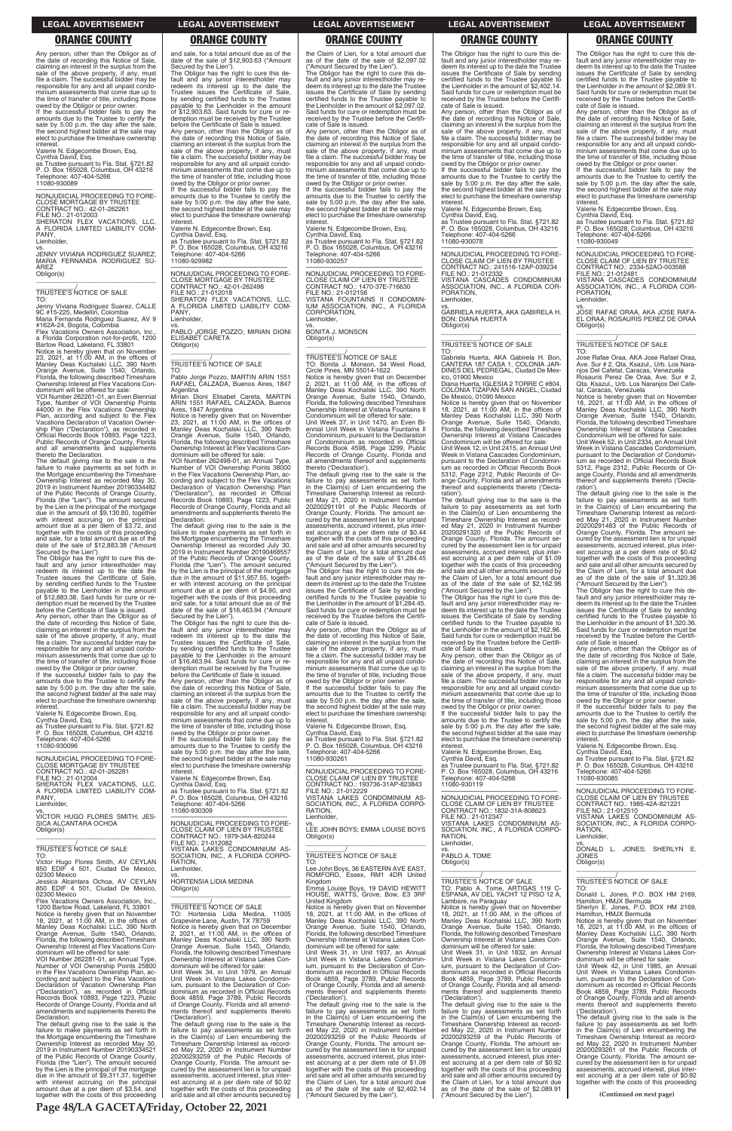Any person, other than the Obligor as of<br>the date of recording this is a control the date of recording this Notice of Sale, claiming an interest in the surplus from the sale of the above property, if any, must file a claim. The successful bidder may be responsible for any and all unpaid condominium assessments that come due up to the time of transfer of title, including those owed by the Obligor or prior owner.

If the successful bidder fails to pay the amounts due to the Trustee to certify the sale by 5:00 p.m. the day after the sale, the second highest bidder at the sale may elect to purchase the timeshare ownership

interest. Valerie N. Edgecombe Brown, Esq. Cynthia David, Esq. as Trustee pursuant to Fla. Stat. §721.82 P. O. Box 165028, Columbus, OH 43216 Telephone: 407-404-5266 11080-930089

—————————————————— NONJUDICIAL PROCEEDING TO FORE-CLOSE MORTGAGE BY TRUSTEE CONTRACT NO.: 42-01-262261 FILE NO.: 21-012003 SHERATON FLEX VACATIONS, LLC, A FLORIDA LIMITED LIABILITY COM-PANY,

Lienholder, vs. JENNY VIVIANA RODRIGUEZ SUAREZ;

MARIA FERNANDA RODRIGUEZ SU-AREZ Obligor(s) \_\_\_\_\_\_\_\_\_\_\_\_\_\_\_\_\_\_\_\_\_\_\_\_\_\_\_\_\_\_\_\_\_

\_\_\_\_\_\_\_\_\_\_\_/ TRUSTEE'S NOTICE OF SALE

TO: Jenny Viviana Rodriguez Suarez, CALLE 9C #15-225, Medellin, Colombia

Maria Fernanda Rodriguez Suarez, AV 9 #162A-24, Bogota, Colombia Flex Vacations Owners Association, Inc.,

a Florida Corporation not-for-profit, 1200 Bartow Road, Lakeland, FL 33801 Notice is hereby given that on November<br>23, 2021, at 11:00 AM, in the offices of<br>Manley Deas Kochalski LLC, 390 North<br>Orange Avenue, Suite 1540, Orlando,<br>Florida, the following described Timeshare Ownership Interest at Flex Vacations Con-

Any person, other than the Obligor as of the date of recording this Notice of Sale, claiming an interest in the surplus from the sale of the above property, if any, must file a claim. The successful bidder may be responsible for any and all unpaid condominium assessments that come due up to the time of transfer of title, including those

dominium will be offered for sale: VOI Number 262261-01, an Even Biennial Type, Number of VOI Ownership Points 44000 in the Flex Vacations Ownership Plan, according and subject to the Flex Vacations Declaration of Vacation Ownership Plan ("Declaration"), as recorded in Official Records Book 10893, Page 1223, Public Records of Orange County, Florida and all amendments and supplements thereto the Declaration.

The default giving rise to the sale is the failure to make payments as set forth in the Mortgage encumbering the Timeshare Ownership Interest as recorded May 30, 2019 in Instrument Number 20190334482 of the Public Records of Orange County, Florida (the "Lien"). The amount secured by the Lien is the principal of the mortgage due in the amount of \$9,130.80, together with interest accruing on the principal amount due at a per diem of \$3.72, and together with the costs of this proceeding and sale, for a total amount due as of the date of the sale of \$12,883.38 ("Amount

Secured by the Lien"). The Obligor has the right to cure this de-fault and any junior interestholder may redeem its interest up to the date the Trustee issues the Certificate of Sale, by sending certified funds to the Trustee payable to the Lienholder in the amount of \$12,883.38. Said funds for cure or redemption must be received by the Trustee before the Certificate of Sale is issued.

owed by the Obligor or prior owner. If the successful bidder fails to pay the amounts due to the Trustee to certify the sale by 5:00 p.m. the day after the sale, the second highest bidder at the sale may elect to purchase the timeshare ownership interest.

Valerie N. Edgecombe Brown, Esq. Cynthia David, Esq. as Trustee pursuant to Fla. Stat. §721.82 P. O. Box 165028, Columbus, OH 43216 Telephone: 407-404-5266 11080-930096

—————————————————— NONJUDICIAL PROCEEDING TO FORE-CLOSE MORTGAGE BY TRUSTEE CONTRACT NO.: 42-01-262281 FILE NO.: 21-012004 SHERATON FLEX VACATIONS, LLC, A FLORIDA LIMITED LIABILITY COM-PANY, Lienholder,

vs. VS.<br>VICTOR HUGO FLORES SMITH; JES-SICA ALCANTARA OCHOA Obligor(s)

and sale, for a total amount due as of the date of the sale of \$12,903.63 ("Amount Secured by the Lien"). The Obligor has the right to cure this default and any junior interestholder may redeem its interest up to the date the Trustee issues the Certificate of Sale, by sending certified funds to the Trustee payable to the Lienholder in the amount of \$12,903.63. Said funds for cure or redemption must be received by the Trustee before the Certificate of Sale is issued. Any person, other than the Obligor as of the date of recording this Notice of Sale, claiming an interest in the surplus from the sale of the above property, if any, must file a claim. The successful bidder may be responsible for any and all unpaid condominium assessments that come due up to the time of transfer of title, including those owed by the Obligor or prior owner.

### $\overline{\phantom{a}}$  , and the set of the set of the set of the set of the set of the set of the set of the set of the set of the set of the set of the set of the set of the set of the set of the set of the set of the set of the s \_\_\_\_\_\_\_\_\_\_\_/ TRUSTEE'S NOTICE OF SALE

If the successful bidder fails to pay the amounts due to the Trustee to certify the sale by 5:00 p.m. the day after the sale, the second highest bidder at the sale may elect to purchase the timeshare ownership

interest. Valerie N. Edgecombe Brown, Esq. Cynthia David, Esq. as Trustee pursuant to Fla. Stat. §721.82 P. O. Box 165028, Columbus, OH 43216

Telephone: 407-404-5266 11080-929982

—————————————————— NONJUDICIAL PROCEEDING TO FORE-CLOSE MORTGAGE BY TRUSTEE CONTRACT NO.: 42-01-262498 FILE NO.: 21-012018 SHERATON FLEX VACATIONS, LLC, A FLORIDA LIMITED LIABILITY COM-PANY,

Lienholder,

vs. PABLO JORGE POZZO; MIRIAN DIONI ELISABET CARETA Obligor(s) \_\_\_\_\_\_\_\_\_\_\_\_\_\_\_\_\_\_\_\_\_\_\_\_\_\_\_\_\_\_\_\_\_

### \_\_\_\_\_\_\_\_\_\_\_/ TRUSTEE'S NOTICE OF SALE TO:

Pablo Jorge Pozzo, MARTIN ARIN 1551 RAFAEL CALZADA, Buenos Aires, 1847 Argentina

Mirian Dioni Elisabet Careta, MARTIN ARIN 1551 RAFAEL CALZADA, Buenos

Aires, 1847 Argentina<br>Notice is hereby given that on November<br>23, 2021, at 11:00 AM, in the offices of<br>Manley Deas Kochalski LLC, 390 North<br>Orange Avenue, Suite 1540, Orlando,<br>Florida, the following described Timeshare<br>Own

—————————————————— NONJUDICIAL PROCEEDING TO FORE-CLOSE CLAIM OF LIEN BY TRUSTEE CONTRACT NO.: 193736-31AP-823843 FILE NO.: 21-012229 VISTANA LAKES CONDOMINIUM AS-SOCIATION, INC., A FLORIDA CORPO-RATION, Lienholder.

VOI Number 262498-01, an Annual Type, Number of VOI Ownership Points 38000 in the Flex Vacations Ownership Plan, according and subject to the Flex Vacations Declaration of Vacation Ownership Plan ("Declaration"), as recorded in Official Records Book 10893, Page 1223, Public Records of Orange County, Florida and all amendments and supplements thereto the Declaration.

The default giving rise to the sale is the failure to make payments as set forth in the Mortgage encumbering the Timeshare Ownership Interest as recorded July 30, 2019 in Instrument Number 20190468557 of the Public Records of Orange County, Florida (the "Lien"). The amount secured by the Lien is the principal of the mortgage due in the amount of \$11,957.55, together with interest accruing on the principal amount due at a per diem of \$4.90, and together with the costs of this proceeding and sale, for a total amount due as of the date of the sale of \$16,463.94 ("Amount Secured by the Lien").

The Obligor has the right to cure this default and any junior interestholder may re-deem its interest up to the date the Trustee issues the Certificate of Sale by sending certified funds to the Trustee payable to the Lienholder in the amount of \$2,402.14. Said funds for cure or redemption must be received by the Trustee before the Certificate of Sale is issued.

The Obligor has the right to cure this de-fault and any junior interestholder may redeem its interest up to the date the Trustee issues the Certificate of Sale, by sending certified funds to the Trustee payable to the Lienholder in the amount of \$16,463.94. Said funds for cure or redemption must be received by the Trustee before the Certificate of Sale is issued. Any person, other than the Obligor as of the date of recording this Notice of Sale, claiming an interest in the surplus from the sale of the above property, if any, must file a claim. The successful bidder may be responsible for any and all unpaid condo-minium assessments that come due up to the time of transfer of title, including those owed by the Obligor or prior owner. If the successful bidder fails to pay the TO: Gabriela Huerta, AKA Gabirela H. Bon,<br>CANTERA 187 CASA 1, COLONIA JAR-<br>DINES DEL PEDREGAL, Ciudad De Mex-

Notice is hereby given that on November<br>18, 2021, at 11:00 AM, in the offices of<br>Manley Deas Kochalski LLC, 390 North<br>Orange Avenue, Suite 1540, Orlando,<br>Florida, the following described Timeshare Ownership Interest at Vistana Cascades Condominium will be offered for sale:

amounts due to the Trustee to certify the sale by 5:00 p.m. the day after the sale the second highest bidder at the sale may elect to purchase the timeshare ownership interest.

Valerie N. Edgecombe Brown, Esq.

Cynthia David, Esq. as Trustee pursuant to Fla. Stat. §721.82 P. O. Box 165028, Columbus, OH 43216 Telephone: 407-404-5266 11080-930309

—————————————————— NONJUDICIAL PROCEEDING TO FORE-CLOSE CLAIM OF LIEN BY TRUSTEE

the Claim of Lien, for a total amount due<br>as of the date of the sale of \$2,162.96<br>("Amount Secured by the Lien").<br>The Obligor has the right to cure this de-<br>fault and any junior interestholder may re-<br>deem its interest up issues the Certificate of Sale by sending certified funds to the Trustee payable to the Lienholder in the amount of \$2,162.96. Said funds for cure or redemption must be received by the Trustee before the Certificate of Sale is issued.

the Claim of Lien, for a total amount due as of the date of the sale of \$2,097.02 ("Amount Secured by the Lien").

The Obligor has the right to cure this de-fault and any junior interestholder may redeem its interest up to the date the Trustee issues the Certificate of Sale by sending certified funds to the Trustee payable to the Lienholder in the amount of \$2,097.02. Said funds for cure or redemption must be received by the Trustee before the Certifi-cate of Sale is issued.

The Obligor has the right to cure this default and any junior interestholder may re-deem its interest up to the date the Trustee issues the Certificate of Sale by sending certified funds to the Trustee payable to the Lienholder in the amount of \$2,089.91. Said funds for cure or redemption must be received by the Trustee before the Certificate of Sale is issued.

Any person, other than the Obligor as of the date of recording this Notice of Sale, claiming an interest in the surplus from the sale of the above property, if any, must file a claim. The successful bidder may be responsible for any and all unpaid condominium assessments that come due up to the time of transfer of title, including those owed by the Obligor or prior owner.

If the successful bidder fails to pay the amounts due to the Trustee to certify the sale by 5:00 p.m. the day after the sale, the second highest bidder at the sale may elect to purchase the timeshare ownership

tal, Caracas, Venezuela<br>Notice is hereby given that on November<br>18, 2021, at 11:00 AM, in the offices of<br>18, 2021, at 11:00 AM, in the offices of<br>Manley Deas Kochalski LLC, 390 North<br>Crange Avenue, Suite 1540, Orlando,<br>Own Unit Week 52, in Unit 2334, an Annual Unit

interest. Valerie N. Edgecombe Brown, Esq. Cynthia David, Esq. as Trustee pursuant to Fla. Stat. §721.82 P. O. Box 165028, Columbus, OH 43216 Telephone: 407-404-5266 11080-930257

—————————————————— NONJUDICIAL PROCEEDING TO FORE-CLOSE CLAIM OF LIEN BY TRUSTEE CONTRACT NO.: 1470-37E-716630 FILE NO.: 21-012156 VISTANA FOUNTAINS II CONDOMIN-IUM ASSOCIATION, INC., A FLORIDA **CORPORATION** Lienholder,

vs. BONITA J. MONSON Obligor(s)

TO: Bonita J. Monson, 34 West Road, Circle Pines, MN 55014-1622 Notice is hereby given that on December 2, 2021, at 11:00 AM, in the offices of Manley Deas Kochalski LLC, 390 North Orange Avenue, Suite 1540, Orlando, Florida, the following described Timeshare Ownership Interest at Vistana Fountains II Condominium will be offered for sale: Unit Week 37, in Unit 1470, an Even Bi-ennial Unit Week in Vistana Fountains II Condominium, pursuant to the Declaration of Condominium as recorded in Official Records Book 4598, Page 3299, Public Records of Orange County, Florida and all amendments thereof and supplements thereto ('Declaration').

The default giving rise to the sale is the failure to pay assessments as set forth in the Claim(s) of Lien encumbering the Timeshare Ownership Interest as recorded May 21, 2020 in Instrument Number 20200291191 of the Public Records of Orange County, Florida. The amount secured by the assessment lien is for unpaid assessments, accrued interest, plus interest accruing at a per diem rate of \$0.44 together with the costs of this proceeding and sale and all other amounts secured by the Claim of Lien, for a total amount due as of the date of the sale of \$1,284.45 ("Amount Secured by the Lien").

| SICA ALCANTARA OCHOA                                                                      | NONJUDICIAL PROCEEDING TO FORE-<br>CLOSE CLAIM OF LIEN BY TRUSTEE                        | LEE JOHN BOYS; EMMA LOUISE BOYS                                                         | VISTANA LAKES CONDOMINIUM AS-<br>SOCIATION, INC., A FLORIDA CORPO-                      | SOCIATION, INC., A FLORIDA CORPO-<br>RATION.                                            |  |  |
|-------------------------------------------------------------------------------------------|------------------------------------------------------------------------------------------|-----------------------------------------------------------------------------------------|-----------------------------------------------------------------------------------------|-----------------------------------------------------------------------------------------|--|--|
| Obligor(s)                                                                                | CONTRACT NO.: 1979-34A-820244                                                            | Obligor(s)                                                                              | RATION.                                                                                 | Lienholder,                                                                             |  |  |
|                                                                                           | FILE NO.: 21-012082                                                                      |                                                                                         | Lienholder,                                                                             | VS.                                                                                     |  |  |
| TRUSTEE'S NOTICE OF SALE                                                                  | VISTANA LAKES CONDOMINIUM AS-                                                            |                                                                                         | VS.                                                                                     | DONALD L. JONES; SHERLYN E.                                                             |  |  |
| TO:                                                                                       | SOCIATION, INC., A FLORIDA CORPO-                                                        | TRUSTEE'S NOTICE OF SALE                                                                | PABLO A. TOME                                                                           | <b>JONES</b>                                                                            |  |  |
| Victor Hugo Flores Smith, AV CEYLAN                                                       | RATION,                                                                                  | TO.                                                                                     | Obligor(s)                                                                              | Obligor(s)                                                                              |  |  |
| 850 EDIF 4 501, Ciudad De Mexico,                                                         | Lienholder,                                                                              | Lee John Boys, 36 EASTERN AVE EAST,                                                     |                                                                                         |                                                                                         |  |  |
| 02300 Mexico                                                                              | VS.                                                                                      | ROMFORD, Essex, RM1 4DR United                                                          |                                                                                         |                                                                                         |  |  |
| Jessica Alcantara Ochoa, AV CEYLAN                                                        | <b>HORTENSIA LIDIA MEDINA</b>                                                            | Kingdom                                                                                 | TRUSTEE'S NOTICE OF SALE                                                                | <b>TRUSTEE'S NOTICE OF SALE</b>                                                         |  |  |
| 850 EDIF 4 501, Ciudad De Mexico,                                                         | Obligor(s)                                                                               | Emma Louise Boys, 19 DAVID HEWITT                                                       | TO: Pablo A. Tome, ARTIGAS 119 C-                                                       | TO:                                                                                     |  |  |
| 02300 Mexico<br>Flex Vacations Owners Association, Inc.,                                  |                                                                                          | HOUSE, WATTS, Grove, Bow, E3 3RF<br>United Kingdom                                      | ESPANA, AV DEL YACHT 12 PISO 12 A,<br>Lambare, na Paraguay                              | Donald L. Jones, P.O. BOX HM 2169,<br>Hamilton, HMJX Bermuda                            |  |  |
| 1200 Bartow Road, Lakeland, FL 33801                                                      | TRUSTEE'S NOTICE OF SALE                                                                 | Notice is hereby given that on November                                                 | Notice is hereby given that on November                                                 | Sherlyn E. Jones, P.O. BOX HM 2169,                                                     |  |  |
| Notice is hereby given that on November                                                   | TO: Hortensia Lidia Medina, 11005                                                        | 18, 2021, at 11:00 AM, in the offices of                                                | 18, 2021, at 11:00 AM, in the offices of                                                | Hamilton, HMJX Bermuda                                                                  |  |  |
| 18, 2021, at $11:00$ AM, in the offices of                                                | Grapevine Lane, Austin, TX 78759                                                         | Manley Deas Kochalski LLC, 390 North                                                    | Manley Deas Kochalski LLC, 390 North                                                    | Notice is hereby given that on November                                                 |  |  |
| Manley Deas Kochalski LLC, 390 North                                                      | Notice is hereby given that on December                                                  | Orange Avenue, Suite 1540, Orlando,                                                     | Orange Avenue, Suite 1540, Orlando,                                                     | 18, 2021, at $11:00$ AM, in the offices of                                              |  |  |
| Orange Avenue, Suite 1540, Orlando,                                                       | 2, 2021, at 11:00 AM, in the offices of                                                  | Florida, the following described Timeshare                                              | Florida, the following described Timeshare                                              | Manley Deas Kochalski LLC, 390 North                                                    |  |  |
| Florida, the following described Timeshare                                                | Manley Deas Kochalski LLC, 390 North                                                     | Ownership Interest at Vistana Lakes Con-                                                | Ownership Interest at Vistana Lakes Con-                                                | Orange Avenue, Suite 1540, Orlando,                                                     |  |  |
| Ownership Interest at Flex Vacations Con-                                                 | Orange Avenue, Suite 1540, Orlando,                                                      | dominium will be offered for sale:                                                      | dominium will be offered for sale:                                                      | Florida, the following described Timeshare                                              |  |  |
| dominium will be offered for sale:                                                        | Florida, the following described Timeshare                                               | Unit Week 31, in Unit 1937, an Annual                                                   | Unit Week 31, in Unit 1832, an Annual                                                   | Ownership Interest at Vistana Lakes Con-                                                |  |  |
| VOI Number 262281-01, an Annual Type,<br>Number of VOI Ownership Points 25800             | Ownership Interest at Vistana Lakes Con-<br>dominium will be offered for sale:           | Unit Week in Vistana Lakes Condomin-<br>ium, pursuant to the Declaration of Con-        | Unit Week in Vistana Lakes Condomin-<br>ium, pursuant to the Declaration of Con-        | dominium will be offered for sale:<br>Unit Week 42, in Unit 1985, an Annual             |  |  |
| in the Flex Vacations Ownership Plan, ac-                                                 | Unit Week 34, in Unit 1979, an Annual                                                    | dominium as recorded in Official Records                                                | dominium as recorded in Official Records                                                | Unit Week in Vistana Lakes Condomin-                                                    |  |  |
| cording and subject to the Flex Vacations                                                 | Unit Week in Vistana Lakes Condomin-                                                     | Book 4859, Page 3789, Public Records                                                    | Book 4859, Page 3789, Public Records                                                    | ium, pursuant to the Declaration of Con-                                                |  |  |
| Declaration of Vacation Ownership Plan                                                    | ium, pursuant to the Declaration of Con-                                                 | of Orange County, Florida and all amend-                                                | of Orange County, Florida and all amend-                                                | dominium as recorded in Official Records                                                |  |  |
| ("Declaration"), as recorded in Official                                                  | dominium as recorded in Official Records                                                 | ments thereof and supplements thereto                                                   | ments thereof and supplements thereto                                                   | Book 4859, Page 3789, Public Records                                                    |  |  |
| Records Book 10893, Page 1223, Public                                                     | Book 4859, Page 3789, Public Records                                                     | ('Declaration').                                                                        | ('Declaration').                                                                        | of Orange County, Florida and all amend-                                                |  |  |
| Records of Orange County, Florida and all                                                 | of Orange County, Florida and all amend-                                                 | The default giving rise to the sale is the                                              | The default giving rise to the sale is the                                              | ments thereof and supplements thereto                                                   |  |  |
| amendments and supplements thereto the<br>Declaration.                                    | ments thereof and supplements thereto                                                    | failure to pay assessments as set forth                                                 | failure to pay assessments as set forth                                                 | ('Declaration').                                                                        |  |  |
| The default giving rise to the sale is the                                                | ('Declaration').<br>The default giving rise to the sale is the                           | in the Claim(s) of Lien encumbering the<br>Timeshare Ownership Interest as record-      | in the Claim(s) of Lien encumbering the<br>Timeshare Ownership Interest as record-      | The default giving rise to the sale is the<br>failure to pay assessments as set forth   |  |  |
| failure to make payments as set forth in                                                  | failure to pay assessments as set forth                                                  | ed May 22, 2020 in Instrument Number                                                    | ed May 22, 2020 in Instrument Number                                                    | in the Claim(s) of Lien encumbering the                                                 |  |  |
| the Mortgage encumbering the Timeshare                                                    | in the Claim(s) of Lien encumbering the                                                  | 20200293259 of the Public Records of                                                    | 20200293259 of the Public Records of                                                    | Timeshare Ownership Interest as record-                                                 |  |  |
| Ownership Interest as recorded May 30,                                                    | Timeshare Ownership Interest as record-                                                  | Orange County, Florida. The amount se-                                                  | Orange County, Florida. The amount se-                                                  | ed May 22, 2020 in Instrument Number                                                    |  |  |
| 2019 in Instrument Number 20190334521                                                     | ed May 22, 2020 in Instrument Number                                                     | cured by the assessment lien is for unpaid                                              | cured by the assessment lien is for unpaid                                              | 20200293261 of the Public Records of                                                    |  |  |
| of the Public Records of Orange County,                                                   | 20200293259 of the Public Records of                                                     | assessments, accrued interest, plus inter-                                              | assessments, accrued interest, plus inter-                                              | Orange County, Florida. The amount se-                                                  |  |  |
| Florida (the "Lien"). The amount secured                                                  | Orange County, Florida. The amount se-                                                   | est accruing at a per diem rate of \$1.09                                               | est accruing at a per diem rate of \$0.92                                               | cured by the assessment lien is for unpaid                                              |  |  |
| by the Lien is the principal of the mortgage<br>due in the amount of \$9,311.37, together | cured by the assessment lien is for unpaid<br>assessments, accrued interest, plus inter- | together with the costs of this proceeding<br>and sale and all other amounts secured by | together with the costs of this proceeding<br>and sale and all other amounts secured by | assessments, accrued interest, plus inter-<br>est accruing at a per diem rate of \$0.92 |  |  |
| with interest accruing on the principal                                                   | est accruing at a per diem rate of \$0.92                                                | the Claim of Lien, for a total amount due                                               | the Claim of Lien, for a total amount due                                               | together with the costs of this proceeding                                              |  |  |
| amount due at a per diem of \$3.54, and                                                   | together with the costs of this proceeding                                               | as of the date of the sale of \$2,402.14                                                | as of the date of the sale of \$2,089.91                                                |                                                                                         |  |  |
| together with the costs of this proceeding                                                | and sale and all other amounts secured by                                                | ("Amount Secured by the Lien").                                                         | ("Amount Secured by the Lien").                                                         | (Continued on next page)                                                                |  |  |
|                                                                                           |                                                                                          |                                                                                         |                                                                                         |                                                                                         |  |  |
|                                                                                           | Page 48/LA GACETA/Friday, October 22, 2021                                               |                                                                                         |                                                                                         |                                                                                         |  |  |

The Obligor has the right to cure this default and any junior interestholder may re-deem its interest up to the date the Trustee issues the Certificate of Sale by sending certified funds to the Trustee payable to the Lienholder in the amount of \$1,284.45. Said funds for cure or redemption must be received by the Trustee before the Certifi-cate of Sale is issued.

Any person, other than the Obligor as of the date of recording this Notice of Sale, claiming an interest in the surplus from the sale of the above property, if any, must file a claim. The successful bidder may be responsible for any and all unpaid condominium assessments that come due up to the time of transfer of title, including those owed by the Obligor or prior owner. If the successful bidder fails to pay the

amounts due to the Trustee to certify the sale by 5:00 p.m. the day after the sale, the second highest bidder at the sale may elect to purchase the timeshare ownership interest.

Valerie N. Edgecombe Brown, Esq.

Cynthia David, Esq. as Trustee pursuant to Fla. Stat. §721.82 P. O. Box 165028, Columbus, OH 43216 Telephone: 407-404-5266 11080-930261

Any person, other than the Obligor as of the date of recording this Notice of Sale, claiming an interest in the surplus from the sale of the above property, if any, must file a claim. The successful bidder may be responsible for any and all unpaid condominium assessments that come due up to the time of transfer of title, including those

owed by the Obligor or prior owner. If the successful bidder fails to pay the amounts due to the Trustee to certify the sale by 5:00 p.m. the day after the sale, the second highest bidder at the sale may elect to purchase the timeshare ownership interest.

Valerie N. Edgecombe Brown, Esq.

Cynthia David, Esq. as Trustee pursuant to Fla. Stat. §721.82 P. O. Box 165028, Columbus, OH 43216 Telephone: 407-404-5266

11080-930078

—————————————————— NONJUDICIAL PROCEEDING TO FORE-CLOSE CLAIM OF LIEN BY TRUSTEE CONTRACT NO.: 241516-12AP-039234 FILE NO.: 21-012332 VISTANA CASCADES CONDOMINIUM ASSOCIATION, INC., A FLORIDA COR-PORATION,

Lienholder,

vs. GABRIELA HUERTA, AKA GABIRELA H. BON; DIANA HUERTA Obligor(s) \_\_\_\_\_\_\_\_\_\_\_\_\_\_\_\_\_\_\_\_\_\_\_\_\_\_\_\_\_\_\_\_\_

# \_\_\_\_\_\_\_\_\_\_\_/ TRUSTEE'S NOTICE OF SALE

ico, 01900 Mexico Diana Huerta, IGLESIA 2 TORRE C #804, COLONIA TIZAPAN SAN ANGEL, Ciudad De Mexico, 01090 Mexico

Unit Week 12, in Unit 2415, an Annual Unit Week in Vistana Cascades Condominium, pursuant to the Declaration of Condomin-ium as recorded in Official Records Book 5312, Page 2312, Public Records of Orange County, Florida and all amendments thereof and supplements thereto ('Declaration').

The default giving rise to the sale is the failure to pay assessments as set forth in the Claim(s) of Lien encumbering the Timeshare Ownership Interest as recorded May 21, 2020 in Instrument Number 20200291320 of the Public Records of Orange County, Florida. The amount se-cured by the assessment lien is for unpaid assessments, accrued interest, plus interest accruing at a per diem rate of \$1.09 together with the costs of this proceeding and sale and all other amounts secured by

Any person, other than the Obligor as of the date of recording this Notice of Sale, claiming an interest in the surplus from the sale of the above property, if any, must file a claim. The successful bidder may be responsible for any and all unpaid condominium assessments that come due up to the time of transfer of title, including those

owed by the Obligor or prior owner. If the successful bidder fails to pay the amounts due to the Trustee to certify the sale by 5:00 p.m. the day after the sale, the second highest bidder at the sale may elect to purchase the timeshare ownership interest.

Valerie N. Edgecombe Brown, Esq.

Cynthia David, Esq. as Trustee pursuant to Fla. Stat. §721.82 P. O. Box 165028, Columbus, OH 43216 Telephone: 407-404-5266 11080-930119

—————————————————— NONJUDICIAL PROCEEDING TO FORE-CLOSE CLAIM OF LIEN BY TRUSTEE CONTRACT NO.: 1832-31A-808623 FILE NO.: 21-012347

### **LEGAL ADVERTISEMENT LEGAL ADVERTISEMENT LEGAL ADVERTISEMENT LEGAL ADVERTISEMENT LEGAL ADVERTISEMENT**

### **ORANGE COUNTY ORANGE COUNTY ORANGE COUNTY ORANGE COUNTY ORANGE COUNTY**

Any person, other than the Obligor as of the date of recording this Notice of Sale, claiming an interest in the surplus from the sale of the above property, if any, must file a claim. The successful bidder may be responsible for any and all unpaid condominium assessments that come due up to the time of transfer of title, including those owed by the Obligor or prior owner.

If the successful bidder fails to pay the amounts due to the Trustee to certify the sale by 5:00 p.m. the day after the sale, the second highest bidder at the sale may elect to purchase the timeshare ownership interest.

Valerie N. Edgecombe Brown, Esq.

Cynthia David, Esq. as Trustee pursuant to Fla. Stat. §721.82 P. O. Box 165028, Columbus, OH 43216 Telephone: 407-404-5266 11080-930049

—————————————————— NONJUDICIAL PROCEEDING TO FORE-CLOSE CLAIM OF LIEN BY TRUSTEE CONTRACT NO.: 2334-52AO-003588 FILE NO.: 21-012481 VISTANA CASCADES CONDOMINIUM ASSOCIATION, INC., A FLORIDA COR-PORATION,

VISTANA LAKES CONDOMINIUM AS-SOCIATION, INC., A FLORIDA CORPO-CONTRACT NO.: 1985-42A-821221 FILE NO.: 21-012510 VISTANA LAKES CONDOMINIUM AS-

Lienholder,

vs. JOSE RAFAE ORAA, AKA JOSE RAFA-EL ORAA; ROSAURIS PEREZ DE ORAA Obligor(s) \_\_\_\_\_\_\_\_\_\_\_\_\_\_\_\_\_\_\_\_\_\_\_\_\_\_\_\_\_\_\_\_\_

# \_\_\_\_\_\_\_\_\_\_\_/ TRUSTEE'S NOTICE OF SALE

TO: Jose Rafae Oraa, AKA Jose Rafael Oraa, Ave. Sur # 2, Qta. Ksazul,, Urb. Los Naranjos Del Cafetal, Caracas, Venezuela Rosauris Perez De Oraa, Ave. Sur # 2, Qta. Ksazul,, Urb. Los Naranjos Del Cafe-

Week in Vistana Cascades Condominium, pursuant to the Declaration of Condominum as recorded in Official Records Book 5312, Page 2312, Public Records of Orange County, Florida and all amendments thereof and supplements thereto ('Decla-

ration').

The default giving rise to the sale is the failure to pay assessments as set forth in the Claim(s) of Lien encumbering the Timeshare Ownership Interest as recorded May 21, 2020 in Instrument Number 20200291483 of the Public Records of Orange County, Florida. The amount secured by the assessment lien is for unpaid assessments, accrued interest, plus interest accruing at a per diem rate of \$0.42 together with the costs of this proceeding and sale and all other amounts secured by the Claim of Lien, for a total amount due as of the date of the sale of \$1,320.36

("Amount Secured by the Lien"). The Obligor has the right to cure this default and any junior interestholder may redeem its interest up to the date the Trustee issues the Certificate of Sale by sending certified funds to the Trustee payable to the Lienholder in the amount of \$1,320.36. Said funds for cure or redemption must be received by the Trustee before the Certifi-

cate of Sale is issued.

Any person, other than the Obligor as of the date of recording this Notice of Sale,<br>claiming an interest in the surplus from the<br>sale of the above property, if any, must<br>file a claim. The successful bidder may be responsible for any and all unpaid condominium assessments that come due up to the time of transfer of title, including those owed by the Obligor or prior owner. If the successful bidder fails to pay the amounts due to the Trustee to certify the sale by 5:00 p.m. the day after the sale, the second highest bidder at the sale may elect to purchase the timeshare ownership

interest.

Valerie N. Edgecombe Brown, Esq.

Cynthia David, Esq. as Trustee pursuant to Fla. Stat. §721.82 P. O. Box 165028, Columbus, OH 43216 Telephone: 407-404-5266

11080-930085

—————————————————— NONJUDICIAL PROCEEDING TO FORE-CLOSE CLAIM OF LIEN BY TRUSTEE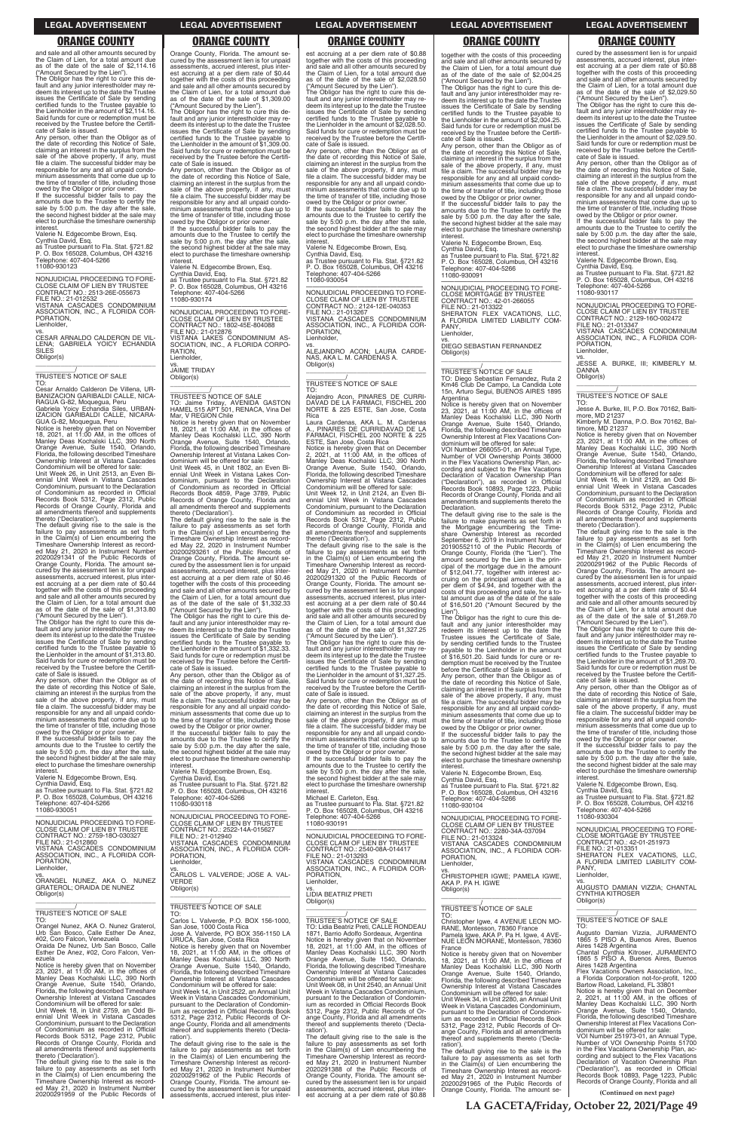and sale and all other amounts secured by the Claim of Lien, for a total amount due as of the date of the sale of \$2,114.16 ("Amount Secured by the Lien").

The Obligor has the right to cure this default and any junior interestholder may redeem its interest up to the date the Trustee issues the Certificate of Sale by sending certified funds to the Trustee payable to the Lienholder in the amount of \$2,114.16. Said funds for cure or redemption must be received by the Trustee before the Certifi-

cate of Sale is issued. Any person, other than the Obligor as of the date of recording this Notice of Sale, claiming an interest in the surplus from the sale of the above property, if any, must file a claim. The successful bidder may be responsible for any and all unpaid condominium assessments that come due up to the time of transfer of title, including those

owed by the Obligor or prior owner. If the successful bidder fails to pay the amounts due to the Trustee to certify the sale by 5:00 p.m. the day after the sale, the second highest bidder at the sale may elect to purchase the timeshare ownership interest.

Valerie N. Edgecombe Brown, Esq.

Cynthia David, Esq. as Trustee pursuant to Fla. Stat. §721.82 P. O. Box 165028, Columbus, OH 43216 Telephone: 407-404-5266 11080-930123

—————————————————— NONJUDICIAL PROCEEDING TO FORE-CLOSE CLAIM OF LIEN BY TRUSTEE CONTRACT NO.: 2513-26E-055673 FILE NO.: 21-012532 VISTANA CASCADES CONDOMINIUM ASSOCIATION, INC., A FLORIDA COR-

PORATION, Lienholder, vs. CESAR ARNALDO CALDERON DE VIL-LENA; GABRIELA YOICY ECHANDIA SILES

Obligor(s)

\_\_\_\_\_\_\_\_\_\_\_/ TRUSTEE'S NOTICE OF SALE

TO: Cesar Arnaldo Calderon De Villena, UR-BANIZACION GARIBALDI CALLE, NICA-RAGUA G-82, Moquegua, Peru Gabriela Yoicy Echandia Siles, URBAN-IZACION GARIBALDI CALLE, NICARA-GUA G-82, Moquegua, Peru

 $\overline{\phantom{a}}$  , and the set of the set of the set of the set of the set of the set of the set of the set of the set of the set of the set of the set of the set of the set of the set of the set of the set of the set of the s

Notice is hereby given that on November 18, 2021, at 11:00 AM, in the offices of Manley Deas Kochalski LLC, 390 North Orange Avenue, Suite 1540, Orlando, Florida, the following described Timeshare Ownership Interest at Vistana Cascades Condominium will be offered for sale:

Unit Week 26, in Unit 2513, an Even Bi-ennial Unit Week in Vistana Cascades Condominium, pursuant to the Declaration of Condominium as recorded in Official Records Book 5312, Page 2312, Public Records of Orange County, Florida and all amendments thereof and supplements thereto ('Declaration').

The default giving rise to the sale is the failure to pay assessments as set forth in the Claim(s) of Lien encumbering the Timeshare Ownership Interest as recorded May 21, 2020 in Instrument Number 20200291341 of the Public Records of Orange County, Florida. The amount se-cured by the assessment lien is for unpaid assessments, accrued interest, plus interest accruing at a per diem rate of \$0.44 together with the costs of this proceeding and sale and all other amounts secured by the Claim of Lien, for a total amount due as of the date of the sale of \$1,313.80 ("Amount Secured by the Lien").

The Obligor has the right to cure this default and any junior interestholder may re-deem its interest up to the date the Trustee issues the Certificate of Sale by sending certified funds to the Trustee payable to the Lienholder in the amount of \$1,313.80. Said funds for cure or redemption must be received by the Trustee before the Certificate of Sale is issued.

Any person, other than the Obligor as of the date of recording this Notice of Sale, claiming an interest in the surplus from the sale of the above property, if any, must file a claim. The successful bidder may be responsible for any and all unpaid condominium assessments that come due up to the time of transfer of title, including those

\_\_\_\_\_\_\_\_\_\_\_/ TRUSTEE'S NOTICE OF SALE TO: Jaime Triday, AVENIDA GASTON HAMEL 515 APT 501, RENACA, Vina Del Mar, V REGION Chile

owed by the Obligor or prior owner. If the successful bidder fails to pay the amounts due to the Trustee to certify the sale by 5:00 p.m. the day after the sale, the second highest bidder at the sale may elect to purchase the timeshare ownership interest.

Valerie N. Edgecombe Brown, Esq.

Cynthia David, Esq. as Trustee pursuant to Fla. Stat. §721.82 P. O. Box 165028, Columbus, OH 43216 Telephone: 407-404-5266 11080-930051

—————————————————— NONJUDICIAL PROCEEDING TO FORE-CLOSE CLAIM OF LIEN BY TRUSTEE

cured by the assessment lien is for unpaid assessments, accrued interest, plus interest accruing at a per diem rate of \$0.44 together with the costs of this proceeding and sale and all other amounts secured by the Claim of Lien, for a total amount due as of the date of the sale of \$1,309.00 ("Amount Secured by the Lien").

The Obligor has the right to cure this de-fault and any junior interestholder may redeem its interest up to the date the Trustee issues the Certificate of Sale by sending certified funds to the Trustee payable to the Lienholder in the amount of \$1,309.00. Said funds for cure or redemption must be received by the Trustee before the Certificate of Sale is issued.

Any person, other than the Obligor as of the date of recording this Notice of Sale, claiming an interest in the surplus from the sale of the above property, if any, must file a claim. The successful bidder may be responsible for any and all unpaid condominium assessments that come due up to the time of transfer of title, including those owed by the Obligor or prior owner.

If the successful bidder fails to pay the amounts due to the Trustee to certify the sale by 5:00 p.m. the day after the sale, the second highest bidder at the sale may elect to purchase the timeshare ownership

interest. Valerie N. Edgecombe Brown, Esq. Cynthia David, Esq. as Trustee pursuant to Fla. Stat. §721.82 P. O. Box 165028, Columbus, OH 43216 Telephone: 407-404-5266 11080-930174

—————————————————— NONJUDICIAL PROCEEDING TO FORE-CLOSE CLAIM OF LIEN BY TRUSTEE CONTRACT NO.: 1802-45E-804088 FILE NO.: 21-012876 VISTANA LAKES CONDOMINIUM AS-SOCIATION, INC., A FLORIDA CORPO-**RATION** Lienholder,

vs. JAIME TRIDAY Obligor(s) \_\_\_\_\_\_\_\_\_\_\_\_\_\_\_\_\_\_\_\_\_\_\_\_\_\_\_\_\_\_\_\_\_

> Any person, other than the Obligor as of the date of recording this Notice of Sale, claiming an interest in the surplus from the sale of the above property, if any, must file a claim. The successful bidder may be responsible for any and all unpaid condo-minium assessments that come due up to the time of transfer of title, including those

Notice is hereby given that on November 18, 2021, at 11:00 AM, in the offices of Manley Deas Kochalski LLC, 390 North Orange Avenue, Suite 1540, Orlando, Florida, the following described Timeshare Ownership Interest at Vistana Lakes Condominium will be offered for sale:

Unit Week 45, in Unit 1802, an Even Biennial Unit Week in Vistana Lakes Condominium, pursuant to the Declaration of Condominium as recorded in Official Records Book 4859, Page 3789, Public Records of Orange County, Florida and all amendments thereof and supplements thereto ('Declaration').

The default giving rise to the sale is the failure to pay assessments as set forth in the Claim(s) of Lien encumbering the Timeshare Ownership Interest as recorded May 22, 2020 in Instrument Number 20200293261 of the Public Records of Orange County, Florida. The amount secured by the assessment lien is for unpaid assessments, accrued interest, plus interest accruing at a per diem rate of \$0.46 together with the costs of this proceeding and sale and all other amounts secured by the Claim of Lien, for a total amount due as of the date of the sale of \$1,332.33 ("Amount Secured by the Lien").

The Obligor has the right to cure this de-fault and any junior interestholder may redeem its interest up to the date the Trustee issues the Certificate of Sale by sending certified funds to the Trustee payable to the Lienholder in the amount of \$1,332.33. Said funds for cure or redemption must be received by the Trustee before the Certificate of Sale is issued.

..<br>PANY Lienholder,

Any person, other than the Obligor as of the date of recording this Notice of Sale, claiming an interest in the surplus from the sale of the above property, if any, must file a claim. The successful bidder may be responsible for any and all unpaid condominium assessments that come due up to the time of transfer of title, including those owed by the Obligor or prior owner.

If the successful bidder fails to pay the amounts due to the Trustee to certify the sale by 5:00 p.m. the day after the sale, the second highest bidder at the sale may elect to purchase the timeshare ownership

interest. Valerie N. Edgecombe Brown, Esq. Cynthia David, Esq. as Trustee pursuant to Fla. Stat. §721.82 P. O. Box 165028, Columbus, OH 43216 Telephone: 407-404-5266 11080-930118

—————————————————— NONJUDICIAL PROCEEDING TO FORE-CLOSE CLAIM OF LIEN BY TRUSTEE CONTRACT NO.: 2522-14A-015627

est accruing at a per diem rate of \$0.88 together with the costs of this proceeding and sale and all other amounts secured by the Claim of Lien, for a total amount due as of the date of the sale of \$2,028.50 ("Amount Secured by the Lien").

The Obligor has the right to cure this de-fault and any junior interestholder may re-deem its interest up to the date the Trustee issues the Certificate of Sale by sending certified funds to the Trustee payable to the Lienholder in the amount of \$2,028.50. Said funds for cure or redemption must be received by the Trustee before the Certificate of Sale is issued. Any person, other than the Obligor as of the date of recording this Notice of Sale,

> owed by the Obligor or prior owner. If the successful bidder fails to pay the amounts due to the Trustee to certify the sale by 5:00 p.m. the day after the sale, the second highest bidder at the sale may elect to purchase the timeshare ownership **interest**

claiming an interest in the surplus from the sale of the above property, if any, must file a claim. The successful bidder may be responsible for any and all unpaid condominium assessments that come due up to the time of transfer of title, including those owed by the Obligor or prior owner. If the successful bidder fails to pay the

amounts due to the Trustee to certify the sale by 5:00 p.m. the day after the sale, the second highest bidder at the sale may elect to purchase the timeshare ownership interest.

Valerie N. Edgecombe Brown, Esq. Cynthia David, Esq. as Trustee pursuant to Fla. Stat. §721.82 P. O. Box 165028, Columbus, OH 43216 Telephone: 407-404-5266 11080-930054

—————————————————— NONJUDICIAL PROCEEDING TO FORE-CLOSE CLAIM OF LIEN BY TRUSTEE CONTRACT NO.: 2124-12E-040353 FILE NO.: 21-013267 VISTANA CASCADES CONDOMINIUM ASSOCIATION, INC., A FLORIDA COR-PORATION, Lienholder,

vs. ALEJANDRO ACON; LAURA CARDE-NAS, AKA L. M. CARDENAS A. Obligor(s) \_\_\_\_\_\_\_\_\_\_\_\_\_\_\_\_\_\_\_\_\_\_\_\_\_\_\_\_\_\_\_\_\_

### \_\_\_\_\_\_\_\_\_\_\_/ TRUSTEE'S NOTICE OF SALE TO:

Alejandro Acon, PINARES DE CURRI-DAVAD DE LA FARMACI, FISCHEL 200 NORTE & 225 ESTE, San Jose, Costa Rica

Laura Cardenas, AKA L. M. Cardenas A., PINARES DE CURRIDAVAD DE LA FARMACI, FISCHEL 200 NORTE & 225 ESTE, San Jose, Costa Rica

Notice is hereby given that on December 2, 2021, at 11:00 AM, in the offices of Manley Deas Kochalski LLC, 390 North Orange Avenue, Suite 1540, Orlando, Florida, the following described Timeshare Ownership Interest at Vistana Cascades Condominium will be offered for sale: Unit Week 12, in Unit 2124, an Even Bi-ennial Unit Week in Vistana Cascades Condominium, pursuant to the Declaration of Condominium as recorded in Official Records Book 5312, Page 2312, Public Records of Orange County, Florida and all amendments thereof and supplements thereto ('Declaration').

The default giving rise to the sale is the failure to pay assessments as set forth<br>Timeshare Ownership Interest as record-<br>Ed May 21, 2020 in Instrument Number<br>20200291320 of the Public Records of Orange County, Florida. The amount se-cured by the assessment lien is for unpaid assessments, accrued interest, plus interest accruing at a per diem rate of \$0.44 together with the costs of this proceeding and sale and all other amounts secured by the Claim of Lien, for a total amount due as of the date of the sale of \$1,327.25

("Amount Secured by the Lien"). The Obligor has the right to cure this default and any junior interestholder may redeem its interest up to the date the Trustee issues the Certificate of Sale by sending certified funds to the Trustee payable to the Lienholder in the amount of \$1,327.25. Said funds for cure or redemption must be received by the Trustee before the Certificate of Sale is issued.

owed by the Obligor or prior owner. If the successful bidder fails to pay the amounts due to the Trustee to certify the sale by 5:00 p.m. the day after the sale, the second highest bidder at the sale may elect to purchase the timeshare ownership interest. Michael E. Carleton, Esq. as Trustee pursuant to Fla. Stat. §721.82 P. O. Box 165028, Columbus, OH 43216

Telephone: 407-404-5266 11080-930191

| CLOSE CLAIM OF LIEN BY TRUSTEE<br>CONTRACT NO.: 2759-180-030327<br>FILE NO.: 21-012860<br>VISTANA CASCADES CONDOMINIUM<br>ASSOCIATION, INC., A FLORIDA COR-<br>PORATION.<br>Lienholder.<br>ORANGEL NUNEZ, AKA O. NUNEZ<br><b>GRATEROL: ORAIDA DE NUNEZ</b><br>Obligor(s)<br>TRUSTEE'S NOTICE OF SALE<br>TO:<br>Orangel Nunez, AKA O. Nunez Graterol,<br>Urb San Bosco, Calle Esther De Anez,<br>#02, Coro Falcon, Venezuela<br>Oraida De Nunez, Urb San Bosco, Calle<br>Esther De Anez, #02, Coro Falcon, Ven-<br>ezuela<br>Notice is hereby given that on November<br>23. 2021. at 11:00 AM, in the offices of<br>Manley Deas Kochalski LLC, 390 North<br>Orange Avenue, Suite 1540, Orlando,<br>Florida, the following described Timeshare<br>Ownership Interest at Vistana Cascades<br>Condominium will be offered for sale:<br>Unit Week 18, in Unit 2759, an Odd Bi-<br>ennial Unit Week in Vistana Cascades<br>Condominium, pursuant to the Declaration<br>of Condominium as recorded in Official<br>Records Book 5312, Page 2312, Public<br>Records of Orange County, Florida and<br>all amendments thereof and supplements<br>thereto ('Declaration').<br>The default giving rise to the sale is the<br>failure to pay assessments as set forth<br>in the Claim(s) of Lien encumbering the | CONTRACT NO.: 2522-14A-015627<br>FILE NO.: 21-012940<br>VISTANA CASCADES CONDOMINIUM<br>ASSOCIATION, INC., A FLORIDA COR-<br>PORATION.<br>Lienholder,<br>VS.<br>CARLOS L. VALVERDE; JOSE A. VAL-<br><b>VERDE</b><br>Obligor(s)<br>TRUSTEE'S NOTICE OF SALE<br>TO:<br>Carlos L. Valverde, P.O. BOX 156-1000.<br>San Jose, 1000 Costa Rica<br>Jose A. Valverde, PO BOX 356-1150 LA<br>URUCA, San Jose, Costa Rica<br>Notice is hereby given that on November<br>18, 2021, at 11:00 AM, in the offices of<br>Manley Deas Kochalski LLC, 390 North<br>Orange Avenue, Suite 1540, Orlando,<br>Florida, the following described Timeshare<br>Ownership Interest at Vistana Cascades<br>Condominium will be offered for sale:<br>Unit Week 14. in Unit 2522, an Annual Unit<br>Week in Vistana Cascades Condominium.<br>pursuant to the Declaration of Condomin-<br>jum as recorded in Official Records Book<br>5312, Page 2312, Public Records of Or-<br>ange County, Florida and all amendments<br>thereof and supplements thereto ('Decla-<br>ration').<br>The default giving rise to the sale is the<br>failure to pay assessments as set forth<br>in the Claim(s) of Lien encumbering the<br>Timeshare Ownership Interest as record-<br>ed May 21, 2020 in Instrument Number<br>20200291962 of the Public Records of | NONJUDICIAL PROCEEDING TO FORE-<br>CLOSE CLAIM OF LIEN BY TRUSTEE<br>CONTRACT NO.: 2540-08A-014417<br>FILE NO.: 21-013293<br>VISTANA CASCADES CONDOMINIUM<br>ASSOCIATION, INC., A FLORIDA COR-<br>PORATION.<br>Lienholder,<br>VS.<br><b>LIDIA BEATRIZ PRETI</b><br>Obligor(s)<br>TRUSTEE'S NOTICE OF SALE<br>TO: Lidia Beatriz Preti, CALLE RONDEAU<br>1871, Barrio Adolfo Sordeaux, Argentina<br>Notice is hereby given that on November<br>18, 2021, at 11:00 AM, in the offices of<br>Manley Deas Kochalski LLC, 390 North<br>Orange Avenue, Suite 1540, Orlando,<br>Florida, the following described Timeshare<br>Ownership Interest at Vistana Cascades<br>Condominium will be offered for sale:<br>Unit Week 08. in Unit 2540, an Annual Unit<br>Week in Vistana Cascades Condominium.<br>pursuant to the Declaration of Condomin-<br>jum as recorded in Official Records Book<br>5312, Page 2312, Public Records of Or-<br>ange County, Florida and all amendments<br>thereof and supplements thereto ('Decla-<br>ration').<br>The default giving rise to the sale is the<br>failure to pay assessments as set forth<br>in the Claim(s) of Lien encumbering the<br>Timeshare Ownership Interest as record-<br>ed May 21, 2020 in Instrument Number<br>2020291388 of the Public Records of<br>Orange County, Florida. The amount se- | CONTRACT NO.: 2280-34A-037094<br>FILE NO.: 21-013324<br>VISTANA CASCADES CONDOMINIUM<br>ASSOCIATION. INC., A FLORIDA COR-<br>PORATION.<br>Lienholder,<br>VS.<br>CHRISTOPHER IGWE: PAMELA IGWE.<br>AKA P. PA H. IGWE<br>Obligor(s)<br>TRUSTEE'S NOTICE OF SALE<br>TO:<br>Christopher Igwe, 4 AVENUE LEON MO-<br>RANE, Montesson, 78360 France<br>Pamela Igwe, AKA P. Pa H. Igwe, 4 AVE-<br>NUE LEON MORANE, Montesson, 78360<br>France<br>Notice is hereby given that on November<br>18, 2021, at $11:00$ AM, in the offices of<br>Manley Deas Kochalski LLC, 390 North<br>Orange Avenue, Suite 1540, Orlando,<br>Florida, the following described Timeshare<br>Ownership Interest at Vistana Cascades<br>Condominium will be offered for sale:<br>Unit Week 34, in Unit 2280, an Annual Unit<br>Week in Vistana Cascades Condominium,<br>pursuant to the Declaration of Condomin-<br>ium as recorded in Official Records Book<br>5312, Page 2312, Public Records of Or-<br>ange County, Florida and all amendments<br>thereof and supplements thereto ('Decla-<br>ration').<br>The default giving rise to the sale is the<br>failure to pay assessments as set forth<br>in the Claim(s) of Lien encumbering the<br>Timeshare Ownership Interest as record- | NONJUDICIAL PROCEEDING TO FORE-<br><b>CLOSE MORTGAGE BY TRUSTEE</b><br>CONTRACT NO.: 42-01-251973<br>FILE NO.: 21-013351<br>SHERATON FLEX VACATIONS. LLC.<br>A FLORIDA LIMITED LIABILITY COM-<br>PANY.<br>Lienholder,<br>VS.<br>AUGUSTO DAMIAN VIZZIA; CHANTAL<br><b>CYNTHIA KITROSER</b><br>Obligor(s)<br>TRUSTEE'S NOTICE OF SALE<br>TO:<br>Augusto Damian Vizzia, JURAMENTO<br>1865 5 PISO A, Buenos Aires, Buenos<br>Aires 1428 Argentina<br>Chantal Cynthia Kitroser, JURAMENTO<br>1865 5 PISO A, Buenos Aires, Buenos<br>Aires 1428 Argentina<br>Flex Vacations Owners Association. Inc<br>a Florida Corporation not-for-profit, 1200<br>Bartow Road, Lakeland, FL 33801<br>Notice is hereby given that on December<br>2, 2021, at 11:00 AM, in the offices of<br>Manley Deas Kochalski LLC, 390 North<br>Orange Avenue, Suite 1540, Orlando,<br>Florida, the following described Timeshare<br>Ownership Interest at Flex Vacations Con-<br>dominium will be offered for sale:<br>VOI Number 251973-01, an Annual Type,<br>Number of VOI Ownership Points 51700<br>in the Flex Vacations Ownership Plan, ac-<br>cording and subject to the Flex Vacations<br>Declaration of Vacation Ownership Plan<br>("Declaration"), as recorded in Official<br>Records Book 10893, Page 1223, Public |
|----------------------------------------------------------------------------------------------------------------------------------------------------------------------------------------------------------------------------------------------------------------------------------------------------------------------------------------------------------------------------------------------------------------------------------------------------------------------------------------------------------------------------------------------------------------------------------------------------------------------------------------------------------------------------------------------------------------------------------------------------------------------------------------------------------------------------------------------------------------------------------------------------------------------------------------------------------------------------------------------------------------------------------------------------------------------------------------------------------------------------------------------------------------------------------------------------------------------------------------------------------------------------------------------------|--------------------------------------------------------------------------------------------------------------------------------------------------------------------------------------------------------------------------------------------------------------------------------------------------------------------------------------------------------------------------------------------------------------------------------------------------------------------------------------------------------------------------------------------------------------------------------------------------------------------------------------------------------------------------------------------------------------------------------------------------------------------------------------------------------------------------------------------------------------------------------------------------------------------------------------------------------------------------------------------------------------------------------------------------------------------------------------------------------------------------------------------------------------------------------------------------------------------------------------------------------------------------------------------------------------------|--------------------------------------------------------------------------------------------------------------------------------------------------------------------------------------------------------------------------------------------------------------------------------------------------------------------------------------------------------------------------------------------------------------------------------------------------------------------------------------------------------------------------------------------------------------------------------------------------------------------------------------------------------------------------------------------------------------------------------------------------------------------------------------------------------------------------------------------------------------------------------------------------------------------------------------------------------------------------------------------------------------------------------------------------------------------------------------------------------------------------------------------------------------------------------------------------------------------------------------------------------------------------------------------------------------------------------------------|------------------------------------------------------------------------------------------------------------------------------------------------------------------------------------------------------------------------------------------------------------------------------------------------------------------------------------------------------------------------------------------------------------------------------------------------------------------------------------------------------------------------------------------------------------------------------------------------------------------------------------------------------------------------------------------------------------------------------------------------------------------------------------------------------------------------------------------------------------------------------------------------------------------------------------------------------------------------------------------------------------------------------------------------------------------------------------------------------------------------------------------------------------------------------------------------------------------------------------------------------------|------------------------------------------------------------------------------------------------------------------------------------------------------------------------------------------------------------------------------------------------------------------------------------------------------------------------------------------------------------------------------------------------------------------------------------------------------------------------------------------------------------------------------------------------------------------------------------------------------------------------------------------------------------------------------------------------------------------------------------------------------------------------------------------------------------------------------------------------------------------------------------------------------------------------------------------------------------------------------------------------------------------------------------------------------------------------------------------------------------------------------------------------------------------------------------------------------------------------------------------------------------------------------------------------|
| Timeshare Ownership Interest as record-<br>ed May 21, 2020 in Instrument Number<br>20200291959 of the Public Records of                                                                                                                                                                                                                                                                                                                                                                                                                                                                                                                                                                                                                                                                                                                                                                                                                                                                                                                                                                                                                                                                                                                                                                            | Orange County, Florida. The amount se-<br>cured by the assessment lien is for unpaid<br>assessments, accrued interest, plus inter-                                                                                                                                                                                                                                                                                                                                                                                                                                                                                                                                                                                                                                                                                                                                                                                                                                                                                                                                                                                                                                                                                                                                                                                 | cured by the assessment lien is for unpaid<br>assessments, accrued interest, plus inter-<br>est accruing at a per diem rate of \$0.88                                                                                                                                                                                                                                                                                                                                                                                                                                                                                                                                                                                                                                                                                                                                                                                                                                                                                                                                                                                                                                                                                                                                                                                                      | ed May 21, 2020 in Instrument Number<br>20200291965 of the Public Records of<br>Orange County, Florida. The amount se-                                                                                                                                                                                                                                                                                                                                                                                                                                                                                                                                                                                                                                                                                                                                                                                                                                                                                                                                                                                                                                                                                                                                     | Records of Orange County, Florida and all<br>(Continued on next page)                                                                                                                                                                                                                                                                                                                                                                                                                                                                                                                                                                                                                                                                                                                                                                                                                                                                                                                                                                                                                                                                                                                                                                                                                          |

# Orange County, Florida. The amount se-**ORANGE COUNTY ORANGE COUNTY ORANGE COUNTY ORANGE COUNTY ORANGE COUNTY**

together with the costs of this proceeding and sale and all other amounts secured by the Claim of Lien, for a total amount due as of the date of the sale of \$2,004.25 ("Amount Secured by the Lien").

The Obligor has the right to cure this de-fault and any junior interestholder may re-deem its interest up to the date the Trustee

issues the Certificate of Sale by sending certified funds to the Trustee payable to the Lienholder in the amount of \$2,004.25. Said funds for cure or redemption must be received by the Trustee before the Certifi-

cate of Sale is issued.

**interest** 

Any person, other than the Obligor as of the date of recording this Notice of Sale, claiming an interest in the surplus from the

sale of the above property, if any, must file a claim. The successful bidder may be responsible for any and all unpaid condo-

minium assessments that come due up to the time of transfer of title, including those owed by the Obligor or prior owner.

If the successful bidder fails to pay the amounts due to the Trustee to certify the sale by 5:00 p.m. the day after the sale, the second highest bidder at the sale may elect to purchase the timeshare ownership

Valerie N. Edgecombe Brown, Esq. Cynthia David, Esq. as Trustee pursuant to Fla. Stat. §721.82

P. O. Box 165028, Columbus, OH 43216 Telephone: 407-404-5266 11080-930091

—————————————————— NONJUDICIAL PROCEEDING TO FORE-CLOSE MORTGAGE BY TRUSTEE CONTRACT NO.: 42-01-266055 FILE NO.: 21-013322 SHERATON FLEX VACATIONS, LLC, A FLORIDA LIMITED LIABILITY COM-

vs. DIEGO SEBASTIAN FERNANDEZ

Obligor(s)

Argentina<br>Notice is h

\_\_\_\_\_\_\_\_\_\_\_\_\_\_\_\_\_\_\_\_\_\_\_\_\_\_\_\_\_\_\_\_\_ \_\_\_\_\_\_\_\_\_\_\_/ TRUSTEE'S NOTICE OF SALE

TO: Diego Sebastian Fernandez, Ruta 2 Km46 Club De Campo, La Candida Lote 15n, Arturo Segui, BUENOS AIRES 1895

Notice is hereby given that on November 23, 2021, at 11:00 AM, in the offices of Manley Deas Kochalski LLC, 390 North Orange Avenue, Suite 1540, Orlando, Florida, the following described Timeshare

Ownership Interest at Flex Vacations Con-dominium will be offered for sale: VOI Number 266055-01, an Annual Type,

Number of VOI Ownership Points 38000 in the Flex Vacations Ownership Plan, ac-cording and subject to the Flex Vacations

Declaration of Vacation Ownership Plan ("Declaration"), as recorded in Official Records Book 10893, Page 1223, Public Records of Orange County, Florida and all amendments and supplements thereto the

Declaration.

The default giving rise to the sale is the failure to make payments as set forth in the Mortgage encumbering the Time-

share Ownership Interest as recorded September 6, 2019 in Instrument Number 20190552110 of the Public Records of

Orange County, Florida (the "Lien"). The amount secured by the Lien is the prin-cipal of the mortgage due in the amount

of \$12,041.77, together with interest ac-cruing on the principal amount due at a per diem of \$4.94, and together with the

costs of this proceeding and sale, for a to-tal amount due as of the date of the sale of \$16,501.20 ("Amount Secured by the Lien"). The Obligor has the right to cure this default and any junior interestholder may redeem its interest up to the date the Trustee issues the Certificate of Sale, by sending certified funds to the Trustee payable to the Lienholder in the amount of \$16,501.20. Said funds for cure or redemption must be received by the Trustee before the Certificate of Sale is issued. Any person, other than the Obligor as of the date of recording this Notice of Sale, claiming an interest in the surplus from the sale of the above property, if any, must file a claim. The successful bidder may be

responsible for any and all unpaid condo-minium assessments that come due up to the time of transfer of title, including those

owed by the Obligor or prior owner. If the successful bidder fails to pay the amounts due to the Trustee to certify the

sale by 5:00 p.m. the day after the sale, the second highest bidder at the sale may elect to purchase the timeshare ownership

Valerie N. Edgecombe Brown, Esq. Cynthia David, Esq.

as Trustee pursuant to Fla. Stat. §721.82 P. O. Box 165028, Columbus, OH 43216 Telephone: 407-404-5266 11080-930104

**interest** 

—————————————————— NONJUDICIAL PROCEEDING TO FORE-CLOSE CLAIM OF LIEN BY TRUSTEE CONTRACT NO.: 2280-34A-037094

cured by the assessment lien is for unpaid assessments, accrued interest, plus inter-est accruing at a per diem rate of \$0.88 together with the costs of this proceeding and sale and all other amounts secured by the Claim of Lien, for a total amount due as of the date of the sale of \$2,029.50

("Amount Secured by the Lien"). The Obligor has the right to cure this de-fault and any junior interestholder may redeem its interest up to the date the Trustee issues the Certificate of Sale by sending certified funds to the Trustee payable to the Lienholder in the amount of \$2,029.50. Said funds for cure or redemption must be received by the Trustee before the Certifi-

cate of Sale is issued. Any person, other than the Obligor as of the date of recording this Notice of Sale, claiming an interest in the surplus from the sale of the above property, if any, must file a claim. The successful bidder may be responsible for any and all unpaid condo-minium assessments that come due up to the time of transfer of title, including those

Valerie N. Edgecombe Brown, Esq.

Cynthia David, Esq.

as Trustee pursuant to Fla. Stat. §721.82 P. O. Box 165028, Columbus, OH 43216 Telephone: 407-404-5266 11080-930117

—————————————————— NONJUDICIAL PROCEEDING TO FORE-CLOSE CLAIM OF LIEN BY TRUSTEE CONTRACT NO.: 2129-16O-002472 FILE NO.: 21-013347 VISTANA CASCADES CONDOMINIUM ASSOCIATION, INC., A FLORIDA COR-PORATION,

Lienholder,

vs. JESSE A. BURKE, III; KIMBERLY M. DANNA Obligor(s) \_\_\_\_\_\_\_\_\_\_\_\_\_\_\_\_\_\_\_\_\_\_\_\_\_\_\_\_\_\_\_\_\_

\_\_\_\_\_\_\_\_\_\_\_/ TRUSTEE'S NOTICE OF SALE

TO: Jesse A. Burke, III, P.O. Box 70162, Balti-

more, MD 21237 Kimberly M. Danna, P.O. Box 70162, Baltimore, MD 21237

Notice is hereby given that on November 23, 2021, at 11:00 AM, in the offices of Manley Deas Kochalski LLC, 390 North Orange Avenue, Suite 1540, Orlando, Florida, the following described Timeshare Ownership Interest at Vistana Cascades Condominium will be offered for sale: Unit Week 16, in Unit 2129, an Odd Bi-

ennial Unit Week in Vistana Cascades Condominium, pursuant to the Declaration of Condominium as recorded in Official Records Book 5312, Page 2312, Public Records of Orange County, Florida and all amendments thereof and supplements

thereto ('Declaration'). The default giving rise to the sale is the failure to pay assessments as set forth in the Claim(s) of Lien encumbering the Timeshare Ownership Interest as record-ed May 21, 2020 in Instrument Number 20200291962 of the Public Records of Orange County, Florida. The amount se-cured by the assessment lien is for unpaid assessments, accrued interest, plus inter-est accruing at a per diem rate of \$0.44 together with the costs of this proceeding and sale and all other amounts secured by the Claim of Lien, for a total amount due as of the date of the sale of \$1,269.70

("Amount Secured by the Lien"). The Obligor has the right to cure this de-fault and any junior interestholder may redeem its interest up to the date the Trustee issues the Certificate of Sale by sending certified funds to the Trustee payable to the Lienholder in the amount of \$1,269.70. Said funds for cure or redemption must be received by the Trustee before the Certifi-

cate of Sale is issued. Any person, other than the Obligor as of the date of recording this Notice of Sale, claiming an interest in the surplus from the sale of the above property, if any, must file a claim. The successful bidder may be responsible for any and all unpaid condo-minium assessments that come due up to the time of transfer of title, including those

owed by the Obligor or prior owner. If the successful bidder fails to pay the amounts due to the Trustee to certify the sale by 5:00 p.m. the day after the sale, the second highest bidder at the sale may elect to purchase the timeshare ownership interest.

Valerie N. Edgecombe Brown, Esq. Cynthia David, Esq.

as Trustee pursuant to Fla. Stat. §721.82 P. O. Box 165028, Columbus, OH 43216 Telephone: 407-404-5266 11080-930304

—————————————————— NONJUDICIAL PROCEEDING TO FORE-

**LA GACETA/Friday, October 22, 2021/Page 49**

### **LEGAL ADVERTISEMENT LEGAL ADVERTISEMENT LEGAL ADVERTISEMENT LEGAL ADVERTISEMENT LEGAL ADVERTISEMENT**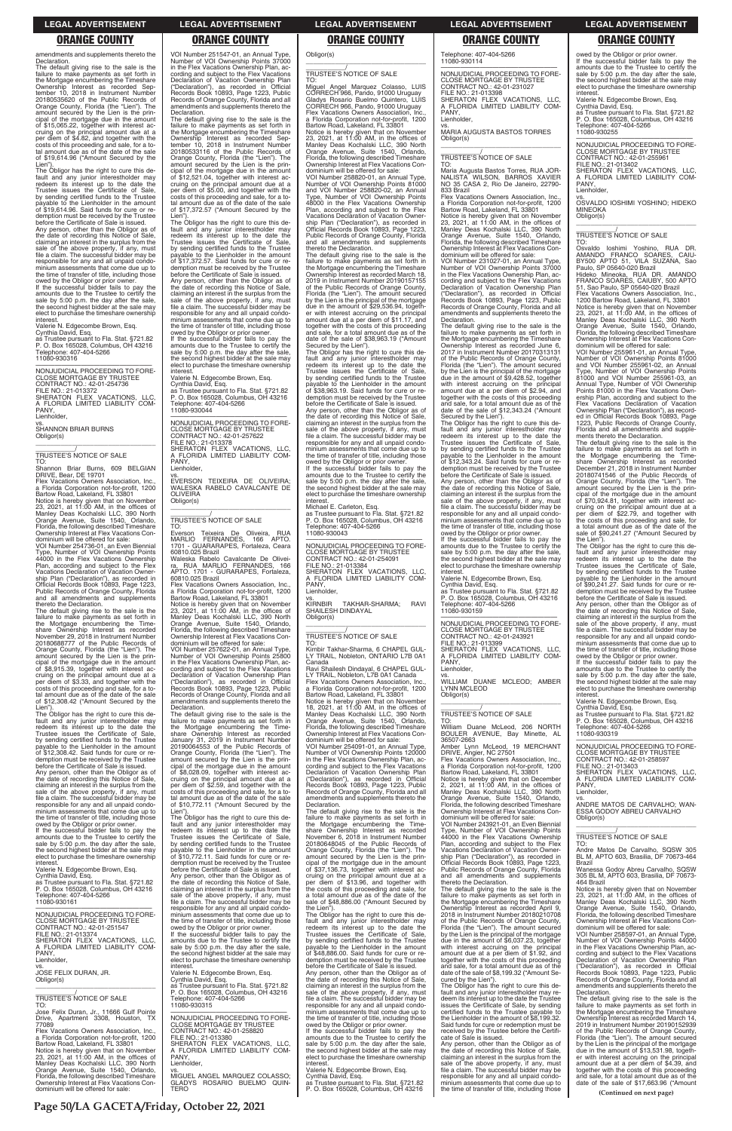**Page 50/LA GACETA/Friday, October 22, 2021**

The default giving rise to the sale is the failure to make payments as set forth in the Mortgage encumbering the Timeshare Ownership Interest as recorded Sep-tember 10, 2018 in Instrument Number 20180535620 of the Public Records of Orange County, Florida (the "Lien"). The amount secured by the Lien is the prin-cipal of the mortgage due in the amount of \$15,065.22, together with interest ac-cruing on the principal amount due at a per diem of \$4.82, and together with the costs of this proceeding and sale, for a to-tal amount due as of the date of the sale of \$19,614.96 ("Amount Secured by the Lien")

amendments and supplements thereto the Declaration.

The Obligor has the right to cure this de-fault and any junior interestholder may redeem its interest up to the date the Trustee issues the Certificate of Sale, by sending certified funds to the Trustee payable to the Lienholder in the amount of \$19,614.96. Said funds for cure or redemption must be received by the Trustee before the Certificate of Sale is issued.

Any person, other than the Obligor as of the date of recording this Notice of Sale, claiming an interest in the surplus from the sale of the above property, if any, must file a claim. The successful bidder may be responsible for any and all unpaid condominium assessments that come due up to the time of transfer of title, including those

Notice is hereby given that on November<br>23, 2021, at 11:00 AM, in the offices of<br>Manley Deas Kochalski LLC, 390 North<br>Orange Avenue, Suite 1540, Orlando,<br>Florida, the following described Timeshare Ownership Interest at Flex Vacations Con-

The default giving rise to the sale is the failure to make payments as set forth in the Mortgage encumbering the Timeshare Ownership Interest as recorded<br>November 29, 2018 in Instrument Number<br>20180688777 of the Public Records of<br>Orange County, Florida (the "Lien"). The<br>amount secured by the Lien is the prin-<br>cipal of the mortgage due in of \$8,915.39, together with interest ac-cruing on the principal amount due at a per diem of \$3.33, and together with the costs of this proceeding and sale, for a to-tal amount due as of the date of the sale of \$12,308.42 ("Amount Secured by the Lien")

owed by the Obligor or prior owner. If the successful bidder fails to pay the amounts due to the Trustee to certify the sale by 5:00 p.m. the day after the sale, the second highest bidder at the sale may elect to purchase the timeshare ownership interest.

Valerie N. Edgecombe Brown, Esq. Cynthia David, Esq. as Trustee pursuant to Fla. Stat. §721.82 P. O. Box 165028, Columbus, OH 43216 Telephone: 407-404-5266 11080-930316

—————————————————— NONJUDICIAL PROCEEDING TO FORE-CLOSE MORTGAGE BY TRUSTEE CONTRACT NO.: 42-01-254736 FILE NO.: 21-013372 SHERATON FLEX VACATIONS, LLC, A FLORIDA LIMITED LIABILITY COM-PANY, Lienholder,

vs. SHANNON BRIAR BURNS Obligor(s)

# \_\_\_\_\_\_\_\_\_\_\_/ TRUSTEE'S NOTICE OF SALE

TO: Shannon Briar Burns, 609 BELGIAN DRIVE, Bear, DE 19701

 $\overline{\phantom{a}}$  , and the set of the set of the set of the set of the set of the set of the set of the set of the set of the set of the set of the set of the set of the set of the set of the set of the set of the set of the s

Flex Vacations Owners Association, Inc., a Florida Corporation not-for-profit, 1200 Bartow Road, Lakeland, FL 33801

VOI Number 251547-01, an Annual Type, Number of VOI Ownership Points 37000 in the Flex Vacations Ownership Plan, according and subject to the Flex Vacations Declaration of Vacation Ownership Plan ("Declaration"), as recorded in Official Records Book 10893, Page 1223, Public Records of Orange County, Florida and all amendments and supplements thereto the **Declaration** 

dominium will be offered for sale: VOI Number 254736-01, an Even Biennial Type, Number of VOI Ownership Points 44000 in the Flex Vacations Ownership Plan, according and subject to the Flex Vacations Declaration of Vacation Ownership Plan ("Declaration"), as recorded in Official Records Book 10893, Page 1223, Public Records of Orange County, Florida and all amendments and supplements thereto the Declaration.

The Obligor has the right to cure this de-fault and any junior interestholder may redeem its interest up to the date the Trustee issues the Certificate of Sale, by sending certified funds to the Trustee payable to the Lienholder in the amount of \$12,308.42. Said funds for cure or re-demption must be received by the Trustee before the Certificate of Sale is issued.

### TO:<br>Everson Everson Teixeira De Oliveira, RUA MARLIO FERNANDES, 166 APTO. 1701 - GUARARAPES, Fortaleza, Ceara 60810.025 Brazil

Any person, other than the Obligor as of the date of recording this Notice of Sale, claiming an interest in the surplus from the sale of the above property, if any, must file a claim. The successful bidder may be responsible for any and all unpaid condominium assessments that come due up to the time of transfer of title, including those owed by the Obligor or prior owner.

**Flex Vacations Owners Association, Inc.** a Florida Corporation not-for-profit, 1200

The default giving rise to the sale is the failure to make payments as set forth in the Mortgage encumbering the Timeshare Ownership Interest as recorded Sep-Ownership Interest as recorded September 10, 2018 in Instrument Number 20180533116 of the Public Records of Orange County, Florida (the "Lien"). The amount secured by the Lien is the principal of the mortgage due in the amount of \$12,521.04, together with interest accruing on the principal amount due at a per diem of \$5.00, and together with the costs of this proceeding and sale, for a total amount due as of the date of the sale of \$17,372.57 ("Amount Secured by the Lien").

> amounts due to the Trustee to certify the sale by 5:00 p.m. the day after the sale, the second highest bidder at the sale may elect to purchase the timeshare ownership interest

The Obligor has the right to cure this de-fault and any junior interestholder may redeem its interest up to the date the Trustee issues the Certificate of Sale, by sending certified funds to the Trustee payable to the Lienholder in the amount of \$17,372.57. Said funds for cure or redemption must be received by the Trustee before the Certificate of Sale is issued. Any person, other than the Obligor as of the date of recording this Notice of Sale, claiming an interest in the surplus from the sale of the above property, if any, must file a claim. The successful bidder may be responsible for any and all unpaid condominium assessments that come due up to the time of transfer of title, including those owed by the Obligor or prior owner. If the successful bidder fails to pay the amounts due to the Trustee to certify the sale by 5:00 p.m. the day after the sale, the second highest bidder at the sale may elect to purchase the timeshare ownership

interest. Valerie N. Edgecombe Brown, Esq.

Cynthia David, Esq. as Trustee pursuant to Fla. Stat. §721.82 P. O. Box 165028, Columbus, OH 43216 Telephone: 407-404-5266 11080-930044

—————————————————— NONJUDICIAL PROCEEDING TO FORE-CLOSE MORTGAGE BY TRUSTEE CONTRACT NO.: 42-01-257622 FILE NO.: 21-013378 SHERATON FLEX VACATIONS, LLC, A FLORIDA LIMITED LIABILITY COM-PANY, Lienholder,

vs. EVERSON TEIXEIRA DE OLIVEIRA; WALESKA RABELO CAVALCANTE DE **OLIVEIRA** Obligor(s) \_\_\_\_\_\_\_\_\_\_\_\_\_\_\_\_\_\_\_\_\_\_\_\_\_\_\_\_\_\_\_\_\_

\_\_\_\_\_\_\_\_\_\_\_/ TRUSTEE'S NOTICE OF SALE

Waleska Rabelo Cavalcante De Oliveira, RUA MARLIO FERNANDES, 166 APTO. 1701 - GURARAPES, Fortaleza, 60810.025 Brazil

Bartow Road, Lakeland, FL 33801 Notice is hereby given that on November 23, 2021, at 11:00 AM, in the offices of Manley Deas Kochalski LLC, 390 North Orange Avenue, Suite 1540, Orlando, Florida, the following described Timeshare Ownership Interest at Flex Vacations Con-dominium will be offered for sale:

Maria Augusta Bastos Torres, RUA JOR-NALISTA WILSON, BARROS XAVIER NALISTA WILSON, BARROS XAVIER<br>NO 35 CASA 2, Rio De Janeiro, 22790-

Flex Vacations Owners Association, a Florida Corporation not-for-profit, 1200 Bartow Road, Lakeland, FL 33801

VOI Number 257622-01, an Annual Type, Number of VOI Ownership Points 25800 in the Flex Vacations Ownership Plan, according and subject to the Flex Vacations Declaration of Vacation Ownership Plan ("Declaration"), as recorded in Official Records Book 10893, Page 1223, Public Records of Orange County, Florida and all amendments and supplements thereto the Declaration.

The default giving rise to the sale is the failure to make payments as set forth in the Mortgage encumbering the Timeshare Ownership Interest as recorded January 31, 2019 in Instrument Number 20190064553 of the Public Records of Orange County, Florida (the "Lien"). The amount secured by the Lien is the principal of the mortgage due in the amount of \$8,028.09, together with interest ac-cruing on the principal amount due at a per diem of \$2.59, and together with the costs of this proceeding and sale, for a to-tal amount due as of the date of the sale of \$10,772.11 ("Amount Secured by the Lien") Lien"). The Obligor has the right to cure this de-

fault and any junior interestholder may

Obligor(s) \_\_\_\_\_\_\_\_\_\_\_\_\_\_\_\_\_\_\_\_\_\_\_\_\_\_\_\_\_\_\_\_\_

\_\_\_\_\_\_\_\_\_\_\_/ TRUSTEE'S NOTICE OF SALE

owed by the Obligor or prior owner. If the successful bidder fails to pay the amounts due to the Trustee to certify the sale by 5:00 p.m. the day after the sale, the second highest bidder at the sale may elect to purchase the timeshare ownership interest

TO: Miguel Angel Marquez Colasso, LUIS CORRECH 966, Pando, 91000 Uruguay Gladys Rosario Buelmo Quintero, LUIS CORRECH 966, Pando, 91000 Uruguay Flex Vacations Owners Association, Inc., a Florida Corporation not-for-profit, 1200

Bartow Road, Lakeland, FL 33801 Notice is hereby given that on November 23, 2021, at 11:00 AM, in the offices of Manley Deas Kochalski LLC, 390 North Orange Avenue, Suite 1540, Orlando, Florida, the following described Timeshare Ownership Interest at Flex Vacations Condominium will be offered for sale: VOI Number 258820-01, an Annual Type,

Number of VOI Ownership Points 81000 and VOI Number 258820-02, an Annual Type, Number of VOI Ownership Points 48000 in the Flex Vacations Ownership Plan, according and subject to the Flex Vacations Declaration of Vacation Ownership Plan ("Declaration"), as recorded in Official Records Book 10893, Page 1223, Public Records of Orange County, Florida and all amendments and supplements thereto the Declaration.

The default giving rise to the sale is the failure to make payments as set forth in the Mortgage encumbering the Timeshare Ownership Interest as recorded March 18, 2019 in Instrument Number 20190157155 of the Public Records of Orange County, Florida (the "Lien"). The amount secured by the Lien is the principal of the mortgage due in the amount of \$29,536.94, togeth-er with interest accruing on the principal amount due at a per diem of \$11.17, and together with the costs of this proceeding and sale, for a total amount due as of the date of the sale of \$38,963.19 ("Amount Secured by the Lien"). The Obligor has the right to cure this de-

> owed by the Obligor or prior owner. If the successful bidder fails to pay the amounts due to the Trustee to certify the sale by 5:00 p.m. the day after the sale, the second highest bidder at the sale may elect to purchase the timeshare ownership **interest**

fault and any junior interestholder may redeem its interest up to the date the Trustee issues the Certificate of Sale, by sending certified funds to the Trustee payable to the Lienholder in the amount of \$38,963.19. Said funds for cure or redemption must be received by the Trustee before the Certificate of Sale is issued. Any person, other than the Obligor as of

> vs. ANDRE MATOS DE CARVALHO; WAN-ESSA GODOY ABREU CARVALHO Obligor(s)

the date of recording this Notice of Sale, claiming an interest in the surplus from the sale of the above property, if any, must file a claim. The successful bidder may be responsible for any and all unpaid condo-minium assessments that come due up to the time of transfer of title, including those owed by the Obligor or prior owner. If the successful bidder fails to pay the

Michael E. Carleton, Esq.

as Trustee pursuant to Fla. Stat. §721.82 P. O. Box 165028, Columbus, OH 43216 Telephone: 407-404-5266 11080-930043

—————————————————— NONJUDICIAL PROCEEDING TO FORE-CLOSE MORTGAGE BY TRUSTEE CONTRACT NO.: 42-01-254091 FILE NO.: 21-013384 SHERATON FLEX VACATIONS, LLC, A FLORIDA LIMITED LIABILITY COM-PANY Lienholder,

vs. KIRNBIR TAKHAR-SHARMA; RAVI SHAILESH DINDAYAL Obligor(s) \_\_\_\_\_\_\_\_\_\_\_\_\_\_\_\_\_\_\_\_\_\_\_\_\_\_\_\_\_\_\_\_\_

\_\_\_\_\_\_\_\_\_\_\_/ TRUSTEE'S NOTICE OF SALE

TO: Kirnbir Takhar-Sharma, 6 CHAPEL GUL-LY TRAIL, Nobleton, ONTARIO L7B 0A1 Canada

Ravi Shailesh Dindayal, 6 CHAPEL GUL-LY TRAIL, Nobleton, L7B 0A1 Canada Flex Vacations Owners Association, Inc., a Florida Corporation not-for-profit, 1200

Bartow Road, Lakeland, FL 33801 Notice is hereby given that on November 18, 2021, at 11:00 AM, in the offices of Manley Deas Kochalski LLC, 390 North Orange Avenue, Suite 1540, Orlando, Florida, the following described Timeshare Ownership Interest at Flex Vacations Condominium will be offered for sale:

VOI Number 254091-01, an Annual Type, Number of VOI Ownership Points 120000 in the Flex Vacations Ownership Plan, according and subject to the Flex Vacations Declaration of Vacation Ownership Plan ("Declaration"), as recorded in Official Records Book 10893, Page 1223, Public Records of Orange County, Florida and all amendments and supplements thereto the Declaration.

The default giving rise to the sale is the failure to make payments as set forth in the Mortgage encumbering the Time-

| If the successful bidder fails to pay the  | redeem its interest up to the date the         | share Ownership Interest as recorded           | Type, Number of VOI Ownership Points           |                                              |
|--------------------------------------------|------------------------------------------------|------------------------------------------------|------------------------------------------------|----------------------------------------------|
| amounts due to the Trustee to certify the  | Trustee issues the Certificate of Sale.        | November 6, 2018 in Instrument Number          | 44000 in the Flex Vacations Ownership          | TRUSTEE'S NOTICE OF SALE                     |
| sale by 5:00 p.m. the day after the sale,  | by sending certified funds to the Trustee      | 20180648045 of the Public Records of           | Plan, according and subject to the Flex        | TO:                                          |
| the second highest bidder at the sale may  | payable to the Lienholder in the amount        | Orange County, Florida (the "Lien"). The       | Vacations Declaration of Vacation Owner-       | Andre Matos De Carvalho, SQSW 305            |
| elect to purchase the timeshare ownership  | of \$10.772.11. Said funds for cure or re-     | amount secured by the Lien is the prin-        | ship Plan ("Declaration"), as recorded in      | BL M, APTO 603, Brasilia, DF 70673-464       |
| interest.                                  | demption must be received by the Trustee       | cipal of the mortgage due in the amount        | Official Records Book 10893, Page 1223,        | Brazil                                       |
| Valerie N. Edgecombe Brown, Esg.           | before the Certificate of Sale is issued.      | of \$37,136.73, together with interest ac-     | Public Records of Orange County, Florida       | Wanessa Godoy Abreu Carvalho, SQSW           |
| Cynthia David, Esg.                        | Any person, other than the Obligor as of       | cruing on the principal amount due at a        | and all amendments and supplements             | 305 BL M, APTO 603, Brasilia, DF 70673-      |
| as Trustee pursuant to Fla. Stat. §721.82  | the date of recording this Notice of Sale.     | per diem of \$13.96, and together with         | thereto the Declaration.                       | 464 Brazil                                   |
| P. O. Box 165028, Columbus, OH 43216       | claiming an interest in the surplus from the   | the costs of this proceeding and sale, for     | The default giving rise to the sale is the     | Notice is hereby given that on November      |
| Telephone: 407-404-5266                    | sale of the above property, if any, must       | a total amount due as of the date of the       | failure to make payments as set forth in       | 23, 2021, at 11:00 AM, in the offices of     |
| 11080-930161                               | file a claim. The successful bidder may be     | sale of \$48,886.00 ("Amount Secured by        | the Mortgage encumbering the Timeshare         | Manley Deas Kochalski LLC, 390 North         |
|                                            | responsible for any and all unpaid condo-      | the Lien").                                    | Ownership Interest as recorded April 9,        | Orange Avenue, Suite 1540, Orlando,          |
| NONJUDICIAL PROCEEDING TO FORE-            | minium assessments that come due up to         | The Obligor has the right to cure this de-     | 2018 in Instrument Number 20180210708          | Florida, the following described Timeshare   |
| <b>CLOSE MORTGAGE BY TRUSTEE</b>           | the time of transfer of title, including those | fault and any junior interestholder may        | of the Public Records of Orange County,        | Ownership Interest at Flex Vacations Con-    |
| CONTRACT NO.: 42-01-251547                 | owed by the Obligor or prior owner.            | redeem its interest up to the date the         | Florida (the "Lien"). The amount secured       | dominium will be offered for sale:           |
| FILE NO.: 21-013374                        | If the successful bidder fails to pay the      | Trustee issues the Certificate of Sale.        | by the Lien is the principal of the mortgage   | VOI Number 258597-01, an Annual Type,        |
| SHERATON FLEX VACATIONS. LLC.              | amounts due to the Trustee to certify the      | by sending certified funds to the Trustee      | due in the amount of \$6,037.23, together      | Number of VOI Ownership Points 44000         |
| A FLORIDA LIMITED LIABILITY COM-           | sale by 5:00 p.m. the day after the sale,      | pavable to the Lienholder in the amount        | with interest accruing on the principal        | in the Flex Vacations Ownership Plan. ac-    |
| PANY.                                      | the second highest bidder at the sale may      | of \$48,886.00. Said funds for cure or re-     | amount due at a per diem of \$1.92, and        | cording and subject to the Flex Vacations    |
| Lienholder,                                | elect to purchase the timeshare ownership      | demption must be received by the Trustee       | together with the costs of this proceeding     | Declaration of Vacation Ownership Plan       |
| VS.                                        | interest.                                      | before the Certificate of Sale is issued.      | and sale, for a total amount due as of the     | ("Declaration"), as recorded in Official     |
| JOSE FELIX DURAN, JR.                      | Valerie N. Edgecombe Brown, Esg.               | Any person, other than the Obligor as of       | date of the sale of \$8,199.32 ("Amount Se-    | Records Book 10893, Page 1223, Public        |
| Obligor(s)                                 | Cynthia David, Esq.                            | the date of recording this Notice of Sale,     | cured by the Lien").                           | Records of Orange County, Florida and all    |
|                                            | as Trustee pursuant to Fla. Stat. §721.82      | claiming an interest in the surplus from the   | The Obligor has the right to cure this de-     | amendments and supplements thereto the       |
|                                            | P. O. Box 165028, Columbus, OH 43216           | sale of the above property, if any, must       | fault and any junior interestholder may re-    | Declaration.                                 |
| TRUSTEE'S NOTICE OF SALE                   | Telephone: 407-404-5266                        | file a claim. The successful bidder may be     | deem its interest up to the date the Trustee   | The default giving rise to the sale is the   |
| TO:                                        | 11080-930315                                   | responsible for any and all unpaid condo-      | issues the Certificate of Sale, by sending     | failure to make payments as set forth in     |
| Jose Felix Duran, Jr., 11666 Gulf Pointe   |                                                | minium assessments that come due up to         | certified funds to the Trustee payable to      | the Mortgage encumbering the Timeshare       |
| Drive, Apartment 3308, Houston, TX         | NONJUDICIAL PROCEEDING TO FORE-                | the time of transfer of title, including those | the Lienholder in the amount of \$8,199.32.    | Ownership Interest as recorded March 14,     |
| 77089                                      | <b>CLOSE MORTGAGE BY TRUSTEE</b>               | owed by the Obligor or prior owner.            | Said funds for cure or redemption must be      | 2019 in Instrument Number 20190152939        |
| Flex Vacations Owners Association, Inc.,   | CONTRACT NO.: 42-01-258820                     | If the successful bidder fails to pay the      | received by the Trustee before the Certifi-    | of the Public Records of Orange County,      |
| a Florida Corporation not-for-profit, 1200 | FILE NO.: 21-013380                            | amounts due to the Trustee to certify the      | cate of Sale is issued.                        | Florida (the "Lien"). The amount secured     |
| Bartow Road, Lakeland, FL 33801            | SHERATON FLEX VACATIONS. LLC.                  | sale by 5:00 p.m. the day after the sale,      | Any person, other than the Obligor as of       | by the Lien is the principal of the mortgage |
| Notice is hereby given that on November    | A FLORIDA LIMITED LIABILITY COM-               | the second highest bidder at the sale may      | the date of recording this Notice of Sale,     | due in the amount of \$13,531.98, togeth-    |
| 23, 2021, at 11:00 AM, in the offices of   | PANY.                                          | elect to purchase the timeshare ownership      | claiming an interest in the surplus from the   | er with interest accruing on the principal   |
| Manley Deas Kochalski LLC, 390 North       | Lienholder,                                    | interest.                                      | sale of the above property, if any, must       | amount due at a per diem of \$4.39, and      |
| Orange Avenue, Suite 1540, Orlando,        | VS.                                            | Valerie N. Edgecombe Brown, Esq.               | file a claim. The successful bidder may be     | together with the costs of this proceeding   |
| Florida, the following described Timeshare | MIGUEL ANGEL MARQUEZ COLASSO:                  | Cynthia David, Esq.                            | responsible for any and all unpaid condo-      | and sale, for a total amount due as of the   |
| Ownership Interest at Flex Vacations Con-  | GLADYS ROSARIO BUELMO QUIN-                    | as Trustee pursuant to Fla. Stat. §721.82      | minium assessments that come due up to         | date of the sale of \$17,663.96 ("Amount     |
| dominium will be offered for sale:         | <b>TERO</b>                                    | P. O. Box 165028, Columbus, OH 43216           | the time of transfer of title, including those | (Continued on next page)                     |
|                                            |                                                |                                                |                                                |                                              |

Telephone: 407-404-5266 11080-930114

PANY Lienholder

—————————————————— NONJUDICIAL PROCEEDING TO FORE-CLOSE MORTGAGE BY TRUS CONTRACT NO.: 42-01-231027

FILE NO.: 21-013398 SHERATON FLEX VACATIONS, LLC, A FLORIDA LIMITED LIABILITY COM-

vs. MARIA AUGUSTA BASTOS TORRES

Obligor(s)

\_\_\_\_\_\_\_\_\_\_\_\_\_\_\_\_\_\_\_\_\_\_\_\_\_\_\_\_\_\_\_\_\_ \_\_\_\_\_\_\_\_\_\_\_/ TRUSTEE'S NOTICE OF SALE

TO:

833 Brazil

Notice is hereby given that on November 23, 2021, at 11:00 AM, in the offices of Manley Deas Kochalski LLC, 390 North Orange Avenue, Suite 1540, Orlando,

Florida, the following described Timeshare Ownership Interest at Flex Vacations Con-dominium will be offered for sale:

VOI Number 231027-01, an Annual Type, Number of VOI Ownership Points 37000 in the Flex Vacations Ownership Plan, ac-

cording and subject to the Flex Vacations Declaration of Vacation Ownership Plan ("Declaration"), as recorded in Official Records Book 10893, Page 1223, Public

Records of Orange County, Florida and all amendments and supplements thereto the

Declaration.

The default giving rise to the sale is the failure to make payments as set forth in the Mortgage encumbering the Timeshare Ownership Interest as recorded June 6, 2017 in Instrument Number 20170313131 of the Public Records of Orange County, Florida (the "Lien"). The amount secured by the Lien is the principal of the mortgage due in the amount of \$9,428.52, together with interest accruing on the principal amount due at a per diem of \$2.94, and together with the costs of this proceeding and sale, for a total amount due as of the date of the sale of \$12,343.24 ("Amount

Secured by the Lien").

The Obligor has the right to cure this de-fault and any junior interestholder may redeem its interest up to the date the Trustee issues the Certificate of Sale, by sending certified funds to the Trustee payable to the Lienholder in the amount of \$12,343.24. Said funds for cure or re-demption must be received by the Trustee before the Certificate of Sale is issued. Any person, other than the Obligor as of the date of recording this Notice of Sale, claiming an interest in the surplus from the sale of the above property, if any, must file a claim. The successful bidder may be responsible for any and all unpaid condo-minium assessments that come due up to the time of transfer of title, including those

owed by the Obligor or prior owner. If the successful bidder fails to pay the amounts due to the Trustee to certify the sale by 5:00 p.m. the day after the sale, the second highest bidder at the sale may elect to purchase the timeshare ownership

interest. Valerie N. Edgecombe Brown, Esq. Cynthia David, Esq. as Trustee pursuant to Fla. Stat. §721.82 P. O. Box 165028, Columbus, OH 43216 Telephone: 407-404-5266

11080-930159

—————————————————— NONJUDICIAL PROCEEDING TO FORE-CLOSE MORTGAGE BY TRUSTEE CONTRACT NO.: 42-01-243921 FILE NO.: 21-013399 SHERATON FLEX VACATIONS, LLC, A FLORIDA LIMITED LIABILITY COM-

PANY, Lienholder,

vs. WILLIAM DUANE MCLEOD; AMBER

LYNN MCLEOD Obligor(s)

\_\_\_\_\_\_\_\_\_\_\_\_\_\_\_\_\_\_\_\_\_\_\_\_\_\_\_\_\_\_\_\_\_ \_\_\_\_\_\_\_\_\_\_\_/ TRUSTEE'S NOTICE OF SALE

TO: William Duane McLeod, 206 NORTH BOULER AVENUE, Bay Minette, AL 36507-2663 Amber Lynn McLeod, 19 MERCHANT DRIVE, Angier, NC 27501 Flex Vacations Owners Association, Inc.,

a Florida Corporation not-for-profit, 1200 Bartow Road, Lakeland, FL 33801 Notice is hereby given that on December 2, 2021, at 11:00 AM, in the offices of

Manley Deas Kochalski LLC, 390 North Orange Avenue, Suite 1540, Orlando, Florida, the following described Timeshare Ownership Interest at Flex Vacations Con-dominium will be offered for sale: VOI Number 243921-01, an Even Biennial

Valerie N. Edgecombe Brown, Esq.

Cynthia David, Esq. as Trustee pursuant to Fla. Stat. §721.82 P. O. Box 165028, Columbus, OH 43216 Telephone: 407-404-5266 11080-930255

—————————————————— NONJUDICIAL PROCEEDING TO FORE-CLOSE MORTGAGE BY TRUSTEE CONTRACT NO.: 42-01-255961 FILE NO.: 21-013402 SHERATON FLEX VACATIONS, LLC, A FLORIDA LIMITED LIABILITY COM-PANY,

Lienholder,

vs. OSVALDO IOSHIMI YOSHINO; HIDEKO **MINEOK4** Obligor(s) \_\_\_\_\_\_\_\_\_\_\_\_\_\_\_\_\_\_\_\_\_\_\_\_\_\_\_\_\_\_\_\_\_

\_\_\_\_\_\_\_\_\_\_\_/ TRUSTEE'S NOTICE OF SALE

TO: Osvaldo Ioshimi Yoshino, RUA DR.<br>AMANDO FRANCO SOARES, CAIU-<br>BY500 APTO 51, VILA SUZANA, Sao<br>Paulo,SP05640-020 Brazil Hideko Mineoka, RUA DR. AMANDO FRANCO SOARES, CAIUBY, 500 APTO

51, Sao Paulo, SP 05640-020 Brazil Flex Vacations Owners Association, Inc., 1200 Bartow Road, Lakeland, FL 33801 Notice is hereby given that on November 23, 2021, at 11:00 AM, in the offices of Manley Deas Kochalski LLC, 390 North Orange Avenue, Suite 1540, Orlando, Florida, the following described Timeshare Ownership Interest at Flex Vacations Condominium will be offered for sale: VOI Number 255961-01, an Annual Type,

Number of VOI Ownership Points 81000 and VOI Number 255961-02, an Annual Type, Number of VOI Ownership Points 81000 and VOI Number 255961-03, an Annual Type, Number of VOI Ownership Points 81000 in the Flex Vacations Ownership Plan, according and subject to the Flex Vacations Declaration of Vacation Ownership Plan ("Declaration"), as recorded in Official Records Book 10893, Page 1223, Public Records of Orange County, Florida and all amendments and supplements thereto the Declaration.

The default giving rise to the sale is the failure to make payments as set forth in the Mortgage encumbering the Time-share Ownership Interest as recorded December 21, 2018 in Instrument Number 20180741546 of the Public Records of Crange County Florida (the "Lien"). The Orange County, Florida (the "Lien"). The amount secured by the Lien is the principal of the mortgage due in the amount<br>of \$70,924.81, together with interest ac-<br>cruing on the principal amount due at a<br>per diem of \$22.79, and together with<br>the costs of this proceeding and sale, for<br>a total amount due sale of \$90,241.27 ("Amount Secured by

the Lien"). The Obligor has the right to cure this default and any junior interestholder may redeem its interest up to the date the Trustee issues the Certificate of Sale, by sending certified funds to the Trustee payable to the Lienholder in the amount of \$90,241.27. Said funds for cure or redemption must be received by the Trustee before the Certificate of Sale is issued.

Any person, other than the Obligor as of the date of recording this Notice of Sale, claiming an interest in the surplus from the sale of the above property, if any, must file a claim. The successful bidder may be responsible for any and all unpaid condo-minium assessments that come due up to the time of transfer of title, including those

Valerie N. Edgecombe Brown, Esq.

Cynthia David, Esq. as Trustee pursuant to Fla. Stat. §721.82 P. O. Box 165028, Columbus, OH 43216 Telephone: 407-404-5266 11080-930319

—————————————————— NONJUDICIAL PROCEEDING TO FORE-

CLOSE MORTGAGE BY TRUSTEE CONTRACT NO.: 42-01-258597 FILE NO.: 21-013403 SHERATON FLEX VACATIONS, LLC, A FLORIDA LIMITED LIABILITY COM-PANY, Lienholder,

\_\_\_\_\_\_\_\_\_\_\_\_\_\_\_\_\_\_\_\_\_\_\_\_\_\_\_\_\_\_\_\_\_

### **LEGAL ADVERTISEMENT LEGAL ADVERTISEMENT LEGAL ADVERTISEMENT LEGAL ADVERTISEMENT LEGAL ADVERTISEMENT**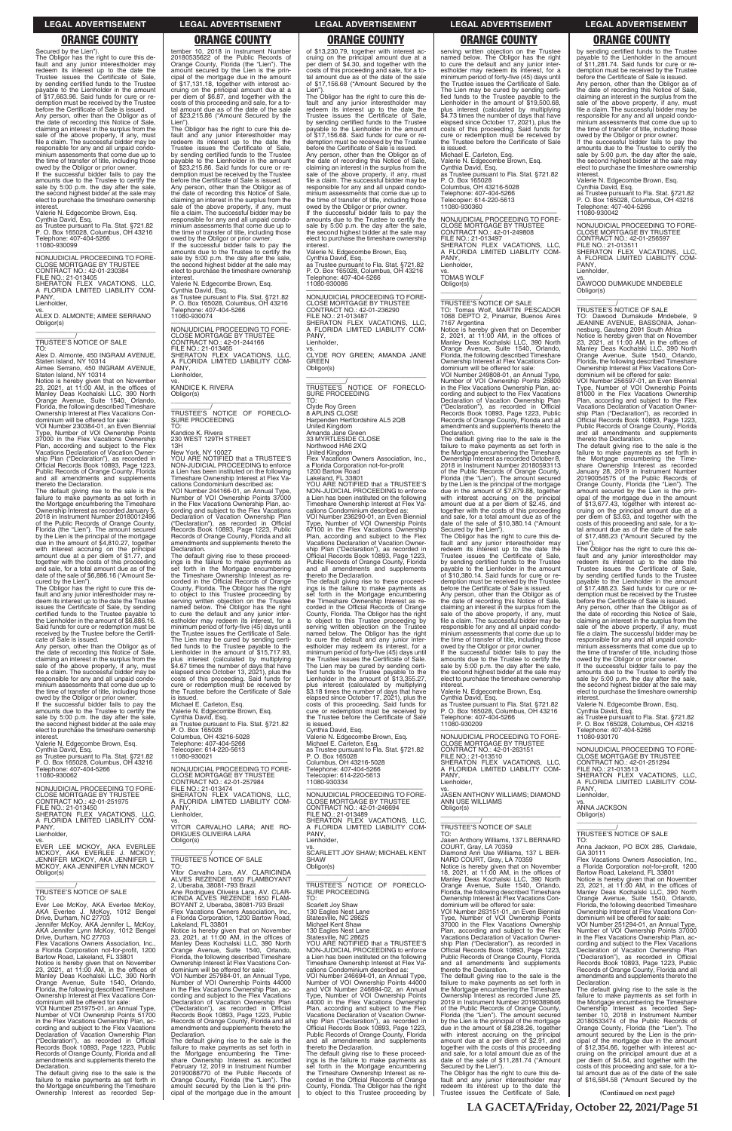Secured by the Lien"). The Obligor has the right to cure this de-<br>fault and any junior interestholder may<br>redeem its interest up to the date the<br>Trustee issues the Certificate of Sale,<br>by sending certified funds to the Trustee payable to the Lienholder in the amount of \$17,663.96. Said funds for cure or redemption must be received by the Trustee before the Certificate of Sale is issued. Any person, other than the Obligor as of the date of recording this Notice of Sale, claiming an interest in the surplus from the sale of the above property, if any, must file a claim. The successful bidder may be responsible for any and all unpaid condo-minium assessments that come due up to the time of transfer of title, including those owed by the Obligor or prior owner.

If the successful bidder fails to pay the amounts due to the Trustee to certify the sale by 5:00 p.m. the day after the sale, the second highest bidder at the sale may elect to purchase the timeshare ownership interest.

Valerie N. Edgecombe Brown, Esq. Cynthia David, Esq. as Trustee pursuant to Fla. Stat. §721.82 P. O. Box 165028, Columbus, OH 43216 Telephone: 407-404-5266 11080-930099

—————————————————— NONJUDICIAL PROCEEDING TO FORE-CLOSE MORTGAGE BY TRUSTEE CONTRACT NO.: 42-01-230384 FILE NO.: 21-013405 SHERATON FLEX VACATIONS, LLC, FLORIDA LIMITED LIABILITY COM-A FLC<br>PANY, Lienholder,

vs. ALEX D. ALMONTE; AIMEE SERRANO Obligor(s) \_\_\_\_\_\_\_\_\_\_\_\_\_\_\_\_\_\_\_\_\_\_\_\_\_\_\_\_\_\_\_\_\_

# \_\_\_\_\_\_\_\_\_\_\_/ TRUSTEE'S NOTICE OF SALE

TO: Alex D. Almonte, 450 INGRAM AVENUE, Staten Island, NY 10314

Aimee Serrano, 450 INGRAM AVENUE, Staten Island, NY 10314

Notice is hereby given that on November 23, 2021, at 11:00 AM, in the offices of Manley Deas Kochalski LLC, 390 North Orange Avenue, Suite 1540, Orlando, Florida, the following described Timeshare Ownership Interest at Flex Vacations Condominium will be offered for sale:

owed by the Obligor or prior owner. If the successful bidder fails to pay the amounts due to the Trustee to certify the sale by 5:00 p.m. the day after the sale, the second highest bidder at the sale may elect to purchase the timeshare ownership interest

—————————————————— NONJUDICIAL PROCEEDING TO FORE-CLOSE MORTGAGE BY TRUSTEE<br>CONTRACT NO.: 42-01-251975<br>FILE NO.: 21-013450<br>SHERATON FLEX VACATIONS, LLC,<br>A FLORIDA LIMITED LIABILITY COM-A FLC<br>PANY

VOI Number 230384-01, an Even Biennial Type, Number of VOI Ownership Points 37000 in the Flex Vacations Ownership Plan, according and subject to the Flex Vacations Declaration of Vacation Ownership Plan ("Declaration"), as recorded in Official Records Book 10893, Page 1223, Public Records of Orange County, Florida and all amendments and supplements

thereto the Declaration. The default giving rise to the sale is the failure to make payments as set forth in the Mortgage encumbering the Timeshare Ownership Interest as recorded January 5, 2018 in Instrument Number 20180012496 of the Public Records of Orange County, Florida (the "Lien"). The amount secured by the Lien is the principal of the mortgage due in the amount of \$4,810.27, together with interest accruing on the principal amount due at a per diem of \$1.77, and together with the costs of this proceeding and sale, for a total amount due as of the date of the sale of \$6,886.16 ("Amount Se-

cured by the Lien"). The Obligor has the right to cure this default and any junior interestholder may re-deem its interest up to the date the Trustee issues the Certificate of Sale, by sending certified funds to the Trustee payable to the Lienholder in the amount of \$6,886.16. Said funds for cure or redemption must be received by the Trustee before the Certificate of Sale is issued.

Any person, other than the Obligor as of the date of recording this Notice of Sale, claiming an interest in the surplus from the sale of the above property, if any, must file a claim. The successful bidder may be responsible for any and all unpaid condominium assessments that come due up to the time of transfer of title, including those

\_\_\_\_\_\_\_\_\_\_\_/<br>TRUSTEE'S NOTICE OF FORECLO-<br>SURE PROCEEDING TO:

Valerie N. Edgecombe Brown, Esq. Cynthia David, Esq. as Trustee pursuant to Fla. Stat. §721.82 P. O. Box 165028, Columbus, OH 43216

Telephone: 407-404-5266 11080-930062

Lien").<br>The Obligor has the right to cure this de-<br>fault and any junior interestholder may<br>redeem its interest up to the date the<br>Trustee issues the Certificate of Sale,<br>by sending certified funds to the Trustee<br>payable to of \$17,156.68. Said funds for cure or redemption must be received by the Trustee before the Certificate of Sale is issued.

tember 10, 2018 in Instrument Number 20180535622 of the Public Records of Orange County, Florida (the "Lien"). The amount secured by the Lien is the prin-<br>cipal of the mortgage due in the amount<br>of \$17,131.18, together with interest accruing on the principal amount due at a per diem of \$6.87, and together with the costs of this proceeding and sale, for a to-tal amount due as of the date of the sale of \$23,215.86 ("Amount Secured by the Lien"). The Obligor has the right to cure this de-

> vs. .<br>YDE ROY GREEN; AMANDA JANE CLYDE<br>GREEN Obligor(s)  $\overline{\phantom{a}}$  , and the set of the set of the set of the set of the set of the set of the set of the set of the set of the set of the set of the set of the set of the set of the set of the set of the set of the set of the s

TRUSTEE'S <sup>/</sup>NOTICE OF FORECLO-<br>SURE PROCEEDING<br>TO:

fault and any junior interestholder may redeem its interest up to the date the Trustee issues the Certificate of Sale, by sending certified funds to the Trustee payable to the Lienholder in the amount of \$23,215.86. Said funds for cure or redemption must be received by the Trustee before the Certificate of Sale is issued. Any person, other than the Obligor as of the date of recording this Notice of Sale, claiming an interest in the surplus from the sale of the above property, if any, must file a claim. The successful bidder may be responsible for any and all unpaid condominium assessments that come due up to the time of transfer of title, including those

owed by the Obligor or prior owner. If the successful bidder fails to pay the amounts due to the Trustee to certify the sale by 5:00 p.m. the day after the sale, the second highest bidder at the sale may elect to purchase the timeshare ownership interest.

Valerie N. Edgecombe Brown, Esq. Cynthia David, Esq. as Trustee pursuant to Fla. Stat. §721.82 P. O. Box 165028, Columbus, OH 43216 Telephone: 407-404-5266 11080-930074

—————————————————— NONJUDICIAL PROCEEDING TO FORE-CLOSE MORTGAGE BY TRUSTEE CONTRACT NO.: 42-01-244166 FILE NO.: 21-013465 SHERATON FLEX VACATIONS, LLC, A FLORIDA LIMITED LIABILITY COM-PANY Lienholder,

vs. KANDICE K. RIVERA Obligor(s) \_\_\_\_\_\_\_\_\_\_\_\_\_\_\_\_\_\_\_\_\_\_\_\_\_\_\_\_\_\_\_\_\_

Kandice K. Rivera 230 WEST 129TH STREET 13H

New York, NY 10027

YOU ARE NOTIFIED that a TRUSTEE'S NON-JUDICIAL PROCEEDING to enforce a Lien has been instituted on the following Timeshare Ownership Interest at Flex Va-

cations Condominium described as: VOI Number 244166-01, an Annual Type, Number of VOI Ownership Points 37000 in the Flex Vacations Ownership Plan, according and subject to the Flex Vacations Declaration of Vacation Ownership Plan ("Declaration"), as recorded in Official Records Book 10893, Page 1223, Public Records of Orange County, Florida and all amendments and supplements thereto the Declaration.

serving written objection on the Trustee named below. The Obligor has the right to cure the default and any junior inter-estholder may redeem its interest, for a minimum period of forty-five (45) days until the Trustee issues the Certificate of Sale. The Lien may be cured by sending certified funds to the Trustee payable to the<br>Lienholder in the amount of \$19,500.68, plus interest (calculated by multiplying \$4.73 times the number of days that have elapsed since October 17, 2021), plus the costs of this proceeding. Said funds for<br>cure or redemption must be received by<br>the Trustee before the Certificate of Sale is issued.

The default giving rise to these proceedings is the failure to make payments as set forth in the Mortgage encumbering the Timeshare Ownership Interest as re-corded in the Official Records of Orange County, Florida. The Obligor has the right to object to this Trustee proceeding by serving written objection on the Trustee named below. The Obligor has the right to cure the default and any junior inter-estholder may redeem its interest, for a minimum period of forty-five (45) days until the Trustee issues the Certificate of Sale. The Lien may be cured by sending certi-fied funds to the Trustee payable to the Lienholder in the amount of \$15,717.93, plus interest (calculated by multiplying \$4.67 times the number of days that have elapsed since October 13, 2021), plus the costs of this proceeding. Said funds for cure or redemption must be received by the Trustee before the Certificate of Sale

is issued. Michael E. Carleton, Esq. Valerie N. Edgecombe Brown, Esq. Cynthia David, Esq. as Trustee pursuant to Fla. Stat. §721.82 P. O. Box 165028 Columbus, OH 43216-5028 Telephone: 407-404-5266 Telecopier: 614-220-5613 11080-930021

—————————————————— NONJUDICIAL PROCEEDING TO FORE-CLOSE MORTGAGE BY TRUSTEE CONTRACT NO.: 42-01-257984 FILE NO.: 21-013474 SHERATON FLEX VACATIONS, LLC, A FLORIDA LIMITED LIABILITY COM-A FLC<br>PANY. Lienholder,

The Obligor has the right to cure this default and any junior interestholder may redeem its interest up to the date the Trustee issues the Certificate of Sale, by sending certified funds to the Trustee payable to the Lienholder in the amount of \$10,380.14. Said funds for cure or redemption must be received by the Trustee before the Certificate of Sale is issued.

vs. VITOR CARVALHO LARA; ANE RO-DRIGUES OLIVEIRA LARA

of \$13,230.79, together with interest accruing on the principal amount due at a per diem of \$4.30, and together with the costs of this proceeding and sale, for a total amount due as of the date of the sale of \$17,156.68 ("Amount Secured by the

> SHERATON FLEX VACATIONS, LLC,<br>A FLORIDA LIMITED LIABILITY COM-<br>PANY, Lienholder,

 $\overline{\phantom{a}}$  , and the set of the set of the set of the set of the set of the set of the set of the set of the set of the set of the set of the set of the set of the set of the set of the set of the set of the set of the s

Any person, other than the Obligor as of the date of recording this Notice of Sale, claiming an interest in the surplus from the sale of the above property, if any, must file a claim. The successful bidder may be responsible for any and all unpaid condo-minium assessments that come due up to the time of transfer of title, including those owed by the Obligor or prior owner.

If the successful bidder fails to pay the amounts due to the Trustee to certify the sale by 5:00 p.m. the day after the sale, the second highest bidder at the sale may elect to purchase the timeshare ownership interest.

Valerie N. Edgecombe Brown, Esq. Cynthia David, Esq. as Trustee pursuant to Fla. Stat. §721.82 P. O. Box 165028, Columbus, OH 43216 Telephone: 407-404-5266 11080-930086

—————————————————— NONJUDICIAL PROCEEDING TO FORE-CLOSE MORTGAGE BY TRUSTEE CONTRACT NO.: 42-01-236290 FILE NO.: 21-013487 SHERATON FLEX VACATIONS, LLC, A FLORIDA LIMITED LIABILITY COM-PANY, Lienholder,

> —————————————————— NONJUDICIAL PROCEEDING TO FORE-CLOSE MORTGAGE BY TRUSTEE CONTRACT NO.: 42-01-251294 FILE NO.: 21-013513 SHERATON FLEX VACATIONS, LLC, A FLORIDA LIMITED LIABILITY COM-A FLU<br>PANY, Lienholder,

- Clyde Roy Green 8 APLINS CLOSE Harpenden Hertfordshire AL5 2QB
- United Kingdom Amanda Jane Green 33 MYRTLESIDE CLOSE
- Northwood HA6 2XQ
- United Kingdom Flex Vacations Owners Association, Inc., a Florida Corporation not-for-profit
- 1200 Bartow Road Lakeland, FL 33801

YOU ARE NOTIFIED that a TRUSTEE'S NON-JUDICIAL PROCEEDING to enforce a Lien has been instituted on the following Timeshare Ownership Interest at Flex Va-

cations Condominium described as: VOI Number 236290-01, an Even Biennial Type, Number of VOI Ownership Points 67100 in the Flex Vacations Ownership Plan, according and subject to the Flex Vacations Declaration of Vacation Owner-ship Plan ("Declaration"), as recorded in Official Records Book 10893, Page 1223, Public Records of Orange County, Florida and all amendments and supplements thereto the Declaration.

| PANY.<br>Lienholder,<br>VS.                                                                                                    | VITOR CARVALHO LARA: ANE RO-<br><b>DRIGUES OLIVEIRA LARA</b><br>Obligor(s)                                                      | A FLORIDA LIMITED LIABILITY COM-<br>PANY.<br>Lienholder.                                                                         | TRUSTEE'S NOTICE OF SALE<br>TO:<br>Jasen Anthony Williams, 137 L BERNARD                                                              | TRUSTEE'S NOTICE OF SALE<br>TO:                                                                                                     |  |  |  |
|--------------------------------------------------------------------------------------------------------------------------------|---------------------------------------------------------------------------------------------------------------------------------|----------------------------------------------------------------------------------------------------------------------------------|---------------------------------------------------------------------------------------------------------------------------------------|-------------------------------------------------------------------------------------------------------------------------------------|--|--|--|
| EVER LEE MCKOY, AKA EVERLEE<br>MCKOY, AKA EVERLEE J. MCKOY;<br>JENNIFER MCKOY, AKA JENNIFER L.                                 | TRUSTEE'S NOTICE OF SALE                                                                                                        | SCARLETT JOY SHAW; MICHAEL KENT<br><b>SHAW</b>                                                                                   | COURT, Gray, LA 70359<br>Diamond Ann Use Williams, 137 L BER-                                                                         | Anna Jackson, PO BOX 285, Clarkdale,<br>GA 30111<br>Flex Vacations Owners Association, Inc.,                                        |  |  |  |
| MCKOY, AKA JENNIFER LYNN MCKOY<br>Obligor(s)                                                                                   | TO:<br>Vitor Carvalho Lara, AV. CLARICINDA                                                                                      | Obligor(s)                                                                                                                       | NARD COURT, Gray, LA 70359<br>Notice is hereby given that on November<br>18, 2021, at $11:00$ AM, in the offices of                   | a Florida Corporation not-for-profit, 1200<br>Bartow Road, Lakeland, FL 33801                                                       |  |  |  |
| TRUSTEE'S NOTICE OF SALE                                                                                                       | ALVES REZENDE 1650 FLAMBOYANT<br>2. Uberaba, 38081-793 Brazil<br>Ane Rodrigues Oliveira Lara, AV. CLAR-                         | TRUSTEE'S NOTICE OF FORECLO-<br>SURE PROCEEDING                                                                                  | Manley Deas Kochalski LLC, 390 North<br>Orange Avenue, Suite 1540, Orlando,<br>Florida, the following described Timeshare             | Notice is hereby given that on November<br>23, 2021, at 11:00 AM, in the offices of<br>Manley Deas Kochalski LLC, 390 North         |  |  |  |
| TO:<br>Ever Lee McKoy, AKA Everlee McKoy,                                                                                      | ICINDA ALVES REZENDE 1650 FLAM-<br>BOYANT 2, Uberaba, 38081-793 Brazil                                                          | TO:<br>Scarlett Joy Shaw                                                                                                         | Ownership Interest at Flex Vacations Con-<br>dominium will be offered for sale:                                                       | Orange Avenue, Suite 1540, Orlando,<br>Florida, the following described Timeshare                                                   |  |  |  |
| AKA Everlee J. McKoy, 1012 Bengel<br>Drive, Durham, NC 27703<br>Jennifer McKoy, AKA Jennifer L. McKoy,                         | Flex Vacations Owners Association, Inc.,<br>a Florida Corporation, 1200 Bartow Road,<br>Lakeland, FL 33801                      | 130 Eagles Nest Lane<br>Statesville, NC 28625<br><b>Michael Kent Shaw</b>                                                        | VOI Number 263151-01, an Even Biennial<br>Type, Number of VOI Ownership Points<br>37000 in the Flex Vacations Ownership               | Ownership Interest at Flex Vacations Con-<br>dominium will be offered for sale:<br>VOI Number 251294-01, an Annual Type,            |  |  |  |
| AKA Jennifer Lynn McKoy, 1012 Bengel<br>Drive, Durham, NC 27703                                                                | Notice is hereby given that on November<br>23, 2021, at 11:00 AM, in the offices of                                             | 130 Eagles Nest Lane<br>Statesville, NC 28625<br>YOU ARE NOTIFIED that a TRUSTEE'S                                               | Plan, according and subject to the Flex<br>Vacations Declaration of Vacation Owner-                                                   | Number of VOI Ownership Points 37000<br>in the Flex Vacations Ownership Plan, ac-                                                   |  |  |  |
| Flex Vacations Owners Association, Inc.,<br>a Florida Corporation not-for-profit, 1200<br>Bartow Road, Lakeland, FL 33801      | Manley Deas Kochalski LLC, 390 North<br>Orange Avenue, Suite 1540, Orlando,<br>Florida, the following described Timeshare       | NON-JUDICIAL PROCEEDING to enforce<br>a Lien has been instituted on the following                                                | ship Plan ("Declaration"), as recorded in<br>Official Records Book 10893, Page 1223,<br>Public Records of Orange County, Florida      | cording and subject to the Flex Vacations<br>Declaration of Vacation Ownership Plan<br>("Declaration"), as recorded in Official     |  |  |  |
| Notice is hereby given that on November<br>23, 2021, at $11:00$ AM, in the offices of<br>Manley Deas Kochalski LLC, 390 North  | Ownership Interest at Flex Vacations Con-<br>dominium will be offered for sale:<br>VOI Number 257984-01, an Annual Type.        | Timeshare Ownership Interest at Flex Va-<br>cations Condominium described as:<br>VOI Number 246694-01, an Annual Type,           | and all amendments and supplements<br>thereto the Declaration.<br>The default giving rise to the sale is the                          | Records Book 10893, Page 1223, Public<br>Records of Orange County, Florida and all<br>amendments and supplements thereto the        |  |  |  |
| Orange Avenue, Suite 1540, Orlando,<br>Florida, the following described Timeshare                                              | Number of VOI Ownership Points 44000<br>in the Flex Vacations Ownership Plan, ac-                                               | Number of VOI Ownership Points 44000<br>and VOI Number 246694-02, an Annual                                                      | failure to make payments as set forth in<br>the Mortgage encumbering the Timeshare                                                    | Declaration.<br>The default giving rise to the sale is the                                                                          |  |  |  |
| Ownership Interest at Flex Vacations Con-<br>dominium will be offered for sale:<br>VOI Number 251975-01, an Annual Type,       | cording and subject to the Flex Vacations<br>Declaration of Vacation Ownership Plan<br>("Declaration"), as recorded in Official | Type, Number of VOI Ownership Points<br>44000 in the Flex Vacations Ownership<br>Plan, according and subject to the Flex         | Ownership Interest as recorded June 25,<br>2019 in Instrument Number 20190389846<br>of the Public Records of Orange County,           | failure to make payments as set forth in<br>the Mortgage encumbering the Timeshare<br>Ownership Interest as recorded Sep-           |  |  |  |
| Number of VOI Ownership Points 51700<br>in the Flex Vacations Ownership Plan, ac-<br>cording and subject to the Flex Vacations | Records Book 10893, Page 1223, Public<br>Records of Orange County, Florida and all<br>amendments and supplements thereto the    | Vacations Declaration of Vacation Owner-<br>ship Plan ("Declaration"), as recorded in<br>Official Records Book 10893, Page 1223, | Florida (the "Lien"). The amount secured<br>by the Lien is the principal of the mortgage<br>due in the amount of \$8,238.26, together | tember 10, 2018 in Instrument Number<br>20180533474 of the Public Records of<br>Orange County, Florida (the "Lien"). The            |  |  |  |
| Declaration of Vacation Ownership Plan<br>("Declaration"), as recorded in Official                                             | Declaration.<br>The default giving rise to the sale is the                                                                      | Public Records of Orange County, Florida<br>and all amendments and supplements                                                   | with interest accruing on the principal<br>amount due at a per diem of \$2.91, and                                                    | amount secured by the Lien is the prin-<br>cipal of the mortgage due in the amount                                                  |  |  |  |
| Records Book 10893, Page 1223, Public<br>Records of Orange County, Florida and all<br>amendments and supplements thereto the   | failure to make payments as set forth in<br>the Mortgage encumbering the Time-<br>share Ownership Interest as recorded          | thereto the Declaration.<br>The default giving rise to these proceed-<br>ings is the failure to make payments as                 | together with the costs of this proceeding<br>and sale, for a total amount due as of the<br>date of the sale of \$11,281.74 ("Amount  | of \$12,354.66, together with interest ac-<br>cruing on the principal amount due at a<br>per diem of \$4.64, and together with the  |  |  |  |
| Declaration.<br>The default giving rise to the sale is the                                                                     | February 12, 2019 in Instrument Number<br>20190088770 of the Public Records of                                                  | set forth in the Mortgage encumbering<br>the Timeshare Ownership Interest as re-<br>corded in the Official Records of Orange     | Secured by the Lien").<br>The Obligor has the right to cure this de-                                                                  | costs of this proceeding and sale, for a to-<br>tal amount due as of the date of the sale<br>of \$16,584.58 ("Amount Secured by the |  |  |  |
| failure to make payments as set forth in<br>the Mortgage encumbering the Timeshare<br>Ownership Interest as recorded Sep-      | Orange County, Florida (the "Lien"). The<br>amount secured by the Lien is the prin-<br>cipal of the mortgage due in the amount  | County, Florida. The Obligor has the right<br>to object to this Trustee proceeding by                                            | fault and any junior interestholder may<br>redeem its interest up to the date the<br>Trustee issues the Certificate of Sale,          | (Continued on next page)                                                                                                            |  |  |  |
|                                                                                                                                | LA GACETA/Friday, October 22, 2021/Page 51                                                                                      |                                                                                                                                  |                                                                                                                                       |                                                                                                                                     |  |  |  |

The default giving rise to these proceed-ings is the failure to make payments as set forth in the Mortgage encumbering the Timeshare Ownership Interest as re-corded in the Official Records of Orange County, Florida. The Obligor has the right to object to this Trustee proceeding by serving written objection on the Trustee named below. The Obligor has the right to cure the default and any junior inter-estholder may redeem its interest, for a minimum period of forty-five (45) days until the Trustee issues the Certificate of Sale. The Lien may be cured by sending certi-fied funds to the Trustee payable to the Lienholder in the amount of \$13,355.27, plus interest (calculated by multiplying \$3.18 times the number of days that have elapsed since October 17, 2021), plus the costs of this proceeding. Said funds for cure or redemption must be received by the Trustee before the Certificate of Sale is issued.

Cynthia David, Esq. Valerie N. Edgecombe Brown, Esq. Michael E. Carleton, Esq. as Trustee pursuant to Fla. Stat. §721.82 P. O. Box 165028 Columbus, OH 43216-5028 Telephone: 407-404-5266 none: 197-191-9299<br>pier: 614-220-5613 11080-930334

—————————————————— NONJUDICIAL PROCEEDING TO FORE-CLOSE MORTGAGE BY TRUSTEE CONTRACT NO.: 42-01-246694 FILE NO.: 21-013489 SHERATON FLEX VACATIONS, LLC, A FLORIDA LIMITED LIABILITY COM-PANY, Michael E. Carleton, Esq. Valerie N. Edgecombe Brown, Esq. Cynthia David, Esq.

as Trustee pursuant to Fla. Stat. §721.82 P. O. Box 165028 Columbus, OH 43216-5028 Telephone: 407-404-5266 Telecopier: 614-220-5613 11080-930360

—————————————————— NONJUDICIAL PROCEEDING TO FORE-CLOSE MORTGAGE BY TRUSTEE CONTRACT NO.: 42-01-249808 FILE NO.: 21-013497 SHERATON FLEX VACATIONS, LLC, A FLORIDA LIMITED LIABILITY COM-PANY,

Lienholder,

vs. TOMAS WOLF Obligor(s)

\_\_\_\_\_\_\_\_\_\_\_\_\_\_\_\_\_\_\_\_\_\_\_\_\_\_\_\_\_\_\_\_\_ \_\_\_\_\_\_\_\_\_\_\_/ TRUSTEE'S NOTICE OF SALE

TO: Tomas Wolf, MARTIN PESCADOR 1068 DEPTO 2, Pinamar, Buenos Aires 7167 Argentina

Notice is hereby given that on December<br>2, 2021, at 11:00 AM, in the offices of<br>Manley Deas Kochalski LLC, 390 North<br>Orange Avenue, Suite 1540, Orlando,<br>Florida, the following described Timeshare<br>Ownership Interest at Flex

dominium will be offered for sale: VOI Number 249808-01, an Annual Type, Number of VOI Ownership Points 25800 in the Flex Vacations Ownership Plan, according and subject to the Flex Vacations Declaration of Vacation Ownership Plan ("Declaration"), as recorded in Official Records Book 10893, Page 1223, Public Records of Orange County, Florida and all amendments and supplements thereto the Declaration.

The default giving rise to the sale is the failure to make payments as set forth in the Mortgage encumbering the Timeshare Ownership Interest as recorded October 8, 2018 in Instrument Number 20180593113 of the Public Records of Orange County, Florida (the "Lien"). The amount secured by the Lien is the principal of the mortgage due in the amount of \$7,679.88, together with interest accruing on the principal amount due at a per diem of \$2.45, and together with the costs of this proceeding and sale, for a total amount due as of the date of the sale of \$10,380.14 ("Amount Secured by the Lien").

Any person, other than the Obligor as of the date of recording this Notice of Sale, claiming an interest in the surplus from the sale of the above property, if any, must file a claim. The successful bidder may be responsible for any and all unpaid condominium assessments that come due up to the time of transfer of title, including those owed by the Obligor or prior owner. If the successful bidder fails to pay the

amounts due to the Trustee to certify the sale by 5:00 p.m. the day after the sale, the second highest bidder at the sale may elect to purchase the timeshare ownership interest.

Valerie N. Edgecombe Brown, Esq.

Cynthia David, Esq. as Trustee pursuant to Fla. Stat. §721.82 P. O. Box 165028, Columbus, OH 43216 Telephone: 407-404-5266 11080-930209

—————————————————— NONJUDICIAL PROCEEDING TO FORE-CLOSE MORTGAGE BY TRUSTEE CONTRACT NO.: 42-01-263151

FILE NO.: 21-013510 SHERATON FLEX VACATIONS, LLC, A FLORIDA LIMITED LIABILITY COM-PANY Lienholder, vs.

JASEN ANTHONY WILLIAMS; DIAMOND ANN USE WILLIAMS Obligor(s) \_\_\_\_\_\_\_\_\_\_\_\_\_\_\_\_\_\_\_\_\_\_\_\_\_\_\_\_\_\_\_\_\_

by sending certified funds to the Trustee payable to the Lienholder in the amount of \$11,281.74. Said funds for cure or re-

demption must be received by the Trustee before the Certificate of Sale is issued. Any person, other than the Obligor as of the date of recording this Notice of Sale, claiming an interest in the surplus from the sale of the above property, if any, must file a claim. The successful bidder may be responsible for any and all unpaid condominium assessments that come due up to the time of transfer of title, including those

owed by the Obligor or prior owner. If the successful bidder fails to pay the amounts due to the Trustee to certify the sale by 5:00 p.m. the day after the sale, the second highest bidder at the sale may elect to purchase the timeshare ownership interest.

Valerie N. Edgecombe Brown, Esq.

Cynthia David, Esq. as Trustee pursuant to Fla. Stat. §721.82 P. O. Box 165028, Columbus, OH 43216 Telephone: 407-404-5266 11080-930042

—————————————————— NONJUDICIAL PROCEEDING TO FORE-CLOSE MORTGAGE BY TRUSTEE CONTRACT NO.: 42-01-256597 FILE NO.: 21-013511

vs. DAWOOD DUMAKUDE MNDEBELE Obligor(s)

\_\_\_\_\_\_\_\_\_\_\_/ TRUSTEE'S NOTICE OF SALE \_\_\_\_\_\_\_\_\_\_\_\_\_\_\_\_\_\_\_\_\_\_\_\_\_\_\_\_\_\_\_\_\_

\_\_\_\_\_\_\_\_\_\_\_/ TRUSTEE'S NOTICE OF SALE

TO: Dawood Dumakude Mndebele, 9 JEANINE AVENUE, BASSONIA, Johannesburg, Gauteng 2091 South Africa Notice is hereby given that on November 23, 2021, at 11:00 AM, in the offices of Manley Deas Kochalski LLC, 390 North Orange Avenue, Suite 1540, Orlando, Florida, the following described Timeshare

Ownership Interest at Flex Vacations Con-dominium will be offered for sale: VOI Number 256597-01, an Even Biennial Type, Number of VOI Ownership Points 81000 in the Flex Vacations Ownership Plan, according and subject to the Flex Vacations Declaration of Vacation Owner-ship Plan ("Declaration"), as recorded in Official Records Book 10893, Page 1223, Public Records of Orange County, Florida and all amendments and supplements thereto the Declaration.

The default giving rise to the sale is the failure to make payments as set forth in the Mortgage encumbering the Time-share Ownership Interest as recorded January 28, 2019 in Instrument Number 20190054575 of the Public Records of Orange County, Florida (the "Lien"). The amount secured by the Lien is the principal of the mortgage due in the amount of \$13,677.43, together with interest accruing on the principal amount due at a per diem of \$3.63, and together with the costs of this proceeding and sale, for a to-tal amount due as of the date of the sale of \$17,488.23 ("Amount Secured by the

Lien"). The Obligor has the right to cure this default and any junior interestholder may redeem its interest up to the date the Trustee issues the Certificate of Sale, by sending certified funds to the Trustee payable to the Lienholder in the amount of \$17,488.23. Said funds for cure or redemption must be received by the Trustee before the Certificate of Sale is issued. Any person, other than the Obligor as of

the date of recording this Notice of Sale, claiming an interest in the surplus from the sale of the above property, if any, must file a claim. The successful bidder may be responsible for any and all unpaid condominium assessments that come due up to the time of transfer of title, including those

owed by the Obligor or prior owner. If the successful bidder fails to pay the amounts due to the Trustee to certify the sale by 5:00 p.m. the day after the sale, the second highest bidder at the sale may elect to purchase the timeshare ownership interest.

Valerie N. Edgecombe Brown, Esq. Cynthia David, Esq.

as Trustee pursuant to Fla. Stat. §721.82 P. O. Box 165028, Columbus, OH 43216 Telephone: 407-404-5266 11080-930170

vs. ANNA JACKSON Obligor(s)

### **LEGAL ADVERTISEMENT LEGAL ADVERTISEMENT LEGAL ADVERTISEMENT LEGAL ADVERTISEMENT LEGAL ADVERTISEMENT**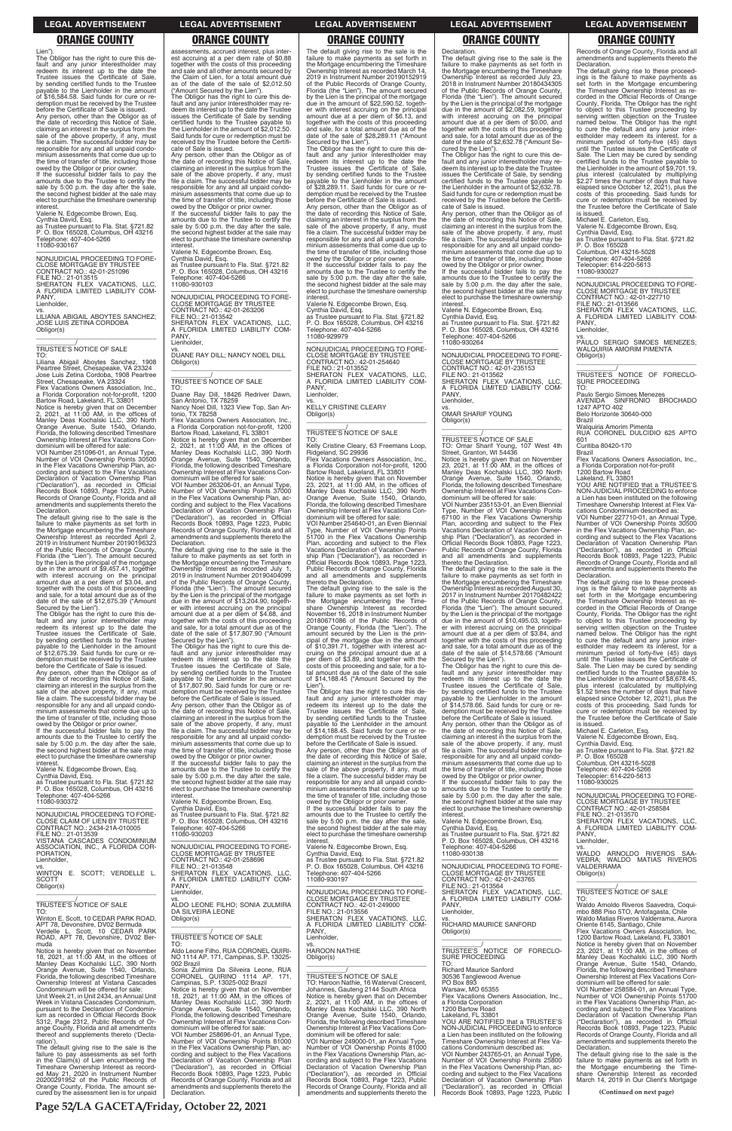**Page 52/LA GACETA/Friday, October 22, 2021**

Lien"). The Obligor has the right to cure this default and any junior interestholder may redeem its interest up to the date the Trustee issues the Certificate of Sale, by sending certified funds to the Trustee payable to the Lienholder in the amount of \$16,584.58. Said funds for cure or redemption must be received by the Trustee before the Certificate of Sale is issued. Any person, other than the Obligor as of the date of recording this Notice of Sale, claiming an interest in the surplus from the sale of the above property, if any, must file a claim. The successful bidder may be responsible for any and all unpaid condo-minium assessments that come due up to the time of transfer of title, including those

owed by the Obligor or prior owner. If the successful bidder fails to pay the amounts due to the Trustee to certify the sale by 5:00 p.m. the day after the sale, the second highest bidder at the sale may elect to purchase the timeshare ownership interest.

Valerie N. Edgecombe Brown, Esq.

a Florida Corporation not-for-profit, 1200<br>Bartow Road, Lakeland, FL 33801<br>Notice is hereby given that on December<br>2, 2021, at 11:00 AM, in the offices of<br>Manley Deas Kochalski LLC, 390 North<br>Orange Avenue, Suite 1540, Orl Florida, the following described Timeshare Ownership Interest at Flex Vacations Con-dominium will be offered for sale:

Cynthia David, Esq. as Trustee pursuant to Fla. Stat. §721.82 P. O. Box 165028, Columbus, OH 43216 Telephone: 407-404-5266 11080-930167

—————————————————— NONJUDICIAL PROCEEDING TO FORE-CLOSE MORTGAGE BY TRUSTEE CONTRACT NO.: 42-01-251096 FILE NO.: 21-013515 SHERATON FLEX VACATIONS, LLC, A FLORIDA LIMITED LIABILITY COM-PANY, Lienholder,

vs. LILIANA ABIGAIL ABOYTES SANCHEZ; JOSE LUIS ZETINA CORDOBA

\_\_\_\_\_\_\_\_\_\_\_\_\_\_\_\_\_\_\_\_\_\_\_\_\_\_\_\_\_\_\_\_\_

\_\_\_\_\_\_\_\_\_\_\_/ TRUSTEE'S NOTICE OF SALE

Obligor(s)

TO: Liliana Abigail Aboytes Sanchez, 1908 Peartree Street, Chesapeake, VA 23324 Jose Luis Zetina Cordoba, 1908 Peartree Street, Chesapeake, VA 23324 Flex Vacations Owners Association, Inc.,

VOI Number 251096-01, an Annual Type, Number of VOI Ownership Points 30500 in the Flex Vacations Ownership Plan, according and subject to the Flex Vacations Declaration of Vacation Ownership Plan ("Declaration"), as recorded in Official Records Book 10893, Page 1223, Public Records of Orange County, Florida and all amendments and supplements thereto the Declaration.

The default giving rise to the sale is the failure to make payments as set forth in the Mortgage encumbering the Timeshare Ownership Interest as recorded April 2, 2019 in Instrument Number 20190196323 of the Public Records of Orange County, Florida (the "Lien"). The amount secured by the Lien is the principal of the mortgage by the Lien is the photopal of the amount of \$9,457.41, together with interest accruing on the principal amount due at a per diem of \$3.04, and together with the costs of this proceeding and sale, for a total amount due as of the date of the sale of \$12,675.39 ("Amount

Secured by the Lien"). The Obligor has the right to cure this de-fault and any junior interestholder may redeem its interest up to the date the Trustee issues the Certificate of Sale, by sending certified funds to the Trustee payable to the Lienholder in the amount of \$12,675.39. Said funds for cure or re-demption must be received by the Trustee before the Certificate of Sale is issued. Any person, other than the Obligor as of the date of recording this Notice of Sale, claiming an interest in the surplus from the sale of the above property, if any, must file a claim. The successful bidder may be responsible for any and all unpaid condo-minium assessments that come due up to the time of transfer of title, including those

owed by the Obligor or prior owner. If the successful bidder fails to pay the amounts due to the Trustee to certify the sale by 5:00 p.m. the day after the sale, the second highest bidder at the sale may elect to purchase the timeshare ownership interest.

Valerie N. Edgecombe Brown, Esq. Cynthia David, Esq. as Trustee pursuant to Fla. Stat. §721.82 P. O. Box 165028, Columbus, OH 43216 Telephone: 407-404-5266 11080-930372

assessments, accrued interest, plus inter-est accruing at a per diem rate of \$0.88 together with the costs of this proceeding and sale and all other amounts secured by the Claim of Lien, for a total amount due as of the date of the sale of \$2,012.50

("Amount Secured by the Lien"). The Obligor has the right to cure this default and any junior interestholder may re-deem its interest up to the date the Trustee issues the Certificate of Sale by sending certified funds to the Trustee payable to the Lienholder in the amount of \$2,012.50. Said funds for cure or redemption must be received by the Trustee before the Certificate of Sale is issued. Any person, other than the Obligor as of

the date of recording this Notice of Sale, claiming an interest in the surplus from the sale of the above property, if any, must file a claim. The successful bidder may be responsible for any and all unpaid condo-minium assessments that come due up to the time of transfer of title, including those

owed by the Obligor or prior owner. If the successful bidder fails to pay the amounts due to the Trustee to certify the sale by 5:00 p.m. the day after the sale, the second highest bidder at the sale may elect to purchase the timeshare ownership interest.

Valerie N. Edgecombe Brown, Esq. Cynthia David, Esq. as Trustee pursuant to Fla. Stat. §721.82 P. O. Box 165028, Columbus, OH 43216 Telephone: 407-404-5266

11080-930103 —————————————————— NONJUDICIAL PROCEEDING TO FORE-CLOSE MORTGAGE BY TRUSTEE CONTRACT NO.: 42-01-263206 FILE NO.: 21-013542 SHERATON FLEX VACATIONS, LLC, A FLORIDA LIMITED LIABILITY COM-PANY, Lienholder,

vs. DUANE RAY DILL; NANCY NOEL DILL Obligor(s) \_\_\_\_\_\_\_\_\_\_\_\_\_\_\_\_\_\_\_\_\_\_\_\_\_\_\_\_\_\_\_\_\_

\_\_\_\_\_\_\_\_\_\_\_/ TRUSTEE'S NOTICE OF SALE

TO: Duane Ray Dill, 18426 Redriver Dawn, San Antonio, TX 78259 Nancy Noel Dill, 1323 View Top, San An-

tonio, TX 78258 Flex Vacations Owners Association, Inc., a Florida Corporation not-for-profit, 1200 Bartow Road, Lakeland, FL 33801 Notice is hereby given that on December 2, 2021, at 11:00 AM, in the offices of

Manley Deas Kochalski LLC, 390 North Orange Avenue, Suite 1540, Orlando, Florida, the following described Timeshare Ownership Interest at Flex Vacations Condominium will be offered for sale: VOI Number 263206-01, an Annual Type,

Number of VOI Ownership Points 37000 in the Flex Vacations Ownership Plan, ac-cording and subject to the Flex Vacations Declaration of Vacation Ownership Plan<br>"Declaration"), as recorded in Official ("Declaration"), as recorded in Official Records Book 10893, Page 1223, Public Records of Orange County, Florida and all amendments and supplements thereto the Declaration.

The default giving rise to the sale is the failure to make payments as set forth in the Mortgage encumbering the Timeshare Ownership Interest as recorded July 1, 2019 in Instrument Number 20190404099 of the Public Records of Orange County, Florida (the "Lien"). The amount secured by the Lien is the principal of the mortgage due in the amount of \$13,204.90, together with interest accruing on the principal amount due at a per diem of \$4.68, and together with the costs of this proceeding and sale, for a total amount due as of the date of the sale of \$17,807.90 ("Amount Secured by the Lien").

The Obligor has the right to cure this de-fault and any junior interestholder may redeem its interest up to the date the Trustee issues the Certificate of Sale, by sending certified funds to the Trustee payable to the Lienholder in the amount of \$17,807.90. Said funds for cure or redemption must be received by the Trustee before the Certificate of Sale is issued. Any person, other than the Obligor as of

the date of recording this Notice of Sale,<br>claiming an interest in the surplus from the<br>sale of the above property, if any, must<br>file a claim. The successful bidder may be responsible for any and all unpaid condo-minium assessments that come due up to the time of transfer of title, including those owed by the Obligor or prior owner. If the successful bidder fails to pay the

—————————————————— NONJUDICIAL PROCEEDING TO FORE-CLOSE MORTGAGE BY TRUSTEE CONTRACT NO.: 42-01-235153 FILE NO.: 21-013562 SHERATON FLEX VACATIONS, LLC, A FLORIDA LIMITED LIABILITY COM-PANY, Lienholder

the date of recording this Notice of Sale, claiming an interest in the surplus from the sale of the above property, if any, must file a claim. The successful bidder may be responsible for any and all unpaid condominium assessments that come due up to the time of transfer of title, including those owed by the Obligor or prior owner.

Notice is hereby given that on November<br>23, 2021, at 11:00 AM, in the offices of<br>Manley Deas Kochalski LLC, 390 North<br>Orange Avenue, Suite 1540, Orlando,<br>Florida, the following described Timeshare Ownership Interest at Flex Vacations Condominium will be offered for sale: VOI Number 235153-01, an Even Biennial

If the successful bidder fails to pay the amounts due to the Trustee to certify the sale by 5:00 p.m. the day after the sale, the second highest bidder at the sale may elect to purchase the timeshare ownership interest.

Valerie N. Edgecombe Brown, Esq.

The default giving rise to the sale is the failure to make payments as set forth in the Mortgage encumbering the Timeshare Ownership Interest as recorded March 14, 2019 in Instrument Number 20190152919 of the Public Records of Orange County, Florida (the "Lien"). The amount secured by the Lien is the principal of the mortgage due in the amount of \$22,590.52, together with interest accruing on the principal amount due at a per diem of \$6.13, and together with the costs of this proceeding and sale, for a total amount due as of the date of the sale of \$28,289.11 ("Amount Secured by the Lien"). The Obligor has the right to cure this de-fault and any junior interestholder may

> —————————————————— NONJUDICIAL PROCEEDING TO FORE-CLOSE MORTGAGE BY TRUSTEE CONTRACT NO.: 42-01-227710 FILE NO.: 21-013566 SHERATON FLEX VACATIONS, LLC, A FLORIDA LIMITED LIABILITY COM-PANY

Lienholder,

redeem its interest up to the date the Trustee issues the Certificate of Sale, by sending certified funds to the Trustee payable to the Lienholder in the amount of \$28,289.11. Said funds for cure or re-demption must be received by the Trustee before the Certificate of Sale is issued.

> cations Condominium described as: VOI Number 227710-01, an Annual Type, Number of VOI Ownership Points 30500 in the Flex Vacations Ownership Plan, according and subject to the Flex Vacations Declaration of Vacation Ownership Plan ("Declaration"), as recorded in Official Records Book 10893, Page 1223, Public Records of Orange County, Florida and all amendments and supplements thereto the **Declaration**

Any person, other than the Obligor as of the date of recording this Notice of Sale, claiming an interest in the surplus from the sale of the above property, if any, must file a claim. The successful bidder may be responsible for any and all unpaid condominium assessments that come due up to the time of transfer of title, including those

owed by the Obligor or prior owner. If the successful bidder fails to pay the amounts due to the Trustee to certify the sale by 5:00 p.m. the day after the sale, the second highest bidder at the sale may elect to purchase the timeshare ownership interest.

Valerie N. Edgecombe Brown, Esq. Cynthia David, Esq. as Trustee pursuant to Fla. Stat. §721.82 P. O. Box 165028, Columbus, OH 43216 Telephone: 407-404-5266

> Michael E. Carleton, Esg. Valerie N. Edgecombe Brown, Esq.

11080-929979 —————————————————— NONJUDICIAL PROCEEDING TO FORE-CLOSE MORTGAGE BY TRUSTEE CONTRACT NO.: 42-01-254640 FILE NO.: 21-013552 SHERATON FLEX VACATIONS, LLC, A FLORIDA LIMITED LIABILITY COM-PANY, Lienholder,

vs. KELLY CRISTINE CLEARY Obligor(s) \_\_\_\_\_\_\_\_\_\_\_\_\_\_\_\_\_\_\_\_\_\_\_\_\_\_\_\_\_\_\_\_\_

# \_\_\_\_\_\_\_\_\_\_\_/ TRUSTEE'S NOTICE OF SALE

TO: Kelly Cristine Cleary, 63 Freemans Loop, Ridgeland, SC 29936

Flex Vacations Owners Association, Inc., a Florida Corporation not-for-profit, 1200 Bartow Road, Lakeland, FL 33801

Notice is hereby given that on November 23, 2021, at 11:00 AM, in the offices of Manley Deas Kochalski LLC, 390 North Orange Avenue, Suite 1540, Orlando, Florida, the following described Timeshare Ownership Interest at Flex Vacations Con-

dominium will be offered for sale: VOI Number 254640-01, an Even Biennial Type, Number of VOI Ownership Points 51700 in the Flex Vacations Ownership Plan, according and subject to the Flex Vacations Declaration of Vacation Ownership Plan ("Declaration"), as recorded in Official Records Book 10893, Page 1223, Public Records of Orange County, Florida and all amendments and supplements thereto the Declaration.

The default giving rise to the sale is the failure to make payments as set forth in the Mortgage encumbering the Timeshare Ownership Interest as recorded<br>November 16, 2018 in Instrument Number<br>20180671086 of the Public Records of<br>Orange County, Florida (the "Lien"). The<br>amount secured by the Lien is the prin-<br>cipal of the mortgage due in of \$10,391.71, together with interest ac-cruing on the principal amount due at a per diem of \$3.89, and together with the costs of this proceeding and sale, for a to-tal amount due as of the date of the sale of \$14,188.45 ("Amount Secured by the Lien").

The Obligor has the right to cure this de-fault and any junior interestholder may redeem its interest up to the date the Trustee issues the Certificate of Sale, by sending certified funds to the Trustee payable to the Lienholder in the amount of \$14,188.45. Said funds for cure or re-demption must be received by the Trustee before the Certificate of Sale is issued.

Any person, other than the Obligor as of the date of recording this Notice of Sale, claiming an interest in the surplus from the sale of the above property, if any, must file a claim. The successful bidder may be responsible for any and all unpaid condominium assessments that come due up to the time of transfer of title, including those owed by the Obligor or prior owner.

| NONJUDICIAL PROCEEDING TO FORE-<br>CLOSE CLAIM OF LIEN BY TRUSTEE<br>CONTRACT NO.: 2434-21A-010005<br>FILE NO.: 21-013539<br>VISTANA CASCADES CONDOMINIUM                                                                                                      | Cynthia David, Esq.<br>as Trustee pursuant to Fla. Stat. §721.82<br>P. O. Box 165028, Columbus, OH 43216<br>Telephone: 407-404-5266<br>11080-930203                                                                                                 | If the successful bidder fails to pay the<br>amounts due to the Trustee to certify the<br>sale by 5:00 p.m. the day after the sale,<br>the second highest bidder at the sale may<br>elect to purchase the timeshare ownership<br>interest.           | elect to purchase the timeshare ownership<br>interest.<br>Valerie N. Edgecombe Brown, Esg.<br>Cynthia David, Esg.<br>as Trustee pursuant to Fla. Stat. §721.82<br>P. O. Box 165028, Columbus, OH 43216            | CONTRACT NO.: 42-01-258584<br>FILE NO.: 21-013570<br>SHERATON FLEX VACATIONS. LLC.<br>A FLORIDA LIMITED LIABILITY COM-<br>PANY.<br>Lienholder,                                                                                                          |
|----------------------------------------------------------------------------------------------------------------------------------------------------------------------------------------------------------------------------------------------------------------|-----------------------------------------------------------------------------------------------------------------------------------------------------------------------------------------------------------------------------------------------------|------------------------------------------------------------------------------------------------------------------------------------------------------------------------------------------------------------------------------------------------------|-------------------------------------------------------------------------------------------------------------------------------------------------------------------------------------------------------------------|---------------------------------------------------------------------------------------------------------------------------------------------------------------------------------------------------------------------------------------------------------|
| ASSOCIATION, INC., A FLORIDA COR-<br>PORATION.<br>Lienholder,<br>VS.<br>WINTON E. SCOTT; VERDELLE L.                                                                                                                                                           | NONJUDICIAL PROCEEDING TO FORE-<br><b>CLOSE MORTGAGE BY TRUSTEE</b><br>CONTRACT NO.: 42-01-258696<br>FILE NO.: 21-013548<br>SHERATON FLEX VACATIONS. LLC.                                                                                           | Valerie N. Edgecombe Brown, Esq.<br>Cynthia David, Esg.<br>as Trustee pursuant to Fla. Stat. §721.82<br>P. O. Box 165028, Columbus, OH 43216<br>Telephone: 407-404-5266                                                                              | Telephone: 407-404-5266<br>11080-930138<br>NONJUDICIAL PROCEEDING TO FORE-<br>CLOSE MORTGAGE BY TRUSTEE                                                                                                           | VS.<br>WALDO ARNOLDO RIVEROS SAA-<br>VEDRA: WALDO MATIAS RIVEROS<br>VALDERRAMA<br>Obligor(s)                                                                                                                                                            |
| <b>SCOTT</b><br>Obligor(s)<br>TRUSTEE'S NOTICE OF SALE<br>TO:                                                                                                                                                                                                  | A FLORIDA LIMITED LIABILITY COM-<br>PANY.<br>Lienholder,<br>VS.<br>ALDO LEONE FILHO; SONIA ZULMIRA<br>DA SILVEIRA LEONE                                                                                                                             | 11080-930197<br>NONJUDICIAL PROCEEDING TO FORE-<br><b>CLOSE MORTGAGE BY TRUSTEE</b><br>CONTRACT NO.: 42-01-249000<br>FILE NO.: 21-013556                                                                                                             | CONTRACT NO.: 42-01-243765<br>FILE NO.: 21-013564<br>SHERATON FLEX VACATIONS, LLC,<br>A FLORIDA LIMITED LIABILITY COM-<br>PANY.<br>Lienholder.                                                                    | TRUSTEE'S NOTICE OF SALE<br>TO.<br>Waldo Arnoldo Riveros Saavedra, Coqui-<br>mbo 888 Piso 5TO, Antofagasta, Chile                                                                                                                                       |
| Winton E. Scott, 10 CEDAR PARK ROAD,<br>APT 78, Devonshire, DV02 Bermuda<br>Verdelle L. Scott, 10 CEDAR PARK<br>ROAD, APT 78, Devonshire, DV02 Ber-<br>muda                                                                                                    | Obligor(s)<br><b>TRUSTEE'S NOTICE OF SALE</b><br>TO:                                                                                                                                                                                                | SHERATON FLEX VACATIONS, LLC,<br>A FLORIDA LIMITED LIABILITY COM-<br>PANY.<br>Lienholder,<br>VS.                                                                                                                                                     | VS.<br><b>RICHARD MAURICE SANFORD</b><br>Obligor(s)                                                                                                                                                               | Waldo Matias Riveros Valderrama, Aurora<br>Oriente 6145, Santiago, Chile<br>Flex Vacations Owners Association, Inc.<br>1200 Bartow Road, Lakeland, FL 33801<br>Notice is hereby given that on November                                                  |
| Notice is hereby given that on November<br>18, 2021, at $11:00$ AM, in the offices of<br>Manley Deas Kochalski LLC, 390 North<br>Orange Avenue, Suite 1540, Orlando,<br>Florida, the following described Timeshare                                             | Aldo Leone Filho, RUA CORONEL QUIRI-<br>NO 1114 AP. 171, Campinas, S.P. 13025-<br>002 Brazil<br>Sonia Zulmira Da Silveira Leone, RUA<br>CORONEL QUIRINO 1114 AP. 171.                                                                               | <b>HAROON NATHIE</b><br>Obligor(s)<br><b>TRUSTEE'S NOTICE OF SALE</b>                                                                                                                                                                                | TRUSTEE'S NOTICE OF FORECLO-<br>SURE PROCEEDING<br>TO:<br><b>Richard Maurice Sanford</b><br>30536 Tanglewood Avenue                                                                                               | 23, 2021, at $11:00$ AM, in the offices of<br>Manley Deas Kochalski LLC, 390 North<br>Orange Avenue, Suite 1540, Orlando,<br>Florida, the following described Timeshare<br>Ownership Interest at Flex Vacations Con-                                    |
| Ownership Interest at Vistana Cascades<br>Condominium will be offered for sale:<br>Unit Week 21, in Unit 2434, an Annual Unit<br>Week in Vistana Cascades Condominium,<br>pursuant to the Declaration of Condomin-<br>ium as recorded in Official Records Book | Campinas, S.P. 13025-002 Brazil<br>Notice is hereby given that on November<br>18, 2021, at 11:00 AM, in the offices of<br>Manley Deas Kochalski LLC, 390 North<br>Orange Avenue, Suite 1540, Orlando,<br>Florida, the following described Timeshare | TO: Haroon Nathie, 16 Waterval Crescent.<br>Johannes, Gauteng 2144 South Africa<br>Notice is hereby given that on December<br>2, 2021, at 11:00 AM, in the offices of<br>Manley Deas Kochalski LLC, 390 North<br>Orange Avenue, Suite 1540, Orlando, | PO Box 893<br>Warsaw, MO 65355<br>Flex Vacations Owners Association. Inc<br>a Florida Corporation<br>1200 Bartow Road<br>Lakeland, FL 33801                                                                       | dominium will be offered for sale:<br>VOI Number 258584-01, an Annual Type,<br>Number of VOI Ownership Points 51700<br>in the Flex Vacations Ownership Plan, ac-<br>cording and subject to the Flex Vacations<br>Declaration of Vacation Ownership Plan |
| 5312, Page 2312, Public Records of Or-<br>ange County, Florida and all amendments<br>thereof and supplements thereto ('Decla-<br>ration').<br>The default giving rise to the sale is the                                                                       | Ownership Interest at Flex Vacations Con-<br>dominium will be offered for sale:<br>VOI Number 258696-01, an Annual Type,<br>Number of VOI Ownership Points 81000<br>in the Flex Vacations Ownership Plan, ac-                                       | Florida, the following described Timeshare<br>Ownership Interest at Flex Vacations Con-<br>dominium will be offered for sale:<br>VOI Number 249000-01, an Annual Type<br>Number of VOI Ownership Points 81000                                        | YOU ARE NOTIFIED that a TRUSTEE'S<br>NON-JUDICIAL PROCEEDING to enforce<br>a Lien has been instituted on the following<br>Timeshare Ownership Interest at Flex Va-<br>cations Condominium described as:           | ("Declaration"), as recorded in Official<br>Records Book 10893, Page 1223, Public<br>Records of Orange County, Florida and all<br>amendments and supplements thereto the<br>Declaration.                                                                |
| failure to pay assessments as set forth<br>in the Claim(s) of Lien encumbering the<br>Timeshare Ownership Interest as record-<br>ed May 21, 2020 in Instrument Number<br>20200291952 of the Public Records of                                                  | cording and subject to the Flex Vacations<br>Declaration of Vacation Ownership Plan<br>("Declaration"), as recorded in Official<br>Records Book 10893, Page 1223, Public<br>Records of Orange County, Florida and all                               | in the Flex Vacations Ownership Plan, ac-<br>cording and subject to the Flex Vacations<br>Declaration of Vacation Ownership Plan<br>("Declaration"), as recorded in Official<br>Records Book 10893, Page 1223, Public                                | VOI Number 243765-01, an Annual Type,<br>Number of VOI Ownership Points 25800<br>in the Flex Vacations Ownership Plan, ac-<br>cording and subject to the Flex Vacations<br>Declaration of Vacation Ownership Plan | The default giving rise to the sale is the<br>failure to make payments as set forth in<br>the Mortgage encumbering the Time-<br>share Ownership Interest as recorded<br>March 14, 2019 in Our Client's Mortgage                                         |
| Orange County, Florida. The amount se-<br>cured by the assessment lien is for unpaid                                                                                                                                                                           | amendments and supplements thereto the<br>Declaration.                                                                                                                                                                                              | Records of Orange County, Florida and all<br>amendments and supplements thereto the                                                                                                                                                                  | ("Declaration"), as recorded in Official<br>Records Book 10893, Page 1223, Public                                                                                                                                 | (Continued on next page)                                                                                                                                                                                                                                |

Declaration. The default giving rise to the sale is the failure to make payments as set forth in the Mortgage encumbering the Timeshare Ownership Interest as recorded July 23, 2018 in Instrument Number 20180434305 of the Public Records of Orange County, Florida (the "Lien"). The amount secured by the Lien is the principal of the mortgage due in the amount of \$2,082.59, together with interest accruing on the principal amount due at a per diem of \$0.00, and together with the costs of this proceeding and sale, for a total amount due as of the date of the sale of \$2,632.78 ("Amount Secured by the Lien"). The Obligor has the right to cure this de-

fault and any junior interestholder may re-deem its interest up to the date the Trustee issues the Certificate of Sale, by sending certified funds to the Trustee payable to the Lienholder in the amount of \$2,632.78. Said funds for cure or redemption must be received by the Trustee before the Certifi-cate of Sale is issued. Any person, other than the Obligor as of

amounts due to the Trustee to certify the sale by 5:00 p.m. the day after the sale, the second highest bidder at the sale may elect to purchase the timeshare ownership interest Valerie N. Edgecombe Brown, Esq.

Cynthia David, Esq. as Trustee pursuant to Fla. Stat. §721.82 P. O. Box 165028, Columbus, OH 43216

Telephone: 407-404-5266 11080-930264

vs. OMAR SHARIF YOUNG

Obligor(s) \_\_\_\_\_\_\_\_\_\_\_\_\_\_\_\_\_\_\_\_\_\_\_\_\_\_\_\_\_\_\_\_\_

\_\_\_\_\_\_\_\_\_\_\_/ TRUSTEE'S NOTICE OF SALE TO: Omar Sharif Young, 107 West 4th Street, Granton, WI 54436

Type, Number of VOI Ownership Points 67100 in the Flex Vacations Ownership Plan, according and subject to the Flex Vacations Declaration of Vacation Ownership Plan ("Declaration"), as recorded in Official Records Book 10893, Page 1223, Public Records of Orange County, Florida and all amendments and supplements thereto the Declaration.

The default giving rise to the sale is the failure to make payments as set forth in the Mortgage encumbering the Timeshare Ownership Interest as recorded August 30, 2017 in Instrument Number 20170482422 of the Public Records of Orange County, Florida (the "Lien"). The amount secured by the Lien is the principal of the mortgage due in the amount of \$10,495.03, together with interest accruing on the principal amount due at a per diem of \$3.84, and together with the costs of this proceeding and sale, for a total amount due as of the date of the sale of \$14,578.66 ("Amount Secured by the Lien").

The Obligor has the right to cure this de-fault and any junior interestholder may redeem its interest up to the date the Trustee issues the Certificate of Sale, by sending certified funds to the Trustee payable to the Lienholder in the amount of \$14,578.66. Said funds for cure or redemption must be received by the Trustee before the Certificate of Sale is issued.

Any person, other than the Obligor as of the date of recording this Notice of Sale, claiming an interest in the surplus from the sale of the above property, if any, must file a claim. The successful bidder may be responsible for any and all unpaid condominium assessments that come due up to the time of transfer of title, including those owed by the Obligor or prior owner.

If the successful bidder fails to pay the amounts due to the Trustee to certify the sale by 5:00 p.m. the day after the sale, the second highest bidder at the sale may elect to purchase the timeshare ownership interest.

Records of Orange County, Florida and all amendments and supplements thereto the Declaration.

The default giving rise to these proceed-ings is the failure to make payments as set forth in the Mortgage encumbering the Timeshare Ownership Interest as re-corded in the Official Records of Orange County, Florida. The Obligor has the right to object to this Trustee proceeding by serving written objection on the Trustee named below. The Obligor has the right to cure the default and any junior inter-estholder may redeem its interest, for a minimum period of forty-five (45) days until the Trustee issues the Certificate of Sale. The Lien may be cured by sending certified funds to the Trustee payable to the Lienholder in the amount of \$9,701.19, plus interest (calculated by multiplying \$2.27 times the number of days that have<br>elapsed since October 12, 2021), plus the elapsed since October 12, 2021) costs of this proceeding. Said funds for cure or redemption must be received by the Trustee before the Certificate of Sale is issued.

Michael E. Carleton, Esq.

Valerie N. Edgecombe Brown, Esq. Cynthia David, Esq.

as Trustee pursuant to Fla. Stat. §721.82<br>B O. Boy 165028

P. O. Box 165028 Columbus, OH 43216-5028 Telephone: 407-404-5266

.<br>copier: 614-220-5613

11080-930027

vs. PAULO SERGIO SIMOES MENEZES; WALQUIRIA AMORIM PIMENTA Obligor(s) \_\_\_\_\_\_\_\_\_\_\_\_\_\_\_\_\_\_\_\_\_\_\_\_\_\_\_\_\_\_\_\_\_

\_\_\_\_\_\_\_\_\_\_\_/ TRUSTEE'S NOTICE OF FORECLO-SURE PROCEEDING TO:

Paulo Sergio Simoes Menezes<br>AVENIDA SINFRONIO BROCHADO AVENIDA SINFRONIO BROCHADO<br>1247 APTO 402

Belo Horizonte 30640-000 Brazil

Walquiria Amorim Pimenta

RUA CORONEL DULCIDIO 625 APTO 601 Curitiba 80420-170

Brazil

Flex Vacations Owners Association, Inc., a Florida Corporation not-for-profit 1200 Bartow Road

Lakeland, FL 33801 YOU ARE NOTIFIED that a TRUSTEE'S NON-JUDICIAL PROCEEDING to enforce a Lien has been instituted on the following Timeshare Ownership Interest at Flex Va-

The default giving rise to these proceedings is the failure to make payments as set forth in the Mortgage encumbering the Timeshare Ownership Interest as recorded in the Official Records of Orange County, Florida. The Obligor has the right to object to this Trustee proceeding by serving written objection on the Trustee named below. The Obligor has the right to cure the default and any junior inter-

estholder may redeem its interest, for a minimum period of forty-five (45) days until the Trustee issues the Certificate of Sale. The Lien may be cured by sending certified funds to the Trustee payable to the Lienholder in the amount of \$8,678.45, plus interest (calculated by multiplying \$1.52 times the number of days that have elapsed since October 12, 2021), plus the costs of this proceeding. Said funds for cure or redemption must be received by the Trustee before the Certificate of Sale is issued.

Cynthia David, Esq.

as Trustee pursuant to Fla. Stat. §721.82 P. O. Box 165028

Columbus, OH 43216-5028 Telephone: 407-404-5266 Telecopier: 614-220-5613

11080-930025

—————————————————— NONJUDICIAL PROCEEDING TO FORE-CLOSE MORTGAGE BY TRUSTEE

### **LEGAL ADVERTISEMENT LEGAL ADVERTISEMENT LEGAL ADVERTISEMENT LEGAL ADVERTISEMENT LEGAL ADVERTISEMENT**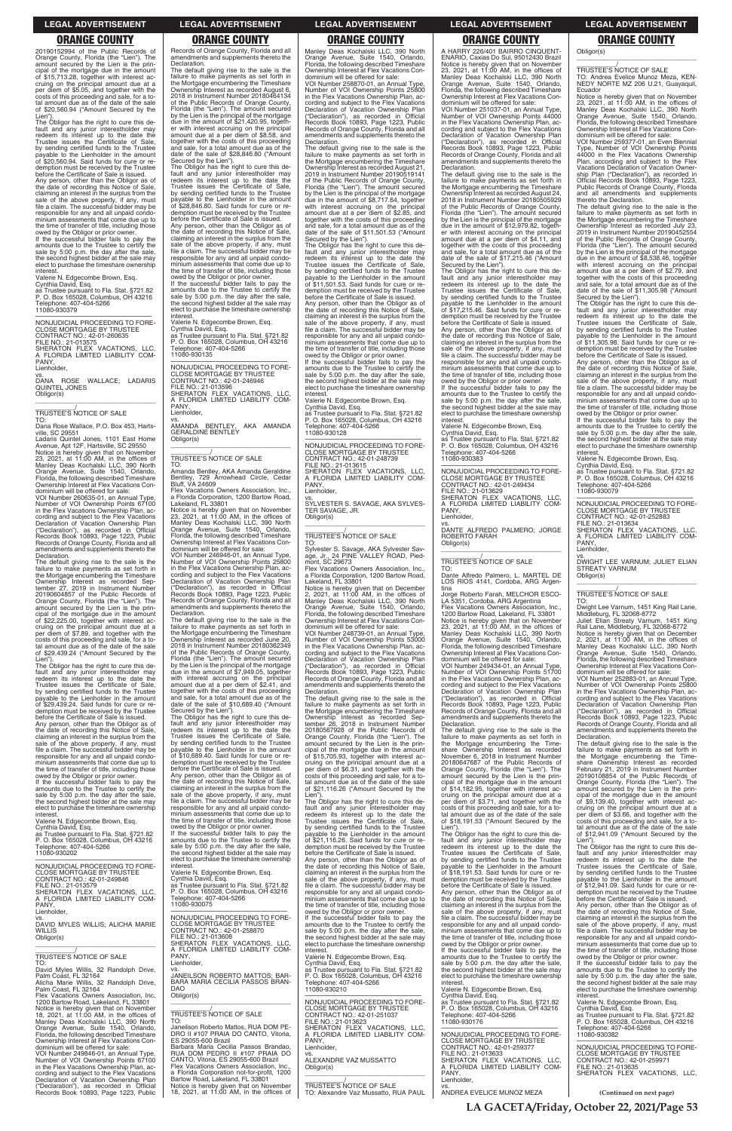**LA GACETA/Friday, October 22, 2021/Page 53**

20190152994 of the Public Records of Orange County, Florida (the "Lien"). The amount secured by the Lien is the principal of the mortgage due in the amount of \$15,713.28, together with interest accruing on the principal amount due at a per diem of \$5.05, and together with the costs of this proceeding and sale, for a to-tal amount due as of the date of the sale of \$20,560.94 ("Amount Secured by the

Lien"). The Obligor has the right to cure this default and any junior interestholder may redeem its interest up to the date the Trustee issues the Certificate of Sale, by sending certified funds to the Trustee payable to the Lienholder in the amount of \$20,560.94. Said funds for cure or redemption must be received by the Trustee before the Certificate of Sale is issued. Any person, other than the Obligor as of

the date of recording this Notice of Sale, claiming an interest in the surplus from the sale of the above property, if any, must file a claim. The successful bidder may be responsible for any and all unpaid condominium assessments that come due up to the time of transfer of title, including those

owed by the Obligor or prior owner. If the successful bidder fails to pay the amounts due to the Trustee to certify the sale by 5:00 p.m. the day after the sale, the second highest bidder at the sale may elect to purchase the timeshare ownership

interest. Valerie N. Edgecombe Brown, Esq.

Cynthia David, Esq. as Trustee pursuant to Fla. Stat. §721.82 P. O. Box 165028, Columbus, OH 43216

Telephone: 407-404-5266 11080-930379 —————————————————— NONJUDICIAL PROCEEDING TO FORE-

CLOSE MORTGAGE BY TRUSTEE CONTRACT NO.: 42-01-260635 FILE NO.: 21-013575 SHERATON FLEX VACATIONS, LLC, A FLORIDA LIMITED LIABILITY COM-PANY,

Lienholder,

vs. DANA ROSE WALLACE; LADARIS QUINTEL JONES Obligor(s) \_\_\_\_\_\_\_\_\_\_\_\_\_\_\_\_\_\_\_\_\_\_\_\_\_\_\_\_\_\_\_\_\_

# \_\_\_\_\_\_\_\_\_\_\_/ TRUSTEE'S NOTICE OF SALE

TO: Dana Rose Wallace, P.O. Box 453, Harts-ville, SC 29551

Ladaris Quintel Jones, 1101 East Home Avenue, Apt 12F, Hartsville, SC 29550 Notice is hereby given that on November 23, 2021, at 11:00 AM, in the offices of Manley Deas Kochalski LLC, 390 North Orange Avenue, Suite 1540, Orlando, Florida, the following described Timeshare Ownership Interest at Flex Vacations Con-dominium will be offered for sale:

VOI Number 260635-01, an Annual Type, Number of VOI Ownership Points 67100 in the Flex Vacations Ownership Plan, according and subject to the Flex Vacations<br>Declaration of Vacation Ownership Plan<br>("Declaration"), as recorded in Official<br>Records Book 10893, Page 1223, Public<br>Records of Orange County, Florida and all<br>amendments and suppl Declaration.

The default giving rise to the sale is the failure to make payments as set forth in the Mortgage encumbering the Timeshare Ownership Interest as recorded Sep-tember 27, 2019 in Instrument Number 20190604857 of the Public Records of Orange County, Florida (the "Lien"). The amount secured by the Lien is the principal of the mortgage due in the amount of \$22,225.00, together with interest ac-cruing on the principal amount due at a per diem of \$7.89, and together with the costs of this proceeding and sale, for a to-tal amount due as of the date of the sale of \$29,439.24 ("Amount Secured by the

The Obligor has the right to cure this default and any junior interestholder may redeem its interest up to the date the Trustee issues the Certificate of Sale, by sending certified funds to the Trustee payable to the Lienholder in the amount of \$28,846.80. Said funds for cure or redemption must be received by the Trustee before the Certificate of Sale is issued.

amounts due to the Trustee to certify the sale by 5:00 p.m. the day after the sale, the second highest bidder at the sale may elect to purchase the timeshare ownership nterest

Lien"). The Obligor has the right to cure this default and any junior interestholder may redeem its interest up to the date the Trustee issues the Certificate of Sale, by sending certified funds to the Trustee payable to the Lienholder in the amount of \$29,439.24. Said funds for cure or redemption must be received by the Trustee before the Certificate of Sale is issued. Any person, other than the Obligor as of the date of recording this Notice of Sale, claiming an interest in the surplus from the sale of the above property, if any, must file a claim. The successful bidder may be responsible for any and all unpaid condo-

Flex Vacations Owners Association, Inc., a Florida Corporation, 1200 Bartow Road,<br>Lakeland, FL 33801

minium assessments that come due up to the time of transfer of title, including those owed by the Obligor or prior owner. If the successful bidder fails to pay the amounts due to the Trustee to certify the sale by 5:00 p.m. the day after the sale, the second highest bidder at the sale may

elect to purchase the timeshare ownership interest. Valerie N. Edgecombe Brown, Esq.

Records of Orange County, Florida and all amendments and supplements thereto the Declaration.

The default giving rise to the sale is the failure to make payments as set forth in the Mortgage encumbering the Timeshare Ownership Interest as recorded August 6, 2018 in Instrument Number 20180464134 of the Public Records of Orange County, Florida (the "Lien"). The amount secured by the Lien is the principal of the mortgage due in the amount of \$21,420.95, together with interest accruing on the principal amount due at a per diem of \$8.58, and together with the costs of this proceeding and sale, for a total amount due as of the date of the sale of \$28,846.80 ("Amount Secured by the Lien").

Any person, other than the Obligor as of the date of recording this Notice of Sale, claiming an interest in the surplus from the sale of the above property, if any, must file a claim. The successful bidder may be responsible for any and all unpaid condominium assessments that come due up to the time of transfer of title, including those owed by the Obligor or prior owner. If the successful bidder fails to pay the

> TO: Sylvester S. Savage, AKA Sylvester Savage, Jr., 24 PINE VALLEY ROAD, Pied-<br>mont, SC 29673<br>Flex Vacations Owners Association, Inc.,

Valerie N. Edgecombe Brown, Esq. Cynthia David, Esq. as Trustee pursuant to Fla. Stat. §721.82 P. O. Box 165028, Columbus, OH 43216 Telephone: 407-404-5266 11080-930135

—————————————————— NONJUDICIAL PROCEEDING TO FORE-CLOSE MORTGAGE BY TRUSTEE CONTRACT NO.: 42-01-246946 FILE NO.: 21-013596 SHERATON FLEX VACATIONS, LLC, A FLORIDA LIMITED LIABILITY COM-PANY, Lienholder,

> The default giving rise to the sale is the failure to make payments as set forth in the Mortgage encumbering the Timeshare Ownership Interest as recorded Sep-tember 26, 2018 in Instrument Number 20180567928 of the Public Records of Orange County, Florida (the "Lien"). The amount secured by the Lien is the principal of the mortgage due in the amount of \$15,705.93, together with interest ac-cruing on the principal amount due at a per diem of \$6.31, and together with the costs of this proceeding and sale, for a to-tal amount due as of the date of the sale of \$21,116.26 ("Amount Secured by the

vs. AMANDA BENTLEY, AKA AMANDA GERALDINE BENTLEY Obligor(s) \_\_\_\_\_\_\_\_\_\_\_\_\_\_\_\_\_\_\_\_\_\_\_\_\_\_\_\_\_\_\_\_\_

# \_\_\_\_\_\_\_\_\_\_\_/ TRUSTEE'S NOTICE OF SALE

TO: Amanda Bentley, AKA Amanda Geraldine Bentley, 729 Arrowhead Circle, Cedar Bluff, VA 24609

Lakeland, FL 33801 Notice is hereby given that on November 23, 2021, at 11:00 AM, in the offices of Manley Deas Kochalski LLC, 390 North Orange Avenue, Suite 1540, Orlando, Florida, the following described Timeshare Ownership Interest at Flex Vacations Con-dominium will be offered for sale:

VOI Number 246946-01, an Annual Type, Number of VOI Ownership Points 25800 in the Flex Vacations Ownership Plan, according and subject to the Flex Vacations Declaration of Vacation Ownership Plan ("Declaration"), as recorded in Official Records Book 10893, Page 1223, Public Records of Orange County, Florida and all amendments and supplements thereto the Declaration.

The default giving rise to the sale is the failure to make payments as set forth in the Mortgage encumbering the Timeshare Ownership Interest as recorded June 20, 2018 in Instrument Number 20180362349 of the Public Records of Orange County, Florida (the "Lien"). The amount secured by the Lien is the principal of the mortgage due in the amount of \$7,949.05, together with interest accruing on the principal amount due at a per diem of \$2.41, and together with the costs of this proceeding<br>and sale, for a total amount due as of the and sale, for a total amount due as of the date of the sale of \$10,689.40 ("Amount fault and any junior interestholder may redeem its interest up to the date the Trustee issues the Certificate of Sale, by sending certified funds to the Trustee payable to the Lienholder in the amount of \$17,215.46. Said funds for cure or re-demption must be received by the Trustee

owed by the Obligor or prior owner. If the successful bidder fails to pay the amounts due to the Trustee to certify the sale by 5:00 p.m. the day after the sale, the second highest bidder at the sale may elect to purchase the timeshare ownership **interest** 

Secured by the Lien"). The Obligor has the right to cure this de-fault and any junior interestholder may redeem its interest up to the date the Trustee issues the Certificate of Sale, by sending certified funds to the Trustee payable to the Lienholder in the amount of \$10,689.40. Said funds for cure or re-demption must be received by the Trustee before the Certificate of Sale is issued.

Any person, other than the Obligor as of the date of recording this Notice of Sale, claiming an interest in the surplus from the sale of the above property, if any, must file a claim. The successful bidder may be responsible for any and all unpaid condominium assessments that come due up to the time of transfer of title, including those

Manley Deas Kochalski LLC, 390 North Orange Avenue, Suite 1540, Orlando, Florida, the following described Timeshare Ownership Interest at Flex Vacations Con-dominium will be offered for sale: VOI Number 258870-01, an Annual Type,

Number of VOI Ownership Points 25800 in the Flex Vacations Ownership Plan, ac-cording and subject to the Flex Vacations Declaration of Vacation Ownership Plan ("Declaration"), as recorded in Official Records Book 10893, Page 1223, Public Records of Orange County, Florida and all amendments and supplements thereto the Declaration.

The default giving rise to the sale is the failure to make payments as set forth in the Mortgage encumbering the Timeshare Ownership Interest as recorded August 21, 2019 in Instrument Number 20190519141 of the Public Records of Orange County, Florida (the "Lien"). The amount secured by the Lien is the principal of the mortgage due in the amount of \$8,717.64, together with interest accruing on the principal amount due at a per diem of \$2.85, and together with the costs of this proceeding and sale, for a total amount due as of the date of the sale of \$11,501.53 ("Amount Secured by the Lien").

The Obligor has the right to cure this de-fault and any junior interestholder may redeem its interest up to the date the Trustee issues the Certificate of Sale, by sending certified funds to the Trustee payable to the Lienholder in the amount of \$11,501.53. Said funds for cure or re-demption must be received by the Trustee before the Certificate of Sale is issued.

Any person, other than the Obligor as of the date of recording this Notice of Sale, claiming an interest in the surplus from the sale of the above property, if any, must file a claim. The successful bidder may be responsible for any and all unpaid condominium assessments that come due up to the time of transfer of title, including those owed by the Obligor or prior owner.

If the successful bidder fails to pay the amounts due to the Trustee to certify the sale by 5:00 p.m. the day after the sale, the second highest bidder at the sale may elect to purchase the timeshare ownership interest.

Valerie N. Edgecombe Brown, Esq. Cynthia David, Esq. as Trustee pursuant to Fla. Stat. §721.82

P. O. Box 165028, Columbus, OH 43216 Telephone: 407-404-5266 11080-930128

—————————————————— NONJUDICIAL PROCEEDING TO FORE-CLOSE MORTGAGE BY TRUSTEE CONTRACT NO.: 42-01-248739 FILE NO.: 21-013615 SHERATON FLEX VACATIONS, LLC, A FLORIDA LIMITED LIABILITY COM-PANY,

Lienholder,

vs. SYLVESTER S. SAVAGE, AKA SYLVES-TER SAVAGE, JR. Obligor(s) \_\_\_\_\_\_\_\_\_\_\_\_\_\_\_\_\_\_\_\_\_\_\_\_\_\_\_\_\_\_\_\_\_

# \_\_\_\_\_\_\_\_\_\_\_/ TRUSTEE'S NOTICE OF SALE

a Florida Corporation, 1200 Bartow Road, Lakeland, FL 33801 Notice is hereby given that on December

| Cynthia David, Esq.<br>as Trustee pursuant to Fla. Stat. §721.82<br>P. O. Box 165028, Columbus, OH 43216<br>Telephone: 407-404-5266<br>11080-930202<br>NONJUDICIAL PROCEEDING TO FORE-<br><b>CLOSE MORTGAGE BY TRUSTEE</b><br>CONTRACT NO.: 42-01-249846<br>FILE NO.: 21-013579<br>SHERATON FLEX VACATIONS. LLC.<br>A FLORIDA LIMITED LIABILITY COM-<br>PANY.<br>Lienholder,<br>VS.<br>DAVID MYLES WILLIS; ALICHA MARIE<br><b>WILLIS</b><br>Obligor(s)<br>TRUSTEE'S NOTICE OF SALE<br>TO:<br>David Myles Willis, 32 Randolph Drive,<br>Palm Coast, FL 32164<br>Alicha Marie Willis, 32 Randolph Drive,<br>Palm Coast, FL 32164<br>Flex Vacations Owners Association, Inc.<br>1200 Bartow Road, Lakeland, FL 33801<br>Notice is hereby given that on November<br>18, 2021, at 11:00 AM, in the offices of<br>Manley Deas Kochalski LLC, 390 North<br>Orange Avenue, Suite 1540, Orlando,<br>Florida, the following described Timeshare | owed by the Obligor or prior owner.<br>If the successful bidder fails to pay the<br>amounts due to the Trustee to certify the<br>sale by 5:00 p.m. the day after the sale,<br>the second highest bidder at the sale may<br>elect to purchase the timeshare ownership<br>interest.<br>Valerie N. Edgecombe Brown, Esg.<br>Cynthia David, Esg.<br>as Trustee pursuant to Fla. Stat. §721.82<br>P. O. Box 165028, Columbus, OH 43216<br>Telephone: 407-404-5266<br>11080-930075<br>NONJUDICIAL PROCEEDING TO FORE-<br><b>CLOSE MORTGAGE BY TRUSTEE</b><br>CONTRACT NO.: 42-01-258870<br>FILE NO.: 21-013608<br>SHERATON FLEX VACATIONS, LLC.<br>A FLORIDA LIMITED LIABILITY COM-<br>PANY.<br>Lienholder,<br>VS.<br>JANEILSON ROBERTO MATTOS: BAR-<br>BARA MARIA CECILIA PASSOS BRAN-<br><b>DAO</b><br>Obligor(s)<br>TRUSTEE'S NOTICE OF SALE<br>TO:<br>Janeilson Roberto Mattos, RUA DOM PE-<br>DRO II #107 PRAIA DO CANTO, Vitoria, | by sending certified funds to the Trustee<br>payable to the Lienholder in the amount<br>of \$21,116.26. Said funds for cure or re-<br>demption must be received by the Trustee<br>before the Certificate of Sale is issued.<br>Any person, other than the Obligor as of<br>the date of recording this Notice of Sale,<br>claiming an interest in the surplus from the<br>sale of the above property, if any, must<br>file a claim. The successful bidder may be<br>responsible for any and all unpaid condo-<br>minium assessments that come due up to<br>the time of transfer of title, including those<br>owed by the Obligor or prior owner.<br>If the successful bidder fails to pay the<br>amounts due to the Trustee to certify the<br>sale by 5:00 p.m. the day after the sale,<br>the second highest bidder at the sale may<br>elect to purchase the timeshare ownership<br>interest.<br>Valerie N. Edgecombe Brown, Esg.<br>Cynthia David, Esq.<br>as Trustee pursuant to Fla. Stat. §721.82<br>P. O. Box 165028, Columbus, OH 43216<br>Telephone: 407-404-5266<br>11080-930210<br>NONJUDICIAL PROCEEDING TO FORE-<br><b>CLOSE MORTGAGE BY TRUSTEE</b><br>CONTRACT NO.: 42-01-251037<br>FILE NO.: 21-013623<br>SHERATON FLEX VACATIONS. LLC.<br>A FLORIDA LIMITED LIABILITY COM- | Lien").<br>The Obligor has the right to cure this de-<br>fault and any junior interestholder may<br>redeem its interest up to the date the<br>Trustee issues the Certificate of Sale.<br>by sending certified funds to the Trustee<br>payable to the Lienholder in the amount<br>of \$18.191.53. Said funds for cure or re-<br>demption must be received by the Trustee<br>before the Certificate of Sale is issued.<br>Any person, other than the Obligor as of<br>the date of recording this Notice of Sale,<br>claiming an interest in the surplus from the<br>sale of the above property, if any, must<br>file a claim. The successful bidder may be<br>responsible for any and all unpaid condo-<br>minium assessments that come due up to<br>the time of transfer of title, including those<br>owed by the Obligor or prior owner.<br>If the successful bidder fails to pay the<br>amounts due to the Trustee to certify the<br>sale by 5:00 p.m. the day after the sale,<br>the second highest bidder at the sale may<br>elect to purchase the timeshare ownership<br>interest.<br>Valerie N. Edgecombe Brown, Esq.<br>Cynthia David, Esg.<br>as Trustee pursuant to Fla. Stat. §721.82<br>P. O. Box 165028. Columbus. OH 43216<br>Telephone: 407-404-5266<br>11080-930176<br>NONJUDICIAL PROCEEDING TO FORE- | tal amount due as of the date of the sale<br>of \$12,941.09 ("Amount Secured by the<br>Lien").<br>The Obligor has the right to cure this de-<br>fault and any junior interestholder may<br>redeem its interest up to the date the<br>Trustee issues the Certificate of Sale.<br>by sending certified funds to the Trustee<br>payable to the Lienholder in the amount<br>of \$12.941.09. Said funds for cure or re-<br>demption must be received by the Trustee<br>before the Certificate of Sale is issued.<br>Any person, other than the Obligor as of<br>the date of recording this Notice of Sale,<br>claiming an interest in the surplus from the<br>sale of the above property, if any, must<br>file a claim. The successful bidder may be<br>responsible for any and all unpaid condo-<br>minium assessments that come due up to<br>the time of transfer of title, including those<br>owed by the Obligor or prior owner.<br>If the successful bidder fails to pay the<br>amounts due to the Trustee to certify the<br>sale by 5:00 p.m. the day after the sale,<br>the second highest bidder at the sale may<br>elect to purchase the timeshare ownership<br>interest.<br>Valerie N. Edgecombe Brown, Esg.<br>Cynthia David, Esg.<br>as Trustee pursuant to Fla. Stat. §721.82<br>P. O. Box 165028, Columbus, OH 43216<br>Telephone: 407-404-5266<br>11080-930382 |
|---------------------------------------------------------------------------------------------------------------------------------------------------------------------------------------------------------------------------------------------------------------------------------------------------------------------------------------------------------------------------------------------------------------------------------------------------------------------------------------------------------------------------------------------------------------------------------------------------------------------------------------------------------------------------------------------------------------------------------------------------------------------------------------------------------------------------------------------------------------------------------------------------------------------------------------|-----------------------------------------------------------------------------------------------------------------------------------------------------------------------------------------------------------------------------------------------------------------------------------------------------------------------------------------------------------------------------------------------------------------------------------------------------------------------------------------------------------------------------------------------------------------------------------------------------------------------------------------------------------------------------------------------------------------------------------------------------------------------------------------------------------------------------------------------------------------------------------------------------------------------------------|-------------------------------------------------------------------------------------------------------------------------------------------------------------------------------------------------------------------------------------------------------------------------------------------------------------------------------------------------------------------------------------------------------------------------------------------------------------------------------------------------------------------------------------------------------------------------------------------------------------------------------------------------------------------------------------------------------------------------------------------------------------------------------------------------------------------------------------------------------------------------------------------------------------------------------------------------------------------------------------------------------------------------------------------------------------------------------------------------------------------------------------------------------------------------------------------------------------------------------------------------------------------------------------------|----------------------------------------------------------------------------------------------------------------------------------------------------------------------------------------------------------------------------------------------------------------------------------------------------------------------------------------------------------------------------------------------------------------------------------------------------------------------------------------------------------------------------------------------------------------------------------------------------------------------------------------------------------------------------------------------------------------------------------------------------------------------------------------------------------------------------------------------------------------------------------------------------------------------------------------------------------------------------------------------------------------------------------------------------------------------------------------------------------------------------------------------------------------------------------------------------------------------------------------------------------------------------------------------------------------------|--------------------------------------------------------------------------------------------------------------------------------------------------------------------------------------------------------------------------------------------------------------------------------------------------------------------------------------------------------------------------------------------------------------------------------------------------------------------------------------------------------------------------------------------------------------------------------------------------------------------------------------------------------------------------------------------------------------------------------------------------------------------------------------------------------------------------------------------------------------------------------------------------------------------------------------------------------------------------------------------------------------------------------------------------------------------------------------------------------------------------------------------------------------------------------------------------------------------------------------------------------------------------------------------------------------------------------------------------------------------------|
| Ownership Interest at Flex Vacations Con-<br>dominium will be offered for sale:<br>VOI Number 249846-01, an Annual Type,<br>Number of VOI Ownership Points 67100<br>in the Flex Vacations Ownership Plan, ac-<br>cording and subject to the Flex Vacations<br>Declaration of Vacation Ownership Plan                                                                                                                                                                                                                                                                                                                                                                                                                                                                                                                                                                                                                                  | ES 29055-600 Brazil<br>Barbara Maria Cecilia Passos Brandao.<br>RUA DOM PEDRO II #107 PRAIA DO<br>CANTO, Vitoria, ES 29055-600 Brazil<br>Flex Vacations Owners Association. Inc<br>a Florida Corporation not-for-profit, 1200<br>Bartow Road, Lakeland, FL 33801                                                                                                                                                                                                                                                                                                                                                                                                                                                                                                                                                                                                                                                                  | PANY.<br>Lienholder.<br>VS.<br>ALEXANDRE VAZ MUSSATTO<br>Obligor(s)                                                                                                                                                                                                                                                                                                                                                                                                                                                                                                                                                                                                                                                                                                                                                                                                                                                                                                                                                                                                                                                                                                                                                                                                                       | <b>CLOSE MORTGAGE BY TRUSTEE</b><br>CONTRACT NO.: 42-01-259377<br>FILE NO.: 21-013633<br>SHERATON FLEX VACATIONS, LLC,<br>A FLORIDA LIMITED LIABILITY COM-<br>PANY.<br>Lienholder.                                                                                                                                                                                                                                                                                                                                                                                                                                                                                                                                                                                                                                                                                                                                                                                                                                                                                                                                                                                                                                                                                                                                   | NONJUDICIAL PROCEEDING TO FORE-<br><b>CLOSE MORTGAGE BY TRUSTEE</b><br>CONTRACT NO.: 42-01-259971<br>FILE NO.: 21-013635<br>SHERATON FLEX VACATIONS, LLC,                                                                                                                                                                                                                                                                                                                                                                                                                                                                                                                                                                                                                                                                                                                                                                                                                                                                                                                                                                                                                                                                                                                                                                                                                |
| ("Declaration"), as recorded in Official<br>Records Book 10893, Page 1223, Public                                                                                                                                                                                                                                                                                                                                                                                                                                                                                                                                                                                                                                                                                                                                                                                                                                                     | Notice is hereby given that on November<br>18, 2021, at 11:00 AM, in the offices of                                                                                                                                                                                                                                                                                                                                                                                                                                                                                                                                                                                                                                                                                                                                                                                                                                               | TRUSTEE'S NOTICE OF SALE<br>TO: Alexandre Vaz Mussatto, RUA PAUL                                                                                                                                                                                                                                                                                                                                                                                                                                                                                                                                                                                                                                                                                                                                                                                                                                                                                                                                                                                                                                                                                                                                                                                                                          | VS.<br>ANDREA EVELICE MUNOZ MEZA                                                                                                                                                                                                                                                                                                                                                                                                                                                                                                                                                                                                                                                                                                                                                                                                                                                                                                                                                                                                                                                                                                                                                                                                                                                                                     | (Continued on next page)                                                                                                                                                                                                                                                                                                                                                                                                                                                                                                                                                                                                                                                                                                                                                                                                                                                                                                                                                                                                                                                                                                                                                                                                                                                                                                                                                 |

2, 2021, at 11:00 AM, in the offices of Manley Deas Kochalski LLC, 390 North Orange Avenue, Suite 1540, Orlando, Florida, the following described Timeshare Ownership Interest at Flex Vacations Con-dominium will be offered for sale:

VOI Number 248739-01, an Annual Type, Number of VOI Ownership Points 53000 in the Flex Vacations Ownership Plan, according and subject to the Flex Vacations<br>Declaration of Vacation Ownership Plan<br>("Declaration"), as recorded in Official<br>Records Book 10893, Page 1223, Public<br>Records of Orange County, Florida and all<br>amendments and suppl Declaration.

Lien"). The Obligor has the right to cure this default and any junior interestholder may redeem its interest up to the date the Trustee issues the Certificate of Sale, by sending certified funds to the Trustee payable to the Lienholder in the amount

A HARRY 226/401 BAIRRO CINQUENT-ENARIO, Caxias Do Sul, 95012430 Brazil Notice is hereby given that on November 23, 2021, at 11:00 AM, in the offices of Manley Deas Kochalski LLC, 390 North Orange Avenue, Suite 1540, Orlando, Florida, the following described Timeshare Ownership Interest at Flex Vacations Con-dominium will be offered for sale:

VOI Number 251037-01, an Annual Type, Number of VOI Ownership Points 44000 in the Flex Vacations Ownership Plan, according and subject to the Flex Vacations<br>Declaration of Vacation Ownership Plan<br>("Declaration"), as recorded in Official<br>Records Book 10893, Page 1223, Public<br>Records of Orange County, Florida and all<br>amendments and suppl Declaration.

The default giving rise to the sale is the failure to make payments as set forth in the Mortgage encumbering the Timeshare Ownership Interest as recorded August 24, 2018 in Instrument Number 20180505929 of the Public Records of Orange County, Florida (the "Lien"). The amount secured by the Lien is the principal of the mortgage due in the amount of \$12,979.82, togeth-er with interest accruing on the principal amount due at a per diem of \$4.11, and together with the costs of this proceeding and sale, for a total amount due as of the date of the sale of \$17,215.46 ("Amount Secured by the Lien"). The Obligor has the right to cure this de-

before the Certificate of Sale is issued. Any person, other than the Obligor as of the date of recording this Notice of Sale, claiming an interest in the surplus from the sale of the above property, if any, must file a claim. The successful bidder may be responsible for any and all unpaid condo-minium assessments that come due up to the time of transfer of title, including those

Valerie N. Edgecombe Brown, Esq. Cynthia David, Esq.

as Trustee pursuant to Fla. Stat. §721.82 P. O. Box 165028, Columbus, OH 43216 Telephone: 407-404-5266 11080-930383

—————————————————— NONJUDICIAL PROCEEDING TO FORE-CLOSE MORTGAGE BY TRUSTEE CONTRACT NO.: 42-01-249434 FILE NO.: 21-013629 SHERATON FLEX VACATIONS, LLC, A FLORIDA LIMITED LIABILITY COM-PANY,

Lienholder,

vs. DANTE ALFREDO PALMERO; JORGE ROBERTO FARAH Obligor(s) \_\_\_\_\_\_\_\_\_\_\_\_\_\_\_\_\_\_\_\_\_\_\_\_\_\_\_\_\_\_\_\_\_

\_\_\_\_\_\_\_\_\_\_\_/ TRUSTEE'S NOTICE OF SALE

TO: Dante Alfredo Palmero, L. MARTEL DE LOS RIOS 4141, Cordoba, ARG Argentina

Jorge Roberto Farah, MELCHOR ESCO-LA 5351, Cordoba, ARG Argentina Flex Vacations Owners Association, Inc.,

1200 Bartow Road, Lakeland, FL 33801 Notice is hereby given that on November 23, 2021, at 11:00 AM, in the offices of Manley Deas Kochalski LLC, 390 North Orange Avenue, Suite 1540, Orlando, Florida, the following described Timeshare Ownership Interest at Flex Vacations Con-dominium will be offered for sale: VOI Number 249434-01, an Annual Type,

Number of VOI Ownership Points 51700 in the Flex Vacations Ownership Plan, ac-cording and subject to the Flex Vacations Declaration of Vacation Ownership Plan ("Declaration"), as recorded in Official Records Book 10893, Page 1223, Public Records of Orange County, Florida and all amendments and supplements thereto the Declaration.

The default giving rise to the sale is the failure to make payments as set forth in the Mortgage encumbering the Timeshare Ownership Interest as recorded November 6, 2018 in Instrument Number 20180647687 of the Public Records of Orange County, Florida (the "Lien"). The amount secured by the Lien is the prin-cipal of the mortgage due in the amount of \$14,182.95, together with interest ac-cruing on the principal amount due at a per diem of \$3.71, and together with the costs of this proceeding and sale, for a to-tal amount due as of the date of the sale of \$18,191.53 ("Amount Secured by the Lien").

Obligor(s)

\_\_\_\_\_\_\_\_\_\_\_\_\_\_\_\_\_\_\_\_\_\_\_\_\_\_\_\_\_\_\_\_\_

\_\_\_\_\_\_\_\_\_\_\_/ TRUSTEE'S NOTICE OF SALE

TO: Andrea Evelice Munoz Meza, KEN-NEDY NORTE MZ 206 U.21, Guayaquil, Ecuador

Notice is hereby given that on November 23, 2021, at 11:00 AM, in the offices of Manley Deas Kochalski LLC, 390 North Orange Avenue, Suite 1540, Orlando, Florida, the following described Timeshare Ownership Interest at Flex Vacations Con-dominium will be offered for sale: VOI Number 259377-01, an Even Biennial

Type, Number of VOI Ownership Points 44000 in the Flex Vacations Ownership Plan, according and subject to the Flex Vacations Declaration of Vacation Owner-ship Plan ("Declaration"), as recorded in Official Records Book 10893, Page 1223, Public Records of Orange County, Florida and all amendments and supplements thereto the Declaration.

The default giving rise to the sale is the failure to make payments as set forth in the Mortgage encumbering the Timeshare Ownership Interest as recorded July 23, 2019 in Instrument Number 20190452554 of the Public Records of Orange County, Florida (the "Lien"). The amount secured by the Lien is the principal of the mortgage due in the amount of \$8,538.46, together with interest accruing on the principal amount due at a per diem of \$2.79, and together with the costs of this proceeding and sale, for a total amount due as of the date of the sale of \$11,305.98 ("Amount Secured by the Lien").

The Obligor has the right to cure this de-fault and any junior interestholder may redeem its interest up to the date the Trustee issues the Certificate of Sale, by sending certified funds to the Trustee payable to the Lienholder in the amount of \$11,305.98. Said funds for cure or redemption must be received by the Trustee before the Certificate of Sale is issued.

Any person, other than the Obligor as of the date of recording this Notice of Sale, claiming an interest in the surplus from the sale of the above property, if any, must file a claim. The successful bidder may be responsible for any and all unpaid condominium assessments that come due up to the time of transfer of title, including those owed by the Obligor or prior owner.

If the successful bidder fails to pay the amounts due to the Trustee to certify the sale by 5:00 p.m. the day after the sale, the second highest bidder at the sale may elect to purchase the timeshare ownership interest.

Valerie N. Edgecombe Brown, Esq. Cynthia David, Esq. as Trustee pursuant to Fla. Stat. §721.82

P. O. Box 165028, Columbus, OH 43216 Telephone: 407-404-5266 11080-930079

—————————————————— NONJUDICIAL PROCEEDING TO FORE-CLOSE MORTGAGE BY TRUSTEE CONTRACT NO.: 42-01-252883

FILE NO.: 21-013634 SHERATON FLEX VACATIONS, LLC, A FLORIDA LIMITED LIABILITY COM-PANY, Lienholder,

vs. DWIGHT LEE VARNUM; JULIET ELIAN STREATY VARNUM Obligor(s) \_\_\_\_\_\_\_\_\_\_\_\_\_\_\_\_\_\_\_\_\_\_\_\_\_\_\_\_\_\_\_\_\_

# \_\_\_\_\_\_\_\_\_\_\_/ TRUSTEE'S NOTICE OF SALE

TO: Dwight Lee Varnum, 1451 King Rail Lane, Middleburg, FL 32068-8772 Juliet Elian Streaty Varnum, 1451 King Rail Lane, Middleburg, FL 32068-8772

Notice is hereby given that on December 2, 2021, at 11:00 AM, in the offices of Manley Deas Kochalski LLC, 390 North Orange Avenue, Suite 1540, Orlando, Florida, the following described Timeshare Ownership Interest at Flex Vacations Con-

dominium will be offered for sale: VOI Number 252883-01, an Annual Type, Number of VOI Ownership Points 25800 in the Flex Vacations Ownership Plan, ac-cording and subject to the Flex Vacations Declaration of Vacation Ownership Plan ("Declaration"), as recorded in Official Records Book 10893, Page 1223, Public Records of Orange County, Florida and all amendments and supplements thereto the

Declaration. The default giving rise to the sale is the failure to make payments as set forth in the Mortgage encumbering the Time-share Ownership Interest as recorded February 21, 2019 in Instrument Number 20190108854 of the Public Records of Orange County, Florida (the "Lien"). The amount secured by the Lien is the prin-cipal of the mortgage due in the amount of \$9,139.40, together with interest accruing on the principal amount due at a per diem of \$3.66, and together with the per diem or \$3.66, and together with the<br>costs of this proceeding and sale, for a total amount due as of the date of the sale

### **LEGAL ADVERTISEMENT LEGAL ADVERTISEMENT LEGAL ADVERTISEMENT LEGAL ADVERTISEMENT LEGAL ADVERTISEMENT**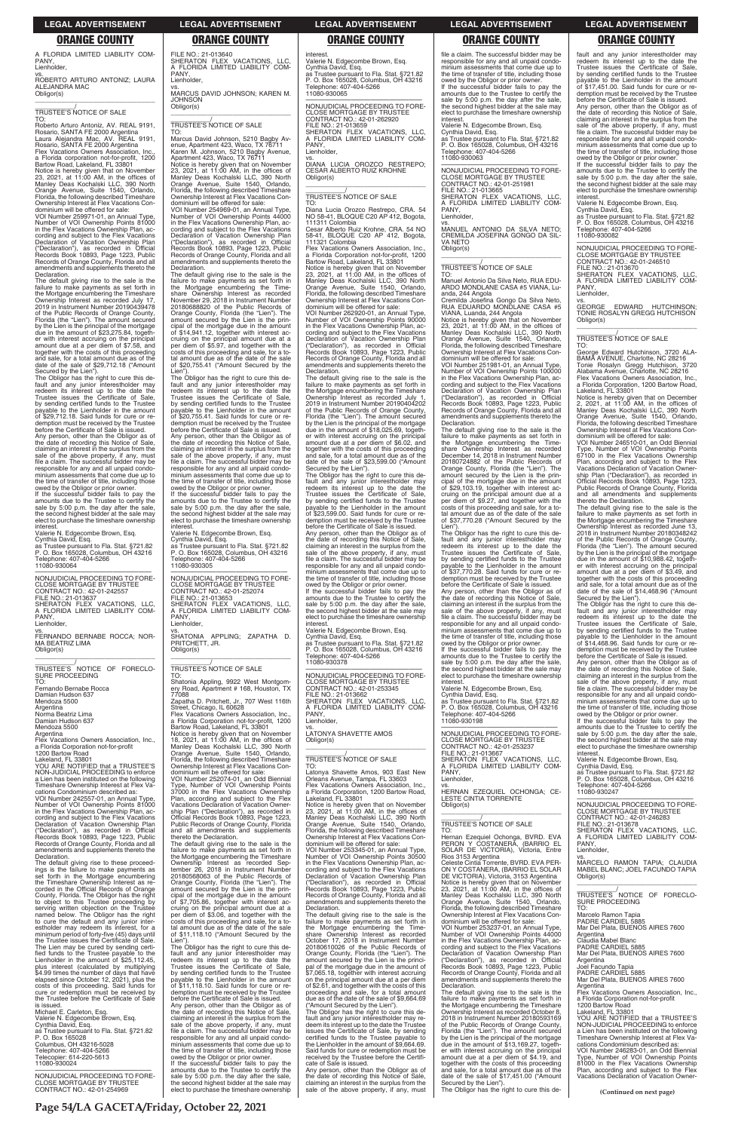A FLORIDA LIMITED LIABILITY COM-PANY, Lienholder,

vs. ROBERTO ARTURO ANTONIZ; LAURA ALEJANDRA MAC Obligor(s) \_\_\_\_\_\_\_\_\_\_\_\_\_\_\_\_\_\_\_\_\_\_\_\_\_\_\_\_\_\_\_\_\_

\_\_\_\_\_\_\_\_\_\_\_/ TRUSTEE'S NOTICE OF SALE

TO: Roberto Arturo Antoniz, AV. REAL 9191, Rosario, SANTA FE 2000 Argentina Laura Alejandra Mac, AV. REAL 9191, Rosario, SANTA FE 2000 Argentina Flex Vacations Owners Association, Inc. a Florida corporation not-for-profit, 1200 Bartow Road, Lakeland, FL 33801

Notice is hereby given that on November 23, 2021, at 11:00 AM, in the offices of Manley Deas Kochalski LLC, 390 North Orange Avenue, Suite 1540, Orlando, Florida, the following described Timeshare Ownership Interest at Flex Vacations Condominium will be offered for sale:

The Obligor has the right to cure this de-fault and any junior interestholder may redeem its interest up to the date the Trustee issues the Certificate of Sale, by sending certified funds to the Trustee payable to the Lienholder in the amount of \$29,712.18. Said funds for cure or redemption must be received by the Trustee before the Certificate of Sale is issued. Any person, other than the Obligor as of the date of recording this Notice of Sale, claiming an interest in the surplus from the sale of the above property, if any, must file a claim. The successful bidder may be responsible for any and all unpaid condominium assessments that come due up to the time of transfer of title, including those

VOI Number 259971-01, an Annual Type, Number of VOI Ownership Points 81000 in the Flex Vacations Ownership Plan, ac-cording and subject to the Flex Vacations Declaration of Vacation Ownership Plan ("Declaration"), as recorded in Official Records Book 10893, Page 1223, Public Records of Orange County, Florida and all amendments and supplements thereto the Declaration.

—————————————————— NONJUDICIAL PROCEEDING TO FORE-CLOSE MORTGAGE BY TRUSTEE CONTRACT NO.: 42-01-242557 FILE NO.: 21-013637 SHERATON FLEX VACATIONS, LLC, A FLORIDA LIMITED LIABILITY COM-PANY

The default giving rise to the sale is the failure to make payments as set forth in the Mortgage encumbering the Timeshare Ownership Interest as recorded July 17, 2019 in Instrument Number 20190439478 of the Public Records of Orange County, Florida (the "Lien"). The amount secured by the Lien is the principal of the mortgage due in the amount of \$23,275.84, together with interest accruing on the principal amount due at a per diem of \$7.58, and together with the costs of this proceeding and sale, for a total amount due as of the date of the sale of \$29,712.18 ("Amount Secured by the Lien").

Lienholder.

**Argentina** Norma Beatriz Lima Damian Hudson 637 Mendoza 5500

Argentina<sup>'</sup>

(*"*) as recorded Records Book 10893, Page 1223, Public Records of Orange County, Florida and all amendments and supplements thereto the Declaration.

The default giving rise to these proceed-ings is the failure to make payments as set forth in the Mortgage encumbering the Timeshare Ownership Interest as recorded in the Official Records of Orange County, Florida. The Obligor has the right to object to this Trustee proceeding by serving written objection on the Trustee named below. The Obligor has the right to cure the default and any junior inter-estholder may redeem its interest, for a minimum period of forty-five (45) days until the Trustee issues the Certificate of Sale. The Lien may be cured by sending certi-fied funds to the Trustee payable to the Lienholder in the amount of \$25,112.45, plus interest (calculated by multiplying \$4.99 times the number of days that have elapsed since October 12, 2021), plus the costs of this proceeding. Said funds for cure or redemption must be received by the Trustee before the Certificate of Sale<br>is issued

owed by the Obligor or prior owner. If the successful bidder fails to pay the amounts due to the Trustee to certify the sale by 5:00 p.m. the day after the sale, the second highest bidder at the sale may elect to purchase the timeshare ownership interest.

FILE NO.: 21-013640 SHERATON FLEX VACATIONS, LLC, A FLORIDA LIMITED LIABILITY COM-PANY, Lienholder

Valerie N. Edgecombe Brown, Esq.

Cynthia David, Esq. as Trustee pursuant to Fla. Stat. §721.82 P. O. Box 165028, Columbus, OH 43216 Telephone: 407-404-5266 11080-930064

vs. FERNANDO BERNABE ROCCA; NOR-MA BEATRIZ LIMA Obligor(s) \_\_\_\_\_\_\_\_\_\_\_\_\_\_\_\_\_\_\_\_\_\_\_\_\_\_\_\_\_\_\_\_\_

\_\_\_\_\_\_\_\_\_\_\_/ TRUSTEE'S NOTICE OF FORECLO-SURE PROCEEDING TO: Fernando Bernabe Rocca Damian Hudson 637 Mendoza 5500

Flex Vacations Owners Association, Inc.,

a Florida Corporation not-for-profit 1200 Bartow Road Lakeland, FL 33801 YOU ARE NOTIFIED that a TRUSTEE'S NON-JUDICIAL PROCEEDING to enforce a Lien has been instituted on the following Timeshare Ownership Interest at Flex Vacations Condominium described as: VOI Number 242557-01, an Annual Type, Number of VOI Ownership Points 81000 in the Flex Vacations Ownership Plan, ac-cording and subject to the Flex Vacations Declaration of Vacation Ownership Plan

is issued. Michael E. Carleton, Esq. Valerie N. Edgecombe Brown, Esq. Cynthia David, Esq. as Trustee pursuant to Fla. Stat. §721.82 P. O. Box 165028 Columbus, OH 43216-5028 Telephone: 407-404-5266 Telecopier: 614-220-5613 11080-930024

—————————————————— NONJUDICIAL PROCEEDING TO FORE-CLOSE MORTGAGE BY TRUSTEE CONTRACT NO.: 42-01-254969

vs. MARCUS DAVID JOHNSON; KAREN M. **JOHNSON** Obligor(s) \_\_\_\_\_\_\_\_\_\_\_\_\_\_\_\_\_\_\_\_\_\_\_\_\_\_\_\_\_\_\_\_\_

# \_\_\_\_\_\_\_\_\_\_\_/ TRUSTEE'S NOTICE OF SALE

TO:<br>Marcus David Johnson, 5210 Bagby Av-<br>Marcus David Monson, 5210 Bagby Avenue,<br>Apartment 423, Waco, TX 76711<br>Apartment 423, Waco, TX 76711<br>Notice is hereby given that on November<br>23, 2021, at 11:00 AM, in the offices of<br>

**interest** Valerie N. Edgecombe Brown, Esq. Cynthia David, Esq. as Trustee pursuant to Fla. Stat. §721.82 P. O. Box 165028, Columbus, OH 43216 Telephone: 407-404-5266 11080-930065

Cesar Alberto Ruiz Krohne, CRA. 54 NO 58-41, BLOQUE C20 AP 412, Bogota, 111321 Colombia Flex Vacations Owners Association, Inc.

Ownership Interest at Flex Vacations Condominium will be offered for sale:

> Notice is hereby given that on November<br>23, 2021, at 11:00 AM, in the offices of<br>Manley Deas Kochalski LLC, 390 North<br>Orange Avenue, Suite 1540, Orlando,<br>Florida, the following described Timeshare Ownership Interest at Flex Vacations Con-

VOI Number 254969-01, an Annual Type, Number of VOI Ownership Points 44000 in the Flex Vacations Ownership Plan, according and subject to the Flex Vacations Declaration of Vacation Ownership Plan ("Declaration"), as recorded in Official Records Book 10893, Page 1223, Public Records of Orange County, Florida and all amendments and supplements thereto the

Declaration. The default giving rise to the sale is the failure to make payments as set forth in the Mortgage encumbering the Time-share Ownership Interest as recorded November 29, 2018 in Instrument Number 20180688820 of the Public Records of Orange County, Florida (the "Lien"). The amount secured by the Lien is the principal of the mortgage due in the amount of \$14,941.12, together with interest accruing on the principal amount due at a per diem of \$5.97, and together with the costs of this proceeding and sale, for a total amount due as of the date of the sale of \$20,755.41 ("Amount Secured by the

> The Obligor has the right to cure this default and any junior interestholder may redeem its interest up to the date the Trustee issues the Certificate of Sale, by sending certified funds to the Trustee payable to the Lienholder in the amount of \$23,599.00. Said funds for cure or redemption must be received by the Trustee before the Certificate of Sale is issued. Any person, other than the Obligor as of the date of recording this Notice of Sale, claiming an interest in the surplus from the sale of the above property, if any, must file a claim. The successful bidder may be responsible for any and all unpaid condominium assessments that come due up to the time of transfer of title, including those

Lien"). The Obligor has the right to cure this de-fault and any junior interestholder may redeem its interest up to the date the Trustee issues the Certificate of Sale, by sending certified funds to the Trustee payable to the Lienholder in the amount of \$20,755.41. Said funds for cure or redemption must be received by the Trustee before the Certificate of Sale is issued. Any person, other than the Obligor as of the date of recording this Notice of Sale, claiming an interest in the surplus from the sale of the above property, if any, must file a claim. The successful bidder may be responsible for any and all unpaid condominium assessments that come due up to the time of transfer of title, including those owed by the Obligor or prior owner. If the successful bidder fails to pay the amounts due to the Trustee to certify the sale by 5:00 p.m. the day after the sale, the second highest bidder at the sale may elect to purchase the timeshare ownership

interest. Valerie N. Edgecombe Brown, Esq. Cynthia David, Esq. as Trustee pursuant to Fla. Stat. §721.82 P. O. Box 165028, Columbus, OH 43216

Telephone: 407-404-5266 11080-930305 —————————————————— NONJUDICIAL PROCEEDING TO FORE-

CLOSE MORTGAGE BY TRUSTEE CONTRACT NO.: 42-01-252074 FILE NO.: 21-013653 SHERATON FLEX VACATIONS, LLC, A FLORIDA LIMITED LIABILITY COM-PANY, Lienholder, vs. SHATONIA APPLING; ZAPATHA D. PRITCHETT, JR. Obligor(s) \_\_\_\_\_\_\_\_\_\_\_\_\_\_\_\_\_\_\_\_\_\_\_\_\_\_\_\_\_\_\_\_\_

\_\_\_\_\_\_\_\_\_\_\_/ TRUSTEE'S NOTICE OF SALE

TO: Shatonia Appling, 9922 West Montgomery Road, Apartment # 168, Houston, TX 77088

CLOSE MORTGAGE BY TRUSTEE CONTRACT NO.: 42-01-251981 FILE NO.: 21-013665 SHERATON FLEX VACATIONS, LLC, A FLORIDA LIMITED LIABILITY COM-**PANY** 

Zapatha D. Pritchett, Jr., 707 West 116th Street, Chicago, IL 60628 Flex Vacations Owners Association, Inc., a Florida Corporation not-for-profit, 1200 Bartow Road, Lakeland, FL 33801

Notice is hereby given that on November 18, 2021, at 11:00 AM, in the offices of Manley Deas Kochalski LLC, 390 North Orange Avenue, Suite 1540, Orlando, Florida, the following described Timeshare Ownership Interest at Flex Vacations Con-

dominium will be offered for sale: VOI Number 252074-01, an Odd Biennial Type, Number of VOI Ownership Points 37000 in the Flex Vacations Ownership Plan, according and subject to the Flex Vacations Declaration of Vacation Ownership Plan ("Declaration"), as recorded in Official Records Book 10893, Page 1223, Public Records of Orange County, Florida and all amendments and supplements

thereto the Declaration.

The default giving rise to the sale is the failure to make payments as set forth in the Mortgage encumbering the Timeshare Ownership Interest as recorded Sep-tember 26, 2018 in Instrument Number 20180568063 of the Public Records of Orange County, Florida (the "Lien"). The amount secured by the Lien is the principal of the mortgage due in the amount of \$7,705.86, together with interest ac-cruing on the principal amount due at a per diem of \$3.06, and together with the costs of this proceeding and sale, for a to-tal amount due as of the date of the sale of \$11,118.10 ("Amount Secured by the Lien").

FILE NO.: 21-013667 SHERATON FLEX VACATIONS, LLC, A FLORIDA LIMITED LIABILITY COM-**PANY** 

The Obligor has the right to cure this default and any junior interestholder may redeem its interest up to the date the Trustee issues the Certificate of Sale, by sending certified funds to the Trustee payable to the Lienholder in the amount of \$11,118.10. Said funds for cure or redemption must be received by the Trustee before the Certificate of Sale is issued.

Any person, other than the Obligor as of the date of recording this Notice of Sale, claiming an interest in the surplus from the sale of the above property, if any, must file a claim. The successful bidder may be responsible for any and all unpaid condo-minium assessments that come due up to the time of transfer of title, including those owed by the Obligor or prior owner. If the successful bidder fails to pay the

amounts due to the Trustee to certify the sale by 5:00 p.m. the day after the sale, the second highest bidder at the sale may elect to purchase the timeshare ownership

—————————————————— NONJUDICIAL PROCEEDING TO FORE-CLOSE MORTGAGE BY TRUSTEE CONTRACT NO.: 42-01-262920 FILE NO.: 21-013659 SHERATON FLEX VACATIONS, LLC. FLORIDA LIMITED LIABILITY COM-PANY, Lienholder,

vs. DIANA LUCIA OROZCO RESTREPO; CESAR ALBERTO RUIZ KROHNE Obligor(s) \_\_\_\_\_\_\_\_\_\_\_\_\_\_\_\_\_\_\_\_\_\_\_\_\_\_\_\_\_\_\_\_\_

# \_\_\_\_\_\_\_\_\_\_\_/ TRUSTEE'S NOTICE OF SALE

TO: Diana Lucia Orozco Restrepo, CRA. 54 NO 58-41, BLOQUE C20 AP 412, Bogota, 111311 Colombia

a Florida Corporation not-for-profit, 1200 Bartow Road, Lakeland, FL 33801

Notice is hereby given that on December<br>2, 2021, at 11:00 AM, in the offices of<br>Manley Deas Kochalski LLC, 390 North<br>Orange Avenue, Suite 1540, Orlando,<br>Florida, the following described Timeshare Ownership Interest at Flex Vacations Condominium will be offered for sale:

dominium will be offered for sale: VOI Number 262920-01, an Annual Type, Number of VOI Ownership Points 90000 in the Flex Vacations Ownership Plan, according and subject to the Flex Vacations Declaration of Vacation Ownership Plan ("Declaration"), as recorded in Official Records Book 10893, Page 1223, Public Records of Orange County, Florida and all amendments and supplements thereto the Declaration.

The default giving rise to the sale is the failure to make payments as set forth in the Mortgage encumbering the Timeshare Ownership Interest as recorded July 1, 2019 in Instrument Number 20190404202 of the Public Records of Orange County, Florida (the "Lien"). The amount secured by the Lien is the principal of the mortgage due in the amount of \$18,025.69, together with interest accruing on the principal amount due at a per diem of \$6.02, and together with the costs of this proceeding and sale, for a total amount due as of the date of the sale of \$23,599.00 ("Amount Secured by the Lien").

owed by the Obligor or prior owner. If the successful bidder fails to pay the amounts due to the Trustee to certify the sale by 5:00 p.m. the day after the sale, the second highest bidder at the sale may elect to purchase the timeshare ownership interest.

Valerie N. Edgecombe Brown, Esq.

Cynthia David, Esq. as Trustee pursuant to Fla. Stat. §721.82 P. O. Box 165028, Columbus, OH 43216 Telephone: 407-404-5266 11080-930378

—————————————————— NONJUDICIAL PROCEEDING TO FORE-CLOSE MORTGAGE BY TRUSTEE CONTRACT NO.: 42-01-253345 FILE NO.: 21-013662 SHERATON FLEX VACATIONS, LLC, A FLORIDA LIMITED LIABILITY COM-PANY, Lienholder,

vs. LATONYA SHAVETTE AMOS Obligor(s)

\_\_\_\_\_\_\_\_\_\_\_\_\_\_\_\_\_\_\_\_\_\_\_\_\_\_\_\_\_\_\_\_\_

\_\_\_\_\_\_\_\_\_\_\_/ TRUSTEE'S NOTICE OF SALE

TO: Latonya Shavette Amos, 903 East New Orleans Avenue, Tampa, FL 33603 Flex Vacations Owners Association, Inc. a Florida Corporation, 1200 Bartow Road, Lakeland, FL 33801 Notice is hereby given that on November 23, 2021, at 11:00 AM, in the offices of Manley Deas Kochalski LLC, 390 North Orange Avenue, Suite 1540, Orlando, Florida, the following described Timeshare Ownership Interest at Flex Vacations Condominium will be offered for sale: VOI Number 253345-01, an Annual Type, Number of VOI Ownership Points 30500 in the Flex Vacations Ownership Plan, according and subject to the Flex Vacations Declaration of Vacation Ownership Plan ("Declaration"), as recorded in Official Records Book 10893, Page 1223, Public Records of Orange County, Florida and all amendments and supplements thereto the Declaration. The default giving rise to the sale is the failure to make payments as set forth in the Mortgage encumbering the Timeshare Ownership Interest as recorded October 17, 2018 in Instrument Number 20180610026 of the Public Records of Orange County, Florida (the "Lien"). The amount secured by the Lien is the principal of the mortgage due in the amount of \$7,065.18, together with interest accruing on the principal amount due at a per diem of \$2.61, and together with the costs of this proceeding and sale, for a total amount due as of the date of the sale of \$9,664.69 ("Amount Secured by the Lien"). The Obligor has the right to cure this default and any junior interestholder may redeem its interest up to the date the Trustee issues the Certificate of Sale, by sending certified funds to the Trustee payable to the Lienholder in the amount of \$9,664.69. Said funds for cure or redemption must be received by the Trustee before the Certifi-cate of Sale is issued. Any person, other than the Obligor as of the date of recording this Notice of Sale, claiming an interest in the surplus from the sale of the above property, if any, must file a claim. The successful bidder may be responsible for any and all unpaid condominium assessments that come due up to the time of transfer of title, including those owed by the Obligor or prior owner. If the successful bidder fails to pay the amounts due to the Trustee to certify the sale by 5:00 p.m. the day after the sale, the second highest bidder at the sale may elect to purchase the timeshare ownership interest.

Valerie N. Edgecombe Brown, Esq. Cynthia David, Esq. as Trustee pursuant to Fla. Stat. §721.82 P. O. Box 165028, Columbus, OH 43216

Telephone: 407-404-5266 11080-930063 —————————————————— NONJUDICIAL PROCEEDING TO FORE-

Lienholder,

vs. MANUEL ANTONIO DA SILVA NETO; CREMILDA JOSEFINA GONGO DA SIL-VA NETO Obligor(s) \_\_\_\_\_\_\_\_\_\_\_\_\_\_\_\_\_\_\_\_\_\_\_\_\_\_\_\_\_\_\_\_\_

# \_\_\_\_\_\_\_\_\_\_\_/ TRUSTEE'S NOTICE OF SALE

TO: Manuel Antonio Da Silva Neto, RUA EDU-ARDO MONDLANE CASA #5 VIANA, Luanda, 244 Angola

Cremilda Josefina Gongo Da Silva Neto, RUA EDUARDO MONDLANE CASA #5 VIANA, Luanda, 244 Angola

Notice is hereby given that on November 23, 2021, at 11:00 AM, in the offices of Manley Deas Kochalski LLC, 390 North Orange Avenue, Suite 1540, Orlando, Florida, the following described Timeshare Ownership Interest at Flex Vacations Condominium will be offered for sale:

VOI Number 251981-01, an Annual Type, Number of VOI Ownership Points 100000 in the Flex Vacations Ownership Plan, according and subject to the Flex Vacations Declaration of Vacation Ownership Plan ("Declaration"), as recorded in Official Records Book 10893, Page 1223, Public Records of Orange County, Florida and all amendments and supplements thereto the Declaration.

The default giving rise to the sale is the failure to make payments as set forth in the Mortgage encumbering the Time-share Ownership Interest as recorded December 14, 2018 in Instrument Number 20180724882 of the Public Records of Orange County, Florida (the "Lien"). The amount secured by the Lien is the principal of the mortgage due in the amount of \$29,103.19, together with interest accruing on the principal amount due at a per diem of \$9.27, and together with the costs of this proceeding and sale, for a to-tal amount due as of the date of the sale of \$37,770.28 ("Amount Secured by the

Lien"). The Obligor has the right to cure this default and any junior interestholder may redeem its interest up to the date the Trustee issues the Certificate of Sale, by sending certified funds to the Trustee payable to the Lienholder in the amount of \$37,770.28. Said funds for cure or redemption must be received by the Trustee before the Certificate of Sale is issued.

Any person, other than the Obligor as of date of recording this Notice of Sale claiming an interest in the surplus from the sale of the above property, if any, must file a claim. The successful bidder may be responsible for any and all unpaid condominium assessments that come due up to the time of transfer of title, including those owed by the Obligor or prior owner. If the successful bidder fails to pay the

amounts due to the Trustee to certify the sale by 5:00 p.m. the day after the sale, the second highest bidder at the sale may elect to purchase the timeshare ownership interest.

Valerie N. Edgecombe Brown, Esq.

Cynthia David, Esq. as Trustee pursuant to Fla. Stat. §721.82 P. O. Box 165028, Columbus, OH 43216 Telephone: 407-404-5266 11080-930198

—————————————————— NONJUDICIAL PROCEEDING TO FORE-CLOSE MORTGAGE BY TRUSTEE CONTRACT NO.: 42-01-253237

Lienholder,

vs. HERNAN EZEQUIEL OCHONGA; CE-LESTE CINTIA TORRENTE Obligor(s) \_\_\_\_\_\_\_\_\_\_\_\_\_\_\_\_\_\_\_\_\_\_\_\_\_\_\_\_\_\_\_\_\_ fault and any junior interestholder may redeem its interest up to the date the Trustee issues the Certificate of Sale, by sending certified funds to the Trustee payable to the Lienholder in the amount of \$17,451.00. Said funds for cure or redemption must be received by the Trustee before the Certificate of Sale is issued.

Any person, other than the Obligor as of the date of recording this Notice of Sale, claiming an interest in the surplus from the sale of the above property, if any, must file a claim. The successful bidder may be responsible for any and all unpaid condominium assessments that come due up to the time of transfer of title, including those

owed by the Obligor or prior owner. If the successful bidder fails to pay the amounts due to the Trustee to certify the sale by 5:00 p.m. the day after the sale, the second highest bidder at the sale may elect to purchase the timeshare ownership interest.

Valerie N. Edgecombe Brown, Esq. Cynthia David, Esq. as Trustee pursuant to Fla. Stat. §721.82 P. O. Box 165028, Columbus, OH 43216 Telephone: 407-404-5266 11080-930082

—————————————————— NONJUDICIAL PROCEEDING TO FORE-CLOSE MORTGAGE BY TRUSTEE CONTRACT NO.: 42-01-246510 FILE NO.: 21-013670 SHERATON FLEX VACATIONS, LLC, A FLORIDA LIMITED LIABILITY COM-PANY,

Lienholder,

vs. GEORGE EDWARD HUTCHINSON; TONIE ROSALYN GREGG HUTCHISON Obligor(s) \_\_\_\_\_\_\_\_\_\_\_\_\_\_\_\_\_\_\_\_\_\_\_\_\_\_\_\_\_\_\_\_\_

\_\_\_\_\_\_\_\_\_\_\_/ TRUSTEE'S NOTICE OF SALE

\_\_\_\_\_\_\_\_\_\_\_/ TRUSTEE'S NOTICE OF SALE TO: Hernan Ezequiel Ochonga, BVRD. EVA PERON Y COSTANERA, (BARRIO EL SOLAR DE VICTORIA), Victoria, Entre Rios 3153 Argentina Celeste Cintia Torrente, BVRD. EVA PER-ON Y COSTANERA, (BARRIO EL SOLAR DE VICTORIA), Victoria, 3153 Argentina Notice is hereby given that on November<br>23, 2021, at 11:00 AM, in the offices of<br>Manley Deas Kochalski LLC, 390 North<br>Orange Avenue, Suite 1540, Orlando,<br>Florida, the following described Timeshare Ownership Interest at Flex Vacations Condominium will be offered for sale: VOI Number 253237-01, an Annual Type, Number of VOI Ownership Points 44000 in the Flex Vacations Ownership Plan, according and subject to the Flex Vacations Declaration of Vacation Ownership Plan ("Declaration"), as recorded in Official Records Book 10893, Page 1223, Public Records of Orange County, Florida and all amendments and supplements thereto the Declaration. The default giving rise to the sale is the failure to make payments as set forth in the Mortgage encumbering the Timeshare Ownership Interest as recorded October 8, 2018 in Instrument Number 20180593169 of the Public Records of Orange County, Florida (the "Lien"). The amount secured by the Lien is the principal of the mortgage due in the amount of \$13,169.27, together with interest accruing on the principal amount due at a per diem of \$4.19, and together with the costs of this proceeding and sale, for a total amount due as of the date of the sale of \$17,451.00 ("Amount Secured by the Lien"). The Obligor has the right to cure this de-CONTRACT NO.: 42-01-246283 FILE NO.: 21-013678 A FLL<br>PANY, TO: Argentina

TO: George Edward Hutchinson, 3720 ALA-BAMA AVENUE, Charlotte, NC 28216 Tonie Rosalyn Gregg Hutchison, 3720 Alabama Avenue, Charlotte, NC 28216 Flex Vacations Owners Association, Inc. a Florida Corporation, 1200 Bartow Road, Lakeland, FL 33801

VOI Number 246510-01, an Odd Biennial Type, Number of VOI Ownership Points 67100 in the Flex Vacations Ownership Plan, according and subject to the Flex Vacations Declaration of Vacation Ownership Plan ("Declaration"), as recorded in Official Records Book 10893, Page 1223, Public Records of Orange County, Florida and all amendments and supplements thereto the Declaration.

The default giving rise to the sale is the failure to make payments as set forth in the Mortgage encumbering the Timeshare Ownership Interest as recorded June 13, 2018 in Instrument Number 20180348242 of the Public Records of Orange County, Florida (the "Lien"). The amount secured by the Lien is the principal of the mortgage due in the amount of \$10,988.42, together with interest accruing on the principal amount due at a per diem of \$3.49, and together with the costs of this proceeding and sale, for a total amount due as of the date of the sale of \$14,468.96 ("Amount

Secured by the Lien"). The Obligor has the right to cure this default and any junior interestholder may redeem its interest up to the date the Trustee issues the Certificate of Sale, by sending certified funds to the Trustee payable to the Lienholder in the amount of \$14,468.96. Said funds for cure or redemption must be received by the Trustee before the Certificate of Sale is issued.

Any person, other than the Obligor as of the date of recording this Notice of Sale, claiming an interest in the surplus from the sale of the above property, if any, must file a claim. The successful bidder may be responsible for any and all unpaid condominium assessments that come due up to the time of transfer of title, including those owed by the Obligor or prior owner. If the successful bidder fails to pay the

amounts due to the Trustee to certify the sale by 5:00 p.m. the day after the sale, the second highest bidder at the sale may elect to purchase the timeshare ownership

Valerie N. Edgecombe Brown, Esq.

interest

11080-930247

Cynthia David, Esq. as Trustee pursuant to Fla. Stat. §721.82 P. O. Box 165028, Columbus, OH 43216 Telephone: 407-404-5266

—————————————————— NONJUDICIAL PROCEEDING TO FORE-CLOSE MORTGAGE BY TRUSTEE

SHERATON FLEX VACATIONS, LLC, A FLORIDA LIMITED LIABILITY COM-Lienholder, vs. MARCELO RAMON TAPIA; CLAUDIA MABEL BLANC; JOEL FACUNDO TAPIA Obligor(s) \_\_\_\_\_\_\_\_\_\_\_\_\_\_\_\_\_\_\_\_\_\_\_\_\_\_\_\_\_\_\_\_\_ \_\_\_\_\_\_\_\_\_\_\_/<br>TRUSTEE'S NOTICE OF FORECLO-<br>SURE PROCEEDING Marcelo Ramon Tapia PADRE CARDIEL 5885 Mar Del Plata, BUENOS AIRES 7600 Claudia Mabel Blanc PADRE CARDIEL 5885 Mar Del Plata, BUENOS AIRES 7600 **Argentina** Joel Facundo Tapia PADRE CARDIEL 5885 Mar Del Plata, BUENOS AIRES 7600 Argentina Flex Vacations Owners Association, Inc., a Florida Corporation not-for-profit 1200 Bartow Road Lakeland, FL 33801 YOU ARE NOTIFIED that a TRUSTEE'S NON-JUDICIAL PROCEEDING to enforce a Lien has been instituted on the following Timeshare Ownership Interest at Flex Vacations Condominium described as: VOI Number 246283-01, an Odd Biennial Type, Number of VOI Ownership Points 81000 in the Flex Vacations Ownership Plan, according and subject to the Flex Vacations Declaration of Vacation Owner-

**(Continued on next page)**

### **LEGAL ADVERTISEMENT LEGAL ADVERTISEMENT LEGAL ADVERTISEMENT LEGAL ADVERTISEMENT LEGAL ADVERTISEMENT**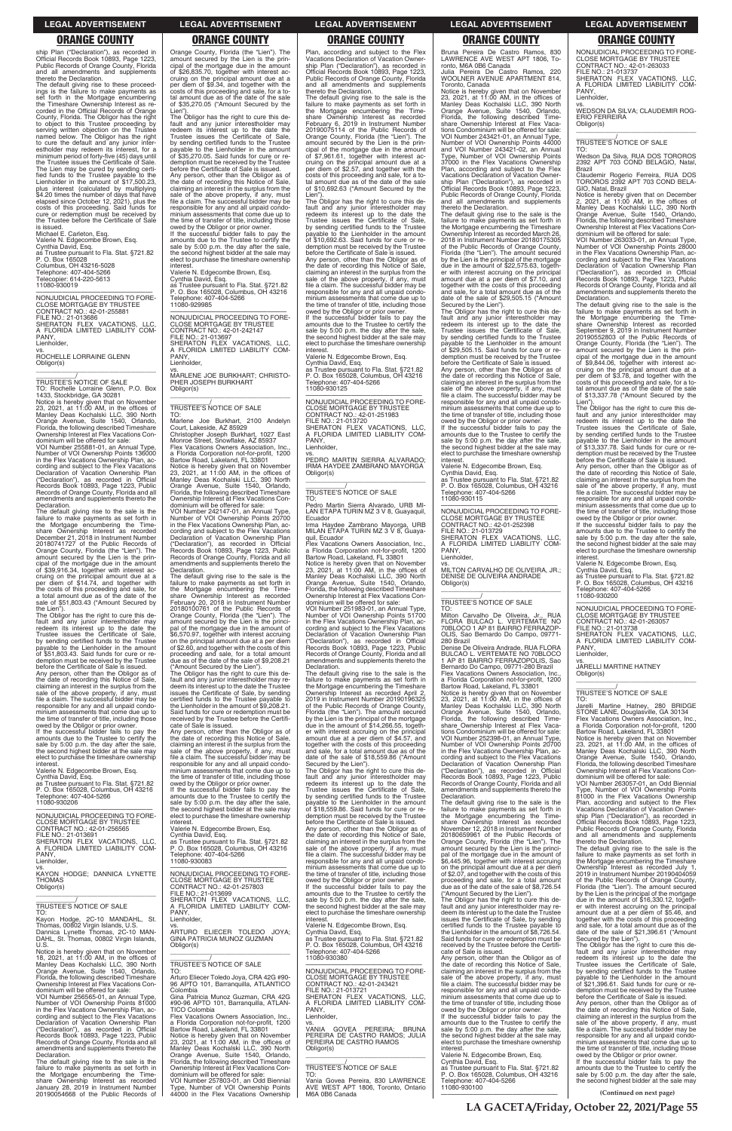ship Plan ("Declaration"), as recorded in Official Records Book 10893, Page 1223, Public Records of Orange County, Florida and all amendments and supplements thereto the Declaration.

The default giving rise to these proceed-ings is the failure to make payments as set forth in the Mortgage encumbering the Timeshare Ownership Interest as re-corded in the Official Records of Orange County, Florida. The Obligor has the right to object to this Trustee proceeding by serving written objection on the Trustee named below. The Obligor has the right to cure the default and any junior inter-estholder may redeem its interest, for a minimum period of forty-five (45) days until the Trustee issues the Certificate of Sale. The Lien may be cured by sending certified funds to the Trustee payable to the Lienholder in the amount of \$17,500.23, plus interest (calculated by multiplying \$4.20 times the number of days that have elapsed since October 12, 2021), plus the costs of this proceeding. Said funds for cure or redemption must be received by the Trustee before the Certificate of Sale

is issued. Michael E. Carleton, Esq. Valerie N. Edgecombe Brown, Esq. Cynthia David, Esq. as Trustee pursuant to Fla. Stat. §721.82 P. O. Box 165028 Columbus, OH 43216-5028 Telephone: 407-404-5266 Telecopier: 614-220-5613 11080-930019

—————————————————— NONJUDICIAL PROCEEDING TO FORE-CLOSE MORTGAGE BY TRUSTEE CONTRACT NO.: 42-01-255881 FILE NO.: 21-013686 SHERATON FLEX VACATIONS, LLC, A FLORIDA LIMITED LIABILITY COM-PANY Lienholder,

vs. ROCHELLE LORRAINE GLENN Obligor(s) \_\_\_\_\_\_\_\_\_\_\_\_\_\_\_\_\_\_\_\_\_\_\_\_\_\_\_\_\_\_\_\_\_

\_\_\_\_\_\_\_\_\_\_\_/ TRUSTEE'S NOTICE OF SALE

TO: Rochelle Lorraine Glenn, P.O. Box 1433, Stockbridge, GA 30281 Notice is hereby given that on November 23, 2021, at 11:00 AM, in the offices of Manley Deas Kochalski LLC, 390 North Orange Avenue, Suite 1540, Orlando, Florida, the following described Timeshare Ownership Interest at Flex Vacations Con-dominium will be offered for sale:

owed by the Obligor or prior owner. If the successful bidder fails to pay the amounts due to the Trustee to certify the sale by 5:00 p.m. the day after the sale, the second highest bidder at the sale may elect to purchase the timeshare ownership interest

VOI Number 255881-01, an Annual Type, Number of VOI Ownership Points 136000 in the Flex Vacations Ownership Plan, according and subject to the Flex Vacations Declaration of Vacation Ownership Plan ("Declaration"), as recorded in Official Records Book 10893, Page 1223, Public Records of Orange County, Florida and all amendments and supplements thereto the Declaration.

The default giving rise to the sale is the failure to make payments as set forth in the Mortgage encumbering the Time-<br>share Ownership Interest as recorded<br>December 21, 2018 in Instrument Number<br>20180741727 of the Public Records of<br>Orange County, Florida (the "Lien"). The<br>amount secured by the Lien is the cipal of the mortgage due in the amount<br>of \$39,916.34, together with interest ac-<br>cruing on the principal amount due at a<br>per diem of \$14.74, and together with<br>the costs of this proceeding and sale, for<br>a total amount due sale of \$51,803.43 ("Amount Secured by the Lien"). The Obligor has the right to cure this de-

fault and any junior interestholder may redeem its interest up to the date the Trustee issues the Certificate of Sale, by sending certified funds to the Trustee payable to the Lienholder in the amount of \$51,803.43. Said funds for cure or redemption must be received by the Trustee before the Certificate of Sale is issued. Any person, other than the Obligor as of

—————————————————— NONJUDICIAL PROCEEDING TO FORE-CLOSE MORTGAGE BY TRUSTEE CONTRACT NO.: 42-01-242147 FILE NO.: 21-013697 SHERATON FLEX VACATIONS, LLC, A FLORIDA LIMITED LIABILITY COM-PANY, Lienholder.

the date of recording this Notice of Sale, claiming an interest in the surplus from the sale of the above property, if any, must file a claim. The successful bidder may be responsible for any and all unpaid condo-minium assessments that come due up to the time of transfer of title, including those

Flex Vacations Owners Association, Inc. a Florida Corporation not-for-profit, 1200 Bartow Road, Lakeland, FL 33801

VOI Number 242147-01, an Annual Type, Number of VOI Ownership Points 20700 in the Flex Vacations Ownership Plan, according and subject to the Flex Vacations Declaration of Vacation Ownership Plan ("Declaration"), as recorded in Official Records Book 10893, Page 1223, Public Records of Orange County, Florida and all amendments and supplements thereto the **Declaration** 

Valerie N. Edgecombe Brown, Esq.

Cynthia David, Esq. as Trustee pursuant to Fla. Stat. §721.82 P. O. Box 165028, Columbus, OH 43216 Telephone: 407-404-5266 11080-930206

—————————————————— NONJUDICIAL PROCEEDING TO FORE-CLOSE MORTGAGE BY TRUSTEE CONTRACT NO.: 42-01-256565

The default giving rise to the sale is the failure to make payments as set forth in the Mortgage encumbering the Timeshare Ownership Interest as recorded February 6, 2019 in Instrument Number 20190075114 of the Public Records of Orange County, Florida (the "Lien"). The amount secured by the Lien is the prin-cipal of the mortgage due in the amount of \$7,961.61, together with interest ac-cruing on the principal amount due at a per diem of \$2.57, and together with the costs of this proceeding and sale, for a to-tal amount due as of the date of the sale of \$10,692.63 ("Amount Secured by the Lien")

Orange County, Florida (the "Lien"). The amount secured by the Lien is the principal of the mortgage due in the amount of \$26,835.70, together with interest accruing on the principal amount due at a per diem of \$9.34, and together with the costs of this proceeding and sale, for a total amount due as of the date of the sale of \$35,270.05 ("Amount Secured by the Lien").

The Obligor has the right to cure this default and any junior interestholder may redeem its interest up to the date the Trustee issues the Certificate of Sale, by sending certified funds to the Trustee payable to the Lienholder in the amount of \$35,270.05. Said funds for cure or redemption must be received by the Trustee before the Certificate of Sale is issued. Any person, other than the Obligor as of the date of recording this Notice of Sale, claiming an interest in the surplus from the

> —————————————————— NONJUDICIAL PROCEEDING TO FORE-CLOSE MORTGAGE BY TRUSTEE CONTRACT NO.: 42-01-251983<br>FILE NO.: 21-013720<br>SHERATON FLEX VACATIONS, LLC,<br>A FLORIDA LIMITED LIABILITY COM-A FLO<br>PANY, **Lienholder**

sale of the above property, if any, must file a claim. The successful bidder may be responsible for any and all unpaid condominium assessments that come due up to the time of transfer of title, including those owed by the Obligor or prior owner. If the successful bidder fails to pay the amounts due to the Trustee to certify the sale by 5:00 p.m. the day after the sale, the second highest bidder at the sale may elect to purchase the timeshare ownership interest.

Valerie N. Edgecombe Brown, Esq. Cynthia David, Esq. as Trustee pursuant to Fla. Stat. §721.82 P. O. Box 165028, Columbus, OH 43216 Telephone: 407-404-5266 11080-929985

> VOI Number 251983-01, an Annual Type, Number of VOI Ownership Points 51700 in the Flex Vacations Ownership Plan, according and subject to the Flex Vacations Declaration of Vacation Ownership Plan ("Declaration"), as recorded in Official Records Book 10893, Page 1223, Public Records of Orange County, Florida and all amendments and supplements thereto the **Declaration**

vs. MARLENE JOE BURKHART; CHRISTO-PHER JOSEPH BURKHART Obligor(s) \_\_\_\_\_\_\_\_\_\_\_\_\_\_\_\_\_\_\_\_\_\_\_\_\_\_\_\_\_\_\_\_\_

\_\_\_\_\_\_\_\_\_\_\_/ TRUSTEE'S NOTICE OF SALE TO:

Marlene Joe Burkhart, 2100 Andelyn Court, Lakeside, AZ 85929 Christopher Joseph Burkhart, 1027 East Monroe Street, Snowflake, AZ 85937

Notice is hereby given that on November 23, 2021, at 11:00 AM, in the offices of Manley Deas Kochalski LLC, 390 North Orange Avenue, Suite 1540, Orlando, Florida, the following described Timeshare Ownership Interest at Flex Vacations Condominium will be offered for sale:

Bruna Pereira De Castro Ramos, 830 LAWRENCE AVE WEST APT 1806, Toronto, M6A 0B6 Canada Julia Pereira De Castro Ramos, 220 Fortio, MoA 0B0 Cariada<br>Julia Pereira De Castro Ramos, 220<br>WOOLNER AVENUE APARTMENT 814,

The default giving rise to the sale is the failure to make payments as set forth in the Mortgage encumbering the Time-share Ownership Interest as recorded February 20, 2018 in Instrument Number 20180100761 of the Public Records of Orange County, Florida (the "Lien"). The amount secured by the Lien is the principal of the mortgage due in the amount of \$6,570.97, together with interest accruing on the principal amount due at a per diem of \$2.60, and together with the costs of this proceeding and sale, for a total amount due as of the date of the sale of \$9,208.21

("Amount Secured by the Lien"). The Obligor has the right to cure this default and any junior interestholder may re-deem its interest up to the date the Trustee issues the Certificate of Sale, by sending certified funds to the Trustee payable to the Lienholder in the amount of \$9,208.21. Said funds for cure or redemption must be received by the Trustee before the Certifi-

cate of Sale is issued. Any person, other than the Obligor as of the date of recording this Notice of Sale, claiming an interest in the surplus from the sale of the above property, if any, must file a claim. The successful bidder may be responsible for any and all unpaid condo-minium assessments that come due up to the time of transfer of title, including those

owed by the Obligor or prior owner. If the successful bidder fails to pay the amounts due to the Trustee to certify the sale by 5:00 p.m. the day after the sale, the second highest bidder at the sale may elect to purchase the timeshare ownership interest. Valerie N. Edgecombe Brown, Esq.

Plan, according and subject to the Flex Vacations Declaration of Vacation Owner-<br>shin Plan ("Declaration"), as recorded in ship Plan ("Declaration"), as recorded in Official Records Book 10893, Page 1223, Public Records of Orange County, Florida and all amendments and supplements thereto the Declaration.

A FLORIDA LIMITED LIABILITY COM-PANY **Lienholder** 

TO: Wedson Da Silva, RUA DOS TOROROS 2392 APT 703 COND BELAGIO, Natal, **Brazil** 

The Obligor has the right to cure this de-fault and any junior interestholder may redeem its interest up to the date the Trustee issues the Certificate of Sale, by sending certified funds to the Trustee payable to the Lienholder in the amount of \$10,692.63. Said funds for cure or re-demption must be received by the Trustee before the Certificate of Sale is issued.

Any person, other than the Obligor as of the date of recording this Notice of Sale, claiming an interest in the surplus from the<br>sale of the above property, if any, must sale of the above property, if any, must file a claim. The successful bidder may be responsible for any and all unpaid condominium assessments that come due up to the time of transfer of title, including those

owed by the Obligor or prior owner. If the successful bidder fails to pay the amounts due to the Trustee to certify the sale by 5:00 p.m. the day after the sale, the second highest bidder at the sale may elect to purchase the timeshare ownership interest.

Valerie N. Edgecombe Brown, Esq. Cynthia David, Esq.

as Trustee pursuant to Fla. Stat. §721.82 P. O. Box 165028, Columbus, OH 43216 elephone: 407-404-5266 11080-930125

vs. PEDRO MARTIN SIERRA ALVARADO; IRMA HAYDEE ZAMBRANO MAYORGA Obligor(s) \_\_\_\_\_\_\_\_\_\_\_\_\_\_\_\_\_\_\_\_\_\_\_\_\_\_\_\_\_\_\_\_\_

\_\_\_\_\_\_\_\_\_\_\_\_/<br>TRUSTEE'S NOTICE OF SALE<br>TO:

Pedro Martin Sierra Alvarado, URB MI-LAN ETAPA TURIN MZ 3 V 8, Guayaquil, Ecuador

Irma Haydee Zambrano Mayorga, URB MILAN ETAPA TURIN MZ 3 V 8, Guayaquil, Ecuador

Flex Vacations Owners Association, Inc., a Florida Corporation not-for-profit, 1200 Bartow Road, Lakeland, FL 33801

Notice is hereby given that on November 23, 2021, at 11:00 AM, in the offices of Manley Deas Kochalski LLC, 390 North Orange Avenue, Suite 1540, Orlando, Florida, the following described Timeshare Ownership Interest at Flex Vacations Condominium will be offered for sale:

| FILE NO.: 21-013691<br>SHERATON FLEX VACATIONS, LLC,<br>A FLORIDA LIMITED LIABILITY COM-<br>PANY.<br>Lienholder.<br>VS.<br>KAYON HODGE: DANNICA LYNETTE<br><b>THOMAS</b><br>Obligor(s)<br>TRUSTEE'S NOTICE OF SALE<br>TO:<br>Kayon Hodge, 2C-10 MANDAHL, St.<br>Thomas, 00802 Virgin Islands, U.S.<br>Dannica Lynette Thomas, 2C-10 MAN-<br>DAHL, St. Thomas, 00802 Virgin Islands,<br>U.S.<br>Notice is hereby given that on November<br>18, 2021, at 11:00 AM, in the offices of<br>Manley Deas Kochalski LLC, 390 North<br>Orange Avenue, Suite 1540, Orlando,<br>Florida, the following described Timeshare<br>Ownership Interest at Flex Vacations Con-<br>dominium will be offered for sale:<br>VOI Number 256565-01, an Annual Type,<br>Number of VOI Ownership Points 81000<br>in the Flex Vacations Ownership Plan, ac-<br>cording and subject to the Flex Vacations<br>Declaration of Vacation Ownership Plan<br>("Declaration"), as recorded in Official<br>Records Book 10893, Page 1223, Public<br>Records of Orange County, Florida and all<br>amendments and supplements thereto the<br>Declaration.<br>The default giving rise to the sale is the<br>failure to make payments as set forth in<br>the Mortgage encumbering the Time- | $: \alpha$ . $\alpha$ is a subsequently $\alpha$ is a set of $\alpha$<br>Cynthia David, Esq.<br>as Trustee pursuant to Fla. Stat. §721.82<br>P. O. Box 165028. Columbus. OH 43216<br>Telephone: 407-404-5266<br>11080-930083<br>NONJUDICIAL PROCEEDING TO FORE-<br><b>CLOSE MORTGAGE BY TRUSTEE</b><br>CONTRACT NO.: 42-01-257803<br>FILE NO.: 21-013699<br>SHERATON FLEX VACATIONS, LLC,<br>A FLORIDA LIMITED LIABILITY COM-<br>PANY.<br>Lienholder.<br>VS.<br>ARTURO ELIECER TOLEDO JOYA:<br>GINA PATRICIA MUNOZ GUZMAN<br>Obligor(s)<br>TRUSTEE'S NOTICE OF SALE<br>TO:<br>Arturo Eliecer Toledo Joya, CRA 42G #90-<br>96 APTO 101, Barranquilla, ATLANTICO<br>Colombia<br>Gina Patricia Munoz Guzman, CRA 42G<br>#90-96 APTO 101, Barranquilla, ATLAN-<br><b>TICO Colombia</b><br>Flex Vacations Owners Association, Inc.,<br>a Florida Corporation not-for-profit, 1200<br>Bartow Road, Lakeland, FL 33801<br>Notice is hereby given that on November<br>23, 2021, at 11:00 AM, in the offices of<br>Manley Deas Kochalski LLC, 390 North<br>Orange Avenue, Suite 1540, Orlando,<br>Florida, the following described Timeshare<br>Ownership Interest at Flex Vacations Con-<br>dominium will be offered for sale:<br>VOI Number 257803-01, an Odd Biennial | poroom, outor than the obliger as of<br>the date of recording this Notice of Sale.<br>claiming an interest in the surplus from the<br>sale of the above property, if any, must<br>file a claim. The successful bidder may be<br>responsible for any and all unpaid condo-<br>minium assessments that come due up to<br>the time of transfer of title, including those<br>owed by the Obligor or prior owner.<br>If the successful bidder fails to pay the<br>amounts due to the Trustee to certify the<br>sale by 5:00 p.m. the day after the sale,<br>the second highest bidder at the sale may<br>elect to purchase the timeshare ownership<br>interest.<br>Valerie N. Edgecombe Brown, Esg.<br>Cynthia David, Esg.<br>as Trustee pursuant to Fla. Stat. §721.82<br>P. O. Box 165028, Columbus, OH 43216<br>Telephone: 407-404-5266<br>11080-930380<br>NONJUDICIAL PROCEEDING TO FORE-<br><b>CLOSE MORTGAGE BY TRUSTEE</b><br>CONTRACT NO.: 42-01-243421<br>FILE NO.: 21-013721<br>SHERATON FLEX VACATIONS. LLC.<br>A FLORIDA LIMITED LIABILITY COM-<br>PANY.<br>Lienholder.<br>VS.<br>VANIA GOVEA PEREIRA: BRUNA<br>PEREIRA DE CASTRO RAMOS: JULIA<br>PEREIRA DE CASTRO RAMOS<br>Obligor(s)<br><b>TRUSTEE'S NOTICE OF SALE</b><br>TO:<br>Vania Govea Pereira, 830 LAWRENCE | 20180659961 of the Public Records of<br>Orange County, Florida (the "Lien"). The<br>amount secured by the Lien is the princi-<br>pal of the mortgage due in the amount of<br>\$6,445.96, together with interest accruing<br>on the principal amount due at a per diem<br>of \$2.07, and together with the costs of this<br>proceeding and sale, for a total amount<br>due as of the date of the sale of \$8,726.54<br>("Amount Secured by the Lien").<br>The Obligor has the right to cure this de-<br>fault and any junior interestholder may re-<br>deem its interest up to the date the Trustee<br>issues the Certificate of Sale, by sending<br>certified funds to the Trustee pavable to<br>the Lienholder in the amount of \$8,726.54.<br>Said funds for cure or redemption must be<br>received by the Trustee before the Certifi-<br>cate of Sale is issued.<br>Any person, other than the Obligor as of<br>the date of recording this Notice of Sale,<br>claiming an interest in the surplus from the<br>sale of the above property, if any, must<br>file a claim. The successful bidder may be<br>responsible for any and all unpaid condo-<br>minium assessments that come due up to<br>the time of transfer of title, including those<br>owed by the Obligor or prior owner.<br>If the successful bidder fails to pay the<br>amounts due to the Trustee to certify the<br>sale by 5:00 p.m. the day after the sale,<br>the second highest bidder at the sale may<br>elect to purchase the timeshare ownership<br>interest.<br>Valerie N. Edgecombe Brown, Esg.<br>Cynthia David, Esg.<br>as Trustee pursuant to Fla. Stat. §721.82<br>P. O. Box 165028. Columbus, OH 43216<br>Telephone: 407-404-5266 | and all amendments and supplements<br>thereto the Declaration.<br>The default giving rise to the sale is the<br>failure to make payments as set forth in<br>the Mortgage encumbering the Timeshare<br>Ownership Interest as recorded July 1<br>2019 in Instrument Number 20190404059<br>of the Public Records of Orange County,<br>Florida (the "Lien"). The amount secured<br>by the Lien is the principal of the mortgage<br>due in the amount of \$16,330.12, togeth-<br>er with interest accruing on the principal<br>amount due at a per diem of \$5.46, and<br>together with the costs of this proceeding<br>and sale, for a total amount due as of the<br>date of the sale of \$21,396.61 ("Amount<br>Secured by the Lien").<br>The Obligor has the right to cure this de-<br>fault and any junior interestholder may<br>redeem its interest up to the date the<br>Trustee issues the Certificate of Sale.<br>by sending certified funds to the Trustee<br>payable to the Lienholder in the amount<br>of \$21,396.61. Said funds for cure or re-<br>demption must be received by the Trustee<br>before the Certificate of Sale is issued.<br>Any person, other than the Obligor as of<br>the date of recording this Notice of Sale,<br>claiming an interest in the surplus from the<br>sale of the above property, if any, must<br>file a claim. The successful bidder may be<br>responsible for any and all unpaid condo-<br>minium assessments that come due up to<br>the time of transfer of title, including those<br>owed by the Obligor or prior owner.<br>If the successful bidder fails to pay the<br>amounts due to the Trustee to certify the<br>sale by 5:00 p.m. the day after the sale, |
|-----------------------------------------------------------------------------------------------------------------------------------------------------------------------------------------------------------------------------------------------------------------------------------------------------------------------------------------------------------------------------------------------------------------------------------------------------------------------------------------------------------------------------------------------------------------------------------------------------------------------------------------------------------------------------------------------------------------------------------------------------------------------------------------------------------------------------------------------------------------------------------------------------------------------------------------------------------------------------------------------------------------------------------------------------------------------------------------------------------------------------------------------------------------------------------------------------------------------------------------------------|-----------------------------------------------------------------------------------------------------------------------------------------------------------------------------------------------------------------------------------------------------------------------------------------------------------------------------------------------------------------------------------------------------------------------------------------------------------------------------------------------------------------------------------------------------------------------------------------------------------------------------------------------------------------------------------------------------------------------------------------------------------------------------------------------------------------------------------------------------------------------------------------------------------------------------------------------------------------------------------------------------------------------------------------------------------------------------------------------------------------------------------------------------------------------------------------------------------------------------------------------------------------|-------------------------------------------------------------------------------------------------------------------------------------------------------------------------------------------------------------------------------------------------------------------------------------------------------------------------------------------------------------------------------------------------------------------------------------------------------------------------------------------------------------------------------------------------------------------------------------------------------------------------------------------------------------------------------------------------------------------------------------------------------------------------------------------------------------------------------------------------------------------------------------------------------------------------------------------------------------------------------------------------------------------------------------------------------------------------------------------------------------------------------------------------------------------------------------------------------------------------------------------------------------------------------|------------------------------------------------------------------------------------------------------------------------------------------------------------------------------------------------------------------------------------------------------------------------------------------------------------------------------------------------------------------------------------------------------------------------------------------------------------------------------------------------------------------------------------------------------------------------------------------------------------------------------------------------------------------------------------------------------------------------------------------------------------------------------------------------------------------------------------------------------------------------------------------------------------------------------------------------------------------------------------------------------------------------------------------------------------------------------------------------------------------------------------------------------------------------------------------------------------------------------------------------------------------------------------------------------------------------------------------------------------------------------------------------------------------------------------------------------------------------------------------------------------------------------------------------------------------------------------------------------------------------------------------------------------------------------------------------------------------|-------------------------------------------------------------------------------------------------------------------------------------------------------------------------------------------------------------------------------------------------------------------------------------------------------------------------------------------------------------------------------------------------------------------------------------------------------------------------------------------------------------------------------------------------------------------------------------------------------------------------------------------------------------------------------------------------------------------------------------------------------------------------------------------------------------------------------------------------------------------------------------------------------------------------------------------------------------------------------------------------------------------------------------------------------------------------------------------------------------------------------------------------------------------------------------------------------------------------------------------------------------------------------------------------------------------------------------------------------------------------------------------------------------------------------------------------------------------------------------------------------------------------------------------------------------------------------------------------------------------------------------------------------------------------------------------------------------|
| share Ownership Interest as recorded<br>January 28, 2019 in Instrument Number<br>20190054668 of the Public Records of                                                                                                                                                                                                                                                                                                                                                                                                                                                                                                                                                                                                                                                                                                                                                                                                                                                                                                                                                                                                                                                                                                                               | Type, Number of VOI Ownership Points<br>44000 in the Flex Vacations Ownership                                                                                                                                                                                                                                                                                                                                                                                                                                                                                                                                                                                                                                                                                                                                                                                                                                                                                                                                                                                                                                                                                                                                                                                   | AVE WEST APT 1806, Toronto, Ontario<br>M6A 0B6 Canada                                                                                                                                                                                                                                                                                                                                                                                                                                                                                                                                                                                                                                                                                                                                                                                                                                                                                                                                                                                                                                                                                                                                                                                                                         | 11080-930100                                                                                                                                                                                                                                                                                                                                                                                                                                                                                                                                                                                                                                                                                                                                                                                                                                                                                                                                                                                                                                                                                                                                                                                                                                                                                                                                                                                                                                                                                                                                                                                                                                                                                                     | the second highest bidder at the sale may<br>(Continued on next page)                                                                                                                                                                                                                                                                                                                                                                                                                                                                                                                                                                                                                                                                                                                                                                                                                                                                                                                                                                                                                                                                                                                                                                                                                                                                                                                                                                                                                                                                                                                                                                                                                                       |
|                                                                                                                                                                                                                                                                                                                                                                                                                                                                                                                                                                                                                                                                                                                                                                                                                                                                                                                                                                                                                                                                                                                                                                                                                                                     |                                                                                                                                                                                                                                                                                                                                                                                                                                                                                                                                                                                                                                                                                                                                                                                                                                                                                                                                                                                                                                                                                                                                                                                                                                                                 |                                                                                                                                                                                                                                                                                                                                                                                                                                                                                                                                                                                                                                                                                                                                                                                                                                                                                                                                                                                                                                                                                                                                                                                                                                                                               |                                                                                                                                                                                                                                                                                                                                                                                                                                                                                                                                                                                                                                                                                                                                                                                                                                                                                                                                                                                                                                                                                                                                                                                                                                                                                                                                                                                                                                                                                                                                                                                                                                                                                                                  |                                                                                                                                                                                                                                                                                                                                                                                                                                                                                                                                                                                                                                                                                                                                                                                                                                                                                                                                                                                                                                                                                                                                                                                                                                                                                                                                                                                                                                                                                                                                                                                                                                                                                                             |

The default giving rise to the sale is the failure to make payments as set forth in the Mortgage encumbering the Timeshare Ownership Interest as recorded April 2, 2019 in Instrument Number 20190196325 of the Public Records of Orange County, Florida (the "Lien"). The amount secured by the Lien is the principal of the mortgage due in the amount of \$14,266.55, togeth-er with interest accruing on the principal amount due at a per diem of \$4.57, and together with the costs of this proceeding and sale, for a total amount due as of the date of the sale of \$18,559.86 ("Amount

Secured by the Lien"). The Obligor has the right to cure this de-

fault and any junior interestholder may redeem its interest up to the date the Trustee issues the Certificate of Sale, by sending certified funds to the Trustee<br>pavable to the Lienholder in the amount payable to the Lienholder in the amount of \$18,559.86. Said funds for cure or redemption must be received by the Trustee

before the Certificate of Sale is issued. Any person, other than the Obligor as of

Toronto, Canada Notice is hereby given that on November 23, 2021, at 11:00 AM, in the offices of Manley Deas Kochalski LLC, 390 North Orange Avenue, Suite 1540, Orlando, Florida, the following described Time-share Ownership Interest at Flex Vaca-tions Condominium will be offered for sale: VOI Number 243421-01, an Annual Type, Number of VOI Ownership Points 44000 and VOI Number 243421-02, an Annual Type, Number of VOI Ownership Points 37000 in the Flex Vacations Ownership Plan, according and subject to the Flex Vacations Declaration of Vacation Ownership Plan ("Declaration"), as recorded in Official Records Book 10893, Page 1223, Public Records of Orange County, Florida and all amendments and supplements thereto the Declaration.

The default giving rise to the sale is the failure to make payments as set forth in the Mortgage encumbering the Timeshare Ownership Interest as recorded March 26, 2018 in Instrument Number 20180175305 of the Public Records of Orange County, Florida (the "Lien"). The amount secured by the Lien is the principal of the mortgage due in the amount of \$22,575.63, together with interest accruing on the principal amount due at a per diem of \$7.10, and together with the costs of this proceeding and sale, for a total amount due as of the date of the sale of \$29,505.15 ("Amount Secured by the Lien").

The Obligor has the right to cure this default and any junior interestholder may redeem its interest up to the date the Trustee issues the Certificate of Sale, by sending certified funds to the Trustee payable to the Lienholder in the amount of \$29,505.15. Said funds for cure or redemption must be received by the Trustee before the Certificate of Sale is issued.

Any person, other than the Obligor as of the date of recording this Notice of Sale, claiming an interest in the surplus from the sale of the above property, if any, must file a claim. The successful bidder may be responsible for any and all unpaid condominium assessments that come due up to the time of transfer of title, including those owed by the Obligor or prior owner.

If the successful bidder fails to pay the amounts due to the Trustee to certify the sale by 5:00 p.m. the day after the sale, the second highest bidder at the sale may elect to purchase the timeshare ownership interest.

Valerie N. Edgecombe Brown, Esq. Cynthia David, Esq. as Trustee pursuant to Fla. Stat. §721.82 P. O. Box 165028, Columbus, OH 43216 Telephone: 407-404-5266 11080-930115

—————————————————— NONJUDICIAL PROCEEDING TO FORE-CLOSE MORTGAGE BY TRUSTEE CONTRACT NO.: 42-01-252398 FILE NO.: 21-013729 SHERATON FLEX VACATIONS, LLC,

A FLORIDA LIMITED LIABILITY COM-PANY Lienholder,

vs. MILTON CARVALHO DE OLIVEIRA, JR.; DENISE DE OLIVEIRA ANDRADE Obligor(s) \_\_\_\_\_\_\_\_\_\_\_\_\_\_\_\_\_\_\_\_\_\_\_\_\_\_\_\_\_\_\_\_\_

# \_\_\_\_\_\_\_\_\_\_\_/ TRUSTEE'S NOTICE OF SALE

TO: Milton Carvalho De Oliveira, Jr., RUA FLORA BULCAO L. VERTEMATE NO 70BLOCO 1 AP 81 BAIRRO FERRAZOP-OLIS, Sao Bernardo Do Campo, 09771- 280 Brazil

Denise De Oliveira Andrade, RUA FLORA BULCAO L. VERTEMATE NO 70BLOCO 1 AP 81 BAIRRO FERRAZOPOLIS, Sao Bernardo Do Campo, 09771-280 Brazil Flex Vacations Owners Association, Inc.,

a Florida Corporation not-for-profit, 1200 Bartow Road, Lakeland, FL 33801

Notice is hereby given that on November 23, 2021, at 11:00 AM, in the offices of Manley Deas Kochalski LLC, 390 North Orange Avenue, Suite 1540, Orlando, Florida, the following described Time-<br>share Ownership Interest at Flex Vaca-<br>tions Condominium will be offered for sale:<br>VOI Number 252398-01, an Annual Type,<br>Number of VOI Ownership Plains 20700<br>in the Flex Vacations Own cording and subject to the Flex Vacations<br>Declaration of Vacation Ownership Plan<br>("Declaration"), as recorded in Official<br>Records Book 10893, Page 1223, Public<br>Records of Orange County, Florida and all<br>amendments and suppl Declaration.

The default giving rise to the sale is the failure to make payments as set forth in the Mortgage encumbering the Time-share Ownership Interest as recorded November 12, 2018 in Instrument Number 20180659961 of the Public Records of

NONJUDICIAL PROCEEDING TO FORE-CLOSE MORTGAGE BY TRUSTEE CONTRACT NO.: 42-01-263033 FILE NO.: 21-013737 SHERATON FLEX VACATIONS, LLC,

vs. WEDSON DA SILVA; CLAUDEMIR ROG-ERIO FERREIRA Obligor(s) \_\_\_\_\_\_\_\_\_\_\_\_\_\_\_\_\_\_\_\_\_\_\_\_\_\_\_\_\_\_\_\_\_

\_\_\_\_\_\_\_\_\_\_\_/ TRUSTEE'S NOTICE OF SALE

Claudemir Rogerio Ferreira, RUA DOS TOROROS 2392 APT 703 COND BELA-GIO, Natal, Brazil

Notice is hereby given that on December 2, 2021, at 11:00 AM, in the offices of Manley Deas Kochalski LLC, 390 North Orange Avenue, Suite 1540, Orlando, Florida, the following described Timeshare Ownership Interest at Flex Vacations Condominium will be offered for sale:

VOI Number 263033-01, an Annual Type, Number of VOI Ownership Points 28000 in the Flex Vacations Ownership Plan, according and subject to the Flex Vacations Declaration of Vacation Ownership Plan ("Declaration"), as recorded in Official Records Book 10893, Page 1223, Public Records of Orange County, Florida and all amendments and supplements thereto the Declaration.

The default giving rise to the sale is the failure to make payments as set forth in the Mortgage encumbering the Time-share Ownership Interest as recorded September 9, 2019 in Instrument Number 20190552803 of the Public Records of Orange County, Florida (the "Lien"). The amount secured by the Lien is the principal of the mortgage due in the amount of \$9,844.06, together with interest accruing on the principal amount due at a per diem of \$3.78, and together with the costs of this proceeding and sale, for a total amount due as of the date of the sale of \$13,337.78 ("Amount Secured by the Lien"). The Obligor has the right to cure this de-

fault and any junior interestholder may redeem its interest up to the date the Trustee issues the Certificate of Sale, by sending certified funds to the Trustee payable to the Lienholder in the amount of \$13,337.78. Said funds for cure or redemption must be received by the Trustee before the Certificate of Sale is issued.

Any person, other than the Obligor as of the date of recording this Notice of Sale, claiming an interest in the surplus from the sale of the above property, if any, must file a claim. The successful bidder may be responsible for any and all unpaid condominium assessments that come due up to the time of transfer of title, including those owed by the Obligor or prior owner.

If the successful bidder fails to pay the amounts due to the Trustee to certify the sale by 5:00 p.m. the day after the sale, the second highest bidder at the sale may elect to purchase the timeshare ownership

interest. Valerie N. Edgecombe Brown, Esq. Cynthia David, Esq. as Trustee pursuant to Fla. Stat. §721.82 P. O. Box 165028, Columbus, OH 43216 Telephone: 407-404-5266 11080-930200

—————————————————— NONJUDICIAL PROCEEDING TO FORE-CLOSE MORTGAGE BY TRUSTEE CONTRACT NO.: 42-01-263057

FILE NO.: 21-013738 SHERATON FLEX VACATIONS, LLC, A FLORIDA LIMITED LIABILITY COM-PANY, Lienholder,

vs. JARELLI MARTINE HATNEY Obligor(s)

\_\_\_\_\_\_\_\_\_\_\_\_\_\_\_\_\_\_\_\_\_\_\_\_\_\_\_\_\_\_\_\_\_

\_\_\_\_\_\_\_\_\_\_\_/ TRUSTEE'S NOTICE OF SALE TO:

Jarelli Martine Hatney, 280 BRIDGE STONE LANE, Douglasville, GA 30134 Flex Vacations Owners Association, Inc. a Florida Corporation not-for-profit, 1200 Bartow Road, Lakeland, FL 33801

Notice is hereby given that on November 23, 2021, at 11:00 AM, in the offices of Manley Deas Kochalski LLC, 390 North Orange Avenue, Suite 1540, Orlando, Florida, the following described Timeshare Ownership Interest at Flex Vacations Condominium will be offered for sale:

VOI Number 263057-01, an Odd Biennial Type, Number of VOI Ownership Points 81000 in the Flex Vacations Ownership Plan, according and subject to the Flex Vacations Declaration of Vacation Ownership Plan ("Declaration"), as recorded in Official Records Book 10893, Page 1223, Public Records of Orange County, Florida and all amendments and supplements

### **LEGAL ADVERTISEMENT LEGAL ADVERTISEMENT LEGAL ADVERTISEMENT LEGAL ADVERTISEMENT LEGAL ADVERTISEMENT**

# **ORANGE COUNTY ORANGE COUNTY ORANGE COUNTY ORANGE COUNTY ORANGE COUNTY**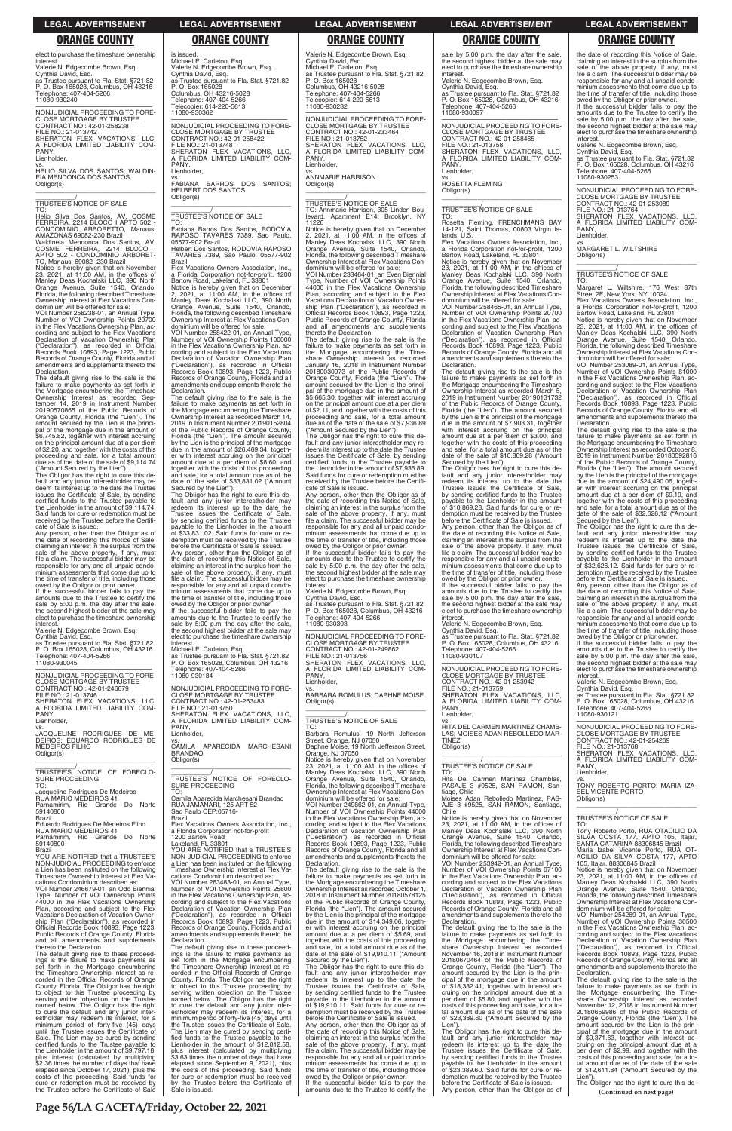**Page 56/LA GACETA/Friday, October 22, 2021**

elect to purchase the timeshare ownership

interest. Valerie N. Edgecombe Brown, Esq. Cynthia David, Esq. as Trustee pursuant to Fla. Stat. §721.82 P. O. Box 165028, Columbus, OH 43216 Telephone: 407-404-5266 11080-930240

—————————————————— NONJUDICIAL PROCEEDING TO FORE-CLOSE MORTGAGE BY TRUSTEE CONTRACT NO.: 42-01-258238 FILE NO.: 21-013742 SHERATON FLEX VACATIONS, LLC, A FLORIDA LIMITED LIABILITY COM-PANY, Lienholder,

### vs. HELIO SILVA DOS SANTOS; WALDIN-EIA MENDONCA DOS SANTOS Obligor(s)

\_\_\_\_\_\_\_\_\_\_\_\_\_\_\_\_\_\_\_\_\_\_\_\_\_\_\_\_\_\_\_\_\_

Notice is hereby given that on November<br>23, 2021, at 11:00 AM, in the offices of<br>Manley Deas Kochalski LLC, 390 North<br>Orange Avenue, Suite 1540, Orlando,<br>Florida, the following described Timeshare Ownership Interest at Flex Vacations Condominium will be offered for sale:

\_\_\_\_\_\_\_\_\_\_\_/ TRUSTEE'S NOTICE OF SALE

TO: Helio Silva Dos Santos, AV. COSME FERREIRA, 2214 BLOCO I APTO 502 - CONDOMINIO ARBORETTO, Manaus, AMAZONAS 69082-230 Brazil

Waldineia Mendonca Dos Santos, AV. COSME FERREIRA, 2214 BLOCO I APTO 502 - CONDOMINIO ARBORET-TO, Manaus, 69082 -230 Brazil

VOI Number 258238-01, an Annual Type, Number of VOI Ownership Points 20700 in the Flex Vacations Ownership Plan, according and subject to the Flex Vacations Declaration of Vacation Ownership Plan ("Declaration"), as recorded in Official Records Book 10893, Page 1223, Public Records of Orange County, Florida and all amendments and supplements thereto the Declaration.

VS.<br>JACOUELINE RODRIGUES DE ME-JACQUELINE RODRIGUES DE ME-DEIROS; EDUARDO RODRIGUES DE MEDEIROS FILHO Obligor(s)

The default giving rise to the sale is the failure to make payments as set forth in the Mortgage encumbering the Timeshare Ownership Interest as recorded Sep-tember 14, 2019 in Instrument Number 20190570865 of the Public Records of Orange County, Florida (the "Lien"). The amount secured by the Lien is the principal of the mortgage due in the amount of<br>\$6,745.82, together with interest accruing<br>on the principal amount due at a per diem<br>of \$2.20, and together with the costs of this proceeding and sale, for a total amount due as of the date of the sale of \$9,114.74 ("Amount Secured by the Lien").

The Obligor has the right to cure this de-fault and any junior interestholder may redeem its interest up to the date the Trustee issues the Certificate of Sale, by sending certified funds to the Trustee payable to the Lienholder in the amount of \$9,114.74. Said funds for cure or redemption must be received by the Trustee before the Certificate of Sale is issued.

Any person, other than the Obligor as of the date of recording this Notice of Sale, claiming an interest in the surplus from the sale of the above property, if any, must file a claim. The successful bidder may be responsible for any and all unpaid condominium assessments that come due up to the time of transfer of title, including those

 $\overline{\phantom{a}}$  ,  $\overline{\phantom{a}}$  ,  $\overline{\phantom{a}}$  ,  $\overline{\phantom{a}}$  ,  $\overline{\phantom{a}}$  ,  $\overline{\phantom{a}}$  ,  $\overline{\phantom{a}}$  ,  $\overline{\phantom{a}}$  ,  $\overline{\phantom{a}}$  ,  $\overline{\phantom{a}}$  ,  $\overline{\phantom{a}}$  ,  $\overline{\phantom{a}}$  ,  $\overline{\phantom{a}}$  ,  $\overline{\phantom{a}}$  ,  $\overline{\phantom{a}}$  ,  $\overline{\phantom{a}}$ \_\_\_\_\_\_\_\_\_\_\_/ TRUSTEE'S NOTICE OF SALE

owed by the Obligor or prior owner. If the successful bidder fails to pay the amounts due to the Trustee to certify the sale by 5:00 p.m. the day after the sale, the second highest bidder at the sale may elect to purchase the timeshare ownership interest.

TO:<br>Fabiana Barros Dos Santos, RODOVIA Fabiana Barros Dos Santos, RODOVIA RAPOSO TAVARES 7389, Sao Paulo, 05577-902 Brazil Helbert Dos Santos, RODOVIA RAPOSO TAVARES 7389, Sao Paulo, 05577-902

Valerie N. Edgecombe Brown, Esq. Cynthia David, Esq. as Trustee pursuant to Fla. Stat. §721.82 P. O. Box 165028, Columbus, OH 43216 Telephone: 407-404-5266

11080-930045 —————————————————— NONJUDICIAL PROCEEDING TO FORE-CLOSE MORTGAGE BY TRUSTEE CONTRACT NO.: 42-01-246679 FILE NO.: 21-013746 SHERATON FLEX VACATIONS, LLC, A FLORIDA LIMITED LIABILITY COM-PANY,

Flex Vacations Owners Association, Inc. a Florida Corporation not-for-profit, 1200 Bartow Road, Lakeland, FL 33801 Notice is hereby given that on December 2, 2021, at 11:00 AM, in the offices of Manley Deas Kochalski LLC, 390 North Orange Avenue, Suite 1540, Orlando, Florida, the following described Timeshare Ownership Interest at Flex Vacations Con-<br>dominium will be offered for sale: dominium will be offered for sale: VOI Number 258422-01, an Annual Type, Number of VOI Ownership Points 100000 in the Flex Vacations Ownership Plan, according and subject to the Flex Vacations Declaration of Vacation Ownership Plan<br>
"Declaration") as recorded in Official ("Declaration"), as recorded in Official Records Book 10893, Page 1223, Public Records of Orange County, Florida and all amendments and supplements thereto the

### Lienholder,

\_\_\_\_\_\_\_\_\_\_\_\_\_\_\_\_\_\_\_\_\_\_\_\_\_\_\_\_\_\_\_\_\_ \_\_\_\_\_\_\_\_\_\_\_/ TRUSTEE'S NOTICE OF FORECLO-SURE PROCEEDING TO:

Jacqueline Rodrigues De Medeiros RUA MARIO MEDEIROS 41 Parnamirim, Rio Grande Do Norte 59140800

Brazil Eduardo Rodrigues De Medeiros Filho

RUA MARIO MEDEIROS 41 Parnamirim, Rio Grande Do Norte 59140800 Brazil

YOU ARE NOTIFIED that a TRUSTEE'S NON-JUDICIAL PROCEEDING to enforce a Lien has been instituted on the following Timeshare Ownership Interest at Flex Vacations Condominium described as: VOI Number 246679-01, an Odd Biennial Type, Number of VOI Ownership Points 44000 in the Flex Vacations Ownership Plan, according and subject to the Flex Vacations Declaration of Vacation Ownership Plan ("Declaration"), as recorded in Official Records Book 10893, Page 1223, Public Records of Orange County, Florida and all amendments and supplements thereto the Declaration.

A FL Lienholder,

vs. CAMILA APARECIDA MARCHESANI BRANDAO Obligor(s)  $\overline{\phantom{a}}$  ,  $\overline{\phantom{a}}$  ,  $\overline{\phantom{a}}$  ,  $\overline{\phantom{a}}$  ,  $\overline{\phantom{a}}$  ,  $\overline{\phantom{a}}$  ,  $\overline{\phantom{a}}$  ,  $\overline{\phantom{a}}$  ,  $\overline{\phantom{a}}$  ,  $\overline{\phantom{a}}$  ,  $\overline{\phantom{a}}$  ,  $\overline{\phantom{a}}$  ,  $\overline{\phantom{a}}$  ,  $\overline{\phantom{a}}$  ,  $\overline{\phantom{a}}$  ,  $\overline{\phantom{a}}$ 

\_\_\_\_\_\_\_\_\_\_\_/<br>TRUSTEE'S NOTICE OF FORECLO-<br>SURE PROCEEDING TO:

a Florida Corporation not-for-profit 1200 Bartow Road Lakeland, FL 33801 YOU ARE NOTIFIED that a TRUSTEE'S

The default giving rise to these proceed-ings is the failure to make payments as set forth in the Mortgage encumbering the Timeshare Ownership Interest as recorded in the Official Records of Orange County, Florida. The Obligor has the right to object to this Trustee proceeding by serving written objection on the Trustee named below. The Obligor has the right to cure the default and any junior inter-estholder may redeem its interest, for a minimum period of forty-five (45) days until the Trustee issues the Certificate of Sale. The Lien may be cured by sending certified funds to the Trustee payable to the Lienholder in the amount of \$9,797.18, plus interest (calculated by multiplying \$2.36 times the number of days that have elapsed since October 17, 2021), plus the costs of this proceeding. Said funds for cure or redemption must be received by the Trustee before the Certificate of Sale is issued.

Michael E. Carleton, Esq. Valerie N. Edgecombe Brown, Esq. Cynthia David, Esq. as Trustee pursuant to Fla. Stat. §721.82 P. O. Box 165028

Columbus, OH 43216-5028 Telephone: 407-404-5266 Telecopier: 614-220-5613 11080-930362

—————————————————— NONJUDICIAL PROCEEDING TO FORE-

CLOSE MORTGAGE BY TRUSTEE CONTRACT NO.: 42-01-258422 FILE NO.: 21-013748 SHERATON FLEX VACATIONS, LLC,

A FLORIDA LIMITED LIABILITY COM-PANY,

Lienholder,

vs. FABIANA BARROS DOS SANTOS; HELBERT DOS SANTOS

Obligor(s)

Brazil

Declaration.

The default giving rise to the sale is the failure to make payments as set forth in the Mortgage encumbering the Timeshare Ownership Interest as recorded March 14, 2019 in Instrument Number 20190152804 of the Public Records of Orange County, Florida (the "Lien"). The amount secured by the Lien is the principal of the mortgage due in the amount of \$26,469.34, togeth-

> Orange, NJ 07050<br>Notice is hereby given that on November<br>23, 2021, at 11:00 AM, in the offices of<br>Manley Deas Kochalski LLC, 390 North<br>Orange Avenue, Suite 1540, Orlando,<br>Florida, the following described Timeshare Ownership Interest at Flex Vacations Con-dominium will be offered for sale: VOI Number 249862-01, an Annual Type, Number of VOI Ownership Points 44000 in the Flex Vacations Ownership Plan, ac-

er with interest accruing on the principal amount due at a per diem of \$8.60, and together with the costs of this proceeding and sale, for a total amount due as of the date of the sale of \$33,831.02 ("Amount

Secured by the Lien"). The Obligor has the right to cure this de-fault and any junior interestholder may redeem its interest up to the date the Trustee issues the Certificate of Sale,

by sending certified funds to the Trustee payable to the Lienholder in the amount of \$33,831.02. Said funds for cure or redemption must be received by the Trustee before the Certificate of Sale is issued. Any person, other than the Obligor as of the date of recording this Notice of Sale, claiming an interest in the surplus from the sale of the above property, if any, must file a claim. The successful bidder may be responsible for any and all unpaid condominium assessments that come due up to the time of transfer of title, including those owed by the Obligor or prior owner. If the successful bidder fails to pay the

sale by 5:00 p.m. the day after the sale, the second highest bidder at the sale may elect to purchase the timeshare ownership<br>interest

Flex Vacations Owners Association, Inc. a Florida Corporation not-for-profit, 1200 Bartow Road, Lakeland, FL 33801

Notice is hereby given that on November<br>23, 2021, at 11:00 AM, in the offices of<br>Manley Deas Kochalski LLC, 390 North<br>Orange Avenue, Suite 1540, Orlando,<br>Florida, the following described Timeshare Ownership Interest at Flex Vacations Condominium will be offered for sale:

Camila Aparecida Marchesani Brandao RUA JAMANARI, 125 APT 52 Sao Paulo CEP:05716- Brazil

Flex Vacations Owners Association, Inc.,

date of the sale of \$10,869.28 ("Amount<br>Secured by the Lien").<br>The Obligor has the right to cure this de-<br>fault and any junior interestholder may<br>redeem its interest up to the date the<br>Trustee issues the Certificate of Sal of \$10,869.28. Said funds for cure or redemption must be received by the Trustee before the Certificate of Sale is issued. Any person, other than the Obligor as of

NON-JUDICIAL PROCEEDING to enforce a Lien has been instituted on the following Timeshare Ownership Interest at Flex Vacations Condominium described as: VOI Number 263483-01, an Annual Type, Number of VOI Ownership Points 25800 in the Flex Vacations Ownership Plan, according and subject to the Flex Vacations Declaration of Vacation Ownership Plan ("Declaration"), as recorded in Official Records Book 10893, Page 1223, Public Records of Orange County, Florida and all amendments and supplements thereto the Declaration.

owed by the Obligor or prior owner. If the successful bidder fails to pay the amounts due to the Trustee to certify the sale by 5:00 p.m. the day after the sale, the second highest bidder at the sale may elect to purchase the timeshare ownership<br>interest

The default giving rise to these proceedings is the failure to make payments as set forth in the Mortgage encumbering the Timeshare Ownership Interest as re-corded in the Official Records of Orange County, Florida. The Obligor has the right to object to this Trustee proceeding by serving written objection on the Trustee named below. The Obligor has the right to cure the default and any junior inter-estholder may redeem its interest, for a minimum period of forty-five (45) days until the Trustee issues the Certificate of Sale. The Lien may be cured by sending certified funds to the Trustee payable to the Lienholder in the amount of \$12,812.58, plus interest (calculated by multiplying \$3.63 times the number of days that have elapsed since September 9, 2021), plus the costs of this proceeding. Said funds for cure or redemption must be received by the Trustee before the Certificate of Sale is issued. Valerie N. Edgecombe Brown, Esq. Cynthia David, Esq. Michael E. Carleton, Esq. as Trustee pursuant to Fla. Stat. §721.82 P. O. Box 165028 Columbus, OH 43216-5028 Telephone: 407-404-5266 Telecopier: 614-220-5613 11080-930232

—————————————————— NONJUDICIAL PROCEEDING TO FORE-CLOSE MORTGAGE BY TRUSTEE CONTRACT NO.: 42-01-233464 FILE NO.: 21-013752 SHERATON FLEX VACATIONS, LLC, A FLORIDA LIMITED LIABILITY COM-PANY, Lienholder,

vs. ANNMARIE HARRISON Obligor(s) \_\_\_\_\_\_\_\_\_\_\_\_\_\_\_\_\_\_\_\_\_\_\_\_\_\_\_\_\_\_\_\_\_

amounts due to the Trustee to certify the sale by 5:00 p.m. the day after the sale, the second highest bidder at the sale may elect to purchase the timeshare ownership interest. Michael E. Carleton, Esq. as Trustee pursuant to Fla. Stat. §721.82 P. O. Box 165028, Columbus, OH 43216 Telephone: 407-404-5266 11080-930184 —————————————————— NONJUDICIAL PROCEEDING TO FORE-CLOSE MORTGAGE BY TRUSTEE CONTRACT NO.: 42-01-263483 FILE NO.: 21-013750 SHERATON FLEX VACATIONS, LLC, FLORIDA LIMITED LIABILITY COM-—————————————————— NONJUDICIAL PROCEEDING TO FORE-PANY, Lienholder, Obligor(s)  $\overline{\phantom{a}}$  , and the set of the set of the set of the set of the set of the set of the set of the set of the set of the set of the set of the set of the set of the set of the set of the set of the set of the set of the s \_\_\_\_\_\_\_\_\_\_\_/ TRUSTEE'S NOTICE OF SALE TO:

\_\_\_\_\_\_\_\_\_\_\_/ TRUSTEE'S NOTICE OF SALE TO: Annmarie Harrison, 305 Linden Boulevard, Apartment E14, Brooklyn, NY 11226

> vs. MARGARET L. WILTSHIRE Obligor(s)  $\overline{\phantom{a}}$  ,  $\overline{\phantom{a}}$  ,  $\overline{\phantom{a}}$  ,  $\overline{\phantom{a}}$  ,  $\overline{\phantom{a}}$  ,  $\overline{\phantom{a}}$  ,  $\overline{\phantom{a}}$  ,  $\overline{\phantom{a}}$  ,  $\overline{\phantom{a}}$  ,  $\overline{\phantom{a}}$  ,  $\overline{\phantom{a}}$  ,  $\overline{\phantom{a}}$  ,  $\overline{\phantom{a}}$  ,  $\overline{\phantom{a}}$  ,  $\overline{\phantom{a}}$  ,  $\overline{\phantom{a}}$

Notice is hereby given that on December 2, 2021, at 11:00 AM, in the offices of Manley Deas Kochalski LLC, 390 North Orange Avenue, Suite 1540, Orlando, Florida, the following described Timeshare Ownership Interest at Flex Vacations Con-

> Notice is hereby given that on November<br>23, 2021, at 11:00 AM, in the offices of<br>Manley Deas Kochalski LLC, 390 North<br>Orange Avenue, Suite 1540, Orlando,<br>Florida, the following described Timeshare<br>Ownership Interest at Fle dominium will be offered for sale:

> VOI Number 253089-01, an Annual Type, Number of VOI Ownership Points 81000 in the Flex Vacations Ownership Plan, according and subject to the Flex Vacations Declaration of Vacation Ownership Plan ("Declaration"), as recorded in Official Records Book 10893, Page 1223, Public Records of Orange County, Florida and all amendments and supplements thereto the **Declaration**

dominium will be offered for sale: VOI Number 233464-01, an Even Biennial Type, Number of VOI Ownership Points 44000 in the Flex Vacations Ownership Plan, according and subject to the Flex Vacations Declaration of Vacation Ownership Plan ("Declaration"), as recorded in Official Records Book 10893, Page 1223, Public Records of Orange County, Florida and all amendments and supplements thereto the Declaration.

The default giving rise to the sale is the failure to make payments as set forth in the Mortgage encumbering the Timeshare Ownership Interest as recorded<br>January 16, 2018 in Instrument Number<br>20180030973 of the Public Records of<br>Orange County, Florida (the "Lien"). The<br>amount secured by the Lien is the principal of the mortgage due in the amount of \$5,665.30, together with interest accruing on the principal amount due at a per diem of \$2.11, and together with the costs of this proceeding and sale, for a total amount due as of the date of the sale of \$7,936.89 ("Amount Secured by the Lien").

> —————————————————— NONJUDICIAL PROCEEDING TO FORE-CLOSE MORTGAGE BY TRUSTEE CONTRACT NO.: 42-01-254269 FILE NO.: 21-013768 SHERATON FLEY VACATIONS, LLC

The Obligor has the right to cure this de-fault and any junior interestholder may re-deem its interest up to the date the Trustee issues the Certificate of Sale, by sending certified funds to the Trustee payable to the Lienholder in the amount of \$7,936.89. Said funds for cure or redemption must be received by the Trustee before the Certificate of Sale is issued.

> FLORIDA LIMITED LIABILITY COM-PANY Lienholder,

> vs. TONY ROBERTO PORTO; MARIA IZA-BEL VICENTE PORTO Obligor(s)  $\overline{\phantom{a}}$  ,  $\overline{\phantom{a}}$  ,  $\overline{\phantom{a}}$  ,  $\overline{\phantom{a}}$  ,  $\overline{\phantom{a}}$  ,  $\overline{\phantom{a}}$  ,  $\overline{\phantom{a}}$  ,  $\overline{\phantom{a}}$  ,  $\overline{\phantom{a}}$  ,  $\overline{\phantom{a}}$  ,  $\overline{\phantom{a}}$  ,  $\overline{\phantom{a}}$  ,  $\overline{\phantom{a}}$  ,  $\overline{\phantom{a}}$  ,  $\overline{\phantom{a}}$  ,  $\overline{\phantom{a}}$

Any person, other than the Obligor as of the date of recording this Notice of Sale, claiming an interest in the surplus from the sale of the above property, if any, must file a claim. The successful bidder may be responsible for any and all unpaid condominium assessments that come due up to the time of transfer of title, including those owed by the Obligor or prior owner. If the successful bidder fails to pay the

amounts due to the Trustee to certify the sale by 5:00 p.m. the day after the sale, the second highest bidder at the sale may elect to purchase the timeshare ownership interest.

Valerie N. Edgecombe Brown, Esq. Cynthia David, Esq. as Trustee pursuant to Fla. Stat. §721.82 P. O. Box 165028, Columbus, OH 43216 Telephone: 407-404-5266 11080-930303

CLOSE MORTGAGE BY TRUSTEE CONTRACT NO.: 42-01-249862 FILE NO.: 21-013756 SHERATON FLEX VACATIONS, LLC, A FLORIDA LIMITED LIABILITY COM-

vs. BARBARA ROMULUS; DAPHNE MOISE

Barbara Romulus, 19 North Jefferson Street, Orange, NJ 07050 Daphne Moise, 19 North Jefferson Street,

cording and subject to the Flex Vacations

Declaration of Vacation Ownership Plan ("Declaration"), as recorded in Official Records Book 10893, Page 1223, Public Records of Orange County, Florida and all amendments and supplements thereto the Declaration.

The default giving rise to the sale is the failure to make payments as set forth in the Mortgage encumbering the Timeshare Ownership Interest as recorded October 1, 2018 in Instrument Number 20180578125 of the Public Records of Orange County, Florida (the "Lien"). The amount secured by the Lien is the principal of the mortgage due in the amount of \$14,349.06, together with interest accruing on the principal amount due at a per diem of \$5.69, and together with the costs of this proceeding and sale, for a total amount due as of the date of the sale of \$19,910.11 ("Amount

Secured by the Lien"). The Obligor has the right to cure this de-fault and any junior interestholder may redeem its interest up to the date the Trustee issues the Certificate of Sale, by sending certified funds to the Trustee payable to the Lienholder in the amount of \$19,910.11. Said funds for cure or redemption must be received by the Trustee before the Certificate of Sale is issued. Any person, other than the Obligor as of the date of recording this Notice of Sale,<br>claiming an interest in the surplus from the<br>sale of the above property, if any, must<br>file a claim. The successful bidder may be responsible for any and all unpaid condominium assessments that come due up to the time of transfer of title, including those owed by the Obligor or prior owner. If the successful bidder fails to pay the

amounts due to the Trustee to certify the

interest. Valerie N. Edgecombe Brown, Esq. Cynthia David, Esq. as Trustee pursuant to Fla. Stat. §721.82 P. O. Box 165028, Columbus, OH 43216 Telephone: 407-404-5266 11080-930097

—————————————————— NONJUDICIAL PROCEEDING TO FORE-CLOSE MORTGAGE BY TRUSTEE CONTRACT NO.: 42-01-258465 FILE NO.: 21-013758 SHERATON FLEX VACATIONS, LLC, A FLORIDA LIMITED LIABILITY COM-PANY, Lienholder,

vs. ROSETTA FLEMING Obligor(s)

\_\_\_\_\_\_\_\_\_\_\_\_\_\_\_\_\_\_\_\_\_\_\_\_\_\_\_\_\_\_\_\_\_

# \_\_\_\_\_\_\_\_\_\_\_/ TRUSTEE'S NOTICE OF SALE

TO: Rosetta Fleming, FRENCHMANS BAY 14-121, Saint Thomas, 00803 Virgin Islands, U.S.

VOI Number 258465-01, an Annual Type, Number of VOI Ownership Points 20700 in the Flex Vacations Ownership Plan, according and subject to the Flex Vacations Declaration of Vacation Ownership Plan ("Declaration"), as recorded in Official Records Book 10893, Page 1223, Public Records of Orange County, Florida and all amendments and supplements thereto the Declaration.

The default giving rise to the sale is the failure to make payments as set forth in the Mortgage encumbering the Timeshare Ownership Interest as recorded March 5, 2019 in Instrument Number 20190131732 of the Public Records of Orange County, Florida (the "Lien"). The amount secured by the Lien is the principal of the mortgage due in the amount of \$7,903.31, together with interest accruing on the principal amount due at a per diem of \$3.00, and together with the costs of this proceeding and sale, for a total amount due as of the

the date of recording this Notice of Sale, claiming an interest in the surplus from the sale of the above property, if any, must file a claim. The successful bidder may be responsible for any and all unpaid condominium assessments that come due up to the time of transfer of title, including those

interest. Valerie N. Edgecombe Brown, Esq. Cynthia David, Esq. as Trustee pursuant to Fla. Stat. §721.82 P. O. Box 165028, Columbus, OH 43216 Telephone: 407-404-5266 11080-930107

—————————————————— NONJUDICIAL PROCEEDING TO FORE-CLOSE MORTGAGE BY TRUSTEE CONTRACT NO.: 42-01-253942 FILE NO.: 21-013759 SHERATON FLEX VACATIONS, LLC,

A FLORIDA LIMITED LIABILITY COM-PANY, Lienholder,

vs. RITA DEL CARMEN MARTINEZ CHAMB-LAS; MOISES ADAN REBOLLEDO MAR-TINEZ Obligor(s)

\_\_\_\_\_\_\_\_\_\_\_\_\_\_\_\_\_\_\_\_\_\_\_\_\_\_\_\_\_\_\_\_\_

\_\_\_\_\_\_\_\_\_\_\_/ TRUSTEE'S NOTICE OF SALE TO:

Rita Del Carmen Martinez Chamblas, PASAJE 3 #9525, SAN RAMON, Santiago, Chile

Moises Adan Rebolledo Martinez, PAS-AJE 3 #9525, SAN RAMON, Santiago, Chile

Notice is hereby given that on November 23, 2021, at 11:00 AM, in the offices of Manley Deas Kochalski LLC, 390 North

Orange Avenue, Suite 1540, Orlando, Florida, the following described Timeshare Ownership Interest at Flex Vacations Condominium will be offered for sale:

VOI Number 253942-01, an Annual Type, Number of VOI Ownership Points 67100 in the Flex Vacations Ownership Plan, according and subject to the Flex Vacations Declaration of Vacation Ownership Plan ("Declaration"), as recorded in Official Records Book 10893, Page 1223, Public Records of Orange County, Florida and all amendments and supplements thereto the Declaration.

The default giving rise to the sale is the failure to make payments as set forth in the Mortgage encumbering the Time-<br>share Ownership Interest as recorded share Ownership Interest November 16, 2018 in Instrument Number 20180670464 of the Public Records of Orange County, Florida (the "Lien"). The amount secured by the Lien is the principal of the mortgage due in the amount of \$18,332.41, together with interest accruing on the principal amount due at a per diem of \$5.80, and together with the costs of this proceeding and sale, for a to-tal amount due as of the date of the sale of \$23,389.60 ("Amount Secured by the Lien"). The Obligor has the right to cure this de-

fault and any junior interestholder may redeem its interest up to the date the Trustee issues the Certificate of Sale, by sending certified funds to the Trustee payable to the Lienholder in the amount of \$23,389.60. Said funds for cure or redemption must be received by the Trustee before the Certificate of Sale is issued. Any person, other than the Obligor as of

the date of recording this Notice of Sale, claiming an interest in the surplus from the sale of the above property, if any, must file a claim. The successful bidder may be responsible for any and all unpaid condominium assessments that come due up to the time of transfer of title, including those owed by the Obligor or prior owner.

If the successful bidder fails to pay the amounts due to the Trustee to certify the sale by 5:00 p.m. the day after the sale, the second highest bidder at the sale may elect to purchase the timeshare ownership

interest. Valerie N. Edgecombe Brown, Esq. Cynthia David, Esq. as Trustee pursuant to Fla. Stat. §721.82 P. O. Box 165028, Columbus, OH 43216

Telephone: 407-404-5266 11080-930253

—————————————————— NONJUDICIAL PROCEEDING TO FORE-CLOSE MORTGAGE BY TRUSTEE CONTRACT NO.: 42-01-253089 FILE NO.: 21-013764 SHERATON FLEX VACATIONS, LLC, A FLORIDA LIMITED LIABILITY COM-PANY, Lienholder,

\_\_\_\_\_\_\_\_\_\_\_/ TRUSTEE'S NOTICE OF SALE TO:

Margaret L. Wiltshire, 176 West 87th Street 2F, New York, NY 10024 Flex Vacations Owners Association, Inc.,

a Florida Corporation not-for-profit, 1200 Bartow Road, Lakeland, FL 33801

The default giving rise to the sale is the failure to make payments as set forth in the Mortgage encumbering the Timeshare Ownership Interest as recorded October 8, 2019 in Instrument Number 20180592816<br>of the Public Records of Orange County,<br>Florida (the "Lien"). The amount secured<br>by the Lien is the principal of the mortgage<br>due in the amount of \$24,490.06, togeth-<br>er with interest and sale, for a total amount due as of the date of the sale of \$32,626.12 ("Amount

Secured by the Lien"). The Obligor has the right to cure this default and any junior interestholder may redeem its interest up to the date the Trustee issues the Certificate of Sale, by sending certified funds to the Trustee payable to the Lienholder in the amount of \$32,626.12. Said funds for cure or redemption must be received by the Trustee before the Certificate of Sale is issued.

Any person, other than the Obligor as of the date of recording this Notice of Sale, claiming an interest in the surplus from the sale of the above property, if any, must file a claim. The successful bidder may be responsible for any and all unpaid condominium assessments that come due up to the time of transfer of title, including those

owed by the Obligor or prior owner. If the successful bidder fails to pay the amounts due to the Trustee to certify the sale by 5:00 p.m. the day after the sale, the second highest bidder at the sale may elect to purchase the timeshare ownership interest.

Valerie N. Edgecombe Brown, Esq.

Cynthia David, Esq. as Trustee pursuant to Fla. Stat. §721.82 P. O. Box 165028, Columbus, OH 43216 Telephone: 407-404-5266 11080-930121

\_\_\_\_\_\_\_\_\_\_\_/ TRUSTEE'S NOTICE OF SALE

TO: .<br>Tony Roberto Porto, RUA OTACILIO DA<br>IILVA COSTA 177, APTO 105, Itajar, SILVA COSTA 177, APTO 105, Itajar, SANTA CATARINA 88306845 Brazil Maria Izabel Vicente Porto, RUA OT-ACILIO DA SILVA COSTA 177, APTO 105, Itajar, 88306845 Brazil Notice is hereby given that on November 23, 2021, at 11:00 AM, in the offices of Manley Deas Kochalski LLC, 390 North Orange Avenue, Suite 1540, Orlando, Florida, the following described Timeshare Ownership Interest at Flex Vacations Condominium will be offered for sale: VOI Number 254269-01, an Annual Type, Number of VOI Ownership Points 30500 in the Flex Vacations Ownership Plan, according and subject to the Flex Vacations Declaration of Vacation Ownership Plan ("Declaration"), as recorded in Official Records Book 10893, Page 1223, Public Records of Orange County, Florida and all amendments and supplements thereto the Declaration. The default giving rise to the sale is the failure to make payments as set forth in the Mortgage encumbering the Timeshare Ownership Interest as recorded November 12, 2018 in Instrument Number 20180659986 of the Public Records of Orange County, Florida (the "Lien"). The amount secured by the Lien is the principal of the mortgage due in the amount of \$9,371.63, together with interest ac-cruing on the principal amount due at a per diem of \$2.99, and together with the costs of this proceeding and sale, for a to-tal amount due as of the date of the sale of \$12,611.84 ("Amount Secured by the Lien"). The Obligor has the right to cure this de-**(Continued on next page)**

### **LEGAL ADVERTISEMENT LEGAL ADVERTISEMENT LEGAL ADVERTISEMENT LEGAL ADVERTISEMENT LEGAL ADVERTISEMENT**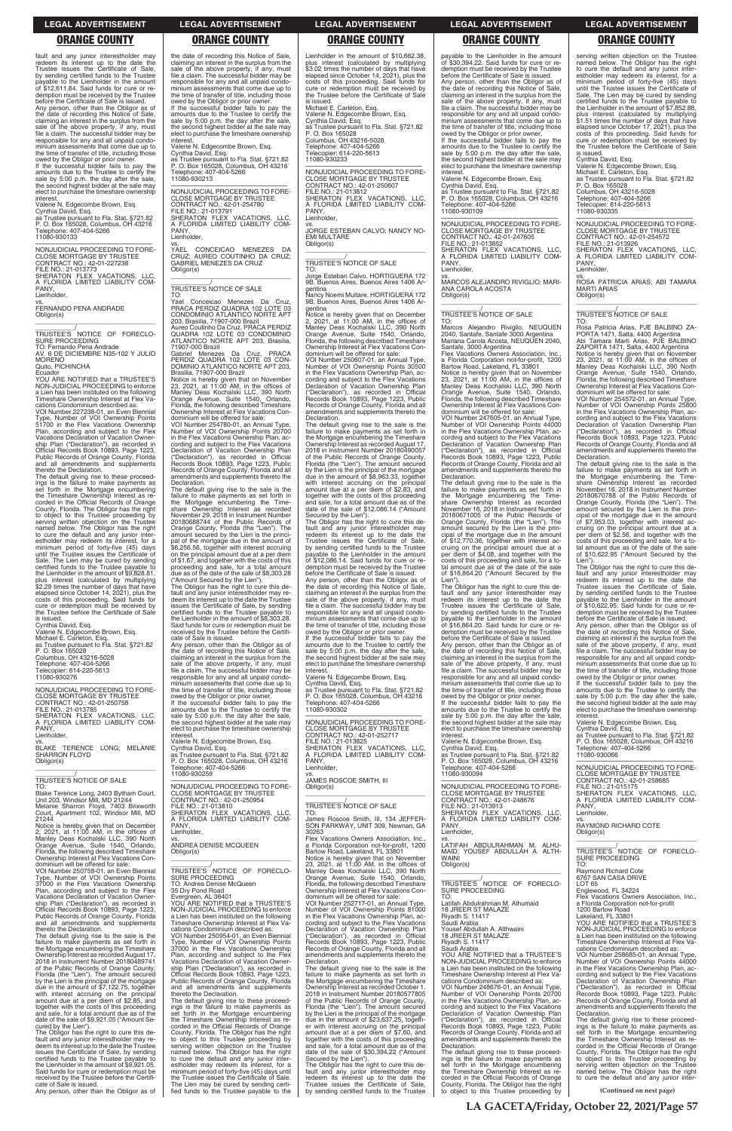fault and any junior interestholder may redeem its interest up to the date the Trustee issues the Certificate of Sale, by sending certified funds to the Trustee payable to the Lienholder in the amount of \$12,611.84. Said funds for cure or re-demption must be received by the Trustee

owed by the Obligor or prior owner. If the successful bidder fails to pay the amounts due to the Trustee to certify the sale by 5:00 p.m. the day after the sale, the second highest bidder at the sale may elect to purchase the timeshare ownership **interest** 

before the Certificate of Sale is issued. Any person, other than the Obligor as of the date of recording this Notice of Sale, claiming an interest in the surplus from the sale of the above property, if any, must file a claim. The successful bidder may be responsible for any and all unpaid condo-minium assessments that come due up to the time of transfer of title, including those

Valerie N. Edgecombe Brown, Esq.

Cynthia David, Esq. as Trustee pursuant to Fla. Stat. §721.82 P. O. Box 165028, Columbus, OH 43216 Telephone: 407-404-5266 11080-930133

—————————————————— NONJUDICIAL PROCEEDING TO FORE-CLOSE MORTGAGE BY TRUSTEE CONTRACT NO.: 42-01-227238 FILE NO.: 21-013773 SHERATON FLEX VACATIONS, LLC, A FLORIDA LIMITED LIABILITY COM-PANY, Lienholder,

vs. FERNANDO PENA ANDRADE Obligor(s)

\_\_\_\_\_\_\_\_\_\_\_/ TRUSTEE'S NOTICE OF FORECLO-SURE PROCEEDING TO: Fernando Pena Andrade AV. 6 DE DICIEMBRE N35-102 Y JULIO

 $\overline{\phantom{a}}$  , and the set of the set of the set of the set of the set of the set of the set of the set of the set of the set of the set of the set of the set of the set of the set of the set of the set of the set of the s

MORENO Quito, PICHINCHA

—————————————————— NONJUDICIAL PROCEEDING TO FORE-CLOSE MORTGAGE BY TRUSTEE CONTRACT NO.: 42-01-250758 FILE NO.: 21-013785 SHERATON FLEX VACATIONS, LLC, A FLORIDA LIMITED LIABILITY COM-PANY, Lienholder.

Ecuador YOU ARE NOTIFIED that a TRUSTEE'S NON-JUDICIAL PROCEEDING to enforce a Lien has been instituted on the following Timeshare Ownership Interest at Flex Va-cations Condominium described as:

vs. BLAKE TERENCE LONG; MELANIE SHARRON FLOYD Obligor(s)  $\overline{\phantom{a}}$  , and the set of the set of the set of the set of the set of the set of the set of the set of the set of the set of the set of the set of the set of the set of the set of the set of the set of the set of the s

VOI Number 227238-01, an Even Biennial Type, Number of VOI Ownership Points 51700 in the Flex Vacations Ownership Plan, according and subject to the Flex Vacations Declaration of Vacation Owner-ship Plan ("Declaration"), as recorded in Official Records Book 10893, Page 1223, Public Records of Orange County, Florida and all amendments and supplements thereto the Declaration.

The default giving rise to these proceed-ings is the failure to make payments as set forth in the Mortgage encumbering the Timeshare Ownership Interest as re-corded in the Official Records of Orange County, Florida. The Obligor has the right to object to this Trustee proceeding by serving written objection on the Trustee named below. The Obligor has the right to cure the default and any junior inter-estholder may redeem its interest, for a minimum period of forty-five (45) days until the Trustee issues the Certificate of Sale. The Lien may be cured by sending certified funds to the Trustee payable to the Lienholder in the amount of \$9,828.81, plus interest (calculated by multiplying \$2.29 times the number of days that have elapsed since October 14, 2021), plus the costs of this proceeding. Said funds for cure or redemption must be received by the Trustee before the Certificate of Sale is issued.

Cynthia David, Esq. Valerie N. Edgecombe Brown, Esq. Michael E. Carleton, Esq. as Trustee pursuant to Fla. Stat. §721.82 P. O. Box 165028 Columbus, OH 43216-5028

Telephone: 407-404-5266 Telecopier: 614-220-5613 11080-930276

Yael Conceicao Menezes Da Cruz, PRACA PERDIZ QUADRA 102 LOTE 03 CONDOMINIO ATLANTICO NORTE APT 203, Brasilia, 71907-000 Brazil Aureo Coutinho Da Cruz, PRACA PERDIZ QUADRA 102 LOTE 03 CONDOMINIO<br>ATLANTICO NORTE APT 203, Brasilia,<br>71907-000 Brazil

\_\_\_\_\_\_\_\_\_\_\_/ TRUSTEE'S NOTICE OF SALE

TO: Blake Terence Long, 2403 Bytham Court, Unit 203, Windsor Mill, MD 21244 Melanie Sharron Floyd, 7403 Brixworth Court, Apartment 102, Windsor Mill, MD 21244 Notice is hereby given that on December 2, 2021, at 11:00 AM, in the offices of the date of recording this Notice of Sale, claiming an interest in the surplus from the sale of the above property, if any, must file a claim. The successful bidder may be

responsible for any and all unpaid condo-minium assessments that come due up to the time of transfer of title, including those owed by the Obligor or prior owner. If the successful bidder fails to pay the amounts due to the Trustee to certify the sale by 5:00 p.m. the day after the sale, the second highest bidder at the sale may elect to purchase the timeshare ownership

interest. Valerie N. Edgecombe Brown, Esq. Cynthia David, Esq. as Trustee pursuant to Fla. Stat. §721.82 P. O. Box 165028, Columbus, OH 43216 Telephone: 407-404-5266

11080-930213

—————————————————— NONJUDICIAL PROCEEDING TO FORE-CLOSE MORTGAGE BY TRUSTEE CONTRACT NO.: 42-01-254780 FILE NO.: 21-013791

SHERATON FLEX VACATIONS, LLC, A FLORIDA LIMITED LIABILITY COM-

PANY, Lienholder,

vs. YAEL CONCEICAO MENEZES DA CRUZ; AUREO COUTINHO DA CRUZ; GABRIEL MENEZES DA CRUZ

Obligor(s)

\_\_\_\_\_\_\_\_\_\_\_\_\_\_\_\_\_\_\_\_\_\_\_\_\_\_\_\_\_\_\_\_\_ \_\_\_\_\_\_\_\_\_\_\_/ TRUSTEE'S NOTICE OF SALE

TO:

Gabriel Menezes Da Cruz, PRACA PERDIZ QUADRA 102 LOTE 03 CON-DOMINIO ATLANTICO NORTE APT 203,

Brasilia, 71907-000 Brazil

Notice is hereby given that on November 23, 2021, at 11:00 AM, in the offices of Manley Deas Kochalski LLC, 390 North Orange Avenue, Suite 1540, Orlando, Florida, the following described Timeshare

Ownership Interest at Flex Vacations Con-dominium will be offered for sale: VOI Number 254780-01, an Annual Type,

Number of VOI Ownership Points 20700 in the Flex Vacations Ownership Plan, ac-cording and subject to the Flex Vacations

Declaration of Vacation Ownership Plan ("Declaration"), as recorded in Official Records Book 10893, Page 1223, Public Records of Orange County, Florida and all amendments and supplements thereto the

Declaration.

The default giving rise to the sale is the failure to make payments as set forth in the Mortgage encumbering the Time-

share Ownership Interest as recorded November 29, 2018 in Instrument Number 20180688744 of the Public Records of Orange County, Florida (the "Lien"). The amount secured by the Lien is the principal of the mortgage due in the amount of \$6,256.56, together with interest accruing on the principal amount due at a per diem of \$1.67, and together with the costs of this

proceeding and sale, for a total amount due as of the date of the sale of \$8,303.28 ("Amount Secured by the Lien").

The Obligor has the right to cure this de-fault and any junior interestholder may re-deem its interest up to the date the Trustee

issues the Certificate of Sale, by sending certified funds to the Trustee payable to the Lienholder in the amount of \$8,303.28. Said funds for cure or redemption must be received by the Trustee before the Certifi-

If the successful bidder fails to pay the amounts due to the Trustee to certify the sale by 5:00 p.m. the day after the sale, the second highest bidder at the sale may elect to purchase the timeshare ownership **interest** 

cate of Sale is issued.

Any person, other than the Obligor as of the date of recording this Notice of Sale, claiming an interest in the surplus from the

—————————————————— NONJUDICIAL PROCEEDING TO FORE-CLOSE MORTGAGE BY TRUSTEE CONTRACT NO.: 42-01-247605 FILE NO.: 21-013852 SHERATON FLEX VACATIONS, LLC, A FLORIDA LIMITED LIABILITY COM-PANY, Lienholder.

vs. MARCOS ALEJANDRO RIVIGLIO; MARI-ANA CAROLA ACOSTA Obligor(s)  $\overline{\phantom{a}}$  , and the set of the set of the set of the set of the set of the set of the set of the set of the set of the set of the set of the set of the set of the set of the set of the set of the set of the set of the s

sale of the above property, if any, must file a claim. The successful bidder may be responsible for any and all unpaid condominium assessments that come due up to the time of transfer of title, including those owed by the Obligor or prior owner. If the successful bidder fails to pay the amounts due to the Trustee to certify the sale by 5:00 p.m. the day after the sale, the second highest bidder at the sale may elect to purchase the timeshare ownership

dominium will be offered for sale: VOI Number 247605-01, an Annual Type, Number of VOI Ownership Points 44000 in the Flex Vacations Ownership Plan, ac-cording and subject to the Flex Vacations Declaration of Vacation Ownership Plan ("Declaration"), as recorded in Official Records Book 10893, Page 1223, Public Records of Orange County, Florida and all amendments and supplements thereto the eclaration.

interest.

Telephone: 407<br>11080-930259

Valerie N. Edgecombe Brown, Esq. Cynthia David, Esq. as Trustee pursuant to Fla. Stat. §721.82 P. O. Box 165028, Columbus, OH 43216 Telephone: 407-404-5266

—————————————————— NONJUDICIAL PROCEEDING TO FORE-CLOSE MORTGAGE BY TRUSTEE CONTRACT NO.: 42-01-250954 FILE NO.: 21-013810 SHERATON FLEX VACATIONS, LLC,

If the successful bidder fails to pay the amounts due to the Trustee to certify the sale by 5:00 p.m. the day after the sale, the second highest bidder at the sale may elect to purchase the timeshare ownership **interest** 

Lienholder in the amount of \$10,662.38, plus interest (calculated by multiplying \$3.02 times the number of days that have elapsed since October 14, 2021), plus the costs of this proceeding. Said funds for cure or redemption must be received by the Trustee before the Certificate of Sale is issued.

Michael E. Carleton, Esq. Valerie N. Edgecombe Brown, Esq. Cynthia David, Esq. as Trustee pursuant to Fla. Stat. §721.82 P. O. Box 165028 Columbus, OH 43216-5028 Telephone: 407-404-5266 Telecopier: 614-220-5613 11080-930233

> vs. ROSA PATRICIA ARIAS; ABI TAMARA MARTI ARIAS Obligor(s)  $\overline{\phantom{a}}$  , and the set of the set of the set of the set of the set of the set of the set of the set of the set of the set of the set of the set of the set of the set of the set of the set of the set of the set of the s

—————————————————— NONJUDICIAL PROCEEDING TO FORE-CLOSE MORTGAGE BY TRUSTEE CONTRACT NO.: 42-01-250607 FILE NO.: 21-013812 SHERATON FLEX VACATIONS, LLC, FLORIDA LIMITED LIABILITY COM-A FLU<br>PANY, Lienholder,

> dominium will be offered for sale: VOI Number 254572-01, an Annual Type, Number of VOI Ownership Points 25800 in the Flex Vacations Ownership Plan, ac-cording and subject to the Flex Vacations Declaration of Vacation Ownership Plan ("Declaration"), as recorded in Official Records Book 10893, Page 1223, Public Records of Orange County, Florida and all amendments and supplements thereto the Declaration.

vs. JORGE ESTEBAN CALVO; NANCY NO-EMI MULTARE Obligor(s) \_\_\_\_\_\_\_\_\_\_\_\_\_\_\_\_\_\_\_\_\_\_\_\_\_\_\_\_\_\_\_\_\_

\_\_\_\_\_\_\_\_\_\_\_/ TRUSTEE'S NOTICE OF SALE

TO: Jorge Esteban Calvo, HORTIGUERA 172 9B, Buenos Aires, Buenos Aires 1406 Ar- gentina

> The default giving rise to the sale is the failure to make payments as set forth in the Mortgage encumbering the Time-share Ownership Interest as recorded November 16, 2018 in Instrument Number 20180670788 of the Public Records of Orange County, Florida (the "Lien"). The amount secured by the Lien is the prin-cipal of the mortgage due in the amount of \$7,953.03, together with interest accruing on the principal amount due at a per diem of \$2.56, and together with the costs of this proceeding and sale, for a total amount due as of the date of the sale of \$10,622.95 ("Amount Secured by the Lien")

Nancy Noemi Multare, HORTIGUERA 172 9B, Buenos Aires, Buenos Aires 1406 Argentina

Notice is hereby given that on December 2, 2021, at 11:00 AM, in the offices of Manley Deas Kochalski LLC, 390 North Orange Avenue, Suite 1540, Orlando, Florida, the following described Timeshare Ownership Interest at Flex Vacations Con-

dominium will be offered for sale: VOI Number 250607-01, an Annual Type, Number of VOI Ownership Points 30500 in the Flex Vacations Ownership Plan, ac-cording and subject to the Flex Vacations Declaration of Vacation Ownership Plan ("Declaration"), as recorded in Official Records Book 10893, Page 1223, Public Records of Orange County, Florida and all amendments and supplements thereto the Declaration. The default giving rise to the sale is the

failure to make payments as set forth in the Mortgage encumbering the Timeshare Ownership Interest as recorded August 17, 2018 in Instrument Number 20180490057 of the Public Records of Orange County, Florida (the "Lien"). The amount secured by the Lien is the principal of the mortgage due in the amount of \$8,963.33, together with interest accruing on the principal amount due at a per diem of \$2.83, and together with the costs of this proceeding and sale, for a total amount due as of the

| 21244                                        | A FLORIDA LIMITED LIABILITY COM-             | James Roscoe Smith, III, 134 JEFFER-         | A FLORIDA LIMITED LIABILITY COM-            | VS.                                         |
|----------------------------------------------|----------------------------------------------|----------------------------------------------|---------------------------------------------|---------------------------------------------|
| Notice is hereby given that on December      | PANY.                                        | SON PARKWAY, UNIT 309, Newnan, GA            | PANY.                                       | <b>RAYMOND RICHARD COTE</b>                 |
| 2, 2021, at 11:00 AM, in the offices of      | Lienholder,                                  | 30263                                        | Lienholder,                                 | Obligor(s)                                  |
| Manley Deas Kochalski LLC, 390 North         | VS.                                          | Flex Vacations Owners Association, Inc.,     | VS.                                         |                                             |
| Orange Avenue, Suite 1540, Orlando,          | ANDREA DENISE MCQUEEN                        | a Florida Corporation not-for-profit, 1200   | LATIFAH ABDULRAHMAN M. ALHU-                |                                             |
| Florida, the following described Timeshare   | Obligor(s)                                   | Bartow Road, Lakeland, FL 33801              | MAID; YOUSEF ABDULLAH A. ALTH-              | TRUSTEE'S NOTICE OF FORECLO-                |
| Ownership Interest at Flex Vacations Con-    |                                              | Notice is hereby given that on November      | <b>WAINI</b>                                | SURE PROCEEDING                             |
| dominium will be offered for sale:           |                                              | 23, 2021, at 11:00 AM, in the offices of     | Obligor(s)                                  | TO:                                         |
| VOI Number 250758-01, an Even Biennial       | TRUSTEE'S NOTICE OF FORECLO-                 | Manley Deas Kochalski LLC, 390 North         |                                             | <b>Raymond Richard Cote</b>                 |
| Type, Number of VOI Ownership Points         | <b>SURE PROCEEDING</b>                       | Orange Avenue, Suite 1540, Orlando,          |                                             | 6767 SAN CASA DRIVE                         |
| 37000 in the Flex Vacations Ownership        | TO: Andrea Denise McQueen                    | Florida, the following described Timeshare   | TRUSTEE'S NOTICE OF FORECLO-                | LOT <sub>65</sub>                           |
| Plan, according and subject to the Flex      | 35 Dry Pond Road                             | Ownership Interest at Flex Vacations Con-    | <b>SURE PROCEEDING</b>                      | Englewood, FL 34224                         |
| Vacations Declaration of Vacation Owner-     | Evergreen, AL 36401                          | dominium will be offered for sale:           | TO:                                         | Flex Vacations Owners Association, Inc.,    |
| ship Plan ("Declaration"), as recorded in    | YOU ARE NOTIFIED that a TRUSTEE'S            | VOI Number 252717-01, an Annual Type,        | Latifah Abdulrahman M. Alhumaid             | a Florida Corporation not-for-profit        |
| Official Records Book 10893, Page 1223,      | NON-JUDICIAL PROCEEDING to enforce           | Number of VOI Ownership Points 81000         | 18 JREER ST MALAZE                          | 1200 Bartow Road                            |
| Public Records of Orange County, Florida     | a Lien has been instituted on the following  | in the Flex Vacations Ownership Plan, ac-    | Riyadh S. 11417                             | Lakeland, FL 33801                          |
| and all amendments and supplements           | Timeshare Ownership Interest at Flex Va-     | cording and subject to the Flex Vacations    | Saudi Arabia                                | YOU ARE NOTIFIED that a TRUSTEE'S           |
| thereto the Declaration.                     | cations Condominium described as:            | Declaration of Vacation Ownership Plan       | Yousef Abdullah A. Althwaini                | NON-JUDICIAL PROCEEDING to enforce          |
| The default giving rise to the sale is the   | VOI Number 250954-01, an Even Biennial       | ("Declaration"), as recorded in Official     | 18 JREER ST MALAZE                          | a Lien has been instituted on the following |
| failure to make payments as set forth in     | Type, Number of VOI Ownership Points         | Records Book 10893, Page 1223, Public        | <b>Rivadh S. 11417</b>                      | Timeshare Ownership Interest at Flex Va-    |
| the Mortgage encumbering the Timeshare       | 37000 in the Flex Vacations Ownership        | Records of Orange County, Florida and all    | Saudi Arabia                                | cations Condominium described as:           |
| Ownership Interest as recorded August 17,    | Plan, according and subject to the Flex      | amendments and supplements thereto the       | YOU ARE NOTIFIED that a TRUSTEE'S           | VOI Number 258685-01, an Annual Type,       |
| 2018 in Instrument Number 20180489741        | Vacations Declaration of Vacation Owner-     | Declaration.                                 | NON-JUDICIAL PROCEEDING to enforce          | Number of VOI Ownership Points 44000        |
| of the Public Records of Orange County,      | ship Plan ("Declaration"), as recorded in    | The default giving rise to the sale is the   | a Lien has been instituted on the following | in the Flex Vacations Ownership Plan, ac-   |
| Florida (the "Lien"). The amount secured     | Official Records Book 10893, Page 1223,      | failure to make payments as set forth in     | Timeshare Ownership Interest at Flex Va-    | cording and subject to the Flex Vacations   |
| by the Lien is the principal of the mortgage | Public Records of Orange County, Florida     | the Mortgage encumbering the Timeshare       | cations Condominium described as:           | Declaration of Vacation Ownership Plan      |
| due in the amount of \$7,122.75, together    | and all amendments and supplements           | Ownership Interest as recorded October 1.    | VOI Number 248676-01, an Annual Type,       | ("Declaration"), as recorded in Official    |
| with interest accruing on the principal      | thereto the Declaration.                     | 2018 in Instrument Number 20180577805        | Number of VOI Ownership Points 20700        | Records Book 10893, Page 1223, Public       |
| amount due at a per diem of \$2.85, and      | The default giving rise to these proceed-    | of the Public Records of Orange County,      | in the Flex Vacations Ownership Plan, ac-   | Records of Orange County, Florida and all   |
| together with the costs of this proceeding   | ings is the failure to make payments as      | Florida (the "Lien"). The amount secured     | cording and subject to the Flex Vacations   | amendments and supplements thereto the      |
| and sale, for a total amount due as of the   | set forth in the Mortgage encumbering        | by the Lien is the principal of the mortgage | Declaration of Vacation Ownership Plan      | Declaration.                                |
| date of the sale of \$9,921.05 ("Amount Se-  | the Timeshare Ownership Interest as re-      | due in the amount of \$23,637.25, togeth-    | ("Declaration"), as recorded in Official    | The default giving rise to these proceed-   |
| cured by the Lien").                         | corded in the Official Records of Orange     | er with interest accruing on the principal   | Records Book 10893, Page 1223, Public       | ings is the failure to make payments as     |
| The Obligor has the right to cure this de-   | County, Florida. The Obligor has the right   | amount due at a per diem of \$7.60, and      | Records of Orange County, Florida and all   | set forth in the Mortgage encumbering       |
| fault and any junior interestholder may re-  | to object to this Trustee proceeding by      | together with the costs of this proceeding   | amendments and supplements thereto the      | the Timeshare Ownership Interest as re-     |
| deem its interest up to the date the Trustee | serving written objection on the Trustee     | and sale, for a total amount due as of the   | Declaration.                                | corded in the Official Records of Orange    |
| issues the Certificate of Sale, by sending   | named below. The Obligor has the right       | date of the sale of \$30,394.22 ("Amount     | The default giving rise to these proceed-   | County, Florida. The Obligor has the right  |
| certified funds to the Trustee payable to    | to cure the default and any junior inter-    | Secured by the Lien").                       | ings is the failure to make payments as     | to object to this Trustee proceeding by     |
| the Lienholder in the amount of \$9,921.05.  | estholder may redeem its interest, for a     | The Obligor has the right to cure this de-   | set forth in the Mortgage encumbering       | serving written objection on the Trustee    |
| Said funds for cure or redemption must be    | minimum period of forty-five (45) days until | fault and any junior interestholder may      | the Timeshare Ownership Interest as re-     | named below. The Obligor has the right      |
| received by the Trustee before the Certifi-  | the Trustee issues the Certificate of Sale.  | redeem its interest up to the date the       | corded in the Official Records of Orange    | to cure the default and any junior inter-   |
| cate of Sale is issued.                      | The Lien may be cured by sending certi-      | Trustee issues the Certificate of Sale,      | County, Florida. The Obligor has the right  |                                             |
| Any person, other than the Obligor as of     | fied funds to the Trustee payable to the     | by sending certified funds to the Trustee    | to object to this Trustee proceeding by     | (Continued on next page)                    |
|                                              |                                              |                                              |                                             |                                             |
|                                              |                                              |                                              |                                             | LA GACETA/Friday, October 22, 2021/Page 57  |
|                                              |                                              |                                              |                                             |                                             |

date of the sale of \$12,086.14 ("Amount Secured by the Lien"). The Obligor has the right to cure this default and any junior interestholder may redeem its interest up to the date the Trustee issues the Certificate of Sale, by sending certified funds to the Trustee payable to the Lienholder in the amount of \$12,086.14. Said funds for cure or redemption must be received by the Trustee before the Certificate of Sale is issued. Any person, other than the Obligor as of the date of recording this Notice of Sale, claiming an interest in the surplus from the sale of the above property, if any, must file a claim. The successful bidder may be responsible for any and all unpaid condominium assessments that come due up to the time of transfer of title, including those owed by the Obligor or prior owner. If the successful bidder fails to pay the

amounts due to the Trustee to certify the sale by 5:00 p.m. the day after the sale, the second highest bidder at the sale may elect to purchase the timeshare ownership

interest. Valerie N. Edgecombe Brown, Esq.

Cynthia David, Esq. as Trustee pursuant to Fla. Stat. §721.82 P. O. Box 165028, Columbus, OH 43216 Telephone: 407-404-5266 11080-930302

—————————————————— NONJUDICIAL PROCEEDING TO FORE-CLOSE MORTGAGE BY TRUSTEE CONTRACT NO.: 42-01-252717 FILE NO.: 21-013825 SHERATON FLEX VACATIONS, LLC, A FLORIDA LIMITED LIABILITY COM-PANY, Lienholder,

vs.

JAMES ROSCOE SMITH, III Obligor(s) \_\_\_\_\_\_\_\_\_\_\_\_\_\_\_\_\_\_\_\_\_\_\_\_\_\_\_\_\_\_\_\_\_

\_\_\_\_\_\_\_\_\_\_\_/ TRUSTEE'S NOTICE OF SALE

TO: James Roscoe Smith, III, 134 JEFFER-SON PARKWAY, UNIT 309, Newnan, GA 30263

payable to the Lienholder in the amount of \$30,394.22. Said funds for cure or re-demption must be received by the Trustee before the Certificate of Sale is issued. Any person, other than the Obligor as of the date of recording this Notice of Sale, claiming an interest in the surplus from the sale of the above property, if any, must file a claim. The successful bidder may be responsible for any and all unpaid condominium assessments that come due up to the time of transfer of title, including those owed by the Obligor or prior owner.

Valerie N. Edgecombe Brown, Esq. Cynthia David, Esq. as Trustee pursuant to Fla. Stat. §721.82 P. O. Box 165028, Columbus, OH 43216 Telephone: 407-404-5266 11080-930109

\_\_\_\_\_\_\_\_\_\_\_/ TRUSTEE'S NOTICE OF SALE

TO: Marcos Alejandro Riviglio, NEUQUEN 2040, Santafe, Santafe 3000 Argentina Mariana Carola Acosta, NEUQUEN 2040, Santafe, 3000 Argentina

Flex Vacations Owners Association, Inc., a Florida Corporation not-for-profit, 1200 Bartow Road, Lakeland, FL 33801

Notice is hereby given that on November 23, 2021, at 11:00 AM, in the offices of Manley Deas Kochalski LLC, 390 North Orange Avenue, Suite 1540, Orlando, Florida, the following described Timeshare Ownership Interest at Flex Vacations Con-

The default giving rise to the sale is the failure to make payments as set forth in the Mortgage encumbering the Time-share Ownership Interest as recorded November 16, 2018 in Instrument Number 20180671005 of the Public Records of Orange County, Florida (the "Lien"). The amount secured by the Lien is the principal of the mortgage due in the amount of \$12,770.36, together with interest accruing on the principal amount due at a per diem of \$4.08, and together with the costs of this proceeding and sale, for a total amount due as of the date of the sale of \$16,864.20 ("Amount Secured by the Lien").

The Obligor has the right to cure this de-fault and any junior interestholder may redeem its interest up to the date the Trustee issues the Certificate of Sale, by sending certified funds to the Trustee payable to the Lienholder in the amount of \$16,864.20. Said funds for cure or redemption must be received by the Trustee before the Certificate of Sale is issued.

Any person, other than the Obligor as of the date of recording this Notice of Sale, claiming an interest in the surplus from the sale of the above property, if any, must file a claim. The successful bidder may be responsible for any and all unpaid condominium assessments that come due up to the time of transfer of title, including those owed by the Obligor or prior owner.

Valerie N. Edgecombe Brown, Esq. Cynthia David, Esq. as Trustee pursuant to Fla. Stat. §721.82 P. O. Box 165028, Columbus, OH 43216 Telephone: 407-404-5266 11080-930094

—————————————————— NONJUDICIAL PROCEEDING TO FORE-CLOSE MORTGAGE BY TRUSTEE CONTRACT NO.: 42-01-248676 FILE NO.: 21-013913 SHERATON FLEX VACATIONS, LLC, A FLORIDA LIMITED LIABILITY COM-PANY, Lienholder,

serving written objection on the Trustee named below. The Obligor has the right to cure the default and any junior inter-estholder may redeem its interest, for a minimum period of forty-five (45) days until the Trustee issues the Certificate of Sale. The Lien may be cured by sending certified funds to the Trustee payable to the Lienholder in the amount of \$7,852.88, plus interest (calculated by multiplying \$1.51 times the number of days that have elapsed since October 17, 2021), plus the costs of this proceeding. Said funds for cure or redemption must be received by the Trustee before the Certificate of Sale is issued.

Cynthia David, Esq. Valerie N. Edgecombe Brown, Esq. Michael E. Carleton, Esq. as Trustee pursuant to Fla. Stat. §721.82 P. O. Box 165028 Columbus, OH 43216-5028

Telephone: 407-404-5266 Telecopier: 614-220-5613 11080-930335

—————————————————— NONJUDICIAL PROCEEDING TO FORE-CLOSE MORTGAGE BY TRUSTEE CONTRACT NO.: 42-01-254572 FILE NO.: 21-013926 SHERATON FLEX VACATIONS, LLC, A FLORIDA LIMITED LIABILITY COM-PANY,

Lienholder,

\_\_\_\_\_\_\_\_\_\_\_/ TRUSTEE'S NOTICE OF SALE

TO: Rosa Patricia Arias, PJE BALBINO ZA-PORTA 1471, Salta, 4400 Argentina Abi Tamara Marti Arias, PJE BALBINO ZAPORTA 1471, Salta, 4400 Argentina Notice is hereby given that on November 23, 2021, at 11:00 AM, in the offices of Manley Deas Kochalski LLC, 390 North Orange Avenue, Suite 1540, Orlando, Florida, the following described Timeshare Ownership Interest at Flex Vacations Con-

The Obligor has the right to cure this de-fault and any junior interestholder may redeem its interest up to the date the Trustee issues the Certificate of Sale, by sending certified funds to the Trustee payable to the Lienholder in the amount of \$10,622.95. Said funds for cure or redemption must be received by the Trustee before the Certificate of Sale is issued.

Any person, other than the Obligor as of the date of recording this Notice of Sale, claiming an interest in the surplus from the sale of the above property, if any, must file a claim. The successful bidder may be responsible for any and all unpaid condominium assessments that come due up to the time of transfer of title, including those owed by the Obligor or prior owner.

If the successful bidder fails to pay the amounts due to the Trustee to certify the sale by 5:00 p.m. the day after the sale, the second highest bidder at the sale may elect to purchase the timeshare ownership interest.

Valerie N. Edgecombe Brown, Esq. Cynthia David, Esq. as Trustee pursuant to Fla. Stat. §721.82 P. O. Box 165028, Columbus, OH 43216 Telephone: 407-404-5266 11080-930066

—————————————————— NONJUDICIAL PROCEEDING TO FORE-CLOSE MORTGAGE BY TRUSTEE

CONTRACT NO.: 42-01-258685 FILE NO.: 21-015175 SHERATON FLEX VACATIONS, LLC, A FLORIDA LIMITED LIABILITY COM-PANY,

Lienholder, vs. RAYMOND RICHARD COTE

**LEGAL ADVERTISEMENT LEGAL ADVERTISEMENT LEGAL ADVERTISEMENT LEGAL ADVERTISEMENT LEGAL ADVERTISEMENT**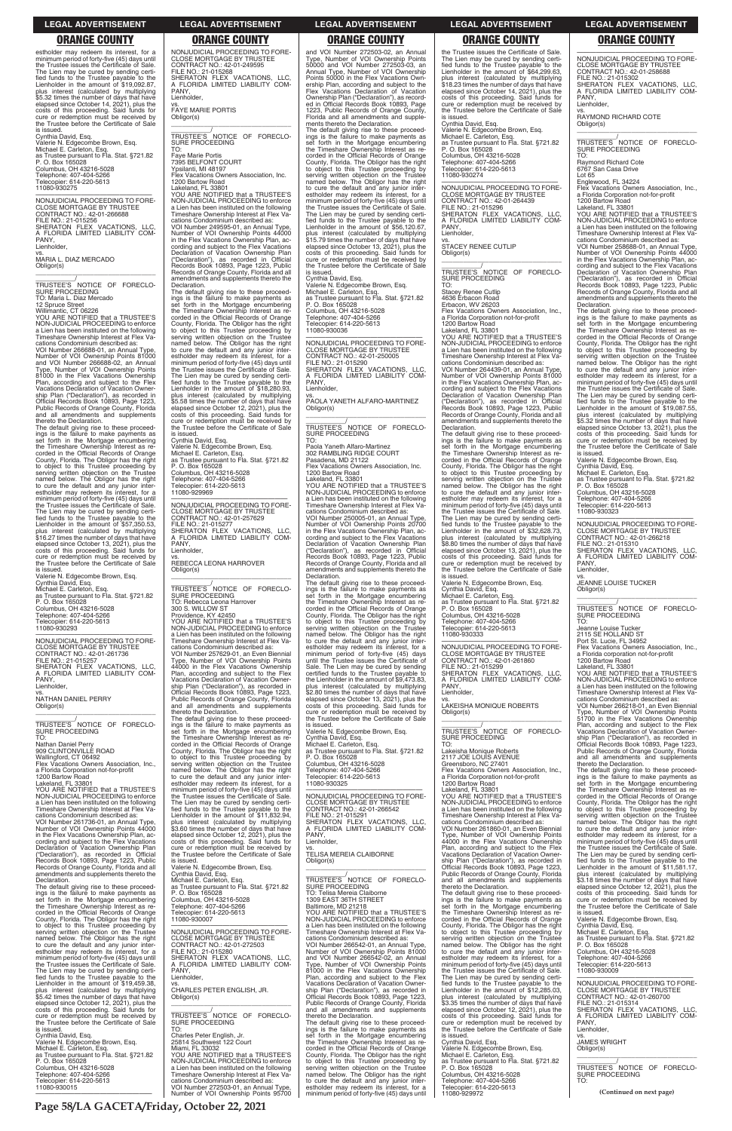**Page 58/LA GACETA/Friday, October 22, 2021**

### **LEGAL ADVERTISEMENT LEGAL ADVERTISEMENT LEGAL ADVERTISEMENT LEGAL ADVERTISEMENT LEGAL ADVERTISEMENT**

estholder may redeem its interest, for a minimum period of forty-five (45) days until the Trustee issues the Certificate of Sale. The Lien may be cured by sending certi-fied funds to the Trustee payable to the Lienholder in the amount of \$19,092.87, plus interest (calculated by multiplying \$5.32 times the number of days that have elapsed since October 14, 2021), plus the costs of this proceeding. Said funds for cure or redemption must be received by the Trustee before the Certificate of Sale

is issued. Cynthia David, Esq. Valerie N. Edgecombe Brown, Esq. Michael E. Carleton, Esq. as Trustee pursuant to Fla. Stat. §721.82 P. O. Box 165028 Columbus, OH 43216-5028 Telephone: 407-404-5266 Telecopier: 614-220-5613 11080-930275

—————————————————— NONJUDICIAL PROCEEDING TO FORE-CLOSE MORTGAGE BY TRUSTEE CONTRACT NO.: 42-01-266688 FILE NO.: 21-015256 SHERATON FLEX VACATIONS, LLC, A FLORIDA LIMITED LIABILITY COM-PANY, Lienholder, vs.

MARIA L. DIAZ MERCADO Obligor(s) \_\_\_\_\_\_\_\_\_\_\_\_\_\_\_\_\_\_\_\_\_\_\_\_\_\_\_\_\_\_\_\_\_

\_\_\_\_\_\_\_\_\_\_\_\_/<br>TRUSTEE'S NOTICE OF FORECLO-<br>SURE PROCEEDING

TO: Maria L. Diaz Mercado 12 Spruce Street Willimantic, CT 06226 YOU ARE NOTIFIED that a TRUSTEE'S NON-JUDICIAL PROCEEDING to enforce a Lien has been instituted on the following Timeshare Ownership Interest at Flex Va-

vs. NATHAN DANIEL PERRY Obligor(s)  $\overline{\phantom{a}}$  , and the set of the set of the set of the set of the set of the set of the set of the set of the set of the set of the set of the set of the set of the set of the set of the set of the set of the set of the s

TRUSTEE'S NOTICE OF FORECLO-SURE PROCEEDING TO:

cations Condominium described as: VOI Number 266688-01, an Annual Type, Number of VOI Ownership Points 81000 and VOI Number 266688-02, an Annual Type, Number of VOI Ownership Points 81000 in the Flex Vacations Ownership Plan, according and subject to the Flex Vacations Declaration of Vacation Ownership Plan ("Declaration"), as recorded in Official Records Book 10893, Page 1223, Public Records of Orange County, Florida and all amendments and supplements thereto the Declaration. The default giving rise to these proceed-

ings is the failure to make payments as set forth in the Mortgage encumbering the Timeshare Ownership Interest as recorded in the Official Records of Orange County, Florida. The Obligor has the right to object to this Trustee proceeding by serving written objection on the Trustee named below. The Obligor has the right to cure the default and any junior interestholder may redeem its interest, for a minimum period of forty-five (45) days until the Trustee issues the Certificate of Sale. The Lien may be cured by sending certi-fied funds to the Trustee payable to the Lienholder in the amount of \$57,350.53, plus interest (calculated by multiplying \$16.27 times the number of days that have elapsed since October 13, 2021), plus the costs of this proceeding. Said funds for cure or redemption must be received by the Trustee before the Certificate of Sale is issued.

**ORANGE COUNTY ORANGE COUNTY ORANGE COUNTY ORANGE COUNTY ORANGE COUNTY** NONJUDICIAL PROCEEDING TO FORE-CLOSE MORTGAGE BY TRUSTEE CONTRACT NO.: 42-01-249595 FILE NO.: 21-015268 SHERATON FLEX VACATIONS, LLC, A FLORIDA LIMITED LIABILITY COM-PANY,

Valerie N. Edgecombe Brown, Esq. Cynthia David, Esq. Michael E. Carleton, Esq. as Trustee pursuant to Fla. Stat. §721.82 P. O. Box 165028 Columbus, OH 43216-5028 Telephone: 407-404-5266 Telecopier: 614-220-5613 11080-930293

—————————————————— NONJUDICIAL PROCEEDING TO FORE-CLOSE MORTGAGE BY TRUSTEE CONTRACT NO.: 42-01-261736 FILE NO.: 21-015257 SHERATON FLEX VACATIONS, LLC,<br>A FLORIDA LIMITED LIABILITY COM-<br>PANY, Lienholder,

Nathan Daniel Perry 909 CLINTONVILLE ROAD Wallingford, CT 06492 Flex Vacations Owners Association, Inc., a Florida Corporation not-for-profit 1200 Bartow Road

Lakeland, FL 33801 YOU ARE NOTIFIED that a TRUSTEE'S NON-JUDICIAL PROCEEDING to enforce a Lien has been instituted on the following Timeshare Ownership Interest at Flex Va-

cations Condominium described as: VOI Number 261736-01, an Annual Type, Number of VOI Ownership Points 44000 in the Flex Vacations Ownership Plan, acObligor(s)  $\overline{\phantom{a}}$  , and the set of the set of the set of the set of the set of the set of the set of the set of the set of the set of the set of the set of the set of the set of the set of the set of the set of the set of the s

TRUSTEE'S<br>SURE PROCEEDING<br>TO: Rebecca Leona Harrover 300 S. WILLOW ST Providence, KY 42450 YOU ARE NOTIFIED that a TRUSTEE'S

Lienholder, vs. FAYE MARIE PORTIS Obligor(s) \_\_\_\_\_\_\_\_\_\_\_\_\_\_\_\_\_\_\_\_\_\_\_\_\_\_\_\_\_\_\_\_\_

\_\_\_\_\_\_\_\_\_\_\_/ TRUSTEE'S NOTICE OF FORECLO-SURE PROCEEDING

TO: Faye Marie Portis 7395 BELFONT COURT Ypsilanti, MI 48197 Flex Vacations Owners Association, Inc. 1200 Bartow Road

Lakeland, FL 33801 YOU ARE NOTIFIED that a TRUSTEE'S NON-JUDICIAL PROCEEDING to enforce a Lien has been instituted on the following NON-JODICIAL PROCEEDING to emotion<br>a Lien has been instituted on the following<br>Timeshare Ownership Interest at Flex Vacations Condominium described as: VOI Number 249595-01, an Annual Type, Number of VOI Ownership Points 44000

> —————————————————— NONJUDICIAL PROCEEDING TO FORE-CLOSE MORTGAGE BY TRUSTEE CONTRACT NO.: 42-01-250005 FILE NO.: 21-015290 SHERATON FLEX VACATIONS, LLC, A FLORIDA LIMITED LIABILITY COM-**PANY** Lienholder,

\_\_\_\_\_\_\_\_\_\_\_\_\_/<br>TRUSTEE'S NOTICE OF FORECLO-SURE PROCEEDING

in the Flex Vacations Ownership Plan, ac-cording and subject to the Flex Vacations Declaration of Vacation Ownership Plan ("Declaration"), as recorded in Official Records Book 10893, Page 1223, Public Records of Orange County, Florida and all amendments and supplements thereto the

Declaration. The default giving rise to these proceedings is the failure to make payments as set forth in the Mortgage encumbering the Timeshare Ownership Interest as recorded in the Official Records of Orange County, Florida. The Obligor has the right to object to this Trustee proceeding by serving written objection on the Trustee named below. The Obligor has the right to cure the default and any junior interestholder may redeem its interest, for a minimum period of forty-five (45) days until the Trustee issues the Certificate of Sale. The Lien may be cured by sending certi-fied funds to the Trustee payable to the Lienholder in the amount of \$18,280.93, plus interest (calculated by multiplying \$5.58 times the number of days that have elapsed since October 12, 2021), plus the costs of this proceeding. Said funds for cure or redemption must be received by the Trustee before the Certificate of Sale

is issued. Cynthia David, Esq. Valerie N. Edgecombe Brown, Esq. Michael E. Carleton, Esq. as Trustee pursuant to Fla. Stat. §721.82 P. O. Box 165028 Columbus, OH 43216-5028 Telephone: 407-404-5266 Telecopier: 614-220-5613 11080-929969

—————————————————— NONJUDICIAL PROCEEDING TO FORE-CLOSE MORTGAGE BY TRUSTEE CONTRACT NO.: 42-01-257629 FILE NO.: 21-015277 SHERATON FLEX VACATIONS, LLC, A FLORIDA LIMITED LIABILITY COM-PANY, Lienholder, vs. REBECCA LEONA HARROVER

NON-JUDICIAL PROCEEDING to enforce a Lien has been instituted on the following Timeshare Ownership Interest at Flex Va-

PANY, Lienholder,

\_\_\_\_\_\_\_\_\_\_\_\_\_\_\_\_\_\_\_\_\_\_\_\_\_\_\_\_\_\_\_\_\_ \_\_\_\_\_\_\_\_\_\_\_\_\_/<br>TRUSTEE'S NOTICE OF FORECLO-

cations Condominium described as: VOI Number 257629-01, an Even Biennial Type, Number of VOI Ownership Points 44000 in the Flex Vacations Ownership Plan, according and subject to the Flex Vacations Declaration of Vacation Ownership Plan ("Declaration"), as recorded in Official Records Book 10893, Page 1223, Public Records of Orange County, Florida and all amendments and supplements thereto the Declaration. The default giving rise to these proceed-

ings is the failure to make payments as set forth in the Mortgage encumbering the Timeshare Ownership Interest as recorded in the Official Records of Orange County, Florida. The Obligor has the right to object to this Trustee proceeding by serving written objection on the Trustee named below. The Obligor has the right to cure the default and any junior interestholder may redeem its interest, for a minimum period of forty-five (45) days until the Trustee issues the Certificate of Sale. The Lien may be cured by sending certi-fied funds to the Trustee payable to the Lienholder in the amount of \$11,832.94, plus interest (calculated by multiplying \$3.60 times the number of days that have

PANY Lienholder, vs.

\_\_\_\_\_\_\_\_\_\_\_\_\_\_\_\_\_\_\_\_\_\_\_\_\_\_\_\_\_\_\_\_\_ \_\_\_\_\_\_\_\_\_\_\_/<br>TRUSTEE'S NOTICE OF FORECLO-<br>SURE PROCEEDING

and VOI Number 272503-02, an Annual Type, Number of VOI Ownership Points 50000 and VOI Number 272503-03, an Annual Type, Number of VOI Ownership Points 50000 in the Flex Vacations Ownership Plan, according and subject to the Flex Vacations Declaration of Vacation Ownership Plan ("Declaration"), as recorded in Official Records Book 10893, Page 1223, Public Records of Orange County, Florida and all amendments and supple-

> $\overline{\phantom{a}}$  , and the set of the set of the set of the set of the set of the set of the set of the set of the set of the set of the set of the set of the set of the set of the set of the set of the set of the set of the s \_\_\_\_\_\_\_\_\_\_\_/ TRUSTEE'S NOTICE OF FORECLO-

cations Condominium described as: VOI Number 258688-01, an Annual Type, Number of VOI Ownership Points 44000 in the Flex Vacations Ownership Plan, ac-cording and subject to the Flex Vacations Declaration of Vacation Ownership Plan ("Declaration"), as recorded in Official Records Book 10893, Page 1223, Public Records of Orange County, Florida and all amendments and supplements thereto the claration.

ments thereto the Declaration. The default giving rise to these proceed-ings is the failure to make payments as set forth in the Mortgage encumbering the Timeshare Ownership Interest as re-corded in the Official Records of Orange County, Florida. The Obligor has the right to object to this Trustee proceeding by serving written objection on the Trustee named below. The Obligor has the right to cure the default and any junior inter-estholder may redeem its interest, for a minimum period of forty-five (45) days until the Trustee issues the Certificate of Sale. The Lien may be cured by sending certified funds to the Trustee payable to the Lienholder in the amount of \$56,120.67, plus interest (calculated by multiplying \$15.79 times the number of days that have elapsed since October 13, 2021), plus the costs of this proceeding. Said funds for cure or redemption must be received by the Trustee before the Certificate of Sale is issued.

> $\overline{\phantom{a}}$  ,  $\overline{\phantom{a}}$  ,  $\overline{\phantom{a}}$  ,  $\overline{\phantom{a}}$  ,  $\overline{\phantom{a}}$  ,  $\overline{\phantom{a}}$  ,  $\overline{\phantom{a}}$  ,  $\overline{\phantom{a}}$  ,  $\overline{\phantom{a}}$  ,  $\overline{\phantom{a}}$  ,  $\overline{\phantom{a}}$  ,  $\overline{\phantom{a}}$  ,  $\overline{\phantom{a}}$  ,  $\overline{\phantom{a}}$  ,  $\overline{\phantom{a}}$  ,  $\overline{\phantom{a}}$ \_\_\_\_\_\_\_\_\_\_\_/ TRUSTEE'S NOTICE OF FORECLO-SURE PROCEEDING TO:

Cynthia David, Esq. Valerie N. Edgecombe Brown, Esq. Michael E. Carleton, Esq. as Trustee pursuant to Fla. Stat. §721.82 P. O. Box 165028 Columbus, OH 43216-5028 Telephone: 407-404-5266 Telecopier: 614-220-5613 11080-930036

> VOI Number 266218-01, an Even Biennial Type, Number of VOI Ownership Points 51700 in the Flex Vacations Ownership Plan, according and subject to the Flex<br>Vacations Declaration of Vacation Owner-<br>ship Plan ("Declaration"), as recorded in<br>Official Records Book 10893, Page 1223,<br>Public Records of Orange County, Florida<br>and all amendments

vs. PAOLA YANETH ALFARO-MARTINEZ Obligor(s) \_\_\_\_\_\_\_\_\_\_\_\_\_\_\_\_\_\_\_\_\_\_\_\_\_\_\_\_\_\_\_\_\_

TO: Paola Yaneth Alfaro-Martinez 302 RAMBLING RIDGE COURT Pasadena, MD 21122 Flex Vacations Owners Association, Inc. 1200 Bartow Road Lakeland, FL 33801 YOU ARE NOTIFIED that a TRUSTEE'S

NON-JUDICIAL PROCEEDING to enforce Lien has been instituted on the Timeshare Ownership Interest at Flex Va-

cations Condominium described as: VOI Number 250005-01, an Annual Type, Number of VOI Ownership Points 20700 in the Flex Vacations Ownership Plan, ac-cording and subject to the Flex Vacations Declaration of Vacation Ownership Plan ("Declaration"), as recorded in Official Records Book 10893, Page 1223, Public Records of Orange County, Florida and all amendments and supplements thereto the

Declaration. The default giving rise to these proceedings is the failure to make payments as set forth in the Mortgage encumbering the Timeshare Ownership Interest as recorded in the Official Records of Orange County, Florida. The Obligor has the right to object to this Trustee proceeding by serving written objection on the Trustee named below. The Obligor has the right to cure the default and any junior interestholder may redeem its interest, for a minimum period of forty-five (45) days until the Trustee issues the Certificate of Sale. The Lien may be cured by sending certified funds to the Trustee payable to the Lienholder in the amount of \$9,473.83, plus interest (calculated by multiplying \$2.80 times the number of days that have elapsed since October 13, 2021), plus the costs of this proceeding. Said funds for cure or redemption must be received by the Trustee before the Certificate of Sale

is issued. Valerie N. Edgecombe Brown, Esq. Cynthia David, Esq. Michael E. Carleton, Esq. as Trustee pursuant to Fla. Stat. §721.82 P. O. Box 165028 Columbus, OH 43216-5028 Telephone: 407-404-5266 Telecopier: 614-220-5613

11080-930325

—————————————————— NONJUDICIAL PROCEEDING TO FORE-CLOSE MORTGAGE BY TRUSTEE CONTRACT NO.: 42-01-266542 FILE NO.: 21-015291

| VOI Number 261736-01, an Annual Type,        | plus interest (calculated by multiplying    | SHERATON FLEX VACATIONS. LLC.                | cations Condominium described as:            | named below. The Obligor has the right       |
|----------------------------------------------|---------------------------------------------|----------------------------------------------|----------------------------------------------|----------------------------------------------|
| Number of VOI Ownership Points 44000         | \$3.60 times the number of days that have   | A FLORIDA LIMITED LIABILITY COM-             | VOI Number 261860-01, an Even Biennial       | to cure the default and any junior inter-    |
| in the Flex Vacations Ownership Plan, ac-    | elapsed since October 12, 2021), plus the   | PANY.                                        | Type, Number of VOI Ownership Points         | estholder may redeem its interest, for a     |
| cording and subject to the Flex Vacations    | costs of this proceeding. Said funds for    | Lienholder.                                  | 44000 in the Flex Vacations Ownership        | minimum period of forty-five (45) days until |
| Declaration of Vacation Ownership Plan       | cure or redemption must be received by      | VS.                                          | Plan, according and subject to the Flex      | the Trustee issues the Certificate of Sale.  |
| ("Declaration"), as recorded in Official     | the Trustee before the Certificate of Sale  | <b>TELISA MEREIA CLAIBORNE</b>               | Vacations Declaration of Vacation Owner-     | The Lien may be cured by sending certi-      |
| Records Book 10893, Page 1223, Public        | is issued.                                  | Obligor(s)                                   | ship Plan ("Declaration"), as recorded in    | fied funds to the Trustee payable to the     |
| Records of Orange County, Florida and all    | Valerie N. Edgecombe Brown, Esq.            |                                              | Official Records Book 10893, Page 1223,      | Lienholder in the amount of \$11,581.17,     |
| amendments and supplements thereto the       | Cynthia David, Esq.                         |                                              | Public Records of Orange County, Florida     | plus interest (calculated by multiplying     |
| Declaration.                                 | Michael E. Carleton, Esq.                   | TRUSTEE'S NOTICE OF FORECLO-                 | and all amendments and supplements           | \$3.18 times the number of days that have    |
| The default giving rise to these proceed-    | as Trustee pursuant to Fla. Stat. §721.82   | SURE PROCEEDING                              | thereto the Declaration.                     | elapsed since October 12, 2021), plus the    |
| ings is the failure to make payments as      | P. O. Box 165028                            | TO: Telisa Mereia Claiborne                  | The default giving rise to these proceed-    | costs of this proceeding. Said funds for     |
| set forth in the Mortgage encumbering        | Columbus, OH 43216-5028                     | 1309 EAST 36TH STREET                        | ings is the failure to make payments as      | cure or redemption must be received by       |
| the Timeshare Ownership Interest as re-      | Telephone: 407-404-5266                     |                                              |                                              | the Trustee before the Certificate of Sale   |
|                                              |                                             | Baltimore, MD 21218                          | set forth in the Mortgage encumbering        |                                              |
| corded in the Official Records of Orange     | Telecopier: 614-220-5613                    | YOU ARE NOTIFIED that a TRUSTEE'S            | the Timeshare Ownership Interest as re-      | is issued.                                   |
| County, Florida. The Obligor has the right   | 11080-930007                                | NON-JUDICIAL PROCEEDING to enforce           | corded in the Official Records of Orange     | Valerie N. Edgecombe Brown, Esg.             |
| to object to this Trustee proceeding by      |                                             | a Lien has been instituted on the following  | County, Florida. The Obligor has the right   | Cynthia David, Esq.                          |
| serving written objection on the Trustee     | NONJUDICIAL PROCEEDING TO FORE-             | Timeshare Ownership Interest at Flex Va-     | to object to this Trustee proceeding by      | Michael E. Carleton, Esq.                    |
| named below. The Obligor has the right       | <b>CLOSE MORTGAGE BY TRUSTEE</b>            | cations Condominium described as:            | serving written objection on the Trustee     | as Trustee pursuant to Fla. Stat. §721.82    |
| to cure the default and any junior inter-    | CONTRACT NO.: 42-01-272503                  | VOI Number 266542-01, an Annual Type,        | named below. The Obligor has the right       | P. O. Box 165028                             |
| estholder may redeem its interest, for a     | FILE NO.: 21-015280                         | Number of VOI Ownership Points 81000         | to cure the default and any junior inter-    | Columbus, OH 43216-5028                      |
| minimum period of forty-five (45) days until | SHERATON FLEX VACATIONS. LLC.               | and VOI Number 266542-02, an Annual          | estholder may redeem its interest, for a     | Telephone: 407-404-5266                      |
| the Trustee issues the Certificate of Sale.  | A FLORIDA LIMITED LIABILITY COM-            | Type, Number of VOI Ownership Points         | minimum period of forty-five (45) days until | Telecopier: 614-220-5613                     |
| The Lien may be cured by sending certi-      | PANY.                                       | 81000 in the Flex Vacations Ownership        | the Trustee issues the Certificate of Sale.  | 11080-930009                                 |
| fied funds to the Trustee payable to the     | Lienholder.                                 | Plan, according and subject to the Flex      | The Lien may be cured by sending certi-      |                                              |
| Lienholder in the amount of \$19.459.38.     | VS.                                         | Vacations Declaration of Vacation Owner-     | fied funds to the Trustee payable to the     | NONJUDICIAL PROCEEDING TO FORE-              |
| plus interest (calculated by multiplying     | CHARLES PETER ENGLISH, JR.                  | ship Plan ("Declaration"), as recorded in    | Lienholder in the amount of \$12,285,03.     | <b>CLOSE MORTGAGE BY TRUSTEE</b>             |
| \$5.42 times the number of days that have    | Obligor(s)                                  | Official Records Book 10893, Page 1223,      | plus interest (calculated by multiplying     | CONTRACT NO.: 42-01-260700                   |
| elapsed since October 12, 2021), plus the    |                                             | Public Records of Orange County, Florida     | \$3.35 times the number of days that have    | FILE NO.: 21-015314                          |
| costs of this proceeding. Said funds for     |                                             | and all amendments and supplements           | elapsed since October 12, 2021), plus the    | SHERATON FLEX VACATIONS. LLC.                |
| cure or redemption must be received by       | TRUSTEE'S NOTICE OF FORECLO-                | thereto the Declaration.                     | costs of this proceeding. Said funds for     | A FLORIDA LIMITED LIABILITY COM-             |
| the Trustee before the Certificate of Sale   | SURE PROCEEDING                             | The default giving rise to these proceed-    | cure or redemption must be received by       | PANY.                                        |
| is issued.                                   | TO:                                         | ings is the failure to make payments as      | the Trustee before the Certificate of Sale   | Lienholder.                                  |
| Cynthia David, Esg.                          | Charles Peter English, Jr.                  | set forth in the Mortgage encumbering        | is issued.                                   | VS.                                          |
| Valerie N. Edgecombe Brown, Esq.             | 25814 Southwest 122 Court                   | the Timeshare Ownership Interest as re-      | Cynthia David, Esq.                          | <b>JAMES WRIGHT</b>                          |
| Michael E. Carleton, Esg.                    | Miami, FL 33032                             | corded in the Official Records of Orange     | Valerie N. Edgecombe Brown, Esg.             | Obligor(s)                                   |
| as Trustee pursuant to Fla. Stat. §721.82    | YOU ARE NOTIFIED that a TRUSTEE'S           | County, Florida. The Obligor has the right   | Michael E. Carleton, Esq.                    |                                              |
| P. O. Box 165028                             | NON-JUDICIAL PROCEEDING to enforce          | to object to this Trustee proceeding by      | as Trustee pursuant to Fla. Stat. §721.82    |                                              |
| Columbus, OH 43216-5028                      | a Lien has been instituted on the following | serving written objection on the Trustee     | P. O. Box 165028                             | TRUSTEE'S NOTICE OF FORECLO-                 |
| Telephone: 407-404-5266                      | Timeshare Ownership Interest at Flex Va-    | named below. The Obligor has the right       | Columbus, OH 43216-5028                      | SURE PROCEEDING                              |
| Telecopier: 614-220-5613                     | cations Condominium described as:           |                                              | Telephone: 407-404-5266                      | TO:                                          |
|                                              |                                             | to cure the default and any junior inter-    |                                              |                                              |
| 11080-930015                                 | VOI Number 272503-01, an Annual Type,       | estholder may redeem its interest, for a     | Telecopier: 614-220-5613                     | (Continued on next page)                     |
|                                              | Number of VOI Ownership Points 95700        | minimum period of forty-five (45) days until | 11080-929972                                 |                                              |

the Trustee issues the Certificate of Sale. The Lien may be cured by sending certified funds to the Trustee payable to the Lienholder in the amount of \$64,299.63, plus interest (calculated by multiplying

\$18.23 times the number of days that have elapsed since October 14, 2021), plus the costs of this proceeding. Said funds for cure or redemption must be received by the Trustee before the Certificate of Sale

is issued.

Cynthia David, Esq. Valerie N. Edgecombe Brown, Esq. Michael E. Carleton, Esq.

as Trustee pursuant to Fla. Stat. §721.82 P. O. Box 165028 Columbus, OH 43216-5028

Telephone: 407-404-5266 Telecopier: 614-220-5613 11080-930274

—————————————————— NONJUDICIAL PROCEEDING TO FORE-CLOSE MORTGAGE BY TRUSTEE

CONTRACT NO.: 42-01-264439 FILE NO.: 21-015296 SHERATON FLEX VACATIONS, LLC, A FLORIDA LIMITED LIABILITY COM-

vs. STACEY RENEE CUTLIP

Obligor(s)

SURE PROCEEDING TO: Stacey Renee Cutlip

4636 Erbacon Road Erbacon, WV 26203 Flex Vacations Owners Association, Inc.,

a Florida Corporation not-for-profit 1200 Bartow Road Lakeland, FL 33801 YOU ARE NOTIFIED that a TRUSTEE'S NON-JUDICIAL PROCEEDING to enforce a Lien has been instituted on the following Timeshare Ownership Interest at Flex Va-cations Condominium described as: VOI Number 264439-01, an Annual Type,

Number of VOI Ownership Points 81000 in the Flex Vacations Ownership Plan, ac-cording and subject to the Flex Vacations

Declaration of Vacation Ownership Plan ("Declaration"), as recorded in Official Records Book 10893, Page 1223, Public Records of Orange County, Florida and all amendments and supplements thereto the

Declaration.

The default giving rise to these proceed-ings is the failure to make payments as set forth in the Mortgage encumbering

the Timeshare Ownership Interest as re-corded in the Official Records of Orange County, Florida. The Obligor has the right

to object to this Trustee proceeding by serving written objection on the Trustee named below. The Obligor has the right

to cure the default and any junior inter-estholder may redeem its interest, for a minimum period of forty-five (45) days until

the Trustee issues the Certificate of Sale. The Lien may be cured by sending certi-fied funds to the Trustee payable to the

Lienholder in the amount of \$32,628.73, plus interest (calculated by multiplying \$8.80 times the number of days that have

elapsed since October 13, 2021), plus the costs of this proceeding. Said funds for cure or redemption must be received by the Trustee before the Certificate of Sale is issued. Valerie N. Edgecombe Brown, Esq. Cynthia David, Esq. Michael E. Carleton, Esq. as Trustee pursuant to Fla. Stat. §721.82

P. O. Box 165028 Columbus, OH 43216-5028 Telephone: 407-404-5266 Telecopier: 614-220-5613 11080-930333

—————————————————— NONJUDICIAL PROCEEDING TO FORE-CLOSE MORTGAGE BY TRUSTEE CONTRACT NO.: 42-01-261860

FILE NO.: 21-015299 SHERATON FLEX VACATIONS, LLC, A FLORIDA LIMITED LIABILITY COM-

LAKEISHA MONIQUE ROBERTS

Obligor(s)

TO:

Lakeisha Monique Roberts 2117 JOE LOUIS AVENUE

Greensboro, NC 27401 Flex Vacations Owners Association, Inc., a Florida Corporation not-for-profit 1200 Bartow Road Lakeland, FL 33801 YOU ARE NOTIFIED that a TRUSTEE'S

NON-JUDICIAL PROCEEDING to enforce a Lien has been instituted on the following Timeshare Ownership Interest at Flex Va-

—————————————————— NONJUDICIAL PROCEEDING TO FORE-CLOSE MORTGAGE BY TRUSTEE CONTRACT NO.: 42-01-258688 FILE NO.: 21-015302 SHERATON FLEX VACATIONS, LLC, A FLORIDA LIMITED LIABILITY COM-A FLC<br>PANY, Lienholder,

vs. RAYMOND RICHARD COTE Obligor(s)

SURE PROCEEDING TO: Raymond Richard Cote 6767 San Casa Drive Lot 65

Englewood, FL 34224 Flex Vacations Owners Association, Inc., a Florida Corporation not-for-profit 1200 Bartow Road Lakeland, FL 33801 YOU ARE NOTIFIED that a TRUSTEE'S

NON-JUDICIAL PROCEEDING to enforce a Lien has been instituted on the following Timeshare Ownership Interest at Flex Va-

The default giving rise to these proceedings is the failure to make payments as set forth in the Mortgage encumbering the Timeshare Ownership Interest as recorded in the Official Records of Orange County, Florida. The Obligor has the right to object to this Trustee proceeding by serving written objection on the Trustee named below. The Obligor has the right to cure the default and any junior interestholder may redeem its interest, for a minimum period of forty-five (45) days until the Trustee issues the Certificate of Sale. The Lien may be cured by sending certi-fied funds to the Trustee payable to the Lienholder in the amount of \$19,087.55, plus interest (calculated by multiplying \$5.32 times the number of days that have elapsed since October 13, 2021), plus the costs of this proceeding. Said funds for cure or redemption must be received by the Trustee before the Certificate of Sale is issued.

Valerie N. Edgecombe Brown, Esq. Cynthia David, Esq.

Michael E. Carleton, Esq. as Trustee pursuant to Fla. Stat. §721.82 P. O. Box 165028

Columbus, OH 43216-5028 Telephone: 407-404-5266 Telecopier: 614-220-5613

11080-930323

—————————————————— NONJUDICIAL PROCEEDING TO FORE-CLOSE MORTGAGE BY TRUSTEE CONTRACT NO.: 42-01-266218 FILE NO.: 21-015310 SHERATON FLEX VACATIONS, LLC, A FLORIDA LIMITED LIABILITY COM-A FLC<br>PANY, Lienholder,

vs. JEANNE LOUISE TUCKER Obligor(s)

Jeanne Louise Tucker 2115 SE HOLLAND ST Port St. Lucie, FL 34952

Flex Vacations Owners Association, Inc., a Florida corporation not-for-profit 1200 Bartow Road

Lakeland, FL 33801 YOU ARE NOTIFIED that a TRUSTEE'S NON-JUDICIAL PROCEEDING to enforce a Lien has been instituted on the following Timeshare Ownership Interest at Flex Va-cations Condominium described as:

thereto the Declaration. The default giving rise to these proceed-ings is the failure to make payments as set forth in the Mortgage encumbering the Timeshare Ownership Interest as re-corded in the Official Records of Orange County, Florida. The Obligor has the right to object to this Trustee proceeding by serving written objection on the Trustee named below. The Obligor has the right to cure the default and any junior inter-estholder may redeem its interest, for a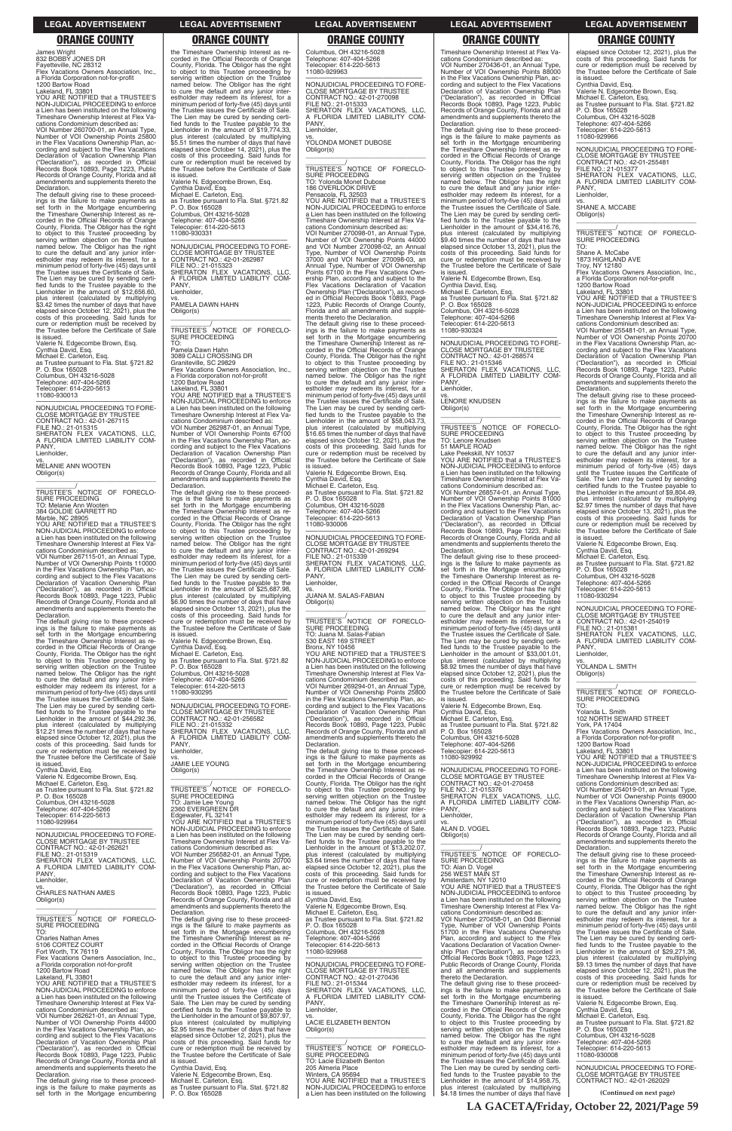**LA GACETA/Friday, October 22, 2021/Page 59**

### **LEGAL ADVERTISEMENT LEGAL ADVERTISEMENT LEGAL ADVERTISEMENT LEGAL ADVERTISEMENT LEGAL ADVERTISEMENT**

# **ORANGE COUNTY ORANGE COUNTY ORANGE COUNTY ORANGE COUNTY ORANGE COUNTY**

James Wright 832 BOBBY JONES DR Fayetteville, NC 28312 Flex Vacations Owners Association, Inc., a Florida Corporation not-for-profit

1200 Bartow Road Lakeland, FL 33801 YOU ARE NOTIFIED that a TRUSTEE'S NON-JUDICIAL PROCEEDING to enforce a Lien has been instituted on the following Timeshare Ownership Interest at Flex Va-

cations Condominium described as: VOI Number 260700-01, an Annual Type, Number of VOI Ownership Points 25800 in the Flex Vacations Ownership Plan, ac-cording and subject to the Flex Vacations Declaration of Vacation Ownership Plan ("Declaration"), as recorded in Official Records Book 10893, Page 1223, Public Records of Orange County, Florida and all amendments and supplements thereto the

Declaration. The default giving rise to these proceedings is the failure to make payments as set forth in the Mortgage encumbering the Timeshare Ownership Interest as recorded in the Official Records of Orange County, Florida. The Obligor has the right to object to this Trustee proceeding by serving written objection on the Trustee named below. The Obligor has the right to cure the default and any junior interestholder may redeem its interest, for a minimum period of forty-five (45) days until the Trustee issues the Certificate of Sale. The Lien may be cured by sending certi-fied funds to the Trustee payable to the Lienholder in the amount of \$12,656.60, plus interest (calculated by multiplying \$3.42 times the number of days that have elapsed since October 12, 2021), plus the costs of this proceeding. Said funds for cure or redemption must be received by the Trustee before the Certificate of Sale is issued.

Valerie N. Edgecombe Brown, Esq. Cynthia David, Esq. Michael E. Carleton, Esq. as Trustee pursuant to Fla. Stat. §721.82 P. O. Box 165028 Columbus, OH 43216-5028 Telephone: 407-404-5266 Telecopier: 614-220-5613 11080-930013

—————————————————— NONJUDICIAL PROCEEDING TO FORE-CLOSE MORTGAGE BY TRUSTEE CONTRACT NO.: 42-01-267115 FILE NO.: 21-015315 SHERATON FLEX VACATIONS, LLC,<br>A FLORIDA LIMITED LIABILITY COM-<br>PANY, Lienholder,

vs. MELANIE ANN WOOTEN Obligor(s)

\_\_\_\_\_\_\_\_\_\_\_/ TRUSTEE'S NOTICE OF FORECLO-SURE PROCEEDING TO: Melanie Ann Wooten 384 GOLDIE GARRETT RD

 $\overline{\phantom{a}}$  , and the set of the set of the set of the set of the set of the set of the set of the set of the set of the set of the set of the set of the set of the set of the set of the set of the set of the set of the s

Marble, NC 28905 YOU ARE NOTIFIED that a TRUSTEE'S NON-JUDICIAL PROCEEDING to enforce<br>a Lien has been instituted on the following a Lien has been instituted on the following Timeshare Ownership Interest at Flex Va-

cations Condominium described as: VOI Number 267115-01, an Annual Type, Number of VOI Ownership Points 110000 in the Flex Vacations Ownership Plan, ac-cording and subject to the Flex Vacations Declaration of Vacation Ownership Plan ("Declaration"), as recorded in Official Records Book 10893, Page 1223, Public Records of Orange County, Florida and all amendments and supplements thereto the

\_\_\_\_\_\_\_\_\_\_\_\_/<br>TRUSTEE'S NOTICE OF FORECLO-SURE PROCEEDING

Declaration. The default giving rise to these proceedings is the failure to make payments as set forth in the Mortgage encumbering the Timeshare Ownership Interest as recorded in the Official Records of Orange County, Florida. The Obligor has the right to object to this Trustee proceeding by serving written objection on the Trustee<br>named below. The Obligor has the right<br>to cure the default and any junior inter-<br>estholder may redeem its interest, for a<br>minimum period of forty-five (45) days until<br>the Trustee is The Lien may be cured by sending certi-fied funds to the Trustee payable to the Lienholder in the amount of \$44,292.36, plus interest (calculated by multiplying \$12.21 times the number of days that have elapsed since October 12, 2021), plus the costs of this proceeding. Said funds for cure or redemption must be received by the Trustee before the Certificate of Sale is issued.

Cynthia David, Esq. Valerie N. Edgecombe Brown, Esq. Michael E. Carleton, Esq. as Trustee pursuant to Fla. Stat. §721.82 P. O. Box 165028 Columbus, OH 43216-5028 Telephone: 407-404-5266 Telecopier: 614-220-5613 11080-929964

\_\_\_\_\_\_\_\_\_\_\_/<br>TRUSTEE'S NOTICE OF FORECLO-<br>SURE PROCEEDING TO: Jamie Lee Young 2360 EVERGREEN DR Edgewater, FL 32141 YOU ARE NOTIFIED that a TRUSTEE'S NON-JUDICIAL PROCEEDING to enforce \_\_\_\_\_\_\_\_\_\_\_/<br>TRUSTEE'S NOTICE OF FORECLO-<br>SURE PROCEEDING TO: Yolonda Monet Dubose 186 OVERLOOK DRIVE Pensacola, FL 32503

the Timeshare Ownership Interest as re-corded in the Official Records of Orange County, Florida. The Obligor has the right to object to this Trustee proceeding by serving written objection on the Trustee named below. The Obligor has the right to cure the default and any junior inter-estholder may redeem its interest, for a minimum period of forty-five (45) days until the Trustee issues the Certificate of Sale. The Lien may be cured by sending certified funds to the Trustee payable to the Lienholder in the amount of \$19,774.33, plus interest (calculated by multiplying \$5.51 times the number of days that have elapsed since October 14, 2021), plus the costs of this proceeding. Said funds for cure or redemption must be received by the Trustee before the Certificate of Sale is issued.

Valerie N. Edgecombe Brown, Esq. Cynthia David, Esq. Michael E. Carleton, Esq. as Trustee pursuant to Fla. Stat. §721.82 P. O. Box 165028 Columbus, OH 43216-5028 Telephone: 407-404-5266 Telecopier: 614-220-5613 11080-930331

—————————————————— NONJUDICIAL PROCEEDING TO FORE-CLOSE MORTGAGE BY TRUSTEE CONTRACT NO.: 42-01-262987 FILE NO.: 21-015323 SHERATON FLEX VACATIONS, LLC, A FLORIDA LIMITED LIABILITY COM-PANY, Lienholder,

> \_\_\_\_\_\_\_\_\_\_\_/ TRUSTEE'S NOTICE OF FORECLO-SURE PROCEEDING TO: Juana M. Salas-Fabian TO: Juana M. Salas-Fab<br>530 EAST 169 STREET

vs. PAMELA DAWN HAHN Obligor(s) \_\_\_\_\_\_\_\_\_\_\_\_\_\_\_\_\_\_\_\_\_\_\_\_\_\_\_\_\_\_\_\_\_

TO: Pamela Dawn Hahn

3089 CALLI CROSSING DR Graniteville, SC 29829 Flex Vacations Owners Association, Inc., a Florida corporation not-for-profit 1200 Bartow Road Lakeland, FL 33801

YOU ARE NOTIFIED that a TRUSTEE'S NON-JUDICIAL PROCEEDING to enforce a Lien has been instituted on the following Timeshare Ownership Interest at Flex Vacations Condominium described as: VOI Number 262987-01, an Annual Type, Number of VOI Ownership Points 67100 in the Flex Vacations Ownership Plan, ac-cording and subject to the Flex Vacations Declaration of Vacation Ownership Plan ("Declaration"), as recorded in Official Records Book 10893, Page 1223, Public Records of Orange County, Florida and all amendments and supplements thereto the Declaration.

The default giving rise to these proceed-ings is the failure to make payments as set forth in the Mortgage encumbering the Timeshare Ownership Interest as re-corded in the Official Records of Orange County, Florida. The Obligor has the right to object to this Trustee proceeding by serving written objection on the Trustee named below. The Obligor has the right to cure the default and any junior inter-estholder may redeem its interest, for a minimum period of forty-five (45) days until the Trustee issues the Certificate of Sale. The Lien may be cured by sending certi-fied funds to the Trustee payable to the Lienholder in the amount of \$25,687.98, plus interest (calculated by multiplying \$6.90 times the number of days that have elapsed since October 13, 2021), plus the costs of this proceeding. Said funds for cure or redemption must be received by the Trustee before the Certificate of Sale is issued. Valerie N. Edgecombe Brown, Esq.

Cynthia David, Esq. Michael E. Carleton, Esq. as Trustee pursuant to Fla. Stat. §721.82 P. O. Box 165028 Columbus, OH 43216-5028 Telephone: 407-404-5266 Telecopier: 614-220-5613 11080-930295

—————————————————— NONJUDICIAL PROCEEDING TO FORE-CLOSE MORTGAGE BY TRUSTEE CONTRACT NO.: 42-01-256582 FILE NO.: 21-015332 SHERATON FLEX VACATIONS, LLC, A FLORIDA LIMITED LIABILITY COM-PANY Lienholder,

vs. JAMIE LEE YOUNG Obligor(s)

\_\_\_\_\_\_\_\_\_\_\_\_\_\_\_\_\_\_\_\_\_\_\_\_\_\_\_\_\_\_\_\_\_

Columbus, OH 43216-5028 Telephone: 407-404-5266 Telecopier: 614-220-5613 11080-929963

—————————————————— NONJUDICIAL PROCEEDING TO FORE-CLOSE MORTGAGE BY TRUSTEE CONTRACT NO.: 42-01-270098 FILE NO.: 21-015333 SHERATON FLEX VACATIONS, LLC, A FLORIDA LIMITED LIABILITY COM-PANY, Lienholder,

vs. YOLONDA MONET DUBOSE Obligor(s) \_\_\_\_\_\_\_\_\_\_\_\_\_\_\_\_\_\_\_\_\_\_\_\_\_\_\_\_\_\_\_\_\_

YOU ARE NOTIFIED that a TRUSTEE'S NON-JUDICIAL PROCEEDING to enforce a Lien has been instituted on the following Timeshare Ownership Interest at Flex Va-cations Condominium described as: VOI Number 270098-01, an Annual Type, Number of VOI Ownership Points 44000 and VOI Number 270098-02, an Annual Type, Number of VOI Ownership Points 37000 and VOI Number 270098-03, an Annual Type, Number of VOI Ownership Points 67100 in the Flex Vacations Ownership Plan, according and subject to the Flex Vacations Declaration of Vacation Ownership Plan ("Declaration"), as recorded in Official Records Book 10893, Page 1223, Public Records of Orange County, Florida and all amendments and supple-

ments thereto the Declaration. The default giving rise to these proceed-ings is the failure to make payments as set forth in the Mortgage encumbering the Timeshare Ownership Interest as re-corded in the Official Records of Orange County, Florida. The Obligor has the right to object to this Trustee proceeding by serving written objection on the Trustee named below. The Obligor has the right to cure the default and any junior inter-estholder may redeem its interest, for a minimum period of forty-five (45) days until the Trustee issues the Certificate of Sale. The Lien may be cured by sending certified funds to the Trustee payable to the Lienholder in the amount of \$58,043.73, plus interest (calculated by multiplying \$16.65 times the number of days that have elapsed since October 12, 2021), plus the costs of this proceeding. Said funds for cure or redemption must be received by the Trustee before the Certificate of Sale is issued.

Valerie N. Edgecombe Brown, Esq. Cynthia David, Esq. Michael E. Carleton, Esq. as Trustee pursuant to Fla. Stat. §721.82 P. O. Box 165028 Columbus, OH 43216-5028 Telephone: 407-404-5266 Telecopier: 614-220-5613 11080-930006

—————————————————— NONJUDICIAL PROCEEDING TO FORE-CLOSE MORTGAGE BY TRUSTEE CONTRACT NO.: 42-01-269294 FILE NO.: 21-015339 SHERATON FLEX VACATIONS, LLC, A FLORIDA LIMITED LIABILITY COM-PANY, Lienholder,

vs. JUANA M. SALAS-FABIAN Obligor(s) \_\_\_\_\_\_\_\_\_\_\_\_\_\_\_\_\_\_\_\_\_\_\_\_\_\_\_\_\_\_\_\_\_

Bronx, NY 10456 YOU ARE NOTIFIED that a TRUSTEE'S NON-JUDICIAL PROCEEDING to enforce a Lien has been instituted on the following Timeshare Ownership Interest at Flex Vacations Condominium described as: VOI Number 269294-01, an Annual Type, Number of VOI Ownership Points 25800 in the Flex Vacations Ownership Plan, according and subject to the Flex Vacations Declaration of Vacation Ownership Plan ("Declaration"), as recorded in Official Records Book 10893, Page 1223, Public Records of Orange County, Florida and all amendments and supplements thereto the Declaration.

The default giving rise to these proceed-ings is the failure to make payments as set forth in the Mortgage encumbering the Timeshare Ownership Interest as re-corded in the Official Records of Orange County, Florida. The Obligor has the right to object to this Trustee proceeding by serving written objection on the Trustee named below. The Obligor has the right to cure the default and any junior inter-estholder may redeem its interest, for a minimum period of forty-five (45) days until the Trustee issues the Certificate of Sale.

|                                             | NON-JUDICIAL PROCEEDING to enforce          | the Trustee issues the Certificate of Sale. | ALAN D. VOGEL                                | Records Book 10893, Page 1223, Public        |
|---------------------------------------------|---------------------------------------------|---------------------------------------------|----------------------------------------------|----------------------------------------------|
| NONJUDICIAL PROCEEDING TO FORE-             | a Lien has been instituted on the following | The Lien may be cured by sending certi-     | Obligor(s)                                   | Records of Orange County, Florida and all    |
| <b>CLOSE MORTGAGE BY TRUSTEE</b>            | Timeshare Ownership Interest at Flex Va-    | fied funds to the Trustee payable to the    |                                              | amendments and supplements thereto the       |
| CONTRACT NO.: 42-01-262621                  | cations Condominium described as:           | Lienholder in the amount of \$13,202.07,    |                                              | Declaration.                                 |
| FILE NO.: 21-015319                         | VOI Number 256582-01, an Annual Type,       | plus interest (calculated by multiplying    | TRUSTEE'S NOTICE OF FORECLO-                 | The default giving rise to these proceed-    |
| SHERATON FLEX VACATIONS. LLC.               | Number of VOI Ownership Points 20700        | \$3.64 times the number of days that have   | <b>SURE PROCEEDING</b>                       | ings is the failure to make payments as      |
| A FLORIDA LIMITED LIABILITY COM-            | in the Flex Vacations Ownership Plan, ac-   | elapsed since October 12, 2021), plus the   | TO: Alan D. Vogel                            | set forth in the Mortgage encumbering        |
| PANY.                                       | cording and subject to the Flex Vacations   | costs of this proceeding. Said funds for    | 256 WEST MAIN ST                             | the Timeshare Ownership Interest as re-      |
| Lienholder,                                 | Declaration of Vacation Ownership Plan      | cure or redemption must be received by      | Amsterdam, NY 12010                          | corded in the Official Records of Orange     |
| VS.                                         | ("Declaration"), as recorded in Official    | the Trustee before the Certificate of Sale  | YOU ARE NOTIFIED that a TRUSTEE'S            | County, Florida. The Obligor has the right   |
| <b>CHARLES NATHAN AMES</b>                  | Records Book 10893, Page 1223, Public       | is issued.                                  | NON-JUDICIAL PROCEEDING to enforce           | to object to this Trustee proceeding by      |
| Obligor(s)                                  | Records of Orange County, Florida and all   | Cynthia David, Esq.                         | a Lien has been instituted on the following  | serving written objection on the Trustee     |
|                                             | amendments and supplements thereto the      | Valerie N. Edgecombe Brown, Esq.            | Timeshare Ownership Interest at Flex Va-     | named below. The Obligor has the right       |
|                                             | Declaration.                                | Michael E. Carleton, Esg.                   | cations Condominium described as:            | to cure the default and any junior inter-    |
| TRUSTEE'S NOTICE OF FORECLO-                | The default giving rise to these proceed-   | as Trustee pursuant to Fla. Stat. §721.82   | VOI Number 270458-01, an Odd Biennial        | estholder may redeem its interest, for a     |
| <b>SURE PROCEEDING</b>                      | ings is the failure to make payments as     | P. O. Box 165028                            |                                              |                                              |
| TO:                                         |                                             |                                             | Type, Number of VOI Ownership Points         | minimum period of forty-five (45) days until |
| <b>Charles Nathan Ames</b>                  | set forth in the Mortgage encumbering       | Columbus, OH 43216-5028                     | 51700 in the Flex Vacations Ownership        | the Trustee issues the Certificate of Sale.  |
| 5106 CORTEZ COURT                           | the Timeshare Ownership Interest as re-     | Telephone: 407-404-5266                     | Plan, according and subject to the Flex      | The Lien may be cured by sending certi-      |
|                                             | corded in the Official Records of Orange    | Telecopier: 614-220-5613                    | Vacations Declaration of Vacation Owner-     | fied funds to the Trustee payable to the     |
| Fort Worth, TX 76119                        | County, Florida. The Obligor has the right  | 11080-929968                                | ship Plan ("Declaration"), as recorded in    | Lienholder in the amount of \$29,271.36,     |
| Flex Vacations Owners Association, Inc.,    | to object to this Trustee proceeding by     |                                             | Official Records Book 10893, Page 1223,      | plus interest (calculated by multiplying     |
| a Florida corporation not-for-profit        | serving written objection on the Trustee    | NONJUDICIAL PROCEEDING TO FORE-             | Public Records of Orange County, Florida     | \$9.13 times the number of days that have    |
| 1200 Bartow Road                            | named below. The Obligor has the right      | <b>CLOSE MORTGAGE BY TRUSTEE</b>            | and all amendments and supplements           | elapsed since October 12, 2021), plus the    |
| Lakeland. FL 33801                          | to cure the default and any junior inter-   | CONTRACT NO.: 42-01-270436                  | thereto the Declaration.                     | costs of this proceeding. Said funds for     |
| YOU ARE NOTIFIED that a TRUSTEE'S           | estholder may redeem its interest, for a    | FILE NO.: 21-015344                         | The default giving rise to these proceed-    | cure or redemption must be received by       |
| NON-JUDICIAL PROCEEDING to enforce          | minimum period of forty-five (45) days      | SHERATON FLEX VACATIONS. LLC.               | ings is the failure to make payments as      | the Trustee before the Certificate of Sale   |
| a Lien has been instituted on the following | until the Trustee issues the Certificate of | A FLORIDA LIMITED LIABILITY COM-            | set forth in the Mortgage encumbering        | is issued.                                   |
| Timeshare Ownership Interest at Flex Va-    | Sale. The Lien may be cured by sending      | PANY.                                       | the Timeshare Ownership Interest as re-      | Valerie N. Edgecombe Brown, Esg.             |
| cations Condominium described as:           | certified funds to the Trustee payable to   | Lienholder,                                 | corded in the Official Records of Orange     | Cynthia David, Esg.                          |
| VOI Number 262621-01, an Annual Type,       | the Lienholder in the amount of \$9.807.97. | VS.                                         | County, Florida. The Obligor has the right   | Michael E. Carleton, Esq.                    |
| Number of VOI Ownership Points 44000        | plus interest (calculated by multiplying    | <b>LACIE ELIZABETH BENTON</b>               | to object to this Trustee proceeding by      | as Trustee pursuant to Fla. Stat. §721.82    |
| in the Flex Vacations Ownership Plan, ac-   | \$2.95 times the number of days that have   | Obligor(s)                                  | serving written objection on the Trustee     | P. O. Box 165028                             |
| cording and subject to the Flex Vacations   | elapsed since October 12, 2021), plus the   |                                             | named below. The Obligor has the right       | Columbus, OH 43216-5028                      |
| Declaration of Vacation Ownership Plan      | costs of this proceeding. Said funds for    |                                             | to cure the default and any junior inter-    | Telephone: 407-404-5266                      |
| ("Declaration"), as recorded in Official    | cure or redemption must be received by      | TRUSTEE'S NOTICE OF FORECLO-                | estholder may redeem its interest, for a     | Telecopier: 614-220-5613                     |
| Records Book 10893, Page 1223, Public       | the Trustee before the Certificate of Sale  | <b>SURE PROCEEDING</b>                      | minimum period of forty-five (45) days until | 11080-930008                                 |
| Records of Orange County, Florida and all   | is issued.                                  | TO: Lacie Elizabeth Benton                  | the Trustee issues the Certificate of Sale.  |                                              |
| amendments and supplements thereto the      | Cynthia David, Esq.                         | 205 Almeria Place                           | The Lien may be cured by sending certi-      | NONJUDICIAL PROCEEDING TO FORE-              |
| Declaration.                                | Valerie N. Edgecombe Brown, Esg.            | Winters, CA 95694                           | fied funds to the Trustee payable to the     | <b>CLOSE MORTGAGE BY TRUSTEE</b>             |
| The default giving rise to these proceed-   | Michael E. Carleton, Esq.                   | YOU ARE NOTIFIED that a TRUSTEE'S           | Lienholder in the amount of \$14,958.75,     | CONTRACT NO.: 42-01-262029                   |
| ings is the failure to make payments as     | as Trustee pursuant to Fla. Stat. §721.82   | NON-JUDICIAL PROCEEDING to enforce          | plus interest (calculated by multiplying     |                                              |
| set forth in the Mortgage encumbering       | P. O. Box 165028                            | a Lien has been instituted on the following | \$4.18 times the number of days that have    | (Continued on next page)                     |

Timeshare Ownership Interest at Flex Vacations Condominium described as: VOI Number 270436-01, an Annual Type, Number of VOI Ownership Points 88000 in the Flex Vacations Ownership Plan, according and subject to the Flex Vacations<br>Declaration of Vacation Ownership Plan<br>("Declaration"), as recorded in Official<br>Records Book 10893, Page 1223, Public<br>Records of Orange County, Florida and all<br>amendments and suppl Declaration.

The default giving rise to these proceed-ings is the failure to make payments as set forth in the Mortgage encumbering the Timeshare Ownership Interest as re-corded in the Official Records of Orange County, Florida. The Obligor has the right to object to this Trustee proceeding by serving written objection on the Trustee named below. The Obligor has the right to cure the default and any junior inter-estholder may redeem its interest, for a minimum period of forty-five (45) days until the Trustee issues the Certificate of Sale. The Lien may be cured by sending certified funds to the Trustee payable to the Lienholder in the amount of \$34,416.76, plus interest (calculated by multiplying \$9.40 times the number of days that have elapsed since October 13, 2021), plus the costs of this proceeding. Said funds for cure or redemption must be received by the Trustee before the Certificate of Sale is issued.

Valerie N. Edgecombe Brown, Esq. Cynthia David, Esq. Michael E. Carleton, Esq.

as Trustee pursuant to Fla. Stat. §721.82 P. O. Box 165028 Columbus, OH 43216-5028

Telephone: 407-404-5266 Telecopier: 614-220-5613 11080-930324

—————————————————— NONJUDICIAL PROCEEDING TO FORE-CLOSE MORTGAGE BY TRUSTEE CONTRACT NO.: 42-01-268574 FILE NO.: 21-015346 SHERATON FLEX VACATIONS, LLC, A FLORIDA LIMITED LIABILITY COM-PANY, Lienholder,

vs. LENORE KNUDSEN Obligor(s)

\_\_\_\_\_\_\_\_\_\_\_\_\_\_\_\_\_\_\_\_\_\_\_\_\_\_\_\_\_\_\_\_\_

\_\_\_\_\_\_\_\_\_\_\_/ TRUSTEE'S NOTICE OF FORECLO-SURE PROCEEDING TO: Lenore Knudsen 51 MAPLE ROAD Lake Peekskill, NY 10537 YOU ARE NOTIFIED that a TRUSTEE'S NON-JUDICIAL PROCEEDING to enforce a Lien has been instituted on the following Timeshare Ownership Interest at Flex Va-cations Condominium described as: VOI Number 268574-01, an Annual Type, Number of VOI Ownership Points 81000 in the Flex Vacations Ownership Plan, according and subject to the Flex Vacations<br>Declaration of Vacation Ownership Plan<br>("Declaration"), as recorded in Official<br>Records Book 10893, Page 1223, Public<br>Records of Orange County, Florida and all<br>amendments and suppl Declaration.

The default giving rise to these proceed-ings is the failure to make payments as set forth in the Mortgage encumbering the Timeshare Ownership Interest as re-corded in the Official Records of Orange County, Florida. The Obligor has the right to object to this Trustee proceeding by serving written objection on the Trustee named below. The Obligor has the right to cure the default and any junior inter-estholder may redeem its interest, for a minimum period of forty-five (45) days until the Trustee issues the Certificate of Sale. The Lien may be cured by sending certified funds to the Trustee payable to the Lienholder in the amount of \$33,001.01, plus interest (calculated by multiplying \$8.92 times the number of days that have elapsed since October 12, 2021), plus the costs of this proceeding. Said funds for cure or redemption must be received by the Trustee before the Certificate of Sale is issued.

Valerie N. Edgecombe Brown, Esq. Cynthia David, Esq. Michael E. Carleton, Esq. as Trustee pursuant to Fla. Stat. §721.82 P. O. Box 165028 Columbus, OH 43216-5028 Telephone: 407-404-5266 Telecopier: 614-220-5613 11080-929992

—————————————————— NONJUDICIAL PROCEEDING TO FORE-CLOSE MORTGAGE BY TRUSTEE CONTRACT NO.: 42-01-270458 FILE NO.: 21-015376 SHERATON FLEX VACATIONS, LLC, A FLORIDA LIMITED LIABILITY COM-PANY, Lienholder,

vs. ALAN D. VOGEL

elapsed since October 12, 2021), plus the costs of this proceeding. Said funds for cure or redemption must be received by the Trustee before the Certificate of Sale is issued.

Cynthia David, Esq. Valerie N. Edgecombe Brown, Esq. Michael E. Carleton, Esq. as Trustee pursuant to Fla. Stat. §721.82 P. O. Box 165028 Columbus, OH 43216-5028 Telephone: 407-404-5266 Telecopier: 614-220-5613 11080-929966

—————————————————— NONJUDICIAL PROCEEDING TO FORE-CLOSE MORTGAGE BY TRUSTEE CONTRACT NO.: 42-01-255481 FILE NO.: 21-015377 SHERATON FLEX VACATIONS, LLC, A FLORIDA LIMITED LIABILITY COM-PANY, Lienholder,

vs. SHANE A. MCCABE Obligor(s)

\_\_\_\_\_\_\_\_\_\_\_\_\_\_\_\_\_\_\_\_\_\_\_\_\_\_\_\_\_\_\_\_\_ \_\_\_\_\_\_\_\_\_\_\_/ TRUSTEE'S NOTICE OF FORECLO-SURE PROCEEDING

TO: Shane A. McCabe 1873 HIGHLAND AVE Troy, NY 12180 Flex Vacations Owners Association, Inc., a Florida Corporation not-for-profit 1200 Bartow Road Lakeland, FL 33801 YOU ARE NOTIFIED that a TRUSTEE'S NON-JUDICIAL PROCEEDING to enforce a Lien has been instituted on the following

Timeshare Ownership Interest at Flex Va-cations Condominium described as: VOI Number 255481-01, an Annual Type, Number of VOI Ownership Points 20700 in the Flex Vacations Ownership Plan, ac-cording and subject to the Flex Vacations Declaration of Vacation Ownership Plan ("Declaration"), as recorded in Official Records Book 10893, Page 1223, Public Records of Orange County, Florida and all amendments and supplements thereto the Declaration.

The default giving rise to these proceed-ings is the failure to make payments as set forth in the Mortgage encumbering the Timeshare Ownership Interest as re-corded in the Official Records of Orange County, Florida. The Obligor has the right to object to this Trustee proceeding by serving written objection on the Trustee named below. The Obligor has the right to cure the default and any junior inter-estholder may redeem its interest, for a minimum period of forty-five (45) days until the Trustee issues the Certificate of Sale. The Lien may be cured by sending certified funds to the Trustee payable to the Lienholder in the amount of \$9,804.49, plus interest (calculated by multiplying \$2.97 times the number of days that have elapsed since October 13, 2021), plus the costs of this proceeding. Said funds for cure or redemption must be received by the Trustee before the Certificate of Sale is issued. Valerie N. Edgecombe Brown, Esq.

Cynthia David, Esq. Michael E. Carleton, Esq. as Trustee pursuant to Fla. Stat. §721.82 P. O. Box 165028 Columbus, OH 43216-5028 Telephone: 407-404-5266 Telecopier: 614-220-5613 11080-930294

—————————————————— NONJUDICIAL PROCEEDING TO FORE-CLOSE MORTGAGE BY TRUSTEE CONTRACT NO.: 42-01-254019 FILE NO.: 21-015381 SHERATON FLEX VACATIONS, LLC, A FLORIDA LIMITED LIABILITY COM-PANY, Lienholder,

vs. YOLANDA L. SMITH Obligor(s)

\_\_\_\_\_\_\_\_\_\_\_\_\_\_\_\_\_\_\_\_\_\_\_\_\_\_\_\_\_\_\_\_\_ \_\_\_\_\_\_\_\_\_\_\_/<br>TRUSTEE'S NOTICE OF FORECLO-<br>SURE PROCEEDING TO:

Yolanda L. Smith 102 NORTH SEWARD STREET York, PA 17404 Flex Vacations Owners Association, Inc., a Florida Corporation not-for-profit 1200 Bartow Road Lakeland, FL 33801 YOU ARE NOTIFIED that a TRUSTEE'S NON-JUDICIAL PROCEEDING to enforce a Lien has been instituted on the following Timeshare Ownership Interest at Flex Vacations Condominium described as: VOI Number 254019-01, an Annual Type, Number of VOI Ownership Points 69000

in the Flex Vacations Ownership Plan, ac-cording and subject to the Flex Vacations Declaration of Vacation Ownership Plan ("Declaration"), as recorded in Official Records Book 10893, Page 1223, Public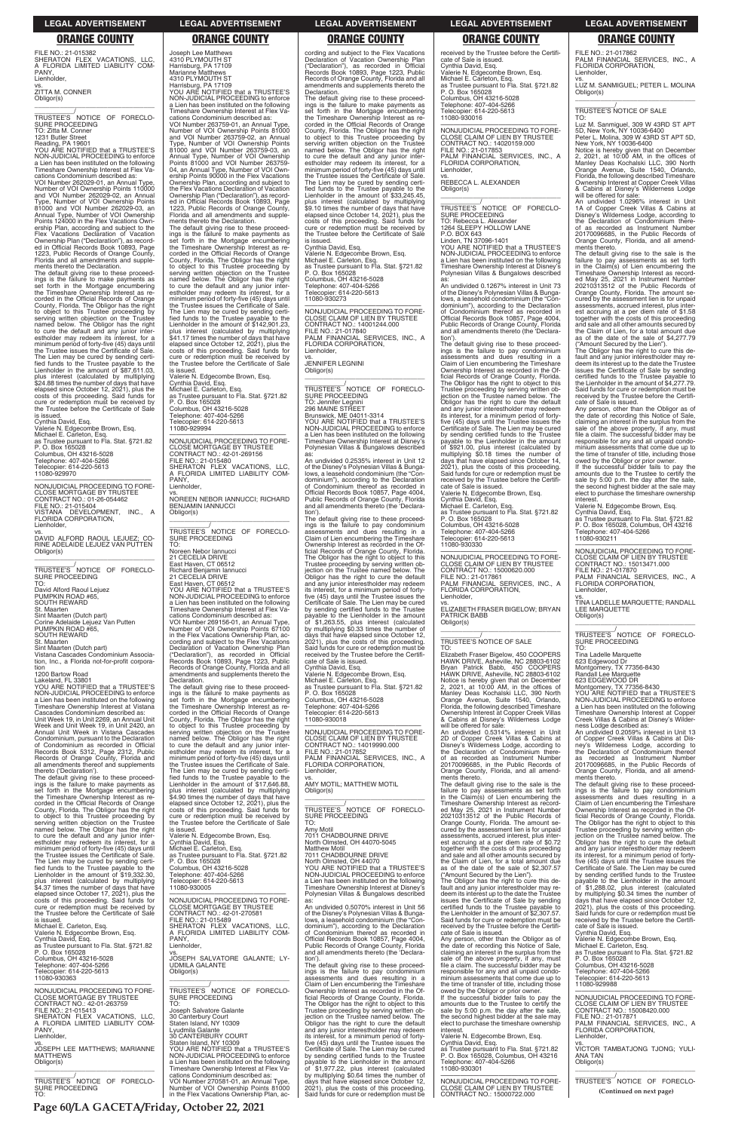**Page 60/LA GACETA/Friday, October 22, 2021**

### **LEGAL ADVERTISEMENT LEGAL ADVERTISEMENT LEGAL ADVERTISEMENT LEGAL ADVERTISEMENT LEGAL ADVERTISEMENT**

# **ORANGE COUNTY ORANGE COUNTY ORANGE COUNTY ORANGE COUNTY ORANGE COUNTY**

FILE NO.: 21-015382 SHERATON FLEX VACATIONS, LLC, A FLORIDA LIMITED LIABILITY COM-PANY, Lienholder,

vs. ZITTA M. CONNER Obligor(s) \_\_\_\_\_\_\_\_\_\_\_\_\_\_\_\_\_\_\_\_\_\_\_\_\_\_\_\_\_\_\_\_\_

\_\_\_\_\_\_\_\_\_\_\_/ TRUSTEE'S NOTICE OF FORECLO-SURE PROCEEDING TO: Zitta M. Conner 1231 Butler Street

Reading, PA 19601 YOU ARE NOTIFIED that a TRUSTEE'S NON-JUDICIAL PROCEEDING to enforce a Lien has been instituted on the following Timeshare Ownership Interest at Flex Vacations Condominium described as:

VOI Number 262029-01, an Annual Type, Number of VOI Ownership Points 110000 and VOI Number 262029-02, an Annual Type, Number of VOI Ownership Points 81000 and VOI Number 262029-03, an Annual Type, Number of VOI Ownership Points 124000 in the Flex Vacations Own-ership Plan, according and subject to the Flex Vacations Declaration of Vacation Ownership Plan ("Declaration"), as record-ed in Official Records Book 10893, Page 1223, Public Records of Orange County, Florida and all amendments and supple-ments thereto the Declaration.

\_\_\_\_\_\_\_\_\_\_\_/<br>TRUSTEE'S NOTICE OF FORECLO-<br>SURE PROCEEDING TO: David Alford Raoul Lejuez PUMPKIN ROAD #65, SOUTH REWARD St. Maarten Sint Maarten (Dutch part) Corine Adelaide Lejuez Van Putten

The default giving rise to these proceed-ings is the failure to make payments as set forth in the Mortgage encumbering the Timeshare Ownership Interest as re-corded in the Official Records of Orange County, Florida. The Obligor has the right to object to this Trustee proceeding by serving written objection on the Trustee named below. The Obligor has the right to cure the default and any junior inter-estholder may redeem its interest, for a minimum period of forty-five (45) days until the Trustee issues the Certificate of Sale. The Lien may be cured by sending certi-fied funds to the Trustee payable to the Lienholder in the amount of \$87,611.03, plus interest (calculated by multiplying \$24.88 times the number of days that have elapsed since October 12, 2021), plus the costs of this proceeding. Said funds for cure or redemption must be received by the Trustee before the Certificate of Sale

is issued. Cynthia David, Esq. Valerie N. Edgecombe Brown, Esq. Michael E. Carleton, Esq. as Trustee pursuant to Fla. Stat. §721.82 P. O. Box 165028 Columbus, OH 43216-5028 Telephone: 407-404-5266 Telecopier: 614-220-5613

### 11080-929970

—————————————————— NONJUDICIAL PROCEEDING TO FORE-CLOSE MORTGAGE BY TRUSTEE CONTRACT NO.: 01-26-054462 FILE NO.: 21-015404 VISTANA DEVELOPMENT, INC., A FLORIDA CORPORATION, Lienholder,

vs. DAVID ALFORD RAOUL LEJUEZ; CO-RINE ADELAIDE LEJUEZ VAN PUTTEN Obligor(s) \_\_\_\_\_\_\_\_\_\_\_\_\_\_\_\_\_\_\_\_\_\_\_\_\_\_\_\_\_\_\_\_\_

PUMPKIN ROAD #65, SOUTH REWARD St. Maarten Sint Maarten (Dutch part)

Vistana Cascades Condominium Associa-tion, Inc., a Florida not-for-profit corporation 1200 Bartow Road

Lakeland, FL 33801

YOU ARE NOTIFIED that a TRUSTEE'S NON-JUDICIAL PROCEEDING to enforce a Lien has been instituted on the following Timeshare Ownership Interest at Vistana Cascades Condominium described as: Unit Week 19, in Unit 2269, an Annual Unit Week and Unit Week 19, in Unit 2420, an Annual Unit Week in Vistana Cascades Condominium, pursuant to the Declaration of Condominium as recorded in Official Records Book 5312, Page 2312, Public Records of Orange County, Florida and all amendments thereof and supplements thereto ('Declaration').

The default giving rise to these proceed-ings is the failure to make payments as set forth in the Mortgage encumbering the Timeshare Ownership Interest as recorded in the Official Records of Orange County, Florida. The Obligor has the right to object to this Trustee proceeding by serving written objection on the Trustee named below. The Obligor has the right

TRUSTEE'S NOTICE OF FORECLO-<br>SURE PROCEEDING<br>TO: Noreen Nebor Iannucci 21 CECELIA DRIVE East Haven, CT 06512 Richard Benjamin Iannucci 21 CECELIA DRIVE East Haven, CT 06512 YOU ARE NOTIFIED that a TRUSTEE'S NON-JUDICIAL PROCEEDING to enforce

Joseph Lee Matthews 4310 PLYMOUTH ST Harrisburg, PA 17109 Marianne Matthews 4310 PLYMOUTH ST Harrisburg, PA 17109 YOU ARE NOTIFIED that a TRUSTEE'S NON-JUDICIAL PROCEEDING to enforce a Lien has been instituted on the following

Timeshare Ownership Interest at Flex Vacations Condominium described as: VOI Number 263759-01, an Annual Type, Number of VOI Ownership Points 81000 and VOI Number 263759-02, an Annual Type, Number of VOI Ownership Points 81000 and VOI Number 263759-03, an Annual Type, Number of VOI Ownership Points 81000 and VOI Number 263759- 04, an Annual Type, Number of VOI Own-ership Points 90000 in the Flex Vacations Ownership Plan, according and subject to the Flex Vacations Declaration of Vacation Ownership Plan ("Declaration"), as recorded in Official Records Book 10893, Page 1223, Public Records of Orange County, Florida and all amendments and supplements thereto the Declaration.

The default giving rise to these proceed-ings is the failure to make payments as set forth in the Mortgage encumbering the Timeshare Ownership Interest as re-corded in the Official Records of Orange County, Florida. The Obligor has the right to object to this Trustee proceeding by serving written objection on the Trustee named below. The Obligor has the right to cure the default and any junior inter-estholder may redeem its interest, for a minimum period of forty-five (45) days until the Trustee issues the Certificate of Sale. The Lien may be cured by sending certified funds to the Trustee payable to the<br>Lienholder in the amount of \$142,901.23, plus interest (calculated by multiplying \$41.17 times the number of days that have elapsed since October 12, 2021), plus the costs of this proceeding. Said funds for cure or redemption must be received by the Trustee before the Certificate of Sale is issued.

Valerie N. Edgecombe Brown, Esq. Cynthia David, Esq. Michael E. Carleton, Esq. as Trustee pursuant to Fla. Stat. §721.82 P. O. Box 165028 Columbus, OH 43216-5028

Telephone: 407-404-5266 Telecopier: 614-220-5613 11080-929994

—————————————————— NONJUDICIAL PROCEEDING TO FORE-CLOSE MORTGAGE BY TRUSTEE CONTRACT NO.: 42-01-269156 FILE NO.: 21-015480 SHERATON FLEX VACATIONS, LLC, A FLORIDA LIMITED LIABILITY COM-PANY, Lienholder,

vs. NOREEN NEBOR IANNUCCI; RICHARD BENJAMIN JANNUCCI Obligor(s)

\_\_\_\_\_\_\_\_\_\_\_\_\_\_\_\_\_\_\_\_\_\_\_\_\_\_\_\_\_\_\_\_\_

a Lien has been instituted on the following Timeshare Ownership Interest at Flex Vacations Condominium described as: VOI Number 269156-01, an Annual Type, Number of VOI Ownership Points 67100 in the Flex Vacations Ownership Plan, ac-cording and subject to the Flex Vacations \_\_\_\_\_\_\_\_\_\_\_/<br>TRUSTEE'S NOTICE OF FORECLO-<br>SURE PROCEEDING TO: Rebecca L. Alexander 1264 SLEEPY HOLLOW LANE P.O. BOX 643

Declaration of Vacation Ownership Plan ("Declaration"), as recorded in Official Records Book 10893, Page 1223, Public Records of Orange County, Florida and all amendments and supplements thereto the Declaration.

The default giving rise to these proceed-ings is the failure to make payments as set forth in the Mortgage encumbering the Timeshare Ownership Interest as re-corded in the Official Records of Orange County, Florida. The Obligor has the right to object to this Trustee proceeding by serving written objection on the Trustee named below. The Obligor has the right to cure the default and any junior inter-estholder may redeem its interest, for a minimum period of forty-five (45) days until<br>the Trustee issues the Certificate of Sale.<br>The Lien may be cured by sending certified funds to the Trustee payable to the<br>Lienholder in the amount of \$17,646.88,<br>plus interest elapsed since October 12, 2021), plus the costs of this proceeding. Said funds for cure or redemption must be received by the Trustee before the Certificate of Sale

is issued.

will be offered for sale:<br>An undivided 0.5314% interest in Unit<br>2D of Copper Creek Villas & Cabins at<br>Disney's Wilderness Lodge, according to<br>the Declaration of Condominium thereof as recorded as Instrument Number 20170096685, in the Public Records of Orange County, Florida, and all amend-ments thereto.

cording and subject to the Flex Vacations Declaration of Vacation Ownership Plan ("Declaration"), as recorded in Official Records Book 10893, Page 1223, Public Records of Orange County, Florida and all amendments and supplements thereto the Declaration.

FILE NO.: 21-017862 PALM FINANCIAL SERVICES, INC., A FLORIDA CORPORATION, Lienholder

The default giving rise to these proceedings is the failure to make payments as set forth in the Mortgage encumbering the Timeshare Ownership Interest as re-corded in the Official Records of Orange County, Florida. The Obligor has the right to object to this Trustee proceeding by<br>serving written objection on the Trustee<br>named below. The Obligor has the right<br>to cure the default and any junior inter-<br>estholder may redeem its interest, for a<br>minimum period of f the Trustee issues the Certificate of Sale. The Lien may be cured by sending certi-fied funds to the Trustee payable to the Lienholder in the amount of \$33,245.45, plus interest (calculated by multiplying \$9.10 times the number of days that have elapsed since October 14, 2021), plus the costs of this proceeding. Said funds for cure or redemption must be received by the Trustee before the Certificate of Sale

is issued. Cynthia David, Esq. Valerie N. Edgecombe Brown, Esq. Michael E. Carleton, Esq. as Trustee pursuant to Fla. Stat. §721.82 P. O. Box 165028 Columbus, OH 43216-5028 Telephone: 407-404-5266 Telecopier: 614-220-5613 11080-930273

—————————————————— NONJUDICIAL PROCEEDING TO FORE-CLOSE CLAIM OF LIEN BY TRUSTEE CONTRACT NO.: 14001244.000 FILE NO.: 21-017840 PALM FINANCIAL SERVICES, INC., A FLORIDA CORPORATION, Lienholder, vs. JENNIFER LEGNINI

Obligor(s) \_\_\_\_\_\_\_\_\_\_\_\_\_\_\_\_\_\_\_\_\_\_\_\_\_\_\_\_\_\_\_\_\_

\_\_\_\_\_\_\_\_\_\_\_/ TRUSTEE'S NOTICE OF FORECLO-SURE PROCEEDING TO: Jennifer Legnini 296 MAINE STREET

Brunswick, ME 04011-3314 YOU ARE NOTIFIED that a TRUSTEE'S NON-JUDICIAL PROCEEDING to enforce a Lien has been instituted on the following Timeshare Ownership Interest at Disney's Polynesian Villas & Bungalows described as: An undivided 0.2535% interest in Unit 12

> ments thereto. The default giving rise to these proceed-ings is the failure to pay condominium assessments and dues resulting in a Claim of Lien encumbering the Timeshare Ownership Interest as recorded in the Official Records of Orange County, Florida. The Obligor has the right to object to this Trustee proceeding by serving written

of the Disney's Polynesian Villas & Bunga-lows, a leasehold condominium (the "Con-dominium"), according to the Declaration of Condominium thereof as recorded in Official Records Book 10857, Page 4004, Public Records of Orange County, Florida and all amendments thereto (the 'Declara-

tion'). The default giving rise to these proceed-ings is the failure to pay condominium assessments and dues resulting in a Claim of Lien encumbering the Timeshare Ownership Interest as recorded in the Official Records of Orange County, Florida. The Obligor has the right to object to this Trustee proceeding by serving written ob-jection on the Trustee named below. The Obligor has the right to cure the default and any junior interestholder may redeem its interest, for a minimum period of fortyfive (45) days until the Trustee issues the Certificate of Sale. The Lien may be cured by sending certified funds to the Trustee payable to the Lienholder in the amount of \$1,263.55, plus interest (calculated by multiplying \$0.33 times the number of days that have elapsed since October 12, 2021), plus the costs of this proceeding. Said funds for cure or redemption must be received by the Trustee before the Certificate of Sale is issued. Cynthia David, Esq. Valerie N. Edgecombe Brown, Esq.

Michael E. Carleton, Esq. as Trustee pursuant to Fla. Stat. §721.82 P. O. Box 165028 Columbus, OH 43216-5028 Telephone: 407-404-5266 Telecopier: 614-220-5613 11080-930018

—————————————————— NONJUDICIAL PROCEEDING TO FORE-CLOSE CLAIM OF LIEN BY TRUSTEE CONTRACT NO.: 14019990.000 FILE NO.: 21-017852 PALM FINANCIAL SERVICES, INC., A FLORIDA CORPORATION, Lienholder,

vs. AMY MOTIL; MATTHEW MOTIL Obligor(s) \_\_\_\_\_\_\_\_\_\_\_\_\_\_\_\_\_\_\_\_\_\_\_\_\_\_\_\_\_\_\_\_\_

\_\_\_\_\_\_\_\_\_\_\_/<br>TRUSTEE'S NOTICE OF FORECLO-<br>SURE PROCEEDING TO: . . .<br>Amv Moti

| to cure the default and any junior inter-                         | Valerie N. Edgecombe Brown, Esg.               | 7011 CHADBOURNE DRIVE                                                                | assessments, accrued interest, plus inter-                                             | jection on the Trustee named below. The                 |
|-------------------------------------------------------------------|------------------------------------------------|--------------------------------------------------------------------------------------|----------------------------------------------------------------------------------------|---------------------------------------------------------|
| estholder may redeem its interest, for a                          | Cynthia David, Esq.                            | North Olmsted, OH 44070-5045                                                         | est accruing at a per diem rate of \$0.72                                              | Obligor has the right to cure the default               |
| minimum period of forty-five (45) days until                      | Michael E. Carleton, Esq.                      | <b>Matthew Motil</b>                                                                 | together with the costs of this proceeding                                             | and any junior interestholder may redeem                |
| the Trustee issues the Certificate of Sale.                       | as Trustee pursuant to Fla. Stat. §721.82      | 7011 CHADBOURNE DRIVE                                                                | and sale and all other amounts secured by                                              | its interest, for a minimum period of forty-            |
| The Lien may be cured by sending certi-                           | P. O. Box 165028                               | North Olmsted, OH 44070                                                              | the Claim of Lien, for a total amount due                                              | five (45) days until the Trustee issues the             |
| fied funds to the Trustee payable to the                          | Columbus, OH 43216-5028                        | YOU ARE NOTIFIED that a TRUSTEE'S                                                    | as of the date of the sale of \$2,307.57                                               | Certificate of Sale. The Lien may be cured              |
| Lienholder in the amount of \$19.332.30.                          | Telephone: 407-404-5266                        | NON-JUDICIAL PROCEEDING to enforce                                                   | ("Amount Secured by the Lien").                                                        | by sending certified funds to the Trustee               |
| plus interest (calculated by multiplying                          | Telecopier: 614-220-5613                       | a Lien has been instituted on the following                                          | The Obligor has the right to cure this de-                                             | payable to the Lienholder in the amount                 |
| \$4.37 times the number of days that have                         | 11080-930005                                   | Timeshare Ownership Interest at Disney's                                             | fault and any junior interestholder may re-                                            | of \$1,288.02, plus interest (calculated                |
| elapsed since October 17, 2021), plus the                         |                                                | Polynesian Villas & Bungalows described                                              | deem its interest up to the date the Trustee                                           | by multiplying \$0.34 times the number of               |
| costs of this proceeding. Said funds for                          | NONJUDICIAL PROCEEDING TO FORE-                | as:                                                                                  | issues the Certificate of Sale by sending                                              | days that have elapsed since October 12,                |
| cure or redemption must be received by                            | <b>CLOSE MORTGAGE BY TRUSTEE</b>               | An undivided 0.5070% interest in Unit 56                                             | certified funds to the Trustee payable to                                              | 2021), plus the costs of this proceeding.               |
| the Trustee before the Certificate of Sale                        | CONTRACT NO.: 42-01-270581                     | of the Disney's Polynesian Villas & Bunga-                                           | the Lienholder in the amount of \$2,307.57.                                            | Said funds for cure or redemption must be               |
| is issued.                                                        | FILE NO.: 21-015489                            | lows, a leasehold condominium (the "Con-                                             | Said funds for cure or redemption must be                                              | received by the Trustee before the Certifi-             |
| Michael E. Carleton, Esq.                                         | SHERATON FLEX VACATIONS. LLC.                  | dominium"), according to the Declaration                                             | received by the Trustee before the Certifi-                                            | cate of Sale is issued.                                 |
| Valerie N. Edgecombe Brown, Esq.                                  | A FLORIDA LIMITED LIABILITY COM-               | of Condominium thereof as recorded in                                                | cate of Sale is issued.                                                                | Cynthia David, Esq.                                     |
| Cynthia David, Esg.                                               | PANY.                                          | Official Records Book 10857, Page 4004,                                              | Any person, other than the Obligor as of                                               | Valerie N. Edgecombe Brown, Esg.                        |
| as Trustee pursuant to Fla. Stat. §721.82                         | Lienholder,                                    | Public Records of Orange County, Florida                                             | the date of recording this Notice of Sale,                                             | Michael E. Carleton, Esg.                               |
| P. O. Box 165028                                                  | VS.                                            | and all amendments thereto (the 'Declara-                                            | claiming an interest in the surplus from the                                           | as Trustee pursuant to Fla. Stat. §721.82               |
| Columbus, OH 43216-5028                                           | JOSEPH SALVATORE GALANTE: LY-                  | tion').                                                                              | sale of the above property, if any, must                                               | P. O. Box 165028                                        |
| Telephone: 407-404-5266                                           | <b>UDMILA GALANTE</b>                          | The default giving rise to these proceed-                                            | file a claim. The successful bidder may be                                             | Columbus, OH 43216-5028                                 |
| Telecopier: 614-220-5613                                          | Obligor(s)                                     | ings is the failure to pay condominium                                               | responsible for any and all unpaid condo-                                              | Telephone: 407-404-5266                                 |
| 11080-930363                                                      |                                                | assessments and dues resulting in a                                                  | minium assessments that come due up to                                                 | Telecopier: 614-220-5613                                |
|                                                                   |                                                | Claim of Lien encumbering the Timeshare                                              | the time of transfer of title, including those                                         | 11080-929988                                            |
| NONJUDICIAL PROCEEDING TO FORE-                                   | TRUSTEE'S NOTICE OF FORECLO-                   | Ownership Interest as recorded in the Of-                                            | owed by the Obligor or prior owner.                                                    |                                                         |
| <b>CLOSE MORTGAGE BY TRUSTEE</b>                                  | <b>SURE PROCEEDING</b>                         | ficial Records of Orange County, Florida.                                            | If the successful bidder fails to pay the                                              | NONJUDICIAL PROCEEDING TO FORE-                         |
| CONTRACT NO.: 42-01-263759                                        | TO:                                            | The Obligor has the right to object to this                                          | amounts due to the Trustee to certify the                                              | CLOSE CLAIM OF LIEN BY TRUSTEE                          |
| FILE NO.: 21-015413                                               | Joseph Salvatore Galante                       | Trustee proceeding by serving written ob-                                            | sale by 5:00 p.m. the day after the sale,                                              | CONTRACT NO.: 15008420.000                              |
| SHERATON FLEX VACATIONS. LLC.<br>A FLORIDA LIMITED LIABILITY COM- | 30 Canterbury Court<br>Staten Island, NY 10309 | jection on the Trustee named below. The<br>Obligor has the right to cure the default | the second highest bidder at the sale may<br>elect to purchase the timeshare ownership | FILE NO.: 21-017871<br>PALM FINANCIAL SERVICES, INC., A |
| PANY,                                                             | Lyudmila Galante                               | and any junior interestholder may redeem                                             | interest.                                                                              | FLORIDA CORPORATION.                                    |
| Lienholder,                                                       | <b>30 CANTERBURY COURT</b>                     | its interest, for a minimum period of forty-                                         | Valerie N. Edgecombe Brown, Esg.                                                       | Lienholder.                                             |
|                                                                   | Staten Island, NY 10309                        | five (45) days until the Trustee issues the                                          | Cynthia David, Esq.                                                                    | VS.                                                     |
| JOSEPH LEE MATTHEWS; MARIANNE                                     | YOU ARE NOTIFIED that a TRUSTEE'S              | Certificate of Sale. The Lien may be cured                                           | as Trustee pursuant to Fla. Stat. §721.82                                              | VICTOR TAMBATJONG TJONG; YULI-                          |
| <b>MATTHEWS</b>                                                   | NON-JUDICIAL PROCEEDING to enforce             | by sending certified funds to the Trustee                                            | P. O. Box 165028, Columbus, OH 43216                                                   | <b>ANA TAN</b>                                          |
| Obligor(s)                                                        | a Lien has been instituted on the following    | payable to the Lienholder in the amount                                              | Telephone: 407-404-5266                                                                | Obligor(s)                                              |
|                                                                   | Timeshare Ownership Interest at Flex Va-       | of \$1,977.22, plus interest (calculated                                             | 11080-930301                                                                           |                                                         |
|                                                                   | cations Condominium described as:              | by multiplying \$0.64 times the number of                                            |                                                                                        |                                                         |
| TRUSTEE'S NOTICE OF FORECLO-                                      | VOI Number 270581-01, an Annual Type,          | days that have elapsed since October 12,                                             | NONJUDICIAL PROCEEDING TO FORE-                                                        | TRUSTEE'S NOTICE OF FORECLO-                            |
| <b>SURE PROCEEDING</b>                                            | Number of VOI Ownership Points 81000           | 2021), plus the costs of this proceeding.                                            | CLOSE CLAIM OF LIEN BY TRUSTEE                                                         |                                                         |
| TO:                                                               | in the Flex Vacations Ownership Plan, ac-      | Said funds for cure or redemption must be                                            | CONTRACT NO.: 15000722.000                                                             | (Continued on next page)                                |

received by the Trustee before the Certificate of Sale is issued. Cynthia David, Esq. Valerie N. Edgecombe Brown, Esq. Michael E. Carleton, Esq. as Trustee pursuant to Fla. Stat. §721.82 P. O. Box 165028 Columbus, OH 43216-5028 Telephone: 407-404-5266 Telecopier: 614-220-5613 11080-930016

—————————————————— NONJUDICIAL PROCEEDING TO FORE-CLOSE CLAIM OF LIEN BY TRUSTEE CONTRACT NO.: 14020159.000 FILE NO.: 21-017853 PALM FINANCIAL SERVICES, INC., A FLORIDA CORPORATION, Lienholder,

vs. REBECCA L. ALEXANDER Obligor(s) \_\_\_\_\_\_\_\_\_\_\_\_\_\_\_\_\_\_\_\_\_\_\_\_\_\_\_\_\_\_\_\_\_

Linden, TN 37096-1401 YOU ARE NOTIFIED that a TRUSTEE'S NON-JUDICIAL PROCEEDING to enforce a Lien has been instituted on the following Timeshare Ownership Interest at Disney's Polynesian Villas & Bungalows described

as: An undivided 0.1267% interest in Unit 73 of the Disney's Polynesian Villas & Bunga-lows, a leasehold condominium (the "Condominium"), according to the Declaration of Condominium thereof as recorded in Official Records Book 10857, Page 4004, Public Records of Orange County, Florida and all amendments thereto (the 'Declara-

tion'). The default giving rise to these proceed-ings is the failure to pay condominium assessments and dues resulting in a Claim of Lien encumbering the Timeshare Ownership Interest as recorded in the Official Records of Orange County, Florida. The Obligor has the right to object to this Trustee proceeding by serving written ob-jection on the Trustee named below. The Obligor has the right to cure the default and any junior interestholder may redeem its interest, for a minimum period of forty-five (45) days until the Trustee issues the Certificate of Sale. The Lien may be cured by sending certified funds to the Trustee payable to the Lienholder in the amount of \$921.00, plus interest (calculated by multiplying \$0.18 times the number of days that have elapsed since October 14, 2021), plus the costs of this proceeding. Said funds for cure or redemption must be received by the Trustee before the Certifi-cate of Sale is issued.

Valerie N. Edgecombe Brown, Esq. Cynthia David, Esq. Michael E. Carleton, Esq.

as Trustee pursuant to Fla. Stat. §721.82 P. O. Box 165028 Columbus, OH 43216-5028 Telephone: 407-404-5266 Telecopier: 614-220-5613 11080-930330

—————————————————— NONJUDICIAL PROCEEDING TO FORE-CLOSE CLAIM OF LIEN BY TRUSTEE CONTRACT NO.: 15000620.000 FILE NO.: 21-017861 PALM FINANCIAL SERVICES, INC., A FLORIDA CORPORATION, Lienholder,

vs. ELIZABETH FRASER BIGELOW; BRYAN PATRICK BABB Obligor(s) \_\_\_\_\_\_\_\_\_\_\_\_\_\_\_\_\_\_\_\_\_\_\_\_\_\_\_\_\_\_\_\_\_

# \_\_\_\_\_\_\_\_\_\_\_/ TRUSTEE'S NOTICE OF SALE

TO: Elizabeth Fraser Bigelow, 450 COOPERS HAWK DRIVE, Asheville, NC 28803-6102 Bryan Patrick Babb, 450 COOPERS HAWK DRIVE, Asheville, NC 28803-6102 Notice is hereby given that on December 2, 2021, at 10:00 AM, in the offices of Manley Deas Kochalski LLC, 390 North Orange Avenue, Suite 1540, Orlando, Florida, the following described Timeshare Ownership Interest at Copper Creek Villas & Cabins at Disney's Wilderness Lodge

The default giving rise to the sale is the failure to pay assessments as set forth in the Claim(s) of Lien encumbering the Timeshare Ownership Interest as record-ed May 25, 2021 in Instrument Number 20210313512 of the Public Records of Orange County, Florida. The amount secured by the assessment lien is for unpaid

vs. LUZ M. SANMIGUEL; PETER L. MOLINA Obligor(s) \_\_\_\_\_\_\_\_\_\_\_\_\_\_\_\_\_\_\_\_\_\_\_\_\_\_\_\_\_\_\_\_\_

\_\_\_\_\_\_\_\_\_\_\_/ TRUSTEE'S NOTICE OF SALE

TO: Luz M. Sanmiguel, 309 W 43RD ST APT 5D, New York, NY 10036-6400 Peter L. Molina, 309 W 43RD ST APT 5D,

New York, NY 10036-6400 Notice is hereby given that on December 2, 2021, at 10:00 AM, in the offices of Manley Deas Kochalski LLC, 390 North Orange Avenue, Suite 1540, Orlando, Florida, the following described Timeshare Ownership Interest at Copper Creek Villas & Cabins at Disney's Wilderness Lodge will be offered for sale:

An undivided 1.0296% interest in Unit 1A of Copper Creek Villas & Cabins at Disney's Wilderness Lodge, according to the Declaration of Condominium there-of as recorded as Instrument Number 20170096685, in the Public Records of Orange County, Florida, and all amendments thereto.

The default giving rise to the sale is the failure to pay assessments as set forth in the Claim(s) of Lien encumbering the Timeshare Ownership Interest as record-ed May 25, 2021 in Instrument Number 20210313512 of the Public Records of Orange County, Florida. The amount se-<br>cured by the assessment lien is for unpaid<br>assessments, accrued interest, plus inter-<br>est accruing at a per diem rate of \$1.58<br>together with the costs of this proceeding<br>and sale and the Claim of Lien, for a total amount due

as of the date of the sale of \$4,277.79 ("Amount Secured by the Lien"). The Obligor has the right to cure this de-fault and any junior interestholder may re-deem its interest up to the date the Trustee issues the Certificate of Sale by sending certified funds to the Trustee payable to the Lienholder in the amount of \$4,277.79. Said funds for cure or redemption must be received by the Trustee before the Certifi-cate of Sale is issued.

Any person, other than the Obligor as of the date of recording this Notice of Sale, claiming an interest in the surplus from the sale of the above property, if any, must file a claim. The successful bidder may be responsible for any and all unpaid condominium assessments that come due up to the time of transfer of title, including those

owed by the Obligor or prior owner. If the successful bidder fails to pay the amounts due to the Trustee to certify the sale by 5:00 p.m. the day after the sale, the second highest bidder at the sale may elect to purchase the timeshare ownership interest. Valerie N. Edgecombe Brown, Esq.

Cynthia David, Esq. as Trustee pursuant to Fla. Stat. §721.82 P. O. Box 165028, Columbus, OH 43216 Telephone: 407-404-5266 11080-930211

—————————————————— NONJUDICIAL PROCEEDING TO FORE-CLOSE CLAIM OF LIEN BY TRUSTEE CONTRACT NO.: 15013471.000 FILE NO.: 21-017870 PALM FINANCIAL SERVICES, INC., A FLORIDA CORPORATION, Lienholder,

vs. TINA LADELLE MARQUETTE; RANDALL LEE MARQUETTE Obligor(s)

\_\_\_\_\_\_\_\_\_\_\_\_\_\_\_\_\_\_\_\_\_\_\_\_\_\_\_\_\_\_\_\_\_ \_\_\_\_\_\_\_\_\_\_\_/<br>TRUSTEE'S NOTICE OF FORECLO-<br>SURE PROCEEDING TO:

Tina Ladelle Marquette

623 Edgewood Dr Montgomery, TX 77356-8430 Randall Lee Marquette 623 EDGEWOOD DR

Montgomery, TX 77356-8430 YOU ARE NOTIFIED that a TRUSTEE'S NON-JUDICIAL PROCEEDING to enforce a Lien has been instituted on the following Timeshare Ownership Interest at Copper Creek Villas & Cabins at Disney's Wilder-

ness Lodge described as: An undivided 0.2059% interest in Unit 13 of Copper Creek Villas & Cabins at Disney's Wilderness Lodge, according to the Declaration of Condominium thereof as recorded as Instrument Number 20170096685, in the Public Records of Orange County, Florida, and all amend-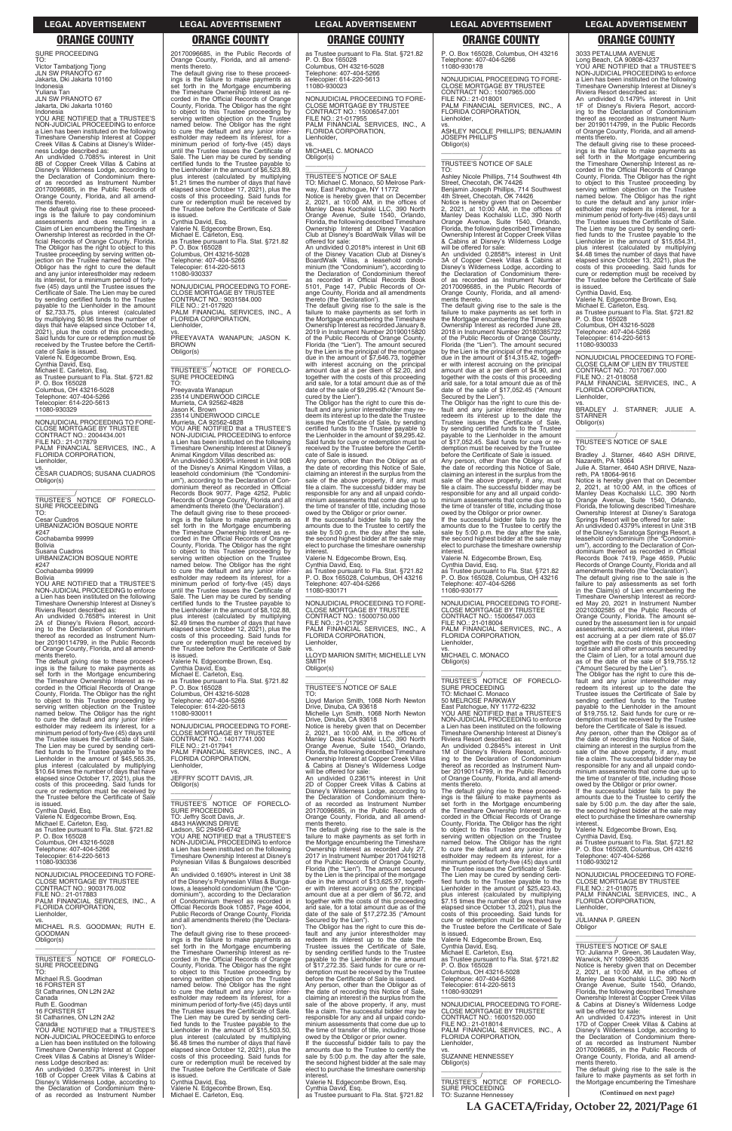**LA GACETA/Friday, October 22, 2021/Page 61**

SURE PROCEEDING TO:

Victor Tambatjong Tjong JLN SW PRANOTO 67 Jakarta, Dki Jakarta 10160 Indonesia

Yuliana Tan JLN SW PRANOTO 67 Jakarta, Dki Jakarta 10160 Indonesia

YOU ARE NOTIFIED that a TRUSTEE'S NON-JUDICIAL PROCEEDING to enforce a Lien has been instituted on the following Timeshare Ownership Interest at Coppe Creek Villas & Cabins at Disney's Wilder-

ness Lodge described as: An undivided 0.7085% interest in Unit 8B of Copper Creek Villas & Cabins at Disney's Wilderness Lodge, according to the Declaration of Condominium there-of as recorded as Instrument Number 20170096685, in the Public Records of Orange County, Florida, and all amend-ments thereto.

\_\_\_\_\_\_\_\_\_\_\_\_\_\_/<br>TRUSTEE'S NOTICE OF FORECLO-SURE PROCEEDING TO: Cesar Cuadros

Cochabamba 99999 Bolivia

The default giving rise to these proceed-ings is the failure to pay condominium assessments and dues resulting in a Claim of Lien encumbering the Timeshare Ownership Interest as recorded in the Of-ficial Records of Orange County, Florida. The Obligor has the right to object to this<br>Trustee proceeding by serving written ob-<br>jection on the Trustee named below. The<br>Obligor has the right to cure the default<br>and any junior interestholder may redeem<br>its interest, five (45) days until the Trustee issues the Certificate of Sale. The Lien may be cured by sending certified funds to the Trustee<br>payable to the Lienholder in the amount<br>of \$2,733.75, plus interest (calculated<br>by multiplying \$0.96 times the number of<br>days that have elapsed since October 14, 2021), plus the costs of this proceeding. Said funds for cure or redemption must be received by the Trustee before the Certifi-cate of Sale is issued. Valerie N. Edgecombe Brown, Esq. Cynthia David, Esq. Michael E. Carleton, Esq. as Trustee pursuant to Fla. Stat. §721.82 P. O. Box 165028

Columbus, OH 43216-5028 Telephone: 407-404-5266 Telecopier: 614-220-5613 11080-930329

—————————————————— NONJUDICIAL PROCEEDING TO FORE-CLOSE MORTGAGE BY TRUSTEE CONTRACT NO.: 2004434.001 FILE NO.: 21-017879 PALM FINANCIAL SERVICES, INC., A FLORIDA CORPORATION, Lienholder,

vs. CESAR CUADROS; SUSANA CUADROS Obligor(s) \_\_\_\_\_\_\_\_\_\_\_\_\_\_\_\_\_\_\_\_\_\_\_\_\_\_\_\_\_\_\_\_\_

URBANIZACION BOSQUE NORTE #247

Susana Cuadros URBANIZACION BOSQUE NORTE #247

Cochabamba 99999 Bolivia

ments thereto. The default giving rise to these proceed-ings is the failure to make payments as set forth in the Mortgage encumbering the Timeshare Ownership Interest as recorded in the Official Records of Orange County, Florida. The Obligor has the right to object to this Trustee proceeding by serving written objection on the Trustee named below. The Obligor has the right to cure the default and any junior inter-estholder may redeem its interest, for a minimum period of forty-five (45) days until the Trustee issues the Certificate of Sale. The Lien may be cured by sending certified funds to the Trustee payable to the Lienholder in the amount of \$6,523.89, plus interest (calculated by multiplying \$1.21 times the number of days that have elapsed since October 17, 2021), plus the costs of this proceeding. Said funds for cure or redemption must be received by the Trustee before the Certificate of Sale<br>is issued

YOU ARE NOTIFIED that a TRUSTEE'S NON-JUDICIAL PROCEEDING to enforce a Lien has been instituted on the following Timeshare Ownership Interest at Disney's Riviera Resort described as:

An undivided 0.7658% interest in Unit 2A of Disney's Riviera Resort, accord-ing to the Declaration of Condominium thereof as recorded as Instrument Number 20190114799, in the Public Records of Orange County, Florida, and all amendments thereto.

The default giving rise to these proceed-ings is the failure to make payments as set forth in the Mortgage encumbering the Timeshare Ownership Interest as re-corded in the Official Records of Orange County, Florida. The Obligor has the right<br>to object to this Trustee proceeding by<br>serving written objection on the Trustee<br>named below. The Obligor has the right<br>to cure the default and any junior inter-<br>estholder may red minimum period of forty-five (45) days until the Trustee issues the Certificate of Sale. The Lien may be cured by sending certified funds to the Trustee payable to the Lienholder in the amount of \$45,565.35, plus interest (calculated by multiplying \$10.64 times the number of days that have selapsed since Octob costs of this proceeding. Said funds for cure or redemption must be received by the Trustee before the Certificate of Sale

is issued. Cynthia David, Esq. Valerie N. Edgecombe Brown, Esq. Michael E. Carleton, Esq. as Trustee pursuant to Fla. Stat. §721.82 P. O. Box 165028

\_\_\_\_\_\_\_\_\_\_\_/<br>TRUSTEE'S NOTICE OF FORECLO-<br>SURE PROCEEDING TO: Jeffry Scott Davis, Jr. 4843 HAWKINS DRIVE Ladson, SC 29456-6742

# 20170096685, in the Public Records of Orange County, Florida, and all amend-

is issued. Cynthia David, Esq. Valerie N. Edgecombe Brown, Esq. Michael E. Carleton, Esq. as Trustee pursuant to Fla. Stat. §721.82 P. O. Box 165028 Columbus, OH 43216-5028 Telephone: 407-404-5266 Telecopier: 614-220-5613 11080-930337

—————————————————— NONJUDICIAL PROCEEDING TO FORE-CLOSE MORTGAGE BY TRUSTEE CONTRACT NO.: 9031584.000 FILE NO.: 21-017920 PALM FINANCIAL SERVICES, INC., A FLORIDA CORPORATION, Lienholder,

vs. PREEYAVATA WANAPUN; JASON K. BROWN Obligor(s)

\_\_\_\_\_\_\_\_\_\_\_\_\_\_\_\_\_\_\_\_\_\_\_\_\_\_\_\_\_\_\_\_\_ \_\_\_\_\_\_\_\_\_\_\_/<br>TRUSTEE'S NOTICE OF FORECLO-<br>SURE PROCEEDING TO:

Preeyavata Wanapun 23514 UNDERWOOD CIRCLE

ments thereto. rise to the sale

Murrieta, CA 92562-4828 Jason K. Brown 23514 UNDERWOOD CIRCLE Murrieta, CA 92562-4828 YOU ARE NOTIFIED that a TRUSTEE'S NON-JUDICIAL PROCEEDING to enforce a Lien has been instituted on the following Timeshare Ownership Interest at Disney's Animal Kingdom Villas described as: An undivided 0.3069% interest in Unit 90B of the Disney's Animal Kingdom Villas, a leasehold condominium (the "Condominium"), according to the Declaration of Con-dominium thereof as recorded in Official Records Book 9077, Page 4252, Public Records of Orange County, Florida and all amendments thereto (the 'Declaration'). The default giving rise to these proceed-ings is the failure to make payments as set forth in the Mortgage encumbering<br>the Timeshare Ownership Interest as re-<br>corded in the Official Records of Orange<br>County, Florida. The Obligor has the right<br>to object to this Trustee proceeding by serving written objection on the Trustee<br>named below. The Obligor has the right<br>to cure the default and any junior inter-<br>estholder may redeem its interest, for a<br>minimum period of forty-five (45) days<br>until the Trustee is Sale. The Lien may be cured by sending certified funds to the Trustee payable to the Lienholder in the amount of \$8,102.88, plus interest (calculated by multiplying \$2.49 times the number of days that have elapsed since October 12, 2021), plus the costs of this proceeding. Said funds for cure or redemption must be received by the Trustee before the Certificate of Sale is issued. Valerie N. Edgecombe Brown, Esq.

Cynthia David, Esq. Michael E. Carleton, Esq. as Trustee pursuant to Fla. Stat. §721.82 P. O. Box 165028 Columbus, OH 43216-5028 Telephone: 407-404-5266 Telecopier: 614-220-5613 11080-930011

—————————————————— NONJUDICIAL PROCEEDING TO FORE-CLOSE MORTGAGE BY TRUSTEE CONTRACT NO.: 14017741.000 FILE NO.: 21-017941 PALM FINANCIAL SERVICES, INC., A FLORIDA CORPORATION,

Lienholder, vs. JEFFRY SCOTT DAVIS, JR. Obligor(s)

\_\_\_\_\_\_\_\_\_\_\_\_\_\_\_\_\_\_\_\_\_\_\_\_\_\_\_\_\_\_\_\_\_

Secured by the Lien").<br>The Obligor has the right to cure this de-<br>fault and any junior interestholder may<br>redeem its interest up to the date the<br>Trustee issues the Certificate of Sale, by sending certified funds to the Trustee payable to the Lienholder in the amount of \$17,052.45. Said funds for cure or redemption must be received by the Trustee before the Certificate of Sale is issued.

—————————————————— NONJUDICIAL PROCEEDING TO FORE-CLOSE MORTGAGE BY TRUSTEE CONTRACT NO.: 15006547.003 FILE NO.: 21-018004 PALM FINANCIAL SERVICES, INC., A FLORIDA CORPORATION, **Lienholder** 

as Trustee pursuant to Fla. Stat. §721.82 P. O. Box 165028 Columbus, OH 43216-5028 Telephone: 407-404-5266

Telecopier: 614-220-5613 11080-930023 —————————————————— NONJUDICIAL PROCEEDING TO FORE-

CLOSE MORTGAGE BY TRUSTEE CONTRACT NO.: 15006547.001 **FILE NO.: 21-017955** PALM FINANCIAL SERVICES, INC., A FLORIDA CORPORATION, Lienholder,

vs. MICHAEL C. MONACO Obligor(s)

\_\_\_\_\_\_\_\_\_\_\_\_\_\_\_\_\_\_\_\_\_\_\_\_\_\_\_\_\_\_\_\_\_

# \_\_\_\_\_\_\_\_\_\_\_/ TRUSTEE'S NOTICE OF SALE

TO: Michael C. Monaco, 50 Melrose Park-way, East Patchogue, NY 11772 Notice is hereby given that on December 2, 2021, at 10:00 AM, in the offices of Manley Deas Kochalski LLC, 390 North Orange Avenue, Suite 1540, Orlando, Florida, the following described Timeshare Ownership Interest at Disney Vacation Club at Disney's BoardWalk Villas will be offered for sale: An undivided 0.2018% interest in Unit 6B

of the Disney Vacation Club at Disney's BoardWalk Villas, a leasehold condominium (the "Condominium"), according to the Declaration of Condominium thereof as recorded in Official Records Book 5101, Page 147, Public Records of Or-

> —————————————————— NONJUDICIAL PROCEEDING TO FORE-CLOSE CLAIM OF LIEN BY TRUSTEE CONTRACT NO.: 7017067.000<br>FILE NO.: 21-018058<br>PALM FINANCIAL SERVICES, INC., A<br>FLORIDA CORPORATION,

ange County, Florida and all amendments thereto (the 'Declaration'). The default giving rise to the sale is the failure to make payments as set forth in the Mortgage encumbering the Timeshare Ownership Interest as recorded January 8, 2019 in Instrument Number 20190015820 of the Public Records of Orange County, Florida (the "Lien"). The amount secured by the Lien is the principal of the mortgage due in the amount of \$7,646.73, together with interest accruing on the principal amount due at a per diem of \$2.20, and together with the costs of this proceeding and sale, for a total amount due as of the date of the sale of \$9,295.42 ("Amount Se-

> dominium thereof as recorded in Official<br>Records Book 7419, Page 4659, Public<br>Records of Orange County, Florida and all<br>amendments thereto (the 'Declaration').<br>The default giving rise to the sale is the<br>failure to pay asse Timeshare Ownership Interest as recorded May 20, 2021 in Instrument Number 20210302585 of the Public Records of Orange County, Florida. The amount se-cured by the assessment lien is for unpaid assessments, accrued interest, plus interest accruing at a per diem rate of \$5.07 together with the costs of this proceeding and sale and all other amounts secured by

cured by the Lien"). The Obligor has the right to cure this default and any junior interestholder may re-deem its interest up to the date the Trustee issues the Certificate of Sale, by sending certified funds to the Trustee payable to the Lienholder in the amount of \$9,295.42. Said funds for cure or redemption must be received by the Trustee before the Certificate of Sale is issued.

Any person, other than the Obligor as of the date of recording this Notice of Sale, claiming an interest in the surplus from the sale of the above property, if any, must file a claim. The successful bidder may be responsible for any and all unpaid condominium assessments that come due up to the time of transfer of title, including those owed by the Obligor or prior owner. If the successful bidder fails to pay the

amounts due to the Trustee to certify the sale by 5:00 p.m. the day after the sale, the second highest bidder at the sale may elect to purchase the timeshare ownership interest.

Valerie N. Edgecombe Brown, Esq. Cynthia David, Esq. as Trustee pursuant to Fla. Stat. §721.82 P. O. Box 165028, Columbus, OH 43216 Telephone: 407-404-5266 11080-930171

—————————————————— NONJUDICIAL PROCEEDING TO FORE-CLOSE MORTGAGE BY TRUSTEE CONTRACT NO.: 15000750.000 FILE NO.: 21-017957

PALM FINANCIAL SERVICES, INC., A FLORIDA CORPORATION, Lienholder,

| $\alpha$ . The contract of $\alpha$ and $\alpha$ and $\alpha$ and $\alpha$ and $\alpha$ and $\alpha$ and $\alpha$ and $\alpha$ and $\alpha$ and $\alpha$ and $\alpha$ and $\alpha$ and $\alpha$ and $\alpha$ and $\alpha$ and $\alpha$ and $\alpha$ and $\alpha$ and $\alpha$ and $\alpha$ and $\alpha$ and $\alpha$ and<br>P. O. Box 165028<br>Columbus, OH 43216-5028<br>Telephone: 407-404-5266<br>Telecopier: 614-220-5613<br>11080-930336                                                                                                                                                                                                                                                    | YOU ARE NOTIFIED that a TRUSTEE'S<br>NON-JUDICIAL PROCEEDING to enforce<br>a Lien has been instituted on the following<br>Timeshare Ownership Interest at Disney's<br>Polynesian Villas & Bungalows described<br>as:                                                                                                                                                                                                                                                                                                                                                                                                                                                                                                                                                                                                                                                                                                                                                                                                   | The delation giving not to the ball is the<br>failure to make payments as set forth in<br>the Mortgage encumbering the Timeshare<br>Ownership Interest as recorded July 27,<br>2017 in Instrument Number 20170419218<br>of the Public Records of Orange County,<br>Florida (the "Lien"). The amount secured                                                                                                                                                                                                                                                                                                                                                                                                                                                                                                                                                                                                                                                                                                                                      | to opport to this ridered prococaling by<br>serving written objection on the Trustee<br>named below. The Obligor has the right<br>to cure the default and any junior inter-<br>estholder may redeem its interest, for a<br>minimum period of forty-five (45) days until<br>the Trustee issues the Certificate of Sale.                                                                                                                                                                                                                                                                                                                        | valono IV. Lugobonnoc Diowin, Log<br>Cynthia David, Esg.<br>as Trustee pursuant to Fla. Stat. §721.82<br>P. O. Box 165028, Columbus, OH 43216<br>Telephone: 407-404-5266<br>11080-930212                                                                                                                                                                                                                                                                                                                                                                                                                                                                                                                                                                                                                                                                                                                                           |
|---------------------------------------------------------------------------------------------------------------------------------------------------------------------------------------------------------------------------------------------------------------------------------------------------------------------------------------------------------------------------------------------------------------------------------------------------------------------------------------------------------------------------------------------------------------------------------------------------------------------------------------------------------------------------------------------------|------------------------------------------------------------------------------------------------------------------------------------------------------------------------------------------------------------------------------------------------------------------------------------------------------------------------------------------------------------------------------------------------------------------------------------------------------------------------------------------------------------------------------------------------------------------------------------------------------------------------------------------------------------------------------------------------------------------------------------------------------------------------------------------------------------------------------------------------------------------------------------------------------------------------------------------------------------------------------------------------------------------------|--------------------------------------------------------------------------------------------------------------------------------------------------------------------------------------------------------------------------------------------------------------------------------------------------------------------------------------------------------------------------------------------------------------------------------------------------------------------------------------------------------------------------------------------------------------------------------------------------------------------------------------------------------------------------------------------------------------------------------------------------------------------------------------------------------------------------------------------------------------------------------------------------------------------------------------------------------------------------------------------------------------------------------------------------|-----------------------------------------------------------------------------------------------------------------------------------------------------------------------------------------------------------------------------------------------------------------------------------------------------------------------------------------------------------------------------------------------------------------------------------------------------------------------------------------------------------------------------------------------------------------------------------------------------------------------------------------------|------------------------------------------------------------------------------------------------------------------------------------------------------------------------------------------------------------------------------------------------------------------------------------------------------------------------------------------------------------------------------------------------------------------------------------------------------------------------------------------------------------------------------------------------------------------------------------------------------------------------------------------------------------------------------------------------------------------------------------------------------------------------------------------------------------------------------------------------------------------------------------------------------------------------------------|
| NONJUDICIAL PROCEEDING TO FORE-<br><b>CLOSE MORTGAGE BY TRUSTEE</b><br>CONTRACT NO.: 9003176.002<br>FILE NO.: 21-017883<br>PALM FINANCIAL SERVICES, INC., A<br>FLORIDA CORPORATION,<br>Lienholder.<br>VS.<br>MICHAEL R.S. GOODMAN: RUTH E.<br><b>GOODMAN</b><br>Obligor(s)                                                                                                                                                                                                                                                                                                                                                                                                                        | An undivided 0.1690% interest in Unit 38<br>of the Disney's Polynesian Villas & Bunga-<br>lows, a leasehold condominium (the "Con-<br>dominium"), according to the Declaration<br>of Condominium thereof as recorded in<br>Official Records Book 10857, Page 4004,<br>Public Records of Orange County, Florida<br>and all amendments thereto (the 'Declara-<br>tion').<br>The default giving rise to these proceed-<br>ings is the failure to make payments as                                                                                                                                                                                                                                                                                                                                                                                                                                                                                                                                                         | by the Lien is the principal of the mortgage<br>due in the amount of \$13,625.97, togeth-<br>er with interest accruing on the principal<br>amount due at a per diem of \$6.72, and<br>together with the costs of this proceeding<br>and sale, for a total amount due as of the<br>date of the sale of \$17,272.35 ("Amount"<br>Secured by the Lien").<br>The Obligor has the right to cure this de-<br>fault and any junior interestholder may<br>redeem its interest up to the date the                                                                                                                                                                                                                                                                                                                                                                                                                                                                                                                                                         | The Lien may be cured by sending certi-<br>fied funds to the Trustee payable to the<br>Lienholder in the amount of \$25.423.43.<br>plus interest (calculated by multiplying<br>\$7.15 times the number of days that have<br>elapsed since October 13, 2021), plus the<br>costs of this proceeding. Said funds for<br>cure or redemption must be received by<br>the Trustee before the Certificate of Sale<br>is issued.<br>Valerie N. Edgecombe Brown, Esg.                                                                                                                                                                                   | NONJUDICIAL PROCEEDING TO FORE-<br><b>CLOSE MORTGAGE BY TRUSTEE</b><br>FILE NO.: 21-018075<br>PALM FINANCIAL SERVICES. INC., A<br>FLORIDA CORPORATION,<br>Lienholder.<br>VS.<br><b>JULIANNA P. GREEN</b><br>Obligor                                                                                                                                                                                                                                                                                                                                                                                                                                                                                                                                                                                                                                                                                                                |
| TRUSTEE'S NOTICE OF FORECLO-<br><b>SURE PROCEEDING</b><br>TO:<br>Michael R.S. Goodman<br><b>16 FORSTER ST</b><br>St Catharines, ON L2N 2A2<br>Canada<br>Ruth E. Goodman<br><b>16 FORSTER ST</b><br>St Catharines, ON L2N 2A2<br>Canada<br>YOU ARE NOTIFIED that a TRUSTEE'S<br>NON-JUDICIAL PROCEEDING to enforce<br>a Lien has been instituted on the following<br>Timeshare Ownership Interest at Copper<br>Creek Villas & Cabins at Disney's Wilder-<br>ness Lodge described as:<br>An undivided 0.3573% interest in Unit<br>16B of Copper Creek Villas & Cabins at<br>Disney's Wilderness Lodge, according to<br>the Declaration of Condominium there-<br>of as recorded as Instrument Number | set forth in the Mortgage encumbering<br>the Timeshare Ownership Interest as re-<br>corded in the Official Records of Orange<br>County, Florida. The Obligor has the right<br>to object to this Trustee proceeding by<br>serving written objection on the Trustee<br>named below. The Obligor has the right<br>to cure the default and any junior inter-<br>estholder may redeem its interest, for a<br>minimum period of forty-five (45) days until<br>the Trustee issues the Certificate of Sale.<br>The Lien may be cured by sending certi-<br>fied funds to the Trustee payable to the<br>Lienholder in the amount of \$15,503.50,<br>plus interest (calculated by multiplying<br>\$6.48 times the number of days that have<br>elapsed since October 12, 2021), plus the<br>costs of this proceeding. Said funds for<br>cure or redemption must be received by<br>the Trustee before the Certificate of Sale<br>is issued.<br>Cynthia David, Esg.<br>Valerie N. Edgecombe Brown, Esg.<br>Michael E. Carleton, Esq. | Trustee issues the Certificate of Sale,<br>by sending certified funds to the Trustee<br>payable to the Lienholder in the amount<br>of \$17,272.35. Said funds for cure or re-<br>demption must be received by the Trustee<br>before the Certificate of Sale is issued.<br>Any person, other than the Obligor as of<br>the date of recording this Notice of Sale.<br>claiming an interest in the surplus from the<br>sale of the above property, if any, must<br>file a claim. The successful bidder may be<br>responsible for any and all unpaid condo-<br>minium assessments that come due up to<br>the time of transfer of title, including those<br>owed by the Obligor or prior owner.<br>If the successful bidder fails to pay the<br>amounts due to the Trustee to certify the<br>sale by 5:00 p.m. the day after the sale,<br>the second highest bidder at the sale may<br>elect to purchase the timeshare ownership<br>interest.<br>Valerie N. Edgecombe Brown, Esq.<br>Cynthia David, Esg.<br>as Trustee pursuant to Fla. Stat. §721.82 | Cynthia David, Esg.<br>Michael E. Carleton, Esq.<br>as Trustee pursuant to Fla. Stat. §721.82<br>P. O. Box 165028<br>Columbus, OH 43216-5028<br>Telephone: 407-404-5266<br>Telecopier: 614-220-5613<br>11080-930291<br>NONJUDICIAL PROCEEDING TO FORE-<br><b>CLOSE MORTGAGE BY TRUSTEE</b><br>CONTRACT NO.: 16001520.000<br>FILE NO.: 21-018014<br>PALM FINANCIAL SERVICES, INC., A<br>FLORIDA CORPORATION,<br>Lienholder.<br>VS.<br>SUZANNE HENNESSEY<br>Obligor(s)<br>TRUSTEE'S NOTICE OF FORECLO-<br>SURE PROCEEDING<br>TO: Suzanne Hennessev<br>$T \cup \bigcap \bigcap \{T, T, T\}$ is $T \cup \bigcap \bigcap \bigcap \{T, T\}$ and $T$ | TRUSTEE'S NOTICE OF SALE<br>TO: Julianna P. Green, 36 Laudaten Way,<br>Warwick, NY 10990-3835<br>Notice is hereby given that on December<br>2, 2021, at $10:00$ AM, in the offices of<br>Manley Deas Kochalski LLC, 390 North<br>Orange Avenue, Suite 1540, Orlando,<br>Florida, the following described Timeshare<br>Ownership Interest at Copper Creek Villas<br>& Cabins at Disney's Wilderness Lodge<br>will be offered for sale:<br>An undivided 0.4723% interest in Unit<br>17D of Copper Creek Villas & Cabins at<br>Disney's Wilderness Lodge, according to<br>the Declaration of Condominium there-<br>of as recorded as Instrument Number<br>20170096685, in the Public Records of<br>Orange County, Florida, and all amend-<br>ments thereto.<br>The default giving rise to the sale is the<br>failure to make payments as set forth in<br>the Mortgage encumbering the Timeshare<br>(Continued on next page)<br>$\sim$ |

vs. LLOYD MARION SMITH; MICHELLE LYN **SMITH** Obligor(s)

\_\_\_\_\_\_\_\_\_\_\_\_\_\_\_\_\_\_\_\_\_\_\_\_\_\_\_\_\_\_\_\_\_

\_\_\_\_\_\_\_\_\_\_\_/ TRUSTEE'S NOTICE OF SALE TO:

Lloyd Marion Smith, 1068 North Newton Drive, Dinuba, CA 93618 Michelle Lyn Smith, 1068 North Newton

Drive, Dinuba, CA 93618 Notice is hereby given that on December 2, 2021, at 10:00 AM, in the offices of Manley Deas Kochalski LLC, 390 North Orange Avenue, Suite 1540, Orlando, Florida, the following described Timeshare Ownership Interest at Copper Creek Villas & Cabins at Disney's Wilderness Lodge will be offered for sale:

An undivided 0.2361% interest in Unit 2D of Copper Creek Villas & Cabins at Disney's Wilderness Lodge, according to the Declaration of Condominium there-of as recorded as Instrument Number 20170096685, in the Public Records of Orange County, Florida, and all amendP. O. Box 165028, Columbus, OH 43216 Telephone: 407-404-5266 11080-930178

—————————————————— NONJUDICIAL PROCEEDING TO FORE-CLOSE MORTGAGE BY TRUSTEE CONTRACT NO.: 15007965.000 FILE NO.: 21-018001 PALM FINANCIAL SERVICES, INC., A FLORIDA CORPORATION,

Lienholder, vs. ASHLEY NICOLE PHILLIPS; BENJAMIN JOSEPH PHILLIPS

Obligor(s)

\_\_\_\_\_\_\_\_\_\_\_\_\_\_\_\_\_\_\_\_\_\_\_\_\_\_\_\_\_\_\_\_\_

\_\_\_\_\_\_\_\_\_\_\_/ TRUSTEE'S NOTICE OF SALE

TO: Ashley Nicole Phillips, 714 Southwest 4th Street, Checotah, OK 74426 Benjamin Joseph Phillips, 714 Southwest 4th Street, Checotah, OK 74426

Notice is hereby given that on December 2, 2021, at 10:00 AM, in the offices of Manley Deas Kochalski LLC, 390 North Orange Avenue, Suite 1540, Orlando, Florida, the following described Timeshare Ownership Interest at Copper Creek Villas & Cabins at Disney's Wilderness Lodge will be offered for sale:

An undivided 0.2858% interest in Unit 3A of Copper Creek Villas & Cabins at Disney's Wilderness Lodge, according to the Declaration of Condominium there-of as recorded as Instrument Number 20170096685, in the Public Records of Orange County, Florida, and all amendments thereto.

The default giving rise to the sale is the failure to make payments as set forth in the Mortgage encumbering the Timeshare Ownership Interest as recorded June 28, 2018 in Instrument Number 20180385722 of the Public Records of Orange County,<br>Florida (the "Lien"). The amount secured<br>by the Lien is the principal of the mortgage<br>due in the amount of \$14,315.42, together with interest accruing on the principal amount due at a per diem of \$4.90, and together with the costs of this proceeding and sale, for a total amount due as of the date of the sale of \$17,052.45 ("Amount

Any person, other than the Obligor as of the date of recording this Notice of Sale, claiming an interest in the surplus from the sale of the above property, if any, must file a claim. The successful bidder may be responsible for any and all unpaid condominium assessments that come due up to the time of transfer of title, including those

owed by the Obligor or prior owner. If the successful bidder fails to pay the amounts due to the Trustee to certify the sale by 5:00 p.m. the day after the sale, the second highest bidder at the sale may elect to purchase the timeshare ownership interest.

Valerie N. Edgecombe Brown, Esq. Cynthia David, Esq. as Trustee pursuant to Fla. Stat. §721.82 P. O. Box 165028, Columbus, OH 43216

Telephone: 407-404-5266 11080-930177

vs. MICHAEL C. MONACO Obligor(s)

TRUSTEE'S<br>SURE PROCEEDING<br>TO: Michael C. Monaco<br>50 MELROSE PARKWAY<br>50 MELROSE PARKWAY

\_\_\_\_\_\_\_\_\_\_\_\_\_\_\_\_\_\_\_\_\_\_\_\_\_\_\_\_\_\_\_\_\_

East Patchogue, NY 11772-6232 YOU ARE NOTIFIED that a TRUSTEE'S NON-JUDICIAL PROCEEDING to enforce a Lien has been instituted on the following Timeshare Ownership Interest at Disney's Riviera Resort described as:

An undivided 0.2845% interest in Unit 1M of Disney's Riviera Resort, according to the Declaration of Condominium thereof as recorded as Instrument Num-ber 20190114799, in the Public Records of Orange County, Florida, and all amendments thereto.

The default giving rise to these proceed-ings is the failure to make payments as set forth in the Mortgage encumbering the Timeshare Ownership Interest as re-corded in the Official Records of Orange County, Florida. The Obligor has the right to object to this Trustee proceeding by

3033 PETALUMA AVENUE

Long Beach, CA 90808-4237 YOU ARE NOTIFIED that a TRUSTEE'S NON-JUDICIAL PROCEEDING to enforce a Lien has been instituted on the following Timeshare Ownership Interest at Disney's Riviera Resort described as:

An undivided 0.1479% interest in Unit 1F of Disney's Riviera Resort, accord-ing to the Declaration of Condominium thereof as recorded as Instrument Num-ber 20190114799, in the Public Records of Orange County, Florida, and all amend-ments thereto.

The default giving rise to these proceed-ings is the failure to make payments as set forth in the Mortgage encumbering the Timeshare Ownership Interest as re-corded in the Official Records of Orange County, Florida. The Obligor has the right to object to this Trustee proceeding by serving written objection on the Trustee named below. The Obligor has the right to cure the default and any junior inter-estholder may redeem its interest, for a minimum period of forty-five (45) days until the Trustee issues the Certificate of Sale. The Lien may be cured by sending certi-fied funds to the Trustee payable to the Lienholder in the amount of \$15,654.31, plus interest (calculated by multiplying \$4.48 times the number of days that have elapsed since October 13, 2021), plus the costs of this proceeding. Said funds for cure or redemption must be received by the Trustee before the Certificate of Sale

is issued. Cynthia David, Esq. Valerie N. Edgecombe Brown, Esq. Michael E. Carleton, Esq. as Trustee pursuant to Fla. Stat. §721.82 P. O. Box 165028 Columbus, OH 43216-5028 Telephone: 407-404-5266 Telecopier: 614-220-5613 11080-930033

Lienholder, vs. BRADLEY J. STARNER; JULIE A.

STARNER Obligor(s)

\_\_\_\_\_\_\_\_\_\_\_\_\_\_\_\_\_\_\_\_\_\_\_\_\_\_\_\_\_\_\_\_\_

\_\_\_\_\_\_\_\_\_\_\_/ TRUSTEE'S NOTICE OF SALE

TO: Bradley J. Starner, 4640 ASH DRIVE, Nazareth, PA 18064 Julie A. Starner, 4640 ASH DRIVE, Naza-

reth, PA 18064-9616 Notice is hereby given that on December<br>2, 2021, at 10:00 AM, in the offices of<br>Manley Deas Kochalski LLC, 390 North<br>Orange Avenue, Suite 1540, Orlando,<br>Florida, the following described Timeshare<br>Ownership Interest at Disn Springs Resort will be offered for sale: An undivided 0.4379% interest in Unit 31B of the Disney's Saratoga Springs Resort, a leasehold condominium (the "Condomini-um"), according to the Declaration of Con-

the Claim of Lien, for a total amount due as of the date of the sale of \$19,755.12 ("Amount Secured by the Lien").

The Obligor has the right to cure this de-fault and any junior interestholder may redeem its interest up to the date the Trustee issues the Certificate of Sale by sending certified funds to the Trustee payable to the Lienholder in the amount of \$19,755.12. Said funds for cure or redemption must be received by the Trustee before the Certificate of Sale is issued.

Any person, other than the Obligor as of the date of recording this Notice of Sale, claiming an interest in the surplus from the sale of the above property, if any, must file a claim. The successful bidder may be responsible for any and all unpaid condominium assessments that come due up to the time of transfer of title, including those owed by the Obligor or prior owner.

If the successful bidder fails to pay the amounts due to the Trustee to certify the sale by 5:00 p.m. the day after the sale, the second highest bidder at the sale may elect to purchase the timeshare ownership interest.

Valerie N. Edgecombe Brown, Esq.

### **LEGAL ADVERTISEMENT LEGAL ADVERTISEMENT LEGAL ADVERTISEMENT LEGAL ADVERTISEMENT LEGAL ADVERTISEMENT**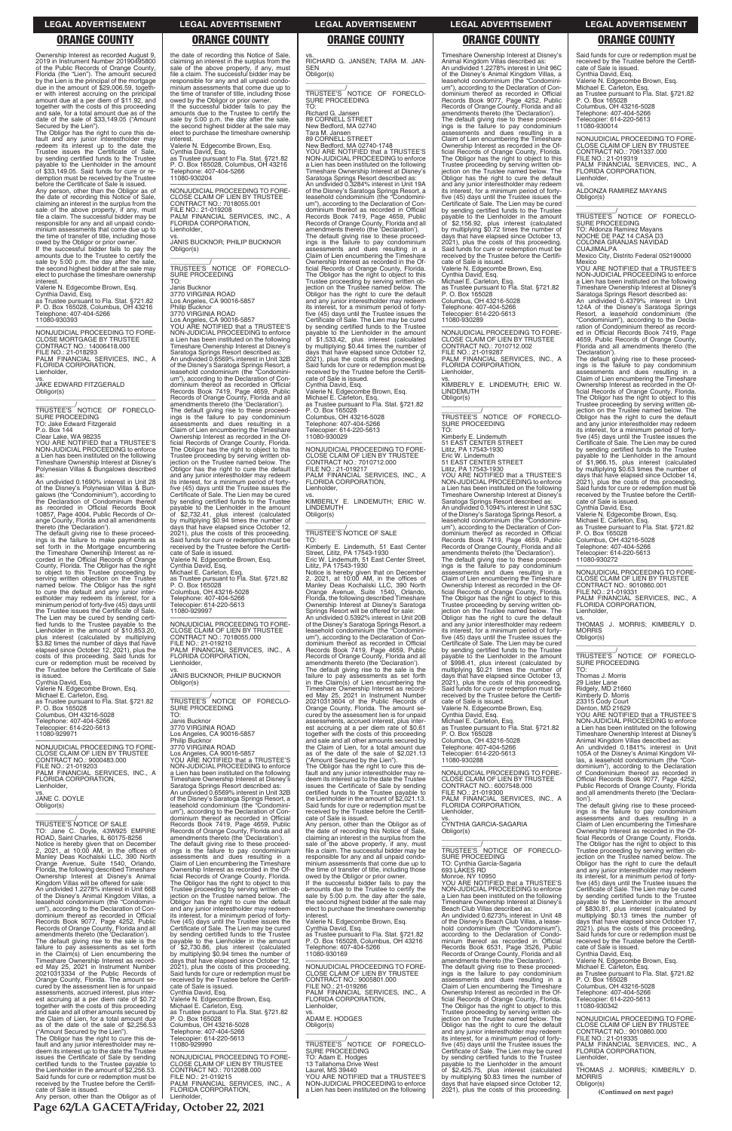**Page 62/LA GACETA/Friday, October 22, 2021**

### **LEGAL ADVERTISEMENT LEGAL ADVERTISEMENT LEGAL ADVERTISEMENT LEGAL ADVERTISEMENT LEGAL ADVERTISEMENT**

### **ORANGE COUNTY ORANGE COUNTY ORANGE COUNTY ORANGE COUNTY ORANGE COUNTY**

Ownership Interest as recorded August 9, 2019 in Instrument Number 20190495800 of the Public Records of Orange County, Florida (the "Lien"). The amount secured by the Lien is the principal of the mortgage due in the amount of \$29,006.59, together with interest accruing on the principal amount due at a per diem of \$11.92, and together with the costs of this proceeding and sale, for a total amount due as of the date of the sale of \$33,149.05 ("Amount

Secured by the Lien"). The Obligor has the right to cure this default and any junior interestholder may redeem its interest up to the date the Trustee issues the Certificate of Sale, by sending certified funds to the Trustee payable to the Lienholder in the amount  $of$   $$33,149.05$ . Said funds for cure demption must be received by the Trustee before the Certificate of Sale is issued.

\_\_\_\_\_\_\_\_\_\_\_/<br>TRUSTEE'S NOTICE OF FORECLO-<br>SURE PROCEEDING TO: Jake Edward Fitzgerald P.o. Box 144 Clear Lake, WA 98235

Any person, other than the Obligor as of the date of recording this Notice of Sale, claiming an interest in the surplus from the sale of the above property, if any, must file a claim. The successful bidder may be responsible for any and all unpaid condo-minium assessments that come due up to the time of transfer of title, including those owed by the Obligor or prior owner. If the successful bidder fails to pay the

amounts due to the Trustee to certify the sale by 5:00 p.m. the day after the sale, the second highest bidder at the sale may elect to purchase the timeshare ownership interest.

Valerie N. Edgecombe Brown, Esq. Cynthia David, Esq. as Trustee pursuant to Fla. Stat. §721.82 P. O. Box 165028, Columbus, OH 43216 Telephone: 407-404-5266 11080-930393

galows (the "Condominium"), according to<br>the Declaration of Condominium thereof<br>as recorded in Official Records Book<br>10857, Page 4004, Public Records of Or-<br>ange County, Florida and all amendments<br>thereto (the 'Declaration to object to this Trustee proceeding by serving written objection on the Trustee named below. The Obligor has the right to cure the default and any junior inter-estholder may redeem its interest, for a minimum period of forty-five (45) days until the Trustee issues the Certificate of Sale. The Lien may be cured by sending certi-fied funds to the Trustee payable to the Lienholder in the amount of \$10,853.20, plus interest (calculated by multiplying \$3.82 times the number of days that have elapsed since October 12, 2021), plus the costs of this proceeding. Said funds for cure or redemption must be received by the Trustee before the Certificate of Sale

—————————————————— NONJUDICIAL PROCEEDING TO FORE-CLOSE MORTGAGE BY TRUSTEE CONTRACT NO.: 14006418.000 FILE NO.: 21-018293 PALM FINANCIAL SERVICES, INC., A FLORIDA CORPORATION, Lienholder,

vs. JAKE EDWARD FITZGERALD Obligor(s)

\_\_\_\_\_\_\_\_\_\_\_\_\_\_\_\_\_\_\_\_\_\_\_\_\_\_\_\_\_\_\_\_\_

YOU ARE NOTIFIED that a TRUSTEE'S NON-JUDICIAL PROCEEDING to enforce a Lien has been instituted on the following Timeshare Ownership Interest at Disney's Polynesian Villas & Bungalows described as:

An undivided 0.1690% interest in Unit 28 of the Disney's Polynesian Villas & Bun-

the date of recording this Notice of Sale, claiming an interest in the surplus from the sale of the above property, if any, must file a claim. The successful bidder may be responsible for any and all unpaid condominium assessments that come due up to the time of transfer of title, including those owed by the Obligor or prior owner. If the successful bidder fails to pay the

FILE NO.: 21-019208 PALM FINANCIAL SERVICES, INC., A FLORIDA CORPORATION, Lienholder.

is issued. Cynthia David, Esq.

Valerie N. Edgecombe Brown, Esq. Michael E. Carleton, Esq. as Trustee pursuant to Fla. Stat. §721.82 P. O. Box 165028 Columbus, OH 43216-5028 Telephone: 407-404-5266 Telecopier: 614-220-5613 11080-929971

—————————————————— NONJUDICIAL PROCEEDING TO FORE-CLOSE CLAIM OF LIEN BY TRUSTEE CONTRACT NO.: 9000483.000 FILE NO.: 21-019203 PALM FINANCIAL SERVICES, INC., A FLORIDA CORPORATION, Lienholder,

vs. JANE C. DOYLE Obligor(s)

\_\_\_\_\_\_\_\_\_\_\_\_\_\_\_\_\_\_\_\_\_\_\_\_\_\_\_\_\_\_\_\_\_ \_\_\_\_\_\_\_\_\_\_\_/ TRUSTEE'S NOTICE OF SALE

The default giving rise to these proceed-<br>ings is the failure to pay condominium<br>assessments and dues resulting in a<br>Claim of Lien encumbering the Timeshare Ownership Interest as recorded in the Official Records of Orange County, Florida. The Obligor has the right to object to this Trustee proceeding by serving written ob-jection on the Trustee named below. The Obligor has the right to cure the default and any junior interestholder may redeem its interest, for a minimum period of fortyfive (45) days until the Trustee issues the Certificate of Sale. The Lien may be cured by sending certified funds to the Trustee payable to the Lienholder in the amount \$2,732.41, plus interest (calculated by multiplying \$0.94 times the number of days that have elapsed since October 12, 2021), plus the costs of this proceeding. Said funds for cure or redemption must be received by the Trustee before the Certificate of Sale is issued. Valerie N. Edgecombe Brown, Esq. Cynthia David, Esq. Michael E. Carleton, Esq. as Trustee pursuant to Fla. Stat. §721.82 P. O. Box 165028 Columbus, OH 43216-5028 Telephone: 407-404-5266 Telecopier: 614-220-5613 11080-929997

\_\_\_\_\_\_\_\_\_\_\_/<br>TRUSTEE'S NOTICE OF FORECLO-<br>SURE PROCEEDING TO:

amounts due to the Trustee to certify the sale by 5:00 p.m. the day after the sale, the second highest bidder at the sale may elect to purchase the timeshare ownership interest. Valerie N. Edgecombe Brown, Esq.

Cynthia David, Esq. as Trustee pursuant to Fla. Stat. §721.82 P. O. Box 165028, Columbus, OH 43216 Telephone: 407-404-5266 11080-930204

—————————————————— NONJUDICIAL PROCEEDING TO FORE-CLOSE CLAIM OF LIEN BY TRUSTEE CONTRACT NO.: 7018055.001

vs. JANIS BUCKNOR; PHILIP BUCKNOR

Obligor(s) \_\_\_\_\_\_\_\_\_\_\_\_\_\_\_\_\_\_\_\_\_\_\_\_\_\_\_\_\_\_\_\_\_ \_\_\_\_\_\_\_\_\_\_\_\_/<br>TRUSTEE'S NOTICE OF FORECLO-<br>SURE PROCEEDING

TO: Janis Bucknor 3770 VIRGINIA ROAD Los Angeles, CA 90016-5857 Philip Bucknor 3770 VIRGINIA ROAD Los Angeles, CA 90016-5857 YOU ARE NOTIFIED that a TRUSTEE'S NON-JUDICIAL PROCEEDING to enforce

a Lien has been instituted on the following Timeshare Ownership Interest at Disney's Saratoga Springs Resort described as: An undivided 0.6569% interest in Unit 32B of the Disney's Saratoga Springs Resort, a leasehold condominium (the "Condominium"), according to the Declaration of Con-dominium thereof as recorded in Official Records Book 7419, Page 4659, Public Records of Orange County, Florida and all amendments thereto (the 'Declaration').

> The Obligor has the right to cure this default and any junior interestholder may re-deem its interest up to the date the Trustee issues the Certificate of Sale by sending certified funds to the Trustee payable to the Lienholder in the amount of \$2,021.13. Said funds for cure or redemption must be received by the Trustee before the Certifi-cate of Sale is issued.

—————————————————— NONJUDICIAL PROCEEDING TO FORE-CLOSE CLAIM OF LIEN BY TRUSTEE CONTRACT NO.: 7018055.000 FILE NO.: 21-019210 PALM FINANCIAL SERVICES, INC., A FLORIDA CORPORATION, Lienholder,

vs. JANIS BUCKNOR; PHILIP BUCKNOR Obligor(s) \_\_\_\_\_\_\_\_\_\_\_\_\_\_\_\_\_\_\_\_\_\_\_\_\_\_\_\_\_\_\_\_\_

\_\_\_\_\_\_\_\_\_\_\_\_\_\_\_\_\_\_\_\_\_\_\_\_\_\_\_\_\_\_\_\_\_ \_\_\_\_\_\_\_\_\_\_\_/ TRUSTEE'S NOTICE OF FORECLO-SURE PROCEEDING

Janis Bucknor 3770 VIRGINIA ROAD

Los Angeles, CA 90016-5857 Philip Bucknor 3770 VIRGINIA ROAD Los Angeles, CA 90016-5857 YOU ARE NOTIFIED that a TRUSTEE'S NON-JUDICIAL PROCEEDING to enforce a Lien has been instituted on the following Timeshare Ownership Interest at Disney's Saratoga Springs Resort described as: An undivided 0.6569% interest in Unit 32B of the Disney's Saratoga Springs Resort, a leasehold condominium (the "Condominium"), according to the Declaration of Con-dominium thereof as recorded in Official Records Book 7419, Page 4659, Public Records of Orange County, Florida and all

vs. RICHARD G. JANSEN; TARA M. JAN-SEN Obligor(s)

\_\_\_\_\_\_\_\_\_\_\_\_\_\_\_\_\_\_\_\_\_\_\_\_\_\_\_\_\_\_\_\_\_ \_\_\_\_\_\_\_\_\_\_\_/<br>TRUSTEE'S NOTICE OF FORECLO-<br>SURE PROCEEDING TO:

> \_\_\_\_\_\_\_\_\_\_\_\_\_\_\_\_\_\_\_\_\_\_\_\_\_\_\_\_\_\_\_\_\_ \_\_\_\_\_\_\_\_\_\_\_/<br>TRUSTEE'S NOTICE OF FORECLO-<br>SURE PROCEEDING

Richard G. Jansen 89 CORNELL STREET New Bedford, MA 02740

Tara M. Jansen 89 CORNELL STREET New Bedford, MA 02740-1748 YOU ARE NOTIFIED that a TRUSTEE'S NON-JUDICIAL PROCEEDING to enforce a Lien has been instituted on the following Timeshare Ownership Interest at Disney's Saratoga Springs Resort described as: An undivided 0.3284% interest in Unit 19A of the Disney's Saratoga Springs Resort, a leasehold condominium (the "Condominium"), according to the Declaration of Con-dominium thereof as recorded in Official Records Book 7419, Page 4659, Public Records of Orange County, Florida and all amendments thereto (the 'Declaration'). The default giving rise to these proceed-ings is the failure to pay condominium assessments and dues resulting in a Claim of Lien encumbering the Timeshare Ownership Interest as recorded in the Official Records of Orange County, Florida. The Obligor has the right to object to this Trustee proceeding by serving written ob-jection on the Trustee named below. The Obligor has the right to cure the default and any junior interestholder may redeem its interest, for a minimum period of forty-five (45) days until the Trustee issues the Certificate of Sale. The Lien may be cured by sending certified funds to the Trustee payable to the Lienholder in the amount of \$1,533.42, plus interest (calculated by multiplying \$0.44 times the number of days that have elapsed since October 12, 2021), plus the costs of this proceeding. Said funds for cure or redemption must be received by the Trustee before the Certifi-cate of Sale is issued.

> \_\_\_\_\_\_\_\_\_\_\_\_\_\_\_\_\_\_\_\_\_\_\_\_\_\_\_\_\_\_\_\_\_ \_\_\_\_\_\_\_\_\_\_\_\_/<br>TRUSTEE'S NOTICE OF FORECLO-<br>SURE PROCEEDING

Cynthia David, Esq. Valerie N. Edgecombe Brown, Esq. Michael E. Carleton, Esq. as Trustee pursuant to Fla. Stat. §721.82 P. O. Box 165028 Columbus, OH 43216-5028 Telephone: 407-404-5266 Telecopier: 614-220-5613 11080-930029

—————————————————— NONJUDICIAL PROCEEDING TO FORE-CLOSE CLAIM OF LIEN BY TRUSTEE CONTRACT NO.: 7010712.000 FILE NO.: 21-019217 PALM FINANCIAL SERVICES, INC., A FLORIDA CORPORATION, Lienholder,

vs. KIMBERLY E. LINDEMUTH; ERIC W. LINDEMUTH Obligor(s) \_\_\_\_\_\_\_\_\_\_\_\_\_\_\_\_\_\_\_\_\_\_\_\_\_\_\_\_\_\_\_\_\_

\_\_\_\_\_\_\_\_\_\_\_/ TRUSTEE'S NOTICE OF SALE

TO: Kimberly E. Lindemuth, 51 East Center Street, Lititz, PA 17543-1930 Eric W. Lindemuth, 51 East Center Street, Lititz, PA 17543-1930

Notice is hereby given that on December 2, 2021, at 10:00 AM, in the offices of Manley Deas Kochalski LLC, 390 North Orange Avenue, Suite 1540, Orlando, Florida, the following described Timeshare Ownership Interest at Disney's Saratoga Springs Resort will be offered for sale: An undivided 0.5392% interest in Unit 20B of the Disney's Saratoga Springs Resort, a leasehold condominium (the "Condominium"), according to the Declaration of Condominium thereof as recorded in Official Records Book 7419, Page 4659, Public Records of Orange County, Florida and all amendments thereto (the 'Declaration'). The default giving rise to the sale is the failure to pay assessments as set forth in the Claim(s) of Lien encumbering the Timeshare Ownership Interest as recorded May 25, 2021 in Instrument Number 20210313604 of the Public Records of Orange County, Florida. The amount se-cured by the assessment lien is for unpaid assessments, accrued interest, plus interest accruing at a per diem rate of \$0.61 together with the costs of this proceeding and sale and all other amounts secured by the Claim of Lien, for a total amount due as of the date of the sale of \$2,021.13 ("Amount Secured by the Lien").

Any person, other than the Obligor as of the date of recording this Notice of Sale,

| TO: Jane C. Doyle, 43W925 EMPIRE             | Records of Orange County, Florida and all    | the date of recording this Notice of Sale.     | Obligor(s)                                   | Ownership Interest as recorded in the Of-    |
|----------------------------------------------|----------------------------------------------|------------------------------------------------|----------------------------------------------|----------------------------------------------|
| ROAD, Saint Charles, IL 60175-8256           | amendments thereto (the 'Declaration').      | claiming an interest in the surplus from the   |                                              | ficial Records of Orange County, Florida.    |
| Notice is hereby given that on December      | The default giving rise to these proceed-    | sale of the above property, if any, must       |                                              | The Obligor has the right to object to this  |
| 2. 2021, at 10:00 AM, in the offices of      | ings is the failure to pay condominium       | file a claim. The successful bidder may be     | TRUSTEE'S NOTICE OF FORECLO-                 | Trustee proceeding by serving written ob-    |
| Manley Deas Kochalski LLC, 390 North         | assessments and dues resulting in a          | responsible for any and all unpaid condo-      | SURE PROCEEDING                              | jection on the Trustee named below. The      |
| Orange Avenue, Suite 1540, Orlando,          | Claim of Lien encumbering the Timeshare      | minium assessments that come due up to         | TO: Cynthia Garcia-Sagaria                   | Obligor has the right to cure the default    |
| Florida, the following described Timeshare   | Ownership Interest as recorded in the Of-    | the time of transfer of title, including those | 693 LAKES RD                                 | and any junior interestholder may redeem     |
| Ownership Interest at Disney's Animal        | ficial Records of Orange County, Florida.    | owed by the Obligor or prior owner.            | Monroe, NY 10950                             | its interest, for a minimum period of forty- |
| Kingdom Villas will be offered for sale:     | The Obligor has the right to object to this  | If the successful bidder fails to pay the      | YOU ARE NOTIFIED that a TRUSTEE'S            | five (45) days until the Trustee issues the  |
| An undivided 1.2278% interest in Unit 66B    | Trustee proceeding by serving written ob-    | amounts due to the Trustee to certify the      | NON-JUDICIAL PROCEEDING to enforce           | Certificate of Sale. The Lien may be cured   |
| of the Disney's Animal Kingdom Villas, a     | jection on the Trustee named below. The      | sale by 5:00 p.m. the day after the sale,      | a Lien has been instituted on the following  | by sending certified funds to the Trustee    |
| leasehold condominium (the "Condomini-       | Obligor has the right to cure the default    | the second highest bidder at the sale may      | Timeshare Ownership Interest at Disney's     | payable to the Lienholder in the amount      |
| um"), according to the Declaration of Con-   | and any junior interestholder may redeem     | elect to purchase the timeshare ownership      | Beach Club Villas described as:              | of \$830.81, plus interest (calculated by    |
| dominium thereof as recorded in Official     | its interest, for a minimum period of forty- | interest.                                      | An undivided 0.6273% interest in Unit 48     | multiplying \$0.13 times the number of       |
| Records Book 9077, Page 4252, Public         | five (45) days until the Trustee issues the  | Valerie N. Edgecombe Brown, Esg.               | of the Disney's Beach Club Villas, a lease-  | days that have elapsed since October 17,     |
| Records of Orange County, Florida and all    | Certificate of Sale. The Lien may be cured   | Cynthia David. Esg.                            | hold condominium (the "Condominium").        | 2021), plus the costs of this proceeding.    |
| amendments thereto (the 'Declaration').      | by sending certified funds to the Trustee    | as Trustee pursuant to Fla. Stat. §721.82      | according to the Declaration of Condo-       | Said funds for cure or redemption must be    |
| The default giving rise to the sale is the   | payable to the Lienholder in the amount      | P. O. Box 165028, Columbus, OH 43216           | minium thereof as recorded in Official       | received by the Trustee before the Certifi-  |
| failure to pay assessments as set forth      | of \$2,730.86, plus interest (calculated     | Telephone: 407-404-5266                        | Records Book 6531, Page 3526, Public         | cate of Sale is issued.                      |
| in the Claim(s) of Lien encumbering the      | by multiplying \$0.94 times the number of    | 11080-930169                                   | Records of Orange County, Florida and all    | Cynthia David, Esg.                          |
| Timeshare Ownership Interest as record-      | days that have elapsed since October 12,     |                                                | amendments thereto (the 'Declaration').      | Valerie N. Edgecombe Brown, Esq.             |
| ed May 25, 2021 in Instrument Number         | 2021), plus the costs of this proceeding.    | NONJUDICIAL PROCEEDING TO FORE-                | The default giving rise to these proceed-    | Michael E. Carleton, Esq.                    |
| 20210313334 of the Public Records of         | Said funds for cure or redemption must be    | CLOSE CLAIM OF LIEN BY TRUSTEE                 | ings is the failure to pay condominium       | as Trustee pursuant to Fla. Stat. §721.82    |
| Orange County, Florida. The amount se-       | received by the Trustee before the Certifi-  | CONTRACT NO.: 9005801.000                      | assessments and dues resulting in a          | P. O. Box 165028                             |
| cured by the assessment lien is for unpaid   | cate of Sale is issued.                      | FILE NO.: 21-019266                            | Claim of Lien encumbering the Timeshare      | Columbus, OH 43216-5028                      |
| assessments, accrued interest, plus inter-   | Cynthia David, Esq.                          | PALM FINANCIAL SERVICES, INC., A               | Ownership Interest as recorded in the Of-    | Telephone: 407-404-5266                      |
| est accruing at a per diem rate of \$0.72    | Valerie N. Edgecombe Brown, Esg.             | FLORIDA CORPORATION,                           | ficial Records of Orange County, Florida.    | Telecopier: 614-220-5613                     |
| together with the costs of this proceeding   | Michael E. Carleton, Esq.                    | Lienholder,                                    | The Obligor has the right to object to this  | 11080-930342                                 |
| and sale and all other amounts secured by    | as Trustee pursuant to Fla. Stat. §721.82    | VS.                                            | Trustee proceeding by serving written ob-    |                                              |
| the Claim of Lien, for a total amount due    | P. O. Box 165028                             | ADAM E. HODGES                                 | jection on the Trustee named below. The      | NONJUDICIAL PROCEEDING TO FORE-              |
| as of the date of the sale of \$2,256.53     | Columbus, OH 43216-5028                      | Obligor(s)                                     | Obligor has the right to cure the default    | CLOSE CLAIM OF LIEN BY TRUSTEE               |
| ("Amount Secured by the Lien").              | Telephone: 407-404-5266                      |                                                | and any junior interestholder may redeem     | CONTRACT NO.: 9010860.000                    |
| The Obligor has the right to cure this de-   | Telecopier: 614-220-5613                     |                                                | its interest, for a minimum period of forty- | FILE NO.: 21-019335                          |
| fault and any junior interestholder may re-  | 11080-929990                                 | TRUSTEE'S NOTICE OF FORECLO-                   | five (45) days until the Trustee issues the  | PALM FINANCIAL SERVICES, INC., A             |
| deem its interest up to the date the Trustee |                                              | SURE PROCEEDING                                | Certificate of Sale. The Lien may be cured   | FLORIDA CORPORATION,                         |
| issues the Certificate of Sale by sending    | NONJUDICIAL PROCEEDING TO FORE-              | TO: Adam E. Hodges                             | by sending certified funds to the Trustee    | Lienholder,                                  |
| certified funds to the Trustee payable to    | CLOSE CLAIM OF LIEN BY TRUSTEE               | 13 Tallahoma Drive West                        | payable to the Lienholder in the amount      | VS.                                          |
| the Lienholder in the amount of \$2,256.53.  | CONTRACT NO.: 7012088.000                    | Laurel, MS 39440                               | of \$2,425.75, plus interest (calculated     | THOMAS J. MORRIS; KIMBERLY D.                |
| Said funds for cure or redemption must be    | FILE NO.: 21-019215                          | YOU ARE NOTIFIED that a TRUSTEE'S              | by multiplying \$0.83 times the number of    | <b>MORRIS</b>                                |
| received by the Trustee before the Certifi-  | PALM FINANCIAL SERVICES, INC., A             | NON-JUDICIAL PROCEEDING to enforce             | days that have elapsed since October 12,     | Obligor(s)                                   |
| cate of Sale is issued.                      | FLORIDA CORPORATION,                         | a Lien has been instituted on the following    | 2021), plus the costs of this proceeding.    | (Continued on next page)                     |
| Any person, other than the Obligor as of     | Lienholder.                                  |                                                |                                              |                                              |

# Timeshare Ownership Interest at Disney's Animal Kingdom Villas described as: An undivided 1.2278% interest in Unit 96C of the Disney's Animal Kingdom Villas, a leasehold condominium (the "Condominium"), according to the Declaration of Con-dominium thereof as recorded in Official Records Book 9077, Page 4252, Public Records of Orange County, Florida and all amendments thereto (the 'Declaration'). The default giving rise to these proceed-ings is the failure to pay condominium assessments and dues resulting in a Claim of Lien encumbering the Timeshare Ownership Interest as recorded in the Official Records of Orange County, Florida. The Obligor has the right to object to this Trustee proceeding by serving written ob-jection on the Trustee named below. The Obligor has the right to cure the default and any junior interestholder may redeem its interest, for a minimum period of fortyfive (45) days until the Trustee issues the Certificate of Sale. The Lien may be cured by sending certified funds to the Trustee payable to the Lienholder in the amount of \$2,156.92, plus interest (calculated by multiplying \$0.72 times the number of days that have elapsed since October 13, 2021), plus the costs of this proceeding. Said funds for cure or redemption must be received by the Trustee before the Certificate of Sale is issued. Valerie N. Edgecombe Brown, Esq. Cynthia David, Esq. Michael E. Carleton, Esq. as Trustee pursuant to Fla. Stat. §721.82 P. O. Box 165028 Columbus, OH 43216-5028 Telephone: 407-404-5266 Telecopier: 614-220-5613 11080-930289

—————————————————— NONJUDICIAL PROCEEDING TO FORE-CLOSE CLAIM OF LIEN BY TRUSTEE CONTRACT NO.: 7010712.002 FILE NO.: 21-019287 PALM FINANCIAL SERVICES, INC., A FLORIDA CORPORATION, Lienholder,

vs. KIMBERLY E. LINDEMUTH; ERIC W. LINDEMUTH Obligor(s)

TO: Kimberly E. Lindemuth 51 EAST CENTER STREET Lititz, PA 17543-1930

Eric W. Lindemuth 51 EAST CENTER STREET Lititz, PA 17543-1930 YOU ARE NOTIFIED that a TRUSTEE'S NON-JUDICIAL PROCEEDING to enforce a Lien has been instituted on the following Timeshare Ownership Interest at Disney's Saratoga Springs Resort described as: An undivided 0.1094% interest in Unit 53C of the Disney's Saratoga Springs Resort, a leasehold condominium (the "Condomini-In the Bisney's Salatoga Sphings Freson, a<br>leasehold condominium (the "Condominium"), according to the Declaration of Condominium thereof as recorded in Official Records Book 7419, Page 4659, Public Records of Orange County, Florida and all amendments thereto (the 'Declaration'). The default giving rise to these proceed-ings is the failure to pay condominium assessments and dues resulting in a Claim of Lien encumbering the Timeshare Ownership Interest as recorded in the Official Records of Orange County, Florida. The Obligor has the right to object to this Trustee proceeding by serving written ob-jection on the Trustee named below. The Obligor has the right to cure the default and any junior interestholder may redeem its interest, for a minimum period of fortyfive (45) days until the Trustee issues the Certificate of Sale. The Lien may be cured by sending certified funds to the Trustee<br>payable to the Lienholder in the amount<br>of \$998.41, plus interest (calculated by<br>multiplying \$0.21 times the number of<br>days that have elapsed since October 13, 2021), plus the costs of this proceeding. Said funds for cure or redemption must be received by the Trustee before the Certifi-cate of Sale is issued. Valerie N. Edgecombe Brown, Esq.

Cynthia David, Esq. Michael E. Carleton, Esq. as Trustee pursuant to Fla. Stat. §721.82 P. O. Box 165028 Columbus, OH 43216-5028 Telephone: 407-404-5266 Telecopier: 614-220-5613 11080-930288

—————————————————— NONJUDICIAL PROCEEDING TO FORE-CLOSE CLAIM OF LIEN BY TRUSTEE CONTRACT NO.: 6007548.000 FILE NO.: 21-019300 PALM FINANCIAL SERVICES, INC., A FLORIDA CORPORATION, Lienholder,

vs. CYNTHIA GARCIA-SAGARIA

Said funds for cure or redemption must be received by the Trustee before the Certifi-cate of Sale is issued. Cynthia David, Esq. Valerie N. Edgecombe Brown, Esq. Michael E. Carleton, Esq. as Trustee pursuant to Fla. Stat. §721.82 P. O. Box 165028 Columbus, OH 43216-5028 Telephone: 407-404-5266 Telecopier: 614-220-5613 11080-930014

—————————————————— NONJUDICIAL PROCEEDING TO FORE-CLOSE CLAIM OF LIEN BY TRUSTEE CONTRACT NO.: 7061337.000 FILE NO.: 21-019319 PALM FINANCIAL SERVICES, INC., A FLORIDA CORPORATION, Lienholder,

vs. ALDONZA RAMIREZ MAYANS Obligor(s)

TO: Aldonza Ramirez Mayans NOCHE DE PAZ 14 CASA D3 COLONIA GRANJAS NAVIDAD

CUAJIMALPA Mexico City, Distrito Federal 052190000 Mexico

YOU ARE NOTIFIED that a TRUSTEE'S NON-JUDICIAL PROCEEDING to enforce a Lien has been instituted on the following Timeshare Ownership Interest at Disney's Saratoga Springs Resort described as: An undivided 0.4379% interest in Unit 124A of the Disney's Saratoga Springs Resort, a leasehold condominium (the "Condominium"), according to the Decla-ration of Condominium thereof as record-ed in Official Records Book 7419, Page 4659, Public Records of Orange County, Florida and all amendments thereto (the 'Declaration').

The default giving rise to these proceed-ings is the failure to pay condominium assessments and dues resulting in a Claim of Lien encumbering the Timeshare Ownership Interest as recorded in the Of-ficial Records of Orange County, Florida. The Obligor has the right to object to this Trustee proceeding by serving written objection on the Trustee named below. The Obligor has the right to cure the default and any junior interestholder may redeem its interest, for a minimum period of fortyfive (45) days until the Trustee issues the Certificate of Sale. The Lien may be cured<br>by sending certified funds to the Trustee by sending certified funds to the Trustee payable to the Lienholder in the amount of \$1,966.15, plus interest (calculated by multiplying \$0.63 times the number of days that have elapsed since October 14, plus the costs of this proceeding. Said funds for cure or redemption must be received by the Trustee before the Certificate of Sale is issued. Cynthia David, Esq.

Valerie N. Edgecombe Brown, Esq.

Michael E. Carleton, Esq. as Trustee pursuant to Fla. Stat. §721.82 P. O. Box 165028 Columbus, OH 43216-5028 Telephone: 407-404-5266 Telecopier: 614-220-5613

11080-930272

—————————————————— NONJUDICIAL PROCEEDING TO FORE-CLOSE CLAIM OF LIEN BY TRUSTEE CONTRACT NO.: 9010860.001 FILE NO.: 21-019331 PALM FINANCIAL SERVICES, INC., A FLORIDA CORPORATION,

Lienholder, vs. THOMAS J. MORRIS; KIMBERLY D. **MORRIS** Obligor(s)

TO:

Thomas J. Morris 29 Lister Lane Ridgely, MD 21660

Kimberly D. Morris 23315 Cody Court Denton, MD 21629

YOU ARE NOTIFIED that a TRUSTEE'S NON-JUDICIAL PROCEEDING to enforce a Lien has been instituted on the following

Timeshare Ownership Interest at Disney's Animal Kingdom Villas described as: An undivided 0.1841% interest in Unit 105A of the Disney's Animal Kingdom Vil-las, a leasehold condominium (the "Condominium"), according to the Declaration of Condominium thereof as recorded in Official Records Book 9077, Page 4252,

Public Records of Orange County, Florida and all amendments thereto (the 'Declaration'). The default giving rise to these proceedings is the failure to pay condominium assessments and dues resulting in a Claim of Lien encumbering the Timeshare Ownership Interest as recorded in the Of-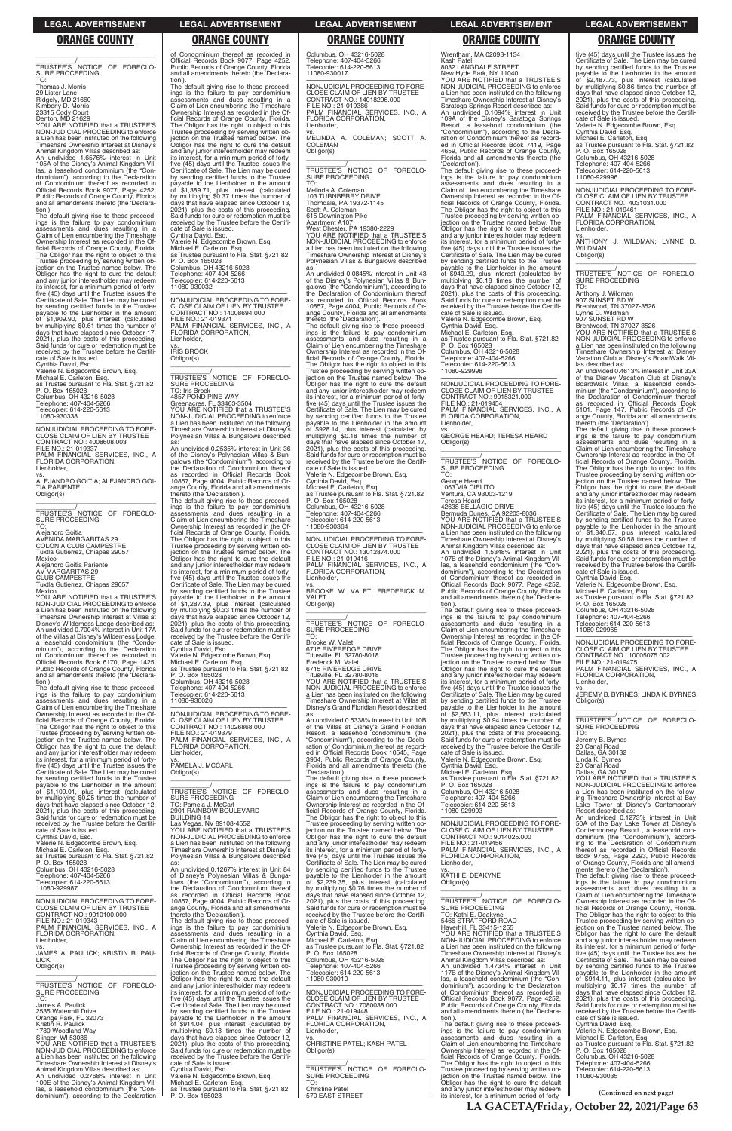**LA GACETA/Friday, October 22, 2021/Page 63**

### **LEGAL ADVERTISEMENT LEGAL ADVERTISEMENT LEGAL ADVERTISEMENT LEGAL ADVERTISEMENT LEGAL ADVERTISEMENT**

# **ORANGE COUNTY ORANGE COUNTY ORANGE COUNTY ORANGE COUNTY ORANGE COUNTY**

\_\_\_\_\_\_\_\_\_\_\_\_\_\_\_\_\_\_\_\_\_\_\_\_\_\_\_\_\_\_\_\_\_ \_\_\_\_\_\_\_\_\_\_\_/ TRUSTEE'S NOTICE OF FORECLO-SURE PROCEEDING TO:

Thomas J. Morris 29 Lister Lane Ridgely, MD 21660 Kimberly D. Morris 23315 Cody Court Denton, MD 21629 YOU ARE NOTIFIED that a TRUSTEE'S

NON-JUDICIAL PROCEEDING to enforce a Lien has been instituted on the following Timeshare Ownership Interest at Disney's

Animal Kingdom Villas described as: An undivided 1.6576% interest in Unit 105A of the Disney's Animal Kingdom Villas, a leasehold condominium (the "Con-dominium"), according to the Declaration of Condominium thereof as recorded in Official Records Book 9077, Page 4252, Public Records of Orange County, Florida and all amendments thereto (the 'Declara-

YOU ARE NOTIFIED that a TRUSTEE'S NON-JUDICIAL PROCEEDING to enforce a Lien has been instituted on the following Timeshare Ownership Interest at Villas at Disney's Wilderness Lodge described as: An undivided 0.7004% interest in Unit 17A of the Villas at Disney's Wilderness Lodge, a leasehold condominium (the "Condo-minium"), according to the Declaration of Condominium thereof as recorded in Official Records Book 6170, Page 1425, Public Records of Orange County, Florida and all amendments thereto (the 'Declara-

tion'). The default giving rise to these proceed-ings is the failure to pay condominium assessments and dues resulting in a Claim of Lien encumbering the Timeshare Ownership Interest as recorded in the Official Records of Orange County, Florida. The Obligor has the right to object to this Trustee proceeding by serving written objection on the Trustee named below. The Obligor has the right to cure the default and any junior interestholder may redeem its interest, for a minimum period of forty-five (45) days until the Trustee issues the Certificate of Sale. The Lien may be cured by sending certified funds to the Trustee payable to the Lienholder in the amount of \$1,909.90, plus interest (calculated by multiplying \$0.61 times the number of days that have elapsed since October 17, 2021), plus the costs of this proceeding. Said funds for cure or redemption must be received by the Trustee before the Certifi-cate of Sale is issued.

Cynthia David, Esq. Valerie N. Edgecombe Brown, Esq. Michael E. Carleton, Esq. as Trustee pursuant to Fla. Stat. §721.82 P. O. Box 165028 Columbus, OH 43216-5028 Telephone: 407-404-5266 Telecopier: 614-220-5613 11080-930338

—————————————————— NONJUDICIAL PROCEEDING TO FORE-CLOSE CLAIM OF LIEN BY TRUSTEE CONTRACT NO.: 4008608.003 FILE NO.: 21-019337 PALM FINANCIAL SERVICES, INC., A FLORIDA CORPORATION, Lienholder, vs.

ALEJANDRO GOITIA; ALEJANDRO GOI-TIA PARIENTE Obligor(s) \_\_\_\_\_\_\_\_\_\_\_\_\_\_\_\_\_\_\_\_\_\_\_\_\_\_\_\_\_\_\_\_\_

\_\_\_\_\_\_\_\_\_\_\_/ TRUSTEE'S NOTICE OF FORECLO-SURE PROCEEDING TO:

Alejandro Goitia

AVENIDA MARGARITAS 29 COLONIA CLUB CAMPESTRE Tuxtla Gutierrez, Chiapas 29057 Mexico Alejandro Goitia Pariente AV MARGARITAS 29

CLUB CAMPESTRE Tuxtla Gutierrez, Chiapas 29057

Mexico

tion'). The default giving rise to these proceedings is the failure to pay condominium assessments and dues resulting in a Claim of Lien encumbering the Timeshare Ownership Interest as recorded in the Of-ficial Records of Orange County, Florida. The Obligor has the right to object to this Trustee proceeding by serving written ob-jection on the Trustee named below. The Obligor has the right to cure the default and any junior interestholder may redeem its interest, for a minimum period of forty-five (45) days until the Trustee issues the Certificate of Sale. The Lien may be cured by sending certified funds to the Trustee payable to the Lienholder in the amount of \$1,109.01, plus interest (calculated by multiplying \$0.25 times the number of days that have elapsed since October 12, 2021), plus the costs of this proceeding. Said funds for cure or redemption must be received by the Trustee before the Certificate of Sale is issued.

vs. PAMELA J. MCCARL  $\overline{\phantom{a}}$  ,  $\overline{\phantom{a}}$  ,  $\overline{\phantom{a}}$  ,  $\overline{\phantom{a}}$  ,  $\overline{\phantom{a}}$  ,  $\overline{\phantom{a}}$  ,  $\overline{\phantom{a}}$  ,  $\overline{\phantom{a}}$  ,  $\overline{\phantom{a}}$  ,  $\overline{\phantom{a}}$  ,  $\overline{\phantom{a}}$  ,  $\overline{\phantom{a}}$  ,  $\overline{\phantom{a}}$  ,  $\overline{\phantom{a}}$  ,  $\overline{\phantom{a}}$  ,  $\overline{\phantom{a}}$ 

TRUSTEE'S NOTICE OF FORECLO-

of Condominium thereof as recorded in Official Records Book 9077, Page 4252, Public Records of Orange County, Florida and all amendments thereto (the 'Declara-tion'). The default giving rise to these proceed-

> vs. MELINDA A. COLEMAN; SCOTT A. COLEMAN Obligor(s)  $\overline{\phantom{a}}$  , and the set of the set of the set of the set of the set of the set of the set of the set of the set of the set of the set of the set of the set of the set of the set of the set of the set of the set of the s

\_\_\_\_\_\_\_\_\_\_\_/<br>TRUSTEE'S NOTICE OF FORECLO-<br>SURE PROCEEDING TO:

ings is the failure to pay condominium assessments and dues resulting in a Claim of Lien encumbering the Timeshare Ownership Interest as recorded in the Of-ficial Records of Orange County, Florida. The Obligor has the right to object to this Trustee proceeding by serving written ob-jection on the Trustee named below. The Obligor has the right to cure the default and any junior interestholder may redeem its interest, for a minimum period of forty-five (45) days until the Trustee issues the Certificate of Sale. The Lien may be cured by sending certified funds to the Trustee payable to the Lienholder in the amount of \$1,389.71, plus interest (calculated by multiplying \$0.37 times the number of days that have elapsed since October 13, 2021), plus the costs of this proceeding. Said funds for cure or redemption must be received by the Trustee before the Certificate of Sale is issued. Cynthia David, Esq. Valerie N. Edgecombe Brown, Esq.

Michael E. Carleton, Esq. as Trustee pursuant to Fla. Stat. §721.82 P. O. Box 165028 Columbus, OH 43216-5028 Telephone: 407-404-5266 Telecopier: 614-220-5613 11080-930032

—————————————————— NONJUDICIAL PROCEEDING TO FORE-CLOSE CLAIM OF LIEN BY TRUSTEE CONTRACT NO.: 14008694.000 FILE NO.: 21-019371 PALM FINANCIAL SERVICES, INC., A FLORIDA CORPORATION, Lienholder,

vs. IRIS BROCK Obligor(s)

\_\_\_\_\_\_\_\_\_\_\_\_\_\_\_\_\_\_\_\_\_\_\_\_\_\_\_\_\_\_\_\_\_

n undivided 0.5338% interest in Unit 10B 'Declaration').

\_\_\_\_\_\_\_\_\_\_\_/ TRUSTEE'S NOTICE OF FORECLO-SURE PROCEEDING TO: Iris Brock 4857 POND PINE WAY Greenacres, FL 33463-3504 YOU ARE NOTIFIED that a TRUSTEE'S NON-JUDICIAL PROCEEDING to enforce a Lien has been instituted on the following Timeshare Ownership Interest at Disney's Polynesian Villas & Bungalows described

as: An undivided 0.2535% interest in Unit 36 of the Disney's Polynesian Villas & Bungalows (the "Condominium"), according to the Declaration of Condominium thereof as recorded in Official Records Book 10857, Page 4004, Public Records of Or-ange County, Florida and all amendments thereto (the 'Declaration').

The default giving rise to these proceed-ings is the failure to pay condominium assessments and dues resulting in a Claim of Lien encumbering the Timeshare Ownership Interest as recorded in the Of-ficial Records of Orange County, Florida. The Obligor has the right to object to this Trustee proceeding by serving written ob-jection on the Trustee named below. The Obligor has the right to cure the default and any junior interestholder may redeem its interest, for a minimum period of fortyfive (45) days until the Trustee issues the Certificate of Sale. The Lien may be cured by sending certified funds to the Trustee payable to the Lienholder in the amount of \$1,287.39, plus interest (calculated by multiplying \$0.33 times the number of days that have elapsed since October 12, 2021), plus the costs of this proceeding. Said funds for cure or redemption must be received by the Trustee before the Certifi-cate of Sale is issued. Cynthia David, Esq.

Valerie N. Edgecombe Brown, Esq. Michael E. Carleton, Esq. as Trustee pursuant to Fla. Stat. §721.82 P. O. Box 165028 Columbus, OH 43216-5028 Telephone: 407-404-5266 Telecopier: 614-220-5613 11080-930026

—————————————————— NONJUDICIAL PROCEEDING TO FORE-CLOSE CLAIM OF LIEN BY TRUSTEE CLOSE CLAIM OF LIEN BY TRU<br>CONTRACT NO.: 14026868.000 FILE NO.: 21-019379 PALM FINANCIAL SERVICES, INC., A FLORIDA CORPORATION, Lienholder,

Obligor(s)

SURE PROCEEDING TO: Pamela J. McCarl 2901 RAINBOW BOULEVARD

BUILDING 14 Las Vegas, NV 89108-4552 YOU ARE NOTIFIED that a TRUSTEE'S

Columbus, OH 43216-5028 Telephone: 407-404-5266 Telecopier: 614-220-5613 11080-930017

—————————————————— NONJUDICIAL PROCEEDING TO FORE-CLOSE CLAIM OF LIEN BY TRUSTEE CONTRACT NO.: 14018296.000 FILE NO.: 21-019386 PALM FINANCIAL SERVICES, INC., A FLORIDA CORPORATION, Lienholder,

Melinda A. Coleman 103 TURNBERRY DRIVE Thorndale, PA 19372-1145 Scott A. Coleman 615 Downington Pike Apartment A107

West Chester, PA 19380-2229 YOU ARE NOTIFIED that a TRUSTEE'S NON-JUDICIAL PROCEEDING to enforce a Lien has been instituted on the following Timeshare Ownership Interest at Disney's Polynesian Villas & Bungalows described

as: An undivided 0.0845% interest in Unit 43 of the Disney's Polynesian Villas & Bun-galows (the "Condominium"), according to the Declaration of Condominium thereof as recorded in Official Records Book 10857, Page 4004, Public Records of Or-ange County, Florida and all amendments thereto (the 'Declaration').

> thereto (the 'Declaration').<br>The default giving rise to these proceed-<br>ings is the failure to pay condominium<br>assessments and dues resulting in a<br>Claim of Lien encumbering the Timeshare<br>Ownership Interest as recorded in th ficial Records of Orange County, Florida. The Obligor has the right to object to this Trustee proceeding by serving written objection on the Trustee named below. The Obligor has the right to cure the default and any junior interestholder may redeem its interest, for a minimum period of forty-five (45) days until the Trustee issues the Certificate of Sale. The Lien may be cured by sending certified funds to the Trustee<br>payable to the Lienholder in the amount<br>of \$1,840.67, plus interest (calculated<br>by multiplying \$0.58 times the number of<br>days that have elapsed since October 12,<br>2021), plus the co Said funds for cure or redemption must be received by the Trustee before the Certifi-cate of Sale is issued.

FILE NO.: 21-019475 PALM FINANCIAL SERVICES, INC., A FLORIDA CORPORATION, ienholder

Resort described as:<br>An undivided 0.1273% interest\_in\_Unit An undivided 0.1273% interest in Unit 50A of the Bay Lake Tower at Disney's Contemporary Resort , a leasehold con-dominium (the "Condominium"), accord-

The default giving rise to these proceed-ings is the failure to pay condominium assessments and dues resulting in a Claim of Lien encumbering the Timeshare Ownership Interest as recorded in the Of-ficial Records of Orange County, Florida. The Obligor has the right to object to this Trustee proceeding by serving written ob-jection on the Trustee named below. The Obligor has the right to cure the default and any junior interestholder may redeem its interest, for a minimum period of fortyfive (45) days until the Trustee issues the Certificate of Sale. The Lien may be cured by sending certified funds to the Trustee payable to the Lienholder in the amount of \$928.14, plus interest (calculated by multiplying \$0.18 times the number of days that have elapsed since October 17, 2021), plus the costs of this proceeding. Said funds for cure or redemption must be received by the Trustee before the Certifi-cate of Sale is issued. Valerie N. Edgecombe Brown, Esq. Cynthia David, Esq. Michael E. Carleton, Esq. as Trustee pursuant to Fla. Stat. §721.82 P. O. Box 165028 Columbus, OH 43216-5028 Telephone: 407-404-5266

Telecopier: 614-220-5613 11080-930364

| <u>tale ui pale is issueu.</u><br>Cynthia David, Esq.<br>Valerie N. Edgecombe Brown, Esg. | TOO AND INOTIFIED that a THOSTED S<br>NON-JUDICIAL PROCEEDING to enforce<br>a Lien has been instituted on the following | <b>ECUOL OFFICE FRACE HATTED DEIOW.</b> THE<br>Obligor has the right to cure the default<br>and any junior interestholder may redeem | <u>ULUJE ULAINI ULI LIEN DI THUJTEL</u><br>CONTRACT NO.: 9014025.000<br>FILE NO.: 21-019456 | Contemporary Resort, a leaseriolul com-<br>dominium (the "Condominium"), accord-<br>ing to the Declaration of Condominium |
|-------------------------------------------------------------------------------------------|-------------------------------------------------------------------------------------------------------------------------|--------------------------------------------------------------------------------------------------------------------------------------|---------------------------------------------------------------------------------------------|---------------------------------------------------------------------------------------------------------------------------|
| Michael E. Carleton, Esq.                                                                 | Timeshare Ownership Interest at Disney's                                                                                | its interest, for a minimum period of forty-                                                                                         | PALM FINANCIAL SERVICES, INC., A                                                            | thereof as recorded in Official Records                                                                                   |
| as Trustee pursuant to Fla. Stat. §721.82                                                 | Polynesian Villas & Bungalows described                                                                                 | five (45) days until the Trustee issues the                                                                                          | FLORIDA CORPORATION,                                                                        | Book 9755, Page 2293, Public Records                                                                                      |
| P. O. Box 165028                                                                          | as:                                                                                                                     | Certificate of Sale. The Lien may be cured                                                                                           | Lienholder.                                                                                 | of Orange County, Florida and all amend-                                                                                  |
| Columbus, OH 43216-5028                                                                   | An undivided 0.1267% interest in Unit 84                                                                                | by sending certified funds to the Trustee                                                                                            | VS.                                                                                         | ments thereto (the 'Declaration').                                                                                        |
| Telephone: 407-404-5266                                                                   | of Disney's Polynesian Villas & Bunga-                                                                                  | payable to the Lienholder in the amount                                                                                              | KATHI E. DEAKYNE                                                                            | The default giving rise to these proceed-                                                                                 |
| Telecopier: 614-220-5613                                                                  | lows (the "Condominium"), according to                                                                                  | of \$2,239.35, plus interest (calculated                                                                                             | Obligor(s)                                                                                  | ings is the failure to pay condominium                                                                                    |
| 11080-929987                                                                              | the Declaration of Condominium thereof                                                                                  | by multiplying \$0.76 times the number of                                                                                            |                                                                                             | assessments and dues resulting in a                                                                                       |
|                                                                                           | as recorded in Official Records Book                                                                                    | days that have elapsed since October 12,                                                                                             |                                                                                             | Claim of Lien encumbering the Timeshare                                                                                   |
| NONJUDICIAL PROCEEDING TO FORE-                                                           | 10857, Page 4004, Public Records of Or-                                                                                 | 2021), plus the costs of this proceeding.                                                                                            | TRUSTEE'S NOTICE OF FORECLO-                                                                | Ownership Interest as recorded in the Of-                                                                                 |
| CLOSE CLAIM OF LIEN BY TRUSTEE                                                            | ange County, Florida and all amendments                                                                                 | Said funds for cure or redemption must be                                                                                            | SURE PROCEEDING                                                                             | ficial Records of Orange County, Florida.                                                                                 |
| CONTRACT NO.: 9010100.000                                                                 | thereto (the 'Declaration').                                                                                            | received by the Trustee before the Certifi-                                                                                          | TO: Kathi E. Deakvne                                                                        | The Obligor has the right to object to this                                                                               |
| FILE NO.: 21-019343<br>PALM FINANCIAL SERVICES, INC., A                                   | The default giving rise to these proceed-<br>ings is the failure to pay condominium                                     | cate of Sale is issued.<br>Valerie N. Edgecombe Brown, Esq.                                                                          | 5466 STRATFORD ROAD<br>Haverhill, FL 33415-1255                                             | Trustee proceeding by serving written ob-<br>jection on the Trustee named below. The                                      |
| FLORIDA CORPORATION,                                                                      | assessments and dues resulting in a                                                                                     | Cynthia David, Esq.                                                                                                                  | YOU ARE NOTIFIED that a TRUSTEE'S                                                           | Obligor has the right to cure the default                                                                                 |
| Lienholder.                                                                               | Claim of Lien encumbering the Timeshare                                                                                 | Michael E. Carleton, Esq.                                                                                                            | NON-JUDICIAL PROCEEDING to enforce                                                          | and any junior interestholder may redeem                                                                                  |
| VS.                                                                                       | Ownership Interest as recorded in the Of-                                                                               | as Trustee pursuant to Fla. Stat. §721.82                                                                                            | a Lien has been instituted on the following                                                 | its interest, for a minimum period of forty-                                                                              |
| JAMES A. PAULICK; KRISTIN R. PAU-                                                         | ficial Records of Orange County, Florida.                                                                               | P. O. Box 165028                                                                                                                     | Timeshare Ownership Interest at Disney's                                                    | five (45) days until the Trustee issues the                                                                               |
| <b>LICK</b>                                                                               | The Obligor has the right to object to this                                                                             | Columbus, OH 43216-5028                                                                                                              | Animal Kingdom Villas described as:                                                         | Certificate of Sale. The Lien may be cured                                                                                |
| Obligor(s)                                                                                | Trustee proceeding by serving written ob-                                                                               | Telephone: 407-404-5266                                                                                                              | An undivided 1.4734% interest in Unit                                                       | by sending certified funds to the Trustee                                                                                 |
|                                                                                           | jection on the Trustee named below. The                                                                                 | Telecopier: 614-220-5613                                                                                                             | 117B of the Disney's Animal Kingdom Vil-                                                    | payable to the Lienholder in the amount                                                                                   |
|                                                                                           | Obligor has the right to cure the default                                                                               | 11080-930010                                                                                                                         | las, a leasehold condominium (the "Con-                                                     | of \$914.11, plus interest (calculated by                                                                                 |
| TRUSTEE'S NOTICE OF FORECLO-                                                              | and any junior interestholder may redeem                                                                                |                                                                                                                                      | dominium"), according to the Declaration                                                    | multiplying \$0.17 times the number of                                                                                    |
| SURE PROCEEDING                                                                           | its interest, for a minimum period of forty-                                                                            | NONJUDICIAL PROCEEDING TO FORE-                                                                                                      | of Condominium thereof as recorded in                                                       | days that have elapsed since October 12,                                                                                  |
| TO.<br>James A. Paulick                                                                   | five (45) days until the Trustee issues the                                                                             | CLOSE CLAIM OF LIEN BY TRUSTEE                                                                                                       | Official Records Book 9077, Page 4252,                                                      | 2021), plus the costs of this proceeding.                                                                                 |
| 2535 Watermill Drive                                                                      | Certificate of Sale. The Lien may be cured<br>by sending certified funds to the Trustee                                 | CONTRACT NO.: 7080038.000<br>FILE NO.: 21-019448                                                                                     | Public Records of Orange County, Florida<br>and all amendments thereto (the 'Declara-       | Said funds for cure or redemption must be<br>received by the Trustee before the Certifi-                                  |
| Orange Park, FL 32073                                                                     | pavable to the Lienholder in the amount                                                                                 | PALM FINANCIAL SERVICES, INC., A                                                                                                     | tion').                                                                                     | cate of Sale is issued.                                                                                                   |
| Kristin R. Paulick                                                                        | of \$914.04, plus interest (calculated by                                                                               | FLORIDA CORPORATION,                                                                                                                 | The default giving rise to these proceed-                                                   | Cynthia David, Esq.                                                                                                       |
| 1780 Woodland Wav                                                                         | multiplying \$0.18 times the number of                                                                                  | Lienholder,                                                                                                                          | ings is the failure to pay condominium                                                      | Valerie N. Edgecombe Brown, Esg.                                                                                          |
| Slinger, WI 53086                                                                         | days that have elapsed since October 12,                                                                                | VS.                                                                                                                                  | assessments and dues resulting in a                                                         | Michael E. Carleton, Esq.                                                                                                 |
| YOU ARE NOTIFIED that a TRUSTEE'S                                                         | 2021), plus the costs of this proceeding.                                                                               | <b>CHRISTINE PATEL: KASH PATEL</b>                                                                                                   | Claim of Lien encumbering the Timeshare                                                     | as Trustee pursuant to Fla. Stat. §721.82                                                                                 |
| NON-JUDICIAL PROCEEDING to enforce                                                        | Said funds for cure or redemption must be                                                                               | Obligor(s)                                                                                                                           | Ownership Interest as recorded in the Of-                                                   | P. O. Box 165028                                                                                                          |
| a Lien has been instituted on the following                                               | received by the Trustee before the Certifi-                                                                             |                                                                                                                                      | ficial Records of Orange County, Florida.                                                   | Columbus, OH 43216-5028                                                                                                   |
| Timeshare Ownership Interest at Disney's                                                  | cate of Sale is issued.                                                                                                 |                                                                                                                                      | The Obligor has the right to object to this                                                 | Telephone: 407-404-5266                                                                                                   |
| Animal Kingdom Villas described as:                                                       | Cynthia David, Esq.                                                                                                     | TRUSTEE'S NOTICE OF<br>FORECLO-                                                                                                      | Trustee proceeding by serving written ob-                                                   | Telecopier: 614-220-5613                                                                                                  |
| An undivided 0.2768% interest in Unit                                                     | Valerie N. Edgecombe Brown, Esg.                                                                                        | <b>SURE PROCEEDING</b>                                                                                                               | iection on the Trustee named below. The                                                     | 11080-930035                                                                                                              |
| 100E of the Disney's Animal Kingdom Vil-                                                  | Michael E. Carleton, Esg.                                                                                               | TO:                                                                                                                                  | Obligor has the right to cure the default                                                   |                                                                                                                           |
| las, a leasehold condominium (the "Con-<br>dominium"), according to the Declaration       | as Trustee pursuant to Fla. Stat. §721.82<br>P. O. Box 165028                                                           | <b>Christine Patel</b><br>570 EAST STREET                                                                                            | and any junior interestholder may redeem<br>its interest, for a minimum period of forty-    | (Continued on next page)                                                                                                  |
|                                                                                           |                                                                                                                         |                                                                                                                                      |                                                                                             |                                                                                                                           |

—————————————————— NONJUDICIAL PROCEEDING TO FORE-CLOSE CLAIM OF LIEN BY TRUSTEE CONTRACT NO.: 13012874.000 FILE NO.: 21-019416 PALM FINANCIAL SERVICES, INC., A FLORIDA CORPORATION, Lienholder,

\_\_\_\_\_\_\_\_\_\_\_/<br>TRUSTEE'S NOTICE OF FORECLO-<br>SURE PROCEEDING

VALET Obligor(s) TO:

vs. BROOKE W. VALET; FREDERICK M. \_\_\_\_\_\_\_\_\_\_\_\_\_\_\_\_\_\_\_\_\_\_\_\_\_\_\_\_\_\_\_\_\_ Brooke W. Valet 6715 RIVEREDGE DRIVE

Titusville, FL 32780-8018 Frederick M. Valet 6715 RIVEREDGE DRIVE

Titusville, FL 32780-8018 YOU ARE NOTIFIED that a TRUSTEE'S NON-JUDICIAL PROCEEDING to enforce

a Lien has been instituted on the following Timeshare Ownership Interest at Villas at Disney's Grand Floridian Resort described as:

of the Villas at Disney's Grand Floridian Resort, a leasehold condominium (the "Condominium"), according to the Decla-ration of Condominium thereof as recorded in Official Records Book 10545, Page 3964, Public Records of Orange County, Florida and all amendments thereto (the

The default giving rise to these proceed-ings is the failure to pay condominium assessments and dues resulting in a Claim of Lien encumbering the Timeshare Ownership Interest as recorded in the Official Records of Orange County, Florida. The Obligor has the right to object to this Trustee proceeding by serving written ob-

jection on the Trustee named below. The

Wrentham, MA 02093-1134 Kash Patel 8032 LANGDALE STREET New Hyde Park, NY 11040 YOU ARE NOTIFIED that a TRUSTEE'S NON-JUDICIAL PROCEEDING to enforce a Lien has been instituted on the following Timeshare Ownership Interest at Disney's Saratoga Springs Resort described as: An undivided 0.1094% interest in Unit 109A of the Disney's Saratoga Springs Resort, a leasehold condominium (the "Condominium"), according to the Decla-ration of Condominium thereof as record-ed in Official Records Book 7419, Page 4659, Public Records of Orange County, Florida and all amendments thereto (the 'Declaration'). The default giving rise to these proceed-ings is the failure to pay condominium assessments and dues resulting in a Claim of Lien encumbering the Timeshare Ownership Interest as recorded in the Of-ficial Records of Orange County, Florida.

The Obligor has the right to object to this Trustee proceeding by serving written ob-jection on the Trustee named below. The Obligor has the right to cure the default and any junior interestholder may redeem its interest, for a minimum period of fortyfive (45) days until the Trustee issues the Certificate of Sale. The Lien may be cured by sending certified funds to the Trustee payable to the Lienholder in the amount of \$949.29, plus interest (calculated by multiplying \$0.18 times the number of days that have elapsed since October 12, 2021), plus the costs of this proceeding. Said funds for cure or redemption must be received by the Trustee before the Certifi-cate of Sale is issued. Valerie N. Edgecombe Brown, Esq.

Cynthia David, Esq. Michael E. Carleton, Esq. as Trustee pursuant to Fla. Stat. §721.82

P. O. Box 165028 Columbus, OH 43216-5028 Telephone: 407-404-5266 Telecopier: 614-220-5613 11080-929998

—————————————————— NONJUDICIAL PROCEEDING TO FORE-CLOSE CLAIM OF LIEN BY TRUSTEE CONTRACT NO.: 9015321.000 FILE NO.: 21-019454 PALM FINANCIAL SERVICES, INC., A FLORIDA CORPORATION, Lienholder,

vs. GEORGE HEARD; TERESA HEARD Obligor(s)

\_\_\_\_\_\_\_\_\_\_\_\_\_\_\_\_\_\_\_\_\_\_\_\_\_\_\_\_\_\_\_\_\_ \_\_\_\_\_\_\_\_\_\_\_/ TRUSTEE'S NOTICE OF FORECLO-SURE PROCEEDING TO:

George Heard 1063 VIA CIELITO Ventura, CA 93003-1219

Teresa Heard 42638 BELLAGIO DRIVE Bermuda Dunes, CA 92203-8036

YOU ARE NOTIFIED that a TRUSTEE'S NON-JUDICIAL PROCEEDING to enforce a Lien has been instituted on the following Timeshare Ownership Interest at Disney's Animal Kingdom Villas described as: An undivided 1.5348% interest in Unit

107B of the Disney's Animal Kingdom Vil-las, a leasehold condominium (the "Con-dominium"), according to the Declaration of Condominium thereof as recorded in Official Records Book 9077, Page 4252, Public Records of Orange County, Florida and all amendments thereto (the 'Declara-

tion'). The default giving rise to these proceedings is the failure to pay condominium assessments and dues resulting in a Claim of Lien encumbering the Timeshare Ownership Interest as recorded in the Of-ficial Records of Orange County, Florida. The Obligor has the right to object to this Trustee proceeding by serving written ob-jection on the Trustee named below. The Obligor has the right to cure the default and any junior interestholder may redeem its interest, for a minimum period of forty-five (45) days until the Trustee issues the Certificate of Sale. The Lien may be cured by sending certified funds to the Trustee payable to the Lienholder in the amount of \$2,683.11, plus interest (calculated by multiplying \$0.94 times the number of days that have elapsed since October 12, 2021), plus the costs of this proceeding. Said funds for cure or redemption must be received by the Trustee before the Certificate of Sale is issued. Valerie N. Edgecombe Brown, Esq. Cynthia David, Esq. Michael E. Carleton, Esq. as Trustee pursuant to Fla. Stat. §721.82 P. O. Box 165028 Columbus, OH 43216-5028 Telephone: 407-404-5266 Telecopier: 614-220-5613

11080-929993

—————————————————— NONJUDICIAL PROCEEDING TO FORE-CLOSE CLAIM OF LIEN BY TRUSTEE

five (45) days until the Trustee issues the Certificate of Sale. The Lien may be cured by sending certified funds to the Trustee payable to the Lienholder in the amount of \$2,487.73, plus interest (calculated by multiplying \$0.86 times the number of days that have elapsed since October 12, 2021), plus the costs of this proceeding. Said funds for cure or redemption must be received by the Trustee before the Certifi-cate of Sale is issued. Valerie N. Edgecombe Brown, Esq. Cynthia David, Esq. Michael E. Carleton, Esq. as Trustee pursuant to Fla. Stat. §721.82 P. O. Box 165028 Columbus, OH 43216-5028 Telephone: 407-404-5266 Telecopier: 614-220-5613 11080-929996 —————————————————— NONJUDICIAL PROCEEDING TO FORE-CLOSE CLAIM OF LIEN BY TRUSTEE CONTRACT NO.: 4031031.000

FILE NO.: 21-019461 PALM FINANCIAL SERVICES, INC., A FLORIDA CORPORATION, Lienholder,

vs. ANTHONY J. WILDMAN; LYNNE D. WILDMAN Obligor(s)

\_\_\_\_\_\_\_\_\_\_\_\_\_\_\_\_\_\_\_\_\_\_\_\_\_\_\_\_\_\_\_\_\_ \_\_\_\_\_\_\_\_\_\_\_/<br>TRUSTEE'S NOTICE OF FORECLO-<br>SURE PROCEEDING TO:

Anthony J. Wildman 907 SUNSET RD W Brentwood, TN 37027-3526 Lynne D. Wildman 907 SUNSET RD W Brentwood, TN 37027-3526 YOU ARE NOTIFIED that a TRUSTEE'S NON-JUDICIAL PROCEEDING to enforce a Lien has been instituted on the following Timeshare Ownership Interest at Disney Vacation Club at Disney's BoardWalk Vil-

las described as: An undivided 0.4613% interest in Unit 33A of the Disney Vacation Club at Disney's BoardWalk Villas, a leasehold condo-minium (the "Condominium"), according to the Declaration of Condominium thereof as recorded in Official Records Book 5101, Page 147, Public Records of Or-ange County, Florida and all amendments

Cynthia David, Esq. Valerie N. Edgecombe Brown, Esq. Michael E. Carleton, Esq. as Trustee pursuant to Fla. Stat. §721.82 P. O. Box 165028 Columbus, OH 43216-5028

Telephone: 407-404-5266 Telecopier: 614-220-5613 11080-929965

—————————————————— NONJUDICIAL PROCEEDING TO FORE-CLOSE CLAIM OF LIEN BY TRUSTEE CONTRACT NO.: 10005075.002

vs. JEREMY B. BYRNES; LINDA K. BYRNES Obligor(s) \_\_\_\_\_\_\_\_\_\_\_\_\_\_\_\_\_\_\_\_\_\_\_\_\_\_\_\_\_\_\_\_\_

\_\_\_\_\_\_\_\_\_\_\_/<br>TRUSTEE'S NOTICE OF FORECLO-<br>SURE PROCEEDING

TO: Jeremy B. Byrnes 20 Canal Road

Dallas, GA 30132 Linda K. Byrnes 20 Canal Road

Dallas, GA 30132 YOU ARE NOTIFIED that a TRUSTEE'S NON-JUDICIAL PROCEEDING to enforce a Lien has been instituted on the following Timeshare Ownership Interest at Bay Lake Tower at Disney's Contemporary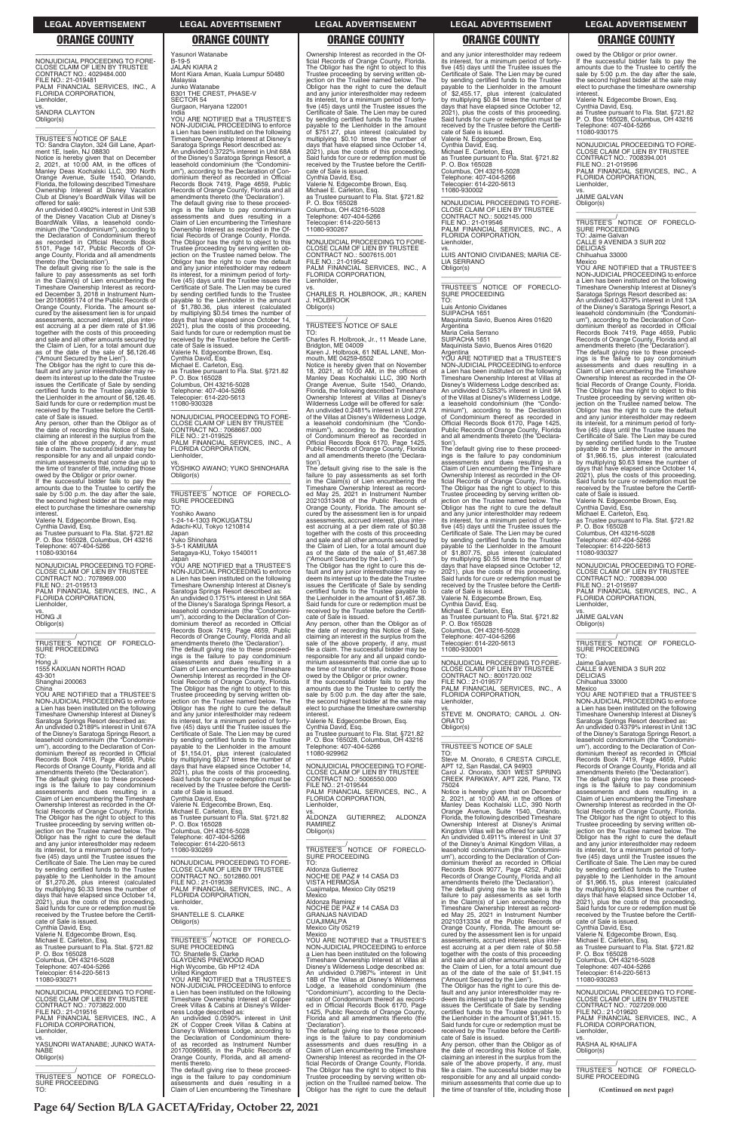**Page 64/ Section B/LA GACETA/Friday, October 22, 2021**

**(Continued on next page)** Trustee proceeding by serving written ob-jection on the Trustee named below. The Obligor has the right to cure the default and any junior interestholder may redeem its interest, for a minimum period of forty-five (45) days until the Trustee issues the Certificate of Sale. The Lien may be cured by sending certified funds to the Trustee payable to the Lienholder in the amount of \$1,966.15, plus interest (calculated by multiplying \$0.63 times the number of days that have elapsed since October 14, 2021), plus the costs of this proceeding. Said funds for cure or redemption must be received by the Trustee before the Certifi-cate of Sale is issued. Cynthia David, Esq. Valerie N. Edgecombe Brown, Esq. Michael E. Carleton, Esq. as Trustee pursuant to Fla. Stat. §721.82 P. O. Box 165028 Columbus, OH 43216-5028 Telephone: 407-404-5266 Telecopier: 614-220-5613 11080-930263 —————————————————— NONJUDICIAL PROCEEDING TO FORE-CLOSE CLAIM OF LIEN BY TRUSTEE CONTRACT NO.: 7027209.000 FILE NO.: 21-019620 PALM FINANCIAL SERVICES, INC., A FLORIDA CORPORATION, vs. RASHA AL KHALIFA \_\_\_\_\_\_\_\_\_\_\_\_\_\_\_\_\_\_\_\_\_\_\_\_\_\_\_\_\_\_\_\_\_ \_\_\_\_\_\_\_\_\_\_\_/<br>TRUSTEE'S NOTICE OF FORECLO-<br>SURE PROCEEDING

### **LEGAL ADVERTISEMENT LEGAL ADVERTISEMENT LEGAL ADVERTISEMENT LEGAL ADVERTISEMENT LEGAL ADVERTISEMENT**

### **ORANGE COUNTY ORANGE COUNTY ORANGE COUNTY ORANGE COUNTY ORANGE COUNTY**

—————————————————— NONJUDICIAL PROCEEDING TO FORE-CLOSE CLAIM OF LIEN BY TRUSTEE CONTRACT NO.: 4029484.000 FILE NO.: 21-019481 PALM FINANCIAL SERVICES, INC., A FLORIDA CORPORATION, Lienholder, vs. SANDRA CLAYTON Obligor(s)

\_\_\_\_\_\_\_\_\_\_\_\_\_\_\_\_\_\_\_\_\_\_\_\_\_\_\_\_\_\_\_\_\_ \_\_\_\_\_\_\_\_\_\_\_/ TRUSTEE'S NOTICE OF SALE TO: Sandra Clayton, 324 Gill Lane, Apart-ment 1E, Iselin, NJ 08830

Notice is hereby given that on December 2, 2021, at 10:00 AM, in the offices of Manley Deas Kochalski LLC, 390 North Orange Avenue, Suite 1540, Orlando, Florida, the following described Timeshare Ownership Interest at Disney Vacation Club at Disney's BoardWalk Villas will be offered for sale:

An undivided 0.4902% interest in Unit 53B of the Disney Vacation Club at Disney's<br>BoardWalk Villas, a leasehold condo-<br>minium (the "Condominium"), according to<br>the Declaration of Condominium thereof<br>as recorded in Official Records Book<br>5101, Page 147, Public Recor ange County, Florida and all amendments thereto (the 'Declaration').

Any person, other than the Obligor as of the date of recording this Notice of Sale, claiming an interest in the surplus from the sale of the above property, if any, must file a claim. The successful bidder may be responsible for any and all unpaid condo-minium assessments that come due up to the time of transfer of title, including those

owed by the Obligor or prior owner. If the successful bidder fails to pay the amounts due to the Trustee to certify the sale by 5:00 p.m. the day after the sale, the second highest bidder at the sale may elect to purchase the timeshare ownership **interest** 

The default giving rise to the sale is the failure to pay assessments as set forth in the Claim(s) of Lien encumbering the Timeshare Ownership Interest as record-ed December 3, 2018 in Instrument Num-ber 20180695174 of the Public Records of Orange County, Florida. The amount se-cured by the assessment lien is for unpaid assessments, accrued interest, plus interest accruing at a per diem rate of \$1.96 together with the costs of this proceeding and sale and all other amounts secured by the Claim of Lien, for a total amount due as of the date of the sale of \$6,126.46 ("Amount Secured by the Lien").

\_\_\_\_\_\_\_\_\_\_\_/<br>TRUSTEE'S NOTICE OF FORECLO-<br>SURE PROCEEDING TO:

Hong Ji 1555 KAIXUAN NORTH ROAD 43-301 Shanghai 200063 **China** 

The Obligor has the right to cure this de-fault and any junior interestholder may redeem its interest up to the date the Trustee issues the Certificate of Sale by sending certified funds to the Trustee payable to the Lienholder in the amount of \$6,126.46. Said funds for cure or redemption must be received by the Trustee before the Certificate of Sale is issued.

Records of Orange County, Florida and all<br>amendments thereto (the 'Declaration').<br>The default giving rise to these proceed-<br>ings is the failure to pay condominium<br>assessments and dues resulting in a<br>Claim of Lien encumberi Ownership Interest as recorded in the Official Records of Orange County, Florida. The Obligor has the right to object to this Trustee proceeding by serving written ob-

Valerie N. Edgecombe Brown, Esq. Cynthia David, Esq. as Trustee pursuant to Fla. Stat. §721.82 P. O. Box 165028, Columbus, OH 43216

Telephone: 407-404-5266 11080-930164

—————————————————— NONJUDICIAL PROCEEDING TO FORE-CLOSE CLAIM OF LIEN BY TRUSTEE CONTRACT NO.: 7078969.000 FILE NO.: 21-019513 PALM FINANCIAL SERVICES, INC., A FLORIDA CORPORATION, Lienholder, vs. HONG JI

Obligor(s) \_\_\_\_\_\_\_\_\_\_\_\_\_\_\_\_\_\_\_\_\_\_\_\_\_\_\_\_\_\_\_\_\_

YOU ARE NOTIFIED that a TRUSTEE'S NON-JUDICIAL PROCEEDING to enforce a Lien has been instituted on the following Timeshare Ownership Interest at Disney's Saratoga Springs Resort described as: An undivided 0.2189% interest in Unit 67A of the Disney's Saratoga Springs Resort, a leasehold condominium (the "Condominium"), according to the Declaration of Con-dominium thereof as recorded in Official Records Book 7419, Page 4659, Public

—————————————————— NONJUDICIAL PROCEEDING TO FORE-CLOSE CLAIM OF LIEN BY TRUSTEE CONTRACT NO.: 7068667.000 FILE NO.: 21-019525 PALM FINANCIAL SERVICES, INC., A

Yasunori Watanabe B-19-5 JALAN KIARA 2

Mont Kiara Aman, Kuala Lumpur 50480

Malaysia Junko Watanabe

B301 THE CREST, PHASE-V

SECTOR 54

Gurgaon, Haryana 122001

India YOU ARE NOTIFIED that a TRUSTEE'S NON-JUDICIAL PROCEEDING to enforce a Lien has been instituted on the following Timeshare Ownership Interest at Disney's Saratoga Springs Resort described as: An undivided 0.3722% interest in Unit 68A of the Disney's Saratoga Springs Resort, a leasehold condominium (the "Condominium"), according to the Declaration of Condominium thereof as recorded in Official Records Book 7419, Page 4659, Public Records of Orange County, Florida and all amendments thereto (the 'Declaration').

The default giving rise to these proceed-ings is the failure to pay condominium assessments and dues resulting in a Claim of Lien encumbering the Timeshare Ownership Interest as recorded in the Of-ficial Records of Orange County, Florida. The Obligor has the right to object to this Trustee proceeding by serving written ob-jection on the Trustee named below. The Obligor has the right to cure the default and any junior interestholder may redeem its interest, for a minimum period of fortyfive (45) days until the Trustee issues the Certificate of Sale. The Lien may be cured by sending certified funds to the Trustee payable to the Lienholder in the amount of \$1,780.36, plus interest (calculated by multiplying \$0.54 times the number of days that have elapsed since October 14, 2021), plus the costs of this proceeding. Said funds for cure or redemption must be received by the Trustee before the Certifi-

> owed by the Obligor or prior owner. If the successful bidder fails to pay the amounts due to the Trustee to certify the sale by 5:00 p.m. the day after the sale, the second highest bidder at the sale may elect to purchase the timeshare ownership<br>interest

cate of Sale is issued.

Valerie N. Edgecombe Brown, Esq. Cynthia David, Esq. Michael E. Carleton, Esq.

as Trustee pursuant to Fla. Stat. §721.82 P. O. Box 165028

—————————————————— NONJUDICIAL PROCEEDING TO FORE-CLOSE CLAIM OF LIEN BY TRUSTEE CONTRACT NO.: 5006550.000 FILE NO.: 21-019544 PALM FINANCIAL SERVICES, INC., A FLORIDA CORPORATION,

Columbus, OH 43216-5028 Telephone: 407-404-5266 Telecopier: 614-220-5613 11080-930328

FLORIDA CORPORATION,

| Claim of Lien encumbering the Timeshare<br>Ownership Interest as recorded in the Of-<br>ficial Records of Orange County, Florida.<br>The Obligor has the right to object to this<br>Trustee proceeding by serving written ob-<br>jection on the Trustee named below. The<br>Obligor has the right to cure the default<br>and any junior interestholder may redeem<br>its interest, for a minimum period of forty-<br>five (45) days until the Trustee issues the   | Cynthia David, Esq.<br>Valerie N. Edgecombe Brown, Esq.<br>Michael E. Carleton, Esg.<br>as Trustee pursuant to Fla. Stat. §721.82<br>P. O. Box 165028<br>Columbus, OH 43216-5028<br>Telephone: 407-404-5266<br>Telecopier: 614-220-5613<br>11080-930269                                                                                                                                                                                                                                              |
|--------------------------------------------------------------------------------------------------------------------------------------------------------------------------------------------------------------------------------------------------------------------------------------------------------------------------------------------------------------------------------------------------------------------------------------------------------------------|------------------------------------------------------------------------------------------------------------------------------------------------------------------------------------------------------------------------------------------------------------------------------------------------------------------------------------------------------------------------------------------------------------------------------------------------------------------------------------------------------|
| Certificate of Sale. The Lien may be cured<br>by sending certified funds to the Trustee<br>payable to the Lienholder in the amount<br>of \$1,270.26, plus interest (calculated<br>by multiplying \$0.33 times the number of<br>days that have elapsed since October 14,<br>2021), plus the costs of this proceeding.<br>Said funds for cure or redemption must be<br>received by the Trustee before the Certifi-<br>cate of Sale is issued.<br>Cynthia David, Esg. | NONJUDICIAL PROCEEDING TO FORE-<br>CLOSE CLAIM OF LIEN BY TRUSTEE<br>CONTRACT NO.: 5012860.001<br>FILE NO.: 21-019539<br>PALM FINANCIAL SERVICES, INC., A<br>FLORIDA CORPORATION,<br>Lienholder.<br>VS.<br><b>SHANTELLE S. CLARKE</b><br>Obligor(s)                                                                                                                                                                                                                                                  |
| Valerie N. Edgecombe Brown, Esq.<br>Michael E. Carleton, Esg.<br>as Trustee pursuant to Fla. Stat. §721.82<br>P. O. Box 165028<br>Columbus, OH 43216-5028<br>Telephone: 407-404-5266<br>Telecopier: 614-220-5613<br>11080-930271                                                                                                                                                                                                                                   | TRUSTEE'S NOTICE OF FORECLO-<br><b>SURE PROCEEDING</b><br>TO: Shantelle S. Clarke<br><b>GLAYDENS PINEWOOD ROAD</b><br>High Wycombe, Gb HP12 4DA<br>United Kingdom<br>YOU ARE NOTIFIED that a TRUSTEE'S                                                                                                                                                                                                                                                                                               |
| NONJUDICIAL PROCEEDING TO FORE-<br>CLOSE CLAIM OF LIEN BY TRUSTEE<br>CONTRACT NO.: 7073822.000<br>FILE NO.: 21-019516<br>PALM FINANCIAL SERVICES, INC., A<br>FLORIDA CORPORATION,<br>Lienholder,<br>VS.<br>YASUNORI WATANABE: JUNKO WATA-<br>NABE<br>Obligor(s)                                                                                                                                                                                                    | NON-JUDICIAL PROCEEDING to enforce<br>a Lien has been instituted on the following<br>Timeshare Ownership Interest at Copper<br>Creek Villas & Cabins at Disney's Wilder-<br>ness Lodge described as:<br>An undivided 0.0590% interest in Unit<br>2K of Copper Creek Villas & Cabins at<br>Disney's Wilderness Lodge, according to<br>the Declaration of Condominium there-<br>of as recorded as Instrument Number<br>20170096685, in the Public Records of<br>Orange County, Florida, and all amend- |
| TRUSTEE'S NOTICE<br>OF FORECLO-<br>SURE PROCEEDING<br>TO:                                                                                                                                                                                                                                                                                                                                                                                                          | ments thereto.<br>The default giving rise to these proceed-<br>ings is the failure to pay condominium<br>assessments and dues resulting in a<br>Claim of Lien encumbering the Timeshare                                                                                                                                                                                                                                                                                                              |

Lienholder,

vs. YOSHIKO AWANO; YUKO SHINOHARA

Obligor(s)

\_\_\_\_\_\_\_\_\_\_\_\_\_\_\_\_\_\_\_\_\_\_\_\_\_\_\_\_\_\_\_\_\_ \_\_\_\_\_\_\_\_\_\_\_/ TRUSTEE'S NOTICE OF FORECLO-

SURE PROCEEDING

TO: Yoshiko Awano

1-24-14-1303 ROKUGATSU Adachi-KU, Tokyo 1210814

Japan Yuko Shinohara 3-5-1 KAMIUMA

Japar

Setagaya-KU, Tokyo 1540011

YOU ARE NOTIFIED that a TRUSTEE'S NON-JUDICIAL PROCEEDING to enforce a Lien has been instituted on the following Timeshare Ownership Interest at Disney's Saratoga Springs Resort described as: An undivided 0.1751% interest in Unit 56A of the Disney's Saratoga Springs Resort, a leasehold condominium (the "Condomini-um"), according to the Declaration of Condominium thereof as recorded in Official Records Book 7419, Page 4659, Public Records of Orange County, Florida and all amendments thereto (the 'Declaration'). The default giving rise to these proceed-ings is the failure to pay condominium assessments and dues resulting in a

Claim of Lien encumbering the Timeshare Ownership Interest as recorded in the Of-ficial Records of Orange County, Florida.

Luis Antonio Cividanes SUIPACHA 1651 Maquinista Savio, Buenos Aires 01620 Argentina

The Obligor has the right to object to this Trustee proceeding by serving written ob-jection on the Trustee named below. The Obligor has the right to cure the default and any junior interestholder may redeem its interest, for a minimum period of fortyfive (45) days until the Trustee issues the Certificate of Sale. The Lien may be cured by sending certified funds to the Trustee payable to the Lienholder in the amount of \$1,154.01, plus interest (calculated by multiplying \$0.27 times the number of days that have elapsed since October 14, 2021), plus the costs of this proceeding. Said funds for cure or redemption must be received by the Trustee before the Certifi-

cate of Sale is issued.

Ownership Interest as recorded in the Of-ficial Records of Orange County, Florida. The Obligor has the right to object to this Trustee proceeding by serving written objection on the Trustee named below. The Obligor has the right to cure the default and any junior interestholder may redeem its interest, for a minimum period of fortyfive (45) days until the Trustee issues the Certificate of Sale. The Lien may be cured by sending certified funds to the Trustee payable to the Lienholder in the amount of \$751.27, plus interest (calculated by multiplying \$0.10 times the number of days that have elapsed since October 14, 2021), plus the costs of this proceeding. Said funds for cure or redemption must be received by the Trustee before the Certificate of Sale is issued.

Cynthia David, Esq. Valerie N. Edgecombe Brown, Esq. Michael E. Carleton, Esq. as Trustee pursuant to Fla. Stat. §721.82 P. O. Box 165028 Columbus, OH 43216-5028 Telephone: 407-404-5266 Telecopier: 614-220-5613 11080-930267

—————————————————— NONJUDICIAL PROCEEDING TO FORE-CLOSE CLAIM OF LIEN BY TRUSTEE CONTRACT NO.: 5007615.001 FILE NO.: 21-019542 PALM FINANCIAL SERVICES, INC., A FLORIDA CORPORATION, Lienholder,

vs. CHARLES R. HOLBROOK, JR.; KAREN J. HOLBROOK Obligor(s) \_\_\_\_\_\_\_\_\_\_\_\_\_\_\_\_\_\_\_\_\_\_\_\_\_\_\_\_\_\_\_\_\_

\_\_\_\_\_\_\_\_\_\_\_/ TRUSTEE'S NOTICE OF SALE

TO: Charles R. Holbrook, Jr., 11 Meade Lane,

Bridgton, ME 04009 Karen J. Holbrook, 61 NEAL LANE, Mon-mouth, ME 04259-6502

YOU ARE NOTIFIED that a TRUSTEE'S NON-JUDICIAL PROCEEDING to enforce a Lien has been instituted on the following Timeshare Ownership Interest at Disney's Saratoga Springs Resort described as: An undivided 0.4379% interest in Unit 13C of the Disney's Saratoga Springs Resort, a leasehold condominium (the "Condominium"), according to the Declaration of Con-dominium thereof as recorded in Official Records Book 7419, Page 4659, Public Records of Orange County, Florida and all amendments thereto (the 'Declaration'). The default giving rise to these proceed-<br>ings is the failure to pay condominium<br>assessments and dues resulting in a<br>Claim of Lien encumbering the Timeshare

Notice is hereby given that on November 18, 2021, at 10:00 AM, in the offices of Manley Deas Kochalski LLC, 390 North Orange Avenue, Suite 1540, Orlando, Florida, the following described Timeshare Ownership Interest at Villas at Disney's Wilderness Lodge will be offered for sale: An undivided 0.2481% interest in Unit 27A of the Villas at Disney's Wilderness Lodge, a leasehold condominium (the "Condo-minium"), according to the Declaration of Condominium thereof as recorded in Official Records Book 6170, Page 1425, Public Records of Orange County, Florida and all amendments thereto (the 'Declaration').

The default giving rise to the sale is the failure to pay assessments as set forth in the Claim(s) of Lien encumbering the Timeshare Ownership Interest as recorded May 25, 2021 in Instrument Number 20210313408 of the Public Records of Orange County, Florida. The amount secured by the assessment lien is for unpaid assessments, accrued interest, plus interest accruing at a per diem rate of \$0.38 together with the costs of this proceeding and sale and all other amounts secured by the Claim of Lien, for a total amount due as of the date of the sale of \$1,467.38 ("Amount Secured by the Lien").

The Obligor has the right to cure this default and any junior interestholder may re-deem its interest up to the date the Trustee issues the Certificate of Sale by sending certified funds to the Trustee payable to the Lienholder in the amount of \$1,467.38. Said funds for cure or redemption must be received by the Trustee before the Certifi-cate of Sale is issued.

Any person, other than the Obligor as of the date of recording this Notice of Sale, claiming an interest in the surplus from the sale of the above property, if any, must file a claim. The successful bidder may be responsible for any and all unpaid condominium assessments that come due up to the time of transfer of title, including those

interest. Valerie N. Edgecombe Brown, Esq. Cynthia David, Esq. as Trustee pursuant to Fla. Stat. §721.82 P. O. Box 165028, Columbus, OH 43216 Telephone: 407-404-5266 11080-929962

Lienholder, vs. ALDONZA GUTIERREZ; ALDONZA RAMIREZ

| Obligor(s)                                                                             |
|----------------------------------------------------------------------------------------|
| TRUSTEE'S NOTICE OF FORECLO-<br><b>SURE PROCEEDING</b><br>TO.                          |
| Aldonza Gutierrez                                                                      |
| NOCHE DE PAZ # 14 CASA D3<br>VISTA HERMOSA                                             |
| Cuajimalpa, Mexico City 05219<br>Mexico                                                |
| Aldonza Ramirez                                                                        |
| NOCHE DE PAZ # 14 CASA D3<br><b>GRANJAS NAVIDAD</b>                                    |
| <b>CUAJIMALPA</b><br>Mexico City 05219                                                 |
| Mexico                                                                                 |
| YOU ARE NOTIFIED that a TRUSTEE'S                                                      |
| NON-JUDICIAL PROCEEDING to enforce<br>a Lien has been instituted on the following      |
| Timeshare Ownership Interest at Villas at                                              |
| Disney's Wilderness Lodge described as:<br>An undivided 0.7987% interest in Unit       |
| 18B of The Villas at Disney's Wilderness                                               |
| Lodge, a leasehold condominium (the<br>"Condominium"), according to the Decla-         |
| ration of Condominium thereof as record-                                               |
| ed in Official Records Book 6170, Page                                                 |
| 1425, Public Records of Orange County,<br>Florida and all amendments thereto (the      |
| 'Declaration').                                                                        |
| The default giving rise to these proceed-<br>ings is the failure to pay condominium    |
| assessments and dues resulting in a                                                    |
| Claim of Lien encumbering the Timeshare                                                |
| Ownership Interest as recorded in the Of-<br>ficial Records of Orange County, Florida. |
| The Obligor has the right to object to this                                            |
| Trustee proceeding by serving written ob-<br>jection on the Trustee named below. The   |
| Obligor has the right to cure the default                                              |

and any junior interestholder may redeem its interest, for a minimum period of fortyfive (45) days until the Trustee issues the Certificate of Sale. The Lien may be cured by sending certified funds to the Trustee payable to the Lienholder in the amount<br>of \$2,455,17 plus in the amount of \$2,455.17, plus interest (calculated by multiplying \$0.84 times the number of days that have elapsed since October 12, 2021), plus the costs of this proceeding. Said funds for cure or redemption must be received by the Trustee before the Certificate of Sale is issued. Valerie N. Edgecombe Brown, Esq. Cynthia David, Esq. Michael E. Carleton, Esq. as Trustee pursuant to Fla. Stat. §721.82 P. O. Box 165028 Columbus, OH 43216-5028 Telephone: 407-404-5266 Telecopier: 614-220-5613 11080-930002 —————————————————— NONJUDICIAL PROCEEDING TO FORE-

CLOSE CLAIM OF LIEN BY TRUSTEE CONTRACT NO.: 5002145.000 FILE NO.: 21-019546 PALM FINANCIAL SERVICES, INC., A FLORIDA CORPORATION, Lienholder,

vs. LUIS ANTONIO CIVIDANES; MARIA CE-LIA SERRANO Obligor(s) \_\_\_\_\_\_\_\_\_\_\_\_\_\_\_\_\_\_\_\_\_\_\_\_\_\_\_\_\_\_\_\_\_

\_\_\_\_\_\_\_\_\_\_\_/ TRUSTEE'S NOTICE OF FORECLO-SURE PROCEEDING TO:

Maria Celia Serrano SUIPACHA 1651

Maquinista Savio, Buenos Aires 01620 Argentina YOU ARE NOTIFIED that a TRUSTEE'S

NON-JUDICIAL PROCEEDING to enforce a Lien has been instituted on the following Timeshare Ownership Interest at Villas at Disney's Wilderness Lodge described as: An undivided 0.5253% interest in Unit 9A of the Villas at Disney's Wilderness Lodge, a leasehold condominium (the "Condo-minium"), according to the Declaration of Condominium thereof as recorded in Official Records Book 6170, Page 1425, Public Records of Orange County, Florida and all amendments thereto (the 'Declaration').

The default giving rise to these proceed-ings is the failure to pay condominium assessments and dues resulting in a Claim of Lien encumbering the Timeshare Ownership Interest as recorded in the Official Records of Orange County, Florida. The Obligor has the right to object to this Trustee proceeding by serving written ob-jection on the Trustee named below. The Obligor has the right to cure the default and any junior interestholder may redeem its interest, for a minimum period of forty-five (45) days until the Trustee issues the Certificate of Sale. The Lien may be cured by sending certified funds to the Trustee payable to the Lienholder in the amount of \$1,807.75, plus interest (calculated by multiplying \$0.55 times the number of days that have elapsed since October 12, 2021), plus the costs of this proceeding. Said funds for cure or redemption must be received by the Trustee before the Certificate of Sale is issued. Valerie N. Edgecombe Brown, Esq.

Cynthia David, Esq.

Michael E. Carleton, Esq. as Trustee pursuant to Fla. Stat. §721.82 P. O. Box 165028 Columbus, OH 43216-5028

Telephone: 407-404-5266 Telecopier: 614-220-5613 11080-930001

—————————————————— NONJUDICIAL PROCEEDING TO FORE-CLOSE CLAIM OF LIEN BY TRUSTEE<br>CONTRACT NO.: 8001720.002<br>FILE NO.: 21-019577<br>PALM FINANCIAL SERVICES, INC., A<br>FLORIDA CORPORATION, Lienholder,

vs. STEVE M. ONORATO; CAROL J. ON-ORATO Obligor(s) \_\_\_\_\_\_\_\_\_\_\_\_\_\_\_\_\_\_\_\_\_\_\_\_\_\_\_\_\_\_\_\_\_

### \_\_\_\_\_\_\_\_\_\_\_/ TRUSTEE'S NOTICE OF SALE TO:

Steve M. Onorato, 6 CRESTA CIRCLE, APT 12, San Rasdal, CA 94903 Carol J. Onorato, 5301 WEST SPRING CREEK PARKWAY, APT 226, Plano, TX

owed by the Obligor or prior owner. If the successful bidder fails to pay the amounts due to the Trustee to certify the sale by 5:00 p.m. the day after the sale, the second highest bidder at the sale may elect to purchase the timeshare ownership interest.

Valerie N. Edgecombe Brown, Esq.

Cynthia David, Esq. as Trustee pursuant to Fla. Stat. §721.82 P. O. Box 165028, Columbus, OH 43216 Telephone: 407-404-5266 11080-930175

—————————————————— NONJUDICIAL PROCEEDING TO FORE-CLOSE CLAIM OF LIEN BY TRUSTEE CONTRACT NO.: 7008394.001 FILE NO.: 21-019596 PALM FINANCIAL SERVICES, INC., A FLORIDA CORPORATION, Lienholder,

vs. JAIME GALVAN Obligor(s)

\_\_\_\_\_\_\_\_\_\_\_\_\_\_\_\_\_\_\_\_\_\_\_\_\_\_\_\_\_\_\_\_\_

\_\_\_\_\_\_\_\_\_\_\_/ TRUSTEE'S NOTICE OF FORECLO-SURE PROCEEDING TO: Jaime Galvan CALLE 9 AVENIDA 3 SUR 202

DELICIAS Chihuahua 33000

Mexico YOU ARE NOTIFIED that a TRUSTEE'S NON-JUDICIAL PROCEEDING to enforce a Lien has been instituted on the following Timeshare Ownership Interest at Disney's Saratoga Springs Resort described as: An undivided 0.4379% interest in Unit 13A of the Disney's Saratoga Springs Resort, a leasehold condominium (the "Condominium"), according to the Declaration of Con-dominium thereof as recorded in Official Records Book 7419, Page 4659, Public Records of Orange County, Florida and all amendments thereto (the 'Declaration').

The default giving rise to these proceed-<br>ings is the failure to pay condominium<br>assessments and dues resulting in a<br>Claim of Lien encumbering the Timeshare Ownership Interest as recorded in the Official Records of Orange County, Florida. The Obligor has the right to object to this Trustee proceeding by serving written ob-jection on the Trustee named below. The Obligor has the right to cure the default and any junior interestholder may redeem its interest, for a minimum period of fortyfive (45) days until the Trustee issues the Certificate of Sale. The Lien may be cured by sending certified funds to the Trustee payable to the Lienholder in the amount of \$1,966.15, plus interest (calculated by multiplying \$0.63 times the number of days that have elapsed since October 14, 2021), plus the costs of this proceeding. Said funds for cure or redemption must be received by the Trustee before the Certificate of Sale is issued.

75024 Notice is hereby given that on December<br>2, 2021, at 10:00 AM, in the offices of<br>Manley Deas Kochalski LLC, 390 North<br>Orange Avenue, Suite 1540, Orlando,<br>Florida, the following described Timeshare Ownership Interest at Disney's Animal Kingdom Villas will be offered for sale: An undivided 0.4911% interest in Unit 37 of the Disney's Animal Kingdom Villas, a leasehold condominium (the "Condomini-um"), according to the Declaration of Condominium thereof as recorded in Official Records Book 9077, Page 4252, Public Records of Orange County, Florida and all amendments thereto (the 'Declaration'). The default giving rise to the sale is the failure to pay assessments as set forth<br>Timeshare Ownership Interest as record-<br>Ed May 25, 2021 in Instrument Number<br>ed May 25, 2021 in Instrument Number<br>20210313334 of the Public Records of Orange County, Florida. The amount se-cured by the assessment lien is for unpaid assessments, accrued interest, plus interest accruing at a per diem rate of \$0.58 together with the costs of this proceeding and sale and all other amounts secured by the Claim of Lien, for a total amount due as of the date of the sale of \$1,941.15 ("Amount Secured by the Lien"). The Obligor has the right to cure this de-fault and any junior interestholder may redeem its interest up to the date the Trustee issues the Certificate of Sale by sending certified funds to the Trustee payable to the Lienholder in the amount of \$1,941.15. Said funds for cure or redemption must be received by the Trustee before the Certifi-cate of Sale is issued. Any person, other than the Obligor as of the date of recording this Notice of Sale, claiming an interest in the surplus from the sale of the above property, if any, must file a claim. The successful bidder may be responsible for any and all unpaid condo-minium assessments that come due up to the time of transfer of title, including those Ownership Interest as recorded in the Official Records of Orange County, Florida. The Obligor has the right to object to this Lienholder, Obligor(s)

cate of Sale is issued. Valerie N. Edgecombe Brown, Esq. Cynthia David, Esq. Michael E. Carleton, Esq. as Trustee pursuant to Fla. Stat. §721.82 P. O. Box 165028 Columbus, OH 43216-5028 Telephone: 407-404-5266

Telecopier: 614-220-5613 11080-930327

—————————————————— NONJUDICIAL PROCEEDING TO FORE-CLOSE CLAIM OF LIEN BY TRUSTEE CONTRACT NO.: 7008394.000 FILE NO.: 21-019597 PALM FINANCIAL SERVICES, INC., A FLORIDA CORPORATION, Lienholder, vs. JAIME GALVAN

Obligor(s)

\_\_\_\_\_\_\_\_\_\_\_\_\_\_\_\_\_\_\_\_\_\_\_\_\_\_\_\_\_\_\_\_\_ \_\_\_\_\_\_\_\_\_\_\_/<br>TRUSTEE'S NOTICE OF FORECLO-<br>SURE PROCEEDING TO:

Jaime Galvan CALLE 9 AVENIDA 3 SUR 202 DELICIAS Chihuahua 33000

Mexico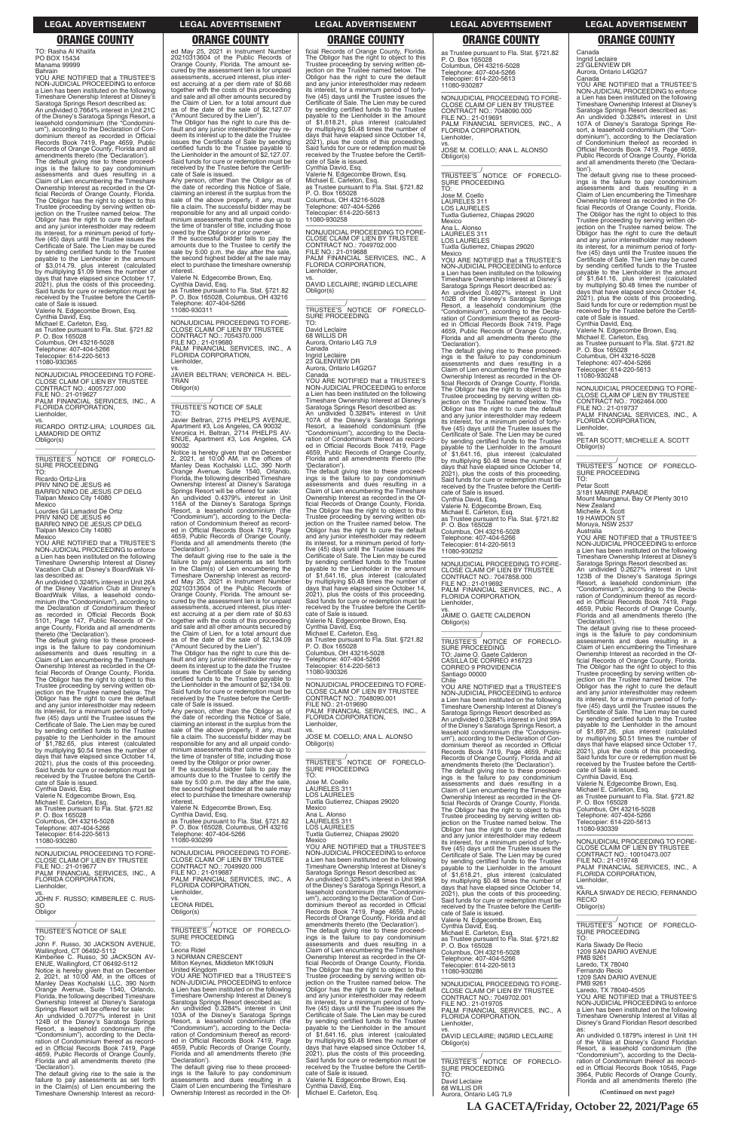**LA GACETA/Friday, October 22, 2021/Page 65**

### **LEGAL ADVERTISEMENT LEGAL ADVERTISEMENT LEGAL ADVERTISEMENT LEGAL ADVERTISEMENT LEGAL ADVERTISEMENT**

# **ORANGE COUNTY ORANGE COUNTY ORANGE COUNTY ORANGE COUNTY ORANGE COUNTY**

TO: Rasha Al Khalifa PO BOX 15434 Manama 99999 Bahrain

YOU ARE NOTIFIED that a TRUSTEE'S NON-JUDICIAL PROCEEDING to enforce a Lien has been instituted on the following Timeshare Ownership Interest at Disney's Saratoga Springs Resort described as: An undivided 0.7664% interest in Unit 21C of the Disney's Saratoga Springs Resort, a leasehold condominium (the "Condominium"), according to the Declaration of Condominium thereof as recorded in Official Records Book 7419, Page 4659, Public Records of Orange County, Florida and all amendments thereto (the 'Declaration'). The default giving rise to these proceed-ings is the failure to pay condominium assessments and dues resulting in a Claim of Lien encumbering the Timeshare Ownership Interest as recorded in the Of-ficial Records of Orange County, Florida. The Obligor has the right to object to this Trustee proceeding by serving written ob-jection on the Trustee named below. The Obligor has the right to cure the default and any junior interestholder may redeem its interest, for a minimum period of fortyfive (45) days until the Trustee issues the Certificate of Sale. The Lien may be cured by sending certified funds to the Trustee<br>payable to the Lienholder in the amount<br>of \$3,014.79, plus interest (calculated<br>by multiplying \$1.09 times the number of<br>days that have elapsed since October 17, 2021), plus the costs of this proceeding. Said funds for cure or redemption must be received by the Trustee before the Certificate of Sale is issued.

Lourdes Gil Lamadrid De Ortiz PRIV NINO DE JESUS #6 BARRIO NINO DE JESUS CP DELG Tlalpan Mexico City 14080 Mexico

Valerie N. Edgecombe Brown, Esq. Cynthia David, Esq. Michael E. Carleton, Esq. as Trustee pursuant to Fla. Stat. §721.82 P. O. Box 165028 Columbus, OH 43216-5028 Telephone: 407-404-5266 Telecopier: 614-220-5613 11080-930365

—————————————————— NONJUDICIAL PROCEEDING TO FORE-CLOSE CLAIM OF LIEN BY TRUSTEE CONTRACT NO.: 4005727.000 FILE NO.: 21-019627 PALM FINANCIAL SERVICES, INC., A FLORIDA CORPORATION, Lienholder,

vs. RICARDO ORTIZ-LIRA; LOURDES GIL LAMADRID DE ORTIZ Obligor(s)

\_\_\_\_\_\_\_\_\_\_\_\_\_\_\_\_\_\_\_\_\_\_\_\_\_\_\_\_\_\_\_\_\_ \_\_\_\_\_\_\_\_\_\_\_/<br>TRUSTEE'S NOTICE OF FORECLO-<br>SURE PROCEEDING TO:

### Ricardo Ortiz-Lira

PRIV NINO DE JESUS #6 BARRIO NINO DE JESUS CP DELG Tlalpan Mexico City 14080 Mexico

YOU ARE NOTIFIED that a TRUSTEE'S NON-JUDICIAL PROCEEDING to enforce a Lien has been instituted on the following Timeshare Ownership Interest at Disney Vacation Club at Disney's BoardWalk Villas described as:

An undivided 0.3246% interest in Unit 26A of the Disney Vacation Club at Disney's BoardWalk Villas, a leasehold condo-minium (the "Condominium"), according to the Declaration of Condominium thereof as recorded in Official Records Book 5101, Page 147, Public Records of Or-

ange County, Florida and all amendments<br>thereto (the 'Declaration').<br>The default giving rise to these proceed-<br>ings is the failure to pay condominium<br>assessments and dues resulting in a<br>Claim of Lien encumbering the Timesh Ownership Interest as recorded in the Official Records of Orange County, Florida. The Obligor has the right to object to this Trustee proceeding by serving written ob-jection on the Trustee named below. The Obligor has the right to cure the default and any junior interestholder may redeem its interest, for a minimum period of forty-five (45) days until the Trustee issues the Certificate of Sale. The Lien may be cured by sending certified funds to the Trustee payable to the Lienholder in the amount of \$1,782.65, plus interest (calculated by multiplying \$0.54 times the number of days that have elapsed since October 14, 2021), plus the costs of this proceeding. Said funds for cure or redemption must be received by the Trustee before the Certificate of Sale is issued. Cale of Gale is the Cale

The Obligor has the right to cure this default and any junior interestholder may re-deem its interest up to the date the Trustee issues the Certificate of Sale by sending certified funds to the Trustee payable to the Lienholder in the amount of \$2,127.07. Said funds for cure or redemption must be received by the Trustee before the Certifi-

Notice is hereby given that on December<br>2, 2021, at 10:00 AM, in the offices of<br>Manley Deas Kochalski LLC, 390 North<br>Orange Avenue, Suite 1540, Orlando,<br>Florida, the following described Timeshare Ownership Interest at Disney's Saratoga Springs Resort will be offered for sale: An undivided 0.4379% interest in Unit 116A of the Disney's Saratoga Springs Resort, a leasehold condominium (the "Condominium"), according to the Decla-ration of Condominium thereof as record-ed in Official Records Book 7419, Page 4659, Public Records of Orange County, Florida and all amendments thereto (the 'Declaration').

Valerie N. Edgecombe Brown, Esq. Michael E. Carleton, Esq. as Trustee pursuant to Fla. Stat. §721.82 P. O. Box 165028 Columbus, OH 43216-5028

Telephone: 407-404-5266

ed May 25, 2021 in Instrument Number 20210313604 of the Public Records of Orange County, Florida. The amount secured by the assessment lien is for unpaid assessments, accrued interest, plus interest accruing at a per diem rate of \$0.66 together with the costs of this proceeding and sale and all other amounts secured by the Claim of Lien, for a total amount due as of the date of the sale of \$2,127.07 ("Amount Secured by the Lien").

cate of Sale is issued. Any person, other than the Obligor as of the date of recording this Notice of Sale, claiming an interest in the surplus from the sale of the above property, if any, must file a claim. The successful bidder may be responsible for any and all unpaid condominium assessments that come due up to the time of transfer of title, including those

> \_\_\_\_\_\_\_\_\_\_\_/<br>TRUSTEE'S NOTICE OF FORECLO-<br>SURE PROCEEDING TO: David Leclaire 68 WILLIS DR Aurora, Ontario L4G 7L9 Canada Ingrid Leclaire 23 GLENVIEW DR Aurora, Ontario L4G2G7 Canada YOU ARE NOTIFIED that a TRUSTEE'S NON-JUDICIAL PROCEEDING to enforce a Lien has been instituted on the following Timeshare Ownership Interest at Disney's Saratoga Springs Resort described as: An undivided 0.3284% interest in Unit 107A of the Disney's Saratoga Springs Resort, a leasehold condominium (the "Condominium"), according to the Decla-ration of Condominium thereof as recorded in Official Records Book 7419, Page 4659, Public Records of Orange County, Florida and all amendments thereto (the 'Declaration'). The default giving rise to these proceed-<br>ings is the failure to pay condominium<br>assessments and dues resulting in a<br>Claim of Lien encumbering the Timeshare Ownership Interest as recorded in the Official Records of Orange County, Florida. The Obligor has the right to object to this

owed by the Obligor or prior owner. If the successful bidder fails to pay the amounts due to the Trustee to certify the sale by 5:00 p.m. the day after the sale, the second highest bidder at the sale may elect to purchase the timeshare ownership

interest. Valerie N. Edgecombe Brown, Esq. Cynthia David, Esq. as Trustee pursuant to Fla. Stat. §721.82 P. O. Box 165028, Columbus, OH 43216 Telephone: 407-404-5266 11080-930311

—————————————————— NONJUDICIAL PROCEEDING TO FORE-CLOSE CLAIM OF LIEN BY TRUSTEE CONTRACT NO.: 7054370.000 FILE NO.: 21-019680 PALM FINANCIAL SERVICES, INC., A FLORIDA CORPORATION, Lienholder,

vs. JAVIER BELTRAN; VERONICA H. BEL-TRAN Obligor(s) \_\_\_\_\_\_\_\_\_\_\_\_\_\_\_\_\_\_\_\_\_\_\_\_\_\_\_\_\_\_\_\_\_

> \_\_\_\_\_\_\_\_\_\_\_/<br>TRUSTEE'S NOTICE OF FORECLO-<br>SURE PROCEEDING TO: Jose M. Coello LAURELES 311 LOS LAURELES Tuxtla Gutierrez, Chiapas 29020 Mexico Ana L. Alonso LAURELES 311 LOS LAURELES

# \_\_\_\_\_\_\_\_\_\_\_/ TRUSTEE'S NOTICE OF SALE

TO: Javier Beltran, 2715 PHELPS AVENUE, Apartment #3, Los Angeles, CA 90032 Veronica H. Beltran, 2714 PHELPS AV-ENUE, Apartment #3, Los Angeles, CA 90032

The default giving rise to the sale is the failure to pay assessments as set forth in the Claim(s) of Lien encumbering the Timeshare Ownership Interest as recorded May 25, 2021 in Instrument Number 20210313604 of the Public Records of Orange County, Florida. The amount secured by the assessment lien is for unpaid assessments, accrued interest, plus interest accruing at a per diem rate of \$0.63 together with the costs of this proceeding and sale and all other amounts secured by the Claim of Lien, for a total amount due as of the date of the sale of \$2,134.09 ("Amount Secured by the Lien").

The Obligor has the right to cure this de-fault and any junior interestholder may redeem its interest up to the date the Trustee issues the Certificate of Sale by sending certified funds to the Trustee payable to the Lienholder in the amount of \$2,134.09. Said funds for cure or redemption must be received by the Trustee before the Certificate of Sale is issued.

Any person, other than the Obligor as of the date of recording this Notice of Sale, claiming an interest in the surplus from the sale of the above property, if any, must file a claim. The successful bidder may be responsible for any and all unpaid condominium assessments that come due up to the time of transfer of title, including those owed by the Obligor or prior owner. If the successful bidder fails to pay the

amounts due to the Trustee to certify the sale by 5:00 p.m. the day after the sale, the second highest bidder at the sale may elect to purchase the timeshare ownership interest.

Valerie N. Edgecombe Brown, Esq.

Cynthia David, Esq. as Trustee pursuant to Fla. Stat. §721.82 P. O. Box 165028, Columbus, OH 43216 Telephone: 407-404-5266

ficial Records of Orange County, Florida. The Obligor has the right to object to this Trustee proceeding by serving written ob-jection on the Trustee named below. The Obligor has the right to cure the default and any junior interestholder may redeem its interest, for a minimum period of fortyfive (45) days until the Trustee issues the Certificate of Sale. The Lien may be cured by sending certified funds to the Trustee payable to the Lienholder in the amount of \$1,618.21, plus interest (calculated by multiplying \$0.48 times the number of days that have elapsed since October 14, 2021), plus the costs of this proceeding. Said funds for cure or redemption must be received by the Trustee before the Certifi-cate of Sale is issued. Cynthia David, Esq.

Valerie N. Edgecombe Brown, Esq. Michael E. Carleton, Esq. as Trustee pursuant to Fla. Stat. §721.82 P. O. Box 165028 Columbus, OH 43216-5028 Telephone: 407-404-5266

Telecopier: 614-220-5613 11080-930258

—————————————————— NONJUDICIAL PROCEEDING TO FORE-CLOSE CLAIM OF LIEN BY TRUSTEE CONTRACT NO.: 7049702.000 FILE NO.: 21-019688 PALM FINANCIAL SERVICES, INC., A FLORIDA CORPORATION, Lienholder,

vs. DAVID LECLAIRE; INGRID LECLAIRE Obligor(s) \_\_\_\_\_\_\_\_\_\_\_\_\_\_\_\_\_\_\_\_\_\_\_\_\_\_\_\_\_\_\_\_\_

Trustee proceeding by serving written ob-jection on the Trustee named below. The Obligor has the right to cure the default and any junior interestholder may redeem its interest, for a minimum period of fortyfive (45) days until the Trustee issues the Certificate of Sale. The Lien may be cured by sending certified funds to the Trustee payable to the Lienholder in the amount of \$1,641.16, plus interest (calculated by multiplying \$0.48 times the number of days that have elapsed since October 14, 2021), plus the costs of this proceeding. Said funds for cure or redemption must be received by the Trustee before the Certificate of Sale is issued. Valerie N. Edgecombe Brown, Esq.

Cynthia David, Esq. Michael E. Carleton, Esq. as Trustee pursuant to Fla. Stat. §721.82 P. O. Box 165028 Columbus, OH 43216-5028

Telephone: 407-404-5266 Telecopier: 614-220-5613 11080-930326

—————————————————— NONJUDICIAL PROCEEDING TO FORE-CLOSE CLAIM OF LIEN BY TRUSTEE CONTRACT NO.: 7048090.001 FILE NO.: 21-019690 PALM FINANCIAL SERVICES, INC., A FLORIDA CORPORATION, Lienholder,

vs. JOSE M. COELLO; ANA L. ALONSO Obligor(s) \_\_\_\_\_\_\_\_\_\_\_\_\_\_\_\_\_\_\_\_\_\_\_\_\_\_\_\_\_\_\_\_\_

| Telecopier: 614-220-5613<br>11080-930280<br>NONJUDICIAL PROCEEDING TO FORE-<br>CLOSE CLAIM OF LIEN BY TRUSTEE<br>FILE NO.: 21-019677<br>PALM FINANCIAL SERVICES, INC., A<br>FLORIDA CORPORATION,<br>Lienholder,<br>VS.<br>JOHN F. RUSSO; KIMBERLEE C. RUS-<br>SO.<br>Obligor                                                                                                                                                                                                                                                                                                                                                                                                                                                                                                                                                                                                                                                                                                                                                             | Telephone: 407-404-5266<br>11080-930299<br>NONJUDICIAL PROCEEDING TO FORE-<br>CLOSE CLAIM OF LIEN BY TRUSTEE<br>CONTRACT NO.: 7049920.000<br>FILE NO.: 21-019687<br>PALM FINANCIAL SERVICES, INC., A<br>FLORIDA CORPORATION,<br>Lienholder,<br>VS.<br><b>LEONA RIDEL</b><br>Obligor(s)                                                                                                                                                                                                                                                                                                                                                                                                                                                                                                                                                                                                                                                                                 | Tuxtla Gutierrez, Chiapas 29020<br>Mexico<br>YOU ARE NOTIFIED that a TRUSTEE'S<br>NON-JUDICIAL PROCEEDING to enforce<br>a Lien has been instituted on the following<br>Timeshare Ownership Interest at Disney's<br>Saratoga Springs Resort described as:<br>An undivided 0.3284% interest in Unit 99A<br>of the Disney's Saratoga Springs Resort, a<br>leasehold condominium (the "Condomini-<br>um"), according to the Declaration of Con-<br>dominium thereof as recorded in Official<br>Records Book 7419, Page 4659, Public<br>Records of Orange County, Florida and all                                                                                                                                                                                                                                                                                                                                                                                                                                                                                                                                                                                                     | and any junior interestholder may redeem<br>its interest, for a minimum period of forty-<br>five (45) days until the Trustee issues the<br>Certificate of Sale. The Lien may be cured<br>by sending certified funds to the Trustee<br>payable to the Lienholder in the amount<br>of \$1,618.21, plus interest (calculated<br>by multiplying \$0.48 times the number of<br>days that have elapsed since October 14,<br>2021), plus the costs of this proceeding.<br>Said funds for cure or redemption must be<br>received by the Trustee before the Certifi-<br>cate of Sale is issued.                                                     | NONJUDICIAL PROCEEDING TO FORE-<br>CLOSE CLAIM OF LIEN BY TRUSTEE<br>CONTRACT NO.: 10010473.007<br>FILE NO.: 21-019748<br>PALM FINANCIAL SERVICES, INC., A<br>FLORIDA CORPORATION,<br>Lienholder,<br>VS.<br>KARLA SIWADY DE RECIO: FERNANDO<br><b>RECIO</b><br>Obligor(s)                                                                                                                                                                                                                                                                                                                                                                                                                                                                                                                                                                                    |
|------------------------------------------------------------------------------------------------------------------------------------------------------------------------------------------------------------------------------------------------------------------------------------------------------------------------------------------------------------------------------------------------------------------------------------------------------------------------------------------------------------------------------------------------------------------------------------------------------------------------------------------------------------------------------------------------------------------------------------------------------------------------------------------------------------------------------------------------------------------------------------------------------------------------------------------------------------------------------------------------------------------------------------------|------------------------------------------------------------------------------------------------------------------------------------------------------------------------------------------------------------------------------------------------------------------------------------------------------------------------------------------------------------------------------------------------------------------------------------------------------------------------------------------------------------------------------------------------------------------------------------------------------------------------------------------------------------------------------------------------------------------------------------------------------------------------------------------------------------------------------------------------------------------------------------------------------------------------------------------------------------------------|----------------------------------------------------------------------------------------------------------------------------------------------------------------------------------------------------------------------------------------------------------------------------------------------------------------------------------------------------------------------------------------------------------------------------------------------------------------------------------------------------------------------------------------------------------------------------------------------------------------------------------------------------------------------------------------------------------------------------------------------------------------------------------------------------------------------------------------------------------------------------------------------------------------------------------------------------------------------------------------------------------------------------------------------------------------------------------------------------------------------------------------------------------------------------------|--------------------------------------------------------------------------------------------------------------------------------------------------------------------------------------------------------------------------------------------------------------------------------------------------------------------------------------------------------------------------------------------------------------------------------------------------------------------------------------------------------------------------------------------------------------------------------------------------------------------------------------------|--------------------------------------------------------------------------------------------------------------------------------------------------------------------------------------------------------------------------------------------------------------------------------------------------------------------------------------------------------------------------------------------------------------------------------------------------------------------------------------------------------------------------------------------------------------------------------------------------------------------------------------------------------------------------------------------------------------------------------------------------------------------------------------------------------------------------------------------------------------|
| TRUSTEE'S NOTICE OF SALE<br>TO:<br>John F. Russo, 30 JACKSON AVENUE.<br>Wallingford, CT 06492-5112<br>Kimberlee C. Russo, 30 JACKSON AV-<br>ENUE, Wallingford, CT 06492-5112<br>Notice is hereby given that on December<br>2, 2021, at 10:00 AM, in the offices of<br>Manley Deas Kochalski LLC, 390 North<br>Orange Avenue, Suite 1540, Orlando,<br>Florida, the following described Timeshare<br>Ownership Interest at Disney's Saratoga<br>Springs Resort will be offered for sale:<br>An undivided 0.7077% interest in Unit<br>124B of the Disney's Saratoga Springs<br>Resort, a leasehold condominium (the<br>"Condominium"), according to the Decla-<br>ration of Condominium thereof as record-<br>ed in Official Records Book 7419, Page<br>4659, Public Records of Orange County,<br>Florida and all amendments thereto (the<br>'Declaration').<br>The default giving rise to the sale is the<br>failure to pay assessments as set forth<br>in the Claim(s) of Lien encumbering the<br>Timeshare Ownership Interest as record- | TRUSTEE'S NOTICE OF FORECLO-<br><b>SURE PROCEEDING</b><br>TO:<br>Leona Ridel<br><b>3 NORMAN CRESCENT</b><br>Milton Keynes, Middleton MK109JN<br>United Kingdom<br>YOU ARE NOTIFIED that a TRUSTEE'S<br>NON-JUDICIAL PROCEEDING to enforce<br>a Lien has been instituted on the following<br>Timeshare Ownership Interest at Disney's<br>Saratoga Springs Resort described as:<br>An undivided 0.3284% interest in Unit<br>103A of the Disney's Saratoga Springs<br>Resort, a leasehold condominium (the<br>"Condominium"), according to the Decla-<br>ration of Condominium thereof as record-<br>ed in Official Records Book 7419, Page<br>4659, Public Records of Orange County,<br>Florida and all amendments thereto (the<br>'Declaration').<br>The default giving rise to these proceed-<br>ings is the failure to pay condominium<br>assessments and dues resulting in a<br>Claim of Lien encumbering the Timeshare<br>Ownership Interest as recorded in the Of- | amendments thereto (the 'Declaration').<br>The default giving rise to these proceed-<br>ings is the failure to pay condominium<br>assessments and dues resulting in a<br>Claim of Lien encumbering the Timeshare<br>Ownership Interest as recorded in the Of-<br>ficial Records of Orange County, Florida.<br>The Obligor has the right to object to this<br>Trustee proceeding by serving written ob-<br>jection on the Trustee named below. The<br>Obligor has the right to cure the default<br>and any junior interestholder may redeem<br>its interest, for a minimum period of forty-<br>five (45) days until the Trustee issues the<br>Certificate of Sale. The Lien may be cured<br>by sending certified funds to the Trustee<br>payable to the Lienholder in the amount<br>of \$1,641.16, plus interest (calculated<br>by multiplying \$0.48 times the number of<br>days that have elapsed since October 14,<br>2021), plus the costs of this proceeding.<br>Said funds for cure or redemption must be<br>received by the Trustee before the Certifi-<br>cate of Sale is issued.<br>Valerie N. Edgecombe Brown, Esg.<br>Cynthia David, Esq.<br>Michael E. Carleton, Esq. | Valerie N. Edgecombe Brown, Esg.<br>Cynthia David, Esq.<br>Michael E. Carleton, Esq.<br>as Trustee pursuant to Fla. Stat. §721.82<br>P. O. Box 165028<br>Columbus, OH 43216-5028<br>Telephone: 407-404-5266<br>Telecopier: 614-220-5613<br>11080-930286<br>NONJUDICIAL PROCEEDING TO FORE-<br>CLOSE CLAIM OF LIEN BY TRUSTEE<br>CONTRACT NO.: 7049702.001<br>FILE NO.: 21-019705<br>PALM FINANCIAL SERVICES. INC., A<br>FLORIDA CORPORATION.<br>Lienholder.<br>VS.<br>DAVID LECLAIRE; INGRID LECLAIRE<br>Obligor(s)<br>TRUSTEE'S NOTICE OF FORECLO-<br>SURE PROCEEDING<br>TO:<br>David Leclaire<br>68 WILLIS DR<br>Aurora, Ontario L4G 7L9 | TRUSTEE'S NOTICE OF FORECLO-<br><b>SURE PROCEEDING</b><br>TO:<br>Karla Siwady De Recio<br>1209 SAN DARIO AVENUE<br><b>PMB 9261</b><br>Laredo, TX 78040<br>Fernando Recio<br>1209 SAN DARIO AVENUE<br><b>PMB 9261</b><br>Laredo, TX 78040-4505<br>YOU ARE NOTIFIED that a TRUSTEE'S<br>NON-JUDICIAL PROCEEDING to enforce<br>a Lien has been instituted on the following<br>Timeshare Ownership Interest at Villas at<br>Disney's Grand Floridian Resort described<br>as:<br>An undivided 0.1879% interest in Unit 1H<br>of the Villas at Disney's Grand Floridian<br>Resort, a leasehold condominium (the<br>"Condominium"), according to the Decla-<br>ration of Condominium thereof as record-<br>ed in Official Records Book 10545, Page<br>3964, Public Records of Orange County,<br>Florida and all amendments thereto (the<br>(Continued on next page) |

as Trustee pursuant to Fla. Stat. §721.82 P. O. Box 165028 Columbus, OH 43216-5028 Telephone: 407-404-5266 Telecopier: 614-220-5613 11080-930287

—————————————————— NONJUDICIAL PROCEEDING TO FORE-CLOSE CLAIM OF LIEN BY TRUSTEE CONTRACT NO.: 7048090.000 FILE NO.: 21-019691 PALM FINANCIAL SERVICES, INC., A FLORIDA CORPORATION, Lienholder,

vs. JOSE M. COELLO; ANA L. ALONSO Obligor(s) \_\_\_\_\_\_\_\_\_\_\_\_\_\_\_\_\_\_\_\_\_\_\_\_\_\_\_\_\_\_\_\_\_

\_\_\_\_\_\_\_\_\_\_\_/ TRUSTEE'S NOTICE OF FORECLO-SURE PROCEEDING TO:

Jose M. Coello LAURELES 311 LOS LAURELES Tuxtla Gutierrez, Chiapas 29020 Mexico Ana L. Alonso LAURELES 311

LOS LAURELES Tuxtla Gutierrez, Chiapas 29020

Mexico YOU ARE NOTIFIED that a TRUSTEE'S NON-JUDICIAL PROCEEDING to enforce a Lien has been instituted on the following Timeshare Ownership Interest at Disney's Saratoga Springs Resort described as: An undivided 0.4927% interest in Unit 102B of the Disney's Saratoga Springs Resort, a leasehold condominium (the "Condominium"), according to the Decla-ration of Condominium thereof as record-ed in Official Records Book 7419, Page 4659, Public Records of Orange County, Florida and all amendments thereto (the

'Declaration'). The default giving rise to these proceedings is the failure to pay condominium assessments and dues resulting in a Claim of Lien encumbering the Timeshare Ownership Interest as recorded in the Of-ficial Records of Orange County, Florida. The Obligor has the right to object to this Trustee proceeding by serving written ob-jection on the Trustee named below. The Obligor has the right to cure the default and any junior interestholder may redeem its interest, for a minimum period of fortyfive (45) days until the Trustee issues the Certificate of Sale. The Lien may be cured by sending certified funds to the Trustee payable to the Lienholder in the amount of \$1,641.16, plus interest (calculated by multiplying \$0.48 times the number of days that have elapsed since October 14, 2021), plus the costs of this proceeding. Said funds for cure or redemption must be received by the Trustee before the Certificate of Sale is issued. Cynthia David, Esq. Valerie N. Edgecombe Brown, Esq. Michael E. Carleton, Esq. as Trustee pursuant to Fla. Stat. §721.82 P. O. Box 165028

Columbus, OH 43216-5028 Telephone: 407-404-5266 Telecopier: 614-220-5613 11080-930252

—————————————————— NONJUDICIAL PROCEEDING TO FORE-CLOSE CLAIM OF LIEN BY TRUSTEE CONTRACT NO.: 7047858.000 FILE NO.: 21-019692 PALM FINANCIAL SERVICES, INC., A FLORIDA CORPORATION, Lienholder,

vs. JAIME O. GAETE CALDERON Obligor(s) \_\_\_\_\_\_\_\_\_\_\_\_\_\_\_\_\_\_\_\_\_\_\_\_\_\_\_\_\_\_\_\_\_

\_\_\_\_\_\_\_\_\_\_\_/ TRUSTEE'S NOTICE OF FORECLO-SURE PROCEEDING TO: Jaime O. Gaete Calderon CASILLA DE CORREO #16723 CORREO 9 PROVIDENCIA Santiago 00000 Chile

YOU ARE NOTIFIED that a TRUSTEE'S NON-JUDICIAL PROCEEDING to enforce a Lien has been instituted on the following Timeshare Ownership Interest at Disney's Saratoga Springs Resort described as: An undivided 0.3284% interest in Unit 99A An undivided U.Szot / Interest in Stilt Co.<br>of the Disney's Saratoga Springs Resort, a<br>leasehold condominium (the "Condominileasehold condominium (the "Condomini-um"), according to the Declaration of Con-dominium thereof as recorded in Official Records Book 7419, Page 4659, Public Records of Orange County, Florida and all amendments thereto (the 'Declaration'). The default giving rise to these proceed-<br>ings is the failure to pay condominium<br>assessments and dues resulting in a<br>Claim of Lien encumbering the Timeshare Ownership Interest as recorded in the Official Records of Orange County, Florida. The Obligor has the right to object to this Trustee proceeding by serving written ob-jection on the Trustee named below. The Obligor has the right to cure the default and any junior interestholder may redeem

Canada Ingrid Leclaire 23 GLENVIEW DR Aurora, Ontario L4G2G7 Canada YOU ARE NOTIFIED that a TRUSTEE'S NON-JUDICIAL PROCEEDING to enforce a Lien has been instituted on the following Timeshare Ownership Interest at Disney's Saratoga Springs Resort described as: An undivided 0.3284% interest in Unit 107A of Disney's Saratoga Springs Re-sort, a leasehold condominium (the "Con-dominium"), according to the Declaration of Condominium thereof as recorded in Official Records Book 7419, Page 4659, Public Records of Orange County, Florida and all amendments thereto (the 'Declaration'). The default giving rise to these proceedings is the failure to pay condominium assessments and dues resulting in a Claim of Lien encumbering the Timeshare Ownership Interest as recorded in the Of-ficial Records of Orange County, Florida. The Obligor has the right to object to this Trustee proceeding by serving written ob-jection on the Trustee named below. The Obligor has the right to cure the default

and any junior interestholder may redeem its interest, for a minimum period of forty-five (45) days until the Trustee issues the Certificate of Sale. The Lien may be cured by sending certified funds to the Trustee payable to the Lienholder in the amount of \$1,641.16, plus interest (calculated by multiplying \$0.48 times the number of days that have elapsed since October 14, 2021), plus the costs of this proceeding. Said funds for cure or redemption must be received by the Trustee before the Certifi-

cate of Sale is issued. Cynthia David, Esq. Valerie N. Edgecombe Brown, Esq.

Michael E. Carleton, Esq. as Trustee pursuant to Fla. Stat. §721.82 P. O. Box 165028 Columbus, OH 43216-5028 Telephone: 407-404-5266 Telecopier: 614-220-5613

11080-930248 —————————————————— NONJUDICIAL PROCEEDING TO FORE-

CLOSE CLAIM OF LIEN BY TRUSTEE CONTRACT NO.: 7062464.000 FILE NO.: 21-019737 PALM FINANCIAL SERVICES, INC., A FLORIDA CORPORATION, Lienholder,

vs. PETAR SCOTT; MICHELLE A. SCOTT Obligor(s) \_\_\_\_\_\_\_\_\_\_\_\_\_\_\_\_\_\_\_\_\_\_\_\_\_\_\_\_\_\_\_\_\_

\_\_\_\_\_\_\_\_\_\_\_/ TRUSTEE'S NOTICE OF FORECLO-SURE PROCEEDING TO:

Petar Scott 3/181 MARINE PARADE

Mount Maunganui, Bay Of Plenty 3010 New Zealand

Michelle A. Scott 19 HAWDON ST

Moruya, NSW 2537

Australia YOU ARE NOTIFIED that a TRUSTEE'S NON-JUDICIAL PROCEEDING to enforce a Lien has been instituted on the following Timeshare Ownership Interest at Disney's Saratoga Springs Resort described as:

An undivided 0.2627% interest in Unit 123B of the Disney's Saratoga Springs Resort, a leasehold condominium (the "Condominium"), according to the Decla-ration of Condominium thereof as record-ed in Official Records Book 7419, Page 4659, Public Records of Orange County, Florida and all amendments thereto (the 'Declaration').

The default giving rise to these proceed-ings is the failure to pay condominium assessments and dues resulting in a Claim of Lien encumbering the Timeshare Ownership Interest as recorded in the Of-ficial Records of Orange County, Florida. The Obligor has the right to object to this Trustee proceeding by serving written ob-jection on the Trustee named below. The Obligor has the right to cure the default and any junior interestholder may redeem its interest, for a minimum period of fortyfive (45) days until the Trustee issues the Certificate of Sale. The Lien may be cured by sending certified funds to the Trustee payable to the Lienholder in the amount of \$1,697.26, plus interest (calculated by multiplying \$0.51 times the number of days that have elapsed since October 17, 2021), plus the costs of this proceeding. Said funds for cure or redemption must be received by the Trustee before the Certifi-cate of Sale is issued. Cynthia David, Esq.

Valerie N. Edgecombe Brown, Esq. Michael E. Carleton, Esq. as Trustee pursuant to Fla. Stat. §721.82 P. O. Box 165028 Columbus, OH 43216-5028 Telephone: 407-404-5266 Telecopier: 614-220-5613 11080-930339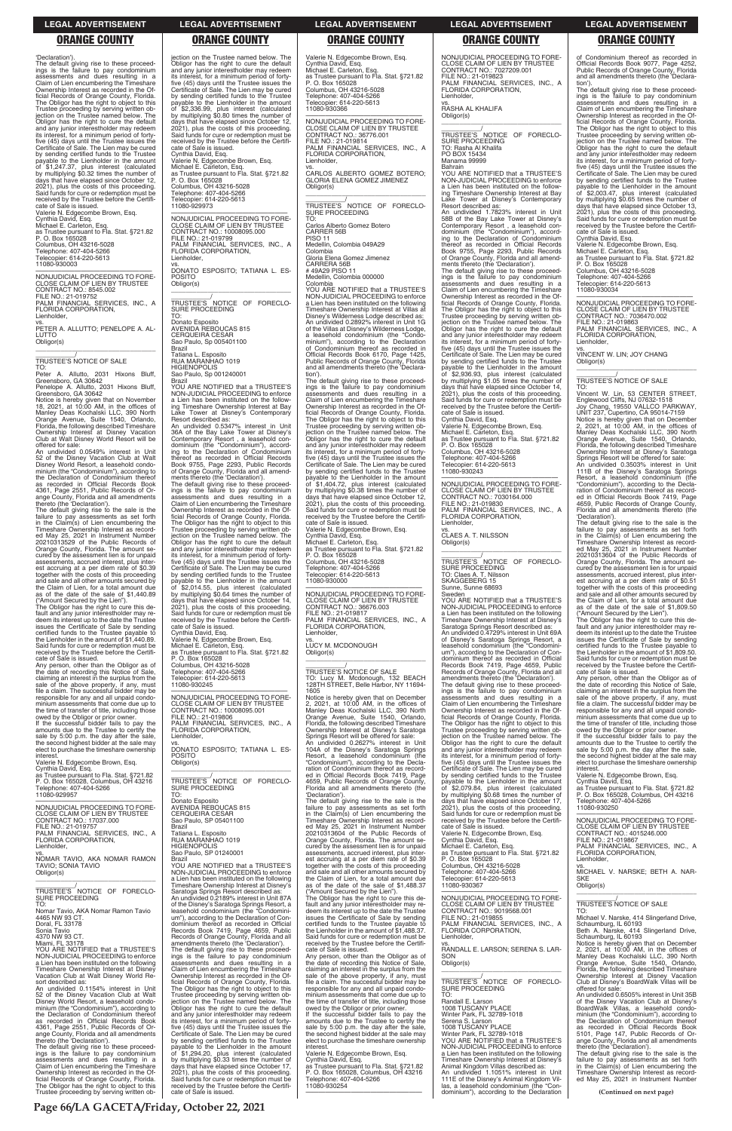'Declaration'). The default giving rise to these proceedings is the failure to pay condominium assessments and dues resulting in a Claim of Lien encumbering the Timeshare Ownership Interest as recorded in the Official Records of Orange County, Florida. The Obligor has the right to object to this Trustee proceeding by serving written ob-jection on the Trustee named below. The Obligor has the right to cure the default and any junior interestholder may redeem its interest, for a minimum period of forty-five (45) days until the Trustee issues the Certificate of Sale. The Lien may be cured by sending certified funds to the Trustee payable to the Lienholder in the amount of \$1,247.37, plus interest (calculated by multiplying \$0.32 times the number of days that have elapsed since October 12, 2021), plus the costs of this proceeding. Said funds for cure or redemption must be received by the Trustee before the Certificate of Sale is issued. Valerie N. Edgecombe Brown, Esq. Cynthia David, Esq. Michael E. Carleton, Esq. as Trustee pursuant to Fla. Stat. §721.82 P. O. Box 165028 Columbus, OH 43216-5028 Telephone: 407-404-5266 Telecopier: 614-220-5613 11080-930003

vs. PETER A. ALLUTTO; PENELOPE A. AL-LUTTO Obligor(s)  $\overline{\phantom{a}}$  , and the set of the set of the set of the set of the set of the set of the set of the set of the set of the set of the set of the set of the set of the set of the set of the set of the set of the set of the s

—————————————————— NONJUDICIAL PROCEEDING TO FORE-CLOSE CLAIM OF LIEN BY TRUSTEE CONTRACT NO.: 8545.002 FILE NO.: 21-019752 PALM FINANCIAL SERVICES, INC., A FLORIDA CORPORATION, Lienholder,

\_\_\_\_\_\_\_\_\_\_\_/ TRUSTEE'S NOTICE OF SALE TO:

Peter A. Allutto, 2031 Hixons Bluff, Greensboro, GA 30642

Penelope A. Allutto, 2031 Hixons Bluff, Greensboro, GA 30642 Notice is hereby given that on November 18, 2021, at 10:00 AM, in the offices of Manley Deas Kochalski LLC, 390 North

Orange Avenue, Suite 1540, Orlando, Florida, the following described Timeshare Ownership Interest at Disney Vacation Club at Walt Disney World Resort will be offered for sale: An undivided 0.0549% interest in Unit

52 of the Disney Vacation Club at Walt Disney World Resort, a leasehold condo-minium (the "Condominium"), according to the Declaration of Condominium thereof as recorded in Official Records Book 4361, Page 2551, Public Records of Orange County, Florida and all amendments thereto (the 'Declaration'). The default giving rise to the sale is the

failure to pay assessments as set forth in the Claim(s) of Lien encumbering the Timeshare Ownership Interest as recorded May 25, 2021 in Instrument Number 20210313529 of the Public Records of Orange County, Florida. The amount secured by the assessment lien is for unpaid assessments, accrued interest, plus inter-est accruing at a per diem rate of \$0.39 together with the costs of this proceeding and sale and all other amounts secured by the Claim of Lien, for a total amount due as of the date of the sale of \$1,440.89

("Amount Secured by the Lien"). The Obligor has the right to cure this default and any junior interestholder may re-deem its interest up to the date the Trustee issues the Certificate of Sale by sending certified funds to the Trustee payable to the Lienholder in the amount of \$1,440.89. Said funds for cure or redemption must be received by the Trustee before the Certificate of Sale is issued. Any person, other than the Obligor as of

 $\overline{\phantom{a}}$  , and the set of the set of the set of the set of the set of the set of the set of the set of the set of the set of the set of the set of the set of the set of the set of the set of the set of the set of the s TRUSTEE'S NOTICE OF FORECLO-SURE PROCEEDING TO:

the date of recording this Notice of Sale, claiming an interest in the surplus from the sale of the above property, if any, must file a claim. The successful bidder may be responsible for any and all unpaid condo-minium assessments that come due up to the time of transfer of title, including those

owed by the Obligor or prior owner. If the successful bidder fails to pay the amounts due to the Trustee to certify the sale by 5:00 p.m. the day after the sale, the second highest bidder at the sale may elect to purchase the timeshare ownership interest.

Valerie N. Edgecombe Brown, Esq.

Cynthia David, Esq. as Trustee pursuant to Fla. Stat. §721.82 P. O. Box 165028, Columbus, OH 43216 Telephone: 407-404-5266 11080-929957

—————————————————— NONJUDICIAL PROCEEDING TO FORE-CLOSE CLAIM OF LIEN BY TRUSTEE CONTRACT NO.: 17037.000 FILE NO.: 21-019757

—————————————————— NONJUDICIAL PROCEEDING TO FORE-CLOSE CLAIM OF LIEN BY TRUSTEE CONTRACT NO.: 10008095.001 FILE NO.: 21-019806 PALM FINANCIAL SERVICES, INC., A FLORIDA CORPORATION, **Lienholder** 

\_\_\_\_\_\_\_\_\_\_\_\_\_\_\_\_\_\_\_\_\_\_\_\_\_\_\_\_\_\_\_\_\_ \_\_\_\_\_\_\_\_\_\_\_/ TRUSTEE'S NOTICE OF FORECLO-SURE PROCEEDING

vs. CARLOS ALBERTO GOMEZ BOTERO; GLORIA ELENA GOMEZ JIMENEZ Obligor(s)  $\overline{\phantom{a}}$  , and the set of the set of the set of the set of the set of the set of the set of the set of the set of the set of the set of the set of the set of the set of the set of the set of the set of the set of the s

\_\_\_\_\_\_\_\_\_\_\_/ TRUSTEE'S NOTICE OF FORECLO-SURE PROCEEDING  $\overline{10}$ 

CARRERA 56B # 49A29 PISO 11 Medellin, Colombia 000000

jection on the Trustee named below. The Obligor has the right to cure the default and any junior interestholder may redeem<br>its interest for a minimum period of fortyits interest, for a minimum period of forty-five (45) days until the Trustee issues the Certificate of Sale. The Lien may be cured by sending certified funds to the Trustee payable to the Lienholder in the amount of \$2,336.99, plus interest (calculated by multiplying \$0.80 times the number of days that have elapsed since October 12, 2021), plus the costs of this proceeding. Said funds for cure or redemption must be received by the Trustee before the Certificate of Sale is issued. Cynthia David, Esq. Valerie N. Edgecombe Brown, Esq. Michael E. Carleton, Esq. as Trustee pursuant to Fla. Stat. §721.82 P. O. Box 165028 Columbus, OH 43216-5028

Telephone: 407-404-5266 Telecopier: 614-220-5613 11080-929973 —————————————————— NONJUDICIAL PROCEEDING TO FORE-CLOSE CLAIM OF LIEN BY TRUSTEE CONTRACT NO.: 10008095.000 FILE NO.: 21-019799

PALM FINANCIAL SERVICES, INC., A FLORIDA CORPORATION, Lienholder, vs. DONATO ESPOSITO; TATIANA L. ES-POSITO

Obligor(s)

vs. LUCY M. MCDONOUGH Obligor(s)  $\overline{\phantom{a}}$  , and the set of the set of the set of the set of the set of the set of the set of the set of the set of the set of the set of the set of the set of the set of the set of the set of the set of the set of the s

Donato Esposito AVENIDA REBOUCAS 815 CERQUEIRA CESAR Sao Paulo, Sp 005401100 Brazil

Tatiana L. Esposito RUA MARANHAO 1019 HIGIENOPOLIS Sao Paulo, Sp 001240001

Brazil YOU ARE NOTIFIED that a TRUSTEE'S

NON-JUDICIAL PROCEEDING to enforce a Lien has been instituted on the following Timeshare Ownership Interest at Bay Lake Tower at Disney's Contemporary Resort described as: An undivided 0.5347% interest in Unit 36A of the Bay Lake Tower at Disney's Contemporary Resort , a leasehold con-dominium (the "Condominium"), accord-ing to the Declaration of Condominium thereof as recorded in Official Records Book 9755, Page 2293, Public Records of Orange County, Florida and all amend-

ments thereto (the 'Declaration'). The default giving rise to these proceed-ings is the failure to pay condominium assessments and dues resulting in a Claim of Lien encumbering the Timeshare Ownership Interest as recorded in the Official Records of Orange County, Florida. The Obligor has the right to object to this Trustee proceeding by serving written objection on the Trustee named below. The Obligor has the right to cure the default and any junior interestholder may redeem its interest, for a minimum period of fortyfive (45) days until the Trustee issues the Certificate of Sale. The Lien may be cured by sending certified funds to the Trustee payable to the Lienholder in the amount of \$2,014.55, plus interest (calculated by multiplying \$0.64 times the number of days that have elapsed since October 14, 2021), plus the costs of this proceeding. Said funds for cure or redemption must be received by the Trustee before the Certifi-cate of Sale is issued.

Cynthia David, Esq. Valerie N. Edgecombe Brown, Esq. Michael E. Carleton, Esq. as Trustee pursuant to Fla. Stat. §721.82 P. O. Box 165028 Columbus, OH 43216-5028 Telephone: 407-404-5266

Telecopier: 614-220-5613 11080-930245

vs. DONATO ESPOSITO; TATIANA L. ES-POSITO Obligor(s)

Columbus, OH 43216-5028 Telephone: 407-404-5266 opier: 614-220-5613

TO: Donato Esposito AVENIDA REBOUCAS 815 CERQUEIRA CESAR Sao Paulo, SP 05401100 Brazil

SURE PROCEEDING TO: Claes A. T. Nilsson SKAGGEBERG 15 Sunne, Sunne 68693

Valerie N. Edgecombe Brown, Esq. Cynthia David, Esq. Michael E. Carleton, Esq. as Trustee pursuant to Fla. Stat. §721.82 P. O. Box 165028 Columbus, OH 43216-5028 Telephone: 407-404-5266 Telecopier: 614-220-5613 11080-930366

—————————————————— NONJUDICIAL PROCEEDING TO FORE-CLOSE CLAIM OF LIEN BY TRUSTEE CONTRACT NO.: 36776.001 FILE NO.: 21-019814 PALM FINANCIAL SERVICES, INC., A FLORIDA CORPORATION, Lienholder,

> Valerie N. Edgecombe Brown, Esq. Michael E. Carleton, Esq. as Trustee pursuant to Fla. Stat. §721.82 P. O. Box 165028 Columbus, OH 43216-5028 Telephone: 407-404-5266 Telephone: 407-404-5266<br>Telecopier: 614-220-5613

Carlos Alberto Gomez Botero CARRER 56B **PISO 11** Medellin, Colombia 049A29 Colombia Gloria Elena Gomez Jimenez

Colombia YOU ARE NOTIFIED that a TRUSTEE'S NON-JUDICIAL PROCEEDING to enforce a Lien has been instituted on the following Timeshare Ownership Interest at Villas at Disney's Wilderness Lodge described as: An undivided 0.2892% interest in Unit 1G of the Villas at Disney's Wilderness Lodge, a leasehold condominium (the "Condominium"), according to the Declaration of Condominium thereof as recorded in Official Records Book 6170, Page 1425, Public Records of Orange County, Florida and all amendments thereto (the 'Declaration').

The default giving rise to these proceed-ings is the failure to pay condominium assessments and dues resulting in a Claim of Lien encumbering the Timeshare Ownership Interest as recorded in the Of-ficial Records of Orange County, Florida. The Obligor has the right to object to this Trustee proceeding by serving written ob-jection on the Trustee named below. The Obligor has the right to cure the default and any junior interestholder may redeem its interest, for a minimum period of fortyfive (45) days until the Trustee issues the Certificate of Sale. The Lien may be cured by sending certified funds to the Trustee payable to the Lienholder in the amount<br>of \$1,404.72 plus interest of \$1,404.72, plus interest (calculated by multiplying \$0.38 times the number of days that have elapsed since October 12, 2021), plus the costs of this proceeding. Said funds for cure or redemption must be received by the Trustee before the Certificate of Sale is issued. Valerie N. Edgecombe Brown, Esq. Cynthia David, Esq. Michael E. Carleton, Esq. as Trustee pursuant to Fla. Stat. §721.82

P. O. Box 165028 Columbus, OH 43216-5028 Telephone: 407-404-5266 Telecopier: 614-220-5613 11080-930000

—————————————————— NONJUDICIAL PROCEEDING TO FORE-CLOSE CLAIM OF LIEN BY TRUSTEE CONTRACT NO.: 36676.003 FILE NO.: 21-019817 PALM FINANCIAL SERVICES, INC., A FLORIDA CORPORATION, Lienholder,

\_\_\_\_\_\_\_\_\_\_\_/ TRUSTEE'S NOTICE OF SALE TO: Lucy M. Mcdonough, 132 BEACH 128TH STREET, Belle Harbor, NY 11694- 1605

Notice is hereby given that on December 2, 2021, at 10:00 AM, in the offices of Manley Deas Kochalski LLC, 390 North Orange Avenue, Suite 1540, Orlando, Florida, the following described Timeshare Ownership Interest at Disney's Saratoga Springs Resort will be offered for sale: An undivided 0.2627% interest in Unit 104A of the Disney's Saratoga Springs

Resort, a leasehold condominium (the "Condominium"), according to the Declaration of Condominium thereof as recorded in Official Records Book 7419, Page 4659, Public Records of Orange County, Florida and all amendments thereto (the 'Declaration'). The default giving rise to the sale is the

failure to pay assessments as set forth in the Claim(s) of Lien encumbering the Timeshare Ownership Interest as recorded May 25, 2021 in Instrument Number 20210313604 of the Public Records of

| FLORIDA CORPORATION.<br>Lienholder.<br>VS.<br>NOMAR TAVIO. AKA NOMAR RAMON<br><b>TAVIO: SONIA TAVIO</b><br>Obligor(s)<br>TRUSTEE'S NOTICE OF FORECLO-                                                                                                                                                                                                                                                                                                                                                                                                                                                                                                                                                                                                                                                                                                                                                                                                                                                                                                                                                                                            | RUA MARANHAO 1019<br><b>HIGIENOPOLIS</b><br>Sao Paulo, SP 01240001<br>Brazil<br>YOU ARE NOTIFIED that a TRUSTEE'S<br>NON-JUDICIAL PROCEEDING to enforce<br>a Lien has been instituted on the following<br>Timeshare Ownership Interest at Disney's<br>Saratoga Springs Resort described as:                                                                                                                                                                                                                                                                                                                                                                                                                                                                                                                                                                                                                                                                                                                                                                                                                                                                                                                                                                                                                                                                                                                  | Orange County, Florida. The amount se-<br>cured by the assessment lien is for unpaid<br>assessments, accrued interest, plus inter-<br>est accruing at a per diem rate of \$0.39<br>together with the costs of this proceeding<br>and sale and all other amounts secured by<br>the Claim of Lien, for a total amount due<br>as of the date of the sale of \$1,488.37<br>("Amount Secured by the Lien").                                                                                                                                                                                                                                                                                                                                                                                                                                                                                                                                                                                                                                                                                                                                                                                                                                                                 | Cynthia David, Esq.<br>Michael E. Carleton, Esq.<br>as Trustee pursuant to Fla. Stat. §721.82<br>P. O. Box 165028<br>Columbus, OH 43216-5028<br>Telephone: 407-404-5266<br>Telecopier: 614-220-5613<br>11080-930367                                                                                                                                                                                                                                                                                                                                                                                                                                                                                                                                                                                                                                                          | FILE NO.: 21-019867<br>PALM FINANCIAL SERVICES. INC., A<br>FLORIDA CORPORATION,<br>Lienholder,<br>VS.<br>MICHAEL V. NARSKE: BETH A. NAR-<br><b>SKF</b><br>Obligor(s)                                                                                                                                                                                                                                                                                                                                                                                                                                                                                                                                                                                                                                                                                                                                                                                                                                                                                                                                                                             |
|--------------------------------------------------------------------------------------------------------------------------------------------------------------------------------------------------------------------------------------------------------------------------------------------------------------------------------------------------------------------------------------------------------------------------------------------------------------------------------------------------------------------------------------------------------------------------------------------------------------------------------------------------------------------------------------------------------------------------------------------------------------------------------------------------------------------------------------------------------------------------------------------------------------------------------------------------------------------------------------------------------------------------------------------------------------------------------------------------------------------------------------------------|--------------------------------------------------------------------------------------------------------------------------------------------------------------------------------------------------------------------------------------------------------------------------------------------------------------------------------------------------------------------------------------------------------------------------------------------------------------------------------------------------------------------------------------------------------------------------------------------------------------------------------------------------------------------------------------------------------------------------------------------------------------------------------------------------------------------------------------------------------------------------------------------------------------------------------------------------------------------------------------------------------------------------------------------------------------------------------------------------------------------------------------------------------------------------------------------------------------------------------------------------------------------------------------------------------------------------------------------------------------------------------------------------------------|------------------------------------------------------------------------------------------------------------------------------------------------------------------------------------------------------------------------------------------------------------------------------------------------------------------------------------------------------------------------------------------------------------------------------------------------------------------------------------------------------------------------------------------------------------------------------------------------------------------------------------------------------------------------------------------------------------------------------------------------------------------------------------------------------------------------------------------------------------------------------------------------------------------------------------------------------------------------------------------------------------------------------------------------------------------------------------------------------------------------------------------------------------------------------------------------------------------------------------------------------------------------|------------------------------------------------------------------------------------------------------------------------------------------------------------------------------------------------------------------------------------------------------------------------------------------------------------------------------------------------------------------------------------------------------------------------------------------------------------------------------------------------------------------------------------------------------------------------------------------------------------------------------------------------------------------------------------------------------------------------------------------------------------------------------------------------------------------------------------------------------------------------------|--------------------------------------------------------------------------------------------------------------------------------------------------------------------------------------------------------------------------------------------------------------------------------------------------------------------------------------------------------------------------------------------------------------------------------------------------------------------------------------------------------------------------------------------------------------------------------------------------------------------------------------------------------------------------------------------------------------------------------------------------------------------------------------------------------------------------------------------------------------------------------------------------------------------------------------------------------------------------------------------------------------------------------------------------------------------------------------------------------------------------------------------------|
| <b>SURE PROCEEDING</b><br>TO:<br>Nomar Tavio, AKA Nomar Ramon Tavio<br>4465 NW 93 CT.<br>Doral, FL 33178<br>Sonia Tavio<br>4370 NW 93 CT.<br>Miami, FL 33178<br>YOU ARE NOTIFIED that a TRUSTEE'S<br>NON-JUDICIAL PROCEEDING to enforce<br>a Lien has been instituted on the following<br>Timeshare Ownership Interest at Disney<br>Vacation Club at Walt Disney World Re-<br>sort described as:<br>An undivided 0.1154% interest in Unit<br>52 of the Disney Vacation Club at Walt<br>Disney World Resort, a leasehold condo-<br>minium (the "Condominium"), according to<br>the Declaration of Condominium thereof<br>as recorded in Official Records Book<br>4361, Page 2551, Public Records of Or-<br>ange County, Florida and all amendments<br>thereto (the 'Declaration').<br>The default giving rise to these proceed-<br>ings is the failure to pay condominium<br>assessments and dues resulting in a<br>Claim of Lien encumbering the Timeshare<br>Ownership Interest as recorded in the Of-<br>ficial Records of Orange County, Florida.<br>The Obligor has the right to object to this<br>Trustee proceeding by serving written ob- | An undivided 0.2189% interest in Unit 87A<br>of the Disney's Saratoga Springs Resort, a<br>leasehold condominium (the "Condomini-<br>um"), according to the Declaration of Con-<br>dominium thereof as recorded in Official<br>Records Book 7419, Page 4659, Public<br>Records of Orange County, Florida and all<br>amendments thereto (the 'Declaration').<br>The default giving rise to these proceed-<br>ings is the failure to pay condominium<br>assessments and dues resulting in a<br>Claim of Lien encumbering the Timeshare<br>Ownership Interest as recorded in the Of-<br>ficial Records of Orange County, Florida.<br>The Obligor has the right to object to this<br>Trustee proceeding by serving written ob-<br>jection on the Trustee named below. The<br>Obligor has the right to cure the default<br>and any junior interestholder may redeem<br>its interest, for a minimum period of forty-<br>five (45) days until the Trustee issues the<br>Certificate of Sale. The Lien may be cured<br>by sending certified funds to the Trustee<br>payable to the Lienholder in the amount<br>of \$1,294.20, plus interest (calculated<br>by multiplying \$0.33 times the number of<br>days that have elapsed since October 17,<br>2021), plus the costs of this proceeding.<br>Said funds for cure or redemption must be<br>received by the Trustee before the Certifi-<br>cate of Sale is issued. | The Obligor has the right to cure this de-<br>fault and any junior interestholder may re-<br>deem its interest up to the date the Trustee<br>issues the Certificate of Sale by sending<br>certified funds to the Trustee payable to<br>the Lienholder in the amount of \$1.488.37.<br>Said funds for cure or redemption must be<br>received by the Trustee before the Certifi-<br>cate of Sale is issued.<br>Any person, other than the Obligor as of<br>the date of recording this Notice of Sale.<br>claiming an interest in the surplus from the<br>sale of the above property, if any, must<br>file a claim. The successful bidder may be<br>responsible for any and all unpaid condo-<br>minium assessments that come due up to<br>the time of transfer of title, including those<br>owed by the Obligor or prior owner.<br>If the successful bidder fails to pay the<br>amounts due to the Trustee to certify the<br>sale by 5:00 p.m. the day after the sale,<br>the second highest bidder at the sale may<br>elect to purchase the timeshare ownership<br>interest.<br>Valerie N. Edgecombe Brown, Esg.<br>Cynthia David, Esq.<br>as Trustee pursuant to Fla. Stat. §721.82<br>P. O. Box 165028, Columbus, OH 43216<br>Telephone: 407-404-5266<br>11080-930254 | NONJUDICIAL PROCEEDING TO FORE-<br>CLOSE CLAIM OF LIEN BY TRUSTEE<br>CONTRACT NO.: 9019568.001<br>FILE NO.: 21-019855<br>PALM FINANCIAL SERVICES, INC., A<br>FLORIDA CORPORATION.<br>Lienholder,<br>VS.<br>RANDALL E. LARSON: SERENA S. LAR-<br>SON<br>Obligor(s)<br>TRUSTEE'S NOTICE OF FORECLO-<br><b>SURE PROCEEDING</b><br>TO:<br>Randall E. Larson<br>1008 TUSCANY PLACE<br>Winter Park, FL 32789-1018<br>Serena S. Larson<br>1008 TUSCANY PLACE<br>Winter Park, FL 32789-1018<br>YOU ARE NOTIFIED that a TRUSTEE'S<br>NON-JUDICIAL PROCEEDING to enforce<br>a Lien has been instituted on the following<br>Timeshare Ownership Interest at Disney's<br>Animal Kingdom Villas described as:<br>An undivided 1.1051% interest in Unit<br>111E of the Disney's Animal Kingdom Vil-<br>las, a leasehold condominium (the "Con-<br>dominium"), according to the Declaration | <b>TRUSTEE'S NOTICE OF SALE</b><br>TO.<br>Michael V. Narske, 414 Slingerland Drive,<br>Schaumburg, IL 60193<br>Beth A. Narske, 414 Slingerland Drive,<br>Schaumburg, IL 60193<br>Notice is hereby given that on December<br>2. 2021, at 10:00 AM, in the offices of<br>Manley Deas Kochalski LLC, 390 North<br>Orange Avenue, Suite 1540, Orlando,<br>Florida, the following described Timeshare<br>Ownership Interest at Disney Vacation<br>Club at Disney's BoardWalk Villas will be<br>offered for sale:<br>An undivided 0.6505% interest in Unit 35B<br>of the Disney Vacation Club at Disney's<br>BoardWalk Villas, a leasehold condo-<br>minium (the "Condominium"), according to<br>the Declaration of Condominium thereof<br>as recorded in Official Records Book<br>5101, Page 147, Public Records of Or-<br>ange County, Florida and all amendments<br>thereto (the 'Declaration').<br>The default giving rise to the sale is the<br>failure to pay assessments as set forth<br>in the Claim(s) of Lien encumbering the<br>Timeshare Ownership Interest as record-<br>ed May 25, 2021 in Instrument Number<br>(Continued on next page) |

NONJUDICIAL PROCEEDING TO FORE-CLOSE CLAIM OF LIEN BY TRUSTEE CONTRACT NO.: 7027209.001

FILE NO.: 21-019823

PALM FINANCIAL SERVICES, INC., A

FLORIDA CORPORATION,

vs. RASHA AL KHALIFA

Lienholder.

Obligor(s)

\_\_\_\_\_\_\_\_\_\_\_\_\_\_\_\_\_\_\_\_\_\_\_\_\_\_\_\_\_\_\_\_\_ \_\_\_\_\_\_\_\_\_\_\_/ TRUSTEE'S NOTICE OF FORECLO-SURE PROCEEDING TO: Rasha Al Khalifa

PO BOX 15434 Manama 99999 Bahrain

YOU ARE NOTIFIED that a TRUSTEE'S NON-JUDICIAL PROCEEDING to enforce a Lien has been instituted on the following Timeshare Ownership Interest at Bay Lake Tower at Disney's Contemporary

Resort described as:

An undivided 1.7823% interest in Unit 58B of the Bay Lake Tower at Disney's Contemporary Resort , a leasehold con-dominium (the "Condominium"), accord-ing to the Declaration of Condominium

thereof as recorded in Official Records Book 9755, Page 2293, Public Records of Orange County, Florida and all amend-

ments thereto (the 'Declaration'). The default giving rise to these proceed-ings is the failure to pay condominium assessments and dues resulting in a Claim of Lien encumbering the Timeshare Ownership Interest as recorded in the Official Records of Orange County, Florida. The Obligor has the right to object to this Trustee proceeding by serving written objection on the Trustee named below. The Obligor has the right to cure the default and any junior interestholder may redeem its interest, for a minimum period of fortyfive (45) days until the Trustee issues the Certificate of Sale. The Lien may be cured by sending certified funds to the Trustee

payable to the Lienholder in the amount of \$2,936.93, plus interest (calculated by multiplying \$1.05 times the number of days that have elapsed since October 14, 2021), plus the costs of this proceeding.

Said funds for cure or redemption must be received by the Trustee before the Certifi-cate of Sale is issued.

Cynthia David, Esq.

Valerie N. Edgecombe Brown, Esq. Michael E. Carleton, Esq. as Trustee pursuant to Fla. Stat. §721.82 P. O. Box 165028

11080-930243

—————————————————— NONJUDICIAL PROCEEDING TO FORE-CLOSE CLAIM OF LIEN BY TRUSTEE CONTRACT NO.: 7030164.000

FILE NO.: 21-019830 PALM FINANCIAL SERVICES, INC., A FLORIDA CORPORATION,

Lienholder,

vs. CLAES A. T. NILSSON

Obligor(s)

\_\_\_\_\_\_\_\_\_\_\_\_\_\_\_\_\_\_\_\_\_\_\_\_\_\_\_\_\_\_\_\_\_ \_\_\_\_\_\_\_\_\_\_\_/ TRUSTEE'S NOTICE OF FORECLO-

Sweden

YOU ARE NOTIFIED that a TRUSTEE'S NON-JUDICIAL PROCEEDING to enforce a Lien has been instituted on the following Timeshare Ownership Interest at Disney's Saratoga Springs Resort described as: An undivided 0.4729% interest in Unit 69A of Disney's Saratoga Springs Resort, a leasehold condominium (the "Condomini-

um"), according to the Declaration of Con-<br>dominium thereof as recorded in Official<br>Records Book 7419, Page 4659, Public<br>Records of Orange County, Florida and all<br>amendments thereo (the 'Declaration').<br>The default giving r

ings is the failure to pay condominium assessments and dues resulting in a Claim of Lien encumbering the Timeshare Ownership Interest as recorded in the Official Records of Orange County, Florida. The Obligor has the right to object to this Trustee proceeding by serving written ob-jection on the Trustee named below. The Obligor has the right to cure the default and any junior interestholder may redeem its interest, for a minimum period of forty-five (45) days until the Trustee issues the Certificate of Sale. The Lien may be cured

by sending certified funds to the Trustee payable to the Lienholder in the amount of \$2,079.84, plus interest (calculated by multiplying \$0.68 times the number of days that have elapsed since October 17, 2021), plus the costs of this proceeding. Said funds for cure or redemption must be received by the Trustee before the Certificate of Sale is issued.

of Condominium thereof as recorded in Official Records Book 9077, Page 4252, Public Records of Orange County, Florida and all amendments thereto (the 'Declaration').

The default giving rise to these proceed-ings is the failure to pay condominium assessments and dues resulting in a Claim of Lien encumbering the Timeshare Ownership Interest as recorded in the Of-ficial Records of Orange County, Florida. The Obligor has the right to object to this Trustee proceeding by serving written ob-jection on the Trustee named below. The Obligor has the right to cure the default and any junior interestholder may redeem its interest, for a minimum period of fortyfive (45) days until the Trustee issues the Certificate of Sale. The Lien may be cured by sending certified funds to the Trustee payable to the Lienholder in the amount<br>of \$2,003.47 plus interest of \$2,003.47, plus interest (calculated by multiplying \$0.65 times the number of days that have elapsed since October 13, 2021), plus the costs of this proceeding. Said funds for cure or redemption must be received by the Trustee before the Certificate of Sale is issued. Cynthia David, Esq.

11080-930034

—————————————————— NONJUDICIAL PROCEEDING TO FORE-CLOSE CLAIM OF LIEN BY TRUSTEE CONTRACT NO.: 7036470.002 FILE NO.: 21-019863 PALM FINANCIAL SERVICES, INC., A FLORIDA CORPORATION, Lienholder,

vs. VINCENT W. LIN; JOY CHANG Obligor(s)

\_\_\_\_\_\_\_\_\_\_\_/ TRUSTEE'S NOTICE OF SALE

TO: Vincent W. Lin, 53 CENTER STREET, Englewood Cliffs, NJ 07632-1518 Joy Chang, 19550 VALLCO PARKWAY, UNIT 237, Cupertino, CA 95014-7159

 $\overline{\phantom{a}}$  ,  $\overline{\phantom{a}}$  ,  $\overline{\phantom{a}}$  ,  $\overline{\phantom{a}}$  ,  $\overline{\phantom{a}}$  ,  $\overline{\phantom{a}}$  ,  $\overline{\phantom{a}}$  ,  $\overline{\phantom{a}}$  ,  $\overline{\phantom{a}}$  ,  $\overline{\phantom{a}}$  ,  $\overline{\phantom{a}}$  ,  $\overline{\phantom{a}}$  ,  $\overline{\phantom{a}}$  ,  $\overline{\phantom{a}}$  ,  $\overline{\phantom{a}}$  ,  $\overline{\phantom{a}}$ 

Notice is hereby given that on December 2, 2021, at 10:00 AM, in the offices of Manley Deas Kochalski LLC, 390 North Orange Avenue, Suite 1540, Orlando, Florida, the following described Timeshare Ownership Interest at Disney's Saratoga Springs Resort will be offered for sale:

An undivided 0.3503% interest in Unit 111B of the Disney's Saratoga Springs Resort, a leasehold condominium (the "Condominium"), according to the Decla-ration of Condominium thereof as recorded in Official Records Book 7419, Page 4659, Public Records of Orange County, Florida and all amendments thereto (the 'Declaration').

The default giving rise to the sale is the failure to pay assessments as set forth in the Claim(s) of Lien encumbering the Timeshare Ownership Interest as record-ed May 25, 2021 in Instrument Number 20210313604 of the Public Records of Orange County, Florida. The amount se-cured by the assessment lien is for unpaid assessments, accrued interest, plus interest accruing at a per diem rate of \$0.51 together with the costs of this proceeding and sale and all other amounts secured by the Claim of Lien, for a total amount due as of the date of the sale of \$1,809.50

("Amount Secured by the Lien"). The Obligor has the right to cure this de-fault and any junior interestholder may redeem its interest up to the date the Trustee issues the Certificate of Sale by sending certified funds to the Trustee payable to the Lienholder in the amount of \$1,809.50. Said funds for cure or redemption must be received by the Trustee before the Certificate of Sale is issued.

Any person, other than the Obligor as of the date of recording this Notice of Sale, claiming an interest in the surplus from the sale of the above property, if any, must file a claim. The successful bidder may be responsible for any and all unpaid condominium assessments that come due up to the time of transfer of title, including those

owed by the Obligor or prior owner. If the successful bidder fails to pay the amounts due to the Trustee to certify the sale by 5:00 p.m. the day after the sale, the second highest bidder at the sale may elect to purchase the timeshare ownership interest.

Valerie N. Edgecombe Brown, Esq. Cynthia David, Esq. as Trustee pursuant to Fla. Stat. §721.82 P. O. Box 165028, Columbus, OH 43216 Telephone: 407-404-5266 11080-930250

—————————————————— NONJUDICIAL PROCEEDING TO FORE-CLOSE CLAIM OF LIEN BY TRUSTEE

### **LEGAL ADVERTISEMENT LEGAL ADVERTISEMENT LEGAL ADVERTISEMENT LEGAL ADVERTISEMENT LEGAL ADVERTISEMENT**

## **ORANGE COUNTY ORANGE COUNTY ORANGE COUNTY ORANGE COUNTY ORANGE COUNTY**

**Page 66/LA GACETA/Friday, October 22, 2021**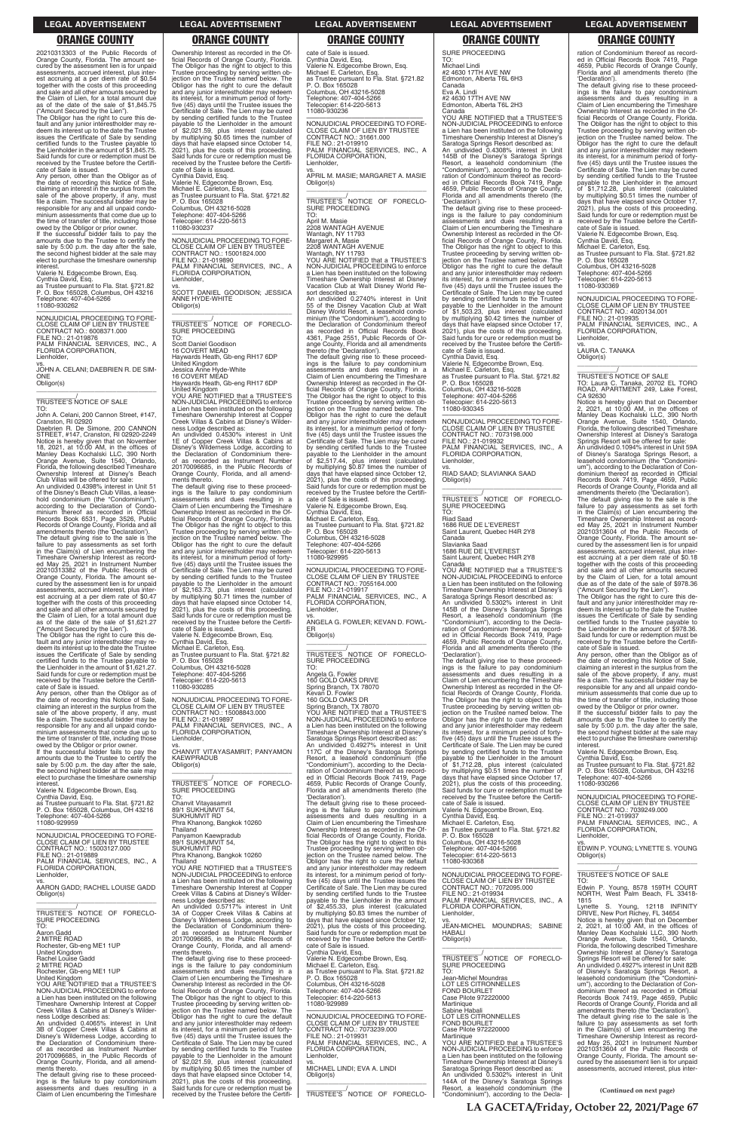20210313303 of the Public Records of Orange County, Florida. The amount se-cured by the assessment lien is for unpaid assessments, accrued interest, plus interest accruing at a per diem rate of \$0.54 together with the costs of this proceeding and sale and all other amounts secured by the Claim of Lien, for a total amount due as of the date of the sale of \$1,845.75 ("Amount Secured by the Lien"). The Obligor has the right to cure this de-

fault and any junior interestholder may re-deem its interest up to the date the Trustee issues the Certificate of Sale by sending certified funds to the Trustee payable to the Lienholder in the amount of \$1,845.75. Said funds for cure or redemption must be received by the Trustee before the Certifi-cate of Sale is issued.

Any person, other than the Obligor as of the date of recording this Notice of Sale, claiming an interest in the surplus from the sale of the above property, if any, must file a claim. The successful bidder may be responsible for any and all unpaid condominium assessments that come due up to the time of transfer of title, including those owed by the Obligor or prior owner. If the successful bidder fails to pay the

amounts due to the Trustee to certify the sale by 5:00 p.m. the day after the sale, the second highest bidder at the sale may elect to purchase the timeshare ownership interest.

Valerie N. Edgecombe Brown, Esq.

Cynthia David, Esq. as Trustee pursuant to Fla. Stat. §721.82 P. O. Box 165028, Columbus, OH 43216 Telephone: 407-404-5266 11080-930262

—————————————————— NONJUDICIAL PROCEEDING TO FORE-CLOSE CLAIM OF LIEN BY TRUSTEE CONTRACT NO.: 6008371.000

FILE NO.: 21-019876 PALM FINANCIAL SERVICES, INC., A FLORIDA CORPORATION, Lienholder,

vs. JOHN A. CELANI; DAEBRIEN R. DE SIM-ONE Obligor(s) \_\_\_\_\_\_\_\_\_\_\_\_\_\_\_\_\_\_\_\_\_\_\_\_\_\_\_\_\_\_\_\_\_

# \_\_\_\_\_\_\_\_\_\_\_/ TRUSTEE'S NOTICE OF SALE

TO: John A. Celani, 200 Cannon Street, #147, Cranston, RI 02920

Daebrien R. De Simone, 200 CANNON STREET, #147, Cranston, RI 02920-2249 Notice is hereby given that on November 18, 2021, at 10:00 AM, in the offices of Manley Deas Kochalski LLC, 390 North Orange Avenue, Suite 1540, Orlando, Florida, the following described Timeshare

Ownership Interest at Disney's Beach Club Villas will be offered for sale: An undivided 0.4398% interest in Unit 51 of the Disney's Beach Club Villas, a leasehold condominium (the "Condominium"), according to the Declaration of Condo-minium thereof as recorded in Official Records Book 6531, Page 3526, Public Records of Orange County, Florida and all amendments thereto (the 'Declaration').

The default giving rise to the sale is the failure to pay assessments as set forth in the Claim(s) of Lien encumbering the Timeshare Ownership Interest as record-ed May 25, 2021 in Instrument Number 20210313382 of the Public Records of Orange County, Florida. The amount se-cured by the assessment lien is for unpaid assessments, accrued interest, plus inter-est accruing at a per diem rate of \$0.47 together with the costs of this proceeding and sale and all other amounts secured by the Claim of Lien, for a total amount due as of the date of the sale of \$1,621.27

("Amount Secured by the Lien"). The Obligor has the right to cure this default and any junior interestholder may re-deem its interest up to the date the Trustee issues the Certificate of Sale by sending certified funds to the Trustee payable to the Lienholder in the amount of \$1,621.27. Said funds for cure or redemption must be received by the Trustee before the Certifi\_\_\_\_\_\_\_\_\_\_\_\_\_\_\_\_\_\_\_\_\_\_\_\_\_\_\_\_\_\_\_\_\_ \_\_\_\_\_\_\_\_\_\_\_\_/<br>TRUSTEE'S NOTICE OF FORECLO-<br>SURE PROCEEDING

cate of Sale is issued. Any person, other than the Obligor as of the date of recording this Notice of Sale, claiming an interest in the surplus from the sale of the above property, if any, must file a claim. The successful bidder may be responsible for any and all unpaid condominium assessments that come due up to the time of transfer of title, including those owed by the Obligor or prior owner. If the successful bidder fails to pay the

amounts due to the Trustee to certify the sale by 5:00 p.m. the day after the sale, the second highest bidder at the sale may elect to purchase the timeshare ownership interest.

Valerie N. Edgecombe Brown, Esq.

Cynthia David, Esq. as Trustee pursuant to Fla. Stat. §721.82 P. O. Box 165028, Columbus, OH 43216 Telephone: 407-404-5266 11080-929959

payable to the Lienholder in the amount<br>of \$2,021.59, plus interest (calculated<br>by multiplying \$0.65 times the number of<br>days that have elapsed since October 14,<br>2021), plus the costs of this proceeding.<br>Said funds for cur

vs. APRIL M. MASIE; MARGARET A. MASIE Obligor(s)  $\overline{\phantom{a}}$  , and the set of the set of the set of the set of the set of the set of the set of the set of the set of the set of the set of the set of the set of the set of the set of the set of the set of the set of the s

\_\_\_\_\_\_\_\_\_\_\_/<br>TRUSTEE'S NOTICE OF FORECLO-<br>SURE PROCEEDING TO:

received by the Trustee before the Certifi-

cate of Sale is issued. Cynthia David, Esq.

Valerie N. Edgecombe Brown, Esq. Michael E. Carleton, Esq. as Trustee pursuant to Fla. Stat. §721.82

P. O. Box 165028 Columbus, OH 43216-5028 Telephone: 407-404-5266 Telecopier: 614-220-5613 11080-930237

—————————————————— NONJUDICIAL PROCEEDING TO FORE-CLOSE CLAIM OF LIEN BY TRUSTEE CONTRACT NO.: 15001824.000

FILE NO.: 21-019890 PALM FINANCIAL SERVICES, INC., A FLORIDA CORPORATION,

Lienholder,

vs. SCOTT DANIEL GOODISON; JESSICA

ANNE HYDE-WHITE Obligor(s)

TO:

Scott Daniel Goodison 16 COVERT MEAD

Haywards Heath, Gb-eng RH17 6DP

United Kingdom Jessica Anne Hyde-White

16 COVERT MEAD Haywards Heath, Gb-eng RH17 6DP United Kingdom YOU ARE NOTIFIED that a TRUSTEE'S NON-JUDICIAL PROCEEDING to enforce a Lien has been instituted on the following Timeshare Ownership Interest at Copper Creek Villas & Cabins at Disney's Wilder-

ness Lodge described as:

An undivided 0.4530% interest in Unit 1E of Copper Creek Villas & Cabins at Disney's Wilderness Lodge, according to the Declaration of Condominium there-of as recorded as Instrument Number 20170096685, in the Public Records of Orange County, Florida, and all amend-

ments thereto.

Michael Lindi #2 4630 17TH AVE NW Edmonton, Alberta T6L 6H3

The default giving rise to these proceed-ings is the failure to pay condominium assessments and dues resulting in a Claim of Lien encumbering the Timeshare Ownership Interest as recorded in the Of-ficial Records of Orange County, Florida. The Obligor has the right to object to this Trustee proceeding by serving written ob-jection on the Trustee named below. The Obligor has the right to cure the default and any junior interestholder may redeem its interest, for a minimum period of fortyfive (45) days until the Trustee issues the Certificate of Sale. The Lien may be cured by sending certified funds to the Trustee payable to the Lienholder in the amount

Ownership Interest as recorded in the Of-ficial Records of Orange County, Florida. The Obligor has the right to object to this Trustee proceeding by serving written ob-jection on the Trustee named below. The Obligor has the right to cure the default and any junior interestholder may redeem its interest, for a minimum period of fortyfive (45) days until the Trustee issues the Certificate of Sale. The Lien may be cured by sending certified funds to the Trustee cate of Sale is issued. Cynthia David, Esg. Valerie N. Edgecombe Brown, Esq. Michael E. Carleton, Esq. as Trustee pursuant to Fla. Stat. §721.82 P. O. Box 165028 Columbus, OH 43216-5028 Telephone: 407-404-5266 Telecopier: 614-220-5613 11080-930236

of \$2,163.73, plus interest (calculated by multiplying \$0.71 times the number of days that have elapsed since October 14, 2021), plus the costs of this proceeding. Said funds for cure or redemption must be received by the Trustee before the Certificate of Sale is issued. Valerie N. Edgecombe Brown, Esq. Cynthia David, Esq.

Michael E. Carleton, Esq. as Trustee pursuant to Fla. Stat. §721.82 P. O. Box 165028 Columbus, OH 43216-5028 Telephone: 407-404-5266 Telecopier: 614-220-5613

11080-930285 —————————————————— NONJUDICIAL PROCEEDING TO FORE-CLOSE CLAIM OF LIEN BY TRUSTEE CONTRACT NO.: 15008843.000

FILE NO.: 21-019897 PALM FINANCIAL SERVICES, INC., A FLORIDA CORPORATION, Lienholder,

\_\_\_\_\_\_\_\_\_\_\_/<br>TRUSTEE'S NOTICE OF FORECLO-<br>SURE PROCEEDING TO:

vs. CHANVIT VITAYASAMRIT; PANYAMON KAEWPRADUB Obligor(s)

\_\_\_\_\_\_\_\_\_\_\_/<br>TRUSTEE'S NOTICE OF FORECLO-<br>SURE PROCEEDING

TO:

Chanvit Vitayasamrit 89/1 SUKHUMVIT 54, SUKHUMVIT RD

Phra Khanong, Bangkok 10260 Thailand

—————————————————— NONJUDICIAL PROCEEDING TO FORE-CLOSE CLAIM OF LIEN BY TRUSTEE CONTRACT NO.: 31661.000 FILE NO.: 21-019910 PALM FINANCIAL SERVICES, INC., A FLORIDA CORPORATION, Lienholder,

April M. Masie 2208 WANTAGH AVENUE Wantagh, NY 11793

Margaret A. Masie 2208 WANTAGH AVENUE Wantagh, NY 11793

YOU ARE NOTIFIED that a TRUSTEE'S NON-JUDICIAL PROCEEDING to enforce a Lien has been instituted on the following Timeshare Ownership Interest at Disney Vacation Club at Walt Disney World Resort described as:

> Notice is hereby given that on December<br>2, 2021, at 10:00 AM, in the offices of<br>Manley Deas Kochalski LLC, 390 North<br>Orange Avenue, Suite 1540, Orlando,<br>Florida, the following described Timeshare<br>Ownership Interest at Disn An undivided 0.1094% interest in Unit 59A of Disney's Saratoga Springs Resort, a leasehold condominium (the "Condominium"), according to the Declaration of Condominium thereof as recorded in Official Records Book 7419, Page 4659, Public Records of Orange County, Florida and all amendments thereto (the 'Declaration'). The default giving rise to the sale is the failure to pay assessments as set forth in the Claim(s) of Lien encumbering the Timeshare Ownership Interest as record-ed May 25, 2021 in Instrument Number 20210313604 of the Public Records of Orange County, Florida. The amount secured by the assessment lien is for unpaid assessments, accrued interest, plus inter-est accruing at a per diem rate of \$0.18 together with the costs of this proceeding and sale and all other amounts secured by the Claim of Lien, for a total amount due as of the date of the sale of \$978.36

An undivided 0.2740% interest in Unit 55 of the Disney Vacation Club at Walt Disney World Resort, a leasehold condominium (the "Condominium"), according to the Declaration of Condominium thereof as recorded in Official Records Book 4361, Page 2551, Public Records of Or-ange County, Florida and all amendments thereto (the 'Declaration').

The default giving rise to these proceed-ings is the failure to pay condominium assessments and dues resulting in a Claim of Lien encumbering the Timeshare Ownership Interest as recorded in the Official Records of Orange County, Florida. The Obligor has the right to object to this Trustee proceeding by serving written ob-jection on the Trustee named below. The Obligor has the right to cure the default and any junior interestholder may redeem its interest, for a minimum period of fortyfive (45) days until the Trustee issues the Certificate of Sale. The Lien may be cured by sending certified funds to the Trustee payable to the Lienholder in the amount of \$2,517.44, plus interest (calculated by multiplying \$0.87 times the number of days that have elapsed since October 12, 2021), plus the costs of this proceeding. Said funds for cure or redemption must be received by the Trustee before the Certificate of Sale is issued. Valerie N. Edgecombe Brown, Esq.

Cynthia David, Esq. Michael E. Carleton, Esq. as Trustee pursuant to Fla. Stat. §721.82 P. O. Box 165028 Columbus, OH 43216-5028 Telephone: 407-404-5266

Telecopier: 614-220-5613 11080-929995

—————————————————— NONJUDICIAL PROCEEDING TO FORE-CLOSE CLAIM OF LIEN BY TRUSTEE CONTRACT NO.: 7055164.000 FILE NO.: 21-019917 PALM FINANCIAL SERVICES, INC., A FLORIDA CORPORATION,

\_\_\_\_\_\_\_\_\_\_\_/<br>TRUSTEE'S NOTICE OF FORECLO-<br>SURE PROCEEDING

Lienholder, vs. ANGELA G. FOWLER; KEVAN D. FOWL-ER Obligor(s)

\_\_\_\_\_\_\_\_\_\_\_\_\_\_\_\_\_\_\_\_\_\_\_\_\_\_\_\_\_\_\_\_\_ TO:

Angela G. Fowler 160 GOLD OAKS DRIVE Spring Branch, TX 78070 Kevan D. Fowler 160 GOLD OAKS DR

Spring Branch, TX 78070 YOU ARE NOTIFIED that a TRUSTEE'S NON-JUDICIAL PROCEEDING to enforce a Lien has been instituted on the following Timeshare Ownership Interest at Disney's

Saratoga Springs Resort described as: An undivided 0.4927% interest in Unit 117C of the Disney's Saratoga Springs Resort, a leasehold condominium (the "Condominium"), according to the Declaration of Condominium thereof as record-ed in Official Records Book 7419, Page 4659, Public Records of Orange County, Florida and all amendments thereto (the 'Declaration').

The default giving rise to these proceed-ings is the failure to pay condominium assessments and dues resulting in a

Claim of Lien encumbering the Timeshare Ownership Interest as recorded in the Of-

|                                             | Thailand                                     | Ownership Interest as recorded in the Of-    | as Trustee pursuant to Fla. Stat. §721.82   | FLORIDA CORPORATION.                       |
|---------------------------------------------|----------------------------------------------|----------------------------------------------|---------------------------------------------|--------------------------------------------|
| NONJUDICIAL PROCEEDING TO FORE-             | Panyamon Kaewpradub                          | ficial Records of Orange County, Florida.    | P. O. Box 165028                            | Lienholder.                                |
| CLOSE CLAIM OF LIEN BY TRUSTEE              | 89/1 SUKHUMVIT 54,                           | The Obligor has the right to object to this  | Columbus, OH 43216-5028                     | VS.                                        |
| CONTRACT NO.: 15003127.000                  | SUKHUMVIT RD                                 | Trustee proceeding by serving written ob-    | Telephone: 407-404-5266                     | EDWIN P. YOUNG: LYNETTE S. YOUNG           |
| FILE NO.: 21-019889                         | Phra Khanong, Bangkok 10260                  | jection on the Trustee named below. The      | Telecopier: 614-220-5613                    | Obligor(s)                                 |
| PALM FINANCIAL SERVICES, INC., A            | Thailand                                     | Obligor has the right to cure the default    | 11080-930368                                |                                            |
| FLORIDA CORPORATION,                        | YOU ARE NOTIFIED that a TRUSTEE'S            | and any junior interestholder may redeem     |                                             |                                            |
| Lienholder,                                 | NON-JUDICIAL PROCEEDING to enforce           | its interest, for a minimum period of forty- | NONJUDICIAL PROCEEDING TO FORE-             | TRUSTEE'S NOTICE OF SALE                   |
| VS.                                         | a Lien has been instituted on the following  | five (45) days until the Trustee issues the  | CLOSE CLAIM OF LIEN BY TRUSTEE              | TO:                                        |
| AARON GADD; RACHEL LOUISE GADD              | Timeshare Ownership Interest at Copper       | Certificate of Sale. The Lien may be cured   | CONTRACT NO.: 7072095.000                   | Edwin P. Young, 8578 159TH COURT           |
| Obligor(s)                                  | Creek Villas & Cabins at Disney's Wilder-    | by sending certified funds to the Trustee    | FILE NO.: 21-019934                         | NORTH. West Palm Beach. FL 33418-          |
|                                             | ness Lodge described as:                     | payable to the Lienholder in the amount      | PALM FINANCIAL SERVICES, INC., A            | 1815                                       |
|                                             | An undivided 0.5717% interest in Unit        | of \$2,455.33, plus interest (calculated     | FLORIDA CORPORATION,                        | Lynette S. Young, 12118 INFINITY           |
| TRUSTEE'S NOTICE OF FORECLO-                | 3A of Copper Creek Villas & Cabins at        | by multiplying \$0.83 times the number of    | Lienholder.                                 | DRIVE, New Port Richey, FL 34654           |
| <b>SURE PROCEEDING</b>                      | Disney's Wilderness Lodge, according to      | days that have elapsed since October 12,     | VS.                                         | Notice is hereby given that on December    |
| TO:                                         | the Declaration of Condominium there-        | 2021), plus the costs of this proceeding.    | JEAN-MICHEL MOUNDRAS: SABINE                | 2, 2021, at 10:00 AM, in the offices of    |
| Aaron Gadd                                  | of as recorded as Instrument Number          | Said funds for cure or redemption must be    | <b>HABALI</b>                               | Manley Deas Kochalski LLC, 390 North       |
| 2 MITRE ROAD                                | 20170096685, in the Public Records of        | received by the Trustee before the Certifi-  | Obligor(s)                                  | Orange Avenue, Suite 1540, Orlando,        |
| Rochester, Gb-eng ME1 1UP                   | Orange County, Florida, and all amend-       | cate of Sale is issued.                      |                                             | Florida, the following described Timeshare |
| <b>United Kingdom</b>                       | ments thereto.                               | Cynthia David, Esq.                          |                                             | Ownership Interest at Disney's Saratoga    |
| Rachel Louise Gadd                          | The default giving rise to these proceed-    | Valerie N. Edgecombe Brown, Esg.             | TRUSTEE'S NOTICE OF FORECLO-                | Springs Resort will be offered for sale:   |
| 2 MITRE ROAD                                | ings is the failure to pay condominium       | Michael E. Carleton, Esq.                    | SURE PROCEEDING                             | An undivided 0.4927% interest in Unit 82B  |
| Rochester, Gb-eng ME1 1UP                   | assessments and dues resulting in a          | as Trustee pursuant to Fla. Stat. §721.82    | TO:                                         | of Disney's Saratoga Springs Resort, a     |
| United Kingdom                              | Claim of Lien encumbering the Timeshare      | P. O. Box 165028                             | Jean-Michel Moundras                        | leasehold condominium (the "Condomini-     |
| YOU ARE NOTIFIED that a TRUSTEE'S           | Ownership Interest as recorded in the Of-    | Columbus, OH 43216-5028                      | LOT LES CITRONNELLES                        | um"), according to the Declaration of Con- |
| NON-JUDICIAL PROCEEDING to enforce          | ficial Records of Orange County, Florida.    | Telephone: 407-404-5266                      | <b>FOND BOURLET</b>                         | dominium thereof as recorded in Official   |
| a Lien has been instituted on the following | The Obligor has the right to object to this  | Telecopier: 614-220-5613                     | Case Pilote 972220000                       | Records Book 7419, Page 4659, Public       |
| Timeshare Ownership Interest at Copper      | Trustee proceeding by serving written ob-    | 11080-929989                                 | Martinique                                  | Records of Orange County, Florida and all  |
| Creek Villas & Cabins at Disney's Wilder-   | iection on the Trustee named below. The      |                                              | Sabine Habali                               | amendments thereto (the 'Declaration').    |
| ness Lodge described as:                    | Obligor has the right to cure the default    | NONJUDICIAL PROCEEDING TO FORE-              | LOT LES CITRONNELLES                        | The default giving rise to the sale is the |
| An undivided 0.4065% interest in Unit       | and any junior interestholder may redeem     | CLOSE CLAIM OF LIEN BY TRUSTEE               | <b>FOND BOURLET</b>                         | failure to pay assessments as set forth    |
| 3B of Copper Creek Villas & Cabins at       | its interest, for a minimum period of forty- | CONTRACT NO.: 7073239.000                    | Case Pilote 972220000                       | in the Claim(s) of Lien encumbering the    |
| Disney's Wilderness Lodge, according to     | five (45) days until the Trustee issues the  | FILE NO.: 21-019931                          | Martinique                                  | Timeshare Ownership Interest as record-    |
| the Declaration of Condominium there-       | Certificate of Sale. The Lien may be cured   | PALM FINANCIAL SERVICES, INC., A             | YOU ARE NOTIFIED that a TRUSTEE'S           | ed May 25, 2021 in Instrument Number       |
| of as recorded as Instrument Number         | by sending certified funds to the Trustee    | FLORIDA CORPORATION,                         | NON-JUDICIAL PROCEEDING to enforce          | 20210313604 of the Public Records of       |
| 20170096685, in the Public Records of       | payable to the Lienholder in the amount      | Lienholder.                                  | a Lien has been instituted on the following | Orange County, Florida. The amount se-     |
| Orange County, Florida, and all amend-      | of \$2,021.59, plus interest (calculated     | VS.                                          | Timeshare Ownership Interest at Disney's    | cured by the assessment lien is for unpaid |
| ments thereto.                              | by multiplying \$0.65 times the number of    | MICHAEL LINDI; EVA A. LINDI                  | Saratoga Springs Resort described as:       | assessments, accrued interest, plus inter- |
| The default giving rise to these proceed-   | days that have elapsed since October 14,     | Obligor(s)                                   | An undivided 0.5302% interest in Unit       |                                            |
| ings is the failure to pay condominium      | 2021), plus the costs of this proceeding.    |                                              | 144A of the Disney's Saratoga Springs       |                                            |
| assessments and dues resulting in a         | Said funds for cure or redemption must be    |                                              | Resort, a leasehold condominium (the        |                                            |
| Claim of Lien encumbering the Timeshare     | received by the Trustee before the Certifi-  | TRUSTEE'S NOTICE OF FORECLO-                 | "Condominium"), according to the Decla-     | (Continued on next page)                   |
|                                             |                                              |                                              |                                             |                                            |

SURE PROCEEDING TO:

Canada Eva A. Lindi #2 4630 17TH AVE NW Edmonton, Alberta T6L 2H3

Canada YOU ARE NOTIFIED that a TRUSTEE'S NON-JUDICIAL PROCEEDING to enforce a Lien has been instituted on the following Timeshare Ownership Interest at Disney's Saratoga Springs Resort described as:<br>An undivided 0.4308% interest in Unit<br>145B of the Disney's Saratoga Springs<br>Resort, a leasehold condominium (the<br>"Condominium"), according to the Decla-<br>ration of Condominium thereof a ed in Official Records Book 7419, Page 4659, Public Records of Orange County,

Florida and all amendments thereto (the 'Declaration'). The default giving rise to these proceed-ings is the failure to pay condominium assessments and dues resulting in a Claim of Lien encumbering the Timeshare Ownership Interest as recorded in the Official Records of Orange County, Florida. The Obligor has the right to object to this Trustee proceeding by serving written ob-<br>jection on the Trustee named below. The jection on the Trustee named below. The Obligor has the right to cure the default and any junior interestholder may redeem its interest, for a minimum period of forty-five (45) days until the Trustee issues the five (45) days until the Trustee issues the Certificate of Sale. The Lien may be cured by sending certified funds to the Trustee<br>payable to the Lienholder in the amount<br>of \$1,503.23, plus interest (calculated<br>by multiplying \$0.42 times the number of<br>days that have elapsed since October 17, 2021), plus the costs of this proceeding. Said funds for cure or redemption must be received by the Trustee before the Certifi-cate of Sale is issued. Cynthia David, Esq. Valerie N. Edgecombe Brown, Esq. Michael E. Carleton, Esq.

as Trustee pursuant to Fla. Stat. §721.82 P. O. Box 165028 Columbus, OH 43216-5028 Telephone: 407-404-5266 Telecopier: 614-220-5613 11080-930345

—————————————————— NONJUDICIAL PROCEEDING TO FORE-CLOSE CLAIM OF LIEN BY TRUSTEE CONTRACT NO.: 7073198.000 FILE NO.: 21-019932 PALM FINANCIAL SERVICES, INC., A FLORIDA CORPORATION, Lienholder,

vs. RIAD SAAD; SLAVIANKA SAAD Obligor(s) \_\_\_\_\_\_\_\_\_\_\_\_\_\_\_\_\_\_\_\_\_\_\_\_\_\_\_\_\_\_\_\_\_

Riad Saad 1686 RUE DE L'EVEREST Saint Laurent, Quebec H4R 2Y8 Canada

Slavianka Saad 1686 RUE DE L'EVEREST Saint Laurent, Quebec H4R 2Y8

Canada YOU ARE NOTIFIED that a TRUSTEE'S NON-JUDICIAL PROCEEDING to enforce a Lien has been instituted on the following Timeshare Ownership Interest at Disney's Saratoga Springs Resort described as: An undivided 0.5302% interest in Unit 145B of the Disney's Saratoga Springs Resort, a leasehold condominium (the "Condominium"), according to the Decla-ration of Condominium thereof as record-ed in Official Records Book 7419, Page 4659, Public Records of Orange County, Florida and all amendments thereto (the 'Declaration').

The default giving rise to these proceed-ings is the failure to pay condominium assessments and dues resulting in a Claim of Lien encumbering the Timeshare Ownership Interest as recorded in the Of-ficial Records of Orange County, Florida. The Obligor has the right to object to this Trustee proceeding by serving written ob-jection on the Trustee named below. The Obligor has the right to cure the default and any junior interestholder may redeem its interest, for a minimum period of fortyfive (45) days until the Trustee issues the Certificate of Sale. The Lien may be cured by sending certified funds to the Trustee payable to the Lienholder in the amount of \$1,712.28, plus interest (calculated by multiplying \$0.51 times the number of days that have elapsed since October 17, 2021), plus the costs of this proceeding. Said funds for cure or redemption must be received by the Trustee before the Certificate of Sale is issued. Valerie N. Edgecombe Brown, Esq. Cynthia David, Esq.

Michael E. Carleton, Esq. as Trustee pursuant to Fla. Stat. §721.82

ration of Condominium thereof as recorded in Official Records Book 7419, Page 4659, Public Records of Orange County, Florida and all amendments thereto (the

'Declaration'). The default giving rise to these proceed-ings is the failure to pay condominium assessments and dues resulting in a Claim of Lien encumbering the Timeshare Ownership Interest as recorded in the Official Records of Orange County, Florida. The Obligor has the right to object to this Trustee proceeding by serving written ob-jection on the Trustee named below. The Obligor has the right to cure the default and any junior interestholder may redeem its interest, for a minimum period of fortyfive (45) days until the Trustee issues the Certificate of Sale. The Lien may be cured by sending certified funds to the Trustee payable to the Lienholder in the amount<br>of \$1,712.28, plus interest (calculated<br>by multiplying \$0.51 times the number of<br>days that have elapsed since October 17,<br>2021), plus the costs of this proceeding. Said funds for cure or redemption must be received by the Trustee before the Certificate of Sale is issued. Valerie N. Edgecombe Brown, Esq. Cynthia David, Esq. Michael E. Carleton, Esq. as Trustee pursuant to Fla. Stat. §721.82

P. O. Box 165028 Columbus, OH 43216-5028 Telephone: 407-404-5266 Telecopier: 614-220-5613 11080-930369

—————————————————— NONJUDICIAL PROCEEDING TO FORE-CLOSE CLAIM OF LIEN BY TRUSTEE CONTRACT NO.: 4020134.001

FILE NO.: 21-019935 PALM FINANCIAL SERVICES, INC., A FLORIDA CORPORATION, Lienholder,

vs. LAURA C. TANAKA Obligor(s)

\_\_\_\_\_\_\_\_\_\_\_/ TRUSTEE'S NOTICE OF SALE TO: Laura C. Tanaka, 20702 EL TORO ROAD, APARTMENT 249, Lake Forest, CA 92630

 $\overline{\phantom{a}}$  , and the set of the set of the set of the set of the set of the set of the set of the set of the set of the set of the set of the set of the set of the set of the set of the set of the set of the set of the s

("Amount Secured by the Lien"). The Obligor has the right to cure this default and any junior interestholder may re-<br>deem its interest up to the date the Trustee<br>issues the Certificate of Sale by sending<br>certified funds to the Trustee payable to<br>the Lienholder in the amount of \$978.36.<br>Said fun received by the Trustee before the Certificate of Sale is issued.

Any person, other than the Obligor as of the date of recording this Notice of Sale, claiming an interest in the surplus from the sale of the above property, if any, must file a claim. The successful bidder may be responsible for any and all unpaid condominium assessments that come due up to the time of transfer of title, including those

owed by the Obligor or prior owner. If the successful bidder fails to pay the amounts due to the Trustee to certify the sale by 5:00 p.m. the day after the sale, the second highest bidder at the sale may elect to purchase the timeshare ownership interest.

Valerie N. Edgecombe Brown, Esq. Cynthia David, Esq. as Trustee pursuant to Fla. Stat. §721.82 P. O. Box 165028, Columbus, OH 43216 Telephone: 407-404-5266 11080-930266

—————————————————— NONJUDICIAL PROCEEDING TO FORE-CLOSE CLAIM OF LIEN BY TRUSTEE CONTRACT NO.: 7039249.000 FILE NO.: 21-019937

PALM FINANCIAL SERVICES, INC., A FLORIDA CORPORATION,

 $\overline{\phantom{a}}$  ,  $\overline{\phantom{a}}$  ,  $\overline{\phantom{a}}$  ,  $\overline{\phantom{a}}$  ,  $\overline{\phantom{a}}$  ,  $\overline{\phantom{a}}$  ,  $\overline{\phantom{a}}$  ,  $\overline{\phantom{a}}$  ,  $\overline{\phantom{a}}$  ,  $\overline{\phantom{a}}$  ,  $\overline{\phantom{a}}$  ,  $\overline{\phantom{a}}$  ,  $\overline{\phantom{a}}$  ,  $\overline{\phantom{a}}$  ,  $\overline{\phantom{a}}$  ,  $\overline{\phantom{a}}$ 

### **LEGAL ADVERTISEMENT LEGAL ADVERTISEMENT LEGAL ADVERTISEMENT LEGAL ADVERTISEMENT LEGAL ADVERTISEMENT**

# **ORANGE COUNTY ORANGE COUNTY ORANGE COUNTY ORANGE COUNTY ORANGE COUNTY**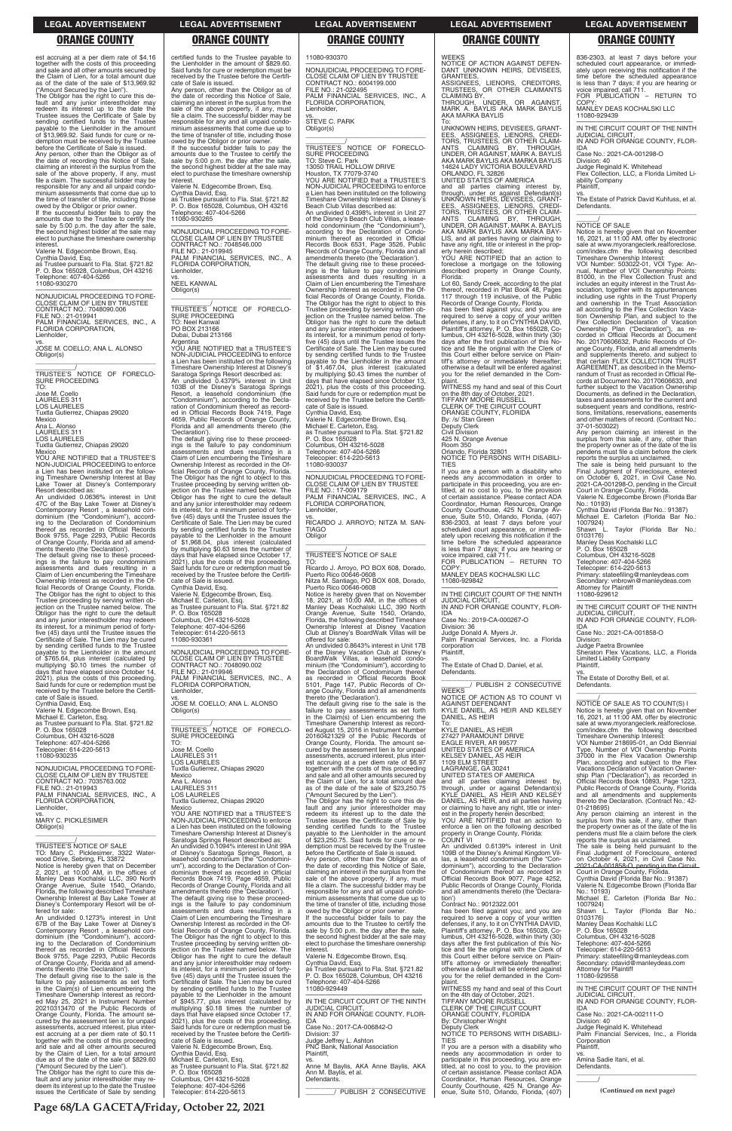est accruing at a per diem rate of \$4.16 together with the costs of this proceeding and sale and all other amounts secured by the Claim of Lien, for a total amount due as of the date of the sale of \$13,969.92 ("Amount Secured by the Lien").

The Obligor has the right to cure this de-fault and any junior interestholder may redeem its interest up to the date the Trustee issues the Certificate of Sale by sending certified funds to the Trustee payable to the Lienholder in the amount of \$13,969.92. Said funds for cure or re-demption must be received by the Trustee before the Certificate of Sale is issued. Any person, other than the Obligor as of the date of recording this Notice of Sale, claiming an interest in the surplus from the sale of the above property, if any, must file a claim. The successful bidder may be responsible for any and all unpaid condominium assessments that come due up to the time of transfer of title, including those

NONJUDICIAL PROCEEDING TO FORE-NONJUDICIAL PROCEEDING TO FORE-CLOSE CLAIM OF LIEN BY TRUSTEE CONTRACT NO.: 7048090.006 FILE NO.: 21-019941 PALM FINANCIAL SERVICES, INC., A FLORIDA CORPORATION, Lienholder,

owed by the Obligor or prior owner. If the successful bidder fails to pay the amounts due to the Trustee to certify the sale by 5:00 p.m. the day after the sale, the second highest bidder at the sale may elect to purchase the timeshare ownership interest.

Valerie N. Edgecombe Brown, Esq. Cynthia David, Esq.

as Trustee pursuant to Fla. Stat. §721.82 P. O. Box 165028, Columbus, OH 43216 Telephone: 407-404-5266 11080-930270

vs. JOSE M. COELLO; ANA L. ALONSO Obligor(s)

\_\_\_\_\_\_\_\_\_\_\_\_\_\_\_\_\_\_\_\_\_\_\_\_\_\_\_\_\_\_\_\_\_ \_\_\_\_\_\_\_\_\_\_\_/ TRUSTEE'S NOTICE OF FORECLO-SURE PROCEEDING

TO: Jose M. Coello LAURELES 311 LOS LAURELES Tuxtla Gutierrez, Chiapas 29020 Mexico Ana L. Alonso LAURELES 311 LOS LAURELES Tuxtla Gutierrez, Chiapas 29020

Mexico YOU ARE NOTIFIED that a TRUSTEE'S NON-JUDICIAL PROCEEDING to enforce a Lien has been instituted on the following Timeshare Ownership Interest at Bay Lake Tower at Disney's Contemporary Resort described as:

An undivided 0.0636% interest in Unit 47C of the Bay Lake Tower at Disney's Contemporary Resort , a leasehold condominium (the "Condominium"), according to the Declaration of Condominium thereof as recorded in Official Records Book 9755, Page 2293, Public Records of Orange County, Florida and all amend-ments thereto (the 'Declaration').

The default giving rise to these proceed-ings is the failure to pay condominium assessments and dues resulting in a Claim of Lien encumbering the Timeshare Ownership Interest as recorded in the Of-ficial Records of Orange County, Florida. The Obligor has the right to object to this Trustee proceeding by serving written ob-jection on the Trustee named below. The Obligor has the right to cure the default and any junior interestholder may redeem its interest, for a minimum period of fortyfive (45) days until the Trustee issues the Certificate of Sale. The Lien may be cured by sending certified funds to the Trustee payable to the Lienholder in the amount<br>of \$765.64. nlue interest (1) of \$765.64, plus interest (calculated by multiplying \$0.10 times the number of days that have elapsed since October 14, 2021), plus the costs of this proceeding. Said funds for cure or redemption must be received by the Trustee before the Certificate of Sale is issued. Cynthia David, Esq.

—————————————————— NONJUDICIAL PROCEEDING TO FORE-CLOSE CLAIM OF LIEN BY TRUSTEE CONTRACT NO.: 7048546.000 FILE NO.: 21-019945 PALM FINANCIAL SERVICES, INC., A FLORIDA CORPORATION, **Lienholder** 

Valerie N. Edgecombe Brown, Esq. Michael E. Carleton, Esq. as Trustee pursuant to Fla. Stat. §721.82 P. O. Box 165028 Columbus, OH 43216-5028 Telephone: 407-404-5266 Telecopier: 614-220-5613 11080-930235

—————————————————— NONJUDICIAL PROCEEDING TO FORE-CLOSE CLAIM OF LIEN BY TRUSTEE CONTRACT NO.: 7035763.002 FILE NO.: 21-019943 PALM FINANCIAL SERVICES, INC., A FLORIDA CORPORATION, Lienholder, vs. MARY C. PICKLESIMER

Obligor(s)

vs. JOSE M. COELLO; ANA L. ALONSO Obligor(s)  $\overline{\phantom{a}}$  , and the set of the set of the set of the set of the set of the set of the set of the set of the set of the set of the set of the set of the set of the set of the set of the set of the set of the set of the s

TRUSTEE'S NOTICE OF FORECLO-SURE PROCEEDING TO:

certified funds to the Trustee payable to the Lienholder in the amount of \$829.60. Said funds for cure or redemption must be received by the Trustee before the Certificate of Sale is issued.

Any person, other than the Obligor as of the date of recording this Notice of Sale, claiming an interest in the surplus from the sale of the above property, if any, must file a claim. The successful bidder may be responsible for any and all unpaid condominium assessments that come due up to the time of transfer of title, including those owed by the Obligor or prior owner. If the successful bidder fails to pay the amounts due to the Trustee to certify the sale by 5:00 p.m. the day after the sale, the second highest bidder at the sale may

elect to purchase the timeshare ownership interest Valerie N. Edgecombe Brown, Esq. Cynthia David, Esq. as Trustee pursuant to Fla. Stat. §721.82 P. O. Box 165028, Columbus, OH 43216 Telephone: 407-404-5266

11080-930265

vs. NEEL KANWAL Obligor(s) \_\_\_\_\_\_\_\_\_\_\_\_\_\_\_\_\_\_\_\_\_\_\_\_\_\_\_\_\_\_\_\_\_

\_\_\_\_\_\_\_\_\_\_\_/ TRUSTEE'S NOTICE OF FORECLO-SURE PROCEEDING TO: Neel Kanwal PO BOX 213166 Dubai, Dubai 213166 Argentina YOU ARE NOTIFIED that a TRUSTEE'S NON-JUDICIAL PROCEEDING to enforce a Lien has been instituted on the following

Timeshare Ownership Interest at Disney's Saratoga Springs Resort described as: An undivided 0.4379% interest in Unit 103B of the Disney's Saratoga Springs Resort, a leasehold condominium (the "Condominium"), according to the Declaration of Condominium thereof as record-ed in Official Records Book 7419, Page 4659, Public Records of Orange County, Florida and all amendments thereto (the 'Declaration'). The default giving rise to these proceed-ings is the failure to pay condominium assessments and dues resulting in a

Claim of Lien encumbering the Timeshare Ownership Interest as recorded in the Of-ficial Records of Orange County, Florida. The Obligor has the right to object to this Trustee proceeding by serving written ob-jection on the Trustee named below. The Obligor has the right to cure the default and any junior interestholder may redeem its interest, for a minimum period of fortyfive (45) days until the Trustee issues the Certificate of Sale. The Lien may be cured by sending certified funds to the Trustee payable to the Lienholder in the amount<br>of \$1,968.04 plus interests of \$1,968.04, plus interest (calculated by multiplying \$0.63 times the number of days that have elapsed since October 17, 2021), plus the costs of this proceeding. Said funds for cure or redemption must be received by the Trustee before the Certificate of Sale is issued.

**WEEKS** NOTICE OF ACTION AGAINST DEFEN-DANT UNKNOWN HEIRS, DEVISEES, **GRANTEES** ASSIGNEES, LIENORS, CREDITORS, TRUSTEES, OR OTHER CLAIMANTS CLAIMING BY, THROUGH, UNDER, OR AGAINST, MARK A. BAYLIS AKA MARK BAYLIS

ANTS CLAIMING BY, THROUGH,<br>UNDER, OR AGAINST, MARK A. BAYLIS AKA MARK BAYLIS AKA MARKA BAYLIS 14624 LADY VICTORIA BOULEVARD ORLANDO, FL 32826 UNITED STATES OF AMERICA

Cynthia David, Esq. Valerie N. Edgecombe Brown, Esq. Michael E. Carleton, Esq. as Trustee pursuant to Fla. Stat. §721.82 P. O. Box 165028 Columbus, OH 43216-5028 Telephone: 407-404-5266 Telecopier: 614-220-5613 11080-930361

and all parties claiming interest by,<br>through, under or against Defendant(s)<br>UNKNOWN HEIRS, DEVISEES, GRANT-<br>EES, ASSIGNEES, UENORS, CREDI-<br>TORS, TRUSTEES, OR OTHER CLAIM-<br>ANTS CLAIMING BY, THROUGH,<br>UNDER, OR AGAINST, MARK AKA MARK BAYLIS AKA MARKA BAY-LIS, and all parties having or claiming to have any right, title or interest in the property herein described; YOU ARE NOTIFIED that an action to

—————————————————— NONJUDICIAL PROCEEDING TO FORE-CLOSE CLAIM OF LIEN BY TRUSTEE CONTRACT NO.: 7048090.002 FILE NO.: 21-019946

PALM FINANCIAL SERVICES, INC., A FLORIDA CORPORATION, Lienholder,

has been filed against you; and you are<br>required to serve a copy of your written<br>defenses, if any, to it on CYNTHIA DAVID,<br>Plaintiff's attorney, P. O. Box 165028, Co-<br>lumbus, OH 43216-5028, within thirty (30) days after the first publication of this Notice and file the original with the Clerk of this Court either before service on Plaintiff's attorney or immediately thereafter; otherwise a default will be entered against you for the relief demanded in the Com-

Jose M. Coello LAURELES 311 LOS LAURELES

Tuxtla Gutierrez, Chiapas 29020 Mexico Ana L. Alonso

LAURELES 311

If you are a person with a disability who needs any accommodation in order to participate in this proceeding, you are en-titled, at no cost to you, to the provision of certain assistance. Please contact ADA Coordinator, Human Resources, Orange County Courthouse, 425 N. Orange Av-enue, Suite 510, Orlando, Florida, (407) 836-2303, at least 7 days before your scheduled court appearance, or immediately upon receiving this notification if the time before the scheduled appearance is less than 7 days; if you are hearing or voice impaired, call 711. FOR PUBLICATION -- RETURN TO COPY

LOS LAURELES Tuxtla Gutierrez, Chiapas 29020 Mexico

YOU ARE NOTIFIED that a TRUSTEE'S NON-JUDICIAL PROCEEDING to enforce a Lien has been instituted on the following

IDA Case No.: 2019-CA-000267-O Division: 36

\_\_\_\_\_\_\_\_\_\_\_\_\_\_\_\_\_\_\_\_\_\_\_\_\_\_\_\_\_\_\_ \_\_\_\_\_\_\_\_/ PUBLISH 2 CONSECUTIVE **WEEKS** 

11080-930370

vs. The Estate of Patrick David Kuhfuss, et al. Defendants.  $\overline{\phantom{a}}$  ,  $\overline{\phantom{a}}$  ,  $\overline{\phantom{a}}$  ,  $\overline{\phantom{a}}$  ,  $\overline{\phantom{a}}$  ,  $\overline{\phantom{a}}$  ,  $\overline{\phantom{a}}$  ,  $\overline{\phantom{a}}$  ,  $\overline{\phantom{a}}$  ,  $\overline{\phantom{a}}$  ,  $\overline{\phantom{a}}$  ,  $\overline{\phantom{a}}$  ,  $\overline{\phantom{a}}$  ,  $\overline{\phantom{a}}$  ,  $\overline{\phantom{a}}$  ,  $\overline{\phantom{a}}$ 

# $\frac{1}{\text{NOTICE}}$  OF SALE

—————————————————— NONJUDICIAL PROCEEDING TO FORE-CLOSE CLAIM OF LIEN BY TRUSTEE CONTRACT NO.: 6004199.000 FILE NO.: 21-022495 PALM FINANCIAL SERVICES, INC., A FLORIDA CORPORATION, Lienholder,

> Notice is hereby given that on November 16, 2021, at 11:00 AM, offer by electronic sale at www.myorangeclerk.realforeclose. com/index.cfm the following described com/index.cfm the following<br>Timeshare Ownership Interes

vs. STEVE C. PARK Obligor(s)

 $\overline{\phantom{a}}$  ,  $\overline{\phantom{a}}$  ,  $\overline{\phantom{a}}$  ,  $\overline{\phantom{a}}$  ,  $\overline{\phantom{a}}$  ,  $\overline{\phantom{a}}$  ,  $\overline{\phantom{a}}$  ,  $\overline{\phantom{a}}$  ,  $\overline{\phantom{a}}$  ,  $\overline{\phantom{a}}$  ,  $\overline{\phantom{a}}$  ,  $\overline{\phantom{a}}$  ,  $\overline{\phantom{a}}$  ,  $\overline{\phantom{a}}$  ,  $\overline{\phantom{a}}$  ,  $\overline{\phantom{a}}$ \_\_\_\_\_\_\_\_\_\_\_/ TRUSTEE'S NOTICE OF FORECLO-SURE PROCEEDING TO: Steve C. Park 13050 TRAIL HOLLOW DRIVE Houston, TX 77079-3740 YOU ARE NOTIFIED that a TRUSTEE'S NON-JUDICIAL PROCEEDING to enforce a Lien has been instituted on the following Timeshare Ownership Interest at Disney's Beach Club Villas described as: An undivided 0.4398% interest in Unit 27 of the Disney's Beach Club Villas, a leasehold condominium (the "Condominium"), according to the Declaration of Condo-minium thereof as recorded in Official Records Book 6531, Page 3526, Public Records of Orange County, Florida and all amendments thereto (the 'Declaration'). The default giving rise to these proceed-ings is the failure to pay condominium assessments and dues resulting in a Claim of Lien encumbering the Timeshare Ownership Interest as recorded in the Of-ficial Records of Orange County, Florida. The Obligor has the right to object to this Trustee proceeding by serving written ob-jection on the Trustee named below. The Obligor has the right to cure the default and any junior interestholder may redeem its interest, for a minimum period of fortyfive (45) days until the Trustee issues the Certificate of Sale. The Lien may be cured by sending certified funds to the Trustee payable to the Lienholder in the amount<br>of \$1.467.04 plus interest of \$1,467.04, plus interest (calculated by multiplying \$0.43 times the number of days that have elapsed since October 13, 2021), plus the costs of this proceeding. Said funds for cure or redemption must be received by the Trustee before the Certifi-cate of Sale is issued. Cynthia David, Esq. Valerie N. Edgecombe Brown, Esq. Michael E. Carleton, Esq. as Trustee pursuant to Fla. Stat. §721.82 P. O. Box 165028 Columbus, OH 43216-5028 Telephone: 407-404-5266 Telecopier: 614-220-5613 11080-930037 —————————————————— NONJUDICIAL PROCEEDING TO FORE-CLOSE CLAIM OF LIEN BY TRUSTEE FILE NO.: 17-009179 PALM FINANCIAL SERVICES, INC., A FLORIDA CORPORATION, Lienholder, vs. RICARDO J. ARROYO; NITZA M. SAN-TIAGO **Obligor** 

|                                              | Timeshare Ownership Interest at Disney's     | pavable to the Lienholder in the amount        | property in Orange County, Florida:          | pendens must file a claim before the clerk |
|----------------------------------------------|----------------------------------------------|------------------------------------------------|----------------------------------------------|--------------------------------------------|
|                                              | Saratoga Springs Resort described as:        | of \$23,250.75. Said funds for cure or re-     | <b>COUNT VI</b>                              | reports the surplus as unclaimed.          |
| TRUSTEE'S NOTICE OF SALE                     | An undivided 0.1094% interest in Unit 99A    | demption must be received by the Trustee       | An undivided 0.6139% interest in Unit        | The sale is being held pursuant to the     |
| TO: Mary C. Picklesimer, 3322 Water-         | of Disney's Saratoga Springs Resort, a       | before the Certificate of Sale is issued.      | 109B of the Disney's Animal Kingdom Vil-     | Final Judgment of Foreclosure, entered     |
| wood Drive, Sebring, FL 33872                | leasehold condominium (the "Condomini-       | Any person, other than the Obligor as of       | las, a leasehold condominium (the "Con-      | on October 4, 2021, in Civil Case No.      |
| Notice is hereby given that on December      | um"), according to the Declaration of Con-   | the date of recording this Notice of Sale,     | dominium"), according to the Declaration     | 2021-CA-001858-O, pending in the Circuit   |
| 2, 2021, at 10:00 AM, in the offices of      | dominium thereof as recorded in Official     | claiming an interest in the surplus from the   | of Condominium thereof as recorded in        | Court in Orange County, Florida.           |
| Manley Deas Kochalski LLC, 390 North         | Records Book 7419, Page 4659, Public         | sale of the above property, if any, must       | Official Records Book 9077, Page 4252,       | Cynthia David (Florida Bar No.: 91387)     |
| Orange Avenue, Suite 1540, Orlando,          | Records of Orange County, Florida and all    | file a claim. The successful bidder may be     | Public Records of Orange County, Florida     | Valerie N. Edgecombe Brown (Florida Bar    |
| Florida, the following described Timeshare   | amendments thereto (the 'Declaration').      | responsible for any and all unpaid condo-      | and all amendments thereto (the 'Declara-    | No.: 10193)                                |
| Ownership Interest at Bay Lake Tower at      | The default giving rise to these proceed-    | minium assessments that come due up to         | tion')                                       | Michael E. Carleton (Florida Bar No.:      |
| Disney's Contemporary Resort will be of-     | ings is the failure to pay condominium       | the time of transfer of title, including those | Contract No.: 9012322.001                    | 1007924)                                   |
| fered for sale:                              | assessments and dues resulting in a          | owed by the Obligor or prior owner.            | has been filed against you; and you are      | Shawn L.<br>Taylor (Florida Bar No.:       |
| An undivided 0.1273% interest in Unit        | Claim of Lien encumbering the Timeshare      | If the successful bidder fails to pay the      | required to serve a copy of your written     | 0103176)                                   |
| 67B of the Bay Lake Tower at Disney's        | Ownership Interest as recorded in the Of-    | amounts due to the Trustee to certify the      | defenses, if any, to it on CYNTHIA DAVID,    | Manley Deas Kochalski LLC                  |
| Contemporary Resort, a leasehold con-        | ficial Records of Orange County, Florida.    | sale by 5:00 p.m. the day after the sale,      | Plaintiff's attorney, P. O. Box 165028, Co-  | P. O. Box 165028                           |
| dominium (the "Condominium"), accord-        | The Obligor has the right to object to this  | the second highest bidder at the sale may      | lumbus, OH 43216-5028, within thirty (30)    | Columbus, OH 43216-5028                    |
| ing to the Declaration of Condominium        | Trustee proceeding by serving written ob-    | elect to purchase the timeshare ownership      | days after the first publication of this No- | Telephone: 407-404-5266                    |
| thereof as recorded in Official Records      | jection on the Trustee named below. The      | interest.                                      | tice and file the original with the Clerk of | Telecopier: 614-220-5613                   |
| Book 9755, Page 2293, Public Records         | Obligor has the right to cure the default    | Valerie N. Edgecombe Brown, Esg.               | this Court either before service on Plain-   | Primary: stateefiling@manleydeas.com       |
| of Orange County, Florida and all amend-     | and any junior interestholder may redeem     | Cynthia David, Esg.                            | tiff's attorney or immediately thereafter;   | Secondary: cdavid@manleydeas.com           |
| ments thereto (the 'Declaration').           | its interest, for a minimum period of forty- | as Trustee pursuant to Fla. Stat. §721.82      | otherwise a default will be entered against  | Attorney for Plaintiff                     |
| The default giving rise to the sale is the   | five (45) days until the Trustee issues the  | P. O. Box 165028. Columbus. OH 43216           | vou for the relief demanded in the Com-      | 11080-929558                               |
| failure to pay assessments as set forth      | Certificate of Sale. The Lien may be cured   | Telephone: 407-404-5266                        | plaint.                                      |                                            |
| in the Claim(s) of Lien encumbering the      | by sending certified funds to the Trustee    | 11080-929449                                   | WITNESS my hand and seal of this Court       | IN THE CIRCUIT COURT OF THE NINTH          |
| Timeshare Ownership Interest as record-      | payable to the Lienholder in the amount      |                                                | on the 4th day of October, 2021.             | <b>JUDICIAL CIRCUIT.</b>                   |
| ed May 25, 2021 in Instrument Number         | of \$945.77, plus interest (calculated by    | IN THE CIRCUIT COURT OF THE NINTH              | <b>TIFFANY MOORE RUSSELL</b>                 | IN AND FOR ORANGE COUNTY, FLOR-            |
| 20210313470 of the Public Records of         | multiplying \$0.18 times the number of       | <b>JUDICIAL CIRCUIT.</b>                       | CLERK OF THE CIRCUIT COURT                   | IDA                                        |
| Orange County, Florida. The amount se-       | days that have elapsed since October 17,     | IN AND FOR ORANGE COUNTY, FLOR-                | ORANGE COUNTY, FLORIDA                       | Case No.: 2021-CA-002111-O                 |
| cured by the assessment lien is for unpaid   | 2021), plus the costs of this proceeding.    | <b>IDA</b>                                     | By: Christopher Wright                       | Division: 40                               |
| assessments, accrued interest, plus inter-   | Said funds for cure or redemption must be    | Case No.: 2017-CA-006842-O                     | Deputy Clerk                                 | Judge Reginald K. Whitehead                |
| est accruing at a per diem rate of \$0.11    | received by the Trustee before the Certifi-  | Division: 37                                   | NOTICE TO PERSONS WITH DISABILI-             | Palm Financial Services, Inc., a Florida   |
| together with the costs of this proceeding   | cate of Sale is issued.                      | Judge Jeffrey L. Ashton                        | <b>TIES</b>                                  | Corporation                                |
| and sale and all other amounts secured       | Valerie N. Edgecombe Brown, Esg.             | PNC Bank, National Association                 | If you are a person with a disability who    | Plaintiff,                                 |
| by the Claim of Lien, for a total amount     | Cynthia David, Esq.                          | Plaintiff,                                     | needs any accommodation in order to          | VS.                                        |
| due as of the date of the sale of \$829.60   | Michael E. Carleton, Esq.                    | VS.                                            | participate in this proceeding, you are en-  | Amina Sadie Itani, et al.                  |
| ("Amount Secured by the Lien").              | as Trustee pursuant to Fla. Stat. §721.82    | Anne M Baylis, AKA Anne Baylis, AKA            | titled, at no cost to you, to the provision  | Defendants.                                |
| The Obligor has the right to cure this de-   | P. O. Box 165028                             | Ann M. Baylis, et al.                          | of certain assistance. Please contact ADA    |                                            |
| fault and any junior interestholder may re-  | Columbus, OH 43216-5028                      | Defendants.                                    | Coordinator, Human Resources, Orange         |                                            |
| deem its interest up to the date the Trustee | Telephone: 407-404-5266                      |                                                | County Courthouse, 425 N. Orange Av-         | (Continued on next page)                   |
| issues the Certificate of Sale by sending    | Telecopier: 614-220-5613                     | PUBLISH 2 CONSECUTIVE                          | enue, Suite 510, Orlando, Florida, (407)     |                                            |

\_\_\_\_\_\_\_\_\_\_\_/ TRUSTEE'S NOTICE OF SALE

TO:

 $\overline{\phantom{a}}$  ,  $\overline{\phantom{a}}$  ,  $\overline{\phantom{a}}$  ,  $\overline{\phantom{a}}$  ,  $\overline{\phantom{a}}$  ,  $\overline{\phantom{a}}$  ,  $\overline{\phantom{a}}$  ,  $\overline{\phantom{a}}$  ,  $\overline{\phantom{a}}$  ,  $\overline{\phantom{a}}$  ,  $\overline{\phantom{a}}$  ,  $\overline{\phantom{a}}$  ,  $\overline{\phantom{a}}$  ,  $\overline{\phantom{a}}$  ,  $\overline{\phantom{a}}$  ,  $\overline{\phantom{a}}$ 

Ricardo J. Arroyo, PO BOX 608, Dorado, Puerto Rico 00646-0608 Nitza M. Santiago, PO BOX 608, Dorado, Puerto Rico 00646-0608 Notice is hereby given that on November 18, 2021, at 10:00 AM, in the offices of Manley Deas Kochalski LLC, 390 North Orange Avenue, Suite 1540, Orlando, Florida, the following described Timeshare Ownership Interest at Disney Vacation Club at Disney's BoardWalk Villas will be offered for sale: An undivided 0.8643% interest in Unit 17B of the Disney Vacation Club at Disney's BoardWalk Villas, a leasehold condo-minium (the "Condominium"), according to the Declaration of Condominium thereof as recorded in Official Records Book 5101, Page 147, Public Records of Orange County, Florida and all amendments thereto (the 'Declaration'). The default giving rise to the sale is the

failure to pay assessments as set forth in the Claim(s) of Lien encumbering the Timeshare Ownership Interest as recorded August 15, 2016 in Instrument Number 20160421329 of the Public Records of Orange County, Florida. The amount secured by the assessment lien is for unpaid assessments, accrued interest, plus inter-est accruing at a per diem rate of \$6.97 together with the costs of this proceeding and sale and all other amounts secured by the Claim of Lien, for a total amount due as of the date of the sale of \$23,250.75

("Amount Secured by the Lien"). The Obligor has the right to cure this default and any junior interestholder may redeem its interest up to the date the Trustee issues the Certificate of Sale by sending certified funds to the Trustee

AKA MARKA BAYLIS To: UNKNOWN HEIRS, DEVISEES, GRANT-EES, ASSIGNEES, LIENORS, CREDI-TORS, TRUSTEES, OR OTHER CLAIM-

foreclose a mortgage on the following described property in Orange County, Florida: Lot 60, Sandy Creek, according to the plat

thereof, recorded in Plat Book 48, Pages 117 through 119 inclusive, of the Public Records of Orange County, Florida.

plaint. WITNESS my hand and seal of this Court on the 8th day of October, 2021. TIFFANY MOORE RUSSELL CLERK OF THE CIRCUIT COURT ORANGE COUNTY, FLORIDA By: /s/ Stan Green Deputy Clerk Civil Division 425 N. Orange Avenue Room 350 Orlando, Florida 32801 NOTICE TO PERSONS WITH DISABILI-

TIES

MANLEY DEAS KOCHALSKI LLC 11080-929842

—————————————————— IN THE CIRCUIT COURT OF THE NINTH JUDICIAL CIRCUIT, IN AND FOR ORANGE COUNTY, FLOR-

Judge Donald A. Myers Jr. Palm Financial Services, Inc. a Florida corporation Plaintiff,

vs. The Estate of Chad D. Daniel, et al. Defendants.

NOTICE OF ACTION AS TO COUNT VI AGAINST DEFENDANT KYLE DANIEL, AS HEIR AND KELSEY DANIEL, AS HEIR

To: KYLE DANIEL, AS HEIR 27427 PARAMOUNT DRIVE EAGLE RIVER, AR 99577 UNITED STATES OF AMERICA

KELSEY DANIEL, AS HEIR 1109 ELM STREET

LAGRANGE, GA 30241 UNITED STATES OF AMERICA and all parties claiming interest by, through, under or against Defendant(s) KYLE DANIEL, AS HEIR AND KELSEY DANIEL, AS HEIR, and all parties having

or claiming to have any right, title or inter-est in the property herein described; YOU ARE NOTIFIED that an action to enforce a lien on the following described

836-2303, at least 7 days before your scheduled court appearance, or immediately upon receiving this notification if the time before the scheduled appearance is less than 7 days; if you are hearing or voice impaired, call 711. FOR PUBLICATION – RETURN TO

COPY: MANLEY DEAS KOCHALSKI LLC 11080-929439

————————————————————<br>IN THE CIRCUIT COURT OF THE NINTH JUDICIAL CIRCUIT, IN AND FOR ORANGE COUNTY, FLOR-

IDA Case No.: 2021-CA-001298-O

Division: 40

Judge Reginald K. Whitehead Flex Collection, LLC, a Florida Limited Li-ability Company Plaintiff,

VOI Number: 503022-01, VOI Type: Annual, Number of VOI Ownership Points: 81000, in the Flex Collection Trust and includes an equity interest in the Trust Association, together with its appurtenances including use rights in the Trust Property and ownership in the Trust Association all according to the Flex Collection Vaca-tion Ownership Plan, and subject to the Flex Collection Declaration of Vacation Ownership Plan ("Declaration"), as re-corded in Official Records at Document No. 20170606632, Public Records of Orange County, Florida, and all amendments and supplements thereto, and subject to that certain FLEX COLLECTION TRUST AGREEMENT, as described in the Memo-randum of Trust as recorded in Official Records at Document No. 20170606633, and further subject to the Vacation Ownership Documents, as defined in the Declaration, taxes and assessments for the current and subsequent years and conditions, restric-tions, limitations, reservations, easements

and other matters of record. (Contract No.: 37-01-503022) Any person claiming an interest in the

surplus from this sale, if any, other than the property owner as of the date of the lis pendens must file a claim before the clerk reports the surplus as unclaimed.

The sale is being held pursuant to the Final Judgment of Foreclosure, entered on October 6, 2021, in Civil Case No. 2021-CA-001298-O, pending in the Circuit Court in Orange County, Florida. Valerie N. Edgecombe Brown (Florida Bar

No.: 10193) Cynthia David (Florida Bar No.: 91387) Michael E. Carleton (Florida Bar No.:

1007924) Shawn L. Taylor (Florida Bar No.:

0103176) Manley Deas Kochalski LLC P. O. Box 165028 Columbus, OH 43216-5028

Telephone: 407-404-5266 Telecopier: 614-220-5613

Primary: stateefiling@manleydeas.com

Secondary: vnbrown@manleydeas.com Attorney for Plaintiff 11080-929612

—————————————————— IN THE CIRCUIT COURT OF THE NINTH JUDICIAL CIRCUIT, IN AND FOR ORANGE COUNTY, FLOR-

IDA Case No.: 2021-CA-001858-O Division: Judge Paetra Brownlee Sheraton Flex Vacations, LLC, a Florida Limited Liability Company Plaintiff,

vs. The Estate of Dorothy Bell, et al. Defendants.

\_\_\_\_\_\_/ NOTICE OF SALE AS TO COUNT(S) I Notice is hereby given that on November 16, 2021, at 11:00 AM, offer by electronic sale at www.myorangeclerk.realforeclose. com/index.cfm the following described

 $\overline{a_1}$  ,  $\overline{a_2}$  ,  $\overline{a_3}$  ,  $\overline{a_4}$  ,  $\overline{a_5}$  ,  $\overline{a_6}$  ,  $\overline{a_7}$  ,  $\overline{a_8}$  ,  $\overline{a_9}$  ,  $\overline{a_9}$  ,  $\overline{a_9}$  ,  $\overline{a_9}$  ,  $\overline{a_9}$  ,  $\overline{a_9}$  ,  $\overline{a_9}$  ,  $\overline{a_9}$  ,  $\overline{a_9}$  ,

Timeshare Ownership Interest: VOI Number 218695-01, an Odd Biennial Type, Number of VOI Ownership Points 37000 in the Flex Vacation Ownership Plan, according and subject to the Flex Vacations Declaration of Vacation Ownership Plan ("Declaration"), as recorded in Official Records Book 10893, Page 1223, Public Records of Orange County, Florida and all amendments and supplements thereto the Declaration. (Contract No.: 42- 01-218695)

Any person claiming an interest in the surplus from this sale, if any, other than the property owner as of the date of the lis

### **LEGAL ADVERTISEMENT LEGAL ADVERTISEMENT LEGAL ADVERTISEMENT LEGAL ADVERTISEMENT LEGAL ADVERTISEMENT**

# **ORANGE COUNTY ORANGE COUNTY ORANGE COUNTY ORANGE COUNTY ORANGE COUNTY**

**Page 68/LA GACETA/Friday, October 22, 2021**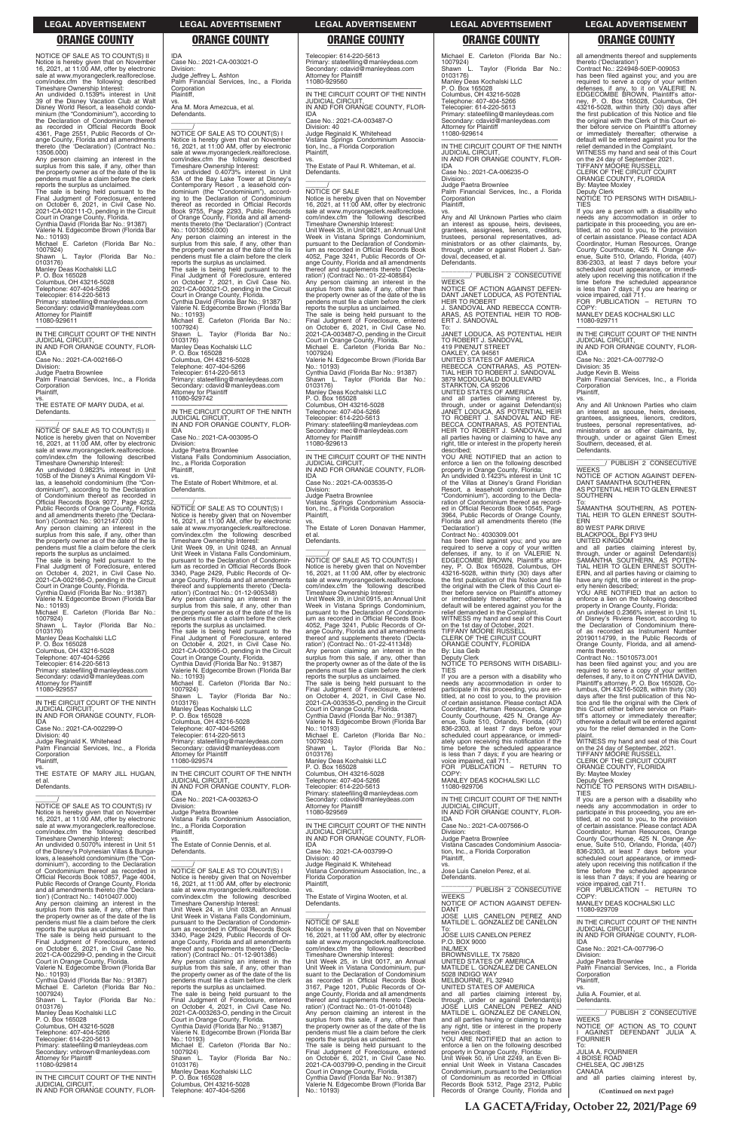|  | <b>LEGAL ADVERTISEMENT</b> |
|--|----------------------------|
|  |                            |
|  |                            |

NOTICE OF SALE AS TO COUNT(S) II Notice is hereby given that on November 16, 2021, at 11:00 AM, offer by electronic sale at www.myorangeclerk.realforeclose. com/index.cfm the following described

Timeshare Ownership Interest: An undivided 0.1539% interest in Unit 39 of the Disney Vacation Club at Walt Disney World Resort, a leasehold condo-minium (the "Condominium"), according to the Declaration of Condominium thereof

as recorded in Official Records Book 4361, Page 2551, Public Records of Or-ange County, Florida and all amendments thereto (the 'Declaration') (Contract No.: 13506.000)

Any person claiming an interest in the surplus from this sale, if any, other than the property owner as of the date of the lis pendens must file a claim before the clerk reports the surplus as unclaimed.

The sale is being held pursuant to the Final Judgment of Foreclosure, entered on October 6, 2021, in Civil Case No. 2021-CA-002111-O, pending in the Circuit

Court in Orange County, Florida. Cynthia David (Florida Bar No.: 91387) Valerie N. Edgecombe Brown (Florida Bar No.: 10193)

Michael E. Carleton (Florida Bar No.: 1007924) Shawn L. Taylor (Florida Bar No.:

0103176) Manley Deas Kochalski LLC P. O. Box 165028 Columbus, OH 43216-5028 Telephone: 407-404-5266 Telecopier: 614-220-5613

Primary: stateefiling@manleydeas.com Secondary: cdavid@manleydeas.com Attorney for Plaintiff 11080-929611

—————————————————— IN THE CIRCUIT COURT OF THE NINTH JUDICIAL CIRCUIT, IN AND FOR ORANGE COUNTY, FLOR-IDA Case No.: 2021-CA-002166-O Division: Judge Paetra Brownlee

Palm Financial Services, Inc., a Florida Corporation Plaintiff,

vs. THE ESTATE OF MARY DUDA, et al. Defendants. \_\_\_\_\_\_\_\_\_\_\_\_\_\_\_\_\_\_\_\_\_\_\_\_\_\_\_\_\_\_\_\_\_

 $\overline{\phantom{a}}$  , and the set of the set of the set of the set of the set of the set of the set of the set of the set of the set of the set of the set of the set of the set of the set of the set of the set of the set of the s  $\frac{1}{\text{NOTICE}}$  OF SALE AS TO COUNT(S) IV Notice is hereby given that on November 16, 2021, at 11:00 AM, offer by electronic sale at www.myorangeclerk.realforeclose.

\_\_\_\_\_\_/ NOTICE OF SALE AS TO COUNT(S) II Notice is hereby given that on November 16, 2021, at 11:00 AM, offer by electronic sale at www.myorangeclerk.realforeclose. com/index.cfm the following described Timeshare Ownership Interest:

An undivided 0.9823% interest in Unit 105B of the Disney's Animal Kingdom Vil-las, a leasehold condominium (the "Condominium"), according to the Declaration of Condominium thereof as recorded in Official Records Book 9077, Page 4252, Public Records of Orange County, Florida and all amendments thereto (the 'Declara-tion') (Contract No.: 9012147.000)

Any person claiming an interest in the surplus from this sale, if any, other than the property owner as of the date of the lis pendens must file a claim before the clerk reports the surplus as unclaimed.

Ana M. Mora Amezcua, et al. Defendants.  $\overline{\phantom{a}}$  , and the set of the set of the set of the set of the set of the set of the set of the set of the set of the set of the set of the set of the set of the set of the set of the set of the set of the set of the s

The sale is being held pursuant to the Final Judgment of Foreclosure, entered on October 4, 2021, in Civil Case No. 2021-CA-002166-O, pending in the Circuit Court in Orange County, Florida. Cynthia David (Florida Bar No.: 91387) Valerie N. Edgecombe Brown (Florida Bar

No.: 10193) Michael E. Carleton (Florida Bar No.: 1007924) Shawn L. Taylor (Florida Bar No.:

0103176) Manley Deas Kochalski LLC P. O. Box 165028

Columbus, OH 43216-5028 Telephone: 407-404-5266 Telecopier: 614-220-5613

Primary: stateefiling@manleydeas.com Secondary: cdavid@manleydeas.com Attorney for Plaintiff

11080-929557

—————————————————— IN THE CIRCUIT COURT OF THE NINTH JUDICIAL CIRCUIT, IN AND FOR ORANGE COUNTY, FLOR-IDA

Case No.: 2021-CA-002299-O Division: 40 Judge Reginald K. Whitehead Palm Financial Services, Inc., a Florida Corporation Plaintiff,

vs. THE ESTATE OF MARY JILL HUGAN, et al. Defendants.

IDA

Division: Judge Jeffrey L. Ashton Palm Financial Services, Inc., a Florida **Corporation** Plaintiff, vs.

> IDA<br>Case No : 2021-CA-003487-O Case No.: 2021-CA-003487-O Division: 40 Judge Reginald K. Whitehead Vistana Springs Condominium Associa-tion, Inc., a Florida Corporation

> vs. The Estate of Paul R. Whiteman, et al. Defendants.  $\overline{\phantom{a}}$  , and the set of the set of the set of the set of the set of the set of the set of the set of the set of the set of the set of the set of the set of the set of the set of the set of the set of the set of the s

# $\frac{\gamma}{\text{NOTICE}}$  OF SALE

\_\_\_\_\_\_/ NOTICE OF SALE AS TO COUNT(S) I Notice is hereby given that on November 16, 2021, at 11:00 AM, offer by electronic sale at www.myorangeclerk.realforeclose. com/index.cfm the following described

Timeshare Ownership Interest: An undivided 0.4073% interest in Unit 53A of the Bay Lake Tower at Disney's Contemporary Resort , a leasehold con-dominium (the "Condominium"), according to the Declaration of Condominium thereof as recorded in Official Records Book 9755, Page 2293, Public Records of Orange County, Florida and all amend-ments thereto (the 'Declaration') (Contract No.: 10013650.000)

Any person claiming an interest in the surplus from this sale, if any, other than the property owner as of the date of the lis pendens must file a claim before the clerk reports the surplus as unclaimed. The sale is being held pursuant to the Final Judgment of Foreclosure, entered

on October 7, 2021, in Civil Case No. 2021-CA-003021-O, pending in the Circuit Court in Orange County, Florida. Cynthia David (Florida Bar No.: 91387) Valerie N. Edgecombe Brown (Florida Bar No.: 10193) Michael E. Carleton (Florida Bar No.: 1007924) Shawn L. Taylor (Florida Bar No.: 0103176) Manley Deas Kochalski LLC P. O. Box 165028

Columbus, OH 43216-5028 Telephone: 407-404-5266 Telecopier: 614-220-5613 Primary: stateefiling@manleydeas.com Secondary: cdavid@manleydeas.com Attorney for Plaintiff 11080-929742

—————————————————— IN THE CIRCUIT COURT OF THE NINTH JUDICIAL CIRCUIT, IN AND FOR ORANGE COUNTY, FLOR-IDA

Case No.: 2021-CA-003095-O

Division: Judge Paetra Brownlee Vistana Falls Condominium Association, Inc., a Florida Corporation Plaintiff,

vs. The Estate of Robert Whitmore, et al. Defendants. \_\_\_\_\_\_\_\_\_\_\_\_\_\_\_\_\_\_\_\_\_\_\_\_\_\_\_\_\_\_\_\_\_

\_\_\_\_\_\_/ NOTICE OF SALE AS TO COUNT(S) I Notice is hereby given that on November 16, 2021, at 11:00 AM, offer by electronic sale at www.myorangeclerk.realforeclose. com/index.cfm the following described Timeshare Ownership Interest: Unit Week 09, in Unit 0248, an Annual Unit Week in Vistana Falls Condominium, pursuant to the Declaration of Condomin-ium as recorded in Official Records Book 3340, Page 2429, Public Records of Or-ange County, Florida and all amendments thereof and supplements thereto ('Declaration') (Contract No.: 01-12-905348) Any person claiming an interest in the surplus from this sale, if any, other than the property owner as of the date of the lis pendens must file a claim before the clerk reports the surplus as unclaimed.

vs. Any and All Unknown Parties who claim an interest as spouse, heirs, devisees, grantees, assignees, lienors, creditors, trustees, personal representatives, administrators or as other claimants, by, through, under or against Robert J. Sandoval, deceased, et al. Defendants.

The sale is being held pursuant to the Final Judgment of Foreclosure, entered on October 4, 2021, in Civil Case No. 2021-CA-003095-O, pending in the Circuit Court in Orange County, Florida. Cynthia David (Florida Bar No.: 91387) Valerie N. Edgecombe Brown (Florida Bar No.: 10193) Michael E. Carleton (Florida Bar No.: 1007924) Shawn L. Taylor (Florida Bar No.: 0103176) Manley Deas Kochalski LLC P. O. Box 165028 Columbus, OH 43216-5028

Telephone: 407-404-5266 Telecopier: 614-220-5613 Primary: stateefiling@manleydeas.com Secondary: cdavid@manleydeas.com Attorney for Plaintiff 11080-929574

—————————————————— IN THE CIRCUIT COURT OF THE NINTH JUDICIAL CIRCUIT, IN AND FOR ORANGE COUNTY, FLOR-IDA Case No.: 2021-CA-003263-O

Division: Judge Paetra Brownlee Vistana Falls Condominium Association,

Telecopier: 614-220-5613 Primary: stateefiling@manleydeas.com Secondary: cdavid@manleydeas.com Attorney for Plaintiff 11080-929560

—————————————————— IN THE CIRCUIT COURT OF THE NINTH JUDICIAL CIRCUIT, IN AND FOR ORANGE COUNTY, FLOR-

Plaintiff,

If you are a person with a disability who needs any accommodation in order to participate in this proceeding, you are en-titled, at no cost to you, to the provision of certain assistance. Please contact ADA Coordinator, Human Resources, Orange County Courthouse, 425 N. Orange Av-enue, Suite 510, Orlando, Florida, (407) 836-2303, at least 7 days before your scheduled court appearance, or immediately upon receiving this notification if the time before the scheduled appearance is less than 7 days; if you are hearing or voice impaired, call 711. FOR PUBLICATION – RETURN TO

Notice is hereby given that on November 16, 2021, at 11:00 AM, offer by electronic sale at www.myorangeclerk.realforeclose. com/index.cfm the following described Timeshare Ownership Interest: Unit Week 35, in Unit 0821, an Annual Unit Week in Vistana Springs Condominium, pursuant to the Declaration of Condomin-ium as recorded in Official Records Book 4052, Page 3241, Public Records of Orange County, Florida and all amendments thereof and supplements thereto ('Decla-ration') (Contract No.: 01-22-408584) Any person claiming an interest in the surplus from this sale, if any, other than the property owner as of the date of the lis pendens must file a claim before the clerk reports the surplus as unclaimed. The sale is being held pursuant to the Final Judgment of Foreclosure, entered on October 6, 2021, in Civil Case No. 2021-CA-003487-O, pending in the Circuit Court in Orange County, Florida. Michael E. Carleton (Florida Bar No.: 1007924) Valerie N. Edgecombe Brown (Florida Bar No.: 10193) Cynthia David (Florida Bar No.: 91387) L. Taylor (Florida Bar No.: Shawn L<br>0103176) Manley Deas Kochalski LLC P. O. Box 165028 Columbus, OH 43216-5028 Telephone: 407-404-5266 Telecopier: 614-220-5613 Primary: stateefiling@manleydeas.com Secondary: mec@manleydeas.com

Attorney for Plaintiff 11080-929613

—————————————————— IN THE CIRCUIT COURT OF THE NINTH JUDICIAL CIRCUIT, IN AND FOR ORANGE COUNTY, FLOR-IDA

Case No.: 2021-CA-003535-O Division: Judge Paetra Brownlee Vistana Springs Condominium Associa-tion, Inc., a Florida Corporation

Plaintiff,

vs. The Estate of Loren Donavan Hammer, et al. Defendants.

 $\overline{\phantom{a}}$  , and the set of the set of the set of the set of the set of the set of the set of the set of the set of the set of the set of the set of the set of the set of the set of the set of the set of the set of the s

\_\_\_\_\_\_/ NOTICE OF SALE AS TO COUNT(S) I Notice is hereby given that on November 16, 2021, at 11:00 AM, offer by electronic sale at www.myorangeclerk.realforeclose. com/index.cfm the following described Timeshare Ownership Interest: Unit Week 39, in Unit 0915, an Annual Unit Week in Vistana Springs Condominium, pursuant to the Declaration of Condomin-ium as recorded in Official Records Book 4052, Page 3241, Public Records of Orange County, Florida and all amendments thereof and supplements thereto ('Decla-ration') (Contract No.: 01-22-411348) Any person claiming an interest in the surplus from this sale, if any, other than the property owner as of the date of the lis pendens must file a claim before the clerk reports the surplus as unclaimed. The sale is being held pursuant to the Final Judgment of Foreclosure, entered on October 4, 2021, in Civil Case No. 2021-CA-003535-O, pending in the Circuit Court in Orange County, Florida. Cynthia David (Florida Bar No.: 91387) Valerie N. Edgecombe Brown (Florida Bar No.: 10193) Michael E. Carleton (Florida Bar No.: 1007924) Shawn L. Taylor (Florida Bar No.: 0103176) Manley Deas Kochalski LLC P. O. Box 165028 Columbus, OH 43216-5028 Telephone: 407-404-5266 Telecopier: 614-220-5613 Primary: stateefiling@manleydeas.com Secondary: cdavid@manleydeas.com Attorney for Plaintiff 11080-929569

—————————————————— IN THE CIRCUIT COURT OF THE NINTH

| sale at www.myorangeclerk.realforeclose.            | Inc., a Florida Corporation                                                  | IN THE CIRCUIT COURT OF THE NINTH                                                    | Case No.: 2021-CA-007566-O                              | of certain assistance. Please contact ADA       |
|-----------------------------------------------------|------------------------------------------------------------------------------|--------------------------------------------------------------------------------------|---------------------------------------------------------|-------------------------------------------------|
| com/index.cfm the following described               | Plaintiff.                                                                   | <b>JUDICIAL CIRCUIT.</b>                                                             | Division:                                               | Coordinator, Human Resources, Orange            |
| Timeshare Ownership Interest:                       | VS.                                                                          | IN AND FOR ORANGE COUNTY. FLOR-                                                      | Judge Paetra Brownlee                                   | County Courthouse, 425 N. Orange Av-            |
| An undivided 0.5070% interest in Unit 51            | The Estate of Connie Dennis, et al.                                          | <b>IDA</b>                                                                           | Vistana Cascades Condominium Associa-                   | enue, Suite 510, Orlando, Florida, (407)        |
| of the Disney's Polynesian Villas & Bunga-          | Defendants.                                                                  | Case No.: 2021-CA-003799-O                                                           | tion, Inc., a Florida Corporation                       | 836-2303, at least 7 days before your           |
| lows, a leasehold condominium (the "Con-            |                                                                              | Division: 40                                                                         | Plaintiff.                                              | scheduled court appearance, or immedi-          |
| dominium"), according to the Declaration            |                                                                              | Judge Reginald K. Whitehead                                                          | VS.                                                     | ately upon receiving this notification if the   |
| of Condominium thereof as recorded in               | NOTICE OF SALE AS TO COUNT(S) I                                              | Vistana Condominium Association, Inc., a                                             | Jose Luis Canelon Perez, et al.                         | time before the scheduled appearance            |
| Official Records Book 10857, Page 4004,             | Notice is hereby given that on November                                      | Florida Corporation                                                                  | Defendants.                                             | is less than 7 days; if you are hearing or      |
| Public Records of Orange County, Florida            | 16, 2021, at 11:00 AM, offer by electronic                                   | Plaintiff.                                                                           |                                                         | voice impaired, call 711.                       |
| and all amendments thereto (the 'Declara-           | sale at www.myorangeclerk.realforeclose.                                     | VS.                                                                                  | PUBLISH 2 CONSECUTIVE                                   | FOR PUBLICATION - RETURN TO                     |
| tion') (Contract No.: 14010407.000)                 | com/index.cfm the following described                                        | The Estate of Virgina Wooten, et al.                                                 | <b>WEEKS</b>                                            | COPY:                                           |
| Any person claiming an interest in the              | Timeshare Ownership Interest:                                                | Defendants.                                                                          | NOTICE OF ACTION AGAINST DEFEN-                         | MANLEY DEAS KOCHALSKI LLC                       |
| surplus from this sale, if any, other than          | Unit Week 24, in Unit 0338, an Annual                                        |                                                                                      | DANT                                                    | 11080-929709                                    |
| the property owner as of the date of the lis        | Unit Week in Vistana Falls Condominium.                                      |                                                                                      | JOSE LUIS CANELON PEREZ AND                             |                                                 |
| pendens must file a claim before the clerk          | pursuant to the Declaration of Condomin-                                     | <b>NOTICE OF SALE</b>                                                                | MATILDE L. GONZALEZ DE CANELON                          | IN THE CIRCUIT COURT OF THE NINTH               |
| reports the surplus as unclaimed.                   | jum as recorded in Official Records Book                                     | Notice is hereby given that on November                                              | To:                                                     | <b>JUDICIAL CIRCUIT.</b>                        |
| The sale is being held pursuant to the              | 3340, Page 2429, Public Records of Or-                                       | 16, 2021, at 11:00 AM, offer by electronic                                           | JOSE LUIS CANELON PEREZ                                 | IN AND FOR ORANGE COUNTY, FLOR-                 |
| Final Judgment of Foreclosure, entered              | ange County, Florida and all amendments                                      | sale at www.myorangeclerk.realforeclose.                                             | P.O. BOX 9000                                           | <b>IDA</b>                                      |
| on October 6, 2021, in Civil Case No.               | thereof and supplements thereto ('Decla-                                     | com/index.cfm the following described                                                | <b>INL/MEX</b>                                          | Case No.: 2021-CA-007796-O                      |
| 2021-CA-002299-O, pending in the Circuit            | ration') (Contract No.: 01-12-901386)                                        | Timeshare Ownership Interest:                                                        | BROWNSVILLE, TX 75820                                   | Division:                                       |
| Court in Orange County, Florida.                    | Any person claiming an interest in the                                       | Unit Week 25, in Unit 0017, an Annual                                                | UNITED STATES OF AMERICA                                | Judge Paetra Brownlee                           |
| Valerie N. Edgecombe Brown (Florida Bar             | surplus from this sale, if any, other than                                   | Unit Week in Vistana Condominium, pur-                                               | MATILDE L. GONZALEZ DE CANELON                          | Palm Financial Services, Inc., a Florida        |
| No.: 10193)                                         | the property owner as of the date of the lis                                 | suant to the Declaration of Condominium                                              | 5028 INDIGO WAY                                         | Corporation                                     |
| Cynthia David (Florida Bar No.: 91387)              | pendens must file a claim before the clerk                                   | as recorded in Official Records Book                                                 | MELBOURNE, FL 32940                                     | Plaintiff.                                      |
| Michael E. Carleton (Florida Bar No.:               | reports the surplus as unclaimed.                                            | 3167, Page 1201, Public Records of Or-                                               | UNITED STATES OF AMERICA                                | VS.                                             |
| 1007924)                                            | The sale is being held pursuant to the                                       | ange County, Florida and all amendments                                              | and all parties claiming interest by,                   | Julia A. Fournier, et al.                       |
| Taylor (Florida Bar No.:<br>Shawn L                 | Final Judgment of Foreclosure, entered                                       | thereof and supplements thereto ('Decla-                                             | through, under or against Defendant(s)                  | Defendants.                                     |
| 0103176)                                            | on October 4, 2021, in Civil Case No.                                        | ration') (Contract No.: 01-01-001048)                                                | JOSE LUIS CANELON PEREZ AND                             |                                                 |
| Manley Deas Kochalski LLC                           |                                                                              |                                                                                      | MATILDE L. GONZALEZ DE CANELON.                         | PUBLISH 2 CONSECUTIVE                           |
| P. O. Box 165028                                    | 2021-CA-003263-O, pending in the Circuit<br>Court in Orange County, Florida. | Any person claiming an interest in the<br>surplus from this sale, if any, other than | and all parties having or claiming to have              | <b>WEEKS</b>                                    |
| Columbus, OH 43216-5028                             |                                                                              |                                                                                      |                                                         | NOTICE OF ACTION AS TO COUNT                    |
|                                                     | Cynthia David (Florida Bar No.: 91387)                                       | the property owner as of the date of the lis                                         | any right, title or interest in the property            |                                                 |
| Telephone: 407-404-5266<br>Telecopier: 614-220-5613 | Valerie N. Edgecombe Brown (Florida Bar<br>No.: 10193)                       | pendens must file a claim before the clerk                                           | herein described;<br>YOU ARE NOTIFIED that an action to | I AGAINST DEFENDANT JULIA A.<br><b>FOURNIER</b> |
|                                                     |                                                                              | reports the surplus as unclaimed.                                                    |                                                         | To:                                             |
| Primary: stateefiling@manleydeas.com                | Michael E. Carleton (Florida Bar No.:                                        | The sale is being held pursuant to the                                               | enforce a lien on the following described               | <b>JULIA A. FOURNIER</b>                        |
| Secondary: vnbrown@manleydeas.com                   | 1007924)                                                                     | Final Judgment of Foreclosure, entered                                               | property in Orange County, Florida:                     | 4 BOISE ROAD                                    |
| <b>Attorney for Plaintiff</b>                       | Taylor (Florida Bar No.:<br>Shawn L.                                         | on October 6, 2021, in Civil Case No.                                                | Unit Week 50, in Unit 2249, an Even Bi-                 |                                                 |
| 11080-929814                                        | 0103176)                                                                     | 2021-CA-003799-O, pending in the Circuit                                             | ennial Unit Week in Vistana Cascades                    | CHELSEA, QC J9B1Z5                              |
|                                                     | Manley Deas Kochalski LLC                                                    | Court in Orange County, Florida.                                                     | Condominium, pursuant to the Declaration                | CANADA                                          |
| IN THE CIRCUIT COURT OF THE NINTH                   | P. O. Box 165028                                                             | Cynthia David (Florida Bar No.: 91387)                                               | of Condominium as recorded in Official                  | and all parties claiming interest by,           |
| <b>JUDICIAL CIRCUIT.</b>                            | Columbus, OH 43216-5028                                                      | Valerie N. Edgecombe Brown (Florida Bar                                              | Records Book 5312, Page 2312, Public                    |                                                 |
| IN AND FOR ORANGE COUNTY, FLOR-                     | Telephone: 407-404-5266                                                      | No.: 10193)                                                                          | Records of Orange County, Florida and                   | (Continued on next page)                        |

Case No.: 2021-CA-003021-O **ORANGE COUNTY ORANGE COUNTY ORANGE COUNTY ORANGE COUNTY ORANGE COUNTY**

Michael E. Carleton (Florida Bar No.: 1007924) L. Taylor (Florida Bar No.: 0103176) Manley Deas Kochalski LLC P. O. Box 165028 Columbus, OH 43216-5028 Telephone: 407-404-5266 Telecopier: 614-220-5613 Primary: stateefiling@manleydeas.com Secondary: cdavid@manleydeas.com Attorney for Plaintiff 11080-929614

—————————————————— IN THE CIRCUIT COURT OF THE NINTH JUDICIAL CIRCUIT, IN AND FOR ORANGE COUNTY, FLOR-IDA

Case No.: 2021-CA-006235-O Division:

Judge Paetra Brownlee Palm Financial Services, Inc., a Florida Corporation

Plaintiff,

\_\_\_\_\_\_\_\_\_\_\_\_\_\_\_\_\_\_\_\_\_\_\_\_\_\_\_\_\_\_\_ \_\_\_\_\_\_\_\_/ PUBLISH 2 CONSECUTIVE WEEKS NOTICE OF ACTION AGAINST DEFEN-DANT JANET LODUCA, AS POTENTIAL

HEIR TO ROBERT J. SANDOVAL AND REBECCA CONTR-ARAS, AS POTENTIAL HEIR TO ROB-ERT J. SANDOVAL To: JANET LODUCA, AS POTENTIAL HEIR

TO ROBERT J. SANDOVAL 419 PINENUT STREET OAKLEY, CA 94561

UNITED STATES OF AMERICA REBECCA CONTRARAS, AS POTEN-TIAL HEIR TO ROBERT J. SANDOVAL 3879 MCDOUGALD BOULEVARD STARKTON, CA 95206 UNITED STATES OF AMERICA

and all parties claiming interest by, through, under or against Defendant(s) JANET LODUCA, AS POTENTIAL HEIR TO ROBERT J. SANDOVAL AND RE-BECCA CONTRARAS, AS POTENTIAL HEIR TO ROBERT J. SANDOVAL, and all parties having or claiming to have any right, title or interest in the property herein described;

YOU ARE NOTIFIED that an action to enforce a lien on the following described property in Orange County, Florida:

An undivided 0.1423% interest in Unit 1C of the Villas at Disney's Grand Floridian Resort, a leasehold condominium (the "Condominium"), according to the Decla-ration of Condominium thereof as recorded in Official Records Book 10545, Page 3964, Public Records of Orange County, Florida and all amendments thereto (the

'Declaration') Contract No.: 4030309.001 has been filed against you; and you are required to serve a copy of your written<br>defenses, if any, to it on VALERIE N.<br>EDGECOMBE BROWN, Plaintiff's attor-<br>ney, P. O. Box 165028, Columbus, OH 43216-5028, within thirty (30) days after the first publication of this Notice and file the original with the Clerk of this Court either before service on Plaintiff's attorney or immediately thereafter; otherwise a default will be entered against you for the

relief demanded in the Complaint. WITNESS my hand and seal of this Court on the 1st day of October, 2021. TIFFANY MOORE RUSSELL CLERK OF THE CIRCUIT COURT ORANGE COUNTY, FLORIDA

By: Lisa Geib

Deputy Clerk NOTICE TO PERSONS WITH DISABILI-TIES

If you are a person with a disability who needs any accommodation in order to participate in this proceeding, you are en-titled, at no cost to you, to the provision of certain assistance. Please contact ADA Coordinator, Human Resources, Orange County Courthouse, 425 N. Orange Av-enue, Suite 510, Orlando, Florida, (407) 836-2303, at least 7 days before your scheduled court appearance, or immediately upon receiving this notification if the time before the scheduled appearance is less than 7 days; if you are hearing or voice impaired, call 711. FOR PUBLICATION – RETURN TO

COPY: MANLEY DEAS KOCHALSKI LLC 11080-929706

—————————————————— IN THE CIRCUIT COURT OF THE NINTH JUDICIAL CIRCUIT, IN AND FOR ORANGE COUNTY, FLOR-

IDA Case No.: 2021-CA-007566-O

all amendments thereof and supplements<br>thereto ('Declaration')

thereto ('Declaration') Contract No.: 224948-50EP-009053 has been filed against you; and you are required to serve a copy of your written<br>defenses, if any, to it on VALERIE N.<br>EDGECOMBE BROWN, Plaintiff's attor-<br>ney, P. O. Box 165028, Columbus, OH<br>43216-5028, within thirty (30) days after<br>the first publication of this the original with the Clerk of this Court either before service on Plaintiff's attorney or immediately thereafter; otherwise a default will be entered against you for the relief demanded in the Complaint. WITNESS my hand and seal of this Court on the 24 day of September 2021.

TIFFANY MOORE RUSSELL CLERK OF THE CIRCUIT COURT ORANGE COUNTY, FLORIDA

By: Maytee Moxley

Deputy Clerk NOTICE TO PERSONS WITH DISABILI-TIES

COPY: MANLEY DEAS KOCHALSKI LLC

11080-929711 —————————————————— IN THE CIRCUIT COURT OF THE NINTH

JUDICIAL CIRCUIT, IN AND FOR ORANGE COUNTY, FLOR-IDA

Case No.: 2021-CA-007792-O

Division: 35 Judge Kevin B. Weiss

Palm Financial Services, Inc., a Florida Corporation Plaintiff, vs. Any and All Unknown Parties who claim

an interest as spouse, heirs, devisees, grantees, assignees, lienors, creditors, trustees, personal representatives, administrators or as other claimants, by, through, under or against Glen Ernest

Southern, deceased, et al.

Defendants.

**SOUTHERN** 

**WEEKS** 

\_\_\_\_\_\_\_\_\_\_\_\_\_\_\_\_\_\_\_\_\_\_\_\_\_\_\_\_\_\_\_ \_\_\_\_\_\_\_\_/ PUBLISH 2 CONSECUTIVE

NOTICE OF ACTION AGAINST DEFEN-DANT SAMANTHA SOUTHERN, AS POTENTIAL HEIR TO GLEN ERNEST

To: SAMANTHA SOUTHERN, AS POTEN-TIAL HEIR TO GLEN ERNEST SOUTH-

ERN 80 WEST PARK DRIVE BLACKPOOL, Bpl FY3 9HU UNITED KINGDOM

and all parties claiming interest by, through, under or against Defendant(s)<br>SAMANTHA SOUTHERN, AS POTEN-<br>TIAL HEIR TO GLEN ERNEST SOUTH-ERN, and all parties having or claiming to have any right, title or interest in the prop-

erty herein described;

YOU ARE NOTIFIED that an action to enforce a lien on the following described property in Orange County, Florida: An undivided 0.2366% interest in Unit 1L of Disney's Riviera Resort, according to the Declaration of Condominium there-

of as recorded as Instrument Number 20190114799, in the Public Records of Orange County, Florida, and all amend-

has been filed against you; and you are required to serve a copy of your written<br>defenses, if any, to it on CYNTHIA DAVID,<br>Plaintiff's attorney, P. O. Box 165028, Co-<br>lumbus, OH 43216-5028, within thirty (30)

ments thereto. Contract No.: 15010573.001

days after the first publication of this Notice and file the original with the Clerk of this Court either before service on Plaintiff's attorney or immediately thereafter; otherwise a default will be entered against you for the relief demanded in the Com-

plaint.

WITNESS my hand and seal of this Court on the 24 day of September, 2021. TIFFANY MOORE RUSSELL CLERK OF THE CIRCUIT COURT ORANGE COUNTY, FLORIDA By: Maytee Moxley

NOTICE TO PERSONS WITH DISABILI-

TIES

Deputy Clerk

If you are a person with a disability who needs any accommodation in order to participate in this proceeding, you are en-titled, at no cost to you, to the provision

### **LEGAL ADVERTISEMENT LEGAL ADVERTISEMENT LEGAL ADVERTISEMENT LEGAL ADVERTISEMENT LEGAL ADVERTISEMENT**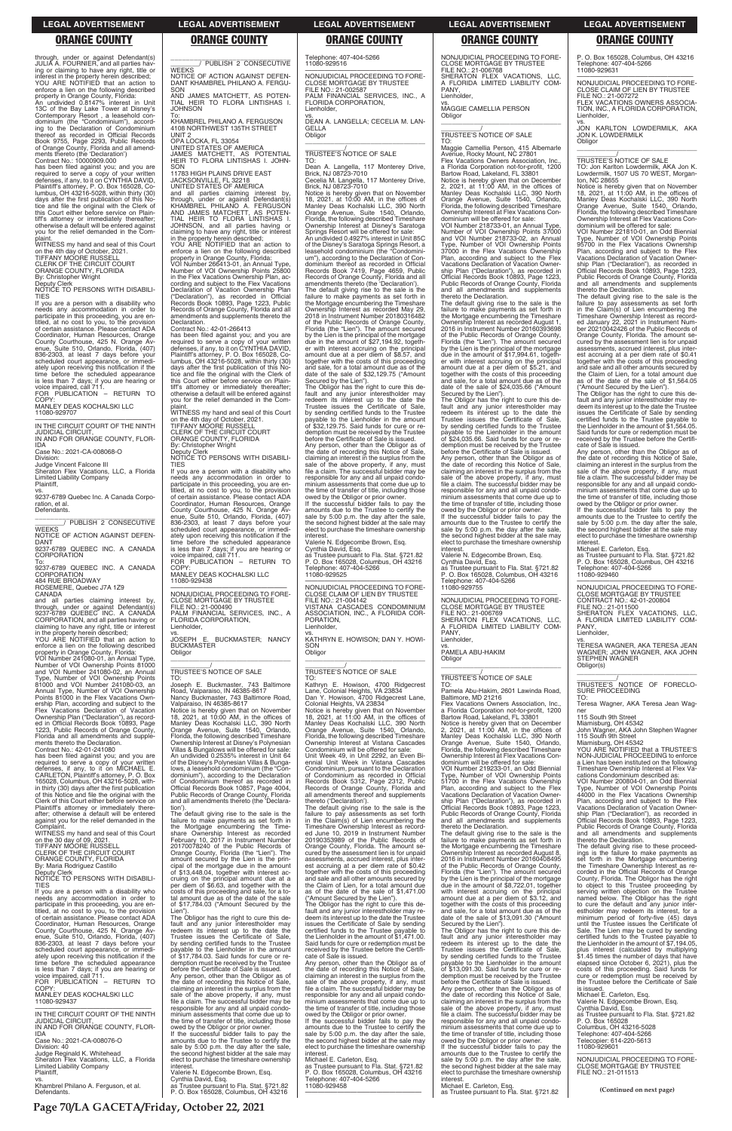through, under or against Defendant(s) JULIA A. FOURNIER, and all parties having or claiming to have any right, title or interest in the property herein described; YOU ARE NOTIFIED that an action to enforce a lien on the following described

property in Orange County, Florida: An undivided 0.8147% interest in Unit 13C of the Bay Lake Tower at Disney's Contemporary Resort , a leasehold con-dominium (the "Condominium"), according to the Declaration of Condominium thereof as recorded in Official Records Book 9755, Page 2293, Public Records of Orange County, Florida and all amend-ments thereto (the 'Declaration') Contract No.: 10000909.000

on the 4th day of October, 2021. TIFFANY MOORE RUSSELL CLERK OF THE CIRCUIT COURT ORANGE COUNTY, FLORIDA By: Christopher Wright

has been filed against you; and you are required to serve a copy of your written defenses, if any, to it on CYNTHIA DAVID, Plaintiff's attorney, P. O. Box 165028, Co-lumbus, OH 43216-5028, within thirty (30) days after the first publication of this Notice and file the original with the Clerk of this Court either before service on Plain-tiff's attorney or immediately thereafter; otherwise a default will be entered against you for the relief demanded in the plaint. WITNESS my hand and seal of this Court

\_\_\_\_\_\_\_\_\_\_\_\_\_\_\_\_\_\_\_\_\_\_\_\_\_\_\_\_\_\_\_ \_\_\_\_\_\_\_\_/ PUBLISH 2 CONSECUTIVE **WEEKS** 

Deputy Clerk NOTICE TO PERSONS WITH DISABILI-TIES

If you are a person with a disability who needs any accommodation in order to participate in this proceeding, you are entitled, at no cost to you, to the provision of certain assistance. Please contact ADA Coordinator, Human Resources, Orange County Courthouse, 425 N. Orange Avenue, Suite 510, Orlando, Florida, (407) 836-2303, at least 7 days before your scheduled court appearance, or immediately upon receiving this notification if the time before the scheduled appearance is less than 7 days; if you are hearing or voice impaired, call 711. FOR PUBLICATION – RETURN TO

COPY: MANLEY DEAS KOCHALSKI LLC 11080-929707

—————————————————— IN THE CIRCUIT COURT OF THE NINTH JUDICIAL CIRCUIT, IN AND FOR ORANGE COUNTY, FLOR-

IDA Case No.: 2021-CA-008068-O

Division:

Judge Vincent Falcone III Sheraton Flex Vacations, LLC, a Florida Limited Liability Company Plaintiff,

vs. 9237-6789 Quebec Inc. A Canada Corporation, et al. Defendants.

NOTICE OF ACTION AGAINST DEFEN-DANT 9237-6789 QUEBEC INC. A CANADA

**CORPORATION** 

To: 9237-6789 QUEBEC INC. A CANADA CORPORATION

484 RUE BROADWAY

ROSEMERE, Quebec J7A 1Z9 CANADA

and all parties claiming interest by, through, under or against Defendant(s) 9237-6789 QUEBEC INC. A CANADA CORPORATION, and all parties having or claiming to have any right, title or interest

UNITED STATES OF AMERICA JAMES MATCHETT, AS POTENTIAL TO FLORA LINTISHAS I. JOHN-

and all parties claiming interest by,<br>through, under or against Defendant(s)<br>KHAMBREL PHILANO A. FERGUSON<br>AND JAMES MATCHETT, AS POTEN-<br>TIAL HEIR TO FLORA LINTISHAS I.

in the property herein described; YOU ARE NOTIFIED that an action to enforce a lien on the following described

property in Orange County, Florida: VOI Number 241080-01, an Annual Type, Number of VOI Ownership Points 81000 and VOI Number 241080-02, an Annual Type, Number of VOI Ownership Points 81000 and VOI Number 241080-03, an Annual Type, Number of VOI Ownership Points 81000 in the Flex Vacations Ownership Plan, according and subject to the Flex Vacations Declaration of Vacation Ownership Plan ("Declaration"), as record-ed in Official Records Book 10893, Page 1223, Public Records of Orange County, Florida and all amendments and supple-ments thereto the Declaration.

Contract No.: 42-01-241080

has been filed against you; and you are required to serve a copy of your written defenses, if any, to it on MICHAEL E. CARLETON, Plaintiff's attorney, P. O. Box 165028, Columbus, OH 43216-5028, within thirty (30) days after the first publication of this Notice and file the original with the Clerk of this Court either before service on Plaintiff's attorney or immediately there-<br>after: otherwise a default will be entered after: otherwise a default will be against you for the relief demanded in the

**BUCKMASTER** Obligor

\_\_\_\_\_\_\_\_\_\_\_\_\_\_\_\_\_\_\_\_\_\_\_\_\_\_\_\_\_\_\_ \_\_\_\_\_\_\_\_/ PUBLISH 2 CONSECUTIVE

NOTICE OF ACTION AGAINST DEFEN-DANT KHAMBREL PHILANO A. FERGU-

SON

AND JAMES MATCHETT, AS POTEN-TIAL HEIR TO FLORA LINTISHAS I.

To: KHAMBREL PHILANO A. FERGUSON 4108 NORTHWEST 135TH STREET

**WEEKS** 

**JOHNSON** 

UNIT 2

OPA LOCKA, FL 33054

SON

11783 HIGH PLAINS DRIVE EAST JACKSONVILLE, FL 32218 UNITED STATES OF AMERICA

JOHNSON, and all parties having or claiming to have any right, title or interest in the property herein described; YOU ARE NOTIFIED that an action to enforce a lien on the following described property in Orange County, Florida: VOI Number 266413-01, an Annual Type, Number of VOI Ownership Points 25800 in the Flex Vacations Ownership Plan, according and subject to the Flex Vacations Declaration of Vacation Ownership Plan ("Declaration"), as recorded in Official Records Book 10893, Page 1223, Public Records of Orange County, Florida and all amendments and supplements thereto the

Declaration.

Contract No.: 42-01-266413

has been filed against you; and you are required to serve a copy of your written defenses, if any, to it on CYNTHIA DAVID, Plaintiff's attorney, P. O. Box 165028, Co-lumbus, OH 43216-5028, within thirty (30)

days after the first publication of this No-tice and file the original with the Clerk of this Court either before service on Plaintiff's attorney or immediately thereafter; otherwise a default will be entered against you for the relief demanded in the Complaint. WITNESS my hand and seal of this Court

> vs. KATHRYN E. HOWISON; DAN Y. HOWI-**SON Obligor**  $\overline{\phantom{a}}$  , and the set of the set of the set of the set of the set of the set of the set of the set of the set of the set of the set of the set of the set of the set of the set of the set of the set of the set of the s

on the 4th day of October, 2021. TIFFANY MOORE RUSSELL CLERK OF THE CIRCUIT COURT ORANGE COUNTY, FLORIDA

By: Christopher Wright Deputy Clerk

NOTICE TO PERSONS WITH DISABILI-

TIES

Complaint. WITNESS my hand and seal of this Court on the 30 day of 09, 2021. TIFFANY MOORE RUSSELL CLERK OF THE CIRCUIT COURT ORANGE COUNTY, FLORIDA By: Maria Rodriguez Castillo Deputy Clerk NOTICE TO PERSONS WITH DISABILI-TIES If you are a person with a disability who needs any accommodation in order to participate in this proceeding, you are en-titled, at no cost to you, to the provision of certain assistance. Please contact ADA Coordinator, Human Resources, Orange County Courthouse, 425 N. Orange Av-enue, Suite 510, Orlando, Florida, (407) 836-2303, at least 7 days before your scheduled court appearance, or immedi-ately upon receiving this notification if the time before the scheduled appearance is less than 7 days; if you are hearing or voice impaired, call 711. FOR PUBLICATION – RETURN TO COPY: MANLEY DEAS KOCHALSKI LLC 11080-929437 —————————————————— IN THE CIRCUIT COURT OF THE NINTH JUDICIAL CIRCUIT, IN AND FOR ORANGE COUNTY, FLOR-IDA Case No.: 2021-CA-008076-O Division: 40 Judge Reginald K. Whitehead Sheraton Flex Vacations, LLC, a Florida Limited Liability Company Plaintiff, vs. Khambrel Philano A. Ferguson, et al. Defendants. interest.

If you are a person with a disability who needs any accommodation in order to participate in this proceeding, you are en-titled, at no cost to you, to the provision of certain assistance. Please contact ADA Coordinator, Human Resources, Orange County Courthouse, 425 N. Orange Avenue, Suite 510, Orlando, Florida, (407)

COPY:

11080-929438

CLOSE MORTGAGE BY TRUSTEE

FILE NO.: 21-000490

PALM FINANCIAL SERVICES, INC., A FLORIDA CORPORATION,

Lienholder,

vs. JOSEPH E. BUCKMASTER; NANCY

\_\_\_\_\_\_\_\_\_\_\_\_\_\_\_\_\_\_\_\_\_\_\_\_\_\_\_\_\_\_\_\_\_ \_\_\_\_\_\_\_\_\_\_\_/ TRUSTEE'S NOTICE OF SALE

TO:

NONJUDICIAL PROCEEDING TO FORE-CLOSE MORTGAGE BY TRUSTEE FILE NO.: 21-006768 SHERATON FLEX VACATIONS, LLC

Joseph E. Buckmaster, 743 Baltimore Road, Valparaiso, IN 46385-8617 Nancy Buckmaster, 743 Baltimore Road,

Valparaiso, IN 46385-8617

Notice is hereby given that on November 18, 2021, at 10:00 AM, in the offices of Manley Deas Kochalski LLC, 390 North Orange Avenue, Suite 1540, Orlando, Florida, the following described Timeshare Ownership Interest at Disney's Polynesian Villas & Bungalows will be offered for sale: An undivided 0.2535% interest in Unit 64 of the Disney's Polynesian Villas & Bungalows, a leasehold condominium (the "Condominium"), according to the Declaration of Condominium thereof as recorded in Official Records Book 10857, Page 4004, Public Records of Orange County, Florida and all amendments thereto (the 'Declara-

tion').

The default giving rise to the sale is the failure to make payments as set forth in

the Mortgage encumbering the Time-share Ownership Interest as recorded February 10, 2017 in Instrument Number 20170078240 of the Public Records of Orange County, Florida (the "Lien"). The amount secured by the Lien is the principal of the mortgage due in the amount of \$13,448.04, together with interest ac-cruing on the principal amount due at a per diem of \$6.63, and together with the costs of this proceeding and sale, for a to-tal amount due as of the date of the sale of \$17,784.03 ("Amount Secured by the Lien"). The Obligor has the right to cure this default and any junior interestholder may redeem its interest up to the date the Trustee issues the Certificate of Sale, by sending certified funds to the Trustee payable to the Lienholder in the amount of \$17,784.03. Said funds for cure or redemption must be received by the Trustee before the Certificate of Sale is issued. Any person, other than the Obligor as of the date of recording this Notice of Sale, claiming an interest in the surplus from the sale of the above property, if any, must file a claim. The successful bidder may be responsible for any and all unpaid condo-minium assessments that come due up to the time of transfer of title, including those owed by the Obligor or prior owner. If the successful bidder fails to pay the amounts due to the Trustee to certify the sale by 5:00 p.m. the day after the sale, the second highest bidder at the sale may elect to purchase the timeshare ownership Valerie N. Edgecombe Brown, Esq. Cynthia David, Esq. as Trustee pursuant to Fla. Stat. §721.82 P. O. Box 165028, Columbus, OH 43216

a Florida Corporation not-for-profit, 1200<br>Bartow Road, Lakeland, FL 33801<br>Notice is hereby given that on December<br>2, 2021, at 11:00 AM, in the offices of<br>Manley Deas Kochalski LLC, 390 North<br>Orange Avenue, Suite 1540, Orl Florida, the following described Timeshare Ownership Interest at Flex Vacations Con-dominium will be offered for sale:

836-2303, at least 7 days before your scheduled court appearance, or immediately upon receiving this notification if the time before the scheduled appearance is less than 7 days; if you are hearing or voice impaired, call 711. FOR PUBLICATION – RETURN TO MANLEY DEAS KOCHALSKI LLC —————————————————— NONJUDICIAL PROCEEDING TO FOREinterest.

Telephone: 407-404-5266 11080-929516

—————————————————— NONJUDICIAL PROCEEDING TO FORE-CLOSE MORTGAGE BY TRUSTEE FILE NO.: 21-002587 PALM FINANCIAL SERVICES, INC., A FLORIDA CORPORATION, Lienholder,

vs. DEAN A. LANGELLA; CECELIA M. LAN-GELLA **Obligor** \_\_\_\_\_\_\_\_\_\_\_\_\_\_\_\_\_\_\_\_\_\_\_\_\_\_\_\_\_\_\_\_\_

\_\_\_\_\_\_\_\_\_\_\_/ TRUSTEE'S NOTICE OF SALE TO:

Dean A. Langella, 117 Monterey Drive, Brick, NJ 08723-7010 Cecelia M. Langella, 117 Monterey Drive, Brick, NJ 08723-7010

—————————————————— NONJUDICIAL PROCEEDING TO FORE-CLOSE CLAIM OF LIEN BY TRUSTEE FILE NO.: 21-007272 FLEX VACATIONS OWNERS ASSOCIA-TION, INC., A FLORIDA CORPORATION, **Lienholder** 

Notice is hereby given that on November<br>18, 2021, at 11:00 AM, in the offices of<br>Manley Deas Kochalski LLC, 390 North<br>Orange Avenue, Suite 1540, Orlando,<br>Florida, the following described Timeshare<br>Ownership Interest at Fle dominium will be offered for sale:

Notice is hereby given that on November 18, 2021, at 10:00 AM, in the offices of Manley Deas Kochalski LLC, 390 North Orange Avenue, Suite 1540, Orlando, Florida, the following described Timeshare Ownership Interest at Disney's Saratoga Springs Resort will be offered for sale: An undivided 0.4927% interest in Unit 85C of the Disney's Saratoga Springs Resort, a leasehold condominium (the "Condomini-um"), according to the Declaration of Condominium thereof as recorded in Official Records Book 7419, Page 4659, Public Records of Orange County, Florida and all amendments thereto (the 'Declaration'). The default giving rise to the sale is the failure to make payments as set forth in

the Mortgage encumbering the Timeshare Ownership Interest as recorded May 29, 2018 in Instrument Number 20180316482 of the Public Records of Orange County, Florida (the "Lien"). The amount secured by the Lien is the principal of the mortgage due in the amount of \$27,194.92, together with interest accruing on the principal amount due at a per diem of \$8.57, and together with the costs of this proceeding and sale, for a total amount due as of the date of the sale of \$32,129.75 ("Amount

> owed by the Obligor or prior owner. If the successful bidder fails to pay the amounts due to the Trustee to certify the sale by 5:00 p.m. the day after the sale, the second highest bidder at the sale may elect to purchase the timeshare ownership interes

Secured by the Lien"). The Obligor has the right to cure this de-fault and any junior interestholder may redeem its interest up to the date the Trustee issues the Certificate of Sale, by sending certified funds to the Trustee payable to the Lienholder in the amount<br>of \$32.129.75. Soid function \$32,129.75. Said funds for cure or redemption must be received by the Trustee before the Certificate of Sale is issued. Any person, other than the Obligor as of the date of recording this Notice of Sale, claiming an interest in the surplus from the sale of the above property, if any, must file a claim. The successful bidder may be responsible for any and all unpaid condominium assessments that come due up to the time of transfer of title, including those owed by the Obligor or prior owner.

If the successful bidder fails to pay the amounts due to the Trustee to certify the sale by 5:00 p.m. the day after the sale. the second highest bidder at the sale may elect to purchase the timeshare ownership

Valerie N. Edgecombe Brown, Esq. Cynthia David, Esq. as Trustee pursuant to Fla. Stat. §721.82 P. O. Box 165028, Columbus, OH 43216 Telephone: 407-404-5266 11080-929525

—————————————————— NONJUDICIAL PROCEEDING TO FORE-CLOSE CLAIM OF LIEN BY TRUSTEE FILE NO.: 21-004142 VISTANA CASCADES CONDOMINIUM ASSOCIATION, INC., A FLORIDA COR-PORATION, Lienholder,

# \_\_\_\_\_\_\_\_\_\_\_/ TRUSTEE'S NOTICE OF SALE

TO: Kathryn E. Howison, 4700 Ridgecrest Lane, Colonial Heights, VA 23834 Dan Y. Howison, 4700 Ridgecrest Lane, Colonial Heights, VA 23834

Notice is hereby given that on November 18, 2021, at 11:00 AM, in the offices of Manley Deas Kochalski LLC, 390 North Orange Avenue, Suite 1540, Orlando, Florida, the following described Timeshare Ownership Interest at Vistana Cascades Condominium will be offered for sale:

Unit Week 49, in Unit 2292, an Even Bi-ennial Unit Week in Vistana Cascades Condominium, pursuant to the Declaration of Condominium as recorded in Official Records Book 5312, Page 2312, Public Records of Orange County, Florida and all amendments thereof and supplements thereto ('Declaration').

The default giving rise to the sale is the failure to pay assessments as set forth in the Claim(s) of Lien encumbering the Timeshare Ownership Interest as recorded June 10, 2019 in Instrument Number 20190353989 of the Public Records of Orange County, Florida. The amount secured by the assessment lien is for unpaid assessments, accrued interest, plus in est accruing at a per diem rate of \$0.42 together with the costs of this proceeding and sale and all other amounts secured by the Claim of Lien, for a total amount due<br>as of the date of the sale of \$1.471.00 as of the date of the sale of \$1,471.00 ("Amount Secured by the Lien"). The Obligor has the right to cure this default and any junior interestholder may re-deem its interest up to the date the Trustee issues the Certificate of Sale by sending certified funds to the Trustee payable to the Lienholder in the amount of \$1,471.00. Said funds for cure or redemption must be received by the Trustee before the Certifi-cate of Sale is issued. Any person, other than the Obligor as of the date of recording this Notice of Sale, claiming an interest in the surplus from the sale of the above property, if any, must file a claim. The successful bidder may be responsible for any and all unpaid condominium assessments that come due up to the time of transfer of title, including those owed by the Obligor or prior owner. If the successful bidder fails to pay the amounts due to the Trustee to certify the sale by 5:00 p.m. the day after the sale, the second highest bidder at the sale may elect to purchase the timeshare ownership<br>interest. interest. Michael E. Carleton, Esq. as Trustee pursuant to Fla. Stat. §721.82 P. O. Box 165028, Columbus, OH 43216 Telephone: 407-404-5266 11080-929458 ——————————————————

A FLORIDA LIMITED LIABILITY COM-PANY, Lienholder,

vs. MAGGIE CAMELLIA PERSON **Obligor** \_\_\_\_\_\_\_\_\_\_\_\_\_\_\_\_\_\_\_\_\_\_\_\_\_\_\_\_\_\_\_\_\_

\_\_\_\_\_\_\_\_\_\_\_/ TRUSTEE'S NOTICE OF SALE

TO: Maggie Camellia Person, 415 Albemarle Avenue, Rocky Mount, NC 27801 Flex Vacations Owners Association, Inc., a Florida Corporation not-for-profit, 1200 Bartow Road, Lakeland, FL 33801 Notice is hereby given that on December 2, 2021, at 11:00 AM, in the offices of Manley Deas Kochalski LLC, 390 North Orange Avenue, Suite 1540, Orlando, Florida, the following described Timeshare Ownership Interest at Flex Vacations Con-dominium will be offered for sale:

VOI Number 218733-01, an Annual Type, Number of VOI Ownership Points 37000 and VOI Number 218733-02, an Annual Type, Number of VOI Ownership Points 37000 in the Flex Vacations Ownership Plan, according and subject to the Flex Vacations Declaration of Vacation Ownership Plan ("Declaration"), as recorded in Official Records Book 10893, Page 1223, Public Records of Orange County, Florida and all amendments and supplements thereto the Declaration.

The default giving rise to the sale is the failure to make payments as set forth in the Mortgage encumbering the Timeshare Ownership Interest as recorded August 1, 2016 in Instrument Number 20160393698 of the Public Records of Orange County, Florida (the "Lien"). The amount secured by the Lien is the principal of the mortgage due in the amount of \$17,994.61, together with interest accruing on the principal amount due at a per diem of \$5.21, and together with the costs of this proceeding and sale, for a total amount due as of the date of the sale of \$24,035.66 ("Amount Secured by the Lien").

The Obligor has the right to cure this de-fault and any junior interestholder may redeem its interest up to the date the Trustee issues the Certificate of Sale, by sending certified funds to the Trustee payable to the Lienholder in the amount of \$24,035.66. Said funds for cure or redemption must be received by the Trustee before the Certificate of Sale is issued.

Any person, other than the Obligor as of the date of recording this Notice of Sale, claiming an interest in the surplus from the sale of the above property, if any, must file a claim. The successful bidder may be responsible for any and all unpaid condominium assessments that come due up to the time of transfer of title, including those owed by the Obligor or prior owner.

If the successful bidder fails to pay the amounts due to the Trustee to certify the sale by 5:00 p.m. the day after the sale, the second highest bidder at the sale may elect to purchase the timeshare ownership interest.

Valerie N. Edgecombe Brown, Esq. Cynthia David, Esq. as Trustee pursuant to Fla. Stat. §721.82

P. O. Box 165028, Columbus, OH 43216 Telephone: 407-404-5266 11080-929755

—————————————————— NONJUDICIAL PROCEEDING TO FORE-

CLOSE MORTGAGE BY TRUSTEE FILE NO.: 21-006769 SHERATON FLEX VACATIONS, LLC, A FLORIDA LIMITED LIABILITY COM-PANY, Lienholder,

vs. PAMELA ABU-HAKIM Obligor

\_\_\_\_\_\_\_\_\_\_\_\_\_\_\_\_\_\_\_\_\_\_\_\_\_\_\_\_\_\_\_\_\_ \_\_\_\_\_\_\_\_\_\_\_/ TRUSTEE'S NOTICE OF SALE

TO: Pamela Abu-Hakim, 2601 Lawinda Road,

Baltimore, MD 21216 Flex Vacations Owners Association, Inc.,

VOI Number 219233-01, an Odd Biennial Type, Number of VOI Ownership Points 51700 in the Flex Vacations Ownership Plan, according and subject to the Flex Vacations Declaration of Vacation Owner-ship Plan ("Declaration"), as recorded in Official Records Book 10893, Page 1223, Public Records of Orange County, Florida and all amendments and supplements thereto the Declaration. The default giving rise to the sale is the failure to make payments as set forth in the Mortgage encumbering the Timeshare Ownership Interest as recorded August 8, 2016 in Instrument Number 20160408495 of the Public Records of Orange County, Florida (the "Lien"). The amount secured by the Lien is the principal of the mortgage due in the amount of \$8,722.01, together with interest accruing on the principal amount due at a per diem of \$3.12, and together with the costs of this proceeding and sale, for a total amount due as of the date of the sale of \$13,091.30 ("Amount Secured by the Lien"). The Obligor has the right to cure this de-fault and any junior interestholder may redeem its interest up to the date the Trustee issues the Certificate of Sale, by sending certified funds to the Trustee payable to the Lienholder in the amount of \$13,091.30. Said funds for cure or re-demption must be received by the Trustee before the Certificate of Sale is issued. Any person, other than the Obligor as of the date of recording this Notice of Sale, claiming an interest in the surplus from the sale of the above property, if any, must file a claim. The successful bidder may be responsible for any and all unpaid condominium assessments that come due up to the time of transfer of title, including those owed by the Obligor or prior owner. If the successful bidder fails to pay the amounts due to the Trustee to certify the sale by 5:00 p.m. the day after the sale. the second highest bidder at the sale may elect to purchase the timeshare ownership interest. Michael E. Carleton, Esq. as Trustee pursuant to Fla. Stat. §721.82

P. O. Box 165028, Columbus, OH 43216 Telephone: 407-404-5266 11080-929631

vs. JON KARLTON LOWDERMILK, AKA JON K. LOWDERMILK **Obligor** \_\_\_\_\_\_\_\_\_\_\_\_\_\_\_\_\_\_\_\_\_\_\_\_\_\_\_\_\_\_\_\_\_

\_\_\_\_\_\_\_\_\_\_\_/ TRUSTEE'S NOTICE OF SALE

TO: Jon Karlton Lowdermilk, AKA Jon K. Lowdermilk, 1507 US 70 WEST, Morganton, NC 28655

VOI Number 221810-01, an Odd Biennial Type, Number of VOI Ownership Points 95700 in the Flex Vacations Ownership Plan, according and subject to the Flex Vacations Declaration of Vacation Ownership Plan ("Declaration"), as recorded in Official Records Book 10893, Page 1223, Public Records of Orange County, Florida and all amendments and supplements

thereto the Declaration. The default giving rise to the sale is the failure to pay assessments as set forth in the Claim(s) of Lien encumbering the Timeshare Ownership Interest as record-

ed January 22, 2021 in Instrument Num-ber 20210042426 of the Public Records of Orange County, Florida. The amount secured by the assessment lien is for unpaid assessments, accrued interest, plus inter-est accruing at a per diem rate of \$0.41 together with the costs of this proceeding and sale and all other amounts secured by the Claim of Lien, for a total amount due

as of the date of the sale of \$1,564.05 ("Amount Secured by the Lien"). The Obligor has the right to cure this de-

fault and any junior interestholder may re-deem its interest up to the date the Trustee issues the Certificate of Sale by sending certified funds to the Trustee payable to the Lienholder in the amount of \$1,564.05. Said funds for cure or redemption must be received by the Trustee before the Certifi-

cate of Sale is issued. Any person, other than the Obligor as of the date of recording this Notice of Sale,<br>claiming an interest in the surplus from the<br>sale of the above property, if any, must<br>file a claim. The successful bidder may be responsible for any and all unpaid condo-minium assessments that come due up to the time of transfer of title, including those

Michael E. Carleton, Esq.

as Trustee pursuant to Fla. Stat. §721.82 P. O. Box 165028, Columbus, OH 43216 Telephone: 407-404-5266 11080-929460

—————————————————— NONJUDICIAL PROCEEDING TO FORE-CLOSE MORTGAGE BY TRUSTEE CONTRACT NO.: 42-01-200804 FILE NO.: 21-011500 SHERATON FLEX VACATIONS, LLC, A FLORIDA LIMITED LIABILITY COM-PANY,

Lienholder,

vs. TERESA WAGNER, AKA TERESA JEAN WAGNER; JOHN WAGNER, AKA JOHN STEPHEN WAGNER Obligor(s)

\_\_\_\_\_\_\_\_\_\_\_\_\_\_\_\_\_\_\_\_\_\_\_\_\_\_\_\_\_\_\_\_\_ \_\_\_\_\_\_\_\_\_\_\_/ TRUSTEE'S NOTICE OF FORECLO-SURE PROCEEDING TO:

Teresa Wagner, AKA Teresa Jean Wagner 115 South 9th Street

Miamisburg, OH 45342

John Wagner, AKA John Stephen Wagner 115 South 9th Street

Miamisburg, OH 45342 YOU ARE NOTIFIED that a TRUSTEE'S NON-JUDICIAL PROCEEDING to enforce a Lien has been instituted on the following Timeshare Ownership Interest at Flex Vacations Condominium described as:

VOI Number 200804-01, an Odd Biennial Type, Number of VOI Ownership Points 44000 in the Flex Vacations Ownership Plan, according and subject to the Flex Vacations Declaration of Vacation Ownership Plan ("Declaration"), as recorded in Official Records Book 10893, Page 1223,

Public Records of Orange County, Florida and all amendments and supplements thereto the Declaration.

The default giving rise to these proceed-ings is the failure to make payments as set forth in the Mortgage encumbering the Timeshare Ownership Interest as recorded in the Official Records of Orange County, Florida. The Obligor has the right to object to this Trustee proceeding by<br>serving written objection on the Trustee<br>named below. The Obligor has the right<br>to cure the default and any junior inter-<br>estholder may redeem its interest, for a<br>minimum period of f until the Trustee issues the Certificate of Sale. The Lien may be cured by sending certified funds to the Trustee payable to the Lienholder in the amount of \$7,194.05, plus interest (calculated by multiplying \$1.45 times the number of days that have elapsed since October 6, 2021), plus the costs of this proceeding. Said funds for cure or redemption must be received by the Trustee before the Certificate of Sale is issued. Michael E. Carleton, Esq. Valerie N. Edgecombe Brown, Esq. Cynthia David, Esq. as Trustee pursuant to Fla. Stat. §721.82 P. O. Box 165028 Columbus, OH 43216-5028 Telephone: 407-404-5266 Telecopier: 614-220-5613 11080-929601

—————————————————— NONJUDICIAL PROCEEDING TO FORE-CLOSE MORTGAGE BY TRUSTEE FILE NO.: 21-011513

### **LEGAL ADVERTISEMENT LEGAL ADVERTISEMENT LEGAL ADVERTISEMENT LEGAL ADVERTISEMENT LEGAL ADVERTISEMENT**

### **ORANGE COUNTY ORANGE COUNTY ORANGE COUNTY ORANGE COUNTY ORANGE COUNTY**

**Page 70/LA GACETA/Friday, October 22, 2021**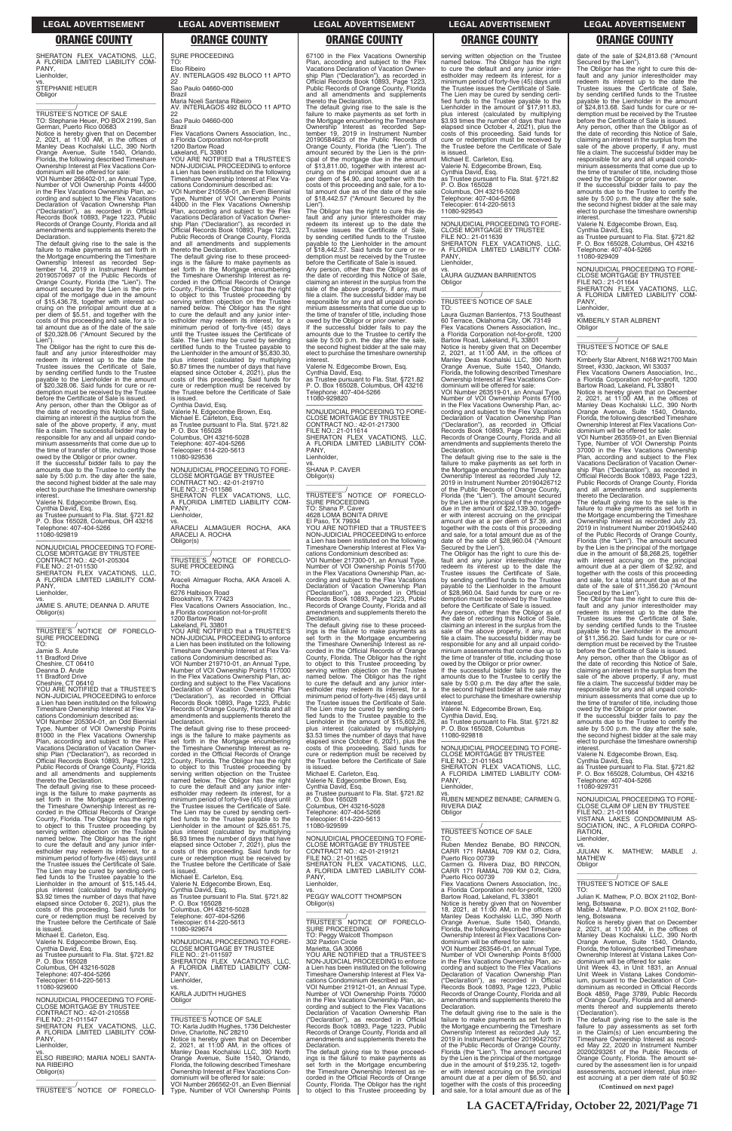SHERATON FLEX VACATIONS, LLC, A FLORIDA LIMITED LIABILITY COM-**PANY** Lienholder, vs. STEPHANIE HEUER

Obligor \_\_\_\_\_\_\_\_\_\_\_\_\_\_\_\_\_\_\_\_\_\_\_\_\_\_\_\_\_\_\_\_\_

\_\_\_\_\_\_\_\_\_\_\_\_/<br>TRUSTEE'S NOTICE OF SALE<br>TO: Stephanie Heuer, PO BOX 2199, San German, Puerto Rico 00683 Notice is hereby given that on December 2, 2021, at 11:00 AM, in the offices of Manley Deas Kochalski LLC, 390 North Orange Avenue, Suite 1540, Orlando, Florida, the following described Timeshare Ownership Interest at Flex Vacations Con-dominium will be offered for sale: VOI Number 266402-01, an Annual Type,

Number of VOI Ownership Points 44000 in the Flex Vacations Ownership Plan, according and subject to the Flex Vacations ording and subject to the Flex vacation...<br>Declaration of Vacation Ownership Plan<br>"Declaration"), as recorded in Official ("Declaration"), as recorded in Official Records Book 10893, Page 1223, Public Records of Orange County, Florida and all amendments and supplements thereto the Declaration.

Lien"). The Obligor has the right to cure this de-fault and any junior interestholder may redeem its interest up to the date the Trustee issues the Certificate of Sale, by sending certified funds to the Trustee payable to the Lienholder in the amount of \$20,328.06. Said funds for cure or redemption must be received by the Trustee before the Certificate of Sale is issued. Any person, other than the Obligor as of the date of recording this Notice of Sale,<br>claiming an interest in the surplus from the<br>sale of the above property, if any, must<br>file a claim. The successful bidder may be

responsible for any and all unpaid condo minium assessments that come due up to the time of transfer of title, including those owed by the Obligor or prior owner. If the successful bidder fails to pay the

The default giving rise to the sale is the failure to make payments as set forth in the Mortgage encumbering the Timeshare Ownership Interest as recorded Sep-tember 14, 2019 in Instrument Number 20190570697 of the Public Records of Orange County, Florida (the "Lien"). The amount secured by the Lien is the principal of the mortgage due in the amount of \$15,436.78, together with interest ac-cruing on the principal amount due at a per diem of \$5.51, and together with the costs of this proceeding and sale, for a to-tal amount due as of the date of the sale of \$20,328.06 ("Amount Secured by the

Cynthia David, Esq. as Trustee pursuant to Fla. Stat. §721.82 P. O. Box 165028, Columbus, OH 43216 Telephone: 407-404-5266 11080-929819 —————————————————— NONJUDICIAL PROCEEDING TO FORE-CLOSE MORTGAGE BY TRUSTEE CONTRACT NO.: 42-01-205304 FILE NO.: 21-011530 SHERATON FLEX VACATIONS, LLC,<br>A FLORIDA LIMITED LIABILITY COM-<br>PANY,

Lienholder,

vs. JAMIE S. ARUTE; DEANNA D. ARUTE Obligor(s)  $\overline{\phantom{a}}$  ,  $\overline{\phantom{a}}$  ,  $\overline{\phantom{a}}$  ,  $\overline{\phantom{a}}$  ,  $\overline{\phantom{a}}$  ,  $\overline{\phantom{a}}$  ,  $\overline{\phantom{a}}$  ,  $\overline{\phantom{a}}$  ,  $\overline{\phantom{a}}$  ,  $\overline{\phantom{a}}$  ,  $\overline{\phantom{a}}$  ,  $\overline{\phantom{a}}$  ,  $\overline{\phantom{a}}$  ,  $\overline{\phantom{a}}$  ,  $\overline{\phantom{a}}$  ,  $\overline{\phantom{a}}$ 

\_\_\_\_\_\_\_\_\_\_\_/<br>TRUSTEE'S NOTICE OF FORECLO-<br>SURE PROCEEDING TO:

amounts due to the Trustee to certify the sale by 5:00 p.m. the day after the sale, the second highest bidder at the sale may elect to purchase the timeshare ownership interest.

Valerie N. Edgecombe Brown, Esq.

TO: Elso Rib

Jamie S. Arute

11 Bradford Drive Cheshire, CT 06410 Deanna D. Arute

11 Bradford Drive Cheshire, CT 06410

YOU ARE NOTIFIED that a TRUSTEE'S NON-JUDICIAL PROCEEDING to enforce a Lien has been instituted on the following Timeshare Ownership Interest at Flex Vacations Condominium described as:

VOI Number 205304-01, an Odd Biennial Type, Number of VOI Ownership Points 81000 in the Flex Vacations Ownership Plan, according and subject to the Flex Vacations Declaration of Vacation Ownership Plan ("Declaration"), as recorded in Official Records Book 10893, Page 1223,

\_\_\_\_\_\_\_\_\_\_\_/<br>TRUSTEE'S NOTICE OF FORECLO-<br>SURE PROCEEDING TO:

SURE PROCEEDING

AV. INTERLAGOS 492 BLOCO 11 APTO

22

Sao Paulo 04660-000

Brazil

Maria Noeli Santana Ribeiro

AV. INTERLAGOS 492 BLOCO 11 APTO

22 Sao Paulo 04660-000

Brazil Flex Vacations Owners Association, Inc.,

a Florida Corporation not-for-profit 1200 Bartow Road Lakeland, FL 33801 YOU ARE NOTIFIED that a TRUSTEE'S NON-JUDICIAL PROCEEDING to enforce a Lien has been instituted on the following Timeshare Ownership Interest at Flex Vacations Condominium described as: VOI Number 210558-01, an Even Biennial Type, Number of VOI Ownership Points 44000 in the Flex Vacations Ownership Plan, according and subject to the Flex Vacations Declaration of Vacation Ownership Plan ("Declaration"), as recorded in Official Records Book 10893, Page 1223, Public Records of Orange County, Florida and all amendments and supplements

> amounts due to the Trustee to certify the sale by 5:00 p.m. the day after the sale, the second highest bidder at the sale may elect to purchase the timeshare ownership interes

thereto the Declaration.

—————————————————— NONJUDICIAL PROCEEDING TO FORE-CLOSE MORTGAGE BY TRUSTEE CONTRACT NO.: 42-01-217300 FILE NO.: 21-011614 SHERATON FLEX VACATIONS, LLC, A FLORIDA LIMITED LIABILITY COM-A FLU<br>PANY, Lienholder,

The default giving rise to these proceedings is the failure to make payments as set forth in the Mortgage encumbering the Timeshare Ownership Interest as re-corded in the Official Records of Orange County, Florida. The Obligor has the right to object to this Trustee proceeding by serving written objection on the Trustee named below. The Obligor has the right

to cure the default and any junior inter-estholder may redeem its interest, for a minimum period of forty-five (45) days until the Trustee issues the Certificate of

Sale. The Lien may be cured by sending certified funds to the Trustee payable to the Lienholder in the amount of \$5,830.30,

plus interest (calculated by multiplying \$0.87 times the number of days that have elapsed since October 4, 2021), plus the costs of this proceeding. Said funds for cure or redemption must be received by the Trustee before the Certificate of Sale

is issued. Cynthia David, Esq.

Valerie N. Edgecombe Brown, Esq. Michael E. Carleton, Esq. as Trustee pursuant to Fla. Stat. §721.82 P. O. Box 165028

Columbus, OH 43216-5028 Telephone: 407-404-5266 Telecopier: 614-220-5613

11080-929536

—————————————————— NONJUDICIAL PROCEEDING TO FORE-CLOSE MORTGAGE BY TRUSTEE CONTRACT NO.: 42-01-219710 FILE NO.: 21-011586

SHERATON FLEX VACATIONS, LLC, A FLORIDA LIMITED LIABILITY COM-A FLC<br>PANY, Lienholder, vs. ARACELI ALMAGUER ROCHA, AKA ARACELI A. ROCHA Obligor(s) \_\_\_\_\_\_\_\_\_\_\_\_\_\_\_\_\_\_\_\_\_\_\_\_\_\_\_\_\_\_\_\_\_

Araceli Almaguer Rocha, AKA Araceli A. Rocha 6276 Halbison Road

Brookshire, TX 77423 Flex Vacations Owners Association, Inc.,

a Florida corporation not-for-profit 1200 Bartow Road

Lakeland, FL 33801

YOU ARE NOTIFIED that a TRUSTEE'S NON-JUDICIAL PROCEEDING to enforce a Lien has been instituted on the following Timeshare Ownership Interest at Flex Vacations Condominium described as: VOI Number 219710-01, an Annual Type, Number of VOI Ownership Points 117000 in the Flex Vacations Ownership Plan, according and subject to the Flex Vacations Declaration of Vacation Ownership Plan ("Declaration"), as recorded in Official ("Declaration"), as recorded in Official<br>Records Book 10893, Page 1223, Public Records of Orange County, Florida and all amendments and supplements thereto the Declaration.

P. O. Box 165028 Columbus, OH 43216-5028 Telephone: 407-404-5266 elecopier: 614-220-5613

A FLU<br>PANY, Lienholder,

**Obligor** 

 $\overline{\phantom{a}}$  , and the set of the set of the set of the set of the set of the set of the set of the set of the set of the set of the set of the set of the set of the set of the set of the set of the set of the set of the s \_\_\_\_\_\_\_\_\_\_\_/ TRUSTEE'S NOTICE OF SALE

67100 in the Flex Vacations Ownership Plan, according and subject to the Flex Vacations Declaration of Vacation Ownership Plan ("Declaration"), as recorded in Official Records Book 10893, Page 1223, Public Records of Orange County, Florida and all amendments and supplements thereto the Declaration.

The default giving rise to the sale is the failure to make payments as set forth in the Mortgage encumbering the Timeshare Ownership Interest as recorded Sep-tember 19, 2019 in Instrument Number 20190584623 of the Public Records of Orange County, Florida (the "Lien"). The amount secured by the Lien is the principal of the mortgage due in the amount of \$13,811.00, together with interest accruing on the principal amount due at a per diem of \$4.90, and together with the costs of this proceeding and sale, for a to-tal amount due as of the date of the sale of \$18,442.57 ("Amount Secured by the

Lien"). The Obligor has the right to cure this default and any junior interestholder may redeem its interest up to the date the Trustee issues the Certificate of Sale, by sending certified funds to the Trustee payable to the Lienholder in the amount of \$18,442.57. Said funds for cure or redemption must be received by the Trustee before the Certificate of Sale is issued. Any person, other than the Obligor as of

> Kimberly Star Albrent, N168 W21700 Main Street, #330, Jackson, WI 53037 Flex Vacations Owners Association, Inc.

the date of recording this Notice of Sale, claiming an interest in the surplus from the sale of the above property, if any, must file a claim. The successful bidder may be responsible for any and all unpaid condominium assessments that come due up to the time of transfer of title, including those owed by the Obligor or prior owner. If the successful bidder fails to pay the

Valerie N. Edgecombe Brown, Esq. Cynthia David, Esq. as Trustee pursuant to Fla. Stat. §721.82 P. O. Box 165028, Columbus, OH 43216 Telephone: 407-404-5266 11080-929820

vs. SHANA P. CAVER Obligor(s)

 $\overline{\phantom{a}}$  , and the set of the set of the set of the set of the set of the set of the set of the set of the set of the set of the set of the set of the set of the set of the set of the set of the set of the set of the s

TRUSTEE'S<br>SURE PROCEEDING<br>TO: Shana P. Caver

4628 LOMA BONITA DRIVE El Paso, TX 79934 YOU ARE NOTIFIED that a TRUSTEE'S NON-JUDICIAL PROCEEDING to enforce a Lien has been instituted on the following Timeshare Ownership Interest at Flex Va-

cations Condominium described as: VOI Number 217300-01, an Annual Type, Number of VOI Ownership Points 51700 in the Flex Vacations Ownership Plan, ac-cording and subject to the Flex Vacations Declaration of Vacation Ownership Plan ("Declaration"), as recorded in Official Records Book 10893, Page 1223, Public Records of Orange County, Florida and all amendments and supplements thereto the Declaration.

set forth in the Mortgage encumbering the Timeshare Ownership Interest as re-corded in the Official Records of Orange County, Florida. The Obligor has the right to object to this Trustee proceeding by serving written objection on the Trustee named below. The Obligor has the right to cure the default and any junior inter-estholder may redeem its interest, for a minimum period of forty-five (45) days until the Trustee issues the Certificate of Sale. The Lien may be cured by sending certi-fied funds to the Trustee payable to the Lienholder in the amount of \$15,145.44, plus interest (calculated by multiplying \$3.92 times the number of days that have elapsed since October 6, 2021), plus the costs of this proceeding. Said funds for cure or redemption must be received by the Trustee before the Certificate of Sale is issued. Michael E. Carleton, Esq. Valerie N. Edgecombe Brown, Esq. Cynthia David, Esq. as Trustee pursuant to Fla. Stat. §721.82 P. O. Box 165028 Columbus, OH 43216-5028 Telephone: 407-404-5266 Telecopier: 614-220-5613 11080-929600 —————————————————— NONJUDICIAL PROCEEDING TO FORE-CLOSE MORTGAGE BY TRUSTEE CONTRACT NO.: 42-01-210558 FILE NO.: 21-011547 SHERATON FLEX VACATIONS, LLC, A FLORIDA LIMITED LIABILITY COM-PANY, Lienholder, vs. ELSO RIBEIRO; MARIA NOELI SANTA-NA RIBEIRO Obligor(s) \_\_\_\_\_\_\_\_\_\_\_\_\_\_\_\_\_\_\_\_\_\_\_\_\_\_\_\_\_\_\_\_\_ \_\_\_\_\_\_\_\_\_\_\_/ TRUSTEE'S NOTICE OF FORECLOminimum period of forty-five (45) days until the Trustee issues the Certificate of Sale. The Lien may be cured by sending certi-fied funds to the Trustee payable to the Lienholder in the amount of \$25,651.75, interest (calculated by multiplying \$6.93 times the number of days that have elapsed since October 7, 2021), plus the costs of this proceeding. Said funds for cure or redemption must be received by the Trustee before the Certificate of Sale is issued. Michael E. Carleton, Esq. Valerie N. Edgecombe Brown, Esq. Cynthia David, Esq. as Trustee pursuant to Fla. Stat. §721.82 P. O. Box 165028 Columbus, OH 43216-5028 Telephone: 407-404-5266 Telecopier: 614-220-5613 11080-929674 —————————————————— NONJUDICIAL PROCEEDING TO FORE-CLOSE MORTGAGE BY TRUSTEE FILE NO.: 21-011597 SHERATON FLEX VACATIONS, LLC, A FLORIDA LIMITED LIABILITY COM-A FLC<br>PANY. Lienholder, vs. KARLA JUDITH HUGHES Obligor \_\_\_\_\_\_\_\_\_\_\_\_\_\_\_\_\_\_\_\_\_\_\_\_\_\_\_\_\_\_\_\_\_ \_\_\_\_\_\_\_\_\_\_\_/ TRUSTEE'S NOTICE OF SALE TO: Karla Judith Hughes, 1736 Delchester Drive, Charlotte, NC 28210 Notice is hereby given that on December<br>2, 2021, at 11:00 AM, in the offices of<br>Manley Deas Kochalski LLC, 390 North<br>Orange Avenue, Suite 1540, Orlando,<br>Florida, the following described Timeshare Ownership Interest at Flex Vacations Condominium will be offered for sale: VOI Number 266562-01, an Even Biennial Type, Number of VOI Ownership Points Columbus, OH 43216-5028 Telephone: 407-404-5266 Telecopier: 614-220-5613 11080-929599 —————————————————— NONJUDICIAL PROCEEDING TO FORE-CLOSE MORTGAGE BY TRUSTEE CONTRACT NO.: 42-01-219121 FILE NO.: 21-011625 SHERATON FLEX VACATIONS, LLC, A FLORIDA LIMITED LIABILITY COM-A FLC<br>PANY. Lienholder, vs. PEGGY WALCOTT THOMPSON Obligor(s)  $\overline{\phantom{a}}$  , and the set of the set of the set of the set of the set of the set of the set of the set of the set of the set of the set of the set of the set of the set of the set of the set of the set of the set of the s \_\_\_\_\_\_\_\_\_\_\_/<br>TRUSTEE'S NOTICE OF FORECLO-<br>SURE PROCEEDING TO: Peggy Walcott Thompson 302 Paxton Circle Marietta, GA 30066 YOU ARE NOTIFIED that a TRUSTEE'S NON-JUDICIAL PROCEEDING to enforce a Lien has been instituted on the following Timeshare Ownership Interest at Flex Vacations Condominium described as: VOI Number 219121-01, an Annual Type, Number of VOI Ownership Points 70000 in the Flex Vacations Ownership Plan, ac-cording and subject to the Flex Vacations Declaration of Vacation Ownership Plan ("Declaration"), as recorded in Official Records Book 10893, Page 1223, Public Records of Orange County, Florida and all amendments and supplements thereto the Declaration. The default giving rise to these proceedings is the failure to make payments as set forth in the Mortgage encumbering the Timeshare Ownership Interest as re-corded in the Official Records of Orange County, Florida. The Obligor has the right to object to this Trustee proceeding by vs. RUBEN MENDEZ BENABE; CARMEN G. RIVERA DIAZ Obligor \_\_\_\_\_\_\_\_\_\_\_\_\_\_\_\_\_\_\_\_\_\_\_\_\_\_\_\_\_\_\_\_\_ \_\_\_\_\_\_\_\_\_\_\_/ TRUSTEE'S NOTICE OF SALE TO: Ruben Mendez Benabe, BO RINCON, CARR 171 RAMAL 709 KM 0.2, Cidra, Puerto Rico 00739 Carmen G. Rivera Diaz, BO RINCON, CARR 171 RAMAL 709 KM 0.2, Cidra, Puerto Rico 00739 Flex Vacations Owners Association, Inc., a Florida Corporation not-for-profit, 1200 Bartow Road, Lakeland, FL 33801 Notice is hereby given that on November 18, 2021, at 11:00 AM, in the offices of Manley Deas Kochalski LLC, 390 North Orange Avenue, Suite 1540, Orlando, Florida, the following described Timeshare Ownership Interest at Flex Vacations Condominium will be offered for sale: VOI Number 263546-01, an Annual Type, Number of VOI Ownership Points 81000 in the Flex Vacations Ownership Plan, ac-cording and subject to the Flex Vacations Declaration of Vacation Ownership Plan ("Declaration"), as recorded in Official Records Book 10893, Page 1223, Public Records of Orange County, Florida and all amendments and supplements thereto the Declaration. The default giving rise to the sale is the failure to make payments as set forth in the Mortgage encumbering the Timeshare Ownership Interest as recorded July 12, 2019 in Instrument Number 20190427057 of the Public Records of Orange County, Florida (the "Lien"). The amount secured by the Lien is the principal of the mortgage due in the amount of \$19,235.12, together with interest accruing on the principal amount due at a per diem of \$6.50, and together with the costs of this proceeding and sale, for a total amount due as of the —————————————————— NONJUDICIAL PROCEEDING TO FORE-CLOSE CLAIM OF LIEN BY TRUSTEE FILE NO.: 21-011664 VISTANA LAKES CONDOMINIUM AS-SOCIATION, INC., A FLORIDA CORPO-RATION, Lienholder, vs. JULIAN K. MATHEW; MABLE J. MATHEW **Obligor**  $\overline{\phantom{a}}$  ,  $\overline{\phantom{a}}$  ,  $\overline{\phantom{a}}$  ,  $\overline{\phantom{a}}$  ,  $\overline{\phantom{a}}$  ,  $\overline{\phantom{a}}$  ,  $\overline{\phantom{a}}$  ,  $\overline{\phantom{a}}$  ,  $\overline{\phantom{a}}$  ,  $\overline{\phantom{a}}$  ,  $\overline{\phantom{a}}$  ,  $\overline{\phantom{a}}$  ,  $\overline{\phantom{a}}$  ,  $\overline{\phantom{a}}$  ,  $\overline{\phantom{a}}$  ,  $\overline{\phantom{a}}$ \_\_\_\_\_\_\_\_\_\_\_/ TRUSTEE'S NOTICE OF SALE TO: Julian K. Mathew, P.O. BOX 21102, Bontleng, Botswana Mable J. Mathew, P.O. BOX 21102, Bontleng, Botswana Notice is hereby given that on December 2, 2021, at 11:00 AM, in the offices of Manley Deas Kochalski LLC, 390 North Orange Avenue, Suite 1540, Orlando, Florida, the following described Timeshare Ownership Interest at Vistana Lakes Condominium will be offered for sale: Unit Week 43, in Unit 1831, an Annual Unit Week in Vistana Lakes Condominium, pursuant to the Declaration of Con-dominium as recorded in Official Records Book 4859, Page 3789, Public Records of Orange County, Florida and all amend-ments thereof and supplements thereto ('Declaration'). The default giving rise to the sale is the failure to pay assessments as set forth in the Claim(s) of Lien encumbering the Timeshare Ownership Interest as record-ed May 22, 2020 in Instrument Number 20200293261 of the Public Records of Orange County, Florida. The amount se-cured by the assessment lien is for unpaid assessments, accrued interest, plus interest accruing at a per diem rate of \$0.92 **(Continued on next page)**

The default giving rise to these proceed-ings is the failure to make payments as set forth in the Mortgage encumbering the Timeshare Ownership Interest as recorded in the Official Records of Orange County, Florida. The Obligor has the right to object to this Trustee proceeding by serving written objection on the Trustee named below. The Obligor has the right to cure the default and any junior interestholder may redeem its interest, for a minimum period of forty-five (45) days until the Trustee issues the Certificate of Sale. The Lien may be cured by sending certi-fied funds to the Trustee payable to the Lienholder in the amount of \$15,602.26, plus interest (calculated by multiplying \$3.53 times the number of days that have elapsed since October 6, 2021), plus the

Public Records of Orange County, Florida and all amendments and supplements thereto the Declaration. The default giving rise to these proceed-ings is the failure to make payments as The default giving rise to these proceed-ings is the failure to make payments as set forth in the Mortgage encumbering the Timeshare Ownership Interest as re-corded in the Official Records of Orange County, Florida. The Obligor has the right to object to this Trustee proceeding by serving written objection on the Trustee named below. The Obligor has the right to cure the default and any junior inter-estholder may redeem its interest, for a costs of this proceeding. Said funds for cure or redemption must be received by the Trustee before the Certificate of Sale is issued. Michael E. Carleton, Esq. Valerie N. Edgecombe Brown, Esq. Cynthia David, Esq. as Trustee pursuant to Fla. Stat. §721.82 P. O. Box 165028 P. O. Box 165028, Columbus 11080-929818 —————————————————— NONJUDICIAL PROCEEDING TO FORE-CLOSE MORTGAGE BY TRUSTEE FILE NO.: 21-011643 SHERATON FLEX VACATIONS, LLC, A FLORIDA LIMITED LIABILITY COM-A FLC<br>PANY. Lienholder, elect to purchase the timeshare ownership **interest** Valerie N. Edgecombe Brown, Esq. Cynthia David, Esq. as Trustee pursuant to Fla. Stat. §721.82 P. O. Box 165028, Columbus, OH 43216 Telephone: 407-404-5266 11080-929731

serving written objection on the Trustee named below. The Obligor has the right to cure the default and any junior interestholder may redeem its interest, for a minimum period of forty-five (45) days until the Trustee issues the Certificate of Sale. The Lien may be cured by sending certified funds to the Trustee payable to the Lienholder in the amount of \$17,911.83, plus interest (calculated by multiplying plus interest (calculated by manp-ying<br>\$3.93 times the number of days that have elapsed since October 4, 2021), plus the costs of this proceeding. Said funds for cure or redemption must be received by the Trustee before the Certificate of Sale

is issued. Michael E. Carleton, Esq.

Valerie N. Edgecombe Brown, Esq. Cynthia David, Esq. as Trustee pursuant to Fla. Stat. §721.82

11080-929543

—————————————————— NONJUDICIAL PROCEEDING TO FORE-CLOSE MORTGAGE BY TRUSTEE FILE NO.: 21-011639

SHERATON FLEX VACATIONS, LLC, A FLORIDA LIMITED LIABILITY COM-

vs. LAURA GUZMAN BARRIENTOS

TO:

Laura Guzman Barrientos, 713 Southeast 60 Terrace, Oklahoma City, OK 73149 Flex Vacations Owners Association, Inc., a Florida Corporation not-for-profit, 1200 Bartow Road, Lakeland, FL 33801 Notice is hereby given that on December 2, 2021, at 11:00 AM, in the offices of Manley Deas Kochalski LLC, 390 North Orange Avenue, Suite 1540, Orlando, Florida, the following described Timeshare Ownership Interest at Flex Vacations Condominium will be offered for sale: VOI Number 263519-01, an Annual Type, Number of VOI Ownership Points 67100 in the Flex Vacations Ownership Plan, according and subject to the Flex Vacations Declaration of Vacation Ownership Plan ("Declaration"), as recorded in Official ("Declaration"), as recorded in Official<br>Records Book 10893, Page 1223, Public Records of Orange County, Florida and all amendments and supplements thereto the

Declaration.

The default giving rise to the sale is the failure to make payments as set forth in the Mortgage encumbering the Timeshare Ownership Interest as recorded July 12, 2019 in Instrument Number 20190426712 of the Public Records of Orange County, Florida (the "Lien"). The amount secured by the Lien is the principal of the mortgage due in the amount of \$22,139.30, together with interest accruing on the principal amount due at a per diem of \$7.39, and together with the costs of this proceeding and sale, for a total amount due as of the date of the sale of \$28,960.04 ("Amount Secured by the Lien"). The Obligor has the right to cure this default and any junior interestholder may redeem its interest up to the date the Trustee issues the Certificate of Sale, by sending certified funds to the Trustee payable to the Lienholder in the amount \$28,960.04. Said funds for cure or redemption must be received by the Trustee before the Certificate of Sale is issued. Any person, other than the Obligor as of the date of recording this Notice of Sale, claiming an interest in the surplus from the sale of the above property, if any, must file a claim. The successful bidder may be responsible for any and all unpaid condominium assessments that come due up to the time of transfer of title, including those owed by the Obligor or prior owner. If the successful bidder fails to pay the amounts due to the Trustee to certify the sale by 5:00 p.m. the day after the sale, the second highest bidder at the sale may elect to purchase the timeshare ownership

interest.

Valerie N. Edgecombe Brown, Esq. Cynthia David, Esq. as Trustee pursuant to Fla. Stat. §721.82

date of the sale of \$24,813.68 ("Amount

Secured by the Lien"). The Obligor has the right to cure this de-fault and any junior interestholder may redeem its interest up to the date the Trustee issues the Certificate of Sale, by sending certified funds to the Trustee payable to the Lienholder in the amount of \$24,813.68. Said funds for cure or redemption must be received by the Trustee before the Certificate of Sale is issued.

Any person, other than the Obligor as of the date of recording this Notice of Sale, claiming an interest in the surplus from the sale of the above property, if any, must file a claim. The successful bidder may be responsible for any and all unpaid condo-minium assessments that come due up to the time of transfer of title, including those owed by the Obligor or prior owner.

If the successful bidder fails to pay the amounts due to the Trustee to certify the sale by 5:00 p.m. the day after the sale. the second highest bidder at the sale may elect to purchase the timeshare ownership interest.

Valerie N. Edgecombe Brown, Esq. Cynthia David, Esq. as Trustee pursuant to Fla. Stat. §721.82

P. O. Box 165028, Columbus, OH 43216 Telephone: 407-404-5266 11080-929409

—————————————————— NONJUDICIAL PROCEEDING TO FORE-CLOSE MORTGAGE BY TRUSTEE

FILE NO.: 21-011644 SHERATON FLEX VACATIONS, LLC, A FLORIDA LIMITED LIABILITY COM-PANY Lienholder,

vs. KIMBERLY STAR ALBRENT Obligor

\_\_\_\_\_\_\_\_\_\_\_\_\_\_\_\_\_\_\_\_\_\_\_\_\_\_\_\_\_\_\_\_\_

### \_\_\_\_\_\_\_\_\_\_\_/ TRUSTEE'S NOTICE OF SALE TO:

a Florida Corporation not-for-profit, 1200 Bartow Road, Lakeland, FL 33801

Notice is hereby given that on December 2, 2021, at 11:00 AM, in the offices of Manley Deas Kochalski LLC, 390 North Orange Avenue, Suite 1540, Orlando, Florida, the following described Timeshare Ownership Interest at Flex Vacations Condominium will be offered for sale:

VOI Number 263559-01, an Even Biennial Type, Number of VOI Ownership Points 37000 in the Flex Vacations Ownership Plan, according and subject to the Flex Vacations Declaration of Vacation Ownership Plan ("Declaration"), as recorded in Official Records Book 10893, Page 1223, Public Records of Orange County, Florida and all amendments and supplements

thereto the Declaration. The default giving rise to the sale is the failure to make payments as set forth in the Mortgage encumbering the Timeshare Ownership Interest as recorded July 23, 2019 in Instrument Number 20190452440 of the Public Records of Orange County, Florida (the "Lien"). The amount secured by the Lien is the principal of the mortgage due in the amount of \$8,268.25, together with interest accruing on the principal amount due at a per diem of \$2.92, and together with the costs of this proceeding and sale, for a total amount due as of the date of the sale of \$11,356.20 ("Amount

Secured by the Lien"). The Obligor has the right to cure this default and any junior interestholder may redeem its interest up to the date the Trustee issues the Certificate of Sale, by sending certified funds to the Trustee payable to the Lienholder in the amount of \$11,356.20. Said funds for cure or redemption must be received by the Trustee

before the Certificate of Sale is issued. Any person, other than the Obligor as of the date of recording this Notice of Sale, claiming an interest in the surplus from the sale of the above property, if any, must file a claim. The successful bidder may be responsible for any and all unpaid condominium assessments that come due up to the time of transfer of title, including those

owed by the Obligor or prior owner. If the successful bidder fails to pay the amounts due to the Trustee to certify the sale by 5:00 p.m. the day after the sale, the second highest bidder at the sale may

## **LEGAL ADVERTISEMENT LEGAL ADVERTISEMENT LEGAL ADVERTISEMENT LEGAL ADVERTISEMENT LEGAL ADVERTISEMENT**

## **ORANGE COUNTY ORANGE COUNTY ORANGE COUNTY ORANGE COUNTY ORANGE COUNTY**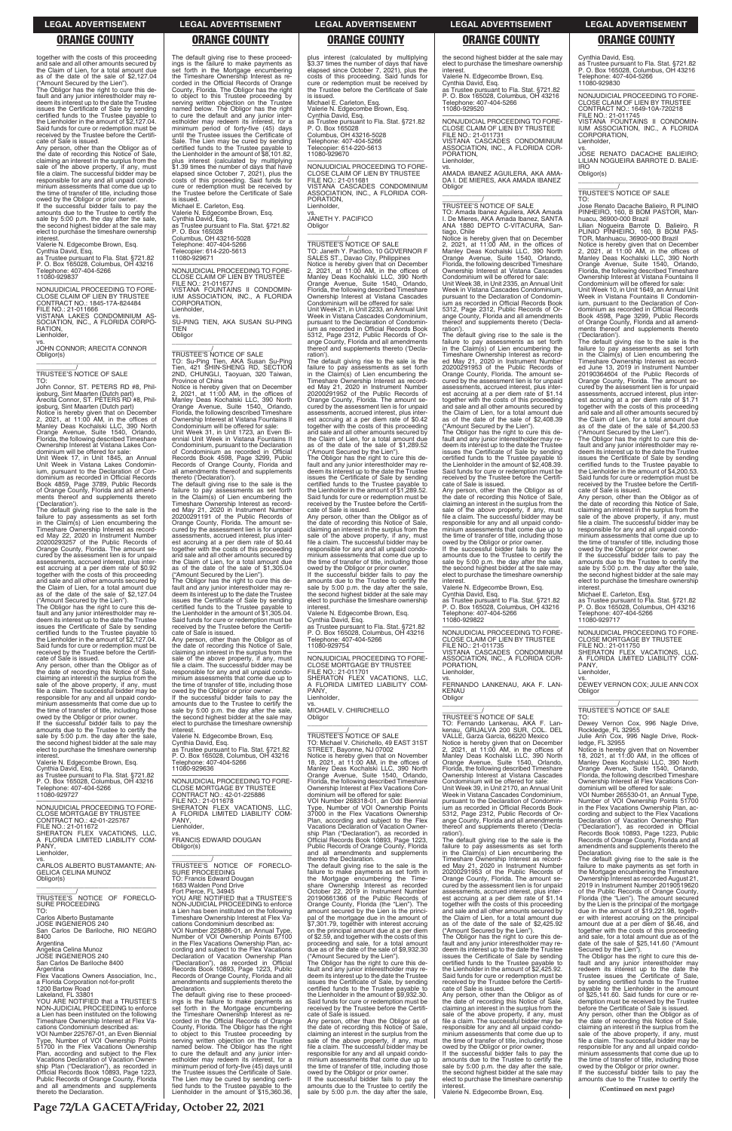together with the costs of this proceeding and sale and all other amounts secured by the Claim of Lien, for a total amount due as of the date of the sale of \$2,127.04 ("Amount Secured by the Lien").

The Obligor has the right to cure this default and any junior interestholder may re-deem its interest up to the date the Trustee issues the Certificate of Sale by sending certified funds to the Trustee payable to the Lienholder in the amount of \$2,127.04. Said funds for cure or redemption must be received by the Trustee before the Certifi-cate of Sale is issued.

If the successful bidder fails to pay the amounts due to the Trustee to certify the sale by 5:00 p.m. the day after the sale, the second highest bidder at the sale may elect to purchase the timeshare ownership **interest** 

Any person, other than the Obligor as of the date of recording this Notice of Sale, claiming an interest in the surplus from the sale of the above property, if any, must file a claim. The successful bidder may be responsible for any and all unpaid condominium assessments that come due up to the time of transfer of title, including those owed by the Obligor or prior owner.

Valerie N. Edgecombe Brown, Esq. Cynthia David, Esq. as Trustee pursuant to Fla. Stat. §721.82

P. O. Box 165028, Columbus, OH 43216 Telephone: 407-404-5266 11080-929837

—————————————————— NONJUDICIAL PROCEEDING TO FORE-CLOSE CLAIM OF LIEN BY TRUSTEE CONTRACT NO.: 1845-17A-824484 FILE NO.: 21-011666 VISTANA LAKES CONDOMINIUM AS-SOCIATION, INC., A FLORIDA CORPO-**RATION** Lienholder,

vs. JOHN CONNOR; ARECITA CONNOR Obligor(s) \_\_\_\_\_\_\_\_\_\_\_\_\_\_\_\_\_\_\_\_\_\_\_\_\_\_\_\_\_\_\_\_\_

\_\_\_\_\_\_\_\_\_\_\_/ TRUSTEE'S NOTICE OF SALE

TO: John Connor, ST. PETERS RD #8, Phil-

owed by the Obligor or prior owner. If the successful bidder fails to pay the amounts due to the Trustee to certify the sale by 5:00 p.m. the day after the sale, the second highest bidder at the sale may elect to purchase the timeshare ownership interest

ipsburg, Sint Maarten (Dutch part) Arecita Connor, ST. PETERS RD #8, Philipsburg, Sint Maarten (Dutch part) Notice is hereby given that on December 2, 2021, at 11:00 AM, in the offices of Manley Deas Kochalski LLC, 390 North Orange Avenue, Suite 1540, Orlando, Florida, the following described Timeshare Ownership Interest at Vistana Lakes Con-dominium will be offered for sale:

Unit Week 17, in Unit 1845, an Annual Unit Week in Vistana Lakes Condomin-ium, pursuant to the Declaration of Condominium as recorded in Official Records Book 4859, Page 3789, Public Records of Orange County, Florida and all amendments thereof and supplements thereto ('Declaration').

The default giving rise to the sale is the failure to pay assessments as set forth in the Claim(s) of Lien encumbering the Timeshare Ownership Interest as recorded May 22, 2020 in Instrument Number 20200293257 of the Public Records of Orange County, Florida. The amount secured by the assessment lien is for unpaid assessments, accrued interest, plus inter-est accruing at a per diem rate of \$0.92 together with the costs of this proceeding and sale and all other amounts secured by the Claim of Lien, for a total amount due as of the date of the sale of \$2,127.04

("Amount Secured by the Lien"). The Obligor has the right to cure this default and any junior interestholder may re-deem its interest up to the date the Trustee issues the Certificate of Sale by sending certified funds to the Trustee payable to the Lienholder in the amount of \$2,127.04. Said funds for cure or redemption must be received by the Trustee before the Certificate of Sale is issued. Any person, other than the Obligor as of TIEN **Obligor** 

the date of recording this Notice of Sale, claiming an interest in the surplus from the sale of the above property, if any, must file a claim. The successful bidder may be responsible for any and all unpaid condo-minium assessments that come due up to the time of transfer of title, including those

Valerie N. Edgecombe Brown, Esq.

Cynthia David, Esq. as Trustee pursuant to Fla. Stat. §721.82 P. O. Box 165028, Columbus, OH 43216 Telephone: 407-404-5266 11080-929727

—————————————————— NONJUDICIAL PROCEEDING TO FORE-CLOSE MORTGAGE BY TRUSTEE CONTRACT NO.: 42-01-225767 FILE NO.: 21-011672

—————————————————— NONJUDICIAL PROCEEDING TO FORE-CLOSE MORTGAGE BY TRUSTEE CONTRACT NO.: 42-01-225886 FILE NO.: 21-011678 SHERATON FLEX VACATIONS, LLC, A FLORIDA LIMITED LIABILITY COM-PANY **Lienholder** 

The default giving rise to these proceed-ings is the failure to make payments as set forth in the Mortgage encumbering<br>the Timeshare Ownership Interest as rethe Timeshare Ownership Interest as re-corded in the Official Records of Orange County, Florida. The Obligor has the right to object to this Trustee proceeding by serving written objection on the Trustee named below. The Obligor has the right to cure the default and any junior inter-estholder may redeem its interest, for a minimum period of forty-five (45) days until the Trustee issues the Certificate of Sale. The Lien may be cured by sending certified funds to the Trustee payable to the Lienholder in the amount of \$8,101.82, plus interest (calculated by multiplying \$1.39 times the number of days that have elapsed since October 7, 2021), plus the costs of this proceeding. Said funds for cure or redemption must be received by Trustee before the Certificate of Sale is issued.

> \_\_\_\_\_\_\_\_\_\_\_/ TRUSTEE'S NOTICE OF SALE TO: Janeth Y. Pacifico, 10 GOVERNOR F SALES ST., Davao City, Philippines Notice is hereby given that on December 2, 2021, at 11:00 AM, in the offices of Manley Deas Kochalski LLC, 390 North Orange Avenue, Suite 1540, Orlando, Florida, the following described Timeshare Ownership Interest at Vistana Cascades Condominium will be offered for sale: Unit Week 21, in Unit 2233, an Annual Unit Week in Vistana Cascades Condominium, pursuant to the Declaration of Condomin-ium as recorded in Official Records Book 5312, Page 2312, Public Records of Orange County, Florida and all amendments reof and supplements thereto ('Declaration')

Michael E. Carleton, Esq. Valerie N. Edgecombe Brown, Esq. Cynthia David, Esq. as Trustee pursuant to Fla. Stat. §721.82 P. O. Box 165028 Columbus, OH 43216-5028 Telephone: 407-404-5266

Telecopier: 614-220-5613 11080-929671

—————————————————— NONJUDICIAL PROCEEDING TO FORE-LOSE CLAIM OF LIEN BY TRUSTE FILE NO.: 21-011677 VISTANA FOUNTAINS II CONDOMIN-IUM ASSOCIATION, INC., A FLORIDA CORPORATION, Lienholder,

vs. SU-PING TIEN, AKA SUSAN SU-PING

\_\_\_\_\_\_\_\_\_\_\_\_\_\_\_\_\_\_\_\_\_\_\_\_\_\_\_\_\_\_\_\_\_ \_\_\_\_\_\_\_\_\_\_\_/ TRUSTEE'S NOTICE OF SALE

TO: Su-Ping Tien, AKA Susan Su-Ping Tien, 421 SHIN-SHENG RD, SECTION 2ND, CHUNGLI, Taoyuan, 320 Taiwan, Province of China

Notice is hereby given that on December 2, 2021, at 11:00 AM, in the offices of Manley Deas Kochalski LLC, 390 North Orange Avenue, Suite 1540, Orlando, Florida, the following described Timeshare Ownership Interest at Vistana Fountains II Condominium will be offered for sale: Unit Week 31, in Unit 1723, an Even Biennial Unit Week in Vistana Fountains II Condominium, pursuant to the Declaration of Condominium as recorded in Official Records Book 4598, Page 3299, Public

Records of Orange County, Florida and all amendments thereof and supplements thereto ('Declaration'). The default giving rise to the sale is the failure to pay assessments as set forth in the Claim(s) of Lien encumbering the Timeshare Ownership Interest as record-ed May 21, 2020 in Instrument Number 20200291191 of the Public Records of Orange County, Florida. The amount se-cured by the assessment lien is for unpaid assessments, accrued interest, plus interest accruing at a per diem rate of \$0.44 together with the costs of this proceeding and sale and all other amounts secured by the Claim of Lien, for a total amount due as of the date of the sale of \$1,305.04

the second highest bidder at the sale may elect to purchase the timeshare ownership interest

("Amount Secured by the Lien"). The Obligor has the right to cure this de-fault and any junior interestholder may redeem its interest up to the date the Trustee issues the Certificate of Sale by sending certified funds to the Trustee payable to the Lienholder in the amount of \$1,305.04. Said funds for cure or redemption must be received by the Trustee before the Certificate of Sale is issued.

AMADA IBANEZ AGUILERA, AKA AMA-DA I. DE MIERES, AKA AMADA IBANEZ Obligor  $\overline{\phantom{a}}$  , and the set of the set of the set of the set of the set of the set of the set of the set of the set of the set of the set of the set of the set of the set of the set of the set of the set of the set of the s

Any person, other than the Obligor as of the date of recording this Notice of Sale, claiming an interest in the surplus from the sale of the above property, if any, must file a claim. The successful bidder may be responsible for any and all unpaid condominium assessments that come due up to the time of transfer of title, including those

the is hereby given that on December 2, 2021, at 11:00 AM, in the offices of Manley Deas Kochalski LLC, 390 North Orange Avenue, Suite 1540, Orlando, Florida, the following described Timeshare Ownership Interest at Vistana Cascades Condominium will be offered for sale:

owed by the Obligor or prior owner. If the successful bidder fails to pay the amounts due to the Trustee to certify the sale by 5:00 p.m. the day after the sale, the second highest bidder at the sale may elect to purchase the timeshare ownership interest.

Valerie N. Edgecombe Brown, Esq. Cynthia David, Esq.

as Trustee pursuant to Fla. Stat. §721.82 P. O. Box 165028, Columbus, OH 43216 Telephone: 407-404-5266 11080-929636

plus interest (calculated by multiplying \$3.37 times the number of days that have elapsed since October 7, 2021), plus the costs of this proceeding. Said funds for cure or redemption must be received by the Trustee before the Certificate of Sale is issued.

Michael E. Carleton, Esq. Valerie N. Edgecombe Brown, Esq. Cynthia David, Esq. as Trustee pursuant to Fla. Stat. §721.82 P. O. Box 165028

Columbus, OH 43216-5028 Telephone: 407-404-5266 Telecopier: 614-220-5613 11080-929670

—————————————————— NONJUDICIAL PROCEEDING TO FORE-CLOSE CLAIM OF LIEN BY TRUSTEE FILE NO.: 21-011681 VISTANA CASCADES CONDOMINIUM ASSOCIATION, INC., A FLORIDA COR-PORATION, Lienholder,

 $\overline{\phantom{a}}$  , and the set of the set of the set of the set of the set of the set of the set of the set of the set of the set of the set of the set of the set of the set of the set of the set of the set of the set of the s

vs. JANETH Y. PACIFICO Obligor

> If the successful bidder fails to pay the amounts due to the Trustee to certify the sale by 5:00 p.m. the day after the sale, the second highest bidder at the sale may elect to purchase the timeshare ownership **interest**

The default giving rise to the sale is the failure to pay assessments as set forth in the Claim(s) of Lien encumbering the Timeshare Ownership Interest as recorded May 21, 2020 in Instrument Number 20200291952 of the Public Records of Orange County, Florida. The amount secured by the assessment lien is for unpaid assessments, accrued interest, plus interest accruing at a per diem rate of \$0.42 together with the costs of this proceeding and sale and all other amounts secured by the Claim of Lien, for a total amount due as of the date of the sale of \$1,289.52 ("Amount Secured by the Lien").

> SHERATON FLEX VACATIONS, LLC A FLORIDA LIMITED LIABILITY COM-PANY,

vs. DEWEY VERNON COX; JULIE ANN COX **Obligor**  $\overline{\phantom{a}}$  ,  $\overline{\phantom{a}}$  ,  $\overline{\phantom{a}}$  ,  $\overline{\phantom{a}}$  ,  $\overline{\phantom{a}}$  ,  $\overline{\phantom{a}}$  ,  $\overline{\phantom{a}}$  ,  $\overline{\phantom{a}}$  ,  $\overline{\phantom{a}}$  ,  $\overline{\phantom{a}}$  ,  $\overline{\phantom{a}}$  ,  $\overline{\phantom{a}}$  ,  $\overline{\phantom{a}}$  ,  $\overline{\phantom{a}}$  ,  $\overline{\phantom{a}}$  ,  $\overline{\phantom{a}}$ 

The Obligor has the right to cure this de-fault and any junior interestholder may re-deem its interest up to the date the Trustee issues the Certificate of Sale by sending certified funds to the Trustee payable to the Lienholder in the amount of \$1,289.52. Said funds for cure or redemption must be received by the Trustee before the Certifi-cate of Sale is issued.

Any person, other than the Obligor as of the date of recording this Notice of Sale, claiming an interest in the surplus from the sale of the above property, if any, must file a claim. The successful bidder may be responsible for any and all unpaid condominium assessments that come due up to the time of transfer of title, including those owed by the Obligor or prior owner.

If the successful bidder fails to pay the amounts due to the Trustee to certify the sale by 5:00 p.m. the day after the sale, the second highest bidder at the sale may elect to purchase the timeshare ownership

interest. Valerie N. Edgecombe Brown, Esq. Cynthia David, Esq. as Trustee pursuant to Fla. Stat. §721.82 P. O. Box 165028, Columbus, OH 43216 phone: 407-404-5266 11080-929754

—————————————————— NONJUDICIAL PROCEEDING TO FORE-CLOSE MORTGAGE BY TRUSTEE FILE NO.: 21-011701

SHERATON FLEX VACATIONS, LLC, A FLORIDA LIMITED LIABILITY COM-PANY, Lienholder,

vs. MICHAEL V. CHIRICHELLO Obligor \_\_\_\_\_\_\_\_\_\_\_\_\_\_\_\_\_\_\_\_\_\_\_\_\_\_\_\_\_\_\_\_\_

\_\_\_\_\_\_\_\_\_\_\_/ TRUSTEE'S NOTICE OF SALE TO: Michael V. Chirichello, 49 EAST 31ST STREET, Bayonne, NJ 07002 Notice is hereby given that on November 18, 2021, at 11:00 AM, in the offices of Manley Deas Kochalski LLC, 390 North Orange Avenue, Suite 1540, Orlando, Florida, the following described Timeshare Ownership Interest at Flex Vacations Condominium will be offered for sale: VOI Number 268318-01, an Odd Biennial

Type, Number of VOI Ownership Points 37000 in the Flex Vacations Ownership Plan, according and subject to the Flex Vacations Declaration of Vacation Owner-

| FILE NO.: 21-011672                          | Lienholder.                                                                        | Vacations Declaration of Vacation Owner-                                      | thereof and supplements thereto ('Decla-                                               | "Declaration"), as recorded in Official                                               |
|----------------------------------------------|------------------------------------------------------------------------------------|-------------------------------------------------------------------------------|----------------------------------------------------------------------------------------|---------------------------------------------------------------------------------------|
| SHERATON FLEX VACATIONS. LLC.                | VS.                                                                                | ship Plan ("Declaration"), as recorded in                                     | ration').                                                                              | Records Book 10893, Page 1223, Public                                                 |
| A FLORIDA LIMITED LIABILITY COM-             | <b>FRANCIS EDWARD DOUGAN</b>                                                       | Official Records Book 10893, Page 1223,                                       | The default giving rise to the sale is the                                             | Records of Orange County, Florida and all                                             |
| PANY.                                        | Obligor(s)                                                                         | Public Records of Orange County, Florida                                      | failure to pay assessments as set forth                                                | amendments and supplements thereto the                                                |
| Lienholder,                                  |                                                                                    | and all amendments and supplements                                            | in the Claim(s) of Lien encumbering the                                                | Declaration.                                                                          |
| VS.                                          |                                                                                    | thereto the Declaration.                                                      | Timeshare Ownership Interest as record-                                                | The default giving rise to the sale is the                                            |
| CARLOS ALBERTO BUSTAMANTE; AN-               | TRUSTEE'S NOTICE OF FORECLO-                                                       | The default giving rise to the sale is the                                    | ed May 21, 2020 in Instrument Number                                                   | failure to make payments as set forth in                                              |
| <b>GELICA CELINA MUNOZ</b>                   | <b>SURE PROCEEDING</b>                                                             | failure to make payments as set forth in                                      | 20200291953 of the Public Records of                                                   | the Mortgage encumbering the Timeshare                                                |
| Obligor(s)                                   | TO: Francis Edward Dougan                                                          | the Mortgage encumbering the Time-                                            | Orange County, Florida. The amount se-                                                 | Ownership Interest as recorded August 21,                                             |
|                                              | 1683 Walden Pond Drive                                                             | share Ownership Interest as recorded                                          | cured by the assessment lien is for unpaid                                             | 2019 in Instrument Number 20190519620                                                 |
|                                              | Fort Pierce, FL 34945                                                              | October 22, 2019 in Instrument Number                                         | assessments, accrued interest, plus inter-                                             | of the Public Records of Orange County,                                               |
| TRUSTEE'S NOTICE OF FORECLO-                 | YOU ARE NOTIFIED that a TRUSTEE'S                                                  | 20190661366 of the Public Records of                                          | est accruing at a per diem rate of \$1.14                                              | Florida (the "Lien"). The amount secured                                              |
| <b>SURE PROCEEDING</b>                       | NON-JUDICIAL PROCEEDING to enforce                                                 | Orange County, Florida (the "Lien"). The                                      | together with the costs of this proceeding                                             | by the Lien is the principal of the mortgage                                          |
| TO:                                          | a Lien has been instituted on the following                                        | amount secured by the Lien is the princi-                                     | and sale and all other amounts secured by                                              | due in the amount of \$19,221.98, togeth-                                             |
| Carlos Alberto Bustamante                    | Timeshare Ownership Interest at Flex Va-                                           | pal of the mortgage due in the amount of                                      | the Claim of Lien, for a total amount due                                              | er with interest accruing on the principal                                            |
| JOSE INGENIEROS 240                          | cations Condominium described as:                                                  | \$7,301.79, together with interest accruing                                   | as of the date of the sale of \$2,425.92                                               | amount due at a per diem of \$6.46, and                                               |
| San Carlos De Bariloche, RIO NEGRO           | VOI Number 225886-01, an Annual Type,                                              | on the principal amount due at a per diem                                     | ("Amount Secured by the Lien").                                                        | together with the costs of this proceeding                                            |
| 8400                                         | Number of VOI Ownership Points 67100                                               | of \$2.59, and together with the costs of this                                | The Obligor has the right to cure this de-                                             | and sale, for a total amount due as of the                                            |
| Argentina                                    | in the Flex Vacations Ownership Plan, ac-                                          | proceeding and sale, for a total amount                                       | fault and any junior interestholder may re-                                            | date of the sale of \$25,141.60 ("Amount                                              |
| Angelica Celina Munoz<br>JOSE INGENIEROS 240 | cording and subject to the Flex Vacations                                          | due as of the date of the sale of \$9,932.30                                  | deem its interest up to the date the Trustee                                           | Secured by the Lien").                                                                |
| San Carlos De Bariloche 8400                 | Declaration of Vacation Ownership Plan<br>("Declaration"), as recorded in Official | ("Amount Secured by the Lien").<br>The Obligor has the right to cure this de- | issues the Certificate of Sale by sending<br>certified funds to the Trustee payable to | The Obligor has the right to cure this de-<br>fault and any junior interestholder may |
| Argentina                                    | Records Book 10893, Page 1223, Public                                              | fault and any junior interestholder may re-                                   | the Lienholder in the amount of \$2,425,92.                                            | redeem its interest up to the date the                                                |
| Flex Vacations Owners Association, Inc.,     | Records of Orange County, Florida and all                                          | deem its interest up to the date the Trustee                                  | Said funds for cure or redemption must be                                              | Trustee issues the Certificate of Sale,                                               |
| a Florida Corporation not-for-profit         | amendments and supplements thereto the                                             | issues the Certificate of Sale, by sending                                    | received by the Trustee before the Certifi-                                            | by sending certified funds to the Trustee                                             |
| 1200 Bartow Road                             | Declaration.                                                                       | certified funds to the Trustee payable to                                     | cate of Sale is issued.                                                                | payable to the Lienholder in the amount                                               |
| Lakeland, FL 33801                           | The default giving rise to these proceed-                                          | the Lienholder in the amount of \$9.932.30.                                   | Any person, other than the Obligor as of                                               | of \$25,141,60. Said funds for cure or re-                                            |
| YOU ARE NOTIFIED that a TRUSTEE'S            | ings is the failure to make payments as                                            | Said funds for cure or redemption must be                                     | the date of recording this Notice of Sale,                                             | demption must be received by the Trustee                                              |
| NON-JUDICIAL PROCEEDING to enforce           | set forth in the Mortgage encumbering                                              | received by the Trustee before the Certifi-                                   | claiming an interest in the surplus from the                                           | before the Certificate of Sale is issued.                                             |
| a Lien has been instituted on the following  | the Timeshare Ownership Interest as re-                                            | cate of Sale is issued.                                                       | sale of the above property, if any, must                                               | Any person, other than the Obligor as of                                              |
| Timeshare Ownership Interest at Flex Va-     | corded in the Official Records of Orange                                           | Any person, other than the Obligor as of                                      | file a claim. The successful bidder may be                                             | the date of recording this Notice of Sale,                                            |
| cations Condominium described as:            | County, Florida. The Obligor has the right                                         | the date of recording this Notice of Sale.                                    | responsible for any and all unpaid condo-                                              | claiming an interest in the surplus from the                                          |
| VOI Number 225767-01, an Even Biennial       | to object to this Trustee proceeding by                                            | claiming an interest in the surplus from the                                  | minium assessments that come due up to                                                 | sale of the above property, if any, must                                              |
| Type, Number of VOI Ownership Points         | serving written objection on the Trustee                                           | sale of the above property, if any, must                                      | the time of transfer of title, including those                                         | file a claim. The successful bidder may be                                            |
| 51700 in the Flex Vacations Ownership        | named below. The Obligor has the right                                             | file a claim. The successful bidder may be                                    | owed by the Obligor or prior owner.                                                    | responsible for any and all unpaid condo-                                             |
| Plan, according and subject to the Flex      | to cure the default and any junior inter-                                          | responsible for any and all unpaid condo-                                     | If the successful bidder fails to pay the                                              | minium assessments that come due up to                                                |
| Vacations Declaration of Vacation Owner-     | estholder may redeem its interest, for a                                           | minium assessments that come due up to                                        | amounts due to the Trustee to certify the                                              | the time of transfer of title, including those                                        |
| ship Plan ("Declaration"), as recorded in    | minimum period of forty-five (45) days until                                       | the time of transfer of title, including those                                | sale by 5:00 p.m. the day after the sale,                                              | owed by the Obligor or prior owner.                                                   |
| Official Records Book 10893, Page 1223,      | the Trustee issues the Certificate of Sale.                                        | owed by the Obligor or prior owner.                                           | the second highest bidder at the sale may                                              | If the successful bidder fails to pay the                                             |
| Public Records of Orange County, Florida     | The Lien may be cured by sending certi-                                            | If the successful bidder fails to pay the                                     | elect to purchase the timeshare ownership                                              | amounts due to the Trustee to certify the                                             |
| and all amendments and supplements           | fied funds to the Trustee payable to the                                           | amounts due to the Trustee to certify the                                     | interest.                                                                              |                                                                                       |
| thereto the Declaration.                     | Lienholder in the amount of \$15,360.36,                                           | sale by 5:00 p.m. the day after the sale,                                     | Valerie N. Edgecombe Brown, Esq.                                                       | (Continued on next page)                                                              |
|                                              |                                                                                    |                                                                               |                                                                                        |                                                                                       |
| $\blacksquare$                               | $\sim$ $\sim$ 1<br>$\sim$ $\sim$                                                   |                                                                               |                                                                                        |                                                                                       |

Valerie N. Edgecombe Brown, Esq. Cynthia David, Esq.

as Trustee pursuant to Fla. Stat. §721.82 P. O. Box 165028, Columbus, OH 43216 Telephone: 407-404-5266 11080-929520

—————————————————— NONJUDICIAL PROCEEDING TO FORE-CLOSE CLAIM OF LIEN BY TRUSTEE FILE NO.: 21-011731 VISTANA CASCADES CONDOMINIUM ASSOCIATION, INC., A FLORIDA COR-PORATION, Lienholder,

vs.

\_\_\_\_\_\_\_\_\_\_\_/ TRUSTEE'S NOTICE OF SALE TO: Amada Ibanez Aguilera, AKA Amada I. De Mieres, AKA Amada Ibanez, SANTA ANA 1880 DEPTO C-VITACURA, Santiago, Chile

Unit Week 38, in Unit 2335, an Annual Unit Week in Vistana Cascades Condominium, pursuant to the Declaration of Condominium as recorded in Official Records Book Page 2312, Public Records of Orange County, Florida and all amendments thereof and supplements thereto ('Declaration').

The default giving rise to the sale is the failure to pay assessments as set forth in the Claim(s) of Lien encumbering the Timeshare Ownership Interest as recorded May 21, 2020 in Instrument Number 20200291953 of the Public Records of Orange County, Florida. The amount secured by the assessment lien is for unpaid assessments, accrued interest, plus interest accruing at a per diem rate of \$1.14 together with the costs of this proceeding and sale and all other amounts secured by the Claim of Lien, for a total amount due as of the date of the sale of \$2,408.39

("Amount Secured by the Lien"). The Obligor has the right to cure this default and any junior interestholder may re-deem its interest up to the date the Trustee issues the Certificate of Sale by sending certified funds to the Trustee payable to the Lienholder in the amount of \$2,408.39. Said funds for cure or redemption must be received by the Trustee before the Certifi-cate of Sale is issued. Any person, other than the Obligor as of

the date of recording this Notice of Sale, claiming an interest in the surplus from the sale of the above property, if any, must file a claim. The successful bidder may be responsible for any and all unpaid condo-minium assessments that come due up to the time of transfer of title, including those owed by the Obligor or prior owner. If the successful bidder fails to pay the

amounts due to the Trustee to certify the sale by 5:00 p.m. the day after the sale, the second highest bidder at the sale may elect to purchase the timeshare ownership interest Valerie N. Edgecombe Brown, Esq.

Cynthia David, Esq. as Trustee pursuant to Fla. Stat. §721.82 P. O. Box 165028, Columbus, OH 43216 Telephone: 407-404-5266 11080-929822

—————————————————— NONJUDICIAL PROCEEDING TO FORE-CLOSE CLAIM OF LIEN BY TRUSTEE FILE NO.: 21-011735 VISTANA CASCADES CONDOMINIUM ASSOCIATION, INC., A FLORIDA COR-PORATION, Lienholder,

vs. FERNANDO LANKENAU, AKA F. LAN-KENAU **Obligor** \_\_\_\_\_\_\_\_\_\_\_\_\_\_\_\_\_\_\_\_\_\_\_\_\_\_\_\_\_\_\_\_\_

\_\_\_\_\_\_\_\_\_\_\_/ TRUSTEE'S NOTICE OF SALE TO: Fernando Lankenau, AKA F. Lan-kenau, GRIJALVA 200 SUR, COL. DEL VALLE, Garza Garcia, 66220 Mexico Notice is hereby given that on December 2, 2021, at 11:00 AM, in the offices of Manley Deas Kochalski LLC, 390 North Orange Avenue, Suite 1540, Orlando, Florida, the following described Timeshare Ownership Interest at Vistana Cascades Condominium will be offered for sale:

Unit Week 39, in Unit 2170, an Annual Unit Week in Vistana Cascades Condominium, pursuant to the Declaration of Condominium as recorded in Official Records Book 5312, Page 2312, Public Records of Or-ange County, Florida and all amendments thereof and supplements thereto ('Decla-

Cynthia David, Esq. as Trustee pursuant to Fla. Stat. §721.82 P. O. Box 165028, Columbus, OH 43216 : 407-404-5266 11080-929830

—————————————————— NONJUDICIAL PROCEEDING TO FORE-CLOSE CLAIM OF LIEN BY TRUSTEE CONTRACT NO.: 1649-10A-720218 FILE NO.: 21-011745 VISTANA FOUNTAINS II CONDOMIN-IUM ASSOCIATION, INC., A FLORIDA **CORPORATION** Lienholder,

vs. JOSE RENATO DACACHE BALIEIRO; LILIAN NOGUEIRA BARROTE D. BALIE-IRO Obligor(s)

\_\_\_\_\_\_\_\_\_\_\_\_\_\_\_\_\_\_\_\_\_\_\_\_\_\_\_\_\_\_\_\_\_

\_\_\_\_\_\_\_\_\_\_\_/ TRUSTEE'S NOTICE OF SALE

TO: Jose Renato Dacache Balieiro, R PLINIO PINHEIRO, 160, B BOM PASTOR, Man-huacu, 36900-000 Brazil

Lilian Nogueira Barrote D. Balieiro, R PLINIO PINHEIRO, 160, B BOM PAS-TOR, Manhuacu, 36900-000 Brazil

Notice is hereby given that on December 2, 2021, at 11:00 AM, in the offices of Manley Deas Kochalski LLC, 390 North Orange Avenue, Suite 1540, Orlando, Florida, the following described Timeshare Ownership Interest at Vistana Fountains II Condominium will be offered for sale:

Unit Week 10, in Unit 1649, an Annual Unit Week in Vistana Fountains II Condominium, pursuant to the Declaration of Condominium as recorded in Official Records Book 4598, Page 3299, Public Records of Orange County, Florida and all amendments thereof and supplements thereto ('Declaration').

The default giving rise to the sale is the failure to pay assessments as set forth in the Claim(s) of Lien encumbering the Timeshare Ownership Interest as recorded June 13, 2019 in Instrument Number 20190364604 of the Public Records of Orange County, Florida. The amount secured by the assessment lien is for unpaid assessments, accrued interest, plus est accruing at a per diem rate of \$1.71 together with the costs of this proceeding and sale and all other amounts secured by the Claim of Lien, for a total amount due as of the date of the sale of \$4,200.53 ("Amount Secured by the Lien").

The Obligor has the right to cure this de-fault and any junior interestholder may re-deem its interest up to the date the Trustee issues the Certificate of Sale by sending certified funds to the Trustee payable to the Lienholder in the amount of \$4,200.53. Said funds for cure or redemption must be received by the Trustee before the Certifi-cate of Sale is issued.

Any person, other than the Obligor as of the date of recording this Notice of Sale, claiming an interest in the surplus from the sale of the above property, if any, must file a claim. The successful bidder may be responsible for any and all unpaid condominium assessments that come due up to the time of transfer of title, including those owed by the Obligor or prior owner.

Michael E. Carleton, Esq. as Trustee pursuant to Fla. Stat. §721.82 P. O. Box 165028, Columbus, OH 43216 Telephone: 407-404-5266 11080-929717

—————————————————— NONJUDICIAL PROCEEDING TO FORE-CLOSE MORTGAGE BY TRUSTEE FILE NO.: 21-011750

Lienholder,

\_\_\_\_\_\_\_\_\_\_\_/ TRUSTEE'S NOTICE OF SALE TO:

Dewey Vernon Cox, 996 Nagle Drive, Rockledge, FL 32955 Julie Ann Cox, 996 Nagle Drive, Rockledge, FL 32955

Notice is hereby given that on November 18, 2021, at 11:00 AM, in the offices of Manley Deas Kochalski LLC, 390 North Orange Avenue, Suite 1540, Orlando, Florida, the following described Timeshare Ownership Interest at Flex Vacations Condominium will be offered for sale: VOI Number 265530-01, an Annual Type, Number of VOI Ownership Points 51700 in the Flex Vacations Ownership Plan, according and subject to the Flex Vacations Declaration of Vacation Ownership Plan

### **LEGAL ADVERTISEMENT LEGAL ADVERTISEMENT LEGAL ADVERTISEMENT LEGAL ADVERTISEMENT LEGAL ADVERTISEMENT**

# **ORANGE COUNTY ORANGE COUNTY ORANGE COUNTY ORANGE COUNTY ORANGE COUNTY**

**Page 72/LA GACETA/Friday, October 22, 2021**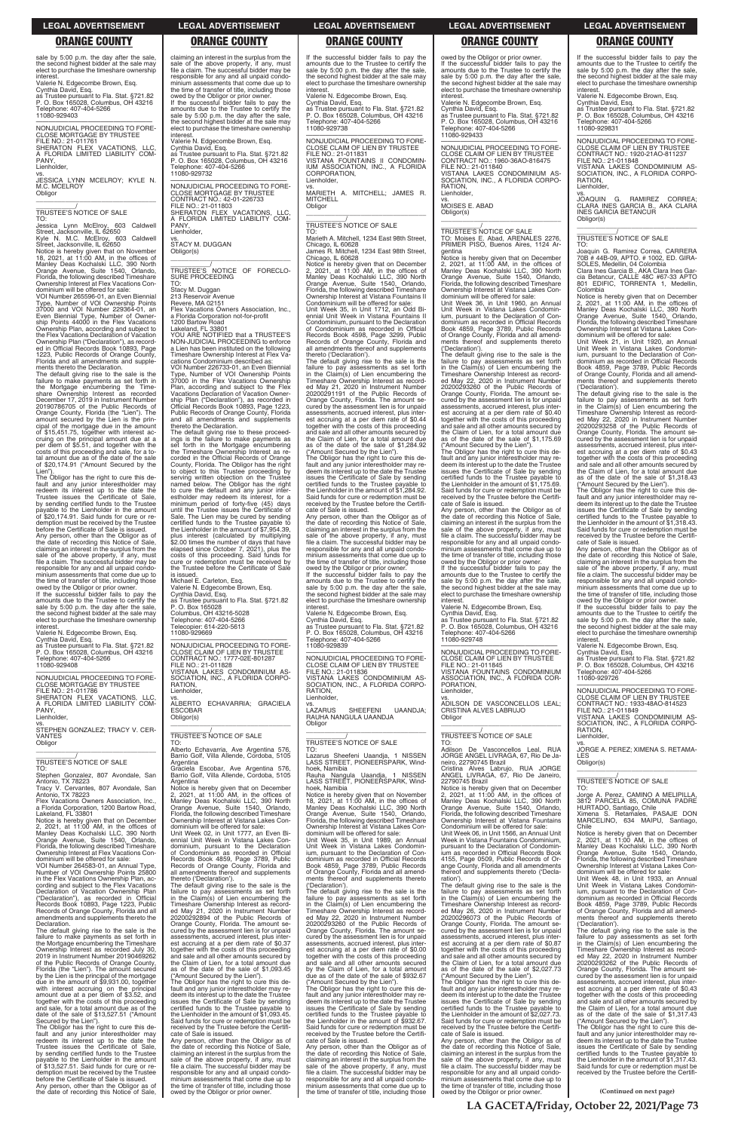sale by 5:00 p.m. the day after the sale, the second highest bidder at the sale may elect to purchase the timeshare ownership interest.

Valerie N. Edgecombe Brown, Esq. Cynthia David, Esq. as Trustee pursuant to Fla. Stat. §721.82 P. O. Box 165028, Columbus, OH 43216

TO: Jessica Lynn McElroy, 603 Caldwell<br>Street, Jacksonville, IL 62650<br>Kyle N. M.C. McElroy, 603 Caldwell<br>Street, Jacksonville, IL 62650

Telephone: 407-404-5266 11080-929403 —————————————————— NONJUDICIAL PROCEEDING TO FORE-

CLOSE MORTGAGE BY TRUSTEE FILE NO.: 21-011761 SHERATON FLEX VACATIONS, LLC, A FLORIDA LIMITED LIABILITY COM-PANY<sub></sub> Lienholder,

vs. JESSICA LYNN MCELROY; KYLE N. M.C. MCELROY **Obligor** \_\_\_\_\_\_\_\_\_\_\_\_\_\_\_\_\_\_\_\_\_\_\_\_\_\_\_\_\_\_\_\_\_

Notice is hereby given that on November<br>18, 2021, at 11:00 AM, in the offices of<br>Manley Deas Kochalski LLC, 390 North<br>Orange Avenue, Suite 1540, Orlando,<br>Florida, the following described Timeshare Ownership Interest at Flex Vacations Condominium will be offered for sale: VOI Number 265596-01, an Even Biennial

# \_\_\_\_\_\_\_\_\_\_\_/ TRUSTEE'S NOTICE OF SALE

ments thereto the Declaration. The default giving rise to the sale is the failure to make payments as set forth in the Mortgage encumbering the Time-share Ownership Interest as recorded December 17, 2019 in Instrument Number 20190786705 of the Public Records of Orange County, Florida (the "Lien"). The amount secured by the Lien is the principal of the mortgage due in the amount of \$15,451.75, together with interest accruing on the principal amount due at a per diem of \$5.51, and together with the costs of this proceeding and sale, for a total amount due as of the date of the sale of \$20,174.91 ("Amount Secured by the Lien")

Type, Number of VOI Ownership Points 37000 and VOI Number 229364-01, an Even Biennial Type, Number of Owner-ship Points 44000 in the Flex Vacations Ownership Plan, according and subject to the Flex Vacations Declaration of Vacation Ownership Plan ("Declaration"), as recorded in Official Records Book 10893, Page 1223, Public Records of Orange County, Florida and all amendments and supple-

—————————————————— NONJUDICIAL PROCEEDING TO FORE-CLOSE MORTGAGE BY TRUSTEE FILE NO.: 21-011786 SHERATON FLEX VACATIONS, LLC, A FLORIDA LIMITED LIABILITY COM-PANY, **Lienholder** 

The Obligor has the right to cure this de-fault and any junior interestholder may redeem its interest up to the date the Trustee issues the Certificate of Sale, by sending certified funds to the Trustee payable to the Lienholder in the amount of \$20,174.91. Said funds for cure or redemption must be received by the Trustee before the Certificate of Sale is issued. Any person, other than the Obligor as of the date of recording this Notice of Sale, claiming an interest in the surplus from the sale of the above property, if any, must file a claim. The successful bidder may be responsible for any and all unpaid condominium assessments that come due up to the time of transfer of title, including those owed by the Obligor or prior owner.

If the successful bidder fails to pay the amounts due to the Trustee to certify the sale by 5:00 p.m. the day after the sale, the second highest bidder at the sale may elect to purchase the timeshare ownership interest.

Valerie N. Edgecombe Brown, Esq. Cynthia David, Esq. as Trustee pursuant to Fla. Stat. §721.82 P. O. Box 165028, Columbus, OH 43216 Telephone: 407-404-5266 11080-929408

vs. STEPHEN GONZALEZ; TRACY V. CER-VANTES Obligor \_\_\_\_\_\_\_\_\_\_\_\_\_\_\_\_\_\_\_\_\_\_\_\_\_\_\_\_\_\_\_\_\_

# \_\_\_\_\_\_\_\_\_\_\_/ TRUSTEE'S NOTICE OF SALE

TO: Stephen Gonzalez, 807 Avondale, San Antonio, TX 78223 Tracy V. Cervantes, 807 Avondale, San

Antonio, TX 78223 Flex Vacations Owners Association, Inc., a Florida Corporation, 1200 Bartow Road, Lakeland, FL 33801

Notice is hereby given that on December 2, 2021, at 11:00 AM, in the offices of Manley Deas Kochalski LLC, 390 North

Orange Avenue, Suite 1540, Orlando, Florida, the following described Timeshare Ownership Interest at Flex Vacations Condominium will be offered for sale:

VOI Number 264583-01, an Annual Type, Number of VOI Ownership Points 25800 in the Flex Vacations Ownership Plan, according and subject to the Flex Vacations Declaration of Vacation Ownership Plan ("Declaration"), as recorded in Official Records Book 10893, Page 1223, Public Records of Orange County, Florida and all amendments and supplements thereto the Declaration.

The default giving rise to the sale is the failure to make payments as set forth in the Mortgage encumbering the Timeshare Ownership Interest as recorded July 30, 2019 in Instrument Number 20190469262 of the Public Records of Orange County, Florida (the "Lien"). The amount secured by the Lien is the principal of the mortgage due in the amount of \$9,931.00, together with interest accruing on the principal amount due at a per diem of \$3.52, and together with the costs of this proceeding and sale, for a total amount due as of the date of the sale of \$13,527.51 ("Amount

Secured by the Lien"). The Obligor has the right to cure this de-fault and any junior interestholder may redeem its interest up to the date the Trustee issues the Certificate of Sale, by sending certified funds to the Trustee payable to the Lienholder in the amount of \$13,527.51. Said funds for cure or re-demption must be received by the Trustee before the Certificate of Sale is issued. Any person, other than the Obligor as of the date of recording this Notice of Sale,

claiming an interest in the surplus from the sale of the above property, if any, must file a claim. The successful bidder may be responsible for any and all unpaid condo-minium assessments that come due up to the time of transfer of title, including those owed by the Obligor or prior owner. If the successful bidder fails to pay the

> vs. MARIETH A. MITCHELL; JAMES R. MITCHELL **Obligor**  $\overline{\phantom{a}}$  , and the set of the set of the set of the set of the set of the set of the set of the set of the set of the set of the set of the set of the set of the set of the set of the set of the set of the set of the s

amounts due to the Trustee to certify the sale by 5:00 p.m. the day after the sale, the second highest bidder at the sale may elect to purchase the timeshare ownership interest.

Valerie N. Edgecombe Brown, Esq. Cynthia David, Esq. as Trustee pursuant to Fla. Stat. §721.82 P. O. Box 165028, Columbus, OH 43216 Telephone: 407-404-5266 11080-929732

—————————————————— NONJUDICIAL PROCEEDING TO FORE-CLOSE MORTGAGE BY TRUSTEE CONTRACT NO.: 42-01-226733 FILE NO.: 21-011803

SHERATON FLEX VACATIONS, LLC, A FLORIDA LIMITED LIABILITY COM-PANY, Lienholder,

vs. STACY M. DUGGAN Obligor(s)

\_\_\_\_\_\_\_\_\_\_\_\_\_\_\_\_\_\_\_\_\_\_\_\_\_\_\_\_\_\_\_\_\_ \_\_\_\_\_\_\_\_\_\_\_\_\_/<br>TRUSTEE'S NOTICE OF FORECLO-SURE PROCEEDING TO:

Stacy M. Duggan 213 Reservoir Avenue Revere, MA 02151

Flex Vacations Owners Association, Inc., a Florida Corporation not-for-profit 1200 Bartow Road

Lakeland, FL 33801 YOU ARE NOTIFIED that a TRUSTEE'S NON-JUDICIAL PROCEEDING to enforce a Lien has been instituted on the following Timeshare Ownership Interest at Flex Vacations Condominium described as:

> If the successful bidder fails to pay the amounts due to the Trustee to certify the sale by 5:00 p.m. the day after the sale, the second highest bidder at the sale may elect to purchase the timeshare ownership interest

—————————————————— NONJUDICIAL PROCEEDING TO FORE-CLOSE CLAIM OF LIEN BY TRUSTEE FILE NO.: 21-011836 VISTANA LAKES CONDOMINIUM AS-SOCIATION, INC., A FLORIDA CORPO-RATION, Lienholder,

**LAZARUS** SHEEFENI UAANDJA; RAUHA NANGULA UAANDJA **Obligor** 

VOI Number 226733-01, an Even Biennial Type, Number of VOI Ownership Points 37000 in the Flex Vacations Ownership Plan, according and subject to the Flex Vacations Declaration of Vacation Ownership Plan ("Declaration"), as recorded in Official Records Book 10893, Page 1223, Public Records of Orange County, Florida and all amendments and supplements thereto the Declaration. The default giving rise to these proceed-

ings is the failure to make payments as set forth in the Mortgage encumbering the Timeshare Ownership Interest as recorded in the Official Records of Orange County, Florida. The Obligor has the right to object to this Trustee proceeding by serving written objection on the Trustee named below. The Obligor has the right to cure the default and any junior interestholder may redeem its interest, for a minimum period of forty-five (45) days until the Trustee issues the Certificate of Sale. The Lien may be cured by sending certified funds to the Trustee payable to the Lienholder in the amount of \$7,954.39, plus interest (calculated by multiplying \$2.00 times the number of days that have elapsed since October 7, 2021), plus the costs of this proceeding. Said funds for cure or redemption must be received by the Trustee before the Certificate of Sale is issued.

Michael E. Carleton, Esq. Valerie N. Edgecombe Brown, Esq. Cynthia David, Esq. as Trustee pursuant to Fla. Stat. §721.82 P. O. Box 165028 Columbus, OH 43216-5028 Telephone: 407-404-5266 Telecopier: 614-220-5613 11080-929669

—————————————————— NONJUDICIAL PROCEEDING TO FORE-CLOSE CLAIM OF LIEN BY TRUSTEE CONTRACT NO.: 1777-02E-801287 FILE NO.: 21-011828 VISTANA LAKES CONDOMINIUM AS-SOCIATION, INC., A FLORIDA CORPO-RATION, Lienholder,

NONJUDICIAL PROCEEDING TO FORE-<br>CLOSE CLAIM OF LIEN BY TRUSTEE<br>CONTRACT NO.: 1960-36AO-816475<br>FILE NO.: 21-011840<br>VISTANA LAKES CONDOMINIUM AS-<br>SOCIATION, INC., A FLORIDA CORPO-RATION, Lienholder,

vs. ALBERTO ECHAVARRIA; GRACIELA ESCOBAR Obligor(s) \_\_\_\_\_\_\_\_\_\_\_\_\_\_\_\_\_\_\_\_\_\_\_\_\_\_\_\_\_\_\_\_\_

# \_\_\_\_\_\_\_\_\_\_\_/ TRUSTEE'S NOTICE OF SALE

TO: Alberto Echavarria, Ave Argentina 576, Barrio Golf, Villa Allende, Cordoba, 5105 Argentina

Graciela Escobar, Ave Argentina 576, Barrio Golf, Villa Allende, Cordoba, 5105 Argentina

owed by the Obligor or prior owner. If the successful bidder fails to pay the amounts due to the Trustee to certify the sale by 5:00 p.m. the day after the sale, the second highest bidder at the sale may elect to purchase the timeshare ownership **interest** 

Notice is hereby given that on December 2, 2021, at 11:00 AM, in the offices of Manley Deas Kochalski LLC, 390 North Orange Avenue, Suite 1540, Orlando, Florida, the following described Timeshare Ownership Interest at Vistana Lakes Condominium will be offered for sale: Unit Week 02, in Unit 1777, an Even Biennial Unit Week in Vistana Lakes Condominium, pursuant to the Declaration of Condominium as recorded in Official Records Book 4859, Page 3789, Public Records of Orange County, Florida and all amendments thereof and supplements thereto ('Declaration'). The default giving rise to the sale is the failure to pay assessments as set forth in the Claim(s) of Lien encumbering the Timeshare Ownership Interest as recorded May 21, 2020 in Instrument Number 20200292894 of the Public Records of Orange County, Florida. The amount secured by the assessment lien is for unpaid assessments, accrued interest, plus interest accruing at a per diem rate of \$0.37 together with the costs of this proceeding and sale and all other amounts secured by the Claim of Lien, for a total amount due as of the date of the sale of \$1,093.45 ("Amount Secured by the Lien"). The Obligor has the right to cure this default and any junior interestholder may re-deem its interest up to the date the Trustee issues the Certificate of Sale by sending certified funds to the Trustee payable to the Lienholder in the amount of \$1,093.45. Said funds for cure or redemption must be received by the Trustee before the Certifi-cate of Sale is issued. Any person, other than the Obligor as of the date of recording this Notice of Sale, claiming an interest in the surplus from the sale of the above property, if any, must file a claim. The successful bidder may be responsible for any and all unpaid condominium assessments that come due up to the time of transfer of title, including those owed by the Obligor or prior owner.

The Obligor has the right to cure this default and any junior interestholder may re-deem its interest up to the date the Trustee issues the Certificate of Sale by sending certified funds to the Trustee payable to the Lienholder in the amount of \$2,027.73. Said funds for cure or redemption must be received by the Trustee before the Certifi-cate of Sale is issued.

If the successful bidder fails to pay the amounts due to the Trustee to certify the sale by 5:00 p.m. the day after the sale the second highest bidder at the sale may elect to purchase the timeshare ownership interest.

Valerie N. Edgecombe Brown, Esq. Cynthia David, Esq.

as Trustee pursuant to Fla. Stat. §721.82 P. O. Box 165028, Columbus, OH 43216 Telephone: 407-404-5266 11080-929738

> vs.<br>JOAQUIN G. RAMIREZ CORREA;<br>CLARA INES GARCIA B., AKA CLARA<br>INES GARCIA BETANCUR Obligor(s)

—————————————————— NONJUDICIAL PROCEEDING TO FORE-CLOSE CLAIM OF LIEN BY TRUSTEE FILE NO.: 21-011831 VISTANA FOUNTAINS II CONDOMIN-IUM ASSOCIATION, INC., A FLORIDA CORPORATION, Lienholder,

# \_\_\_\_\_\_\_\_\_\_\_/ TRUSTEE'S NOTICE OF SALE

TO: Marieth A. Mitchell, 1234 East 98th Street, Chicago, IL 60628 James R. Mitchell, 1234 East 98th Street, Chicago, IL 60628

Notice is hereby given that on December 2, 2021, at 11:00 AM, in the offices of Manley Deas Kochalski LLC, 390 North Orange Avenue, Suite 1540, Orlando, Florida, the following described Timeshare Ownership Interest at Vistana Fountains II Condominium will be offered for sale:

Unit Week 35, in Unit 1712, an Odd Bi-ennial Unit Week in Vistana Fountains II Condominium, pursuant to the Declaration of Condominium as recorded in Official Records Book 4598, Page 3299, Public Records of Orange County, Florida and all amendments thereof and supplements thereto ('Declaration').

The default giving rise to the sale is the failure to pay assessments as set forth in the Claim(s) of Lien encumbering the Timeshare Ownership Interest as recorded May 21, 2020 in Instrument Number 20200291191 of the Public Records of Orange County, Florida. The amount secured by the assessment lien is for unpaid assessments, accrued interest, plus interest accruing at a per diem rate of \$0.44 together with the costs of this proceeding and sale and all other amounts secured by the Claim of Lien, for a total amount due as of the date of the sale of \$1,284.92 ("Amount Secured by the Lien").

> RATION, **Lienholder**

The Obligor has the right to cure this de-fault and any junior interestholder may re-deem its interest up to the date the Trustee issues the Certificate of Sale by sending certified funds to the Trustee payable to the Lienholder in the amount of \$1,284.92. Said funds for cure or redemption must be received by the Trustee before the Certifi-cate of Sale is issued.

Any person, other than the Obligor as of the date of recording this Notice of Sale, claiming an interest in the surplus from the sale of the above property, if any, must file a claim. The successful bidder may be responsible for any and all unpaid condominium assessments that come due up to the time of transfer of title, including those owed by the Obligor or prior owner.

Valerie N. Edgecombe Brown, Esq. Cynthia David, Esq. as Trustee pursuant to Fla. Stat. §721.82 P. O. Box 165028, Columbus, OH 43216 phone: 407-404-5266 11080-929839

\_\_\_\_\_\_\_\_\_\_\_\_\_\_\_\_\_\_\_\_\_\_\_\_\_\_\_\_\_\_\_\_\_

# \_\_\_\_\_\_\_\_\_\_\_/ TRUSTEE'S NOTICE OF SALE

TO: Lazarus Sheefeni Uaandja, 1 NISSEN LASS STREET, PIONEERSPARK, Wind-

hoek, Namibia Rauha Nangula Uaandja, 1 NISSEN LASS STREET, PIONEERSPARK, Windhoek, Namibia

Notice is hereby given that on November 18, 2021, at 11:00 AM, in the offices of Manley Deas Kochalski LLC, 390 North Orange Avenue, Suite 1540, Orlando, Florida, the following described Timeshare Ownership Interest at Vistana Lakes Con-

dominium will be offered for sale: Unit Week 35, in Unit 1989, an Annual Unit Week in Vistana Lakes Condominium, pursuant to the Declaration of Condominium as recorded in Official Records Book 4859, Page 3789, Public Records of Orange County, Florida and all amend-ments thereof and supplements thereto ('Declaration').

The default giving rise to the sale is the failure to pay assessments as set forth in the Claim(s) of Lien encumbering the Timeshare Ownership Interest as record-ed May 22, 2020 in Instrument Number 20200293260 of the Public Records of Orange County, Florida. The amount se-cured by the assessment lien is for unpaid assessments, accrued interest, plus interest accruing at a per diem rate of \$0.00 together with the costs of this proceeding and sale and all other amounts secured by the Claim of Lien, for a total amount due as of the date of the sale of \$932.67 ("Amount Secured by the Lien").

The Obligor has the right to cure this de-fault and any junior interestholder may redeem its interest up to the date the Trustee deem no microscopy to the Care by sending certified funds to the Trustee payable the Lienholder in the amount of \$932.67. Said funds for cure or redemption must be received by the Trustee before the Certificate of Sale is issued.

Any person, other than the Obligor as of the date of recording this Notice of Sale, claiming an interest in the surplus from the sale of the above property, if any, must file a claim. The successful bidder may be responsible for any and all unpaid condo-minium assessments that come due up to the time of transfer of title, including those

owed by the Obligor or prior owner. If the successful bidder fails to pay the amounts due to the Trustee to certify the sale by 5:00 p.m. the day after the sale, the second highest bidder at the sale may elect to purchase the timeshare ownership interest.

Valerie N. Edgecombe Brown, Esq.

Cynthia David, Esq. as Trustee pursuant to Fla. Stat. §721.82 P. O. Box 165028, Columbus, OH 43216 Telephone: 407-404-5266 11080-929433

vs. MOISES E. ABAD Obligor(s)

\_\_\_\_\_\_\_\_\_\_\_\_\_\_\_\_\_\_\_\_\_\_\_\_\_\_\_\_\_\_\_\_\_

\_\_\_\_\_\_\_\_\_\_\_/ TRUSTEE'S NOTICE OF SALE TO: Moises E. Abad, ARENALES 2276, PRIMER PISO, Buenos Aires, 1124 Ar-

gentina Notice is hereby given that on December 2, 2021, at 11:00 AM, in the offices of Manley Deas Kochalski LLC, 390 North Orange Avenue, Suite 1540, Orlando, Florida, the following described Timeshare Ownership Interest at Vistana Lakes Con-dominium will be offered for sale:

Unit Week 36, in Unit 1960, an Annual Unit Week in Vistana Lakes Condomin-ium, pursuant to the Declaration of Condominium as recorded in Official Records Book 4859, Page 3789, Public Records of Orange County, Florida and all amendments thereof and supplements thereto ('Declaration'). The default giving rise to the sale is the

failure to pay assessments as set forth in the Claim(s) of Lien encumbering the Timeshare Ownership Interest as recorded May 22, 2020 in Instrument Number 20200293260 of the Public Records of Orange County, Florida. The amount secured by the assessment lien is for unpaid assessments, accrued interest, plus inter-est accruing at a per diem rate of \$0.40 together with the costs of this proceeding and sale and all other amounts secured by the Claim of Lien, for a total amount due as of the date of the sale of \$1,175.69

("Amount Secured by the Lien"). The Obligor has the right to cure this default and any junior interestholder may redeem its interest up to the date the Trustee issues the Certificate of Sale by sending certified funds to the Trustee payable to the Lienholder in the amount of \$1,175.69. Said funds for cure or redemption must be received by the Trustee before the Certificate of Sale is issued. Any person, other than the Obligor as of

the date of recording this Notice of Sale, claiming an interest in the surplus from the sale of the above property, if any, must file a claim. The successful bidder may be responsible for any and all unpaid condo-minium assessments that come due up to the time of transfer of title, including those

Valerie N. Edgecombe Brown, Esq.

Cynthia David, Esq. as Trustee pursuant to Fla. Stat. §721.82 P. O. Box 165028, Columbus, OH 43216

Telephone: 407-404-5266 11080-929748

—————————————————— NONJUDICIAL PROCEEDING TO FORE-CLOSE CLAIM OF LIEN BY TRUSTEE FILE NO.: 21-011845 VISTANA FOUNTAINS CONDOMINIUM

ASSOCIATION, INC., A FLORIDA COR-PORATION,

Lienholder,

vs. ADILSON DE VASCONCELLOS LEAL; CRISTINA ALVES LABRUJO **Obligor** \_\_\_\_\_\_\_\_\_\_\_\_\_\_\_\_\_\_\_\_\_\_\_\_\_\_\_\_\_\_\_\_\_

# \_\_\_\_\_\_\_\_\_\_\_/<br>TRUSTEE'S NOTICE OF SALE<br>TO:

Adilson De Vasconcellos Leal, RUA JORGE ANGEL LIVRAGA, 67, Rio De Janeiro, 22790745 Brazil Cristina Alves Labrujo, RUA JORGE ANGEL LIVRAGA, 67, Rio De Janeiro, 22790745 Brazil

Notice is hereby given that on December 2, 2021, at 11:00 AM, in the offices of Manley Deas Kochalski LLC, 390 North Orange Avenue, Suite 1540, Orlando, Florida, the following described Timeshare Ownership Interest at Vistana Fountains Condominium will be offered for sale:

Unit Week 06, in Unit 1566, an Annual Unit Week in Vistana Fountains Condominium, pursuant to the Declaration of Condominm as recorded in Official Records Book 4155, Page 0509, Public Records of Orange County, Florida and all amendments thereof and supplements thereto ('Declaration'). The default giving rise to the sale is the

failure to pay assessments as set forth in the Claim(s) of Lien encumbering the Timeshare Ownership Interest as recorded May 26, 2020 in Instrument Number 20200296073 of the Public Records of Orange County, Florida. The amount secured by the assessment lien is for unpaid assessments, accrued interest, plus interest accruing at a per diem rate of \$0.87 together with the costs of this proceeding and sale and all other amounts secured by the Claim of Lien, for a total amount due as of the date of the sale of \$2,027.73 ("Amount Secured by the Lien").

Any person, other than the Obligor as of the date of recording this Notice of Sale, claiming an interest in the surplus from the sale of the above property, if any, must file a claim. The successful bidder may be responsible for any and all unpaid condominium assessments that come due up to the time of transfer of title, including those owed by the Obligor or prior owner.

If the successful bidder fails to pay the amounts due to the Trustee to certify the sale by 5:00 p.m. the day after the sale the second highest bidder at the sale may elect to purchase the timeshare ownership interest.

Valerie N. Edgecombe Brown, Esq. Cynthia David, Esq.

as Trustee pursuant to Fla. Stat. §721.82 P. O. Box 165028, Columbus, OH 43216 Telephone: 407-404-5266 11080-929831

—————————————————— NONJUDICIAL PROCEEDING TO FORE-CLOSE CLAIM OF LIEN BY TRUSTEE CONTRACT NO.: 1920-21AO-811237 FILE NO.: 21-011848

VISTANA LAKES CONDOMINIUM AS-SOCIATION, INC., A FLORIDA CORPO-RATION,

Lienholder,

\_\_\_\_\_\_\_\_\_\_\_\_\_\_\_\_\_\_\_\_\_\_\_\_\_\_\_\_\_\_\_\_\_ \_\_\_\_\_\_\_\_\_\_\_/ TRUSTEE'S NOTICE OF SALE

TO:

Joaquin G. Ramirez Correa, CARRERA 70B # 44B-09, APTO. # 1002, ED. GIRA-

SOLES, Medellin, 04 Colombia Clara Ines Garcia B., AKA Clara Ines Gar-cia Betancur, CALLE 48C #67-33 APTO 801 EDIFIC, TORRENTA 1, Medellin,

Colombia

interest

Notice is hereby given that on December 2, 2021, at 11:00 AM, in the offices of Manley Deas Kochalski LLC, 390 North Orange Avenue, Suite 1540, Orlando, Florida, the following described Timeshare Ownership Interest at Vistana Lakes Con-dominium will be offered for sale: Unit Week 21, in Unit 1920, an Annual Unit Week in Vistana Lakes Condomin-ium, pursuant to the Declaration of Condominium as recorded in Official Records Book 4859, Page 3789, Public Records of Orange County, Florida and all amendments thereof and supplements thereto ('Declaration'). The default giving rise to the sale is the failure to pay assessments as set forth in the Claim(s) of Lien encumbering the Timeshare Ownership Interest as record-

ed May 22, 2020 in Instrument Number 20200293258 of the Public Records of Orange County, Florida. The amount secured by the assessment lien is for unpaid assessments, accrued interest, plus inter-est accruing at a per diem rate of \$0.43 together with the costs of this proceeding and sale and all other amounts secured by the Claim of Lien, for a total amount due as of the date of the sale of \$1,318.43 ("Amount Secured by the Lien"). The Obligor has the right to cure this default and any junior interestholder may re-deem its interest up to the date the Trustee issues the Certificate of Sale by sending

certified funds to the Trustee payable to the Lienholder in the amount of \$1,318.43. Said funds for cure or redemption must be received by the Trustee before the Certificate of Sale is issued. Any person, other than the Obligor as of the date of recording this Notice of Sale, claiming an interest in the surplus from the sale of the above property, if any, must file a claim. The successful bidder may be responsible for any and all unpaid condo-minium assessments that come due up to the time of transfer of title, including those owed by the Obligor or prior owner. If the successful bidder fails to pay the amounts due to the Trustee to certify the sale by 5:00 p.m. the day after the sale, the second highest bidder at the sale may elect to purchase the timeshare ownership

Valerie N. Edgecombe Brown, Esq. Cynthia David, Esq. as Trustee pursuant to Fla. Stat. §721.82 P. O. Box 165028, Columbus, OH 43216

Telephone: 407-404-5266 11080-929726

—————————————————— NONJUDICIAL PROCEEDING TO FORE-CLOSE CLAIM OF LIEN BY TRUSTEE CONTRACT NO.: 1933-48AO-814523 FILE NO.: 21-011849 VISTANA LAKES CONDOMINIUM AS-SOCIATION, INC., A FLORIDA CORPO-

vs. JORGE A. PEREZ; XIMENA S. RETAMA-

LES Obligor(s)

\_\_\_\_\_\_\_\_\_\_\_\_\_\_\_\_\_\_\_\_\_\_\_\_\_\_\_\_\_\_\_\_\_ \_\_\_\_\_\_\_\_\_\_\_/ TRUSTEE'S NOTICE OF SALE

TO:

Jorge A. Perez, CAMINO A MELIPILLA, 3812 PARCELA 85, COMUNA PADRE

HURTADO, Santiago, Chile Ximena S. Retamales, PASAJE DON MARCELINO, 634 MAIPU, Santiago, Chile<br>Notice is hereb Notice is hereby given that on December 2, 2021, at 11:00 AM, in the offices of Manley Deas Kochalski LLC, 390 North Orange Avenue, Suite 1540, Orlando, Florida, the following described Timeshare Ownership Interest at Vistana Lakes Condominium will be offered for sale: Unit Week 48, in Unit 1933, an Annual Unit Week in Vistana Lakes Condominium, pursuant to the Declaration of Con-dominium as recorded in Official Records Book 4859, Page 3789, Public Records of Orange County, Florida and all amend-ments thereof and supplements thereto ('Declaration'). The default giving rise to the sale is the failure to pay assessments as set forth in the Claim(s) of Lien encumbering the Timeshare Ownership Interest as record-ed May 22, 2020 in Instrument Number 20200293262 of the Public Records of Orange County, Florida. The amount se-cured by the assessment lien is for unpaid assessments, accrued interest, plus interest accruing at a per diem rate of \$0.43 together with the costs of this proceeding and sale and all other amounts secured by the Claim of Lien, for a total amount due as of the date of the sale of \$1,317.43 ("Amount Secured by the Lien"). The Obligor has the right to cure this de-fault and any junior interestholder may redeem its interest up to the date the Trustee issues the Certificate of Sale by sending certified funds to the Trustee payable to the Lienholder in the amount of \$1,317.43. Said funds for cure or redemption must be received by the Trustee before the Certifi-

# **LEGAL ADVERTISEMENT LEGAL ADVERTISEMENT LEGAL ADVERTISEMENT LEGAL ADVERTISEMENT LEGAL ADVERTISEMENT**

# **ORANGE COUNTY ORANGE COUNTY ORANGE COUNTY ORANGE COUNTY ORANGE COUNTY**

**LA GACETA/Friday, October 22, 2021/Page 73**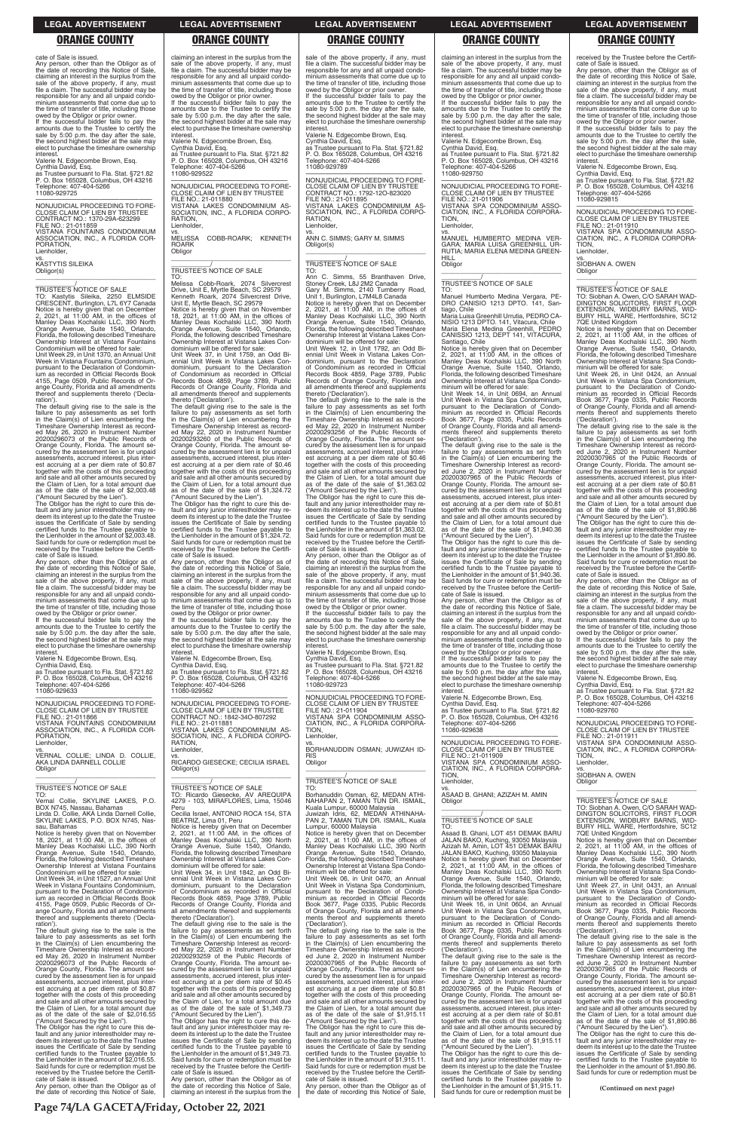cate of Sale is issued.

owed by the Obligor or prior owner. If the successful bidder fails to pay the amounts due to the Trustee to certify the sale by 5:00 p.m. the day after the sale, the second highest bidder at the sale may elect to purchase the timeshare ownership interest

Any person, other than the Obligor as of the date of recording this Notice of Sale, claiming an interest in the surplus from the sale of the above property, if any, must file a claim. The successful bidder may be responsible for any and all unpaid condo-minium assessments that come due up to the time of transfer of title, including those

Valerie N. Edgecombe Brown, Esq.

Cynthia David, Esq. as Trustee pursuant to Fla. Stat. §721.82 P. O. Box 165028, Columbus, OH 43216 Telephone: 407-404-5266 11080-929725

—————————————————— NONJUDICIAL PROCEEDING TO FORE-CLOSE CLAIM OF LIEN BY TRUSTEE CONTRACT NO.: 1370-29A-623299 FILE NO.: 21-011859 VISTANA FOUNTAINS CONDOMINIUM ASSOCIATION, INC., A FLORIDA COR-PORATION, Lienholder,

vs. KASTYTIS SILEIKA Obligor(s)

\_\_\_\_\_\_\_\_\_\_\_\_\_\_\_\_\_\_\_\_\_\_\_\_\_\_\_\_\_\_\_\_\_

\_\_\_\_\_\_\_\_\_\_\_/ TRUSTEE'S NOTICE OF SALE TO: Kastytis Sileika, 2250 ELMSIDE CRESCENT, Burlington, L7L 6Y7 Canada Notice is hereby given that on December 2, 2021, at 11:00 AM, in the offices of Manley Deas Kochalski LLC, 390 North Orange Avenue, Suite 1540, Orlando, Florida, the following described Timeshare Ownership Interest at Vistana Fountains Condominium will be offered for sale: Unit Week 29, in Unit 1370, an Annual Unit

Week in Vistana Fountains Condominium, pursuant to the Declaration of Condomin-ium as recorded in Official Records Book 4155, Page 0509, Public Records of Orange County, Florida and all amendments thereof and supplements thereto ('Declaration').

vs. VERNAL COLLIE; LINDA D. COLLIE, AKA LINDA DARNELL COLLIE Obligor  $\overline{\phantom{a}}$  , and the set of the set of the set of the set of the set of the set of the set of the set of the set of the set of the set of the set of the set of the set of the set of the set of the set of the set of the s

The default giving rise to the sale is the failure to pay assessments as set forth in the Claim(s) of Lien encumbering the Timeshare Ownership Interest as record-ed May 26, 2020 in Instrument Number 20200296073 of the Public Records of Orange County, Florida. The amount se-cured by the assessment lien is for unpaid assessments, accrued interest, plus interest accruing at a per diem rate of \$0.87 together with the costs of this proceeding and sale and all other amounts secured by the Claim of Lien, for a total amount due as of the date of the sale of \$2,003.48 ("Amount Secured by the Lien").

The Obligor has the right to cure this de-fault and any junior interestholder may redeem its interest up to the date the Trustee issues the Certificate of Sale by sending certified funds to the Trustee payable to the Lienholder in the amount of \$2,003.48. Said funds for cure or redemption must be received by the Trustee before the Certificate of Sale is issued.

sau, Bahamas<br>Notice is hereb Notice is hereby given that on November 18, 2021, at 11:00 AM, in the offices of Manley Deas Kochalski LLC, 390 North Orange Avenue, Suite 1540, Orlando, Florida, the following described Timeshare Ownership Interest at Vistana Fountains Condominium will be offered for sale: Unit Week 34, in Unit 1527, an Annual Unit Week in Vistana Fountains Condominium, pursuant to the Declaration of Condominium as recorded in Official Records Book 4155, Page 0509, Public Records of Orange County, Florida and all amendments thereof and supplements thereto ('Declaration'). The default giving rise to the sale is the failure to pay assessments as set forth in the Claim(s) of Lien encumbering the Timeshare Ownership Interest as record-ed May 26, 2020 in Instrument Number 20200296073 of the Public Records of Orange County, Florida. The amount se-cured by the assessment lien is for unpaid assessments, accrued interest, plus interest accruing at a per diem rate of \$0.87 together with the costs of this proceeding and sale and all other amounts secured by the Claim of Lien, for a total amount due as of the date of the sale of \$2,016.55 ("Amount Secured by the Lien"). The Obligor has the right to cure this de-fault and any junior interestholder may redeem its interest up to the date the Trustee issues the Certificate of Sale by sending certified funds to the Trustee payable to the Lienholder in the amount of \$2,016.55. Said funds for cure or redemption must be received by the Trustee before the Certificate of Sale is issued.

Any person, other than the Obligor as of the date of recording this Notice of Sale, claiming an interest in the surplus from the sale of the above property, if any, must file a claim. The successful bidder may be responsible for any and all unpaid condominium assessments that come due up to the time of transfer of title, including those amounts due to the Trustee to certify the sale by 5:00 p.m. the day after the sale, the second highest bidder at the sale may elect to purchase the timeshare ownership **interest** 

owed by the Obligor or prior owner. If the successful bidder fails to pay the amounts due to the Trustee to certify the sale by 5:00 p.m. the day after the sale, the second highest bidder at the sale may elect to purchase the timeshare ownership interest.

SOCIATION, INC., A FLORIDA CORPO-RATION, Lienholder, vs. MELISSA COBB-ROARK; KENNETH ROARK Obligor

Valerie N. Edgecombe Brown, Esq. Cynthia David, Esq. as Trustee pursuant to Fla. Stat. §721.82 P. O. Box 165028, Columbus, OH 43216 Telephone: 407-404-5266 11080-929633

Notice is hereby given that on November<br>18, 2021, at 11:00 AM, in the offices of<br>Manley Deas Kochalski LLC, 390 North<br>Orange Avenue, Suite 1540, Orlando,<br>Florida, the following described Timeshare Ownership Interest at Vistana Lakes Con-

—————————————————— NONJUDICIAL PROCEEDING TO FORE-CLOSE CLAIM OF LIEN BY TRUSTEE FILE NO.: 21-011866 VISTANA FOUNTAINS CONDOMINIUM ASSOCIATION, INC., A FLORIDA COR-PORATION, Lienholder,

\_\_\_\_\_\_\_\_\_\_\_/ TRUSTEE'S NOTICE OF SALE

TO: Vernal Collie, SKYLINE LAKES, P.O. BOX N745, Nassau, Bahamas Linda D. Collie, AKA Linda Darnell Collie, SKYLINE LAKES, P.O. BOX N745, Nas-

vs. RICARDO GIESECKE; CECILIA ISRAEL Obligor(s)  $\overline{\phantom{a}}$  , and the set of the set of the set of the set of the set of the set of the set of the set of the set of the set of the set of the set of the set of the set of the set of the set of the set of the set of the s

Any person, other than the Obligor as of the date of recording this Notice of Sale,

Any person, other than the Obligor as of the date of recording this Notice of Sale the date of recording this Notice of Sale, claiming an interest in the surplus from the

claiming an interest in the surplus from the sale of the above property, if any, must file a claim. The successful bidder may be responsible for any and all unpaid condo-minium assessments that come due up to the time of transfer of title, including those owed by the Obligor or prior owner. If the successful bidder fails to pay the

> **RATION Lienholder** vs. ANN C. SIMMS; GARY M. SIMMS

Obligor(s)  $\overline{\phantom{a}}$  , and the set of the set of the set of the set of the set of the set of the set of the set of the set of the set of the set of the set of the set of the set of the set of the set of the set of the set of the s

Valerie N. Edgecombe Brown, Esq. Cynthia David, Esq. as Trustee pursuant to Fla. Stat. §721.82 P. O. Box 165028, Columbus, OH 43216 Telephone: 407-404-5266

11080-929522 —————————————————— NONJUDICIAL PROCEEDING TO FORE-CLOSE CLAIM OF LIEN BY TRUSTEE FILE NO.: 21-011880

VISTANA LAKES CONDOMINIUM AS-

\_\_\_\_\_\_\_\_\_\_\_\_\_\_\_\_\_\_\_\_\_\_\_\_\_\_\_\_\_\_\_\_\_

# \_\_\_\_\_\_\_\_\_\_\_/ TRUSTEE'S NOTICE OF SALE

TO: Melissa Cobb-Roark, 2074 Silvercrest Drive, Unit E, Myrtle Beach, SC 29579 Kenneth Roark, 2074 Silvercrest Drive, Unit E, Myrtle Beach, SC 29579

dominium will be offered for sale: Unit Week 37, in Unit 1759, an Odd Biennial Unit Week in Vistana Lakes Condominium, pursuant to the Declaration of Condominium as recorded in Official Records Book 4859, Page 3789, Public Records of Orange County, Florida and all amendments thereof and supplements thereto ('Declaration').

> NON IUDICIAL PROCEEDING TO FORE-NONJUDICIAL PROCEEDING TO FORE-CLOSE CLAIM OF LIEN BY TRUSTEE FILE NO.: 21-011904 VISTANA SPA CONDOMINIUM ASSO-CIATION, INC., A FLORIDA CORPORA-TION,

> **Lienholder** vs. BORHANUDDIN OSMAN; JUWIZAH ID-

The default giving rise to the sale is the failure to pay assessments as set forth in the Claim(s) of Lien encumbering the Timeshare Ownership Interest as record-ed May 22, 2020 in Instrument Number 20200293260 of the Public Records of Orange County, Florida. The amount se-cured by the assessment lien is for unpaid assessments, accrued interest, plus interest accruing at a per diem rate of \$0.46 together with the costs of this proceeding and sale and all other amounts secured by the Claim of Lien, for a total amount due as of the date of the sale of \$1,324.72

("Amount Secured by the Lien"). The Obligor has the right to cure this de-fault and any junior interestholder may redeem its interest up to the date the Trustee issues the Certificate of Sale by sending certified funds to the Trustee payable to the Lienholder in the amount of \$1,324.72. Said funds for cure or redemption must be received by the Trustee before the Certificate of Sale is issued.

Any person, other than the Obligor as of the date of recording this Notice of Sale, claiming an interest in the surplus from the sale of the above property, if any, must file a claim. The successful bidder may be responsible for any and all unpaid condominium assessments that come due up to the time of transfer of title, including those owed by the Obligor or prior owner.

If the successful bidder fails to pay the amounts due to the Trustee to certify the sale by 5:00 p.m. the day after the sale, the second highest bidder at the sale may elect to purchase the timeshare ownership interest.

TO: Manuel Humberto Medina Vergara, PE-DRO CANISIO 1213 DPTO. 141, San-

Valerie N. Edgecombe Brown, Esq. Cynthia David, Esq.

as Trustee pursuant to Fla. Stat. §721.82 P. O. Box 165028, Columbus, OH 43216 Telephone: 407-404-5266 11080-929562

Notice is hereby given that on December 2, 2021, at 11:00 AM, in the offices of Manley Deas Kochalski LLC, 390 North Orange Avenue, Suite 1540, Orlando, Florida, the following described Timeshare Ownership Interest at Vistana Spa Condominium will be offered for sale:<br>Unit Week 14, in Unit 0694, an Annual

—————————————————— NONJUDICIAL PROCEEDING TO FORE-CLOSE CLAIM OF LIEN BY TRUSTEE CONTRACT NO.: 1842-34O-807292 FILE NO.: 21-011881 VISTANA LAKES CONDOMINIUM AS-

SOCIATION, INC., A FLORIDA CORPO-RATION, Lienholder,

\_\_\_\_\_\_\_\_\_\_\_/ TRUSTEE'S NOTICE OF SALE TO: Ricardo Giesecke, AV AREQUIPA 4279 - 103, MIRAFLORES, Lima, 15046 Peru

Cecilia Israel, ANTONIO ROCA 154, STA BEATRIZ, Lima 01, Peru Notice is hereby given that on December 2, 2021, at 11:00 AM, in the offices of

Manley Deas Kochalski LLC, 390 North Orange Avenue, Suite 1540, Orlando, Florida, the following described Timeshare Ownership Interest at Vistana Lakes Condominium will be offered for sale:

owed by the Obligor or prior owner. If the successful bidder fails to pay the amounts due to the Trustee to certify the sale by 5:00 p.m. the day after the sale, the second highest bidder at the sale may elect to purchase the timeshare ownership **interest** 

Unit Week 34, in Unit 1842, an Odd Bi-ennial Unit Week in Vistana Lakes Condominium, pursuant to the Declaration of Condominium as recorded in Official Records Book 4859, Page 3789, Public Records of Orange County, Florida and all amendments thereof and supplements thereto ('Declaration').

—————————————————— NONJUDICIAL PROCEEDING TO FORE-CLOSE CLAIM OF LIEN BY TRUSTEE FILE NO.: 21-011909 VISTANA SPA CONDOMINIUM ASSO-CIATION, INC., A FLORIDA CORPORA-**TION** 

The default giving rise to the sale is the failure to pay assessments as set forth in the Claim(s) of Lien encumbering the Timeshare Ownership Interest as recorded May 22, 2020 in Instrument Number 20200293259 of the Public Records of Orange County, Florida. The amount secured by the assessment lien is for unpaid assessments, accrued interest, plus est accruing at a per diem rate of \$0.45 together with the costs of this proceeding and sale and all other amounts secured by the Claim of Lien, for a total amount due of the date of the sale of \$1,349.73 ("Amount Secured by the Lien").

Saad B. Ghani, LOT 451 DEMAK BARU JALAN BAKO, Kuching, 93050 Malaysia Azizah M. Amin, LOT 451 DEMAK BARU JALAN BAKO, Kuching, 93050 Malaysia Notice is hereby given that on December 2, 2021, at 11:00 AM, in the offices of Manley Deas Kochalski LLC, 390 North Orange Avenue, Suite 1540, Orlando, Florida, the following described Timeshare Ownership Interest at Vistana Spa Condo-minium will be offered for sale: Unit Week 16, in Unit 0604, an Annual

The Obligor has the right to cure this default and any junior interestholder may re-deem its interest up to the date the Trustee issues the Certificate of Sale by sending certified funds to the Trustee payable to the Lienholder in the amount of \$1,349.73. Said funds for cure or redemption must be received by the Trustee before the Certifi-cate of Sale is issued.

sale of the above property, if any, must file a claim. The successful bidder may be responsible for any and all unpaid condominium assessments that come due up to the time of transfer of title, including those

owed by the Obligor or prior owner. If the successful bidder fails to pay the amounts due to the Trustee to certify the sale by 5:00 p.m. the day after the sale, the second highest bidder at the sale may elect to purchase the timeshare ownership interest.

> TO: Siobhan A. Owen, C/O SARAH WAD-DINGTON SOLICITORS, FIRST FLOOR EXTENSION, WIDBURY BARNS, WID-BURY HILL WARE, Hertfordshire, SC12

Valerie N. Edgecombe Brown, Esq. Cynthia David, Esq.

as Trustee pursuant to Fla. Stat. §721.82 P. O. Box 165028, Columbus, OH 43216 Telephone: 407-404-5266 11080-929789

—————————————————— NONJUDICIAL PROCEEDING TO FORE-CLOSE CLAIM OF LIEN BY TRUSTEE CONTRACT NO.: 1792-12O-823020 FILE NO.: 21-011895 VISTANA LAKES CONDOMINIUM AS-SOCIATION, INC., A FLORIDA CORPO-

# \_\_\_\_\_\_\_\_\_\_\_/ TRUSTEE'S NOTICE OF SALE

TO: Ann C. Simms, 55 Branthaven Drive, Stoney Creek, L8J 2M2 Canada Gary M. Simms, 2140 Turnberry Road, Unit 1, Burlington, L7M4L8 Canada Notice is hereby given that on December<br>2, 2021, at 11:00 AM, in the offices of<br>Manley Deas Kochalski LLC, 390 North<br>Orange Avenue, Suite 1540, Orlando,<br>Florida, the following described Timeshare<br>Ownership Interest at Vist dominium will be offered for sale:

Unit Week 12, in Unit 1792, an Odd Bi-ennial Unit Week in Vistana Lakes Condominium, pursuant to the Declaration of Condominium as recorded in Official Records Book 4859, Page 3789, Public Records of Orange County, Florida and all amendments thereof and supplements thereto ('Declaration').

The default giving rise to the sale is the failure to pay assessments as set forth in the Claim(s) of Lien encumbering the Timeshare Ownership Interest as recorded May 22, 2020 in Instrument Number 20200293256 of the Public Records of Orange County, Florida. The amount secured by the assessment lien is for unpaid assessments, accrued interest, plus interest accruing at a per diem rate of \$0.46 together with the costs of this proceeding and sale and all other amounts secured by the Claim of Lien, for a total amount due as of the date of the sale of \$1,363.02 ("Amount Secured by the Lien").

The Obligor has the right to cure this de-fault and any junior interestholder may re-deem its interest up to the date the Trustee issues the Certificate of Sale by sending certified funds to the Trustee payable to the Lienholder in the amount of \$1,363.02. Said funds for cure or redemption must be received by the Trustee before the Certifi-cate of Sale is issued.

Any person, other than the Obligor as of the date of recording this Notice of Sale, claiming an interest in the surplus from the sale of the above property, if any, must file a claim. The successful bidder may be responsible for any and all unpaid condominium assessments that come due up to the time of transfer of title, including those owed by the Obligor or prior owner.

If the successful bidder fails to pay the amounts due to the Trustee to certify the sale by 5:00 p.m. the day after the sale, the second highest bidder at the sale may elect to purchase the timeshare ownership interest. Valerie N. Edgecombe Brown, Esq.

Cynthia David, Esq. as Trustee pursuant to Fla. Stat. §721.82 P. O. Box 165028, Columbus, OH 43216 Telephone: 407-404-5266 11080-929723

RIS Obligor \_\_\_\_\_\_\_\_\_\_\_\_\_\_\_\_\_\_\_\_\_\_\_\_\_\_\_\_\_\_\_\_\_

# \_\_\_\_\_\_\_\_\_\_\_/ TRUSTEE'S NOTICE OF SALE

TO: Borhanuddin Osman, 62, MEDAN ATHI-NAHAPAN 2, TAMAN TUN DR. ISMAIL, Kuala Lumpur, 60000 Malaysia Juwizah Idris, 62, MEDAN ATHINAHA-PAN 2, TAMAN TUN DR. ISMAIL, Kuala Lumpur, 60000 Malaysia

Notice is hereby given that on December 2, 2021, at 11:00 AM, in the offices of Manley Deas Kochalski LLC, 390 North Orange Avenue, Suite 1540, Orlando, Florida, the following described Timeshare Ownership Interest at Vistana Spa Condominium will be offered for sale: Unit Week 06, in Unit 0470, an Annual Unit Week in Vistana Spa Condominium, pursuant to the Declaration of Condo-minium as recorded in Official Records Book 3677, Page 0335, Public Records of Orange County, Florida and all amend-ments thereof and supplements thereto ('Declaration'). The default giving rise to the sale is the failure to pay assessments as set forth in the Claim(s) of Lien encumbering the Timeshare Ownership Interest as record-ed June 2, 2020 in Instrument Number 20200307965 of the Public Records of Orange County, Florida. The amount se-cured by the assessment lien is for unpaid assessments, accrued interest, plus interest accruing at a per diem rate of \$0.81 together with the costs of this proceeding and sale and all other amounts secured by the Claim of Lien, for a total amount due as of the date of the sale of \$1,915.11 ("Amount Secured by the Lien"). The Obligor has the right to cure this de-fault and any junior interestholder may re-

deem its interest up to the date the Trustee issues the Certificate of Sale by sending certified funds to the Trustee payable to the Lienholder in the amount of \$1,915.11. Said funds for cure or redemption must be received by the Trustee before the Certificate of Sale is issued.

Any person, other than the Obligor as of the date of recording this Notice of Sale,

claiming an interest in the surplus from the sale of the above property, if any, must file a claim. The successful bidder may be responsible for any and all unpaid condo-minium assessments that come due up to the time of transfer of title, including those

owed by the Obligor or prior owner. If the successful bidder fails to pay the amounts due to the Trustee to certify the sale by 5:00 p.m. the day after the sale, the second highest bidder at the sale may elect to purchase the timeshare ownership interest.

Valerie N. Edgecombe Brown, Esq.

Cynthia David, Esq. as Trustee pursuant to Fla. Stat. §721.82 P. O. Box 165028, Columbus, OH 43216 Telephone: 407-404-5266 11080-929750

—————————————————— NONJUDICIAL PROCEEDING TO FORE-CLOSE CLAIM OF LIEN BY TRUSTEE FILE NO.: 21-011906 VISTANA SPA CONDOMINIUM ASSO-

CIATION, INC., A FLORIDA CORPORA-TION, Lienholder,

vs. MANUEL HUMBERTO MEDINA VER-GARA; MARIA LUISA GREENHILL UR-RUTIA; MARIA ELENA MEDINA GREEN-HILL

**Obligor**  $\overline{\phantom{a}}$  ,  $\overline{\phantom{a}}$  ,  $\overline{\phantom{a}}$  ,  $\overline{\phantom{a}}$  ,  $\overline{\phantom{a}}$  ,  $\overline{\phantom{a}}$  ,  $\overline{\phantom{a}}$  ,  $\overline{\phantom{a}}$  ,  $\overline{\phantom{a}}$  ,  $\overline{\phantom{a}}$  ,  $\overline{\phantom{a}}$  ,  $\overline{\phantom{a}}$  ,  $\overline{\phantom{a}}$  ,  $\overline{\phantom{a}}$  ,  $\overline{\phantom{a}}$  ,  $\overline{\phantom{a}}$ 

\_\_\_\_\_\_\_\_\_\_\_/ TRUSTEE'S NOTICE OF SALE

tiago, Chile Maria Luisa Greenhill Urrutia, PEDRO CA-NISIO 1213 DPTO. 141, Vitacura, Chile Maria Elena Medina Greenhill, PEDRO CANISSIO 1213, DEPT 141, VITACURA, Santiago, Chile

Unit Week 14, in Unit 0694, an Annual Unit Week in Vistana Spa Condominium, pursuant to the Declaration of Condo-minium as recorded in Official Records Book 3677, Page 0335, Public Records of Orange County, Florida and all amend-ments thereof and supplements thereto ('Declaration').

The default giving rise to the sale is the failure to pay assessments as set forth in the Claim(s) of Lien encumbering the Timeshare Ownership Interest as record-ed June 2, 2020 in Instrument Number 20200307965 of the Public Records of Orange County, Florida. The amount se-cured by the assessment lien is for unpaid assessments, accrued interest, plus interest accruing at a per diem rate of \$0.81 together with the costs of this proceeding and sale and all other amounts secured by the Claim of Lien, for a total amount due as of the date of the sale of \$1,940.36

("Amount Secured by the Lien"). The Obligor has the right to cure this de-fault and any junior interestholder may redeem its interest up to the date the Trustee issues the Certificate of Sale by sending certified funds to the Trustee payable to the Lienholder in the amount of \$1,940.36. Said funds for cure or redemption must be received by the Trustee before the Certificate of Sale is issued.

Any person, other than the Obligor as of the date of recording this Notice of Sale, claiming an interest in the surplus from the sale of the above property, if any, must file a claim. The successful bidder may be responsible for any and all unpaid condominium assessments that come due up to the time of transfer of title, including those

Valerie N. Edgecombe Brown, Esq. Cynthia David, Esq. as Trustee pursuant to Fla. Stat. §721.82 P. O. Box 165028, Columbus, OH 43216 Telephone: 407-404-5266 11080-929638

Lienholder, vs.

ASAAD B. GHANI; AZIZAH M. AMIN **Obligor** \_\_\_\_\_\_\_\_\_\_\_\_\_\_\_\_\_\_\_\_\_\_\_\_\_\_\_\_\_\_\_\_\_

\_\_\_\_\_\_\_\_\_\_\_/ TRUSTEE'S NOTICE OF SALE TO:

Unit Week in Vistana Spa Condominium, pursuant to the Declaration of Condominium as recorded in Official Records Book 3677, Page 0335, Public Records of Orange County, Florida and all amendments thereof and supplements thereto ('Declaration').

The default giving rise to the sale is the failure to pay assessments as set forth in the Claim(s) of Lien encumbering the Timeshare Ownership Interest as recorded June 2, 2020 in Instrument Number 20200307965 of the Public Records of Orange County, Florida. The amount secured by the assessment lien is for unpaid assessments, accrued interest, plus est accruing at a per diem rate of \$0.81 together with the costs of this proceeding and sale and all other amounts secured by the Claim of Lien, for a total amount as of the date of the sale of \$1,915.11 ("Amount Secured by the Lien"). The Obligor has the right to cure this de-

fault and any junior interestholder may redeem its interest up to the date the Trustee issues the Certificate of Sale by sending certified funds to the Trustee payable to the Lienholder in the amount of \$1,915.11. Said funds for cure or redemption must be received by the Trustee before the Certifi-cate of Sale is issued.

Any person, other than the Obligor as of the date of recording this Notice of Sale, claiming an interest in the surplus from the sale of the above property, if any, must file a claim. The successful bidder may be responsible for any and all unpaid condominium assessments that come due up to the time of transfer of title, including those owed by the Obligor or prior owner.

If the successful bidder fails to pay the amounts due to the Trustee to certify the sale by 5:00 p.m. the day after the sale, the second highest bidder at the sale may elect to purchase the timeshare ownership interest. Valerie N. Edgecombe Brown, Esq. Cynthia David, Esq. as Trustee pursuant to Fla. Stat. §721.82

P. O. Box 165028, Columbus, OH 43216 Telephone: 407-404-5266 11080-929815

—————————————————— NONJUDICIAL PROCEEDING TO FORE-CLOSE CLAIM OF LIEN BY TRUSTEE FILE NO.: 21-011910

VISTANA SPA CONDOMINIUM ASSO-CIATION, INC., A FLORIDA CORPORA-TION, Lienholder,

vs. SIOBHAN A. OWEN

Obligor

\_\_\_\_\_\_\_\_\_\_\_\_\_\_\_\_\_\_\_\_\_\_\_\_\_\_\_\_\_\_\_\_\_ \_\_\_\_\_\_\_\_\_\_\_/ TRUSTEE'S NOTICE OF SALE

7QE United Kingdom

Notice is hereby given that on December 2, 2021, at 11:00 AM, in the offices of Manley Deas Kochalski LLC, 390 North Orange Avenue, Suite 1540, Orlando, Florida, the following described Timeshare Ownership Interest at Vistana Spa Condominium will be offered for sale: Unit Week 26, in Unit 0424, an Annual Unit Week in Vistana Spa Condominium, pursuant to the Declaration of Condo-minium as recorded in Official Records Book 3677, Page 0335, Public Records of Orange County, Florida and all amend-ments thereof and supplements thereto

('Declaration').

The default giving rise to the sale is the failure to pay assessments as set forth in the Claim(s) of Lien encumbering the Timeshare Ownership Interest as record-ed June 2, 2020 in Instrument Number 20200307965 of the Public Records of Orange County, Florida. The amount se-cured by the assessment lien is for unpaid assessments, accrued interest, plus interest accruing at a per diem rate of \$0.81 together with the costs of this proceeding and sale and all other amounts secured by the Claim of Lien, for a total amount due as of the date of the sale of \$1,890.86 ("Amount Secured by the Lien"). The Obligor has the right to cure this de-fault and any junior interestholder may redeem its interest up to the date the Trustee issues the Certificate of Sale by sending certified funds to the Trustee payable to the Lienholder in the amount of \$1,890.86. Said funds for cure or redemption must be received by the Trustee before the Certifi-

cate of Sale is issued.

Any person, other than the Obligor as of the date of recording this Notice of Sale, claiming an interest in the surplus from the sale of the above property, if any, must file a claim. The successful bidder may be responsible for any and all unpaid condominium assessments that come due up to the time of transfer of title, including those owed by the Obligor or prior owner. If the successful bidder fails to pay the amounts due to the Trustee to certify the sale by 5:00 p.m. the day after the sale, the second highest bidder at the sale may elect to purchase the timeshare ownership

interest.

Valerie N. Edgecombe Brown, Esq. Cynthia David, Esq. as Trustee pursuant to Fla. Stat. §721.82 P. O. Box 165028, Columbus, OH 43216

11080-929760

—————————————————— NONJUDICIAL PROCEEDING TO FORE-CLOSE CLAIM OF LIEN BY TRUSTEE FILE NO.: 21-011911 VISTANA SPA CONDOMINIUM ASSO-CIATION, INC., A FLORIDA CORPORA-

TION, Lienholder, vs. SIOBHAN A. OWEN

Obligor

\_\_\_\_\_\_\_\_\_\_\_\_\_\_\_\_\_\_\_\_\_\_\_\_\_\_\_\_\_\_\_\_\_ \_\_\_\_\_\_\_\_\_\_\_/ TRUSTEE'S NOTICE OF SALE

TO: Siobhan A. Owen, C/O SARAH WAD-DINGTON SOLICITORS, FIRST FLOOR EXTENSION, WIDBURY BARNS, WID-

en Den Tessas, Senama<br>Iephone: 407-404-5266

BURY HILL WARE, Hertfordshire, SC12 7QE United Kingdom

Notice is hereby given that on December 2, 2021, at 11:00 AM, in the offices of Manley Deas Kochalski LLC, 390 North Orange Avenue, Suite 1540, Orlando, Florida, the following described Timeshare Ownership Interest at Vistana Spa Condo-minium will be offered for sale:

Unit Week 27, in Unit 0431, an Annual Unit Week in Vistana Spa Condominium, pursuant to the Declaration of Condominium as recorded in Official Records Book 3677, Page 0335, Public Records of Orange County, Florida and all amendments thereof and supplements thereto ('Declaration'). The default giving rise to the sale is the

failure to pay assessments as set forth in the Claim(s) of Lien encumbering the Timeshare Ownership Interest as recorded June 2, 2020 in Instrument Number 20200307965 of the Public Records of Orange County, Florida. The amount secured by the assessment lien is for unpaid assessments, accrued interest, plus inter-est accruing at a per diem rate of \$0.81 together with the costs of this proceeding and sale and all other amounts secured by the Claim of Lien, for a total amount due as of the date of the sale of \$1,890.86 ("Amount Secured by the Lien"). The Obligor has the right to cure this de-

fault and any junior interestholder may redeem its interest up to the date the Trustee issues the Certificate of Sale by sending certified funds to the Trustee payable to the Lienholder in the amount of \$1,890.86. Said funds for cure or redemption must be

### **LEGAL ADVERTISEMENT LEGAL ADVERTISEMENT LEGAL ADVERTISEMENT LEGAL ADVERTISEMENT LEGAL ADVERTISEMENT**

## **ORANGE COUNTY ORANGE COUNTY ORANGE COUNTY ORANGE COUNTY ORANGE COUNTY**

**Page 74/LA GACETA/Friday, October 22, 2021**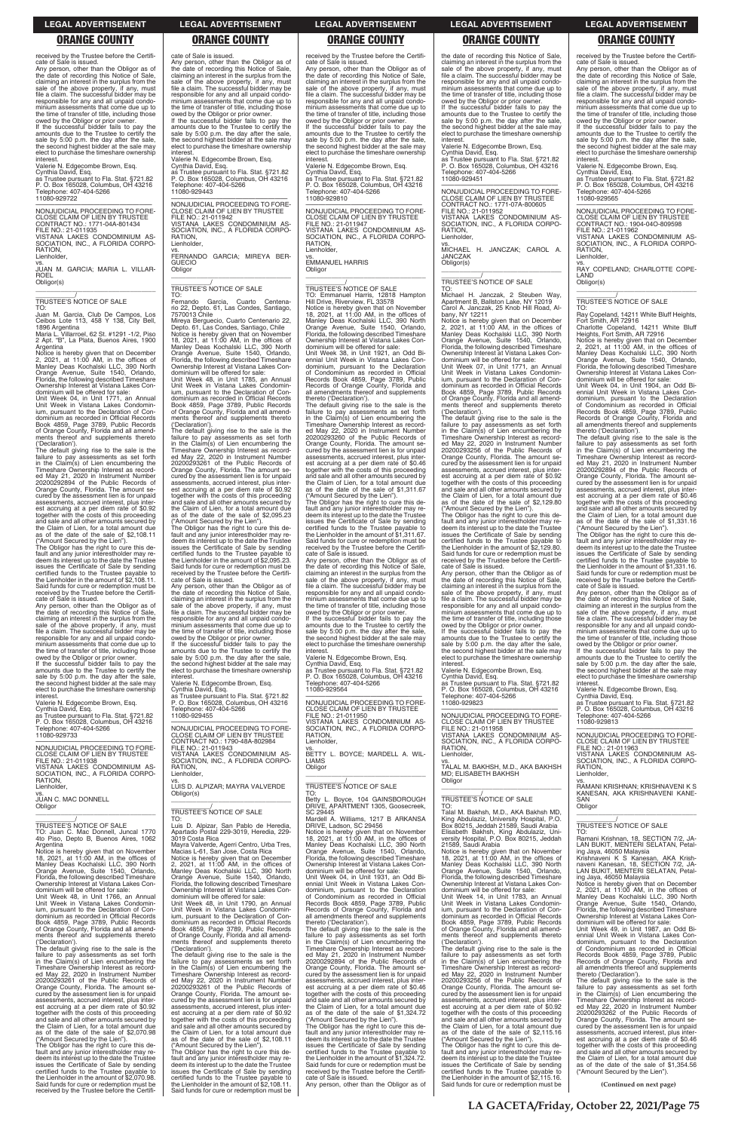received by the Trustee before the Certificate of Sale is issued.

Any person, other than the Obligor as of the date of recording this Notice of Sale, claiming an interest in the surplus from the sale of the above property, if any, must file a claim. The successful bidder may be responsible for any and all unpaid condominium assessments that come due up to the time of transfer of title, including those owed by the Obligor or prior owner.

If the successful bidder fails to pay the amounts due to the Trustee to certify the sale by 5:00 p.m. the day after the sale, the second highest bidder at the sale may elect to purchase the timeshare ownership interest.

Valerie N. Edgecombe Brown, Esq. Cynthia David, Esq. as Trustee pursuant to Fla. Stat. §721.82 P. O. Box 165028, Columbus, OH 43216 Telephone: 407-404-5266 11080-929722

—————————————————— NONJUDICIAL PROCEEDING TO FORE-CLOSE CLAIM OF LIEN BY TRUSTEE CONTRACT NO.: 1771-04A-801434 FILE NO.: 21-011935 VISTANA LAKES CONDOMINIUM AS-SOCIATION, INC., A FLORIDA CORPO-RATION,

Lienholder, vs. JUAN M. GARCIA; MARIA L. VILLAR-ROEL

 $\overline{\phantom{a}}$  , and the set of the set of the set of the set of the set of the set of the set of the set of the set of the set of the set of the set of the set of the set of the set of the set of the set of the set of the s

Obligor(s)

\_\_\_\_\_\_\_\_\_\_\_/ TRUSTEE'S NOTICE OF SALE

TO: Juan M. Garcia, Club De Campos, Los Ceibos Lote 113, 458 Y 138, City Bell,

1896 Argentina Maria L. Villarroel, 62 St. #1291 -1/2, Piso 2 Apt. "B", La Plata, Buenos Aires, 1900 Argentina

Notice is hereby given that on December 2, 2021, at 11:00 AM, in the offices of Manley Deas Kochalski LLC, 390 North Orange Avenue, Suite 1540, Orlando, Florida, the following described Timeshare Ownership Interest at Vistana Lakes Condominium will be offered for sale:

Unit Week 04, in Unit 1771, an Annual Unit Week in Vistana Lakes Condominium, pursuant to the Declaration of Condominium as recorded in Official Records Book 4859, Page 3789, Public Records of Orange County, Florida and all amendments thereof and supplements thereto ('Declaration').

—————————————————— NONJUDICIAL PROCEEDING TO FORE-CLOSE CLAIM OF LIEN BY TRUSTEE FILE NO.: 21-011938 VISTANA LAKES CONDOMINIUM AS-SOCIATION, INC., A FLORIDA CORPO-RATION, Lienholder,

vs. JUAN C. MAC DONNELL **Obligor**  $\overline{\phantom{a}}$  , and the set of the set of the set of the set of the set of the set of the set of the set of the set of the set of the set of the set of the set of the set of the set of the set of the set of the set of the s

The default giving rise to the sale is the failure to pay assessments as set forth in the Claim(s) of Lien encumbering the Timeshare Ownership Interest as recorded May 21, 2020 in Instrument Number 20200292894 of the Public Records of Orange County, Florida. The amount secured by the assessment lien is for unpaid assessments, accrued interest, plus interest accruing at a per diem rate of \$0.92 together with the costs of this proceeding and sale and all other amounts secured by the Claim of Lien, for a total amount due as of the date of the sale of \$2,108.11 ("Amount Secured by the Lien").

The Obligor has the right to cure this de-fault and any junior interestholder may redeem its interest up to the date the Trustee issues the Certificate of Sale by sending certified funds to the Trustee payable to the Lienholder in the amount of \$2,108.11. Said funds for cure or redemption must be received by the Trustee before the Certificate of Sale is issued.

Any person, other than the Obligor as of the date of recording this Notice of Sale, claiming an interest in the surplus from the sale of the above property, if any, must file a claim. The successful bidder may be responsible for any and all unpaid condominium assessments that come due up to the time of transfer of title, including those owed by the Obligor or prior owner. If the successful bidder fails to pay the

—————————————————— NONJUDICIAL PROCEEDING TO FORE-CLOSE CLAIM OF LIEN BY TRUSTEE FILE NO.: 21-011942 VISTANA LAKES CONDOMINIUM AS-SOCIATION, INC., A FLORIDA CORPO-RATION, Lienholder,

amounts due to the Trustee to certify the sale by 5:00 p.m. the day after the sale, the second highest bidder at the sale may elect to purchase the timeshare ownership interest.

Valerie N. Edgecombe Brown, Esq.

Mireya Berguecio, Cuarto Centenario 22,<br>Depto. 61, Las Condes, Santiago, Chile<br>Notice is hereby given that on November<br>18, 2021, at 11:00 AM, in the offices of<br>Manley Deas Kochalski LLC, 390 North<br>Orange Avenue, Suite 1540 Florida, the following described Timeshare Ownership Interest at Vistana Lakes Condominium will be offered for sale:

Cynthia David, Esq. as Trustee pursuant to Fla. Stat. §721.82 P. O. Box 165028, Columbus, OH 43216 Telephone: 407-404-5266 11080-929733

\_\_\_\_\_\_\_\_\_\_\_/ TRUSTEE'S NOTICE OF SALE

TO: Juan C. Mac Donnell, Juncal 1770 4to Piso, Depto B, Buenos Aires, 1062 Argentina

Notice is hereby given that on November 18, 2021, at 11:00 AM, in the offices of Manley Deas Kochalski LLC, 390 North Orange Avenue, Suite 1540, Orlando, Florida, the following described Timeshare Ownership Interest at Vistana Lakes Con-dominium will be offered for sale:

Unit Week 48, in Unit 1766, an Annual Unit Week in Vistana Lakes Condomin-ium, pursuant to the Declaration of Condominium as recorded in Official Records Book 4859, Page 3789, Public Records of Orange County, Florida and all amendments thereof and supplements thereto ('Declaration').

tado Postal 229-3019, Heredia, 229<sup>.</sup> 3019 Costa Rica

The default giving rise to the sale is the failure to pay assessments as set forth in the Claim(s) of Lien encumbering the Timeshare Ownership Interest as recorded May 22, 2020 in Instrument Number 20200293261 of the Public Records of Orange County, Florida. The amount se-cured by the assessment lien is for unpaid assessments, accrued interest, plus inter-est accruing at a per diem rate of \$0.92 together with the costs of this proceeding and sale and all other amounts secured by the Claim of Lien, for a total amount due as of the date of the sale of \$2,070.98

("Amount Secured by the Lien"). The Obligor has the right to cure this default and any junior interestholder may redeem its interest up to the date the Trustee issues the Certificate of Sale by sending certified funds to the Trustee payable to the Lienholder in the amount of \$2,070.98. Said funds for cure or redemption must be received by the Trustee before the Certifi-

### cate of Sale is issued. Any person, other than the Obligor as of the date of recording this Notice of Sale, claiming an interest in the surplus from the sale of the above property, if any, must file a claim. The successful bidder may be responsible for any and all unpaid condominium assessments that come due up to

the time of transfer of title, including those owed by the Obligor or prior owner. If the successful bidder fails to pay the amounts due to the Trustee to certify the sale by 5:00 p.m. the day after the sale, the second highest bidder at the sale may elect to purchase the timeshare ownership

interest. Valerie N. Edgecombe Brown, Esq.

Cynthia David, Esq. as Trustee pursuant to Fla. Stat. §721.82 P. O. Box 165028, Columbus, OH 43216 Telephone: 407-404-5266 11080-929443

vs. FERNANDO GARCIA; MIREYA BER-GUECIO Obligor \_\_\_\_\_\_\_\_\_\_\_\_\_\_\_\_\_\_\_\_\_\_\_\_\_\_\_\_\_\_\_\_\_

\_\_\_\_\_\_\_\_\_\_\_/ TRUSTEE'S NOTICE OF SALE TO:

Fernando Garcia, Cuarto Centena-rio 22, Depto. 61, Las Condes, Santiago, 7570013 Chile

The default giving rise to the sale is the failure to pay assessments as set forth in the Claim(s) of Lien encumbering the Timeshare Ownership Interest as record-ed May 22, 2020 in Instrument Number 20200293260 of the Public Records of Orange County, Florida. The amount secured by the assessment lien is for unpaid assessments, accrued interest, plus interest accruing at a per diem rate of \$0.46 together with the costs of this proceeding and sale and all other amounts secured by the Claim of Lien, for a total amount due as of the date of the sale of \$1,311.67 ("Amount Secured by the Lien").

Unit Week 48, in Unit 1785, an Annual Unit Week in Vistana Lakes Condominium, pursuant to the Declaration of Condominium as recorded in Official Records Book 4859, Page 3789, Public Records of Orange County, Florida and all amendments thereof and supplements thereto ('Declaration').

> vs. BETTY L. BOYCE; MARDELL A. WIL-LIAMS **Obligor**  $\overline{\phantom{a}}$  , and the set of the set of the set of the set of the set of the set of the set of the set of the set of the set of the set of the set of the set of the set of the set of the set of the set of the set of the s

The default giving rise to the sale is the failure to pay assessments as set forth in the Claim(s) of Lien encumbering the Timeshare Ownership Interest as record-ed May 22, 2020 in Instrument Number 20200293261 of the Public Records of Orange County, Florida. The amount secured by the assessment lien is for unpaid assessments, accrued interest, plus interest accruing at a per diem rate of \$0.92 together with the costs of this proceeding and sale and all other amounts secured by the Claim of Lien, for a total amount due of the date of the sale of \$2,095.23 ("Amount Secured by the Lien").

The Obligor has the right to cure this de-fault and any junior interestholder may redeem its interest up to the date the Trustee issues the Certificate of Sale by sending certified funds to the Trustee payable to the Lienholder in the amount of \$2,095.23. Said funds for cure or redemption must be received by the Trustee before the Certificate of Sale is issued.

> The Obligor has the right to cure this default and any junior interestholder may redeem its interest up to the date the Trustee issues the Certificate of Sale by sending certified funds to the Trustee payable to the Lienholder in the amount of \$1,324.72. Said funds for cure or redemption must be received by the Trustee before the Certifi-

Any person, other than the Obligor as of the date of recording this Notice of Sale, claiming an interest in the surplus from the sale of the above property, if any, must file a claim. The successful bidder may be responsible for any and all unpaid condominium assessments that come due up to the time of transfer of title, including those owed by the Obligor or prior owner.

vs. MICHAEL H. JANCZAK; CAROL A. JANCZAK Obligor(s)  $\overline{\phantom{a}}$  ,  $\overline{\phantom{a}}$  ,  $\overline{\phantom{a}}$  ,  $\overline{\phantom{a}}$  ,  $\overline{\phantom{a}}$  ,  $\overline{\phantom{a}}$  ,  $\overline{\phantom{a}}$  ,  $\overline{\phantom{a}}$  ,  $\overline{\phantom{a}}$  ,  $\overline{\phantom{a}}$  ,  $\overline{\phantom{a}}$  ,  $\overline{\phantom{a}}$  ,  $\overline{\phantom{a}}$  ,  $\overline{\phantom{a}}$  ,  $\overline{\phantom{a}}$  ,  $\overline{\phantom{a}}$ 

If the successful bidder fails to pay the amounts due to the Trustee to certify the sale by 5:00 p.m. the day after the sale, the second highest bidder at the sale may elect to purchase the timeshare ownership interest.

Valerie N. Edgecombe Brown, Esq.

Cynthia David, Esq. as Trustee pursuant to Fla. Stat. §721.82 P. O. Box 165028, Columbus, OH 43216 Telephone: 407-404-5266 11080-929455

—————————————————— NONJUDICIAL PROCEEDING TO FORE-CLOSE CLAIM OF LIEN BY TRUSTEE CONTRACT NO.: 1790-48A-802984 FILE NO.: 21-011943 VISTANA LAKES CONDOMINIUM AS-SOCIATION, INC., A FLORIDA CORPO-**RATION** Lienholder,

vs. LUIS D. ALPIZAR; MAYRA VALVERDE Obligor(s) \_\_\_\_\_\_\_\_\_\_\_\_\_\_\_\_\_\_\_\_\_\_\_\_\_\_\_\_\_\_\_\_\_

\_\_\_\_\_\_\_\_\_\_\_/ TRUSTEE'S NOTICE OF SALE TO:

Luis D. Alpizar, San Pablo de Heredia,

Mayra Valverde, Agerri Centro, Urba Tres, Macias L-61, San Jose, Costa Rica Notice is hereby given that on December 2, 2021, at 11:00 AM, in the offices of Manley Deas Kochalski LLC, 390 North Orange Avenue, Suite 1540, Orlando, Florida, the following described Timeshare Ownership Interest at Vistana Lakes Condominium will be offered for sale:

Unit Week 48, in Unit 1790, an Annual Unit Week in Vistana Lakes Condominium, pursuant to the Declaration of Condominium as recorded in Official Records Book 4859, Page 3789, Public Records of Orange County, Florida and all amendments thereof and supplements thereto ('Declaration').

The default giving rise to the sale is the failure to pay assessments as set forth in the Claim(s) of Lien encumbering the Timeshare Ownership Interest as recorded May 22, 2020 in Instrument Number 20200293261 of the Public Records of Orange County, Florida. The amount secured by the assessment lien is for unpaid assessments, accrued interest, plus interest accruing at a per diem rate of \$0.92 together with the costs of this proceeding and sale and all other amounts secured by the Claim of Lien, for a total amount due as of the date of the sale of \$2,108.11 ("Amount Secured by the Lien").

The Obligor has the right to cure this de-fault and any junior interestholder may re-deem its interest up to the date the Trustee issues the Certificate of Sale by sending certified funds to the Trustee payable to the Lienholder in the amount of \$2,108.11. Said funds for cure or redemption must be

received by the Trustee before the Certificate of Sale is issued.

Any person, other than the Obligor as of the date of recording this Notice of Sale, claiming an interest in the surplus from the sale of the above property, if any, must file a claim. The successful bidder may be responsible for any and all unpaid condominium assessments that come due up to the time of transfer of title, including those owed by the Obligor or prior owner.

> SOCIATION, INC., A FLORIDA CORPO-RATION, Lienholder,

> Obligor(s)  $\overline{\phantom{a}}$  ,  $\overline{\phantom{a}}$  ,  $\overline{\phantom{a}}$  ,  $\overline{\phantom{a}}$  ,  $\overline{\phantom{a}}$  ,  $\overline{\phantom{a}}$  ,  $\overline{\phantom{a}}$  ,  $\overline{\phantom{a}}$  ,  $\overline{\phantom{a}}$  ,  $\overline{\phantom{a}}$  ,  $\overline{\phantom{a}}$  ,  $\overline{\phantom{a}}$  ,  $\overline{\phantom{a}}$  ,  $\overline{\phantom{a}}$  ,  $\overline{\phantom{a}}$  ,  $\overline{\phantom{a}}$

If the successful bidder fails to pay the amounts due to the Trustee to certify the sale by 5:00 p.m. the day after the sale. the second highest bidder at the sale may elect to purchase the timeshare ownership interest.

Valerie N. Edgecombe Brown, Esq. Cynthia David, Esq. as Trustee pursuant to Fla. Stat. §721.82

P. O. Box 165028, Columbus, OH 43216 Telephone: 407-404-5266 11080-929810

—————————————————— NONJUDICIAL PROCEEDING TO FORE-CLOSE CLAIM OF LIEN BY TRUSTEE FILE NO.: 21-011947 VISTANA LAKES CONDOMINIUM AS-SOCIATION, INC., A FLORIDA CORPO-**RATION** Lienholder,

vs. EMMANUEL HARRIS **Obligor** \_\_\_\_\_\_\_\_\_\_\_\_\_\_\_\_\_\_\_\_\_\_\_\_\_\_\_\_\_\_\_\_\_

# \_\_\_\_\_\_\_\_\_\_\_/ TRUSTEE'S NOTICE OF SALE

TO: Emmanuel Harris, 12818 Hampton Hill Drive, Riverview, FL 33578 Notice is hereby given that on November 18, 2021, at 11:00 AM, in the offices of Manley Deas Kochalski LLC, 390 North Orange Avenue, Suite 1540, Orlando, Florida, the following described Timeshare Ownership Interest at Vistana Lakes Con-dominium will be offered for sale: Unit Week 38, in Unit 1921, an Odd Biennial Unit Week in Vistana Lakes Con-dominium, pursuant to the Declaration of Condominium as recorded in Official Records Book 4859, Page 3789, Public Records of Orange County, Florida and all amendments thereof and supplements thereto ('Declaration').

> **RATION** Lienholder,

**SAN Obligor** 

 $\overline{\phantom{a}}$  ,  $\overline{\phantom{a}}$  ,  $\overline{\phantom{a}}$  ,  $\overline{\phantom{a}}$  ,  $\overline{\phantom{a}}$  ,  $\overline{\phantom{a}}$  ,  $\overline{\phantom{a}}$  ,  $\overline{\phantom{a}}$  ,  $\overline{\phantom{a}}$  ,  $\overline{\phantom{a}}$  ,  $\overline{\phantom{a}}$  ,  $\overline{\phantom{a}}$  ,  $\overline{\phantom{a}}$  ,  $\overline{\phantom{a}}$  ,  $\overline{\phantom{a}}$  ,  $\overline{\phantom{a}}$ \_\_\_\_\_\_\_\_\_\_\_/ TRUSTEE'S NOTICE OF SALE

The Obligor has the right to cure this de-fault and any junior interestholder may redeem its interest up to the date the Trustee issues the Certificate of Sale by sending certified funds to the Trustee payable to the Lienholder in the amount of \$1,311.67. Said funds for cure or redemption must be received by the Trustee before the Certifi-

cate of Sale is issued. Any person, other than the Obligor as of the date of recording this Notice of Sale, claiming an interest in the surplus from the sale of the above property, if any, must file a claim. The successful bidder may be responsible for any and all unpaid condominium assessments that come due up to the time of transfer of title, including those

owed by the Obligor or prior owner. If the successful bidder fails to pay the amounts due to the Trustee to certify the sale by 5:00 p.m. the day after the sale, the second highest bidder at the sale may elect to purchase the timeshare ownership

interest. Valerie N. Edgecombe Brown, Esq.

Cynthia David, Esq. as Trustee pursuant to Fla. Stat. §721.82 P. O. Box 165028, Columbus, OH 43216 Telephone: 407-404-5266 11080-929564

—————————————————— NONJUDICIAL PROCEEDING TO FORE-CLOSE CLAIM OF LIEN BY TRUSTEE FILE NO.: 21-011950 VISTANA LAKES CONDOMINIUM AS-SOCIATION, INC., A FLORIDA CORPO-RATION, Lienholder,

# \_\_\_\_\_\_\_\_\_\_\_/ TRUSTEE'S NOTICE OF SALE

TO: Betty L. Boyce, 104 GAINSBOROUGH DRIVE, APARTMENT 1305, Goosecreek, SC 29445 Mardell A. Williams, 1217 B ARKANSA DRIVE, Ladson, SC 29456

Notice is hereby given that on November 18, 2021, at 11:00 AM, in the offices of Manley Deas Kochalski LLC, 390 North Orange Avenue, Suite 1540, Orlando, Florida, the following described Timeshare Ownership Interest at Vistana Lakes Con-dominium will be offered for sale: Unit Week 04, in Unit 1931, an Odd Biennial Unit Week in Vistana Lakes Con-dominium, pursuant to the Declaration of Condominium as recorded in Official Records Book 4859, Page 3789, Public Records of Orange County, Florida and all amendments thereof and supplements thereto ('Declaration'). The default giving rise to the sale is the failure to pay assessments as set forth in the Claim(s) of Lien encumbering the Timeshare Ownership Interest as record-ed May 21, 2020 in Instrument Number 20200292894 of the Public Records of Orange County, Florida. The amount secured by the assessment lien is for unpaid assessments, accrued interest, plus inter-est accruing at a per diem rate of \$0.46 together with the costs of this proceeding and sale and all other amounts secured by the Claim of Lien, for a total amount due as of the date of the sale of \$1,324.72 ("Amount Secured by the Lien").

cate of Sale is issued. Any person, other than the Obligor as of

the date of recording this Notice of Sale, claiming an interest in the surplus from the sale of the above property, if any, must file a claim. The successful bidder may be responsible for any and all unpaid condo-minium assessments that come due up to the time of transfer of title, including those owed by the Obligor or prior owner.

If the successful bidder fails to pay amounts due to the Trustee to certify the sale by 5:00 p.m. the day after the sale, the second highest bidder at the sale may elect to purchase the timeshare ownership **interest** 

Valerie N. Edgecombe Brown, Esq. Cynthia David, Esq. as Trustee pursuant to Fla. Stat. §721.82

P. O. Box 165028, Columbus, OH 43216 Telephone: 407-404-5266 11080-929451

—————————————————— NONJUDICIAL PROCEEDING TO FORE-CLOSE CLAIM OF LIEN BY TRUSTEE CONTRACT NO.: 1771-07A-800605 FILE NO.: 21-011952 VISTANA LAKES CONDOMINIUM AS-SOCIATION, INC., A FLORIDA CORPO-RATION, Lienholder,

\_\_\_\_\_\_\_\_\_\_\_/ TRUSTEE'S NOTICE OF SALE

TO: Michael H. Janczak, 2 Steuben Way, Apartment B, Ballston Lake, NY 12019 Carol A. Janczak, 25 Knob Hill Road, Albany, NY 12211

Notice is hereby given that on December 2, 2021, at 11:00 AM, in the offices of Manley Deas Kochalski LLC, 390 North Orange Avenue, Suite 1540, Orlando, Florida, the following described Timeshare Ownership Interest at Vistana Lakes Con-

dominium will be offered for sale: Unit Week 07, in Unit 1771, an Annual Unit Week in Vistana Lakes Condominium, pursuant to the Declaration of Con-dominium as recorded in Official Records Book 4859, Page 3789, Public Records of Orange County, Florida and all amendments thereof and supplements thereto ('Declaration').

The default giving rise to the sale is the failure to pay assessments as set forth in the Claim(s) of Lien encumbering the Timeshare Ownership Interest as record-ed May 22, 2020 in Instrument Number 20200293256 of the Public Records of Orange County, Florida. The amount se-cured by the assessment lien is for unpaid assessments, accrued interest, plus interest accruing at a per diem rate of \$0.92 together with the costs of this proceeding and sale and all other amounts secured by the Claim of Lien, for a total amount due as of the date of the sale of \$2,129.80

("Amount Secured by the Lien"). The Obligor has the right to cure this de-fault and any junior interestholder may redeem its interest up to the date the Trustee issues the Certificate of Sale by sending certified funds to the Trustee payable to the Lienholder in the amount of \$2,129.80. Said funds for cure or redemption must be received by the Trustee before the Certificate of Sale is issued.

Any person, other than the Obligor as of the date of recording this Notice of Sale, claiming an interest in the surplus from the sale of the above property, if any, must file a claim. The successful bidder may be responsible for any and all unpaid condo-minium assessments that come due up to the time of transfer of title, including those

owed by the Obligor or prior owner. If the successful bidder fails to pay the amounts due to the Trustee to certify the sale by 5:00 p.m. the day after the sale. the second highest bidder at the sale may elect to purchase the timeshare ownership interest.

Valerie N. Edgecombe Brown, Esq. Cynthia David, Esq. as Trustee pursuant to Fla. Stat. §721.82

P. O. Box 165028, Columbus, OH 43216 Telephone: 407-404-5266 11080-929823

—————————————————— NONJUDICIAL PROCEEDING TO FORE-CLOSE CLAIM OF LIEN BY TRUSTEE FILE NO.: 21-011958 VISTANA LAKES CONDOMINIUM AS-SOCIATION, INC., A FLORIDA CORPO-**RATION** Lienholder,

vs. TALAL M. BAKHSH, M.D., AKA BAKHSH MD; ELISABETH BAKHSH **Obligor** \_\_\_\_\_\_\_\_\_\_\_\_\_\_\_\_\_\_\_\_\_\_\_\_\_\_\_\_\_\_\_\_\_

# \_\_\_\_\_\_\_\_\_\_\_/ TRUSTEE'S NOTICE OF SALE

TO: Talal M. Bakhsh, M.D., AKA Bakhsh MD, King Abdulaziz, University Hospital, P.O. Box 80215, Jeddah 21589, Saudi Arabia Elisabeth Bakhsh versity Hospital, P.O. Box 80215, Jeddah 21589, Saudi Arabia

Notice is hereby given that on November 18, 2021, at 11:00 AM, in the offices of Manley Deas Kochalski LLC, 390 North Orange Avenue, Suite 1540, Orlando, Florida, the following described Timeshare Ownership Interest at Vistana Lakes Con-dominium will be offered for sale:

Unit Week 14, in Unit 1783, an Annual Unit Week in Vistana Lakes Condomin-ium, pursuant to the Declaration of Condominium as recorded in Official Records Book 4859, Page 3789, Public Records of Orange County, Florida and all amendments thereof and supplements thereto

('Declaration'). The default giving rise to the sale is the failure to pay assessments as set forth in the Claim(s) of Lien encumbering the Timeshare Ownership Interest as record-ed May 22, 2020 in Instrument Number 20200293256 of the Public Records of Orange County, Florida. The amount se-cured by the assessment lien is for unpaid assessments, accrued interest, plus inter-est accruing at a per diem rate of \$0.92 together with the costs of this proceeding and sale and all other amounts secured by the Claim of Lien, for a total amount due as of the date of the sale of \$2,115.16

("Amount Secured by the Lien"). The Obligor has the right to cure this default and any junior interestholder may redeem its interest up to the date the Trustee issues the Certificate of Sale by sending certified funds to the Trustee payable to the Lienholder in the amount of \$2,115.16. Said funds for cure or redemption must be received by the Trustee before the Certificate of Sale is issued.

Any person, other than the Obligor as of the date of recording this Notice of Sale, claiming an interest in the surplus from the sale of the above property, if any, must file a claim. The successful bidder may be responsible for any and all unpaid condominium assessments that come due up to the time of transfer of title, including those owed by the Obligor or prior owner.

If the successful bidder fails to pay the amounts due to the Trustee to certify the sale by 5:00 p.m. the day after the sale, the second highest bidder at the sale may elect to purchase the timeshare ownership interest.

Valerie N. Edgecombe Brown, Esq. Cynthia David, Esq. as Trustee pursuant to Fla. Stat. §721.82 P. O. Box 165028, Columbus, OH 43216 Telephone: 407-404-5266 11080-929565

—————————————————— NONJUDICIAL PROCEEDING TO FORE-CLOSE CLAIM OF LIEN BY TRUSTEE

CONTRACT NO.: 1904-04O-809598 FILE NO.: 21-011962 VISTANA LAKES CONDOMINIUM AS-

vs. RAY COPELAND; CHARLOTTE COPE-LAND

\_\_\_\_\_\_\_\_\_\_\_/ TRUSTEE'S NOTICE OF SALE

TO:

Ray Copeland, 14211 White Bluff Heights, Fort Smith, AR 72916 Charlotte Copeland, 14211 White Bluff Heights, Fort Smith, AR 72916

Notice is hereby given that on December 2, 2021, at 11:00 AM, in the offices of Manley Deas Kochalski LLC, 390 North Orange Avenue, Suite 1540, Orlando, Florida, the following described Timeshare Ownership Interest at Vistana Lakes Condominium will be offered for sale: Unit Week 04, in Unit 1904, an Odd Biennial Unit Week in Vistana Lakes Condominium, pursuant to the Declaration of Condominium as recorded in Official Records Book 4859, Page 3789, Public Records of Orange County, Florida and all amendments thereof and supplements

thereto ('Declaration').

The default giving rise to the sale is the failure to pay assessments as set forth in the Claim(s) of Lien encumbering the Timeshare Ownership Interest as record-ed May 21, 2020 in Instrument Number 20200292894 of the Public Records of Orange County, Florida. The amount se-cured by the assessment lien is for unpaid assessments, accrued interest, plus interest accruing at a per diem rate of \$0.46 together with the costs of this proceeding and sale and all other amounts secured by the Claim of Lien, for a total amount due as of the date of the sale of \$1,331.16 ("Amount Secured by the Lien"). The Obligor has the right to cure this default and any junior interestholder may redeem its interest up to the date the Trustee issues the Certificate of Sale by sending certified funds to the Trustee payable to the Lienholder in the amount of \$1,331.16. Said funds for cure or redemption must be received by the Trustee before the Certifi-

cate of Sale is issued.

Any person, other than the Obligor as of the date of recording this Notice of Sale, claiming an interest in the surplus from the sale of the above property, if any, must file a claim. The successful bidder may be responsible for any and all unpaid condominium assessments that come due up to the time of transfer of title, including those owed by the Obligor or prior owner. If the successful bidder fails to pay the amounts due to the Trustee to certify the sale by 5:00 p.m. the day after the sale. the second highest bidder at the sale may elect to purchase the timeshare ownership

interest.

Valerie N. Edgecombe Brown, Esq. Cynthia David, Esq. as Trustee pursuant to Fla. Stat. §721.82

P. O. Box 165028, Columbus, OH 43216 Telephone: 407-404-5266 11080-929813

—————————————————— NONJUDICIAL PROCEEDING TO FORE-CLOSE CLAIM OF LIEN BY TRUSTEE

FILE NO.: 21-011963 VISTANA LAKES CONDOMINIUM AS-SOCIATION, INC., A FLORIDA CORPO-

vs. RAMANI KRISHNAN; KRISHNAVENI K S KANESAN, AKA KRISHNAVENI KANE-

TO: Ramani Krishnan, 18, SECTION 7/2, JA-LAN BUKIT, MENTERI SELATAN, Petal-ing Jaya, 46050 Malaysia Krishnaveni K S Kanesan, AKA Krishnaveni Kanesan, 18, SECTION 7/2, JA-LAN BUKIT, MENTERI SELATAN, Petaling Jaya, 46050 Malaysia Notice is hereby given that on December 2, 2021, at 11:00 AM, in the offices of Manley Deas Kochalski LLC, 390 North Orange Avenue, Suite 1540, Orlando, Florida, the following described Timeshare Ownership Interest at Vistana Lakes Condominium will be offered for sale: Unit Week 49, in Unit 1987, an Odd Biennial Unit Week in Vistana Lakes Condominium, pursuant to the Declaration of Condominium as recorded in Official Records Book 4859, Page 3789, Public Records of Orange County, Florida and all amendments thereof and supplements thereto ('Declaration'). The default giving rise to the sale is the

failure to pay assessments as set forth in the Claim(s) of Lien encumbering the Timeshare Ownership Interest as record-ed May 22, 2020 in Instrument Number 20200293262 of the Public Records of Orange County, Florida. The amount se-cured by the assessment lien is for unpaid assessments, accrued interest, plus interest accruing at a per diem rate of \$0.46 together with the costs of this proceeding and sale and all other amounts secured by the Claim of Lien, for a total amount due as of the date of the sale of \$1,354.56 ("Amount Secured by the Lien").

### **LEGAL ADVERTISEMENT LEGAL ADVERTISEMENT LEGAL ADVERTISEMENT LEGAL ADVERTISEMENT LEGAL ADVERTISEMENT**

### **ORANGE COUNTY ORANGE COUNTY ORANGE COUNTY ORANGE COUNTY ORANGE COUNTY**

**LA GACETA/Friday, October 22, 2021/Page 75**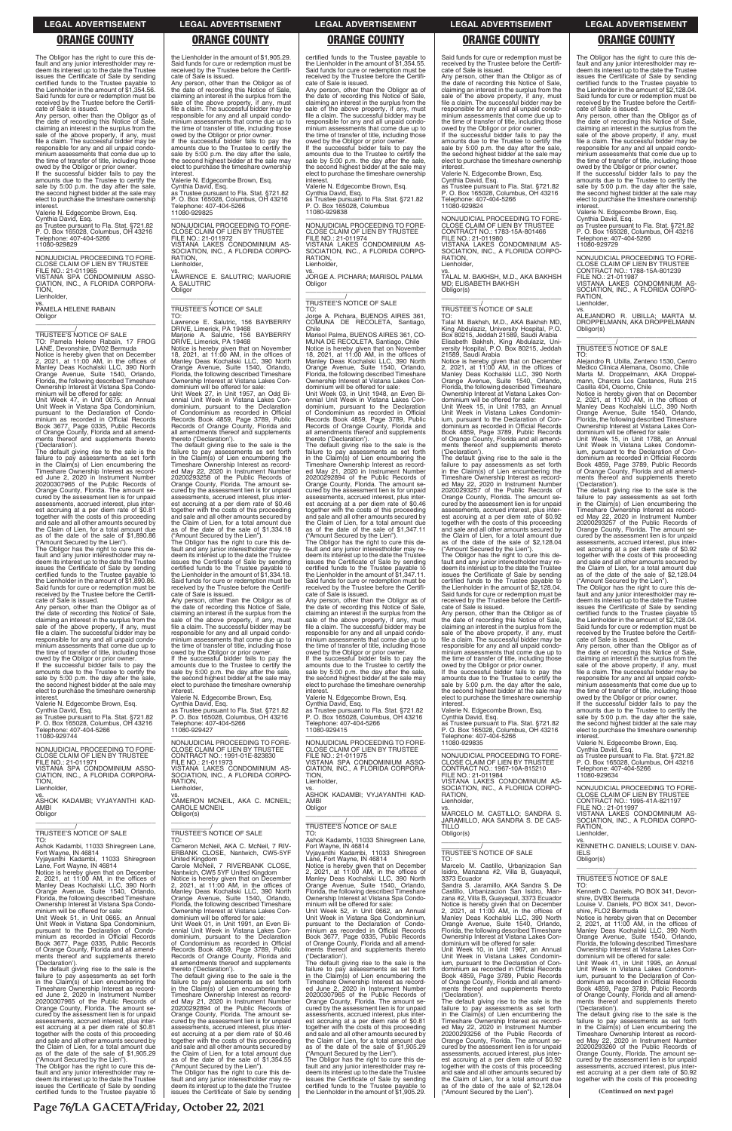The Obligor has the right to cure this de-fault and any junior interestholder may redeem its interest up to the date the Trustee issues the Certificate of Sale by sending certified funds to the Trustee payable the Lienholder in the amount of \$1,354.56. Said funds for cure or redemption must be received by the Trustee before the Certificate of Sale is issued.

If the successful bidder fails to pay the amounts due to the Trustee to certify the sale by 5:00 p.m. the day after the sale, the second highest bidder at the sale may elect to purchase the timeshare ownership **interest** 

Any person, other than the Obligor as of the date of recording this Notice of Sale, claiming an interest in the surplus from the sale of the above property, if any, must file a claim. The successful bidder may be responsible for any and all unpaid condominium assessments that come due up to the time of transfer of title, including those owed by the Obligor or prior owner.

Valerie N. Edgecombe Brown, Esq. Cynthia David, Esq. as Trustee pursuant to Fla. Stat. §721.82 P. O. Box 165028, Columbus, OH 43216 Telephone: 407-404-5266 11080-929829

—————————————————— NONJUDICIAL PROCEEDING TO FORE-CLOSE CLAIM OF LIEN BY TRUSTEE FILE NO.: 21-011965 VISTANA SPA CONDOMINIUM ASSO-CIATION, INC., A FLORIDA CORPORA-**TION** Lienholder,

vs.

PAMELA HELENE RABAIN Obligor \_\_\_\_\_\_\_\_\_\_\_\_\_\_\_\_\_\_\_\_\_\_\_\_\_\_\_\_\_\_\_\_\_

\_\_\_\_\_\_\_\_\_\_\_/ TRUSTEE'S NOTICE OF SALE TO: Pamela Helene Rabain, 17 FROG LANE, Devonshire, DV02 Bermuda

The Obligor has the right to cure this default and any junior interestholder may re-deem its interest up to the date the Trustee issues the Certificate of Sale by sending certified funds to the Trustee payable to the Lienholder in the amount of \$1,890.86. Said funds for cure or redemption must be received by the Trustee before the Certifi-

Notice is hereby given that on December 2, 2021, at 11:00 AM, in the offices of Manley Deas Kochalski LLC, 390 North Orange Avenue, Suite 1540, Orlando, Florida, the following described Timeshare Ownership Interest at Vistana Spa Condo-minium will be offered for sale:

amounts due to the Trustee to certify the sale by 5:00 p.m. the day after the sale, the second highest bidder at the sale may elect to purchase the timeshare ownership interest

Unit Week 47, in Unit 0675, an Annual Unit Week in Vistana Spa Condominium, pursuant to the Declaration of Condominium as recorded in Official Records Book 3677, Page 0335, Public Records of Orange County, Florida and all amendments thereof and supplements thereto

('Declaration'). The default giving rise to the sale is the failure to pay assessments as set forth in the Claim(s) of Lien encumbering the Timeshare Ownership Interest as recorded June 2, 2020 in Instrument Number 20200307965 of the Public Records of Orange County, Florida. The amount secured by the assessment lien is for unpaid assessments, accrued interest, plus inter-est accruing at a per diem rate of \$0.81 together with the costs of this proceeding and sale and all other amounts secured by the Claim of Lien, for a total amount due as of the date of the sale of \$1,890.86 ("Amount Secured by the Lien").

owed by the Obligor or prior owner. If the successful bidder fails to pay the amounts due to the Trustee to certify the sale by 5:00 p.m. the day after the sale, the second highest bidder at the sale may elect to purchase the timeshare ownership **interest** 

cate of Sale is issued. Any person, other than the Obligor as of the date of recording this Notice of Sale, claiming an interest in the surplus from the sale of the above property, if any, must file a claim. The successful bidder may be responsible for any and all unpaid condo-minium assessments that come due up to the time of transfer of title, including those owed by the Obligor or prior owner. If the successful bidder fails to pay the

Valerie N. Edgecombe Brown, Esq.

Cynthia David, Esq. as Trustee pursuant to Fla. Stat. §721.82 P. O. Box 165028, Columbus, OH 43216 Telephone: 407-404-5266 11080-929744

—————————————————— NONJUDICIAL PROCEEDING TO FORE-CLOSE CLAIM OF LIEN BY TRUSTEE FILE NO.: 21-011971 VISTANA SPA CONDOMINIUM ASSO-CIATION, INC., A FLORIDA CORPORA-TION, Lienholder,

vs. ASHOK KADAMBI; VYJAYANTHI KAD-AMBI Obligor \_\_\_\_\_\_\_\_\_\_\_\_\_\_\_\_\_\_\_\_\_\_\_\_\_\_\_\_\_\_\_\_\_

\_\_\_\_\_\_\_\_\_\_\_/

### the Lienholder in the amount of \$1,905.29. Said funds for cure or redemption must be received by the Trustee before the Certifi-

cate of Sale is issued. Any person, other than the Obligor as of the date of recording this Notice of Sale, claiming an interest in the surplus from the sale of the above property, if any, must file a claim. The successful bidder may be responsible for any and all unpaid condo-minium assessments that come due up to the time of transfer of title, including those

> vs. JORGE A. PICHARA; MARISOL PALMA **Obligor**  $\overline{\phantom{a}}$  , and the set of the set of the set of the set of the set of the set of the set of the set of the set of the set of the set of the set of the set of the set of the set of the set of the set of the set of the s

Valerie N. Edgecombe Brown, Esq.

Cynthia David, Esq. as Trustee pursuant to Fla. Stat. §721.82 P. O. Box 165028, Columbus, OH 43216 Telephone: 407-404-5266 11080-929825

—————————————————— NONJUDICIAL PROCEEDING TO FORE-CLOSE CLAIM OF LIEN BY TRUSTEE FILE NO.: 21-011972 VISTANA LAKES CONDOMINIUM AS-SOCIATION, INC., A FLORIDA CORPO-RATION, Lienholder,

vs. LAWRENCE E. SALUTRIC; MARJORIE A. SALUTRIC **Obligor** \_\_\_\_\_\_\_\_\_\_\_\_\_\_\_\_\_\_\_\_\_\_\_\_\_\_\_\_\_\_\_\_\_

# \_\_\_\_\_\_\_\_\_\_\_/ TRUSTEE'S NOTICE OF SALE

TO: Lawrence E. Salutric, 156 BAYBERRY DRIVE, Limerick, PA 19468 Marjorie A. Salutric, 156 BAYBERRY DRIVE, Limerick, PA 19468

Notice is hereby given that on November 18, 2021, at 11:00 AM, in the offices of Manley Deas Kochalski LLC, 390 North Orange Avenue, Suite 1540, Orlando, Florida, the following described Timeshare Ownership Interest at Vistana Lakes Condominium will be offered for sale:

> owed by the Obligor or prior owner. If the successful bidder fails to pay the amounts due to the Trustee to certify the sale by 5:00 p.m. the day after the sale, the second highest bidder at the sale may elect to purchase the timeshare ownership **interest**

Unit Week 27, in Unit 1957, an Odd Biennial Unit Week in Vistana Lakes Condominium, pursuant to the Declaration of Condominium as recorded in Official Records Book 4859, Page 3789, Public Records of Orange County, Florida and all amendments thereof and supplements thereto ('Declaration').

> vs. ASHOK KADAMBI; VYJAYANTHI KAD-AMBI **Obligor**

 $\overline{\phantom{a}}$  , and the set of the set of the set of the set of the set of the set of the set of the set of the set of the set of the set of the set of the set of the set of the set of the set of the set of the set of the s \_\_\_\_\_\_\_\_\_\_\_/ TRUSTEE'S NOTICE OF SALE

The default giving rise to the sale is the failure to pay assessments as set forth in the Claim(s) of Lien encumbering the Timeshare Ownership Interest as record-ed May 22, 2020 in Instrument Number 20200293258 of the Public Records of Orange County, Florida. The amount se-cured by the assessment lien is for unpaid assessments, accrued interest, plus interest accruing at a per diem rate of \$0.46 together with the costs of this proceeding and sale and all other amounts secured by the Claim of Lien, for a total amount due as of the date of the sale of \$1,334.18

("Amount Secured by the Lien"). The Obligor has the right to cure this de-fault and any junior interestholder may redeem its interest up to the date the Trustee issues the Certificate of Sale by sending certified funds to the Trustee payable to the Lienholder in the amount of \$1,334.18. Said funds for cure or redemption must be received by the Trustee before the Certificate of Sale is issued.

claiming an interest in the surplus from the sale of the above property, if any, must file a claim. The successful bidder may be responsible for any and all unpaid condominium assessments that come due up to the time of transfer of title, including those owed by the Obligor or prior owner

Any person, other than the Obligor as of the date of recording this Notice of Sale, claiming an interest in the surplus from the sale of the above property, if any, must file a claim. The successful bidder may be responsible for any and all unpaid condominium assessments that come due up to the time of transfer of title, including those owed by the Obligor or prior owner.

If the successful bidder fails to pay the amounts due to the Trustee to certify the sale by 5:00 p.m. the day after the sale, the second highest bidder at the sale may elect to purchase the timeshare ownership interest.

Valerie N. Edgecombe Brown, Esq. Cynthia David, Esq.

as Trustee pursuant to Fla. Stat. §721.82 P. O. Box 165028, Columbus, OH 43216 Telephone: 407-404-5266 11080-929427

—————————————————— NONJUDICIAL PROCEEDING TO FORE-CLOSE CLAIM OF LIEN BY TRUSTEE CONTRACT NO.: 1991-01E-823830 FILE NO.: 21-011973 VISTANA LAKES CONDOMINIUM AS-SOCIATION, INC., A FLORIDA CORPO-RATION, Lienholder,

vs. CAMERON MCNEIL, AKA C. MCNEIL; CAROLE MCNEIL Obligor(s) \_\_\_\_\_\_\_\_\_\_\_\_\_\_\_\_\_\_\_\_\_\_\_\_\_\_\_\_\_\_\_\_\_

\_\_\_\_\_\_\_\_\_\_\_/

The Obligor has the right to cure this default and any junior interestholder may re-deem its interest up to the date the Trustee issues the Certificate of Sale by sending certified funds to the Trustee payable to the Lienholder in the amount of \$2,128.04. Said funds for cure or redemption must be received by the Trustee before the Certifi-cate of Sale is issued.

If the successful bidder fails to pay the amounts due to the Trustee to certify the sale by 5:00 p.m. the day after the sale, the second highest bidder at the sale may elect to purchase the timeshare ownership nterest

certified funds to the Trustee payable to the Lienholder in the amount of \$1,354.55. Said funds for cure or redemption must be received by the Trustee before the Certifi-cate of Sale is issued.

Any person, other than the Obligor as of the date of recording this Notice of Sale, claiming an interest in the surplus from the sale of the above property, if any, must file a claim. The successful bidder may be responsible for any and all unpaid condominium assessments that come due up to the time of transfer of title, including those owed by the Obligor or prior owner. If the successful bidder fails to pay the amounts due to the Trustee to certify the sale by 5:00 p.m. the day after the sale,

> VISTANA LAKES CONDOMINIUM AS-SOCIATION, INC., A FLORIDA CORPO- RATION, **Lienholder**

the second highest bidder at the sale may elect to purchase the timeshare ownership interest. Valerie N. Edgecombe Brown, Esq.

Cynthia David, Esq. as Trustee pursuant to Fla. Stat. §721.82 P. O. Box 165028, Columbus 11080-929838

—————————————————— NONJUDICIAL PROCEEDING TO FORE-CLOSE CLAIM OF LIEN BY TRUSTEE FILE NO.: 21-011974 VISTANA LAKES CONDOMINIUM AS-SOCIATION, INC., A FLORIDA CORPO-RATION, Lienholder,

\_\_\_\_\_\_\_\_\_\_\_/ TRUSTEE'S NOTICE OF SALE

TO: Jorge A. Pichara, BUENOS AIRES 361, COMUNA DE RECOLETA, Santiago, Chile

Marisol Palma, BUENOS AIRES 361, CO-MUNA DE RECOLETA, Santiago, Chile Notice is hereby given that on November 18, 2021, at 11:00 AM, in the offices of Manley Deas Kochalski LLC, 390 North Orange Avenue, Suite 1540, Orlando, Florida, the following described Timeshare Ownership Interest at Vistana Lakes Condominium will be offered for sale:

Unit Week 03, in Unit 1948, an Even Biennial Unit Week in Vistana Lakes Condominium, pursuant to the Declaration of Condominium as recorded in Official Records Book 4859, Page 3789, Public Records of Orange County, Florida and all amendments thereof and supplements thereto ('Declaration').

The default giving rise to the sale is the failure to pay assessments as set forth in the Claim(s) of Lien encumbering the Timeshare Ownership Interest as record-ed May 21, 2020 in Instrument Number 20200292894 of the Public Records of Orange County, Florida. The amount se-cured by the assessment lien is for unpaid assessments, accrued interest, plus interest accruing at a per diem rate of \$0.46 together with the costs of this proceeding and sale and all other amounts secured by the Claim of Lien, for a total amount due as of the date of the sale of \$1,347.11

("Amount Secured by the Lien"). The Obligor has the right to cure this de-fault and any junior interestholder may redeem its interest up to the date the Trustee issues the Certificate of Sale by sending certified funds to the Trustee payable to the Lienholder in the amount of \$1,347.11. Said funds for cure or redemption must be received by the Trustee before the Certificate of Sale is issued.

Any person, other than the Obligor as of the date of recording this Notice of Sale, claiming an interest in the surplus from the sale of the above property, if any, must file a claim. The successful bidder may be responsible for any and all unpaid condominium assessments that come due up to the time of transfer of title, including those

Valerie N. Edgecombe Brown, Esq. Cynthia David, Esq.

as Trustee pursuant to Fla. Stat. §721.82 P. O. Box 165028, Columbus, OH 43216 Telephone: 407-404-5266 11080-929415

—————————————————— NONJUDICIAL PROCEEDING TO FORE-CLOSE CLAIM OF LIEN BY TRUSTEE FILE NO.: 21-011975 VISTANA SPA CONDOMINIUM ASSO-CIATION, INC., A FLORIDA CORPORA-**TION** Lienholder,

| Unit Week 51. in Unit 0665, an Annual<br>Unit Week in Vistana Spa Condominium,<br>pursuant to the Declaration of Condo-<br>minium as recorded in Official Records<br>Book 3677, Page 0335, Public Records<br>of Orange County, Florida and all amend-<br>ments thereof and supplements thereto<br>('Declaration').<br>The default giving rise to the sale is the<br>failure to pay assessments as set forth<br>in the Claim(s) of Lien encumbering the<br>Timeshare Ownership Interest as record-<br>ed June 2, 2020 in Instrument Number<br>20200307965 of the Public Records of<br>Orange County, Florida. The amount se-<br>cured by the assessment lien is for unpaid<br>assessments, accrued interest, plus inter-<br>est accruing at a per diem rate of \$0.81<br>together with the costs of this proceeding<br>and sale and all other amounts secured by<br>the Claim of Lien, for a total amount due<br>as of the date of the sale of \$1,905.29<br>("Amount Secured by the Lien").<br>The Obligor has the right to cure this de-<br>fault and any junior interestholder may re-<br>deem its interest up to the date the Trustee<br>issues the Certificate of Sale by sending<br>certified funds to the Trustee payable to<br>Page 76/LA GACETA/Friday, October 22, 2021 | Ownership Interest at Vistana Lakes Con-<br>dominium will be offered for sale:<br>Unit Week 01, in Unit 1991, an Even Bi-<br>ennial Unit Week in Vistana Lakes Con-<br>dominium, pursuant to the Declaration<br>of Condominium as recorded in Official<br>Records Book 4859, Page 3789, Public<br>Records of Orange County, Florida and<br>all amendments thereof and supplements<br>thereto ('Declaration').<br>The default giving rise to the sale is the<br>failure to pay assessments as set forth<br>in the Claim(s) of Lien encumbering the<br>Timeshare Ownership Interest as record-<br>ed May 21, 2020 in Instrument Number<br>20200292894 of the Public Records of<br>Orange County, Florida. The amount se-<br>cured by the assessment lien is for unpaid<br>assessments, accrued interest, plus inter-<br>est accruing at a per diem rate of \$0.46<br>together with the costs of this proceeding<br>and sale and all other amounts secured by<br>the Claim of Lien, for a total amount due<br>as of the date of the sale of \$1,354.55<br>("Amount Secured by the Lien").<br>The Obligor has the right to cure this de-<br>fault and any junior interestholder may re-<br>deem its interest up to the date the Trustee<br>issues the Certificate of Sale by sending | Unit Week in Vistana Spa Condominium,<br>pursuant to the Declaration of Condo-<br>minium as recorded in Official Records<br>Book 3677, Page 0335, Public Records<br>of Orange County, Florida and all amend-<br>ments thereof and supplements thereto<br>('Declaration').<br>The default giving rise to the sale is the<br>failure to pay assessments as set forth<br>in the Claim(s) of Lien encumbering the<br>Timeshare Ownership Interest as record-<br>ed June 2, 2020 in Instrument Number<br>20200307965 of the Public Records of<br>Orange County, Florida. The amount se-<br>cured by the assessment lien is for unpaid<br>assessments, accrued interest, plus inter-<br>est accruing at a per diem rate of \$0.81<br>together with the costs of this proceeding<br>and sale and all other amounts secured by<br>the Claim of Lien, for a total amount due<br>as of the date of the sale of \$1,905.29<br>("Amount Secured by the Lien").<br>The Obligor has the right to cure this de-<br>fault and any junior interestholder may re-<br>deem its interest up to the date the Trustee<br>issues the Certificate of Sale by sending<br>certified funds to the Trustee payable to<br>the Lienholder in the amount of \$1,905.29. | Manley Deas Kochalski LLC, 390 North<br>Orange Avenue, Suite 1540, Orlando,<br>Florida, the following described Timeshare<br>Ownership Interest at Vistana Lakes Con-<br>dominium will be offered for sale:<br>Unit Week 10. in Unit 1967, an Annual<br>Unit Week in Vistana Lakes Condomin-<br>ium, pursuant to the Declaration of Con-<br>dominium as recorded in Official Records<br>Book 4859, Page 3789, Public Records<br>of Orange County, Florida and all amend-<br>ments thereof and supplements thereto<br>('Declaration').<br>The default giving rise to the sale is the<br>failure to pay assessments as set forth<br>in the Claim(s) of Lien encumbering the<br>Timeshare Ownership Interest as record-<br>ed May 22, 2020 in Instrument Number<br>20200293256 of the Public Records of<br>Orange County, Florida. The amount se-<br>cured by the assessment lien is for unpaid<br>assessments, accrued interest, plus inter-<br>est accruing at a per diem rate of \$0.92<br>together with the costs of this proceeding<br>and sale and all other amounts secured by<br>the Claim of Lien, for a total amount due<br>as of the date of the sale of \$2,128.04<br>("Amount Secured by the Lien"). | Notice is hereby given that on December<br>2, 2021, at $11:00$ AM, in the offices of<br>Manley Deas Kochalski LLC, 390 North<br>Orange Avenue, Suite 1540, Orlando,<br>Florida, the following described Timeshare<br>Ownership Interest at Vistana Lakes Con-<br>dominium will be offered for sale:<br>Unit Week 41, in Unit 1995, an Annual<br>Unit Week in Vistana Lakes Condomin-<br>ium, pursuant to the Declaration of Con-<br>dominium as recorded in Official Records<br>Book 4859, Page 3789, Public Records<br>of Orange County, Florida and all amend-<br>ments thereof and supplements thereto<br>('Declaration').<br>The default giving rise to the sale is the<br>failure to pay assessments as set forth<br>in the Claim(s) of Lien encumbering the<br>Timeshare Ownership Interest as record-<br>ed May 22, 2020 in Instrument Number<br>20200293260 of the Public Records of<br>Orange County, Florida. The amount se-<br>cured by the assessment lien is for unpaid<br>assessments, accrued interest, plus inter-<br>est accruing at a per diem rate of \$0.92<br>together with the costs of this proceeding<br>(Continued on next page) |
|----------------------------------------------------------------------------------------------------------------------------------------------------------------------------------------------------------------------------------------------------------------------------------------------------------------------------------------------------------------------------------------------------------------------------------------------------------------------------------------------------------------------------------------------------------------------------------------------------------------------------------------------------------------------------------------------------------------------------------------------------------------------------------------------------------------------------------------------------------------------------------------------------------------------------------------------------------------------------------------------------------------------------------------------------------------------------------------------------------------------------------------------------------------------------------------------------------------------------------------------------------------------------------|----------------------------------------------------------------------------------------------------------------------------------------------------------------------------------------------------------------------------------------------------------------------------------------------------------------------------------------------------------------------------------------------------------------------------------------------------------------------------------------------------------------------------------------------------------------------------------------------------------------------------------------------------------------------------------------------------------------------------------------------------------------------------------------------------------------------------------------------------------------------------------------------------------------------------------------------------------------------------------------------------------------------------------------------------------------------------------------------------------------------------------------------------------------------------------------------------------------------------------------------------------------------------------|------------------------------------------------------------------------------------------------------------------------------------------------------------------------------------------------------------------------------------------------------------------------------------------------------------------------------------------------------------------------------------------------------------------------------------------------------------------------------------------------------------------------------------------------------------------------------------------------------------------------------------------------------------------------------------------------------------------------------------------------------------------------------------------------------------------------------------------------------------------------------------------------------------------------------------------------------------------------------------------------------------------------------------------------------------------------------------------------------------------------------------------------------------------------------------------------------------------------------------------|----------------------------------------------------------------------------------------------------------------------------------------------------------------------------------------------------------------------------------------------------------------------------------------------------------------------------------------------------------------------------------------------------------------------------------------------------------------------------------------------------------------------------------------------------------------------------------------------------------------------------------------------------------------------------------------------------------------------------------------------------------------------------------------------------------------------------------------------------------------------------------------------------------------------------------------------------------------------------------------------------------------------------------------------------------------------------------------------------------------------------------------------------------------------------------------------------------------|-----------------------------------------------------------------------------------------------------------------------------------------------------------------------------------------------------------------------------------------------------------------------------------------------------------------------------------------------------------------------------------------------------------------------------------------------------------------------------------------------------------------------------------------------------------------------------------------------------------------------------------------------------------------------------------------------------------------------------------------------------------------------------------------------------------------------------------------------------------------------------------------------------------------------------------------------------------------------------------------------------------------------------------------------------------------------------------------------------------------------------------------------------------|
| Fort Wayne, IN 46814<br>Vyjayanthi Kadambi, 11033 Shiregreen<br>Lane, Fort Wayne, IN 46814<br>Notice is hereby given that on December<br>2, 2021, at 11:00 AM, in the offices of<br>Manley Deas Kochalski LLC, 390 North<br>Orange Avenue, Suite 1540, Orlando,<br>Florida, the following described Timeshare<br>Ownership Interest at Vistana Spa Condo-<br>minium will be offered for sale:                                                                                                                                                                                                                                                                                                                                                                                                                                                                                                                                                                                                                                                                                                                                                                                                                                                                                    | ERBANK CLOSE, Nantwich, CW5-5YF<br><b>United Kingdom</b><br>Carole McNeil. 7 RIVERBANK CLOSE.<br>Nantwich, CW5 5YF United Kingdom<br>Notice is hereby given that on December<br>2, 2021, at $11:00$ AM, in the offices of<br>Manley Deas Kochalski LLC, 390 North<br>Orange Avenue. Suite 1540. Orlando.<br>Florida, the following described Timeshare                                                                                                                                                                                                                                                                                                                                                                                                                                                                                                                                                                                                                                                                                                                                                                                                                                                                                                                           | Vyjavanthi Kadambi, 11033 Shiregreen<br>Lane, Fort Wayne, IN 46814<br>Notice is hereby given that on December<br>2, 2021, at 11:00 AM, in the offices of<br>Manley Deas Kochalski LLC, 390 North<br>Orange Avenue, Suite 1540, Orlando,<br>Florida, the following described Timeshare<br>Ownership Interest at Vistana Spa Condo-<br>minium will be offered for sale:<br>Unit Week 52, in Unit 0662, an Annual                                                                                                                                                                                                                                                                                                                                                                                                                                                                                                                                                                                                                                                                                                                                                                                                                           | TRUSTEE'S NOTICE OF SALE<br>TO:<br>Marcelo M. Castillo, Urbanizacion San<br>Isidro, Manzana #2, Villa B, Guayaquil,<br>3373 Ecuador<br>Sandra S. Jaramillo, AKA Sandra S. De<br>Castillo, Urbanizacion San Isidro, Man-<br>zana #2, Villa B, Guayaquil, 3373 Ecuador<br>Notice is hereby given that on December<br>2, 2021, at 11:00 AM, in the offices of                                                                                                                                                                                                                                                                                                                                                                                                                                                                                                                                                                                                                                                                                                                                                                                                                                                     | <b>IELS</b><br>Obligor(s)<br>TRUSTEE'S NOTICE OF SALE<br>TO:<br>Kenneth C. Daniels, PO BOX 341, Devon-<br>shire, DVBX Bermuda<br>Louise V. Daniels, PO BOX 341, Devon-<br>shire, FLO2 Bermuda                                                                                                                                                                                                                                                                                                                                                                                                                                                                                                                                                                                                                                                                                                                                                                                                                                                                                                                                                             |
| TRUSTEE'S NOTICE OF SALE<br>TO:<br>Ashok Kadambi, 11033 Shiregreen Lane,                                                                                                                                                                                                                                                                                                                                                                                                                                                                                                                                                                                                                                                                                                                                                                                                                                                                                                                                                                                                                                                                                                                                                                                                         | TRUSTEE'S NOTICE OF SALE<br>TO:<br>Cameron McNeil, AKA C. McNeil, 7 RIV-                                                                                                                                                                                                                                                                                                                                                                                                                                                                                                                                                                                                                                                                                                                                                                                                                                                                                                                                                                                                                                                                                                                                                                                                         | TO.<br>Ashok Kadambi, 11033 Shiregreen Lane,<br>Fort Wayne, IN 46814                                                                                                                                                                                                                                                                                                                                                                                                                                                                                                                                                                                                                                                                                                                                                                                                                                                                                                                                                                                                                                                                                                                                                                     | Obligor(s)                                                                                                                                                                                                                                                                                                                                                                                                                                                                                                                                                                                                                                                                                                                                                                                                                                                                                                                                                                                                                                                                                                                                                                                                     | Lienholder.<br>KENNETH C. DANIELS; LOUISE V. DAN-                                                                                                                                                                                                                                                                                                                                                                                                                                                                                                                                                                                                                                                                                                                                                                                                                                                                                                                                                                                                                                                                                                         |

cate of Sale is issued.

Said funds for cure or redemption must be received by the Trustee before the Certifi-Any person, other than the Obligor as of the date of recording this Notice of Sale,

If the successful bidder fails to pay the amounts due to the Trustee to certify the sale by 5:00 p.m. the day after the sale, the second highest bidder at the sale may elect to purchase the timeshare ownership interest.

Valerie N. Edgecombe Brown, Esq. Cynthia David, Esq.

as Trustee pursuant to Fla. Stat. §721.82 P. O. Box 165028, Columbus, OH 43216 Telephone: 407-404-5266 11080-929824

—————————————————— NONJUDICIAL PROCEEDING TO FORE-CLOSE CLAIM OF LIEN BY TRUSTEE CONTRACT NO.: 1783-15A-801466 FILE NO.: 21-011980 VISTANA LAKES CONDOMINIUM AS-SOCIATION, INC., A FLORIDA CORPO-

RATION, Lienholder,

vs. TALAL M. BAKHSH, M.D., AKA BAKHSH MD; ELISABETH BAKHSH Obligor(s) \_\_\_\_\_\_\_\_\_\_\_\_\_\_\_\_\_\_\_\_\_\_\_\_\_\_\_\_\_\_\_\_\_

\_\_\_\_\_\_\_\_\_\_\_/ TRUSTEE'S NOTICE OF SALE

TO: Talal M. Bakhsh, M.D., AKA Bakhsh MD, King Abdulaziz, University Hospital, P.O. Box 80215, Jeddah 21589, Saudi Arabia Elisabeth Bakhsh, King Abdulaziz, Uni-versity Hospital, P.O. Box 80215, Jeddah 21589, Saudi Arabia

Notice is hereby given that on December 2, 2021, at 11:00 AM, in the offices of Manley Deas Kochalski LLC, 390 North Orange Avenue, Suite 1540, Orlando, Florida, the following described Timeshare Ownership Interest at Vistana Lakes Condominium will be offered for sale:

Unit Week 15, in Unit 1783, an Annual Unit Week in Vistana Lakes Condominium, pursuant to the Declaration of Condominium as recorded in Official Records Book 4859, Page 3789, Public Records of Orange County, Florida and all amend-ments thereof and supplements thereto ('Declaration').

The default giving rise to the sale is the failure to pay assessments as set forth in the Claim(s) of Lien encumbering the Timeshare Ownership Interest as recorded May 22, 2020 in Instrument Number 20200293257 of the Public Records of Orange County, Florida. The amount secured by the assessment lien is for unpaid assessments, accrued interest, plus interest accruing at a per diem rate of \$0.92 together with the costs of this proceeding and sale and all other amounts secured by the Claim of Lien, for a total amount due as of the date of the sale of \$2,128.04 ("Amount Secured by the Lien").

Any person, other than the Obligor as of the date of recording this Notice of Sale, claiming an interest in the surplus from the sale of the above property, if any, must file a claim. The successful bidder may be responsible for any and all unpaid condominium assessments that come due up to the time of transfer of title, including those owed by the Obligor or prior owner.

Valerie N. Edgecombe Brown, Esq. Cynthia David, Esq. as Trustee pursuant to Fla. Stat. §721.82

P. O. Box 165028, Columbus, OH 43216 Telephone: 407-404-5266 11080-929835

—————————————————— NONJUDICIAL PROCEEDING TO FORE-CLOSE CLAIM OF LIEN BY TRUSTEE CONTRACT NO.: 1967-10A-815210 FILE NO.: 21-011984

VISTANA LAKES CONDOMINIUM AS-SOCIATION, INC., A FLORIDA CORPO-**RATION** Lienholder,

vs.

MARCELO M. CASTILLO; SANDRA S. JARAMILLO, AKA SANDRA S. DE CAS-TILLO

The Obligor has the right to cure this de-fault and any junior interestholder may redeem its interest up to the date the Trustee issues the Certificate of Sale by sending certified funds to the Trustee payable the Lienholder in the amount of \$2,128.04. Said funds for cure or redemption must be received by the Trustee before the Certificate of Sale is issued.

Any person, other than the Obligor as of the date of recording this Notice of Sale, claiming an interest in the surplus from the<br>sale of the above property, if any, must sale of the above property, if any, must file a claim. The successful bidder may be responsible for any and all unpaid condominium assessments that come due up to the time of transfer of title, including those

owed by the Obligor or prior owner. If the successful bidder fails to pay the amounts due to the Trustee to certify the sale by 5:00 p.m. the day after the sale, the second highest bidder at the sale may elect to purchase the timeshare ownership interest.

Valerie N. Edgecombe Brown, Esq. Cynthia David, Esq. as Trustee pursuant to Fla. Stat. §721.82 P. O. Box 165028, Columbus, OH 43216 en Den Tessas, Senaring<br>Iephone: 407-404-5266 11080-929729

—————————————————— NONJUDICIAL PROCEEDING TO FORE-CLOSE CLAIM OF LIEN BY TRUSTEE CONTRACT NO.: 1788-15A-801239 FILE NO.: 21-011987

vs. ALEJANDRO R. UBILLA; MARTA M. DROPPELMANN, AKA DROPPELMANN Obligor(s) \_\_\_\_\_\_\_\_\_\_\_\_\_\_\_\_\_\_\_\_\_\_\_\_\_\_\_\_\_\_\_\_\_

# \_\_\_\_\_\_\_\_\_\_\_/ TRUSTEE'S NOTICE OF SALE

TO: Alejandro R. Ubilla, Zenteno 1530, Centro Medico Clinica Alemana, Osorno, Chile Marta M. Droppelmann, AKA Droppelmann, Charcra Los Castanos, Ruta 215

Casilla 404, Osorno, Chile Notice is hereby given that on December 2, 2021, at 11:00 AM, in the offices of Manley Deas Kochalski LLC, 390 North Orange Avenue, Suite 1540, Orlando, Florida, the following described Timeshare Ownership Interest at Vistana Lakes Con-dominium will be offered for sale:

Unit Week 15, in Unit 1788, an Annual Unit Week in Vistana Lakes Condomin-ium, pursuant to the Declaration of Condominium as recorded in Official Records Book 4859, Page 3789, Public Records of Orange County, Florida and all amendments thereof and supplements thereto

('Declaration'). The default giving rise to the sale is the failure to pay assessments as set forth in the Claim(s) of Lien encumbering the Timeshare Ownership Interest as recorded May 22, 2020 in Instrument Number 20200293257 of the Public Records of Orange County, Florida. The amount secured by the assessment lien is for unpaid assessments, accrued interest, plus inter-est accruing at a per diem rate of \$0.92 together with the costs of this proceeding and sale and all other amounts secured by the Claim of Lien, for a total amount due

as of the date of the sale of \$2,128.04 ("Amount Secured by the Lien"). The Obligor has the right to cure this default and any junior interestholder may redeem its interest up to the date the Trustee issues the Certificate of Sale by sending certified funds to the Trustee payable to the Lienholder in the amount of \$2,128.04. Said funds for cure or redemption must be received by the Trustee before the Certifi-cate of Sale is issued. Any person, other than the Obligor as of

the date of recording this Notice of Sale, claiming an interest in the surplus from the sale of the above property, if any, must file a claim. The successful bidder may be responsible for any and all unpaid condo-minium assessments that come due up to the time of transfer of title, including those owed by the Obligor or prior owner. If the successful bidder fails to pay the amounts due to the Trustee to certify the sale by 5:00 p.m. the day after the sale, the second highest bidder at the sale may elect to purchase the timeshare ownership

Valerie N. Edgecombe Brown, Esq. Cynthia David, Esq. as Trustee pursuant to Fla. Stat. §721.82 P. O. Box 165028, Columbus, OH 43216

Telephone: 407-404-5266 11080-929634

—————————————————— NONJUDICIAL PROCEEDING TO FORE-CLOSE CLAIM OF LIEN BY TRUSTEE CONTRACT NO.: 1995-41A-821197

FILE NO.: 21-011997

interes

VISTANA LAKES CONDOMINIUM AS-SOCIATION, INC., A FLORIDA CORPO-

RATION,

### **LEGAL ADVERTISEMENT LEGAL ADVERTISEMENT LEGAL ADVERTISEMENT LEGAL ADVERTISEMENT LEGAL ADVERTISEMENT**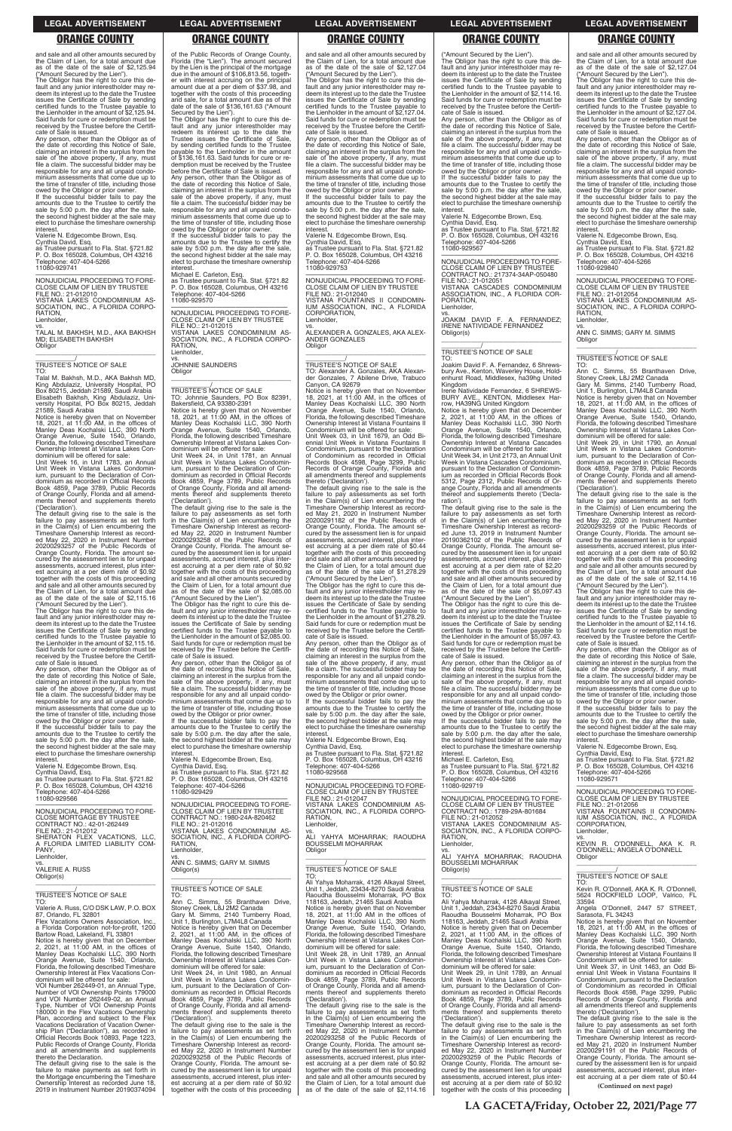and sale and all other amounts secured by the Claim of Lien, for a total amount due as of the date of the sale of \$2,125.94 ("Amount Secured by the Lien").

The Obligor has the right to cure this default and any junior interestholder may re-deem its interest up to the date the Trustee issues the Certificate of Sale by sending certified funds to the Trustee payable to the Lienholder in the amount of \$2,125.94. Said funds for cure or redemption must be received by the Trustee before the Certifi-

cate of Sale is issued. Any person, other than the Obligor as of the date of recording this Notice of Sale, claiming an interest in the surplus from the sale of the above property, if any, must file a claim. The successful bidder may be responsible for any and all unpaid condominium assessments that come due up to the time of transfer of title, including those

owed by the Obligor or prior owner. If the successful bidder fails to pay the amounts due to the Trustee to certify the sale by 5:00 p.m. the day after the sale, the second highest bidder at the sale may elect to purchase the timeshare ownership interest.

Valerie N. Edgecombe Brown, Esq.

Cynthia David, Esq. as Trustee pursuant to Fla. Stat. §721.82 P. O. Box 165028, Columbus, OH 43216 Telephone: 407-404-5266 11080-929741

—————————————————— NONJUDICIAL PROCEEDING TO FORE-CLOSE CLAIM OF LIEN BY TRUSTEE FILE NO.: 21-012010 VISTANA LAKES CONDOMINIUM AS-SOCIATION, INC., A FLORIDA CORPO-RATION, Lienholder,

vs. TALAL M. BAKHSH, M.D., AKA BAKHSH MD; ELISABETH BAKHSH **Obligor** \_\_\_\_\_\_\_\_\_\_\_\_\_\_\_\_\_\_\_\_\_\_\_\_\_\_\_\_\_\_\_\_\_

# \_\_\_\_\_\_\_\_\_\_\_/ TRUSTEE'S NOTICE OF SALE

TO: Talal M. Bakhsh, M.D., AKA Bakhsh MD, King Abdulaziz, University Hospital, PO Box 80215, Jeddah 21589, Saudi Arabia Elisabeth Bakhsh, King Abdulaziz, University Hospital, PO Box 80215, Jeddah 21589, Saudi Arabia

Notice is hereby given that on November 18, 2021, at 11:00 AM, in the offices of Manley Deas Kochalski LLC, 390 North Orange Avenue, Suite 1540, Orlando, Florida, the following described Timeshare Ownership Interest at Vistana Lakes Condominium will be offered for sale:

Unit Week 16, in Unit 1783, an Annual Unit Week in Vistana Lakes Condominium, pursuant to the Declaration of Condominium as recorded in Official Records Book 4859, Page 3789, Public Records of Orange County, Florida and all amend-ments thereof and supplements thereto ('Declaration').

The default giving rise to the sale is the failure to pay assessments as set forth in the Claim(s) of Lien encumbering the Timeshare Ownership Interest as recorded May 22, 2020 in Instrument Number 20200293257 of the Public Records of Orange County, Florida. The amount se-cured by the assessment lien is for unpaid assessments, accrued interest, plus interest accruing at a per diem rate of \$0.92 together with the costs of this proceeding and sale and all other amounts secured by the Claim of Lien, for a total amount due as of the date of the sale of \$2,115.16 ("Amount Secured by the Lien").

The Obligor has the right to cure this de-fault and any junior interestholder may redeem its interest up to the date the Trustee issues the Certificate of Sale by sending certified funds to the Trustee payable to the Lienholder in the amount of \$2,115.16. Said funds for cure or redemption must be received by the Trustee before the Certificate of Sale is issued.

Any person, other than the Obligor as of<br>the date of recording this Notice of Sale date of recording this Notice of Sale claiming an interest in the surplus from the sale of the above property, if any, must file a claim. The successful bidder may be responsible for any and all unpaid condominium assessments that come due up to the time of transfer of title, including those

\_\_\_\_\_\_\_\_\_\_\_/<br>TRUSTEE'S NOTICE OF SALE<br>TO: Johnnie Saunders, PO Box 82391, Bakersfield, CA 93380-2391

owed by the Obligor or prior owner. If the successful bidder fails to pay the amounts due to the Trustee to certify the sale by 5:00 p.m. the day after the sale, the second highest bidder at the sale may elect to purchase the timeshare ownership interest.

Valerie N. Edgecombe Brown, Esq. Cynthia David, Esq. as Trustee pursuant to Fla. Stat. §721.82 P. O. Box 165028, Columbus, OH 43216 Telephone: 407-404-5266 11080-929566

—————————————————— NONJUDICIAL PROCEEDING TO FORE-CLOSE MORTGAGE BY TRUSTEE CONTRACT NO.: 42-01-262449

of the Public Records of Orange County, Florida (the "Lien"). The amount secured by the Lien is the principal of the mortgage due in the amount of \$106,813.56, together with interest accruing on the principal amount due at a per diem of \$37.98, and together with the costs of this proceeding and sale, for a total amount due as of the date of the sale of \$136,161.63 ("Amount Secured by the Lien").

The Obligor has the right to cure this default and any junior interestholder may redeem its interest up to the date the Trustee issues the Certificate of Sale by sending certified funds to the Trustee payable to the Lienholder in the amount of \$2,127.04. Said funds for cure or redemption must be received by the Trustee before the Certifi-cate of Sale is issued.

The Obligor has the right to cure this default and any junior interestholder may redeem its interest up to the date the Trustee issues the Certificate of Sale, by sending certified funds to the Trustee payable to the Lienholder in the amount of \$136,161.63. Said funds for cure or redemption must be received by the Trustee before the Certificate of Sale is issued.

Any person, other than the Obligor as of the date of recording this Notice of Sale, claiming an interest in the surplus from the sale of the above property, if any, must file a claim. The successful bidder may be responsible for any and all unpaid condominium assessments that come due up to the time of transfer of title, including those

owed by the Obligor or prior owner. If the successful bidder fails to pay the amounts due to the Trustee to certify the sale by 5:00 p.m. the day after the sale, the second highest bidder at the sale may elect to purchase the timeshare ownership interest.

Michael E. Carleton, Esq. as Trustee pursuant to Fla. Stat. §721.82 P. O. Box 165028, Columbus, OH 43216 Telephone: 407-404-5266 11080-929570

—————————————————— NONJUDICIAL PROCEEDING TO FORE-CLOSE CLAIM OF LIEN BY TRUSTEE FILE NO.: 21-012015 VISTANA LAKES CONDOMINIUM AS-SOCIATION, INC., A FLORIDA CORPO-**RATION** Lienholder,

> The Obligor has the right to cure this de fault and any junior interestholder may re-deem its interest up to the date the Trustee issues the Certificate of Sale by sending certified funds to the Trustee payable to the Lienholder in the amount of \$1,278.29. Said funds for cure or redemption must be received by the Trustee before the Certificate of Sale is issued.

vs. JOHNNIE SAUNDERS Obligor

\_\_\_\_\_\_\_\_\_\_\_\_\_\_\_\_\_\_\_\_\_\_\_\_\_\_\_\_\_\_\_\_\_

Notice is hereby given that on November 18, 2021, at 11:00 AM, in the offices of Manley Deas Kochalski LLC, 390 North Orange Avenue, Suite 1540, Orlando, Florida, the following described Timeshare Ownership Interest at Vistana Lakes Condominium will be offered for sale: Unit Week 24, in Unit 1781, an Annual

Unit Week in Vistana Lakes Condomin-ium, pursuant to the Declaration of Condominium as recorded in Official Records Book 4859, Page 3789, Public Records of Orange County, Florida and all amendments thereof and supplements thereto ('Declaration').

The default giving rise to the sale is the failure to pay assessments as set forth in the Claim(s) of Lien encumbering the Timeshare Ownership Interest as recorded May 22, 2020 in Instrument Number 20200293258 of the Public Records of Orange County, Florida. The amount secured by the assessment lien is for unpaid assessments, accrued interest, plus interest accruing at a per diem rate of \$0.92 together with the costs of this proceeding and sale and all other amounts secured by the Claim of Lien, for a total amount due as of the date of the sale of \$2,085.00 ("Amount Secured by the Lien").

The Obligor has the right to cure this default and any junior interestholder may re-deem its interest up to the date the Trustee issues the Certificate of Sale by sending certified funds to the Trustee payable to the Lienholder in the amount of \$2,085.00. Said funds for cure or redemption must be received by the Trustee before the Certifi-cate of Sale is issued.

—————————————————— NONJUDICIAL PROCEEDING TO FORE-CLOSE CLAIM OF LIEN BY TRUSTEE CONTRACT NO.: 217374-34AP-050480 FILE NO.: 21-012051 VISTANA CASCADES CONDOMINIUM ASSOCIATION, INC., A FLORIDA COR-PORATION, Lienholder,

Any person, other than the Obligor as of the date of recording this Notice of Sale, claiming an interest in the surplus from the sale of the above property, if any, must file a claim. The successful bidder may be responsible for any and all unpaid condominium assessments that come due up to the time of transfer of title, including those owed by the Obligor or prior owner. If the successful bidder fails to pay the

amounts due to the Trustee to certify the sale by 5:00 p.m. the day after the sale, the second highest bidder at the sale may elect to purchase the timeshare ownership interest.

Valerie N. Edgecombe Brown, Esq.

Cynthia David, Esq. as Trustee pursuant to Fla. Stat. §721.82 P. O. Box 165028, Columbus, OH 43216 Telephone: 407-404-5266 11080-929429

—————————————————— NONJUDICIAL PROCEEDING TO FORE-CLOSE CLAIM OF LIEN BY TRUSTEE CONTRACT NO.: 1980-24A-820462 FILE NO.: 21-012016 VISTANA LAKES CONDOMINIUM AS-

The Obligor has the right to cure this default and any junior interestholder may re-deem its interest up to the date the Trustee issues the Certificate of Sale by sending certified funds to the Trustee payable to the Lienholder in the amount of \$5,097.43. Said funds for cure or redemption must be received by the Trustee before the Certifi-cate of Sale is issued.

owed by the Obligor or prior owner. If the successful bidder fails to pay the amounts due to the Trustee to certify the sale by 5:00 p.m. the day after the sale, the second highest bidder at the sale may elect to purchase the timeshare ownership<br>interest

the Claim of Lien, for a total amount due as of the date of the sale of \$2,127.04 ("Amount Secured by the Lien"). The Obligor has the right to cure this default and any junior interestholder may redeem its interest up to the date the Trustee

and sale and all other amounts secured by the Claim of Lien, for a total amount due as of the date of the sale of \$2,127.04 ("Amount Secured by the Lien").

> RATION, **Lienholder**

vs. ANN C. SIMMS; GARY M. SIMMS **Obligor** 

Any person, other than the Obligor as of the date of recording this Notice of Sale, claiming an interest in the surplus from the<br>sale of the above property, if any, must<br>file a claim. The successful bidder may be responsible for any and all unpaid condominium assessments that come due up to the time of transfer of title, including those owed by the Obligor or prior owner. If the successful bidder fails to pay the

> Notice is hereby given that on November<br>18, 2021, at 11:00 AM, in the offices of<br>Manley Deas Kochalski LLC, 390 North<br>Orange Avenue, Suite 1540, Orlando,<br>Florida, the following described Timeshare Ownership Interest at Vistana Lakes Condominium will be offered for sale:

amounts due to the Trustee to certify the sale by 5:00 p.m. the day after the sale, the second highest bidder at the sale may elect to purchase the timeshare ownership interest.

Valerie N. Edgecombe Brown, Esq.

Cynthia David, Esq. as Trustee pursuant to Fla. Stat. §721.82 P. O. Box 165028, Columbus, OH 43216 Telephone: 407-404-5266 11080-929753

—————————————————— NONJUDICIAL PROCEEDING TO FORE-CLOSE CLAIM OF LIEN BY TRUSTEE FILE NO.: 21-012040 VISTANA FOUNTAINS II CONDOMIN-

IUM ASSOCIATION, INC., A FLORIDA CORPORATION, Lienholder,

vs. ALEXANDER A. GONZALES, AKA ALEX-ANDER GONZALES **Obligor** \_\_\_\_\_\_\_\_\_\_\_\_\_\_\_\_\_\_\_\_\_\_\_\_\_\_\_\_\_\_\_\_\_

\_\_\_\_\_\_\_\_\_\_\_/ TRUSTEE'S NOTICE OF SALE

Any person, other than the Obligor as of the date of recording this Notice of Sale, claiming an interest in the surplus from the sale of the above property, if any, must file a claim. The successful bidder may be responsible for any and all unpaid condominium assessments that come due up to the time of transfer of title, including those owed by the Obligor or prior owner. If the successful bidder fails to pay the amounts due to the Trustee to certify the sale by 5:00 p.m. the day after the sale, the second highest bidder at the sale may elect to purchase the timeshare ownership

TO: Alexander A. Gonzales, AKA Alexan-der Gonzales, 7 Abilene Drive, Trabuco Canyon, CA 92679

Notice is hereby given that on November 18, 2021, at 11:00 AM, in the offices of Manley Deas Kochalski LLC, 390 North Orange Avenue, Suite 1540, Orlando, Florida, the following described Timeshare Ownership Interest at Vistana Fountains II

Condominium will be offered for sale: Unit Week 03, in Unit 1679, an Odd Biennial Unit Week in Vistana Fountains II Condominium, pursuant to the Declaration of Condominium as recorded in Official Records Book 4598, Page 3299, Public Records of Orange County, Florida and all amendments thereof and supplements thereto ('Declaration').

The default giving rise to the sale is the failure to pay assessments as set forth in the Claim(s) of Lien encumbering the Timeshare Ownership Interest as recorded May 21, 2020 in Instrument Number 20200291182 of the Public Records of Orange County, Florida. The amount secured by the assessment lien is for unpaid assessments, accrued interest, plus interest accruing at a per diem rate of \$0.44 together with the costs of this proceeding and sale and all other amounts secured by the Claim of Lien, for a total amount due as of the date of the sale of \$1,278.29 ("Amount Secured by the Lien").

Any person, other than the Obligor as of the date of recording this Notice of Sale, claiming an interest in the surplus from the sale of the above property, if any, must file a claim. The successful bidder may be responsible for any and all unpaid condo-minium assessments that come due up to the time of transfer of title, including those owed by the Obligor or prior owner. If the successful bidder fails to pay the

amounts due to the Trustee to certify the sale by 5:00 p.m. the day after the sale, the second highest bidder at the sale may elect to purchase the timeshare ownership interest.

Valerie N. Edgecombe Brown, Esq.

Cynthia David, Esq. as Trustee pursuant to Fla. Stat. §721.82 P. O. Box 165028, Columbus, OH 43216 Telephone: 407-404-5266 11080-929568

—————————————————— NONJUDICIAL PROCEEDING TO FORE-CLOSE CLAIM OF LIEN BY TRUSTEE FILE NO.: 21-012047 VISTANA LAKES CONDOMINIUM AS-SOCIATION, INC., A FLORIDA CORPO-RATION,

**Lienholder** 

| FILE NO.: 21-012012<br>SHERATON FLEX VACATIONS. LLC.<br>A FLORIDA LIMITED LIABILITY COM-<br>PANY.<br>Lienholder,<br>VS.<br><b>VALERIE A. RUSS</b><br>Obligor(s)<br>TRUSTEE'S NOTICE OF SALE<br>TO:<br>Valerie A. Russ, C/O DSK LAW, P.O. BOX<br>87, Orlando, FL 32801<br>Flex Vacations Owners Association. Inc<br>a Florida Corporation not-for-profit, 1200<br>Bartow Road, Lakeland, FL 33801<br>Notice is hereby given that on December<br>2. 2021. at 11:00 AM, in the offices of<br>Manley Deas Kochalski LLC, 390 North<br>Orange Avenue, Suite 1540, Orlando,<br>Florida, the following described Timeshare<br>Ownership Interest at Flex Vacations Con-<br>dominium will be offered for sale:<br>VOI Number 262449-01, an Annual Type.<br>Number of VOI Ownership Points 179000<br>and VOI Number 262449-02, an Annual<br>Type, Number of VOI Ownership Points<br>180000 in the Flex Vacations Ownership<br>Plan, according and subject to the Flex<br>Vacations Declaration of Vacation Owner-<br>ship Plan ("Declaration"), as recorded in<br>Official Records Book 10893, Page 1223,<br>Public Records of Orange County, Florida<br>and all amendments and supplements<br>thereto the Declaration.<br>The default giving rise to the sale is the<br>failure to make payments as set forth in | VISTANA LAKES CONDOMINIUM AS-<br>SOCIATION, INC., A FLORIDA CORPO-<br>RATION.<br>Lienholder.<br>VS.<br>ANN C. SIMMS; GARY M. SIMMS<br>Obligor(s)<br>TRUSTEE'S NOTICE OF SALE<br>TO:<br>Ann C. Simms, 55 Branthaven Drive,<br>Stoney Creek, L8J 2M2 Canada<br>Gary M. Simms, 2140 Turnberry Road,<br>Unit 1, Burlington, L7M4L8 Canada<br>Notice is hereby given that on December<br>2, 2021, at $11:00$ AM, in the offices of<br>Manley Deas Kochalski LLC, 390 North<br>Orange Avenue, Suite 1540, Orlando,<br>Florida, the following described Timeshare<br>Ownership Interest at Vistana Lakes Con-<br>dominium will be offered for sale:<br>Unit Week 24, in Unit 1980, an Annual<br>Unit Week in Vistana Lakes Condomin-<br>ium, pursuant to the Declaration of Con-<br>dominium as recorded in Official Records<br>Book 4859, Page 3789, Public Records<br>of Orange County, Florida and all amend-<br>ments thereof and supplements thereto<br>('Declaration').<br>The default giving rise to the sale is the<br>failure to pay assessments as set forth<br>in the Claim(s) of Lien encumbering the<br>Timeshare Ownership Interest as record-<br>ed May 22, 2020 in Instrument Number<br>20200293258 of the Public Records of<br>Orange County, Florida. The amount se-<br>cured by the assessment lien is for unpaid | VS.<br>ALI YAHYA MOHARRAK; RAOUDHA<br><b>BOUSSELMI MOHARRAK</b><br>Obligor<br>TRUSTEE'S NOTICE OF SALE<br>TO:<br>Ali Yahya Moharrak, 4126 Alkayal Street,<br>Unit 1, Jeddah, 23434-8270 Saudi Arabia<br>Raoudha Bousselmi Moharrak. PO Box<br>118163, Jeddah, 21465 Saudi Arabia<br>Notice is hereby given that on November<br>18, 2021, at $11:00$ AM in the offices of<br>Manley Deas Kochalski LLC, 390 North<br>Orange Avenue, Suite 1540, Orlando,<br>Florida, the following described Timeshare<br>Ownership Interest at Vistana Lakes Con-<br>dominium will be offered for sale:<br>Unit Week 28, in Unit 1789, an Annual<br>Unit Week in Vistana Lakes Condomin-<br>ium, pursuant to the Declaration of Con-<br>dominium as recorded in Official Records<br>Book 4859, Page 3789, Public Records<br>of Orange County, Florida and all amend-<br>ments thereof and supplements thereto<br>('Declaration').<br>The default giving rise to the sale is the<br>failure to pay assessments as set forth<br>in the Claim(s) of Lien encumbering the<br>Timeshare Ownership Interest as record-<br>ed May 22, 2020 in Instrument Number<br>20200293258 of the Public Records of<br>Orange County, Florida. The amount se-<br>cured by the assessment lien is for unpaid<br>assessments, accrued interest, plus inter-<br>est accruing at a per diem rate of \$0.92<br>together with the costs of this proceeding | SOCIATION, INC., A FLORIDA CORPO-<br>RATION.<br>Lienholder.<br>VS.<br>ALI<br>YAHYA MOHARRAK: RAOUDHA<br><b>BOUSSELMI MOHARRAK</b><br>Obligor(s)<br>TRUSTEE'S NOTICE OF SALE<br>TO:<br>Ali Yahya Moharrak, 4126 Alkayal Street,<br>Unit 1. Jeddah. 23434-8270 Saudi Arabia<br>Raoudha Bousselmi Moharrak. PO Box<br>118163. Jeddah. 21465 Saudi Arabia<br>Notice is hereby given that on December<br>2, 2021, at $11:00$ AM, in the offices of<br>Manley Deas Kochalski LLC, 390 North<br>Orange Avenue, Suite 1540, Orlando,<br>Florida, the following described Timeshare<br>Ownership Interest at Vistana Lakes Con-<br>dominium will be offered for sale:<br>Unit Week 29, in Unit 1789, an Annual<br>Unit Week in Vistana Lakes Condomin-<br>ium, pursuant to the Declaration of Con-<br>dominium as recorded in Official Records<br>Book 4859, Page 3789, Public Records<br>of Orange County, Florida and all amend-<br>ments thereof and supplements thereto<br>('Declaration').<br>The default giving rise to the sale is the<br>failure to pay assessments as set forth<br>in the Claim(s) of Lien encumbering the<br>Timeshare Ownership Interest as record-<br>ed May 22, 2020 in Instrument Number<br>20200293259 of the Public Records of<br>Orange County, Florida. The amount se-<br>cured by the assessment lien is for unpaid | Lienholder,<br>VS.<br>KEVIN R. O'DONNELL, AKA K. R.<br>O'DONNELL; ANGELA O'DONNELL<br>Obligor<br><b>TRUSTEE'S NOTICE OF SALE</b><br>TO:<br>Kevin R. O'Donnell, AKA K. R. O'Donnell,<br>5624 ROCKFIELD LOOP. Valrico. FL<br>33594<br>Angela O'Donnell, 2447 57 STREET,<br>Sarasota, FL 34243<br>Notice is hereby given that on November<br>18, 2021, at $11:00$ AM, in the offices of<br>Manley Deas Kochalski LLC, 390 North<br>Orange Avenue, Suite 1540, Orlando,<br>Florida, the following described Timeshare<br>Ownership Interest at Vistana Fountains II<br>Condominium will be offered for sale:<br>Unit Week 37, in Unit 1463, an Odd Bi-<br>ennial Unit Week in Vistana Fountains II<br>Condominium, pursuant to the Declaration<br>of Condominium as recorded in Official<br>Records Book 4598, Page 3299, Public<br>Records of Orange County, Florida and<br>all amendments thereof and supplements<br>thereto ('Declaration').<br>The default giving rise to the sale is the<br>failure to pay assessments as set forth<br>in the Claim(s) of Lien encumbering the<br>Timeshare Ownership Interest as record-<br>ed May 21, 2020 in Instrument Number<br>20200291191 of the Public Records of<br>Orange County, Florida. The amount se-<br>cured by the assessment lien is for unpaid<br>assessments, accrued interest, plus inter- |
|----------------------------------------------------------------------------------------------------------------------------------------------------------------------------------------------------------------------------------------------------------------------------------------------------------------------------------------------------------------------------------------------------------------------------------------------------------------------------------------------------------------------------------------------------------------------------------------------------------------------------------------------------------------------------------------------------------------------------------------------------------------------------------------------------------------------------------------------------------------------------------------------------------------------------------------------------------------------------------------------------------------------------------------------------------------------------------------------------------------------------------------------------------------------------------------------------------------------------------------------------------------------------------------------------------|-------------------------------------------------------------------------------------------------------------------------------------------------------------------------------------------------------------------------------------------------------------------------------------------------------------------------------------------------------------------------------------------------------------------------------------------------------------------------------------------------------------------------------------------------------------------------------------------------------------------------------------------------------------------------------------------------------------------------------------------------------------------------------------------------------------------------------------------------------------------------------------------------------------------------------------------------------------------------------------------------------------------------------------------------------------------------------------------------------------------------------------------------------------------------------------------------------------------------------------------------------------------------------------------------------------------------------|-------------------------------------------------------------------------------------------------------------------------------------------------------------------------------------------------------------------------------------------------------------------------------------------------------------------------------------------------------------------------------------------------------------------------------------------------------------------------------------------------------------------------------------------------------------------------------------------------------------------------------------------------------------------------------------------------------------------------------------------------------------------------------------------------------------------------------------------------------------------------------------------------------------------------------------------------------------------------------------------------------------------------------------------------------------------------------------------------------------------------------------------------------------------------------------------------------------------------------------------------------------------------------------------------------------------------------------------------------------------------------------------------------------------|-----------------------------------------------------------------------------------------------------------------------------------------------------------------------------------------------------------------------------------------------------------------------------------------------------------------------------------------------------------------------------------------------------------------------------------------------------------------------------------------------------------------------------------------------------------------------------------------------------------------------------------------------------------------------------------------------------------------------------------------------------------------------------------------------------------------------------------------------------------------------------------------------------------------------------------------------------------------------------------------------------------------------------------------------------------------------------------------------------------------------------------------------------------------------------------------------------------------------------------------------------------------------------------------------------------------------------------------------|--------------------------------------------------------------------------------------------------------------------------------------------------------------------------------------------------------------------------------------------------------------------------------------------------------------------------------------------------------------------------------------------------------------------------------------------------------------------------------------------------------------------------------------------------------------------------------------------------------------------------------------------------------------------------------------------------------------------------------------------------------------------------------------------------------------------------------------------------------------------------------------------------------------------------------------------------------------------------------------------------------------------------------------------------------------------------------------------------------------------------------------------------------------------------------------------------------------------------------------------------------------------------------------------------------------------------------------------------|
| the Mortgage encumbering the Timeshare<br>Ownership Interest as recorded June 18.<br>2019 in Instrument Number 20190374094                                                                                                                                                                                                                                                                                                                                                                                                                                                                                                                                                                                                                                                                                                                                                                                                                                                                                                                                                                                                                                                                                                                                                                               | assessments, accrued interest, plus inter-<br>est accruing at a per diem rate of \$0.92<br>together with the costs of this proceeding                                                                                                                                                                                                                                                                                                                                                                                                                                                                                                                                                                                                                                                                                                                                                                                                                                                                                                                                                                                                                                                                                                                                                                                         | and sale and all other amounts secured by<br>the Claim of Lien, for a total amount due<br>as of the date of the sale of \$2,114.16                                                                                                                                                                                                                                                                                                                                                                                                                                                                                                                                                                                                                                                                                                                                                                                                                                                                                                                                                                                                                                                                                                                                                                                                                                                                                | assessments, accrued interest, plus inter-<br>est accruing at a per diem rate of \$0.92<br>together with the costs of this proceeding                                                                                                                                                                                                                                                                                                                                                                                                                                                                                                                                                                                                                                                                                                                                                                                                                                                                                                                                                                                                                                                                                                                                                                                                         | est accruing at a per diem rate of \$0.44<br>(Continued on next page)                                                                                                                                                                                                                                                                                                                                                                                                                                                                                                                                                                                                                                                                                                                                                                                                                                                                                                                                                                                                                                                                                                                                                                                                                                                                            |
|                                                                                                                                                                                                                                                                                                                                                                                                                                                                                                                                                                                                                                                                                                                                                                                                                                                                                                                                                                                                                                                                                                                                                                                                                                                                                                          |                                                                                                                                                                                                                                                                                                                                                                                                                                                                                                                                                                                                                                                                                                                                                                                                                                                                                                                                                                                                                                                                                                                                                                                                                                                                                                                               |                                                                                                                                                                                                                                                                                                                                                                                                                                                                                                                                                                                                                                                                                                                                                                                                                                                                                                                                                                                                                                                                                                                                                                                                                                                                                                                                                                                                                   | . <del>.</del> . <del>. .</del>                                                                                                                                                                                                                                                                                                                                                                                                                                                                                                                                                                                                                                                                                                                                                                                                                                                                                                                                                                                                                                                                                                                                                                                                                                                                                                               |                                                                                                                                                                                                                                                                                                                                                                                                                                                                                                                                                                                                                                                                                                                                                                                                                                                                                                                                                                                                                                                                                                                                                                                                                                                                                                                                                  |

("Amount Secured by the Lien").

The Obligor has the right to cure this default and any junior interestholder may re-deem its interest up to the date the Trustee issues the Certificate of Sale by sending certified funds to the Trustee payable to the Lienholder in the amount of \$2,114.16. Said funds for cure or redemption must be received by the Trustee before the Certifi-cate of Sale is issued.

Any person, other than the Obligor as of the date of recording this Notice of Sale, claiming an interest in the surplus from the sale of the above property, if any, must file a claim. The successful bidder may be responsible for any and all unpaid condominium assessments that come due up to the time of transfer of title, including those

owed by the Obligor or prior owner. If the successful bidder fails to pay the amounts due to the Trustee to certify the sale by 5:00 p.m. the day after the sale, the second highest bidder at the sale may elect to purchase the timeshare ownership interest.

Valerie N. Edgecombe Brown, Esq.

Cynthia David, Esq. as Trustee pursuant to Fla. Stat. §721.82 P. O. Box 165028, Columbus, OH 43216 Telephone: 407-404-5266 11080-929567

vs. JOAKIM DAVID F. A. FERNANDEZ; IRENE NATIVIDADE FERNANDEZ Obligor(s)

\_\_\_\_\_\_\_\_\_\_\_\_\_\_\_\_\_\_\_\_\_\_\_\_\_\_\_\_\_\_\_\_\_

### \_\_\_\_\_\_\_\_\_\_\_/ TRUSTEE'S NOTICE OF SALE TO:

Joakim David F. A. Fernandez, 6 Shrewsbury Ave., Kenton, Waverley House, Hold-enhurst Road, Middlesex, ha39hg United Kingdom

Irene Natividade Fernandez, 6 SHREWS-BURY AVE., KENTON, Middlesex Har-row, HA39NG United Kingdom

Notice is hereby given that on December 2, 2021, at 11:00 AM, in the offices of Manley Deas Kochalski LLC, 390 North Orange Avenue, Suite 1540, Orlando, Florida, the following described Timeshare Ownership Interest at Vistana Cascades Condominium will be offered for sale:

Unit Week 34, in Unit 2173, an Annual Unit Week in Vistana Cascades Condominium, pursuant to the Declaration of Condominium as recorded in Official Records Book 5312, Page 2312, Public Records of Orange County, Florida and all amendments thereof and supplements thereto ('Declaration').

The default giving rise to the sale is the failure to pay assessments as set forth in the Claim(s) of Lien encumbering the Timeshare Ownership Interest as recorded June 13, 2019 in Instrument Number 20190362102 of the Public Records of Orange County, Florida. The amount secured by the assessment lien is for unpaid assessments, accrued interest, plus interest accruing at a per diem rate of \$2.20 together with the costs of this proceeding and sale and all other amounts secured by the Claim of Lien, for a total amount due as of the date of the sale of \$5,097.43 ("Amount Secured by the Lien").

Any person, other than the Obligor as of the date of recording this Notice of Sale, claiming an interest in the surplus from the sale of the above property, if any, must file a claim. The successful bidder may be responsible for any and all unpaid condominium assessments that come due up to the time of transfer of title, including those

interest. Michael E. Carleton, Esq. as Trustee pursuant to Fla. Stat. §721.82 P. O. Box 165028, Columbus, OH 43216 Telephone: 407-404-5266 11080-929719

—————————————————— NONJUDICIAL PROCEEDING TO FORE-CLOSE CLAIM OF LIEN BY TRUSTEE CONTRACT NO.: 1789-29A-801684

and sale and all other amounts secured by

issues the Certificate of Sale by sending certified funds to the Trustee payable to the Lienholder in the amount of \$2,127.04. Said funds for cure or redemption must be received by the Trustee before the Certificate of Sale is issued.

Any person, other than the Obligor as of the date of recording this Notice of Sale, claiming an interest in the surplus from the sale of the above property, if any, must file a claim. The successful bidder may be responsible for any and all unpaid condominium assessments that come due up to the time of transfer of title, including those

owed by the Obligor or prior owner. If the successful bidder fails to pay the amounts due to the Trustee to certify the sale by 5:00 p.m. the day after the sale, the second highest bidder at the sale may elect to purchase the timeshare ownership interest.

Valerie N. Edgecombe Brown, Esq.

Cynthia David, Esq. as Trustee pursuant to Fla. Stat. §721.82 P. O. Box 165028, Columbus, OH 43216 Telephone: 407-404-5266 11080-929840

—————————————————— NONJUDICIAL PROCEEDING TO FORE-CLOSE CLAIM OF LIEN BY TRUSTEE FILE NO.: 21-012054 VISTANA LAKES CONDOMINIUM AS-SOCIATION, INC., A FLORIDA CORPO-

FILE NO.: 21-012052 VISTANA LAKES CONDOMINIUM AS-SOCIATION, INC., A FLORIDA CORPO-VISTANA FOUNTAINS II CONDOMIN-IUM ASSOCIATION, INC., A FLORIDA CORPORATION,

\_\_\_\_\_\_\_\_\_\_\_\_\_\_\_\_\_\_\_\_\_\_\_\_\_\_\_\_\_\_\_\_\_

\_\_\_\_\_\_\_\_\_\_\_/ TRUSTEE'S NOTICE OF SALE

TO: Ann C. Simms, 55 Branthaven Drive, Stoney Creek, L8J 2M2 Canada Gary M. Simms, 2140 Turnberry Road, Unit 1, Burlington, L7M4L8 Canada

Unit Week 29, in Unit 1790, an Annual Unit Week in Vistana Lakes Condominium, pursuant to the Declaration of Condominium as recorded in Official Records Book 4859, Page 3789, Public Records of Orange County, Florida and all amendments thereof and supplements thereto

('Declaration').

The default giving rise to the sale is the failure to pay assessments as set forth in the Claim(s) of Lien encumbering the Timeshare Ownership Interest as record-ed May 22, 2020 in Instrument Number 20200293259 of the Public Records of Orange County, Florida. The amount se-cured by the assessment lien is for unpaid assessments, accrued interest, plus interest accruing at a per diem rate of \$0.92 together with the costs of this proceeding and sale and all other amounts secured by the Claim of Lien, for a total amount due as of the date of the sale of \$2,114.16 ("Amount Secured by the Lien").

The Obligor has the right to cure this de-fault and any junior interestholder may re-deem its interest up to the date the Trustee

issues the Certificate of Sale by sending certified funds to the Trustee payable to the Lienholder in the amount of \$2,114.16. Said funds for cure or redemption must be received by the Trustee before the Certifi-

cate of Sale is issued.

interest.

Valerie N. Edgecombe Brown, Esq. Cynthia David, Esq. as Trustee pursuant to Fla. Stat. §721.82 P. O. Box 165028, Columbus, OH 43216

Telephone: 407-404-5266

11080-929571

—————————————————— NONJUDICIAL PROCEEDING TO FORE-CLOSE CLAIM OF LIEN BY TRUSTEE

FILE NO.: 21-012056

## **LEGAL ADVERTISEMENT LEGAL ADVERTISEMENT LEGAL ADVERTISEMENT LEGAL ADVERTISEMENT LEGAL ADVERTISEMENT**

## **ORANGE COUNTY ORANGE COUNTY ORANGE COUNTY ORANGE COUNTY ORANGE COUNTY**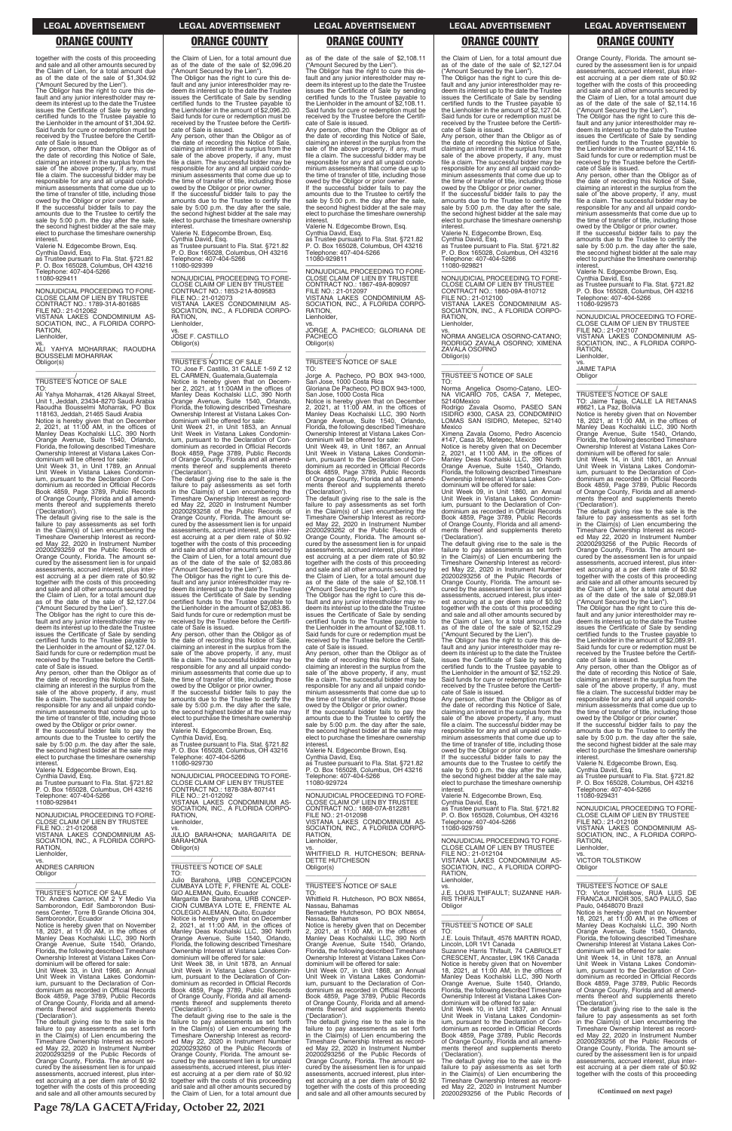together with the costs of this proceeding and sale and all other amounts secured by the Claim of Lien, for a total amount due as of the date of the sale of \$1,304.92

("Amount Secured by the Lien"). The Obligor has the right to cure this default and any junior interestholder may redeem its interest up to the date the Trustee issues the Certificate of Sale by sending certified funds to the Trustee payable to the Lienholder in the amount of \$1,304.92. Said funds for cure or redemption must be received by the Trustee before the Certificate of Sale is issued.

Any person, other than the Obligor as of the date of recording this Notice of Sale, claiming an interest in the surplus from the sale of the above property, if any, must file a claim. The successful bidder may be responsible for any and all unpaid condo-minium assessments that come due up to the time of transfer of title, including those owed by the Obligor or prior owner.

If the successful bidder fails to pay the amounts due to the Trustee to certify the sale by 5:00 p.m. the day after the sale, the second highest bidder at the sale may elect to purchase the timeshare ownership interest.

Valerie N. Edgecombe Brown, Esq. Cynthia David, Esq. as Trustee pursuant to Fla. Stat. §721.82

P. O. Box 165028, Columbus, OH 43216 Telephone: 407-404-5266 11080-929411

—————————————————— NONJUDICIAL PROCEEDING TO FORE-CLOSE CLAIM OF LIEN BY TRUSTEE CONTRACT NO.: 1789-31A-801685 FILE NO.: 21-012062 VISTANA LAKES CONDOMINIUM AS-SOCIATION, INC., A FLORIDA CORPO-RATION, Lienholder,

vs. ALI YAHYA MOHARRAK; RAOUDHA BOUSSELMI MOHARRAK Obligor(s) \_\_\_\_\_\_\_\_\_\_\_\_\_\_\_\_\_\_\_\_\_\_\_\_\_\_\_\_\_\_\_\_\_

\_\_\_\_\_\_\_\_\_\_\_/ TRUSTEE'S NOTICE OF SALE

The Obligor has the right to cure this default and any junior interestholder may redeem its interest up to the date the Trustee issues the Certificate of Sale by sending certified funds to the Trustee payable to the Lienholder in the amount of \$2,127.04. Said funds for cure or redemption must be received by the Trustee before the Certificate of Sale is issued.

TO: Ali Yahya Moharrak, 4126 Alkayal Street, Unit 1, Jeddah, 23434-8270 Saudi Arabia Raoudha Bousselmi Moharrak, PO Box 118163, Jeddah, 21465 Saudi Arabia Notice is hereby given that on December 2, 2021, at 11:00 AM, in the offices of Manley Deas Kochalski LLC, 390 North Orange Avenue, Suite 1540, Orlando, Florida, the following described Timeshare Ownership Interest at Vistana Lakes Con-

dominium will be offered for sale: Unit Week 31, in Unit 1789, an Annual Unit Week in Vistana Lakes Condominium, pursuant to the Declaration of Con-dominium as recorded in Official Records Book 4859, Page 3789, Public Records of Orange County, Florida and all amendments thereof and supplements thereto ('Declaration').

The default giving rise to the sale is the failure to pay assessments as set forth in the Claim(s) of Lien encumbering the Timeshare Ownership Interest as record-ed May 22, 2020 in Instrument Number 20200293259 of the Public Records of Orange County, Florida. The amount se-cured by the assessment lien is for unpaid assessments, accrued interest, plus interest accruing at a per diem rate of \$0.92 together with the costs of this proceeding and sale and all other amounts secured by the Claim of Lien, for a total amount due as of the date of the sale of \$2,127.04 ("Amount Secured by the Lien").

owed by the Obligor or prior owner. If the successful bidder fails to pay the amounts due to the Trustee to certify the sale by 5:00 p.m. the day after the sale, the second highest bidder at the sale may elect to purchase the timeshare ownership **interest** 

Any person, other than the Obligor as of the date of recording this Notice of Sale, claiming an interest in the surplus from the sale of the above property, if any, must file a claim. The successful bidder may be responsible for any and all unpaid condo-minium assessments that come due up to the time of transfer of title, including those

**Lienholder** vs. JOSE F. CASTILLO Obligor(s)

owed by the Obligor or prior owner. If the successful bidder fails to pay the amounts due to the Trustee to certify the sale by 5:00 p.m. the day after the sale, the second highest bidder at the sale may elect to purchase the timeshare ownership interest.

Valerie N. Edgecombe Brown, Esq. Cynthia David, Esq. as Trustee pursuant to Fla. Stat. §721.82

P. O. Box 165028, Columbus, OH 43216 Telephone: 407-404-5266 11080-929841

—————————————————— NONJUDICIAL PROCEEDING TO FORE-CLOSE CLAIM OF LIEN BY TRUSTEE FILE NO.: 21-012068

### the Claim of Lien, for a total amount due as of the date of the sale of \$2,096.20 ("Amount Secured by the Lien").

The Obligor has the right to cure this default and any junior interestholder may re-deem its interest up to the date the Trustee issues the Certificate of Sale by sending certified funds to the Trustee payable to the Lienholder in the amount of \$2,096.20. Said funds for cure or redemption must be received by the Trustee before the Certificate of Sale is issued. Any person, other than the Obligor as of

> —————————————————— NONJUDICIAL PROCEEDING TO FORE-CLOSE CLAIM OF LIEN BY TRUSTEE CONTRACT NO.: 1867-49A-809097 FILE NO.: 21-012097 VISTANA LAKES CONDOMINIUM AS-SOCIATION, INC., A FLORIDA CORPO-RATION, **Lienholder**

the date of recording this Notice of Sale, claiming an interest in the surplus from the sale of the above property, if any, must file a claim. The successful bidder may be responsible for any and all unpaid condominium assessments that come due up to the time of transfer of title, including those

Valerie N. Edgecombe Brown, Esq. Cynthia David, Esq. as Trustee pursuant to Fla. Stat. §721.82 P. O. Box 165028, Columbus, OH 43216 Telephone: 407-404-5266 11080-929399

—————————————————— NONJUDICIAL PROCEEDING TO FORE-CLOSE CLAIM OF LIEN BY TRUSTEE CONTRACT NO.: 1853-21A-809583 FILE NO.: 21-012073 VISTANA LAKES CONDOMINIUM AS-SOCIATION, INC., A FLORIDA CORPO-RATION,

\_\_\_\_\_\_\_\_\_\_\_\_\_\_\_\_\_\_\_\_\_\_\_\_\_\_\_\_\_\_\_\_\_

\_\_\_\_\_\_\_\_\_\_\_/ TRUSTEE'S NOTICE OF SALE TO: Jose F. Castillo, 31 CALLE 1-59 Z 12 EL CARMEN, Guatemala,Guatemala Notice is hereby given that on Decem-ber 2, 2021, at 11:00AM in the offices of Manley Deas Kochalski LLC, 390 North Orange Avenue, Suite 1540, Orlando, Florida, the following described Timeshare Ownership Interest at Vistana Lakes Condominium will be offered for sale: Unit Week 21, in Unit 1853, an Annual Unit Week in Vistana Lakes Condominium, pursuant to the Declaration of Con-dominium as recorded in Official Records Book 4859, Page 3789, Public Records of Orange County, Florida and all amendments thereof and supplements thereto ('Declaration'). The default giving rise to the sale is the failure to pay assessments as set forth

> —————————————————— NONJUDICIAL PROCEEDING TO FORE-CLOSE CLAIM OF LIEN BY TRUSTEE CONTRACT NO.: 1868-07A-812281<br>FILE NO.: 21-012098<br>VISTANA LAKES CONDOMINIUM AS-<br>SOCIATION, INC., A FLORIDA CORPO-<br>RATION,

in the Claim(s) of Lien encumbering the Timeshare Ownership Interest as record-ed May 22, 2020 in Instrument Number 20200293258 of the Public Records of Orange County, Florida. The amount se-cured by the assessment lien is for unpaid assessments, accrued interest, plus interest accruing at a per diem rate of \$0.92 together with the costs of this proceeding and sale and all other amounts secured by the Claim of Lien, for a total amount due as of the date of the sale of \$2,083.86 the Claim of Lien, for a total amount due as of the date of the sale of \$2,127.04 Amount Secured by the Lien").

("Amount Secured by the Lien"). The Obligor has the right to cure this de-fault and any junior interestholder may redeem its interest up to the date the Trustee issues the Certificate of Sale by sending certified funds to the Trustee payable to the Lienholder in the amount of \$2,083.86. Said funds for cure or redemption must be received by the Trustee before the Certificate of Sale is issued.

The Obligor has the right to cure this default and any junior interestholder may redeem its interest up to the date the Trustee issues the Certificate of Sale by sending certified funds to the Trustee payable to the Lienholder in the amount of \$2,127.04. Said funds for cure or redemption must be received by the Trustee before the Certificate of Sale is issued. Any person, other than the Obligor as of

Any person, other than the Obligor as of the date of recording this Notice of Sale, claiming an interest in the surplus from the sale of the above property, if any, must file a claim. The successful bidder may be responsible for any and all unpaid condominium assessments that come due up to the time of transfer of title, including those owed by the Obligor or prior owner.

If the successful bidder fails to pay the amounts due to the Trustee to certify the sale by 5:00 p.m. the day after the sale, the second highest bidder at the sale may elect to purchase the timeshare ownership interest.

Valerie N. Edgecombe Brown, Esq. Cynthia David, Esq. as Trustee pursuant to Fla. Stat. §721.82 P. O. Box 165028, Columbus, OH 43216 Telephone: 407-404-5266 11080-929730

—————————————————— NONJUDICIAL PROCEEDING TO FORE-CLOSE CLAIM OF LIEN BY TRUSTEE CONTRACT NO.: 1878-38A-807141 FILE NO.: 21-012092 VISTANA LAKES CONDOMINIUM AS-SOCIATION, INC., A FLORIDA CORPO-RATION, Lienholder,

as of the date of the sale of \$2,108.11 ("Amount Secured by the Lien"). The Obligor has the right to cure this de-fault and any junior interestholder may redeem its interest up to the date the Trustee issues the Certificate of Sale by sending certified funds to the Trustee payable to the Lienholder in the amount of \$2,108.11. Said funds for cure or redemption must be received by the Trustee before the Certifi-cate of Sale is issued.

> Any person, other than the Obligor as of the date of recording this Notice of Sale, claiming an interest in the surplus from the sale of the above property, if any, must file a claim. The successful bidder may be responsible for any and all unpaid condominium assessments that come due up to the time of transfer of title, including those owed by the Obligor or prior owner. If the successful bidder fails to pay the amounts due to the Trustee to certify the sale by 5:00 p.m. the day after the sale, the second highest bidder at the sale may elect to purchase the timeshare ownership

Any person, other than the Obligor as of the date of recording this Notice of Sale, claiming an interest in the surplus from the sale of the above property, if any, must file a claim. The successful bidder may be responsible for any and all unpaid condo-minium assessments that come due up to the time of transfer of title, including those owed by the Obligor or prior owner.

> \_\_\_\_\_\_\_\_\_\_\_\_\_\_\_\_\_\_\_\_\_\_\_\_\_\_\_\_\_\_\_\_\_ TRUSTEE'S NOTICE OF SALE

TRUSTEE'S NOTICE OF SALE<br>TO: Jaime Tapia, CALLE LA RETANAS<br>#8621, La Paz, Bolivia<br>Notice is hereby given that on November<br>18, 2021, at 11:00 AM, in the offices of<br>Manley Deas Kochalski LLC, 390 North<br>Orange Avenue, Suite 1

If the successful bidder fails to pay the amounts due to the Trustee to certify the sale by 5:00 p.m. the day after the sale, the second highest bidder at the sale may elect to purchase the timeshare ownership interest.

Valerie N. Edgecombe Brown, Esq. Cynthia David, Esq. as Trustee pursuant to Fla. Stat. §721.82

P. O. Box 165028, Columbus, OH 43216 Telephone: 407-404-5266 11080-929811

vs. JORGE A. PACHECO; GLORIANA DE PACHECO Obligor(s) \_\_\_\_\_\_\_\_\_\_\_\_\_\_\_\_\_\_\_\_\_\_\_\_\_\_\_\_\_\_\_\_\_

# \_\_\_\_\_\_\_\_\_\_\_/ TRUSTEE'S NOTICE OF SALE

TO: Jorge A. Pacheco, PO BOX 943-1000, San Jose, 1000 Costa Rica Gloriana De Pacheco, PO BOX 943-1000, San Jose, 1000 Costa Rica

Notice is hereby given that on December 2, 2021, at 11:00 AM, in the offices of Manley Deas Kochalski LLC, 390 North Orange Avenue, Suite 1540, Orlando, Florida, the following described Timeshare Ownership Interest at Vistana Lakes Con-

> The default giving rise to the sale is the failure to pay assessments as set forth in the Claim(s) of Lien encumbering the Timeshare Ownership Interest as recorded May 22, 2020 in Instrument Number 20200293256 of the Public Records of Orange County, Florida. The amount secured by the assessment lien is for unpaid assessments, accrued interest, plus interest accruing at a per diem rate of \$0.92 together with the costs of this proceeding and sale and all other amounts secured by the Claim of Lien, for a total amount due as of the date of the sale of \$2,089.91 ("Amount Secured by the Lien"). The Obligor has the right to cure this de-fault and any junior interestholder may redeem its interest up to the date the Trustee issues the Certificate of Sale by sending certified funds to the Trustee payable to the Lienholder in the amount of \$2,089.91. Said funds for cure or redemption must be received by the Trustee before the Certifi-cate of Sale is issued. Any person, other than the Obligor as of the date of recording this Notice of Sale, claiming an interest in the surplus from the sale of the above property, if any, must file a claim. The successful bidder may be responsible for any and all unpaid condominium assessments that come due up to the time of transfer of title, including those owed by the Obligor or prior owner. If the successful bidder fails to pay the amounts due to the Trustee to certify the sale by 5:00 p.m. the day after the sale, the second highest bidder at the sale may elect to purchase the timeshare ownership

dominium will be offered for sale: Unit Week 49, in Unit 1867, an Annual Unit Week in Vistana Lakes Condominium, pursuant to the Declaration of Condominium as recorded in Official Records Book 4859, Page 3789, Public Records of Orange County, Florida and all amend-ments thereof and supplements thereto ('Declaration').

The default giving rise to the sale is the failure to pay assessments as set forth in the Claim(s) of Lien encumbering the Timeshare Ownership Interest as record-ed May 22, 2020 in Instrument Number 20200293262 of the Public Records of Orange County, Florida. The amount se-cured by the assessment lien is for unpaid assessments, accrued interest, plus interest accruing at a per diem rate of \$0.92 together with the costs of this proceeding and sale and all other amounts secured by the Claim of Lien, for a total amount due as of the date of the sale of \$2,108.11

("Amount Secured by the Lien"). The Obligor has the right to cure this de-fault and any junior interestholder may redeem its interest up to the date the Trustee issues the Certificate of Sale by sending certified funds to the Trustee payable to the Lienholder in the amount of \$2,108.11. Said funds for cure or redemption must be received by the Trustee before the Certificate of Sale is issued.

Any person, other than the Obligor as of the date of recording this Notice of Sale, claiming an interest in the surplus from the sale of the above property, if any, must file a claim. The successful bidder may be responsible for any and all unpaid condominium assessments that come due up to the time of transfer of title, including those owed by the Obligor or prior owner. If the successful bidder fails to pay the

amounts due to the Trustee to certify the sale by 5:00 p.m. the day after the sale, the second highest bidder at the sale may elect to purchase the timeshare ownership interest.

Valerie N. Edgecombe Brown, Esq. Cynthia David, Esq. as Trustee pursuant to Fla. Stat. §721.82 P. O. Box 165028, Columbus, OH 43216 Telephone: 407-404-5266 11080-929724

| FILE NO.: 21-012068<br>VISTANA LAKES CONDOMINIUM AS-<br>SOCIATION, INC., A FLORIDA CORPO-<br>RATION.<br>Lienholder.<br>VS.<br><b>ANDRES CARRION</b><br>Obligor<br>TRUSTEE'S NOTICE OF SALE<br>TO: Andres Carrion. KM 2 Y Medio Via<br>Samborondon. Edif Samborondon Busi-<br>ness Center, Torre B Grande Oficina 304,<br>Samborondor, Ecuador<br>Notice is hereby given that on November<br>18, 2021, at 11:00 AM, in the offices of<br>Manley Deas Kochalski LLC, 390 North<br>Orange Avenue, Suite 1540, Orlando,<br>Florida, the following described Timeshare<br>Ownership Interest at Vistana Lakes Con-<br>dominium will be offered for sale:<br>Unit Week 33. in Unit 1966, an Annual<br>Unit Week in Vistana Lakes Condomin-<br>ium, pursuant to the Declaration of Con-<br>dominium as recorded in Official Records<br>Book 4859, Page 3789, Public Records<br>of Orange County, Florida and all amend-<br>ments thereof and supplements thereto<br>('Declaration').<br>The default giving rise to the sale is the<br>failure to pay assessments as set forth<br>in the Claim(s) of Lien encumbering the<br>Timeshare Ownership Interest as record-<br>ed May 22, 2020 in Instrument Number<br>20200293259 of the Public Records of<br>Orange County, Florida. The amount se-<br>cured by the assessment lien is for unpaid<br>assessments, accrued interest, plus inter-<br>est accruing at a per diem rate of \$0.92<br>together with the costs of this proceeding<br>and sale and all other amounts secured by | vs.<br>JULIO BARAHONA; MARGARITA DE<br><b>BARAHONA</b><br>Obligor(s)<br>TRUSTEE'S NOTICE OF SALE<br>TO:<br>Julio Barahona, URB CONCEPCION<br>CUMBAYA LOTE F, FRENTE AL COLE-<br>GIO ALEMAN, Quito, Ecuador<br>Margarita De Barahona, URB CONCEP-<br>CION CUMBAYA LOTE E, FRENTE AL<br>COLEGIO ALEMAN, Quito, Ecuador<br>Notice is hereby given that on December<br>2. 2021. at 11:00 AM, in the offices of<br>Manley Deas Kochalski LLC, 390 North<br>Orange Avenue, Suite 1540, Orlando,<br>Florida, the following described Timeshare<br>Ownership Interest at Vistana Lakes Con-<br>dominium will be offered for sale:<br>Unit Week 38, in Unit 1878, an Annual<br>Unit Week in Vistana Lakes Condomin-<br>ium, pursuant to the Declaration of Con-<br>dominium as recorded in Official Records<br>Book 4859, Page 3789, Public Records<br>of Orange County, Florida and all amend-<br>ments thereof and supplements thereto<br>('Declaration').<br>The default giving rise to the sale is the<br>failure to pay assessments as set forth<br>in the Claim(s) of Lien encumbering the<br>Timeshare Ownership Interest as record-<br>ed May 22, 2020 in Instrument Number<br>20200293260 of the Public Records of<br>Orange County, Florida. The amount se-<br>cured by the assessment lien is for unpaid<br>assessments, accrued interest, plus inter-<br>est accruing at a per diem rate of \$0.92<br>together with the costs of this proceeding<br>and sale and all other amounts secured by<br>the Claim of Lien, for a total amount due | SOCIATION, INC., A FLORIDA CORPO-<br>RATION.<br>Lienholder.<br>VS.<br>WHITFIELD R. HUTCHESON: BERNA-<br><b>DETTE HUTCHESON</b><br>Obligor(s)<br>TRUSTEE'S NOTICE OF SALE<br>TO:<br>Whitfield R. Hutcheson, PO BOX N8654,<br>Nassau, Bahamas<br>Bernadette Hutcheson, PO BOX N8654,<br>Nassau, Bahamas<br>Notice is hereby given that on December<br>2, 2021, at 11:00 AM, in the offices of<br>Manley Deas Kochalski LLC, 390 North<br>Orange Avenue, Suite 1540, Orlando,<br>Florida, the following described Timeshare<br>Ownership Interest at Vistana Lakes Con-<br>dominium will be offered for sale:<br>Unit Week 07, in Unit 1868, an Annual<br>Unit Week in Vistana Lakes Condomin-<br>ium, pursuant to the Declaration of Con-<br>dominium as recorded in Official Records<br>Book 4859, Page 3789, Public Records<br>of Orange County, Florida and all amend-<br>ments thereof and supplements thereto<br>('Declaration').<br>The default giving rise to the sale is the<br>failure to pay assessments as set forth<br>in the Claim(s) of Lien encumbering the<br>Timeshare Ownership Interest as record-<br>ed May 22, 2020 in Instrument Number<br>20200293256 of the Public Records of<br>Orange County, Florida. The amount se-<br>cured by the assessment lien is for unpaid<br>assessments, accrued interest, plus inter-<br>est accruing at a per diem rate of \$0.92<br>together with the costs of this proceeding<br>and sale and all other amounts secured by | 11080-929759<br>NONJUDICIAL PROCEEDING TO FORE-<br>CLOSE CLAIM OF LIEN BY TRUSTEE<br>FILE NO.: 21-012104<br>VISTANA LAKES CONDOMINIUM AS-<br>SOCIATION, INC., A FLORIDA CORPO-<br>RATION.<br>Lienholder,<br>VS.<br>J.E. LOUIS THIFAULT; SUZANNE HAR-<br><b>RIS THIFAULT</b><br>Obligor<br>TRUSTEE'S NOTICE OF SALE<br>TO:<br>J.E. Louis Thifault, 4576 MARTIN ROAD,<br>Lincoln, LOR 1V1 Canada<br>Suzanne Harris Thifault, 74 CABRIOLET<br>CRESCENT, Ancaster, L9K 1K6 Canada<br>Notice is hereby given that on November<br>18. 2021. at $11:00$ AM. in the offices of<br>Manley Deas Kochalski LLC, 390 North<br>Orange Avenue, Suite 1540, Orlando,<br>Florida, the following described Timeshare<br>Ownership Interest at Vistana Lakes Con-<br>dominium will be offered for sale:<br>Unit Week 10, in Unit 1837, an Annual<br>Unit Week in Vistana Lakes Condomin-<br>ium, pursuant to the Declaration of Con-<br>dominium as recorded in Official Records<br>Book 4859, Page 3789, Public Records<br>of Orange County, Florida and all amend-<br>ments thereof and supplements thereto<br>('Declaration').<br>The default giving rise to the sale is the<br>failure to pay assessments as set forth<br>in the Claim(s) of Lien encumbering the<br>Timeshare Ownership Interest as record-<br>ed May 22, 2020 in Instrument Number<br>20200293256 of the Public Records of | VISTANA LAKES CONDOMINIUM AS-<br>SOCIATION, INC., A FLORIDA CORPO-<br>RATION.<br>Lienholder,<br><b>VICTOR TOLSTIKOW</b><br>Obligor<br>TRUSTEE'S NOTICE OF SALE<br>TO: Victor Tolstikow, RUA LUIS DE<br>FRANCA JUNIOR 305, SAO PAULO, Sao<br>Paulo, 04648070 Brazil<br>Notice is hereby given that on November<br>18, 2021, at $11:00$ AM, in the offices of<br>Manley Deas Kochalski LLC, 390 North<br>Orange Avenue, Suite 1540, Orlando,<br>Florida, the following described Timeshare<br>Ownership Interest at Vistana Lakes Con-<br>dominium will be offered for sale:<br>Unit Week 14, in Unit 1878, an Annual<br>Unit Week in Vistana Lakes Condomin-<br>ium, pursuant to the Declaration of Con-<br>dominium as recorded in Official Records<br>Book 4859, Page 3789, Public Records<br>of Orange County, Florida and all amend-<br>ments thereof and supplements thereto<br>('Declaration').<br>The default giving rise to the sale is the<br>failure to pay assessments as set forth<br>in the Claim(s) of Lien encumbering the<br>Timeshare Ownership Interest as record-<br>ed May 22, 2020 in Instrument Number<br>20200293256 of the Public Records of<br>Orange County, Florida. The amount se-<br>cured by the assessment lien is for unpaid<br>assessments, accrued interest, plus inter-<br>est accruing at a per diem rate of \$0.92<br>together with the costs of this proceeding<br>(Continued on next page) |
|----------------------------------------------------------------------------------------------------------------------------------------------------------------------------------------------------------------------------------------------------------------------------------------------------------------------------------------------------------------------------------------------------------------------------------------------------------------------------------------------------------------------------------------------------------------------------------------------------------------------------------------------------------------------------------------------------------------------------------------------------------------------------------------------------------------------------------------------------------------------------------------------------------------------------------------------------------------------------------------------------------------------------------------------------------------------------------------------------------------------------------------------------------------------------------------------------------------------------------------------------------------------------------------------------------------------------------------------------------------------------------------------------------------------------------------------------------------------------------------------------------------------------|-----------------------------------------------------------------------------------------------------------------------------------------------------------------------------------------------------------------------------------------------------------------------------------------------------------------------------------------------------------------------------------------------------------------------------------------------------------------------------------------------------------------------------------------------------------------------------------------------------------------------------------------------------------------------------------------------------------------------------------------------------------------------------------------------------------------------------------------------------------------------------------------------------------------------------------------------------------------------------------------------------------------------------------------------------------------------------------------------------------------------------------------------------------------------------------------------------------------------------------------------------------------------------------------------------------------------------------------------------------------------------------------------------------------------------------------------------------------------------------------------------------------------------------------------|-----------------------------------------------------------------------------------------------------------------------------------------------------------------------------------------------------------------------------------------------------------------------------------------------------------------------------------------------------------------------------------------------------------------------------------------------------------------------------------------------------------------------------------------------------------------------------------------------------------------------------------------------------------------------------------------------------------------------------------------------------------------------------------------------------------------------------------------------------------------------------------------------------------------------------------------------------------------------------------------------------------------------------------------------------------------------------------------------------------------------------------------------------------------------------------------------------------------------------------------------------------------------------------------------------------------------------------------------------------------------------------------------------------------------------------------------------------------------------------|--------------------------------------------------------------------------------------------------------------------------------------------------------------------------------------------------------------------------------------------------------------------------------------------------------------------------------------------------------------------------------------------------------------------------------------------------------------------------------------------------------------------------------------------------------------------------------------------------------------------------------------------------------------------------------------------------------------------------------------------------------------------------------------------------------------------------------------------------------------------------------------------------------------------------------------------------------------------------------------------------------------------------------------------------------------------------------------------------------------------------------------------------------------------------------------------------------------------------------------------------------------------------------------------------------------------------------------------------------------------------------|----------------------------------------------------------------------------------------------------------------------------------------------------------------------------------------------------------------------------------------------------------------------------------------------------------------------------------------------------------------------------------------------------------------------------------------------------------------------------------------------------------------------------------------------------------------------------------------------------------------------------------------------------------------------------------------------------------------------------------------------------------------------------------------------------------------------------------------------------------------------------------------------------------------------------------------------------------------------------------------------------------------------------------------------------------------------------------------------------------------------------------------------------------------------------------------------------------------------------------------------------------------------------------------------------------------------------------------------------------------------------------------------------------------------------------|
| Page 78/LA GACETA/Friday, October 22, 2021                                                                                                                                                                                                                                                                                                                                                                                                                                                                                                                                                                                                                                                                                                                                                                                                                                                                                                                                                                                                                                                                                                                                                                                                                                                                                                                                                                                                                                                                                 |                                                                                                                                                                                                                                                                                                                                                                                                                                                                                                                                                                                                                                                                                                                                                                                                                                                                                                                                                                                                                                                                                                                                                                                                                                                                                                                                                                                                                                                                                                                                               |                                                                                                                                                                                                                                                                                                                                                                                                                                                                                                                                                                                                                                                                                                                                                                                                                                                                                                                                                                                                                                                                                                                                                                                                                                                                                                                                                                                                                                                                                   |                                                                                                                                                                                                                                                                                                                                                                                                                                                                                                                                                                                                                                                                                                                                                                                                                                                                                                                                                                                                                                                                                                                                                                                                                                                                                                                                                                                |                                                                                                                                                                                                                                                                                                                                                                                                                                                                                                                                                                                                                                                                                                                                                                                                                                                                                                                                                                                                                                                                                                                                                                                                                                                                                                                                                                                                                                  |

the date of recording this Notice of Sale, claiming an interest in the surplus from the sale of the above property, if any, must file a claim. The successful bidder may be responsible for any and all unpaid condominium assessments that come due up to the time of transfer of title, including those

owed by the Obligor or prior owner. If the successful bidder fails to pay the amounts due to the Trustee to certify the sale by 5:00 p.m. the day after the sale, the second highest bidder at the sale may elect to purchase the timeshare ownership

interest. Valerie N. Edgecombe Brown, Esq. Cynthia David, Esq. as Trustee pursuant to Fla. Stat. §721.82 P. O. Box 165028, Columbus, OH 43216 Telephone: 407-404-5266 11080-929821

—————————————————— NONJUDICIAL PROCEEDING TO FORE-CLOSE CLAIM OF LIEN BY TRUSTEE CONTRACT NO.: 1860-09A-810712 FILE NO.: 21-012100 VISTANA LAKES CONDOMINIUM AS-SOCIATION, INC., A FLORIDA CORPO-RATION,

**Lienholder** 

vs. NORMA ANGELICA OSORNO-CATANO; RODRIGO ZAVALA OSORNO; XIMENA ZAVALA OSORNO Obligor(s)

\_\_\_\_\_\_\_\_\_\_\_\_\_\_\_\_\_\_\_\_\_\_\_\_\_\_\_\_\_\_\_\_\_

# \_\_\_\_\_\_\_\_\_\_\_/ TRUSTEE'S NOTICE OF SALE

TO: Norma Angelica Osorno-Catano, LEO-NA VICARIO 705, CASA 7, Metepec, 52140Mexico

Rodrigo Zavala Osorno, PASEO SAN ISIDRO #300, CASA 23, CONDOMINIO LOMAS SAN ISIDRO, Metepec, 52140 Mexico

Ximena Zavala Osorno, Pedro Ascencio

#147, Casa 35, Metepec, Mexico Notice is hereby given that on December 2, 2021, at 11:00 AM, in the offices of Manley Deas Kochalski LLC, 390 North Orange Avenue, Suite 1540, Orlando, Florida, the following described Timeshare Ownership Interest at Vistana Lakes Con-dominium will be offered for sale:

Unit Week 09, in Unit 1860, an Annual Unit Week in Vistana Lakes Condomin-ium, pursuant to the Declaration of Condominium as recorded in Official Records Book 4859, Page 3789, Public Records of Orange County, Florida and all amendments thereof and supplements thereto

('Declaration'). The default giving rise to the sale is the failure to pay assessments as set forth in the Claim(s) of Lien encumbering the Timeshare Ownership Interest as record-ed May 22, 2020 in Instrument Number 20200293256 of the Public Records of Orange County, Florida. The amount se-cured by the assessment lien is for unpaid assessments, accrued interest, plus inter-est accruing at a per diem rate of \$0.92 together with the costs of this proceeding and sale and all other amounts secured by the Claim of Lien, for a total amount due as of the date of the sale of \$2,152.29

("Amount Secured by the Lien"). The Obligor has the right to cure this default and any junior interestholder may re-deem its interest up to the date the Trustee issues the Certificate of Sale by sending certified funds to the Trustee payable to the Lienholder in the amount of \$2,152.29. Said funds for cure or redemption must be received by the Trustee before the Certificate of Sale is issued.

Any person, other than the Obligor as of the date of recording this Notice of Sale, claiming an interest in the surplus from the sale of the above property, if any, must file a claim. The successful bidder may be responsible for any and all unpaid condominium assessments that come due up to the time of transfer of title, including those

owed by the Obligor or prior owner. If the successful bidder fails to pay the amounts due to the Trustee to certify the sale by 5:00 p.m. the day after the sale, the second highest bidder at the sale may elect to purchase the timeshare ownership interest.

Valerie N. Edgecombe Brown, Esq.

Cynthia David, Esq. as Trustee pursuant to Fla. Stat. §721.82 P. O. Box 165028, Columbus, OH 43216 Telephone: 407-404-5266 11080-929759

Orange County, Florida. The amount secured by the assessment lien is for unpaid assessments, accrued interest, plus interest accruing at a per diem rate of \$0.92 together with the costs of this proceeding and sale and all other amounts secured by the Claim of Lien, for a total amount due as of the date of the sale of \$2,114.16

("Amount Secured by the Lien"). The Obligor has the right to cure this default and any junior interestholder may redeem its interest up to the date the Trustee issues the Certificate of Sale by sending certified funds to the Trustee payable to the Lienholder in the amount of \$2,114.16. Said funds for cure or redemption must be received by the Trustee before the Certifi-

cate of Sale is issued.

interest.

Valerie N. Edgecombe Brown, Esq.

Cynthia David, Esq.

as Trustee pursuant to Fla. Stat. §721.82 P. O. Box 165028, Columbus, OH 43216 Telephone: 407-404-5266

11080-929573

—————————————————— NONJUDICIAL PROCEEDING TO FORE-CLOSE CLAIM OF LIEN BY TRUSTEE FILE NO.: 21-012107 VISTANA LAKES CONDOMINIUM AS-SOCIATION, INC., A FLORIDA CORPO-

RATION, **Lienholder** vs. JAIME TAPIA Obligor

Florida, the following described Timeshare Ownership Interest at Vistana Lakes Condominium will be offered for sale: Unit Week 14, in Unit 1801, an Annual Unit Week in Vistana Lakes Condominium, pursuant to the Declaration of Condominium as recorded in Official Records Book 4859, Page 3789, Public Records of Orange County, Florida and all amendments thereof and supplements thereto

('Declaration').

interest.

Valerie N. Edgecombe Brown, Esq.

# Cynthia David, Esq. as Trustee pursuant to Fla. Stat. §721.82 P. O. Box 165028, Columbus, OH 43216 Telephone: 407-404-5266 11080-929431

—————————————————— NONJUDICIAL PROCEEDING TO FORE-CLOSE CLAIM OF LIEN BY TRUSTEE FILE NO.: 21-012108

VISTANA LAKES CONDOMINIUM AS-

# **LEGAL ADVERTISEMENT LEGAL ADVERTISEMENT LEGAL ADVERTISEMENT LEGAL ADVERTISEMENT LEGAL ADVERTISEMENT**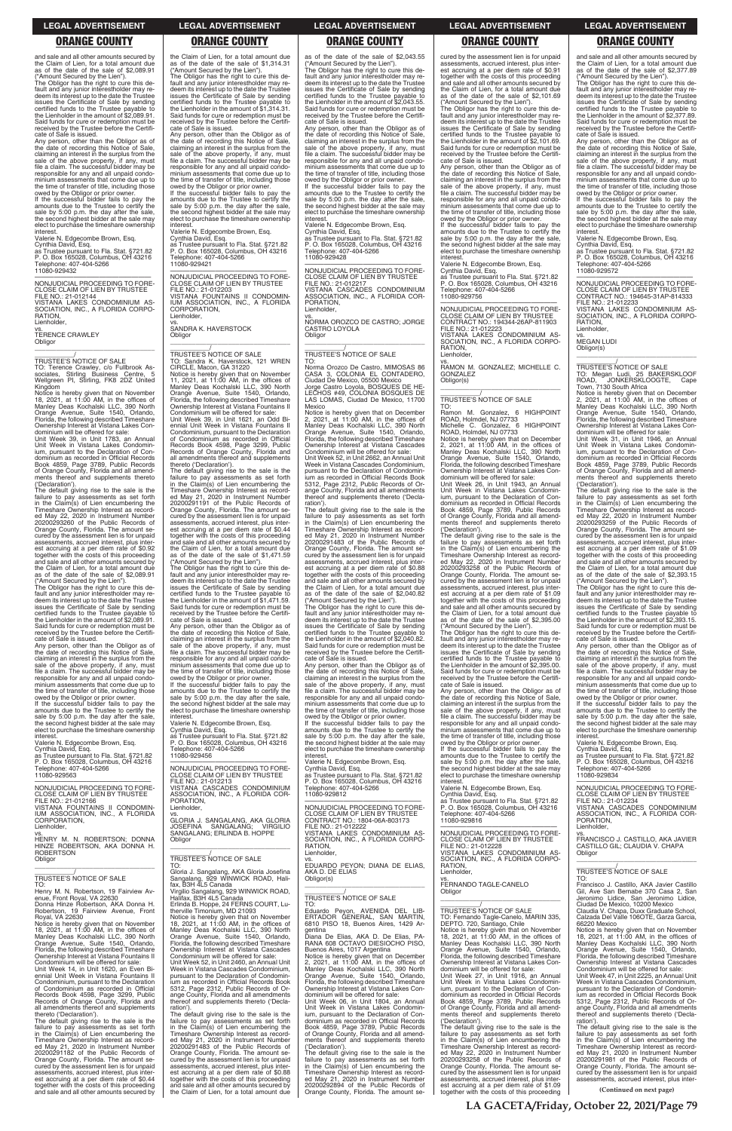and sale and all other amounts secured by the Claim of Lien, for a total amount due as of the date of the sale of \$2,089.91

("Amount Secured by the Lien"). The Obligor has the right to cure this default and any junior interestholder may re-deem its interest up to the date the Trustee issues the Certificate of Sale by sending certified funds to the Trustee payable to the Lienholder in the amount of \$2,089.91. Said funds for cure or redemption must be received by the Trustee before the Certifi-

cate of Sale is issued. Any person, other than the Obligor as of the date of recording this Notice of Sale,<br>claiming an interest in the surplus from the<br>sale of the above property, if any, must<br>file a claim. The successful bidder may be responsible for any and all unpaid condo-minium assessments that come due up to the time of transfer of title, including those

Notice is hereby given that on November 18, 2021, at 11:00 AM, in the offices of Manley Deas Kochalski LLC, 390 North Orange Avenue, Suite 1540, Orlando, Florida, the following described Timeshare Ownership Interest at Vistana Lakes Con-dominium will be offered for sale:

owed by the Obligor or prior owner. If the successful bidder fails to pay the amounts due to the Trustee to certify the sale by 5:00 p.m. the day after the sale, the second highest bidder at the sale may elect to purchase the timeshare ownership interest.

Valerie N. Edgecombe Brown, Esq.

Cynthia David, Esq. as Trustee pursuant to Fla. Stat. §721.82 P. O. Box 165028, Columbus, OH 43216 Telephone: 407-404-5266 11080-929432

—————————————————— NONJUDICIAL PROCEEDING TO FORE-CLOSE CLAIM OF LIEN BY TRUSTEE FILE NO.: 21-012144 VISTANA LAKES CONDOMINIUM AS-SOCIATION, INC., A FLORIDA CORPO-RATION, Lienholder,

vs. TERENCE CRAWLEY Obligor \_\_\_\_\_\_\_\_\_\_\_\_\_\_\_\_\_\_\_\_\_\_\_\_\_\_\_\_\_\_\_\_\_

# \_\_\_\_\_\_\_\_\_\_\_/ TRUSTEE'S NOTICE OF SALE

TO: Terence Crawley, c/o Fullbrook As-sociates, Stirling Business Centre, 5 Wellgreen PI, Stirling, FK8 2DZ United Kingdom

the date of recording this Notice of Sale,<br>claiming an interest in the surplus from the<br>sale of the above property, if any, must<br>file a claim. The successful bidder may be responsible for any and all unpaid condo-minium assessments that come due up to the time of transfer of title, including those

Unit Week 39, in Unit 1783, an Annual Unit Week in Vistana Lakes Condomin-ium, pursuant to the Declaration of Condominium as recorded in Official Records Book 4859, Page 3789, Public Records of Orange County, Florida and all amendments thereof and supplements thereto ('Declaration'). The default giving rise to the sale is the

failure to pay assessments as set forth in the Claim(s) of Lien encumbering the Timeshare Ownership Interest as recorded May 22, 2020 in Instrument Number 20200293260 of the Public Records of Orange County, Florida. The amount secured by the assessment lien is for unpaid assessments, accrued interest, plus inter-est accruing at a per diem rate of \$0.92 together with the costs of this proceeding and sale and all other amounts secured by the Claim of Lien, for a total amount due as of the date of the sale of \$2,089.91

("Amount Secured by the Lien"). The Obligor has the right to cure this default and any junior interestholder may re-deem its interest up to the date the Trustee issues the Certificate of Sale by sending certified funds to the Trustee payable to the Lienholder in the amount of \$2,089.91. Said funds for cure or redemption must be received by the Trustee before the Certifi-cate of Sale is issued. Any person, other than the Obligor as of

owed by the Obligor or prior owner. If the successful bidder fails to pay the amounts due to the Trustee to certify the sale by 5:00 p.m. the day after the sale, the second highest bidder at the sale may elect to purchase the timeshare ownership interest.

## Valerie N. Edgecombe Brown, Esq.

Cynthia David, Esq. as Trustee pursuant to Fla. Stat. §721.82 P. O. Box 165028, Columbus, OH 43216 Telephone: 407-404-5266 11080-929563

—————————————————— NONJUDICIAL PROCEEDING TO FORE-CLOSE CLAIM OF LIEN BY TRUSTEE FILE NO.: 21-012166 VISTANA FOUNTAINS II CONDOMIN-IUM ASSOCIATION, INC., A FLORIDA CORPORATION, Lienholder,

amounts due to the Trustee to certify the sale by 5:00 p.m. the day after the sale, the second highest bidder at the sale may elect to purchase the timeshare ownership interest

as of the date of the sale of \$2,043.55 ("Amount Secured by the Lien"). The Obligor has the right to cure this de-

the Claim of Lien, for a total amount due as of the date of the sale of \$1,314.31

("Amount Secured by the Lien"). The Obligor has the right to cure this de-fault and any junior interestholder may redeem its interest up to the date the Trustee issues the Certificate of Sale by sending certified funds to the Trustee payable to the Lienholder in the amount of \$1,314.31. Said funds for cure or redemption must be received by the Trustee before the Certificate of Sale is issued.

Any person, other than the Obligor as of the date of recording this Notice of Sale, claiming an interest in the surplus from the sale of the above property, if any, must file a claim. The successful bidder may be responsible for any and all unpaid condominium assessments that come due up to the time of transfer of title, including those

owed by the Obligor or prior owner. If the successful bidder fails to pay the amounts due to the Trustee to certify the sale by 5:00 p.m. the day after the sale, the second highest bidder at the sale may elect to purchase the timeshare ownership interest.

Valerie N. Edgecombe Brown, Esq. Cynthia David, Esq. as Trustee pursuant to Fla. Stat. §721.82 P. O. Box 165028, Columbus, OH 43216 Telephone: 407-404-5266 11080-929421

—————————————————— NONJUDICIAL PROCEEDING TO FORE-CLOSE CLAIM OF LIEN BY TRUSTEE FILE NO.: 21-012203 VISTANA FOUNTAINS II CONDOMIN-IUM ASSOCIATION, INC., A FLORIDA CORPORATION, Lienholder,

vs. SANDRA K. HAVERSTOCK Obligor

\_\_\_\_\_\_\_\_\_\_\_\_\_\_\_\_\_\_\_\_\_\_\_\_\_\_\_\_\_\_\_\_\_ \_\_\_\_\_\_\_\_\_\_\_/ TRUSTEE'S NOTICE OF SALE

> owed by the Obligor or prior owner. If the successful bidder fails to pay the amounts due to the Trustee to certify the sale by 5:00 p.m. the day after the sale, the second highest bidder at the sale may elect to purchase the timeshare ownership interest

TO: Sandra K. Haverstock, 121 WREN CIRCLE, Macon, GA 31220 Notice is hereby given that on November 11, 2021, at 11:00 AM, in the offices of Manley Deas Kochalski LLC, 390 North Orange Avenue, Suite 1540, Orlando, Florida, the following described Timeshare Ownership Interest at Vistana Fountains II Condominium will be offered for sale: Unit Week 39, in Unit 1621, an Odd Bi-ennial Unit Week in Vistana Fountains II Condominium, pursuant to the Declaration of Condominium as recorded in Official Records Book 4598, Page 3299, Public Records of Orange County, Florida and all amendments thereof and supplements thereto ('Declaration'). The default giving rise to the sale is the

failure to pay assessments as set forth in the Claim(s) of Lien encumbering the Timeshare Ownership Interest as recorded May 21, 2020 in Instrument Number 20200291191 of the Public Records of Orange County, Florida. The amount secured by the assessment lien is for unpaid assessments, accrued interest, plus inter-est accruing at a per diem rate of \$0.44 together with the costs of this proceeding and sale and all other amounts secured by the Claim of Lien, for a total amount due as of the date of the sale of \$1,471.59

("Amount Secured by the Lien"). The Obligor has the right to cure this default and any junior interestholder may redeem its interest up to the date the Trustee issues the Certificate of Sale by sending certified funds to the Trustee payable to the Lienholder in the amount of \$1,471.59. Said funds for cure or redemption must be received by the Trustee before the Certificate of Sale is issued.

If the successful bidder fails to pay the amounts due to the Trustee to certify the sale by 5:00 p.m. the day after the sale, the second highest bidder at the sale may elect to purchase the timeshare ownership interes

Any person, other than the Obligor as of the date of recording this Notice of Sale, claiming an interest in the surplus from the sale of the above property, if any, must file a claim. The successful bidder may be responsible for any and all unpaid condo-minium assessments that come due up to the time of transfer of title, including those owed by the Obligor or prior owner. If the successful bidder fails to pay the

TO: Ramon M. Gonzalez, 6 HIGHPOINT ROAD, Holmdel, NJ 07733<br>Michelle C. Gonzalez, 6 **6 HIGHPOINT** ROAD, Holmdel, NJ 07733

Valerie N. Edgecombe Brown, Esq.

Cynthia David, Esq. as Trustee pursuant to Fla. Stat. §721.82 P. O. Box 165028, Columbus, OH 43216 Telephone: 407-404-5266 11080-929456

—————————————————— NONJUDICIAL PROCEEDING TO FORE-CLOSE CLAIM OF LIEN BY TRUSTEE FILE NO.: 21-012213 VISTANA CASCADES CONDOMINIUM ASSOCIATION, INC., A FLORIDA COR-PORATION, Lienholder,

vs. GLORIA J. SANGALANG, AKA GLORIA JOSEFINA SANGALANG; VIRGILIO SANGALANG; ERLINDA B. HOPPE

fault and any junior interestholder may re-deem its interest up to the date the Trustee issues the Certificate of Sale by sending certified funds to the Trustee payable to the Lienholder in the amount of \$2,043.55. Said funds for cure or redemption must be received by the Trustee before the Certifi-cate of Sale is issued.

> owed by the Obligor or prior owner. If the successful bidder fails to pay the amounts due to the Trustee to certify the sale by 5:00 p.m. the day after the sale, the second highest bidder at the sale may elect to purchase the timeshare ownership interes

Any person, other than the Obligor as of the date of recording this Notice of Sale, claiming an interest in the surplus from the sale of the above property, if any, must file a claim. The successful bidder may be responsible for any and all unpaid condominium assessments that come due up to the time of transfer of title, including those owed by the Obligor or prior owner.

> \_\_\_\_\_\_\_\_\_\_\_/ TRUSTEE'S NOTICE OF SALE STEE STIOTICE OF SALE<br>Megan Ludi, 25 BAKERSKLOOF<br>ID, JONKERSKLOOGTE, Cape

ROAD, JONKERSKLOOGTE, Cape<br>Town, 7130 South Africa<br>Notice is hereby given that on December<br>2, 2021, at 11:00 AM, in the offices of<br>Manley Deas Kochalski LLC, 390 North<br>Orange Avenue, Suite 1540, Orlando, Florida, the following described Timeshare Ownership Interest at Vistana Lakes Con-dominium will be offered for sale:

If the successful bidder fails to pay the amounts due to the Trustee to certify the sale by 5:00 p.m. the day after the sale, the second highest bidder at the sale may elect to purchase the timeshare ownership

interest. Valerie N. Edgecombe Brown, Esq. Cynthia David, Esq. as Trustee pursuant to Fla. Stat. §721.82 P. O. Box 165028, Columbus, OH 43216 Telephone: 407-404-5266 11080-929428

—————————————————— NONJUDICIAL PROCEEDING TO FORE-CLOSE CLAIM OF LIEN BY TRUSTEE FILE NO.: 21-012217 VISTANA CASCADES CONDOMINIUM ASSOCIATION, INC., A FLORIDA COR-

PORATION, Lienholder,

vs. NORMA OROZCO DE CASTRO; JORGE CASTRO LOYOLA Obligor \_\_\_\_\_\_\_\_\_\_\_\_\_\_\_\_\_\_\_\_\_\_\_\_\_\_\_\_\_\_\_\_\_

> received by the Trustee before the Certifi-cate of Sale is issued. Any person, other than the Obligor as of the date of recording this Notice of Sale,<br>claiming an interest in the surplus from the<br>sale of the above property, if any, must<br>file a claim. The successful bidder may be

# \_\_\_\_\_\_\_\_\_\_\_/ TRUSTEE'S NOTICE OF SALE

TO: Norma Orozco De Castro, MIMOSAS 86 CASA 3, COLONIA EL CONTADERO, Ciudad De Mexico, 05500 Mexico Jorge Castro Loyola, BOSQUES DE HE-LECHOS #49, COLONIA BOSQUES DE LAS LOMAS, Ciudad De Mexico, 11700

Mexico Notice is hereby given that on December 2, 2021, at 11:00 AM, in the offices of Manley Deas Kochalski LLC, 390 North Orange Avenue, Suite 1540, Orlando, Florida, the following described Timeshare Ownership Interest at Vistana Cascades Condominium will be offered for sale:

Unit Week 52, in Unit 2662, an Annual Unit Week in Vistana Cascades Condominium, pursuant to the Declaration of Condominium as recorded in Official Records Book 5312, Page 2312, Public Records of Or-ange County, Florida and all amendments thereof and supplements thereto ('Declaration').

The default giving rise to the sale is the failure to pay assessments as set forth in the Claim(s) of Lien encumbering the Timeshare Ownership Interest as recorded May 21, 2020 in Instrument Number 20200291483 of the Public Records of Orange County, Florida. The amount secured by the assessment lien is for unpaid assessments, accrued interest, plus inter-est accruing at a per diem rate of \$0.88 together with the costs of this proceeding and sale and all other amounts secured by the Claim of Lien, for a total amount due as of the date of the sale of \$2,040.82

("Amount Secured by the Lien"). The Obligor has the right to cure this default and any junior interestholder may re-deem its interest up to the date the Trustee issues the Certificate of Sale by sending certified funds to the Trustee payable to the Lienholder in the amount of \$2,040.82. Said funds for cure or redemption must be received by the Trustee before the Certificate of Sale is issued. Any person, other than the Obligor as of

the date of recording this Notice of Sale, claiming an interest in the surplus from the sale of the above property, if any, must file a claim. The successful bidder may be responsible for any and all unpaid condo-minium assessments that come due up to the time of transfer of title, including those

Valerie N. Edgecombe Brown, Esq.

Cynthia David, Esq. as Trustee pursuant to Fla. Stat. §721.82 P. O. Box 165028, Columbus, OH 43216 Telephone: 407-404-5266 11080-929812

—————————————————— NONJUDICIAL PROCEEDING TO FORE-CLOSE CLAIM OF LIEN BY TRUSTEE CONTRACT NO.: 1804-06A-803173 FILE NO.: 21-012222

| HENRY M. N. ROBERTSON; DONNA<br>HINZE ROBERTSON, AKA DONNA H.<br><b>ROBERTSON</b><br>Obligor                                                                                                   | SANGALANG; ERLINDA B. HOPPE<br>Obligor<br>TRUSTEE'S NOTICE OF SALE<br>TO:                                                                                                                                                                          | VISTANA LAKES CONDOMINIUM AS-<br>SOCIATION, INC., A FLORIDA CORPO-<br>RATION.<br>Lienholder,<br>VS.<br>EDUARDO PEYON: DIANA DE ELIAS.                             | NONJUDICIAL PROCEEDING TO FORE-<br>CLOSE CLAIM OF LIEN BY TRUSTEE<br>FILE NO.: 21-012228<br>VISTANA LAKES CONDOMINIUM AS-<br>SOCIATION, INC., A FLORIDA CORPO-<br>RATION.                             | FRANCISCO J. CASTILLO, AKA JAVIER<br>CASTILLO GIL; CLAUDIA V. CHAPA<br>Obligor                                                                                                                                                              |
|------------------------------------------------------------------------------------------------------------------------------------------------------------------------------------------------|----------------------------------------------------------------------------------------------------------------------------------------------------------------------------------------------------------------------------------------------------|-------------------------------------------------------------------------------------------------------------------------------------------------------------------|-------------------------------------------------------------------------------------------------------------------------------------------------------------------------------------------------------|---------------------------------------------------------------------------------------------------------------------------------------------------------------------------------------------------------------------------------------------|
| <b>TRUSTEE'S NOTICE OF SALE</b><br>TO:<br>Henry M. N. Robertson, 19 Fairview Av-<br>enue, Front Royal, VA 22630<br>Donna Hinze Robertson, AKA Donna H.<br>Robertson, 19 Fairview Avenue, Front | Gloria J. Sangalang, AKA Gloria Josefina<br>Sangalang, 929 WINWICK ROAD, Hali-<br>fax. B3H 4L5 Canada<br>Virgilio Sangalang, 929 WINWICK ROAD,<br>Halifax. B3H 4L5 Canada<br>Erlinda B. Hoppe, 24 FERNS COURT, Lu-<br>therville Timonium, MD 21093 | AKA D. DE ELIAS<br>Obligor(s)<br><b>TRUSTEE'S NOTICE OF SALE</b><br>TO:<br>Eduardo Peyon, AVENIDA DEL LIB-                                                        | Lienholder.<br>VS.<br>FERNANDO TAGLE-CANELO<br>Obligor<br>TRUSTEE'S NOTICE OF SALE                                                                                                                    | TRUSTEE'S NOTICE OF SALE<br>T∩∙<br>Francisco J. Castillo, AKA Javier Castillo<br>Gil, Ave San Bernabe 370 Casa 2, San<br>Jeronimo Lidice, San Jeronimo Lidice,<br>Ciudad De Mexico, 10200 Mexico<br>Claudia V. Chapa, Duxx Graduate School, |
| Royal, VA 22630                                                                                                                                                                                | Notice is hereby given that on November                                                                                                                                                                                                            | ERTADOR GENERAL, SAN MARTIN,                                                                                                                                      | TO: Fernando Tagle-Canelo, MARIN 335,                                                                                                                                                                 | Calzada Del Valle 106OTE, Garza Garcia,                                                                                                                                                                                                     |
| Notice is hereby given that on November                                                                                                                                                        | 18, 2021, at 11:00 AM, in the offices of                                                                                                                                                                                                           | 6810 PISO 18, Buenos Aires, 1429 Ar-                                                                                                                              | DEPTO. 720, Santiago, Chile                                                                                                                                                                           | 66220 Mexico                                                                                                                                                                                                                                |
| 18. 2021. at 11:00 AM, in the offices of                                                                                                                                                       | Manley Deas Kochalski LLC, 390 North                                                                                                                                                                                                               | gentina                                                                                                                                                           | Notice is hereby given that on November                                                                                                                                                               | Notice is hereby given that on November                                                                                                                                                                                                     |
| Manley Deas Kochalski LLC, 390 North                                                                                                                                                           | Orange Avenue, Suite 1540, Orlando,                                                                                                                                                                                                                | Diana De Elias, AKA D. De Elias, PA-                                                                                                                              | 18, 2021, at 11:00 AM, in the offices of                                                                                                                                                              | 18, 2021, at $11:00$ AM, in the offices of                                                                                                                                                                                                  |
| Orange Avenue, Suite 1540, Orlando,                                                                                                                                                            | Florida, the following described Timeshare                                                                                                                                                                                                         | RANA 608 OCTAVO DIESIOCHO PISO,                                                                                                                                   | Manley Deas Kochalski LLC, 390 North                                                                                                                                                                  | Manley Deas Kochalski LLC, 390 North                                                                                                                                                                                                        |
| Florida, the following described Timeshare                                                                                                                                                     | Ownership Interest at Vistana Cascades                                                                                                                                                                                                             | Buenos Aires, 1017 Argentina                                                                                                                                      | Orange Avenue, Suite 1540, Orlando,                                                                                                                                                                   | Orange Avenue, Suite 1540, Orlando,                                                                                                                                                                                                         |
| Ownership Interest at Vistana Fountains II                                                                                                                                                     | Condominium will be offered for sale:                                                                                                                                                                                                              | Notice is hereby given that on December                                                                                                                           | Florida, the following described Timeshare                                                                                                                                                            | Florida, the following described Timeshare                                                                                                                                                                                                  |
| Condominium will be offered for sale:                                                                                                                                                          | Unit Week 52. in Unit 2460, an Annual Unit                                                                                                                                                                                                         | 2. 2021, at 11:00 AM, in the offices of                                                                                                                           | Ownership Interest at Vistana Lakes Con-                                                                                                                                                              | Ownership Interest at Vistana Cascades                                                                                                                                                                                                      |
| Unit Week 14, in Unit 1620, an Even Bi-                                                                                                                                                        | Week in Vistana Cascades Condominium.                                                                                                                                                                                                              | Manley Deas Kochalski LLC, 390 North                                                                                                                              | dominium will be offered for sale:                                                                                                                                                                    | Condominium will be offered for sale:                                                                                                                                                                                                       |
| ennial Unit Week in Vistana Fountains II                                                                                                                                                       | pursuant to the Declaration of Condomin-                                                                                                                                                                                                           | Orange Avenue, Suite 1540, Orlando,                                                                                                                               | Unit Week 27, in Unit 1916, an Annual                                                                                                                                                                 | Unit Week 47, in Unit 2225, an Annual Unit                                                                                                                                                                                                  |
| Condominium, pursuant to the Declaration                                                                                                                                                       | jum as recorded in Official Records Book                                                                                                                                                                                                           | Florida, the following described Timeshare                                                                                                                        | Unit Week in Vistana Lakes Condomin-                                                                                                                                                                  | Week in Vistana Cascades Condominium.                                                                                                                                                                                                       |
| of Condominium as recorded in Official                                                                                                                                                         | 5312, Page 2312, Public Records of Or-                                                                                                                                                                                                             | Ownership Interest at Vistana Lakes Con-                                                                                                                          | ium, pursuant to the Declaration of Con-                                                                                                                                                              | pursuant to the Declaration of Condomin-                                                                                                                                                                                                    |
| Records Book 4598, Page 3299, Public                                                                                                                                                           | ange County, Florida and all amendments                                                                                                                                                                                                            | dominium will be offered for sale:                                                                                                                                | dominium as recorded in Official Records                                                                                                                                                              | ium as recorded in Official Records Book                                                                                                                                                                                                    |
| Records of Orange County, Florida and                                                                                                                                                          | thereof and supplements thereto ('Decla-                                                                                                                                                                                                           | Unit Week 06, in Unit 1804, an Annual                                                                                                                             | Book 4859, Page 3789, Public Records                                                                                                                                                                  | 5312, Page 2312, Public Records of Or-                                                                                                                                                                                                      |
| all amendments thereof and supplements                                                                                                                                                         | ration').                                                                                                                                                                                                                                          | Unit Week in Vistana Lakes Condomin-                                                                                                                              | of Orange County, Florida and all amend-                                                                                                                                                              | ange County, Florida and all amendments                                                                                                                                                                                                     |
| thereto ('Declaration').                                                                                                                                                                       | The default giving rise to the sale is the                                                                                                                                                                                                         | ium, pursuant to the Declaration of Con-                                                                                                                          | ments thereof and supplements thereto                                                                                                                                                                 | thereof and supplements thereto ('Decla-                                                                                                                                                                                                    |
| The default giving rise to the sale is the                                                                                                                                                     | failure to pay assessments as set forth                                                                                                                                                                                                            | dominium as recorded in Official Records                                                                                                                          | ('Declaration').                                                                                                                                                                                      | ration').                                                                                                                                                                                                                                   |
| failure to pay assessments as set forth                                                                                                                                                        | in the Claim(s) of Lien encumbering the                                                                                                                                                                                                            | Book 4859, Page 3789, Public Records                                                                                                                              | The default giving rise to the sale is the                                                                                                                                                            | The default giving rise to the sale is the                                                                                                                                                                                                  |
| in the Claim(s) of Lien encumbering the                                                                                                                                                        | Timeshare Ownership Interest as record-                                                                                                                                                                                                            | of Orange County, Florida and all amend-                                                                                                                          | failure to pay assessments as set forth                                                                                                                                                               | failure to pay assessments as set forth                                                                                                                                                                                                     |
| Timeshare Ownership Interest as record-                                                                                                                                                        | ed May 21, 2020 in Instrument Number                                                                                                                                                                                                               | ments thereof and supplements thereto                                                                                                                             | in the Claim(s) of Lien encumbering the                                                                                                                                                               | in the Claim(s) of Lien encumbering the                                                                                                                                                                                                     |
| ed May 21, 2020 in Instrument Number                                                                                                                                                           | 20200291483 of the Public Records of                                                                                                                                                                                                               | ('Declaration').                                                                                                                                                  | Timeshare Ownership Interest as record-                                                                                                                                                               | Timeshare Ownership Interest as record-                                                                                                                                                                                                     |
| 20200291182 of the Public Records of                                                                                                                                                           | Orange County, Florida. The amount se-                                                                                                                                                                                                             | The default giving rise to the sale is the                                                                                                                        | ed May 22, 2020 in Instrument Number                                                                                                                                                                  | ed May 21, 2020 in Instrument Number                                                                                                                                                                                                        |
| Orange County, Florida. The amount se-                                                                                                                                                         | cured by the assessment lien is for unpaid                                                                                                                                                                                                         | failure to pay assessments as set forth                                                                                                                           | 20200293258 of the Public Records of                                                                                                                                                                  | 20200291981 of the Public Records of                                                                                                                                                                                                        |
| cured by the assessment lien is for unpaid                                                                                                                                                     | assessments, accrued interest, plus inter-                                                                                                                                                                                                         | in the Claim(s) of Lien encumbering the                                                                                                                           | Orange County, Florida. The amount se-                                                                                                                                                                | Orange County, Florida. The amount se-                                                                                                                                                                                                      |
| assessments, accrued interest, plus inter-<br>est accruing at a per diem rate of \$0.44<br>together with the costs of this proceeding<br>and sale and all other amounts secured by             | est accruing at a per diem rate of \$0.88<br>together with the costs of this proceeding<br>and sale and all other amounts secured by<br>the Claim of Lien, for a total amount due                                                                  | Timeshare Ownership Interest as record-<br>ed May 21, 2020 in Instrument Number<br>20200292894 of the Public Records of<br>Orange County, Florida. The amount se- | cured by the assessment lien is for unpaid<br>assessments, accrued interest, plus inter-<br>est accruing at a per diem rate of \$1.09<br>together with the costs of this proceeding<br>. <del>.</del> | cured by the assessment lien is for unpaid<br>assessments, accrued interest, plus inter-<br>(Continued on next page)                                                                                                                        |

cured by the assessment lien is for unpaid assessments, accrued interest, plus interest accruing at a per diem rate of \$0.91 together with the costs of this proceeding and sale and all other amounts secured by the Claim of Lien, for a total amount due as of the date of the sale of \$2,101.69 ("Amount Secured by the Lien").

The Obligor has the right to cure this de-fault and any junior interestholder may re-deem its interest up to the date the Trustee issues the Certificate of Sale by sending certified funds to the Trustee payable to the Lienholder in the amount of \$2,101.69. Said funds for cure or redemption must be received by the Trustee before the Certificate of Sale is issued.

Any person, other than the Obligor as of the date of recording this Notice of Sale, claiming an interest in the surplus from the sale of the above property, if any, must file a claim. The successful bidder may be responsible for any and all unpaid condominium assessments that come due up to the time of transfer of title, including those owed by the Obligor or prior owner.

Valerie N. Edgecombe Brown, Esq. Cynthia David, Esq. as Trustee pursuant to Fla. Stat. §721.82 P. O. Box 165028, Columbus, OH 43216 elephone: 407-404-5266 11080-929756

—————————————————— NONJUDICIAL PROCEEDING TO FORE-CLOSE CLAIM OF LIEN BY TRUSTEE CONTRACT NO.: 194344-26AP-811903 FILE NO.: 21-012223 VISTANA LAKES CONDOMINIUM AS-SOCIATION, INC., A FLORIDA CORPO-**RATION** Lienholder,

vs. RAMON M. GONZALEZ; MICHELLE C. GONZALEZ Obligor(s) \_\_\_\_\_\_\_\_\_\_\_\_\_\_\_\_\_\_\_\_\_\_\_\_\_\_\_\_\_\_\_\_\_

# \_\_\_\_\_\_\_\_\_\_\_/ TRUSTEE'S NOTICE OF SALE

Notice is hereby given that on December 2, 2021, at 11:00 AM, in the offices of Manley Deas Kochalski LLC, 390 North Orange Avenue, Suite 1540, Orlando, Florida, the following described Timeshare Ownership Interest at Vistana Lakes Condominium will be offered for sale:

Unit Week 26, in Unit 1943, an Annual Unit Week in Vistana Lakes Condominium, pursuant to the Declaration of Condominium as recorded in Official Records Book 4859, Page 3789, Public Records of Orange County, Florida and all amend-ments thereof and supplements thereto ('Declaration').

The default giving rise to the sale is the failure to pay assessments as set forth in the Claim(s) of Lien encumbering the Timeshare Ownership Interest as recorded May 22, 2020 in Instrument Number 20200293258 of the Public Records of Orange County, Florida. The amount secured by the assessment lien is for unpaid assessments, accrued interest, plus interest accruing at a per diem rate of \$1.09 together with the costs of this proceeding and sale and all other amounts secured by the Claim of Lien, for a total amount due as of the date of the sale of \$2,395.00 ("Amount Secured by the Lien").

The Obligor has the right to cure this de-fault and any junior interestholder may re-deem its interest up to the date the Trustee issues the Certificate of Sale by sending certified funds to the Trustee payable to the Lienholder in the amount of \$2,395.00. Said funds for cure or redemption must be received by the Trustee before the Certifi-cate of Sale is issued.

Any person, other than the Obligor as of the date of recording this Notice of Sale, claiming an interest in the surplus from the sale of the above property, if any, must file a claim. The successful bidder may be responsible for any and all unpaid condominium assessments that come due up to the time of transfer of title, including those owed by the Obligor or prior owner.

If the successful bidder fails to pay the amounts due to the Trustee to certify the sale by 5:00 p.m. the day after the sale, the second highest bidder at the sale may elect to purchase the timeshare ownership interest.

Valerie N. Edgecombe Brown, Esq. Cynthia David, Esq. as Trustee pursuant to Fla. Stat. §721.82 P. O. Box 165028, Columbus, OH 43216 Telephone: 407-404-5266 11080-929816

and sale and all other amounts secured by the Claim of Lien, for a total amount due as of the date of the sale of \$2,377.89

("Amount Secured by the Lien"). The Obligor has the right to cure this default and any junior interestholder may redeem its interest up to the date the Trustee issues the Certificate of Sale by sending certified funds to the Trustee payable to the Lienholder in the amount of \$2,377.89. Said funds for cure or redemption must be received by the Trustee before the Certifi-

cate of Sale is issued. Any person, other than the Obligor as of the date of recording this Notice of Sale,<br>claiming an interest in the surplus from the<br>sale of the above property, if any, must<br>file a claim. The successful bidder may be responsible for any and all unpaid condo-minium assessments that come due up to the time of transfer of title, including those

Valerie N. Edgecombe Brown, Esq.

Cynthia David, Esq. as Trustee pursuant to Fla. Stat. §721.82 P. O. Box 165028, Columbus, OH 43216 Telephone: 407-404-5266 11080-929572

—————————————————— NONJUDICIAL PROCEEDING TO FORE-CLOSE CLAIM OF LIEN BY TRUSTEE CONTRACT NO.: 194645-31AP-814333 FILE NO.: 21-012233 VISTANA LAKES CONDOMINIUM AS-SOCIATION, INC., A FLORIDA CORPO-RATION,

Lienholder

—————————————————— PORATION, Lienholder,

vs. MEGAN LUDI Obligor(s)

\_\_\_\_\_\_\_\_\_\_\_\_\_\_\_\_\_\_\_\_\_\_\_\_\_\_\_\_\_\_\_\_\_

Unit Week 31, in Unit 1946, an Annual Unit Week in Vistana Lakes Condomin-ium, pursuant to the Declaration of Condominium as recorded in Official Records Book 4859, Page 3789, Public Records of Orange County, Florida and all amendments thereof and supplements thereto

('Declaration'). The default giving rise to the sale is the failure to pay assessments as set forth in the Claim(s) of Lien encumbering the Timeshare Ownership Interest as recorded May 22, 2020 in Instrument Number 20200293259 of the Public Records of Orange County, Florida. The amount secured by the assessment lien is for unpaid assessments, accrued interest, plus inter-est accruing at a per diem rate of \$1.09 together with the costs of this proceeding and sale and all other amounts secured by the Claim of Lien, for a total amount due as of the date of the sale of \$2,393.15

("Amount Secured by the Lien"). The Obligor has the right to cure this default and any junior interestholder may redeem its interest up to the date the Trustee issues the Certificate of Sale by sending certified funds to the Trustee payable to the Lienholder in the amount of \$2,393.15. Said funds for cure or redemption must be

responsible for any and all unpaid condo-minium assessments that come due up to the time of transfer of title, including those owed by the Obligor or prior owner. If the successful bidder fails to pay the amounts due to the Trustee to certify the sale by 5:00 p.m. the day after the sale, the second highest bidder at the sale may elect to purchase the timeshare ownership

Valerie N. Edgecombe Brown, Esq. Cynthia David, Esq. as Trustee pursuant to Fla. Stat. §721.82 P. O. Box 165028, Columbus, OH 43216

Telephone: 407-404-5266 11080-929834

interes

—————————————————— NONJUDICIAL PROCEEDING TO FORE-CLOSE CLAIM OF LIEN BY TRUSTEE FILE NO.: 21-012234 VISTANA CASCADES CONDOMINIUM ASSOCIATION, INC., A FLORIDA COR-

### **LEGAL ADVERTISEMENT LEGAL ADVERTISEMENT LEGAL ADVERTISEMENT LEGAL ADVERTISEMENT LEGAL ADVERTISEMENT**

### **ORANGE COUNTY ORANGE COUNTY ORANGE COUNTY ORANGE COUNTY ORANGE COUNTY**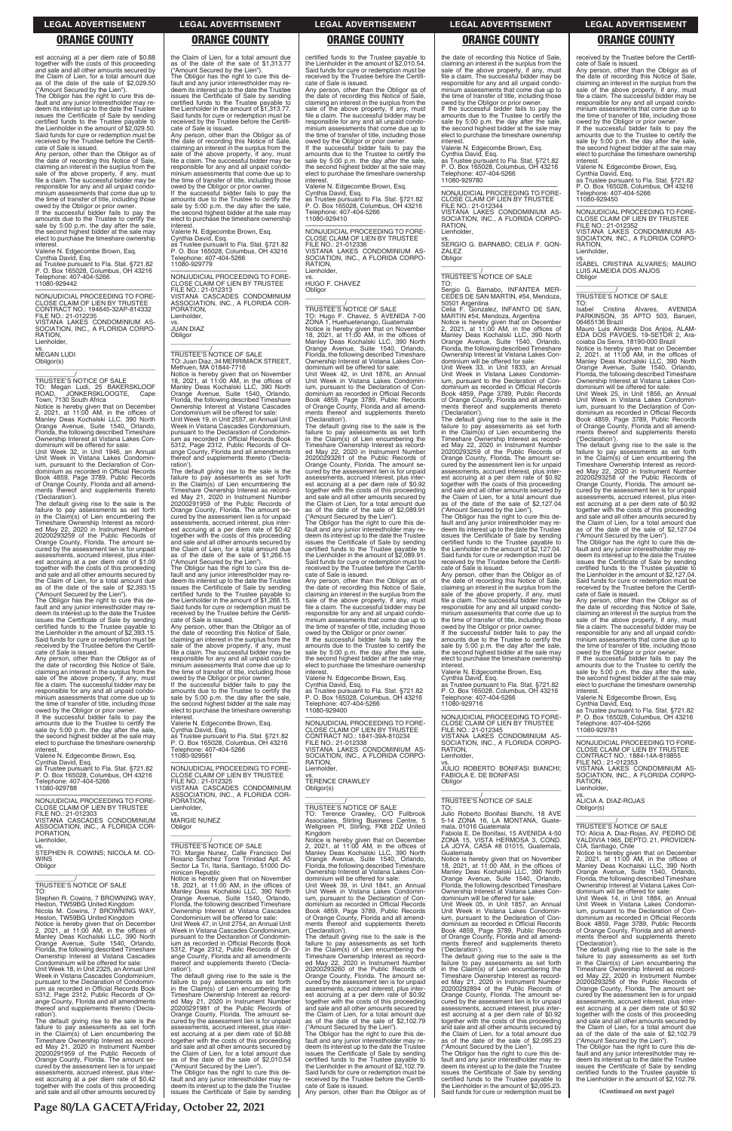est accruing at a per diem rate of \$0.88 together with the costs of this proceeding and sale and all other amounts secured by the Claim of Lien, for a total amount due as of the date of the sale of \$2,029.50 ("Amount Secured by the Lien").

The Obligor has the right to cure this de-fault and any junior interestholder may redeem its interest up to the date the Trustee issues the Certificate of Sale by sending certified funds to the Trustee payable to the Lienholder in the amount of \$2,029.50. Said funds for cure or redemption must be received by the Trustee before the Certificate of Sale is issued.

Any person, other than the Obligor as of the date of recording this Notice of Sale, claiming an interest in the surplus from the sale of the above property, if any, must file a claim. The successful bidder may be responsible for any and all unpaid condominium assessments that come due up to the time of transfer of title, including those

Obligor(s)  $\overline{\phantom{a}}$  , and the set of the set of the set of the set of the set of the set of the set of the set of the set of the set of the set of the set of the set of the set of the set of the set of the set of the set of the s

\_\_\_\_\_\_\_\_\_\_\_/ TRUSTEE'S NOTICE OF SALE TO: Megan Ludi, 25 BAKERSKLOOF ROAD, JONKERSKLOOGTE, Cape TO. Megari Ludi, 25<br>ROAD, JONKERSKLO<br>Town, 7130 South Africa

owed by the Obligor or prior owner. If the successful bidder fails to pay the amounts due to the Trustee to certify the sale by 5:00 p.m. the day after the sale, the second highest bidder at the sale may elect to purchase the timeshare ownership interest.

Valerie N. Edgecombe Brown, Esq. Cynthia David, Esq.

as Trustee pursuant to Fla. Stat. §721.82 P. O. Box 165028, Columbus, OH 43216 Telephone: 407-404-5266 11080-929442

—————————————————— NONJUDICIAL PROCEEDING TO FORE-CLOSE CLAIM OF LIEN BY TRUSTEE CONTRACT NO.: 194645-32AP-814332 FILE NO.: 21-012235

VISTANA LAKES CONDOMINIUM AS-SOCIATION, INC., A FLORIDA CORPO-RATION,

**Lienholder** 

vs. MEGAN LUDI

Notice is hereby given that on December 2, 2021, at 11:00 AM, in the offices of Manley Deas Kochalski LLC, 390 North Orange Avenue, Suite 1540, Orlando, Florida, the following described Timeshare Ownership Interest at Vistana Lakes Con-

dominium will be offered for sale: Unit Week 32, in Unit 1946, an Annual Unit Week in Vistana Lakes Condominium, pursuant to the Declaration of Con-dominium as recorded in Official Records Book 4859, Page 3789, Public Records of Orange County, Florida and all amend-ments thereof and supplements thereto ('Declaration').

The default giving rise to the sale is the failure to pay assessments as set forth in the Claim(s) of Lien encumbering the Timeshare Ownership Interest as record-ed May 22, 2020 in Instrument Number 20200293259 of the Public Records of Orange County, Florida. The amount se-cured by the assessment lien is for unpaid assessments, accrued interest, plus interest accruing at a per diem rate of \$1.09 together with the costs of this proceeding and sale and all other amounts secured by the Claim of Lien, for a total amount due as of the date of the sale of \$2,393.15

("Amount Secured by the Lien"). The Obligor has the right to cure this de-fault and any junior interestholder may redeem its interest up to the date the Trustee issues the Certificate of Sale by sending certified funds to the Trustee payable to the Lienholder in the amount of \$2,393.15. Said funds for cure or redemption must be received by the Trustee before the Certificate of Sale is issued.

Any person, other than the Obligor as of the date of recording this Notice of Sale, claiming an interest in the surplus from the sale of the above property, if any, must file a claim. The successful bidder may be responsible for any and all unpaid condominium assessments that come due up to the time of transfer of title, including those

vs. JUAN DIAZ **Obligor** 

owed by the Obligor or prior owner. If the successful bidder fails to pay the amounts due to the Trustee to certify the sale by 5:00 p.m. the day after the sale, the second highest bidder at the sale may elect to purchase the timeshare ownership interest.

Valerie N. Edgecombe Brown, Esq. Cynthia David, Esq.

as Trustee pursuant to Fla. Stat. §721.82 P. O. Box 165028, Columbus, OH 43216 Telephone: 407-404-5266

11080-929788

—————————————————— NONJUDICIAL PROCEEDING TO FORE-CLOSE CLAIM OF LIEN BY TRUSTEE FILE NO.: 21-012303 VISTANA CASCADES CONDOMINIUM

amounts due to the Trustee to certify the sale by 5:00 p.m. the day after the sale, the second highest bidder at the sale may elect to purchase the timeshare ownership **interest** 

vs. MARGIE NUNEZ **Obligor** 

# the Claim of Lien, for a total amount due as of the date of the sale of \$1,313.77

("Amount Secured by the Lien"). The Obligor has the right to cure this de-fault and any junior interestholder may redeem its interest up to the date the Trustee issues the Certificate of Sale by sending certified funds to the Trustee payable to the Lienholder in the amount of \$1,313.77. Said funds for cure or redemption must be received by the Trustee before the Certifi-

> amounts due to the Trustee to certify the sale by 5:00 p.m. the day after the sale, the second highest bidder at the sale may elect to purchase the timeshare ownership interest

vs. HUGO F. CHAVEZ Obligor

cate of Sale is issued. Any person, other than the Obligor as of the date of recording this Notice of Sale, claiming an interest in the surplus from the sale of the above property, if any, must file a claim. The successful bidder may be responsible for any and all unpaid condominium assessments that come due up to the time of transfer of title, including those owed by the Obligor or prior owner.

If the successful bidder fails to pay the amounts due to the Trustee to certify the sale by 5:00 p.m. the day after the sale the second highest bidder at the sale may elect to purchase the timeshare ownership interest.

Valerie N. Edgecombe Brown, Esq. Cynthia David, Esq.

as Trustee pursuant to Fla. Stat. §721.82 P. O. Box 165028, Columbus, OH 43216 Telephone: 407-404-5266 11080-929779

> The default giving rise to the sale is the failure to pay assessments as set forth in the Claim(s) of Lien encumbering the Timeshare Ownership Interest as record-ed May 22, 2020 in Instrument Number 20200293261 of the Public Records of Orange County, Florida. The amount se-cured by the assessment lien is for unpaid assessments, accrued interest, plus interest accruing at a per diem rate of \$0.92 together with the costs of this proceeding and sale and all other amounts secured by the Claim of Lien, for a total amount due as of the date of the sale of \$2,089.91

—————————————————— NONJUDICIAL PROCEEDING TO FORE-CLOSE CLAIM OF LIEN BY TRUSTEE FILE NO.: 21-012313 VISTANA CASCADES CONDOMINIUM ASSOCIATION, INC., A FLORIDA COR-PORATION, Lienholder,

\_\_\_\_\_\_\_\_\_\_\_\_\_\_\_\_\_\_\_\_\_\_\_\_\_\_\_\_\_\_\_\_\_ \_\_\_\_\_\_\_\_\_\_\_/ TRUSTEE'S NOTICE OF SALE TO: Juan Diaz, 34 MERRIMACK STREET, Methuen, MA 01844-7716

> —————————————————— NONJUDICIAL PROCEEDING TO FORE-CLOSE CLAIM OF LIEN BY TRUSTEE CONTRACT NO.: 1841-39A-810234 FILE NO.: 21-012338 VISTANA LAKES CONDOMINIUM AS-SOCIATION, INC., A FLORIDA CORPO-RATION, **Lienholder**

Notice is hereby given that on November 18, 2021, at 11:00 AM, in the offices of Manley Deas Kochalski LLC, 390 North Orange Avenue, Suite 1540, Orlando, Florida, the following described Timeshare Ownership Interest at Vistana Cascades Condominium will be offered for sale: Unit Week 19, in Unit 2557, an Annual Unit Week in Vistana Cascades Condominium, pursuant to the Declaration of Condominium as recorded in Official Records Book 5312, Page 2312, Public Records of Or-ange County, Florida and all amendments thereof and supplements thereto ('Declaration').

The default giving rise to the sale is the failure to pay assessments as set forth in the Claim(s) of Lien encumbering the Timeshare Ownership Interest as recorded May 21, 2020 in Instrument Number 20200291959 of the Public Records of Orange County, Florida. The amount secured by the assessment lien is for unpaid assessments, accrued interest, plus inter-est accruing at a per diem rate of \$0.42 together with the costs of this proceeding and sale and all other amounts secured by the Claim of Lien, for a total amount due as of the date of the sale of \$1,266.15 ("Amount Secured by the Lien"). The Obligor has the right to cure this de-

the date of recording this Notice of Sale, claiming an interest in the surplus from the sale of the above property, if any, must file a claim. The successful bidder may be responsible for any and all unpaid condominium assessments that come due up to the time of transfer of title, including those and three or transfer or thee, mendanger<br>owed by the Obligor or prior owner

fault and any junior interestholder may redeem its interest up to the date the Trustee issues the Certificate of Sale by sending certified funds to the Trustee payable to the Lienholder in the amount of \$1,266.15. Said funds for cure or redemption must be received by the Trustee before the Certifi-

FILE NO.: 21-012344 VISTANA LAKES CONDOMINIUM AS-SOCIATION, INC., A FLORIDA CORPO-RATION, **Lienholder** 

cate of Sale is issued. Any person, other than the Obligor as of the date of recording this Notice of Sale,<br>claiming an interest in the surplus from the<br>sale of the above property, if any, must<br>file a claim. The successful bidder may be responsible for any and all unpaid condo-minium assessments that come due up to the time of transfer of title, including those owed by the Obligor or prior owner. If the successful bidder fails to pay the

Valerie N. Edgecombe Brown, Esq.

Cynthia David, Esq. as Trustee pursuant to Fla. Stat. §721.82 P. O. Box 165028, Columbus, OH 43216 Telephone: 407-404-5266 11080-929561

—————————————————— NONJUDICIAL PROCEEDING TO FORE-CLOSE CLAIM OF LIEN BY TRUSTEE FILE NO.: 21-012325 VISTANA CASCADES CONDOMINIUM ASSOCIATION, INC., A FLORIDA COR-PORATION, Lienholder,

The Obligor has the right to cure this default and any junior interestholder may re-deem its interest up to the date the Trustee issues the Certificate of Sale by sending certified funds to the Trustee payable to the Lienholder in the amount of \$2,127.04. Said funds for cure or redemption must be received by the Trustee before the Certifi-cate of Sale is issued.

Julio Roberto Bonifasi Bianchi, 18 AVE<br>5-14 ZONA 16, LA MONTANA, Guate-16, LA MONTANA, Guatemala, 01016 Guatemala

certified funds to the Trustee payable to the Lienholder in the amount of \$2,010.54. Said funds for cure or redemption must be received by the Trustee before the Certifi-cate of Sale is issued.

> If the successful bidder fails to pay the amounts due to the Trustee to certify the sale by 5:00 p.m. the day after the sale, the second highest bidder at the sale may elect to purchase the timeshare ownership nterest

Any person, other than the Obligor as of the date of recording this Notice of Sale, claiming an interest in the surplus from the sale of the above property, if any, must file a claim. The successful bidder may be responsible for any and all unpaid condominium assessments that come due up to the time of transfer of title, including those owed by the Obligor or prior owner. If the successful bidder fails to pay the

> TO:<br>Isabel Isabel Cristina Alvares, AVENIDA PARKINSON, 35 APTO 503, Barueri, 06465136 Brazil

Valerie N. Edgecombe Brown, Esq. Cynthia David, Esq. as Trustee pursuant to Fla. Stat. §721.82

P. O. Box 165028, Columbus, OH 43216 Telephone: 407-404-5266 11080-929410

NON ILIDICIAL PROCEEDING TO FORE-NONJUDICIAL PROCEEDING TO FORE-CLOSE CLAIM OF LIEN BY TRUSTEE FILE NO.: 21-012336 VISTANA LAKES CONDOMINIUM AS-SOCIATION, INC., A FLORIDA CORPO-RATION, Lienholder,

\_\_\_\_\_\_\_\_\_\_\_\_\_\_\_\_\_\_\_\_\_\_\_\_\_\_\_\_\_\_\_\_\_

\_\_\_\_\_\_\_\_\_\_\_/ TRUSTEE'S NOTICE OF SALE TO: Hugo F. Chavez, 5 AVENIDA 7-00 ZONA 1, Huehuetenango, Guatemala Notice is hereby given that on November 18, 2021, at 11:00 AM, in the offices of Manley Deas Kochalski LLC, 390 North Orange Avenue, Suite 1540, Orlando, Florida, the following described Timeshare Ownership Interest at Vistana Lakes Con-

dominium will be offered for sale: Unit Week 42, in Unit 1876, an Annual Unit Week in Vistana Lakes Condominium, pursuant to the Declaration of Con-dominium as recorded in Official Records Book 4859, Page 3789, Public Records of Orange County, Florida and all amend-ments thereof and supplements thereto ('Declaration').

> **RATION** Lienholder,

("Amount Secured by the Lien"). The Obligor has the right to cure this de-fault and any junior interestholder may redeem its interest up to the date the Trustee issues the Certificate of Sale by sending certified funds to the Trustee payable the Lienholder in the amount of \$2,089.91. Said funds for cure or redemption must be received by the Trustee before the Certificate of Sale is issued.

Any person, other than the Obligor as of the date of recording this Notice of Sale, claiming an interest in the surplus from the sale of the above property, if any, must file a claim. The successful bidder may be responsible for any and all unpaid condominium assessments that come due up to the time of transfer of title, including those

owed by the Obligor or prior owner. If the successful bidder fails to pay the amounts due to the Trustee to certify the sale by 5:00 p.m. the day after the sale the second highest bidder at the sale may elect to purchase the timeshare ownership interest.

Valerie N. Edgecombe Brown, Esq. Cynthia David, Esq. as Trustee pursuant to Fla. Stat. §721.82 P. O. Box 165028, Columbus, OH 43216 elephone: 407-404-5266 11080-929400

vs. TERENCE CRAWLEY Obligor(s)

\_\_\_\_\_\_\_\_\_\_\_\_\_\_\_\_\_\_\_\_\_\_\_\_\_\_\_\_\_\_\_\_\_ \_\_\_\_\_\_\_\_\_\_\_/ TRUSTEE'S NOTICE OF SALE

TO: Terence Crawley, C/O Fullbrook Associates, Stirling Business Centre, 5 Wellgreen PI, Stirling, FK8 2DZ United Kingdom

| VISTANA CASCADES CONDOMINIUM                                                                                                                                                                                                                                                                                                       | <b>MARGIE NUNEZ</b>                          | Associates, Stirling Business Centre, 5      | 5-14 ZONA 16. LA MONTANA, Guate-             |                                              |  |
|------------------------------------------------------------------------------------------------------------------------------------------------------------------------------------------------------------------------------------------------------------------------------------------------------------------------------------|----------------------------------------------|----------------------------------------------|----------------------------------------------|----------------------------------------------|--|
| ASSOCIATION. INC., A FLORIDA COR-                                                                                                                                                                                                                                                                                                  | Obligor                                      | Wellgreen PI, Stirling, FK8 2DZ United       | mala, 01016 Guatemala                        | TRUSTEE'S NOTICE OF SALE                     |  |
| PORATION.                                                                                                                                                                                                                                                                                                                          |                                              | Kingdom                                      | Fabiola E. De Bonifasi, 15 AVENIDA 4-50      | TO: Alicia A. Diaz-Rojas, AV. PEDRO DE       |  |
| Lienholder,                                                                                                                                                                                                                                                                                                                        |                                              | Notice is hereby given that on December      | ZONA 15, VISTA HERMOSA 3, COND.              | VALDIVIA 1965, DEPTO. 21, PROVIDEN-          |  |
| VS.                                                                                                                                                                                                                                                                                                                                | <b>TRUSTEE'S NOTICE OF SALE</b>              | 2, 2021, at $11:00$ AM, in the offices of    | LA JOYA, CASA #8 01015, Guatemala,           | CIA, Santiago, Chile                         |  |
| STEPHEN R. COWINS; NICOLA M. CO-                                                                                                                                                                                                                                                                                                   | TO: Margie Nunez, Calle Francisco Del        | Manley Deas Kochalski LLC, 390 North         | Guatemala                                    | Notice is hereby given that on December      |  |
| <b>WINS</b>                                                                                                                                                                                                                                                                                                                        | Rosario Sanchez Torre Trinidad Apt. A5       | Orange Avenue, Suite 1540, Orlando,          | Notice is hereby given that on November      | 2, 2021, at 11:00 AM, in the offices of      |  |
| Obligor                                                                                                                                                                                                                                                                                                                            | Sector La Tri, Itaria, Santiago, 51000 Do-   | Florida, the following described Timeshare   | 18, 2021, at $11:00$ AM, in the offices of   | Manley Deas Kochalski LLC, 390 North         |  |
|                                                                                                                                                                                                                                                                                                                                    | minican Republic                             | Ownership Interest at Vistana Lakes Con-     | Manley Deas Kochalski LLC, 390 North         | Orange Avenue, Suite 1540, Orlando,          |  |
|                                                                                                                                                                                                                                                                                                                                    | Notice is hereby given that on November      | dominium will be offered for sale:           | Orange Avenue, Suite 1540, Orlando,          | Florida, the following described Timeshare   |  |
| TRUSTEE'S NOTICE OF SALE                                                                                                                                                                                                                                                                                                           | 18, 2021, at $11:00$ AM, in the offices of   | Unit Week 39, in Unit 1841, an Annual        | Florida, the following described Timeshare   | Ownership Interest at Vistana Lakes Con-     |  |
| TO:                                                                                                                                                                                                                                                                                                                                |                                              | Unit Week in Vistana Lakes Condomin-         |                                              | dominium will be offered for sale:           |  |
|                                                                                                                                                                                                                                                                                                                                    | Manley Deas Kochalski LLC, 390 North         |                                              | Ownership Interest at Vistana Lakes Con-     |                                              |  |
| Stephen R. Cowins, 7 BROWNING WAY,                                                                                                                                                                                                                                                                                                 | Orange Avenue, Suite 1540, Orlando,          | ium, pursuant to the Declaration of Con-     | dominium will be offered for sale:           | Unit Week 14, in Unit 1884, an Annual        |  |
| Heston, TW59BG United Kingdom                                                                                                                                                                                                                                                                                                      | Florida, the following described Timeshare   | dominium as recorded in Official Records     | Unit Week 05, in Unit 1857, an Annual        | Unit Week in Vistana Lakes Condomin-         |  |
| Nicola M. Cowins, 7 BROWNING WAY.                                                                                                                                                                                                                                                                                                  | Ownership Interest at Vistana Cascades       | Book 4859, Page 3789, Public Records         | Unit Week in Vistana Lakes Condomin-         | ium, pursuant to the Declaration of Con-     |  |
| Heston, TW59BG United Kingdom                                                                                                                                                                                                                                                                                                      | Condominium will be offered for sale:        | of Orange County, Florida and all amend-     | ium, pursuant to the Declaration of Con-     | dominium as recorded in Official Records     |  |
| Notice is hereby given that on December                                                                                                                                                                                                                                                                                            | Unit Week 47, in Unit 2754, an Annual Unit   | ments thereof and supplements thereto        | dominium as recorded in Official Records     | Book 4859, Page 3789, Public Records         |  |
| 2, 2021, at 11:00 AM, in the offices of                                                                                                                                                                                                                                                                                            | Week in Vistana Cascades Condominium,        | ('Declaration').                             | Book 4859, Page 3789, Public Records         | of Orange County, Florida and all amend-     |  |
| Manley Deas Kochalski LLC, 390 North                                                                                                                                                                                                                                                                                               | pursuant to the Declaration of Condomin-     | The default giving rise to the sale is the   | of Orange County, Florida and all amend-     | ments thereof and supplements thereto        |  |
| Orange Avenue, Suite 1540, Orlando,                                                                                                                                                                                                                                                                                                | ium as recorded in Official Records Book     | failure to pay assessments as set forth      | ments thereof and supplements thereto        | ('Declaration').                             |  |
| Florida, the following described Timeshare                                                                                                                                                                                                                                                                                         | 5312, Page 2312, Public Records of Or-       | in the Claim(s) of Lien encumbering the      | ('Declaration').                             | The default giving rise to the sale is the   |  |
| Ownership Interest at Vistana Cascades                                                                                                                                                                                                                                                                                             | ange County, Florida and all amendments      | Timeshare Ownership Interest as record-      | The default giving rise to the sale is the   | failure to pay assessments as set forth      |  |
| Condominium will be offered for sale:                                                                                                                                                                                                                                                                                              | thereof and supplements thereto ('Decla-     | ed May 22, 2020 in Instrument Number         | failure to pay assessments as set forth      | in the Claim(s) of Lien encumbering the      |  |
| Unit Week 18, in Unit 2325, an Annual Unit                                                                                                                                                                                                                                                                                         | ration').                                    | 20200293260 of the Public Records of         | in the Claim(s) of Lien encumbering the      | Timeshare Ownership Interest as record-      |  |
| Week in Vistana Cascades Condominium.                                                                                                                                                                                                                                                                                              | The default giving rise to the sale is the   | Orange County, Florida. The amount se-       | Timeshare Ownership Interest as record-      | ed May 22, 2020 in Instrument Number         |  |
| pursuant to the Declaration of Condomin-                                                                                                                                                                                                                                                                                           | failure to pay assessments as set forth      | cured by the assessment lien is for unpaid   | ed May 21, 2020 in Instrument Number         | 20200293256 of the Public Records of         |  |
| jum as recorded in Official Records Book                                                                                                                                                                                                                                                                                           | in the Claim(s) of Lien encumbering the      | assessments, accrued interest, plus inter-   | 20200292894 of the Public Records of         | Orange County, Florida. The amount se-       |  |
| 5312, Page 2312, Public Records of Or-                                                                                                                                                                                                                                                                                             | Timeshare Ownership Interest as record-      | est accruing at a per diem rate of \$0.92    | Orange County, Florida. The amount se-       | cured by the assessment lien is for unpaid   |  |
| ange County, Florida and all amendments                                                                                                                                                                                                                                                                                            | ed May 21, 2020 in Instrument Number         | together with the costs of this proceeding   | cured by the assessment lien is for unpaid   | assessments, accrued interest, plus inter-   |  |
| thereof and supplements thereto ('Decla-                                                                                                                                                                                                                                                                                           | 20200291981 of the Public Records of         | and sale and all other amounts secured by    | assessments, accrued interest, plus inter-   | est accruing at a per diem rate of \$0.92    |  |
| ration').                                                                                                                                                                                                                                                                                                                          | Orange County, Florida. The amount se-       | the Claim of Lien, for a total amount due    | est accruing at a per diem rate of \$0.92    | together with the costs of this proceeding   |  |
| The default giving rise to the sale is the                                                                                                                                                                                                                                                                                         | cured by the assessment lien is for unpaid   | as of the date of the sale of \$2,102.79     | together with the costs of this proceeding   | and sale and all other amounts secured by    |  |
| failure to pay assessments as set forth                                                                                                                                                                                                                                                                                            | assessments, accrued interest, plus inter-   | ("Amount Secured by the Lien").              | and sale and all other amounts secured by    | the Claim of Lien, for a total amount due    |  |
| in the Claim(s) of Lien encumbering the                                                                                                                                                                                                                                                                                            | est accruing at a per diem rate of \$0.88    | The Obligor has the right to cure this de-   | the Claim of Lien, for a total amount due    | as of the date of the sale of \$2,102.79     |  |
| Timeshare Ownership Interest as record-                                                                                                                                                                                                                                                                                            | together with the costs of this proceeding   | fault and any junior interestholder may re-  | as of the date of the sale of \$2,095.23     | ("Amount Secured by the Lien").              |  |
| ed May 21, 2020 in Instrument Number                                                                                                                                                                                                                                                                                               | and sale and all other amounts secured by    | deem its interest up to the date the Trustee | ("Amount Secured by the Lien").              | The Obligor has the right to cure this de-   |  |
| 20200291959 of the Public Records of                                                                                                                                                                                                                                                                                               | the Claim of Lien, for a total amount due    | issues the Certificate of Sale by sending    | The Obligor has the right to cure this de-   | fault and any junior interestholder may re-  |  |
| Orange County, Florida. The amount se-                                                                                                                                                                                                                                                                                             | as of the date of the sale of \$2,010.54     | certified funds to the Trustee payable to    | fault and any junior interestholder may re-  | deem its interest up to the date the Trustee |  |
| cured by the assessment lien is for unpaid                                                                                                                                                                                                                                                                                         | ("Amount Secured by the Lien").              | the Lienholder in the amount of \$2,102.79.  | deem its interest up to the date the Trustee | issues the Certificate of Sale by sending    |  |
| assessments, accrued interest, plus inter-                                                                                                                                                                                                                                                                                         | The Obligor has the right to cure this de-   | Said funds for cure or redemption must be    | issues the Certificate of Sale by sending    | certified funds to the Trustee payable to    |  |
| est accruing at a per diem rate of \$0.42                                                                                                                                                                                                                                                                                          | fault and any junior interestholder may re-  | received by the Trustee before the Certifi-  | certified funds to the Trustee payable to    | the Lienholder in the amount of \$2,102.79.  |  |
| together with the costs of this proceeding                                                                                                                                                                                                                                                                                         | deem its interest up to the date the Trustee | cate of Sale is issued.                      | the Lienholder in the amount of \$2,095.23.  |                                              |  |
| and sale and all other amounts secured by                                                                                                                                                                                                                                                                                          | issues the Certificate of Sale by sending    | Any person, other than the Obligor as of     | Said funds for cure or redemption must be    | (Continued on next page)                     |  |
|                                                                                                                                                                                                                                                                                                                                    |                                              |                                              |                                              |                                              |  |
| $\mathbf{D}_{\text{max}}$ 00 $\mathbf{L}$ A $\mathbf{C}$ A $\mathbf{C}$ $\mathbf{F}$ $\mathbf{L}$ $\mathbf{A}$ $\mathbf{L}$ $\mathbf{L}$ $\mathbf{L}$ $\mathbf{L}$ $\mathbf{L}$ $\mathbf{L}$ $\mathbf{L}$ $\mathbf{L}$ $\mathbf{L}$ $\mathbf{L}$ $\mathbf{L}$ $\mathbf{L}$ $\mathbf{L}$ $\mathbf{L}$ $\mathbf{L}$ $\mathbf{L}$ $\$ |                                              |                                              |                                              |                                              |  |

If the successful bidder fails to pay the amounts due to the Trustee to certify the sale by 5:00 p.m. the day after the sale, the second highest bidder at the sale may elect to purchase the timeshare ownership

interest. Valerie N. Edgecombe Brown, Esq. Cynthia David, Esq. as Trustee pursuant to Fla. Stat. §721.82 P. O. Box 165028, Columbus, OH 43216 Telephone: 407-404-5266 11080-929780

—————————————————— NONJUDICIAL PROCEEDING TO FORE-CLOSE CLAIM OF LIEN BY TRUSTEE

vs. SERGIO G. BARNABO; CELIA F. GON-ZALEZ **Obligor** \_\_\_\_\_\_\_\_\_\_\_\_\_\_\_\_\_\_\_\_\_\_\_\_\_\_\_\_\_\_\_\_\_

# \_\_\_\_\_\_\_\_\_\_\_/ TRUSTEE'S NOTICE OF SALE

TO: Sergio G. Barnabo, INFANTEA MER-CEDES DE SAN MARTIN, #54, Mendoza, 50501 Argentina Celia F. Gonzalez, INFANTO DE SAN,

MARTIN #54, Mendoza, Argentina Notice is hereby given that on December 2, 2021, at 11:00 AM, in the offices of Manley Deas Kochalski LLC, 390 North Orange Avenue, Suite 1540, Orlando,

Florida, the following described Timeshare Ownership Interest at Vistana Lakes Condominium will be offered for sale:

Unit Week 33, in Unit 1833, an Annual Unit Week in Vistana Lakes Condominium, pursuant to the Declaration of Condominium as recorded in Official Records Book 4859, Page 3789, Public Records of Orange County, Florida and all amend-ments thereof and supplements thereto ('Declaration').

The default giving rise to the sale is the failure to pay assessments as set forth in the Claim(s) of Lien encumbering the Timeshare Ownership Interest as recorded May 22, 2020 in Instrument Number 20200293259 of the Public Records of Orange County, Florida. The amount se-cured by the assessment lien is for unpaid assessments, accrued interest, plus interest accruing at a per diem rate of \$0.92 together with the costs of this proceeding and sale and all other amounts secured by the Claim of Lien, for a total amount due as of the date of the sale of \$2,127.04 ("Amount Secured by the Lien").

Any person, other than the Obligor as of the date of recording this Notice of Sale, claiming an interest in the surplus from the sale of the above property, if any, must file a claim. The successful bidder may be responsible for any and all unpaid condominium assessments that come due up to the time of transfer of title, including those owed by the Obligor or prior owner.

If the successful bidder fails to pay the amounts due to the Trustee to certify the sale by 5:00 p.m. the day after the sale, the second highest bidder at the sale may elect to purchase the timeshare ownership interest.

Valerie N. Edgecombe Brown, Esq. Cynthia David, Esq. as Trustee pursuant to Fla. Stat. §721.82

P. O. Box 165028, Columbus, OH 43216 Telephone: 407-404-5266 11080-929716

—————————————————— NONJUDICIAL PROCEEDING TO FORE-CLOSE CLAIM OF LIEN BY TRUSTEE FILE NO.: 21-012345 VISTANA LAKES CONDOMINIUM AS-SOCIATION, INC., A FLORIDA CORPO-RATION, Lienholder,

vs. JULIO ROBERTO BONIFASI BIANCHI; FABIOLA E. DE BONIFASI Obligor \_\_\_\_\_\_\_\_\_\_\_\_\_\_\_\_\_\_\_\_\_\_\_\_\_\_\_\_\_\_\_\_\_

### \_\_\_\_\_\_\_\_\_\_\_/ TRUSTEE'S NOTICE OF SALE TO:

received by the Trustee before the Certifi-cate of Sale is issued. Any person, other than the Obligor as of the date of recording this Notice of Sale, claiming an interest in the surplus from the sale of the above property, if any, must file a claim. The successful bidder may be responsible for any and all unpaid condominium assessments that come due up to the time of transfer of title, including those owed by the Obligor or prior owner.

Valerie N. Edgecombe Brown, Esq. Cynthia David, Esq. as Trustee pursuant to Fla. Stat. §721.82 P. O. Box 165028, Columbus, OH 43216 Telephone: 407-404-5266 11080-929450

—————————————————— NONJUDICIAL PROCEEDING TO FORE-CLOSE CLAIM OF LIEN BY TRUSTEE FILE NO.: 21-012352

VISTANA LAKES CONDOMINIUM AS-SOCIATION, INC., A FLORIDA CORPO-RATION, Lienholder,

vs. ISABEL CRISTINA ALVARES; MAURO LUIS ALMEIDA DOS ANJOS Obligor \_\_\_\_\_\_\_\_\_\_\_\_\_\_\_\_\_\_\_\_\_\_\_\_\_\_\_\_\_\_\_\_\_

# \_\_\_\_\_\_\_\_\_\_\_/ TRUSTEE'S NOTICE OF SALE

Mauro Luis Almeida Dos Anjos, ALAM-EDA DOS PAVOES, 19-SETOR 2, Aracoiaba Da Serra, 18190-000 Brazil Notice is hereby given that on December 2, 2021, at 11:00 AM, in the offices of Manley Deas Kochalski LLC, 390 North

Orange Avenue, Suite 1540, Orlando, Florida, the following described Timeshare Ownership Interest at Vistana Lakes Condominium will be offered for sale: Unit Week 25, in Unit 1856, an Annual Unit Week in Vistana Lakes Condominium, pursuant to the Declaration of Con-dominium as recorded in Official Records Book 4859, Page 3789, Public Records of Orange County, Florida and all amend-ments thereof and supplements thereto

('Declaration').

The default giving rise to the sale is the failure to pay assessments as set forth in the Claim(s) of Lien encumbering the Timeshare Ownership Interest as record-ed May 22, 2020 in Instrument Number 20200293258 of the Public Records of Orange County, Florida. The amount se-cured by the assessment lien is for unpaid assessments, accrued interest, plus interest accruing at a per diem rate of \$0.92 together with the costs of this proceeding and sale and all other amounts secured by the Claim of Lien, for a total amount due as of the date of the sale of \$2,127.04 ("Amount Secured by the Lien"). The Obligor has the right to cure this de-fault and any junior interestholder may redeem its interest up to the date the Trustee issues the Certificate of Sale by sending certified funds to the Trustee payable to the Lienholder in the amount of \$2,127.04. Said funds for cure or redemption must be received by the Trustee before the Certifi-

cate of Sale is issued.

Any person, other than the Obligor as of the date of recording this Notice of Sale, claiming an interest in the surplus from the<br>sale of the above property, if any, must sale of the above property, if any, must file a claim. The successful bidder may be responsible for any and all unpaid condominium assessments that come due up to the time of transfer of title, including those owed by the Obligor or prior owner. If the successful bidder fails to pay the amounts due to the Trustee to certify the sale by 5:00 p.m. the day after the sale, the second highest bidder at the sale may elect to purchase the timeshare ownership

interest.

Valerie N. Edgecombe Brown, Esq. Cynthia David, Esq. as Trustee pursuant to Fla. Stat. §721.82 P. O. Box 165028, Columbus, OH 43216 Telephone: 407-404-5266

11080-929781

—————————————————— NONJUDICIAL PROCEEDING TO FORE-CLOSE CLAIM OF LIEN BY TRUSTEE CONTRACT NO.: 1884-14A-819855 FILE NO.: 21-012353 VISTANA LAKES CONDOMINIUM AS-SOCIATION, INC., A FLORIDA CORPO-

 $\overline{\phantom{a}}$  ,  $\overline{\phantom{a}}$  ,  $\overline{\phantom{a}}$  ,  $\overline{\phantom{a}}$  ,  $\overline{\phantom{a}}$  ,  $\overline{\phantom{a}}$  ,  $\overline{\phantom{a}}$  ,  $\overline{\phantom{a}}$  ,  $\overline{\phantom{a}}$  ,  $\overline{\phantom{a}}$  ,  $\overline{\phantom{a}}$  ,  $\overline{\phantom{a}}$  ,  $\overline{\phantom{a}}$  ,  $\overline{\phantom{a}}$  ,  $\overline{\phantom{a}}$  ,  $\overline{\phantom{a}}$ 

vs. ALICIA A. DIAZ-ROJAS

Obligor(s)

### **LEGAL ADVERTISEMENT LEGAL ADVERTISEMENT LEGAL ADVERTISEMENT LEGAL ADVERTISEMENT LEGAL ADVERTISEMENT**

## **ORANGE COUNTY ORANGE COUNTY ORANGE COUNTY ORANGE COUNTY ORANGE COUNTY**

**Page 80/LA GACETA/Friday, October 22, 2021**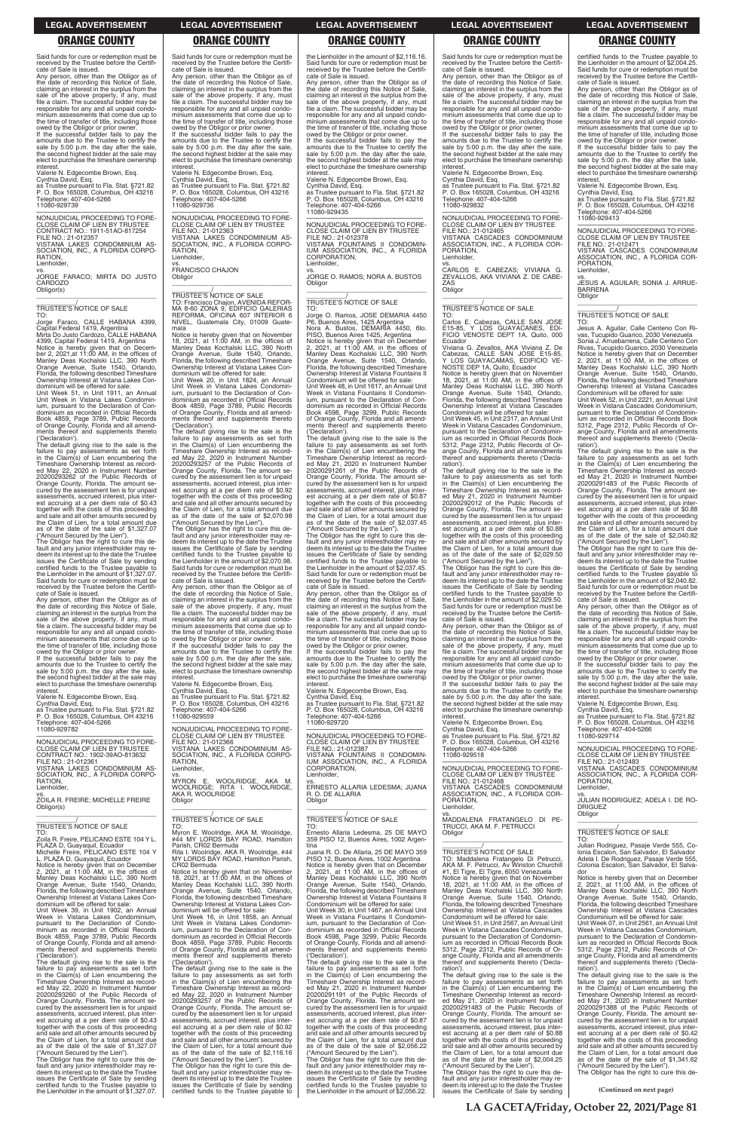Said funds for cure or redemption must be received by the Trustee before the Certificate of Sale is issued.

Any person, other than the Obligor as of the date of recording this Notice of Sale, claiming an interest in the surplus from the sale of the above property, if any, must file a claim. The successful bidder may be responsible for any and all unpaid condominium assessments that come due up to the time of transfer of title, including those

**RATION** Lienholder,

owed by the Obligor or prior owner. If the successful bidder fails to pay the amounts due to the Trustee to certify the sale by 5:00 p.m. the day after the sale, the second highest bidder at the sale may elect to purchase the timeshare ownership interest.

Valerie N. Edgecombe Brown, Esq.

Cynthia David, Esq. as Trustee pursuant to Fla. Stat. §721.82 P. O. Box 165028, Columbus, OH 43216 Telephone: 407-404-5266 11080-929739

—————————————————— NONJUDICIAL PROCEEDING TO FORE-CLOSE CLAIM OF LIEN BY TRUSTEE CONTRACT NO.: 1911-51AO-817254 FILE NO.: 21-012357 VISTANA LAKES CONDOMINIUM AS-SOCIATION, INC., A FLORIDA CORPO-

vs.

JORGE FARACO; MIRTA DO JUSTO CARDOZO Obligor(s) \_\_\_\_\_\_\_\_\_\_\_\_\_\_\_\_\_\_\_\_\_\_\_\_\_\_\_\_\_\_\_\_\_

\_\_\_\_\_\_\_\_\_\_\_/ TRUSTEE'S NOTICE OF SALE

TO: Jorge Faraco, CALLE HABANA 4399, Capital Federal 1419, Argentina Mirta Do Justo Cardozo, CALLE HABANA 4399, Capital Federal 1419, Argentina Notice is hereby given that on Decem-ber 2, 2021,at 11:00 AM, in the offices of Manley Deas Kochalski LLC, 390 North Orange Avenue, Suite 1540, Orlando, Florida, the following described Timeshare Ownership Interest at Vistana Lakes Con-

dominium will be offered for sale: Unit Week 51, in Unit 1911, an Annual Unit Week in Vistana Lakes Condominium, pursuant to the Declaration of Condominium as recorded in Official Records Book 4859, Page 3789, Public Records of Orange County, Florida and all amendments thereof and supplements thereto ('Declaration').

The default giving rise to the sale is the failure to pay assessments as set forth in the Claim(s) of Lien encumbering the Timeshare Ownership Interest as recorded May 22, 2020 in Instrument Number 20200293262 of the Public Records of Orange County, Florida. The amount se-cured by the assessment lien is for unpaid assessments, accrued interest, plus interest accruing at a per diem rate of \$0.43 together with the costs of this proceeding and sale and all other amounts secured by the Claim of Lien, for a total amount due

as of the date of the sale of \$1,327.07 ("Amount Secured by the Lien"). The Obligor has the right to cure this de-fault and any junior interestholder may redeem its interest up to the date the Trustee issues the Certificate of Sale by sending certified funds to the Trustee payable to the Lienholder in the amount of \$1,327.07. Said funds for cure or redemption must be received by the Trustee before the Certificate of Sale is issued.

Any person, other than the Obligor as of the date of recording this Notice of Sale, claiming an interest in the surplus from the sale of the above property, if any, must file a claim. The successful bidder may be responsible for any and all unpaid condominium assessments that come due up to the time of transfer of title, including those owed by the Obligor or prior owner. If the successful bidder fails to pay the RATION, Lienholder

**Obligor** 

amounts due to the Trustee to certify the sale by 5:00 p.m. the day after the sale, the second highest bidder at the sale may elect to purchase the timeshare ownership interest.

Valerie N. Edgecombe Brown, Esq.

Cynthia David, Esq. as Trustee pursuant to Fla. Stat. §721.82 P. O. Box 165028, Columbus, OH 43216 Telephone: 407-404-5266 11080-929782

—————————————————— NONJUDICIAL PROCEEDING TO FORE-CLOSE CLAIM OF LIEN BY TRUSTEE CONTRACT NO.: 1902-39AO-813632 FILE NO.: 21-012361 VISTANA LAKES CONDOMINIUM AS-SOCIATION, INC., A FLORIDA CORPO-**RATION** Lienholder,

vs. ZOILA R. FREIRE; MICHELLE FREIRE Obligor(s) \_\_\_\_\_\_\_\_\_\_\_\_\_\_\_\_\_\_\_\_\_\_\_\_\_\_\_\_\_\_\_\_\_

\_\_\_\_\_\_\_\_\_\_\_/ TRUSTEE'S NOTICE OF SALE

The Obligor has the right to cure this default and any junior interestholder may redeem its interest up to the date the Trustee issues the Certificate of Sale by sending certified funds to the Trustee payable to the Lienholder in the amount of \$2,070.98. Said funds for cure or redemption must be received by the Trustee before the Certificate of Sale is issued. Any person, other than the Obligor as of the date of recording this Notice of Sale, claiming an interest in the surplus from the

Said funds for cure or redemption must be received by the Trustee before the Certifi-

cate of Sale is issued.

Any person, other than the Obligor as of the date of recording this Notice of Sale, claiming an interest in the surplus from the sale of the above property, if any, must file a claim. The successful bidder may be responsible for any and all unpaid condominium assessments that come due up to the time of transfer of title, including those owed by the Obligor or prior owner. If the successful bidder fails to pay the amounts due to the Trustee to certify the sale by 5:00 p.m. the day after the sale, the second highest bidder at the sale may elect to purchase the timeshare ownership

interest.

Valerie N. Edgecombe Brown, Esq. Cynthia David, Esq. as Trustee pursuant to Fla. Stat. §721.82 P. O. Box 165028, Columbus, OH 43216

Telephone: 407-404-5266 11080-929736

—————————————————— NONJUDICIAL PROCEEDING TO FORE-CLOSE CLAIM OF LIEN BY TRUSTEE

FILE NO.: 21-012363

VISTANA LAKES CONDOMINIUM AS-SOCIATION, INC., A FLORIDA CORPO-

vs. FRANCISCO CHAJON

\_\_\_\_\_\_\_\_\_\_\_\_\_\_\_\_\_\_\_\_\_\_\_\_\_\_\_\_\_\_\_\_\_

mala

The Obligor has the right to cure this default and any junior interestholder may redeem its interest up to the date the Trustee issues the Certificate of Sale by sending certified funds to the Trustee payable to the Lienholder in the amount of \$2,037.45. Said funds for cure or redemption must be received by the Trustee before the Certifi-

Notice is hereby given that on November 18, 2021, at 11:00 AM, in the offices of Manley Deas Kochalski LLC, 390 North Orange Avenue, Suite 1540, Orlando, Florida, the following described Timeshare Ownership Interest at Vistana Lakes Con-

dominium will be offered for sale: Unit Week 20, in Unit 1824, an Annual Unit Week in Vistana Lakes Condominium, pursuant to the Declaration of Con-dominium as recorded in Official Records Book 4859, Page 3789, Public Records of Orange County, Florida and all amend-ments thereof and supplements thereto ('Declaration').

> vs. ERNESTO ALLARIA LEDESMA; JUANA R. O. DE ALLARIA **Obligor**

The default giving rise to the sale is the failure to pay assessments as set forth in the Claim(s) of Lien encumbering the Timeshare Ownership Interest as record-ed May 22, 2020 in Instrument Number 20200293257 of the Public Records of Orange County, Florida. The amount se-cured by the assessment lien is for unpaid assessments, accrued interest, plus interest accruing at a per diem rate of \$0.92 together with the costs of this proceeding and sale and all other amounts secured by the Claim of Lien, for a total amount due as of the date of the sale of \$2,070.98 ("Amount Secured by the Lien").

sale of the above property, if any, must file a claim. The successful bidder may be responsible for any and all unpaid condo-

interest.

11080-929559

FILE NO.: 21-012366 VISTANA LAKES CONDOMINIUM AS-SOCIATION, INC., A FLORIDA CORPO-RATION, Lienholder, vs.

MYRON E. WOOLRIDGE, AKA M.<br>WOOLRIDGE; RITA I. WOOLRIDGE,<br>AKA-R.WOOLRIDGE **Obligor** 

\_\_\_\_\_\_\_\_\_\_\_\_\_\_\_\_\_\_\_\_\_\_\_\_\_\_\_\_\_\_\_\_\_ \_\_\_\_\_\_\_\_\_\_\_/ TRUSTEE'S NOTICE OF SALE

\_\_\_\_\_\_\_\_\_\_\_/ TRUSTEE'S NOTICE OF SALE TO: Francisco Chajon, AVENIDA REFOR-MA 8-60 ZONA 9, EDIFICIO GALERIAS REFORMA, OFICINA 607 INTERIOR 6 NIVEL, Guatemala City, 01009 Guate-TO:

TO:

the Lienholder in the amount of \$2,116.16. Said funds for cure or redemption must be received by the Trustee before the Certificate of Sale is issued.

Any person, other than the Obligor as of the date of recording this Notice of Sale, claiming an interest in the surplus from the sale of the above property, if any, must file a claim. The successful bidder may be responsible for any and all unpaid condo-minium assessments that come due up to the time of transfer of title, including those owed by the Obligor or prior owner.

minium assessments that come due up to the time of transfer of title, including those owed by the Obligor or prior owner. If the successful bidder fails to pay the amounts due to the Trustee to certify the sale by 5:00 p.m. the day after the sale, the second highest bidder at the sale may elect to purchase the timeshare ownership Valerie N. Edgecombe Brown, Esq. Cynthia David, Esq. as Trustee pursuant to Fla. Stat. §721.82 P. O. Box 165028, Columbus, OH 43216 Telephone: 407-404-5266 interest. 11080-929720

If the successful bidder fails to pay the amounts due to the Trustee to certify the sale by 5:00 p.m. the day after the sale, the second highest bidder at the sale may elect to purchase the timeshare ownership interest.

Valerie N. Edgecombe Brown, Esq. Cynthia David, Esq. as Trustee pursuant to Fla. Stat. §721.82 P. O. Box 165028, Columbus, OH 43216 Telephone: 407-404-5266 11080-929435

—————————————————— NONJUDICIAL PROCEEDING TO FORE-CLOSE CLAIM OF LIEN BY TRUSTEE Lienholder,

—————————————————— NONJUDICIAL PROCEEDING TO FORE-CLOSE CLAIM OF LIEN BY TRUSTEE FILE NO.: 21-012378 VISTANA FOUNTAINS II CONDOMIN-IUM ASSOCIATION, INC., A FLORIDA CORPORATION, Lienholder,

vs. JORGE O. RAMOS; NORA A. BUSTOS Obligor \_\_\_\_\_\_\_\_\_\_\_\_\_\_\_\_\_\_\_\_\_\_\_\_\_\_\_\_\_\_\_\_\_

\_\_\_\_\_\_\_\_\_\_\_/ TRUSTEE'S NOTICE OF SALE

Jorge O. Ramos, JOSE DEMARIA 4450 P6, Buenos Aires, 1425 Argentina Nora A. Bustos, DEMARIA 4450, 6to. PISO, Buenos Aires 1425, Argentina Notice is hereby given that on December 2, 2021, at 11:00 AM, in the offices of Manley Deas Kochalski LLC, 390 North Orange Avenue, Suite 1540, Orlando, Florida, the following described Timeshare Ownership Interest at Vistana Fountains II Condominium will be offered for sale: Unit Week 48, in Unit 1617, an Annual Unit Week in Vistana Fountains II Condomin-ium, pursuant to the Declaration of Condominium as recorded in Official Records Book 4598, Page 3299, Public Records of Orange County, Florida and all amendments thereof and supplements thereto ('Declaration'). The default giving rise to the sale is the

failure to pay assessments as set forth in the Claim(s) of Lien encumbering the Timeshare Ownership Interest as record-ed May 21, 2020 in Instrument Number 20200291261 of the Public Records of Orange County, Florida. The amount se-cured by the assessment lien is for unpaid assessments, accrued interest, plus inter-est accruing at a per diem rate of \$0.87 together with the costs of this proceeding and sale and all other amounts secured by the Claim of Lien, for a total amount due as of the date of the sale of \$2,037.45 ("Amount Secured by the Lien").

cate of Sale is issued. Any person, other than the Obligor as of the date of recording this Notice of Sale, claiming an interest in the surplus from the sale of the above property, if any, must file a claim. The successful bidder may be responsible for any and all unpaid condominium assessments that come due up to the time of transfer of title, including those

owed by the Obligor or prior owner. If the successful bidder fails to pay the amounts due to the Trustee to certify the sale by 5:00 p.m. the day after the sale, the second highest bidder at the sale may elect to purchase the timeshare ownership

Valerie N. Edgecombe Brown, Esq. Cynthia David, Esq. as Trustee pursuant to Fla. Stat. §721.82 P. O. Box 165028, Columbus, OH 43216 Telephone: 407-404-5266

—————————————————— NONJUDICIAL PROCEEDING TO FORE-CLOSE CLAIM OF LIEN BY TRUSTEE FILE NO.: 21-012387 VISTANA FOUNTAINS II CONDOMIN-IUM ASSOCIATION, INC., A FLORIDA CORPORATION,

\_\_\_\_\_\_\_\_\_\_\_\_\_\_\_\_\_\_\_\_\_\_\_\_\_\_\_\_\_\_\_\_\_

\_\_\_\_\_\_\_\_\_\_\_/ TRUSTEE'S NOTICE OF SALE TO:

| TO:                                                                                         | Myron E. Woolridge, AKA M. Woolridge,                                                 | Ernesto Allaria Ledesma, 25 DE MAYO                                                         | Obligor                                                                                | TRUSTEE'S NOTICE OF SALE                                                               |  |
|---------------------------------------------------------------------------------------------|---------------------------------------------------------------------------------------|---------------------------------------------------------------------------------------------|----------------------------------------------------------------------------------------|----------------------------------------------------------------------------------------|--|
| Zoila R. Freire. PELICANO ESTE 104 Y L.                                                     | #44 MY LORDS BAY ROAD, Hamilton                                                       | 359 PISO 12, Buenos Aires, 1002 Argen-                                                      |                                                                                        | TO.                                                                                    |  |
| PLAZA D, Guayaquil, Ecuador                                                                 | Parish, CR02 Bermuda                                                                  | tina                                                                                        |                                                                                        | Julian Rodriguez, Pasaje Verde 555, Co-                                                |  |
| Michelle Freire, PELICANO ESTE 104 Y                                                        | Rita I. Woolridge, AKA R. Woolridge, #44                                              | Juana R. O. De Allaria, 25 DE MAYO 359                                                      | TRUSTEE'S NOTICE OF SALE                                                               | Ionia Escalon, San Salvador, El Salvador                                               |  |
| L. PLAZA D, Guayaquil, Ecuador                                                              | MY LORDS BAY ROAD, Hamilton Parish,                                                   | PISO 12, Buenos Aires, 1002 Argentina                                                       | TO: Maddalena Fratangelo Di Petrucci.                                                  | Adela I. De Rodriguez, Pasaje Verde 555,                                               |  |
| Notice is hereby given that on December                                                     | CR02 Bermuda                                                                          | Notice is hereby given that on December                                                     | AKA M. F. Petrucci, Av Winston Churchill                                               | Colonia Escalon, San Salvador, El Salva-                                               |  |
| 2, 2021, at 11:00 AM, in the offices of                                                     | Notice is hereby given that on November                                               | 2, 2021, at $11:00$ AM, in the offices of                                                   | #1, El Tigre, El Tigre, 6050 Venezuela                                                 | dor                                                                                    |  |
| Manley Deas Kochalski LLC, 390 North                                                        | 18, 2021, at $11:00$ AM, in the offices of                                            | Manley Deas Kochalski LLC, 390 North                                                        | Notice is hereby given that on November                                                | Notice is hereby given that on December                                                |  |
| Orange Avenue, Suite 1540, Orlando,                                                         | Manley Deas Kochalski LLC, 390 North                                                  | Orange Avenue, Suite 1540, Orlando,                                                         | 18, 2021, at 11:00 AM, in the offices of                                               | 2, 2021, at 11:00 AM, in the offices of                                                |  |
| Florida, the following described Timeshare                                                  | Orange Avenue, Suite 1540, Orlando,                                                   | Florida, the following described Timeshare                                                  | Manley Deas Kochalski LLC, 390 North                                                   | Manley Deas Kochalski LLC, 390 North                                                   |  |
| Ownership Interest at Vistana Lakes Con-                                                    | Florida, the following described Timeshare                                            | Ownership Interest at Vistana Fountains II                                                  | Orange Avenue, Suite 1540, Orlando,                                                    | Orange Avenue, Suite 1540, Orlando,                                                    |  |
| dominium will be offered for sale:                                                          | Ownership Interest at Vistana Lakes Con-                                              | Condominium will be offered for sale:                                                       | Florida, the following described Timeshare                                             | Florida, the following described Timeshare                                             |  |
| Unit Week 39. in Unit 1902. an Annual                                                       | dominium will be offered for sale:                                                    | Unit Week 30. in Unit 1467, an Annual Unit                                                  | Ownership Interest at Vistana Cascades                                                 | Ownership Interest at Vistana Cascades                                                 |  |
| Week in Vistana Lakes Condominium,                                                          | Unit Week 16, in Unit 1858, an Annual                                                 | Week in Vistana Fountains II Condomin-                                                      | Condominium will be offered for sale:                                                  | Condominium will be offered for sale:                                                  |  |
| pursuant to the Declaration of Condo-                                                       | Unit Week in Vistana Lakes Condomin-                                                  | ium, pursuant to the Declaration of Con-                                                    | Unit Week 51, in Unit 2567, an Annual Unit                                             | Unit Week 07, in Unit 2561, an Annual Unit                                             |  |
| minium as recorded in Official Records                                                      | jum, pursuant to the Declaration of Con-                                              | dominium as recorded in Official Records                                                    | Week in Vistana Cascades Condominium.                                                  | Week in Vistana Cascades Condominium.                                                  |  |
| Book 4859, Page 3789, Public Records                                                        | dominium as recorded in Official Records                                              | Book 4598, Page 3299, Public Records                                                        | pursuant to the Declaration of Condomin-                                               | pursuant to the Declaration of Condomin-                                               |  |
| of Orange County, Florida and all amend-                                                    | Book 4859, Page 3789, Public Records                                                  | of Orange County, Florida and all amend-                                                    | jum as recorded in Official Records Book                                               | jum as recorded in Official Records Book                                               |  |
| ments thereof and supplements thereto                                                       | of Orange County, Florida and all amend-                                              | ments thereof and supplements thereto                                                       | 5312, Page 2312, Public Records of Or-                                                 | 5312, Page 2312, Public Records of Or-                                                 |  |
| ('Declaration').                                                                            | ments thereof and supplements thereto                                                 | ('Declaration').                                                                            | ange County, Florida and all amendments                                                | ange County, Florida and all amendments                                                |  |
| The default giving rise to the sale is the                                                  | ('Declaration').                                                                      | The default giving rise to the sale is the                                                  | thereof and supplements thereto ('Decla-                                               | thereof and supplements thereto ('Decla-                                               |  |
| failure to pay assessments as set forth                                                     | The default giving rise to the sale is the                                            | failure to pay assessments as set forth                                                     | ration').                                                                              | ration').                                                                              |  |
| in the Claim(s) of Lien encumbering the                                                     | failure to pay assessments as set forth                                               | in the Claim(s) of Lien encumbering the                                                     | The default giving rise to the sale is the                                             | The default giving rise to the sale is the                                             |  |
| Timeshare Ownership Interest as record-                                                     | in the Claim(s) of Lien encumbering the                                               | Timeshare Ownership Interest as record-                                                     | failure to pay assessments as set forth                                                | failure to pay assessments as set forth                                                |  |
| ed May 22, 2020 in Instrument Number                                                        | Timeshare Ownership Interest as record-                                               | ed May 21, 2020 in Instrument Number                                                        | in the Claim(s) of Lien encumbering the                                                | in the Claim(s) of Lien encumbering the                                                |  |
| 20200293260 of the Public Records of                                                        | ed May 22, 2020 in Instrument Number                                                  | 20200291191 of the Public Records of                                                        | Timeshare Ownership Interest as record-                                                | Timeshare Ownership Interest as record-                                                |  |
| Orange County, Florida. The amount se-                                                      | 20200293257 of the Public Records of                                                  | Orange County, Florida. The amount se-                                                      | ed May 21, 2020 in Instrument Number                                                   | ed May 21, 2020 in Instrument Number                                                   |  |
| cured by the assessment lien is for unpaid                                                  | Orange County, Florida. The amount se-                                                | cured by the assessment lien is for unpaid                                                  | 20200291483 of the Public Records of                                                   | 20200291388 of the Public Records of                                                   |  |
| assessments, accrued interest, plus inter-                                                  | cured by the assessment lien is for unpaid                                            | assessments, accrued interest, plus inter-                                                  | Orange County, Florida. The amount se-                                                 | Orange County, Florida. The amount se-                                                 |  |
| est accruing at a per diem rate of \$0.43                                                   | assessments, accrued interest, plus inter-                                            | est accruing at a per diem rate of \$0.87                                                   | cured by the assessment lien is for unpaid                                             | cured by the assessment lien is for unpaid                                             |  |
| together with the costs of this proceeding                                                  | est accruing at a per diem rate of \$0.92                                             | together with the costs of this proceeding                                                  | assessments, accrued interest, plus inter-                                             | assessments, accrued interest, plus inter-                                             |  |
| and sale and all other amounts secured by                                                   | together with the costs of this proceeding                                            | and sale and all other amounts secured by                                                   | est accruing at a per diem rate of \$0.88                                              | est accruing at a per diem rate of \$0.42                                              |  |
| the Claim of Lien, for a total amount due                                                   | and sale and all other amounts secured by                                             | the Claim of Lien, for a total amount due                                                   | together with the costs of this proceeding                                             | together with the costs of this proceeding                                             |  |
| as of the date of the sale of \$1,327.07                                                    | the Claim of Lien, for a total amount due<br>as of the date of the sale of \$2,116.16 | as of the date of the sale of \$2,056.22                                                    | and sale and all other amounts secured by<br>the Claim of Lien, for a total amount due | and sale and all other amounts secured by<br>the Claim of Lien, for a total amount due |  |
| ("Amount Secured by the Lien").<br>The Obligor has the right to cure this de-               | ("Amount Secured by the Lien").                                                       | ("Amount Secured by the Lien").<br>The Obligor has the right to cure this de-               | as of the date of the sale of \$2,004.25                                               | as of the date of the sale of \$1,341.62                                               |  |
|                                                                                             | The Obligor has the right to cure this de-                                            |                                                                                             | ("Amount Secured by the Lien").                                                        | ("Amount Secured by the Lien").                                                        |  |
| fault and any junior interestholder may re-<br>deem its interest up to the date the Trustee | fault and any junior interestholder may re-                                           | fault and any junior interestholder may re-<br>deem its interest up to the date the Trustee | The Obligor has the right to cure this de-                                             | The Obligor has the right to cure this de-                                             |  |
| issues the Certificate of Sale by sending                                                   | deem its interest up to the date the Trustee                                          | issues the Certificate of Sale by sending                                                   | fault and any junior interestholder may re-                                            |                                                                                        |  |
| certified funds to the Trustee payable to                                                   | issues the Certificate of Sale by sending                                             | certified funds to the Trustee payable to                                                   | deem its interest up to the date the Trustee                                           |                                                                                        |  |
| the Lienholder in the amount of \$1,327.07.                                                 | certified funds to the Trustee payable to                                             | the Lienholder in the amount of \$2,056.22.                                                 | issues the Certificate of Sale by sending                                              | (Continued on next page)                                                               |  |
|                                                                                             |                                                                                       |                                                                                             |                                                                                        |                                                                                        |  |
|                                                                                             |                                                                                       |                                                                                             |                                                                                        |                                                                                        |  |
|                                                                                             | LA GACETA/Friday, October 22, 2021/Page 81                                            |                                                                                             |                                                                                        |                                                                                        |  |

Said funds for cure or redemption must be received by the Trustee before the Certifi-cate of Sale is issued.

Any person, other than the Obligor as of the date of recording this Notice of Sale, claiming an interest in the surplus from the sale of the above property, if any, must file a claim. The successful bidder may be responsible for any and all unpaid condominium assessments that come due up to the time of transfer of title, including those owed by the Obligor or prior owner. If the successful bidder fails to pay the

amounts due to the Trustee to certify the sale by 5:00 p.m. the day after the sale, the second highest bidder at the sale may elect to purchase the timeshare ownership **interest** Valerie N. Edgecombe Brown, Esq.

Cynthia David, Esq. as Trustee pursuant to Fla. Stat. §721.82 P. O. Box 165028, Columbus, OH 43216 Telephone: 407-404-5266 11080-929832

—————————————————— NONJUDICIAL PROCEEDING TO FORE-CLOSE CLAIM OF LIEN BY TRUSTEE FILE NO.: 21-012465

VISTANA CASCADES CONDOMINIUM ASSOCIATION, INC., A FLORIDA COR-PORATION, Lienholder, vs. CARLOS E. CABEZAS; VIVIANA G.

ZEVALLOS, AKA VIVIANA Z. DE CABE-ZAS **Obligor** \_\_\_\_\_\_\_\_\_\_\_\_\_\_\_\_\_\_\_\_\_\_\_\_\_\_\_\_\_\_\_\_\_

\_\_\_\_\_\_\_\_\_\_\_/ TRUSTEE'S NOTICE OF SALE

TO: Carlos E. Cabezas, CALLE SAN JOSE E15-85, Y LOS GUAYACANES, EDI-FICIO VENOSTE DEPT 1A, Quito, 000 Ecuador

Viviana G. Zevallos, AKA Viviana Z. De Cabezas, CALLE SAN JOSE E15-85, Y LOS GUAYACAMAS, EDIFICIO VE-NOSTE DEP 1A, Quito, Ecuador

Notice is hereby given that on November 18, 2021, at 11:00 AM, in the offices of Manley Deas Kochalski LLC, 390 North Orange Avenue, Suite 1540, Orlando, Florida, the following described Timeshare Ownership Interest at Vistana Cascades

Condominium will be offered for sale: Unit Week 45, in Unit 2317, an Annual Unit Week in Vistana Cascades Condominium, pursuant to the Declaration of Condomin-ium as recorded in Official Records Book 5312, Page 2312, Public Records of Orange County, Florida and all amendments thereof and supplements thereto ('Declaration').

The default giving rise to the sale is the failure to pay assessments as set forth in the Claim(s) of Lien encumbering the Timeshare Ownership Interest as record-ed May 21, 2020 in Instrument Number 20200292012 of the Public Records of Orange County, Florida. The amount se-cured by the assessment lien is for unpaid assessments, accrued interest, plus interest accruing at a per diem rate of \$0.88 together with the costs of this proceeding and sale and all other amounts secured by the Claim of Lien, for a total amount due as of the date of the sale of \$2,029.50

("Amount Secured by the Lien"). The Obligor has the right to cure this default and any junior interestholder may redeem its interest up to the date the Trustee issues the Certificate of Sale by sending certified funds to the Trustee payable to the Lienholder in the amount of \$2,029.50. Said funds for cure or redemption must be received by the Trustee before the Certifi-cate of Sale is issued.

Any person, other than the Obligor as of the date of recording this Notice of Sale, claiming an interest in the surplus from the sale of the above property, if any, must file a claim. The successful bidder may be responsible for any and all unpaid condominium assessments that come due up to the time of transfer of title, including those owed by the Obligor or prior owner.

If the successful bidder fails to pay the amounts due to the Trustee to certify the sale by 5:00 p.m. the day after the sale, the second highest bidder at the sale may elect to purchase the timeshare ownership interest.

Valerie N. Edgecombe Brown, Esq. Cynthia David, Esq. as Trustee pursuant to Fla. Stat. §721.82 P. O. Box 165028, Columbus, OH 43216 Telephone: 407-404-5266 11080-929518

—————————————————— NONJUDICIAL PROCEEDING TO FORE-CLOSE CLAIM OF LIEN BY TRUSTEE FILE NO.: 21-012468 VISTANA CASCADES CONDOMINIUM ASSOCIATION, INC., A FLORIDA COR-PORATION, Lienholder,

vs.

MADDALENA FRATANGELO DI PE-TRUCCI, AKA M. F. PETRUCCI Obligor

certified funds to the Trustee payable to the Lienholder in the amount of \$2,004.25. Said funds for cure or redemption must be received by the Trustee before the Certificate of Sale is issued.

Any person, other than the Obligor as of the date of recording this Notice of Sale, claiming an interest in the surplus from the sale of the above property, if any, must file a claim. The successful bidder may be responsible for any and all unpaid condominium assessments that come due up to the time of transfer of title, including those

owed by the Obligor or prior owner. If the successful bidder fails to pay the amounts due to the Trustee to certify the sale by 5:00 p.m. the day after the sale, the second highest bidder at the sale may elect to purchase the timeshare ownership interest.

Valerie N. Edgecombe Brown, Esq.

Cynthia David, Esq. as Trustee pursuant to Fla. Stat. §721.82 P. O. Box 165028, Columbus, OH 43216 Telephone: 407-404-5266 11080-929413

—————————————————— NONJUDICIAL PROCEEDING TO FORE-CLOSE CLAIM OF LIEN BY TRUSTEE FILE NO.: 21-012471 VISTANA CASCADES CONDOMINIUM

ASSOCIATION, INC., A FLORIDA COR-PORATION, Lienholder,

vs. JESUS A. AGUILAR; SONIA J. ARRUE-BARRENA Obligor \_\_\_\_\_\_\_\_\_\_\_\_\_\_\_\_\_\_\_\_\_\_\_\_\_\_\_\_\_\_\_\_\_

# \_\_\_\_\_\_\_\_\_\_\_/ TRUSTEE'S NOTICE OF SALE

TO: Jesus A. Aguilar, Calle Centeno Con Rivas, Tucupido Guarico, 2030 Venezuela Sonia J. Arruebarrena, Calle Centeno Con Rivas, Tucupido Guarico, 2030 Venezuela Notice is hereby given that on December 2, 2021, at 11:00 AM, in the offices of Manley Deas Kochalski LLC, 390 North Orange Avenue, Suite 1540, Orlando, Florida, the following described Timeshare Ownership Interest at Vistana Cascades

Condominium will be offered for sale: Unit Week 52, in Unit 2221, an Annual Unit Week in Vistana Cascades Condominium, pursuant to the Declaration of Condomin-ium as recorded in Official Records Book 5312, Page 2312, Public Records of Orange County, Florida and all amendments thereof and supplements thereto ('Declaration').

The default giving rise to the sale is the failure to pay assessments as set forth<br>Timeshare Ownership Interest as record-<br>Ed May 21, 2020 in Instrument Number<br>20200291483 of the Public Records of Orange County, Florida. The amount se-cured by the assessment lien is for unpaid assessments, accrued interest, plus interest accruing at a per diem rate of \$0.88 together with the costs of this proceeding and sale and all other amounts secured by the Claim of Lien, for a total amount due as of the date of the sale of \$2,040.82 ("Amount Secured by the Lien").

The Obligor has the right to cure this de-fault and any junior interestholder may redeem its interest up to the date the Trustee issues the Certificate of Sale by sending certified funds to the Trustee payable to the Lienholder in the amount of \$2,040.82. Said funds for cure or redemption must be received by the Trustee before the Certifi-cate of Sale is issued.

Any person, other than the Obligor as of the date of recording this Notice of Sale, claiming an interest in the surplus from the sale of the above property, if any, must file a claim. The successful bidder may be responsible for any and all unpaid condo-minium assessments that come due up to the time of transfer of title, including those

owed by the Obligor or prior owner. If the successful bidder fails to pay the amounts due to the Trustee to certify the sale by 5:00 p.m. the day after the sale, the second highest bidder at the sale may elect to purchase the timeshare ownership interest.

Valerie N. Edgecombe Brown, Esq. Cynthia David, Esq. as Trustee pursuant to Fla. Stat. §721.82 P. O. Box 165028, Columbus, OH 43216 Telephone: 407-404-5266 11080-929714

—————————————————— NONJUDICIAL PROCEEDING TO FORE-CLOSE CLAIM OF LIEN BY TRUSTEE FILE NO.: 21-012483 VISTANA CASCADES CONDOMINIUM ASSOCIATION, INC., A FLORIDA COR-PORATION, Lienholder,

vs. JULIAN RODRIGUEZ; ADELA I. DE RO-DRIGUEZ Obligor

\_\_\_\_\_\_\_\_\_\_\_\_\_\_\_\_\_\_\_\_\_\_\_\_\_\_\_\_\_\_\_\_\_

 $\overline{\phantom{a}}$ 

**LEGAL ADVERTISEMENT LEGAL ADVERTISEMENT LEGAL ADVERTISEMENT LEGAL ADVERTISEMENT LEGAL ADVERTISEMENT**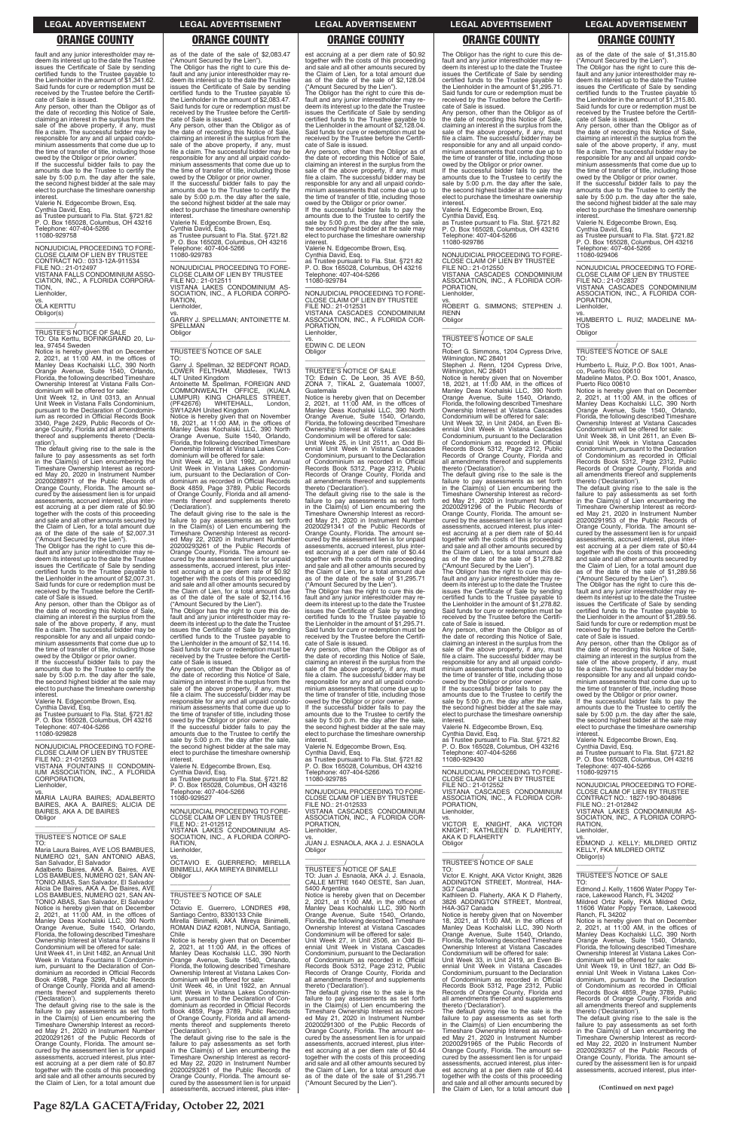### **LEGAL ADVERTISEMENT LEGAL ADVERTISEMENT LEGAL ADVERTISEMENT LEGAL ADVERTISEMENT LEGAL ADVERTISEMENT**

# **ORANGE COUNTY ORANGE COUNTY ORANGE COUNTY ORANGE COUNTY ORANGE COUNTY**

fault and any junior interestholder may redeem its interest up to the date the Trustee issues the Certificate of Sale by sending certified funds to the Trustee payable to the Lienholder in the amount of \$1,341.62. Said funds for cure or redemption must be received by the Trustee before the Certifi-cate of Sale is issued.

Any person, other than the Obligor as of the date of recording this Notice of Sale, claiming an interest in the surplus from the sale of the above property, if any, must file a claim. The successful bidder may be responsible for any and all unpaid condominium assessments that come due up to the time of transfer of title, including those owed by the Obligor or prior owner.

\_\_\_\_\_\_\_\_\_\_\_/ TRUSTEE'S NOTICE OF SALE TO: Ola Kerttu, BOFINKGRAND 20, Lu-

If the successful bidder fails to pay the amounts due to the Trustee to certify the sale by 5:00 p.m. the day after the sale, the second highest bidder at the sale may elect to purchase the timeshare ownership interest. Valerie N. Edgecombe Brown, Esq.

Cynthia David, Esq. as Trustee pursuant to Fla. Stat. §721.82 P. O. Box 165028, Columbus, OH 43216 Telephone: 407-404-5266 11080-929758

—————————————————— NONJUDICIAL PROCEEDING TO FORE-CLOSE CLAIM OF LIEN BY CONTRACT NO.: 0313-12A-911534 FILE NO.: 21-012497 VISTANA FALLS CONDOMINIUM ASSO-CIATION, INC., A FLORIDA CORPORA-**TION** Lienholder,

vs. OLA KERTTU

Obligor(s) \_\_\_\_\_\_\_\_\_\_\_\_\_\_\_\_\_\_\_\_\_\_\_\_\_\_\_\_\_\_\_\_\_

owed by the Obligor or prior owner. If the successful bidder fails to pay the amounts due to the Trustee to certify the sale by 5:00 p.m. the day after the sale, the second highest bidder at the sale may elect to purchase the timeshare ownership interest

lea, 97454 Sweden Notice is hereby given that on December 2, 2021, at 11:00 AM, in the offices of Manley Deas Kochalski LLC, 390 North Orange Avenue, Suite 1540, Orlando, Florida, the following described Timeshare Ownership Interest at Vistana Falls Con-dominium will be offered for sale:

Unit Week 12, in Unit 0313, an Annual Unit Week in Vistana Falls Condominium, pursuant to the Declaration of Condominium as recorded in Official Records Book 3340, Page 2429, Public Records of Or-ange County, Florida and all amendments thereof and supplements thereto ('Declaration').

vs. MARIA LAURA BAIRES; ADALBERTO BAIRES, AKA A. BAIRES; ALICIA DE BAIRES, AKA A. DE BAIRES **Obligor** 

The default giving rise to the sale is the failure to pay assessments as set forth in the Claim(s) of Lien encumbering the Timeshare Ownership Interest as recorded May 20, 2020 in Instrument Number 20200288971 of the Public Records of Orange County, Florida. The amount secured by the assessment lien is for unpaid assessments, accrued interest, plus inter-est accruing at a per diem rate of \$0.90 together with the costs of this proceeding and sale and all other amounts secured by the Claim of Lien, for a total amount due as of the date of the sale of \$2,007.31

("Amount Secured by the Lien"). The Obligor has the right to cure this default and any junior interestholder may redeem its interest up to the date the Trustee issues the Certificate of Sale by sending certified funds to the Trustee payable to the Lienholder in the amount of \$2,007.31. Said funds for cure or redemption must be received by the Trustee before the Certifi-

cate of Sale is issued. Any person, other than the Obligor as of the date of recording this Notice of Sale, claiming an interest in the surplus from the sale of the above property, if any, must file a claim. The successful bidder may be responsible for any and all unpaid condo-minium assessments that come due up to the time of transfer of title, including those

Valerie N. Edgecombe Brown, Esq.

Cynthia David, Esq. as Trustee pursuant to Fla. Stat. §721.82 P. O. Box 165028, Columbus, OH 43216 Telephone: 407-404-5266 11080-929828

—————————————————— NONJUDICIAL PROCEEDING TO FORE-CLOSE CLAIM OF LIEN BY TRUSTEE FILE NO.: 21-012503 VISTANA FOUNTAINS II CONDOMIN-IUM ASSOCIATION, INC., A FLORIDA CORPORATION,

Lienholder,

\_\_\_\_\_\_\_\_\_\_\_\_\_\_\_\_\_\_\_\_\_\_\_\_\_\_\_\_\_\_\_\_\_

as of the date of the sale of \$2,083.47 ("Amount Secured by the Lien"). The Obligor has the right to cure this default and any junior interestholder may re-deem its interest up to the date the Trustee issues the Certificate of Sale by sending certified funds to the Trustee payable to the Lienholder in the amount of \$2,083.47. Said funds for cure or redemption must be received by the Trustee before the Certifi-cate of Sale is issued. Any person, other than the Obligor as of<br>the date of recording this Notice of Sale the date of recording this Notice of Sale, claiming an interest in the surplus from the sale of the above property, if any, must file a claim. The successful bidder may be responsible for any and all unpaid condominium assessments that come due up to the time of transfer of title, including those owed by the Obligor or prior owner. If the successful bidder fails to pay the amounts due to the Trustee to certify the sale by 5:00 p.m. the day after the sale, the second highest bidder at the sale may elect to purchase the timeshare ownership interest. Valerie N. Edgecombe Brown, Esq. Cynthia David, Esq. as Trustee pursuant to Fla. Stat. §721.82 P. O. Box 165028, Columbus, OH 43216

Telephone: 407-404-5266 11080-929783

—————————————————— NONJUDICIAL PROCEEDING TO FORE-CLOSE CLAIM OF LIEN BY TRUSTEE FILE NO.: 21-012511 VISTANA LAKES CONDOMINIUM AS-SOCIATION, INC., A FLORIDA CORPOvs. GARRY J. SPELLMAN; ANTOINETTE M.

> The default giving rise to the sale is the failure to pay assessments as set forth in the Claim(s) of Lien encumbering the Timeshare Ownership Interest as recorded May 21, 2020 in Instrument Number 20200291341 of the Public Records of Orange County, Florida. The amount secured by the assessment lien is for unpaid assessments, accrued interest, plus interest accruing at a per diem rate of \$0.44 together with the costs of this proceeding and sale and all other amounts secured by the Claim of Lien, for a total amount due as of the date of the sale of \$1,295.71 ("Amount Secured by the Lien").

RATION, Lienholder,

SPELLMAN Obligor \_\_\_\_\_\_\_\_\_\_\_\_\_\_\_\_\_\_\_\_\_\_\_\_\_\_\_\_\_\_\_\_\_

\_\_\_\_\_\_\_\_\_\_\_/ TRUSTEE'S NOTICE OF SALE TO:

LOWI CH;<br>(PF42676) WHITEHALL,<br>SW1A2AH United Kingdom

Garry J. Spellman, 32 BEDFONT ROAD, LOWER FELTHAM, Middlesex, TW13

4LT United Kingdom<br>Antoinette M. Spellman, FOREIGN AND<br>COMMONWEALTH OFFICE, (KUALA<br>LUMPUR) KING CHARLES STREET,<br>(PF42676) WHITEHALL, London,

If the successful bidder fails to pay the amounts due to the Trustee to certify the sale by 5:00 p.m. the day after the sale, the second highest bidder at the sale may elect to purchase the timeshare ownership interest

Notice is hereby given that on November 18, 2021, at 11:00 AM, in the offices of Manley Deas Kochalski LLC, 390 North Orange Avenue, Suite 1540, Orlando, Florida, the following described Timeshare Ownership Interest at Vistana Lakes Condominium will be offered for sale: Unit Week 42, in Unit 1992, an Annual Unit Week in Vistana Lakes Condominium, pursuant to the Declaration of Condominium as recorded in Official Records Book 4859, Page 3789, Public Records of Orange County, Florida and all amendments thereof and supplements thereto

('Declaration').

**interest** 

The default giving rise to the sale is the failure to pay assessments as set forth in the Claim(s) of Lien encumbering the Timeshare Ownership Interest as recorded May 22, 2020 in Instrument Number 20200293261 of the Public Records of Orange County, Florida. The amount secured by the assessment lien is for unpaid assessments, accrued interest, plus interest accruing at a per diem rate of \$0.92 together with the costs of this proceeding and sale and all other amounts secured by

owed by the Obligor or prior owner. If the successful bidder fails to pay the amounts due to the Trustee to certify the sale by 5:00 p.m. the day after the sale, the second highest bidder at the sale may elect to purchase the timeshare ownership **interest** 

the Claim of Lien, for a total amount due as of the date of the sale of \$2,114.16 ("Amount Secured by the Lien"). The Obligor has the right to cure this default and any junior interestholder may re-deem its interest up to the date the Trustee issues the Certificate of Sale by sending certified funds to the Trustee payable to the Lienholder in the amount of \$2,114.16. Said funds for cure or redemption must be received by the Trustee before the Certifi-cate of Sale is issued. Any person, other than the Obligor as of the date of recording this Notice of Sale, claiming an interest in the surplus from the sale of the above property, if any, must file a claim. The successful bidder may be responsible for any and all unpaid condominium assessments that come due up to the time of transfer of title, including those owed by the Obligor or prior owner. If the successful bidder fails to pay the amounts due to the Trustee to certify the sale by 5:00 p.m. the day after the sale, the second highest bidder at the sale may elect to purchase the timeshare ownership

Valerie N. Edgecombe Brown, Esq. Cynthia David, Esq. as Trustee pursuant to Fla. Stat. §721.82 P. O. Box 165028, Columbus, OH 43216

Telephone: 407-404-5266 11080-929527

—————————————————— NONJUDICIAL PROCEEDING TO FORE-CLOSE CLAIM OF LIEN BY TRUSTEE

FILE NO.: 21-012512

The Obligor has the right to cure this default and any junior interestholder may re-deem its interest up to the date the Trustee issues the Certificate of Sale by sending certified funds to the Trustee payable to the Lienholder in the amount of \$1,278.82. Said funds for cure or redemption must be received by the Trustee before the Certifi-cate of Sale is issued.

est accruing at a per diem rate of \$0.92 together with the costs of this proceeding and sale and all other amounts secured by the Claim of Lien, for a total amount due as of the date of the sale of \$2,128.04

("Amount Secured by the Lien"). The Obligor has the right to cure this de-fault and any junior interestholder may redeem its interest up to the date the Trustee issues the Certificate of Sale by sending certified funds to the Trustee payable to the Lienholder in the amount of \$2,128.04. Said funds for cure or redemption must be received by the Trustee before the Certifi-

cate of Sale is issued. Any person, other than the Obligor as of the date of recording this Notice of Sale, claiming an interest in the surplus from the sale of the above property, if any, must file a claim. The successful bidder may be responsible for any and all unpaid condominium assessments that come due up to the time of transfer of title, including those owed by the Obligor or prior owner. If the successful bidder fails to pay the

amounts due to the Trustee to certify the sale by 5:00 p.m. the day after the sale the second highest bidder at the sale may elect to purchase the timeshare ownership interest.

Valerie N. Edgecombe Brown, Esq. Cynthia David, Esq.

as Trustee pursuant to Fla. Stat. §721.82 P. O. Box 165028, Columbus, OH 43216 Telephone: 407-404-5266 11080-929784

—————————————————— NONJUDICIAL PROCEEDING TO FORE-CLOSE CLAIM OF LIEN BY TRUSTEE FILE NO.: 21-012531 VISTANA CASCADES CONDOMINIUM ASSOCIATION, INC., A FLORIDA COR-PORATION, Lienholder,

vs. EDWIN C. DE LEON Obligor

\_\_\_\_\_\_\_\_\_\_\_\_\_\_\_\_\_\_\_\_\_\_\_\_\_\_\_\_\_\_\_\_\_

\_\_\_\_\_\_\_\_\_\_\_/ TRUSTEE'S NOTICE OF SALE TO: Edwin C. De Leon, 35 AVE 8-50, ZONA 7, TIKAL 2, Guatemala 10007, Guatemala

> owed by the Obligor or prior owner. If the successful bidder fails to pay the amounts due to the Trustee to certify the sale by 5:00 p.m. the day after the sale, the second highest bidder at the sale may elect to purchase the timeshare ownership interest

Notice is hereby given that on December 2, 2021, at 11:00 AM, in the offices of Manley Deas Kochalski LLC, 390 North Orange Avenue, Suite 1540, Orlando, Florida, the following described Timeshare Ownership Interest at Vistana Cascades Condominium will be offered for sale:

Unit Week 25, in Unit 2511, an Odd Bi-ennial Unit Week in Vistana Cascades Condominium, pursuant to the Declaration of Condominium as recorded in Official Records Book 5312, Page 2312, Public Records of Orange County, Florida and all amendments thereof and supplements thereto ('Declaration').

The Obligor has the right to cure this de-fault and any junior interestholder may re-deem its interest up to the date the Trustee issues the Certificate of Sale by sending certified funds to the Trustee payable to the Lienholder in the amount of \$1,295.71. Said funds for cure or redemption must be received by the Trustee before the Certifi-cate of Sale is issued.

Any person, other than the Obligor as of the date of recording this Notice of Sale, claiming an interest in the surplus from the sale of the above property, if any, must file a claim. The successful bidder may be responsible for any and all unpaid condominium assessments that come due up to the time of transfer of title, including those owed by the Obligor or prior owner.

Valerie N. Edgecombe Brown, Esq. Cynthia David, Esq. as Trustee pursuant to Fla. Stat. §721.82 P. O. Box 165028, Columbus, OH 43216 phone: 407-404-5266 11080-929785

—————————————————— NONJUDICIAL PROCEEDING TO FORE-CLOSE CLAIM OF LIEN BY TRUSTEE FILE NO.: 21-012533 VISTANA CASCADES CONDOMINIUM ASSOCIATION, INC., A FLORIDA COR-

PORATION,

|                                            | VISTANA LAKES CONDOMINIUM AS-              | Lienholder,                                | KNIGHT: KATHLEEN D. FLAHERTY.              | Lienholder,                                |
|--------------------------------------------|--------------------------------------------|--------------------------------------------|--------------------------------------------|--------------------------------------------|
| TRUSTEE'S NOTICE OF SALE                   | SOCIATION, INC., A FLORIDA CORPO-          | VS.                                        | AKA K D FLAHERTY                           |                                            |
| TO:                                        | RATION.                                    | JUAN J. ESNAOLA, AKA J. J. ESNAOLA         | Obligor                                    | EDMOND J. KELLY: MILDRED ORTIZ             |
| Maria Laura Baires, AVE LOS BAMBUES,       | Lienholder,                                | Obligor                                    |                                            | KELLY, FKA MILDRED ORTIZ                   |
| NUMERO 021. SAN ANTONIO ABAS.              | VS.                                        |                                            |                                            | Obligor(s)                                 |
| San Salvador, El Salvador                  | OCTAVIO E. GUERRERO: MIRELLA               |                                            | TRUSTEE'S NOTICE OF SALE                   |                                            |
| Adalberto Baires, AKA A. Baires, AVE       | BINIMELLI, AKA MIREYA BINIMELLI            | <b>TRUSTEE'S NOTICE OF SALE</b>            | TO:                                        |                                            |
| LOS BAMBUES, NUMERO 021, SAN AN-           | Obligor                                    | TO: Juan J. Esnaola, AKA J. J. Esnaola,    | Victor E. Knight, AKA Victor Knight, 3826  | TRUSTEE'S NOTICE OF SALE                   |
| TONIO ABAS, San Salvador, El Salvador      |                                            | CALLE MITRE 1640 OESTE, San Juan,          | ADDINGTON STREET, Montreal, H4A-           | TO:                                        |
| Alicia De Baires, AKA A. De Baires, AVE    |                                            | 5400 Argentina                             | 3G7 Canada                                 | Edmond J. Kelly, 11606 Water Poppy Ter-    |
| LOS BAMBUES. NUMERO 021, SAN AN-           | TRUSTEE'S NOTICE OF SALE                   | Notice is hereby given that on December    | Kathleen D. Flaherty, AKA K D Flaherty,    | race, Lakewood Ranch, FL 34202             |
| TONIO ABAS, San Salvador, El Salvador      | TO:                                        | 2, 2021, at $11:00$ AM, in the offices of  | 3826 ADDINGTON STREET. Montreal.           | Mildred Ortiz Kelly, FKA Mildred Ortiz,    |
|                                            | Octavio E. Guerrero. LONDRES #98.          | Manley Deas Kochalski LLC, 390 North       | H4A-3G7 Canada                             | 11606 Water Poppy Terrace, Lakewood        |
| Notice is hereby given that on December    |                                            |                                            |                                            |                                            |
| 2. 2021. at $11:00$ AM. in the offices of  | Santiago Centro, 8330133 Chile             | Orange Avenue, Suite 1540, Orlando,        | Notice is hereby given that on November    | Ranch, FL 34202                            |
| Manley Deas Kochalski LLC, 390 North       | Mirella Binimelli, AKA Mireya Binimelli,   | Florida, the following described Timeshare | 18, 2021, at $11:00$ AM, in the offices of | Notice is hereby given that on December    |
| Orange Avenue, Suite 1540, Orlando,        | ROMAN DIAZ #2081, NUNOA, Santiago,         | Ownership Interest at Vistana Cascades     | Manley Deas Kochalski LLC, 390 North       | 2. 2021. at 11:00 AM, in the offices of    |
| Florida, the following described Timeshare | Chile                                      | Condominium will be offered for sale:      | Orange Avenue, Suite 1540, Orlando,        | Manley Deas Kochalski LLC, 390 North       |
| Ownership Interest at Vistana Fountains II | Notice is hereby given that on December    | Unit Week 27, in Unit 2506, an Odd Bi-     | Florida, the following described Timeshare | Orange Avenue, Suite 1540, Orlando,        |
| Condominium will be offered for sale:      | 2, 2021, at 11:00 AM, in the offices of    | ennial Unit Week in Vistana Cascades       | Ownership Interest at Vistana Cascades     | Florida, the following described Timeshare |
| Unit Week 41, in Unit 1482, an Annual Unit | Manley Deas Kochalski LLC, 390 North       | Condominium, pursuant to the Declaration   | Condominium will be offered for sale:      | Ownership Interest at Vistana Lakes Con-   |
| Week in Vistana Fountains II Condomin-     | Orange Avenue, Suite 1540, Orlando,        | of Condominium as recorded in Official     | Unit Week 33, in Unit 2419, an Even Bi-    | dominium will be offered for sale:         |
| ium, pursuant to the Declaration of Con-   | Florida, the following described Timeshare | Records Book 5312, Page 2312, Public       | ennial Unit Week in Vistana Cascades       | Unit Week 19, in Unit 1827, an Odd Bi-     |
| dominium as recorded in Official Records   | Ownership Interest at Vistana Lakes Con-   | Records of Orange County, Florida and      | Condominium, pursuant to the Declaration   | ennial Unit Week in Vistana Lakes Con-     |
| Book 4598, Page 3299, Public Records       | dominium will be offered for sale:         | all amendments thereof and supplements     | of Condominium as recorded in Official     | dominium, pursuant to the Declaration      |
| of Orange County, Florida and all amend-   | Unit Week 46, in Unit 1922, an Annual      | thereto ('Declaration').                   | Records Book 5312, Page 2312, Public       | of Condominium as recorded in Official     |
| ments thereof and supplements thereto      | Unit Week in Vistana Lakes Condomin-       | The default giving rise to the sale is the | Records of Orange County, Florida and      | Records Book 4859, Page 3789, Public       |
| ('Declaration').                           | ium, pursuant to the Declaration of Con-   | failure to pay assessments as set forth    | all amendments thereof and supplements     | Records of Orange County, Florida and      |
| The default giving rise to the sale is the | dominium as recorded in Official Records   | in the Claim(s) of Lien encumbering the    | thereto ('Declaration').                   | all amendments thereof and supplements     |
| failure to pay assessments as set forth    | Book 4859, Page 3789, Public Records       | Timeshare Ownership Interest as record-    | The default giving rise to the sale is the | thereto ('Declaration').                   |
| in the Claim(s) of Lien encumbering the    | of Orange County, Florida and all amend-   | ed May 21, 2020 in Instrument Number       | failure to pay assessments as set forth    | The default giving rise to the sale is the |
| Timeshare Ownership Interest as record-    | ments thereof and supplements thereto      | 20200291300 of the Public Records of       | in the Claim(s) of Lien encumbering the    | failure to pay assessments as set forth    |
| ed May 21, 2020 in Instrument Number       | ('Declaration').                           | Orange County, Florida. The amount se-     | Timeshare Ownership Interest as record-    | in the Claim(s) of Lien encumbering the    |
| 20200291261 of the Public Records of       | The default giving rise to the sale is the | cured by the assessment lien is for unpaid | ed May 21, 2020 in Instrument Number       | Timeshare Ownership Interest as record-    |
| Orange County, Florida. The amount se-     | failure to pay assessments as set forth    | assessments, accrued interest, plus inter- | 20200291965 of the Public Records of       | ed May 22, 2020 in Instrument Number       |
| cured by the assessment lien is for unpaid | in the Claim(s) of Lien encumbering the    | est accruing at a per diem rate of \$0.44  | Orange County, Florida. The amount se-     | 20200293257 of the Public Records of       |
| assessments, accrued interest, plus inter- | Timeshare Ownership Interest as record-    | together with the costs of this proceeding | cured by the assessment lien is for unpaid | Orange County, Florida. The amount se-     |
| est accruing at a per diem rate of \$0.87  | ed May 22, 2020 in Instrument Number       | and sale and all other amounts secured by  | assessments, accrued interest, plus inter- | cured by the assessment lien is for unpaid |
| together with the costs of this proceeding | 20200293261 of the Public Records of       | the Claim of Lien, for a total amount due  | est accruing at a per diem rate of \$0.44  | assessments, accrued interest, plus inter- |
| and sale and all other amounts secured by  | Orange County, Florida. The amount se-     | as of the date of the sale of \$1,295.71   | together with the costs of this proceeding |                                            |
| the Claim of Lien, for a total amount due  | cured by the assessment lien is for unpaid | ("Amount Secured by the Lien").            | and sale and all other amounts secured by  |                                            |
|                                            | assessments, accrued interest, plus inter- |                                            | the Claim of Lien, for a total amount due  | (Continued on next page)                   |
|                                            |                                            |                                            |                                            |                                            |
|                                            |                                            |                                            |                                            |                                            |

The Obligor has the right to cure this de-fault and any junior interestholder may redeem its interest up to the date the Trustee issues the Certificate of Sale by sending certified funds to the Trustee payable to the Lienholder in the amount of \$1,295.71. Said funds for cure or redemption must be received by the Trustee before the Certificate of Sale is issued.

Any person, other than the Obligor as of the date of recording this Notice of Sale, claiming an interest in the surplus from the sale of the above property, if any, must file a claim. The successful bidder may be responsible for any and all unpaid condominium assessments that come due up to the time of transfer of title, including those

Valerie N. Edgecombe Brown, Esq. Cynthia David, Esq.

as Trustee pursuant to Fla. Stat. §721.82 P. O. Box 165028, Columbus, OH 43216 Telephone: 407-404-5266 11080-929786

—————————————————— NONJUDICIAL PROCEEDING TO FORE-CLOSE CLAIM OF LIEN BY TRUSTEE FILE NO.: 21-012550 VISTANA CASCADES CONDOMINIUM ASSOCIATION, INC., A FLORIDA COR-PORATION, Lienholder,

vs. ROBERT G. SIMMONS; STEPHEN J. RENN **Obligor** \_\_\_\_\_\_\_\_\_\_\_\_\_\_\_\_\_\_\_\_\_\_\_\_\_\_\_\_\_\_\_\_\_

# \_\_\_\_\_\_\_\_\_\_\_/ TRUSTEE'S NOTICE OF SALE

TO: Robert G. Simmons, 1204 Cypress Drive, Wilmington, NC 28401 Stephen J. Renn, 1204 Cypress Drive,

Wilmington, NC 28401 Notice is hereby given that on November 18, 2021, at 11:00 AM, in the offices of Manley Deas Kochalski LLC, 390 North Orange Avenue, Suite 1540, Orlando, Florida, the following described Timeshare Ownership Interest at Vistana Cascades Condominium will be offered for sale:

Unit Week 32, in Unit 2404, an Even Bi-ennial Unit Week in Vistana Cascades Condominium, pursuant to the Declaration of Condominium as recorded in Official Records Book 5312, Page 2312, Public Records of Orange County, Florida and all amendments thereof and supplements thereto ('Declaration').

The default giving rise to the sale is the failure to pay assessments as set forth in the Claim(s) of Lien encumbering the Timeshare Ownership Interest as record-ed May 21, 2020 in Instrument Number 20200291296 of the Public Records of Orange County, Florida. The amount secured by the assessment lien is for unpaid assessments, accrued interest, plus interest accruing at a per diem rate of \$0.44 together with the costs of this proceeding and sale and all other amounts secured by the Claim of Lien, for a total amount due as of the date of the sale of \$1,278.82 ("Amount Secured by the Lien").

Any person, other than the Obligor as of the date of recording this Notice of Sale, claiming an interest in the surplus from the sale of the above property, if any, must file a claim. The successful bidder may be responsible for any and all unpaid condominium assessments that come due up to the time of transfer of title, including those owed by the Obligor or prior owner.

If the successful bidder fails to pay the amounts due to the Trustee to certify the sale by 5:00 p.m. the day after the sale, the second highest bidder at the sale may elect to purchase the timeshare ownership interest.

Valerie N. Edgecombe Brown, Esq.

Cynthia David, Esq. as Trustee pursuant to Fla. Stat. §721.82 P. O. Box 165028, Columbus, OH 43216 : 407-404-5266 11080-929430

—————————————————— NONJUDICIAL PROCEEDING TO FORE-CLOSE CLAIM OF LIEN BY TRUSTEE FILE NO.: 21-012552

VISTANA CASCADES CONDOMINIUM ASSOCIATION, INC., A FLORIDA COR-PORATION, Lienholder,

vs. VICTOR E. KNIGHT, AKA VICTOR KNIGHT; KATHLEEN D. FLAHERTY,

as of the date of the sale of \$1,315.80 ("Amount Secured by the Lien"). The Obligor has the right to cure this default and any junior interestholder may re-deem its interest up to the date the Trustee issues the Certificate of Sale by sending certified funds to the Trustee payable to the Lienholder in the amount of \$1,315.80. Said funds for cure or redemption must be

received by the Trustee before the Certifi-cate of Sale is issued. Any person, other than the Obligor as of the date of recording this Notice of Sale, claiming an interest in the surplus from the sale of the above property, if any, must file a claim. The successful bidder may be responsible for any and all unpaid condominium assessments that come due up to the time of transfer of title, including those owed by the Obligor or prior owner.

If the successful bidder fails to pay the amounts due to the Trustee to certify the sale by 5:00 p.m. the day after the sale, the second highest bidder at the sale may elect to purchase the timeshare ownership

interest. Valerie N. Edgecombe Brown, Esq. Cynthia David, Esq. as Trustee pursuant to Fla. Stat. §721.82 P. O. Box 165028, Columbus, OH 43216 Telephone: 407-404-5266 11080-929406

—————————————————— NONJUDICIAL PROCEEDING TO FORE-CLOSE CLAIM OF LIEN BY TRUSTEE FILE NO.: 21-012837

VISTANA CASCADES CONDOMINIUM ASSOCIATION, INC., A FLORIDA COR-PORATION, Lienholder,

vs. HUMBERTO L. RUIZ; MADELINE MA-TOS **Obligor** \_\_\_\_\_\_\_\_\_\_\_\_\_\_\_\_\_\_\_\_\_\_\_\_\_\_\_\_\_\_\_\_\_

\_\_\_\_\_\_\_\_\_\_\_/ TRUSTEE'S NOTICE OF SALE

TO: Humberto L. Ruiz, P.O. Box 1001, Anasco, Puerto Rico 00610 Madeline Matos, P.O. Box 1001, Anasco,

Puerto Rico 00610 Notice is hereby given that on December 2, 2021, at 11:00 AM, in the offices of Manley Deas Kochalski LLC, 390 North Orange Avenue, Suite 1540, Orlando, Florida, the following described Timeshare Ownership Interest at Vistana Cascades Condominium will be offered for sale:

Unit Week 38, in Unit 2611, an Even Biennial Unit Week in Vistana Cascades Condominium, pursuant to the Declaration of Condominium as recorded in Official Records Book 5312, Page 2312, Public Records of Orange County, Florida and all amendments thereof and supplements thereto ('Declaration').

The default giving rise to the sale is the failure to pay assessments as set forth in the Claim(s) of Lien encumbering the Timeshare Ownership Interest as recorded May 21, 2020 in Instrument Number 20200291953 of the Public Records of Orange County, Florida. The amount secured by the assessment lien is for unpaid assessments, accrued interest, plus inter-est accruing at a per diem rate of \$0.44 together with the costs of this proceeding and sale and all other amounts secured by the Claim of Lien, for a total amount due as of the date of the sale of \$1,289.56

("Amount Secured by the Lien"). The Obligor has the right to cure this default and any junior interestholder may redeem its interest up to the date the Trustee issues the Certificate of Sale by sending certified funds to the Trustee payable to the Lienholder in the amount of \$1,289.56. Said funds for cure or redemption must be received by the Trustee before the Certifi-

cate of Sale is issued. Any person, other than the Obligor as of the date of recording this Notice of Sale, claiming an interest in the surplus from the sale of the above property, if any, must file a claim. The successful bidder may be responsible for any and all unpaid condo-minium assessments that come due up to the time of transfer of title, including those

Valerie N. Edgecombe Brown, Esq.

Cynthia David, Esq. as Trustee pursuant to Fla. Stat. §721.82 P. O. Box 165028, Columbus, OH 43216 Telephone: 407-404-5266 11080-929715

—————————————————— NONJUDICIAL PROCEEDING TO FORE-CLOSE CLAIM OF LIEN BY TRUSTEE CONTRACT NO.: 1827-19O-804896

FILE NO.: 21-012842 VISTANA LAKES CONDOMINIUM AS-SOCIATION, INC., A FLORIDA CORPO-RATION,

**Page 82/LA GACETA/Friday, October 22, 2021**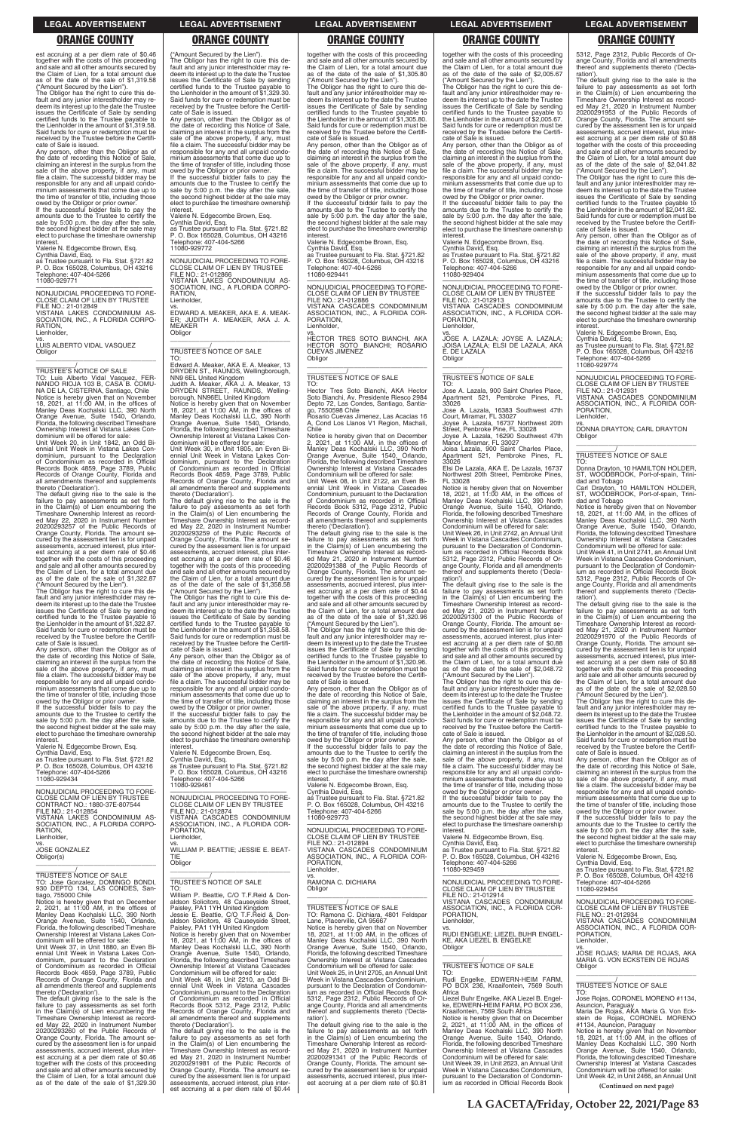### **LEGAL ADVERTISEMENT LEGAL ADVERTISEMENT LEGAL ADVERTISEMENT LEGAL ADVERTISEMENT LEGAL ADVERTISEMENT**

### **ORANGE COUNTY ORANGE COUNTY ORANGE COUNTY ORANGE COUNTY ORANGE COUNTY**

est accruing at a per diem rate of \$0.46 together with the costs of this proceeding and sale and all other amounts secured by the Claim of Lien, for a total amount due as of the date of the sale of \$1,319.58 ("Amount Secured by the Lien").

The Obligor has the right to cure this de-fault and any junior interestholder may redeem its interest up to the date the Trustee issues the Certificate of Sale by sending certified funds to the Trustee payable to the Lienholder in the amount of \$1,319.58. Said funds for cure or redemption must be received by the Trustee before the Certificate of Sale is issued.

Any person, other than the Obligor as of the date of recording this Notice of Sale, claiming an interest in the surplus from the sale of the above property, if any, must file a claim. The successful bidder may be responsible for any and all unpaid condo-minium assessments that come due up to the time of transfer of title, including those

owed by the Obligor or prior owner. If the successful bidder fails to pay the amounts due to the Trustee to certify the sale by 5:00 p.m. the day after the sale, the second highest bidder at the sale may elect to purchase the timeshare ownership interest.

Valerie N. Edgecombe Brown, Esq. Cynthia David, Esq. as Trustee pursuant to Fla. Stat. §721.82 P. O. Box 165028, Columbus, OH 43216 Telephone: 407-404-5266

# 11080-929771

—————————————————— NONJUDICIAL PROCEEDING TO FORE-CLOSE CLAIM OF LIEN BY TRUSTEE FILE NO.: 21-012849 VISTANA LAKES CONDOMINIUM AS-SOCIATION, INC., A FLORIDA CORPO-**RATION** Lienholder,

vs. LUIS ALBERTO VIDAL VASQUEZ **Obligor** \_\_\_\_\_\_\_\_\_\_\_\_\_\_\_\_\_\_\_\_\_\_\_\_\_\_\_\_\_\_\_\_\_

# \_\_\_\_\_\_\_\_\_\_\_/ TRUSTEE'S NOTICE OF SALE

TO: Luis Alberto Vidal Vasquez, FER-NANDO RIOJA 103 B, CASA B. COMU-NA DE LA, CISTERNA, Santiago, Chile Notice is hereby given that on November 18, 2021, at 11:00 AM, in the offices of Manley Deas Kochalski LLC, 390 North Orange Avenue, Suite 1540, Orlando, Florida, the following described Timeshare Ownership Interest at Vistana Lakes Condominium will be offered for sale:

Unit Week 20, in Unit 1842, an Odd Bi-ennial Unit Week in Vistana Lakes Condominium, pursuant to the Declaration of Condominium as recorded in Official Records Book 4859, Page 3789, Public Records of Orange County, Florida and all amendments thereof and supplements thereto ('Declaration').

The default giving rise to the sale is the failure to pay assessments as set forth in the Claim(s) of Lien encumbering the Timeshare Ownership Interest as recorded May 22, 2020 in Instrument Number 20200293257 of the Public Records of Orange County, Florida. The amount se-cured by the assessment lien is for unpaid assessments, accrued interest, plus interest accruing at a per diem rate of \$0.46 together with the costs of this proceeding and sale and all other amounts secured by the Claim of Lien, for a total amount due as of the date of the sale of \$1,322.87 ("Amount Secured by the Lien").

The Obligor has the right to cure this de-fault and any junior interestholder may re-deem its interest up to the date the Trustee issues the Certificate of Sale by sending certified funds to the Trustee payable to the Lienholder in the amount of \$1,322.87. Said funds for cure or redemption must be received by the Trustee before the Certifi-cate of Sale is issued.

MEAKER **Obligor** 

Any person, other than the Obligor as of the date of recording this Notice of Sale, claiming an interest in the surplus from the sale of the above property, if any, must file a claim. The successful bidder may be responsible for any and all unpaid condominium assessments that come due up to the time of transfer of title, including those owed by the Obligor or prior owner.

If the successful bidder fails to pay the amounts due to the Trustee to certify the sale by 5:00 p.m. the day after the sale, the second highest bidder at the sale may elect to purchase the timeshare ownership

interest. Valerie N. Edgecombe Brown, Esq. Cynthia David, Esq. as Trustee pursuant to Fla. Stat. §721.82

P. O. Box 165028, Columbus, OH 43216 Telephone: 407-404-5266 11080-929434

—————————————————— NONJUDICIAL PROCEEDING TO FORE-CLOSE CLAIM OF LIEN BY CONTRACT NO.: 1880-37E-807544 FILE NO.: 21-012854 VISTANA LAKES CONDOMINIUM AS-SOCIATION, INC., A FLORIDA CORPO-RATION,

("Amount Secured by the Lien"). The Obligor has the right to cure this default and any junior interestholder may redeem its interest up to the date the Trustee issues the Certificate of Sale by sending certified funds to the Trustee payable to the Lienholder in the amount of \$1,329.30. Said funds for cure or redemption must be received by the Trustee before the Certificate of Sale is issued. Any person, other than the Obligor as of

the date of recording this Notice of Sale,<br>claiming an interest in the surplus from the<br>sale of the above property, if any, must<br>file a claim. The successful bidder may be

Hector Tres Soto Bianchi, AKA Hector Soto Bianchi, Av. Presidente Riesco 2984 Depto 72, Las Condes, Santiago, Santiago, 7550598 Chile

Rosario Cuevas Jimenez, Las Acacias 16 Cond Los Llanos V1 Region, Machali, A, Co

responsible for any and all unpaid condo-minium assessments that come due up to the time of transfer of title, including those owed by the Obligor or prior owner. If the successful bidder fails to pay the amounts due to the Trustee to certify the sale by 5:00 p.m. the day after the sale, the second highest bidder at the sale may elect to purchase the timeshare ownership

Valerie N. Edgecombe Brown, Esq. Cynthia David, Esq. as Trustee pursuant to Fla. Stat. §721.82 P. O. Box 165028, Columbus, OH 43216

Telephone: 407-404-5266

11080-929772

—————————————————— NONJUDICIAL PROCEEDING TO FORE-CLOSE CLAIM OF LIEN BY TRUSTEE

FILE NO.: 21-012866

interest

VISTANA LAKES CONDOMINIUM AS-SOCIATION, INC., A FLORIDA CORPO-

RATION, Lienholder,

vs. EDWARD A. MEAKER, AKA E. A. MEAK-ER; JUDITH A. MEAKER, AKA J. A.

\_\_\_\_\_\_\_\_\_\_\_\_\_\_\_\_\_\_\_\_\_\_\_\_\_\_\_\_\_\_\_\_\_ \_\_\_\_\_\_\_\_\_\_\_/ TRUSTEE'S NOTICE OF SALE

TO:

Edward A. Meaker, AKA E. A. Meaker, 13 DRYDEN ST., RAUNDS, Wellingborough, NN9 6EL United Kingdom Judith A. Meaker, AKA J. A. Meaker, 13 DRYDEN STREET, RAUNDS, Welling-

borough, NN96EL United Kingdom<br>Notice is hereby given that on November<br>18, 2021, at 11:00 AM, in the offices of<br>Manley Deas Kochalski LLC, 390 North<br>Orange Avenue, Suite 1540, Orlando,<br>Florida, the following described Time

Ownership Interest at Vistana Lakes Condominium will be offered for sale: Unit Week 30, in Unit 1805, an Even Biennial Unit Week in Vistana Lakes Condominium, pursuant to the Declaration of Condominium as recorded in Official Records Book 4859, Page 3789, Public Records of Orange County, Florida and all amendments thereof and supplements

thereto ('Declaration').

The default giving rise to the sale is the failure to pay assessments as set forth in the Claim(s) of Lien encumbering the Timeshare Ownership Interest as record-ed May 22, 2020 in Instrument Number 20200293259 of the Public Records of Orange County, Florida. The amount se-cured by the assessment lien is for unpaid assessments, accrued interest, plus interest accruing at a per diem rate of \$0.46 together with the costs of this proceeding and sale and all other amounts secured by the Claim of Lien, for a total amount due as of the date of the sale of \$1,358.58 ("Amount Secured by the Lien"). The Obligor has the right to cure this de-fault and any junior interestholder may redeem its interest up to the date the Trustee issues the Certificate of Sale by sending certified funds to the Trustee payable to the Lienholder in the amount of \$1,358.58. Said funds for cure or redemption must be received by the Trustee before the Certifi-

cate of Sale is issued.

NON IUDICIAL PROCEEDING TO FORE-NONJUDICIAL PROCEEDING TO FORE-CLOSE CLAIM OF LIEN BY TRUSTEE FILE NO.: 21-012913 VISTANA CASCADES CONDOMINIUM ASSOCIATION, INC., A FLORIDA COR-

vs.<br>JOSE A. LAZALA; JOYSE A. LAZALA;<br>JOISA LAZALA; ELSI DE LAZALA, AKA<br>E. DE LAZALA

Any person, other than the Obligor as of the date of recording this Notice of Sale, claiming an interest in the surplus from the sale of the above property, if any, must file a claim. The successful bidder may be responsible for any and all unpaid condo-minium assessments that come due up to the time of transfer of title, including those

owed by the Obligor or prior owner. If the successful bidder fails to pay the amounts due to the Trustee to certify the sale by 5:00 p.m. the day after the sale, the second highest bidder at the sale may elect to purchase the timeshare ownership

interest.

Valerie N. Edgecombe Brown, Esq. Cynthia David, Esq. as Trustee pursuant to Fla. Stat. §721.82 P. O. Box 165028, Columbus, OH 43216 Telephone: 407-404-5266

11080-929461

—————————————————— NONJUDICIAL PROCEEDING TO FORE-CLOSE CLAIM OF LIEN BY TRUSTEE

FILE NO.: 21-012874

VISTANA CASCADES CONDOMINIUM ASSOCIATION, INC., A FLORIDA COR-

5312, Page 2312, Public Records of Or-ange County, Florida and all amendments thereof and supplements thereto ('Declaration'<sub>)</sub>

together with the costs of this proceeding and sale and all other amounts secured by the Claim of Lien, for a total amount due as of the date of the sale of \$1,305.80 ("Amount Secured by the Lien"). The Obligor has the right to cure this de-

fault and any junior interestholder may re-deem its interest up to the date the Trustee issues the Certificate of Sale by sending certified funds to the Trustee payable to the Lienholder in the amount of \$1,305.80. Said funds for cure or redemption must be received by the Trustee before the Certifi-cate of Sale is issued.

> the date of recording this Notice of Sale,<br>claiming an interest in the surplus from the<br>sale of the above property, if any, must<br>file a claim. The successful bidder may be responsible for any and all unpaid condo-minium assessments that come due up to the time of transfer of title, including those

Any person, other than the Obligor as of the date of recording this Notice of Sale, claiming an interest in the surplus from the sale of the above property, if any, must file a claim. The successful bidder may be responsible for any and all unpaid condominium assessments that come due up to the time of transfer of title, including those owed by the Obligor or prior owner. If the successful bidder fails to pay the

> TO: Donna Drayton, 10 HAMILTON HOLDER, ST, WOODBROOK, Port-of-spain, Trini-

amounts due to the Trustee to certify the sale by 5:00 p.m. the day after the sale, the second highest bidder at the sale may elect to purchase the timeshare ownership interest. Valerie N. Edgecombe Brown, Esq.

Cynthia David, Esq. as Trustee pursuant to Fla. Stat. §721.82 P. O. Box 165028, Columbus, OH 43216 Telephone: 407-404-5266 11080-929441

—————————————————— NONJUDICIAL PROCEEDING TO FORE-CLOSE CLAIM OF LIEN BY TRUSTEE FILE NO.: 21-012886 VISTANA CASCADES CONDOMINIUM ASSOCIATION, INC., A FLORIDA COR-PORATION, Lienholder,

vs. HECTOR TRES SOTO BIANCHI, AKA HECTOR SOTO BIANCHI; ROSARIO CUEVAS JIMENEZ Obligor \_\_\_\_\_\_\_\_\_\_\_\_\_\_\_\_\_\_\_\_\_\_\_\_\_\_\_\_\_\_\_\_\_

\_\_\_\_\_\_\_\_\_\_\_/ TRUSTEE'S NOTICE OF SALE TO:

Notice is hereby given that on December 2, 2021, at 11:00 AM, in the offices of Manley Deas Kochalski LLC, 390 North Orange Avenue, Suite 1540, Orlando, Florida, the following described Timeshare Ownership Interest at Vistana Cascades Condominium will be offered for sale:

Unit Week 08, in Unit 2122, an Even Bi-ennial Unit Week in Vistana Cascades of Condominium as recorded in Official Records Book 5312, Page 2312, Public Records of Orange County, Florida and all amendments thereof and supplements

Condominium, pursuant to the Declaration thereto ('Declaration').

The default giving rise to the sale is the failure to pay assessments as set forth in the Claim(s) of Lien encumbering the Timeshare Ownership Interest as recorded May 21, 2020 in Instrument Number 20200291388 of the Public Records of Orange County, Florida. The amount secured by the assessment lien is for unpaid assessments, accrued interest, plus interest accruing at a per diem rate of \$0.44 together with the costs of this proceeding and sale and all other amounts secured by

the Claim of Lien, for a total amount due as of the date of the sale of \$1,320.96 ("Amount Secured by the Lien").

fault and any junior interestholder may re-deem its interest up to the date the Trustee certified funds to the Trustee payable to the Lienholder in the amount of \$1,320.96.

The Obligor has the right to cure this deissues the Certificate of Sale by sending Said funds for cure or redemption must be received by the Trustee before the Certifi-cate of Sale is issued.

Any person, other than the Obligor as of the date of recording this Notice of Sale, claiming an interest in the surplus from the sale of the above property, if any, must file a claim. The successful bidder may be responsible for any and all unpaid condominium assessments that come due up to

the time of transfer of title, including those

owed by the Obligor or prior owner.

If the successful bidder fails to pay the amounts due to the Trustee to certify the sale by 5:00 p.m. the day after the sale, the second highest bidder at the sale may elect to purchase the timeshare ownership

interest. Valerie N. Edgecombe Brown, Esq.

Cynthia David, Esq. as Trustee pursuant to Fla. Stat. §721.82 11080-929773

P. O. Box 165028, Columbus, OH 43216 Telephone: 407-404-5266

—————————————————— NONJUDICIAL PROCEEDING TO FORE-

| RATION,<br>Lienholder,<br>VS.<br><b>JOSE GONZALEZ</b><br>Obligor(s)                                                                                                                                                                                                                                                                                                                                                                                                                                                                                                                                                                                                                                      | PORATION,<br>Lienholder,<br>VS.<br>WILLIAM P. BEATTIE: JESSIE E. BEAT-<br><b>TIE</b><br>Obligor                                                                                                                                                                                                                                                                                                                                                                                                                                                                                                                                                                                                                                     | NONJUDICIAL PROCEEDING TO FORE-<br>CLOSE CLAIM OF LIEN BY TRUSTEE<br>FILE NO.: 21-012894<br>VISTANA CASCADES CONDOMINIUM<br>ASSOCIATION, INC., A FLORIDA COR-<br>PORATION.<br>Lienholder.                                                                                                                                                                                                                                                                                                                                                                                                                                                                                            | interest.<br>Valerie N. Edgecombe Brown, Esg.<br>Cynthia David, Esq.<br>as Trustee pursuant to Fla. Stat. §721.82<br>P. O. Box 165028, Columbus, OH 43216<br>Telephone: 407-404-5266<br>11080-929459                                                                                                                                                                                                                                                                                                                                                                                                                                                     | sale by 5:00 p.m. the day after the sale,<br>the second highest bidder at the sale may<br>elect to purchase the timeshare ownership<br>interest.<br>Valerie N. Edgecombe Brown, Esq.<br>Cynthia David, Esg.<br>as Trustee pursuant to Fla. Stat. §721.82                                                                                                                                                                                                                                                                                                |
|----------------------------------------------------------------------------------------------------------------------------------------------------------------------------------------------------------------------------------------------------------------------------------------------------------------------------------------------------------------------------------------------------------------------------------------------------------------------------------------------------------------------------------------------------------------------------------------------------------------------------------------------------------------------------------------------------------|-------------------------------------------------------------------------------------------------------------------------------------------------------------------------------------------------------------------------------------------------------------------------------------------------------------------------------------------------------------------------------------------------------------------------------------------------------------------------------------------------------------------------------------------------------------------------------------------------------------------------------------------------------------------------------------------------------------------------------------|--------------------------------------------------------------------------------------------------------------------------------------------------------------------------------------------------------------------------------------------------------------------------------------------------------------------------------------------------------------------------------------------------------------------------------------------------------------------------------------------------------------------------------------------------------------------------------------------------------------------------------------------------------------------------------------|----------------------------------------------------------------------------------------------------------------------------------------------------------------------------------------------------------------------------------------------------------------------------------------------------------------------------------------------------------------------------------------------------------------------------------------------------------------------------------------------------------------------------------------------------------------------------------------------------------------------------------------------------------|---------------------------------------------------------------------------------------------------------------------------------------------------------------------------------------------------------------------------------------------------------------------------------------------------------------------------------------------------------------------------------------------------------------------------------------------------------------------------------------------------------------------------------------------------------|
| TRUSTEE'S NOTICE OF SALE<br>TO: Jose Gonzalez, DOMINGO BONDI,<br>930 DEPTO 134, LAS CONDES, San-<br>tiago, 755000 Chile                                                                                                                                                                                                                                                                                                                                                                                                                                                                                                                                                                                  | <b>TRUSTEE'S NOTICE OF SALE</b><br>TO:<br>William P. Beattie, C/O T.F.Reid & Don-                                                                                                                                                                                                                                                                                                                                                                                                                                                                                                                                                                                                                                                   | RAMONA C. DICHIARA<br>Obligor                                                                                                                                                                                                                                                                                                                                                                                                                                                                                                                                                                                                                                                        | NONJUDICIAL PROCEEDING TO FORE-<br>CLOSE CLAIM OF LIEN BY TRUSTEE<br>FILE NO.: 21-012914                                                                                                                                                                                                                                                                                                                                                                                                                                                                                                                                                                 | P. O. Box 165028, Columbus, OH 43216<br>Telephone: 407-404-5266<br>11080-929454                                                                                                                                                                                                                                                                                                                                                                                                                                                                         |
| Notice is hereby given that on December<br>2. 2021. at 11:00 AM. in the offices of<br>Manley Deas Kochalski LLC, 390 North<br>Orange Avenue, Suite 1540, Orlando,<br>Florida, the following described Timeshare<br>Ownership Interest at Vistana Lakes Con-<br>dominium will be offered for sale:<br>Unit Week 37, in Unit 1880, an Even Bi-<br>ennial Unit Week in Vistana Lakes Con-<br>dominium, pursuant to the Declaration<br>of Condominium as recorded in Official<br>Records Book 4859, Page 3789, Public<br>Records of Orange County, Florida and                                                                                                                                               | aldson Solicitors, 48 Causeyside Street,<br>Paisley, PA1 1YH United Kingdom<br>Jessie E. Beattie. C/O T.F. Reid & Don-<br>aldson Solicitors, 48 Causeyside Street,<br>Paisley, PA1 1YH United Kingdom<br>Notice is hereby given that on November<br>18, 2021, at $11:00$ AM, in the offices of<br>Manley Deas Kochalski LLC, 390 North<br>Orange Avenue, Suite 1540, Orlando,<br>Florida, the following described Timeshare<br>Ownership Interest at Vistana Cascades<br>Condominium will be offered for sale:<br>Unit Week 48, in Unit 2210, an Odd Bi-                                                                                                                                                                            | TRUSTEE'S NOTICE OF SALE<br>TO: Ramona C. Dichiara, 4801 Feldspar<br>Lane, Placerville, CA 95667<br>Notice is hereby given that on November<br>18. 2021. at 11:00 AM, in the offices of<br>Manley Deas Kochalski LLC, 390 North<br>Orange Avenue, Suite 1540, Orlando,<br>Florida, the following described Timeshare<br>Ownership Interest at Vistana Cascades<br>Condominium will be offered for sale:<br>Unit Week 25, in Unit 2705, an Annual Unit<br>Week in Vistana Cascades Condominium,                                                                                                                                                                                       | VISTANA CASCADES CONDOMINIUM<br>ASSOCIATION. INC., A FLORIDA COR-<br>PORATION.<br>Lienholder,<br>VS.<br>RUDI ENGELKE: LIEZEL BUHR ENGEL-<br>KE, AKA LIEZEL B. ENGELKE<br>Obligor<br>TRUSTEE'S NOTICE OF SALE<br>TO:<br>Rudi Engelke, EDWERN-HEIM FARM,                                                                                                                                                                                                                                                                                                                                                                                                   | NONJUDICIAL PROCEEDING TO FORE-<br>CLOSE CLAIM OF LIEN BY TRUSTEE<br>FILE NO.: 21-012934<br>VISTANA CASCADES CONDOMINIUM<br>ASSOCIATION, INC., A FLORIDA COR-<br>PORATION.<br>Lienholder,<br>VS.<br>JOSE ROJAS: MARIA DE ROJAS, AKA<br>MARIA G. VON ECKSTEIN DE ROJAS<br>Obligor<br>TRUSTEE'S NOTICE OF SALE                                                                                                                                                                                                                                            |
| all amendments thereof and supplements<br>thereto ('Declaration').<br>The default giving rise to the sale is the<br>failure to pay assessments as set forth<br>in the Claim(s) of Lien encumbering the<br>Timeshare Ownership Interest as record-<br>ed May 22, 2020 in Instrument Number<br>20200293260 of the Public Records of<br>Orange County, Florida. The amount se-<br>cured by the assessment lien is for unpaid<br>assessments, accrued interest, plus inter-<br>est accruing at a per diem rate of \$0.46<br>together with the costs of this proceeding<br>and sale and all other amounts secured by<br>the Claim of Lien, for a total amount due<br>as of the date of the sale of \$1.329.30 | ennial Unit Week in Vistana Cascades<br>Condominium, pursuant to the Declaration<br>of Condominium as recorded in Official<br>Records Book 5312, Page 2312, Public<br>Records of Orange County, Florida and<br>all amendments thereof and supplements<br>thereto ('Declaration').<br>The default giving rise to the sale is the<br>failure to pay assessments as set forth<br>in the Claim(s) of Lien encumbering the<br>Timeshare Ownership Interest as record-<br>ed May 21, 2020 in Instrument Number<br>20200291981 of the Public Records of<br>Orange County, Florida. The amount se-<br>cured by the assessment lien is for unpaid<br>assessments, accrued interest, plus inter-<br>est accruing at a per diem rate of \$0.44 | pursuant to the Declaration of Condomin-<br>ium as recorded in Official Records Book<br>5312, Page 2312, Public Records of Or-<br>ange County, Florida and all amendments<br>thereof and supplements thereto ('Decla-<br>ration').<br>The default giving rise to the sale is the<br>failure to pay assessments as set forth<br>in the Claim(s) of Lien encumbering the<br>Timeshare Ownership Interest as record-<br>ed May 21, 2020 in Instrument Number<br>20200291341 of the Public Records of<br>Orange County, Florida. The amount se-<br>cured by the assessment lien is for unpaid<br>assessments, accrued interest, plus inter-<br>est accruing at a per diem rate of \$0.81 | PO BOX 236. Kraaifontein, 7569 South<br>Africa<br>Liezel Buhr Engelke, AKA Liezel B. Engel-<br>ke. EDWERN-HEIM FARM. PO BOX 236.<br>Kraaifontein, 7569 South Africa<br>Notice is hereby given that on December<br>2, 2021, at 11:00 AM, in the offices of<br>Manley Deas Kochalski LLC, 390 North<br>Orange Avenue, Suite 1540, Orlando,<br>Florida, the following described Timeshare<br>Ownership Interest at Vistana Cascades<br>Condominium will be offered for sale:<br>Unit Week 39, in Unit 2623, an Annual Unit<br>Week in Vistana Cascades Condominium,<br>pursuant to the Declaration of Condomin-<br>jum as recorded in Official Records Book | TO:<br>Jose Rojas, CORONEL MORENO #1134,<br>Asuncion, Paraguay<br>Maria De Rojas, AKA Maria G. Von Eck-<br>stein de Rojas, CORONEL MORENO<br>#1134, Asuncion, Paraguay<br>Notice is hereby given that on November<br>18, 2021, at 11:00 AM, in the offices of<br>Manley Deas Kochalski LLC, 390 North<br>Orange Avenue, Suite 1540, Orlando,<br>Florida, the following described Timeshare<br>Ownership Interest at Vistana Cascades<br>Condominium will be offered for sale:<br>Unit Week 42, in Unit 2466, an Annual Unit<br>(Continued on next page) |

together with the costs of this proceeding and sale and all other amounts secured by the Claim of Lien, for a total amount due as of the date of the sale of \$2,005.67 ("Amount Secured by the Lien"). The Obligor has the right to cure this default and any junior interestholder may re-deem its interest up to the date the Trustee issues the Certificate of Sale by sending certified funds to the Trustee payable to the Lienholder in the amount of \$2,005.67. Said funds for cure or redemption must be received by the Trustee before the Certifi-

cate of Sale is issued.

Any person, other than the Obligor as of the date of recording this Notice of Sale, claiming an interest in the surplus from the sale of the above property, if any, must file a claim. The successful bidder may be responsible for any and all unpaid condominium assessments that come due up to the time of transfer of title, including those owed by the Obligor or prior owner. If the successful bidder fails to pay the amounts due to the Trustee to certify the sale by 5:00 p.m. the day after the sale, the second highest bidder at the sale may elect to purchase the timeshare ownership interest. Valerie N. Edgecombe Brown, Esq. Cynthia David, Esq. as Trustee pursuant to Fla. Stat. §721.82 P. O. Box 165028, Columbus, OH 43216

Telephone: 407-404-5266 11080-929404

PORATION, Lienholder,

**Obligor** 

\_\_\_\_\_\_\_\_\_\_\_\_\_\_\_\_\_\_\_\_\_\_\_\_\_\_\_\_\_\_\_\_\_ \_\_\_\_\_\_\_\_\_\_\_/ TRUSTEE'S NOTICE OF SALE

TO:

Jose A. Lazala, 900 Saint Charles Place,

Apartment 521, Pembroke Pines, FL 33026 Jose A. Lazala, 16383 Southwest 47th Court, Miramar, FL 33027 Joyse A. Lazala, 16737 Northwest 20th Street, Penbroke Pine, FL 33028 Joyse A. Lazala, 16290 Southwest 47th Manor, Miramar, FL 33027 Joisa Lazala, 900 Saint Charles Place, Aparton, marchinent 10<br>
Joisa Lazala, 900 Saint Charles Place,<br>
Apartment 521, Pembroke Pines, FL 33026 Elsi De Lazala, AKA E. De Lazala, 16737 Northwest 20th Street, Pembroke Pines,

FL 33028 Notice is hereby given that on November 18, 2021, at 11:00 AM, in the offices of Manley Deas Kochalski LLC, 390 North Orange Avenue, Suite 1540, Orlando,

Florida, the following described Timeshare Ownership Interest at Vistana Cascades Condominium will be offered for sale: Unit Week 26, in Unit 2742, an Annual Unit Week in Vistana Cascades Condominium, pursuant to the Declaration of Condominium as recorded in Official Records Book 5312, Page 2312, Public Records of Orange County, Florida and all amendments thereof and supplements thereto ('Declaration'). The default giving rise to the sale is the

failure to pay assessments as set forth<br>in the Claim(s) of Lien encumbering the<br>Timeshare Ownership Interest as record-<br>ed May 21, 2020 in Instrument Number<br>20200291300 of the Public Records of<br>Orange County, Florida. The

cured by the assessment lien is for unpaid assessments, accrued interest, plus interest accruing at a per diem rate of \$0.88 together with the costs of this proceeding and sale and all other amounts secured by the Claim of Lien, for a total amount due as of the date of the sale of \$2,048.72 ("Amount Secured by the Lien"). The Obligor has the right to cure this default and any junior interestholder may re-deem its interest up to the date the Trustee issues the Certificate of Sale by sending

certified funds to the Trustee payable to the Lienholder in the amount of \$2,048.72. Said funds for cure or redemption must be

received by the Trustee before the Certifi-cate of Sale is issued. Any person, other than the Obligor as of

the date of recording this Notice of Sale, claiming an interest in the surplus from the sale of the above property, if any, must file a claim. The successful bidder may be responsible for any and all unpaid condo-minium assessments that come due up to the time of transfer of title, including those owed by the Obligor or prior owner. If the successful bidder fails to pay the amounts due to the Trustee to certify the sale by 5:00 p.m. the day after the sale, the second highest bidder at the sale may elect to purchase the timeshare ownership

The default giving rise to the sale is the failure to pay assessments as set forth in the Claim(s) of Lien encumbering the Timeshare Ownership Interest as recorded May 21, 2020 in Instrument Number 20200291953 of the Public Records of Orange County, Florida. The amount secured by the assessment lien is for unpaid assessments, accrued interest, plus inter-est accruing at a per diem rate of \$0.88 together with the costs of this proceeding and sale and all other amounts secured by the Claim of Lien, for a total amount due as of the date of the sale of \$2,041.82

("Amount Secured by the Lien"). The Obligor has the right to cure this default and any junior interestholder may redeem its interest up to the date the Trustee issues the Certificate of Sale by sending certified funds to the Trustee payable to the Lienholder in the amount of \$2,041.82. Said funds for cure or redemption must be received by the Trustee before the Certifi-cate of Sale is issued. Any person, other than the Obligor as of

owed by the Obligor or prior owner. If the successful bidder fails to pay the amounts due to the Trustee to certify the sale by 5:00 p.m. the day after the sale, the second highest bidder at the sale may elect to purchase the timeshare ownership interest.

Valerie N. Edgecombe Brown, Esq.

Cynthia David, Esq. as Trustee pursuant to Fla. Stat. §721.82 P. O. Box 165028, Columbus, OH 43216 Telephone: 407-404-5266 11080-929774

—————————————————— NONJUDICIAL PROCEEDING TO FORE-CLOSE CLAIM OF LIEN BY TRUSTEE FILE NO.: 21-012931

VISTANA CASCADES CONDOMINIUM ASSOCIATION, INC., A FLORIDA COR-PORATION, Lienholder,

vs. DONNA DRAYTON; CARL DRAYTON Obligor \_\_\_\_\_\_\_\_\_\_\_\_\_\_\_\_\_\_\_\_\_\_\_\_\_\_\_\_\_\_\_\_\_

# \_\_\_\_\_\_\_\_\_\_\_/ TRUSTEE'S NOTICE OF SALE

dad and Tobago Carl Drayton, 10 HAMILTON HOLDER, ST, WOODBROOK, Port-of-spain, Trinidad and Tobago Notice is hereby given that on November

18, 2021, at 11:00 AM, in the offices of Manley Deas Kochalski LLC, 390 North Orange Avenue, Suite 1540, Orlando, Florida, the following described Timeshare Ownership Interest at Vistana Cascades Condominium will be offered for sale:

Unit Week 41, in Unit 2741, an Annual Unit Week in Vistana Cascades Condominium, pursuant to the Declaration of Condominium as recorded in Official Records Book 5312, Page 2312, Public Records of Or-ange County, Florida and all amendments thereof and supplements thereto ('Declaration').

The default giving rise to the sale is the failure to pay assessments as set forth in the Claim(s) of Lien encumbering the Timeshare Ownership Interest as recorded May 21, 2020 in Instrument Number 20200291970 of the Public Records of Orange County, Florida. The amount secured by the assessment lien is for unpaid assessments, accrued interest, plus inter-est accruing at a per diem rate of \$0.88 together with the costs of this proceeding and sale and all other amounts secured by the Claim of Lien, for a total amount due as of the date of the sale of \$2,028.50

("Amount Secured by the Lien"). The Obligor has the right to cure this default and any junior interestholder may redeem its interest up to the date the Trustee issues the Certificate of Sale by sending certified funds to the Trustee payable to the Lienholder in the amount of \$2,028.50. Said funds for cure or redemption must be received by the Trustee before the Certifi-

cate of Sale is issued. Any person, other than the Obligor as of the date of recording this Notice of Sale, claiming an interest in the surplus from the sale of the above property, if any, must file a claim. The successful bidder may be responsible for any and all unpaid condo-minium assessments that come due up to the time of transfer of title, including those

owed by the Obligor or prior owner. If the successful bidder fails to pay the amounts due to the Trustee to certify the sale by  $5.00 \text{ nm}$  the day after the sale sale by 5:00 p.m. the day after the sale,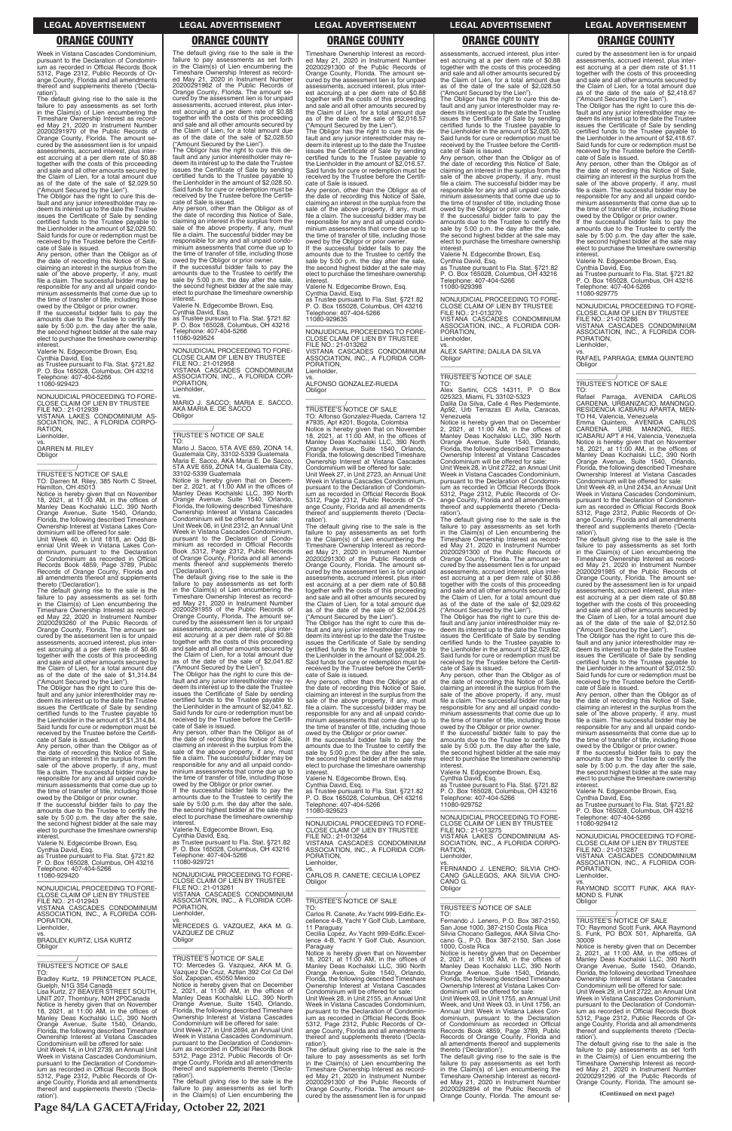Week in Vistana Cascades Condominium, pursuant to the Declaration of Condomin-ium as recorded in Official Records Book 5312, Page 2312, Public Records of Or-ange County, Florida and all amendments thereof and supplements thereto ('Declaration')

the default giving rise to the sale is the failure to pay assessments as set forth in the Claim(s) of Lien encumbering the Timeshare Ownership Interest as record-ed May 21, 2020 in Instrument Number 20200291970 of the Public Records of Orange County, Florida. The amount se-cured by the assessment lien is for unpaid assessments, accrued interest, plus inter-est accruing at a per diem rate of \$0.88 together with the costs of this proceeding and sale and all other amounts secured by the Claim of Lien, for a total amount due as of the date of the sale of \$2,029.50

("Amount Secured by the Lien"). The Obligor has the right to cure this de-fault and any junior interestholder may redeem its interest up to the date the Trustee issues the Certificate of Sale by sending certified funds to the Trustee payable to the Lienholder in the amount of \$2,029.50. Said funds for cure or redemption must be received by the Trustee before the Certifi-

**Obligor** \_\_\_\_\_\_\_\_\_\_\_\_\_\_\_\_\_\_\_\_\_\_\_\_\_\_\_\_\_\_\_\_\_

cate of Sale is issued. Any person, other than the Obligor as of the date of recording this Notice of Sale, claiming an interest in the surplus from the sale of the above property, if any, must file a claim. The successful bidder may be responsible for any and all unpaid condo-minium assessments that come due up to the time of transfer of title, including those

owed by the Obligor or prior owner. If the successful bidder fails to pay the amounts due to the Trustee to certify the sale by 5:00 p.m. the day after the sale, the second highest bidder at the sale may elect to purchase the timeshare ownership interest.

Valerie N. Edgecombe Brown, Esq. Cynthia David, Esq.

as Trustee pursuant to Fla. Stat. §721.82 P. O. Box 165028, Columbus, OH 43216 Telephone: 407-404-5266 11080-929423

The Obligor has the right to cure this default and any junior interestholder may re-deem its interest up to the date the Trustee issues the Certificate of Sale by sending certified funds to the Trustee payable to the Lienholder in the amount of \$1,314.84. Said funds for cure or redemption must be received by the Trustee before the Certifi-cate of Sale is issued. Any person, other than the Obligor as of

—————————————————— NONJUDICIAL PROCEEDING TO FORE-CLOSE CLAIM OF LIEN BY TRUSTEE FILE NO.: 21-012939 VISTANA LAKES CONDOMINIUM AS-SOCIATION, INC., A FLORIDA CORPO-RATION, Lienholder,

vs. DARREN M. RILEY

\_\_\_\_\_\_\_\_\_\_\_/ TRUSTEE'S NOTICE OF SALE TO: Darren M. Riley, 385 North C Street, Hamilton, OH 45013

Notice is hereby given that on November 18, 2021, at 11:00 AM, in the offices of Manley Deas Kochalski LLC, 390 North Orange Avenue, Suite 1540, Orlando, Florida, the following described Timeshare Ownership Interest at Vistana Lakes Con-dominium will be offered for sale:

Unit Week 40, in Unit 1818, an Odd Bi-ennial Unit Week in Vistana Lakes Con-dominium, pursuant to the Declaration of Condominium as recorded in Official Records Book 4859, Page 3789, Public Records of Orange County, Florida and all amendments thereof and supplements thereto ('Declaration').

The default giving rise to the sale is the failure to pay assessments as set forth in the Claim(s) of Lien encumbering the Timeshare Ownership Interest as recorded May 22, 2020 in Instrument Number 20200293260 of the Public Records of Orange County, Florida. The amount secured by the assessment lien is for unpaid assessments, accrued interest, plus interest accruing at a per diem rate of \$0.46 together with the costs of this proceeding and sale and all other amounts secured by the Claim of Lien, for a total amount due as of the date of the sale of \$1,314.84 ("Amount Secured by the Lien").

the date of recording this Notice of Sale, claiming an interest in the surplus from the sale of the above property, if any, must file a claim. The successful bidder may be responsible for any and all unpaid condominium assessments that come due up to the time of transfer of title, including those owed by the Obligor or prior owner. If the successful bidder fails to pay the

amounts due to the Trustee to certify the sale by 5:00 p.m. the day after the sale, the second highest bidder at the sale may elect to purchase the timeshare ownership

The Obligor has the right to cure this default and any junior interestholder may re-deem its interest up to the date the Trustee issues the Certificate of Sale by sending certified funds to the Trustee payable to the Lienholder in the amount of \$2,041.82. Said funds for cure or redemption must be received by the Trustee before the Certifi-cate of Sale is issued.

Any person, other than the Obligor as of the date of recording this Notice of Sale, claiming an interest in the surplus from the sale of the above property, if any, must file a claim. The successful bidder may be responsible for any and all unpaid condo-minium assessments that come due up to the time of transfer of title, including those

The default giving rise to the sale is the failure to pay assessments as set forth in the Claim(s) of Lien encumbering the Timeshare Ownership Interest as recorded May 21, 2020 in Instrument Number 20200291962 of the Public Records of Orange County, Florida. The amount secured by the assessment lien is for unpaid assessments, accrued interest, plus inter-est accruing at a per diem rate of \$0.88 together with the costs of this proceeding and sale and all other amounts secured by the Claim of Lien, for a total amount due as of the date of the sale of \$2,028.50 ("Amount Secured by the Lien").

> If the successful bidder fails to pay the amounts due to the Trustee to certify the sale by 5:00 p.m. the day after the sale, the second highest bidder at the sale may elect to purchase the timeshare ownership **interest**

The Obligor has the right to cure this default and any junior interestholder may re-deem its interest up to the date the Trustee issues the Certificate of Sale by sending certified funds to the Trustee payable to the Lienholder in the amount of \$2,028.50. Said funds for cure or redemption must be received by the Trustee before the Certifi-cate of Sale is issued.

> —————————————————— NONJUDICIAL PROCEEDING TO FORE-CLOSE CLAIM OF LIEN BY TRUSTEE FILE NO.: 21-013262 VISTANA CASCADES CONDOMINIUM ASSOCIATION, INC., A FLORIDA COR-PORATION, ienholder,

Any person, other than the Obligor as of the date of recording this Notice of Sale, claiming an interest in the surplus from the sale of the above property, if any, must file a claim. The successful bidder may be responsible for any and all unpaid condominium assessments that come due up to the time of transfer of title, including those owed by the Obligor or prior owner. If the successful bidder fails to pay the

amounts due to the Trustee to certify the sale by 5:00 p.m. the day after the sale, the second highest bidder at the sale may elect to purchase the timeshare ownership

> the default giving rise to the sale is the failure to pay assessments as set forth in the Claim(s) of Lien encumbering the Timeshare Ownership Interest as record-ed May 21, 2020 in Instrument Number 20200291300 of the Public Records of Orange County, Florida. The amount se-cured by the assessment lien is for unpaid assessments, accrued interest, plus inter-est accruing at a per diem rate of \$0.88 together with the costs of this proceeding and sale and all other amounts secured by the Claim of Lien, for a total amount due as of the date of the sale of \$2,004.25

interest. Valerie N. Edgecombe Brown, Esq.

Cynthia David, Esq. as Trustee pursuant to Fla. Stat. §721.82 P. O. Box 165028, Columbus, OH 43216 Telephone: 407-404-5266 11080-929524

—————————————————— NONJUDICIAL PROCEEDING TO FORE-CLOSE CLAIM OF LIEN BY TRUSTEE FILE NO.: 21-012958 VISTANA CASCADES CONDOMINIUM CIATION, INC., A FLORIDA COR-PORATION, Lienholder,

> owed by the Obligor or prior owner. If the successful bidder fails to pay the amounts due to the Trustee to certify the sale by 5:00 p.m. the day after the sale, the second highest bidder at the sale may elect to purchase the timeshare ownership **interest**

vs. MARIO J. SACCO; MARIA E. SACCO, AKA MARIA E. DE SACCO **Obligor** \_\_\_\_\_\_\_\_\_\_\_\_\_\_\_\_\_\_\_\_\_\_\_\_\_\_\_\_\_\_\_\_\_

# \_\_\_\_\_\_\_\_\_\_\_/ TRUSTEE'S NOTICE OF SALE

TO: Mario J. Sacco, 5TA AVE 659, ZONA 14 Guatemala City, 33102-5339 Guatemala Maria E. Sacco, AKA Maria E. De Sacco, 5TA AVE 659, ZONA 14, Guatemala City, 33102-5339 Guatemala

Notice is hereby given that on December 2, 2021, at 11:00 AM in the offices of Manley Deas Kochalski LLC, 390 North Orange Avenue, Suite 1540, Orlando, Florida, the following described Timeshare Ownership Interest at Vistana Cascades Condominium will be offered for sale:

Unit Week 06, in Unit 2312, an Annual Unit Week in Vistana Cascades Condominium, pursuant to the Declaration of Condominium as recorded in Official Records Book ,5312, Page 2312, Public Records of Orange County, Florida and all amendments thereof and supplements thereto

('Declaration'). The default giving rise to the sale is the failure to pay assessments as set forth in the Claim(s) of Lien encumbering the Timeshare Ownership Interest as recorded May 21, 2020 in Instrument Number 20200291955 of the Public Records of Orange County, Florida. The amount secured by the assessment lien is for unpaid assessments, accrued interest, plus interest accruing at a per diem rate of \$0.88 together with the costs of this proceeding and sale and all other amounts secured by the Claim of Lien, for a total amount due as of the date of the sale of \$2,041.82 ("Amount Secured by the Lien").

Obligor has the right to cure this default and any junior interestholder may redeem its interest up to the date the Trustee issues the Certificate of Sale by sending certified funds to the Trustee payable to the Lienholder in the amount of \$2,028.50. Said funds for cure or redemption must be received by the Trustee before the Certifi-

owed by the Obligor or prior owner. If the successful bidder fails to pay the amounts due to the Trustee to certify the sale by 5:00 p.m. the day after the sale, the second highest bidder at the sale may elect to purchase the timeshare ownership **interest** 

TO: Alex Sartini, CCS 14311, P. O Box 025323, Miami, FL 33102-5323 Dalila Da Silva, Calle 4 Res Piedemonte, Urb Terrazas El Avila, Caracas,

owed by the Obligor or prior owner. If the successful bidder fails to pay the amounts due to the Trustee to certify the sale by 5:00 p.m. the day after the sale, the second highest bidder at the sale may elect to purchase the timeshare ownership interest. Valerie N. Edgecombe Brown, Esq.

Valerie N. Edgecombe Brown, Esq. Cynthia David, Esq. as Trustee pursuant to Fla. Stat. §721.82 P. O. Box 165028, Columbus, OH 43216 Telephone: 407-404-5266 1 elephone: 40.

cured by the assessment lien is for unpaid assessments, accrued interest, plus inter-est accruing at a per diem rate of \$1.11 together with the costs of this proceeding and sale and all other amounts secured by the Claim of Lien, for a total amount due as of the date of the sale of \$2,418.67 Amount Secured by the Lien").

Timeshare Ownership Interest as record-ed May 21, 2020 in Instrument Number 20200291300 of the Public Records of Orange County, Florida. The amount se-cured by the assessment lien is for unpaid assessments, accrued interest, plus interest accruing at a per diem rate of \$0.88 together with the costs of this proceeding and sale and all other amounts secured by the Claim of Lien, for a total amount due as of the date of the sale of \$2,016.57 ("Amount Secured by the Lien").

The Obligor has the right to cure this de-fault and any junior interestholder may re-deem its interest up to the date the Trustee issues the Certificate of Sale by sending certified funds to the Trustee payable to the Lienholder in the amount of \$2,016.57. Said funds for cure or redemption must be received by the Trustee before the Certifi-cate of Sale is issued.

Any person, other than the Obligor as of the date of recording this Notice of Sale, claiming an interest in the surplus from the sale of the above property, if any, must file a claim. The successful bidder may be file a claim. The successful bidder may be<br>responsible for any and all unpaid condominium assessments that come due up to the time of transfer of title, including those owed by the Obligor or prior owner.

Valerie N. Edgecombe Brown, Esq. Cynthia David, Esq. as Trustee pursuant to Fla. Stat. §721.82 P. O. Box 165028, Columbus, OH 43216 Telephone: 407-404-5266 11080-929635

vs. ALFONSO GONZALEZ-RUEDA Obligor \_\_\_\_\_\_\_\_\_\_\_\_\_\_\_\_\_\_\_\_\_\_\_\_\_\_\_\_\_\_\_\_\_

\_\_\_\_\_\_\_\_\_\_\_/ TRUSTEE'S NOTICE OF SALE TO: Alfonso Gonzalez-Rueda, Carrera 12 #7935, Apt #201, Bogota, Colombia Notice is hereby given that on November 18, 2021, at 11:00 AM, in the offices of Manley Deas Kochalski LLC, 390 North Orange Avenue, Suite 1540, Orlando, Florida, the following described Timeshare Ownership Interest at Vistana Cascades Condominium will be offered for sale: Unit Week 27, in Unit 2723, an Annual Unit

Week in Vistana Cascades Condominium, pursuant to the Declaration of Condomin-ium as recorded in Official Records Book 5312, Page 2312, Public Records of Or-ange County, Florida and all amendments thereof and supplements thereto ('Declaration').

("Amount Secured by the Lien"). The Obligor has the right to cure this de-fault and any junior interestholder may redeem its interest up to the date the Trustee issues the Certificate of Sale by sending certified funds to the Trustee payable to the Lienholder in the amount of \$2,004.25. Said funds for cure or redemption must be received by the Trustee before the Certifi-

cate of Sale is issued. Any person, other than the Obligor as of the date of recording this Notice of Sale, claiming an interest in the surplus from the sale of the above property, if any, must file a claim. The successful bidder may be responsible for any and all unpaid condo-minium assessments that come due up to the time of transfer of title, including those

Valerie N. Edgecombe Brown, Esq. Cynthia David, Esq.

as Trustee pursuant to Fla. Stat. §721.82 P. O. Box 165028, Columbus, OH 43216 Telephone: 407-404-5266

11080-929523

| amounts due to the Trustee to certify the                                              | the second highest bidder at the sale may                                            | 11080-929523                                                                           |                                                                                  | P. O. Box 165028, Columbus, OH 43216                                                |
|----------------------------------------------------------------------------------------|--------------------------------------------------------------------------------------|----------------------------------------------------------------------------------------|----------------------------------------------------------------------------------|-------------------------------------------------------------------------------------|
| sale by 5:00 p.m. the day after the sale,<br>the second highest bidder at the sale may | elect to purchase the timeshare ownership<br>interest.                               | NONJUDICIAL PROCEEDING TO FORE-                                                        | NONJUDICIAL PROCEEDING TO FORE-<br>CLOSE CLAIM OF LIEN BY TRUSTEE                | Telephone: 407-404-5266<br>11080-929412                                             |
| elect to purchase the timeshare ownership                                              | Valerie N. Edgecombe Brown, Esg.                                                     | CLOSE CLAIM OF LIEN BY TRUSTEE                                                         | FILE NO.: 21-013275                                                              |                                                                                     |
| interest.                                                                              | Cynthia David, Esg.                                                                  | FILE NO.: 21-013264                                                                    | VISTANA LAKES CONDOMINIUM AS-                                                    | NONJUDICIAL PROCEEDING TO FORE-                                                     |
| Valerie N. Edgecombe Brown, Esg.                                                       | as Trustee pursuant to Fla. Stat. §721.82                                            | VISTANA CASCADES CONDOMINIUM                                                           | SOCIATION, INC., A FLORIDA CORPO-                                                | CLOSE CLAIM OF LIEN BY TRUSTEE                                                      |
| Cynthia David, Esq.                                                                    | P. O. Box 165028, Columbus, OH 43216                                                 | ASSOCIATION, INC., A FLORIDA COR-                                                      | RATION.                                                                          | FILE NO.: 21-013287                                                                 |
| as Trustee pursuant to Fla. Stat. §721.82                                              | Telephone: 407-404-5266                                                              | PORATION.                                                                              | Lienholder.                                                                      | VISTANA CASCADES CONDOMINIUM                                                        |
| P. O. Box 165028, Columbus, OH 43216                                                   | 11080-929721                                                                         | Lienholder,                                                                            | VS.                                                                              | ASSOCIATION, INC., A FLORIDA COR-                                                   |
| Telephone: 407-404-5266                                                                | NONJUDICIAL PROCEEDING TO FORE-                                                      | VS.                                                                                    | FERNANDO J. LENERO: SILVIA CHO-                                                  | PORATION.                                                                           |
| 11080-929420                                                                           | CLOSE CLAIM OF LIEN BY TRUSTEE                                                       | CARLOS R. CANETE; CECILIA LOPEZ<br>Obligor                                             | CANO GALLEGOS, AKA SILVIA CHO-<br>CANO G.                                        | Lienholder.<br>VS.                                                                  |
| NONJUDICIAL PROCEEDING TO FORE-                                                        | FILE NO.: 21-013261                                                                  |                                                                                        | Obligor                                                                          | RAYMOND SCOTT FUNK. AKA RAY-                                                        |
| CLOSE CLAIM OF LIEN BY TRUSTEE                                                         | VISTANA CASCADES CONDOMINIUM                                                         |                                                                                        |                                                                                  | MOND S. FUNK                                                                        |
| FILE NO.: 21-012943                                                                    | ASSOCIATION, INC., A FLORIDA COR-                                                    | <b>TRUSTEE'S NOTICE OF SALE</b>                                                        |                                                                                  | Obligor                                                                             |
| VISTANA CASCADES CONDOMINIUM                                                           | PORATION.                                                                            | TO:                                                                                    | TRUSTEE'S NOTICE OF SALE                                                         |                                                                                     |
| ASSOCIATION, INC., A FLORIDA COR-                                                      | Lienholder.                                                                          | Carlos R. Canete, Av. Yacht 999-Edific. Ex-                                            | TO:                                                                              |                                                                                     |
| PORATION.                                                                              | VS.                                                                                  | cellence 4-B, Yacht Y Golf Club, Lambare,                                              | Fernando J. Lenero, P.O. Box 387-2150.                                           | <b>TRUSTEE'S NOTICE OF SALE</b>                                                     |
| Lienholder,                                                                            | MERCEDES G. VAZQUEZ, AKA M. G.<br>VAZQUEZ DE CRUZ                                    | 11 Paraguay                                                                            | San Jose 1000, 387-2150 Costa Rica                                               | TO: Raymond Scott Funk, AKA Raymond                                                 |
| VS.<br><b>BRADLEY KURTZ; LISA KURTZ</b>                                                | Obligor                                                                              | Cecilia Lopez. Av. Yacht 999-Edific. Excel-<br>lence 4-B, Yacht Y Golf Club, Asuncion, | Silvia Chocano Gallegos, AKA Silvia Cho-<br>cano G., P.O. Box 387-2150, San Jose | S. Funk, PO BOX 501, Alpharetta, GA<br>30009                                        |
| Obligor                                                                                |                                                                                      | Paraguay                                                                               | 1000. Costa Rica                                                                 | Notice is hereby given that on December                                             |
|                                                                                        |                                                                                      | Notice is hereby given that on November                                                | Notice is hereby given that on December                                          | 2, 2021, at $11:00$ AM, in the offices of                                           |
|                                                                                        | TRUSTEE'S NOTICE OF SALE                                                             | 18, 2021, at $11:00$ AM, in the offices of                                             | 2, 2021, at $11:00$ AM, in the offices of                                        | Manley Deas Kochalski LLC, 390 North                                                |
| TRUSTEE'S NOTICE OF SALE                                                               | TO: Mercedes G. Vazquez, AKA M. G.                                                   | Manley Deas Kochalski LLC, 390 North                                                   | Manley Deas Kochalski LLC, 390 North                                             | Orange Avenue, Suite 1540, Orlando,                                                 |
| TO:                                                                                    | Vazquez De Cruz, Aztlan 392 Col Cd Del                                               | Orange Avenue, Suite 1540, Orlando,                                                    | Orange Avenue, Suite 1540, Orlando,                                              | Florida, the following described Timeshare                                          |
| Bradley Kurtz, 19 PRINCETON PLACE,                                                     | Sol, Zapopan, 45050 Mexico                                                           | Florida, the following described Timeshare                                             | Florida, the following described Timeshare                                       | Ownership Interest at Vistana Cascades                                              |
| Guelph, N1G 3S4 Canada                                                                 | Notice is hereby given that on December<br>2, 2021, at $11:00$ AM, in the offices of | Ownership Interest at Vistana Cascades                                                 | Ownership Interest at Vistana Lakes Con-                                         | Condominium will be offered for sale:                                               |
| Lisa Kurtz, 27 BEAVER STREET SOUTH,                                                    | Manley Deas Kochalski LLC, 390 North                                                 | Condominium will be offered for sale:<br>Unit Week 28, in Unit 2155, an Annual Unit    | dominium will be offered for sale:<br>Unit Week 03. in Unit 1755, an Annual Unit | Unit Week 29, in Unit 2722, an Annual Unit<br>Week in Vistana Cascades Condominium. |
| UNIT 207, Thornbury, N0H 2P0Canada<br>Notice is hereby given that on November          | Orange Avenue, Suite 1540, Orlando,                                                  | Week in Vistana Cascades Condominium.                                                  | Week, and Unit Week 03, in Unit 1756, an                                         | pursuant to the Declaration of Condomin-                                            |
| 18, 2021, at 11:00 AM, in the offices of                                               | Florida, the following described Timeshare                                           | pursuant to the Declaration of Condomin-                                               | Annual Unit Week in Vistana Lakes Con-                                           | jum as recorded in Official Records Book                                            |
| Manley Deas Kochalski LLC, 390 North                                                   | Ownership Interest at Vistana Cascades                                               | ium as recorded in Official Records Book                                               | dominium, pursuant to the Declaration                                            | 5312, Page 2312, Public Records of Or-                                              |
| Orange Avenue, Suite 1540, Orlando,                                                    | Condominium will be offered for sale:                                                | 5312, Page 2312, Public Records of Or-                                                 | of Condominium as recorded in Official                                           | ange County, Florida and all amendments                                             |
| Florida, the following described Timeshare                                             | Unit Week 27, in Unit 2694, an Annual Unit                                           | ange County, Florida and all amendments                                                | Records Book 4859, Page 3789, Public                                             | thereof and supplements thereto ('Decla-                                            |
| Ownership Interest at Vistana Cascades                                                 | Week in Vistana Cascades Condominium.                                                | thereof and supplements thereto ('Decla-                                               | Records of Orange County, Florida and                                            | ration').                                                                           |
| Condominium will be offered for sale:                                                  | pursuant to the Declaration of Condomin-<br>ium as recorded in Official Records Book | ration').                                                                              | all amendments thereof and supplements                                           | The default giving rise to the sale is the                                          |
| Unit Week 14, in Unit 2739, an Annual Unit<br>Week in Vistana Cascades Condominium,    | 5312. Page 2312. Public Records of Or-                                               | The default giving rise to the sale is the<br>failure to pay assessments as set forth  | thereto ('Declaration').<br>The default giving rise to the sale is the           | failure to pay assessments as set forth<br>in the Claim(s) of Lien encumbering the  |
| pursuant to the Declaration of Condomin-                                               | ange County, Florida and all amendments                                              | in the Claim(s) of Lien encumbering the                                                | failure to pay assessments as set forth                                          | Timeshare Ownership Interest as record-                                             |
| jum as recorded in Official Records Book                                               | thereof and supplements thereto ('Decla-                                             | Timeshare Ownership Interest as record-                                                | in the Claim(s) of Lien encumbering the                                          | ed May 21, 2020 in Instrument Number                                                |
| 5312, Page 2312, Public Records of Or-                                                 | ration').                                                                            | ed May 21, 2020 in Instrument Number                                                   | Timeshare Ownership Interest as record-                                          | 20200291296 of the Public Records of                                                |
| ange County, Florida and all amendments                                                | The default giving rise to the sale is the                                           | 20200291300 of the Public Records of                                                   | ed May 21, 2020 in Instrument Number                                             | Orange County, Florida. The amount se-                                              |
| thereof and supplements thereto ('Decla-                                               | failure to pay assessments as set forth                                              | Orange County, Florida. The amount se-                                                 | 20200292894 of the Public Records of                                             |                                                                                     |
| ration').                                                                              | in the Claim(s) of Lien encumbering the                                              | cured by the assessment lien is for unpaid                                             | Orange County, Florida. The amount se-                                           | (Continued on next page)                                                            |
|                                                                                        |                                                                                      |                                                                                        |                                                                                  |                                                                                     |

assessments, accrued interest, plus interest accruing at a per diem rate of \$0.88 together with the costs of this proceeding and sale and all other amounts secured by the Claim of Lien, for a total amount due as of the date of the sale of \$2,028.50 ("Amount Secured by the Lien").

cate of Sale is issued. Any person, other than the Obligor as of the date of recording this Notice of Sale, claiming an interest in the surplus from the sale of the above property, if any, must file a claim. The successful bidder may be responsible for any and all unpaid condo-minium assessments that come due up to the time of transfer of title, including those

Valerie N. Edgecombe Brown, Esq. Cynthia David, Esq.

as Trustee pursuant to Fla. Stat. §721.82 P. O. Box 165028, Columbus, OH 43216 Telephone: 407-404-5266 11080-929398

—————————————————— NONJUDICIAL PROCEEDING TO FORE-CLOSE CLAIM OF LIEN BY TRUSTEE FILE NO.: 21-013270 VISTANA CASCADES CONDOMINIUM ASSOCIATION, INC., A FLORIDA COR-PORATION, Lienholder,

vs. ALEX SARTINI; DALILA DA SILVA Obligor \_\_\_\_\_\_\_\_\_\_\_\_\_\_\_\_\_\_\_\_\_\_\_\_\_\_\_\_\_\_\_\_\_

# \_\_\_\_\_\_\_\_\_\_\_/ TRUSTEE'S NOTICE OF SALE

Venezuela

Notice is hereby given that on December 2, 2021, at 11:00 AM, in the offices of Manley Deas Kochalski LLC, 390 North Orange Avenue, Suite 1540, Orlando, Florida, the following described Timeshare Ownership Interest at Vistana Cascades

Condominium will be offered for sale: Unit Week 28, in Unit 2722, an Annual Unit Week in Vistana Cascades Condominium, pursuant to the Declaration of Condomin-ium as recorded in Official Records Book 5312, Page 2312, Public Records of Orange County, Florida and all amendments thereof and supplements thereto ('Declaration').

The default giving rise to the sale is the failure to pay assessments as set forth in the Claim(s) of Lien encumbering the Timeshare Ownership Interest as record-ed May 21, 2020 in Instrument Number 20200291300 of the Public Records of Orange County, Florida. The amount se-cured by the assessment lien is for unpaid assessments, accrued interest, plus interest accruing at a per diem rate of \$0.88 together with the costs of this proceeding and sale and all other amounts secured by the Claim of Lien, for a total amount due as of the date of the sale of \$2,029.62 ("Amount Secured by the Lien").

The Obligor has the right to cure this de-fault and any junior interestholder may re-deem its interest up to the date the Trustee issues the Certificate of Sale by sending certified funds to the Trustee payable to the Lienholder in the amount of \$2,029.62. Said funds for cure or redemption must be received by the Trustee before the Certificate of Sale is issued.

Any person, other than the Obligor as of the date of recording this Notice of Sale, claiming an interest in the surplus from the sale of the above property, if any, must file a claim. The successful bidder may be responsible for any and all unpaid condominium assessments that come due up to the time of transfer of title, including those owed by the Obligor or prior owner.

If the successful bidder fails to pay the amounts due to the Trustee to certify the sale by 5:00 p.m. the day after the sale, the second highest bidder at the sale may elect to purchase the timeshare ownership interest.

The Obligor has the right to cure this default and any junior interestholder may re-deem its interest up to the date the Trustee issues the Certificate of Sale by sending certified funds to the Trustee payable to the Lienholder in the amount of \$2,418.67. Said funds for cure or redemption must be received by the Trustee before the Certifi-cate of Sale is issued.

Any person, other than the Obligor as of the date of recording this Notice of Sale, claiming an interest in the surplus from the sale of the above property, if any, must file a claim. The successful bidder may be responsible for any and all unpaid condominium assessments that come due up to the time of transfer of title, including those owed by the Obligor or prior owner. If the successful bidder fails to pay the

amounts due to the Trustee to certify the sale by 5:00 p.m. the day after the sale, the second highest bidder at the sale may elect to purchase the timeshare ownership

interest. Valerie N. Edgecombe Brown, Esq.

Cynthia David, Esq. as Trustee pursuant to Fla. Stat. §721.82 P. O. Box 165028, Columbus, OH 43216 Telephone: 407-404-5266 11080-929775

—————————————————— NONJUDICIAL PROCEEDING TO FORE-CLOSE CLAIM OF LIEN BY TRUSTEE FILE NO.: 21-013286 VISTANA CASCADES CONDOMINIUM **SOCIATION, INC., A FLORIDA COF** PORATION,

Lienholder,

vs. RAFAEL PARRAGA; EMMA QUINTERO Obligor \_\_\_\_\_\_\_\_\_\_\_\_\_\_\_\_\_\_\_\_\_\_\_\_\_\_\_\_\_\_\_\_\_

# \_\_\_\_\_\_\_\_\_\_\_/ TRUSTEE'S NOTICE OF SALE

TO: Rafael Parraga, AVENIDA CARLOS CARDENA, URBANIZACIO, MANONGO RESIDENCIA ICABARU APARTA, MEN-TO H4, Valencia, Venezuela

Emma Quintero, AVENIDA CARLOS CARDENA. URB. MANONG, RES. ICABARU APT # H4, Valencia, Venezuela Notice is hereby given that on November 18, 2021, at 11:00 AM, in the offices of Manley Deas Kochalski LLC, 390 North Orange Avenue, Suite 1540, Orlando, Florida, the following described Timeshare Ownership Interest at Vistana Cascades Condominium will be offered for sale:

Unit Week 49, in Unit 2434, an Annual Unit Week in Vistana Cascades Condominium, pursuant to the Declaration of Condomin-ium as recorded in Official Records Book 5312, Page 2312, Public Records of Orange County, Florida and all amendments reof and supplements thereto ('Declaration').

The default giving rise to the sale is the failure to pay assessments as set forth in the Claim(s) of Lien encumbering the Timeshare Ownership Interest as record-ed May 21, 2020 in Instrument Number 20200291985 of the Public Records of Orange County, Florida. The amount se-cured by the assessment lien is for unpaid assessments, accrued interest, plus interest accruing at a per diem rate of \$0.88 together with the costs of this proceeding and sale and all other amounts secured by the Claim of Lien, for a total amount due as of the date of the sale of \$2,012.50 ("Amount Secured by the Lien").

The Obligor has the right to cure this de-fault and any junior interestholder may re-deem its interest up to the date the Trustee issues the Certificate of Sale by sending certified funds to the Trustee payable to the Lienholder in the amount of \$2,012.50. Said funds for cure or redemption must be received by the Trustee before the Certifi-cate of Sale is issued.

Any person, other than the Obligor as of the date of recording this Notice of Sale, claiming an interest in the surplus from the sale of the above property, if any, must file a claim. The successful bidder may be responsible for any and all unpaid condominium assessments that come due up to the time of transfer of title, including those owed by the Obligor or prior owner.

If the successful bidder fails to pay the amounts due to the Trustee to certify the sale by 5:00 p.m. the day after the sale, the second highest bidder at the sale may elect to purchase the timeshare ownership interest.

Valerie N. Edgecombe Brown, Esq. Cynthia David, Esq. as Trustee pursuant to Fla. Stat. §721.82

### **LEGAL ADVERTISEMENT LEGAL ADVERTISEMENT LEGAL ADVERTISEMENT LEGAL ADVERTISEMENT LEGAL ADVERTISEMENT**

# **ORANGE COUNTY ORANGE COUNTY ORANGE COUNTY ORANGE COUNTY ORANGE COUNTY**

**Page 84/LA GACETA/Friday, October 22, 2021**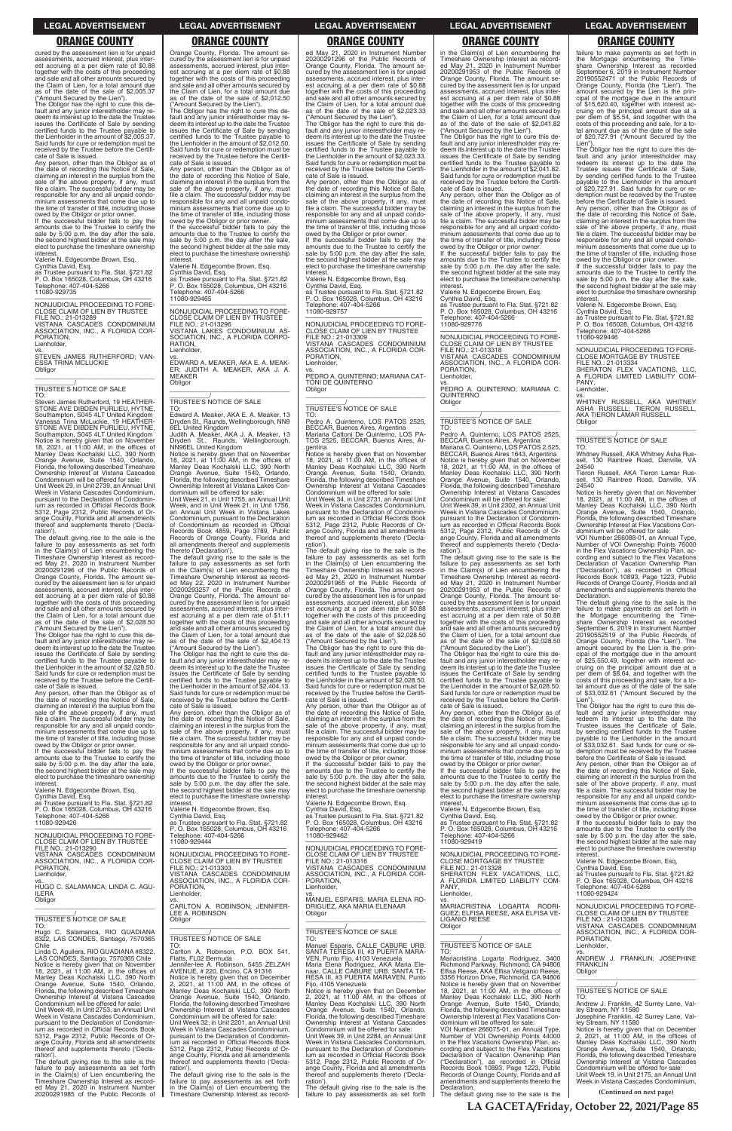cured by the assessment lien is for unpaid assessments, accrued interest, plus interest accruing at a per diem rate of \$0.88 together with the costs of this proceeding and sale and all other amounts secured by the Claim of Lien, for a total amount due as of the date of the sale of \$2,005.37

("Amount Secured by the Lien"). The Obligor has the right to cure this de-fault and any junior interestholder may redeem its interest up to the date the Trustee issues the Certificate of Sale by sending certified funds to the Trustee payable to the Lienholder in the amount of \$2,005.37. Said funds for cure or redemption must be received by the Trustee before the Certificate of Sale is issued.

Any person, other than the Obligor as of the date of recording this Notice of Sale, claiming an interest in the surplus from the sale of the above property, if any, must file a claim. The successful bidder may be responsible for any and all unpaid condo-minium assessments that come due up to the time of transfer of title, including those

TO: Steven James Rutherford, 19 HEATHER-STONE AVE DIBDEN PURLIEU, HYTNE, Southampton, S045 4LT United Kingdom Vanessa Trina McLuckie, 19 HEATHER-STONE AVE DIBDEN PURLIEU, HYTNE, Southampton, S045 4LT United Kingdom Notice is hereby given that on November<br>18, 2021, at 11:00 AM, in the offices of<br>Manley Deas Kochalski LLC, 390 North<br>Orange Avenue, Suite 1540, Orlando,<br>Florida, the following described Timeshare<br>Ownership Interest at Vis

owed by the Obligor or prior owner. If the successful bidder fails to pay the amounts due to the Trustee to certify the sale by 5:00 p.m. the day after the sale, the second highest bidder at the sale may elect to purchase the timeshare ownership

interest. Valerie N. Edgecombe Brown, Esq. Cynthia David, Esq. as Trustee pursuant to Fla. Stat. §721.82 P. O. Box 165028, Columbus, OH 43216 Telephone: 407-404-5266

11080-929735

—————————————————— NONJUDICIAL PROCEEDING TO FORE-CLOSE CLAIM OF LIEN BY TRUSTEE FILE NO.: 21-013289 VISTANA CASCADES CONDOMINIUM ASSOCIATION, INC., A FLORIDA COR-

The default giving rise to the sale is the failure to pay assessments as set forth in the Claim(s) of Lien encumbering the Timeshare Ownership Interest as recorded May 21, 2020 in Instrument Number 20200291296 of the Public Records of Orange County, Florida. The amount secured by the assessment lien is for unpaid assessments, accrued interest, plus interest accruing at a per diem rate of \$0.88 together with the costs of this proceeding and sale and all other amounts secured by the Claim of Lien, for a total amount due as of the date of the sale of \$2,028.50 ("Amount Secured by the Lien").

PORATION, Lienholder,

vs. STEVEN JAMES RUTHERFORD; VAN-ESSA TRINA MCLUCKIE **Obligor** \_\_\_\_\_\_\_\_\_\_\_\_\_\_\_\_\_\_\_\_\_\_\_\_\_\_\_\_\_\_\_\_\_

# \_\_\_\_\_\_\_\_\_\_\_/ TRUSTEE'S NOTICE OF SALE

Unit Week 29, in Unit 2739, an Annual Unit Week in Vistana Cascades Condominium, pursuant to the Declaration of Condominium as recorded in Official Records Book 5312, Page 2312, Public Records of Orange County, Florida and all amendments thereof and supplements thereto ('Declaration').

The Obligor has the right to cure this default and any junior interestholder may re-deem its interest up to the date the Trustee issues the Certificate of Sale by sending certified funds to the Trustee payable to the Lienholder in the amount of \$2,028.50. Said funds for cure or redemption must be received by the Trustee before the Certificate of Sale is issued.

amounts due to the Trustee to certify the sale by 5:00 p.m. the day after the sale the second highest bidder at the sale may elect to purchase the timeshare ownership<br>interest

Any person, other than the Obligor as of the date of recording this Notice of Sale, claiming an interest in the surplus from the sale of the above property, if any, must file a claim. The successful bidder may be responsible for any and all unpaid condominium assessments that come due up to the time of transfer of title, including those

owed by the Obligor or prior owner. If the successful bidder fails to pay the amounts due to the Trustee to certify the sale by 5:00 p.m. the day after the sale, the second highest bidder at the sale may elect to purchase the timeshare ownership interest.

Valerie N. Edgecombe Brown, Esq.

Cynthia David, Esq. as Trustee pursuant to Fla. Stat. §721.82 P. O. Box 165028, Columbus, OH 43216 Telephone: 407-404-5266 11080-929426

Orange County, Florida. The amount secured by the assessment lien is for unpaid assessments, accrued interest, plus interest accruing at a per diem rate of \$0.88 together with the costs of this proceeding and sale and all other amounts secured by the Claim of Lien, for a total amount due as of the date of the sale of \$2,012.50 ("Amount Secured by the Lien").

The Obligor has the right to cure this default and any junior interestholder may re-deem its interest up to the date the Trustee issues the Certificate of Sale by sending certified funds to the Trustee payable to the Lienholder in the amount of \$2,012.50. Said funds for cure or redemption must be received by the Trustee before the Certifi-cate of Sale is issued.

Any person, other than the Obligor as of the date of recording this Notice of Sale, claiming an interest in the surplus from the sale of the above property, if any, must file a claim. The successful bidder may be responsible for any and all unpaid condominium assessments that come due up to the time of transfer of title, including those owed by the Obligor or prior owner. If the successful bidder fails to pay the

interest. Valerie N. Edgecombe Brown, Esq. Cynthia David, Esq. as Trustee pursuant to Fla. Stat. §721.82 P. O. Box 165028, Columbus, OH 43216 Telephone: 407-404-5266 11080-929465

—————————————————— NONJUDICIAL PROCEEDING TO FORE-CLOSE CLAIM OF LIEN BY TRUSTEE FILE NO.: 21-013296 VISTANA LAKES CONDOMINIUM AS-SOCIATION, INC., A FLORIDA CORPO-RATION, Lienholder,

vs. EDWARD A. MEAKER, AKA E. A. MEAK-ER; JUDITH A. MEAKER, AKA J. A. MFAKER Obligor

\_\_\_\_\_\_\_\_\_\_\_\_\_\_\_\_\_\_\_\_\_\_\_\_\_\_\_\_\_\_\_\_\_

# \_\_\_\_\_\_\_\_\_\_\_/ TRUSTEE'S NOTICE OF SALE

TO: Edward A. Meaker, AKA E. A. Meaker, 13 Dryden St., Raunds, Wellingborough, NN9 6EL United Kingdom Judith A. Meaker, AKA J. A. Meaker, 13

Dryden St., Raunds, Wellingborough,<br>NN96EL United Kingdom<br>Notice is hereby given that on November<br>18, 2021, at 11:00 AM, in the offices of<br>Manley Deas Kochalski LLC, 390 North<br>Orange Avenue, Suite 1540, Orlando,<br>Florida, t

amounts due to the Trustee to certify the sale by 5:00 p.m. the day after the sale, the second highest bidder at the sale may elect to purchase the timeshare ownership interest

Ownership Interest at Vistana Lakes Condominium will be offered for sale: Unit Week 21, in Unit 1755, an Annual Unit Week, and in Unit Week 21, in Unit 1756, an Annual Unit Week in Vistana Lakes

Condominium, pursuant to the Declaration of Condominium as recorded in Official Records Book 4859, Page 3789, Public Records of Orange County, Florida and all amendments thereof and supplements thereto ('Declaration').

The default giving rise to the sale is the failure to pay assessments as set forth in the Claim(s) of Lien encumbering the Timeshare Ownership Interest as recorded May 22, 2020 in Instrument Number 20200293257 of the Public Records of Orange County, Florida. The amount secured by the assessment lien is for unpaid assessments, accrued interest, plus interest accruing at a per diem rate of \$1.11 together with the costs of this proceeding and sale and all other amounts secured by the Claim of Lien, for a total amount due as of the date of the sale of \$2,404.13 ("Amount Secured by the Lien").

The Obligor has the right to cure this default and any junior interestholder may re-deem its interest up to the date the Trustee issues the Certificate of Sale by sending certified funds to the Trustee payable to the Lienholder in the amount of \$2,404.13. Said funds for cure or redemption must be received by the Trustee before the Certifi-cate of Sale is issued.

Any person, other than the Obligor as of the date of recording this Notice of Sale, claiming an interest in the surplus from the sale of the above property, if any, must file a claim. The successful bidder may be responsible for any and all unpaid condominium assessments that come due up to the time of transfer of title, including those owed by the Obligor or prior owner. If the successful bidder fails to pay the

amounts due to the Trustee to certify the sale by 5:00 p.m. the day after the sale, the second highest bidder at the sale may elect to purchase the timeshare ownership

interest. Valerie N. Edgecombe Brown, Esq.

Cynthia David, Esq. as Trustee pursuant to Fla. Stat. §721.82 P. O. Box 165028, Columbus, OH 43216 Telephone: 407-404-5266

ed May 21, 2020 in Instrument Number 20200291296 of the Public Records of Orange County, Florida. The amount se-cured by the assessment lien is for unpaid assessments, accrued interest, plus interest accruing at a per diem rate of \$0.88 together with the costs of this proceeding and sale and all other amounts secured by the Claim of Lien, for a total amount due as of the date of the sale of \$2,023.33

("Amount Secured by the Lien"). The Obligor has the right to cure this default and any junior interestholder may redeem its interest up to the date the Trustee issues the Certificate of Sale by sending certified funds to the Trustee payable to the Lienholder in the amount of \$2,023.33. Said funds for cure or redemption must be received by the Trustee before the Certificate of Sale is issued.

Any person, other than the Obligor as of the date of recording this Notice of Sale, claiming an interest in the surplus from the sale of the above property, if any, must file a claim. The successful bidder may be responsible for any and all unpaid condo-minium assessments that come due up to the time of transfer of title, including those owed by the Obligor or prior owner. If the successful bidder fails to pay the

> vs.<br>WHITNEY RUSSELL, AKA WHITNEY<br>ASHA RUSSELL; TIERON RUSSELL,<br>AKATIERON.LAMAR.RUSSELL Obligor \_\_\_\_\_\_\_\_\_\_\_\_\_\_\_\_\_\_\_\_\_\_\_\_\_\_\_\_\_\_\_\_\_

> TO:<br>Whitney Russell, AKA Whitney Asha Rus-Whitney Russell, AKA Whitney Asha Rus-sell, 130 Raintree Road, Danville, VA 24540

amounts due to the Trustee to certify the sale by 5:00 p.m. the day after the sale, the second highest bidder at the sale may elect to purchase the timeshare ownership

interest. Valerie N. Edgecombe Brown, Esq. Cynthia David, Esq. as Trustee pursuant to Fla. Stat. §721.82 P. O. Box 165028, Columbus, OH 43216 Telephone: 407-404-5266 11080-929757

—————————————————— NONJUDICIAL PROCEEDING TO FORE-CLOSE CLAIM OF LIEN BY TRUSTEE FILE NO.: 21-013309 VISTANA CASCADES CONDOMINIUM ASSOCIATION, INC., A FLORIDA COR-**PORATION** Lienholder,

> The default giving rise to the sale is the<br>failure to make payments as set forth in<br>the Mortgage encumbering the Time-<br>share Ownership Interest as recorded<br>September 6, 2019 in Instrument Number 20190552519 of the Public Records of Orange County, Florida (the "Lien"). The amount secured by the Lien is the principal of the mortgage due in the amount of \$25,550.49, together with interest ac-cruing on the principal amount due at a per diem of \$8.64, and together with the costs of this proceeding and sale, for a to-tal amount due as of the date of the sale of \$33,032.61 ("Amount Secured by the Lien"). The Obligor has the right to cure this de-

vs. PEDRO A. QUINTERNO; MARIANA CAT-TONI DE QUINTERNO **Obligor** \_\_\_\_\_\_\_\_\_\_\_\_\_\_\_\_\_\_\_\_\_\_\_\_\_\_\_\_\_\_\_\_\_

# \_\_\_\_\_\_\_\_\_\_\_/ TRUSTEE'S NOTICE OF SALE

Any person, other than the Obligor as of the date of recording this Notice of Sale, claiming an interest in the surplus from the sale of the above property, if any, must file a claim. The successful bidder may be responsible for any and all unpaid condominium assessments that come due up to the time of transfer of title, including those

TO: Pedro A. Quinterno, LOS PATOS 2525, BECCAR, Buenos Aires, Argentina Mariana Cattoni De Quinterno, LOS PA-TOS 2525, BECCAR, Buenos Aires, Ar-

> owed by the Obligor or prior owner. If the successful bidder fails to pay the amounts due to the Trustee to cer

gentina Notice is hereby given that on November 18, 2021, at 11:00 AM, in the offices of Manley Deas Kochalski LLC, 390 North Orange Avenue, Suite 1540, Orlando, Florida, the following described Timeshare Ownership Interest at Vistana Cascades Condominium will be offered for sale:

Unit Week 34, in Unit 2731, an Annual Unit Week in Vistana Cascades Condominium, pursuant to the Declaration of Condominium as recorded in Official Records Book 5312, Page 2312, Public Records of Orange County, Florida and all amendments thereof and supplements thereto ('Declaration').

The default giving rise to the sale is the failure to pay assessments as set forth in the Claim(s) of Lien encumbering the Timeshare Ownership Interest as record-ed May 21, 2020 in Instrument Number 20200291965 of the Public Records of Orange County, Florida. The amount secured by the assessment lien is for unpaid assessments, accrued interest, plus interest accruing at a per diem rate of \$0.88 together with the costs of this proceeding and sale and all other amounts secured by the Claim of Lien, for a total amount due as of the date of the sale of \$2,028.50

("Amount Secured by the Lien"). The Obligor has the right to cure this de-fault and any junior interestholder may redeem its interest up to the date the Trustee issues the Certificate of Sale by sending certified funds to the Trustee payable to the Lienholder in the amount of \$2,028.50. Said funds for cure or redemption must be received by the Trustee before the Certificate of Sale is issued.

Any person, other than the Obligor as of the date of recording this Notice of Sale, claiming an interest in the surplus from the sale of the above property, if any, must file a claim. The successful bidder may be responsible for any and all unpaid condo-minium assessments that come due up to the time of transfer of title, including those owed by the Obligor or prior owner. If the successful bidder fails to pay the

Valerie N. Edgecombe Brown, Esq.

Cynthia David, Esq. as Trustee pursuant to Fla. Stat. §721.82 P. O. Box 165028, Columbus, OH 43216 Telephone: 407-404-5266

| NONJUDICIAL PROCEEDING TO FORE-<br>CLOSE CLAIM OF LIEN BY TRUSTEE                                                                                                                                                                                                                                                                                   | P. O. Box 165028, Columbus, OH 43216<br>Telephone: 407-404-5266<br>11080-929444                                                                                                                                                                                                                                                                  | Telephone: 407-404-5266<br>11080-929462                                                                                                                                                                                                                                                                                      | P. O. Box 165028, Columbus, OH 43216<br>Telephone: 407-404-5266<br>11080-929419                                                                                                                                                                                                                                                                      | amounts due to the Trustee to certify the<br>sale by 5:00 p.m. the day after the sale,<br>the second highest bidder at the sale may                                                                                                                                                                                                              |
|-----------------------------------------------------------------------------------------------------------------------------------------------------------------------------------------------------------------------------------------------------------------------------------------------------------------------------------------------------|--------------------------------------------------------------------------------------------------------------------------------------------------------------------------------------------------------------------------------------------------------------------------------------------------------------------------------------------------|------------------------------------------------------------------------------------------------------------------------------------------------------------------------------------------------------------------------------------------------------------------------------------------------------------------------------|------------------------------------------------------------------------------------------------------------------------------------------------------------------------------------------------------------------------------------------------------------------------------------------------------------------------------------------------------|--------------------------------------------------------------------------------------------------------------------------------------------------------------------------------------------------------------------------------------------------------------------------------------------------------------------------------------------------|
| FILE NO.: 21-013290<br>VISTANA CASCADES CONDOMINIUM<br>ASSOCIATION, INC., A FLORIDA COR-<br>PORATION.<br>Lienholder,<br>VS.<br>HUGO C. SALAMANCA: LINDA C. AGU-<br><b>ILERA</b><br>Obligor                                                                                                                                                          | NONJUDICIAL PROCEEDING TO FORE-<br>CLOSE CLAIM OF LIEN BY TRUSTEE<br>FILE NO.: 21-013303<br>VISTANA CASCADES CONDOMINIUM<br>ASSOCIATION, INC., A FLORIDA COR-<br>PORATION.<br>Lienholder.<br>VS.                                                                                                                                                 | NONJUDICIAL PROCEEDING TO FORE-<br>CLOSE CLAIM OF LIEN BY TRUSTEE<br>FILE NO.: 21-013316<br>VISTANA CASCADES CONDOMINIUM<br>ASSOCIATION, INC., A FLORIDA COR-<br>PORATION.<br>Lienholder.<br>VS.<br>MANUEL ESPARIS: MARIA ELENA RO-                                                                                          | NONJUDICIAL PROCEEDING TO FORE-<br><b>CLOSE MORTGAGE BY TRUSTEE</b><br>FILE NO.: 21-013328<br>SHERATON FLEX VACATIONS, LLC,<br>A FLORIDA LIMITED LIABILITY COM-<br>PANY.<br>Lienholder.<br>VS.                                                                                                                                                       | elect to purchase the timeshare ownership<br>interest.<br>Valerie N. Edgecombe Brown, Esg.<br>Cynthia David, Esq.<br>as Trustee pursuant to Fla. Stat. §721.82<br>P. O. Box 165028, Columbus, OH 43216<br>Telephone: 407-404-5266<br>11080-929424                                                                                                |
| TRUSTEE'S NOTICE OF SALE<br>TO:<br>Hugo C. Salamanca, RIO GUADIANA<br>8322, LAS CONDES, Santiago, 7570365                                                                                                                                                                                                                                           | CARLTON A. ROBINSON; JENNIFER-<br>LEE A. ROBINSON<br>Obligor<br>TRUSTEE'S NOTICE OF SALE                                                                                                                                                                                                                                                         | DRIGUEZ, AKA MARIA ELENAAR<br>Obligor<br>TRUSTEE'S NOTICE OF SALE<br>TO:                                                                                                                                                                                                                                                     | MARIACRISTINA LOGARTA RODRI-<br>GUEZ; ELFISA REESE, AKA ELFISA VE-<br>LIGANIO REESE<br>Obligor                                                                                                                                                                                                                                                       | NONJUDICIAL PROCEEDING TO FORE-<br>CLOSE CLAIM OF LIEN BY TRUSTEE<br>FILE NO.: 21-013388<br>VISTANA CASCADES CONDOMINIUM<br>ASSOCIATION, INC., A FLORIDA COR-<br>PORATION.                                                                                                                                                                       |
| Chile<br>Linda C. Aquilera, RIO GUADIANA #8322.<br>LAS CONDES, Santiago, 7570365 Chile<br>Notice is hereby given that on November<br>18, 2021, at 11:00 AM, in the offices of<br>Manley Deas Kochalski LLC, 390 North                                                                                                                               | TO:<br>Carlton A. Robinson, P.O. BOX 541,<br>Flatts, FL02 Bermuda<br>Jennifer-lee A. Robinson, 5455 ZELZAH<br>AVENUE, # 220, Encino, CA 91316<br>Notice is hereby given that on December                                                                                                                                                         | Manuel Esparis, CALLE CABURE URB.<br>SANTA TERESA III. #3 PUERTA MARA-<br>VEN, Punto Fijo, 4103 Venezuela<br>Maria Elena Rodriguez, AKA Maria Ele-<br>naar, CALLE CABURE URB, SANTA TE-<br>RESA III. #3 PUERTA MARAVEN. Punto                                                                                                | <b>TRUSTEE'S NOTICE OF SALE</b><br>TO:<br>Mariacristina Logarta Rodriguez, 3400<br>Richmond Parkway, Richmond, CA 94806<br>Elfisa Reese, AKA Elfisa Veliganio Reese,<br>3356 Horizon Drive, Richmond, CA 94806                                                                                                                                       | Lienholder,<br>VS.<br>ANDREW J. FRANKLIN: JOSEPHINE<br><b>FRANKLIN</b><br>Obligor                                                                                                                                                                                                                                                                |
| Orange Avenue, Suite 1540, Orlando,<br>Florida, the following described Timeshare<br>Ownership Interest at Vistana Cascades<br>Condominium will be offered for sale:<br>Unit Week 49, in Unit 2753, an Annual Unit<br>Week in Vistana Cascades Condominium.<br>pursuant to the Declaration of Condomin-<br>jum as recorded in Official Records Book | 2, 2021, at $11:00$ AM, in the offices of<br>Manley Deas Kochalski LLC, 390 North<br>Orange Avenue, Suite 1540, Orlando,<br>Florida, the following described Timeshare<br>Ownership Interest at Vistana Cascades<br>Condominium will be offered for sale:<br>Unit Week 32, in Unit 2201, an Annual Unit<br>Week in Vistana Cascades Condominium, | Fijo, 4105 Venezuela<br>Notice is hereby given that on December<br>2, 2021, at $11:00$ AM, in the offices of<br>Manley Deas Kochalski LLC, 390 North<br>Orange Avenue, Suite 1540, Orlando,<br>Florida, the following described Timeshare<br>Ownership Interest at Vistana Cascades<br>Condominium will be offered for sale: | Notice is hereby given that on November<br>18, 2021, at 11:00 AM, in the offices of<br>Manley Deas Kochalski LLC, 390 North<br>Orange Avenue, Suite 1540, Orlando,<br>Florida, the following described Timeshare<br>Ownership Interest at Flex Vacations Con-<br>dominium will be offered for sale:<br>VOI Number 266075-01, an Annual Type,         | <b>TRUSTEE'S NOTICE OF SALE</b><br>TO:<br>Andrew J. Franklin, 42 Surrey Lane, Val-<br>lev Stream, NY 11580<br>Josephine Franklin, 42 Surrey Lane, Val-<br>lev Stream, NY 11580<br>Notice is hereby given that on December                                                                                                                        |
| 5312, Page 2312, Public Records of Or-<br>ange County, Florida and all amendments<br>thereof and supplements thereto ('Decla-<br>ration').<br>The default giving rise to the sale is the<br>failure to pay assessments as set forth<br>in the Claim(s) of Lien encumbering the<br>Timeshare Ownership Interest as record-                           | pursuant to the Declaration of Condomin-<br>ium as recorded in Official Records Book<br>5312, Page 2312, Public Records of Or-<br>ange County, Florida and all amendments<br>thereof and supplements thereto ('Decla-<br>ration').<br>The default giving rise to the sale is the<br>failure to pay assessments as set forth                      | Unit Week 39. in Unit 2284, an Annual Unit<br>Week in Vistana Cascades Condominium,<br>pursuant to the Declaration of Condomin-<br>ium as recorded in Official Records Book<br>5312, Page 2312, Public Records of Or-<br>ange County, Florida and all amendments<br>thereof and supplements thereto ('Decla-<br>ration').    | Number of VOI Ownership Points 44000<br>in the Flex Vacations Ownership Plan, ac-<br>cording and subject to the Flex Vacations<br>Declaration of Vacation Ownership Plan<br>("Declaration"), as recorded in Official<br>Records Book 10893, Page 1223, Public<br>Records of Orange County, Florida and all<br>amendments and supplements thereto the | 2, 2021, at $11:00$ AM, in the offices of<br>Manley Deas Kochalski LLC, 390 North<br>Orange Avenue, Suite 1540, Orlando,<br>Florida, the following described Timeshare<br>Ownership Interest at Vistana Cascades<br>Condominium will be offered for sale:<br>Unit Week 19. in Unit 2175, an Annual Unit<br>Week in Vistana Cascades Condominium. |
| ed May 21, 2020 in Instrument Number<br>20200291985 of the Public Records of                                                                                                                                                                                                                                                                        | in the Claim(s) of Lien encumbering the<br>Timeshare Ownership Interest as record-                                                                                                                                                                                                                                                               | The default giving rise to the sale is the<br>failure to pay assessments as set forth                                                                                                                                                                                                                                        | Declaration.<br>The default giving rise to the sale is the                                                                                                                                                                                                                                                                                           | (Continued on next page)                                                                                                                                                                                                                                                                                                                         |

in the Claim(s) of Lien encumbering the Timeshare Ownership Interest as record-ed May 21, 2020 in Instrument Number 20200291953 of the Public Records of Orange County, Florida. The amount se-cured by the assessment lien is for unpaid assessments, accrued interest, plus interest accruing at a per diem rate of \$0.88 together with the costs of this proceeding and sale and all other amounts secured by the Claim of Lien, for a total amount due as of the date of the sale of \$2,041.82 ("Amount Secured by the Lien").

The Obligor has the right to cure this de-fault and any junior interestholder may redeem its interest up to the date the Trustee issues the Certificate of Sale by sending certified funds to the Trustee payable to the Lienholder in the amount of \$2,041.82. Said funds for cure or redemption must be received by the Trustee before the Certifi-

cate of Sale is issued. Any person, other than the Obligor as of the date of recording this Notice of Sale, claiming an interest in the surplus from the sale of the above property, if any, must file a claim. The successful bidder may be responsible for any and all unpaid condominium assessments that come due up to the time of transfer of title, including those owed by the Obligor or prior owner. If the successful bidder fails to pay the

amounts due to the Trustee to certify the sale by 5:00 p.m. the day after the sale, the second highest bidder at the sale may elect to purchase the timeshare ownership interest.

Valerie N. Edgecombe Brown, Esq. Cynthia David, Esq. as Trustee pursuant to Fla. Stat. §721.82 P. O. Box 165028, Columbus, OH 43216 Telephone: 407-404-5266 11080-929776

—————————————————— NONJUDICIAL PROCEEDING TO FORE-CLOSE CLAIM OF LIEN BY TRUSTEE FILE NO.: 21-013318 VISTANA CASCADES CONDOMINIUM ASSOCIATION, INC., A FLORIDA COR-PORATION, Lienholder,

vs. PEDRO A. QUINTERNO; MARIANA C. QUINTERNO Obligor \_\_\_\_\_\_\_\_\_\_\_\_\_\_\_\_\_\_\_\_\_\_\_\_\_\_\_\_\_\_\_\_\_

# \_\_\_\_\_\_\_\_\_\_\_/ TRUSTEE'S NOTICE OF SALE

TO: Pedro A. Quinterno, LOS PATOS 2525, BECCAR, Buenos Aires, Argentina Mariana C. Quinterno, LOS PATOS 2.525, BECCAR, Buenos Aires 1643, Argentina Notice is hereby given that on November 18, 2021, at 11:00 AM, in the offices of Manley Deas Kochalski LLC, 390 North Orange Avenue, Suite 1540, Orlando, Florida, the following described Timeshare Ownership Interest at Vistana Cascades Condominium will be offered for sale:

Unit Week 39, in Unit 2302, an Annual Unit Week in Vistana Cascades Condominium, pursuant to the Declaration of Condominium as recorded in Official Records Book 5312, Page 2312, Public Records of Orange County, Florida and all amendments thereof and supplements thereto ('Declaration').

The default giving rise to the sale is the failure to pay assessments as set forth in the Claim(s) of Lien encumbering the Timeshare Ownership Interest as recorded May 21, 2020 in Instrument Number 20200291953 of the Public Records of Orange County, Florida. The amount secured by the assessment lien is for unpaid assessments, accrued interest, plus interest accruing at a per diem rate of \$0.88 together with the costs of this proceeding and sale and all other amounts secured by the Claim of Lien, for a total amount due as of the date of the sale of \$2,028.50 ("Amount Secured by the Lien").

The Obligor has the right to cure this default and any junior interestholder may re-deem its interest up to the date the Trustee issues the Certificate of Sale by sending certified funds to the Trustee payable to the Lienholder in the amount of \$2,028.50. Said funds for cure or redemption must be received by the Trustee before the Certificate of Sale is issued.

Any person, other than the Obligor as of the date of recording this Notice of Sale, claiming an interest in the surplus from the sale of the above property, if any, must file a claim. The successful bidder may be responsible for any and all unpaid condominium assessments that come due up to the time of transfer of title, including those owed by the Obligor or prior owner. If the successful bidder fails to pay the

amounts due to the Trustee to certify the sale by 5:00 p.m. the day after the sale, the second highest bidder at the sale may elect to purchase the timeshare ownership interest.

Valerie N. Edgecombe Brown, Esq.

Cynthia David, Esq. as Trustee pursuant to Fla. Stat. §721.82 P. O. Box 165028, Columbus, OH 43216

failure to make payments as set forth in the Mortgage encumbering the Time-share Ownership Interest as recorded September 6, 2019 in Instrument Number 20190552471 of the Public Records of Orange County, Florida (the "Lien"). The amount secured by the Lien is the principal of the mortgage due in the amount of \$15,620.40, together with interest accruing on the principal amount due at a per diem of \$5.54, and together with the costs of this proceeding and sale, for a total amount due as of the date of the sale of \$20,727.91 ("Amount Secured by the

Lien"). The Obligor has the right to cure this default and any junior interestholder may redeem its interest up to the date the Trustee issues the Certificate of Sale, by sending certified funds to the Trustee payable to the Lienholder in the amount of \$20,727.91. Said funds for cure or redemption must be received by the Trustee before the Certificate of Sale is issued.

Any person, other than the Obligor as of the date of recording this Notice of Sale, claiming an interest in the surplus from the sale of the above property, if any, must file a claim. The successful bidder may be responsible for any and all unpaid condominium assessments that come due up to the time of transfer of title, including those

owed by the Obligor or prior owner. If the successful bidder fails to pay the amounts due to the Trustee to certify the sale by 5:00 p.m. the day after the sale, the second highest bidder at the sale may elect to purchase the timeshare ownership interest.

Valerie N. Edgecombe Brown, Esq.

Cynthia David, Esq. as Trustee pursuant to Fla. Stat. §721.82 P. O. Box 165028, Columbus, OH 43216 Telephone: 407-404-5266 11080-929446

—————————————————— NONJUDICIAL PROCEEDING TO FORE-CLOSE MORTGAGE BY TRUSTEE

FILE NO.: 21-013334 SHERATON FLEX VACATIONS, LLC, A FLORIDA LIMITED LIABILITY COM-PANY, Lienholder,

\_\_\_\_\_\_\_\_\_\_\_/ TRUSTEE'S NOTICE OF SALE

Tieron Russell, AKA Tieron Lamar Russell, 130 Raintree Road, Danville, VA 24540

Notice is hereby given that on November 18, 2021, at 11:00 AM, in the offices of Manley Deas Kochalski LLC, 390 North Orange Avenue, Suite 1540, Orlando, Florida, the following described Timeshare Ownership Interest at Flex Vacations Condominium will be offered for sale:

VOI Number 266088-01, an Annual Type, Number of VOI Ownership Points 76000 in the Flex Vacations Ownership Plan, ac-cording and subject to the Flex Vacations Cording and Subject to the Team<br>Declaration of Vacation Ownership Plan ("Declaration"), as recorded in Official Records Book 10893, Page 1223, Public Records of Orange County, Florida and all amendments and supplements thereto the Declaration.

fault and any junior interestholder may redeem its interest up to the date the Trustee issues the Certificate of Sale, by sending certified funds to the Trustee payable to the Lienholder in the amount of \$33,032.61. Said funds for cure or redemption must be received by the Trustee before the Certificate of Sale is issued.

### **LEGAL ADVERTISEMENT LEGAL ADVERTISEMENT LEGAL ADVERTISEMENT LEGAL ADVERTISEMENT LEGAL ADVERTISEMENT**

# **ORANGE COUNTY ORANGE COUNTY ORANGE COUNTY ORANGE COUNTY ORANGE COUNTY**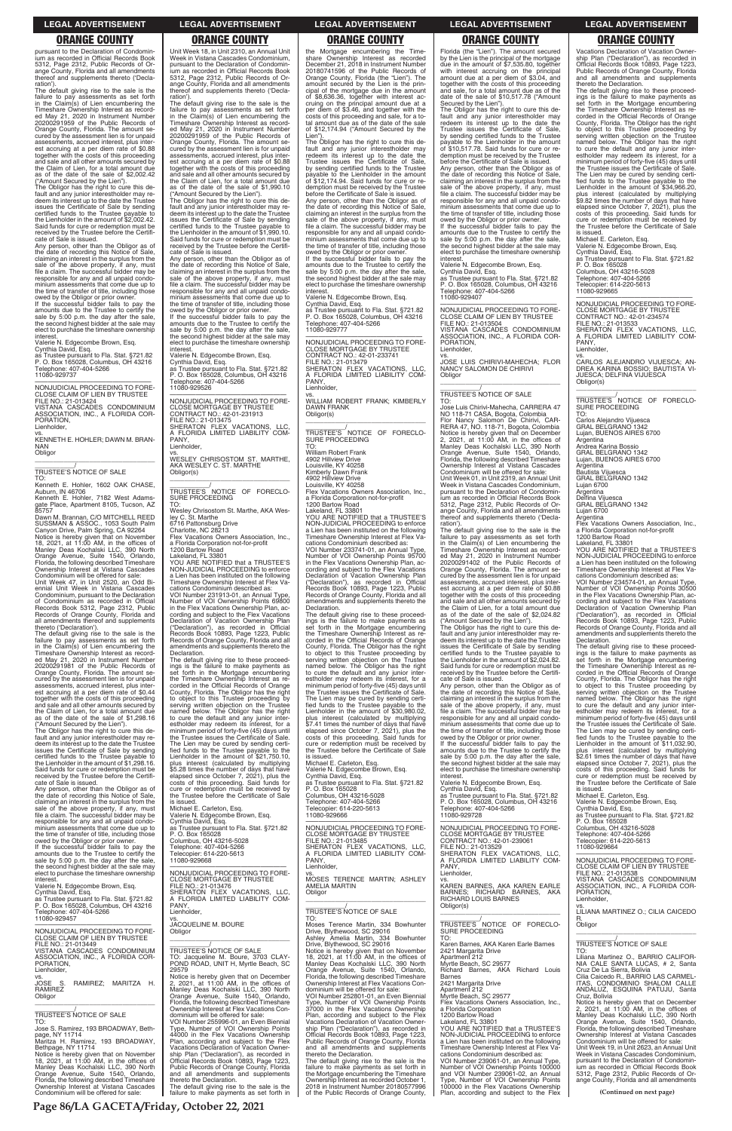pursuant to the Declaration of Condomin-ium as recorded in Official Records Book 5312, Page 2312, Public Records of Orange County, Florida and all amendments thereof and supplements thereto ('Declaration').

The default giving rise to the sale is the failure to pay assessments as set forth in the Claim(s) of Lien encumbering the Timeshare Ownership Interest as record-ed May 21, 2020 in Instrument Number 20200291959 of the Public Records of Orange County, Florida. The amount se-cured by the assessment lien is for unpaid assessments, accrued interest, plus interest accruing at a per diem rate of \$0.88 together with the costs of this proceeding and sale and all other amounts secured by the Claim of Lien, for a total amount due as of the date of the sale of \$2,002.42

owed by the Obligor or prior owner. If the successful bidder fails to pay the amounts due to the Trustee to certify the sale by 5:00 p.m. the day after the sale. the second highest bidder at the sale may elect to purchase the timeshare ownership interest

("Amount Secured by the Lien"). The Obligor has the right to cure this de-fault and any junior interestholder may redeem its interest up to the date the Trustee issues the Certificate of Sale by sending certified funds to the Trustee payable to the Lienholder in the amount of \$2,002.42. Said funds for cure or redemption must be received by the Trustee before the Certificate of Sale is issued.

vs. KENNETH E. HOHLER; DAWN M. BRAN-NAN **Obligor**  $\overline{\phantom{a}}$  , and the set of the set of the set of the set of the set of the set of the set of the set of the set of the set of the set of the set of the set of the set of the set of the set of the set of the set of the s

Any person, other than the Obligor as of the date of recording this Notice of Sale, claiming an interest in the surplus from the sale of the above property, if any, must file a claim. The successful bidder may be responsible for any and all unpaid condo-minium assessments that come due up to the time of transfer of title, including those

Valerie N. Edgecombe Brown, Esq. Cynthia David, Esq.

as Trustee pursuant to Fla. Stat. §721.82 P. O. Box 165028, Columbus, OH 43216 Telephone: 407-404-5266 11080-929737

—————————————————— NONJUDICIAL PROCEEDING TO FORE-CLOSE CLAIM OF LIEN BY TRUSTEE FILE NO.: 21-013424 VISTANA CASCADES CONDOMINIUM ASSOCIATION, INC., A FLORIDA COR-

PORATION,

Lienholder,

# \_\_\_\_\_\_\_\_\_\_\_/ TRUSTEE'S NOTICE OF SALE

TO: Kenneth E. Hohler, 1602 OAK CHASE, Auburn, IN 46706 Kenneth E. Hohler, 7182 West Adams-

gate Place, Apartment 8105, Tucson, AZ 85757

Dawn M. Brannan, C/O MITCHELL REED SUSSMAN & ASSOC., 1053 South Palm Canyon Drive, Palm Spring, CA 92264 Notice is hereby given that on November 18, 2021, at 11:00 AM, in the offices of Manley Deas Kochalski LLC, 390 North Orange Avenue, Suite 1540, Orlando, Florida, the following described Timeshare Ownership Interest at Vistana Cascades

Condominium will be offered for sale: Unit Week 47, in Unit 2520, an Odd Biennial Unit Week in Vistana Cascades Condominium, pursuant to the Declaration of Condominium as recorded in Official Records Book 5312, Page 2312, Public Records of Orange County, Florida and all amendments thereof and supplements thereto ('Declaration').

The default giving rise to the sale is the failure to pay assessments as set forth in the Claim(s) of Lien encumbering the Timeshare Ownership Interest as record-ed May 21, 2020 in Instrument Number 20200291981 of the Public Records of Orange County, Florida. The amount se-cured by the assessment lien is for unpaid assessments, accrued interest, plus interest accruing at a per diem rate of \$0.44 together with the costs of this proceeding and sale and all other amounts secured by the Claim of Lien, for a total amount due as of the date of the sale of \$1,298.16 If the successful bidder fails to pay the amounts due to the Trustee to certify the sale by 5:00 p.m. the day after the sale, the second highest bidder at the sale may elect to purchase the timeshare ownership nterest

("Amount Secured by the Lien"). The Obligor has the right to cure this de-fault and any junior interestholder may redeem its interest up to the date the Trustee issues the Certificate of Sale by sending certified funds to the Trustee payable to the Lienholder in the amount of \$1,298.16. Said funds for cure or redemption must be received by the Trustee before the Certificate of Sale is issued.

VOI Number 231913-01, an Annual Type, Number of VOI Ownership Points 69800 in the Flex Vacations Ownership Plan, according and subject to the Flex Vacations Declaration of Vacation Ownership Plan ("Declaration"), as recorded in Official Records Book 10893, Page 1223, Public Records of Orange County, Florida and all amendments and supplements thereto the **Declaration** 

Any person, other than the Obligor as of the date of recording this Notice of Sale, claiming an interest in the surplus from the sale of the above property, if any, must file a claim. The successful bidder may be responsible for any and all unpaid condo-minium assessments that come due up to the time of transfer of title, including those

Michael E. Carleton, Esg. Valerie N. Edgecombe Brown, Esq.

Unit Week 18, in Unit 2310, an Annual Unit Week in Vistana Cascades Condominium, pursuant to the Declaration of Condominium as recorded in Official Records Book 5312, Page 2312, Public Records of Orange County, Florida and all amendments thereof and supplements thereto ('Decla-

ration'). The default giving rise to the sale is the failure to pay assessments as set forth in the Claim(s) of Lien encumbering the Timeshare Ownership Interest as record-ed May 21, 2020 in Instrument Number 20200291959 of the Public Records of Orange County, Florida. The amount secured by the assessment lien is for unpaid assessments, accrued interest, plus interest accruing at a per diem rate of \$0.88 together with the costs of this proceeding and sale and all other amounts secured by the Claim of Lien, for a total amount due as of the date of the sale of \$1,990.10 ("Amount Secured by the Lien").

> If the successful bidder fails to pay the amounts due to the Trustee to certify the sale by 5:00 p.m. the day after the sale, the second highest bidder at the sale may elect to purchase the timeshare ownership

vs. WILLIAM ROBERT FRANK; KIMBERLY DAWN FRANK Obligor(s)  $\overline{\phantom{a}}$  , and the set of the set of the set of the set of the set of the set of the set of the set of the set of the set of the set of the set of the set of the set of the set of the set of the set of the set of the s

TRUSTEE'S NOTICE OF FORECLO-SURE PROCEEDING TO:

The Obligor has the right to cure this de-fault and any junior interestholder may re-deem its interest up to the date the Trustee issues the Certificate of Sale by sending certified funds to the Trustee payable to the Lienholder in the amount of \$1,990.10. Said funds for cure or redemption must be received by the Trustee before the Certifi-cate of Sale is issued.

Any person, other than the Obligor as of the date of recording this Notice of Sale, claiming an interest in the surplus from the sale of the above property, if any, must file a claim. The successful bidder may be responsible for any and all unpaid condominium assessments that come due up to the time of transfer of title, including those owed by the Obligor or prior owner.

Valerie N. Edgecombe Brown, Esq. Cynthia David, Esq. as Trustee pursuant to Fla. Stat. §721.82 P. O. Box 165028, Columbus, OH 43216 elephone: 407-404-5266 11080-929526

—————————————————— NONJUDICIAL PROCEEDING TO FORE-CLOSE MORTGAGE BY TRUSTEE CONTRACT NO.: 42-01-231913 FILE NO.: 21-013475 SHERATON FLEX VACATIONS, LLC, A FLORIDA LIMITED LIABILITY COM-PANY, Lienholder, vs.

WESLEY CHRISOSTOM ST. MARTHE, AKA WESLEY C. ST. MARTHE Obligor(s) \_\_\_\_\_\_\_\_\_\_\_\_\_\_\_\_\_\_\_\_\_\_\_\_\_\_\_\_\_\_\_\_\_

\_\_\_\_\_\_\_\_\_\_\_/ TRUSTEE'S NOTICE OF FORECLO-SURE PROCEEDING

TO: Wesley Chrisostom St. Marthe, AKA Wes-

ley C. St. Marthe 6716 Pattonsburg Drive

Charlotte, NC 28213

Flex Vacations Owners Association, Inc., a Florida Corporation not-for-profit 1200 Bartow Road

Lakeland, FL 33801 YOU ARE NOTIFIED that a TRUSTEE'S NON-JUDICIAL PROCEEDING to enforce a Lien has been instituted on the following Timeshare Ownership Interest at Flex Vacations Condominium described as:

vs. JOSE LUIS CHIRIVI-MAHECHA; FLOR NANCY SALOMON DE CHIRIVI Obligor  $\overline{\phantom{a}}$  ,  $\overline{\phantom{a}}$  ,  $\overline{\phantom{a}}$  ,  $\overline{\phantom{a}}$  ,  $\overline{\phantom{a}}$  ,  $\overline{\phantom{a}}$  ,  $\overline{\phantom{a}}$  ,  $\overline{\phantom{a}}$  ,  $\overline{\phantom{a}}$  ,  $\overline{\phantom{a}}$  ,  $\overline{\phantom{a}}$  ,  $\overline{\phantom{a}}$  ,  $\overline{\phantom{a}}$  ,  $\overline{\phantom{a}}$  ,  $\overline{\phantom{a}}$  ,  $\overline{\phantom{a}}$ 

The default giving rise to these proceedings is the failure to make payments as set forth in the Mortgage encumbering the Timeshare Ownership Interest as recorded in the Official Records of Orange County, Florida. The Obligor has the right to object to this Trustee proceeding by serving written objection on the Trustee named below. The Obligor has the right to cure the default and any junior interestholder may redeem its interest, for a minimum period of forty-five (45) days until the Trustee issues the Certificate of Sale. The Lien may be cured by sending certi-fied funds to the Trustee payable to the Lienholder in the amount of \$21,750.10, plus interest (calculated by multiplying \$5.28 times the number of days that have elapsed since October 7, 2021), plus the costs of this proceeding. Said funds for cure or redemption must be received by the Trustee before the Certificate of Sale is issued.

Cynthia David, Esq. as Trustee pursuant to Fla. Stat. §721.82 P. O. Box 165028

If the successful bidder fails to pay the amounts due to the Trustee to certify the sale by 5:00 p.m. the day after the sale, the second highest bidder at the sale may elect to purchase the timeshare ownership<br>interest.

the Mortgage encumbering the Time-share Ownership Interest as recorded December 21, 2018 in Instrument Number 20180741596 of the Public Records of Orange County, Florida (the "Lien"). The amount secured by the Lien is the principal of the mortgage due in the amount of \$8,636.36, together with interest accruing on the principal amount due at a per diem of \$3.46, and together with the costs of this proceeding and sale, for a total amount due as of the date of the sale of \$12,174.94 ("Amount Secured by the

Lien"). The Obligor has the right to cure this de-fault and any junior interestholder may redeem its interest up to the date the Trustee issues the Certificate of Sale, by sending certified funds to the Trustee payable to the Lienholder in the amount of \$12,174.94. Said funds for cure or redemption must be received by the Trustee before the Certificate of Sale is issued.

Any person, other than the Obligor as of the date of recording this Notice of Sale, claiming an interest in the surplus from the sale of the above property, if any, must file a claim. The successful bidder may be responsible for any and all unpaid condominium assessments that come due up to the time of transfer of title, including those owed by the Obligor or prior owner.

interest. Valerie N. Edgecombe Brown, Esq. Cynthia David, Esq. as Trustee pursuant to Fla. Stat. §721.82 P. O. Box 165028, Columbus, OH 43216 Telephone: 407-404-5266 11080-929777

—————————————————— NONJUDICIAL PROCEEDING TO FORE-CLOSE MORTGAGE BY TRUSTEE CONTRACT NO.: 42-01-233741 FILE NO.: 21-013479 SHERATON FLEX VACATIONS, LLC, A FLORIDA LIMITED LIABILITY COM-PANY Lienholder,

William Robert Frank

- 4902 Hillview Drive Louisville, KY 40258 Kimberly Dawn Frank
- 4902 Hillview Drive Louisville, KY 40258

Flex Vacations Owners Association, Inc.,

a Florida Corporation not-for-profit 1200 Bartow Road

Lakeland, FL 33801 YOU ARE NOTIFIED that a TRUSTEE'S NON-JUDICIAL PROCEEDING to enforce a Lien has been instituted on the following Timeshare Ownership Interest at Flex Va-cations Condominium described as:

VOI Number 233741-01, an Annual Type, Number of VOI Ownership Points 95700 in the Flex Vacations Ownership Plan, according and subject to the Flex Vacations Declaration of Vacation Ownership Plan ("Declaration"), as recorded in Official Records Book 10893, Page 1223, Public Records of Orange County, Florida and all amendments and supplements thereto the Declaration.

The default giving rise to these proceed-ings is the failure to make payments as set forth in the Mortgage encumbering the Timeshare Ownership Interest as re-corded in the Official Records of Orange County, Florida. The Obligor has the right to object to this Trustee proceeding by serving written objection on the Trustee named below. The Obligor has the right to cure the default and any junior inter-estholder may redeem its interest, for a minimum period of forty-five (45) days until the Trustee issues the Certificate of Sale. The Lien may be cured by sending certified funds to the Trustee payable to the Lienholder in the amount of \$30,980.02, plus interest (calculated by multiplying \$7.41 times the number of days that have elapsed since October 7, 2021), plus the costs of this proceeding. Said funds for cure or redemption must be received by the Trustee before the Certificate of Sale is issued.

Michael E. Carleton, Esq. Valerie N. Edgecombe Brown, Esq. Cynthia David, Esq.

as Trustee pursuant to Fla. Stat. §721.82 P. O. Box 165028 Columbus, OH 43216-5028

Telephone: 407-404-5266 opier: 614-220-5613 11080-929666

—————————————————— NONJUDICIAL PROCEEDING TO FORE-CLOSE MORTGAGE BY TRUSTEE

| minium assessments that come due up to<br>the time of transfer of title, including those<br>owed by the Obligor or prior owner.<br>If the successful bidder fails to pay the<br>amounts due to the Trustee to certify the              | as Trustee pursuant to Fla. Stat. §721.82<br>P. O. Box 165028<br>Columbus, OH 43216-5028<br>Telephone: 407-404-5266<br>Telecopier: 614-220-5613                                                                                                                                           | NONJUDICIAL PROCEEDING TO FORE-<br><b>CLOSE MORTGAGE BY TRUSTEE</b><br>FILE NO.: 21-013485<br>SHERATON FLEX VACATIONS, LLC,<br>A FLORIDA LIMITED LIABILITY COM-                                                                                                                             | NONJUDICIAL PROCEEDING TO FORE-<br><b>CLOSE MORTGAGE BY TRUSTEE</b><br>CONTRACT NO.: 42-01-239061<br>FILE NO.: 21-013529<br>SHERATON FLEX VACATIONS. LLC.                                                                                                                                     | Columbus, OH 43216-5028<br>Telephone: 407-404-5266<br>Telecopier: 614-220-5613<br>11080-929664                                                                                                                                                                   |
|----------------------------------------------------------------------------------------------------------------------------------------------------------------------------------------------------------------------------------------|-------------------------------------------------------------------------------------------------------------------------------------------------------------------------------------------------------------------------------------------------------------------------------------------|---------------------------------------------------------------------------------------------------------------------------------------------------------------------------------------------------------------------------------------------------------------------------------------------|-----------------------------------------------------------------------------------------------------------------------------------------------------------------------------------------------------------------------------------------------------------------------------------------------|------------------------------------------------------------------------------------------------------------------------------------------------------------------------------------------------------------------------------------------------------------------|
| sale by 5:00 p.m. the day after the sale,<br>the second highest bidder at the sale may<br>elect to purchase the timeshare ownership<br>interest.<br>Valerie N. Edgecombe Brown, Esq.<br>Cynthia David, Esq.                            | 11080-929668<br>NONJUDICIAL PROCEEDING TO FORE-<br><b>CLOSE MORTGAGE BY TRUSTEE</b><br>FILE NO.: 21-013476<br>SHERATON FLEX VACATIONS. LLC.<br>A FLORIDA LIMITED LIABILITY COM-                                                                                                           | PANY.<br>Lienholder,<br>VS.<br>MOSES TERENCE MARTIN; ASHLEY<br><b>AMELIA MARTIN</b><br>Obligor                                                                                                                                                                                              | A FLORIDA LIMITED LIABILITY COM-<br>PANY.<br>Lienholder.<br>VS.<br>KAREN BARNES, AKA KAREN EARLE<br>BARNES; RICHARD BARNES, AKA<br>RICHARD LOUIS BARNES                                                                                                                                       | NONJUDICIAL PROCEEDING TO FORE-<br>CLOSE CLAIM OF LIEN BY TRUSTEE<br>FILE NO.: 21-013538<br>VISTANA CASCADES CONDOMINIUM<br>ASSOCIATION, INC., A FLORIDA COR-<br>PORATION.                                                                                       |
| as Trustee pursuant to Fla. Stat. §721.82<br>P. O. Box 165028. Columbus, OH 43216<br>Telephone: 407-404-5266<br>11080-929457                                                                                                           | PANY.<br>Lienholder,<br>VS.<br><b>JACQUELINE M. BOURE</b>                                                                                                                                                                                                                                 | TRUSTEE'S NOTICE OF SALE<br>TO:<br>Moses Terence Martin, 334 Bowhunter                                                                                                                                                                                                                      | Obligor(s)<br>TRUSTEE'S NOTICE OF FORECLO-                                                                                                                                                                                                                                                    | Lienholder.<br>VS.<br>LILIANA MARTINEZ O.; CILIA CAICEDO<br>Obligor                                                                                                                                                                                              |
| NONJUDICIAL PROCEEDING TO FORE-<br>CLOSE CLAIM OF LIEN BY TRUSTEE<br>FILE NO.: 21-013449<br>VISTANA CASCADES CONDOMINIUM<br>ASSOCIATION, INC., A FLORIDA COR-<br>PORATION,                                                             | Obligor<br>TRUSTEE'S NOTICE OF SALE<br>TO: Jacqueline M. Boure, 3703 CLAY-<br>POND ROAD, UNIT H, Myrtle Beach, SC                                                                                                                                                                         | Drive, Blythewood, SC 29016<br>Ashley Amelia Martin, 334 Bowhunter<br>Drive, Blythewood, SC 29016<br>Notice is hereby given that on November<br>18, 2021, at $11:00$ AM, in the offices of<br>Manley Deas Kochalski LLC, 390 North                                                          | SURE PROCEEDING<br>TO:<br>Karen Barnes, AKA Karen Earle Barnes<br>2421 Margarita Drive<br>Apartment 212<br>Myrtle Beach, SC 29577                                                                                                                                                             | TRUSTEE'S NOTICE OF SALE<br>TO.<br>Liliana Martinez O., BARRIO CALIFOR-<br>NIA CALE SANTA LUCAS, # 2, Santa                                                                                                                                                      |
| Lienholder,<br>VS.<br>JOSE S.<br>RAMIREZ; MARITZA H.<br><b>RAMIREZ</b><br>Obligor                                                                                                                                                      | 29579<br>Notice is hereby given that on December<br>2, 2021, at 11:00 AM, in the offices of<br>Manley Deas Kochalski LLC, 390 North<br>Orange Avenue, Suite 1540, Orlando,<br>Florida, the following described Timeshare                                                                  | Orange Avenue, Suite 1540, Orlando,<br>Florida, the following described Timeshare<br>Ownership Interest at Flex Vacations Con-<br>dominium will be offered for sale:<br>VOI Number 252801-01, an Even Biennial<br>Type, Number of VOI Ownership Points                                      | Richard Barnes, AKA Richard Louis<br><b>Barnes</b><br>2421 Margarita Drive<br>Apartment 212<br>Myrtle Beach, SC 29577<br>Flex Vacations Owners Association, Inc.,                                                                                                                             | Cruz De La Sierra, Bolivia<br>Cilia Caicedo R., BARRIO LAS CARMEL-<br>ITAS, CONDOMINIO SHALOM CALLE<br>ANDALUZ, ESQUINA PATUJU, Santa<br>Cruz, Bolivia<br>Notice is hereby given that on December                                                                |
| <b>TRUSTEE'S NOTICE OF SALE</b><br>TO:<br>Jose S. Ramirez, 193 BROADWAY, Beth-<br>page, NY 11714<br>Maritza H. Ramirez, 193 BROADWAY,                                                                                                  | Ownership Interest at Flex Vacations Con-<br>dominium will be offered for sale:<br>VOI Number 255996-01, an Even Biennial<br>Type, Number of VOI Ownership Points<br>44000 in the Flex Vacations Ownership                                                                                | 37000 in the Flex Vacations Ownership<br>Plan, according and subject to the Flex<br>Vacations Declaration of Vacation Owner-<br>ship Plan ("Declaration"), as recorded in<br>Official Records Book 10893, Page 1223,                                                                        | a Florida Corporation<br>1200 Bartow Road<br>Lakeland. FL 33801<br>YOU ARE NOTIFIED that a TRUSTEE'S<br>NON-JUDICIAL PROCEEDING to enforce                                                                                                                                                    | 2, 2021, at 11:00 AM, in the offices of<br>Manley Deas Kochalski LLC, 390 North<br>Orange Avenue, Suite 1540, Orlando,<br>Florida, the following described Timeshare<br>Ownership Interest at Vistana Cascades<br>Condominium will be offered for sale:          |
| Bethpage, NY 11714<br>Notice is hereby given that on November<br>18, 2021, at 11:00 AM, in the offices of<br>Manley Deas Kochalski LLC, 390 North<br>Orange Avenue, Suite 1540, Orlando,<br>Florida, the following described Timeshare | Plan, according and subject to the Flex<br>Vacations Declaration of Vacation Owner-<br>ship Plan ("Declaration"), as recorded in<br>Official Records Book 10893, Page 1223,<br>Public Records of Orange County, Florida<br>and all amendments and supplements<br>thereto the Declaration. | Public Records of Orange County, Florida<br>and all amendments and supplements<br>thereto the Declaration.<br>The default giving rise to the sale is the<br>failure to make payments as set forth in<br>the Mortgage encumbering the Timeshare<br>Ownership Interest as recorded October 1. | a Lien has been instituted on the following<br>Timeshare Ownership Interest at Flex Va-<br>cations Condominium described as:<br>VOI Number 239061-01, an Annual Type,<br>Number of VOI Ownership Points 100000<br>and VOI Number 239061-02, an Annual<br>Type, Number of VOI Ownership Points | Unit Week 19, in Unit 2623, an Annual Unit<br>Week in Vistana Cascades Condominium,<br>pursuant to the Declaration of Condomin-<br>jum as recorded in Official Records Book<br>5312, Page 2312, Public Records of Or-<br>ange County, Florida and all amendments |
| Ownership Interest at Vistana Cascades<br>Condominium will be offered for sale:                                                                                                                                                        | The default giving rise to the sale is the<br>failure to make payments as set forth in                                                                                                                                                                                                    | 2018 in Instrument Number 20180577996<br>of the Public Records of Orange County,                                                                                                                                                                                                            | 100000 in the Flex Vacations Ownership<br>Plan, according and subject to the Flex                                                                                                                                                                                                             | (Continued on next page)                                                                                                                                                                                                                                         |

Florida (the "Lien"). The amount secured by the Lien is the principal of the mortgage due in the amount of \$7,535.80, together with interest accruing on the principal amount due at a per diem of \$3.04, and together with the costs of this proceeding and sale, for a total amount due as of the date of the sale of \$10,517.78 ("Amount

Secured by the Lien"). The Obligor has the right to cure this de-fault and any junior interestholder may redeem its interest up to the date the Trustee issues the Certificate of Sale, by sending certified funds to the Trustee payable to the Lienholder in the amount of \$10,517.78. Said funds for cure or re-demption must be received by the Trustee before the Certificate of Sale is issued.

Any person, other than the Obligor as of the date of recording this Notice of Sale, claiming an interest in the surplus from the sale of the above property, if any, must file a claim. The successful bidder may be responsible for any and all unpaid condominium assessments that come due up to the time of transfer of title, including those

owed by the Obligor or prior owner. If the successful bidder fails to pay the amounts due to the Trustee to certify the sale by 5:00 p.m. the day after the sale the second highest bidder at the sale may elect to purchase the timeshare ownership interest.

Valerie N. Edgecombe Brown, Esq. Cynthia David, Esq.

as Trustee pursuant to Fla. Stat. §721.82 P. O. Box 165028, Columbus, OH 43216 Telephone: 407-404-5266 11080-929407

—————————————————— NONJUDICIAL PROCEEDING TO FORE-CLOSE CLAIM OF LIEN BY TRUSTEE FILE NO.: 21-013504 VISTANA CASCADES CONDOMINIUM ASSOCIATION, INC., A FLORIDA COR-PORATION, Lienholder,

### \_\_\_\_\_\_\_\_\_\_\_/ TRUSTEE'S NOTICE OF SALE TO:

Jose Luis Chirivi-Mahecha, CARRERA 47 NO 118-71 CASA, Bogota, Colombia Flor Nancy Salomon De Chirivi, CAR-RERA 47, NO. 118-71, Bogota, Colombia Notice is hereby given that on December 2, 2021, at 11:00 AM, in the offices of Manley Deas Kochalski LLC, 390 North Orange Avenue, Suite 1540, Orlando, Florida, the following described Timeshare Ownership Interest at Vistana Cascades Condominium will be offered for sale:

Unit Week 01, in Unit 2319, an Annual Unit Week in Vistana Cascades Condominium, pursuant to the Declaration of Condominium as recorded in Official Records Book 5312, Page 2312, Public Records of Orange County, Florida and all amendments thereof and supplements thereto ('Decla-

ration'). The default giving rise to the sale is the failure to pay assessments as set forth in the Claim(s) of Lien encumbering the Timeshare Ownership Interest as recorded May 21, 2020 in Instrument Number 20200291402 of the Public Records of Orange County, Florida. The amount se-cured by the assessment lien is for unpaid assessments, accrued interest, plus interest accruing at a per diem rate of \$0.88 together with the costs of this proceeding and sale and all other amounts secured by the Claim of Lien, for a total amount due as of the date of the sale of \$2,024.82 ("Amount Secured by the Lien").

The Obligor has the right to cure this de-fault and any junior interestholder may re-deem its interest up to the date the Trustee issues the Certificate of Sale by sending

certified funds to the Trustee payable to the Lienholder in the amount of \$2,024.82. Said funds for cure or redemption must be received by the Trustee before the Certifi-cate of Sale is issued.

Any person, other than the Obligor as of the date of recording this Notice of Sale, claiming an interest in the surplus from the sale of the above property, if any, must file a claim. The successful bidder may be responsible for any and all unpaid condominium assessments that come due up to the time of transfer of title, including those owed by the Obligor or prior owner.

interest. Valerie N. Edgecombe Brown, Esq. Cynthia David, Esq. as Trustee pursuant to Fla. Stat. §721.82 P. O. Box 165028, Columbus, OH 43216 elephone: 407-404-5266 11080-929728

—————————————————— NONJUDICIAL PROCEEDING TO FORE-CLOSE MORTGAGE BY TRUSTEE

Vacations Declaration of Vacation Owner-ship Plan ("Declaration"), as recorded in Official Records Book 10893, Page 1223, Public Records of Orange County, Florida and all amendments and supplements thereto the Declaration.

The default giving rise to these proceed-ings is the failure to make payments as set forth in the Mortgage encumbering the Timeshare Ownership Interest as re-corded in the Official Records of Orange County, Florida. The Obligor has the right to object to this Trustee proceeding by serving written objection on the Trustee named below. The Obligor has the right to cure the default and any junior inter-estholder may redeem its interest, for a minimum period of forty-five (45) days until the Trustee issues the Certificate of Sale. The Lien may be cured by sending certified funds to the Trustee payable to the<br>Lienholder in the amount of \$34,966.20, plus in the ameant of  $\sqrt{9}$ ,  $\sqrt{9}$ \$9.82 times the number of days that have elapsed since October 7, 2021), plus the costs of this proceeding. Said funds for cure or redemption must be received by the Trustee before the Certificate of Sale

is issued. Michael E. Carleton, Esq. Valerie N. Edgecombe Brown, Esq. Cynthia David, Esq. as Trustee pursuant to Fla. Stat. §721.82 P. O. Box 165028 Columbus, OH 43216-5028 Telephone: 407-404-5266 Telecopier: 614-220-5613 11080-929665

—————————————————— NONJUDICIAL PROCEEDING TO FORE-CLOSE MORTGAGE BY TRUSTEE CONTRACT NO.: 42-01-234574

FILE NO.: 21-013533 SHERATON FLEX VACATIONS, LLC, A FLORIDA LIMITED LIABILITY COM-PANY, Lienholder,

vs. CARLOS ALEJANDRO VIJUESCA; AN-DREA KARINA BOSSIO; BAUTISTA VI-JUESCA; DELFINA VIJUESCA Obligor(s)

\_\_\_\_\_\_\_\_\_\_\_\_\_\_\_\_\_\_\_\_\_\_\_\_\_\_\_\_\_\_\_\_\_ \_\_\_\_\_\_\_\_\_\_\_/ TRUSTEE'S NOTICE OF FORECLO-SURE PROCEEDING TO:

Carlos Alejandro Vijuesca GRAL BELGRANO 1342 Lujan, BUENOS AIRES 6700

Argentina Andrea Karina Bossio

GRAL BELGRANO 1342

Lujan, BUENOS AIRES 6700 Argentina Bautista Vijuesca

GRAL BELGRANO 1342

Lujan 6700 Argentina Delfina Vijuesca GRAL BELGRANO 1342

Lujan 6700

Argentina Flex Vacations Owners Association, Inc., a Florida Corporation not-for-profit

1200 Bartow Road Lakeland, FL 33801

YOU ARE NOTIFIED that a TRUSTEE'S NON-JUDICIAL PROCEEDING to enforce a Lien has been instituted on the following Timeshare Ownership Interest at Flex Vacations Condominium described as: VOI Number 234574-01, an Annual Type, Number of VOI Ownership Points 30500 in the Flex Vacations Ownership Plan, ac-cording and subject to the Flex Vacations Declaration of Vacation Ownership Plan<br>("Declaration") as recorded in Official ("Declaration"), as recorded in Official Records Book 10893, Page 1223, Public Records of Orange County, Florida and all amendments and supplements thereto the

Declaration.

The default giving rise to these proceed-ings is the failure to make payments as set forth in the Mortgage encumbering

the Timeshare Ownership Interest as re-corded in the Official Records of Orange County, Florida. The Obligor has the right

to object to this Trustee proceeding by serving written objection on the Trustee named below. The Obligor has the right

to cure the default and any junior inter-estholder may redeem its interest, for a minimum period of forty-five (45) days until the Trustee issues the Certificate of Sale. The Lien may be cured by sending certi-fied funds to the Trustee payable to the Lienholder in the amount of \$11,032.90. plus interest (calculated by multiplying \$2.61 times the number of days that have elapsed since October 7, 2021), plus the costs of this proceeding. Said funds for cure or redemption must be received by the Trustee before the Certificate of Sale

is issued.

Michael E. Carleton, Esq.

Valerie N. Edgecombe Brown, Esq. Cynthia David, Esq. as Trustee pursuant to Fla. Stat. §721.82

P. O. Box 165028

### **LEGAL ADVERTISEMENT LEGAL ADVERTISEMENT LEGAL ADVERTISEMENT LEGAL ADVERTISEMENT LEGAL ADVERTISEMENT**

# **ORANGE COUNTY ORANGE COUNTY ORANGE COUNTY ORANGE COUNTY ORANGE COUNTY**

**Page 86/LA GACETA/Friday, October 22, 2021**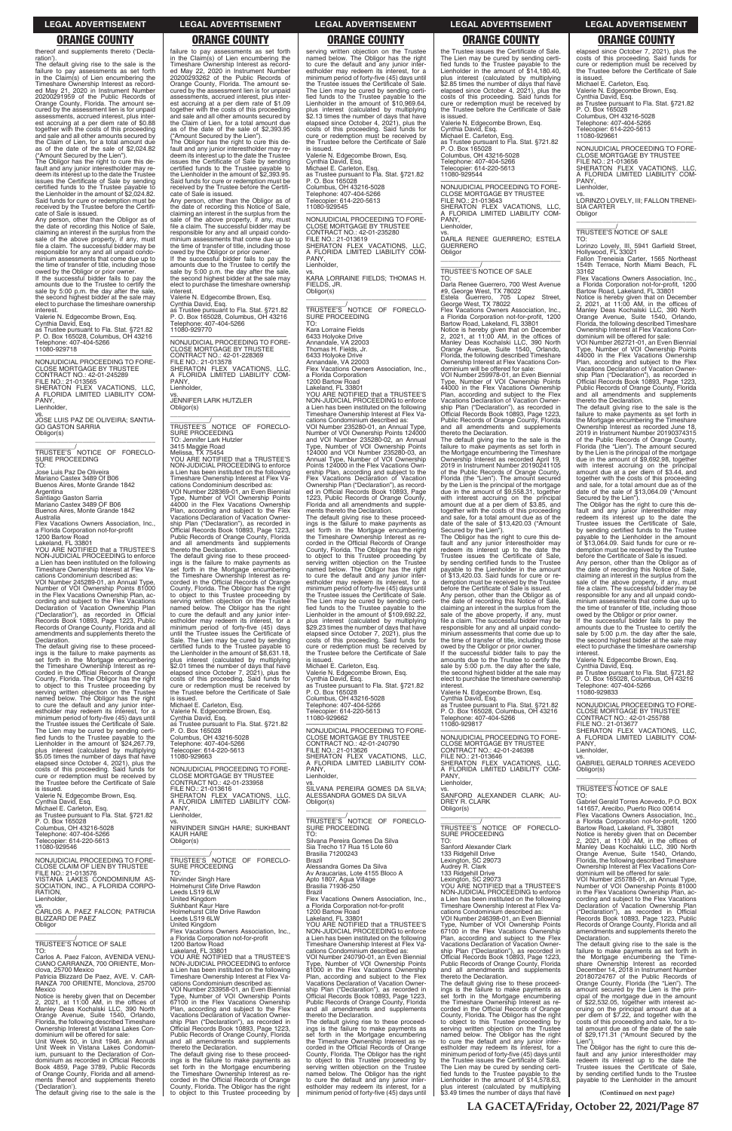thereof and supplements thereto ('Declaration')

The default giving rise to the sale is the failure to pay assessments as set forth in the Claim(s) of Lien encumbering the Timeshare Ownership Interest as recorded May 21, 2020 in Instrument Number 20200291959 of the Public Records of Orange County, Florida. The amount se-cured by the assessment lien is for unpaid assessments, accrued interest, plus interest accruing at a per diem rate of \$0.88 together with the costs of this proceeding and sale and all other amounts secured by the Claim of Lien, for a total amount due as of the date of the sale of \$2,024.82 ("Amount Secured by the Lien").

The Obligor has the right to cure this de-fault and any junior interestholder may re-deem its interest up to the date the Trustee issues the Certificate of Sale by sending certified funds to the Trustee payable to the Lienholder in the amount of \$2,024.82. Said funds for cure or redemption must be received by the Trustee before the Certifi-cate of Sale is issued.

—————————————————— NONJUDICIAL PROCEEDING TO FORE-CLOSE MORTGAGE BY TRUSTEE CONTRACT NO.: 42-01-245289 FILE NO.: 21-013565 SHERATON FLEX VACATIONS, LLC, A FLORIDA LIMITED LIABILITY COM-PANY Lienholder

JOSE LUIS PAZ DE OLIVEIRA; SANTIA-GO GASTON SARRIA Obligor(s)  $\overline{\phantom{a}}$  ,  $\overline{\phantom{a}}$  ,  $\overline{\phantom{a}}$  ,  $\overline{\phantom{a}}$  ,  $\overline{\phantom{a}}$  ,  $\overline{\phantom{a}}$  ,  $\overline{\phantom{a}}$  ,  $\overline{\phantom{a}}$  ,  $\overline{\phantom{a}}$  ,  $\overline{\phantom{a}}$  ,  $\overline{\phantom{a}}$  ,  $\overline{\phantom{a}}$  ,  $\overline{\phantom{a}}$  ,  $\overline{\phantom{a}}$  ,  $\overline{\phantom{a}}$  ,  $\overline{\phantom{a}}$ 

TRUSTEE'S NOTICE OF FORECLO-SURE PROCEEDING TO:

Any person, other than the Obligor as of the date of recording this Notice of Sale, claiming an interest in the surplus from the sale of the above property, if any, must file a claim. The successful bidder may be responsible for any and all unpaid condominium assessments that come due up to the time of transfer of title, including those owed by the Obligor or prior owner.

If the successful bidder fails to pay the amounts due to the Trustee to certify the sale by 5:00 p.m. the day after the sale, the second highest bidder at the sale may elect to purchase the timeshare ownership interest.

Valerie N. Edgecombe Brown, Esq. Cynthia David, Esq. as Trustee pursuant to Fla. Stat. §721.82 P. O. Box 165028, Columbus, OH 43216 Telephone: 407-404-5266 11080-929718

vs.

Jose Luis Paz De Oliveira

Mariano Castex 3489 Of B06 Buenos Aires, Monte Grande 1842

Argentina

Santiago Gaston Sarria Mariano Castex 3489 OF B06 Buenos Aires, Monte Grande 1842

Australia

Flex Vacations Owners Association, Inc., a Florida Corporation not-for-profit

1200 Bartow Road Lakeland, FL 33801 YOU ARE NOTIFIED that a TRUSTEE'S NON-JUDICIAL PROCEEDING to enforce a Lien has been instituted on the following Timeshare Ownership Interest at Flex Va-

cations Condominium described as: VOI Number 245289-01, an Annual Type, Number of VOI Ownership Points 81000 in the Flex Vacations Ownership Plan, ac-cording and subject to the Flex Vacations Declaration of Vacation Ownership Plan ("Declaration"), as recorded in Official Records Book 10893, Page 1223, Public Records of Orange County, Florida and all amendments and supplements thereto the

Declaration. The default giving rise to these proceed-<br>ings is the failure to make payments as<br>set forth in the Mortgage encumbering<br>the Timeshare Ownership Interest as re-<br>corded in the Official Records of Orange<br>County, Florida. The to object to this Trustee proceeding by serving written objection on the Trustee named below. The Obligor has the right to cure the default and any junior inter-estholder may redeem its interest, for a minimum period of forty-five (45) days until the Trustee issues the Certificate of Sale. The Lien may be cured by sending certi-fied funds to the Trustee payable to the Lienholder in the amount of \$24,267.79, plus interest (calculated by multiplying \$5.05 times the number of days that have elapsed since October 4, 2021), plus the costs of this proceeding. Said funds for cure or redemption must be received by the Trustee before the Certificate of Sale is issued.

vs. JENNIFER LARK HUTZLER Obligor(s)

Valerie N. Edgecombe Brown, Esq. Cynthia David, Esq. Michael E. Carleton, Esq. as Trustee pursuant to Fla. Stat. §721.82 P. O. Box 165028

failure to pay assessments as set forth in the Claim(s) of Lien encumbering the Timeshare Ownership Interest as recorded May 22, 2020 in Instrument Number 20200293262 of the Public Records of Orange County, Florida. The amount secured by the assessment lien is for unpaid assessments, accrued interest, plus interest accruing at a per diem rate of \$1.09 together with the costs of this proceeding and sale and all other amounts secured by the Claim of Lien, for a total amount due as of the date of the sale of \$2,393.95 ("Amount Secured by the Lien").

The Obligor has the right to cure this de-fault and any junior interestholder may re-deem its interest up to the date the Trustee issues the Certificate of Sale by sending certified funds to the Trustee payable to the Lienholder in the amount of \$2,393.95. Said funds for cure or redemption must be received by the Trustee before the Certificate of Sale is issued.

Any person, other than the Obligor as of the date of recording this Notice of Sale, claiming an interest in the surplus from the sale of the above property, if any, must file a claim. The successful bidder may be responsible for any and all unpaid condominium assessments that come due up to the time of transfer of title, including those owed by the Obligor or prior owner.

> \_\_\_\_\_\_\_\_\_\_\_/<br>TRUSTEE'S NOTICE OF FORECLO-<br>SURE PROCEEDING TO: Kara Lorraine Fields 6433 Holyoke Drive Annandale, VA 22003 Thomas H. Fields, Jr. 6433 Holyoke Drive Annandale, VA 22003 Flex Vacations Owners Association, Inc., a Florida Corporation 1200 Bartow Road Lakeland, FL 33801 YOU ARE NOTIFIED that a TRUSTEE'S NON-JUDICIAL PROCEEDING to enforce a Lien has been instituted on the following Timeshare Ownership Interest at Flex Vacations Condominium described as: VOI Number 235280-01, an Annual Type, Number of VOI Ownership Points 124000 and VOI Number 235280-02, an Annual Type, Number of VOI Ownership Points 124000 and VOI Number 235280-03, an Annual Type, Number of VOI Ownership Points 124000 in the Flex Vacations Ownership Plan, according and subject to the Flex Vacations Declaration of Vacation Ownership Plan ("Declaration"), as recorded in Official Records Book 10893, Page 1223, Public Records of Orange County, Florida and all amendments and supplements thereto the Declaration. The default giving rise to these proceed-ings is the failure to make payments as

If the successful bidder fails to pay the amounts due to the Trustee to certify the sale by 5:00 p.m. the day after the sale, the second highest bidder at the sale may elect to purchase the timeshare ownership

interest. Valerie N. Edgecombe Brown, Esq. Cynthia David, Esq. as Trustee pursuant to Fla. Stat. §721.82 P. O. Box 165028, Columbus, OH 43216 Telephone: 407-404-5266 11080-929770

—————————————————— NONJUDICIAL PROCEEDING TO FORE-CLOSE MORTGAGE BY TRUSTEE CONTRACT NO.: 42-01-228369 FILE NO.: 21-013578 SHERATON FLEX VACATIONS, LLC, A FLORIDA LIMITED LIABILITY COM-PANY,

> PANY Lienholder, vs. SILVANA PEREIRA GOMES DA SILVA; ALESSANDRA GOMES DA SILVA

\_\_\_\_\_\_\_\_\_\_\_\_\_\_\_\_\_\_\_\_\_\_\_\_\_\_\_\_\_\_\_\_\_ TRUSTEE'S <sup>/</sup>NOTICE OF FORECLO-<br>SURE PROCEEDING<br>TO:

Lienholder,

\_\_\_\_\_\_\_\_\_\_\_\_\_\_\_\_\_\_\_\_\_\_\_\_\_\_\_\_\_\_\_\_\_

\_\_\_\_\_\_\_\_\_\_\_/ TRUSTEE'S NOTICE OF FORECLO-SURE PROCEEDING TO: Jennifer Lark Hutzler 3415 Maggie Road Melissa, TX 75454 YOU ARE NOTIFIED that a TRUSTEE'S NON-JUDICIAL PROCEEDING to enforce

a Lien has been instituted on the following Timeshare Ownership Interest at Flex Va-cations Condominium described as: VOI Number 228369-01, an Even Biennial Type, Number of VOI Ownership Points 44000 in the Flex Vacations Ownership Plan, according and subject to the Flex Vacations Declaration of Vacation Owner-ship Plan ("Declaration"), as recorded in Official Records Book 10893, Page 1223, Public Records of Orange County, Florida and all amendments and supplements thereto the Declaration.

as Trustee pursuant to Fla. Stat. §721.82<br>P. O. Box 165028 P. O. Box 165028 Columbus, OH 43216-5028 Telephone: 407-404-5266

The default giving rise to these proceed-ings is the failure to make payments as set forth in the Mortgage encumbering the Timeshare Ownership Interest as re-corded in the Official Records of Orange County, Florida. The Obligor has the right to object to this Trustee proceeding by serving written objection on the Trustee named below. The Obligor has the right to cure the default and any junior inter-estholder may redeem its interest, for a minimum period of forty-five (45) days until the Trustee issues the Certificate of Sale. The Lien may be cured by sending certified funds to the Trustee payable to the Lienholder in the amount of \$8,631.18, plus interest (calculated by multiplying \$2.01 times the number of days that have elapsed since October 7, 2021), plus the costs of this proceeding. Said funds for cure or redemption must be received by the Trustee before the Certificate of Sale

a Florida Corporation not-for-profit, 1200<br>Bartow Road, Lakeland, FL 33801<br>Notice is hereby given that on December<br>2, 2021, at 11:00 AM, in the offices of<br>Manley Deas Kochalski LLC, 390 North<br>Orange Avenue, Suite 1540, Orl Florida, the following described Timeshare Ownership Interest at Flex Vacations Con-dominium will be offered for sale: VOI Number 259978-01, an Even Biennial

is issued. Michael E. Carleton, Esq. Valerie N. Edgecombe Brown, Esq. Cynthia David, Esq. as Trustee pursuant to Fla. Stat. §721.82 P. O. Box 165028 Columbus, OH 43216-5028 Telephone: 407-404-5266 Telecopier: 614-220-5613 11080-929663

—————————————————— NONJUDICIAL PROCEEDING TO FORE-CLOSE MORTGAGE BY TRUSTEE CONTRACT NO.: 42-01-233958 FILE NO.: 21-013616 SHERATON FLEX VACATIONS, LLC, A FLORIDA LIMITED LIABILITY COM-PANY, Lienholder,

PANY, **Lienholder** 

serving written objection on the Trustee named below. The Obligor has the right to cure the default and any junior inter-estholder may redeem its interest, for a minimum period of forty-five (45) days until the Trustee issues the Certificate of Sale. The Lien may be cured by sending certi-fied funds to the Trustee payable to the Lienholder in the amount of \$10,969.64, plus interest (calculated by multiplying \$2.13 times the number of days that have elapsed since October 4, 2021), plus the costs of this proceeding. Said funds for cure or redemption must be received by the Trustee before the Certificate of Sale is issued.

> Fallon Treneisia Carter, 1565 Northeast 154th Terrace, North Miami Beach, FL 33162 Flex Vacations Owners Association, Inc.

> Notice is hereby given that on December<br>2, 2021, at 11:00 AM, in the offices of<br>Manley Deas Kochalski LLC, 390 North<br>Orange Avenue, Suite 1540, Orlando,<br>Florida, the following described Timeshare<br>Ownership Interest at Flex dominium will be offered for sale:

Valerie N. Edgecombe Brown, Esq. Cynthia David, Esq. Michael E. Carleton, Esq. as Trustee pursuant to Fla. Stat. §721.82 P. O. Box 165028 Columbus, OH 43216-5028 Telephone: 407-404-5266

Telecopier: 614-220-5613 11080-929545

—————————————————— NONJUDICIAL PROCEEDING TO FORE-CLOSE MORTGAGE BY TRUSTEE CONTRACT NO.: 42-01-235280 FILE NO.: 21-013619 SHERATON FLEX VACATIONS, LLC, A FLORIDA LIMITED LIABILITY COM-PANY, Lienholder,

vs. KARA LORRAINE FIELDS; THOMAS H. FIELDS, JR. Obligor(s) \_\_\_\_\_\_\_\_\_\_\_\_\_\_\_\_\_\_\_\_\_\_\_\_\_\_\_\_\_\_\_\_\_

> owed by the Obligor or prior owner. If the successful bidder fails to pay the amounts due to the Trustee to certify the sale by 5:00 p.m. the day after the sale, the second highest bidder at the sale may elect to purchase the timeshare ownership interes

set forth in the Mortgage encumbering the Timeshare Ownership Interest as re-corded in the Official Records of Orange County, Florida. The Obligor has the right to object to this Trustee proceeding by serving written objection on the Trustee named below. The Obligor has the right to cure the default and any junior inter-estholder may redeem its interest, for a minimum period of forty-five (45) days until the Trustee issues the Certificate of Sale. The Lien may be cured by sending certified funds to the Trustee payable to the Lienholder in the amount of \$109,692.22, plus interest (calculated by multiplying \$29.23 times the number of days that have elapsed since October 7, 2021), plus the costs of this proceeding. Said funds for cure or redemption must be received by the Trustee before the Certificate of Sale

| P. O. Box 165028<br>Columbus, OH 43216-5028<br>Telephone: 407-404-5266<br>Telecopier: 614-220-5613<br>11080-929546<br>NONJUDICIAL PROCEEDING TO FORE-<br>CLOSE CLAIM OF LIEN BY TRUSTEE<br>FILE NO.: 21-013576<br>VISTANA LAKES CONDOMINIUM AS-<br>SOCIATION, INC., A FLORIDA CORPO-<br>RATION,<br>Lienholder,<br>VS.<br>CARLOS A. PAEZ FALCON; PATRICIA<br>BLIZZARD DE PAEZ<br>Obligor<br>TRUSTEE'S NOTICE OF SALE<br>TO:<br>Carlos A. Paez Falcon, AVENIDA VENU-<br>CIANO CARRANZA, 700 ORIENTE, Mon-<br>clova, 25700 Mexico<br>Patricia Blizzard De Paez, AVE, V. CAR-<br>RANZA 700 ORIENTE, Monclova, 25700<br>Mexico<br>Notice is hereby given that on December<br>2, 2021, at 11:00 AM, in the offices of<br>Manley Deas Kochalski LLC, 390 North<br>Orange Avenue, Suite 1540, Orlando,<br>Florida, the following described Timeshare<br>Ownership Interest at Vistana Lakes Con-<br>dominium will be offered for sale:<br>Unit Week 50, in Unit 1946, an Annual<br>Unit Week in Vistana Lakes Condomin-<br>ium, pursuant to the Declaration of Con-<br>dominium as recorded in Official Records<br>Book 4859, Page 3789, Public Records<br>of Orange County, Florida and all amend-<br>ments thereof and supplements thereto<br>('Declaration'). | VS.<br>NIRVINDER SINGH HARE: SUKHBANT<br><b>KAUR HARE</b><br>Obligor(s)<br>TRUSTEE'S NOTICE OF FORECLO-<br><b>SURE PROCEEDING</b><br>TO:<br>Nirvinder Singh Hare<br>Holmehurst Clife Drive Rawdon<br>Leeds LS19 6LW<br><b>United Kingdom</b><br>Sukhbant Kaur Hare<br>Holmehurst Clife Drive Rawdon<br>Leeds LS19 6LW<br><b>United Kingdom</b><br>Flex Vacations Owners Association, Inc.,<br>a Florida Corporation not-for-profit<br>1200 Bartow Road<br>Lakeland. FL 33801<br>YOU ARE NOTIFIED that a TRUSTEE'S<br>NON-JUDICIAL PROCEEDING to enforce<br>a Lien has been instituted on the following<br>Timeshare Ownership Interest at Flex Va-<br>cations Condominium described as:<br>VOI Number 233958-01, an Even Biennial<br>Type, Number of VOI Ownership Points<br>67100 in the Flex Vacations Ownership<br>Plan, according and subject to the Flex<br>Vacations Declaration of Vacation Owner-<br>ship Plan ("Declaration"), as recorded in<br>Official Records Book 10893, Page 1223,<br>Public Records of Orange County, Florida<br>and all amendments and supplements<br>thereto the Declaration.<br>The default giving rise to these proceed-<br>ings is the failure to make payments as<br>set forth in the Mortgage encumbering<br>the Timeshare Ownership Interest as re-<br>corded in the Official Records of Orange<br>County, Florida. The Obligor has the right | TRUSTEE'S NOTICE OF FORECLO-<br>SURE PROCEEDING<br>TO:<br>Silvana Pereira Gomes Da Silva<br>Sia Trecho 17 Rua 15 Lote 60<br><b>Brasilia 71200243</b><br>Brazil<br>Alessandra Gomes Da Silva<br>Av Araucarias, Lote 4155 Bloco A<br>Apto 1807, Agua Village<br>Brasilia 71936-250<br><b>Brazil</b><br>Flex Vacations Owners Association, Inc.,<br>a Florida Corporation not-for-profit<br>1200 Bartow Road<br>Lakeland, FL 33801<br>YOU ARE NOTIFIED that a TRUSTEE'S<br>NON-JUDICIAL PROCEEDING to enforce<br>a Lien has been instituted on the following<br>Timeshare Ownership Interest at Flex Va-<br>cations Condominium described as:<br>VOI Number 240790-01, an Even Biennial<br>Type, Number of VOI Ownership Points<br>81000 in the Flex Vacations Ownership<br>Plan, according and subject to the Flex<br>Vacations Declaration of Vacation Owner-<br>ship Plan ("Declaration"), as recorded in<br>Official Records Book 10893, Page 1223,<br>Public Records of Orange County, Florida<br>and all amendments and supplements<br>thereto the Declaration.<br>The default giving rise to these proceed-<br>ings is the failure to make payments as<br>set forth in the Mortgage encumbering<br>the Timeshare Ownership Interest as re-<br>corded in the Official Records of Orange<br>County, Florida. The Obligor has the right<br>to object to this Trustee proceeding by<br>serving written objection on the Trustee<br>named below. The Obligor has the right<br>to cure the default and any junior inter-<br>estholder may redeem its interest, for a | TRUSTEE'S NOTICE OF FORECLO-<br>SURE PROCEEDING<br>TO:<br>Sanford Alexander Clark<br>133 Ridgehill Drive<br>Lexington, SC 29073<br>Audrey R. Clark<br>133 Ridgehill Drive<br>Lexington, SC 29073<br>YOU ARE NOTIFIED that a TRUSTEE'S<br>NON-JUDICIAL PROCEEDING to enforce<br>a Lien has been instituted on the following<br>Timeshare Ownership Interest at Flex Va-<br>cations Condominium described as:<br>VOI Number 246398-01, an Even Biennial<br>Type, Number of VOI Ownership Points<br>67100 in the Flex Vacations Ownership<br>Plan, according and subject to the Flex<br>Vacations Declaration of Vacation Owner-<br>ship Plan ("Declaration"), as recorded in<br>Official Records Book 10893, Page 1223,<br>Public Records of Orange County, Florida<br>and all amendments and supplements<br>thereto the Declaration.<br>The default giving rise to these proceed-<br>ings is the failure to make payments as<br>set forth in the Mortgage encumbering<br>the Timeshare Ownership Interest as re-<br>corded in the Official Records of Orange<br>County, Florida. The Obligor has the right<br>to object to this Trustee proceeding by<br>serving written objection on the Trustee<br>named below. The Obligor has the right<br>to cure the default and any junior inter-<br>estholder may redeem its interest, for a<br>minimum period of forty-five (45) days until<br>the Trustee issues the Certificate of Sale.<br>The Lien may be cured by sending certi-<br>fied funds to the Trustee payable to the<br>Lienholder in the amount of \$14,578.63,<br>plus interest (calculated by multiplying | a Florida Corporation not-for-profit, 1200<br>Bartow Road, Lakeland, FL 33801<br>Notice is hereby given that on December<br>2, 2021, at $11:00$ AM, in the offices of<br>Manley Deas Kochalski LLC, 390 North<br>Orange Avenue, Suite 1540, Orlando,<br>Florida, the following described Timeshare<br>Ownership Interest at Flex Vacations Con-<br>dominium will be offered for sale:<br>VOI Number 255788-01, an Annual Type,<br>Number of VOI Ownership Points 81000<br>in the Flex Vacations Ownership Plan, ac-<br>cording and subject to the Flex Vacations<br>Declaration of Vacation Ownership Plan<br>("Declaration"), as recorded in Official<br>Records Book 10893, Page 1223, Public<br>Records of Orange County, Florida and all<br>amendments and supplements thereto the<br>Declaration.<br>The default giving rise to the sale is the<br>failure to make payments as set forth in<br>the Mortgage encumbering the Time-<br>share Ownership Interest as recorded<br>December 14, 2018 in Instrument Number<br>20180724767 of the Public Records of<br>Orange County, Florida (the "Lien"). The<br>amount secured by the Lien is the prin-<br>cipal of the mortgage due in the amount<br>of \$22,532.05, together with interest ac-<br>cruing on the principal amount due at a<br>per diem of \$7.22, and together with the<br>costs of this proceeding and sale, for a to-<br>tal amount due as of the date of the sale<br>of \$29,171.31 ("Amount Secured by the<br>Lien").<br>The Obligor has the right to cure this de-<br>fault and any junior interestholder may<br>redeem its interest up to the date the<br>Trustee issues the Certificate of Sale,<br>by sending certified funds to the Trustee<br>payable to the Lienholder in the amount |
|----------------------------------------------------------------------------------------------------------------------------------------------------------------------------------------------------------------------------------------------------------------------------------------------------------------------------------------------------------------------------------------------------------------------------------------------------------------------------------------------------------------------------------------------------------------------------------------------------------------------------------------------------------------------------------------------------------------------------------------------------------------------------------------------------------------------------------------------------------------------------------------------------------------------------------------------------------------------------------------------------------------------------------------------------------------------------------------------------------------------------------------------------------------------------------------------------------------------------------------------------------|---------------------------------------------------------------------------------------------------------------------------------------------------------------------------------------------------------------------------------------------------------------------------------------------------------------------------------------------------------------------------------------------------------------------------------------------------------------------------------------------------------------------------------------------------------------------------------------------------------------------------------------------------------------------------------------------------------------------------------------------------------------------------------------------------------------------------------------------------------------------------------------------------------------------------------------------------------------------------------------------------------------------------------------------------------------------------------------------------------------------------------------------------------------------------------------------------------------------------------------------------------------------------------------------------------------------------------------------------------------------------------------|--------------------------------------------------------------------------------------------------------------------------------------------------------------------------------------------------------------------------------------------------------------------------------------------------------------------------------------------------------------------------------------------------------------------------------------------------------------------------------------------------------------------------------------------------------------------------------------------------------------------------------------------------------------------------------------------------------------------------------------------------------------------------------------------------------------------------------------------------------------------------------------------------------------------------------------------------------------------------------------------------------------------------------------------------------------------------------------------------------------------------------------------------------------------------------------------------------------------------------------------------------------------------------------------------------------------------------------------------------------------------------------------------------------------------------------------------------------------------------------------------------------------------------------------------------------------|-------------------------------------------------------------------------------------------------------------------------------------------------------------------------------------------------------------------------------------------------------------------------------------------------------------------------------------------------------------------------------------------------------------------------------------------------------------------------------------------------------------------------------------------------------------------------------------------------------------------------------------------------------------------------------------------------------------------------------------------------------------------------------------------------------------------------------------------------------------------------------------------------------------------------------------------------------------------------------------------------------------------------------------------------------------------------------------------------------------------------------------------------------------------------------------------------------------------------------------------------------------------------------------------------------------------------------------------------------------------------------------------------------------------------------------------------------------------------------------------------------------------------------------------------------------------------------------------------------------------|------------------------------------------------------------------------------------------------------------------------------------------------------------------------------------------------------------------------------------------------------------------------------------------------------------------------------------------------------------------------------------------------------------------------------------------------------------------------------------------------------------------------------------------------------------------------------------------------------------------------------------------------------------------------------------------------------------------------------------------------------------------------------------------------------------------------------------------------------------------------------------------------------------------------------------------------------------------------------------------------------------------------------------------------------------------------------------------------------------------------------------------------------------------------------------------------------------------------------------------------------------------------------------------------------------------------------------------------------------------------------------------------------------------------------------------------------------------------------------------------------------------------------------------------------------------------------------------------------------------------------------------------------------------------------------------------------------------------------------------------------------------|
| The default giving rise to the sale is the                                                                                                                                                                                                                                                                                                                                                                                                                                                                                                                                                                                                                                                                                                                                                                                                                                                                                                                                                                                                                                                                                                                                                                                                               | to object to this Trustee proceeding by                                                                                                                                                                                                                                                                                                                                                                                                                                                                                                                                                                                                                                                                                                                                                                                                                                                                                                                                                                                                                                                                                                                                                                                                                                                                                                                                               | minimum period of forty-five (45) days until                                                                                                                                                                                                                                                                                                                                                                                                                                                                                                                                                                                                                                                                                                                                                                                                                                                                                                                                                                                                                                                                                                                                                                                                                                                                                                                                                                                                                                                                                                                       | \$3.49 times the number of days that have                                                                                                                                                                                                                                                                                                                                                                                                                                                                                                                                                                                                                                                                                                                                                                                                                                                                                                                                                                                                                                                                                                                                                                                                                                                                                                                                                                                                                                                                                                                                                                         | (Continued on next page)<br>LA GACETA/Friday, October 22, 2021/Page 87                                                                                                                                                                                                                                                                                                                                                                                                                                                                                                                                                                                                                                                                                                                                                                                                                                                                                                                                                                                                                                                                                                                                                                                                                                                                                                                                                                                                                                                                                                                                                                                                                                                                                           |
|                                                                                                                                                                                                                                                                                                                                                                                                                                                                                                                                                                                                                                                                                                                                                                                                                                                                                                                                                                                                                                                                                                                                                                                                                                                          |                                                                                                                                                                                                                                                                                                                                                                                                                                                                                                                                                                                                                                                                                                                                                                                                                                                                                                                                                                                                                                                                                                                                                                                                                                                                                                                                                                                       |                                                                                                                                                                                                                                                                                                                                                                                                                                                                                                                                                                                                                                                                                                                                                                                                                                                                                                                                                                                                                                                                                                                                                                                                                                                                                                                                                                                                                                                                                                                                                                    |                                                                                                                                                                                                                                                                                                                                                                                                                                                                                                                                                                                                                                                                                                                                                                                                                                                                                                                                                                                                                                                                                                                                                                                                                                                                                                                                                                                                                                                                                                                                                                                                                   |                                                                                                                                                                                                                                                                                                                                                                                                                                                                                                                                                                                                                                                                                                                                                                                                                                                                                                                                                                                                                                                                                                                                                                                                                                                                                                                                                                                                                                                                                                                                                                                                                                                                                                                                                                  |

is issued. Michael E. Carleton, Esq. Valerie N. Edgecombe Brown, Esq. Cynthia David, Esq. as Trustee pursuant to Fla. Stat. §721.82 P. O. Box 165028 Columbus, OH 43216-5028 Telephone: 407-404-5266

Telecopier: 614-220-5613 11080-929662 —————————————————— NONJUDICIAL PROCEEDING TO FORE-CLOSE MORTGAGE BY TRUSTEE CONTRACT NO.: 42-01-240790 FILE NO.: 21-013626 SHERATON FLEX VACATIONS, LLC, A FLORIDA LIMITED LIABILITY COM-

Obligor(s)

the Trustee issues the Certificate of Sale. The Lien may be cured by sending certified funds to the Trustee payable to the Lienholder in the amount of \$14,180.40, plus interest (calculated by multiplying \$2.85 times the number of days that have elapsed since October 4, 2021), plus the costs of this proceeding. Said funds for cure or redemption must be received by the Trustee before the Certificate of Sale is issued. Valerie N. Edgecombe Brown, Esq. Cynthia David, Esq. Michael E. Carleton, Esq.

Telecopier: 614-220-5613 11080-929544 NON IUDICIAL PROCEEDING TO FORE NONJUDICIAL PROCEEDING TO FORE-CLOSE MORTGAGE BY TRUSTEE FILE NO.: 21-013643 SHERATON FLEX VACATIONS, LLC, A FLORIDA LIMITED LIABILITY COM-

PANY, Lienholder, vs. DARLA RENEE GUERRERO; ESTELA

GUERRERO **Obligor** \_\_\_\_\_\_\_\_\_\_\_\_\_\_\_\_\_\_\_\_\_\_\_\_\_\_\_\_\_\_\_\_\_

# \_\_\_\_\_\_\_\_\_\_\_/ TRUSTEE'S NOTICE OF SALE

TO: Darla Renee Guerrero, 700 West Avenue #9, George West, TX 78022 Estela Guerrero, 705 Lopez Street, George West, TX 78022 Flex Vacations Owners Association, Inc.,

Type, Number of VOI Ownership Points 44000 in the Flex Vacations Ownership Plan, according and subject to the Flex Vacations Declaration of Vacation Owner-ship Plan ("Declaration"), as recorded in Official Records Book 10893, Page 1223, Public Records of Orange County, Florida and all amendments and supplements thereto the Declaration.

The default giving rise to the sale is the failure to make payments as set forth in the Mortgage encumbering the Timeshare Ownership Interest as recorded April 19, 2019 in Instrument Number 20190241105 of the Public Records of Orange County, Florida (the "Lien"). The amount secured by the Lien is the principal of the mortgage due in the amount of \$9,558.31, together with interest accruing on the principal amount due at a per diem of \$3.85, and together with the costs of this proceeding and sale, for a total amount due as of the date of the sale of \$13,420.03 ("Amount

Secured by the Lien"). The Obligor has the right to cure this de-fault and any junior interestholder may redeem its interest up to the date the Trustee issues the Certificate of Sale, by sending certified funds to the Trustee payable to the Lienholder in the amount of \$13,420.03. Said funds for cure or re-demption must be received by the Trustee before the Certificate of Sale is issued.

Any person, other than the Obligor as of the date of recording this Notice of Sale, claiming an interest in the surplus from the sale of the above property, if any, must file a claim. The successful bidder may be responsible for any and all unpaid condo-minium assessments that come due up to the time of transfer of title, including those

owed by the Obligor or prior owner. If the successful bidder fails to pay the amounts due to the Trustee to certify the sale by 5:00 p.m. the day after the sale, the second highest bidder at the sale may elect to purchase the timeshare ownership interest.

Valerie N. Edgecombe Brown, Esq. Cynthia David, Esq. as Trustee pursuant to Fla. Stat. §721.82 P. O. Box 165028, Columbus, OH 43216 Telephone: 407-404-5266 11080-929817

—————————————————— NONJUDICIAL PROCEEDING TO FORE-CLOSE MORTGAGE BY TRUSTEE

CONTRACT NO.: 42-01-246398 FILE NO.: 21-013646 SHERATON FLEX VACATIONS, LLC, A FLORIDA LIMITED LIABILITY COM-PANY Lienholder,

vs. SANFORD ALEXANDER CLARK; AU-DREY R. CLARK Obligor(s)

\_\_\_\_\_\_\_\_\_\_\_\_\_\_\_\_\_\_\_\_\_\_\_\_\_\_\_\_\_\_\_\_\_

elapsed since October 7, 2021), plus the costs of this proceeding. Said funds for cure or redemption must be received by the Trustee before the Certificate of Sale

is issued. Michael E. Carleton, Esq. Valerie N. Edgecombe Brown, Esq. Cynthia David, Esq.

as Trustee pursuant to Fla. Stat. §721.82<br>P. O. Box 165029

P. O. Box 165028 Columbus, OH 43216-5028 Telephone: 407-404-5266 Telecopier: 614-220-5613 11080-929661

—————————————————— NONJUDICIAL PROCEEDING TO FORE-CLOSE MORTGAGE BY TRUSTEE FILE NO.: 21-013656 SHERATON FLEX VACATIONS, LLC, A FLORIDA LIMITED LIABILITY COM-

vs. LORINZO LOVELY, III; FALLON TRENEI-SIA CARTER Obligor \_\_\_\_\_\_\_\_\_\_\_\_\_\_\_\_\_\_\_\_\_\_\_\_\_\_\_\_\_\_\_\_\_

\_\_\_\_\_\_\_\_\_\_\_/ TRUSTEE'S NOTICE OF SALE

TO: Lorinzo Lovely, III, 5941 Garfield Street, Hollywood, FL 33021

a Florida Corporation not-for-profit, 1200 Bartow Road, Lakeland, FL 33801

VOI Number 262721-01, an Even Biennial Type, Number of VOI Ownership Points 44000 in the Flex Vacations Ownership Plan, according and subject to the Flex Vacations Declaration of Vacation Ownership Plan ("Declaration"), as recorded in Official Records Book 10893, Page 1223, Public Records of Orange County, Florida and all amendments and supplements

thereto the Declaration. The default giving rise to the sale is the failure to make payments as set forth in the Mortgage encumbering the Timeshare Ownership Interest as recorded June 18, 2019 in Instrument Number 20190374315 of the Public Records of Orange County, Florida (the "Lien"). The amount secured by the Lien is the principal of the mortgage due in the amount of \$9,692.98, together with interest accruing on the principal amount due at a per diem of \$3.44, and together with the costs of this proceeding and sale, for a total amount due as of the date of the sale of \$13,064.09 ("Amount

Secured by the Lien"). The Obligor has the right to cure this default and any junior interestholder may redeem its interest up to the date the Trustee issues the Certificate of Sale, by sending certified funds to the Trustee payable to the Lienholder in the amount of \$13,064.09. Said funds for cure or redemption must be received by the Trustee

before the Certificate of Sale is issued. Any person, other than the Obligor as of the date of recording this Notice of Sale,<br>claiming an interest in the surplus from the<br>sale of the above property, if any, must<br>file a claim. The successful bidder may be responsible for any and all unpaid condo-minium assessments that come due up to the time of transfer of title, including those

Valerie N. Edgecombe Brown, Esq.

Cynthia David, Esq. as Trustee pursuant to Fla. Stat. §721.82 P. O. Box 165028, Columbus, OH 43216 Telephone: 407-404-5266 11080-929833 —————————————————— NONJUDICIAL PROCEEDING TO FORE-

CLOSE MORTGAGE BY TRUSTEE CONTRACT NO.: 42-01-255788

SHERATON FLEX VACATIONS, LLC FLORIDA LIMITED LIABILITY COM-

FILE NO.: 21-013677

PANY, Lienholder,

vs. GABRIEL GERALD TORRES ACEVEDO

Obligor(s)

\_\_\_\_\_\_\_\_\_\_\_\_\_\_\_\_\_\_\_\_\_\_\_\_\_\_\_\_\_\_\_\_\_ \_\_\_\_\_\_\_\_\_\_\_/ TRUSTEE'S NOTICE OF SALE

TO: Gabriel Gerald Torres Acevedo, P.O. BOX 141657, Arecibo, Puerto Rico 00614 Flex Vacations Owners Association, Inc., a Florida Corporation not-for-profit, 1200

### **LEGAL ADVERTISEMENT LEGAL ADVERTISEMENT LEGAL ADVERTISEMENT LEGAL ADVERTISEMENT LEGAL ADVERTISEMENT**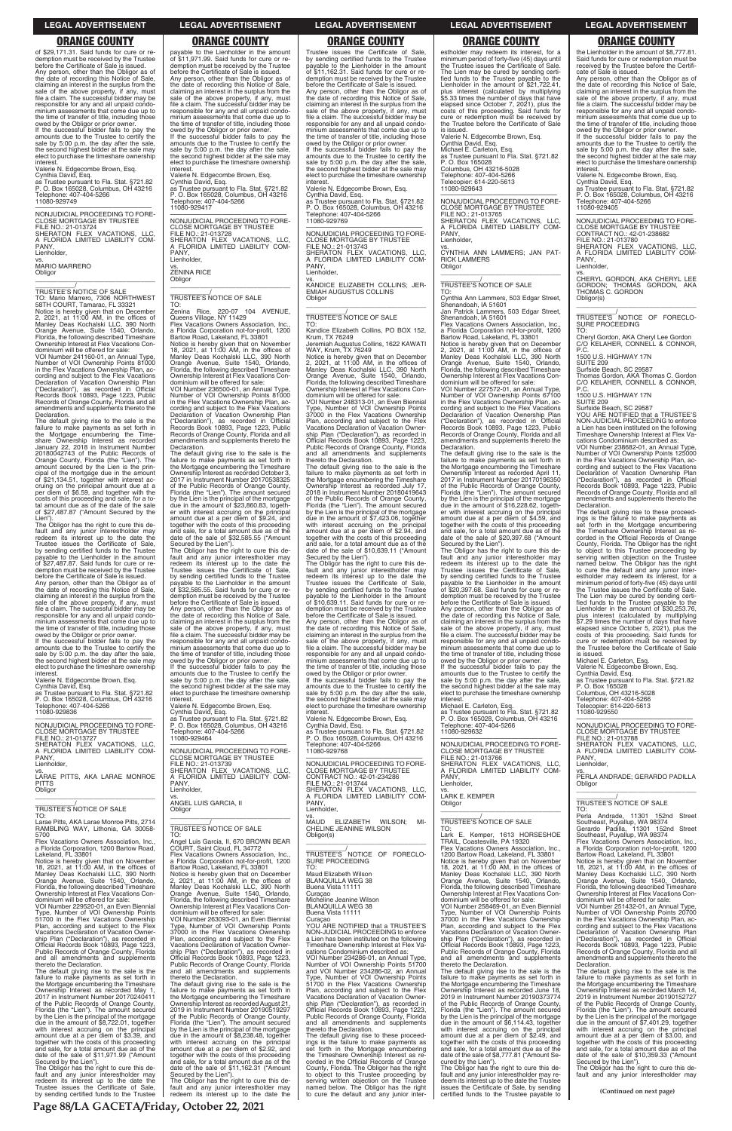owed by the Obligor or prior owner. If the successful bidder fails to pay the amounts due to the Trustee to certify the sale by 5:00 p.m. the day after the sale, the second highest bidder at the sale may elect to purchase the timeshare ownership interest

of \$29,171.31. Said funds for cure or redemption must be received by the Trustee before the Certificate of Sale is issued. Any person, other than the Obligor as of the date of recording this Notice of Sale, claiming an interest in the surplus from the sale of the above property, if any, must file a claim. The successful bidder may be responsible for any and all unpaid condo-minium assessments that come due up to the time of transfer of title, including those

vs. MARIO MARRERO **Obligor** 

Valerie N. Edgecombe Brown, Esq.

VOI Number 241160-01, an Annual Type, Number of VOI Ownership Points 81000 in the Flex Vacations Ownership Plan, according and subject to the Flex Vacations Declaration of Vacation Ownership Plan ("Declaration"), as recorded in Official Records Book 10893, Page 1223, Public Records of Orange County, Florida and all amendments and supplements thereto the **Declaration** 

Cynthia David, Esq. as Trustee pursuant to Fla. Stat. §721.82 P. O. Box 165028, Columbus, OH 43216 Telephone: 407-404-5266 11080-929749

The default giving rise to the sale is the failure to make payments as set forth in the Mortgage encumbering the Time-share Ownership Interest as recorded January 22, 2018 in Instrument Number 20180042743 of the Public Records of Orange County, Florida (the "Lien"). The amount secured by the Lien is the principal of the mortgage due in the amount of \$21,134.51, together with interest accruing on the principal amount due at a per diem of \$6.59, and together with the costs of this proceeding and sale, for a total amount due as of the date of the sale of \$27,487.87 ("Amount Secured by the Lien")

—————————————————— NONJUDICIAL PROCEEDING TO FORE-CLOSE MORTGAGE BY TRUSTEE FILE NO.: 21-013724 SHERATON FLEX VACATIONS, LLC, A FLORIDA LIMITED LIABILITY COM-PANY Lienholder,

 $\overline{\phantom{a}}$  ,  $\overline{\phantom{a}}$  ,  $\overline{\phantom{a}}$  ,  $\overline{\phantom{a}}$  ,  $\overline{\phantom{a}}$  ,  $\overline{\phantom{a}}$  ,  $\overline{\phantom{a}}$  ,  $\overline{\phantom{a}}$  ,  $\overline{\phantom{a}}$  ,  $\overline{\phantom{a}}$  ,  $\overline{\phantom{a}}$  ,  $\overline{\phantom{a}}$  ,  $\overline{\phantom{a}}$  ,  $\overline{\phantom{a}}$  ,  $\overline{\phantom{a}}$  ,  $\overline{\phantom{a}}$ 

\_\_\_\_\_\_\_\_\_\_\_/ TRUSTEE'S NOTICE OF SALE TO: Mario Marrero, 7306 NORTHWEST 58TH COURT, Tamarac, FL 33321 Notice is hereby given that on December 2, 2021, at 11:00 AM, in the offices of Manley Deas Kochalski LLC, 390 North Orange Avenue, Suite 1540, Orlando, Florida, the following described Timeshare Ownership Interest at Flex Vacations Condominium will be offered for sale:

If the successful bidder fails to pay the amounts due to the Trustee to certify the sale by 5:00 p.m. the day after the sale, the second highest bidder at the sale may elect to purchase the timeshare ownership interest

The Obligor has the right to cure this de-fault and any junior interestholder may redeem its interest up to the date the Trustee issues the Certificate of Sale, by sending certified funds to the Trustee payable to the Lienholder in the amount of \$27,487.87. Said funds for cure or redemption must be received by the Trustee before the Certificate of Sale is issued.

Any person, other than the Obligor as of the date of recording this Notice of Sale, claiming an interest in the surplus from the sale of the above property, if any, must file a claim. The successful bidder may be responsible for any and all unpaid condominium assessments that come due up to the time of transfer of title, including those owed by the Obligor or prior owner. NONJUDICIAL PROCEEDING TO FORE-NONJUDICIAL PROCEEDING TO FORE-CLOSE MORTGAGE BY TRUSTEE FILE NO.: 21-013728 SHERATON FLEX VACATIONS, LLC, A FLORIDA LIMITED LIABILITY COM-PANY, Lienholder,

vs. ZENINA RICE **Obligor** 

Valerie N. Edgecombe Brown, Esq. Cynthia David, Esq. as Trustee pursuant to Fla. Stat. §721.82 P. O. Box 165028, Columbus, OH 43216 Telephone: 407-404-5266 11080-929836

—————————————————— NONJUDICIAL PROCEEDING TO FORE-CLOSE MORTGAGE BY TRUSTEE FILE NO.: 21-013727 SHERATON FLEX VACATIONS, LLC, A FLORIDA LIMITED LIABILITY COM-PANY, Lienholder,

vs. LARAE PITTS, AKA LARAE MONROE PITTS **Obligor** \_\_\_\_\_\_\_\_\_\_\_\_\_\_\_\_\_\_\_\_\_\_\_\_\_\_\_\_\_\_\_\_\_

\_\_\_\_\_\_\_\_\_\_\_/ TRUSTEE'S NOTICE OF SALE

TO: Larae Pitts, AKA Larae Monroe Pitts, 2714 RAMBLING WAY, Lithonia, GA 30058-

vs. ANGEL LUIS GARCIA, II **Obligor** 

payable to the Lienholder in the amount of \$11,971.99. Said funds for cure or redemption must be received by the Trustee before the Certificate of Sale is issued. Any person, other than the Obligor as of the date of recording this Notice of Sale, claiming an interest in the surplus from the sale of the above property, if any, must file a claim. The successful bidder may be responsible for any and all unpaid condominium assessments that come due up to the time of transfer of title, including those owed by the Obligor or prior owner. If the successful bidder fails to pay the

amounts due to the Trustee to certify the sale by 5:00 p.m. the day after the sale, the second highest bidder at the sale may elect to purchase the timeshare ownership interest. Valerie N. Edgecombe Brown, Esq.

Cynthia David, Esq. as Trustee pursuant to Fla. Stat. §721.82

P. O. Box 165028, Columbus, OH 43216 Telephone: 407-404-5266 11080-929417

\_\_\_\_\_\_\_\_\_\_\_\_\_\_\_\_\_\_\_\_\_\_\_\_\_\_\_\_\_\_\_\_\_

### \_\_\_\_\_\_\_\_\_\_\_/ TRUSTEE'S NOTICE OF SALE TO:

Zenina Rice, 220-07 104 AVENUE, Queens Village, NY 11429 Flex Vacations Owners Association, Inc.,

a Florida Corporation not-for-profit, 1200 Bartow Road, Lakeland, FL 33801 Notice is hereby given that on November 18, 2021, at 11:00 AM, in the offices of Manley Deas Kochalski LLC, 390 North Orange Avenue, Suite 1540, Orlando, Florida, the following described Timeshare Ownership Interest at Flex Vacations Con-dominium will be offered for sale:

VOI Number 236500-01, an Annual Type, Number of VOI Ownership Points 81000 in the Flex Vacations Ownership Plan, according and subject to the Flex Vacations Declaration of Vacation Ownership Plan ("Declaration"), as recorded in Official Records Book 10893, Page 1223, Public Records of Orange County, Florida and all amendments and supplements thereto the Declaration.

The default giving rise to the sale is the failure to make payments as set forth in the Mortgage encumbering the Timeshare Ownership Interest as recorded October 3, 2017 in Instrument Number 20170538325 of the Public Records of Orange County, Florida (the "Lien"). The amount secured by the Lien is the principal of the mortgage due in the amount of \$23,860.83, together with interest accruing on the principal amount due at a per diem of \$9.24, and together with the costs of this proceeding and sale, for a total amount due as of the date of the sale of \$32,585.55 ("Amount

Secured by the Lien"). The Obligor has the right to cure this de-fault and any junior interestholder may redeem its interest up to the date the Trustee issues the Certificate of Sale, by sending certified funds to the Trustee payable to the Lienholder in the amount of \$32,585.55. Said funds for cure or re-demption must be received by the Trustee

before the Certificate of Sale is issued. Any person, other than the Obligor as of the date of recording this Notice of Sale, claiming an interest in the surplus from the sale of the above property, if any, must file a claim. The successful bidder may be responsible for any and all unpaid condominium assessments that come due up to the time of transfer of title, including those TO: Cynthia Ann Lammers, 503 Edgar Street, Shenandoah, IA 51601 Jan Patrick Lammers, 503 Edgar Street,

owed by the Obligor or prior owner. If the successful bidder fails to pay the amounts due to the Trustee to certify the sale by 5:00 p.m. the day after the sale, the second highest bidder at the sale may elect to purchase the timeshare ownership interest.

Valerie N. Edgecombe Brown, Esq. Cynthia David, Esq.

as Trustee pursuant to Fla. Stat. §721.82 P. O. Box 165028, Columbus, OH 43216 Telephone: 407-404-5266 11080-929464

—————————————————— NONJUDICIAL PROCEEDING TO FORE-CLOSE MORTGAGE BY TRUSTEE FILE NO.: 21-013739 SHERATON FLEX VACATIONS, LLC, A FLORIDA LIMITED LIABILITY COM-PANY, Lienholder,

\_\_\_\_\_\_\_\_\_\_\_\_\_\_\_\_\_\_\_\_\_\_\_\_\_\_\_\_\_\_\_\_\_ \_\_\_\_\_\_\_\_\_\_\_/ TRUSTEE'S NOTICE OF SALE

vs. LARK E. KEMPER **Obligor** 

Trustee issues the Certificate of Sale, by sending certified funds to the Trustee payable to the Lienholder in the amount of \$11,162.31. Said funds for cure or redemption must be received by the Trustee before the Certificate of Sale is issued. Any person, other than the Obligor as of the date of recording this Notice of Sale,<br>claiming an interest in the surplus from the<br>sale of the above property, if any, must<br>file a claim. The successful bidder may be responsible for any and all unpaid condo-minium assessments that come due up to the time of transfer of title, including those owed by the Obligor or prior owner. If the successful bidder fails to pay the amounts due to the Trustee to certify the sale by 5:00 p.m. the day after the sale, the second highest bidder at the sale may elect to purchase the timeshare ownership interest. Valerie N. Edgecombe Brown, Esq.

vs.<br>CHERYL GORDON, AKA CHERYL LEE<br>GORDON; THOMAS GORDON, AKA<br>THOMAS C. GORDON Obligor(s)

Cynthia David, Esq. as Trustee pursuant to Fla. Stat. §721.82 P. O. Box 165028, Columbus, OH 43216 Telephone: 407-404-5266 11080-929769

—————————————————— NONJUDICIAL PROCEEDING TO FORE-CLOSE MORTGAGE BY TRUSTEE FILE NO.: 21-013743 SHERATON FLEX VACATIONS, LLC, A FLORIDA LIMITED LIABILITY COM-PANY, Lienholder,

vs. KANDICE ELIZABETH COLLINS; JER-EMIAH AUGUSTUS COLLINS Obligor \_\_\_\_\_\_\_\_\_\_\_\_\_\_\_\_\_\_\_\_\_\_\_\_\_\_\_\_\_\_\_\_\_

\_\_\_\_\_\_\_\_\_\_\_/ TRUSTEE'S NOTICE OF SALE

TO: Kandice Elizabeth Collins, PO BOX 152, Krum, TX 76249 Jeremiah Augustus Collins, 1622 KAWATI

WAY, Krum, TX 76249 Notice is hereby given that on December 2, 2021, at 11:00 AM, in the offices of Manley Deas Kochalski LLC, 390 North Orange Avenue, Suite 1540, Orlando, Florida, the following described Timeshare Ownership Interest at Flex Vacations Con-

dominium will be offered for sale: VOI Number 248313-01, an Even Biennial Type, Number of VOI Ownership Points 37000 in the Flex Vacations Ownership Plan, according and subject to the Flex Vacations Declaration of Vacation Ownership Plan ("Declaration"), as recorded in Official Records Book 10893, Page 1223, Public Records of Orange County, Florida and all amendments and supplements thereto the Declaration.

The default giving rise to the sale is the failure to make payments as set forth in the Mortgage encumbering the Timeshare Ownership Interest as recorded July 17, 2018 in Instrument Number 20180419643 of the Public Records of Orange County, Florida (the "Lien"). The amount secured by the Lien is the principal of the mortgage due in the amount of \$7,423.06, together with interest accruing on the principal amount due at a per diem of \$2.94, and together with the costs of this proceeding and sale, for a total amount due as of the date of the sale of \$10,639.11 ("Amount Secured by the Lien").

| Larae Pitts, AKA Larae Monroe Pitts, 2714                            |                                                                                        | MAUD ELIZABETH WILSON:<br>MI-                                                          | TRUSTEE'S NOTICE OF SALE                                            | Southeast, Puyallup, WA 98374                                        |  |
|----------------------------------------------------------------------|----------------------------------------------------------------------------------------|----------------------------------------------------------------------------------------|---------------------------------------------------------------------|----------------------------------------------------------------------|--|
| RAMBLING WAY, Lithonia, GA 30058-                                    | TRUSTEE'S NOTICE OF SALE                                                               | <b>CHELINE JEANINE WILSON</b>                                                          | TO:                                                                 | Gerardo Padilla, 11301 152nd Street                                  |  |
| 5700                                                                 | TO:                                                                                    | Obligor(s)                                                                             | Lark E. Kemper, 1613 HORSESHOE                                      | Southeast, Puyallup, WA 98374                                        |  |
| Flex Vacations Owners Association, Inc.,                             | Angel Luis Garcia, II, 670 BROWN BEAR                                                  |                                                                                        | TRAIL, Coastesville, PA 19320                                       | Flex Vacations Owners Association, Inc.,                             |  |
| a Florida Corporation, 1200 Bartow Road,                             | COURT, Saint Cloud, FL 34772                                                           |                                                                                        | Flex Vacations Owners Association, Inc.,                            | a Florida Corporation not-for-profit, 1200                           |  |
| Lakeland, FL 33801                                                   | Flex Vacations Owners Association, Inc.,                                               | TRUSTEE'S NOTICE OF FORECLO-                                                           | 1200 Bartow Road, Lakeland, FL 33801                                | Bartow Road, Lakeland, FL 33801                                      |  |
| Notice is hereby given that on November                              | a Florida Corporation not-for-profit, 1200                                             | SURE PROCEEDING                                                                        | Notice is hereby given that on November                             | Notice is hereby given that on November                              |  |
| 18, 2021, at 11:00 AM, in the offices of                             | Bartow Road, Lakeland, FL 33801                                                        | TO:                                                                                    | 18. 2021, at 11:00 AM, in the offices of                            | 18, 2021, at 11:00 AM, in the offices of                             |  |
| Manley Deas Kochalski LLC, 390 North                                 | Notice is hereby given that on December                                                | Maud Elizabeth Wilson                                                                  | Manley Deas Kochalski LLC, 390 North                                | Manley Deas Kochalski LLC, 390 North                                 |  |
| Orange Avenue, Suite 1540, Orlando,                                  | 2, 2021, at $11:00$ AM, in the offices of                                              | <b>BLANQUILLA WEG 38</b>                                                               | Orange Avenue, Suite 1540, Orlando,                                 | Orange Avenue, Suite 1540, Orlando,                                  |  |
| Florida, the following described Timeshare                           | Manley Deas Kochalski LLC, 390 North                                                   | Buena Vista 11111                                                                      | Florida, the following described Timeshare                          | Florida, the following described Timeshare                           |  |
| Ownership Interest at Flex Vacations Con-                            | Orange Avenue, Suite 1540, Orlando,                                                    | Curacao                                                                                | Ownership Interest at Flex Vacations Con-                           | Ownership Interest at Flex Vacations Con-                            |  |
| dominium will be offered for sale:                                   | Florida, the following described Timeshare                                             | Micheline Jeanine Wilson                                                               | dominium will be offered for sale:                                  | dominium will be offered for sale:                                   |  |
| VOI Number 229520-01, an Even Biennial                               | Ownership Interest at Flex Vacations Con-                                              | <b>BLANQUILLA WEG 38</b>                                                               | VOI Number 258469-01, an Even Biennial                              | VOI Number 251432-01, an Annual Type                                 |  |
| Type, Number of VOI Ownership Points                                 | dominium will be offered for sale:                                                     | Buena Vista 11111                                                                      | Type, Number of VOI Ownership Points                                | Number of VOI Ownership Points 20700                                 |  |
| 51700 in the Flex Vacations Ownership                                | VOI Number 263093-01, an Even Biennial                                                 | Curacao                                                                                | 37000 in the Flex Vacations Ownership                               | in the Flex Vacations Ownership Plan, ac-                            |  |
| Plan, according and subject to the Flex                              | Type, Number of VOI Ownership Points                                                   | YOU ARE NOTIFIED that a TRUSTEE'S                                                      | Plan, according and subject to the Flex                             | cording and subject to the Flex Vacations                            |  |
| Vacations Declaration of Vacation Owner-                             | 37000 in the Flex Vacations Ownership                                                  | NON-JUDICIAL PROCEEDING to enforce                                                     | Vacations Declaration of Vacation Owner-                            | Declaration of Vacation Ownership Plan                               |  |
| ship Plan ("Declaration"), as recorded in                            | Plan, according and subject to the Flex                                                | a Lien has been instituted on the following                                            | ship Plan ("Declaration"), as recorded in                           | ("Declaration"), as recorded in Official                             |  |
| Official Records Book 10893, Page 1223,                              | Vacations Declaration of Vacation Owner-                                               | Timeshare Ownership Interest at Flex Va-                                               | Official Records Book 10893, Page 1223,                             | Records Book 10893, Page 1223, Public                                |  |
| Public Records of Orange County, Florida                             | ship Plan ("Declaration"), as recorded in                                              | cations Condominium described as:                                                      | Public Records of Orange County, Florida                            | Records of Orange County, Florida and all                            |  |
| and all amendments and supplements                                   | Official Records Book 10893, Page 1223,                                                | VOI Number 234286-01, an Annual Type,                                                  | and all amendments and supplements                                  | amendments and supplements thereto the                               |  |
| thereto the Declaration.                                             | Public Records of Orange County, Florida                                               | Number of VOI Ownership Points 51700                                                   | thereto the Declaration.                                            | Declaration.                                                         |  |
| The default giving rise to the sale is the                           | and all amendments and supplements                                                     | and VOI Number 234286-02, an Annual                                                    | The default giving rise to the sale is the                          | The default giving rise to the sale is the                           |  |
| failure to make payments as set forth in                             | thereto the Declaration.                                                               | Type, Number of VOI Ownership Points                                                   | failure to make payments as set forth in                            | failure to make payments as set forth in                             |  |
| the Mortgage encumbering the Timeshare                               | The default giving rise to the sale is the                                             | 51700 in the Flex Vacations Ownership                                                  | the Mortgage encumbering the Timeshare                              | the Mortgage encumbering the Timeshare                               |  |
| Ownership Interest as recorded May 1,                                | failure to make payments as set forth in                                               | Plan, according and subject to the Flex                                                | Ownership Interest as recorded June 18,                             | Ownership Interest as recorded March 14,                             |  |
| 2017 in Instrument Number 20170240411                                | the Mortgage encumbering the Timeshare                                                 | Vacations Declaration of Vacation Owner-                                               | 2019 in Instrument Number 20190373774                               | 2019 in Instrument Number 20190152727                                |  |
| of the Public Records of Orange County,                              | Ownership Interest as recorded August 21,                                              | ship Plan ("Declaration"), as recorded in                                              | of the Public Records of Orange County,                             | of the Public Records of Orange County,                              |  |
| Florida (the "Lien"). The amount secured                             | 2019 in Instrument Number 20190519297                                                  | Official Records Book 10893, Page 1223,                                                | Florida (the "Lien"). The amount secured                            | Florida (the "Lien"). The amount secured                             |  |
| by the Lien is the principal of the mortgage                         | of the Public Records of Orange County,                                                | Public Records of Orange County, Florida                                               | by the Lien is the principal of the mortgage                        | by the Lien is the principal of the mortgage                         |  |
| due in the amount of \$8,722.01, together                            | Florida (the "Lien"). The amount secured                                               | and all amendments and supplements                                                     | due in the amount of \$6,114.43, together                           | due in the amount of \$7,401.29, together                            |  |
| with interest accruing on the principal                              | by the Lien is the principal of the mortgage                                           | thereto the Declaration.                                                               | with interest accruing on the principal                             | with interest accruing on the principal                              |  |
| amount due at a per diem of \$3.39, and                              | due in the amount of \$8,238.48, together                                              | The default giving rise to these proceed-                                              | amount due at a per diem of \$2.49, and                             | amount due at a per diem of \$3.00, and                              |  |
| together with the costs of this proceeding                           | with interest accruing on the principal                                                | ings is the failure to make payments as                                                | together with the costs of this proceeding                          | together with the costs of this proceeding                           |  |
| and sale, for a total amount due as of the                           | amount due at a per diem of \$2.92, and                                                | set forth in the Mortgage encumbering                                                  | and sale, for a total amount due as of the                          | and sale, for a total amount due as of the                           |  |
| date of the sale of \$11,971.99 ("Amount                             | together with the costs of this proceeding                                             | the Timeshare Ownership Interest as re-                                                | date of the sale of \$8,777.81 ("Amount Se-<br>cured by the Lien"). | date of the sale of \$10,359.33 ("Amount                             |  |
| Secured by the Lien").<br>The Obligor has the right to cure this de- | and sale, for a total amount due as of the<br>date of the sale of \$11,162.31 ("Amount | corded in the Official Records of Orange<br>County, Florida. The Obligor has the right | The Obligor has the right to cure this de-                          | Secured by the Lien").<br>The Obligor has the right to cure this de- |  |
| fault and any junior interestholder may                              | Secured by the Lien").                                                                 | to object to this Trustee proceeding by                                                | fault and any junior interestholder may re-                         | fault and any junior interestholder may                              |  |
| redeem its interest up to the date the                               | The Obligor has the right to cure this de-                                             | serving written objection on the Trustee                                               | deem its interest up to the date the Trustee                        |                                                                      |  |
| Trustee issues the Certificate of Sale,                              | fault and any junior interestholder may                                                | named below. The Obligor has the right                                                 | issues the Certificate of Sale, by sending                          |                                                                      |  |
| by sending certified funds to the Trustee                            | redeem its interest up to the date the                                                 | to cure the default and any junior inter-                                              | certified funds to the Trustee payable to                           | (Continued on next page)                                             |  |
|                                                                      |                                                                                        |                                                                                        |                                                                     |                                                                      |  |
| Page 88/LA GACETA/Friday, October 22, 2021                           |                                                                                        |                                                                                        |                                                                     |                                                                      |  |

The Obligor has the right to cure this de-fault and any junior interestholder may redeem its interest up to the date the Trustee issues the Certificate of Sale, by sending certified funds to the Trustee payable to the Lienholder in the amount of \$10,639.11. Said funds for cure or redemption must be received by the Trustee before the Certificate of Sale is issued.

Any person, other than the Obligor as of the date of recording this Notice of Sale, claiming an interest in the surplus from the sale of the above property, if any, must file a claim. The successful bidder may be responsible for any and all unpaid condominium assessments that come due up to the time of transfer of title, including those owed by the Obligor or prior owner.

If the successful bidder fails to pay the amounts due to the Trustee to certify the sale by 5:00 p.m. the day after the sale, the second highest bidder at the sale may elect to purchase the timeshare ownership

interest. Valerie N. Edgecombe Brown, Esq. Cynthia David, Esq. as Trustee pursuant to Fla. Stat. §721.82 P. O. Box 165028, Columbus, OH 43216 elephone: 407-404-5266 11080-929768

—————————————————— NONJUDICIAL PROCEEDING TO FORE-CLOSE MORTGAGE BY TRUSTEE CONTRACT NO.: 42-01-234286 FILE NO.: 21-013744 SHERATON FLEX VACATIONS, LLC, A FLORIDA LIMITED LIABILITY COM-PANY, Lienholder,

vs. MAUD ELIZABETH WILSON; MI-CHELINE JEANINE WILSON

estholder may redeem its interest, for a minimum period of forty-five (45) days until the Trustee issues the Certificate of Sale. The Lien may be cured by sending certified funds to the Trustee payable to the Lienholder in the amount of \$21,722.41, plus interest (calculated by multiplying \$5.33 times the number of days that have elapsed since October 7, 2021), plus the costs of this proceeding. Said funds for cure or redemption must be received by the Trustee before the Certificate of Sale is issued.

Valerie N. Edgecombe Brown, Esq. Cynthia David, Esq. Michael E. Carleton, Esq.

as Trustee pursuant to Fla. Stat. §721.82 P. O. Box 165028 Columbus, OH 43216-5028 Telephone: 407-404-5266 Telecopier: 614-220-5613

11080-929643

—————————————————— NONJUDICIAL PROCEEDING TO FORE-CLOSE MORTGAGE BY TRUSTEE FILE NO.: 21-013765 SHERATON FLEX VACATIONS, LLC, A FLORIDA LIMITED LIABILITY COM-PANY,

Lienholder,

vs. CYNTHIA ANN LAMMERS; JAN PAT-RICK LAMMERS **Obligor** \_\_\_\_\_\_\_\_\_\_\_\_\_\_\_\_\_\_\_\_\_\_\_\_\_\_\_\_\_\_\_\_\_

\_\_\_\_\_\_\_\_\_\_\_/ TRUSTEE'S NOTICE OF SALE

Shenandoah, IA 51601 Flex Vacations Owners Association, Inc., a Florida Corporation not-for-profit, 1200

Bartow Road, Lakeland, FL 33801 Notice is hereby given that on December 2, 2021, at 11:00 AM, in the offices of Manley Deas Kochalski LLC, 390 North Orange Avenue, Suite 1540, Orlando, Florida, the following described Timeshare Ownership Interest at Flex Vacations Con-dominium will be offered for sale:

VOI Number 227572-01, an Annual Type, Number of VOI Ownership Points 67100 in the Flex Vacations Ownership Plan, according and subject to the Flex Vacations Declaration of Vacation Ownership Plan ("Declaration"), as recorded in Official Records Book 10893, Page 1223, Public Records of Orange County, Florida and all amendments and supplements thereto the Declaration.

The default giving rise to the sale is the failure to make payments as set forth in the Mortgage encumbering the Timeshare Ownership Interest as recorded April 11, 2017 in Instrument Number 20170196350 of the Public Records of Orange County, Florida (the "Lien"). The amount secured by the Lien is the principal of the mortgage due in the amount of \$16,228.62, together with interest accruing on the principal amount due at a per diem of \$4.59, and together with the costs of this proceeding and sale, for a total amount due as of the date of the sale of \$20,397.68 ("Amount Secured by the Lien").

The Obligor has the right to cure this de-fault and any junior interestholder may redeem its interest up to the date the Trustee issues the Certificate of Sale, by sending certified funds to the Trustee payable to the Lienholder in the amount of \$20,397.68. Said funds for cure or re-demption must be received by the Trustee before the Certificate of Sale is issued.

Any person, other than the Obligor as of the date of recording this Notice of Sale, claiming an interest in the surplus from the sale of the above property, if any, must file a claim. The successful bidder may be responsible for any and all unpaid condo-minium assessments that come due up to the time of transfer of title, including those

owed by the Obligor or prior owner. If the successful bidder fails to pay the amounts due to the Trustee to certify the sale by 5:00 p.m. the day after the sale. the second highest bidder at the sale may elect to purchase the timeshare ownership interest.

Michael E. Carleton, Esq. as Trustee pursuant to Fla. Stat. §721.82 P. O. Box 165028, Columbus, OH 43216 Telephone: 407-404-5266 11080-929632

—————————————————— NONJUDICIAL PROCEEDING TO FORE-CLOSE MORTGAGE BY TRUSTEE FILE NO.: 21-013766

SHERATON FLEX VACATIONS, LLC, A FLORIDA LIMITED LIABILITY COM-PANY, Lienholder,

\_\_\_\_\_\_\_\_\_\_\_\_\_\_\_\_\_\_\_\_\_\_\_\_\_\_\_\_\_\_\_\_\_ \_\_\_\_\_\_\_\_\_\_\_/ TRUSTEE'S NOTICE OF SALE

the Lienholder in the amount of \$8,777.81. Said funds for cure or redemption must be received by the Trustee before the Certifi-cate of Sale is issued.

Any person, other than the Obligor as of the date of recording this Notice of Sale, claiming an interest in the surplus from the sale of the above property, if any, must file a claim. The successful bidder may be responsible for any and all unpaid condominium assessments that come due up to the time of transfer of title, including those owed by the Obligor or prior owner.

If the successful bidder fails to pay the amounts due to the Trustee to certify the sale by 5:00 p.m. the day after the sale, the second highest bidder at the sale may elect to purchase the timeshare ownership interest. Valerie N. Edgecombe Brown, Esq.

Cynthia David, Esq. as Trustee pursuant to Fla. Stat. §721.82 P. O. Box 165028, Columbus, OH 43216 Telephone: 407-404-5266 11080-929405

—————————————————— NONJUDICIAL PROCEEDING TO FORE-CLOSE MORTGAGE BY TRUSTEE CONTRACT NO.: 42-01-238682

FILE NO.: 21-013780 SHERATON FLEX VACATIONS, LLC, A FLORIDA LIMITED LIABILITY COM-PANY, Lienholder,

\_\_\_\_\_\_\_\_\_\_\_\_\_\_\_\_\_\_\_\_\_\_\_\_\_\_\_\_\_\_\_\_\_ \_\_\_\_\_\_\_\_\_\_\_/ TRUSTEE'S NOTICE OF FORECLO-SURE PROCEEDING TO:

Cheryl Gordon, AKA Cheryl Lee Gordon C/O KELAHER, CONNELL & CONNOR, P.C.

1500 U.S. HIGHWAY 17N

SUITE 209 Surfside Beach, SC 29587 Thomas Gordon, AKA Thomas C. Gordon C/O KELAHER, CONNELL & CONNOR,

P.C. 1500 U.S. HIGHWAY 17N

SUITE 209

Surfside Beach, SC 29587 YOU ARE NOTIFIED that a TRUSTEE'S NON-JUDICIAL PROCEEDING to enforce a Lien has been instituted on the following Timeshare Ownership Interest at Flex Va-cations Condominium described as:

VOI Number 238682-01, an Annual Type, Number of VOI Ownership Points 125000 in the Flex Vacations Ownership Plan, according and subject to the Flex Vacations Declaration of Vacation Ownership Plan ("Declaration"), as recorded in Official Records Book 10893, Page 1223, Public Records of Orange County, Florida and all amendments and supplements thereto the

Declaration.

The default giving rise to these proceed-ings is the failure to make payments as set forth in the Mortgage encumbering the Timeshare Ownership Interest as re-corded in the Official Records of Orange County, Florida. The Obligor has the right to object to this Trustee proceeding by serving written objection on the Trustee named below. The Obligor has the right to cure the default and any junior inter-estholder may redeem its interest, for a minimum period of forty-five (45) days until the Trustee issues the Certificate of Sale. The Lien may be cured by sending certified funds to the Trustee payable to the Lienholder in the amount of \$30,253.76, plus interest (calculated by multiplying \$7.29 times the number of days that have elapsed since October 5, 2021), plus the costs of this proceeding. Said funds for cure or redemption must be received by the Trustee before the Certificate of Sale

is issued. Michael E. Carleton, Esq.

Valerie N. Edgecombe Brown, Esq. Cynthia David, Esq. as Trustee pursuant to Fla. Stat. §721.82 P. O. Box 165028

Columbus, OH 43216-5028 Telephone: 407-404-5266 Telecopier: 614-220-5613 11080-929550

—————————————————— NONJUDICIAL PROCEEDING TO FORE-CLOSE MORTGAGE BY TRUSTEE

FILE NO.: 21-013788

SHERATON FLEX VACATIONS, LLC, A FLORIDA LIMITED LIABILITY COM-

PANY, Lienholder,

**Obligor** 

vs. PERLA ANDRADE; GERARDO PADILLA

\_\_\_\_\_\_\_\_\_\_\_\_\_\_\_\_\_\_\_\_\_\_\_\_\_\_\_\_\_\_\_\_\_ \_\_\_\_\_\_\_\_\_\_\_/ TRUSTEE'S NOTICE OF SALE

TO: Perla Andrade, 11301 152nd Street

### **LEGAL ADVERTISEMENT LEGAL ADVERTISEMENT LEGAL ADVERTISEMENT LEGAL ADVERTISEMENT LEGAL ADVERTISEMENT**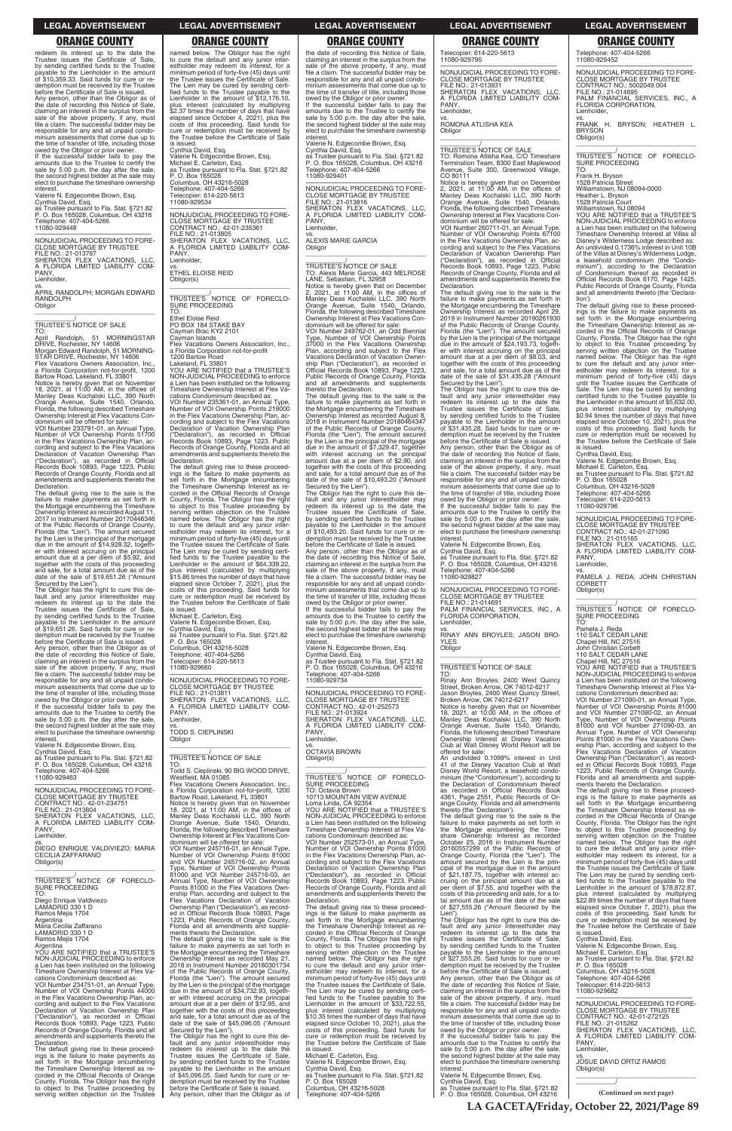redeem its interest up to the date the Trustee issues the Certificate of Sale, by sending certified funds to the Trustee payable to the Lienholder in the amount of \$10,359.33. Said funds for cure or re-demption must be received by the Trustee before the Certificate of Sale is issued. Any person, other than the Obligor as of the date of recording this Notice of Sale, claiming an interest in the surplus from the sale of the above property, if any, must file a claim. The successful bidder may be responsible for any and all unpaid condominium assessments that come due up to the time of transfer of title, including those owed by the Obligor or prior owner.

If the successful bidder fails to pay the amounts due to the Trustee to certify the sale by 5:00 p.m. the day after the sale, the second highest bidder at the sale may elect to purchase the timeshare ownership interest.

Valerie N. Edgecombe Brown, Esq. Cynthia David, Esq. as Trustee pursuant to Fla. Stat. §721.82 P. O. Box 165028, Columbus, OH 43216 Telephone: 407-404-5266 11080-929448

## —————————————————— NONJUDICIAL PROCEEDING TO FORE-CLOSE MORTGAGE BY TRUSTEE

FILE NO.: 21-013797 SHERATON FLEX VACATIONS, LLC, A FLORIDA LIMITED LIABILITY COM-PANY, Lienholder,

vs.

APRIL RANDOLPH; MORGAN EDWARD RANDOLPH Obligor \_\_\_\_\_\_\_\_\_\_\_\_\_\_\_\_\_\_\_\_\_\_\_\_\_\_\_\_\_\_\_\_\_

\_\_\_\_\_\_\_\_\_\_\_/ TRUSTEE'S NOTICE OF SALE TO:

April Randolph, 51 MORNINGSTAR DRIVE, Rochester, NY 14606 Morgan Edward Randolph, 51 MORNING-STAR DRIVE, Rochester, NY 14606 Flex Vacations Owners Association, Inc.,

a Florida Corporation not-for-profit, 1200<br>Bartow Road, Lakeland, FL 33801<br>Notice is hereby given that on November<br>18, 2021, at 11:00 AM, in the offices of<br>Manley Deas Kochalski LLC, 390 North<br>Orange Avenue, Suite 1540, Or

Florida, the following described Timeshare Ownership Interest at Flex Vacations Con-dominium will be offered for sale:

VOI Number 233791-01, an Annual Type, Number of VOI Ownership Points 51700 in the Flex Vacations Ownership Plan, according and subject to the Flex Vacations<br>Declaration of Vacation Ownership Plan<br>("Declaration"), as recorded in Official<br>Records Book 10893, Page 1223, Public<br>Records of Orange County, Florida and all<br>amendments and suppl Declaration.

The default giving rise to the sale is the failure to make payments as set forth in the Mortgage encumbering the Timeshare Ownership Interest as recorded August 11, 2017 in Instrument Number 20170446346 of the Public Records of Orange County, Florida (the "Lien"). The amount secured by the Lien is the principal of the mortgage due in the amount of \$14,928.32, togeth-er with interest accruing on the principal amount due at a per diem of \$5.92, and together with the costs of this proceeding and sale, for a total amount due as of the date of the sale of \$19,651.26 ("Amount

Secured by the Lien"). The Obligor has the right to cure this de-fault and any junior interestholder may redeem its interest up to the date the Trustee issues the Certificate of Sale, by sending certified funds to the Trustee payable to the Lienholder in the amount of \$19,651.26. Said funds for cure or redemption must be received by the Trustee

before the Certificate of Sale is issued. Any person, other than the Obligor as of the date of recording this Notice of Sale, claiming an interest in the surplus from the sale of the above property, if any, must file a claim. The successful bidder may be responsible for any and all unpaid condo-minium assessments that come due up to the time of transfer of title, including those

owed by the Obligor or prior owner. If the successful bidder fails to pay the amounts due to the Trustee to certify the sale by 5:00 p.m. the day after the sale, the second highest bidder at the sale may elect to purchase the timeshare ownership interest.

Valerie N. Edgecombe Brown, Esq. Cynthia David, Esq.

as Trustee pursuant to Fla. Stat. §721.82 P. O. Box 165028, Columbus, OH 43216 Telephone: 407-404-5266 11080-929463

—————————————————— NONJUDICIAL PROCEEDING TO FORE-CLOSE MORTGAGE BY TRUSTEE CONTRACT NO.: 42-01-234751 FILE NO.: 21-013804 SHERATON FLEX VACATIONS, LLC, A FLORIDA LIMITED LIABILITY COM-PANY,

named below. The Obligor has the right to cure the default and any junior inter-estholder may redeem its interest, for a minimum period of forty-five (45) days until the Trustee issues the Certificate of Sale. The Lien may be cured by sending certi-fied funds to the Trustee payable to the Lienholder in the amount of \$12,176.10, plus interest (calculated by multiplying \$2.37 times the number of days that have elapsed since October 4, 2021), plus the costs of this proceeding. Said funds for cure or redemption must be received by the Trustee before the Certificate of Sale is issued. Cynthia David, Esq.

Valerie N. Edgecombe Brown, Esq. Michael E. Carleton, Esq. as Trustee pursuant to Fla. Stat. §721.82

P. O. Box 165028 Columbus, OH 43216-5028 Telephone: 407-404-5266 Telecopier: 614-220-5613 11080-929534

—————————————————— NONJUDICIAL PROCEEDING TO FORE-CLOSE MORTGAGE BY TRUSTEE CONTRACT NO.: 42-01-235361 FILE NO.: 21-013805 SHERATON FLEX VACATIONS, LLC, A FLORIDA LIMITED LIABILITY COM-PANY Lienholder, vs.

ETHEL ELOISE REID Obligor(s)

\_\_\_\_\_\_\_\_\_\_\_\_\_\_\_\_\_\_\_\_\_\_\_\_\_\_\_\_\_\_\_\_\_ \_\_\_\_\_\_\_\_\_\_\_/<br>TRUSTEE'S NOTICE OF FORECLO-<br>SURE PROCEEDING TO:

Ethel Eloise Reid PO BOX 184 STAKE BAY

Cayman Brac KY2 2101 Cayman Islands Flex Vacations Owners Association, Inc., a Florida Corporation not-for-profit 1200 Bartow Road Lakeland, FL 33801

YOU ARE NOTIFIED that a TRUSTEE'S NON-JUDICIAL PROCEEDING to enforce a Lien has been instituted on the following

Timeshare Ownership Interest at Flex Va-cations Condominium described as: VOI Number 235361-01, an Annual Type, Number of VOI Ownership Points 219000 in the Flex Vacations Ownership Plan, ac-cording and subject to the Flex Vacations Declaration of Vacation Ownership Plan ("Declaration"), as recorded in Official Records Book 10893, Page 1223, Public Records of Orange County, Florida and all amendments and supplements thereto the Declaration.

The default giving rise to these proceed-ings is the failure to make payments as set forth in the Mortgage encumbering the Timeshare Ownership Interest as re-corded in the Official Records of Orange County, Florida. The Obligor has the right to object to this Trustee proceeding by serving written objection on the Trustee named below. The Obligor has the right to cure the default and any junior inter-estholder may redeem its interest, for a minimum period of forty-five (45) days until the Trustee issues the Certificate of Sale. The Lien may be cured by sending certi-fied funds to the Trustee payable to the Lienholder in the amount of \$64,339.22, plus interest (calculated by multiplying \$15.86 times the number of days that have elapsed since October 7, 2021), plus the costs of this proceeding. Said funds for cure or redemption must be received by the Trustee before the Certificate of Sale

is issued. Michael E. Carleton, Esq.

Valerie N. Edgecombe Brown, Esq. Cynthia David, Esq. as Trustee pursuant to Fla. Stat. §721.82

P. O. Box 165028 Columbus, OH 43216-5028 Telephone: 407-404-5266

Telecopier: 614-220-5613 11080-929660

—————————————————— NONJUDICIAL PROCEEDING TO FORE-CLOSE MORTGAGE BY TRUSTEE FILE NO.: 21-013811 SHERATON FLEX VACATIONS, LLC,<br>A FLORIDA LIMITED LIABILITY COM-<br>PANY, Lienholder,

vs. TODD S. CIEPLINSKI

Obligor \_\_\_\_\_\_\_\_\_\_\_\_\_\_\_\_\_\_\_\_\_\_\_\_\_\_\_\_\_\_\_\_\_

\_\_\_\_\_\_\_\_\_\_\_/ TRUSTEE'S NOTICE OF SALE

TO: Todd S. Cieplinski, 90 BIG WOOD DRIVE,

Westfield, MA 01085 Flex Vacations Owners Association, Inc., a Florida Corporation not-for-profit, 1200 Bartow Road, Lakeland, FL 33801 Notice is hereby given that on November 18, 2021, at 11:00 AM, in the offices of Manley Deas Kochalski LLC, 390 North Orange Avenue, Suite 1540, Orlando, Florida, the following described Timeshare

the date of recording this Notice of Sale, claiming an interest in the surplus from the sale of the above property, if any, must file a claim. The successful bidder may be responsible for any and all unpaid condo-minium assessments that come due up to the time of transfer of title, including those

owed by the Obligor or prior owner. If the successful bidder fails to pay the amounts due to the Trustee to certify the sale by 5:00 p.m. the day after the sale, the second highest bidder at the sale may elect to purchase the timeshare ownership interest.

Valerie N. Edgecombe Brown, Esq. Cynthia David, Esq.

as Trustee pursuant to Fla. Stat. §721.82 P. O. Box 165028, Columbus, OH 43216 Telephone: 407-404-5266 11080-929401

—————————————————— NONJUDICIAL PROCEEDING TO FORE-CLOSE MORTGAGE BY TRUSTEE FILE NO.: 21-013816 SHERATON FLEX VACATIONS, LLC, A FLORIDA LIMITED LIABILITY COM-PANY, Lienholder,

vs. ALEXIS MARIE GARCIA **Obligor** \_\_\_\_\_\_\_\_\_\_\_\_\_\_\_\_\_\_\_\_\_\_\_\_\_\_\_\_\_\_\_\_\_

\_\_\_\_\_\_\_\_\_\_\_/ TRUSTEE'S NOTICE OF SALE TO: Alexis Marie Garcia, 443 MELROSE LANE, Sebastian, FL 32958 Notice is hereby given that on December 2, 2021, at 11:00 AM, in the offices of Manley Deas Kochalski LLC, 390 North Orange Avenue, Suite 1540, Orlando, Florida, the following described Timeshare Ownership Interest at Flex Vacations Con-dominium will be offered for sale:

> —————————————————— NONJUDICIAL PROCEEDING TO FORE-CLOSE MORTGAGE BY TRUSTEE CONTRACT NO.: 42-01-271090 FILE NO.: 21-015165 SHERATON FLEX VACATIONS, LLC, A FLORIDA LIMITED LIABILITY COM-A FLU<br>PANY,

\_\_\_\_\_\_\_\_\_\_\_/<br>TRUSTEE'S NOTICE OF FORECLO-<br>SURE PROCEEDING TO:

VOI Number 249762-01, an Odd Biennial Type, Number of VOI Ownership Points 37000 in the Flex Vacations Ownership Plan, according and subject to the Flex Vacations Declaration of Vacation Owner-ship Plan ("Declaration"), as recorded in Official Records Book 10893, Page 1223, Public Records of Orange County, Florida and all amendments and supplements

thereto the Declaration. The default giving rise to the sale is the failure to make payments as set forth in the Mortgage encumbering the Timeshare Ownership Interest as recorded August 8, 2018 in Instrument Number 20180464347 of the Public Records of Orange County, Florida (the "Lien"). The amount secured by the Lien is the principal of the mortgage due in the amount of \$7,329.47, together with interest accruing on the principal amount due at a per diem of \$2.90, and together with the costs of this proceeding and sale, for a total amount due as of the date of the sale of \$10,493.20 ("Amount Secured by the Lien"). The Obligor has the right to cure this de-

fault and any junior interestholder may redeem its interest up to the date the Trustee issues the Certificate of Sale, by sending certified funds to the Trustee payable to the Lienholder in the amount of \$10,493.20. Said funds for cure or re-demption must be received by the Trustee

before the Certificate of Sale is issued. Any person, other than the Obligor as of the date of recording this Notice of Sale, claiming an interest in the surplus from the sale of the above property, if any, must file a claim. The successful bidder may be responsible for any and all unpaid condo-minium assessments that come due up to the time of transfer of title, including those

owed by the Obligor or prior owner. If the successful bidder fails to pay the amounts due to the Trustee to certify the sale by 5:00 p.m. the day after the sale, the second highest bidder at the sale may elect to purchase the timeshare ownership

interest. Valerie N. Edgecombe Brown, Esq. Cynthia David, Esq.

as Trustee pursuant to Fla. Stat. §721.82 P. O. Box 165028, Columbus, OH 43216 Telephone: 407-404-5266

—————————————————— NONJUDICIAL PROCEEDING TO FORE-CLOSE MORTGAGE BY TRUSTEE CONTRACT NO.: 42-01-252573 FILE NO.: 21-013924 SHERATON FLEX VACATIONS, LLC, A FLORIDA LIMITED LIABILITY COM-

11080-929734 A FLC<br>PANY, Lienholder, vs. OCTAVIA BROWN

Obligor(s)

\_\_\_\_\_\_\_\_\_\_\_\_\_\_\_\_\_\_\_\_\_\_\_\_\_\_\_\_\_\_\_\_\_ \_\_\_\_\_\_\_\_\_\_\_/ TRUSTEE'S NOTICE OF FORECLO-SURE PROCEEDING TO: Octavia Brown

10713 MOUNTAIN VIEW AVENUE Loma Linda, CA 92354 YOU ARE NOTIFIED that a TRUSTEE'S NON-JUDICIAL PROCEEDING to enforce a Lien has been instituted on the following Timeshare Ownership Interest at Flex Va-

| Lienholder,                                                                        | Ownership Interest at Flex Vacations Con-                                                | cations Condominium described as:                                                      | share Ownership Interest as recorded                                                | serving written objection on the Trustee                                              |
|------------------------------------------------------------------------------------|------------------------------------------------------------------------------------------|----------------------------------------------------------------------------------------|-------------------------------------------------------------------------------------|---------------------------------------------------------------------------------------|
|                                                                                    | dominium will be offered for sale:                                                       | VOI Number 252573-01, an Annual Type,                                                  | October 25, 2016 in Instrument Number                                               | named below. The Obligor has the right                                                |
| DIEGO ENRIQUE VALDIVIEZO; MARIA<br>CECILIA ZAFFARANO                               | VOI Number 245716-01, an Annual Type,<br>Number of VOI Ownership Points 81000            | Number of VOI Ownership Points 81000<br>in the Flex Vacations Ownership Plan, ac-      | 20160557299 of the Public Records of<br>Orange County, Florida (the "Lien"). The    | to cure the default and any junior inter-<br>estholder may redeem its interest, for a |
| Obligor(s)                                                                         | and VOI Number 245716-02. an Annual                                                      | cording and subject to the Flex Vacations                                              | amount secured by the Lien is the prin-                                             | minimum period of forty-five (45) days until                                          |
|                                                                                    | Type, Number of VOI Ownership Points                                                     | Declaration of Vacation Ownership Plan                                                 | cipal of the mortgage due in the amount                                             | the Trustee issues the Certificate of Sale.                                           |
|                                                                                    | 81000 and VOI Number 245716-03, an                                                       | ("Declaration"), as recorded in Official                                               | of \$21,187.75, together with interest ac-                                          | The Lien may be cured by sending certi-                                               |
| TRUSTEE'S NOTICE OF FORECLO-                                                       | Annual Type, Number of VOI Ownership                                                     | Records Book 10893, Page 1223, Public                                                  | cruing on the principal amount due at a                                             | fied funds to the Trustee payable to the                                              |
| SURE PROCEEDING                                                                    | Points 81000 in the Flex Vacations Own-                                                  | Records of Orange County, Florida and all                                              | per diem of \$7.55, and together with the                                           | Lienholder in the amount of \$78,872.87,                                              |
| TO:                                                                                | ership Plan, according and subject to the                                                | amendments and supplements thereto the                                                 | costs of this proceeding and sale, for a to-                                        | plus interest (calculated by multiplying                                              |
| Diego Enrique Valdiviezo                                                           | Flex Vacations Declaration of Vacation                                                   | Declaration.                                                                           | tal amount due as of the date of the sale                                           | \$22.89 times the number of days that have                                            |
| LAMADRID 330 1 D                                                                   | Ownership Plan ("Declaration"), as record-                                               | The default giving rise to these proceed-                                              | of \$27,555.26 ("Amount Secured by the                                              | elapsed since October 7, 2021), plus the                                              |
| Ramos Mejia 1704                                                                   | ed in Official Records Book 10893, Page                                                  | ings is the failure to make payments as                                                | Lien").                                                                             | costs of this proceeding. Said funds for                                              |
| Argentina                                                                          | 1223, Public Records of Orange County,                                                   | set forth in the Mortgage encumbering                                                  | The Obligor has the right to cure this de-                                          | cure or redemption must be received by                                                |
| Maria Cecilia Zaffarano                                                            | Florida and all amendments and supple-                                                   | the Timeshare Ownership Interest as re-                                                | fault and any junior interestholder may                                             | the Trustee before the Certificate of Sale                                            |
| LAMADRID 330 1 D                                                                   | ments thereto the Declaration.                                                           | corded in the Official Records of Orange                                               | redeem its interest up to the date the                                              | is issued.                                                                            |
| Ramos Mejia 1704                                                                   | The default giving rise to the sale is the                                               | County, Florida. The Obligor has the right                                             | Trustee issues the Certificate of Sale.                                             | Cynthia David, Esg.                                                                   |
| Argentina                                                                          | failure to make payments as set forth in                                                 | to object to this Trustee proceeding by                                                | by sending certified funds to the Trustee                                           | Valerie N. Edgecombe Brown, Esq.                                                      |
| YOU ARE NOTIFIED that a TRUSTEE'S                                                  | the Mortgage encumbering the Timeshare                                                   | serving written objection on the Trustee                                               | payable to the Lienholder in the amount                                             | Michael E. Carleton, Esg.                                                             |
| NON-JUDICIAL PROCEEDING to enforce                                                 | Ownership Interest as recorded May 21                                                    | named below. The Obligor has the right                                                 | of \$27,555.26. Said funds for cure or re-                                          | as Trustee pursuant to Fla. Stat. §721.82                                             |
| a Lien has been instituted on the following                                        | 2018 in Instrument Number 20180301734                                                    | to cure the default and any junior inter-                                              | demption must be received by the Trustee                                            | P. O. Box 165028                                                                      |
| Timeshare Ownership Interest at Flex Va-                                           | of the Public Records of Orange County,                                                  | estholder may redeem its interest, for a                                               | before the Certificate of Sale is issued.                                           | Columbus, OH 43216-5028                                                               |
| cations Condominium described as:                                                  | Florida (the "Lien"). The amount secured                                                 | minimum period of forty-five (45) days until                                           | Any person, other than the Obligor as of                                            | Telephone: 407-404-5266                                                               |
| VOI Number 234751-01, an Annual Type,                                              | by the Lien is the principal of the mortgage                                             | the Trustee issues the Certificate of Sale.                                            | the date of recording this Notice of Sale,                                          | Telecopier: 614-220-5613                                                              |
| Number of VOI Ownership Points 44000                                               | due in the amount of \$34,732.93, togeth-                                                | The Lien may be cured by sending certi-                                                | claiming an interest in the surplus from the                                        | 11080-929682                                                                          |
| in the Flex Vacations Ownership Plan, ac-                                          | er with interest accruing on the principal                                               | fied funds to the Trustee payable to the                                               | sale of the above property, if any, must                                            | NONJUDICIAL PROCEEDING TO FORE-                                                       |
| cording and subject to the Flex Vacations                                          | amount due at a per diem of \$12.95, and                                                 | Lienholder in the amount of \$33,722.55,                                               | file a claim. The successful bidder may be                                          | <b>CLOSE MORTGAGE BY TRUSTEE</b>                                                      |
| Declaration of Vacation Ownership Plan<br>("Declaration"), as recorded in Official | together with the costs of this proceeding<br>and sale, for a total amount due as of the | plus interest (calculated by multiplying<br>\$10.35 times the number of days that have | responsible for any and all unpaid condo-<br>minium assessments that come due up to | CONTRACT NO.: 42-01-272125                                                            |
| Records Book 10893, Page 1223, Public                                              | date of the sale of \$45,096.05 ("Amount                                                 | elapsed since October 10, 2021), plus the                                              | the time of transfer of title, including those                                      | FILE NO.: 21-015262                                                                   |
| Records of Orange County, Florida and all                                          | Secured by the Lien").                                                                   | costs of this proceeding. Said funds for                                               | owed by the Obligor or prior owner.                                                 | SHERATON FLEX VACATIONS. LLC.                                                         |
| amendments and supplements thereto the                                             | The Obligor has the right to cure this de-                                               | cure or redemption must be received by                                                 | If the successful bidder fails to pay the                                           | A FLORIDA LIMITED LIABILITY COM-                                                      |
| Declaration.                                                                       | fault and any junior interestholder may                                                  | the Trustee before the Certificate of Sale                                             | amounts due to the Trustee to certify the                                           | PANY.                                                                                 |
| The default giving rise to these proceed-                                          | redeem its interest up to the date the                                                   | is issued.                                                                             | sale by 5:00 p.m. the day after the sale,                                           | Lienholder.                                                                           |
| ings is the failure to make payments as                                            | Trustee issues the Certificate of Sale,                                                  | Michael E. Carleton, Esg.                                                              | the second highest bidder at the sale may                                           | VS.                                                                                   |
| set forth in the Mortgage encumbering                                              | by sending certified funds to the Trustee                                                | Valerie N. Edgecombe Brown, Esq.                                                       | elect to purchase the timeshare ownership                                           | <b>JOSUE DAVID ORTIZ RAMOS</b>                                                        |
| the Timeshare Ownership Interest as re-                                            | payable to the Lienholder in the amount                                                  | Cynthia David, Esg.                                                                    | interest.                                                                           | Obligor(s)                                                                            |
| corded in the Official Records of Orange                                           | of \$45,096.05. Said funds for cure or re-                                               | as Trustee pursuant to Fla. Stat. §721.82                                              | Valerie N. Edgecombe Brown, Esg.                                                    |                                                                                       |
| County, Florida. The Obligor has the right                                         | demption must be received by the Trustee                                                 | P. O. Box 165028                                                                       | Cynthia David, Esg.                                                                 |                                                                                       |
| to object to this Trustee proceeding by                                            | before the Certificate of Sale is issued.                                                | Columbus, OH 43216-5028                                                                | as Trustee pursuant to Fla. Stat. §721.82                                           |                                                                                       |
| serving written objection on the Trustee                                           | Any person, other than the Obligor as of                                                 | Telephone: 407-404-5266                                                                | P. O. Box 165028, Columbus, OH 43216                                                | (Continued on next page)                                                              |
|                                                                                    |                                                                                          |                                                                                        |                                                                                     |                                                                                       |

Telecopier: 614-220-5613 11080-929795

—————————————————— NONJUDICIAL PROCEEDING TO FORE-CLOSE MORTGAGE BY TRUSTEE FILE NO.: 21-013931 SHERATON FLEX VACATIONS, LLC, A FLORIDA LIMITED LIABILITY COM-

PANY, Lienholder,

vs. ROMONA ATLISHA KEA

Obligor

\_\_\_\_\_\_\_\_\_\_\_\_\_\_\_\_\_\_\_\_\_\_\_\_\_\_\_\_\_\_\_\_\_ \_\_\_\_\_\_\_\_\_\_\_/ TRUSTEE'S NOTICE OF SALE

TO: Romona Atlisha Kea, C/O Timeshare Termination Team, 8300 East Maplewood Avenue, Suite 300, Greenwood Village,

CO 80111

Notice is hereby given that on December 2, 2021, at 11:00 AM, in the offices of Manley Deas Kochalski LLC, 390 North Orange Avenue, Suite 1540, Orlando, Florida, the following described Timeshare

Ownership Interest at Flex Vacations Con-dominium will be offered for sale: VOI Number 260711-01, an Annual Type,

Number of VOI Ownership Points 67100 in the Flex Vacations Ownership Plan, ac-cording and subject to the Flex Vacations

Declaration of Vacation Ownership Plan ("Declaration"), as recorded in Official Records Book 10893, Page 1223, Public

Records of Orange County, Florida and all amendments and supplements thereto the Declaration.

The default giving rise to the sale is the failure to make payments as set forth in the Mortgage encumbering the Timeshare

Ownership Interest as recorded April 29, 2019 in Instrument Number 20190261930 of the Public Records of Orange County,

Florida (the "Lien"). The amount secured by the Lien is the principal of the mortgage due in the amount of \$24,193.73, togeth-

er with interest accruing on the principal amount due at a per diem of \$8.03, and together with the costs of this proceeding

and sale, for a total amount due as of the date of the sale of \$31,435.28 ("Amount Secured by the Lien").

The Obligor has the right to cure this de-<br>fault and any junior interestholder may<br>redeem its interest up to the date the<br>Trustee issues the Certificate of Sale,<br>by sending certified funds to the Trustee<br>payable to the Lie

of \$31,435.28. Said funds for cure or re-demption must be received by the Trustee before the Certificate of Sale is issued.

Any person, other than the Obligor as of the date of recording this Notice of Sale, claiming an interest in the surplus from the sale of the above property, if any, must file a claim. The successful bidder may be responsible for any and all unpaid condominium assessments that come due up to the time of transfer of title, including those owed by the Obligor or prior owner.

If the successful bidder fails to pay the amounts due to the Trustee to certify the sale by 5:00 p.m. the day after the sale, the second highest bidder at the sale may elect to purchase the timeshare ownership

interest.

Valerie N. Edgecombe Brown, Esq. Cynthia David, Esq. as Trustee pursuant to Fla. Stat. §721.82

P. O. Box 165028, Columbus, OH 43216 Telephone: 407-404-5266 11080-929827

—————————————————— NONJUDICIAL PROCEEDING TO FORE-CLOSE MORTGAGE BY TRUSTEE FILE NO.: 21-014691 PALM FINANCIAL SERVICES, INC., A

Lienholder,

vs. RINAY ANN BROYLES; JASON BRO-

YLES Obligor

\_\_\_\_\_\_\_\_\_\_\_\_\_\_\_\_\_\_\_\_\_\_\_\_\_\_\_\_\_\_\_\_\_ \_\_\_\_\_\_\_\_\_\_\_/ TRUSTEE'S NOTICE OF SALE

TO: Rinay Ann Broyles, 2400 West Quincy Street, Broken Arrow, OK 74012-6217 Jason Broyles, 2400 West Quincy Street,

Broken Arrow, OK 74012-6217 Notice is hereby given that on November 18, 2021, at 10:00 AM, in the offices of

Manley Deas Kochalski LLC, 390 North Orange Avenue, Suite 1540, Orlando, Florida, the following described Timeshare Ownership Interest at Disney Vacation Club at Walt Disney World Resort will be

offered for sale:

An undivided 0.1099% interest in Unit 41 of the Disney Vacation Club at Walt Disney World Resort, a leasehold condo-

minium (the "Condominium"), according to the Declaration of Condominium thereof as recorded in Official Records Book

FILE NO.: 21-01-031<br>PALM FINANCIAL SERVICE

4361, Page 2551, Public Records of Orange County, Florida and all amendments thereto (the 'Declaration').

The default giving rise to the sale is the failure to make payments as set forth in the Mortgage encumbering the Time-

Telephone: 407-404-5266 11080-929452

—————————————————— NONJUDICIAL PROCEEDING TO FORE-CLOSE MORTGAGE BY TRUSTEE CONTRACT NO.: 5002049.004 FILE NO.: 21-014695 PALM FINANCIAL SERVICES, INC., A FLORIDA CORPORATION, Lienholder,

vs. FRANK H. BRYSON; HEATHER L. BRYSON Obligor(s)

\_\_\_\_\_\_\_\_\_\_\_\_\_\_\_\_\_\_\_\_\_\_\_\_\_\_\_\_\_\_\_\_\_ \_\_\_\_\_\_\_\_\_\_\_/ TRUSTEE'S NOTICE OF FORECLO-SURE PROCEEDING TO:

Frank H. Bryson

1528 Patricia Street Williamstown, NJ 08094-0000

Heather L. Bryson 1528 Patricia Court Williamstown, NJ 08094

YOU ARE NOTIFIED that a TRUSTEE'S NON-JUDICIAL PROCEEDING to enforce a Lien has been instituted on the following Timeshare Ownership Interest at Villas at Disney's Wilderness Lodge described as: An undivided 0.1736% interest in Unit 10B of the Villas at Disney's Wilderness Lodge, a leasehold condominium (the "Condo-minium"), according to the Declaration of Condominium thereof as recorded in Official Records Book 6170, Page 1425, Public Records of Orange County, Florida and all amendments thereto (the 'Declara-

tion'). The default giving rise to these proceedings is the failure to make payments as set forth in the Mortgage encumbering the Timeshare Ownership Interest as recorded in the Official Records of Orange County, Florida. The Obligor has the right to object to this Trustee proceeding by serving written objection on the Trustee named below. The Obligor has the right to cure the default and any junior interestholder may redeem its interest, for a minimum period of forty-five (45) days until the Trustee issues the Certificate of Sale. The Lien may be cured by sending certified funds to the Trustee payable to the Lienholder in the amount of \$5,632.00, plus interest (calculated by multiplying \$0.94 times the number of days that have elapsed since October 10, 2021), plus the costs of this proceeding. Said funds for cure or redemption must be received by the Trustee before the Certificate of Sale is issued.

Cynthia David, Esq. Valerie N. Edgecombe Brown, Esq.

Michael E. Carleton, Esq. as Trustee pursuant to Fla. Stat. §721.82 P. O. Box 165028

Columbus, OH 43216-5028 Telephone: 407-404-5266 Telecopier: 614-220-5613 11080-929796

Lienholder,

vs. PAMELA J. REDA; JOHN CHRISTIAN CORBETT Obligor(s) \_\_\_\_\_\_\_\_\_\_\_\_\_\_\_\_\_\_\_\_\_\_\_\_\_\_\_\_\_\_\_\_\_

Pamela J. Reda 110 SALT CEDAR LANE

Chapel Hill, NC 27516 John Christian Corbett 110 SALT CEDAR LANE

Chapel Hill, NC 27516 YOU ARE NOTIFIED that a TRUSTEE'S NON-JUDICIAL PROCEEDING to enforce a Lien has been instituted on the following Timeshare Ownership Interest at Flex Va-cations Condominium described as:

VOI Number 271090-01, an Annual Type, Number of VOI Ownership Points 81000 and VOI Number 271090-02, an Annual Type, Number of VOI Ownership Points 81000 and VOI Number 271090-03, an Annual Type, Number of VOI Ownership Points 81000 in the Flex Vacations Own-ership Plan, according and subject to the Flex Vacations Declaration of Vacation Ownership Plan ("Declaration"), as record-ed in Official Records Book 10893, Page 1223, Public Records of Orange County, Florida and all amendments and supple-ments thereto the Declaration.

The default giving rise to these proceedings is the failure to make payments as set forth in the Mortgage encumbering the Timeshare Ownership Interest as recorded in the Official Records of Orange County, Florida. The Obligor has the right to object to this Trustee proceeding by

### **LEGAL ADVERTISEMENT LEGAL ADVERTISEMENT LEGAL ADVERTISEMENT LEGAL ADVERTISEMENT LEGAL ADVERTISEMENT**

# **ORANGE COUNTY ORANGE COUNTY ORANGE COUNTY ORANGE COUNTY ORANGE COUNTY**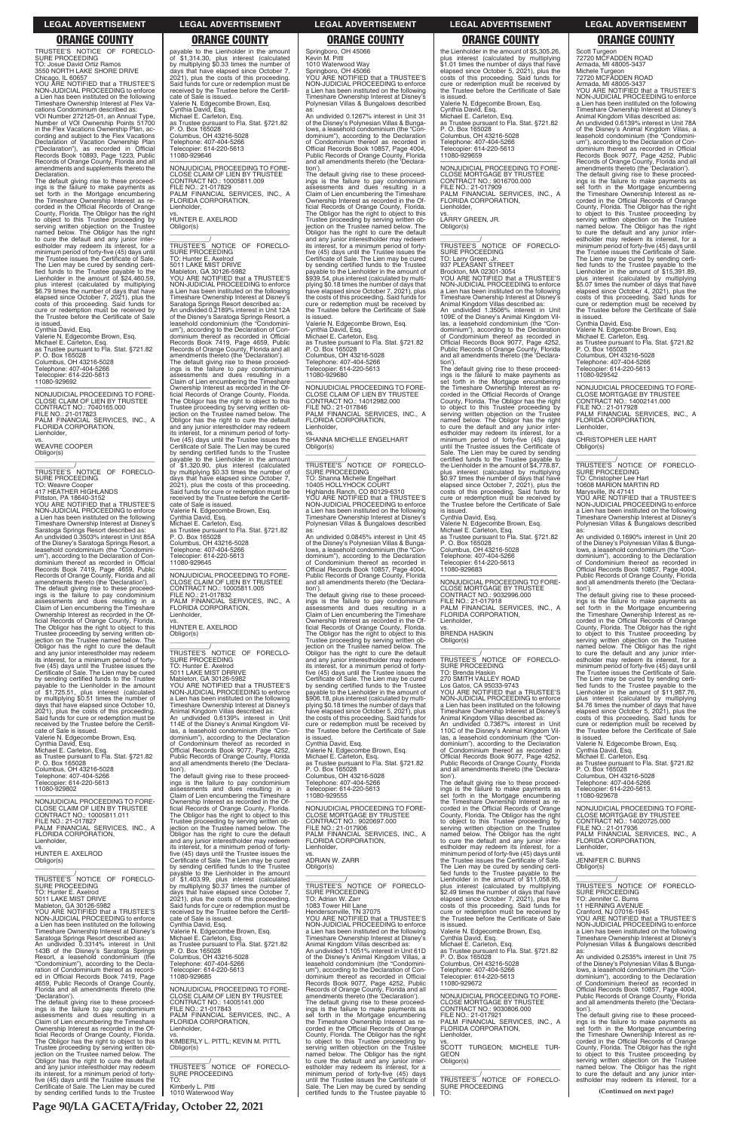TRUSTEE'S NOTICE OF FORECLO-SURE PROCEEDING

TO: Josue David Ortiz Ramos 3550 NORTH LAKE SHORE DRIVE Chicago, IL 60657 YOU ARE NOTIFIED that a TRUSTEE'S

NON-JUDICIAL PROCEEDING to enforce a Lien has been instituted on the following Timeshare Ownership Interest at Flex Va-

cations Condominium described as: VOI Number 272125-01, an Annual Type, Number of VOI Ownership Points 51700 in the Flex Vacations Ownership Plan, ac-cording and subject to the Flex Vacations Declaration of Vacation Ownership Plan<br>("Declaration"), as recorded in Official ("Declaration"), as recorded in Official Records Book 10893, Page 1223, Public Records of Orange County, Florida and all amendments and supplements thereto the Declaration.

 $\overline{\phantom{a}}$  , and the set of the set of the set of the set of the set of the set of the set of the set of the set of the set of the set of the set of the set of the set of the set of the set of the set of the set of the s TRUSTEE'S NOTICE OF FORECLO-SURE PROCEEDING

The default giving rise to these proceed-ings is the failure to make payments as set forth in the Mortgage encumbering the Timeshare Ownership Interest as recorded in the Official Records of Orange County, Florida. The Obligor has the right to object to this Trustee proceeding by serving written objection on the Trustee named below. The Obligor has the right to cure the default and any junior inter-estholder may redeem its interest, for a minimum period of forty-five (45) days until the Trustee issues the Certificate of Sale. The Lien may be cured by sending certi-fied funds to the Trustee payable to the Lienholder in the amount of \$24,460.59, plus interest (calculated by multiplying \$6.79 times the number of days that have elapsed since October 7, 2021), plus the costs of this proceeding. Said funds for cure or redemption must be received by the Trustee before the Certificate of Sale

is issued. Cynthia David, Esq. Valerie N. Edgecombe Brown, Esq. Michael E. Carleton, Esq. as Trustee pursuant to Fla. Stat. §721.82 P. O. Box 165028 Columbus, OH 43216-5028 Telephone: 407-404-5266 Telecopier: 614-220-5613 11080-929692

—————————————————— NONJUDICIAL PROCEEDING TO FORE-CLOSE CLAIM OF LIEN BY TRUSTEE CONTRACT NO.: 7040165.000 FILE NO.: 21-017823 PALM FINANCIAL SERVICES, INC., A FLORIDA CORPORATION, Lienholder,

vs. WEAVRE COOPER Obligor(s)

TO: Weavre Cooper 417 HEATHER HIGHLANDS

Pittston, PA 18640-3152

YOU ARE NOTIFIED that a TRUSTEE'S NON-JUDICIAL PROCEEDING to enforce a Lien has been instituted on the following Timeshare Ownership Interest at Disney's Saratoga Springs Resort described as: An undivided 0.3503% interest in Unit 85A of the Disney's Saratoga Springs Resort, a leasehold condominium (the "Condominium"), according to the Declaration of Con-dominium thereof as recorded in Official Records Book 7419, Page 4659, Public Records of Orange County, Florida and all amendments thereto (the 'Declaration'). The default giving rise to these proceed-ings is the failure to pay condominium assessments and dues resulting in a Claim of Lien encumbering the Timeshare Ownership Interest as recorded in the Of-ficial Records of Orange County, Florida. The Obligor has the right to object to this Trustee proceeding by serving written ob-jection on the Trustee named below. The Obligor has the right to cure the default and any junior interestholder may redeem its interest, for a minimum period of fortyfive (45) days until the Trustee issues the Certificate of Sale. The Lien may be cured by sending certified funds to the Trustee payable to the Lienholder in the amount<br>of \$1.725.51 plue interest of \$1,725.51, plus interest (calculated by multiplying \$0.51 times the number of days that have elapsed since October 10, 2021), plus the costs of this proceeding. Said funds for cure or redemption must be received by the Trustee before the Certifi-cate of Sale is issued. Valerie N. Edgecombe Brown, Esq.

Cynthia David, Esq. Michael E. Carleton, Esq. as Trustee pursuant to Fla. Stat. §721.82 P. O. Box 165028 Columbus, OH 43216-5028 Telephone: 407-404-5266 Telecopier: 614-220-5613

11080-929802

—————————————————— NONJUDICIAL PROCEEDING TO FORE-CLOSE CLAIM OF LIEN BY TRUSTEE CONTRACT NO.: 10005811.011 FILE NO.: 21-017827

CLOSE CLAIM OF LIEN BY TRUSTEE CONTRACT NO.: 10005811.005 FILE NO.: 21-017832 PALM FINANCIAL SERVICES, INC., A FLORIDA CORPORATION, **Lienholder** 

payable to the Lienholder in the amount of \$1,314.30, plus interest (calculated by multiplying \$0.33 times the number of days that have elapsed since October 7, 2021), plus the costs of this proceeding. Said funds for cure or redemption must be received by the Trustee before the Certifi-cate of Sale is issued. Valerie N. Edgecombe Brown, Esq. Cynthia David, Esq. Michael E. Carleton, Esq. as Trustee pursuant to Fla. Stat. §721.82 P. O. Box 165028 Columbus, OH 43216-5028 Telephone: 407-404-5266 Telecopier: 614-220-5613 11080-929646

—————————————————— NONJUDICIAL PROCEEDING TO FORE-CLOSE CLAIM OF LIEN BY TRUSTEE CONTRACT NO.: 10005811.009 FILE NO.: 21-017829 PALM FINANCIAL SERVICES, INC., A FLORIDA CORPORATION, Lienholder,

> —————————————————— NONJUDICIAL PROCEEDING TO FORE-CLOSE CLAIM OF LIEN BY TRUSTEE CONTRACT NO.: 14012982.000 FILE NO.: 21-017846 PALM FINANCIAL SERVICES, INC., A FLORIDA CORPORATION, ienholder.

vs. HUNTER E. AXELROD Obligor(s)

> An undivided 0.0845% interest in Unit 45 of the Disney's Polynesian Villas & Bungalows, a leasehold condominium (the "Condominium"), according to the Declaration of Condominium thereof as recorded in Official Records Book 10857, Page 4004, Public Records of Orange County, Florida and all amendments thereto (the 'Declaration')

\_\_\_\_\_\_\_\_\_\_\_\_\_\_\_\_\_\_\_\_\_\_\_\_\_\_\_\_\_\_\_\_\_ \_\_\_\_\_\_\_\_\_\_\_/<br>TRUSTEE'S NOTICE OF FORECLO-<br>SURE PROCEEDING TO: Hunter E. Axelrod 5011 LAKE MIST DRIVE Mableton, GA 30126-5982 YOU ARE NOTIFIED that a TRUSTEE'S NON-JUDICIAL PROCEEDING to enforce a Lien has been instituted on the following Timeshare Ownership Interest at Disney's Saratoga Springs Resort described as: An undivided 0.2189% interest in Unit 12A of the Disney's Saratoga Springs Resort, a leasehold condominium (the "Condomini-um"), according to the Declaration of Condominium thereof as recorded in Official Records Book 7419, Page 4659, Public Records of Orange County, Florida and all amendments thereto (the 'Declaration'). The default giving rise to these proceed-ings is the failure to pay condominium assessments and dues resulting in a Claim of Lien encumbering the Timeshare Ownership Interest as recorded in the Official Records of Orange County, Florida. The Obligor has the right to object to this Trustee proceeding by serving written objection on the Trustee named below. The Obligor has the right to cure the default and any junior interestholder may redeem its interest, for a minimum period of fortyfive (45) days until the Trustee issues the Certificate of Sale. The Lien may be cured by sending certified funds to the Trustee payable to the Lienholder in the amount of \$1,320.90, plus interest (calculated by multiplying \$0.33 times the number of days that have elapsed since October 7, 2021), plus the costs of this proceeding. Said funds for cure or redemption must be received by the Trustee before the Certifi-cate of Sale is issued. Valerie N. Edgecombe Brown, Esq. Cynthia David, Esq. Michael E. Carleton, Esq. as Trustee pursuant to Fla. Stat. §721.82 P. O. Box 165028 Columbus, OH 43216-5028 Telephone: 407-404-5266 Telecopier: 614-220-5613 11080-929645 —————————————————— NONJUDICIAL PROCEEDING TO FORE-

vs. HUNTER E. AXELROD Obligor(s) \_\_\_\_\_\_\_\_\_\_\_\_\_\_\_\_\_\_\_\_\_\_\_\_\_\_\_\_\_\_\_\_\_

\_\_\_\_\_\_\_\_\_\_\_/ TRUSTEE'S NOTICE OF FORECLO-SURE PROCEEDING TO: Hunter E. Axelrod 5011 LAKE MIST DRRIVE Mableton, GA 30126-5982 YOU ARE NOTIFIED that a TRUSTEE'S NON-JUDICIAL PROCEEDING to enforce a Lien has been instituted on the following Timeshare Ownership Interest at Disney's Animal Kingdom Villas described as: An undivided 0.6139% interest in Unit 114E of the Disney's Animal Kingdom Villas, a leasehold condominium (the "Condominium"), according to the Declaration of Condominium thereof as recorded in Official Records Book 9077, Page 4252, Public Records of Orange County, Florida and all amendments thereto (the 'Declara-

tion'). The default giving rise to these proceedings is the failure to pay condominium assessments and dues resulting in a Claim of Lien encumbering the Timeshare Ownership Interest as recorded in the Official Records of Orange County, Florida. The Obligor has the right to object to this Trustee proceeding by serving written ob-jection on the Trustee named below. The Obligor has the right to cure the default

\_\_\_\_\_\_\_\_\_\_\_\_/<br>TRUSTEE'S NOTICE OF FORECLO-<br>SURE PROCEEDING TO: Brenda Haskin 270 SMITH VALLEY ROAD Los Gatos, CA 95033-9743 YOU ARE NOTIFIED that a TRUSTEE'S NON-JUDICIAL PROCEEDING to enforce a Lien has been instituted on the following

Springboro, OH 45066 Kevin M. Pittl 1010 Waterwood Way

Springboro, OH 45066 YOU ARE NOTIFIED that a TRUSTEE'S NON-JUDICIAL PROCEEDING to enforce

a Lien has been instituted on the following Timeshare Ownership Interest at Disney's Polynesian Villas & Bungalows described as: An undivided 0.1267% interest in Unit 31

of the Disney's Polynesian Villas & Bunga-lows, a leasehold condominium (the "Con-dominium"), according to the Declaration of Condominium thereof as recorded in Official Records Book 10857, Page 4004, Public Records of Orange County, Florida and all amendments thereto (the 'Declara-

tion'). The default giving rise to these proceedings is the failure to pay condominium assessments and dues resulting in a Claim of Lien encumbering the Timeshare Ownership Interest as recorded in the Official Records of Orange County, Florida. The Obligor has the right to object to this Trustee proceeding by serving written ob-jection on the Trustee named below. The Obligor has the right to cure the default and any junior interestholder may redeem its interest, for a minimum period of forty-five (45) days until the Trustee issues the Certificate of Sale. The Lien may be cured by sending certified funds to the Trustee payable to the Lienholder in the amount of \$939.54, plus interest (calculated by multiplying \$0.18 times the number of days that have elapsed since October 7, 2021), plus the costs of this proceeding. Said funds for cure or redemption must be received by the Trustee before the Certificate of Sale is issued.

Valerie N. Edgecombe Brown, Esq. Cynthia David, Esq. Michael E. Carleton, Esq. as Trustee pursuant to Fla. Stat. §721.82 P. O. Box 165028 Columbus, OH 43216-5028 Telephone: 407-404-5266 Telecopier: 614-220-5613 11080-929680

vs. SHANNA MICHELLE ENGELHART Obligor(s) \_\_\_\_\_\_\_\_\_\_\_\_\_\_\_\_\_\_\_\_\_\_\_\_\_\_\_\_\_\_\_\_\_

\_\_\_\_\_\_\_\_\_\_\_/ TRUSTEE'S NOTICE OF FORECLO-SURE PROCEEDING TO: Shanna Michelle Engelhart 10405 HOLLYHOCK COURT Highlands Ranch, CO 80129-6310 YOU ARE NOTIFIED that a TRUSTEE'S NON-JUDICIAL PROCEEDING to enforce a Lien has been instituted on the following Timeshare Ownership Interest at Disney's Polynesian Villas & Bungalows described as:

The default giving rise to these proceed-ings is the failure to pay condominium assessments and dues resulting in a Claim of Lien encumbering the Timeshare Ownership Interest as recorded in the Official Records of Orange County, Florida. The Obligor has the right to object to this Trustee proceeding by serving written objection on the Trustee named below. The Obligor has the right to cure the default and any junior interestholder may redeem its interest, for a minimum period of forty-five (45) days until the Trustee issues the Certificate of Sale. The Lien may be cured by sending certified funds to the Trustee payable to the Lienholder in the amount of \$906.18, plus interest (calculated by multiplying \$0.18 times the number of days that have elapsed since October 5, 2021), plus the costs of this proceeding. Said funds for cure or redemption must be received by the Trustee before the Certificate of Sale

is issued. Cynthia David, Esq. Valerie N. Edgecombe Brown, Esq. Michael E. Carleton, Esq. as Trustee pursuant to Fla. Stat. §721.82 P. O. Box 165028 Columbus, OH 43216-5028 Telephone: 407-404-5266

Telecopier: 614-220-5613 11080-929555

—————————————————— NONJUDICIAL PROCEEDING TO FORE-CLOSE MORTGAGE BY TRUSTEE CONTRACT NO.: 9020697.000 FILE NO.: 21-017906

| PALM FINANCIAL SERVICES, INC., A                                                   | jection on the Trustee named below. The                                               | FILE NO.: 21-017906                                                                    | serving written objection on the Trustee                                            | FILE NO.: 21-017936                                                               |
|------------------------------------------------------------------------------------|---------------------------------------------------------------------------------------|----------------------------------------------------------------------------------------|-------------------------------------------------------------------------------------|-----------------------------------------------------------------------------------|
| <b>FLORIDA CORPORATION.</b><br>Lienholder.                                         | Obligor has the right to cure the default<br>and any junior interestholder may redeem | PALM FINANCIAL SERVICES. INC., A<br>FLORIDA CORPORATION.                               | named below. The Obligor has the right<br>to cure the default and any junior inter- | PALM FINANCIAL SERVICES, INC., A<br>FLORIDA CORPORATION.                          |
| VS.                                                                                | its interest, for a minimum period of forty-                                          | Lienholder.                                                                            | estholder may redeem its interest, for a                                            | Lienholder.                                                                       |
| HUNTER E. AXELROD                                                                  | five (45) days until the Trustee issues the                                           | VS.                                                                                    | minimum period of forty-five (45) days until                                        | VS.                                                                               |
| Obligor(s)                                                                         | Certificate of Sale. The Lien may be cured                                            | ADRIAN W. ZARR                                                                         | the Trustee issues the Certificate of Sale.                                         | JENNIFER C. BURNS                                                                 |
|                                                                                    | by sending certified funds to the Trustee                                             | Obligor(s)                                                                             | The Lien may be cured by sending certi-                                             | Obligor(s)                                                                        |
|                                                                                    | payable to the Lienholder in the amount                                               |                                                                                        | fied funds to the Trustee payable to the                                            |                                                                                   |
| TRUSTEE'S NOTICE OF FORECLO-                                                       | of \$1,403.99, plus interest (calculated                                              |                                                                                        | Lienholder in the amount of \$11,058.95.                                            |                                                                                   |
| <b>SURE PROCEEDING</b>                                                             | by multiplying \$0.37 times the number of                                             | TRUSTEE'S NOTICE OF FORECLO-                                                           | plus interest (calculated by multiplying                                            | TRUSTEE'S NOTICE OF FORECLO-                                                      |
| TO: Hunter E. Axelrod                                                              | days that have elapsed since October 7.                                               | SURE PROCEEDING                                                                        | \$2.49 times the number of days that have                                           | SURE PROCEEDING                                                                   |
| 5011 LAKE MIST DRIVE                                                               | 2021), plus the costs of this proceeding.                                             | TO: Adrian W. Zarr                                                                     | elapsed since October 7, 2021), plus the                                            | TO: Jennifer C. Burns                                                             |
| Mableton, GA 30126-5982                                                            | Said funds for cure or redemption must be                                             | 1083 Tower Hill Lane                                                                   | costs of this proceeding. Said funds for                                            | <b>11 HERNING AVENUE</b>                                                          |
| YOU ARE NOTIFIED that a TRUSTEE'S                                                  | received by the Trustee before the Certifi-                                           | Hendersonville, TN 37075                                                               | cure or redemption must be received by                                              | Cranford, NJ 07016-1945                                                           |
| NON-JUDICIAL PROCEEDING to enforce                                                 | cate of Sale is issued.                                                               | YOU ARE NOTIFIED that a TRUSTEE'S                                                      | the Trustee before the Certificate of Sale                                          | YOU ARE NOTIFIED that a TRUSTEE'S                                                 |
| a Lien has been instituted on the following                                        | Cynthia David, Esg.                                                                   | NON-JUDICIAL PROCEEDING to enforce                                                     | is issued.                                                                          | NON-JUDICIAL PROCEEDING to enforce                                                |
| Timeshare Ownership Interest at Disney's                                           | Valerie N. Edgecombe Brown, Esq.                                                      | a Lien has been instituted on the following                                            | Valerie N. Edgecombe Brown, Esq.                                                    | a Lien has been instituted on the following                                       |
| Saratoga Springs Resort described as:                                              | Michael E. Carleton, Esg.                                                             | Timeshare Ownership Interest at Disney's                                               | Cynthia David, Esq.                                                                 | Timeshare Ownership Interest at Disney's                                          |
| An undivided 0.3314% interest in Unit                                              | as Trustee pursuant to Fla. Stat. §721.82                                             | Animal Kingdom Villas described as:                                                    | Michael E. Carleton, Esq.                                                           | Polynesian Villas & Bungalows described                                           |
| 143B of the Disney's Saratoga Springs                                              | P. O. Box 165028                                                                      | An undivided 1.1051% interest in Unit 61D                                              | as Trustee pursuant to Fla. Stat. §721.82                                           | as:                                                                               |
| Resort, a leasehold condominium (the                                               | Columbus, OH 43216-5028                                                               | of the Disney's Animal Kingdom Villas, a                                               | P. O. Box 165028                                                                    | An undivided 0.2535% interest in Unit 75                                          |
| "Condominium"), according to the Decla-                                            | Telephone: 407-404-5266                                                               | leasehold condominium (the "Condomini-                                                 | Columbus, OH 43216-5028                                                             | of the Disney's Polynesian Villas & Bunga-                                        |
| ration of Condominium thereof as record-<br>ed in Official Records Book 7419. Page | Telecopier: 614-220-5613<br>11080-929685                                              | um"), according to the Declaration of Con-<br>dominium thereof as recorded in Official | Telephone: 407-404-5266<br>Telecopier: 614-220-5613                                 | lows, a leasehold condominium (the "Con-                                          |
| 4659, Public Records of Orange County,                                             |                                                                                       | Records Book 9077, Page 4252, Public                                                   | 11080-929672                                                                        | dominium"), according to the Declaration<br>of Condominium thereof as recorded in |
| Florida and all amendments thereto (the                                            | NONJUDICIAL PROCEEDING TO FORE-                                                       | Records of Orange County, Florida and all                                              |                                                                                     | Official Records Book 10857, Page 4004,                                           |
| 'Declaration').                                                                    | CLOSE CLAIM OF LIEN BY TRUSTEE                                                        | amendments thereto (the 'Declaration').                                                | NONJUDICIAL PROCEEDING TO FORE-                                                     | Public Records of Orange County, Florida                                          |
| The default giving rise to these proceed-                                          | CONTRACT NO.: 14005141.000                                                            | The default giving rise to these proceed-                                              | <b>CLOSE MORTGAGE BY TRUSTEE</b>                                                    | and all amendments thereto (the 'Declara-                                         |
| ings is the failure to pay condominium                                             | FILE NO.: 21-017843                                                                   | ings is the failure to make payments as                                                | CONTRACT NO.: 9030806.000                                                           | tion').                                                                           |
| assessments and dues resulting in a                                                | PALM FINANCIAL SERVICES. INC., A                                                      | set forth in the Mortgage encumbering                                                  | FILE NO.: 21-017921                                                                 | The default giving rise to these proceed-                                         |
| Claim of Lien encumbering the Timeshare                                            | FLORIDA CORPORATION,                                                                  | the Timeshare Ownership Interest as re-                                                | PALM FINANCIAL SERVICES, INC., A                                                    | ings is the failure to make payments as                                           |
| Ownership Interest as recorded in the Of-                                          | Lienholder,                                                                           | corded in the Official Records of Orange                                               | FLORIDA CORPORATION,                                                                | set forth in the Mortgage encumbering                                             |
| ficial Records of Orange County, Florida.                                          | VS.                                                                                   | County, Florida. The Obligor has the right                                             | Lienholder,                                                                         | the Timeshare Ownership Interest as re-                                           |
| The Obligor has the right to object to this                                        | KIMBERLY L. PITTL; KEVIN M. PITTL                                                     | to object to this Trustee proceeding by                                                | VS.                                                                                 | corded in the Official Records of Orange                                          |
| Trustee proceeding by serving written ob-                                          | Obligor(s)                                                                            | serving written objection on the Trustee                                               | SCOTT TURGEON; MICHELE TUR-                                                         | County, Florida. The Obligor has the right                                        |
| jection on the Trustee named below. The                                            |                                                                                       | named below. The Obligor has the right                                                 | GEON                                                                                | to object to this Trustee proceeding by                                           |
| Obligor has the right to cure the default                                          |                                                                                       | to cure the default and any junior inter-                                              | Obligor(s)                                                                          | serving written objection on the Trustee                                          |
| and any junior interestholder may redeem                                           | TRUSTEE'S NOTICE OF FORECLO-                                                          | estholder may redeem its interest, for a                                               |                                                                                     | named below. The Obligor has the right                                            |
| its interest, for a minimum period of forty-                                       | SURE PROCEEDING                                                                       | minimum period of forty-five (45) days                                                 |                                                                                     | to cure the default and any junior inter-                                         |
| five (45) days until the Trustee issues the                                        | TO:                                                                                   | until the Trustee issues the Certificate of                                            | TRUSTEE'S NOTICE OF FORECLO-                                                        | estholder may redeem its interest, for a                                          |
| Certificate of Sale. The Lien may be cured                                         | Kimberly L. Pittl                                                                     | Sale. The Lien may be cured by sending                                                 | <b>SURE PROCEEDING</b>                                                              | (Continued on next page)                                                          |
| by sending certified funds to the Trustee                                          | 1010 Waterwood Way                                                                    | certified funds to the Trustee payable to                                              | TO:                                                                                 |                                                                                   |

the Lienholder in the amount of \$5,305.26, plus interest (calculated by multiplying \$1.01 times the number of days that have elapsed since October 5, 2021), plus the costs of this proceeding. Said funds for cure or redemption must be received by the Trustee before the Certificate of Sale is issued.

Valerie N. Edgecombe Brown, Esq. Cynthia David, Esq. Michael E. Carleton, Esq. as Trustee pursuant to Fla. Stat. §721.82 P. O. Box 165028 Columbus, OH 43216-5028 Telephone: 407-404-5266 Telecopier: 614-220-5613 11080-929659

—————————————————— NONJUDICIAL PROCEEDING TO FORE-CLOSE MORTGAGE BY TRUSTEE CONTRACT NO.: 9016700.000 FILE NO.: 21-017909 PALM FINANCIAL SERVICES, INC., A FILL NO.: 21-017505<br>PALM FINANCIAL SERVIC<br>FLORIDA CORPORATION, Lienholder,

vs. LARRY GREEN, JR. Obligor(s)

\_\_\_\_\_\_\_\_\_\_\_\_\_\_\_\_\_\_\_\_\_\_\_\_\_\_\_\_\_\_\_\_\_

\_\_\_\_\_\_\_\_\_\_\_/ TRUSTEE'S NOTICE OF FORECLO-SURE PROCEEDING TO: Larry Green, Jr. 937 PLEASANT STREET Brockton, MA 02301-3054 YOU ARE NOTIFIED that a TRUSTEE'S NON-JUDICIAL PROCEEDING to enforce a Lien has been instituted on the following Timeshare Ownership Interest at Disney's Animal Kingdom Villas described as: An undivided 1.3506% interest in Unit 109E of the Disney's Animal Kingdom Villas, a leasehold condominium (the "Con-dominium"), according to the Declaration of Condominium thereof as recorded in Official Records Book 9077, Page 4252, Public Records of Orange County, Florida and all amendments thereto (the 'Declaration'). The default giving rise to these proceedings is the failure to make payments as set forth in the Mortgage encumbering the Timeshare Ownership Interest as re-corded in the Official Records of Orange County, Florida. The Obligor has the right to object to this Trustee proceeding by serving written objection on the Trustee named below. The Obligor has the right to cure the default and any junior interestholder may redeem its interest, for a minimum period of forty-five (45) days until the Trustee issues the Certificate of Sale. The Lien may be cured by sending certified funds to the Trustee payable to the Lienholder in the amount of \$4,778.87, plus interest (calculated by multiplying \$0.97 times the number of days that have elapsed since October 7, 2021), plus the costs of this proceeding. Said funds for cure or redemption must be received by the Trustee before the Certificate of Sale is issued. Cynthia David, Esq. Valerie N. Edgecombe Brown, Esq.

Michael E. Carleton, Esq. as Trustee pursuant to Fla. Stat. §721.82 P. O. Box 165028 Columbus, OH 43216-5028 Telephone: 407-404-5266 Telecopier: 614-220-5613 11080-929683

—————————————————— NONJUDICIAL PROCEEDING TO FORE-CLOSE MORTGAGE BY TRUSTEE CONTRACT NO.: 9032996.000 FILE NO.: 21-017918 PALM FINANCIAL SERVICES, INC., A FLORIDA CORPORATION, Lienholder,

vs. BRENDA HASKIN Obligor(s)

\_\_\_\_\_\_\_\_\_\_\_\_\_\_\_\_\_\_\_\_\_\_\_\_\_\_\_\_\_\_\_\_\_

Timeshare Ownership Interest at Disney's Animal Kingdom Villas described as: An undivided 0.7367% interest in Unit

110C of the Disney's Animal Kingdom Vil-las, a leasehold condominium (the "Condominium"), according to the Declaration of Condominium thereof as recorded in Official Records Book 9077, Page 4252, Public Records of Orange County, Florida and all amendments thereto (the 'Declaration').

The default giving rise to these proceed-ings is the failure to make payments as set forth in the Mortgage encumbering the Timeshare Ownership Interest as recorded in the Official Records of Orange County, Florida. The Obligor has the right to object to this Trustee proceeding by serving written objection on the Trustee named below. The Obligor has the right

Scott Turgeon 72720 MCFADDEN ROAD Armada, MI 48005-3437 Michele Turgeon<br>72720 MCFADDEN ROAD<br>Armada, MI 48005-3437<br>YOU ARE NOTIFIED that a TRUSTEE'S NON-JUDICIAL PROCEEDING to enforce a Lien has been instituted on the following Timeshare Ownership Interest at Disney's Animal Kingdom Villas described as: An undivided 0.6139% interest in Unit 78A of the Disney's Animal Kingdom Villas, a leasehold condominium (the "Condominium"), according to the Declaration of Con-<br>dominium thereof as recorded in Official<br>Records Book 9077, Page 4252, Public<br>Records of Orange County, Florida and all<br>amendments thereo (the 'Declaration').<br>The default giving r ings is the failure to make payments as set forth in the Mortgage encumbering set forth in the Mortgage encumbering the Timeshare Ownership Interest as re-corded in the Official Records of Orange County, Florida. The Obligor has the right to object to this Trustee proceeding by serving written objection on the Trustee named below. The Obligor has the right to cure the default and any junior interestholder may redeem its interest, for a minimum period of forty-five (45) days until the Trustee issues the Certificate of Sale. The Lien may be cured by sending certified funds to the Trustee payable to the Lienholder in the amount of \$15,391.89, plus interest (calculated by multiplying \$5.07 times the number of days that have elapsed since October 4, 2021), plus the costs of this proceeding. Said funds for cure or redemption must be received by the Trustee before the Certificate of Sale is issued.

Cynthia David, Esq. Valerie N. Edgecombe Brown, Esq. Michael E. Carleton, Esq. as Trustee pursuant to Fla. Stat. §721.82 P. O. Box 165028 Columbus, OH 43216-5028 Telephone: 407-404-5266 Telecopier: 614-220-5613 11080-929542

—————————————————— NONJUDICIAL PROCEEDING TO FORE-CLOSE MORTGAGE BY TRUSTEE CONTRACT NO.: 14002141.000 FILE NO.: 21-017928 PALM FINANCIAL SERVICES, INC., A

FLORIDA CORPORATION, Lienholder, vs. CHRISTOPHER LEE HART

Obligor(s) \_\_\_\_\_\_\_\_\_\_\_\_\_\_\_\_\_\_\_\_\_\_\_\_\_\_\_\_\_\_\_\_\_

\_\_\_\_\_\_\_\_\_\_\_/ TRUSTEE'S NOTICE OF FORECLO-SURE PROCEEDING

TO: Christopher Lee Hart 10608 MARION MARTIN RD

Marysville, IN 47141 YOU ARE NOTIFIED that a TRUSTEE'S NON-JUDICIAL PROCEEDING to enforce a Lien has been instituted on the following Timeshare Ownership Interest at Disney's Polynesian Villas & Bungalows described as:

An undivided 0.1690% interest in Unit 20 of the Disney's Polynesian Villas & Bungalows, a leasehold condominium (the "Condominium"), according to the Declaration of Condominium thereof as recorded in Official Records Book 10857, Page 4004, Public Records of Orange County, Florida and all amendments thereto (the 'Declaration').

The default giving rise to these proceed-ings is the failure to make payments as set forth in the Mortgage encumbering the Timeshare Ownership Interest as re-corded in the Official Records of Orange County, Florida. The Obligor has the right to object to this Trustee proceeding by serving written objection on the Trustee named below. The Obligor has the right to cure the default and any junior inter-estholder may redeem its interest, for a minimum period of forty-five (45) days until the Trustee issues the Certificate of Sale. The Lien may be cured by sending certified funds to the Trustee payable to the Lienholder in the amount of \$11,987.76, plus interest (calculated by multiplying \$4.76 times the number of days that have elapsed since October 5, 2021), plus the costs of this proceeding. Said funds for cure or redemption must be received by the Trustee before the Certificate of Sale is issued.

Valerie N. Edgecombe Brown, Esq. Cynthia David, Esq. Michael E. Carleton, Esq.

as Trustee pursuant to Fla. Stat. §721.82 P. O. Box 165028 Columbus, OH 43216-5028 Telephone: 407-404-5266

Telecopier: 614-220-5613. 11080-929678

—————————————————— NONJUDICIAL PROCEEDING TO FORE-CLOSE MORTGAGE BY TRUSTEE CONTRACT NO.: 14020725.000 FILE NO.: 21-017936

### **LEGAL ADVERTISEMENT LEGAL ADVERTISEMENT LEGAL ADVERTISEMENT LEGAL ADVERTISEMENT LEGAL ADVERTISEMENT**

### **ORANGE COUNTY ORANGE COUNTY ORANGE COUNTY ORANGE COUNTY ORANGE COUNTY**

**Page 90/LA GACETA/Friday, October 22, 2021**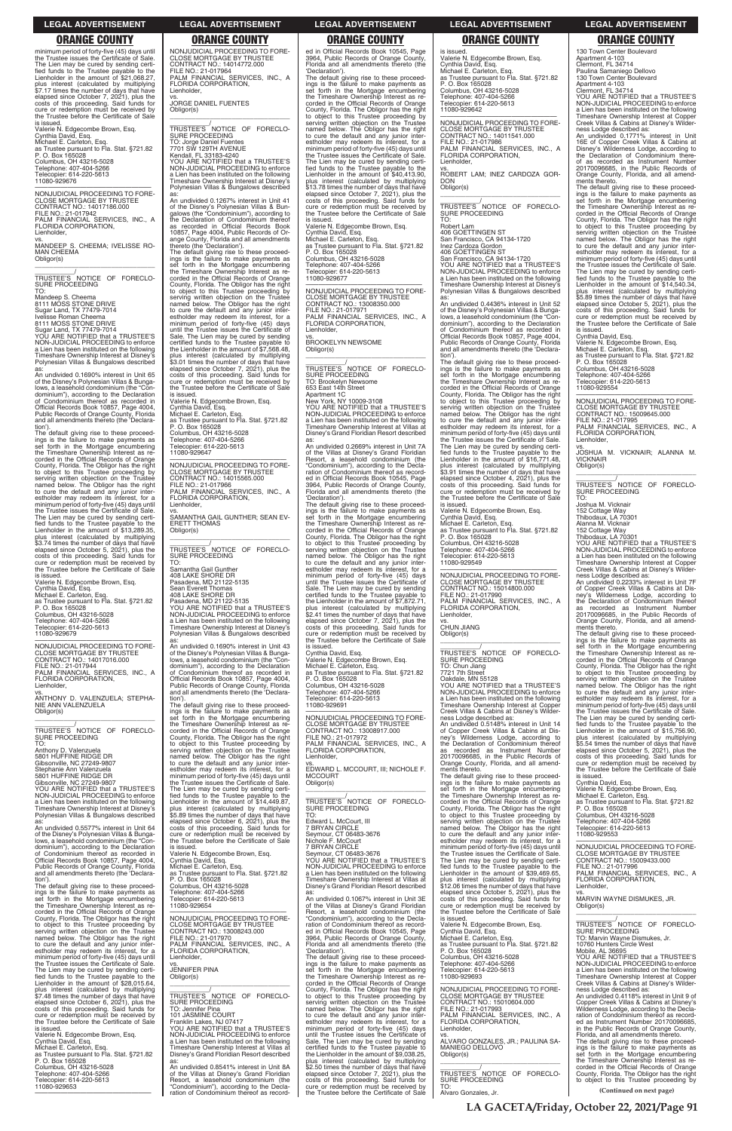minimum period of forty-five (45) days until the Trustee issues the Certificate of Sale. The Lien may be cured by sending certified funds to the Trustee payable to the fied funds to the Trustee payable to the Lienholder in the amount of \$21,068.27, plus interest (calculated by multiplying \$7.17 times the number of days that have elapsed since October 7, 2021), plus the costs of this proceeding. Said funds for cure or redemption must be received by the Trustee before the Certificate of Sale is issued.

 $\overline{\phantom{a}}$  , and the set of the set of the set of the set of the set of the set of the set of the set of the set of the set of the set of the set of the set of the set of the set of the set of the set of the set of the s TRUSTEE'S NOTICE OF FORECLO-SURE PROCEEDING TO:

Valerie N. Edgecombe Brown, Esq. Cynthia David, Esq. Michael E. Carleton, Esq. as Trustee pursuant to Fla. Stat. §721.82 P. O. Box 165028 Columbus, OH 43216-5028 Telephone: 407-404-5266 Telecopier: 614-220-5613 11080-929676

—————————————————— NONJUDICIAL PROCEEDING TO FORE-CLOSE MORTGAGE BY TRUSTEE CONTRACT NO.: 14017186.000 FILE NO.: 21-017942 PALM FINANCIAL SERVICES, INC., A

FLORIDA CORPORATION, Lienholder,

vs. MANDEEP S. CHEEMA; IVELISSE RO-MAN CHEEMA Obligor(s)

Mandeep S. Cheema 8111 MOSS STONE DRIVE Sugar Land, TX 77479-7014 Ivelisse Roman Cheema 8111 MOSS STONE DRIVE Sugar Land, TX 77479-7014

YOU ARE NOTIFIED that a TRUSTEE'S NON-JUDICIAL PROCEEDING to enforce a Lien has been instituted on the following Timeshare Ownership Interest at Disney's Polynesian Villas & Bungalows described

as: An undivided 0.1690% interest in Unit 65 of the Disney's Polynesian Villas & Bunga-lows, a leasehold condominium (the "Condominium"), according to the Declaration of Condominium thereof as recorded in Official Records Book 10857, Page 4004, Public Records of Orange County, Florida and all amendments thereto (the 'Declara-

tion'). The default giving rise to these proceed-ings is the failure to make payments as set forth in the Mortgage encumbering the Timeshare Ownership Interest as recorded in the Official Records of Orange County, Florida. The Obligor has the right to object to this Trustee proceeding by serving written objection on the Trustee named below. The Obligor has the right to cure the default and any junior inter-estholder may redeem its interest, for a minimum period of forty-five (45) days until the Trustee issues the Certificate of Sale. The Lien may be cured by sending certi-fied funds to the Trustee payable to the Lienholder in the amount of \$13,289,35. plus interest (calculated by multiplying \$3.74 times the number of days that have elapsed since October 5, 2021), plus the costs of this proceeding. Said funds for cure or redemption must be received by the Trustee before the Certificate of Sale is issued.

Valerie N. Edgecombe Brown, Esq. Cynthia David, Esq. Michael E. Carleton, Esq. as Trustee pursuant to Fla. Stat. §721.82 P. O. Box 165028 Columbus, OH 43216-5028 Telephone: 407-404-5266 Telecopier: 614-220-5613 11080-929679

—————————————————— NONJUDICIAL PROCEEDING TO FORE-CLOSE MORTGAGE BY TRUSTEE<br>CONTRACT NO.: 14017016.000<br>FILE NO.: 21-017944<br>PALM FINANCIAL SERVICES, INC., A<br>FLORIDA CORPORATION, Lienholder,

vs. ANTHONY D. VALENZUELA; STEPHA-NIE ANN VALENZUELA Obligor(s) \_\_\_\_\_\_\_\_\_\_\_\_\_\_\_\_\_\_\_\_\_\_\_\_\_\_\_\_\_\_\_\_\_

\_\_\_\_\_\_\_\_\_\_\_/ TRUSTEE'S NOTICE OF FORECLO-SURE PROCEEDING TO:

Anthony D. Valenzuela 5801 HUFFINE RIDGE DR Gibsonville, NC 27249-9807 Stephanie Ann Valenzuela 5801 HUFFINE RIDGE DR Gibsonville, NC 27249-9807

YOU ARE NOTIFIED that a TRUSTEE'S NON-JUDICIAL PROCEEDING to enforce a Lien has been instituted on the following Timeshare Ownership Interest at Disney Polynesian Villas & Bungalows described

Obligor(s) \_\_\_\_\_\_\_\_\_\_\_\_\_\_\_\_\_\_\_\_\_\_\_\_\_\_\_\_\_\_\_\_\_ \_\_\_\_\_\_\_\_\_\_\_/<br>TRUSTEE'S NOTICE OF FORECLO-<br>SURE PROCEEDING

NONJUDICIAL PROCEEDING TO FORE-CLOSE MORTGAGE BY TRUSTEE CONTRACT NO.: 14014772.000 FILE NO.: 21-017964 PALM FINANCIAL SERVICES, INC., A FLORIDA CORPORATION, Lienholder,

vs. JORGE DANIEL FUENTES Obligor(s)

\_\_\_\_\_\_\_\_\_\_\_\_\_\_\_\_\_\_\_\_\_\_\_\_\_\_\_\_\_\_\_\_\_ \_\_\_\_\_\_\_\_\_\_\_/ TRUSTEE'S NOTICE OF FORECLO-SURE PROCEEDING TO: Jorge Daniel Fuentes<br>7701 SW 129TH AVENUE<br>Kendall, FL 33183-4240<br>YOU ARE NOTIFIED that a TRUSTEE'S NON-JUDICIAL PROCEEDING to enforce a Lien has been instituted on the following Timeshare Ownership Interest at Disney's Polynesian Villas & Bungalows described

as: An undivided 0.1267% interest in Unit 41 of the Disney's Polynesian Villas & Bun-galows (the "Condominium"), according to the Declaration of Condominium thereof as recorded in Official Records Book 10857, Page 4004, Public Records of Or-

> of the Villas at Disney's Grand Floridian<br>Resort a leasehold condominium (the Resort, a leasehold condominium (the "Condominium"), according to the Declaration of Condominium thereof as recorded in Official Records Book 10545, Page 3964, Public Records of Orange County, Florida and all amendments thereto (the 'Declaration'). The default giving rise to these proceed-

ange County, Florida and all amendments thereto (the 'Declaration'). The default giving rise to these proceedings is the failure to make payments as set forth in the Mortgage encumbering the Timeshare Ownership Interest as recorded in the Official Records of Orange County, Florida. The Obligor has the right to object to this Trustee proceeding by serving written objection on the Trustee named below. The Obligor has the right to cure the default and any junior interestholder may redeem its interest, for a minimum period of forty-five (45) days until the Trustee issues the Certificate of Sale. The Lien may be cured by sending certified funds to the Trustee payable to the Lienholder in the amount of \$7,568.48, plus interest (calculated by multiplying \$3.01 times the number of days that have elapsed since October 7, 2021), plus the costs of this proceeding. Said funds for cure or redemption must be received by the Trustee before the Certificate of Sale is issued.

> vs. EDWARD L. MCCOURT, III; NICHOLE F. MCCOURT Obligor(s)  $\overline{\phantom{a}}$  , and the set of the set of the set of the set of the set of the set of the set of the set of the set of the set of the set of the set of the set of the set of the set of the set of the set of the set of the s

TRUSTEE'S NOTICE OF FORECLO-SURE PROCEEDING TO: Edward L. McCourt, III

Valerie N. Edgecombe Brown, Esq. Cynthia David, Esq. Michael E. Carleton, Esq. as Trustee pursuant to Fla. Stat. §721.82 P. O. Box 165028 Columbus, OH 43216-5028

Telephone: 407-404-5266 Telecopier: 614-220-5613 11080-929647

—————————————————— NONJUDICIAL PROCEEDING TO FORE-CLOSE MORTGAGE BY TRUSTEE CONTRACT NO.: 14015565.000 FILE NO.: 21-017966 PALM FINANCIAL SERVICES, INC., A

FLORIDA CORPORATION, Lienholder, vs. SAMANTHA GAIL GUNTHER; SEAN EV-ERETT THOMAS

TO:

Samantha Gail Gunther 408 LAKE SHORE DR Pasadena, MD 21122-5135 Sean Everett Thomas 408 LAKE SHORE DR Pasadena, MD 21122-5135 YOU ARE NOTIFIED that a TRUSTEE'S NON-JUDICIAL PROCEEDING to enforce a Lien has been instituted on the following Timeshare Ownership Interest at Disney's Polynesian Villas & Bungalows described

as: An undivided 0.1690% interest in Unit 43 of the Disney's Polynesian Villas & Bunga-lows, a leasehold condominium (the "Condominium"), according to the Declaration of Condominium thereof as recorded in Official Records Book 10857, Page 4004, Public Records of Orange County, Florida and all amendments thereto (the 'Declaration').

\_\_\_\_\_\_\_\_\_\_\_/<br>TRUSTEE'S NOTICE OF FORECLO-<br>SURE PROCEEDING TO:

The default giving rise to these proceed-ings is the failure to make payments as set forth in the Mortgage encumbering the Timeshare Ownership Interest as re-corded in the Official Records of Orange County, Florida. The Obligor has the right to object to this Trustee proceeding by serving written objection on the Trustee named below. The Obligor has the right to cure the default and any junior inter-estholder may redeem its interest, for a minimum period of forty-five (45) days until the Trustee issues the Certificate of Sale. The Lien may be cured by sending certi-fied funds to the Trustee payable to the Lienholder in the amount of \$14,449.87, plus interest (calculated by multiplying \$5.89 times the number of days that have elapsed since October 6, 2021), plus the costs of this proceeding. Said funds for cure or redemption must be received by

ed in Official Records Book 10545, Page 3964, Public Records of Orange County, Florida and all amendments thereto (the 'Declaration'). The default giving rise to these proceed-

ings is the failure to make payments as set forth in the Mortgage encumbering the Timeshare Ownership Interest as recorded in the Official Records of Orange County, Florida. The Obligor has the right to object to this Trustee proceeding by serving written objection on the Trustee named below. The Obligor has the right to cure the default and any junior interestholder may redeem its interest, for a minimum period of forty-five (45) days until the Trustee issues the Certificate of Sale. The Lien may be cured by sending certi-fied funds to the Trustee payable to the Lienholder in the amount of \$40,413.90, plus interest (calculated by multiplying \$13.78 times the number of days that have elapsed since October 7, 2021), plus the costs of this proceeding. Said funds for cure or redemption must be received by the Trustee before the Certificate of Sale is issued.

ments thereto.<br>The default giving rise to these proceed-<br>ings is the failure to make payments as<br>set forth in the Mortgage encumbering<br>the Timeshare Ownership Interest as re-<br>corded in the Official Records of Orange County, Florida. The Obligor has the right to object to this Trustee proceeding by serving written objection on the Trustee named below. The Obligor has the right to cure the default and any junior inter-estholder may redeem its interest, for a minimum period of forty-five (45) days until the Trustee issues the Certificate of Sale. The Lien may be cured by sending certified funds to the Trustee payable to the Lienholder in the amount of \$14,540.34, plus interest (calculated by multiplying \$5.89 times the number of days that have elapsed since October 5, 2021), plus the costs of this proceeding. Said funds for cure or redemption must be received by the Trustee before the Certificate of Sale is issued.

 $FII$   $FNIO.21-017995$ PALM FINANCIAL SERVICES, INC., A FLORIDA CORPORATION,

Valerie N. Edgecombe Brown, Esq. Cynthia David, Esq. Michael E. Carleton, Esq. as Trustee pursuant to Fla. Stat. §721.82 P. O. Box 165028 Columbus, OH 43216-5028

Telephone: 407-404-5266 Telecopier: 614-220-5613 11080-929677

—————————————————— NONJUDICIAL PROCEEDING TO FORE-CLOSE MORTGAGE BY TRUSTEE CONTRACT NO.: 13008350.000 FILE NO.: 21-017971 PALM FINANCIAL SERVICES, INC., A FLORIDA CORPORATION, Lienholder,

vs. BROOKELYN NEWSOME Obligor(s)

\_\_\_\_\_\_\_\_\_\_\_\_\_\_\_\_\_\_\_\_\_\_\_\_\_\_\_\_\_\_\_\_\_ \_\_\_\_\_\_\_\_\_\_\_/<br>TRUSTEE'S NOTICE OF FORECLO-<br>SURE PROCEEDING TO: Brookelyn Newsome 653 East 14th Street Apartment 1C New York, NY 10009-3108 YOU ARE NOTIFIED that a TRUSTEE'S NON-JUDICIAL PROCEEDING to enforce a Lien has been instituted on the following Timeshare Ownership Interest at Villas at Disney's Grand Floridian Resort described as: An undivided 0.2669% interest in Unit 7A

> ments thereto.<br>The default giving rise to these proceed-<br>ings is the failure to make payments as<br>set forth in the Mortgage encumbering<br>the Timeshare Ownership Interest as re-<br>corded in the Official Records of Orange County, Florida. The Obligor has the right to object to this Trustee proceeding by serving written objection on the Trustee named below. The Obligor has the right to cure the default and any junior inter-estholder may redeem its interest, for a minimum period of forty-five (45) days until the Trustee issues the Certificate of Sale. The Lien may be cured by sending certified funds to the Trustee payable to the Lienholder in the amount of \$15,756.90, plus interest (calculated by multiplying \$5.54 times the number of days that have elapsed since October 5, 2021), plus the costs of this proceeding. Said funds for cure or redemption must be received by the Trustee before the Certificate of Sale

ings is the failure to make payments as set forth in the Mortgage encumbering the Timeshare Ownership Interest as recorded in the Official Records of Orange County, Florida. The Obligor has the right to object to this Trustee proceeding by serving written objection on the Trustee named below. The Obligor has the right to cure the default and any junior interestholder may redeem its interest, for a minimum period of forty-five (45) days until the Trustee issues the Certificate of Sale. The Lien may be cured by sending certified funds to the Trustee payable to the Lienholder in the amount of \$7,872.71, plus interest (calculated by multiplying \$2.41 times the number of days that have elapsed since October 7, 2021), plus the costs of this proceeding. Said funds for cure or redemption must be received by the Trustee before the Certificate of Sale

is issued. Cynthia David, Esq. Valerie N. Edgecombe Brown, Esq. Michael E. Carleton, Esq. as Trustee pursuant to Fla. Stat. §721.82 P. O. Box 165028 Columbus, OH 43216-5028 Telephone: 407-404-5266 Telecopier: 614-220-5613 11080-929691

—————————————————— NONJUDICIAL PROCEEDING TO FORE-CLOSE MORTGAGE BY TRUSTEE CONTRACT NO.: 13008917.000 FILE NO.: 21-017972 PALM FINANCIAL SERVICES, INC., A FLORIDA CORPORATION, Lienholder,

|                                              | elapsed since October 6, 2021), plus the    | Edward L. McCourt. III                      | serving written objection on the Trustee     | Telephone: 407-404-5266                     |
|----------------------------------------------|---------------------------------------------|---------------------------------------------|----------------------------------------------|---------------------------------------------|
| An undivided 0.5577% interest in Unit 64     | costs of this proceeding. Said funds for    | 7 BRYAN CIRCLE                              | named below. The Obligor has the right       | Telecopier: 614-220-5613                    |
| of the Disney's Polynesian Villas & Bunga-   | cure or redemption must be received by      | Seymour, CT 06483-3676                      | to cure the default and any junior inter-    | 11080-929553                                |
| lows, a leasehold condominium (the "Con-     | the Trustee before the Certificate of Sale  | Nichole F. McCourt                          | estholder may redeem its interest, for a     |                                             |
| dominium"), according to the Declaration     | is issued.                                  | 7 BRYAN CIRCLE                              | minimum period of forty-five (45) days until | NONJUDICIAL PROCEEDING TO FORE-             |
| of Condominium thereof as recorded in        | Valerie N. Edgecombe Brown, Esg.            | Seymour, CT 06483-3676                      | the Trustee issues the Certificate of Sale.  | <b>CLOSE MORTGAGE BY TRUSTEE</b>            |
| Official Records Book 10857, Page 4004,      | Cynthia David, Esg.                         | YOU ARE NOTIFIED that a TRUSTEE'S           | The Lien may be cured by sending certi-      | CONTRACT NO.: 15009433.000                  |
| Public Records of Orange County, Florida     | Michael E. Carleton, Esg.                   | NON-JUDICIAL PROCEEDING to enforce          | fied funds to the Trustee payable to the     | FILE NO.: 21-017996                         |
| and all amendments thereto (the 'Declara-    | as Trustee pursuant to Fla. Stat. §721.82   | a Lien has been instituted on the following | Lienholder in the amount of \$39,469.65,     | PALM FINANCIAL SERVICES, INC., A            |
| tion').                                      | P. O. Box 165028                            | Timeshare Ownership Interest at Villas at   | plus interest (calculated by multiplying     | FLORIDA CORPORATION,                        |
| The default giving rise to these proceed-    | Columbus, OH 43216-5028                     | Disney's Grand Floridian Resort described   | \$12.06 times the number of days that have   | Lienholder.                                 |
| ings is the failure to make payments as      | Telephone: 407-404-5266                     | as:                                         | elapsed since October 5, 2021), plus the     | VS.                                         |
| set forth in the Mortgage encumbering        | Telecopier: 614-220-5613                    | An undivided 0.1067% interest in Unit 3E    | costs of this proceeding. Said funds for     | MARVIN WAYNE DISMUKES, JR.                  |
| the Timeshare Ownership Interest as re-      | 11080-929654                                | of the Villas at Disney's Grand Floridian   | cure or redemption must be received by       | Obligor(s)                                  |
| corded in the Official Records of Orange     |                                             | Resort, a leasehold condominium (the        | the Trustee before the Certificate of Sale   |                                             |
| County, Florida. The Obligor has the right   | NONJUDICIAL PROCEEDING TO FORE-             | "Condominium"), according to the Decla-     | is issued.                                   |                                             |
| to object to this Trustee proceeding by      | <b>CLOSE MORTGAGE BY TRUSTEE</b>            | ration of Condominium thereof as record-    | Valerie N. Edgecombe Brown, Esg.             | TRUSTEE'S NOTICE OF FORECLO-                |
| serving written objection on the Trustee     | CONTRACT NO.: 13008243.000                  | ed in Official Records Book 10545, Page     | Cynthia David, Esq.                          | <b>SURE PROCEEDING</b>                      |
| named below. The Obligor has the right       | FILE NO.: 21-017970                         | 3964, Public Records of Orange County,      | Michael E. Carleton, Esq.                    | TO: Marvin Wayne Dismukes, Jr.              |
| to cure the default and any junior inter-    | PALM FINANCIAL SERVICES, INC., A            | Florida and all amendments thereto (the     | as Trustee pursuant to Fla. Stat. §721.82    | 10760 Hunters Circle West                   |
| estholder may redeem its interest, for a     | FLORIDA CORPORATION,                        | 'Declaration').                             | P. O. Box 165028                             | Mobile, AL 36695                            |
| minimum period of forty-five (45) days until | Lienholder,                                 | The default giving rise to these proceed-   | Columbus, OH 43216-5028                      | YOU ARE NOTIFIED that a TRUSTEE'S           |
| the Trustee issues the Certificate of Sale.  | VS.                                         | ings is the failure to make payments as     | Telephone: 407-404-5266                      | NON-JUDICIAL PROCEEDING to enforce          |
| The Lien may be cured by sending certi-      | <b>JENNIFER PINA</b>                        | set forth in the Mortgage encumbering       | Telecopier: 614-220-5613                     | a Lien has been instituted on the following |
| fied funds to the Trustee payable to the     | Obligor(s)                                  | the Timeshare Ownership Interest as re-     | 11080-929693                                 | Timeshare Ownership Interest at Copper      |
| Lienholder in the amount of \$28.015.64.     |                                             | corded in the Official Records of Orange    |                                              | Creek Villas & Cabins at Disney's Wilder-   |
| plus interest (calculated by multiplying     |                                             | County, Florida. The Obligor has the right  | NONJUDICIAL PROCEEDING TO FORE-              | ness Lodge described as:                    |
| \$7.48 times the number of days that have    | TRUSTEE'S NOTICE OF FORECLO-                | to object to this Trustee proceeding by     | <b>CLOSE MORTGAGE BY TRUSTEE</b>             | An undivided 0.4118% interest in Unit 9 of  |
| elapsed since October 6, 2021), plus the     | SURE PROCEEDING                             | serving written objection on the Trustee    | CONTRACT NO.: 15010604.000                   | Copper Creek Villas & Cabins at Disney's    |
| costs of this proceeding. Said funds for     | TO: Jennifer Pina                           | named below. The Obligor has the right      | FILE NO.: 21-017993                          | Wilderness Lodge, according to the Decla-   |
| cure or redemption must be received by       | <b>101 JASMINE COURT</b>                    | to cure the default and any junior inter-   | PALM FINANCIAL SERVICES, INC., A             | ration of Condominium thereof as record-    |
| the Trustee before the Certificate of Sale   | Franklin Lakes, NJ 07417                    | estholder may redeem its interest, for a    | FLORIDA CORPORATION,                         | ed as Instrument Number 20170096685,        |
| is issued.                                   | YOU ARE NOTIFIED that a TRUSTEE'S           | minimum period of forty-five (45) days      | Lienholder.                                  | in the Public Records of Orange County,     |
| Valerie N. Edgecombe Brown, Esq.             | NON-JUDICIAL PROCEEDING to enforce          | until the Trustee issues the Certificate of | VS.                                          | Florida, and all amendments thereto.        |
| Cynthia David, Esg.                          | a Lien has been instituted on the following | Sale. The Lien may be cured by sending      | ALVARO GONZALES, JR.; PAULINA SA-            | The default giving rise to these proceed-   |
| Michael E. Carleton, Esq.                    | Timeshare Ownership Interest at Villas at   | certified funds to the Trustee payable to   | <b>MANIEGO DELLOVO</b>                       | ings is the failure to make payments as     |
| as Trustee pursuant to Fla. Stat. §721.82    | Disney's Grand Floridian Resort described   | the Lienholder in the amount of \$9.038.25. | Obligor(s)                                   | set forth in the Mortgage encumbering       |
| P. O. Box 165028                             |                                             | plus interest (calculated by multiplying    |                                              | the Timeshare Ownership Interest as re-     |
| Columbus, OH 43216-5028                      | An undivided 0.8541% interest in Unit 8A    | \$2.50 times the number of days that have   |                                              | corded in the Official Records of Orange    |
| Telephone: 407-404-5266                      | of the Villas at Disney's Grand Floridian   | elapsed since October 7, 2021), plus the    | TRUSTEE'S NOTICE OF FORECLO-                 | County, Florida. The Obligor has the right  |
| Telecopier: 614-220-5613                     | Resort, a leasehold condominium (the        | costs of this proceeding. Said funds for    | <b>SURE PROCEEDING</b>                       | to object to this Trustee proceeding by     |
| 11080-929653                                 | "Condominium"), according to the Decla-     | cure or redemption must be received by      | TO:                                          |                                             |
|                                              | ration of Condominium thereof as record-    | the Trustee before the Certificate of Sale  | Alvaro Gonzales, Jr.                         | (Continued on next page)                    |

is issued. Valerie N. Edgecombe Brown, Esq. Cynthia David, Esq. Michael E. Carleton, Esq. as Trustee pursuant to Fla. Stat. §721.82 P. O. Box 165028 Columbus, OH 43216-5028 Telephone: 407-404-5266 Telecopier: 614-220-5613 11080-929642

—————————————————— NONJUDICIAL PROCEEDING TO FORE-CLOSE MORTGAGE BY TRUSTEE CONTRACT NO.: 14011541.000 FILE NO.: 21-017986 PALM FINANCIAL SERVICES, INC., A FLORIDA CORPORATION, Lienholder,

vs. ROBERT LAM; INEZ CARDOZA GOR-DON Obligor(s) \_\_\_\_\_\_\_\_\_\_\_\_\_\_\_\_\_\_\_\_\_\_\_\_\_\_\_\_\_\_\_\_\_

Robert Lam 406 GOETTINGEN ST

San Francisco, CA 94134-1720 Inez Cardoza Gordon 406 GOETTINGEN ST San Francisco, CA 94134-1720 YOU ARE NOTIFIED that a TRUSTEE'S NON-JUDICIAL PROCEEDING to enforce a Lien has been instituted on the following Timeshare Ownership Interest at Disney's Polynesian Villas & Bungalows described as:

An undivided 0.4436% interest in Unit 52 of the Disney's Polynesian Villas & Bungalows, a leasehold condominium (the "Condominium"), according to the Declaration of Condominium thereof as recorded in Official Records Book 10857, Page 4004, Public Records of Orange County, Florida and all amendments thereto (the 'Declaration').

The default giving rise to these proceed-ings is the failure to make payments as set forth in the Mortgage encumbering the Timeshare Ownership Interest as re-corded in the Official Records of Orange County, Florida. The Obligor has the right to object to this Trustee proceeding by serving written objection on the Trustee named below. The Obligor has the right to cure the default and any junior inter-estholder may redeem its interest, for a minimum period of forty-five (45) days until the Trustee issues the Certificate of Sale. The Lien may be cured by sending certified funds to the Trustee payable to the Lienholder in the amount of \$16,771.48, plus interest (calculated by multiplying \$3.91 times the number of days that have elapsed since October 4, 2021), plus the costs of this proceeding. Said funds for cure or redemption must be received by Trustee before the Certificate of Sale is issued.

Valerie N. Edgecombe Brown, Esq. Cynthia David, Esq. Michael E. Carleton, Esq. as Trustee pursuant to Fla. Stat. §721.82 P. O. Box 165028 Columbus, OH 43216-5028 Telephone: 407-404-5266 Telecopier: 614-220-5613 11080-929549

—————————————————— NONJUDICIAL PROCEEDING TO FORE-CLOSE MORTGAGE BY TRUSTEE CONTRACT NO.: 15014800.000 FILE NO.: 21-017990 PALM FINANCIAL SERVICES, INC., A FLORIDA CORPORATION, Lienholder,

vs. CHUN JIANG Obligor(s)

\_\_\_\_\_\_\_\_\_\_\_\_\_\_\_\_\_\_\_\_\_\_\_\_\_\_\_\_\_\_\_\_\_ \_\_\_\_\_\_\_\_\_\_\_/ TRUSTEE'S NOTICE OF FORECLO-SURE PROCEEDING TO: Chun Jiang 7721 7th Street Oakdale, MN 55128 YOU ARE NOTIFIED that a TRUSTEE'S NON-JUDICIAL PROCEEDING to enforce a Lien has been instituted on the following

Timeshare Ownership Interest at Copper Creek Villas & Cabins at Disney's Wilder-ness Lodge described as: An undivided 0.5148% interest in Unit 14

of Copper Creek Villas & Cabins at Dis-ney's Wilderness Lodge, according to the Declaration of Condominium thereof as recorded as Instrument Number 20170096685, in the Public Records of Orange County, Florida, and all amend-

ments thereto. The default giving rise to these proceedings is the failure to make payments as set forth in the Mortgage encumbering the Timeshare Ownership Interest as recorded in the Official Records of Orange County, Florida. The Obligor has the right to object to this Trustee proceeding by serving written objection on the Trustee named below. The Obligor has the right to cure the default and any junior inter-

130 Town Center Boulevard Apartment 4-103 Clermont, FL 34714 Paulina Samaniego Dellovo 130 Town Center Boulevard

Apartment 4-103 Clermont, FL 34714 YOU ARE NOTIFIED that a TRUSTEE'S NON-JUDICIAL PROCEEDING to enforce a Lien has been instituted on the following Timeshare Ownership Interest at Copper Creek Villas & Cabins at Disney's Wilder-

ness Lodge described as: An undivided 0.1771% interest in Unit 16E of Copper Creek Villas & Cabins at Disney's Wilderness Lodge, according to the Declaration of Condominium thereof as recorded as Instrument Number 20170096685, in the Public Records of Orange County, Florida, and all amend-

Cynthia David, Esq. Valerie N. Edgecombe Brown, Esq. Michael E. Carleton, Esq. as Trustee pursuant to Fla. Stat. §721.82 P. O. Box 165028 Columbus, OH 43216-5028 Telephone: 407-404-5266 Telecopier: 614-220-5613 11080-929554

—————————————————— NONJUDICIAL PROCEEDING TO FORE-CLOSE MORTGAGE BY TRUSTEE CONTRACT NO.: 15009645.000

Lienholder,

vs. JOSHUA M. VICKNAIR; ALANNA M. **VICKNAIR** Obligor(s)

\_\_\_\_\_\_\_\_\_\_\_\_\_\_\_\_\_\_\_\_\_\_\_\_\_\_\_\_\_\_\_\_\_ \_\_\_\_\_\_\_\_\_\_\_/ TRUSTEE'S NOTICE OF FORECLO-SURE PROCEEDING TO:

Joshua M. Vicknair

152 Cottage Way Thibodaux, LA 70301 Alanna M. Vicknair

152 Cottage Way Thibodaux, LA 70301 YOU ARE NOTIFIED that a TRUSTEE'S NON-JUDICIAL PROCEEDING to enforce a Lien has been instituted on the following Timeshare Ownership Interest at Copper Creek Villas & Cabins at Disney's Wilder-

ness Lodge described as: An undivided 0.2233% interest in Unit 7F of Copper Creek Villas & Cabins at Disney's Wilderness Lodge, according to the Declaration of Condominium thereof as recorded as Instrument Number 20170096685, in the Public Records of Orange County, Florida, and all amend-

is issued. Cynthia David, Esq. Valerie N. Edgecombe Brown, Esq. Michael E. Carleton, Esq. as Trustee pursuant to Fla. Stat. §721.82 P. O. Box 165028 Columbus, OH 43216-5028 Telephone: 407-404-5266

### **LEGAL ADVERTISEMENT LEGAL ADVERTISEMENT LEGAL ADVERTISEMENT LEGAL ADVERTISEMENT LEGAL ADVERTISEMENT**

# **ORANGE COUNTY ORANGE COUNTY ORANGE COUNTY ORANGE COUNTY ORANGE COUNTY**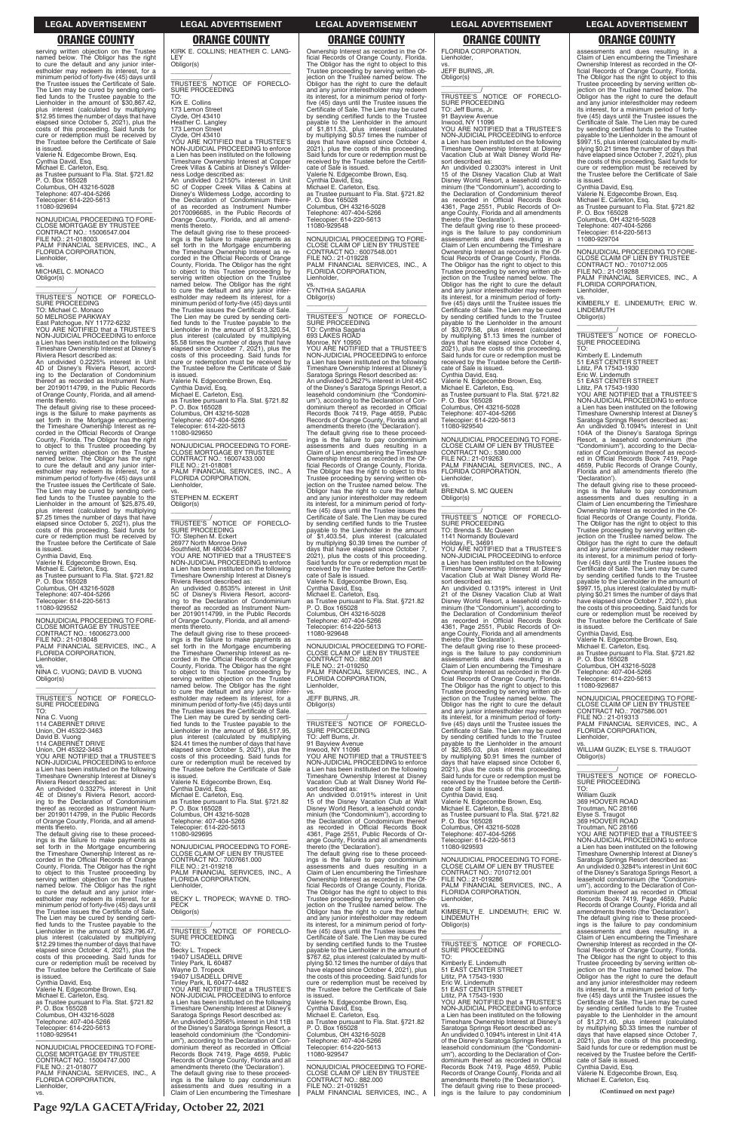serving written objection on the Trustee named below. The Obligor has the right to cure the default and any junior interestholder may redeem its interest, for a minimum period of forty-five (45) days until the Trustee issues the Certificate of Sale. The Lien may be cured by sending certi-fied funds to the Trustee payable to the Lienholder in the amount of \$30,867.42, plus interest (calculated by multiplying \$12.95 times the number of days that have elapsed since October 5, 2021), plus the costs of this proceeding. Said funds for cure or redemption must be received by the Trustee before the Certificate of Sale is issued.

Valerie N. Edgecombe Brown, Esq. Cynthia David, Esq. Michael E. Carleton, Esq. as Trustee pursuant to Fla. Stat. §721.82 P. O. Box 165028 Columbus, OH 43216-5028 Telephone: 407-404-5266 Telecopier: 614-220-5613 11080-929694

—————————————————— NONJUDICIAL PROCEEDING TO FORE-CLOSE MORTGAGE BY TRUSTEE CONTRACT NO.: 15006547.004 FILE NO.: 21-018003 PALM FINANCIAL SERVICES, INC., A FLORIDA CORPORATION, Lienholder,

vs. MICHAEL C. MONACO Obligor(s)

\_\_\_\_\_\_\_\_\_\_\_\_\_\_\_\_\_\_\_\_\_\_\_\_\_\_\_\_\_\_\_\_\_ \_\_\_\_\_\_\_\_\_\_\_/ TRUSTEE'S NOTICE OF FORECLO-

SURE PROCEEDING TO: Michael C. Monaco 50 MELROSE PARKWAY

East Patchogue, NY 11772-6232 YOU ARE NOTIFIED that a TRUSTEE'S NON-JUDICIAL PROCEEDING to enforce a Lien has been instituted on the following Timeshare Ownership Interest at Disney's Riviera Resort described as:

CONTRACT NO.: 16006273.000 FILE NO.: 21-018048 PALM FINANCIAL SERVICES, INC., A FLORIDA CORPORATION, **Lienholder** 

An undivided 0.2225% interest in Unit 4D of Disney's Riviera Resort, accord-ing to the Declaration of Condominium thereof as recorded as Instrument Num-ber 20190114799, in the Public Records of Orange County, Florida, and all amend-

ments thereto. The default giving rise to these proceed-ings is the failure to make payments as set forth in the Mortgage encumbering the Timeshare Ownership Interest as re-corded in the Official Records of Orange County, Florida. The Obligor has the right to object to this Trustee proceeding by serving written objection on the Trustee named below. The Obligor has the right to cure the default and any junior inter-estholder may redeem its interest, for a minimum period of forty-five (45) days until the Trustee issues the Certificate of Sale. The Lien may be cured by sending certified funds to the Trustee payable to the Lienholder in the amount of \$25,875.49, plus interest (calculated by multiplying \$7.25 times the number of days that have elapsed since October 5, 2021), plus the costs of this proceeding. Said funds for cure or redemption must be received by the Trustee before the Certificate of Sale

is issued. Cynthia David, Esq. Valerie N. Edgecombe Brown, Esq. Michael E. Carleton, Esq. as Trustee pursuant to Fla. Stat. §721.82 P. O. Box 165028 Columbus, OH 43216-5028

Telephone: 407-404-5266 Telecopier: 614-220-5613 11080-929552

—————————————————— NONJUDICIAL PROCEEDING TO FORE-CLOSE MORTGAGE BY TRUSTEE

vs. NINA C. VUONG; DAVID B. VUONG

\_\_\_\_\_\_\_\_\_\_\_\_/<br>TRUSTEE'S NOTICE OF FORECLO-<br>SURE PROCEEDING

Obligor(s)

\_\_\_\_\_\_\_\_\_\_\_\_\_\_\_\_\_\_\_\_\_\_\_\_\_\_\_\_\_\_\_\_\_

TO: Nina C. Vuong 114 CABERNET DRIVE

Union, OH 45322-3463 David B. Vuong 114 CABERNET DRIVE

Union, OH 45322-3463 YOU ARE NOTIFIED that a TRUSTEE'S NON-JUDICIAL PROCEEDING to enforce

a Lien has been instituted on the following Timeshare Ownership Interest at Disney's Riviera Resort described as:

An undivided 0.3327% interest in Unit 4E of Disney's Riviera Resort, accord-ing to the Declaration of Condominium thereof as recorded as Instrument Num-ber 20190114799, in the Public Records of Orange County, Florida, and all amend-

ments thereto.

# \_\_\_\_\_\_\_\_\_\_\_/<br>TRUSTEE'S NOTICE OF FORECLO-<br>SURE PROCEEDING TO: Stephen M. Eckert 26977 North Monroe Drive Southfield, MI 48034-5687 YOU ARE NOTIFIED that a TRUSTEE'S NON-JUDICIAL PROCEEDING to enforce a Lien has been instituted on the following

# KIRK E. COLLINS; HEATHER C. LANG-

LEY Obligor(s)

\_\_\_\_\_\_\_\_\_\_\_\_\_\_\_\_\_\_\_\_\_\_\_\_\_\_\_\_\_\_\_\_\_ \_\_\_\_\_\_\_\_\_\_\_/ TRUSTEE'S NOTICE OF FORECLO-

SURE PROCEEDING TO: Kirk E. Collins 173 Lemon Street Clyde, OH 43410 Heather C. Langley

173 Lemon Street Clyde, OH 43410 YOU ARE NOTIFIED that a TRUSTEE'S

NON-JUDICIAL PROCEEDING to enforce a Lien has been instituted on the following Timeshare Ownership Interest at Copper

Creek Villas & Cabins at Disney's Wilder-ness Lodge described as: An undivided 0.2150% interest in Unit

5C of Copper Creek Villas & Cabins at Disney's Wilderness Lodge, according to the Declaration of Condominium there-

of as recorded as Instrument Number 20170096685, in the Public Records of Orange County, Florida, and all amend-

ments thereto. The default giving rise to these proceed-ings is the failure to make payments as

set forth in the Mortgage encumbering the Timeshare Ownership Interest as re-corded in the Official Records of Orange

County, Florida. The Obligor has the right to object to this Trustee proceeding by serving written objection on the Trustee

named below. The Obligor has the right to cure the default and any junior inter-estholder may redeem its interest, for a

minimum period of forty-five (45) days until the Trustee issues the Certificate of Sale. The Lien may be cured by sending certi-

fied funds to the Trustee payable to the Lienholder in the amount of \$13,320.54, plus interest (calculated by multiplying \$5.58 times the number of days that have elapsed since October 7, 2021), plus the costs of this proceeding. Said funds for cure or redemption must be received by the Trustee before the Certificate of Sale

is issued.

Valerie N. Edgecombe Brown, Esq. Cynthia David, Esq. Michael E. Carleton, Esq.

as Trustee pursuant to Fla. Stat. §721.82 P. O. Box 165028 Columbus, OH 43216-5028

Telephone: 407-404-5266 Telecopier: 614-220-5613 11080-929650

—————————————————— NONJUDICIAL PROCEEDING TO FORE-CLOSE MORTGAGE BY TRUSTEE CONTRACT NO.: 16007433.000 FILE NO.: 21-018081 PALM FINANCIAL SERVICES, INC., A FLORIDA CORPORATION, Lienholder,

vs. STEPHEN M. ECKERT Obligor(s)

\_\_\_\_\_\_\_\_\_\_\_\_\_\_\_\_\_\_\_\_\_\_\_\_\_\_\_\_\_\_\_\_\_

# Timeshare Ownership Interest at Disney's Riviera Resort described as: An undivided 0.8535% interest in Unit 5C of Disney's Riviera Resort, accord-ing to the Declaration of Condominium thereof as recorded as Instrument Number 20190114799, in the Public Records of Orange County, Florida, and all amend-The default giving rise to these proceed-ings is the failure to make payments as set forth in the Mortgage encumbering the Timeshare Ownership Interest as re-corded in the Official Records of Orange County, Florida. The Obligor has the right

ments thereto.

to object to this Trustee proceeding by serving written objection on the Trustee named below. The Obligor has the right to cure the default and any junior inter-estholder may redeem its interest, for a minimum period of forty-five (45) days until the Trustee issues the Certificate of Sale. The Lien may be cured by sending certi-fied funds to the Trustee payable to the Lienholder in the amount of \$66,517.95, plus interest (calculated by multiplying \$24.41 times the number of days that have elapsed since October 5, 2021), plus the costs of this proceeding. Said funds for cure or redemption must be received by the Trustee before the Certificate of Sale

is issued. Valerie N. Edgecombe Brown, Esq. Cynthia David, Esq. Michael E. Carleton, Esq. as Trustee pursuant to Fla. Stat. §721.82 P. O. Box 165028 Columbus, OH 43216-5028 Telephone: 407-404-5266 Telecopier: 614-220-5613 11080-929695

'Declaration').<br>The default giving rise to these proceed-<br>ings is the failure to pay condominium<br>assessments and dues resulting in a<br>Claim of Lien encumbering the Timeshare<br>Ownership Interest as recorded in the Official Records of Orange County, Florida. The Obligor has the right to object to this Trustee proceeding by serving written objection on the Trustee named below. The Obligor has the right to cure the default and any junior interestholder may redeem its interest, for a minimum period of forty-five (45) days until the Trustee issues the Certificate of Sale. The Lien may be cured by sending certified funds to the Trustee payable to the Lienholder in the amount of \$997.15, plus interest (calculated by multiplying \$0.21 times the number of days that have elapsed since October 7, 2021), plus the costs of this proceeding. Said funds for cure or redemption must be received by the Trustee before the Certificate of Sale

Ownership Interest as recorded in the Official Records of Orange County, Florida. The Obligor has the right to object to this Trustee proceeding by serving written ob-jection on the Trustee named below. The Obligor has the right to cure the default and any junior interestholder may redeem its interest, for a minimum period of forty-five (45) days until the Trustee issues the Certificate of Sale. The Lien may be cured by sending certified funds to the Trustee payable to the Lienholder in the amount of \$1,811.53, plus interest (calculated by multiplying \$0.57 times the number of days that have elapsed since October 4, 2021), plus the costs of this proceeding. Said funds for cure or redemption must be received by the Trustee before the Certificate of Sale is issued. Valerie N. Edgecombe Brown, Esq. Cynthia David, Esq. Michael E. Carleton, Esq. as Trustee pursuant to Fla. Stat. §721.82 P. O. Box 165028 Columbus, OH 43216-5028 Telephone: 407-404-5266 Telecopier: 614-220-5613 11080-929548 —————————————————— NONJUDICIAL PROCEEDING TO FORE-CLOSE CLAIM OF LIEN BY TRUSTEE CONTRACT NO.: 6007548.001 FILE NO.: 21-019228 PALM FINANCIAL SERVICES, INC., A FLORIDA CORPORATION, Lienholder, vs. CYNTHIA SAGARIA Obligor(s) \_\_\_\_\_\_\_\_\_\_\_\_\_\_\_\_\_\_\_\_\_\_\_\_\_\_\_\_\_\_\_\_\_ \_\_\_\_\_\_\_\_\_\_\_/ TRUSTEE'S NOTICE OF FORECLO-SURE PROCEEDING TO: Cynthia Sagaria 693 LAKES ROAD Monroe, NY 10950 YOU ARE NOTIFIED that a TRUSTEE'S NON-JUDICIAL PROCEEDING to enforce a Lien has been instituted on the following Timeshare Ownership Interest at Disney's Saratoga Springs Resort described as: An undivided 0.2627% interest in Unit 45C of the Disney's Saratoga Springs Resort, a leasehold condominium (the "Condominium"), according to the Declaration of Con-dominium thereof as recorded in Official Records Book 7419, Page 4659, Public Records of Orange County, Florida and all amendments thereto (the 'Declaration'). The default giving rise to these proceedings is the failure to pay condominium assessments and dues resulting in a Claim of Lien encumbering the Timeshare Ownership Interest as recorded in the Of-ficial Records of Orange County, Florida. The Obligor has the right to object to this Trustee proceeding by serving written ob-jection on the Trustee named below. The Obligor has the right to cure the default and any junior interestholder may redeem its interest, for a minimum period of forty-five (45) days until the Trustee issues the Certificate of Sale. The Lien may be cured by sending certified funds to the Trustee payable to the Lienholder in the amount of \$1,403.54, plus interest (calculated by multiplying \$0.39 times the number of days that have elapsed since October 7, 2021), plus the costs of this proceeding. Said funds for cure or redemption must be received by the Trustee before the Certificate of Sale is issued. Valerie N. Edgecombe Brown, Esq. Cynthia David, Esq. Michael E. Carleton, Esq. as Trustee pursuant to Fla. Stat. §721.82 P. O. Box 165028 Columbus, OH 43216-5028 Telephone: 407-404-5266 Telecopier: 614-220-5613 11080-929648 —————————————————— NONJUDICIAL PROCEEDING TO FORE-CLOSE CLAIM OF LIEN BY TRUSTEE CONTRACT NO.: 882.001 FILE NO.: 21-019250 PALM FINANCIAL SERVICES, INC., A FLORIDA CORPORATION, Lienholder, vs. JEFF BURNS, JR. Obligor(s) \_\_\_\_\_\_\_\_\_\_\_\_\_\_\_\_\_\_\_\_\_\_\_\_\_\_\_\_\_\_\_\_\_ \_\_\_\_\_\_\_\_\_\_\_/ TRUSTEE'S NOTICE OF FORECLO-SURE PROCEEDING

FILE NO.: 21-019313 PALM FINANCIAL SERVICES, INC., A FLORIDA CORPORATION, **Lienholder** 

| ments thereto.                               | Telecopier: 614-220-5613                    | as recorded in Official Records Book          | Columbus, OH 43216-5028                     | Troutman, NC 28166                           |
|----------------------------------------------|---------------------------------------------|-----------------------------------------------|---------------------------------------------|----------------------------------------------|
| The default giving rise to these proceed-    | 11080-929695                                | 4361, Page 2551, Public Records of Or-        | Telephone: 407-404-5266                     | YOU ARE NOTIFIED that a TRUSTEE'S            |
| ings is the failure to make payments as      |                                             | ange County, Florida and all amendments       | Telecopier: 614-220-5613                    | NON-JUDICIAL PROCEEDING to enforce           |
| set forth in the Mortgage encumbering        | NONJUDICIAL PROCEEDING TO FORE-             | thereto (the 'Declaration').                  | 11080-929593                                | a Lien has been instituted on the following  |
| the Timeshare Ownership Interest as re-      | CLOSE CLAIM OF LIEN BY TRUSTEE              | The default giving rise to these proceed-     |                                             | Timeshare Ownership Interest at Disney's     |
| corded in the Official Records of Orange     | CONTRACT NO.: 7007661.000                   | ings is the failure to pay condominium        | NONJUDICIAL PROCEEDING TO FORE-             | Saratoga Springs Resort described as:        |
| County, Florida. The Obligor has the right   | FILE NO.: 21-019218                         | assessments and dues resulting in a           | CLOSE CLAIM OF LIEN BY TRUSTEE              | An undivided 0.3284% interest in Unit 60C    |
| to object to this Trustee proceeding by      | PALM FINANCIAL SERVICES, INC., A            | Claim of Lien encumbering the Timeshare       | CONTRACT NO.: 7010712.001                   | of the Disney's Saratoga Springs Resort, a   |
| serving written objection on the Trustee     | FLORIDA CORPORATION.                        | Ownership Interest as recorded in the Of-     | FILE NO.: 21-019286                         | leasehold condominium (the "Condomini-       |
| named below. The Obligor has the right       | Lienholder,                                 | ficial Records of Orange County, Florida.     | PALM FINANCIAL SERVICES, INC., A            | um"), according to the Declaration of Con-   |
| to cure the default and any junior inter-    | VS.                                         | The Obligor has the right to object to this   | FLORIDA CORPORATION,                        | dominium thereof as recorded in Official     |
| estholder may redeem its interest, for a     | BECKY L. TROPECK: WAYNE D. TRO-             | Trustee proceeding by serving written ob-     | Lienholder.                                 | Records Book 7419, Page 4659, Public         |
| minimum period of forty-five (45) days until | <b>PECK</b>                                 | jection on the Trustee named below. The       | VS.                                         | Records of Orange County, Florida and all    |
| the Trustee issues the Certificate of Sale.  | Obligor(s)                                  | Obligor has the right to cure the default     | KIMBERLY E. LINDEMUTH; ERIC W.              | amendments thereto (the 'Declaration').      |
| The Lien may be cured by sending certi-      |                                             | and any junior interestholder may redeem      | <b>LINDEMUTH</b>                            | The default giving rise to these proceed-    |
| fied funds to the Trustee payable to the     |                                             | its interest, for a minimum period of forty-  |                                             |                                              |
|                                              | TRUSTEE'S NOTICE OF FORECLO-                |                                               | Obligor(s)                                  | ings is the failure to pay condominium       |
| Lienholder in the amount of \$29.796.47.     |                                             | five (45) days until the Trustee issues the   |                                             | assessments and dues resulting in a          |
| plus interest (calculated by multiplying     | SURE PROCEEDING<br>TO:                      | Certificate of Sale. The Lien may be cured    | TRUSTEE'S NOTICE<br>OF FORECLO-             | Claim of Lien encumbering the Timeshare      |
| \$12.29 times the number of days that have   |                                             | by sending certified funds to the Trustee     | SURE PROCEEDING                             | Ownership Interest as recorded in the Of-    |
| elapsed since October 4, 2021), plus the     | Becky L. Tropeck                            | payable to the Lienholder in the amount of    |                                             | ficial Records of Orange County, Florida.    |
| costs of this proceeding. Said funds for     | 19407 LISADELL DRIVE                        | \$767.62, plus interest (calculated by multi- | TO:                                         | The Obligor has the right to object to this  |
| cure or redemption must be received by       | Tinley Park, IL 60487                       | plying \$0.12 times the number of days that   | Kimberly E. Lindemuth                       | Trustee proceeding by serving written ob-    |
| the Trustee before the Certificate of Sale   | Wayne D. Tropeck                            | have elapsed since October 4, 2021), plus     | 51 EAST CENTER STREET                       | jection on the Trustee named below. The      |
| is issued.                                   | 19407 LISADELL DRIVE                        | the costs of this proceeding. Said funds for  | Lititz. PA 17543-1930                       | Obligor has the right to cure the default    |
| Cynthia David, Esg.                          | Tinley Park, IL 60477-4482                  | cure or redemption must be received by        | Eric W. Lindemuth                           | and any junior interestholder may redeem     |
| Valerie N. Edgecombe Brown, Esq.             | YOU ARE NOTIFIED that a TRUSTEE'S           | the Trustee before the Certificate of Sale    | 51 EAST CENTER STREET                       | its interest, for a minimum period of forty- |
| Michael E. Carleton, Esg.                    | NON-JUDICIAL PROCEEDING to enforce          | is issued.                                    | Lititz. PA 17543-1930                       | five (45) days until the Trustee issues the  |
| as Trustee pursuant to Fla. Stat. §721.82    | a Lien has been instituted on the following | Valerie N. Edgecombe Brown, Esg.              | YOU ARE NOTIFIED that a TRUSTEE'S           | Certificate of Sale. The Lien may be cured   |
| P. O. Box 165028                             | Timeshare Ownership Interest at Disney's    | Cynthia David, Esq.                           | NON-JUDICIAL PROCEEDING to enforce          | by sending certified funds to the Trustee    |
| Columbus, OH 43216-5028                      | Saratoga Springs Resort described as:       | Michael E. Carleton, Esq.                     | a Lien has been instituted on the following | payable to the Lienholder in the amount      |
| Telephone: 407-404-5266                      | An undivided 0.2956% interest in Unit 11B   | as Trustee pursuant to Fla. Stat. §721.82     | Timeshare Ownership Interest at Disney's    | of \$1,271.40, plus interest (calculated     |
| Telecopier: 614-220-5613                     | of the Disney's Saratoga Springs Resort, a  | P. O. Box 165028                              | Saratoga Springs Resort described as:       | by multiplying \$0.33 times the number of    |
| 11080-929541                                 | leasehold condominium (the "Condomini-      | Columbus, OH 43216-5028                       | An undivided 0.1094% interest in Unit 41A   | days that have elapsed since October 7,      |
|                                              | um"), according to the Declaration of Con-  | Telephone: 407-404-5266                       | of the Disney's Saratoga Springs Resort, a  | 2021), plus the costs of this proceeding.    |
| NONJUDICIAL PROCEEDING TO FORE-              | dominium thereof as recorded in Official    | Telecopier: 614-220-5613                      | leasehold condominium (the "Condomini-      | Said funds for cure or redemption must be    |
| <b>CLOSE MORTGAGE BY TRUSTEE</b>             | Records Book 7419, Page 4659, Public        | 11080-929547                                  | um"), according to the Declaration of Con-  | received by the Trustee before the Certifi-  |
| CONTRACT NO.: 15004747.000                   | Records of Orange County, Florida and all   |                                               | dominium thereof as recorded in Official    | cate of Sale is issued.                      |
| FILE NO.: 21-018077                          | amendments thereto (the 'Declaration').     | NONJUDICIAL PROCEEDING TO FORE-               | Records Book 7419, Page 4659, Public        | Cynthia David, Esq.                          |
| PALM FINANCIAL SERVICES, INC., A             | The default giving rise to these proceed-   | CLOSE CLAIM OF LIEN BY TRUSTEE                | Records of Orange County, Florida and all   | Valerie N. Edgecombe Brown, Esg.             |
| FLORIDA CORPORATION,                         | ings is the failure to pay condominium      | CONTRACT NO.: 882.000                         | amendments thereto (the 'Declaration').     | Michael E. Carleton, Esq.                    |
| Lienholder,                                  | assessments and dues resulting in a         | FILE NO.: 21-019251                           | The default giving rise to these proceed-   |                                              |
| VS.                                          | Claim of Lien encumbering the Timeshare     | PALM FINANCIAL SERVICES, INC., A              | ings is the failure to pay condominium      | (Continued on next page)                     |
|                                              |                                             |                                               |                                             |                                              |

TO: Jeff Burns, Jr. 91 Bayview Avenue Inwood, NY 11096 YOU ARE NOTIFIED that a TRUSTEE'S NON-JUDICIAL PROCEEDING to enforce a Lien has been instituted on the following Timeshare Ownership Interest at Disney Vacation Club at Walt Disney World Resort described as: An undivided 0.0191% interest in Unit 15 of the Disney Vacation Club at Walt

Disney World Resort, a leasehold condo-minium (the "Condominium"), according to the Declaration of Condominium thereof

FLORIDA CORPORATION, Lienholder, vs. JEFF BURNS, JR.

Obligor(s) \_\_\_\_\_\_\_\_\_\_\_\_\_\_\_\_\_\_\_\_\_\_\_\_\_\_\_\_\_\_\_\_\_ \_\_\_\_\_\_\_\_\_\_\_/<br>TRUSTEE'S NOTICE OF FORECLO-<br>SURE PROCEEDING TO: Jeff Burns, Jr. 91 Bayview Avenue Inwood, NY 11096 YOU ARE NOTIFIED that a TRUSTEE'S NON-JUDICIAL PROCEEDING to enforce a Lien has been instituted on the following Timeshare Ownership Interest at Disney Vacation Club at Walt Disney World Re-sort described as: An undivided 0.2303% interest in Unit 15 of the Disney Vacation Club at Walt Disney World Resort, a leasehold condominium (the "Condominium"), according to the Declaration of Condominium thereof as recorded in Official Records Book 4361, Page 2551, Public Records of Or-ange County, Florida and all amendments thereto (the 'Declaration'). The default giving rise to these proceed-ings is the failure to pay condominium assessments and dues resulting in a Claim of Lien encumbering the Timeshare Ownership Interest as recorded in the Of-ficial Records of Orange County, Florida. The Obligor has the right to object to this Trustee proceeding by serving written ob-jection on the Trustee named below. The Obligor has the right to cure the default and any junior interestholder may redeem its interest, for a minimum period of fortyfive (45) days until the Trustee issues the Certificate of Sale. The Lien may be cured by sending certified funds to the Trustee payable to the Lienholder in the amount of \$3,079.58, plus interest (calculated by multiplying \$1.13 times the number of days that have elapsed since October 4, 2021), plus the costs of this proceeding. Said funds for cure or redemption must be received by the Trustee before the Certifi-cate of Sale is issued. Cynthia David, Esq. Valerie N. Edgecombe Brown, Esq. Michael E. Carleton, Esq. as Trustee pursuant to Fla. Stat. §721.82 P. O. Box 165028 Columbus, OH 43216-5028 Telephone: 407-404-5266 Telecopier: 614-220-5613 11080-929540 —————————————————— NONJUDICIAL PROCEEDING TO FORE-CLOSE CLAIM OF LIEN BY TRUSTEE CONTRACT NO.: 5380.000 FILE NO.: 21-019263 PALM FINANCIAL SERVICES, INC., A FLORIDA CORPORATION, Lienholder,

vs. BRENDA S. MC QUEEN Obligor(s) \_\_\_\_\_\_\_\_\_\_\_\_\_\_\_\_\_\_\_\_\_\_\_\_\_\_\_\_\_\_\_\_\_

\_\_\_\_\_\_\_\_\_\_\_/ TRUSTEE'S NOTICE OF FORECLO-SURE PROCEEDING TO: Brenda S. Mc Queen 1141 Normandy Boulevard Holiday, FL 34691 YOU ARE NOTIFIED that a TRUSTEE'S NON-JUDICIAL PROCEEDING to enforce a Lien has been instituted on the following Timeshare Ownership Interest at Disney Vacation Club at Walt Disney World Resort described as: An undivided 0.1319% interest in Unit 21 of the Disney Vacation Club at Walt Disney World Resort, a leasehold condo-minium (the "Condominium"), according to the Declaration of Condominium thereof as recorded in Official Records Book 4361, Page 2551, Public Records of Orange County, Florida and all amendments thereto (the 'Declaration'). The default giving rise to these proceedings is the failure to pay condominium assessments and dues resulting in a Claim of Lien encumbering the Timeshare Ownership Interest as recorded in the Of-ficial Records of Orange County, Florida. The Obligor has the right to object to this Trustee proceeding by serving written ob-jection on the Trustee named below. The Obligor has the right to cure the default and any junior interestholder may redeem its interest, for a minimum period of forty-five (45) days until the Trustee issues the Certificate of Sale. The Lien may be cured by sending certified funds to the Trustee payable to the Lienholder in the amount of \$2,585.03, plus interest (calculated by multiplying \$0.91 times the number of days that have elapsed since October 6, 2021), plus the costs of this proceeding. Said funds for cure or redemption must be received by the Trustee before the Certificate of Sale is issued. Cynthia David, Esq. Valerie N. Edgecombe Brown, Esq. Michael E. Carleton, Esq. as Trustee pursuant to Fla. Stat. §721.82 P. O. Box 165028

assessments and dues resulting in a Claim of Lien encumbering the Timeshare Ownership Interest as recorded in the Official Records of Orange County, Florida. The Obligor has the right to object to this Trustee proceeding by serving written objection on the Trustee named below. The Obligor has the right to cure the default and any junior interestholder may redeem its interest, for a minimum period of forty-five (45) days until the Trustee issues the Certificate of Sale. The Lien may be cured by sending certified funds to the Trustee payable to the Lienholder in the amount of \$997.15, plus interest (calculated by multiplying \$0.21 times the number of days that have elapsed since October 7, 2021), plus the costs of this proceeding. Said funds for cure or redemption must be received by the Trustee before the Certificate of Sale is issued.

Cynthia David, Esq. Valerie N. Edgecombe Brown, Esq. Michael E. Carleton, Esq. as Trustee pursuant to Fla. Stat. §721.82 P. O. Box 165028 Columbus, OH 43216-5028

Telephone: 407-404-5266 Telecopier: 614-220-5613 11080-929704

—————————————————— NONJUDICIAL PROCEEDING TO FORE-CLOSE CLAIM OF LIEN BY TRUSTEE

CONTRACT NO.: 7010712.005 FILE NO.: 21-019288 PALM FINANCIAL SERVICES, INC., A FLORIDA CORPORATION, Lienholder,

vs. KIMBERLY E. LINDEMUTH; ERIC W. LINDEMUTH Obligor(s)

\_\_\_\_\_\_\_\_\_\_\_\_\_\_\_\_\_\_\_\_\_\_\_\_\_\_\_\_\_\_\_\_\_ \_\_\_\_\_\_\_\_\_\_\_/ TRUSTEE'S NOTICE OF FORECLO-SURE PROCEEDING

TO: Kimberly E. Lindemuth 51 EAST CENTER STREET Lititz, PA 17543-1930 Eric W. Lindemuth

51 EAST CENTER STREET Lititz, PA 17543-1930 YOU ARE NOTIFIED that a TRUSTEE'S NON-JUDICIAL PROCEEDING to enforce a Lien has been instituted on the following Timeshare Ownership Interest at Disney's

Saratoga Springs Resort described as: An undivided 0.1094% interest in Unit 104A of the Disney's Saratoga Springs Resort, a leasehold condominium (the "Condominium"), according to the Decla-ration of Condominium thereof as recorded in Official Records Book 7419, Page 4659, Public Records of Orange County, Florida and all amendments thereto (the

is issued.

Cynthia David, Esq. Valerie N. Edgecombe Brown, Esq. Michael E. Carleton, Esq. as Trustee pursuant to Fla. Stat. §721.82 P. O. Box 165028 Columbus, OH 43216-5028

Telephone: 407-404-5266 Telecopier: 614-220-5613 11080-929687

—————————————————— NONJUDICIAL PROCEEDING TO FORE-CLOSE CLAIM OF LIEN BY TRUSTEE CONTRACT NO.: 7067586.001

vs. WILLIAM GUZIK; ELYSE S. TRAUGOT Obligor(s) \_\_\_\_\_\_\_\_\_\_\_\_\_\_\_\_\_\_\_\_\_\_\_\_\_\_\_\_\_\_\_\_\_

\_\_\_\_\_\_\_\_\_\_\_/<br>TRUSTEE'S NOTICE OF FORECLO-<br>SURE PROCEEDING

TO: William Guzik 369 HOOVER ROAD Troutman, NC 28166 Elyse S. Traugot 369 HOOVER ROAD Troutman, NC 28166

### **LEGAL ADVERTISEMENT LEGAL ADVERTISEMENT LEGAL ADVERTISEMENT LEGAL ADVERTISEMENT LEGAL ADVERTISEMENT**

### **ORANGE COUNTY ORANGE COUNTY ORANGE COUNTY ORANGE COUNTY ORANGE COUNTY**

**Page 92/LA GACETA/Friday, October 22, 2021**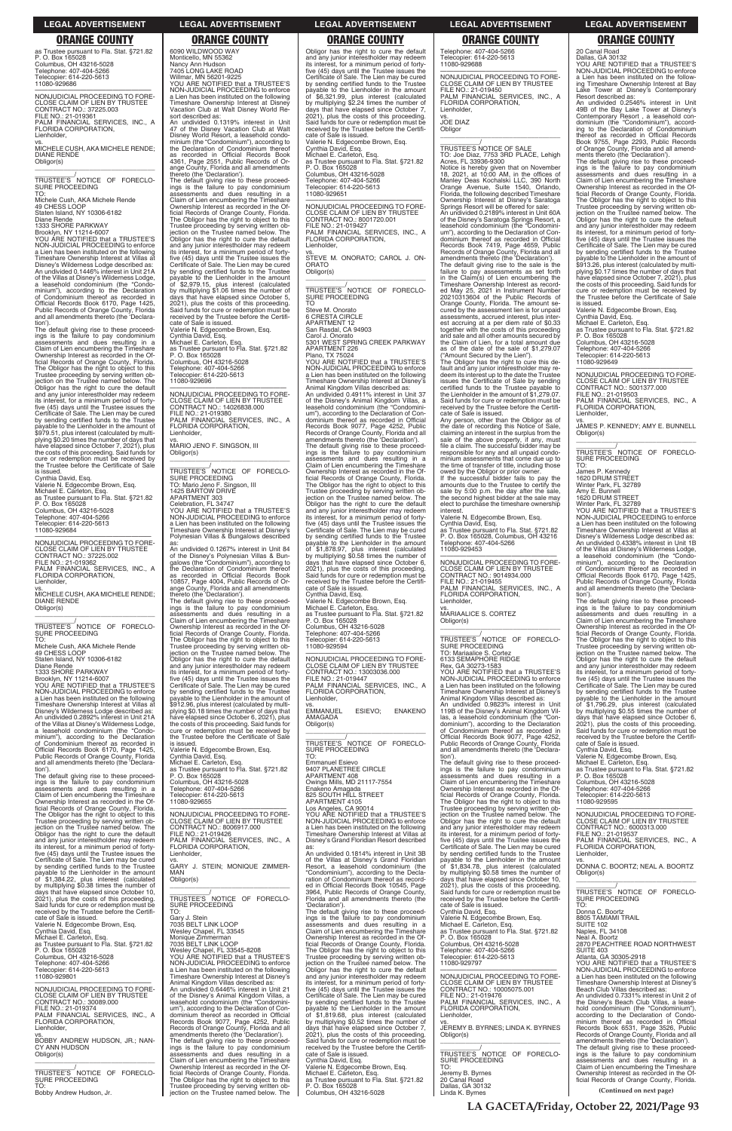as Trustee pursuant to Fla. Stat. §721.82 P. O. Box 165028 Columbus, OH 43216-5028 Telephone: 407-404-5266 Telecopier: 614-220-5613 11080-929686

—————————————————— NONJUDICIAL PROCEEDING TO FORE-CLOSE CLAIM OF LIEN BY TRUSTEE CONTRACT NO.: 37225.003 FILE NO.: 21-019361 PALM FINANCIAL SERVICES, INC., A FLORIDA CORPORATION, Lienholder,

vs. MICHELE CUSH, AKA MICHELE RENDE; DIANE RENDE Obligor(s)

\_\_\_\_\_\_\_\_\_\_\_\_\_\_\_\_\_\_\_\_\_\_\_\_\_\_\_\_\_\_\_\_\_ \_\_\_\_\_\_\_\_\_\_\_/ TRUSTEE'S NOTICE OF FORECLO-SURE PROCEEDING

TO: Michele Cush, AKA Michele Rende 49 CHESS LOOP Staten Island, NY 10306-6182 Diane Rende

1333 SHORE PARKWAY Brooklyn, NY 11214-6007 YOU ARE NOTIFIED that a TRUSTEE'S NON-JUDICIAL PROCEEDING to enforce a Lien has been instituted on the following Timeshare Ownership Interest at Villas at Disney's Wilderness Lodge described as: An undivided 0.1446% interest in Unit 21A of the Villas at Disney's Wilderness Lodge, a leasehold condominium (the "Condo-minium"), according to the Declaration of Condominium thereof as recorded in Official Records Book 6170, Page 1425, Public Records of Orange County, Florida and all amendments thereto (the 'Declara-

tion'). The default giving rise to these proceed-ings is the failure to pay condominium assessments and dues resulting in a Claim of Lien encumbering the Timeshare Ownership Interest as recorded in the Official Records of Orange County, Florida. The Obligor has the right to object to this Trustee proceeding by serving written objection on the Trustee named below. The Obligor has the right to cure the default and any junior interestholder may redeem its interest, for a minimum period of forty-five (45) days until the Trustee issues the Certificate of Sale. The Lien may be cured by sending certified funds to the Trustee payable to the Lienholder in the amount of \$979.51, plus interest (calculated by multiplying \$0.20 times the number of days that have elapsed since October 7, 2021), plus the costs of this proceeding. Said funds for cure or redemption must be received by the Trustee before the Certificate of Sale is issued.

Cynthia David, Esq. Valerie N. Edgecombe Brown, Esq. Michael E. Carleton, Esq.

as Trustee pursuant to Fla. Stat. §721.82 P. O. Box 165028 Columbus, OH 43216-5028 Telephone: 407-404-5266 Telecopier: 614-220-5613 11080-929684

—————————————————— NONJUDICIAL PROCEEDING TO FORE-CLOSE CLAIM OF LIEN BY TRUSTEE CONTRACT NO.: 37225.002 FILE NO.: 21-019362 PALM FINANCIAL SERVICES, INC., A FLORIDA CORPORATION, Lienholder, vs.

MICHELE CUSH, AKA MICHELE RENDE; DIANE RENDE Obligor(s) \_\_\_\_\_\_\_\_\_\_\_\_\_\_\_\_\_\_\_\_\_\_\_\_\_\_\_\_\_\_\_\_\_

\_\_\_\_\_\_\_\_\_\_\_/ TRUSTEE'S NOTICE OF FORECLO-SURE PROCEEDING

TO: Michele Cush, AKA Michele Rende 49 CHESS LOOP

Staten Island, NY 10306-6182 Diane Rende

1333 SHORE PARKWAY

Brooklyn, NY 11214-6007 YOU ARE NOTIFIED that a TRUSTEE'S

NON-JUDICIAL PROCEEDING to enforce a Lien has been instituted on the following Timeshare Ownership Interest at Villas at Disney's Wilderness Lodge described as: An undivided 0.2892% interest in Unit 21A of the Villas at Disney's Wilderness Lodge, a leasehold condominium (the "Condo-minium"), according to the Declaration of Condominium thereof as recorded in

Official Records Book 6170, Page 1425, Public Records of Orange County, Florida and all amendments thereto (the 'Declara-

tion'). The default giving rise to these proceed-ings is the failure to pay condominium assessments and dues resulting in a Claim of Lien encumbering the Timeshare Claim of Lien encumbering the Timeshare<br>Ownership Interest as recorded in the Official Records of Orange County, Florida. The Obligor has the right to object to this Trustee proceeding by serving written objection on the Trustee named below. The

as: An undivided 0.1267% interest in Unit 84 of the Disney's Polynesian Villas & Bun-galows (the "Condominium"), according to the Declaration of Condominium thereof as recorded in Official Records Book 10857, Page 4004, Public Records of Or-10857, Page 4004, Public Records of Orange County, Florida and all amendments

\_\_\_\_\_\_\_\_\_\_\_\_\_\_\_\_\_\_\_\_\_\_\_\_\_\_\_\_\_\_\_\_\_ \_\_\_\_\_\_\_\_\_\_\_/<br>TRUSTEE'S NOTICE OF FORECLO-<br>SURE PROCEEDING

ings is the failure to pay condominium assessments and dues resulting in a Claim of Lien encumbering the Timeshare Ownership Interest as recorded in the Of-ficial Records of Orange County, Florida. The Obligor has the right to object to this Trustee proceeding by serving written ob-jection on the Trustee named below. The Obligor has the right to cure the default and any junior interestholder may redeem its interest, for a minimum period of forty-five (45) days until the Trustee issues the Certificate of Sale. The Lien may be cured by sending certified funds to the Trustee payable to the Lienholder in the amount of \$2,979.15, plus interest (calculated by multiplying \$1.06 times the number of days that have elapsed since October 5, 2021), plus the costs of this proceeding. Said funds for cure or redemption must be received by the Trustee before the Certificate of Sale is issued. Valerie N. Edgecombe Brown, Esq. Cynthia David, Esq. Michael E. Carleton, Esq. as Trustee pursuant to Fla. Stat. §721.82 P. O. Box 165028

Columbus, OH 43216-5028 Telephone: 407-404-5266 Telecopier: 614-220-5613 11080-929696

—————————————————— NONJUDICIAL PROCEEDING TO FORE-CLOSE CLAIM OF LIEN BY TRUSTEE CONTRACT NO.: 14026838.000 FILE NO.: 21-019380 PALM FINANCIAL SERVICES, INC., A FLORIDA CORPORATION, Lienholder,

vs. MARIO JENO F. SINGSON, III Obligor(s)

\_\_\_\_\_\_\_\_\_\_\_\_\_\_\_\_\_\_\_\_\_\_\_\_\_\_\_\_\_\_\_\_\_

\_\_\_\_\_\_\_\_\_\_\_/ TRUSTEE'S NOTICE OF FORECLO-SURE PROCEEDING TO: Mario Jeno F. Singson, III 1425 BARTOW DRIVE APARTMENT 303 Celebration, FL 34747 YOU ARE NOTIFIED that a TRUSTEE'S

NON-JUDICIAL PROCEEDING to enforce a Lien has been instituted on the following Timeshare Ownership Interest at Disney's Polynesian Villas & Bungalows described

6090 WILDWOOD WAY Monticello, MN 55362 Nancy Ann Hudson 7405 LONG LAKE ROAD Willmar, MN 56201-9225 YOU ARE NOTIFIED that a TRUSTEE'S NON-JUDICIAL PROCEEDING to enforce a Lien has been instituted on the following Timeshare Ownership Interest at Disney Vacation Club at Walt Disney World Repayable to the Lienholder in the amount of \$6,321.99, plus interest (calculated by multiplying \$2.24 times the number of days that have elapsed since October 7, 2021), plus the costs of this proceeding. Said funds for cure or redemption must be

**Obligor** \_\_\_\_\_\_\_\_\_\_\_\_\_\_\_\_\_\_\_\_\_\_\_\_\_\_\_\_\_\_\_\_\_

sort described as: An undivided 0.1319% interest in Unit 47 of the Disney Vacation Club at Walt Disney World Resort, a leasehold condo-minium (the "Condominium"), according to the Declaration of Condominium thereof as recorded in Official Records Book 4361, Page 2551, Public Records of Orange County, Florida and all amendments thereto (the 'Declaration'). The default giving rise to these proceedreceived by the Trustee before the Certifi-cate of Sale is issued. Valerie N. Edgecombe Brown, Esq. Cynthia David, Esq. Michael E. Carleton, Esq. as Trustee pursuant to Fla. Stat. §721.82 P. O. Box 165028 Columbus, OH 43216-5028 Telephone: 407-404-5266 Telecopier: 614-220-5613

thereto (the 'Declaration'). The default giving rise to these proceed-ings is the failure to pay condominium assessments and dues resulting in a Claim of Lien encumbering the Timeshare Ownership Interest as recorded in the Official Records of Orange County, Florida. The Obligor has the right to object to this Trustee proceeding by serving written objection on the Trustee named below. The Obligor has the right to cure the default and any junior interestholder may redeem its interest, for a minimum period of forty-five (45) days until the Trustee issues the Certificate of Sale. The Lien may be cured by sending certified funds to the Trustee payable to the Lienholder in the amount of \$912.96, plus interest (calculated by multiplying \$0.18 times the number of days that have elapsed since October 6, 2021), plus the costs of this proceeding. Said funds for cure or redemption must be received by the Trustee before the Certificate of Sale

is issued. Valerie N. Edgecombe Brown, Esq. Cynthia David, Esq. Michael E. Carleton, Esq. as Trustee pursuant to Fla. Stat. §721.82 P. O. Box 165028 Columbus, OH 43216-5028 Telephone: 407-404-5266 Telecopier: 614-220-5613 11080-929655

—————————————————— NONJUDICIAL PROCEEDING TO FORE-CLOSE CLAIM OF LIEN BY TRUSTEE CONTRACT NO.: 8006917.000 FILE NO.: 21-019426

Valerie N. Edgecombe Brown, Esq. Cynthia David, Esq. as Trustee pursuant to Fla. Stat. §721.82 P. O. Box 165028, Columbus, OH 43216 Telephone: 407-404-5266 Telephone: 407<br>11080-929453

\_\_\_\_\_\_\_\_\_\_\_/<br>TRUSTEE'S NOTICE OF FORECLO-<br>SURE PROCEEDING TO: Mariaalice S. Cortez 6133 SEMAPHORE RIDGE Rex, GA 30273-1583 YOU ARE NOTIFIED that a TRUSTEE'S NON-JUDICIAL PROCEEDING to enforce a Lien has been instituted on the following Timeshare Ownership Interest at Disney's Animal Kingdom Villas described as: An undivided 0.9823% interest in Unit 119B of the Disney's Animal Kingdom Vil-las, a leasehold condominium (the "Con-dominium"), according to the Declaration

20 Canal Road Dallas, GA 30132 YOU ARE NOTIFIED that a TRUSTEE'S NON-JUDICIAL PROCEEDING to enforce a Lien has been instituted on the follow-ing Timeshare Ownership Interest at Bay Lake Tower at Disney's Contemporary

11080-929651

—————————————————— NONJUDICIAL PROCEEDING TO FORE-CLOSE CLAIM OF LIEN BY TRUSTEE CONTRACT NO.: 8001720.001 FILE NO.: 21-019427 PALM FINANCIAL SERVICES, INC., A FLORIDA CORPORATION,

Lienholder,

vs. STEVE M. ONORATO; CAROL J. ON-

ORATO Obligor(s)

TO

Steve M. Onorato 6 CRESTA CIRCLE APARTMENT 12 San Rasdal, CA 94903 Carol J. Onorato

5301 WEST SPRING CREEK PARKWAY

APARTMENT 226 Plano, TX 75024

YOU ARE NOTIFIED that a TRUSTEE'S NON-JUDICIAL PROCEEDING to enforce a Lien has been instituted on the following

Timeshare Ownership Interest at Disney's Animal Kingdom Villas described as: An undivided 0.4911% interest in Unit 37

of the Disney's Animal Kingdom Villas, a leasehold condominium (the "Condomini-um"), according to the Declaration of Con-

dominium thereof as recorded in Official Records Book 9077, Page 4252, Public Records of Orange County, Florida and all

amendments thereto (the 'Declaration'). The default giving rise to these proceed-ings is the failure to pay condominium

by sending certified funds to the Trustee<br>payable to the Lienholder in the amount<br>of \$1,796.29, plus interest (calculated<br>by multiplying \$0.55 times the number of<br>days that have elapsed since October 6,<br>2021), plus the cos Said funds for cure or redemption must be received by the Trustee before the Certifi-cate of Sale is issued.

assessments and dues resulting in a Claim of Lien encumbering the Timeshare Ownership Interest as recorded in the Of-

ficial Records of Orange County, Florida. The Obligor has the right to object to this Trustee proceeding by serving written ob-

jection on the Trustee named below. The Obligor has the right to cure the default and any junior interestholder may redeem

its interest, for a minimum period of forty-five (45) days until the Trustee issues the Certificate of Sale. The Lien may be cured

by sending certified funds to the Trustee<br>payable to the Lienholder in the amount<br>of \$1,878.97, plus interest (calculated<br>by multiplying \$0.58 times the number of<br>days that have elapsed since October 6,<br>2021), plus the cos

Obligor has the right to cure the default and any junior interestholder may redeem its interest, for a minimum period of fortyfive (45) days until the Trustee issues the Certificate of Sale. The Lien may be cured by sending certified funds to the Trustee Telephone: 407-404-5266 Telecopier: 614-220-5613 11080-929688 —————————————————— NONJUDICIAL PROCEEDING TO FORE-CLOSE CLAIM OF LIEN BY TRUSTEE

Said funds for cure or redemption must be received by the Trustee before the Certifi-cate of Sale is issued.

Cynthia David, Esq. Valerie N. Edgecombe Brown, Esq. Michael E. Carleton, Esq. as Trustee pursuant to Fla. Stat. §721.82 P. O. Box 165028 Columbus, OH 43216-5028

Telephone: 407-404-5266 Telecopier: 614-220-5613 11080-929594

—————————————————— NONJUDICIAL PROCEEDING TO FORE-CLOSE CLAIM OF LIEN BY TRUSTEE

CONTRACT NO.: 13003036.000 FILE NO.: 21-019447 PALM FINANCIAL SERVICES, INC., A

FLORIDA CORPORATION,

AMAGADA Obligor(s)

\_\_\_\_\_\_\_\_\_\_\_\_\_\_\_\_\_\_\_\_\_\_\_\_\_\_\_\_\_\_\_\_\_ \_\_\_\_\_\_\_\_\_\_\_/ TRUSTEE'S NOTICE OF FORECLO-

SURE PROCEEDING

TO:

Emmanuel Esievo 9407 PLANETREE CIRCLE APARTMENT 408 Owings Mills, MD 21117-7554 Enakeno Amagada 825 SOUTH HILL STREET APARTMENT 4105

enholder, EMMANUEL

Los Angeles, CA 90014 YOU ARE NOTIFIED that a TRUSTEE'S NON-JUDICIAL PROCEEDING to enforce

ESIEVO; ENAKENO

| jection on the Trustee named below. The      | CONTRACT NO.: 8006917.000                   | a Lien has been instituted on the following             | and any junior interestholder may redeem     | CONTRACT NO.: 6000313.000                                                     |
|----------------------------------------------|---------------------------------------------|---------------------------------------------------------|----------------------------------------------|-------------------------------------------------------------------------------|
| Obligor has the right to cure the default    | FILE NO.: 21-019426                         | Timeshare Ownership Interest at Villas at               | its interest, for a minimum period of forty- | FILE NO.: 21-019537                                                           |
| and any junior interestholder may redeem     | PALM FINANCIAL SERVICES. INC., A            | Disney's Grand Floridian Resort described               | five (45) days until the Trustee issues the  | PALM FINANCIAL SERVICES, INC., A                                              |
| its interest, for a minimum period of forty- | FLORIDA CORPORATION,                        | as:                                                     | Certificate of Sale. The Lien may be cured   | FLORIDA CORPORATION,                                                          |
| five (45) days until the Trustee issues the  | Lienholder,                                 | An undivided 0.1814% interest in Unit 3B                | by sending certified funds to the Trustee    | Lienholder.                                                                   |
| Certificate of Sale. The Lien may be cured   | VS.                                         | of the Villas at Disney's Grand Floridian               | payable to the Lienholder in the amount      | VS.                                                                           |
| by sending certified funds to the Trustee    | GARY J. STEIN; MONIQUE ZIMMER-              | Resort, a leasehold condominium (the                    | of \$1,834.78, plus interest (calculated     | DONNA C. BOORTZ: NEAL A. BOORTZ                                               |
| payable to the Lienholder in the amount      | MAN                                         | "Condominium"), according to the Decla-                 | by multiplying \$0.58 times the number of    | Obligor(s)                                                                    |
| of \$1,384.22, plus interest (calculated     | Obligor(s)                                  | ration of Condominium thereof as record-                | days that have elapsed since October 10,     |                                                                               |
| by multiplying \$0.38 times the number of    |                                             | ed in Official Records Book 10545, Page                 | 2021), plus the costs of this proceeding.    |                                                                               |
| days that have elapsed since October 10,     |                                             | 3964, Public Records of Orange County,                  | Said funds for cure or redemption must be    | TRUSTEE'S NOTICE OF<br>FORECLO-                                               |
| 2021), plus the costs of this proceeding.    | TRUSTEE'S NOTICE OF FORECLO-                | Florida and all amendments thereto (the                 | received by the Trustee before the Certifi-  | <b>SURE PROCEEDING</b>                                                        |
| Said funds for cure or redemption must be    | SURE PROCEEDING                             | 'Declaration').                                         | cate of Sale is issued.                      | TO:                                                                           |
| received by the Trustee before the Certifi-  | TO:                                         | The default giving rise to these proceed-               | Cynthia David, Esq.                          | Donna C. Boortz                                                               |
| cate of Sale is issued.                      | Gary J. Stein                               | ings is the failure to pay condominium                  | Valerie N. Edgecombe Brown, Esg.             | 8805 TAMIAMI TRAIL                                                            |
| Valerie N. Edgecombe Brown, Esq.             | 7035 BELT LINK LOOP                         | assessments and dues resulting in a                     | Michael E. Carleton, Esq.                    | SUITE 102                                                                     |
| Cynthia David, Esg.                          | Wesley Chapel, FL 33545                     | Claim of Lien encumbering the Timeshare                 | as Trustee pursuant to Fla. Stat. §721.82    | Naples, FL 34108                                                              |
| Michael E. Carleton, Esq.                    | Monique Zimmerman                           | Ownership Interest as recorded in the Of-               | P. O. Box 165028                             | Neal A. Boortz                                                                |
| as Trustee pursuant to Fla. Stat. §721.82    | 7035 BELT LINK LOOP                         | ficial Records of Orange County, Florida.               | Columbus, OH 43216-5028                      | 2870 PEACHTREE ROAD NORTHWEST                                                 |
| P. O. Box 165028                             | Wesley Chapel, FL 33545-8208                | The Obligor has the right to object to this             | Telephone: 407-404-5266                      | SUITE 403                                                                     |
| Columbus, OH 43216-5028                      | YOU ARE NOTIFIED that a TRUSTEE'S           | Trustee proceeding by serving written ob-               | Telecopier: 614-220-5613                     | Atlanta, GA 30305-2918                                                        |
| Telephone: 407-404-5266                      | NON-JUDICIAL PROCEEDING to enforce          | jection on the Trustee named below. The                 | 11080-929797                                 | YOU ARE NOTIFIED that a TRUSTEE'S                                             |
| Telecopier: 614-220-5613                     | a Lien has been instituted on the following | Obligor has the right to cure the default               |                                              | NON-JUDICIAL PROCEEDING to enforce                                            |
| 11080-929801                                 | Timeshare Ownership Interest at Disney's    | and any junior interestholder may redeem                | NONJUDICIAL PROCEEDING TO FORE-              | a Lien has been instituted on the following                                   |
|                                              | Animal Kingdom Villas described as:         | its interest, for a minimum period of forty-            | CLOSE CLAIM OF LIEN BY TRUSTEE               | Timeshare Ownership Interest at Disney's                                      |
| NONJUDICIAL PROCEEDING TO FORE-              | An undivided 0.6446% interest in Unit 21    | five (45) days until the Trustee issues the             | CONTRACT NO.: 10005075.001                   | Beach Club Villas described as:                                               |
| CLOSE CLAIM OF LIEN BY TRUSTEE               | of the Disney's Animal Kingdom Villas, a    | Certificate of Sale. The Lien may be cured              | FILE NO.: 21-019476                          | An undivided 0.7331% interest in Unit 2 of                                    |
| CONTRACT NO.: 30089.000                      | leasehold condominium (the "Condomini-      | by sending certified funds to the Trustee               | PALM FINANCIAL SERVICES, INC., A             | the Disney's Beach Club Villas, a lease-                                      |
| FILE NO.: 21-019374                          | um"), according to the Declaration of Con-  | payable to the Lienholder in the amount                 | FLORIDA CORPORATION,                         | hold condominium (the "Condominium"),                                         |
| PALM FINANCIAL SERVICES, INC., A             | dominium thereof as recorded in Official    | of \$1,819.68, plus interest (calculated                | Lienholder.                                  | according to the Declaration of Condo-                                        |
| FLORIDA CORPORATION,                         | Records Book 9077, Page 4252, Public        | by multiplying \$0.52 times the number of               | VS.                                          | minium thereof as recorded in Official                                        |
| Lienholder,                                  | Records of Orange County, Florida and all   | days that have elapsed since October 7.                 | JEREMY B. BYRNES; LINDA K. BYRNES            | Records Book 6531, Page 3526, Public                                          |
|                                              | amendments thereto (the 'Declaration').     | 2021), plus the costs of this proceeding.               |                                              | Records of Orange County, Florida and all                                     |
| BOBBY ANDREW HUDSON, JR.: NAN-               | The default giving rise to these proceed-   | Said funds for cure or redemption must be               | Obligor(s)                                   | amendments thereto (the 'Declaration').                                       |
| CY ANN HUDSON                                | ings is the failure to pay condominium      | received by the Trustee before the Certifi-             |                                              | The default giving rise to these proceed-                                     |
| Obligor(s)                                   | assessments and dues resulting in a         | cate of Sale is issued.                                 | TRUSTEE'S NOTICE OF FORECLO-                 |                                                                               |
|                                              | Claim of Lien encumbering the Timeshare     |                                                         | SURE PROCEEDING                              | ings is the failure to pay condominium<br>assessments and dues resulting in a |
|                                              | Ownership Interest as recorded in the Of-   | Cynthia David, Esq.<br>Valerie N. Edgecombe Brown, Esg. | TO:                                          | Claim of Lien encumbering the Timeshare                                       |
| TRUSTEE'S NOTICE OF FORECLO-                 |                                             |                                                         |                                              |                                                                               |
|                                              | ficial Records of Orange County, Florida.   | Michael E. Carleton, Esq.                               | Jeremy B. Byrnes<br>20 Canal Road            | Ownership Interest as recorded in the Of-                                     |
| SURE PROCEEDING<br>TO:                       | The Obligor has the right to object to this | as Trustee pursuant to Fla. Stat. §721.82               |                                              | ficial Records of Orange County, Florida.                                     |
|                                              | Trustee proceeding by serving written ob-   | P. O. Box 165028                                        | Dallas, GA 30132                             | (Continued on next page)                                                      |
| Bobby Andrew Hudson, Jr.                     | iection on the Trustee named below. The     | Columbus, OH 43216-5028                                 | Linda K. Byrnes                              |                                                                               |

FILE NO.: 21-019450 PALM FINANCIAL SERVICES, INC., A FLORIDA CORPORATION, Lienholder, vs. JOE DIAZ

\_\_\_\_\_\_\_\_\_\_\_/ TRUSTEE'S NOTICE OF SALE TO: Joe Diaz, 7753 3RD PLACE, Lehigh Acres, FL 33936-9300 Notice is hereby given that on November 18, 2021, at 10:00 AM, in the offices of Manley Deas Kochalski LLC, 390 North Orange Avenue, Suite 1540, Orlando, Florida, the following described Timeshare Ownership Interest at Disney's Saratoga Springs Resort will be offered for sale: An undivided 0.2189% interest in Unit 60A of the Disney's Saratoga Springs Resort, a leasehold condominium (the "Condomini-um"), according to the Declaration of Con-dominium thereof as recorded in Official Records Book 7419, Page 4659, Public Records of Orange County, Florida and all amendments thereto (the 'Declaration').

The default giving rise to the sale is the failure to pay assessments as set forth in the Claim(s) of Lien encumbering the Timeshare Ownership Interest as record-ed May 25, 2021 in Instrument Number 20210313604 of the Public Records of Orange County, Florida. The amount se-cured by the assessment lien is for unpaid assessments, accrued interest, plus interest accruing at a per diem rate of \$0.33 together with the costs of this proceeding and sale and all other amounts secured by the Claim of Lien, for a total amount due as of the date of the sale of \$1,279.07 ("Amount Secured by the Lien").

The Obligor has the right to cure this de-fault and any junior interestholder may re-deem its interest up to the date the Trustee issues the Certificate of Sale by sending certified funds to the Trustee payable to the Lienholder in the amount of \$1,279.07. Said funds for cure or redemption must be received by the Trustee before the Certificate of Sale is issued.

Any person, other than the Obligor as of the date of recording this Notice of Sale, claiming an interest in the surplus from the sale of the above property, if any, must file a claim. The successful bidder may be responsible for any and all unpaid condominium assessments that come due up to the time of transfer of title, including those owed by the Obligor or prior owner.

If the successful bidder fails to pay the amounts due to the Trustee to certify the sale by 5:00 p.m. the day after the sale, the second highest bidder at the sale may elect to purchase the timeshare ownership interest.

—————————————————— NONJUDICIAL PROCEEDING TO FORE-CLOSE CLAIM OF LIEN BY TRUSTEE CONTRACT NO.: 9014934.000 FILE NO.: 21-019455 PALM FINANCIAL SERVICES, INC., A FLORIDA CORPORATION, Lienholder,

vs. MARIAALICE S. CORTEZ Obligor(s) \_\_\_\_\_\_\_\_\_\_\_\_\_\_\_\_\_\_\_\_\_\_\_\_\_\_\_\_\_\_\_\_\_

of Condominium thereof as recorded in Official Records Book 9077, Page 4252, Public Records of Orange County, Florida and all amendments thereto (the 'Declaration'). The default giving rise to these proceed-

ings is the failure to pay condominium assessments and dues resulting in a Claim of Lien encumbering the Timeshare Ownership Interest as recorded in the Of-ficial Records of Orange County, Florida. The Obligor has the right to object to this Trustee proceeding by serving written ob-jection on the Trustee named below. The Obligor has the right to cure the default Resort described as: An undivided 0.2546% interest in Unit 49B of the Bay Lake Tower at Disney's Contemporary Resort , a leasehold con-dominium (the "Condominium"), according to the Declaration of Condominium thereof as recorded in Official Records Book 9755, Page 2293, Public Records of Orange County, Florida and all amend-ments thereto (the 'Declaration'). The default giving rise to these proceed-

ings is the failure to pay condominium assessments and dues resulting in a Claim of Lien encumbering the Timeshare Ownership Interest as recorded in the Of-ficial Records of Orange County, Florida. The Obligor has the right to object to this Trustee proceeding by serving written ob-jection on the Trustee named below. The Obligor has the right to cure the default and any junior interestholder may redeem its interest, for a minimum period of forty-five (45) days until the Trustee issues the Certificate of Sale. The Lien may be cured by sending certified funds to the Trustee payable to the Lienholder in the amount of \$913.26, plus interest (calculated by multi-plying \$0.17 times the number of days that have elapsed since October 7, 2021), plus the costs of this proceeding. Said funds for cure or redemption must be received by the Trustee before the Certificate of Sale is issued.

Valerie N. Edgecombe Brown, Esq. Cynthia David, Esq.

Michael E. Carleton, Esq. as Trustee pursuant to Fla. Stat. §721.82 P. O. Box 165028

Columbus, OH 43216-5028 Telephone: 407-404-5266 Telecopier: 614-220-5613

11080-929649

—————————————————— NONJUDICIAL PROCEEDING TO FORE-CLOSE CLAIM OF LIEN BY TRUSTEE CONTRACT NO.: 5001377.000 FILE NO.: 21-019503 PALM FINANCIAL SERVICES, INC., A FLORIDA CORPORATION,

Lienholder,

vs. JAMES P. KENNEDY; AMY E. BUNNELL Obligor(s) \_\_\_\_\_\_\_\_\_\_\_\_\_\_\_\_\_\_\_\_\_\_\_\_\_\_\_\_\_\_\_\_\_

\_\_\_\_\_\_\_\_\_\_\_/ TRUSTEE'S NOTICE OF FORECLO-

SURE PROCEEDING TO: James P. Kennedy

1620 DRUM STREET

Winter Park, FL 32789 Amy E. Bunnell

1620 DRUM STREET

Winter Park, FL 32789 YOU ARE NOTIFIED that a TRUSTEE'S

NON-JUDICIAL PROCEEDING to enforce a Lien has been instituted on the following Timeshare Ownership Interest at Villas at Disney's Wilderness Lodge described as: An undivided 0.4338% interest in Unit 1B of the Villas at Disney's Wilderness Lodge, a leasehold condominium (the "Condo-minium"), according to the Declaration of Condominium thereof as recorded in Official Records Book 6170, Page 1425, Public Records of Orange County, Florida and all amendments thereto (the 'Declara-

tion'). The default giving rise to these proceed-ings is the failure to pay condominium assessments and dues resulting in a Claim of Lien encumbering the Timeshare **Ownership Interest as recorded in the Of-**<br>ficial Records of Orcanic C ficial Records of Orange County, Florida. The Obligor has the right to object to this Trustee proceeding by serving written objection on the Trustee named below. The Obligor has the right to cure the default and any junior interestholder may redeem its interest, for a minimum period of forty-five (45) days until the Trustee issues the Certificate of Sale. The Lien may be cured

Cynthia David, Esq. Valerie N. Edgecombe Brown, Esq. Michael E. Carleton, Esq. as Trustee pursuant to Fla. Stat. §721.82 P. O. Box 165028 Columbus, OH 43216-5028

Telephone: 407-404-5266 Telecopier: 614-220-5613 11080-929595

—————————————————— NONJUDICIAL PROCEEDING TO FORE-CLOSE CLAIM OF LIEN BY TRUSTEE

### **LEGAL ADVERTISEMENT LEGAL ADVERTISEMENT LEGAL ADVERTISEMENT LEGAL ADVERTISEMENT LEGAL ADVERTISEMENT**

# **ORANGE COUNTY ORANGE COUNTY ORANGE COUNTY ORANGE COUNTY ORANGE COUNTY**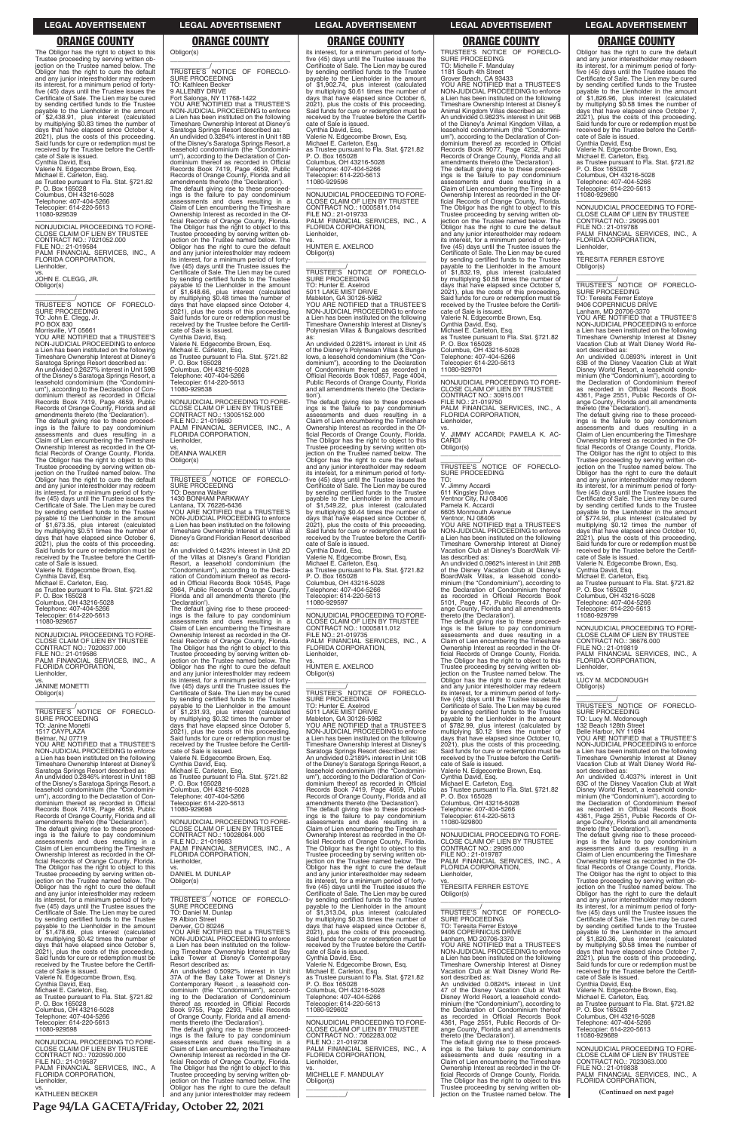The Obligor has the right to object to this Trustee proceeding by serving written ob-jection on the Trustee named below. The Obligor has the right to cure the default and any junior interestholder may redeem its interest, for a minimum period of forty-five (45) days until the Trustee issues the Certificate of Sale. The Lien may be cured by sending certified funds to the Trustee payable to the Lienholder in the amount of \$2,438.91, plus interest (calculated by multiplying \$0.83 times the number of days that have elapsed since October 4, 2021), plus the costs of this proceeding. Said funds for cure or redemption must be received by the Trustee before the Certificate of Sale is issued. Cynthia David, Esq. Valerie N. Edgecombe Brown, Esq. Michael E. Carleton, Esq. as Trustee pursuant to Fla. Stat. §721.82 P. O. Box 165028 Columbus, OH 43216-5028 Telephone: 407-404-5266 Telecopier: 614-220-5613 11080-929539

—————————————————— NONJUDICIAL PROCEEDING TO FORE-CLOSE CLAIM OF LIEN BY TRUSTEE CONTRACT NO.: 7021052.000 FILE NO.: 21-019584 PALM FINANCIAL SERVICES, INC., A FLORIDA CORPORATION, Lienholder,

vs. JOHN E. CLEGG, JR. Obligor(s)

\_\_\_\_\_\_\_\_\_\_\_\_\_\_\_\_\_\_\_\_\_\_\_\_\_\_\_\_\_\_\_\_\_

\_\_\_\_\_\_\_\_\_\_\_/ TRUSTEE'S NOTICE OF FORECLO-SURE PROCEEDING TO: John E. Clegg, Jr. PO BOX 830

\_\_\_\_\_\_\_\_\_\_\_\_/<br>TRUSTEE'S NOTICE OF FORECLO-<br>SURE PROCEEDING TO: Janine Monetti 1517 CAYPLAZA

Belmar, NJ 07719 YOU ARE NOTIFIED that a TRUSTEE'S NON-JUDICIAL PROCEEDING to enforce a Lien has been instituted on the following Timeshare Ownership Interest at Disney's Saratoga Springs Resort described as: An undivided 0.2846% interest in Unit 18B of the Disney's Saratoga Springs Resort, a leasehold condominium (the "Condominium"), according to the Declaration of Condominium thereof as recorded in Official<br>Records Book 7419, Page 4659, Public<br>Records of Orange County, Florida and all<br>amendments thereto (the 'Declaration').<br>The default giving ri

Morrisville, VT 05661 YOU ARE NOTIFIED that a TRUSTEE'S NON-JUDICIAL PROCEEDING to enforce a Lien has been instituted on the following Timeshare Ownership Interest at Disney's Saratoga Springs Resort described as: An undivided 0.2627% interest in Unit 59B of the Disney's Saratoga Springs Resort, a<br>leasehold condominium (the "Condominium"), according to the Declaration of Condominium thereof as recorded in Official<br>Records Book 7419, Page 4659, Public<br>Records of Orange Count ings is the failure to pay condominium assessments and dues resulting in a Claim of Lien encumbering the Timeshare Ownership Interest as recorded in the Official Records of Orange County, Florida. The Obligor has the right to object to this Trustee proceeding by serving written ob-jection on the Trustee named below. The Obligor has the right to cure the default and any junior interestholder may redeem its interest, for a minimum period of forty-five (45) days until the Trustee issues the Certificate of Sale. The Lien may be cured by sending certified funds to the Trustee payable to the Lienholder in the amount of \$1,673.35, plus interest (calculated by multiplying \$0.51 times the number of days that have elapsed since October 6, 2021), plus the costs of this proceeding. Said funds for cure or redemption must be received by the Trustee before the Certificate of Sale is issued.

Valerie N. Edgecombe Brown, Esq. Cynthia David, Esq. Michael E. Carleton, Esq. as Trustee pursuant to Fla. Stat. §721.82 P. O. Box 165028 Columbus, OH 43216-5028 Telephone: 407-404-5266 Telecopier: 614-220-5613 11080-929657

—————————————————— NONJUDICIAL PROCEEDING TO FORE-CLOSE CLAIM OF LIEN BY TRUSTEE CONTRACT NO.: 7020637.000 FILE NO.: 21-019586 PALM FINANCIAL SERVICES, INC., A FLORIDA CORPORATION, Lienholder,

vs. JANINE MONETTI Obligor(s) \_\_\_\_\_\_\_\_\_\_\_\_\_\_\_\_\_\_\_\_\_\_\_\_\_\_\_\_\_\_\_\_\_

vs. HUNTER E. AXELROD Obligor(s)  $\overline{\phantom{a}}$  , and the set of the set of the set of the set of the set of the set of the set of the set of the set of the set of the set of the set of the set of the set of the set of the set of the set of the set of the s

TRUSTEE'S<br>SURE PROCEEDING<br>TO: Hunter E. Axelrod<br>5011 LAKE MIST DRIVE Mableton, GA 30126-5982 YOU ARE NOTIFIED that a TRUSTEE'S NON-JUDICIAL PROCEEDING to enforce a Lien has been instituted on the following Timeshare Ownership Interest at Disney's Polynesian Villas & Bungalows described

—————————————————— NONJUDICIAL PROCEEDING TO FORE-CLOSE CLAIM OF LIEN BY TRUSTEE CONTRACT NO.: 10005811.012 FILE NO.: 21-019735 PALM FINANCIAL SERVICES, INC., A FLORIDA CORPORATION, Lienholder

Obligor(s) \_\_\_\_\_\_\_\_\_\_\_\_\_\_\_\_\_\_\_\_\_\_\_\_\_\_\_\_\_\_\_\_\_ \_\_\_\_\_\_\_\_\_\_\_/ TRUSTEE'S NOTICE OF FORECLO-SURE PROCEEDING TO: Kathleen Becker<br>9 ALLENBY DRIVE<br>Fort Salonga, NY 11768-1422<br>YOU ARE NOTIFIED that a TRUSTEE'S<br>NON-JUDICIAL PROCEEDING to enforce a Lien has been instituted on the following Timeshare Ownership Interest at Disney's Saratoga Springs Resort described as: An undivided 0.3284% interest in Unit 18B of the Disney's Saratoga Springs Resort, a leasehold condominium (the "Condominium"), according to the Declaration of Condominium thereof as recorded in Official Records Book 7419, Page 4659, Public Records of Orange County, Florida and all amendments thereto (the 'Declaration'). The default giving rise to these proceedings is the failure to pay condominium assessments and dues resulting in a Claim of Lien encumbering the Timeshare Ownership Interest as recorded in the Official Records of Orange County, Florida. The Obligor has the right to object to this Trustee proceeding by serving written ob-jection on the Trustee named below. The Obligor has the right to cure the default and any junior interestholder may redeem its interest, for a minimum period of forty-five (45) days until the Trustee issues the Certificate of Sale. The Lien may be cured by sending certified funds to the Trustee payable to the Lienholder in the amount of \$1,648.66, plus interest (calculated by multiplying \$0.48 times the number of days that have elapsed since October 4, 2021), plus the costs of this proceeding. Said funds for cure or redemption must be received by the Trustee before the Certificate of Sale is issued. Cynthia David, Esq. Valerie N. Edgecombe Brown, Esq. Michael E. Carleton, Esq. as Trustee pursuant to Fla. Stat. §721.82 P. O. Box 165028 Columbus, OH 43216-5028 Telephone: 407-404-5266 Telecopier: 614-220-5613 11080-929538 —————————————————— NONJUDICIAL PROCEEDING TO FORE-CLOSE CLAIM OF LIEN BY TRUSTEE CONTRACT NO.: 13005152.000 FILE NO.: 21-019660 PALM FINANCIAL SERVICES, INC., A FLORIDA CORPORATION, Lienholder, vs. DEANNA WALKER Obligor(s) \_\_\_\_\_\_\_\_\_\_\_\_\_\_\_\_\_\_\_\_\_\_\_\_\_\_\_\_\_\_\_\_\_ \_\_\_\_\_\_\_\_\_\_\_\_/<br>TRUSTEE'S NOTICE OF FORECLO-<br>SURE PROCEEDING TO: Deanna Walker 1430 BONHAM PARKWAY Lantana, TX 76226-6436 YOU ARE NOTIFIED that a TRUSTEE'S NON-JUDICIAL PROCEEDING to enforce a Lien has been instituted on the following Timeshare Ownership Interest at Villas at Disney's Grand Floridian Resort described as: An undivided 0.1423% interest in Unit 2D of the Villas at Disney's Grand Floridian Resort, a leasehold condominium (the "Condominium"), according to the Decla-ration of Condominium thereof as recorded in Official Records Book 10545, Page 3964, Public Records of Orange County, Florida and all amendments thereto (the 'Declaration'). The default giving rise to these proceed-ings is the failure to pay condominium assessments and dues resulting in a Claim of Lien encumbering the Timeshare Ownership Interest as recorded in the Official Records of Orange County, Florida. The Obligor has the right to object to this Trustee proceeding by serving written objection on the Trustee named below. The Obligor has the right to cure the default and any junior interestholder may redeem its interest, for a minimum period of fortyfive (45) days until the Trustee issues the Certificate of Sale. The Lien may be cured by sending certified funds to the Trustee<br>payable to the Lienholder in the amount<br>of \$1,231.93, plus interest (calculated<br>by multiplying \$0.32 times the number of<br>days that have elapsed since October 5,<br>2021), plus the cos Said funds for cure or redemption must be received by the Trustee before the Certifi-cate of Sale is issued. Valerie N. Edgecombe Brown, Esq. Cynthia David, Esq. Michael E. Carleton, Esq. as Trustee pursuant to Fla. Stat. §721.82 P. O. Box 165028 Columbus, OH 43216-5028 Telephone: 407-404-5266 Telecopier: 614-220-5613

\_\_\_\_\_\_\_\_\_\_\_/<br>TRUSTEE'S NOTICE OF FORECLO-<br>SURE PROCEEDING TO: Hunter E. Axelrod 5011 LAKE MIST DRIVE Mableton, GA 30126-5982 YOU ARE NOTIFIED that a TRUSTEE'S NON-JUDICIAL PROCEEDING to enforce a Lien has been instituted on the following Timeshare Ownership Interest at Disney's Saratoga Springs Resort described as: An undivided 0.2189% interest in Unit 10B of the Disney's Saratoga Springs Resort, a leasehold condominium (the "Condomini-um"), according to the Declaration of Condominium thereof as recorded in Official Records Book 7419, Page 4659, Public Records of Orange County, Florida and all amendments thereto (the 'Declaration'). The default giving rise to these proceedings is the failure to pay condominium assessments and dues resulting in a Claim of Lien encumbering the Timeshare Ownership Interest as recorded in the Of-

Grover Beach, CA 93433 YOU ARE NOTIFIED that a TRUSTEE'S NON-JUDICIAL PROCEEDING to enforce a Lien has been instituted on the following Timeshare Ownership Interest at Disney's Animal Kingdom Villas described as: An undivided 0.9823% interest in Unit 96B of the Disney's Animal Kingdom Villas, a leasehold condominium (the "Condominium"), according to the Declaration of Con-<br>dominium thereof as recorded in Official<br>Records Book 9077, Page 4252, Public<br>Records of Orange County, Florida and all<br>amendments thereo (the 'Declaration').<br>The default giving r

—————————————————— NONJUDICIAL PROCEEDING TO FORE-CLOSE CLAIM OF LIEN BY TRUSTEE CONTRACT NO.: 30915.001 FILE NO.: 21-019750 PALM FINANCIAL SERVICES, INC., A FLORIDA CORPORATION, **Lienholder** 

11080-929698

—————————————————— NONJUDICIAL PROCEEDING TO FORE-CLOSE CLAIM OF LIEN BY TRUSTEE

—————————————————— NONJUDICIAL PROCEEDING TO FORE-CLOSE CLAIM OF LIEN BY TRUSTEE<br>CONTRACT NO.: 29095.001<br>FILE NO.: 21-019788<br>PALM FINANCIAL SERVICES, INC., A<br>FLORIDA CORPORATION,

**Lienholder** 

its interest, for a minimum period of fortyfive (45) days until the Trustee issues the Certificate of Sale. The Lien may be cured by sending certified funds to the Trustee payable to the Lienholder in the amount of \$1,902.74, plus interest (calculated by multiplying \$0.61 times the number of days that have elapsed since October 6, 2021), plus the costs of this proceeding. Said funds for cure or redemption must be received by the Trustee before the Certifi-cate of Sale is issued. Cynthia David, Esq. Valerie N. Edgecombe Brown, Esq. Michael E. Carleton, Esq. as Trustee pursuant to Fla. Stat. §721.82 P. O. Box 165028 Columbus, OH 43216-5028 Telephone: 407-404-5266 Telecopier: 614-220-5613 11080-929596 —————————————————— NONJUDICIAL PROCEEDING TO FORE-

> \_\_\_\_\_\_\_\_\_\_\_\_\_\_/<br>TRUSTEE'S NOTICE OF FORECLO-SURE PROCEEDING

An undivided 0.0893% interest in Unit 63B of the Disney Vacation Club at Walt Disney World Resort, a leasehold condominium (the "Condominium"), according to<br>the Declaration of Condominium thereof<br>as recorded in Official Records Book<br>4361, Page 2551, Public Records of Or-<br>ange County, Florida and all amendments

CLOSE CLAIM OF LIEN BY TRUSTEE CONTRACT NO.: 10005811.014 FILE NO.: 21-019733 PALM FINANCIAL SERVICES, INC., A FALM TINANCIAL SLAVIS Lienholder,

> —————————————————— NONJUDICIAL PROCEEDING TO FORE-CLOSE CLAIM OF LIEN BY TRUSTEE CONTRACT NO.: 36676.000 FILE NO.: 21-019819 PALM FINANCIAL SERVICES, INC., A FLORIDA CORPORATION, **Lienholder**

as: An undivided 0.2281% interest in Unit 45 of the Disney's Polynesian Villas & Bunga-lows, a leasehold condominium (the "Con-dominium"), according to the Declaration of Condominium thereof as recorded in Official Records Book 10857, Page 4004, Public Records of Orange County, Florida and all amendments thereto (the 'Declara-

tion'). The default giving rise to these proceedings is the failure to pay condominium assessments and dues resulting in a Claim of Lien encumbering the Timeshare Ownership Interest as recorded in the Official Records of Orange County, Florida. The Obligor has the right to object to this Trustee proceeding by serving written ob-jection on the Trustee named below. The Obligor has the right to cure the default and any junior interestholder may redeem its interest, for a minimum period of forty-five (45) days until the Trustee issues the Certificate of Sale. The Lien may be cured by sending certified funds to the Trustee payable to the Lienholder in the amount of \$1,549.22, plus interest (calculated by multiplying \$0.44 times the number of days that have elapsed since October 6, 2021), plus the costs of this proceeding. Said funds for cure or redemption must be received by the Trustee before the Certificate of Sale is issued. Cynthia David, Esq. Valerie N. Edgecombe Brown, Esq.

Michael E. Carleton, Esq. as Trustee pursuant to Fla. Stat. §721.82 P. O. Box 165028 Columbus, OH 43216-5028 Telephone: 407-404-5266 Telecopier: 614-220-5613 11080-929597

vs. HUNTER E. AXELROD Obligor(s)

\_\_\_\_\_\_\_\_\_\_\_\_\_\_\_\_\_\_\_\_\_\_\_\_\_\_\_\_\_\_\_\_\_

| The default giving rise to these proceed-                                | CLOSE CLAIM OF LIEN BY TRUSTEE              | Claim of Lien encumbering the Timeshare                 |                                             | thereto (the 'Declaration').                        |
|--------------------------------------------------------------------------|---------------------------------------------|---------------------------------------------------------|---------------------------------------------|-----------------------------------------------------|
| ings is the failure to pay condominium                                   | CONTRACT NO.: 10028064.000                  | Ownership Interest as recorded in the Of-               | NONJUDICIAL PROCEEDING TO FORE-             | The default giving rise to these proceed-           |
| assessments and dues resulting in a                                      | FILE NO.: 21-019663                         | ficial Records of Orange County, Florida.               | CLOSE CLAIM OF LIEN BY TRUSTEE              | ings is the failure to pay condominium              |
| Claim of Lien encumbering the Timeshare                                  | PALM FINANCIAL SERVICES, INC., A            | The Obligor has the right to object to this             | CONTRACT NO.: 29095.000                     | assessments and dues resulting in a                 |
| Ownership Interest as recorded in the Of-                                | FLORIDA CORPORATION,                        | Trustee proceeding by serving written ob-               | FILE NO.: 21-019787                         | Claim of Lien encumbering the Timeshare             |
| ficial Records of Orange County, Florida.                                | Lienholder,                                 | jection on the Trustee named below. The                 | PALM FINANCIAL SERVICES, INC., A            | Ownership Interest as recorded in the Of-           |
| The Obligor has the right to object to this                              | VS.                                         | Obligor has the right to cure the default               | FLORIDA CORPORATION.                        | ficial Records of Orange County, Florida.           |
| Trustee proceeding by serving written ob-                                | DANIEL M. DUNLAP                            | and any junior interestholder may redeem                | Lienholder,                                 | The Obligor has the right to object to this         |
| jection on the Trustee named below. The                                  | Obligor(s)                                  | its interest, for a minimum period of forty-            | VS.                                         | Trustee proceeding by serving written ob-           |
| Obligor has the right to cure the default                                |                                             | five (45) days until the Trustee issues the             | <b>TERESITA FERRER ESTOYE</b>               | jection on the Trustee named below. The             |
| and any junior interestholder may redeem                                 |                                             | Certificate of Sale. The Lien may be cured              | Obligor(s)                                  | Obligor has the right to cure the default           |
| its interest, for a minimum period of forty-                             | TRUSTEE'S NOTICE OF FORECLO-                | by sending certified funds to the Trustee               |                                             | and any junior interestholder may redeem            |
| five (45) days until the Trustee issues the                              | SURE PROCEEDING                             | payable to the Lienholder in the amount                 |                                             | its interest, for a minimum period of forty-        |
| Certificate of Sale. The Lien may be cured                               | TO: Daniel M. Dunlap                        | of \$1,313.04, plus interest (calculated                | TRUSTEE'S NOTICE OF FORECLO-                | five (45) days until the Trustee issues the         |
| by sending certified funds to the Trustee                                | 79 Albion Street                            | by multiplying \$0.33 times the number of               | SURE PROCEEDING                             | Certificate of Sale. The Lien may be cured          |
| payable to the Lienholder in the amount                                  | Denver, CO 80246                            | days that have elapsed since October 6,                 | <b>TO: Teresita Ferrer Estove</b>           | by sending certified funds to the Trustee           |
| of \$1,478.69, plus interest (calculated                                 | YOU ARE NOTIFIED that a TRUSTEE'S           | 2021), plus the costs of this proceeding.               | 9406 COPERNICUS DRIVE                       | payable to the Lienholder in the amount             |
| by multiplying \$0.42 times the number of                                | NON-JUDICIAL PROCEEDING to enforce          | Said funds for cure or redemption must be               | Lanham, MD 20706-3370                       | of \$1,820.36, plus interest (calculated            |
| days that have elapsed since October 5,                                  | a Lien has been instituted on the follow-   | received by the Trustee before the Certifi-             | YOU ARE NOTIFIED that a TRUSTEE'S           | by multiplying \$0.58 times the number of           |
| 2021), plus the costs of this proceeding.                                | ing Timeshare Ownership Interest at Bay     | cate of Sale is issued.                                 | NON-JUDICIAL PROCEEDING to enforce          | days that have elapsed since October 7,             |
| Said funds for cure or redemption must be                                | Lake Tower at Disney's Contemporary         | Cynthia David, Esq.                                     | a Lien has been instituted on the following | 2021), plus the costs of this proceeding.           |
| received by the Trustee before the Certifi-                              | Resort described as:                        | Valerie N. Edgecombe Brown, Esg.                        | Timeshare Ownership Interest at Disney      | Said funds for cure or redemption must be           |
| cate of Sale is issued.                                                  | An undivided 0.5092% interest in Unit       | Michael E. Carleton, Esq.                               | Vacation Club at Walt Disney World Re-      | received by the Trustee before the Certifi-         |
| Valerie N. Edgecombe Brown, Esg.                                         | 37A of the Bay Lake Tower at Disney's       | as Trustee pursuant to Fla. Stat. §721.82               | sort described as:                          | cate of Sale is issued.                             |
| Cynthia David, Esg.                                                      | Contemporary Resort, a leasehold con-       | P. O. Box 165028                                        | An undivided 0.0824% interest in Unit       | Cynthia David, Esq.                                 |
| Michael E. Carleton, Esq.                                                | dominium (the "Condominium"), accord-       | Columbus, OH 43216-5028                                 | 47 of the Disney Vacation Club at Walt      | Valerie N. Edgecombe Brown, Esq.                    |
| as Trustee pursuant to Fla. Stat. §721.82                                | ing to the Declaration of Condominium       | Telephone: 407-404-5266                                 | Disney World Resort, a leasehold condo-     | Michael E. Carleton, Esg.                           |
| P. O. Box 165028                                                         | thereof as recorded in Official Records     | Telecopier: 614-220-5613                                | minium (the "Condominium"), according to    | as Trustee pursuant to Fla. Stat. §721.82           |
| Columbus, OH 43216-5028                                                  | Book 9755, Page 2293, Public Records        | 11080-929602                                            | the Declaration of Condominium thereof      | P. O. Box 165028                                    |
| Telephone: 407-404-5266                                                  | of Orange County, Florida and all amend-    |                                                         | as recorded in Official Records Book        | Columbus, OH 43216-5028                             |
|                                                                          |                                             | NONJUDICIAL PROCEEDING TO FORE-                         | 4361, Page 2551, Public Records of Or-      |                                                     |
| Telecopier: 614-220-5613<br>11080-929598                                 | ments thereto (the 'Declaration').          | CLOSE CLAIM OF LIEN BY TRUSTEE                          | ange County, Florida and all amendments     | Telephone: 407-404-5266<br>Telecopier: 614-220-5613 |
|                                                                          | The default giving rise to these proceed-   | CONTRACT NO.: 7062283.002                               | thereto (the 'Declaration').                | 11080-929689                                        |
|                                                                          | ings is the failure to pay condominium      |                                                         |                                             |                                                     |
| NONJUDICIAL PROCEEDING TO FORE-<br><b>CLOSE CLAIM OF LIEN BY TRUSTEE</b> | assessments and dues resulting in a         | FILE NO.: 21-019738<br>PALM FINANCIAL SERVICES. INC., A | The default giving rise to these proceed-   | NONJUDICIAL PROCEEDING TO FORE-                     |
| CONTRACT NO.: 7020590.000                                                | Claim of Lien encumbering the Timeshare     | FLORIDA CORPORATION,                                    | ings is the failure to pay condominium      | CLOSE CLAIM OF LIEN BY TRUSTEE                      |
|                                                                          | Ownership Interest as recorded in the Of-   |                                                         | assessments and dues resulting in a         |                                                     |
| FILE NO.: 21-019587                                                      | ficial Records of Orange County, Florida.   | Lienholder.                                             | Claim of Lien encumbering the Timeshare     | CONTRACT NO.: 7023063.000                           |
| PALM FINANCIAL SERVICES, INC., A                                         | The Obligor has the right to object to this | VS.                                                     | Ownership Interest as recorded in the Of-   | FILE NO.: 21-019838                                 |
| FLORIDA CORPORATION,                                                     | Trustee proceeding by serving written ob-   | MICHELLE F. MANDULAY                                    | ficial Records of Orange County, Florida.   | PALM FINANCIAL SERVICES. INC., A                    |
| Lienholder,                                                              | jection on the Trustee named below. The     | Obligor(s)                                              | The Obligor has the right to object to this | FLORIDA CORPORATION.                                |
| VS.                                                                      | Obligor has the right to cure the default   |                                                         | Trustee proceeding by serving written ob-   | (Continued on next page)                            |
| KATHLEEN BECKER                                                          | and any junior interestholder may redeem    |                                                         | jection on the Trustee named below. The     |                                                     |

TRUSTEE'S NOTICE OF FORECLO-SURE PROCEEDING TO: Michelle F. Mandulay

1181 South 4th Street

ings is the failure to pay condominium assessments and dues resulting in a Claim of Lien encumbering the Timeshare Ownership Interest as recorded in the Official Records of Orange County, Florida. The Obligor has the right to object to this Trustee proceeding by serving written ob-jection on the Trustee named below. The Obligor has the right to cure the default and any junior interestholder may redeem its interest, for a minimum period of forty-five (45) days until the Trustee issues the Certificate of Sale. The Lien may be cured by sending certified funds to the Trustee payable to the Lienholder in the amount of \$1,832.19, plus interest (calculated by multiplying \$0.58 times the number of days that have elapsed since October 5, 2021), plus the costs of this proceeding. Said funds for cure or redemption must be received by the Trustee before the Certifi-

cate of Sale is issued. Valerie N. Edgecombe Brown, Esq. Cynthia David, Esq.

Michael E. Carleton, Esq. as Trustee pursuant to Fla. Stat. §721.82 P. O. Box 165028 Columbus, OH 43216-5028 Telephone: 407-404-5266 Telecopier: 614-220-5613 11080-929701

vs. .<br>JIMMY ACCARDI; PAMELA K. AC-CARDI Obligor(s)

 $\overline{\phantom{a}}$  ,  $\overline{\phantom{a}}$  ,  $\overline{\phantom{a}}$  ,  $\overline{\phantom{a}}$  ,  $\overline{\phantom{a}}$  ,  $\overline{\phantom{a}}$  ,  $\overline{\phantom{a}}$  ,  $\overline{\phantom{a}}$  ,  $\overline{\phantom{a}}$  ,  $\overline{\phantom{a}}$  ,  $\overline{\phantom{a}}$  ,  $\overline{\phantom{a}}$  ,  $\overline{\phantom{a}}$  ,  $\overline{\phantom{a}}$  ,  $\overline{\phantom{a}}$  ,  $\overline{\phantom{a}}$ TRUSTEE'S<br>SURE PROCEEDING<br>TO:<br>V. Jimmy Accardi

611 Kingsley Drive Ventnor City, NJ 08406 Pamela K. Accardi

6605 Monmouth Avenue Ventnor, NJ 08406

YOU ARE NOTIFIED that a TRUSTEE'S

NON-JUDICIAL PROCEEDING to enforce a Lien has been instituted on the following Timeshare Ownership Interest at Disney Vacation Club at Disney's BoardWalk Vil-las described as: An undivided 0.0962% interest in Unit 28B

of the Disney Vacation Club at Disney's<br>BoardWalk Villas, a leasehold condo-<br>minium (the "Condominium"), according to<br>the Declaration of Condominium thereof<br>as recorded in Official Records Book<br>5101, Page 147, Public Recor

The default giving rise to these proceed-ings is the failure to pay condominium assessments and dues resulting in a Claim of Lien encumbering the Timeshare Ownership Interest as recorded in the Of-ficial Records of Orange County, Florida. The Obligor has the right to object to this Trustee proceeding by serving written ob-jection on the Trustee named below. The Obligor has the right to cure the default and any junior interestholder may redeem its interest, for a minimum period of fortyfive (45) days until the Trustee issues the Certificate of Sale. The Lien may be cured by sending certified funds to the Trustee payable to the Lienholder in the amount of \$782.99, plus interest (calculated by multiplying \$0.12 times the number of days that have elapsed since October 10, 2021), plus the costs of this proceeding. Said funds for cure or redemption must be received by the Trustee before the Certifi-cate of Sale is issued. Valerie N. Edgecombe Brown, Esq. Cynthia David, Esq. Michael E. Carleton, Esq. as Trustee pursuant to Fla. Stat. §721.82 P. O. Box 165028 Columbus, OH 43216-5028 Telephone: 407-404-5266

Telecopier: 614-220-5613 11080-929800

Obligor has the right to cure the default and any junior interestholder may redeem its interest, for a minimum period of forty-five (45) days until the Trustee issues the Certificate of Sale. The Lien may be cured by sending certified funds to the Trustee payable to the Lienholder in the amount of \$1,826.96, plus interest (calculated by multiplying \$0.58 times the number of days that have elapsed since October 7, 2021), plus the costs of this proceeding. Said funds for cure or redemption must be received by the Trustee before the Certificate of Sale is issued. Cynthia David, Esq. Valerie N. Edgecombe Brown, Esq. Michael E. Carleton, Esq. as Trustee pursuant to Fla. Stat. §721.82 P. O. Box 165028

Columbus, OH 43216-5028

Telephone: 407-404-5266 Telecopier: 614-220-5613 11080-929690

vs. TERESITA FERRER ESTOYE Obligor(s) \_\_\_\_\_\_\_\_\_\_\_\_\_\_\_\_\_\_\_\_\_\_\_\_\_\_\_\_\_\_\_\_\_

TO: Teresita Ferrer Estoye 9406 COPERNICUS DRIVE Lanham, MD 20706-3370 YOU ARE NOTIFIED that a TRUSTEE'S NON-JUDICIAL PROCEEDING to enforce a Lien has been instituted on the following Timeshare Ownership Interest at Disney Vacation Club at Walt Disney World Resort described as:

thereto (the 'Declaration'). The default giving rise to these proceed-ings is the failure to pay condominium assessments and dues resulting in a Claim of Lien encumbering the Timeshare Ownership Interest as recorded in the Official Records of Orange County, Florida. The Obligor has the right to object to this Trustee proceeding by serving written objection on the Trustee named below. The Obligor has the right to cure the default and any junior interestholder may redeem its interest, for a minimum period of fortyfive (45) days until the Trustee issues the Certificate of Sale. The Lien may be cured by sending certified funds to the Trustee<br>payable to the Lienholder in the amount<br>of \$774.94, plus interest (calculated by<br>multiplying \$0.12 times the number of<br>days that have elapsed since October 10,<br>2021), plus the cost Said funds for cure or redemption must be received by the Trustee before the Certifi-cate of Sale is issued.

Valerie N. Edgecombe Brown, Esq. Cynthia David, Esq. Michael E. Carleton, Esq. as Trustee pursuant to Fla. Stat. §721.82

P. O. Box 165028 Columbus, OH 43216-5028 Telephone: 407-404-5266 Telecopier: 614-220-5613 11080-929799

vs. LUCY M. MCDONOUGH Obligor(s)

\_\_\_\_\_\_\_\_\_\_\_\_\_\_\_\_\_\_\_\_\_\_\_\_\_\_\_\_\_\_\_\_\_ \_\_\_\_\_\_\_\_\_\_\_/<br>TRUSTEE'S NOTICE OF FORECLO-<br>SURE PROCEEDING TO: Lucy M. Mcdonough

132 Beach 128th Street Belle Harbor, NY 11694 YOU ARE NOTIFIED that a TRUSTEE'S NON-JUDICIAL PROCEEDING to enforce a Lien has been instituted on the following Timeshare Ownership Interest at Disney Vacation Club at Walt Disney World Re-sort described as: An undivided 0.4037% interest in Unit

63C of the Disney Vacation Club at Walt Disney World Resort, a leasehold condominium (the "Condominium"), according to the Declaration of Condominium thereof as recorded in Official Records Book 4361, Page 2551, Public Records of Orange County, Florida and all amendments thereto (the 'Declaration').

### **LEGAL ADVERTISEMENT LEGAL ADVERTISEMENT LEGAL ADVERTISEMENT LEGAL ADVERTISEMENT LEGAL ADVERTISEMENT**

# **ORANGE COUNTY ORANGE COUNTY ORANGE COUNTY ORANGE COUNTY ORANGE COUNTY**

**Page 94/LA GACETA/Friday, October 22, 2021**